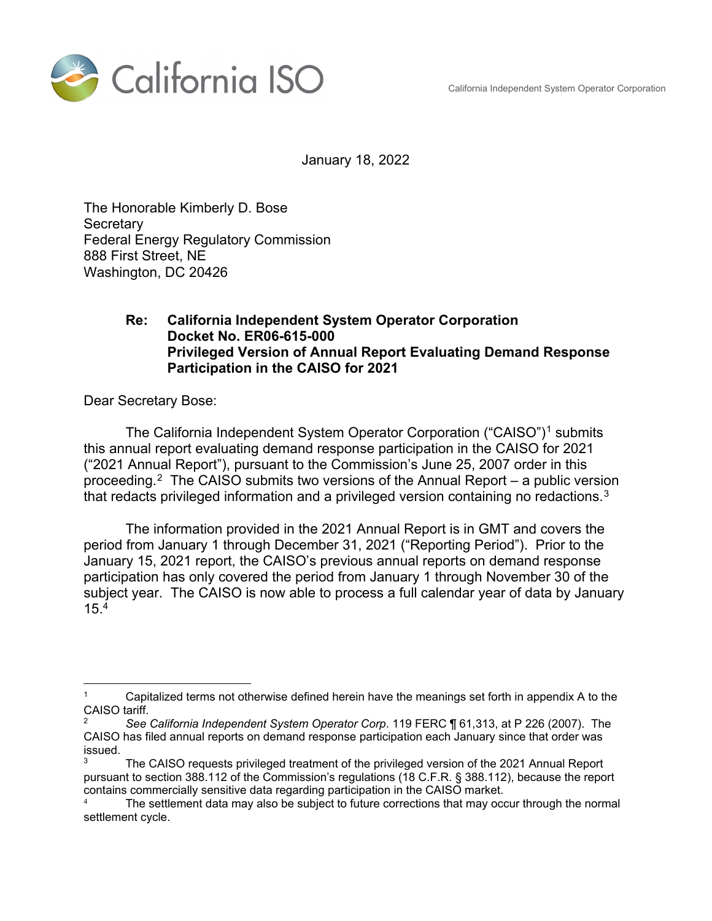California Independent System Operator Corporation



January 18, 2022

The Honorable Kimberly D. Bose **Secretary** Federal Energy Regulatory Commission 888 First Street, NE Washington, DC 20426

#### **Re: California Independent System Operator Corporation Docket No. ER06-615-000 Privileged Version of Annual Report Evaluating Demand Response Participation in the CAISO for 2021**

Dear Secretary Bose:

 $\overline{a}$ 

The California Independent System Operator Corporation ("CAISO")<sup>1</sup> submits this annual report evaluating demand response participation in the CAISO for 2021 ("2021 Annual Report"), pursuant to the Commission's June 25, 2007 order in this proceeding.<sup>2</sup> The CAISO submits two versions of the Annual Report – a public version that redacts privileged information and a privileged version containing no redactions. $^3$ 

The information provided in the 2021 Annual Report is in GMT and covers the period from January 1 through December 31, 2021 ("Reporting Period"). Prior to the January 15, 2021 report, the CAISO's previous annual reports on demand response participation has only covered the period from January 1 through November 30 of the subject year. The CAISO is now able to process a full calendar year of data by January 15.4

Capitalized terms not otherwise defined herein have the meanings set forth in appendix A to the CAISO tariff.

<sup>2</sup> *See California Independent System Operator Corp*. 119 FERC ¶ 61,313, at P 226 (2007). The CAISO has filed annual reports on demand response participation each January since that order was issued.

The CAISO requests privileged treatment of the privileged version of the 2021 Annual Report pursuant to section 388.112 of the Commission's regulations (18 C.F.R. § 388.112), because the report contains commercially sensitive data regarding participation in the CAISO market.

<sup>4</sup> The settlement data may also be subject to future corrections that may occur through the normal settlement cycle.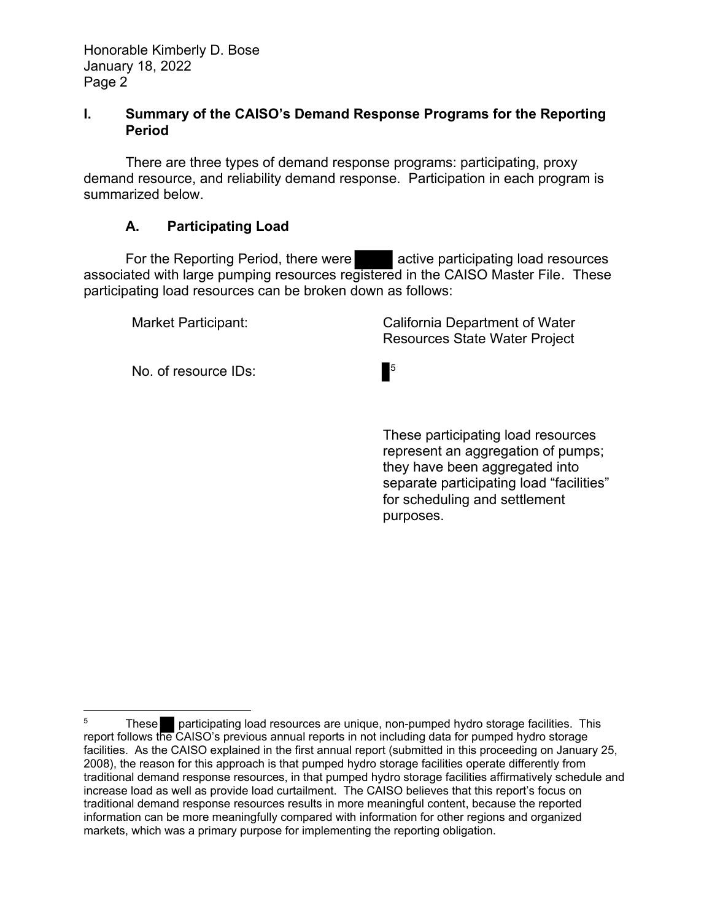### **I. Summary of the CAISO's Demand Response Programs for the Reporting Period**

There are three types of demand response programs: participating, proxy demand resource, and reliability demand response. Participation in each program is summarized below.

# **A. Participating Load**

For the Reporting Period, there were **active participating load resources** associated with large pumping resources registered in the CAISO Master File. These participating load resources can be broken down as follows:

| Market Participant:  | California Department of Water<br><b>Resources State Water Project</b> |
|----------------------|------------------------------------------------------------------------|
| No. of resource IDs: | $\blacksquare$                                                         |

 These participating load resources represent an aggregation of pumps; they have been aggregated into separate participating load "facilities" for scheduling and settlement purposes.

 $\overline{a}$ <sup>5</sup> These participating load resources are unique, non-pumped hydro storage facilities. This report follows the CAISO's previous annual reports in not including data for pumped hydro storage facilities. As the CAISO explained in the first annual report (submitted in this proceeding on January 25, 2008), the reason for this approach is that pumped hydro storage facilities operate differently from traditional demand response resources, in that pumped hydro storage facilities affirmatively schedule and increase load as well as provide load curtailment. The CAISO believes that this report's focus on traditional demand response resources results in more meaningful content, because the reported information can be more meaningfully compared with information for other regions and organized markets, which was a primary purpose for implementing the reporting obligation.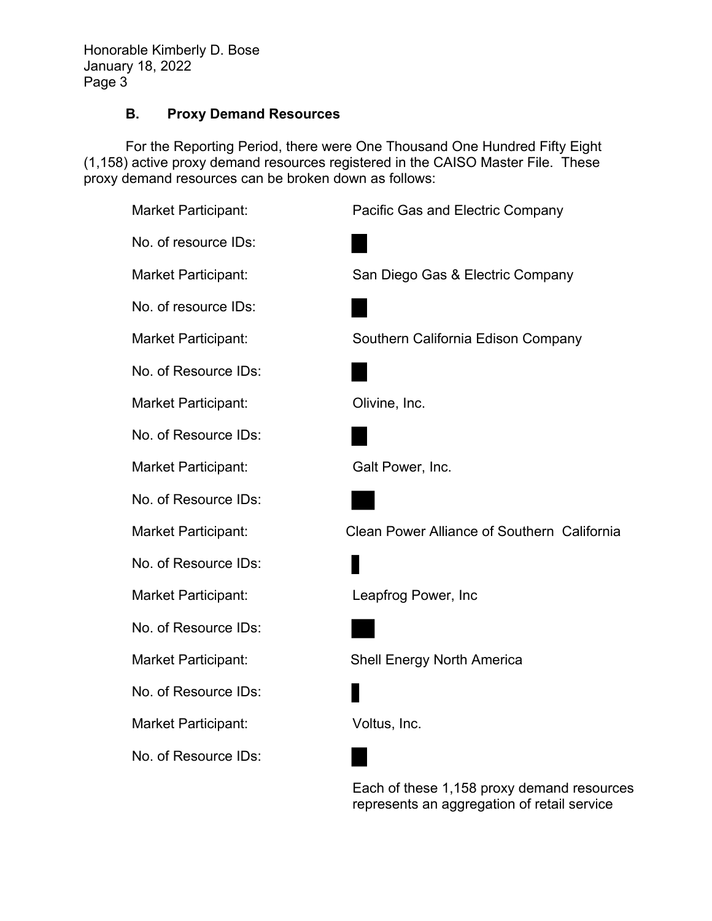Honorable Kimberly D. Bose January 18, 2022 Page 3

# **B. Proxy Demand Resources**

For the Reporting Period, there were One Thousand One Hundred Fifty Eight (1,158) active proxy demand resources registered in the CAISO Master File. These proxy demand resources can be broken down as follows:

| Market Participant:  | Pacific Gas and Electric Company            |
|----------------------|---------------------------------------------|
| No. of resource IDs: |                                             |
| Market Participant:  | San Diego Gas & Electric Company            |
| No. of resource IDs: |                                             |
| Market Participant:  | Southern California Edison Company          |
| No. of Resource IDs: |                                             |
| Market Participant:  | Olivine, Inc.                               |
| No. of Resource IDs: |                                             |
| Market Participant:  | Galt Power, Inc.                            |
| No. of Resource IDs: |                                             |
| Market Participant:  | Clean Power Alliance of Southern California |
| No. of Resource IDs: |                                             |
| Market Participant:  | Leapfrog Power, Inc                         |
| No. of Resource IDs: |                                             |
| Market Participant:  | <b>Shell Energy North America</b>           |
| No. of Resource IDs: |                                             |
| Market Participant:  | Voltus, Inc.                                |
| No. of Resource IDs: |                                             |
|                      | Each of these 1,158 proxy demand resources  |

represents an aggregation of retail service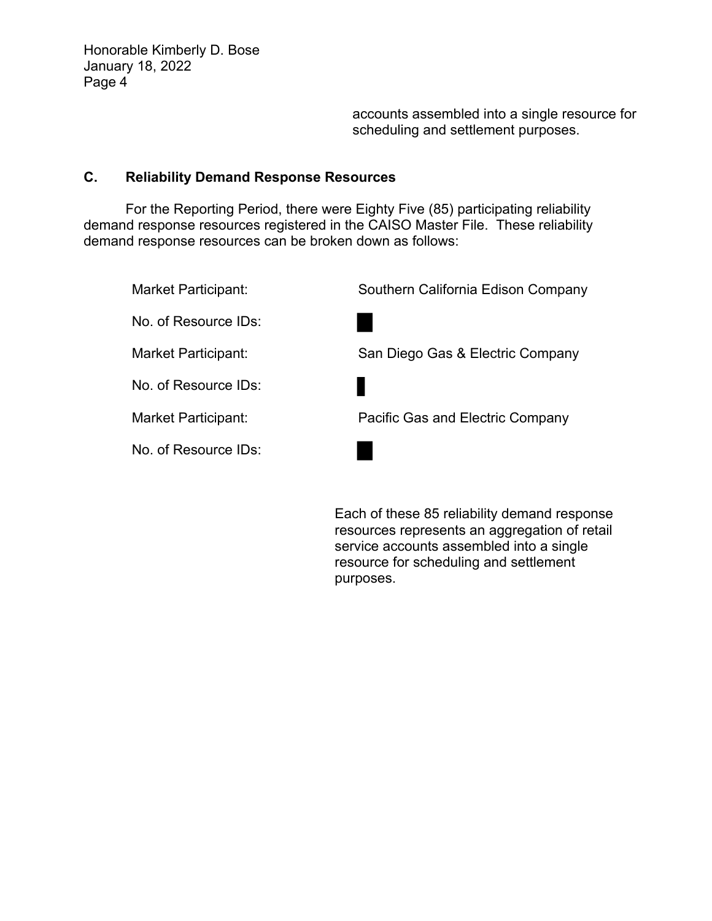accounts assembled into a single resource for scheduling and settlement purposes.

## **C. Reliability Demand Response Resources**

For the Reporting Period, there were Eighty Five (85) participating reliability demand response resources registered in the CAISO Master File. These reliability demand response resources can be broken down as follows:

| Market Participant:  | Southern California Edison Company |
|----------------------|------------------------------------|
| No. of Resource IDs: |                                    |
| Market Participant:  | San Diego Gas & Electric Company   |
| No. of Resource IDs: |                                    |
| Market Participant:  | Pacific Gas and Electric Company   |
| No. of Resource IDs: |                                    |
|                      |                                    |

Each of these 85 reliability demand response resources represents an aggregation of retail service accounts assembled into a single resource for scheduling and settlement purposes.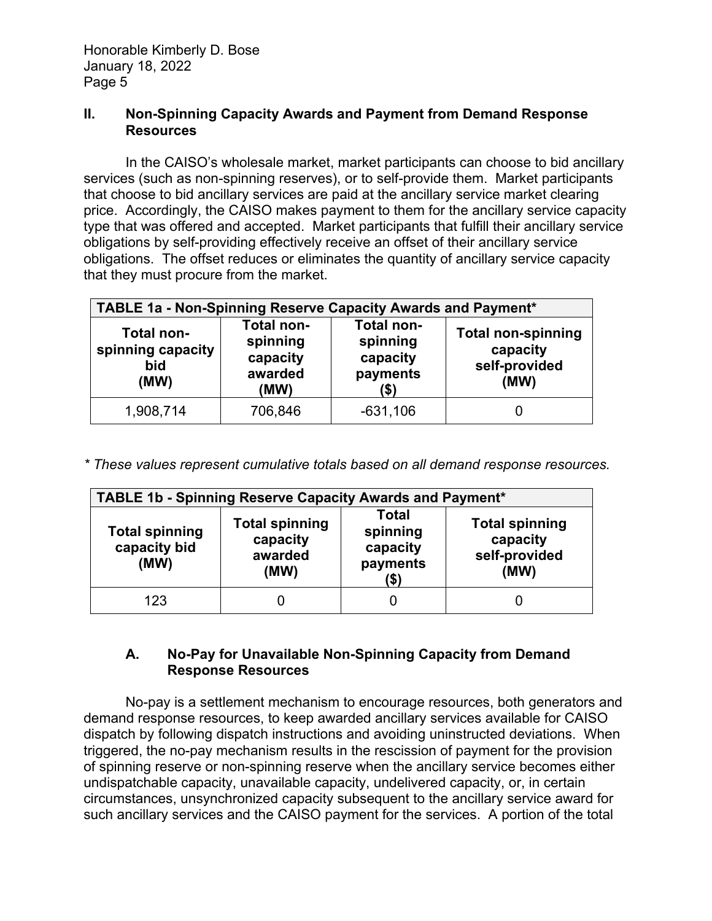#### **II. Non-Spinning Capacity Awards and Payment from Demand Response Resources**

In the CAISO's wholesale market, market participants can choose to bid ancillary services (such as non-spinning reserves), or to self-provide them. Market participants that choose to bid ancillary services are paid at the ancillary service market clearing price. Accordingly, the CAISO makes payment to them for the ancillary service capacity type that was offered and accepted. Market participants that fulfill their ancillary service obligations by self-providing effectively receive an offset of their ancillary service obligations. The offset reduces or eliminates the quantity of ancillary service capacity that they must procure from the market.

| TABLE 1a - Non-Spinning Reserve Capacity Awards and Payment* |                                                                                                                               |            |  |  |
|--------------------------------------------------------------|-------------------------------------------------------------------------------------------------------------------------------|------------|--|--|
| <b>Total non-</b><br>spinning capacity<br>bid<br>(MW)        | <b>Total non-</b><br><b>Total non-</b><br>spinning<br>spinning<br>capacity<br>capacity<br>awarded<br>payments<br>(\$)<br>(MW) |            |  |  |
| 1,908,714                                                    | 706,846                                                                                                                       | $-631,106$ |  |  |

*\* These values represent cumulative totals based on all demand response resources.* 

| <b>TABLE 1b - Spinning Reserve Capacity Awards and Payment*</b> |                                                                                                                                                                         |  |  |  |  |
|-----------------------------------------------------------------|-------------------------------------------------------------------------------------------------------------------------------------------------------------------------|--|--|--|--|
| <b>Total spinning</b><br>capacity bid<br>(MW)                   | Total<br><b>Total spinning</b><br><b>Total spinning</b><br>spinning<br>capacity<br>capacity<br>capacity<br>self-provided<br>awarded<br>payments<br>(MW)<br>(MW)<br>(\$) |  |  |  |  |
| 123                                                             | Ü                                                                                                                                                                       |  |  |  |  |

# **A. No-Pay for Unavailable Non-Spinning Capacity from Demand Response Resources**

No-pay is a settlement mechanism to encourage resources, both generators and demand response resources, to keep awarded ancillary services available for CAISO dispatch by following dispatch instructions and avoiding uninstructed deviations. When triggered, the no-pay mechanism results in the rescission of payment for the provision of spinning reserve or non-spinning reserve when the ancillary service becomes either undispatchable capacity, unavailable capacity, undelivered capacity, or, in certain circumstances, unsynchronized capacity subsequent to the ancillary service award for such ancillary services and the CAISO payment for the services. A portion of the total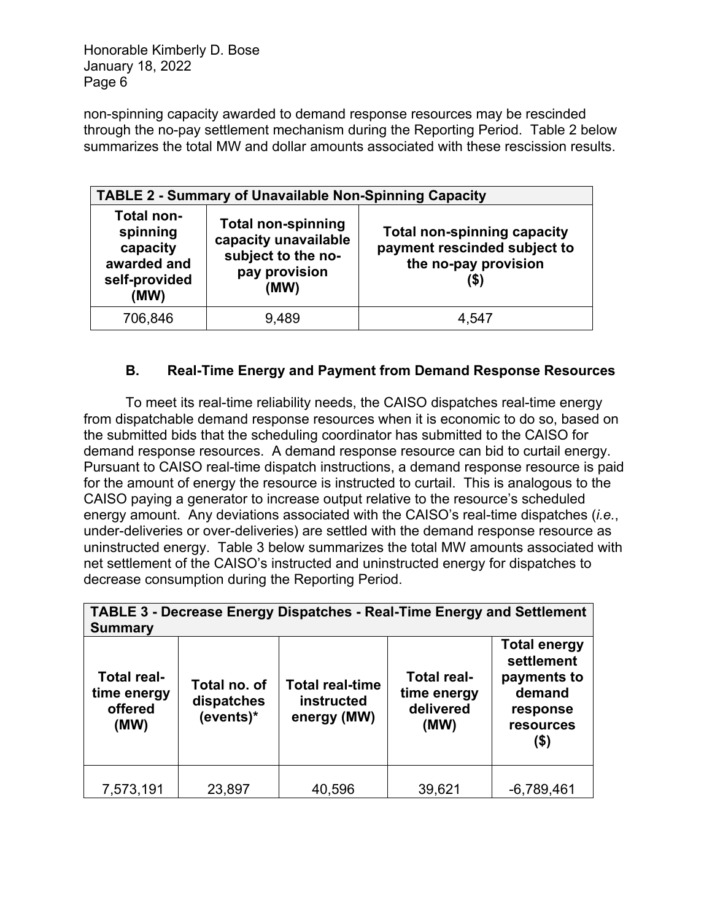Honorable Kimberly D. Bose January 18, 2022 Page 6

non-spinning capacity awarded to demand response resources may be rescinded through the no-pay settlement mechanism during the Reporting Period. Table 2 below summarizes the total MW and dollar amounts associated with these rescission results.

| <b>TABLE 2 - Summary of Unavailable Non-Spinning Capacity</b>                     |                                                                                                                                                                                                |       |  |  |
|-----------------------------------------------------------------------------------|------------------------------------------------------------------------------------------------------------------------------------------------------------------------------------------------|-------|--|--|
| <b>Total non-</b><br>spinning<br>capacity<br>awarded and<br>self-provided<br>(MW) | <b>Total non-spinning</b><br><b>Total non-spinning capacity</b><br>capacity unavailable<br>payment rescinded subject to<br>subject to the no-<br>the no-pay provision<br>pay provision<br>(MW) |       |  |  |
| 706,846                                                                           | 9,489                                                                                                                                                                                          | 4,547 |  |  |

# **B. Real-Time Energy and Payment from Demand Response Resources**

To meet its real-time reliability needs, the CAISO dispatches real-time energy from dispatchable demand response resources when it is economic to do so, based on the submitted bids that the scheduling coordinator has submitted to the CAISO for demand response resources. A demand response resource can bid to curtail energy. Pursuant to CAISO real-time dispatch instructions, a demand response resource is paid for the amount of energy the resource is instructed to curtail. This is analogous to the CAISO paying a generator to increase output relative to the resource's scheduled energy amount. Any deviations associated with the CAISO's real-time dispatches (*i.e.*, under-deliveries or over-deliveries) are settled with the demand response resource as uninstructed energy. Table 3 below summarizes the total MW amounts associated with net settlement of the CAISO's instructed and uninstructed energy for dispatches to decrease consumption during the Reporting Period.

| <b>TABLE 3 - Decrease Energy Dispatches - Real-Time Energy and Settlement</b><br><b>Summary</b> |                                         |                                                            |                                                        |                                                                                                    |
|-------------------------------------------------------------------------------------------------|-----------------------------------------|------------------------------------------------------------|--------------------------------------------------------|----------------------------------------------------------------------------------------------------|
| <b>Total real-</b><br>time energy<br>offered<br>(MW)                                            | Total no. of<br>dispatches<br>(events)* | <b>Total real-time</b><br><b>instructed</b><br>energy (MW) | <b>Total real-</b><br>time energy<br>delivered<br>(MW) | <b>Total energy</b><br>settlement<br>payments to<br>demand<br>response<br><b>resources</b><br>(\$) |
| 7,573,191                                                                                       | 23,897                                  | 40,596                                                     | 39,621                                                 | $-6,789,461$                                                                                       |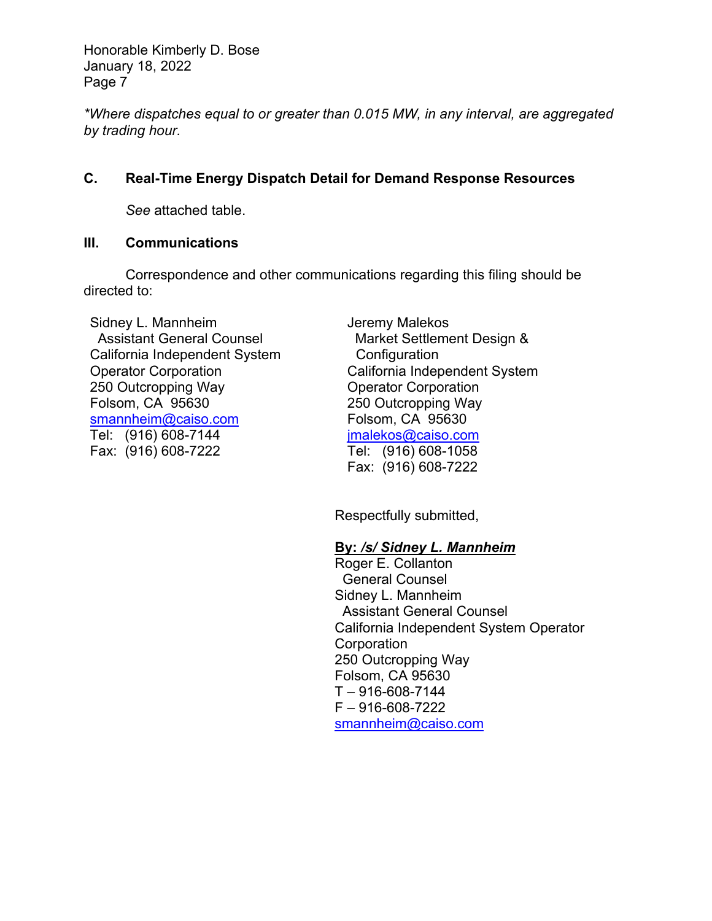Honorable Kimberly D. Bose January 18, 2022 Page 7

*\*Where dispatches equal to or greater than 0.015 MW, in any interval, are aggregated by trading hour.* 

# **C. Real-Time Energy Dispatch Detail for Demand Response Resources**

*See* attached table.

#### **III. Communications**

Correspondence and other communications regarding this filing should be directed to:

Sidney L. Mannheim Assistant General Counsel California Independent System Operator Corporation 250 Outcropping Way Folsom, CA 95630 smannheim@caiso.com Tel: (916) 608-7144 Fax: (916) 608-7222

Jeremy Malekos Market Settlement Design & **Configuration** California Independent System Operator Corporation 250 Outcropping Way Folsom, CA 95630 jmalekos@caiso.com Tel: (916) 608-1058 Fax: (916) 608-7222

Respectfully submitted,

# **By:** */s/ Sidney L. Mannheim*

Roger E. Collanton General Counsel Sidney L. Mannheim Assistant General Counsel California Independent System Operator **Corporation** 250 Outcropping Way Folsom, CA 95630  $T - 916 - 608 - 7144$ F – 916-608-7222 smannheim@caiso.com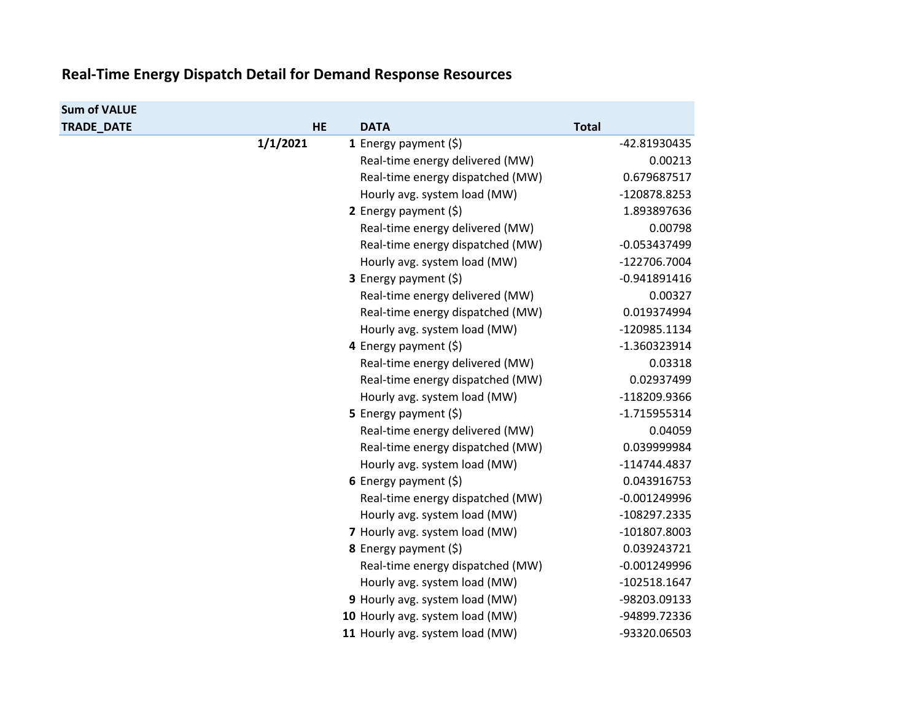#### **Real‐Time Energy Dispatch Detail for Demand Response Resources**

| <b>Sum of VALUE</b> |           |                                  |                |
|---------------------|-----------|----------------------------------|----------------|
| <b>TRADE DATE</b>   | <b>HE</b> | <b>DATA</b>                      | <b>Total</b>   |
|                     | 1/1/2021  | 1 Energy payment $(5)$           | -42.81930435   |
|                     |           | Real-time energy delivered (MW)  | 0.00213        |
|                     |           | Real-time energy dispatched (MW) | 0.679687517    |
|                     |           | Hourly avg. system load (MW)     | -120878.8253   |
|                     |           | 2 Energy payment $(5)$           | 1.893897636    |
|                     |           | Real-time energy delivered (MW)  | 0.00798        |
|                     |           | Real-time energy dispatched (MW) | $-0.053437499$ |
|                     |           | Hourly avg. system load (MW)     | -122706.7004   |
|                     |           | <b>3</b> Energy payment $(\xi)$  | $-0.941891416$ |
|                     |           | Real-time energy delivered (MW)  | 0.00327        |
|                     |           | Real-time energy dispatched (MW) | 0.019374994    |
|                     |           | Hourly avg. system load (MW)     | -120985.1134   |
|                     |           | 4 Energy payment (\$)            | -1.360323914   |
|                     |           | Real-time energy delivered (MW)  | 0.03318        |
|                     |           | Real-time energy dispatched (MW) | 0.02937499     |
|                     |           | Hourly avg. system load (MW)     | -118209.9366   |
|                     |           | 5 Energy payment (\$)            | $-1.715955314$ |
|                     |           | Real-time energy delivered (MW)  | 0.04059        |
|                     |           | Real-time energy dispatched (MW) | 0.039999984    |
|                     |           | Hourly avg. system load (MW)     | -114744.4837   |
|                     |           | 6 Energy payment $(\xi)$         | 0.043916753    |
|                     |           | Real-time energy dispatched (MW) | $-0.001249996$ |
|                     |           | Hourly avg. system load (MW)     | -108297.2335   |
|                     |           | 7 Hourly avg. system load (MW)   | -101807.8003   |
|                     |           | 8 Energy payment (\$)            | 0.039243721    |
|                     |           | Real-time energy dispatched (MW) | $-0.001249996$ |
|                     |           | Hourly avg. system load (MW)     | $-102518.1647$ |
|                     |           | 9 Hourly avg. system load (MW)   | -98203.09133   |
|                     |           | 10 Hourly avg. system load (MW)  | -94899.72336   |
|                     |           | 11 Hourly avg. system load (MW)  | -93320.06503   |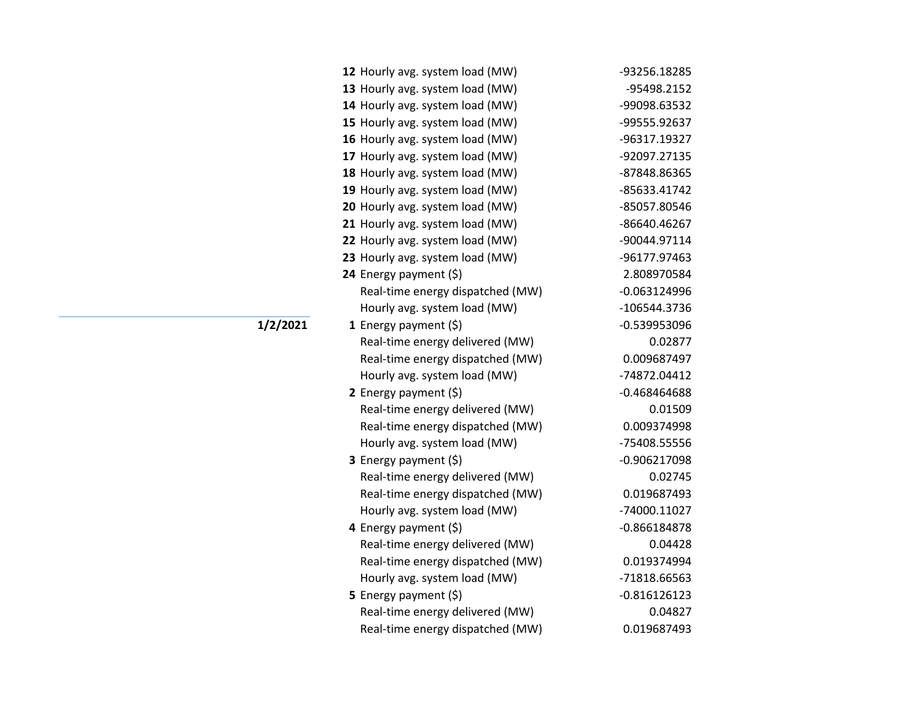| 12 Hourly avg. system load (MW)  | -93256.18285   |
|----------------------------------|----------------|
| 13 Hourly avg. system load (MW)  | -95498.2152    |
| 14 Hourly avg. system load (MW)  | -99098.63532   |
| 15 Hourly avg. system load (MW)  | -99555.92637   |
| 16 Hourly avg. system load (MW)  | -96317.19327   |
| 17 Hourly avg. system load (MW)  | -92097.27135   |
| 18 Hourly avg. system load (MW)  | -87848.86365   |
| 19 Hourly avg. system load (MW)  | -85633.41742   |
| 20 Hourly avg. system load (MW)  | -85057.80546   |
| 21 Hourly avg. system load (MW)  | -86640.46267   |
| 22 Hourly avg. system load (MW)  | -90044.97114   |
| 23 Hourly avg. system load (MW)  | -96177.97463   |
| 24 Energy payment (\$)           | 2.808970584    |
| Real-time energy dispatched (MW) | $-0.063124996$ |
| Hourly avg. system load (MW)     | -106544.3736   |
| 1 Energy payment $(\xi)$         | -0.539953096   |
| Real-time energy delivered (MW)  | 0.02877        |
| Real-time energy dispatched (MW) | 0.009687497    |
| Hourly avg. system load (MW)     | -74872.04412   |
| 2 Energy payment $(\xi)$         | $-0.468464688$ |
| Real-time energy delivered (MW)  | 0.01509        |
| Real-time energy dispatched (MW) | 0.009374998    |
| Hourly avg. system load (MW)     | -75408.55556   |
| <b>3</b> Energy payment $(\xi)$  | $-0.906217098$ |
| Real-time energy delivered (MW)  | 0.02745        |
| Real-time energy dispatched (MW) | 0.019687493    |
| Hourly avg. system load (MW)     | -74000.11027   |
| 4 Energy payment (\$)            | $-0.866184878$ |
| Real-time energy delivered (MW)  | 0.04428        |
| Real-time energy dispatched (MW) | 0.019374994    |
| Hourly avg. system load (MW)     | -71818.66563   |
| 5 Energy payment (\$)            | $-0.816126123$ |
| Real-time energy delivered (MW)  | 0.04827        |
| Real-time energy dispatched (MW) | 0.019687493    |

**1/2/2021**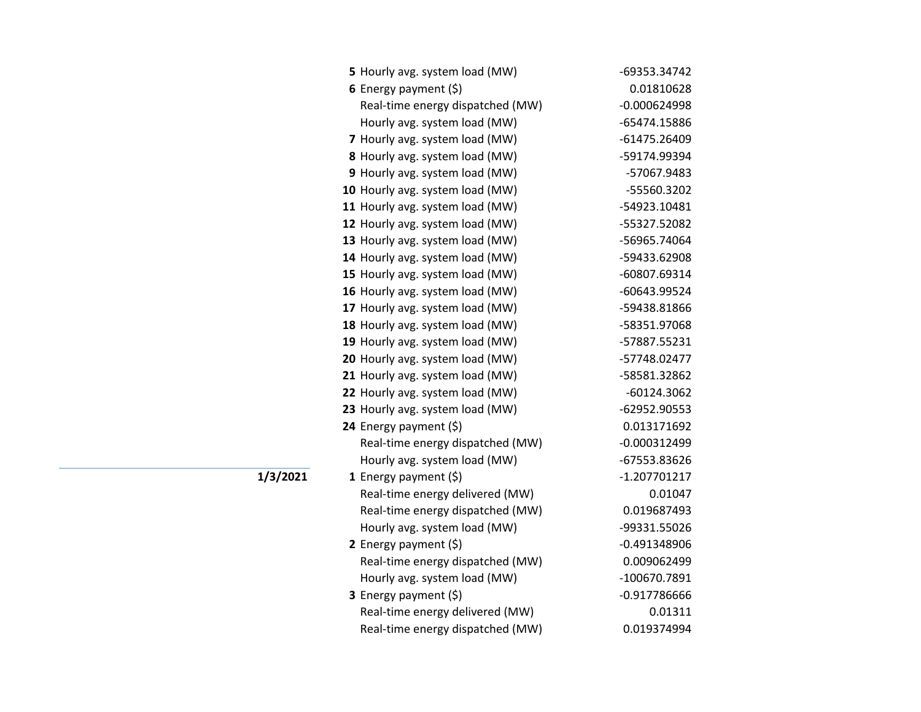| 5 Hourly avg. system load (MW)   | -69353.34742   |
|----------------------------------|----------------|
| 6 Energy payment (\$)            | 0.01810628     |
| Real-time energy dispatched (MW) | $-0.000624998$ |
| Hourly avg. system load (MW)     | -65474.15886   |
| 7 Hourly avg. system load (MW)   | -61475.26409   |
| 8 Hourly avg. system load (MW)   | -59174.99394   |
| 9 Hourly avg. system load (MW)   | -57067.9483    |
| 10 Hourly avg. system load (MW)  | -55560.3202    |
| 11 Hourly avg. system load (MW)  | -54923.10481   |
| 12 Hourly avg. system load (MW)  | -55327.52082   |
| 13 Hourly avg. system load (MW)  | -56965.74064   |
| 14 Hourly avg. system load (MW)  | -59433.62908   |
| 15 Hourly avg. system load (MW)  | -60807.69314   |
| 16 Hourly avg. system load (MW)  | -60643.99524   |
| 17 Hourly avg. system load (MW)  | -59438.81866   |
| 18 Hourly avg. system load (MW)  | -58351.97068   |
| 19 Hourly avg. system load (MW)  | -57887.55231   |
| 20 Hourly avg. system load (MW)  | -57748.02477   |
| 21 Hourly avg. system load (MW)  | -58581.32862   |
| 22 Hourly avg. system load (MW)  | $-60124.3062$  |
| 23 Hourly avg. system load (MW)  | -62952.90553   |
| 24 Energy payment (\$)           | 0.013171692    |
| Real-time energy dispatched (MW) | $-0.000312499$ |
| Hourly avg. system load (MW)     | -67553.83626   |
| 1 Energy payment $(\xi)$         | $-1.207701217$ |
| Real-time energy delivered (MW)  | 0.01047        |
| Real-time energy dispatched (MW) | 0.019687493    |
| Hourly avg. system load (MW)     | -99331.55026   |
| 2 Energy payment $(5)$           | $-0.491348906$ |
| Real-time energy dispatched (MW) | 0.009062499    |
| Hourly avg. system load (MW)     | -100670.7891   |
| 3 Energy payment (\$)            | $-0.917786666$ |
| Real-time energy delivered (MW)  | 0.01311        |
| Real-time energy dispatched (MW) | 0.019374994    |

**1/3/2021**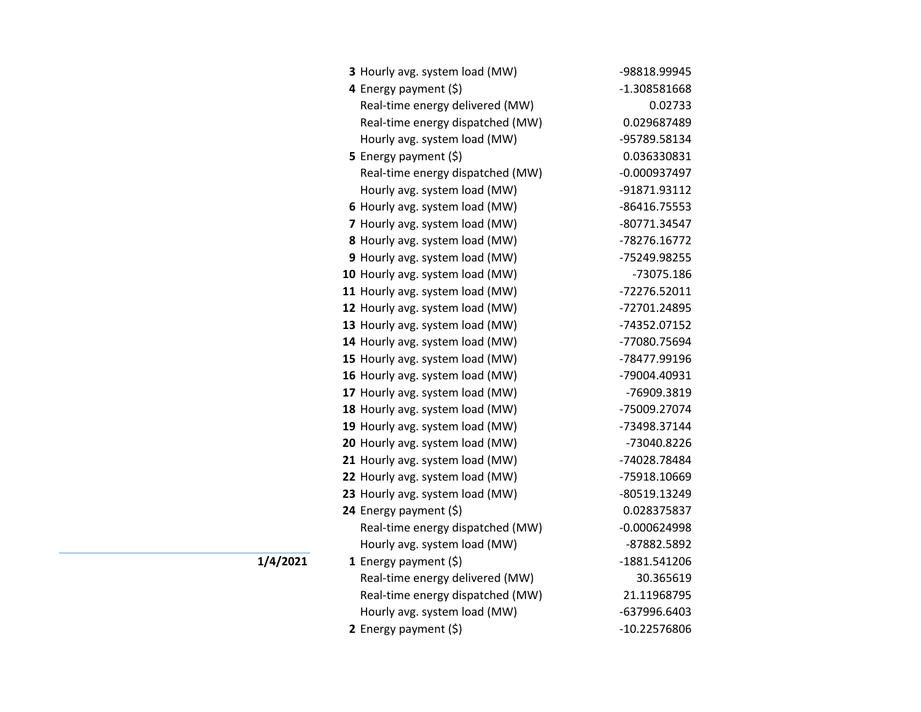| 3 Hourly avg. system load (MW)   | -98818.99945   |
|----------------------------------|----------------|
| 4 Energy payment (\$)            | -1.308581668   |
| Real-time energy delivered (MW)  | 0.02733        |
| Real-time energy dispatched (MW) | 0.029687489    |
| Hourly avg. system load (MW)     | -95789.58134   |
| 5 Energy payment $(\xi)$         | 0.036330831    |
| Real-time energy dispatched (MW) | $-0.000937497$ |
| Hourly avg. system load (MW)     | -91871.93112   |
| 6 Hourly avg. system load (MW)   | -86416.75553   |
| 7 Hourly avg. system load (MW)   | -80771.34547   |
| 8 Hourly avg. system load (MW)   | -78276.16772   |
| 9 Hourly avg. system load (MW)   | -75249.98255   |
| 10 Hourly avg. system load (MW)  | -73075.186     |
| 11 Hourly avg. system load (MW)  | -72276.52011   |
| 12 Hourly avg. system load (MW)  | -72701.24895   |
| 13 Hourly avg. system load (MW)  | -74352.07152   |
| 14 Hourly avg. system load (MW)  | -77080.75694   |
| 15 Hourly avg. system load (MW)  | -78477.99196   |
| 16 Hourly avg. system load (MW)  | -79004.40931   |
| 17 Hourly avg. system load (MW)  | -76909.3819    |
| 18 Hourly avg. system load (MW)  | -75009.27074   |
| 19 Hourly avg. system load (MW)  | -73498.37144   |
| 20 Hourly avg. system load (MW)  | -73040.8226    |
| 21 Hourly avg. system load (MW)  | -74028.78484   |
| 22 Hourly avg. system load (MW)  | -75918.10669   |
| 23 Hourly avg. system load (MW)  | -80519.13249   |
| 24 Energy payment (\$)           | 0.028375837    |
| Real-time energy dispatched (MW) | $-0.000624998$ |
| Hourly avg. system load (MW)     | -87882.5892    |
| 1 Energy payment $(\xi)$         | -1881.541206   |
| Real-time energy delivered (MW)  | 30.365619      |
| Real-time energy dispatched (MW) | 21.11968795    |
| Hourly avg. system load (MW)     | -637996.6403   |
| 2 Energy payment (\$)            | -10.22576806   |

**1/4/2021**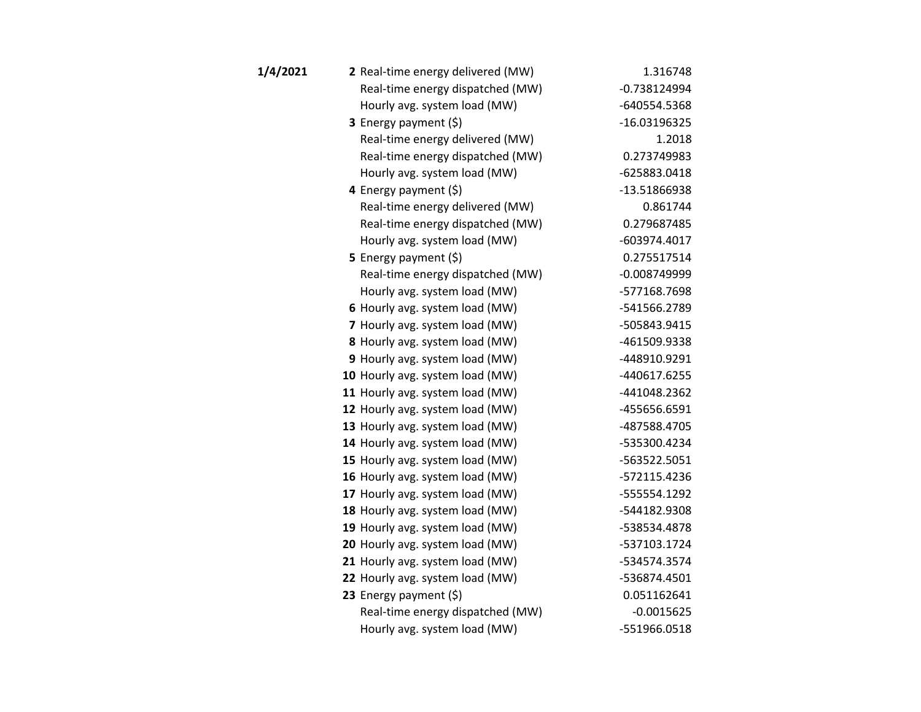| 1/4/2021 | 2 Real-time energy delivered (MW) | 1.316748       |
|----------|-----------------------------------|----------------|
|          | Real-time energy dispatched (MW)  | $-0.738124994$ |
|          | Hourly avg. system load (MW)      | -640554.5368   |
|          | <b>3</b> Energy payment $(\xi)$   | -16.03196325   |
|          | Real-time energy delivered (MW)   | 1.2018         |
|          | Real-time energy dispatched (MW)  | 0.273749983    |
|          | Hourly avg. system load (MW)      | -625883.0418   |
|          | 4 Energy payment (\$)             | -13.51866938   |
|          | Real-time energy delivered (MW)   | 0.861744       |
|          | Real-time energy dispatched (MW)  | 0.279687485    |
|          | Hourly avg. system load (MW)      | -603974.4017   |
|          | 5 Energy payment $(5)$            | 0.275517514    |
|          | Real-time energy dispatched (MW)  | $-0.008749999$ |
|          | Hourly avg. system load (MW)      | -577168.7698   |
|          | 6 Hourly avg. system load (MW)    | -541566.2789   |
|          | 7 Hourly avg. system load (MW)    | -505843.9415   |
|          | 8 Hourly avg. system load (MW)    | -461509.9338   |
|          | 9 Hourly avg. system load (MW)    | -448910.9291   |
|          | 10 Hourly avg. system load (MW)   | -440617.6255   |
|          | 11 Hourly avg. system load (MW)   | -441048.2362   |
|          | 12 Hourly avg. system load (MW)   | -455656.6591   |
|          | 13 Hourly avg. system load (MW)   | -487588.4705   |
|          | 14 Hourly avg. system load (MW)   | -535300.4234   |
|          | 15 Hourly avg. system load (MW)   | -563522.5051   |
|          | 16 Hourly avg. system load (MW)   | -572115.4236   |
|          | 17 Hourly avg. system load (MW)   | -555554.1292   |
|          | 18 Hourly avg. system load (MW)   | -544182.9308   |
|          | 19 Hourly avg. system load (MW)   | -538534.4878   |
|          | 20 Hourly avg. system load (MW)   | -537103.1724   |
|          | 21 Hourly avg. system load (MW)   | -534574.3574   |
|          | 22 Hourly avg. system load (MW)   | -536874.4501   |
|          | 23 Energy payment (\$)            | 0.051162641    |
|          | Real-time energy dispatched (MW)  | $-0.0015625$   |
|          | Hourly avg. system load (MW)      | -551966.0518   |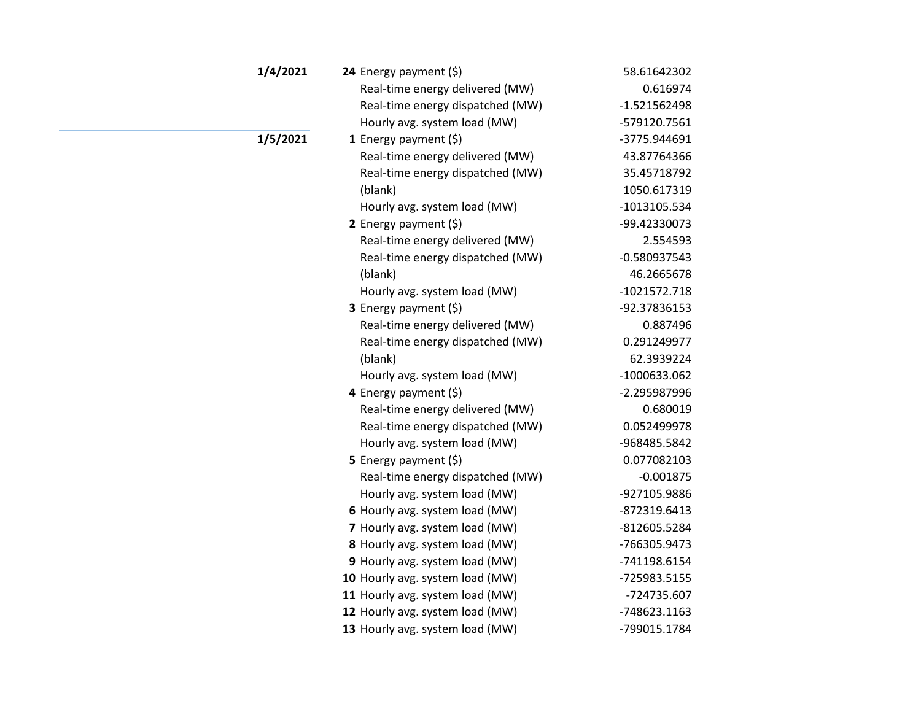| 1/4/2021 | 24 Energy payment $(\xi)$        | 58.61642302    |
|----------|----------------------------------|----------------|
|          | Real-time energy delivered (MW)  | 0.616974       |
|          | Real-time energy dispatched (MW) | $-1.521562498$ |
|          | Hourly avg. system load (MW)     | -579120.7561   |
| 1/5/2021 | 1 Energy payment $(\xi)$         | -3775.944691   |
|          | Real-time energy delivered (MW)  | 43.87764366    |
|          | Real-time energy dispatched (MW) | 35.45718792    |
|          | (blank)                          | 1050.617319    |
|          | Hourly avg. system load (MW)     | -1013105.534   |
|          | 2 Energy payment $(5)$           | -99.42330073   |
|          | Real-time energy delivered (MW)  | 2.554593       |
|          | Real-time energy dispatched (MW) | $-0.580937543$ |
|          | (blank)                          | 46.2665678     |
|          | Hourly avg. system load (MW)     | $-1021572.718$ |
|          | 3 Energy payment (\$)            | -92.37836153   |
|          | Real-time energy delivered (MW)  | 0.887496       |
|          | Real-time energy dispatched (MW) | 0.291249977    |
|          | (blank)                          | 62.3939224     |
|          | Hourly avg. system load (MW)     | -1000633.062   |
|          | 4 Energy payment (\$)            | -2.295987996   |
|          | Real-time energy delivered (MW)  | 0.680019       |
|          | Real-time energy dispatched (MW) | 0.052499978    |
|          | Hourly avg. system load (MW)     | -968485.5842   |
|          | 5 Energy payment (\$)            | 0.077082103    |
|          | Real-time energy dispatched (MW) | $-0.001875$    |
|          | Hourly avg. system load (MW)     | -927105.9886   |
|          | 6 Hourly avg. system load (MW)   | -872319.6413   |
|          | 7 Hourly avg. system load (MW)   | -812605.5284   |
|          | 8 Hourly avg. system load (MW)   | -766305.9473   |
|          | 9 Hourly avg. system load (MW)   | -741198.6154   |
|          | 10 Hourly avg. system load (MW)  | -725983.5155   |
|          | 11 Hourly avg. system load (MW)  | -724735.607    |
|          | 12 Hourly avg. system load (MW)  | -748623.1163   |
|          | 13 Hourly avg. system load (MW)  | -799015.1784   |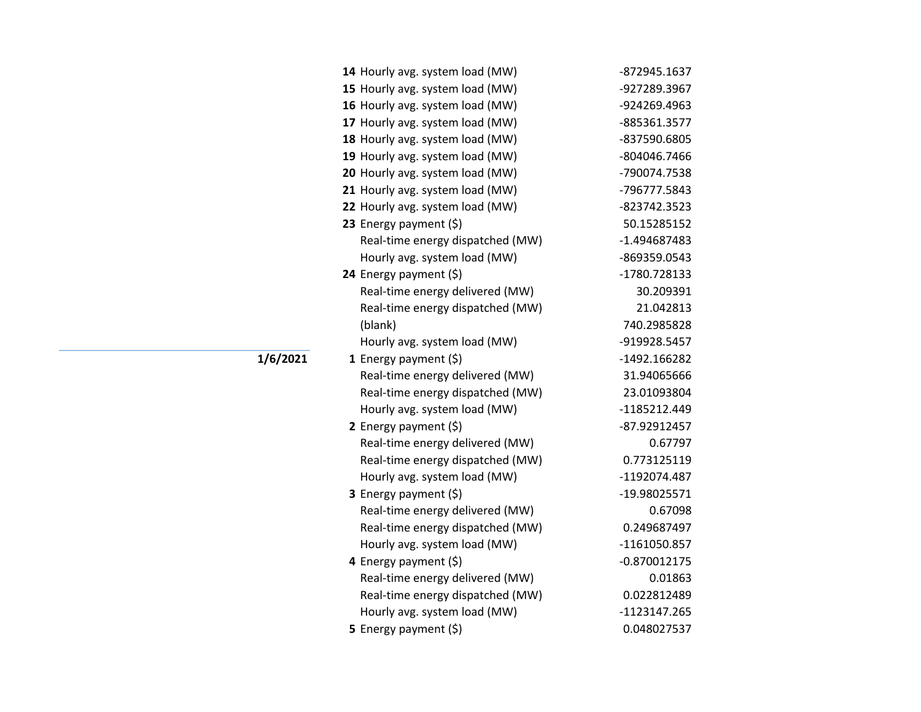| 14 Hourly avg. system load (MW)  | -872945.1637   |
|----------------------------------|----------------|
| 15 Hourly avg. system load (MW)  | -927289.3967   |
| 16 Hourly avg. system load (MW)  | -924269.4963   |
| 17 Hourly avg. system load (MW)  | -885361.3577   |
| 18 Hourly avg. system load (MW)  | -837590.6805   |
| 19 Hourly avg. system load (MW)  | -804046.7466   |
| 20 Hourly avg. system load (MW)  | -790074.7538   |
| 21 Hourly avg. system load (MW)  | -796777.5843   |
| 22 Hourly avg. system load (MW)  | -823742.3523   |
| 23 Energy payment $(\xi)$        | 50.15285152    |
| Real-time energy dispatched (MW) | -1.494687483   |
| Hourly avg. system load (MW)     | -869359.0543   |
| 24 Energy payment (\$)           | -1780.728133   |
| Real-time energy delivered (MW)  | 30.209391      |
| Real-time energy dispatched (MW) | 21.042813      |
| (blank)                          | 740.2985828    |
| Hourly avg. system load (MW)     | -919928.5457   |
| 1 Energy payment $(\xi)$         | -1492.166282   |
| Real-time energy delivered (MW)  | 31.94065666    |
| Real-time energy dispatched (MW) | 23.01093804    |
| Hourly avg. system load (MW)     | -1185212.449   |
| 2 Energy payment (\$)            | -87.92912457   |
| Real-time energy delivered (MW)  | 0.67797        |
| Real-time energy dispatched (MW) | 0.773125119    |
| Hourly avg. system load (MW)     | -1192074.487   |
| 3 Energy payment (\$)            | -19.98025571   |
| Real-time energy delivered (MW)  | 0.67098        |
| Real-time energy dispatched (MW) | 0.249687497    |
| Hourly avg. system load (MW)     | -1161050.857   |
| 4 Energy payment (\$)            | $-0.870012175$ |
| Real-time energy delivered (MW)  | 0.01863        |
| Real-time energy dispatched (MW) | 0.022812489    |
| Hourly avg. system load (MW)     | -1123147.265   |
| 5 Energy payment (\$)            | 0.048027537    |

**1/6/2021**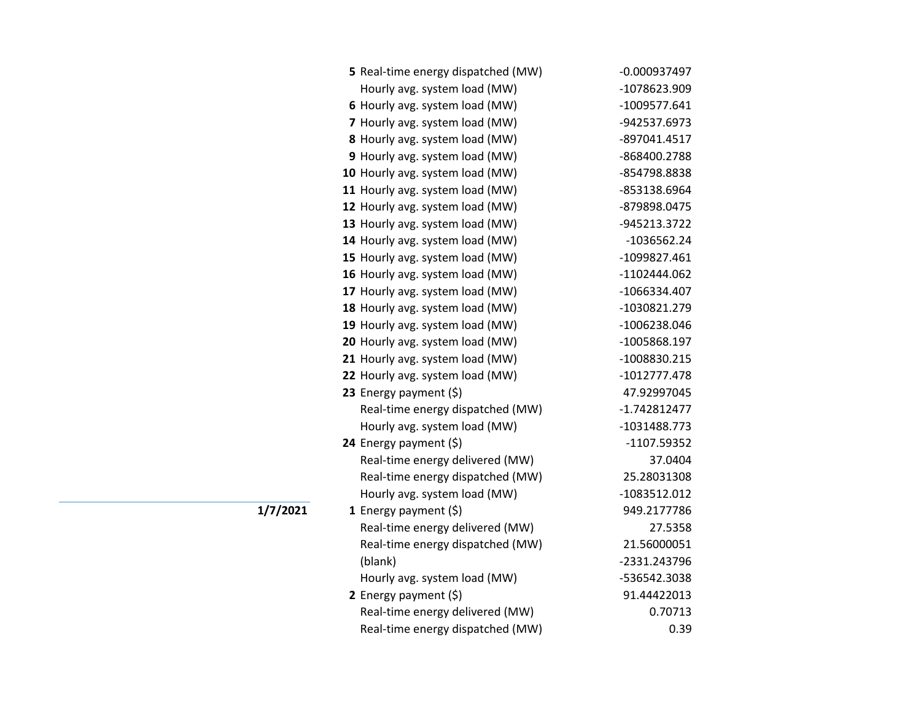| 5 Real-time energy dispatched (MW) | $-0.000937497$ |
|------------------------------------|----------------|
| Hourly avg. system load (MW)       | -1078623.909   |
| 6 Hourly avg. system load (MW)     | $-1009577.641$ |
| 7 Hourly avg. system load (MW)     | -942537.6973   |
| 8 Hourly avg. system load (MW)     | -897041.4517   |
| 9 Hourly avg. system load (MW)     | -868400.2788   |
| 10 Hourly avg. system load (MW)    | -854798.8838   |
| 11 Hourly avg. system load (MW)    | -853138.6964   |
| 12 Hourly avg. system load (MW)    | -879898.0475   |
| 13 Hourly avg. system load (MW)    | -945213.3722   |
| 14 Hourly avg. system load (MW)    | $-1036562.24$  |
| 15 Hourly avg. system load (MW)    | -1099827.461   |
| 16 Hourly avg. system load (MW)    | -1102444.062   |
| 17 Hourly avg. system load (MW)    | -1066334.407   |
| 18 Hourly avg. system load (MW)    | -1030821.279   |
| 19 Hourly avg. system load (MW)    | -1006238.046   |
| 20 Hourly avg. system load (MW)    | -1005868.197   |
| 21 Hourly avg. system load (MW)    | -1008830.215   |
| 22 Hourly avg. system load (MW)    | -1012777.478   |
| 23 Energy payment (\$)             | 47.92997045    |
| Real-time energy dispatched (MW)   | $-1.742812477$ |
| Hourly avg. system load (MW)       | -1031488.773   |
| 24 Energy payment (\$)             | $-1107.59352$  |
| Real-time energy delivered (MW)    | 37.0404        |
| Real-time energy dispatched (MW)   | 25.28031308    |
| Hourly avg. system load (MW)       | -1083512.012   |
| 1 Energy payment $(\xi)$           | 949.2177786    |
| Real-time energy delivered (MW)    | 27.5358        |
| Real-time energy dispatched (MW)   | 21.56000051    |
| (blank)                            | -2331.243796   |
| Hourly avg. system load (MW)       | -536542.3038   |
| 2 Energy payment (\$)              | 91.44422013    |
| Real-time energy delivered (MW)    | 0.70713        |
| Real-time energy dispatched (MW)   | 0.39           |

**1/7/2021**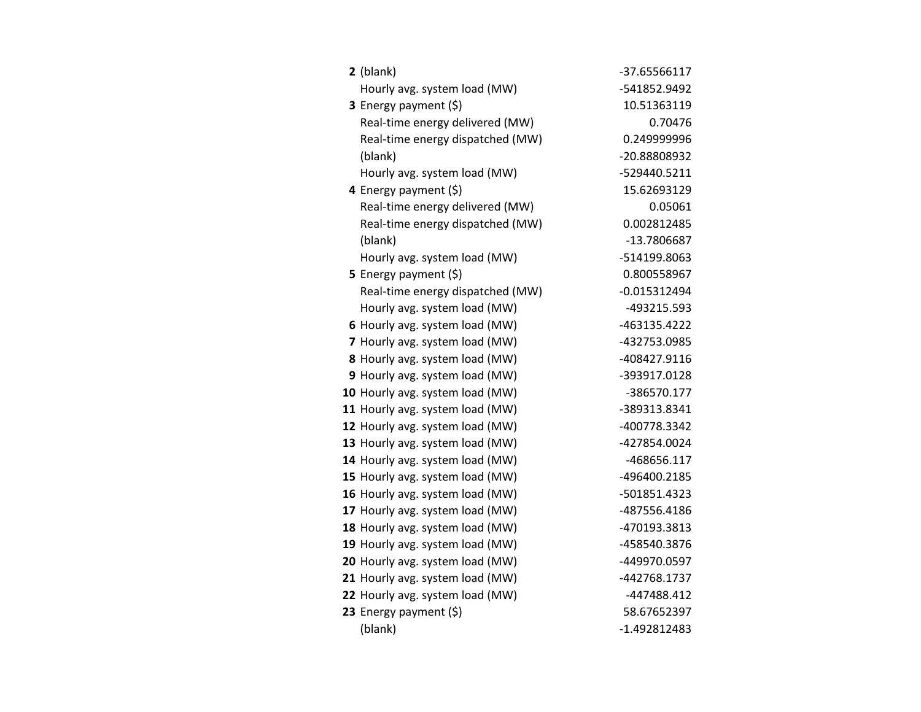| $2$ (blank)                      | -37.65566117   |
|----------------------------------|----------------|
| Hourly avg. system load (MW)     | -541852.9492   |
| 3 Energy payment (\$)            | 10.51363119    |
| Real-time energy delivered (MW)  | 0.70476        |
| Real-time energy dispatched (MW) | 0.249999996    |
| (blank)                          | -20.88808932   |
| Hourly avg. system load (MW)     | -529440.5211   |
| 4 Energy payment (\$)            | 15.62693129    |
| Real-time energy delivered (MW)  | 0.05061        |
| Real-time energy dispatched (MW) | 0.002812485    |
| (blank)                          | -13.7806687    |
| Hourly avg. system load (MW)     | -514199.8063   |
| 5 Energy payment $(\xi)$         | 0.800558967    |
| Real-time energy dispatched (MW) | $-0.015312494$ |
| Hourly avg. system load (MW)     | -493215.593    |
| 6 Hourly avg. system load (MW)   | -463135.4222   |
| 7 Hourly avg. system load (MW)   | -432753.0985   |
| 8 Hourly avg. system load (MW)   | -408427.9116   |
| 9 Hourly avg. system load (MW)   | -393917.0128   |
| 10 Hourly avg. system load (MW)  | -386570.177    |
| 11 Hourly avg. system load (MW)  | -389313.8341   |
| 12 Hourly avg. system load (MW)  | -400778.3342   |
| 13 Hourly avg. system load (MW)  | -427854.0024   |
| 14 Hourly avg. system load (MW)  | -468656.117    |
| 15 Hourly avg. system load (MW)  | -496400.2185   |
| 16 Hourly avg. system load (MW)  | -501851.4323   |
| 17 Hourly avg. system load (MW)  | -487556.4186   |
| 18 Hourly avg. system load (MW)  | -470193.3813   |
| 19 Hourly avg. system load (MW)  | -458540.3876   |
| 20 Hourly avg. system load (MW)  | -449970.0597   |
| 21 Hourly avg. system load (MW)  | -442768.1737   |
| 22 Hourly avg. system load (MW)  | -447488.412    |
| 23 Energy payment (\$)           | 58.67652397    |
| (blank)                          | $-1.492812483$ |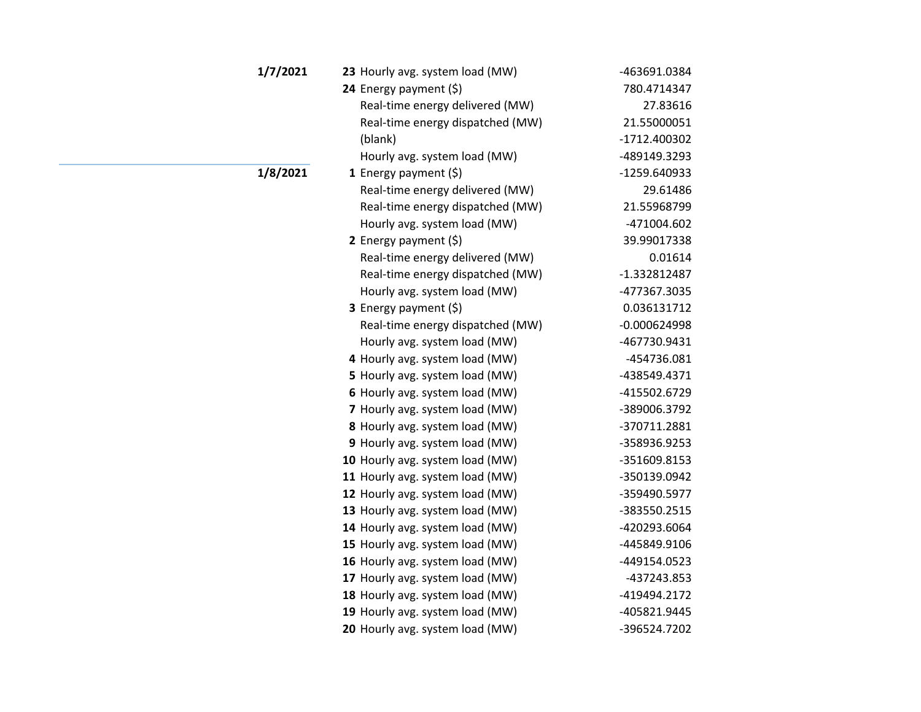| 1/7/2021 | 23 Hourly avg. system load (MW)  | -463691.0384   |
|----------|----------------------------------|----------------|
|          | 24 Energy payment $(\xi)$        | 780.4714347    |
|          | Real-time energy delivered (MW)  | 27.83616       |
|          | Real-time energy dispatched (MW) | 21.55000051    |
|          | (blank)                          | -1712.400302   |
|          | Hourly avg. system load (MW)     | -489149.3293   |
| 1/8/2021 | <b>1</b> Energy payment $(\xi)$  | -1259.640933   |
|          | Real-time energy delivered (MW)  | 29.61486       |
|          | Real-time energy dispatched (MW) | 21.55968799    |
|          | Hourly avg. system load (MW)     | -471004.602    |
|          | 2 Energy payment $(5)$           | 39.99017338    |
|          | Real-time energy delivered (MW)  | 0.01614        |
|          | Real-time energy dispatched (MW) | -1.332812487   |
|          | Hourly avg. system load (MW)     | -477367.3035   |
|          | 3 Energy payment (\$)            | 0.036131712    |
|          | Real-time energy dispatched (MW) | $-0.000624998$ |
|          | Hourly avg. system load (MW)     | -467730.9431   |
|          | 4 Hourly avg. system load (MW)   | -454736.081    |
|          | 5 Hourly avg. system load (MW)   | -438549.4371   |
|          | 6 Hourly avg. system load (MW)   | -415502.6729   |
|          | 7 Hourly avg. system load (MW)   | -389006.3792   |
|          | 8 Hourly avg. system load (MW)   | -370711.2881   |
|          | 9 Hourly avg. system load (MW)   | -358936.9253   |
|          | 10 Hourly avg. system load (MW)  | -351609.8153   |
|          | 11 Hourly avg. system load (MW)  | -350139.0942   |
|          | 12 Hourly avg. system load (MW)  | -359490.5977   |
|          | 13 Hourly avg. system load (MW)  | -383550.2515   |
|          | 14 Hourly avg. system load (MW)  | -420293.6064   |
|          | 15 Hourly avg. system load (MW)  | -445849.9106   |
|          | 16 Hourly avg. system load (MW)  | -449154.0523   |
|          | 17 Hourly avg. system load (MW)  | -437243.853    |
|          | 18 Hourly avg. system load (MW)  | -419494.2172   |
|          | 19 Hourly avg. system load (MW)  | -405821.9445   |
|          | 20 Hourly avg. system load (MW)  | -396524.7202   |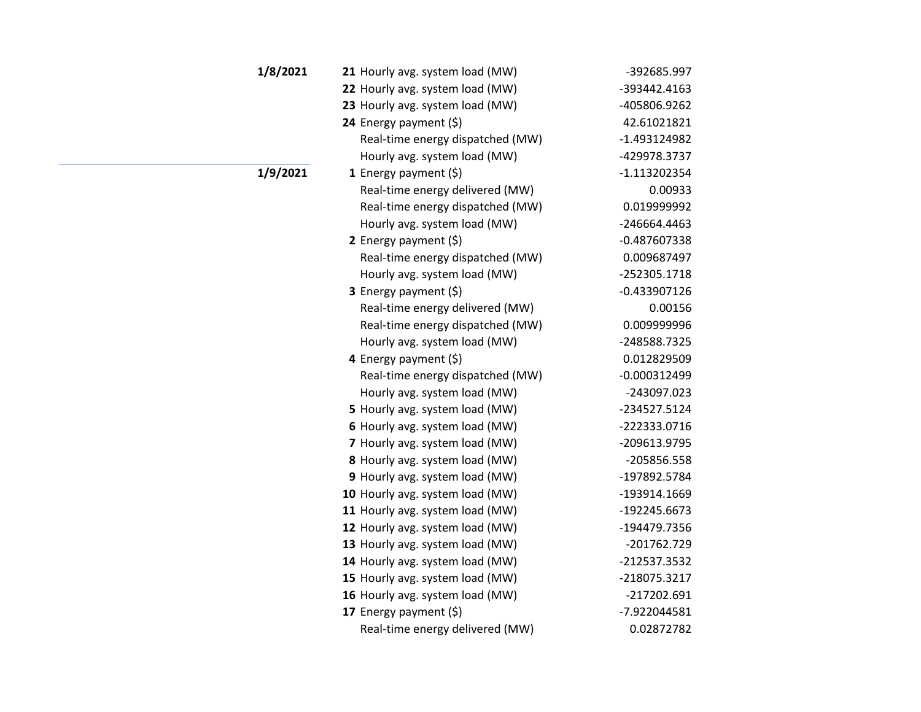| 1/8/2021 | 21 Hourly avg. system load (MW)  | -392685.997    |
|----------|----------------------------------|----------------|
|          | 22 Hourly avg. system load (MW)  | -393442.4163   |
|          | 23 Hourly avg. system load (MW)  | -405806.9262   |
|          | 24 Energy payment (\$)           | 42.61021821    |
|          | Real-time energy dispatched (MW) | -1.493124982   |
|          | Hourly avg. system load (MW)     | -429978.3737   |
| 1/9/2021 | 1 Energy payment $(\xi)$         | $-1.113202354$ |
|          | Real-time energy delivered (MW)  | 0.00933        |
|          | Real-time energy dispatched (MW) | 0.019999992    |
|          | Hourly avg. system load (MW)     | -246664.4463   |
|          | 2 Energy payment $(5)$           | $-0.487607338$ |
|          | Real-time energy dispatched (MW) | 0.009687497    |
|          | Hourly avg. system load (MW)     | -252305.1718   |
|          | <b>3</b> Energy payment $(\xi)$  | $-0.433907126$ |
|          | Real-time energy delivered (MW)  | 0.00156        |
|          | Real-time energy dispatched (MW) | 0.009999996    |
|          | Hourly avg. system load (MW)     | -248588.7325   |
|          | 4 Energy payment (\$)            | 0.012829509    |
|          | Real-time energy dispatched (MW) | $-0.000312499$ |
|          | Hourly avg. system load (MW)     | -243097.023    |
|          | 5 Hourly avg. system load (MW)   | -234527.5124   |
|          | 6 Hourly avg. system load (MW)   | -222333.0716   |
|          | 7 Hourly avg. system load (MW)   | -209613.9795   |
|          | 8 Hourly avg. system load (MW)   | -205856.558    |
|          | 9 Hourly avg. system load (MW)   | -197892.5784   |
|          | 10 Hourly avg. system load (MW)  | -193914.1669   |
|          | 11 Hourly avg. system load (MW)  | -192245.6673   |
|          | 12 Hourly avg. system load (MW)  | -194479.7356   |
|          | 13 Hourly avg. system load (MW)  | -201762.729    |
|          | 14 Hourly avg. system load (MW)  | -212537.3532   |
|          | 15 Hourly avg. system load (MW)  | -218075.3217   |
|          | 16 Hourly avg. system load (MW)  | -217202.691    |
|          | 17 Energy payment (\$)           | -7.922044581   |
|          | Real-time energy delivered (MW)  | 0.02872782     |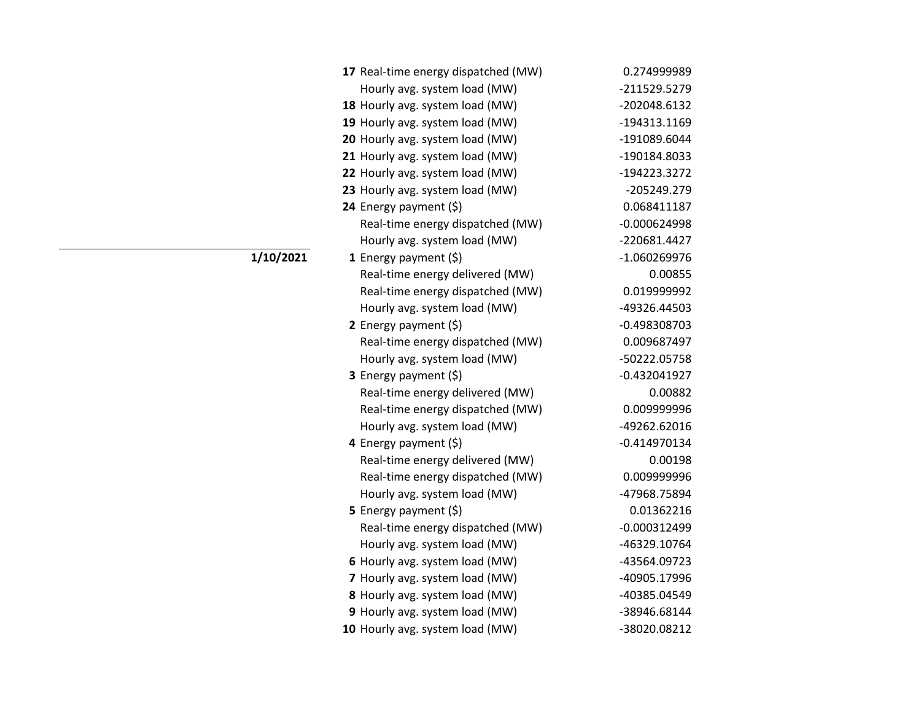| 17 Real-time energy dispatched (MW) | 0.274999989    |
|-------------------------------------|----------------|
| Hourly avg. system load (MW)        | -211529.5279   |
| 18 Hourly avg. system load (MW)     | -202048.6132   |
| 19 Hourly avg. system load (MW)     | -194313.1169   |
| 20 Hourly avg. system load (MW)     | -191089.6044   |
| 21 Hourly avg. system load (MW)     | -190184.8033   |
| 22 Hourly avg. system load (MW)     | -194223.3272   |
| 23 Hourly avg. system load (MW)     | -205249.279    |
| 24 Energy payment (\$)              | 0.068411187    |
| Real-time energy dispatched (MW)    | $-0.000624998$ |
| Hourly avg. system load (MW)        | -220681.4427   |
| 1 Energy payment $(\xi)$            | -1.060269976   |
| Real-time energy delivered (MW)     | 0.00855        |
| Real-time energy dispatched (MW)    | 0.019999992    |
| Hourly avg. system load (MW)        | -49326.44503   |
| 2 Energy payment $(5)$              | $-0.498308703$ |
| Real-time energy dispatched (MW)    | 0.009687497    |
| Hourly avg. system load (MW)        | -50222.05758   |
| <b>3</b> Energy payment $(\xi)$     | $-0.432041927$ |
| Real-time energy delivered (MW)     | 0.00882        |
| Real-time energy dispatched (MW)    | 0.009999996    |
| Hourly avg. system load (MW)        | -49262.62016   |
| 4 Energy payment (\$)               | $-0.414970134$ |
| Real-time energy delivered (MW)     | 0.00198        |
| Real-time energy dispatched (MW)    | 0.009999996    |
| Hourly avg. system load (MW)        | -47968.75894   |
| <b>5</b> Energy payment $(\xi)$     | 0.01362216     |
| Real-time energy dispatched (MW)    | $-0.000312499$ |
| Hourly avg. system load (MW)        | -46329.10764   |
| 6 Hourly avg. system load (MW)      | -43564.09723   |
| 7 Hourly avg. system load (MW)      | -40905.17996   |
| 8 Hourly avg. system load (MW)      | -40385.04549   |
| 9 Hourly avg. system load (MW)      | -38946.68144   |
| 10 Hourly avg. system load (MW)     | -38020.08212   |

## **1/10/2021**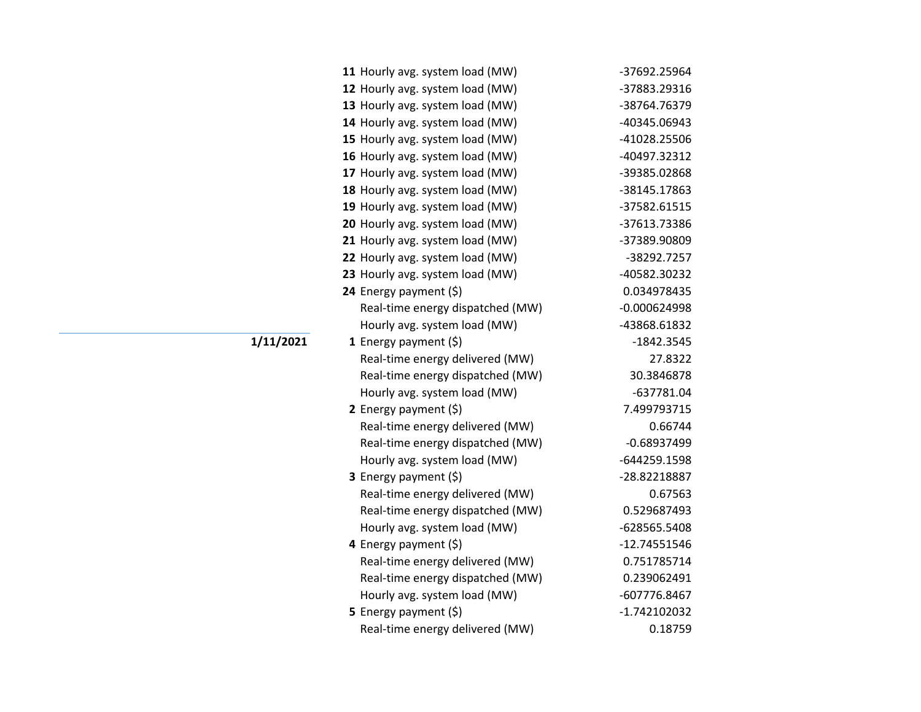| 11 Hourly avg. system load (MW)  | -37692.25964   |
|----------------------------------|----------------|
| 12 Hourly avg. system load (MW)  | -37883.29316   |
| 13 Hourly avg. system load (MW)  | -38764.76379   |
| 14 Hourly avg. system load (MW)  | -40345.06943   |
| 15 Hourly avg. system load (MW)  | -41028.25506   |
| 16 Hourly avg. system load (MW)  | -40497.32312   |
| 17 Hourly avg. system load (MW)  | -39385.02868   |
| 18 Hourly avg. system load (MW)  | -38145.17863   |
| 19 Hourly avg. system load (MW)  | -37582.61515   |
| 20 Hourly avg. system load (MW)  | -37613.73386   |
| 21 Hourly avg. system load (MW)  | -37389.90809   |
| 22 Hourly avg. system load (MW)  | -38292.7257    |
| 23 Hourly avg. system load (MW)  | -40582.30232   |
| 24 Energy payment (\$)           | 0.034978435    |
| Real-time energy dispatched (MW) | $-0.000624998$ |
| Hourly avg. system load (MW)     | -43868.61832   |
| 1 Energy payment $(5)$           | $-1842.3545$   |
| Real-time energy delivered (MW)  | 27.8322        |
| Real-time energy dispatched (MW) | 30.3846878     |
| Hourly avg. system load (MW)     | $-637781.04$   |
| 2 Energy payment (\$)            | 7.499793715    |
| Real-time energy delivered (MW)  | 0.66744        |
| Real-time energy dispatched (MW) | $-0.68937499$  |
| Hourly avg. system load (MW)     | -644259.1598   |
| 3 Energy payment (\$)            | -28.82218887   |
| Real-time energy delivered (MW)  | 0.67563        |
| Real-time energy dispatched (MW) | 0.529687493    |
| Hourly avg. system load (MW)     | -628565.5408   |
| 4 Energy payment (\$)            | -12.74551546   |
| Real-time energy delivered (MW)  | 0.751785714    |
| Real-time energy dispatched (MW) | 0.239062491    |
| Hourly avg. system load (MW)     | -607776.8467   |
| <b>5</b> Energy payment $(\xi)$  | -1.742102032   |
| Real-time energy delivered (MW)  | 0.18759        |

## **1/11/2021**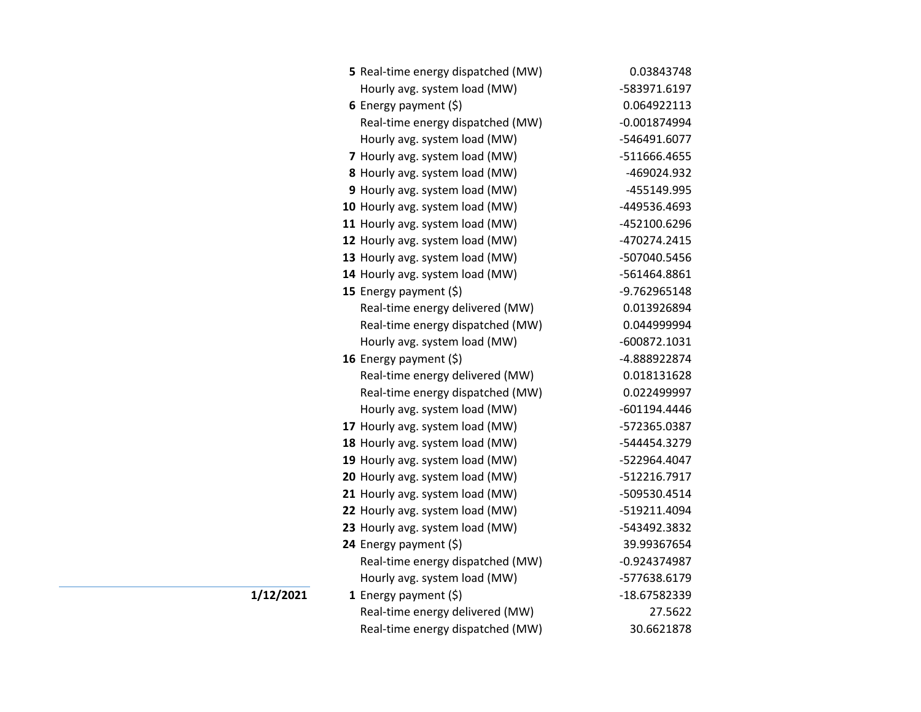| 5 Real-time energy dispatched (MW) | 0.03843748     |
|------------------------------------|----------------|
| Hourly avg. system load (MW)       | -583971.6197   |
| 6 Energy payment $(5)$             | 0.064922113    |
| Real-time energy dispatched (MW)   | $-0.001874994$ |
| Hourly avg. system load (MW)       | -546491.6077   |
| 7 Hourly avg. system load (MW)     | -511666.4655   |
| 8 Hourly avg. system load (MW)     | -469024.932    |
| 9 Hourly avg. system load (MW)     | -455149.995    |
| 10 Hourly avg. system load (MW)    | -449536.4693   |
| 11 Hourly avg. system load (MW)    | -452100.6296   |
| 12 Hourly avg. system load (MW)    | -470274.2415   |
| 13 Hourly avg. system load (MW)    | -507040.5456   |
| 14 Hourly avg. system load (MW)    | -561464.8861   |
| 15 Energy payment (\$)             | -9.762965148   |
| Real-time energy delivered (MW)    | 0.013926894    |
| Real-time energy dispatched (MW)   | 0.044999994    |
| Hourly avg. system load (MW)       | -600872.1031   |
| 16 Energy payment (\$)             | -4.888922874   |
| Real-time energy delivered (MW)    | 0.018131628    |
| Real-time energy dispatched (MW)   | 0.022499997    |
| Hourly avg. system load (MW)       | -601194.4446   |
| 17 Hourly avg. system load (MW)    | -572365.0387   |
| 18 Hourly avg. system load (MW)    | -544454.3279   |
| 19 Hourly avg. system load (MW)    | -522964.4047   |
| 20 Hourly avg. system load (MW)    | -512216.7917   |
| 21 Hourly avg. system load (MW)    | -509530.4514   |
| 22 Hourly avg. system load (MW)    | -519211.4094   |
| 23 Hourly avg. system load (MW)    | -543492.3832   |
| 24 Energy payment (\$)             | 39.99367654    |
| Real-time energy dispatched (MW)   | $-0.924374987$ |
| Hourly avg. system load (MW)       | -577638.6179   |
| 1 Energy payment $(\xi)$           | -18.67582339   |
| Real-time energy delivered (MW)    | 27.5622        |
| Real-time energy dispatched (MW)   | 30.6621878     |

**1/12/2021**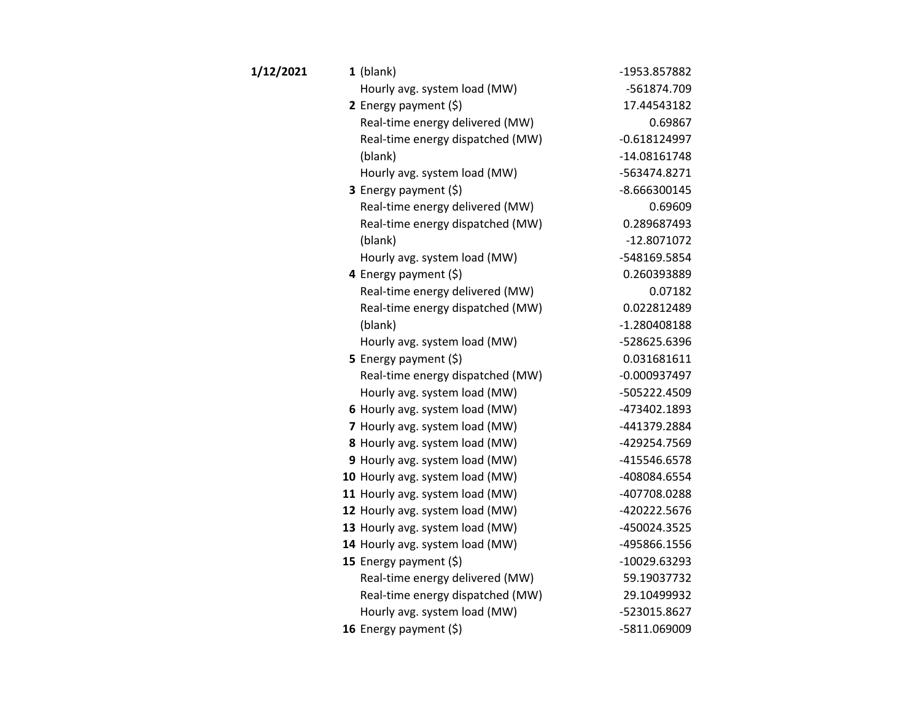| 1/12/2021 | $1$ (blank)                      | -1953.857882   |
|-----------|----------------------------------|----------------|
|           | Hourly avg. system load (MW)     | -561874.709    |
|           | 2 Energy payment $(\xi)$         | 17.44543182    |
|           | Real-time energy delivered (MW)  | 0.69867        |
|           | Real-time energy dispatched (MW) | $-0.618124997$ |
|           | (blank)                          | $-14.08161748$ |
|           | Hourly avg. system load (MW)     | -563474.8271   |
|           | 3 Energy payment (\$)            | $-8.666300145$ |
|           | Real-time energy delivered (MW)  | 0.69609        |
|           | Real-time energy dispatched (MW) | 0.289687493    |
|           | (blank)                          | $-12.8071072$  |
|           | Hourly avg. system load (MW)     | -548169.5854   |
|           | 4 Energy payment (\$)            | 0.260393889    |
|           | Real-time energy delivered (MW)  | 0.07182        |
|           | Real-time energy dispatched (MW) | 0.022812489    |
|           | (blank)                          | $-1.280408188$ |
|           | Hourly avg. system load (MW)     | -528625.6396   |
|           | <b>5</b> Energy payment $(\xi)$  | 0.031681611    |
|           | Real-time energy dispatched (MW) | $-0.000937497$ |
|           | Hourly avg. system load (MW)     | -505222.4509   |
|           | 6 Hourly avg. system load (MW)   | -473402.1893   |
|           | 7 Hourly avg. system load (MW)   | -441379.2884   |
|           | 8 Hourly avg. system load (MW)   | -429254.7569   |
|           | 9 Hourly avg. system load (MW)   | -415546.6578   |
|           | 10 Hourly avg. system load (MW)  | -408084.6554   |
|           | 11 Hourly avg. system load (MW)  | -407708.0288   |
|           | 12 Hourly avg. system load (MW)  | -420222.5676   |
|           | 13 Hourly avg. system load (MW)  | -450024.3525   |
|           | 14 Hourly avg. system load (MW)  | -495866.1556   |
|           | 15 Energy payment (\$)           | -10029.63293   |
|           | Real-time energy delivered (MW)  | 59.19037732    |
|           | Real-time energy dispatched (MW) | 29.10499932    |
|           | Hourly avg. system load (MW)     | -523015.8627   |
|           | 16 Energy payment (\$)           | -5811.069009   |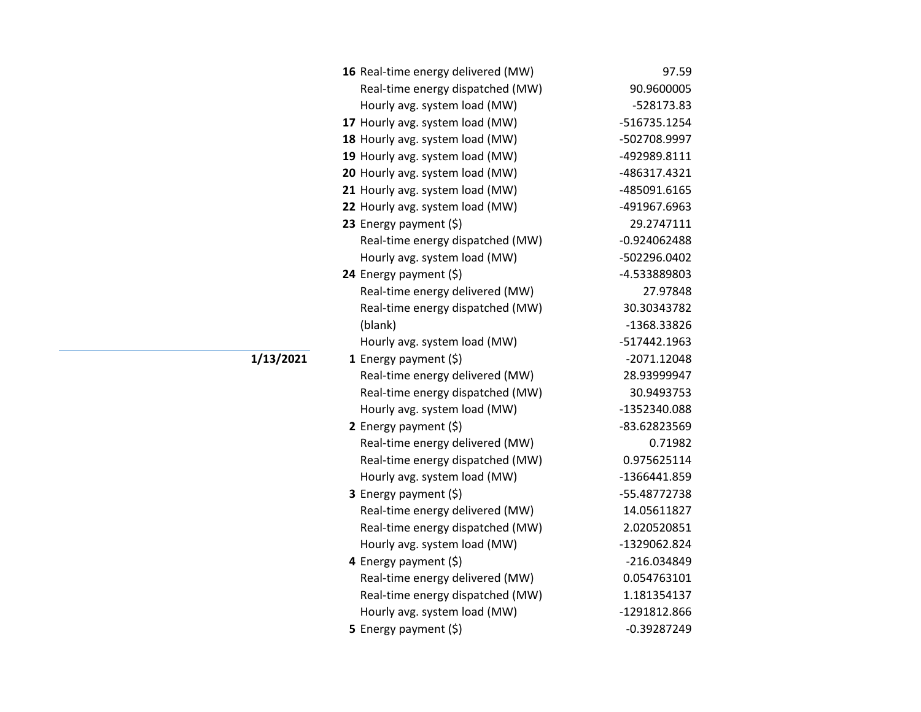| 16 Real-time energy delivered (MW) | 97.59          |
|------------------------------------|----------------|
| Real-time energy dispatched (MW)   | 90.9600005     |
| Hourly avg. system load (MW)       | -528173.83     |
| 17 Hourly avg. system load (MW)    | -516735.1254   |
| 18 Hourly avg. system load (MW)    | -502708.9997   |
| 19 Hourly avg. system load (MW)    | -492989.8111   |
| 20 Hourly avg. system load (MW)    | -486317.4321   |
| 21 Hourly avg. system load (MW)    | -485091.6165   |
| 22 Hourly avg. system load (MW)    | -491967.6963   |
| 23 Energy payment (\$)             | 29.2747111     |
| Real-time energy dispatched (MW)   | $-0.924062488$ |
| Hourly avg. system load (MW)       | -502296.0402   |
| 24 Energy payment (\$)             | -4.533889803   |
| Real-time energy delivered (MW)    | 27.97848       |
| Real-time energy dispatched (MW)   | 30.30343782    |
| (blank)                            | -1368.33826    |
| Hourly avg. system load (MW)       | -517442.1963   |
| 1 Energy payment $(\xi)$           | -2071.12048    |
| Real-time energy delivered (MW)    | 28.93999947    |
| Real-time energy dispatched (MW)   | 30.9493753     |
| Hourly avg. system load (MW)       | -1352340.088   |
| 2 Energy payment (\$)              | -83.62823569   |
| Real-time energy delivered (MW)    | 0.71982        |
| Real-time energy dispatched (MW)   | 0.975625114    |
| Hourly avg. system load (MW)       | -1366441.859   |
| 3 Energy payment (\$)              | -55.48772738   |
| Real-time energy delivered (MW)    | 14.05611827    |
| Real-time energy dispatched (MW)   | 2.020520851    |
| Hourly avg. system load (MW)       | -1329062.824   |
| 4 Energy payment (\$)              | -216.034849    |
| Real-time energy delivered (MW)    | 0.054763101    |
| Real-time energy dispatched (MW)   | 1.181354137    |
| Hourly avg. system load (MW)       | -1291812.866   |
| 5 Energy payment (\$)              | $-0.39287249$  |

**1/13/2021**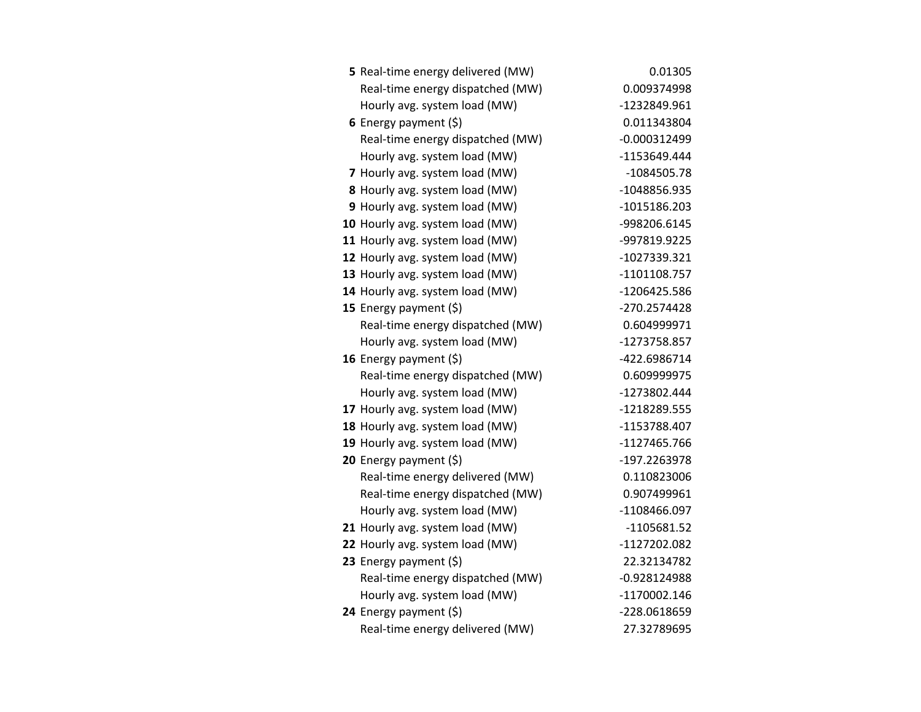| 5 Real-time energy delivered (MW) | 0.01305        |
|-----------------------------------|----------------|
| Real-time energy dispatched (MW)  | 0.009374998    |
| Hourly avg. system load (MW)      | -1232849.961   |
| 6 Energy payment $(5)$            | 0.011343804    |
| Real-time energy dispatched (MW)  | $-0.000312499$ |
| Hourly avg. system load (MW)      | -1153649.444   |
| 7 Hourly avg. system load (MW)    | $-1084505.78$  |
| 8 Hourly avg. system load (MW)    | -1048856.935   |
| 9 Hourly avg. system load (MW)    | $-1015186.203$ |
| 10 Hourly avg. system load (MW)   | -998206.6145   |
| 11 Hourly avg. system load (MW)   | -997819.9225   |
| 12 Hourly avg. system load (MW)   | -1027339.321   |
| 13 Hourly avg. system load (MW)   | -1101108.757   |
| 14 Hourly avg. system load (MW)   | -1206425.586   |
| 15 Energy payment $(\xi)$         | -270.2574428   |
| Real-time energy dispatched (MW)  | 0.604999971    |
| Hourly avg. system load (MW)      | -1273758.857   |
| 16 Energy payment $(\xi)$         | -422.6986714   |
| Real-time energy dispatched (MW)  | 0.609999975    |
| Hourly avg. system load (MW)      | -1273802.444   |
| 17 Hourly avg. system load (MW)   | -1218289.555   |
| 18 Hourly avg. system load (MW)   | -1153788.407   |
| 19 Hourly avg. system load (MW)   | -1127465.766   |
| 20 Energy payment (\$)            | -197.2263978   |
| Real-time energy delivered (MW)   | 0.110823006    |
| Real-time energy dispatched (MW)  | 0.907499961    |
| Hourly avg. system load (MW)      | -1108466.097   |
| 21 Hourly avg. system load (MW)   | -1105681.52    |
| 22 Hourly avg. system load (MW)   | -1127202.082   |
| 23 Energy payment $(5)$           | 22.32134782    |
| Real-time energy dispatched (MW)  | -0.928124988   |
| Hourly avg. system load (MW)      | -1170002.146   |
| 24 Energy payment $(\xi)$         | -228.0618659   |
| Real-time energy delivered (MW)   | 27.32789695    |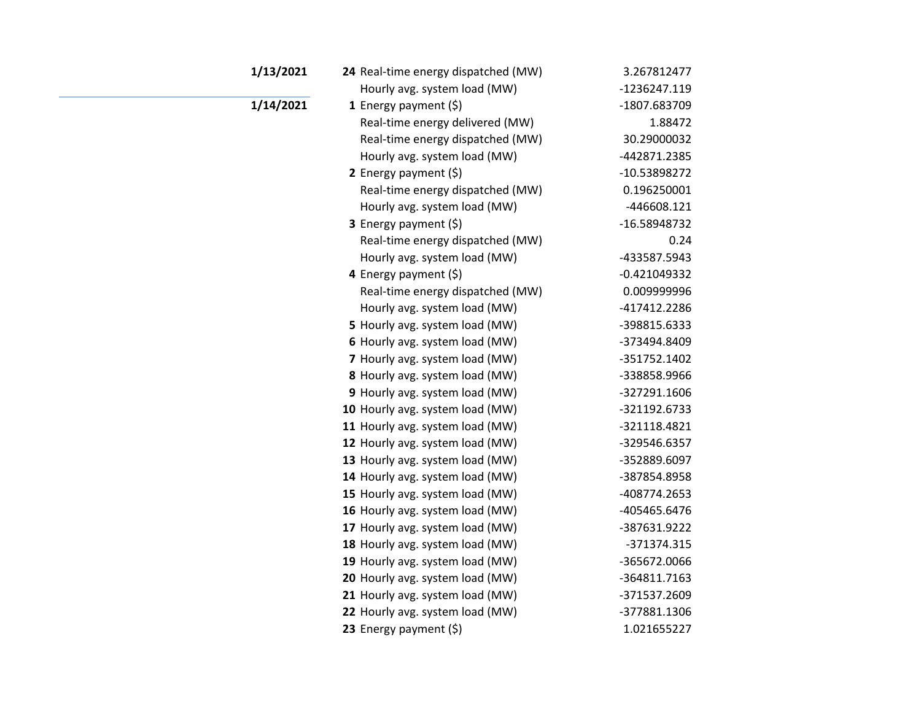| 1/13/2021 | 24 Real-time energy dispatched (MW) | 3.267812477    |
|-----------|-------------------------------------|----------------|
|           | Hourly avg. system load (MW)        | -1236247.119   |
| 1/14/2021 | <b>1</b> Energy payment $(\xi)$     | -1807.683709   |
|           | Real-time energy delivered (MW)     | 1.88472        |
|           | Real-time energy dispatched (MW)    | 30.29000032    |
|           | Hourly avg. system load (MW)        | -442871.2385   |
|           | 2 Energy payment $(\xi)$            | -10.53898272   |
|           | Real-time energy dispatched (MW)    | 0.196250001    |
|           | Hourly avg. system load (MW)        | -446608.121    |
|           | <b>3</b> Energy payment $(\xi)$     | -16.58948732   |
|           | Real-time energy dispatched (MW)    | 0.24           |
|           | Hourly avg. system load (MW)        | -433587.5943   |
|           | 4 Energy payment (\$)               | $-0.421049332$ |
|           | Real-time energy dispatched (MW)    | 0.009999996    |
|           | Hourly avg. system load (MW)        | -417412.2286   |
|           | 5 Hourly avg. system load (MW)      | -398815.6333   |
|           | 6 Hourly avg. system load (MW)      | -373494.8409   |
|           | 7 Hourly avg. system load (MW)      | -351752.1402   |
|           | 8 Hourly avg. system load (MW)      | -338858.9966   |
|           | 9 Hourly avg. system load (MW)      | -327291.1606   |
|           | 10 Hourly avg. system load (MW)     | -321192.6733   |
|           | 11 Hourly avg. system load (MW)     | -321118.4821   |
|           | 12 Hourly avg. system load (MW)     | -329546.6357   |
|           | 13 Hourly avg. system load (MW)     | -352889.6097   |
|           | 14 Hourly avg. system load (MW)     | -387854.8958   |
|           | 15 Hourly avg. system load (MW)     | -408774.2653   |
|           | 16 Hourly avg. system load (MW)     | -405465.6476   |
|           | 17 Hourly avg. system load (MW)     | -387631.9222   |
|           | 18 Hourly avg. system load (MW)     | -371374.315    |
|           | 19 Hourly avg. system load (MW)     | -365672.0066   |
|           | 20 Hourly avg. system load (MW)     | -364811.7163   |
|           | 21 Hourly avg. system load (MW)     | -371537.2609   |
|           | 22 Hourly avg. system load (MW)     | -377881.1306   |
|           | 23 Energy payment (\$)              | 1.021655227    |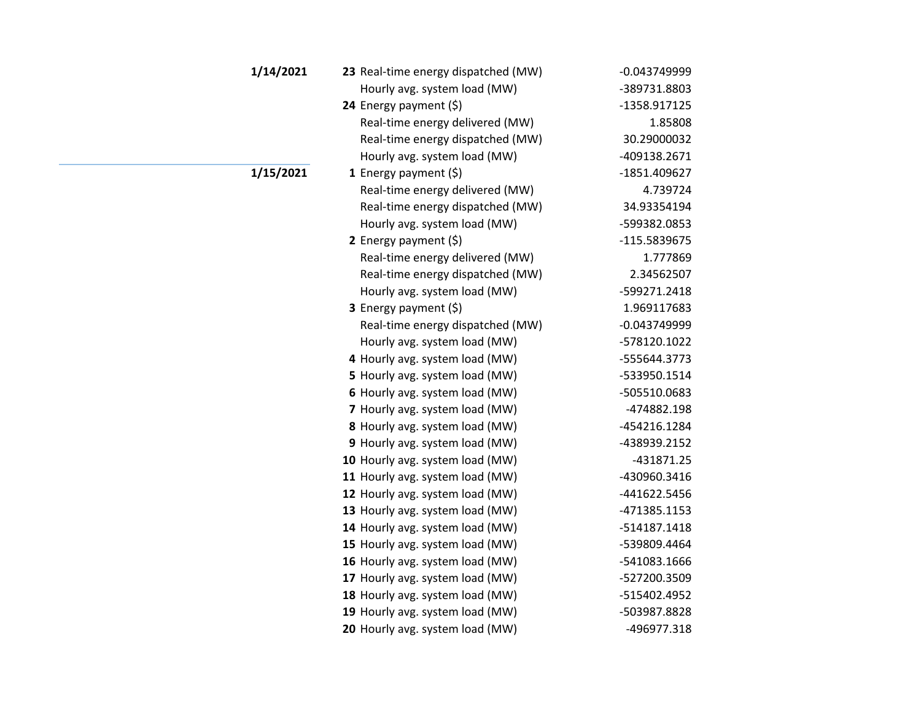| 1/14/2021 | 23 Real-time energy dispatched (MW) | $-0.043749999$ |
|-----------|-------------------------------------|----------------|
|           | Hourly avg. system load (MW)        | -389731.8803   |
|           | 24 Energy payment (\$)              | -1358.917125   |
|           | Real-time energy delivered (MW)     | 1.85808        |
|           | Real-time energy dispatched (MW)    | 30.29000032    |
|           | Hourly avg. system load (MW)        | -409138.2671   |
| 1/15/2021 | <b>1</b> Energy payment $(\xi)$     | -1851.409627   |
|           | Real-time energy delivered (MW)     | 4.739724       |
|           | Real-time energy dispatched (MW)    | 34.93354194    |
|           | Hourly avg. system load (MW)        | -599382.0853   |
|           | 2 Energy payment $(\xi)$            | -115.5839675   |
|           | Real-time energy delivered (MW)     | 1.777869       |
|           | Real-time energy dispatched (MW)    | 2.34562507     |
|           | Hourly avg. system load (MW)        | -599271.2418   |
|           | <b>3</b> Energy payment $(\xi)$     | 1.969117683    |
|           | Real-time energy dispatched (MW)    | $-0.043749999$ |
|           | Hourly avg. system load (MW)        | -578120.1022   |
|           | 4 Hourly avg. system load (MW)      | -555644.3773   |
|           | 5 Hourly avg. system load (MW)      | -533950.1514   |
|           | 6 Hourly avg. system load (MW)      | -505510.0683   |
|           | 7 Hourly avg. system load (MW)      | -474882.198    |
|           | 8 Hourly avg. system load (MW)      | -454216.1284   |
|           | 9 Hourly avg. system load (MW)      | -438939.2152   |
|           | 10 Hourly avg. system load (MW)     | -431871.25     |
|           | 11 Hourly avg. system load (MW)     | -430960.3416   |
|           | 12 Hourly avg. system load (MW)     | -441622.5456   |
|           | 13 Hourly avg. system load (MW)     | -471385.1153   |
|           | 14 Hourly avg. system load (MW)     | -514187.1418   |
|           | 15 Hourly avg. system load (MW)     | -539809.4464   |
|           | 16 Hourly avg. system load (MW)     | -541083.1666   |
|           | 17 Hourly avg. system load (MW)     | -527200.3509   |
|           | 18 Hourly avg. system load (MW)     | -515402.4952   |
|           | 19 Hourly avg. system load (MW)     | -503987.8828   |
|           | 20 Hourly avg. system load (MW)     | -496977.318    |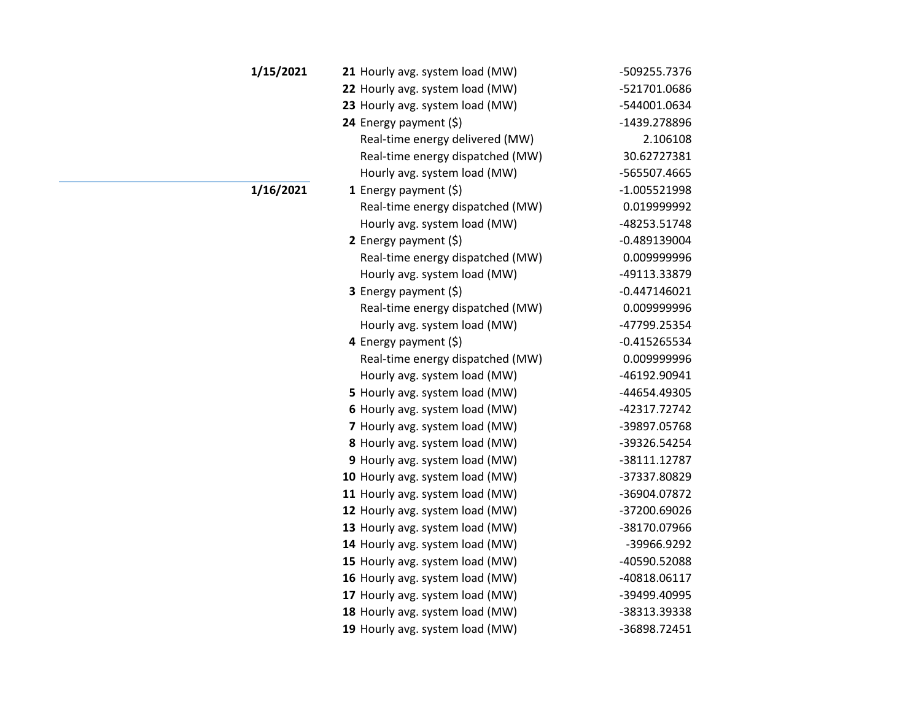| 1/15/2021 | 21 Hourly avg. system load (MW)  | -509255.7376   |
|-----------|----------------------------------|----------------|
|           | 22 Hourly avg. system load (MW)  | -521701.0686   |
|           | 23 Hourly avg. system load (MW)  | -544001.0634   |
|           | 24 Energy payment (\$)           | -1439.278896   |
|           | Real-time energy delivered (MW)  | 2.106108       |
|           | Real-time energy dispatched (MW) | 30.62727381    |
|           | Hourly avg. system load (MW)     | -565507.4665   |
| 1/16/2021 | <b>1</b> Energy payment $(\xi)$  | $-1.005521998$ |
|           | Real-time energy dispatched (MW) | 0.019999992    |
|           | Hourly avg. system load (MW)     | -48253.51748   |
|           | 2 Energy payment $(5)$           | $-0.489139004$ |
|           | Real-time energy dispatched (MW) | 0.009999996    |
|           | Hourly avg. system load (MW)     | -49113.33879   |
|           | <b>3</b> Energy payment $(\xi)$  | $-0.447146021$ |
|           | Real-time energy dispatched (MW) | 0.009999996    |
|           | Hourly avg. system load (MW)     | -47799.25354   |
|           | 4 Energy payment (\$)            | $-0.415265534$ |
|           | Real-time energy dispatched (MW) | 0.009999996    |
|           | Hourly avg. system load (MW)     | -46192.90941   |
|           | 5 Hourly avg. system load (MW)   | -44654.49305   |
|           | 6 Hourly avg. system load (MW)   | -42317.72742   |
|           | 7 Hourly avg. system load (MW)   | -39897.05768   |
|           | 8 Hourly avg. system load (MW)   | -39326.54254   |
|           | 9 Hourly avg. system load (MW)   | -38111.12787   |
|           | 10 Hourly avg. system load (MW)  | -37337.80829   |
|           | 11 Hourly avg. system load (MW)  | -36904.07872   |
|           | 12 Hourly avg. system load (MW)  | -37200.69026   |
|           | 13 Hourly avg. system load (MW)  | -38170.07966   |
|           | 14 Hourly avg. system load (MW)  | -39966.9292    |
|           | 15 Hourly avg. system load (MW)  | -40590.52088   |
|           | 16 Hourly avg. system load (MW)  | -40818.06117   |
|           | 17 Hourly avg. system load (MW)  | -39499.40995   |
|           | 18 Hourly avg. system load (MW)  | -38313.39338   |
|           | 19 Hourly avg. system load (MW)  | -36898.72451   |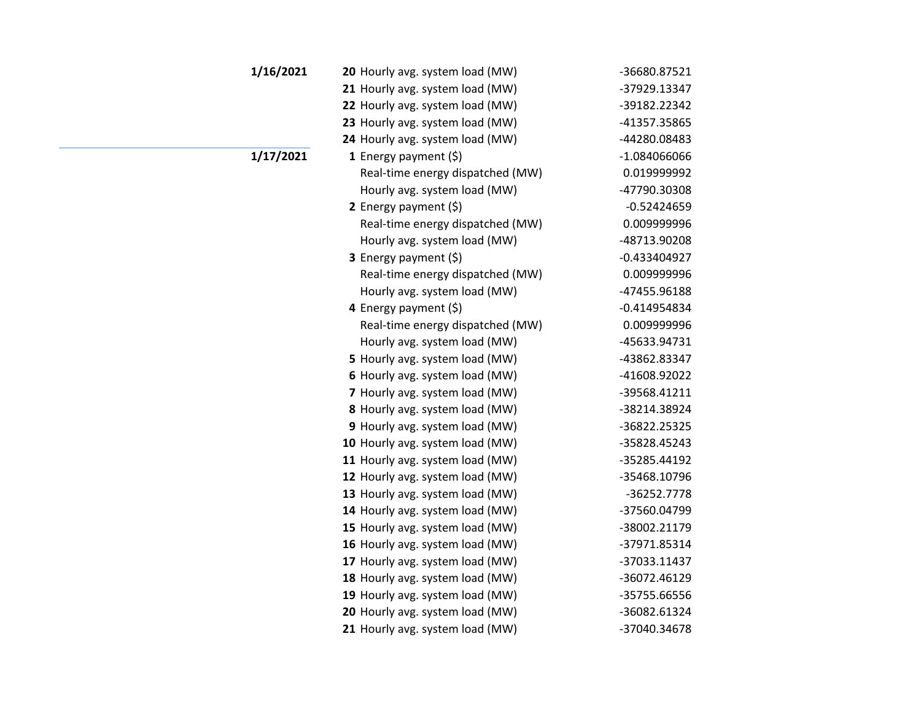| 1/16/2021 | 20 Hourly avg. system load (MW)  | -36680.87521   |
|-----------|----------------------------------|----------------|
|           | 21 Hourly avg. system load (MW)  | -37929.13347   |
|           | 22 Hourly avg. system load (MW)  | -39182.22342   |
|           | 23 Hourly avg. system load (MW)  | -41357.35865   |
|           | 24 Hourly avg. system load (MW)  | -44280.08483   |
| 1/17/2021 | 1 Energy payment $(\xi)$         | $-1.084066066$ |
|           | Real-time energy dispatched (MW) | 0.019999992    |
|           | Hourly avg. system load (MW)     | -47790.30308   |
|           | 2 Energy payment $(\xi)$         | $-0.52424659$  |
|           | Real-time energy dispatched (MW) | 0.009999996    |
|           | Hourly avg. system load (MW)     | -48713.90208   |
|           | 3 Energy payment (\$)            | $-0.433404927$ |
|           | Real-time energy dispatched (MW) | 0.009999996    |
|           | Hourly avg. system load (MW)     | -47455.96188   |
|           | 4 Energy payment $(\xi)$         | $-0.414954834$ |
|           | Real-time energy dispatched (MW) | 0.009999996    |
|           | Hourly avg. system load (MW)     | -45633.94731   |
|           | 5 Hourly avg. system load (MW)   | -43862.83347   |
|           | 6 Hourly avg. system load (MW)   | -41608.92022   |
|           | 7 Hourly avg. system load (MW)   | -39568.41211   |
|           | 8 Hourly avg. system load (MW)   | -38214.38924   |
|           | 9 Hourly avg. system load (MW)   | -36822.25325   |
|           | 10 Hourly avg. system load (MW)  | -35828.45243   |
|           | 11 Hourly avg. system load (MW)  | -35285.44192   |
|           | 12 Hourly avg. system load (MW)  | -35468.10796   |
|           | 13 Hourly avg. system load (MW)  | -36252.7778    |
|           | 14 Hourly avg. system load (MW)  | -37560.04799   |
|           | 15 Hourly avg. system load (MW)  | -38002.21179   |
|           | 16 Hourly avg. system load (MW)  | -37971.85314   |
|           | 17 Hourly avg. system load (MW)  | -37033.11437   |
|           | 18 Hourly avg. system load (MW)  | -36072.46129   |
|           | 19 Hourly avg. system load (MW)  | -35755.66556   |
|           | 20 Hourly avg. system load (MW)  | -36082.61324   |
|           | 21 Hourly avg. system load (MW)  | -37040.34678   |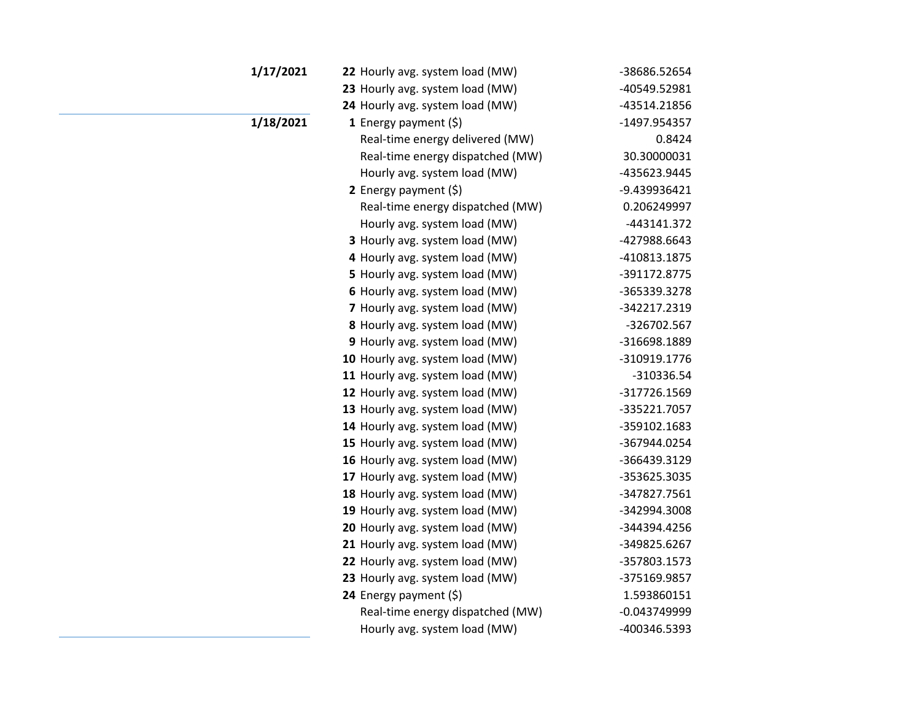| 1/17/2021 | 22 Hourly avg. system load (MW)  | -38686.52654   |
|-----------|----------------------------------|----------------|
|           | 23 Hourly avg. system load (MW)  | -40549.52981   |
|           | 24 Hourly avg. system load (MW)  | -43514.21856   |
| 1/18/2021 | 1 Energy payment $(5)$           | -1497.954357   |
|           | Real-time energy delivered (MW)  | 0.8424         |
|           | Real-time energy dispatched (MW) | 30.30000031    |
|           | Hourly avg. system load (MW)     | -435623.9445   |
|           | 2 Energy payment $(5)$           | -9.439936421   |
|           | Real-time energy dispatched (MW) | 0.206249997    |
|           | Hourly avg. system load (MW)     | -443141.372    |
|           | 3 Hourly avg. system load (MW)   | -427988.6643   |
|           | 4 Hourly avg. system load (MW)   | -410813.1875   |
|           | 5 Hourly avg. system load (MW)   | -391172.8775   |
|           | 6 Hourly avg. system load (MW)   | -365339.3278   |
|           | 7 Hourly avg. system load (MW)   | -342217.2319   |
|           | 8 Hourly avg. system load (MW)   | -326702.567    |
|           | 9 Hourly avg. system load (MW)   | -316698.1889   |
|           | 10 Hourly avg. system load (MW)  | -310919.1776   |
|           | 11 Hourly avg. system load (MW)  | -310336.54     |
|           | 12 Hourly avg. system load (MW)  | -317726.1569   |
|           | 13 Hourly avg. system load (MW)  | -335221.7057   |
|           | 14 Hourly avg. system load (MW)  | -359102.1683   |
|           | 15 Hourly avg. system load (MW)  | -367944.0254   |
|           | 16 Hourly avg. system load (MW)  | -366439.3129   |
|           | 17 Hourly avg. system load (MW)  | -353625.3035   |
|           | 18 Hourly avg. system load (MW)  | -347827.7561   |
|           | 19 Hourly avg. system load (MW)  | -342994.3008   |
|           | 20 Hourly avg. system load (MW)  | -344394.4256   |
|           | 21 Hourly avg. system load (MW)  | -349825.6267   |
|           | 22 Hourly avg. system load (MW)  | -357803.1573   |
|           | 23 Hourly avg. system load (MW)  | -375169.9857   |
|           | 24 Energy payment (\$)           | 1.593860151    |
|           | Real-time energy dispatched (MW) | $-0.043749999$ |
|           | Hourly avg. system load (MW)     | -400346.5393   |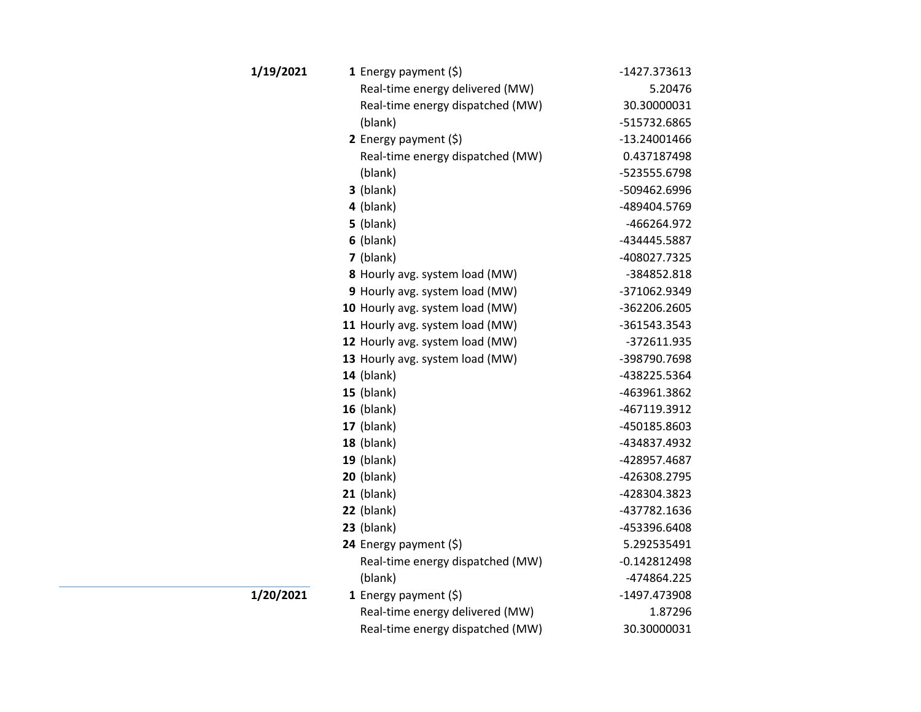| 1/19/2021        | 1 Energy payment $(5)$           | -1427.373613   |
|------------------|----------------------------------|----------------|
|                  | Real-time energy delivered (MW)  | 5.20476        |
|                  | Real-time energy dispatched (MW) | 30.30000031    |
|                  | (blank)                          | -515732.6865   |
|                  | 2 Energy payment $(\xi)$         | -13.24001466   |
|                  | Real-time energy dispatched (MW) | 0.437187498    |
|                  | (blank)                          | -523555.6798   |
|                  | $3$ (blank)                      | -509462.6996   |
|                  | $4$ (blank)                      | -489404.5769   |
|                  | $5$ (blank)                      | -466264.972    |
|                  | $6$ (blank)                      | -434445.5887   |
|                  | 7 (blank)                        | -408027.7325   |
|                  | 8 Hourly avg. system load (MW)   | -384852.818    |
|                  | 9 Hourly avg. system load (MW)   | -371062.9349   |
|                  | 10 Hourly avg. system load (MW)  | -362206.2605   |
|                  | 11 Hourly avg. system load (MW)  | -361543.3543   |
|                  | 12 Hourly avg. system load (MW)  | -372611.935    |
|                  | 13 Hourly avg. system load (MW)  | -398790.7698   |
|                  | <b>14</b> (blank)                | -438225.5364   |
|                  | $15$ (blank)                     | -463961.3862   |
|                  | $16$ (blank)                     | -467119.3912   |
|                  | $17$ (blank)                     | -450185.8603   |
|                  | 18 (blank)                       | -434837.4932   |
|                  | $19$ (blank)                     | -428957.4687   |
|                  | <b>20</b> (blank)                | -426308.2795   |
|                  | $21$ (blank)                     | -428304.3823   |
|                  | $22$ (blank)                     | -437782.1636   |
|                  | $23$ (blank)                     | -453396.6408   |
|                  | 24 Energy payment (\$)           | 5.292535491    |
|                  | Real-time energy dispatched (MW) | $-0.142812498$ |
|                  | (blank)                          | -474864.225    |
| <b>1/20/2021</b> | 1 Energy payment $(\xi)$         | -1497.473908   |
|                  | Real-time energy delivered (MW)  | 1.87296        |
|                  | Real-time energy dispatched (MW) | 30.30000031    |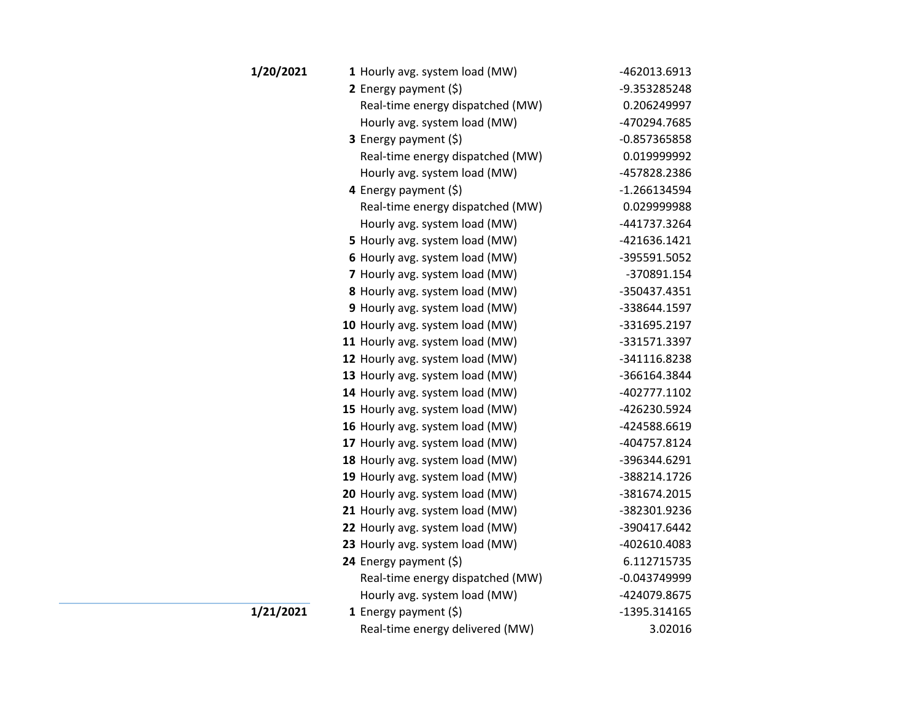| 1/20/2021 | 1 Hourly avg. system load (MW)   | -462013.6913   |
|-----------|----------------------------------|----------------|
|           | 2 Energy payment $(5)$           | -9.353285248   |
|           | Real-time energy dispatched (MW) | 0.206249997    |
|           | Hourly avg. system load (MW)     | -470294.7685   |
|           | 3 Energy payment (\$)            | $-0.857365858$ |
|           | Real-time energy dispatched (MW) | 0.019999992    |
|           | Hourly avg. system load (MW)     | -457828.2386   |
|           | 4 Energy payment $(\xi)$         | $-1.266134594$ |
|           | Real-time energy dispatched (MW) | 0.029999988    |
|           | Hourly avg. system load (MW)     | -441737.3264   |
|           | 5 Hourly avg. system load (MW)   | -421636.1421   |
|           | 6 Hourly avg. system load (MW)   | -395591.5052   |
|           | 7 Hourly avg. system load (MW)   | -370891.154    |
|           | 8 Hourly avg. system load (MW)   | -350437.4351   |
|           | 9 Hourly avg. system load (MW)   | -338644.1597   |
|           | 10 Hourly avg. system load (MW)  | -331695.2197   |
|           | 11 Hourly avg. system load (MW)  | -331571.3397   |
|           | 12 Hourly avg. system load (MW)  | -341116.8238   |
|           | 13 Hourly avg. system load (MW)  | -366164.3844   |
|           | 14 Hourly avg. system load (MW)  | -402777.1102   |
|           | 15 Hourly avg. system load (MW)  | -426230.5924   |
|           | 16 Hourly avg. system load (MW)  | -424588.6619   |
|           | 17 Hourly avg. system load (MW)  | -404757.8124   |
|           | 18 Hourly avg. system load (MW)  | -396344.6291   |
|           | 19 Hourly avg. system load (MW)  | -388214.1726   |
|           | 20 Hourly avg. system load (MW)  | -381674.2015   |
|           | 21 Hourly avg. system load (MW)  | -382301.9236   |
|           | 22 Hourly avg. system load (MW)  | -390417.6442   |
|           | 23 Hourly avg. system load (MW)  | -402610.4083   |
|           | 24 Energy payment (\$)           | 6.112715735    |
|           | Real-time energy dispatched (MW) | $-0.043749999$ |
|           | Hourly avg. system load (MW)     | -424079.8675   |
| 1/21/2021 | <b>1</b> Energy payment $(\xi)$  | -1395.314165   |
|           | Real-time energy delivered (MW)  | 3.02016        |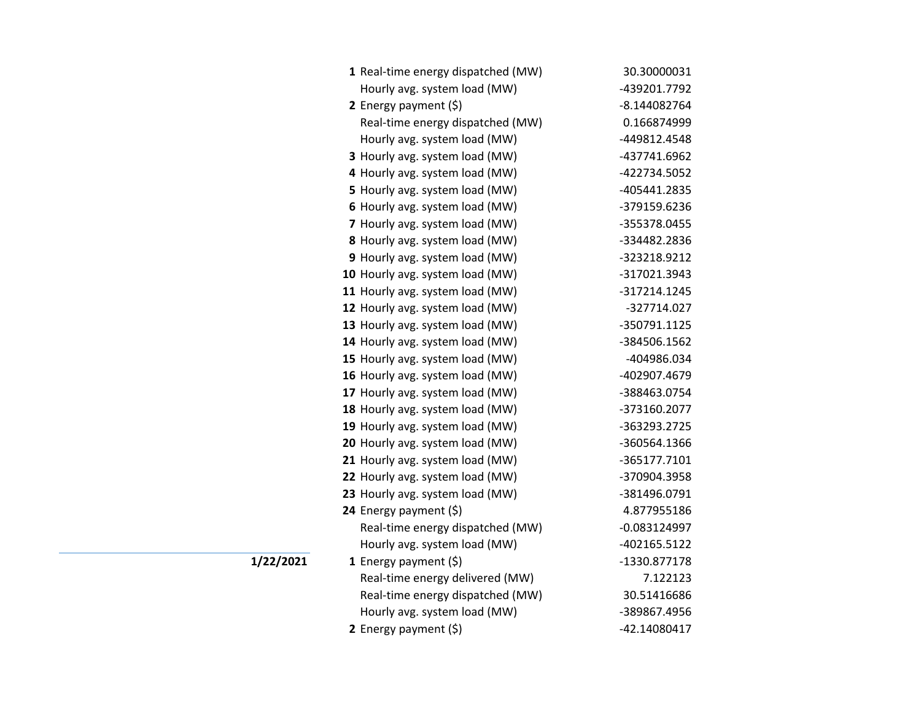| 1 Real-time energy dispatched (MW) | 30.30000031    |
|------------------------------------|----------------|
| Hourly avg. system load (MW)       | -439201.7792   |
| 2 Energy payment $(5)$             | -8.144082764   |
| Real-time energy dispatched (MW)   | 0.166874999    |
| Hourly avg. system load (MW)       | -449812.4548   |
| 3 Hourly avg. system load (MW)     | -437741.6962   |
| 4 Hourly avg. system load (MW)     | -422734.5052   |
| 5 Hourly avg. system load (MW)     | -405441.2835   |
| 6 Hourly avg. system load (MW)     | -379159.6236   |
| 7 Hourly avg. system load (MW)     | -355378.0455   |
| 8 Hourly avg. system load (MW)     | -334482.2836   |
| 9 Hourly avg. system load (MW)     | -323218.9212   |
| 10 Hourly avg. system load (MW)    | -317021.3943   |
| 11 Hourly avg. system load (MW)    | -317214.1245   |
| 12 Hourly avg. system load (MW)    | -327714.027    |
| 13 Hourly avg. system load (MW)    | -350791.1125   |
| 14 Hourly avg. system load (MW)    | -384506.1562   |
| 15 Hourly avg. system load (MW)    | -404986.034    |
| 16 Hourly avg. system load (MW)    | -402907.4679   |
| 17 Hourly avg. system load (MW)    | -388463.0754   |
| 18 Hourly avg. system load (MW)    | -373160.2077   |
| 19 Hourly avg. system load (MW)    | -363293.2725   |
| 20 Hourly avg. system load (MW)    | -360564.1366   |
| 21 Hourly avg. system load (MW)    | -365177.7101   |
| 22 Hourly avg. system load (MW)    | -370904.3958   |
| 23 Hourly avg. system load (MW)    | -381496.0791   |
| 24 Energy payment (\$)             | 4.877955186    |
| Real-time energy dispatched (MW)   | $-0.083124997$ |
| Hourly avg. system load (MW)       | -402165.5122   |
| 1 Energy payment $(\xi)$           | -1330.877178   |
| Real-time energy delivered (MW)    | 7.122123       |
| Real-time energy dispatched (MW)   | 30.51416686    |
| Hourly avg. system load (MW)       | -389867.4956   |
| 2 Energy payment $(5)$             | -42.14080417   |

**1/22/2021**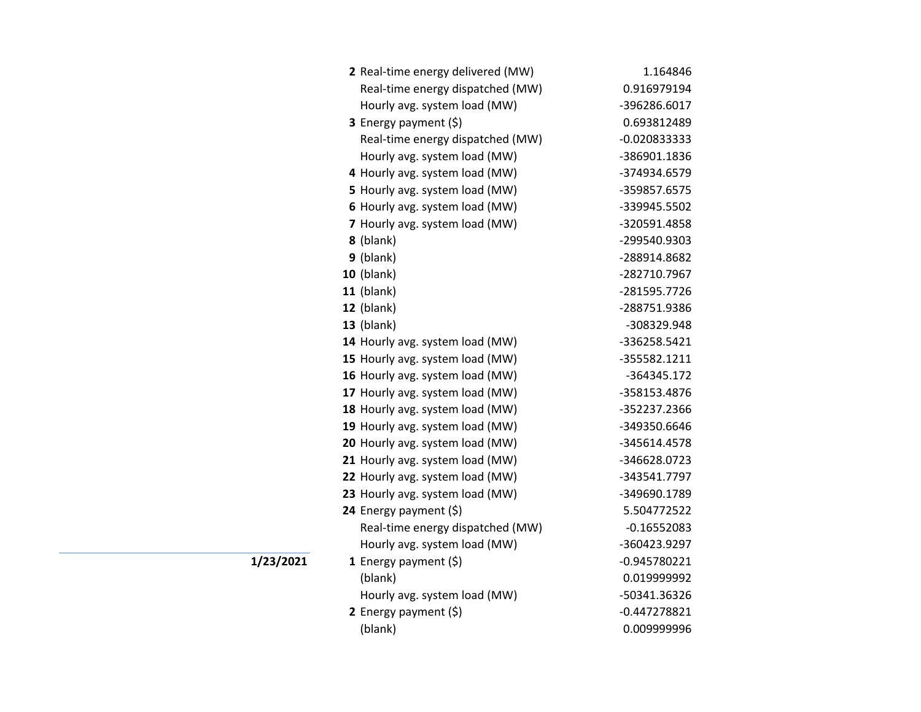| 2 Real-time energy delivered (MW) | 1.164846       |
|-----------------------------------|----------------|
| Real-time energy dispatched (MW)  | 0.916979194    |
| Hourly avg. system load (MW)      | -396286.6017   |
| 3 Energy payment (\$)             | 0.693812489    |
| Real-time energy dispatched (MW)  | $-0.020833333$ |
| Hourly avg. system load (MW)      | -386901.1836   |
| 4 Hourly avg. system load (MW)    | -374934.6579   |
| 5 Hourly avg. system load (MW)    | -359857.6575   |
| 6 Hourly avg. system load (MW)    | -339945.5502   |
| 7 Hourly avg. system load (MW)    | -320591.4858   |
| 8 (blank)                         | -299540.9303   |
| $9$ (blank)                       | -288914.8682   |
| 10 (blank)                        | -282710.7967   |
| $11$ (blank)                      | -281595.7726   |
| 12 (blank)                        | -288751.9386   |
| 13 (blank)                        | -308329.948    |
| 14 Hourly avg. system load (MW)   | -336258.5421   |
| 15 Hourly avg. system load (MW)   | -355582.1211   |
| 16 Hourly avg. system load (MW)   | -364345.172    |
| 17 Hourly avg. system load (MW)   | -358153.4876   |
| 18 Hourly avg. system load (MW)   | -352237.2366   |
| 19 Hourly avg. system load (MW)   | -349350.6646   |
| 20 Hourly avg. system load (MW)   | -345614.4578   |
| 21 Hourly avg. system load (MW)   | -346628.0723   |
| 22 Hourly avg. system load (MW)   | -343541.7797   |
| 23 Hourly avg. system load (MW)   | -349690.1789   |
| 24 Energy payment (\$)            | 5.504772522    |
| Real-time energy dispatched (MW)  | $-0.16552083$  |
| Hourly avg. system load (MW)      | -360423.9297   |
| 1 Energy payment $(\xi)$          | $-0.945780221$ |
| (blank)                           | 0.019999992    |
| Hourly avg. system load (MW)      | -50341.36326   |
| 2 Energy payment $(5)$            | $-0.447278821$ |
| (blank)                           | 0.009999996    |

**1/23/2021**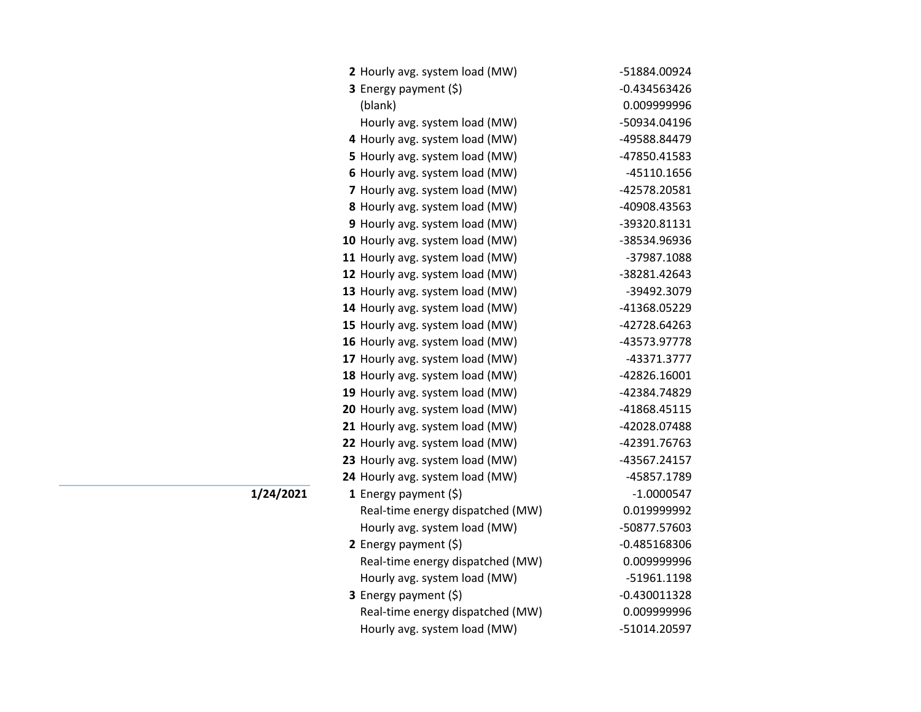| 2 Hourly avg. system load (MW)   | -51884.00924   |
|----------------------------------|----------------|
| 3 Energy payment (\$)            | $-0.434563426$ |
| (blank)                          | 0.009999996    |
| Hourly avg. system load (MW)     | -50934.04196   |
| 4 Hourly avg. system load (MW)   | -49588.84479   |
| 5 Hourly avg. system load (MW)   | -47850.41583   |
| 6 Hourly avg. system load (MW)   | -45110.1656    |
| 7 Hourly avg. system load (MW)   | -42578.20581   |
| 8 Hourly avg. system load (MW)   | -40908.43563   |
| 9 Hourly avg. system load (MW)   | -39320.81131   |
| 10 Hourly avg. system load (MW)  | -38534.96936   |
| 11 Hourly avg. system load (MW)  | -37987.1088    |
| 12 Hourly avg. system load (MW)  | -38281.42643   |
| 13 Hourly avg. system load (MW)  | -39492.3079    |
| 14 Hourly avg. system load (MW)  | -41368.05229   |
| 15 Hourly avg. system load (MW)  | -42728.64263   |
| 16 Hourly avg. system load (MW)  | -43573.97778   |
| 17 Hourly avg. system load (MW)  | -43371.3777    |
| 18 Hourly avg. system load (MW)  | -42826.16001   |
| 19 Hourly avg. system load (MW)  | -42384.74829   |
| 20 Hourly avg. system load (MW)  | -41868.45115   |
| 21 Hourly avg. system load (MW)  | -42028.07488   |
| 22 Hourly avg. system load (MW)  | -42391.76763   |
| 23 Hourly avg. system load (MW)  | -43567.24157   |
| 24 Hourly avg. system load (MW)  | -45857.1789    |
| 1 Energy payment $(\$)$          | $-1.0000547$   |
| Real-time energy dispatched (MW) | 0.019999992    |
| Hourly avg. system load (MW)     | -50877.57603   |
| 2 Energy payment $(5)$           | $-0.485168306$ |
| Real-time energy dispatched (MW) | 0.009999996    |
| Hourly avg. system load (MW)     | -51961.1198    |
| 3 Energy payment (\$)            | $-0.430011328$ |
| Real-time energy dispatched (MW) | 0.009999996    |
| Hourly avg. system load (MW)     | -51014.20597   |

**1/24/2021**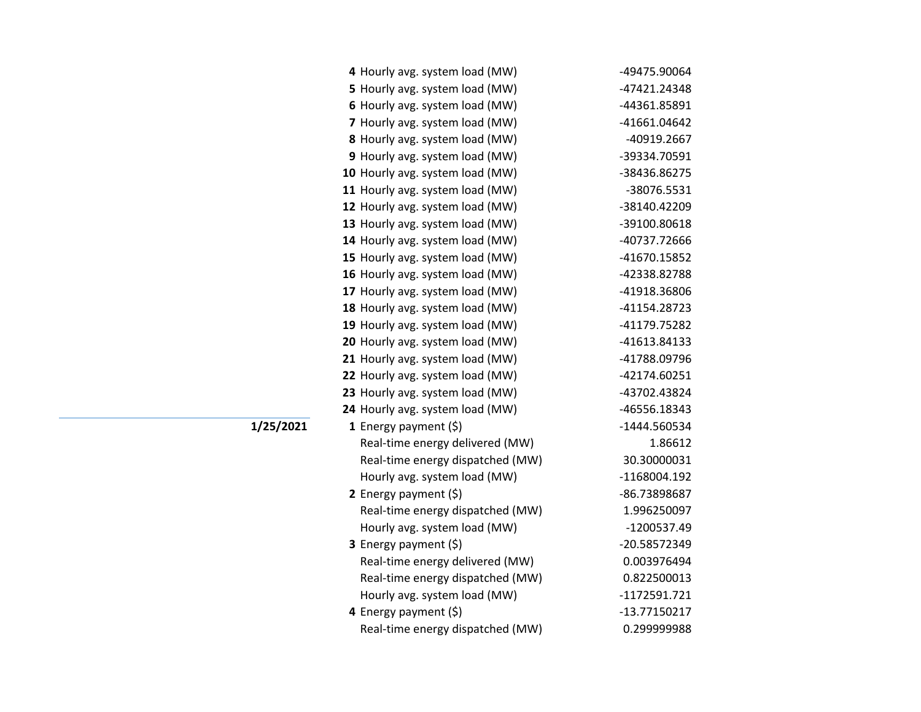| 4 Hourly avg. system load (MW)   | -49475.90064 |
|----------------------------------|--------------|
| 5 Hourly avg. system load (MW)   | -47421.24348 |
| 6 Hourly avg. system load (MW)   | -44361.85891 |
| 7 Hourly avg. system load (MW)   | -41661.04642 |
| 8 Hourly avg. system load (MW)   | -40919.2667  |
| 9 Hourly avg. system load (MW)   | -39334.70591 |
| 10 Hourly avg. system load (MW)  | -38436.86275 |
| 11 Hourly avg. system load (MW)  | -38076.5531  |
| 12 Hourly avg. system load (MW)  | -38140.42209 |
| 13 Hourly avg. system load (MW)  | -39100.80618 |
| 14 Hourly avg. system load (MW)  | -40737.72666 |
| 15 Hourly avg. system load (MW)  | -41670.15852 |
| 16 Hourly avg. system load (MW)  | -42338.82788 |
| 17 Hourly avg. system load (MW)  | -41918.36806 |
| 18 Hourly avg. system load (MW)  | -41154.28723 |
| 19 Hourly avg. system load (MW)  | -41179.75282 |
| 20 Hourly avg. system load (MW)  | -41613.84133 |
| 21 Hourly avg. system load (MW)  | -41788.09796 |
| 22 Hourly avg. system load (MW)  | -42174.60251 |
| 23 Hourly avg. system load (MW)  | -43702.43824 |
| 24 Hourly avg. system load (MW)  | -46556.18343 |
| 1 Energy payment $(\$)$          | -1444.560534 |
| Real-time energy delivered (MW)  | 1.86612      |
| Real-time energy dispatched (MW) | 30.30000031  |
| Hourly avg. system load (MW)     | -1168004.192 |
| 2 Energy payment $(\xi)$         | -86.73898687 |
| Real-time energy dispatched (MW) | 1.996250097  |
| Hourly avg. system load (MW)     | -1200537.49  |
| 3 Energy payment (\$)            | -20.58572349 |
| Real-time energy delivered (MW)  | 0.003976494  |
| Real-time energy dispatched (MW) | 0.822500013  |
| Hourly avg. system load (MW)     | -1172591.721 |
| 4 Energy payment (\$)            | -13.77150217 |
| Real-time energy dispatched (MW) | 0.299999988  |
|                                  |              |

**1/25/2021**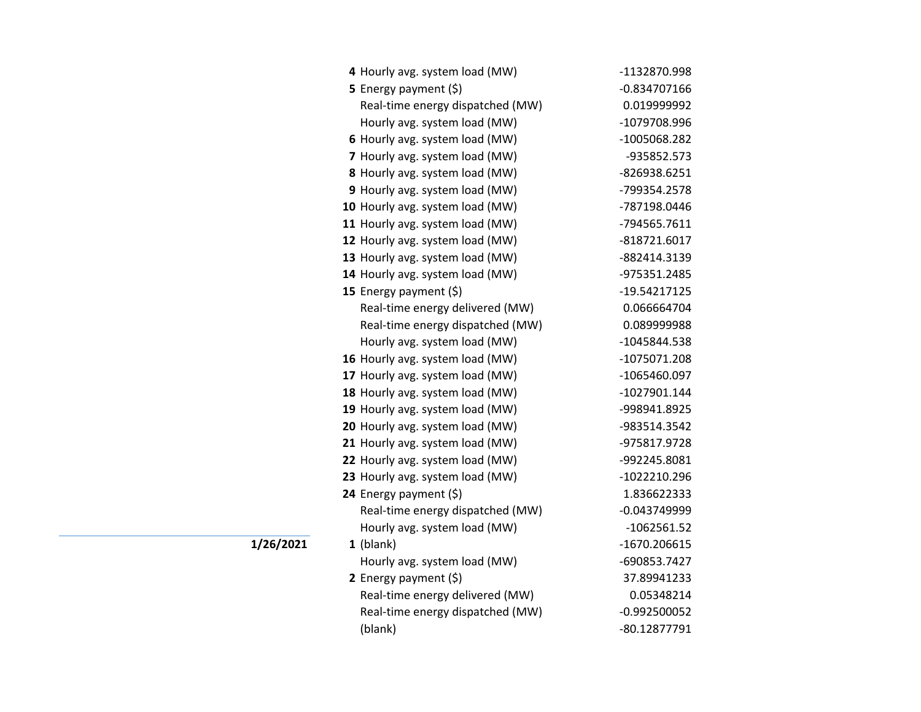| 4 Hourly avg. system load (MW)   | -1132870.998   |
|----------------------------------|----------------|
| <b>5</b> Energy payment $(\xi)$  | $-0.834707166$ |
| Real-time energy dispatched (MW) | 0.019999992    |
| Hourly avg. system load (MW)     | -1079708.996   |
| 6 Hourly avg. system load (MW)   | -1005068.282   |
| 7 Hourly avg. system load (MW)   | -935852.573    |
| 8 Hourly avg. system load (MW)   | -826938.6251   |
| 9 Hourly avg. system load (MW)   | -799354.2578   |
| 10 Hourly avg. system load (MW)  | -787198.0446   |
| 11 Hourly avg. system load (MW)  | -794565.7611   |
| 12 Hourly avg. system load (MW)  | -818721.6017   |
| 13 Hourly avg. system load (MW)  | -882414.3139   |
| 14 Hourly avg. system load (MW)  | -975351.2485   |
| 15 Energy payment (\$)           | -19.54217125   |
| Real-time energy delivered (MW)  | 0.066664704    |
| Real-time energy dispatched (MW) | 0.089999988    |
| Hourly avg. system load (MW)     | -1045844.538   |
| 16 Hourly avg. system load (MW)  | -1075071.208   |
| 17 Hourly avg. system load (MW)  | -1065460.097   |
| 18 Hourly avg. system load (MW)  | -1027901.144   |
| 19 Hourly avg. system load (MW)  | -998941.8925   |
| 20 Hourly avg. system load (MW)  | -983514.3542   |
| 21 Hourly avg. system load (MW)  | -975817.9728   |
| 22 Hourly avg. system load (MW)  | -992245.8081   |
| 23 Hourly avg. system load (MW)  | -1022210.296   |
| 24 Energy payment (\$)           | 1.836622333    |
| Real-time energy dispatched (MW) | $-0.043749999$ |
| Hourly avg. system load (MW)     | $-1062561.52$  |
| $1$ (blank)                      | -1670.206615   |
| Hourly avg. system load (MW)     | -690853.7427   |
| 2 Energy payment $(\xi)$         | 37.89941233    |
| Real-time energy delivered (MW)  | 0.05348214     |
| Real-time energy dispatched (MW) | $-0.992500052$ |
| (blank)                          | -80.12877791   |

**1/26/2021**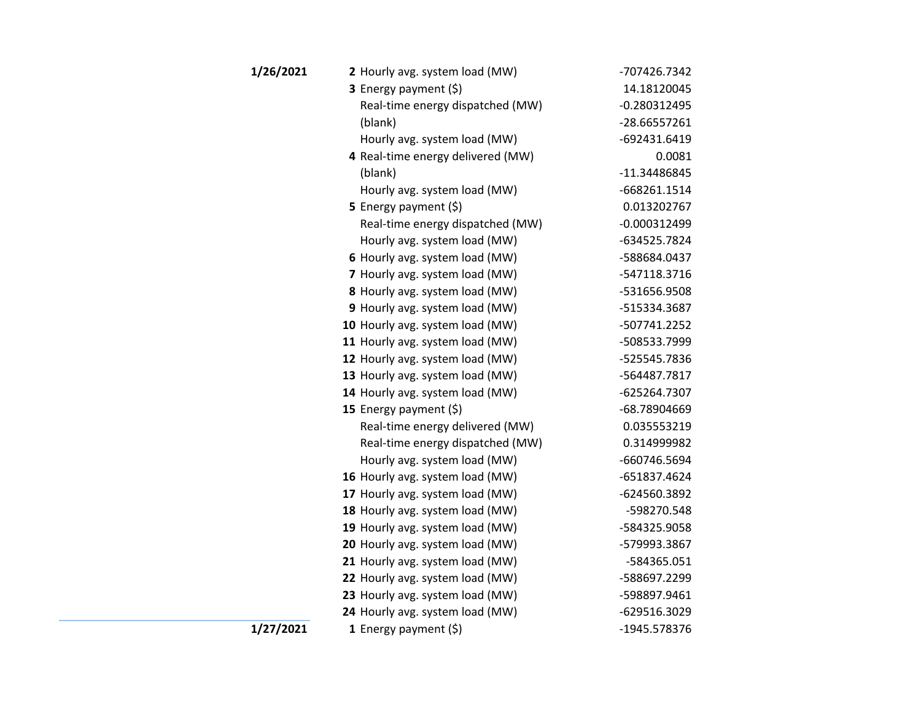| 1/26/2021 | 2 Hourly avg. system load (MW)    | -707426.7342   |
|-----------|-----------------------------------|----------------|
|           | 3 Energy payment (\$)             | 14.18120045    |
|           | Real-time energy dispatched (MW)  | $-0.280312495$ |
|           | (blank)                           | -28.66557261   |
|           | Hourly avg. system load (MW)      | -692431.6419   |
|           | 4 Real-time energy delivered (MW) | 0.0081         |
|           | (blank)                           | -11.34486845   |
|           | Hourly avg. system load (MW)      | -668261.1514   |
|           | 5 Energy payment (\$)             | 0.013202767    |
|           | Real-time energy dispatched (MW)  | $-0.000312499$ |
|           | Hourly avg. system load (MW)      | -634525.7824   |
|           | 6 Hourly avg. system load (MW)    | -588684.0437   |
|           | 7 Hourly avg. system load (MW)    | -547118.3716   |
|           | 8 Hourly avg. system load (MW)    | -531656.9508   |
|           | 9 Hourly avg. system load (MW)    | -515334.3687   |
|           | 10 Hourly avg. system load (MW)   | -507741.2252   |
|           | 11 Hourly avg. system load (MW)   | -508533.7999   |
|           | 12 Hourly avg. system load (MW)   | -525545.7836   |
|           | 13 Hourly avg. system load (MW)   | -564487.7817   |
|           | 14 Hourly avg. system load (MW)   | -625264.7307   |
|           | 15 Energy payment (\$)            | -68.78904669   |
|           | Real-time energy delivered (MW)   | 0.035553219    |
|           | Real-time energy dispatched (MW)  | 0.314999982    |
|           | Hourly avg. system load (MW)      | -660746.5694   |
|           | 16 Hourly avg. system load (MW)   | -651837.4624   |
|           | 17 Hourly avg. system load (MW)   | -624560.3892   |
|           | 18 Hourly avg. system load (MW)   | -598270.548    |
|           | 19 Hourly avg. system load (MW)   | -584325.9058   |
|           | 20 Hourly avg. system load (MW)   | -579993.3867   |
|           | 21 Hourly avg. system load (MW)   | -584365.051    |
|           | 22 Hourly avg. system load (MW)   | -588697.2299   |
|           | 23 Hourly avg. system load (MW)   | -598897.9461   |
|           | 24 Hourly avg. system load (MW)   | -629516.3029   |
| 1/27/2021 | 1 Energy payment $(5)$            | -1945.578376   |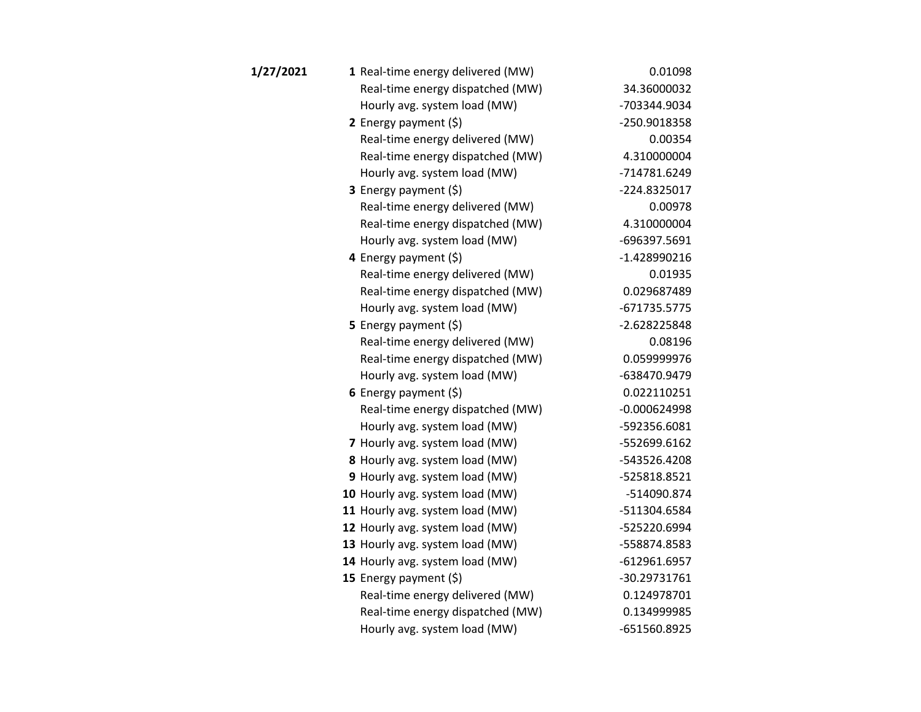| 1/27/2021 | 1 Real-time energy delivered (MW) | 0.01098        |
|-----------|-----------------------------------|----------------|
|           | Real-time energy dispatched (MW)  | 34.36000032    |
|           | Hourly avg. system load (MW)      | -703344.9034   |
|           | 2 Energy payment $(\xi)$          | -250.9018358   |
|           | Real-time energy delivered (MW)   | 0.00354        |
|           | Real-time energy dispatched (MW)  | 4.310000004    |
|           | Hourly avg. system load (MW)      | -714781.6249   |
|           | <b>3</b> Energy payment $(\xi)$   | -224.8325017   |
|           | Real-time energy delivered (MW)   | 0.00978        |
|           | Real-time energy dispatched (MW)  | 4.310000004    |
|           | Hourly avg. system load (MW)      | -696397.5691   |
|           | 4 Energy payment (\$)             | -1.428990216   |
|           | Real-time energy delivered (MW)   | 0.01935        |
|           | Real-time energy dispatched (MW)  | 0.029687489    |
|           | Hourly avg. system load (MW)      | -671735.5775   |
|           | 5 Energy payment $(5)$            | -2.628225848   |
|           | Real-time energy delivered (MW)   | 0.08196        |
|           | Real-time energy dispatched (MW)  | 0.059999976    |
|           | Hourly avg. system load (MW)      | -638470.9479   |
|           | 6 Energy payment $(\xi)$          | 0.022110251    |
|           | Real-time energy dispatched (MW)  | $-0.000624998$ |
|           | Hourly avg. system load (MW)      | -592356.6081   |
|           | 7 Hourly avg. system load (MW)    | -552699.6162   |
|           | 8 Hourly avg. system load (MW)    | -543526.4208   |
|           | 9 Hourly avg. system load (MW)    | -525818.8521   |
|           | 10 Hourly avg. system load (MW)   | -514090.874    |
|           | 11 Hourly avg. system load (MW)   | -511304.6584   |
|           | 12 Hourly avg. system load (MW)   | -525220.6994   |
|           | 13 Hourly avg. system load (MW)   | -558874.8583   |
|           | 14 Hourly avg. system load (MW)   | $-612961.6957$ |
|           | 15 Energy payment (\$)            | -30.29731761   |
|           | Real-time energy delivered (MW)   | 0.124978701    |
|           | Real-time energy dispatched (MW)  | 0.134999985    |
|           | Hourly avg. system load (MW)      | -651560.8925   |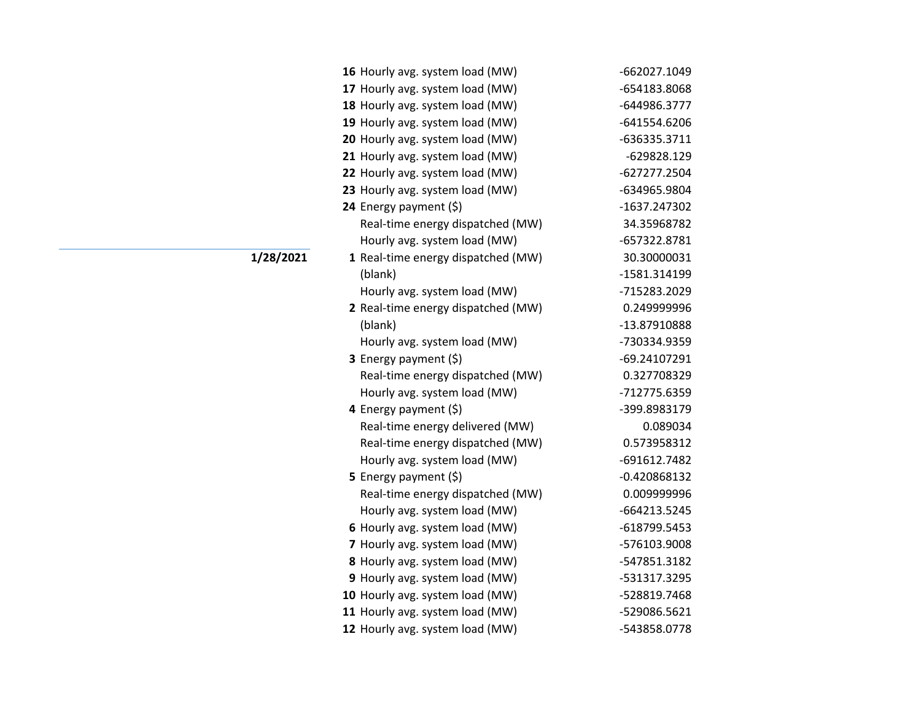| 16 Hourly avg. system load (MW)    | -662027.1049   |
|------------------------------------|----------------|
| 17 Hourly avg. system load (MW)    | -654183.8068   |
| 18 Hourly avg. system load (MW)    | -644986.3777   |
| 19 Hourly avg. system load (MW)    | -641554.6206   |
| 20 Hourly avg. system load (MW)    | -636335.3711   |
| 21 Hourly avg. system load (MW)    | -629828.129    |
| 22 Hourly avg. system load (MW)    | -627277.2504   |
| 23 Hourly avg. system load (MW)    | -634965.9804   |
| 24 Energy payment (\$)             | -1637.247302   |
| Real-time energy dispatched (MW)   | 34.35968782    |
| Hourly avg. system load (MW)       | -657322.8781   |
| 1 Real-time energy dispatched (MW) | 30.30000031    |
| (blank)                            | -1581.314199   |
| Hourly avg. system load (MW)       | -715283.2029   |
| 2 Real-time energy dispatched (MW) | 0.249999996    |
| (blank)                            | -13.87910888   |
| Hourly avg. system load (MW)       | -730334.9359   |
| 3 Energy payment (\$)              | -69.24107291   |
| Real-time energy dispatched (MW)   | 0.327708329    |
| Hourly avg. system load (MW)       | -712775.6359   |
| 4 Energy payment (\$)              | -399.8983179   |
| Real-time energy delivered (MW)    | 0.089034       |
| Real-time energy dispatched (MW)   | 0.573958312    |
| Hourly avg. system load (MW)       | -691612.7482   |
| 5 Energy payment $(\xi)$           | $-0.420868132$ |
| Real-time energy dispatched (MW)   | 0.009999996    |
| Hourly avg. system load (MW)       | -664213.5245   |
| 6 Hourly avg. system load (MW)     | -618799.5453   |
| 7 Hourly avg. system load (MW)     | -576103.9008   |
| 8 Hourly avg. system load (MW)     | -547851.3182   |
| 9 Hourly avg. system load (MW)     | -531317.3295   |
| 10 Hourly avg. system load (MW)    | -528819.7468   |
| 11 Hourly avg. system load (MW)    | -529086.5621   |
| 12 Hourly avg. system load (MW)    | -543858.0778   |

**1/28/2021**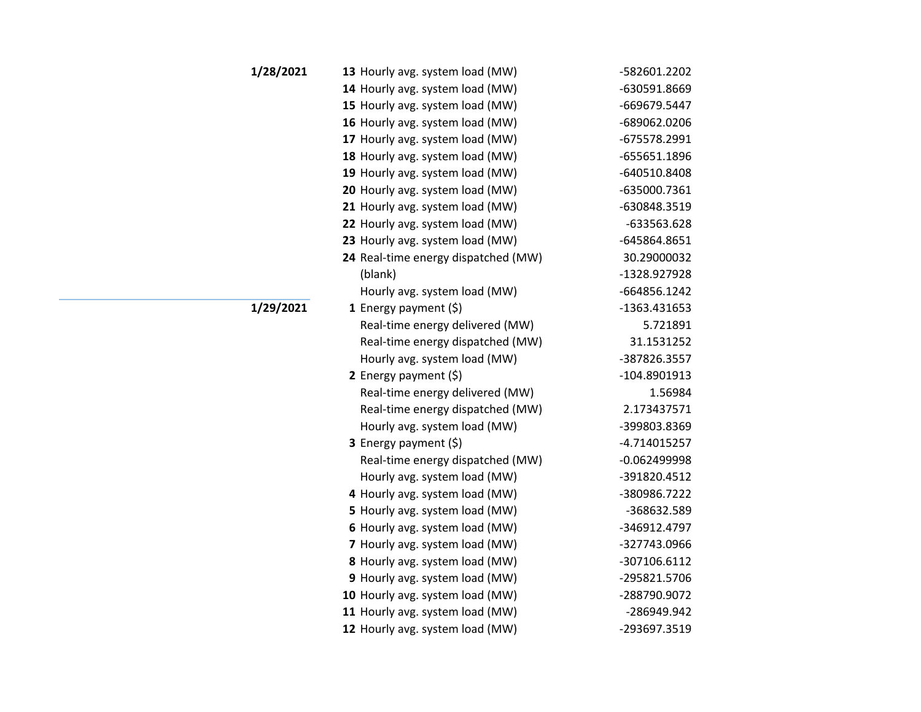| 1/28/2021 | 13 Hourly avg. system load (MW)     | -582601.2202   |
|-----------|-------------------------------------|----------------|
|           | 14 Hourly avg. system load (MW)     | -630591.8669   |
|           | 15 Hourly avg. system load (MW)     | -669679.5447   |
|           | 16 Hourly avg. system load (MW)     | -689062.0206   |
|           | 17 Hourly avg. system load (MW)     | -675578.2991   |
|           | 18 Hourly avg. system load (MW)     | -655651.1896   |
|           | 19 Hourly avg. system load (MW)     | -640510.8408   |
|           | 20 Hourly avg. system load (MW)     | -635000.7361   |
|           | 21 Hourly avg. system load (MW)     | -630848.3519   |
|           | 22 Hourly avg. system load (MW)     | -633563.628    |
|           | 23 Hourly avg. system load (MW)     | -645864.8651   |
|           | 24 Real-time energy dispatched (MW) | 30.29000032    |
|           | (blank)                             | -1328.927928   |
|           | Hourly avg. system load (MW)        | -664856.1242   |
| 1/29/2021 | 1 Energy payment $(\xi)$            | -1363.431653   |
|           | Real-time energy delivered (MW)     | 5.721891       |
|           | Real-time energy dispatched (MW)    | 31.1531252     |
|           | Hourly avg. system load (MW)        | -387826.3557   |
|           | 2 Energy payment $(5)$              | -104.8901913   |
|           | Real-time energy delivered (MW)     | 1.56984        |
|           | Real-time energy dispatched (MW)    | 2.173437571    |
|           | Hourly avg. system load (MW)        | -399803.8369   |
|           | 3 Energy payment (\$)               | -4.714015257   |
|           | Real-time energy dispatched (MW)    | $-0.062499998$ |
|           | Hourly avg. system load (MW)        | -391820.4512   |
|           | 4 Hourly avg. system load (MW)      | -380986.7222   |
|           | 5 Hourly avg. system load (MW)      | -368632.589    |
|           | 6 Hourly avg. system load (MW)      | -346912.4797   |
|           | 7 Hourly avg. system load (MW)      | -327743.0966   |
|           | 8 Hourly avg. system load (MW)      | -307106.6112   |
|           | 9 Hourly avg. system load (MW)      | -295821.5706   |
|           | 10 Hourly avg. system load (MW)     | -288790.9072   |
|           | 11 Hourly avg. system load (MW)     | -286949.942    |
|           | 12 Hourly avg. system load (MW)     | -293697.3519   |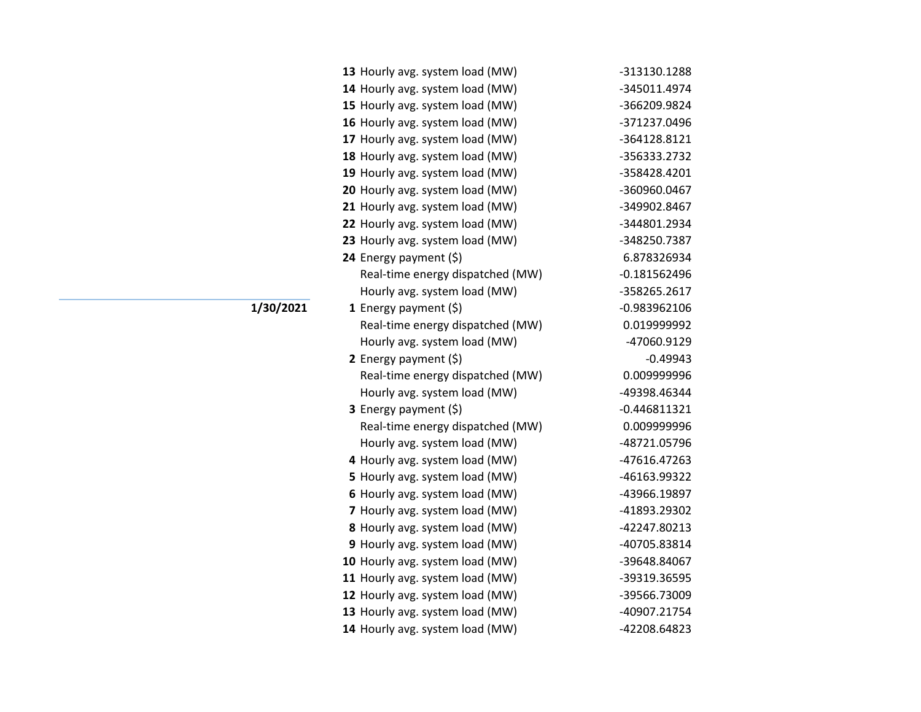| 13 Hourly avg. system load (MW)  | -313130.1288   |
|----------------------------------|----------------|
| 14 Hourly avg. system load (MW)  | -345011.4974   |
| 15 Hourly avg. system load (MW)  | -366209.9824   |
| 16 Hourly avg. system load (MW)  | -371237.0496   |
| 17 Hourly avg. system load (MW)  | -364128.8121   |
| 18 Hourly avg. system load (MW)  | -356333.2732   |
| 19 Hourly avg. system load (MW)  | -358428.4201   |
| 20 Hourly avg. system load (MW)  | -360960.0467   |
| 21 Hourly avg. system load (MW)  | -349902.8467   |
| 22 Hourly avg. system load (MW)  | -344801.2934   |
| 23 Hourly avg. system load (MW)  | -348250.7387   |
| 24 Energy payment (\$)           | 6.878326934    |
| Real-time energy dispatched (MW) | $-0.181562496$ |
| Hourly avg. system load (MW)     | -358265.2617   |
| 1 Energy payment $(\xi)$         | $-0.983962106$ |
| Real-time energy dispatched (MW) | 0.019999992    |
| Hourly avg. system load (MW)     | -47060.9129    |
| 2 Energy payment $(\xi)$         | $-0.49943$     |
| Real-time energy dispatched (MW) | 0.009999996    |
| Hourly avg. system load (MW)     | -49398.46344   |
| 3 Energy payment (\$)            | $-0.446811321$ |
| Real-time energy dispatched (MW) | 0.009999996    |
| Hourly avg. system load (MW)     | -48721.05796   |
| 4 Hourly avg. system load (MW)   | -47616.47263   |
| 5 Hourly avg. system load (MW)   | -46163.99322   |
| 6 Hourly avg. system load (MW)   | -43966.19897   |
| 7 Hourly avg. system load (MW)   | -41893.29302   |
| 8 Hourly avg. system load (MW)   | -42247.80213   |
| 9 Hourly avg. system load (MW)   | -40705.83814   |
| 10 Hourly avg. system load (MW)  | -39648.84067   |
| 11 Hourly avg. system load (MW)  | -39319.36595   |
| 12 Hourly avg. system load (MW)  | -39566.73009   |
| 13 Hourly avg. system load (MW)  | -40907.21754   |
| 14 Hourly avg. system load (MW)  | -42208.64823   |

**1/30/2021**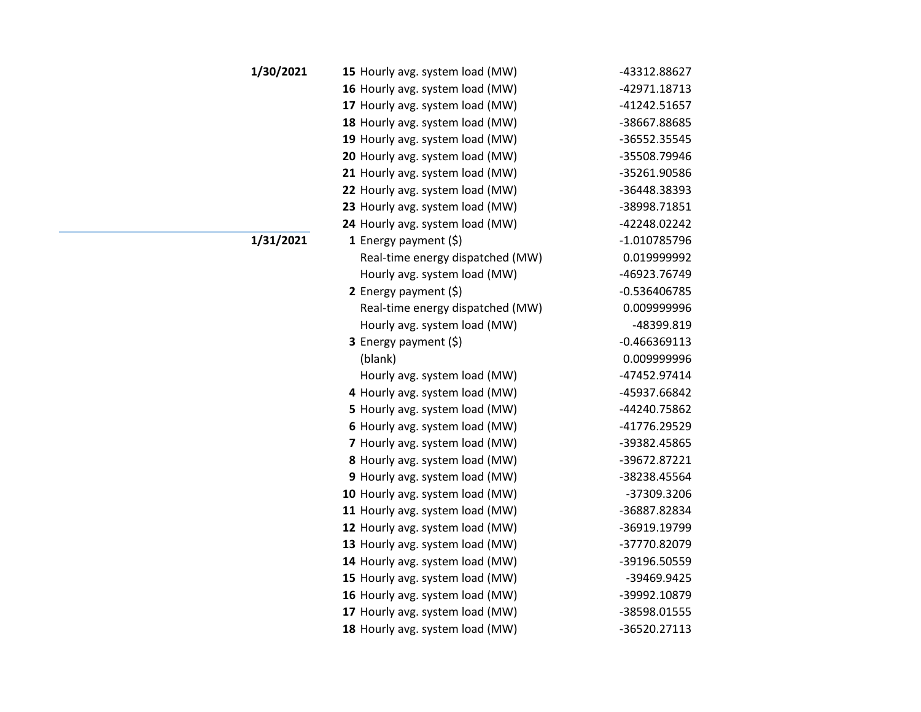| <b>1/30/2021</b> | 15 Hourly avg. system load (MW)  | -43312.88627   |
|------------------|----------------------------------|----------------|
|                  | 16 Hourly avg. system load (MW)  | -42971.18713   |
|                  | 17 Hourly avg. system load (MW)  | -41242.51657   |
|                  | 18 Hourly avg. system load (MW)  | -38667.88685   |
|                  | 19 Hourly avg. system load (MW)  | -36552.35545   |
|                  | 20 Hourly avg. system load (MW)  | -35508.79946   |
|                  | 21 Hourly avg. system load (MW)  | -35261.90586   |
|                  | 22 Hourly avg. system load (MW)  | -36448.38393   |
|                  | 23 Hourly avg. system load (MW)  | -38998.71851   |
|                  | 24 Hourly avg. system load (MW)  | -42248.02242   |
| 1/31/2021        | 1 Energy payment $(\xi)$         | -1.010785796   |
|                  | Real-time energy dispatched (MW) | 0.019999992    |
|                  | Hourly avg. system load (MW)     | -46923.76749   |
|                  | 2 Energy payment $(5)$           | -0.536406785   |
|                  | Real-time energy dispatched (MW) | 0.009999996    |
|                  | Hourly avg. system load (MW)     | -48399.819     |
|                  | 3 Energy payment (\$)            | $-0.466369113$ |
|                  | (blank)                          | 0.009999996    |
|                  | Hourly avg. system load (MW)     | -47452.97414   |
|                  | 4 Hourly avg. system load (MW)   | -45937.66842   |
|                  | 5 Hourly avg. system load (MW)   | -44240.75862   |
|                  | 6 Hourly avg. system load (MW)   | -41776.29529   |
|                  | 7 Hourly avg. system load (MW)   | -39382.45865   |
|                  | 8 Hourly avg. system load (MW)   | -39672.87221   |
|                  | 9 Hourly avg. system load (MW)   | -38238.45564   |
|                  | 10 Hourly avg. system load (MW)  | -37309.3206    |
|                  | 11 Hourly avg. system load (MW)  | -36887.82834   |
|                  | 12 Hourly avg. system load (MW)  | -36919.19799   |
|                  | 13 Hourly avg. system load (MW)  | -37770.82079   |
|                  | 14 Hourly avg. system load (MW)  | -39196.50559   |
|                  | 15 Hourly avg. system load (MW)  | -39469.9425    |
|                  | 16 Hourly avg. system load (MW)  | -39992.10879   |
|                  | 17 Hourly avg. system load (MW)  | -38598.01555   |
|                  | 18 Hourly avg. system load (MW)  | -36520.27113   |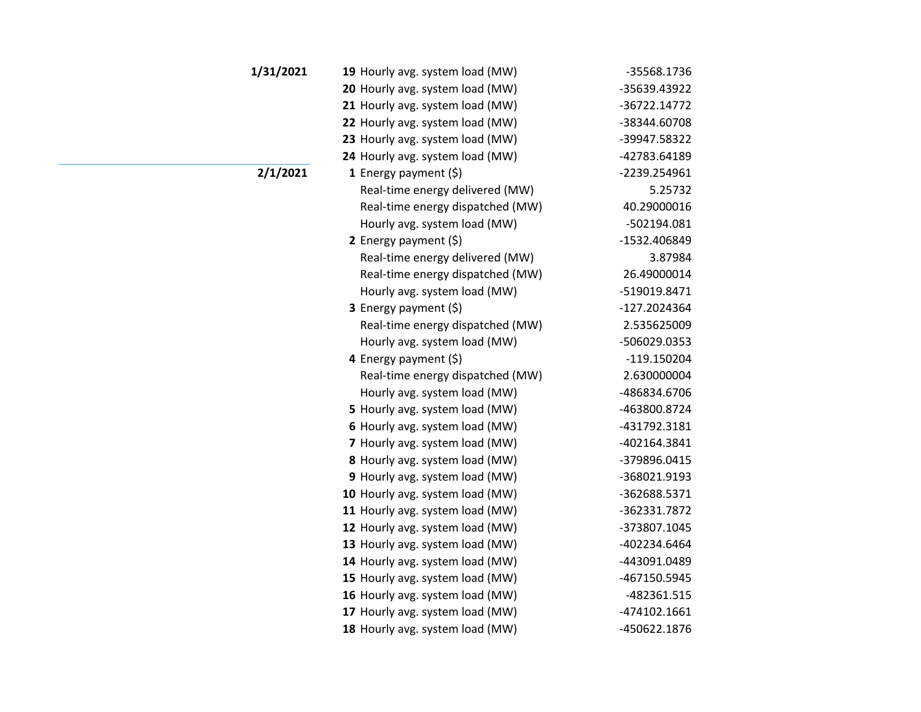| 1/31/2021 | 19 Hourly avg. system load (MW)  | -35568.1736  |
|-----------|----------------------------------|--------------|
|           | 20 Hourly avg. system load (MW)  | -35639.43922 |
|           | 21 Hourly avg. system load (MW)  | -36722.14772 |
|           | 22 Hourly avg. system load (MW)  | -38344.60708 |
|           | 23 Hourly avg. system load (MW)  | -39947.58322 |
|           | 24 Hourly avg. system load (MW)  | -42783.64189 |
| 2/1/2021  | 1 Energy payment $(\xi)$         | -2239.254961 |
|           | Real-time energy delivered (MW)  | 5.25732      |
|           | Real-time energy dispatched (MW) | 40.29000016  |
|           | Hourly avg. system load (MW)     | -502194.081  |
|           | 2 Energy payment $(\xi)$         | -1532.406849 |
|           | Real-time energy delivered (MW)  | 3.87984      |
|           | Real-time energy dispatched (MW) | 26.49000014  |
|           | Hourly avg. system load (MW)     | -519019.8471 |
|           | 3 Energy payment (\$)            | -127.2024364 |
|           | Real-time energy dispatched (MW) | 2.535625009  |
|           | Hourly avg. system load (MW)     | -506029.0353 |
|           | 4 Energy payment (\$)            | -119.150204  |
|           | Real-time energy dispatched (MW) | 2.630000004  |
|           | Hourly avg. system load (MW)     | -486834.6706 |
|           | 5 Hourly avg. system load (MW)   | -463800.8724 |
|           | 6 Hourly avg. system load (MW)   | -431792.3181 |
|           | 7 Hourly avg. system load (MW)   | -402164.3841 |
|           | 8 Hourly avg. system load (MW)   | -379896.0415 |
|           | 9 Hourly avg. system load (MW)   | -368021.9193 |
|           | 10 Hourly avg. system load (MW)  | -362688.5371 |
|           | 11 Hourly avg. system load (MW)  | -362331.7872 |
|           | 12 Hourly avg. system load (MW)  | -373807.1045 |
|           | 13 Hourly avg. system load (MW)  | -402234.6464 |
|           | 14 Hourly avg. system load (MW)  | -443091.0489 |
|           | 15 Hourly avg. system load (MW)  | -467150.5945 |
|           | 16 Hourly avg. system load (MW)  | -482361.515  |
|           | 17 Hourly avg. system load (MW)  | -474102.1661 |
|           | 18 Hourly avg. system load (MW)  | -450622.1876 |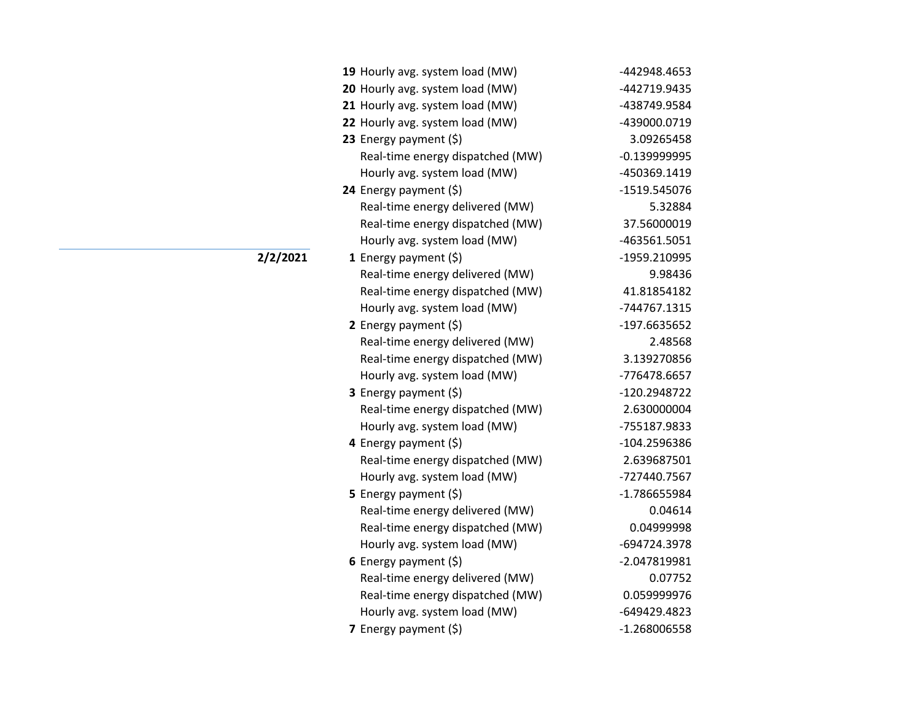| 19 Hourly avg. system load (MW)  | -442948.4653   |
|----------------------------------|----------------|
| 20 Hourly avg. system load (MW)  | -442719.9435   |
| 21 Hourly avg. system load (MW)  | -438749.9584   |
| 22 Hourly avg. system load (MW)  | -439000.0719   |
| 23 Energy payment (\$)           | 3.09265458     |
| Real-time energy dispatched (MW) | $-0.139999995$ |
| Hourly avg. system load (MW)     | -450369.1419   |
| 24 Energy payment (\$)           | -1519.545076   |
| Real-time energy delivered (MW)  | 5.32884        |
| Real-time energy dispatched (MW) | 37.56000019    |
| Hourly avg. system load (MW)     | -463561.5051   |
| 1 Energy payment $(\xi)$         | -1959.210995   |
| Real-time energy delivered (MW)  | 9.98436        |
| Real-time energy dispatched (MW) | 41.81854182    |
| Hourly avg. system load (MW)     | -744767.1315   |
| 2 Energy payment (\$)            | -197.6635652   |
| Real-time energy delivered (MW)  | 2.48568        |
| Real-time energy dispatched (MW) | 3.139270856    |
| Hourly avg. system load (MW)     | -776478.6657   |
| 3 Energy payment (\$)            | -120.2948722   |
| Real-time energy dispatched (MW) | 2.630000004    |
| Hourly avg. system load (MW)     | -755187.9833   |
| 4 Energy payment (\$)            | -104.2596386   |
| Real-time energy dispatched (MW) | 2.639687501    |
| Hourly avg. system load (MW)     | -727440.7567   |
| <b>5</b> Energy payment $(\xi)$  | -1.786655984   |
| Real-time energy delivered (MW)  | 0.04614        |
| Real-time energy dispatched (MW) | 0.04999998     |
| Hourly avg. system load (MW)     | -694724.3978   |
| 6 Energy payment $(\xi)$         | -2.047819981   |
| Real-time energy delivered (MW)  | 0.07752        |
| Real-time energy dispatched (MW) | 0.059999976    |
| Hourly avg. system load (MW)     | -649429.4823   |
| 7 Energy payment $(5)$           | -1.268006558   |

**2/2/2021**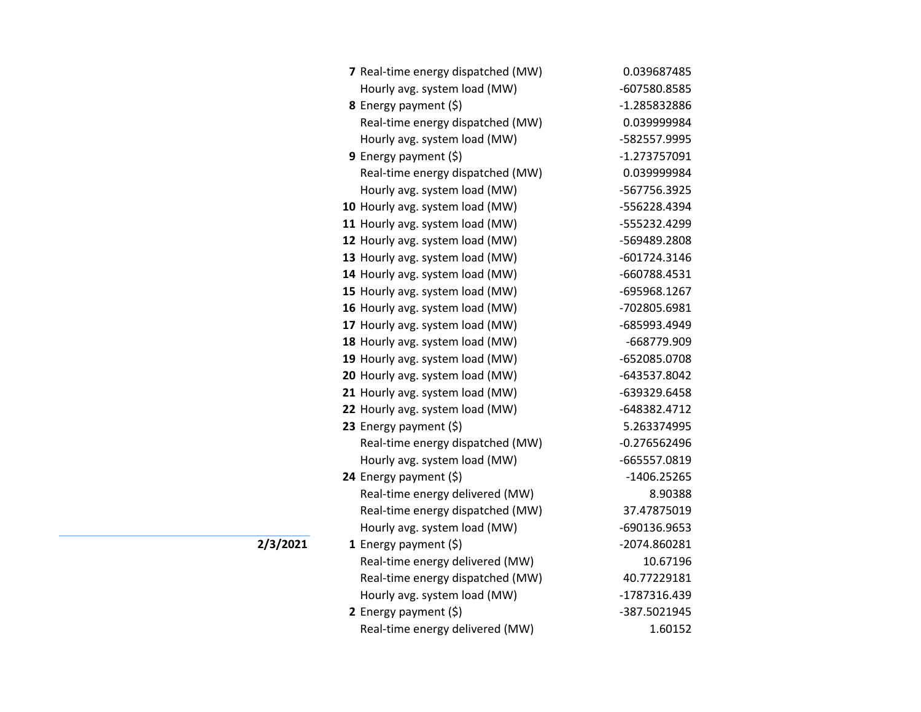| 7 Real-time energy dispatched (MW) | 0.039687485    |
|------------------------------------|----------------|
| Hourly avg. system load (MW)       | -607580.8585   |
| 8 Energy payment (\$)              | -1.285832886   |
| Real-time energy dispatched (MW)   | 0.039999984    |
| Hourly avg. system load (MW)       | -582557.9995   |
| <b>9</b> Energy payment $(\xi)$    | -1.273757091   |
| Real-time energy dispatched (MW)   | 0.039999984    |
| Hourly avg. system load (MW)       | -567756.3925   |
| 10 Hourly avg. system load (MW)    | -556228.4394   |
| 11 Hourly avg. system load (MW)    | -555232.4299   |
| 12 Hourly avg. system load (MW)    | -569489.2808   |
| 13 Hourly avg. system load (MW)    | -601724.3146   |
| 14 Hourly avg. system load (MW)    | -660788.4531   |
| 15 Hourly avg. system load (MW)    | -695968.1267   |
| 16 Hourly avg. system load (MW)    | -702805.6981   |
| 17 Hourly avg. system load (MW)    | -685993.4949   |
| 18 Hourly avg. system load (MW)    | -668779.909    |
| 19 Hourly avg. system load (MW)    | -652085.0708   |
| 20 Hourly avg. system load (MW)    | -643537.8042   |
| 21 Hourly avg. system load (MW)    | -639329.6458   |
| 22 Hourly avg. system load (MW)    | -648382.4712   |
| 23 Energy payment $(\xi)$          | 5.263374995    |
| Real-time energy dispatched (MW)   | $-0.276562496$ |
| Hourly avg. system load (MW)       | -665557.0819   |
| 24 Energy payment (\$)             | $-1406.25265$  |
| Real-time energy delivered (MW)    | 8.90388        |
| Real-time energy dispatched (MW)   | 37.47875019    |
| Hourly avg. system load (MW)       | -690136.9653   |
| 1 Energy payment $(\xi)$           | -2074.860281   |
| Real-time energy delivered (MW)    | 10.67196       |
| Real-time energy dispatched (MW)   | 40.77229181    |
| Hourly avg. system load (MW)       | -1787316.439   |
| 2 Energy payment $(\xi)$           | -387.5021945   |
| Real-time energy delivered (MW)    | 1.60152        |

**2/3/2021**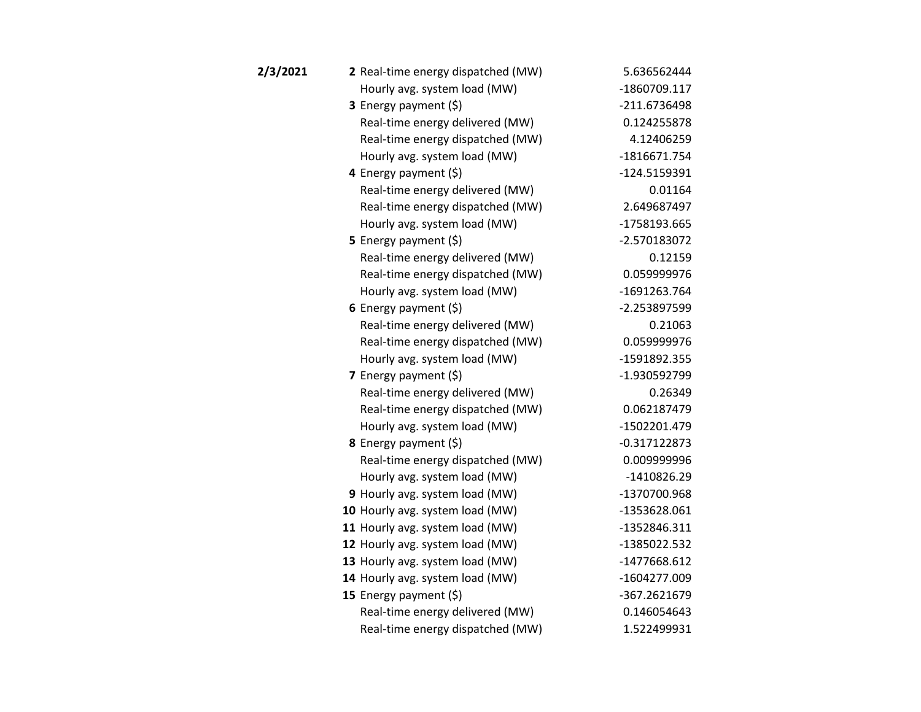| 2/3/2021 | 2 Real-time energy dispatched (MW) | 5.636562444    |
|----------|------------------------------------|----------------|
|          | Hourly avg. system load (MW)       | -1860709.117   |
|          | 3 Energy payment (\$)              | -211.6736498   |
|          | Real-time energy delivered (MW)    | 0.124255878    |
|          | Real-time energy dispatched (MW)   | 4.12406259     |
|          | Hourly avg. system load (MW)       | -1816671.754   |
|          | 4 Energy payment (\$)              | -124.5159391   |
|          | Real-time energy delivered (MW)    | 0.01164        |
|          | Real-time energy dispatched (MW)   | 2.649687497    |
|          | Hourly avg. system load (MW)       | -1758193.665   |
|          | 5 Energy payment $(5)$             | -2.570183072   |
|          | Real-time energy delivered (MW)    | 0.12159        |
|          | Real-time energy dispatched (MW)   | 0.059999976    |
|          | Hourly avg. system load (MW)       | -1691263.764   |
|          | 6 Energy payment $(\xi)$           | -2.253897599   |
|          | Real-time energy delivered (MW)    | 0.21063        |
|          | Real-time energy dispatched (MW)   | 0.059999976    |
|          | Hourly avg. system load (MW)       | -1591892.355   |
|          | 7 Energy payment $(5)$             | -1.930592799   |
|          | Real-time energy delivered (MW)    | 0.26349        |
|          | Real-time energy dispatched (MW)   | 0.062187479    |
|          | Hourly avg. system load (MW)       | -1502201.479   |
|          | <b>8</b> Energy payment $(\xi)$    | $-0.317122873$ |
|          | Real-time energy dispatched (MW)   | 0.009999996    |
|          | Hourly avg. system load (MW)       | $-1410826.29$  |
|          | 9 Hourly avg. system load (MW)     | -1370700.968   |
|          | 10 Hourly avg. system load (MW)    | -1353628.061   |
|          | 11 Hourly avg. system load (MW)    | -1352846.311   |
|          | 12 Hourly avg. system load (MW)    | -1385022.532   |
|          | 13 Hourly avg. system load (MW)    | -1477668.612   |
|          | 14 Hourly avg. system load (MW)    | -1604277.009   |
|          | 15 Energy payment (\$)             | -367.2621679   |
|          | Real-time energy delivered (MW)    | 0.146054643    |
|          | Real-time energy dispatched (MW)   | 1.522499931    |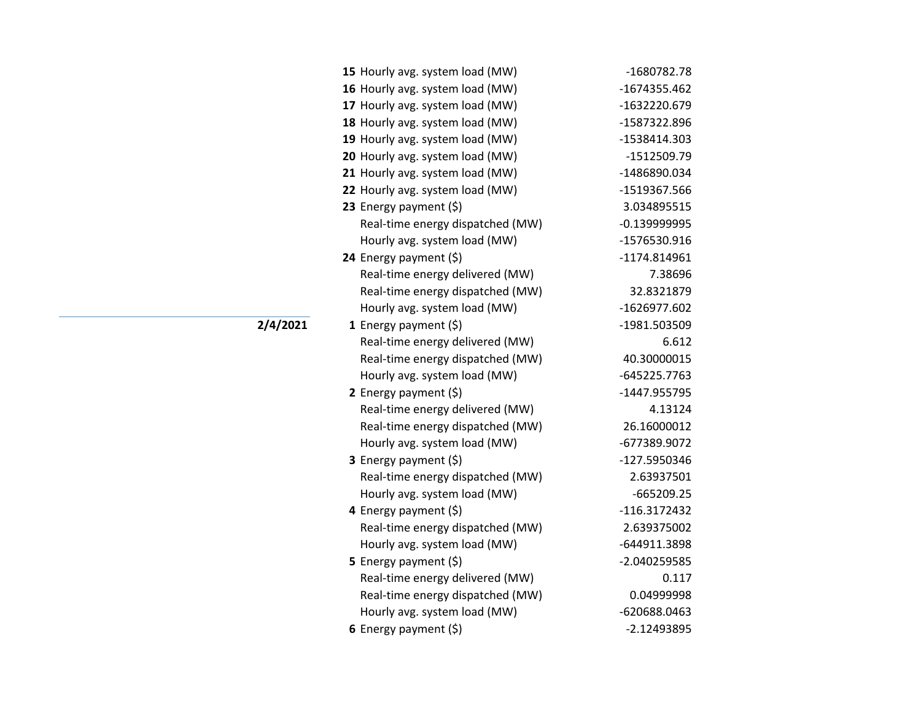| 15 Hourly avg. system load (MW)  | -1680782.78    |
|----------------------------------|----------------|
| 16 Hourly avg. system load (MW)  | -1674355.462   |
| 17 Hourly avg. system load (MW)  | -1632220.679   |
| 18 Hourly avg. system load (MW)  | -1587322.896   |
| 19 Hourly avg. system load (MW)  | -1538414.303   |
| 20 Hourly avg. system load (MW)  | -1512509.79    |
| 21 Hourly avg. system load (MW)  | -1486890.034   |
| 22 Hourly avg. system load (MW)  | -1519367.566   |
| 23 Energy payment $(5)$          | 3.034895515    |
| Real-time energy dispatched (MW) | $-0.139999995$ |
| Hourly avg. system load (MW)     | -1576530.916   |
| 24 Energy payment (\$)           | -1174.814961   |
| Real-time energy delivered (MW)  | 7.38696        |
| Real-time energy dispatched (MW) | 32.8321879     |
| Hourly avg. system load (MW)     | -1626977.602   |
| 1 Energy payment $(\xi)$         | -1981.503509   |
| Real-time energy delivered (MW)  | 6.612          |
| Real-time energy dispatched (MW) | 40.30000015    |
| Hourly avg. system load (MW)     | -645225.7763   |
| 2 Energy payment $(5)$           | -1447.955795   |
| Real-time energy delivered (MW)  | 4.13124        |
| Real-time energy dispatched (MW) | 26.16000012    |
| Hourly avg. system load (MW)     | -677389.9072   |
| 3 Energy payment (\$)            | -127.5950346   |
| Real-time energy dispatched (MW) | 2.63937501     |
| Hourly avg. system load (MW)     | $-665209.25$   |
| 4 Energy payment $(\xi)$         | $-116.3172432$ |
| Real-time energy dispatched (MW) | 2.639375002    |
| Hourly avg. system load (MW)     | -644911.3898   |
| 5 Energy payment (\$)            | -2.040259585   |
| Real-time energy delivered (MW)  | 0.117          |
| Real-time energy dispatched (MW) | 0.04999998     |
| Hourly avg. system load (MW)     | -620688.0463   |
| 6 Energy payment (\$)            | $-2.12493895$  |

**2/4/2021**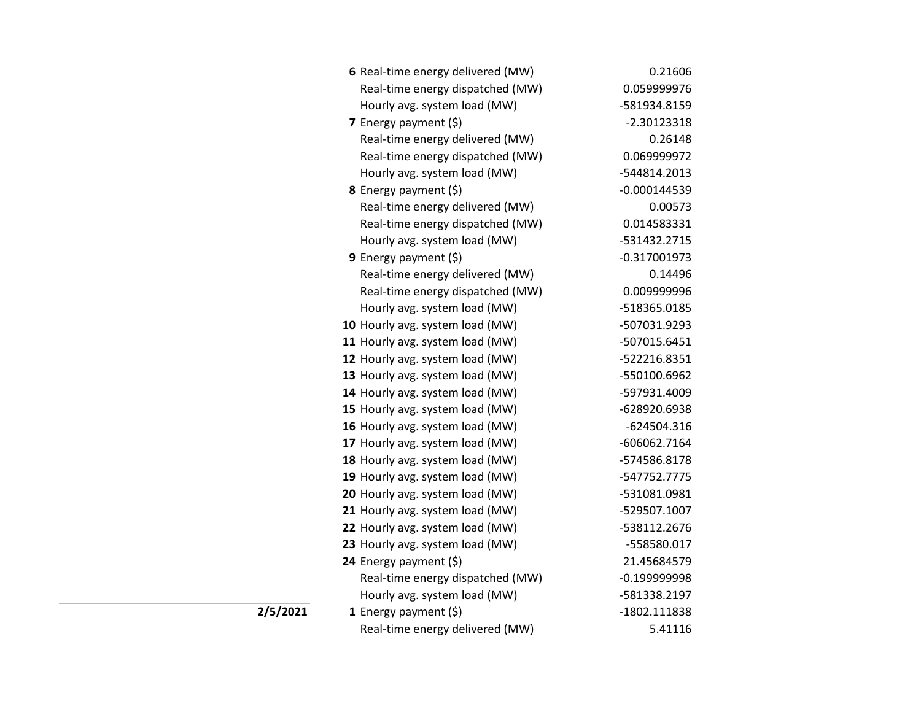|          | 6 Real-time energy delivered (MW) | 0.21606        |
|----------|-----------------------------------|----------------|
|          | Real-time energy dispatched (MW)  | 0.059999976    |
|          | Hourly avg. system load (MW)      | -581934.8159   |
|          | 7 Energy payment $(5)$            | $-2.30123318$  |
|          | Real-time energy delivered (MW)   | 0.26148        |
|          | Real-time energy dispatched (MW)  | 0.069999972    |
|          | Hourly avg. system load (MW)      | -544814.2013   |
|          | <b>8</b> Energy payment $(\xi)$   | $-0.000144539$ |
|          | Real-time energy delivered (MW)   | 0.00573        |
|          | Real-time energy dispatched (MW)  | 0.014583331    |
|          | Hourly avg. system load (MW)      | -531432.2715   |
|          | 9 Energy payment (\$)             | $-0.317001973$ |
|          | Real-time energy delivered (MW)   | 0.14496        |
|          | Real-time energy dispatched (MW)  | 0.009999996    |
|          | Hourly avg. system load (MW)      | -518365.0185   |
|          | 10 Hourly avg. system load (MW)   | -507031.9293   |
|          | 11 Hourly avg. system load (MW)   | -507015.6451   |
|          | 12 Hourly avg. system load (MW)   | -522216.8351   |
|          | 13 Hourly avg. system load (MW)   | -550100.6962   |
|          | 14 Hourly avg. system load (MW)   | -597931.4009   |
|          | 15 Hourly avg. system load (MW)   | -628920.6938   |
|          | 16 Hourly avg. system load (MW)   | $-624504.316$  |
|          | 17 Hourly avg. system load (MW)   | -606062.7164   |
|          | 18 Hourly avg. system load (MW)   | -574586.8178   |
|          | 19 Hourly avg. system load (MW)   | -547752.7775   |
|          | 20 Hourly avg. system load (MW)   | -531081.0981   |
|          | 21 Hourly avg. system load (MW)   | -529507.1007   |
|          | 22 Hourly avg. system load (MW)   | -538112.2676   |
|          | 23 Hourly avg. system load (MW)   | -558580.017    |
|          | 24 Energy payment (\$)            | 21.45684579    |
|          | Real-time energy dispatched (MW)  | $-0.199999998$ |
|          | Hourly avg. system load (MW)      | -581338.2197   |
| 2/5/2021 | 1 Energy payment $(\xi)$          | -1802.111838   |
|          | Real-time energy delivered (MW)   | 5.41116        |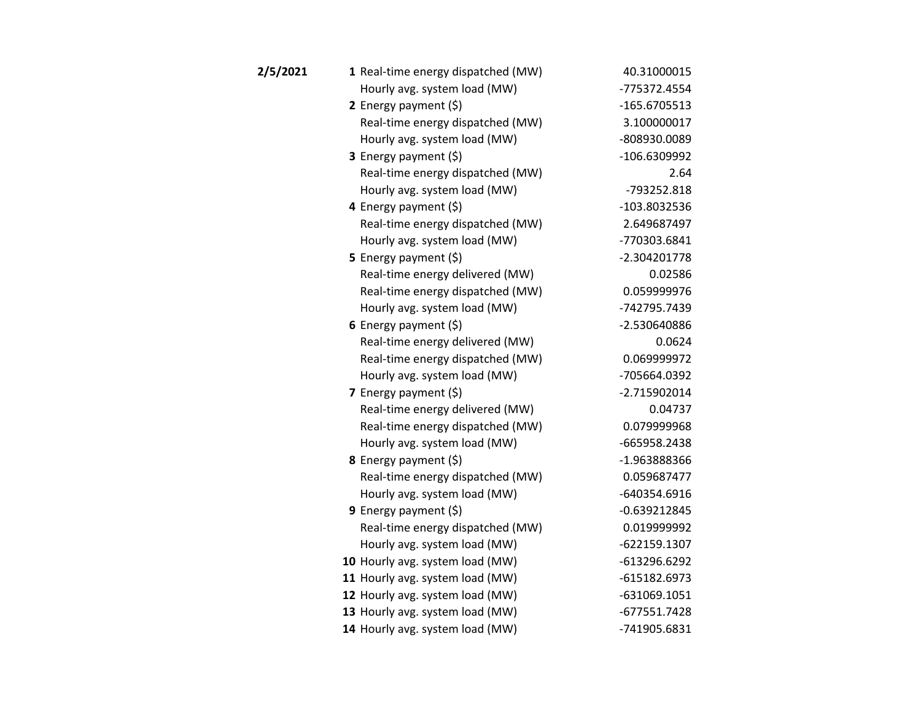| 2/5/2021 | 1 Real-time energy dispatched (MW) | 40.31000015    |
|----------|------------------------------------|----------------|
|          | Hourly avg. system load (MW)       | -775372.4554   |
|          | 2 Energy payment $(5)$             | -165.6705513   |
|          | Real-time energy dispatched (MW)   | 3.100000017    |
|          | Hourly avg. system load (MW)       | -808930.0089   |
|          | 3 Energy payment (\$)              | -106.6309992   |
|          | Real-time energy dispatched (MW)   | 2.64           |
|          | Hourly avg. system load (MW)       | -793252.818    |
|          | 4 Energy payment (\$)              | -103.8032536   |
|          | Real-time energy dispatched (MW)   | 2.649687497    |
|          | Hourly avg. system load (MW)       | -770303.6841   |
|          | 5 Energy payment $(5)$             | $-2.304201778$ |
|          | Real-time energy delivered (MW)    | 0.02586        |
|          | Real-time energy dispatched (MW)   | 0.059999976    |
|          | Hourly avg. system load (MW)       | -742795.7439   |
|          | 6 Energy payment $(5)$             | -2.530640886   |
|          | Real-time energy delivered (MW)    | 0.0624         |
|          | Real-time energy dispatched (MW)   | 0.069999972    |
|          | Hourly avg. system load (MW)       | -705664.0392   |
|          | 7 Energy payment $(5)$             | $-2.715902014$ |
|          | Real-time energy delivered (MW)    | 0.04737        |
|          | Real-time energy dispatched (MW)   | 0.079999968    |
|          | Hourly avg. system load (MW)       | -665958.2438   |
|          | 8 Energy payment (\$)              | -1.963888366   |
|          | Real-time energy dispatched (MW)   | 0.059687477    |
|          | Hourly avg. system load (MW)       | -640354.6916   |
|          | <b>9</b> Energy payment $(\xi)$    | $-0.639212845$ |
|          | Real-time energy dispatched (MW)   | 0.019999992    |
|          | Hourly avg. system load (MW)       | -622159.1307   |
|          | 10 Hourly avg. system load (MW)    | -613296.6292   |
|          | 11 Hourly avg. system load (MW)    | $-615182.6973$ |
|          | 12 Hourly avg. system load (MW)    | $-631069.1051$ |
|          | 13 Hourly avg. system load (MW)    | $-677551.7428$ |
|          | 14 Hourly avg. system load (MW)    | -741905.6831   |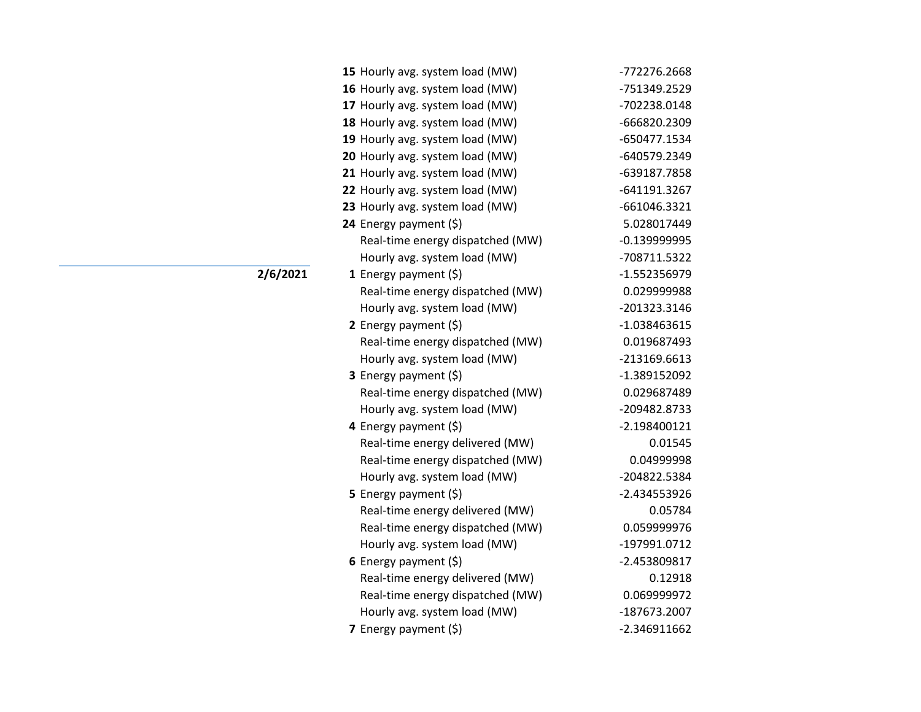| 15 Hourly avg. system load (MW)  | -772276.2668   |
|----------------------------------|----------------|
| 16 Hourly avg. system load (MW)  | -751349.2529   |
| 17 Hourly avg. system load (MW)  | -702238.0148   |
| 18 Hourly avg. system load (MW)  | -666820.2309   |
| 19 Hourly avg. system load (MW)  | -650477.1534   |
| 20 Hourly avg. system load (MW)  | -640579.2349   |
| 21 Hourly avg. system load (MW)  | -639187.7858   |
| 22 Hourly avg. system load (MW)  | -641191.3267   |
| 23 Hourly avg. system load (MW)  | -661046.3321   |
| 24 Energy payment (\$)           | 5.028017449    |
| Real-time energy dispatched (MW) | $-0.139999995$ |
| Hourly avg. system load (MW)     | -708711.5322   |
| 1 Energy payment $(\xi)$         | -1.552356979   |
| Real-time energy dispatched (MW) | 0.029999988    |
| Hourly avg. system load (MW)     | -201323.3146   |
| 2 Energy payment $(5)$           | $-1.038463615$ |
| Real-time energy dispatched (MW) | 0.019687493    |
| Hourly avg. system load (MW)     | -213169.6613   |
| 3 Energy payment (\$)            | -1.389152092   |
| Real-time energy dispatched (MW) | 0.029687489    |
| Hourly avg. system load (MW)     | -209482.8733   |
| 4 Energy payment (\$)            | $-2.198400121$ |
| Real-time energy delivered (MW)  | 0.01545        |
| Real-time energy dispatched (MW) | 0.04999998     |
| Hourly avg. system load (MW)     | -204822.5384   |
| <b>5</b> Energy payment $(\xi)$  | -2.434553926   |
| Real-time energy delivered (MW)  | 0.05784        |
| Real-time energy dispatched (MW) | 0.059999976    |
| Hourly avg. system load (MW)     | -197991.0712   |
| 6 Energy payment $(\xi)$         | -2.453809817   |
| Real-time energy delivered (MW)  | 0.12918        |
| Real-time energy dispatched (MW) | 0.069999972    |
| Hourly avg. system load (MW)     | -187673.2007   |
| 7 Energy payment (\$)            | $-2.346911662$ |

**2/6/2021**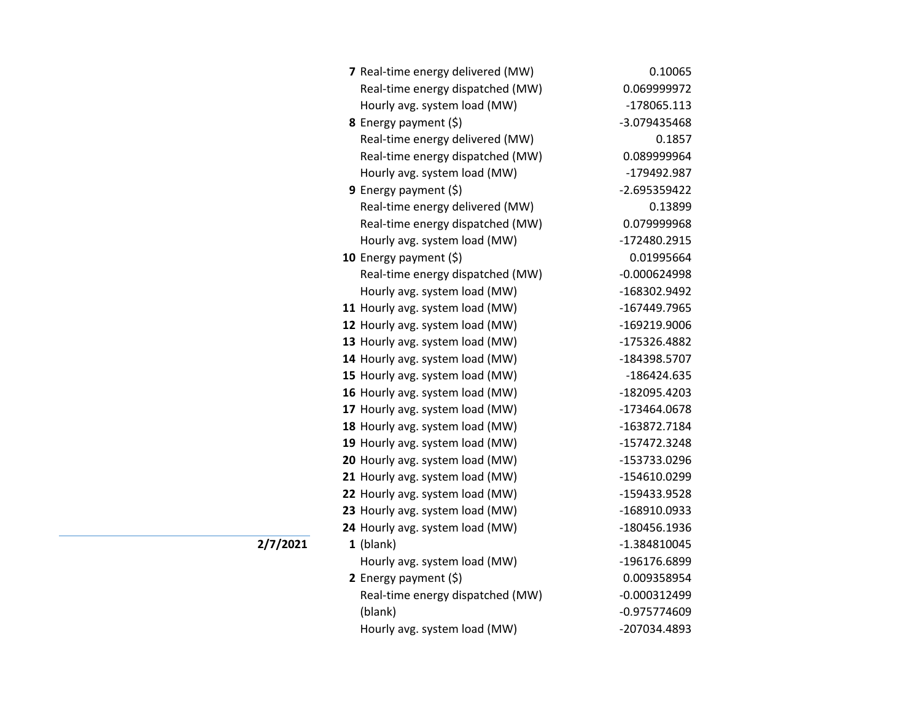| 7 Real-time energy delivered (MW) | 0.10065        |
|-----------------------------------|----------------|
| Real-time energy dispatched (MW)  | 0.069999972    |
| Hourly avg. system load (MW)      | -178065.113    |
| 8 Energy payment (\$)             | -3.079435468   |
| Real-time energy delivered (MW)   | 0.1857         |
| Real-time energy dispatched (MW)  | 0.089999964    |
| Hourly avg. system load (MW)      | -179492.987    |
| <b>9</b> Energy payment $(\xi)$   | -2.695359422   |
| Real-time energy delivered (MW)   | 0.13899        |
| Real-time energy dispatched (MW)  | 0.079999968    |
| Hourly avg. system load (MW)      | -172480.2915   |
| 10 Energy payment $(5)$           | 0.01995664     |
| Real-time energy dispatched (MW)  | $-0.000624998$ |
| Hourly avg. system load (MW)      | -168302.9492   |
| 11 Hourly avg. system load (MW)   | -167449.7965   |
| 12 Hourly avg. system load (MW)   | -169219.9006   |
| 13 Hourly avg. system load (MW)   | -175326.4882   |
| 14 Hourly avg. system load (MW)   | -184398.5707   |
| 15 Hourly avg. system load (MW)   | -186424.635    |
| 16 Hourly avg. system load (MW)   | -182095.4203   |
| 17 Hourly avg. system load (MW)   | -173464.0678   |
| 18 Hourly avg. system load (MW)   | -163872.7184   |
| 19 Hourly avg. system load (MW)   | -157472.3248   |
| 20 Hourly avg. system load (MW)   | -153733.0296   |
| 21 Hourly avg. system load (MW)   | -154610.0299   |
| 22 Hourly avg. system load (MW)   | -159433.9528   |
| 23 Hourly avg. system load (MW)   | -168910.0933   |
| 24 Hourly avg. system load (MW)   | -180456.1936   |
| $1$ (blank)                       | -1.384810045   |
| Hourly avg. system load (MW)      | -196176.6899   |
| 2 Energy payment $(5)$            | 0.009358954    |
| Real-time energy dispatched (MW)  | $-0.000312499$ |
| (blank)                           | -0.975774609   |
| Hourly avg. system load (MW)      | -207034.4893   |

**2/7/2021**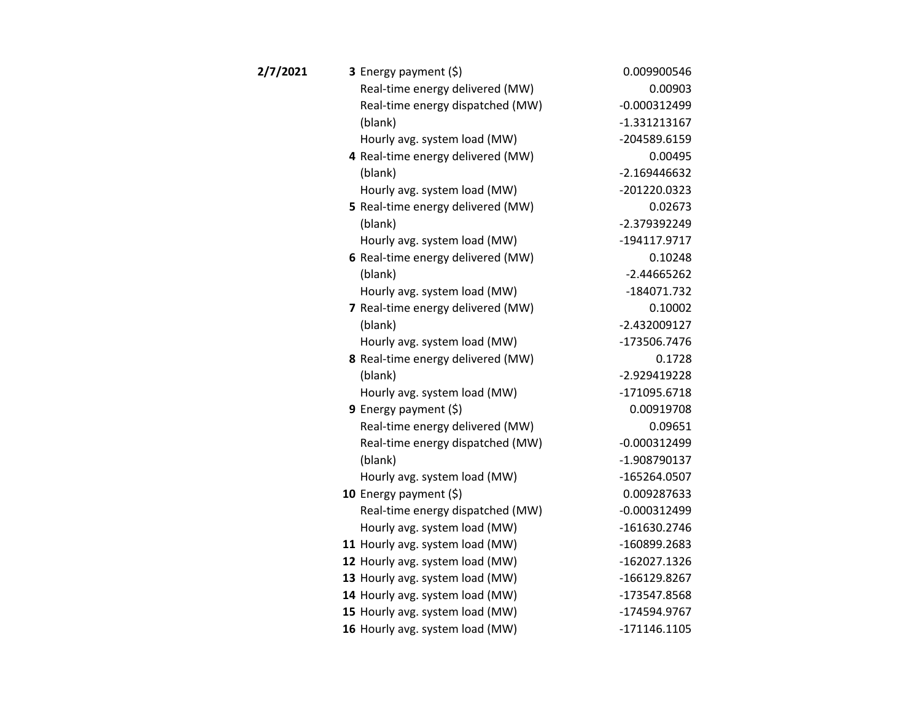| 3 Energy payment (\$)             | 0.009900546    |
|-----------------------------------|----------------|
| Real-time energy delivered (MW)   | 0.00903        |
| Real-time energy dispatched (MW)  | $-0.000312499$ |
| (blank)                           | $-1.331213167$ |
| Hourly avg. system load (MW)      | -204589.6159   |
| 4 Real-time energy delivered (MW) | 0.00495        |
| (blank)                           | $-2.169446632$ |
| Hourly avg. system load (MW)      | -201220.0323   |
| 5 Real-time energy delivered (MW) | 0.02673        |
| (blank)                           | -2.379392249   |
| Hourly avg. system load (MW)      | -194117.9717   |
| 6 Real-time energy delivered (MW) | 0.10248        |
| (blank)                           | $-2.44665262$  |
| Hourly avg. system load (MW)      | $-184071.732$  |
| 7 Real-time energy delivered (MW) | 0.10002        |
| (blank)                           | $-2.432009127$ |
| Hourly avg. system load (MW)      | -173506.7476   |
| 8 Real-time energy delivered (MW) | 0.1728         |
| (blank)                           | -2.929419228   |
| Hourly avg. system load (MW)      | -171095.6718   |
| 9 Energy payment (\$)             | 0.00919708     |
| Real-time energy delivered (MW)   | 0.09651        |
| Real-time energy dispatched (MW)  | $-0.000312499$ |
| (blank)                           | -1.908790137   |
| Hourly avg. system load (MW)      | -165264.0507   |
| 10 Energy payment $(5)$           | 0.009287633    |
| Real-time energy dispatched (MW)  | $-0.000312499$ |
| Hourly avg. system load (MW)      | -161630.2746   |
| 11 Hourly avg. system load (MW)   | -160899.2683   |
| 12 Hourly avg. system load (MW)   | -162027.1326   |
| 13 Hourly avg. system load (MW)   | $-166129.8267$ |
| 14 Hourly avg. system load (MW)   | -173547.8568   |
| 15 Hourly avg. system load (MW)   | -174594.9767   |
| 16 Hourly avg. system load (MW)   | $-171146.1105$ |
|                                   |                |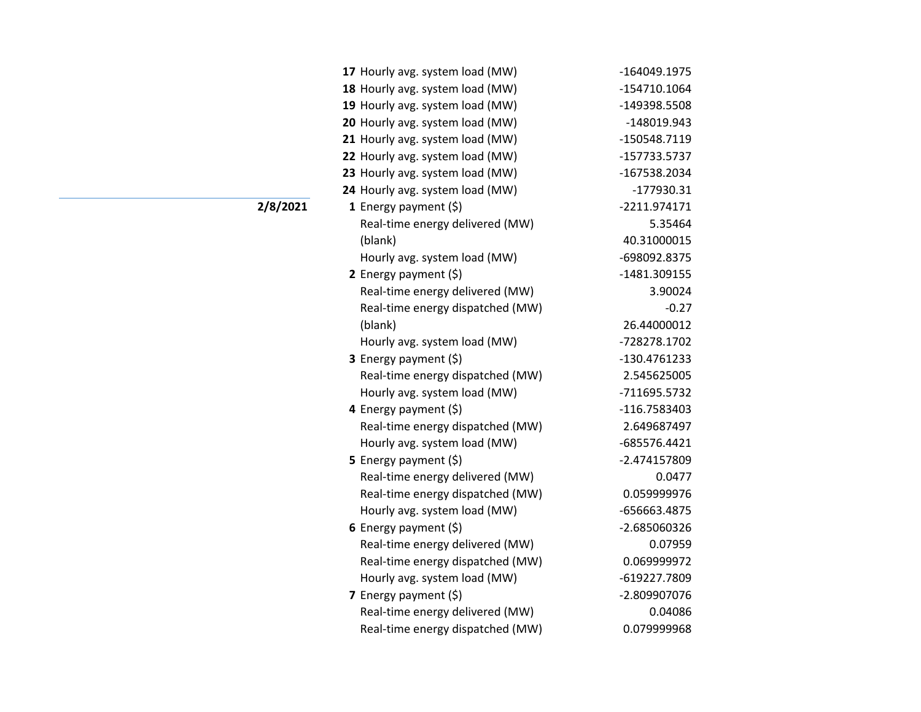| 17 Hourly avg. system load (MW)  | -164049.1975 |
|----------------------------------|--------------|
| 18 Hourly avg. system load (MW)  | -154710.1064 |
| 19 Hourly avg. system load (MW)  | -149398.5508 |
| 20 Hourly avg. system load (MW)  | -148019.943  |
| 21 Hourly avg. system load (MW)  | -150548.7119 |
| 22 Hourly avg. system load (MW)  | -157733.5737 |
| 23 Hourly avg. system load (MW)  | -167538.2034 |
| 24 Hourly avg. system load (MW)  | $-177930.31$ |
| 1 Energy payment $(\xi)$         | -2211.974171 |
| Real-time energy delivered (MW)  | 5.35464      |
| (blank)                          | 40.31000015  |
| Hourly avg. system load (MW)     | -698092.8375 |
| 2 Energy payment $(\xi)$         | -1481.309155 |
| Real-time energy delivered (MW)  | 3.90024      |
| Real-time energy dispatched (MW) | $-0.27$      |
| (blank)                          | 26.44000012  |
| Hourly avg. system load (MW)     | -728278.1702 |
| 3 Energy payment (\$)            | -130.4761233 |
| Real-time energy dispatched (MW) | 2.545625005  |
| Hourly avg. system load (MW)     | -711695.5732 |
| 4 Energy payment (\$)            | -116.7583403 |
| Real-time energy dispatched (MW) | 2.649687497  |
| Hourly avg. system load (MW)     | -685576.4421 |
| 5 Energy payment $(\xi)$         | -2.474157809 |
| Real-time energy delivered (MW)  | 0.0477       |
| Real-time energy dispatched (MW) | 0.059999976  |
| Hourly avg. system load (MW)     | -656663.4875 |
| 6 Energy payment $(\xi)$         | -2.685060326 |
| Real-time energy delivered (MW)  | 0.07959      |
| Real-time energy dispatched (MW) | 0.069999972  |
| Hourly avg. system load (MW)     | -619227.7809 |
| 7 Energy payment $(5)$           | -2.809907076 |
| Real-time energy delivered (MW)  | 0.04086      |
| Real-time energy dispatched (MW) | 0.079999968  |

## **2/8/2021**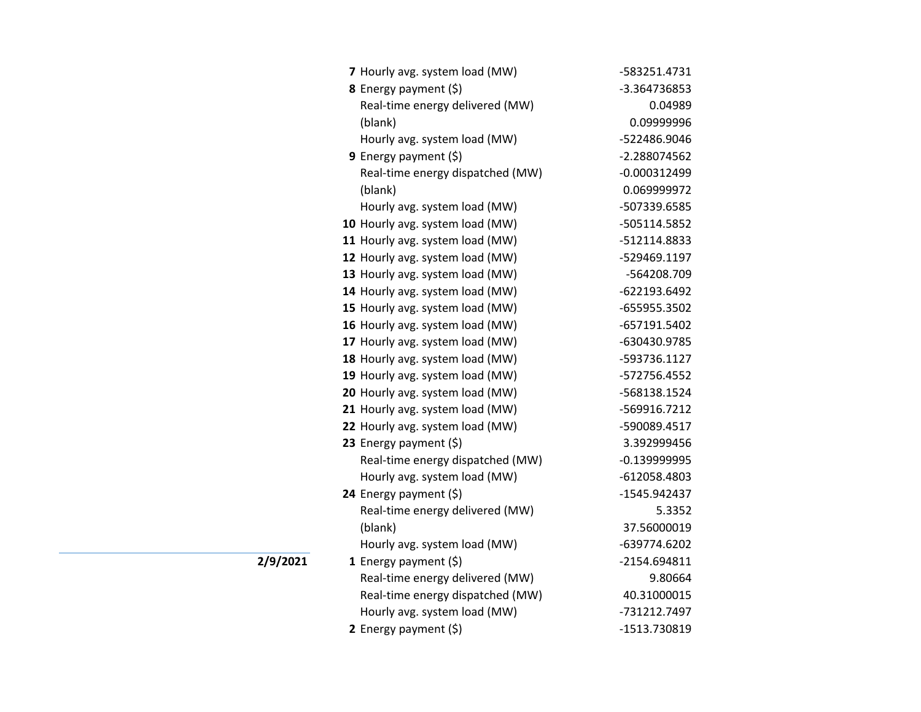| 7 Hourly avg. system load (MW)   | -583251.4731   |
|----------------------------------|----------------|
| 8 Energy payment (\$)            | -3.364736853   |
| Real-time energy delivered (MW)  | 0.04989        |
| (blank)                          | 0.09999996     |
| Hourly avg. system load (MW)     | -522486.9046   |
| 9 Energy payment (\$)            | -2.288074562   |
| Real-time energy dispatched (MW) | $-0.000312499$ |
| (blank)                          | 0.069999972    |
| Hourly avg. system load (MW)     | -507339.6585   |
| 10 Hourly avg. system load (MW)  | -505114.5852   |
| 11 Hourly avg. system load (MW)  | -512114.8833   |
| 12 Hourly avg. system load (MW)  | -529469.1197   |
| 13 Hourly avg. system load (MW)  | -564208.709    |
| 14 Hourly avg. system load (MW)  | -622193.6492   |
| 15 Hourly avg. system load (MW)  | -655955.3502   |
| 16 Hourly avg. system load (MW)  | -657191.5402   |
| 17 Hourly avg. system load (MW)  | -630430.9785   |
| 18 Hourly avg. system load (MW)  | -593736.1127   |
| 19 Hourly avg. system load (MW)  | -572756.4552   |
| 20 Hourly avg. system load (MW)  | -568138.1524   |
| 21 Hourly avg. system load (MW)  | -569916.7212   |
| 22 Hourly avg. system load (MW)  | -590089.4517   |
| 23 Energy payment (\$)           | 3.392999456    |
| Real-time energy dispatched (MW) | $-0.139999995$ |
| Hourly avg. system load (MW)     | -612058.4803   |
| 24 Energy payment (\$)           | -1545.942437   |
| Real-time energy delivered (MW)  | 5.3352         |
| (blank)                          | 37.56000019    |
| Hourly avg. system load (MW)     | -639774.6202   |
| 1 Energy payment $(\xi)$         | -2154.694811   |
| Real-time energy delivered (MW)  | 9.80664        |
| Real-time energy dispatched (MW) | 40.31000015    |
| Hourly avg. system load (MW)     | -731212.7497   |
| 2 Energy payment (\$)            | -1513.730819   |

**2/9/2021**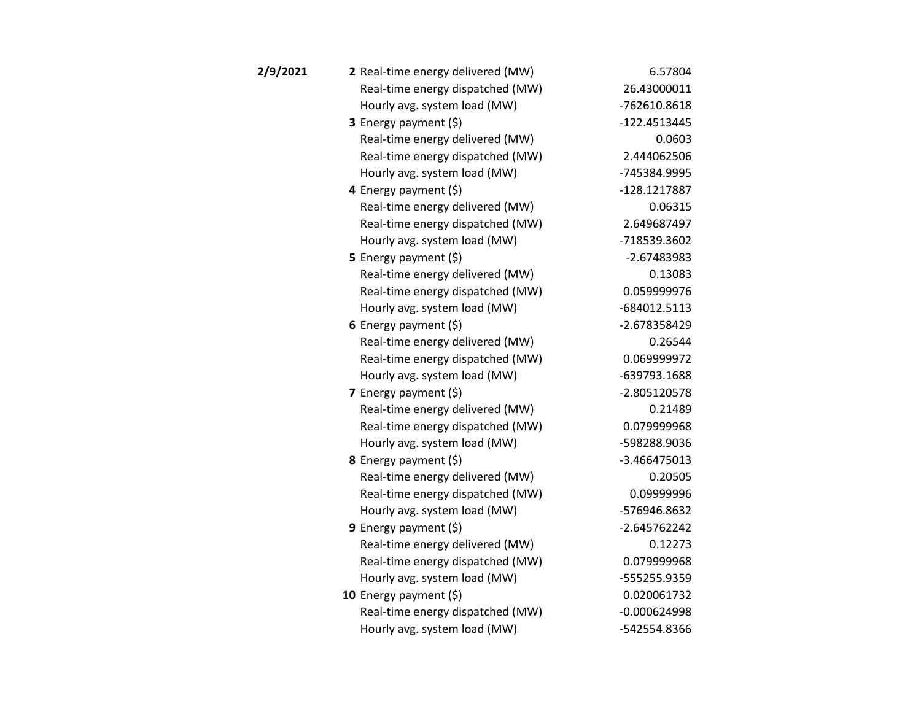| 2/9/2021 | 2 Real-time energy delivered (MW) | 6.57804        |
|----------|-----------------------------------|----------------|
|          | Real-time energy dispatched (MW)  | 26.43000011    |
|          | Hourly avg. system load (MW)      | -762610.8618   |
|          | 3 Energy payment (\$)             | -122.4513445   |
|          | Real-time energy delivered (MW)   | 0.0603         |
|          | Real-time energy dispatched (MW)  | 2.444062506    |
|          | Hourly avg. system load (MW)      | -745384.9995   |
|          | 4 Energy payment $(\xi)$          | -128.1217887   |
|          | Real-time energy delivered (MW)   | 0.06315        |
|          | Real-time energy dispatched (MW)  | 2.649687497    |
|          | Hourly avg. system load (MW)      | -718539.3602   |
|          | 5 Energy payment $(\xi)$          | $-2.67483983$  |
|          | Real-time energy delivered (MW)   | 0.13083        |
|          | Real-time energy dispatched (MW)  | 0.059999976    |
|          | Hourly avg. system load (MW)      | -684012.5113   |
|          | 6 Energy payment $(5)$            | -2.678358429   |
|          | Real-time energy delivered (MW)   | 0.26544        |
|          | Real-time energy dispatched (MW)  | 0.069999972    |
|          | Hourly avg. system load (MW)      | -639793.1688   |
|          | 7 Energy payment $(5)$            | -2.805120578   |
|          | Real-time energy delivered (MW)   | 0.21489        |
|          | Real-time energy dispatched (MW)  | 0.079999968    |
|          | Hourly avg. system load (MW)      | -598288.9036   |
|          | 8 Energy payment (\$)             | $-3.466475013$ |
|          | Real-time energy delivered (MW)   | 0.20505        |
|          | Real-time energy dispatched (MW)  | 0.09999996     |
|          | Hourly avg. system load (MW)      | -576946.8632   |
|          | <b>9</b> Energy payment $(\xi)$   | -2.645762242   |
|          | Real-time energy delivered (MW)   | 0.12273        |
|          | Real-time energy dispatched (MW)  | 0.079999968    |
|          | Hourly avg. system load (MW)      | -555255.9359   |
|          | 10 Energy payment $(5)$           | 0.020061732    |
|          | Real-time energy dispatched (MW)  | $-0.000624998$ |
|          | Hourly avg. system load (MW)      | -542554.8366   |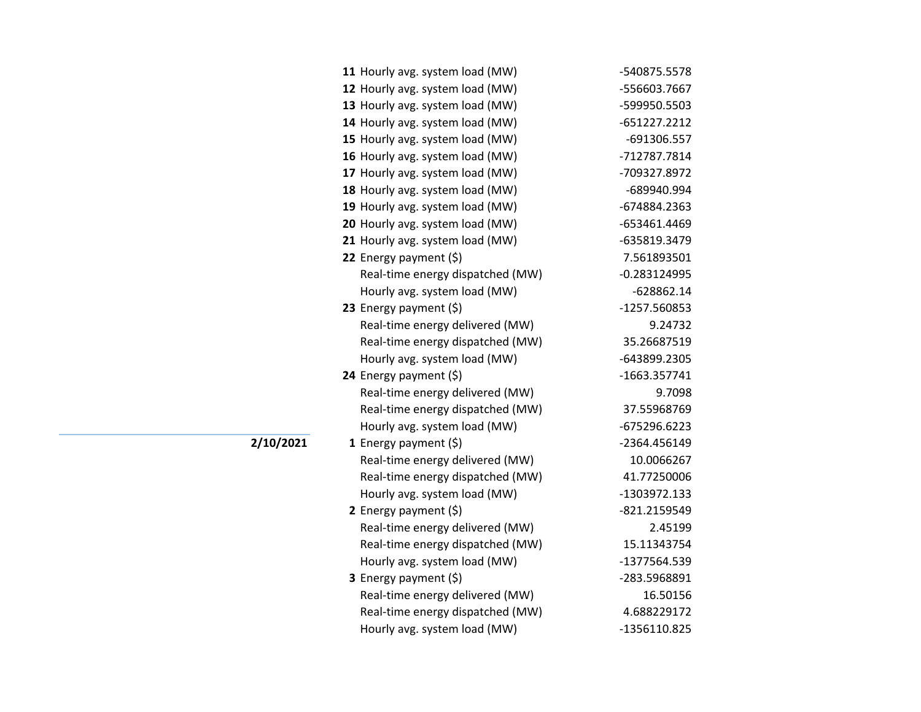| -556603.7667<br>-599950.5503<br>-651227.2212<br>-691306.557<br>-712787.7814<br>-709327.8972<br>-689940.994<br>-674884.2363 |
|----------------------------------------------------------------------------------------------------------------------------|
|                                                                                                                            |
|                                                                                                                            |
|                                                                                                                            |
|                                                                                                                            |
|                                                                                                                            |
|                                                                                                                            |
|                                                                                                                            |
|                                                                                                                            |
| -653461.4469                                                                                                               |
| -635819.3479                                                                                                               |
| 7.561893501                                                                                                                |
| $-0.283124995$                                                                                                             |
| $-628862.14$                                                                                                               |
| -1257.560853                                                                                                               |
| 9.24732                                                                                                                    |
| 35.26687519                                                                                                                |
| -643899.2305                                                                                                               |
| -1663.357741                                                                                                               |
| 9.7098                                                                                                                     |
| 37.55968769                                                                                                                |
| -675296.6223                                                                                                               |
| -2364.456149                                                                                                               |
| 10.0066267                                                                                                                 |
|                                                                                                                            |
| 41.77250006                                                                                                                |
| -1303972.133                                                                                                               |
| -821.2159549                                                                                                               |
| 2.45199                                                                                                                    |
| 15.11343754                                                                                                                |
| -1377564.539                                                                                                               |
| -283.5968891                                                                                                               |
| 16.50156                                                                                                                   |
| 4.688229172<br>-1356110.825                                                                                                |
|                                                                                                                            |

**2/10/2021**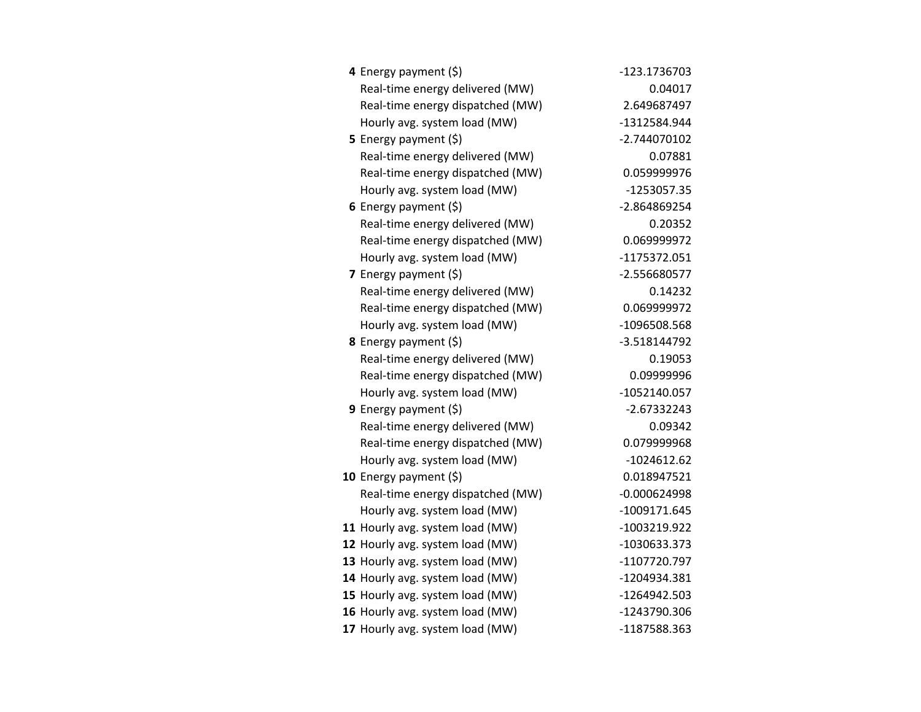| 4 Energy payment (\$)            | -123.1736703   |
|----------------------------------|----------------|
| Real-time energy delivered (MW)  | 0.04017        |
| Real-time energy dispatched (MW) | 2.649687497    |
| Hourly avg. system load (MW)     | -1312584.944   |
| 5 Energy payment $(\xi)$         | -2.744070102   |
| Real-time energy delivered (MW)  | 0.07881        |
| Real-time energy dispatched (MW) | 0.059999976    |
| Hourly avg. system load (MW)     | -1253057.35    |
| 6 Energy payment $(\xi)$         | -2.864869254   |
| Real-time energy delivered (MW)  | 0.20352        |
| Real-time energy dispatched (MW) | 0.069999972    |
| Hourly avg. system load (MW)     | -1175372.051   |
| 7 Energy payment $(\xi)$         | -2.556680577   |
| Real-time energy delivered (MW)  | 0.14232        |
| Real-time energy dispatched (MW) | 0.069999972    |
| Hourly avg. system load (MW)     | -1096508.568   |
| 8 Energy payment (\$)            | -3.518144792   |
| Real-time energy delivered (MW)  | 0.19053        |
| Real-time energy dispatched (MW) | 0.09999996     |
| Hourly avg. system load (MW)     | -1052140.057   |
| 9 Energy payment $(\xi)$         | $-2.67332243$  |
| Real-time energy delivered (MW)  | 0.09342        |
| Real-time energy dispatched (MW) | 0.079999968    |
| Hourly avg. system load (MW)     | $-1024612.62$  |
| 10 Energy payment (\$)           | 0.018947521    |
| Real-time energy dispatched (MW) | $-0.000624998$ |
| Hourly avg. system load (MW)     | -1009171.645   |
| 11 Hourly avg. system load (MW)  | -1003219.922   |
| 12 Hourly avg. system load (MW)  | -1030633.373   |
| 13 Hourly avg. system load (MW)  | -1107720.797   |
| 14 Hourly avg. system load (MW)  | -1204934.381   |
| 15 Hourly avg. system load (MW)  | -1264942.503   |
| 16 Hourly avg. system load (MW)  | -1243790.306   |
| 17 Hourly avg. system load (MW)  | -1187588.363   |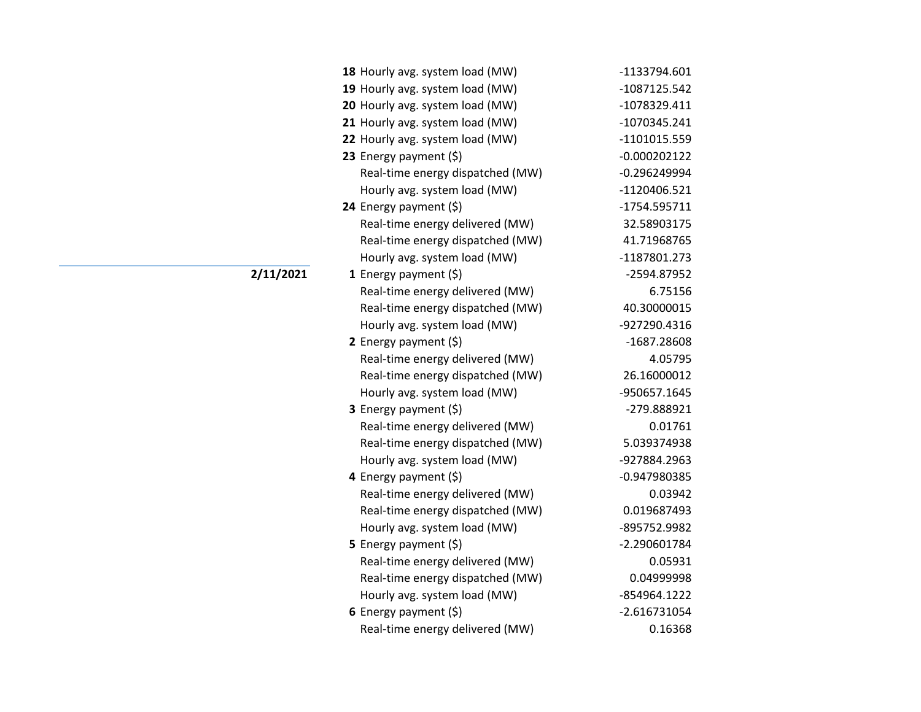| 18 Hourly avg. system load (MW)  | -1133794.601   |
|----------------------------------|----------------|
| 19 Hourly avg. system load (MW)  | -1087125.542   |
| 20 Hourly avg. system load (MW)  | -1078329.411   |
| 21 Hourly avg. system load (MW)  | -1070345.241   |
| 22 Hourly avg. system load (MW)  | -1101015.559   |
| 23 Energy payment $(\xi)$        | $-0.000202122$ |
| Real-time energy dispatched (MW) | $-0.296249994$ |
| Hourly avg. system load (MW)     | -1120406.521   |
| 24 Energy payment (\$)           | -1754.595711   |
| Real-time energy delivered (MW)  | 32.58903175    |
| Real-time energy dispatched (MW) | 41.71968765    |
| Hourly avg. system load (MW)     | -1187801.273   |
| <b>1</b> Energy payment $(\xi)$  | -2594.87952    |
| Real-time energy delivered (MW)  | 6.75156        |
| Real-time energy dispatched (MW) | 40.30000015    |
| Hourly avg. system load (MW)     | -927290.4316   |
| 2 Energy payment (\$)            | -1687.28608    |
| Real-time energy delivered (MW)  | 4.05795        |
| Real-time energy dispatched (MW) | 26.16000012    |
| Hourly avg. system load (MW)     | -950657.1645   |
| 3 Energy payment (\$)            | -279.888921    |
| Real-time energy delivered (MW)  | 0.01761        |
| Real-time energy dispatched (MW) | 5.039374938    |
| Hourly avg. system load (MW)     | -927884.2963   |
| 4 Energy payment (\$)            | -0.947980385   |
| Real-time energy delivered (MW)  | 0.03942        |
| Real-time energy dispatched (MW) | 0.019687493    |
| Hourly avg. system load (MW)     | -895752.9982   |
| 5 Energy payment $(\xi)$         | -2.290601784   |
| Real-time energy delivered (MW)  | 0.05931        |
| Real-time energy dispatched (MW) | 0.04999998     |
| Hourly avg. system load (MW)     | -854964.1222   |
| 6 Energy payment $(\xi)$         | $-2.616731054$ |
| Real-time energy delivered (MW)  | 0.16368        |

**2/11/2021**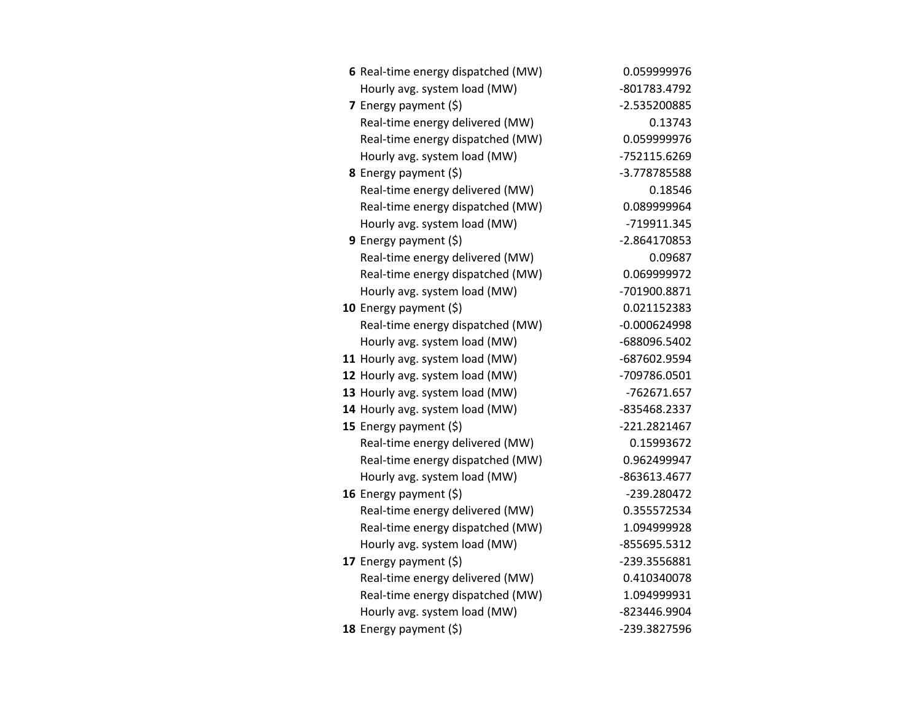| 6 Real-time energy dispatched (MW) | 0.059999976    |
|------------------------------------|----------------|
| Hourly avg. system load (MW)       | -801783.4792   |
| 7 Energy payment (\$)              | -2.535200885   |
| Real-time energy delivered (MW)    | 0.13743        |
| Real-time energy dispatched (MW)   | 0.059999976    |
| Hourly avg. system load (MW)       | -752115.6269   |
| 8 Energy payment (\$)              | -3.778785588   |
| Real-time energy delivered (MW)    | 0.18546        |
| Real-time energy dispatched (MW)   | 0.089999964    |
| Hourly avg. system load (MW)       | -719911.345    |
| 9 Energy payment $(\xi)$           | -2.864170853   |
| Real-time energy delivered (MW)    | 0.09687        |
| Real-time energy dispatched (MW)   | 0.069999972    |
| Hourly avg. system load (MW)       | -701900.8871   |
| 10 Energy payment $(\xi)$          | 0.021152383    |
| Real-time energy dispatched (MW)   | $-0.000624998$ |
| Hourly avg. system load (MW)       | -688096.5402   |
| 11 Hourly avg. system load (MW)    | -687602.9594   |
| 12 Hourly avg. system load (MW)    | -709786.0501   |
| 13 Hourly avg. system load (MW)    | -762671.657    |
| 14 Hourly avg. system load (MW)    | -835468.2337   |
| 15 Energy payment $(\xi)$          | -221.2821467   |
| Real-time energy delivered (MW)    | 0.15993672     |
| Real-time energy dispatched (MW)   | 0.962499947    |
| Hourly avg. system load (MW)       | -863613.4677   |
| 16 Energy payment $(\xi)$          | -239.280472    |
| Real-time energy delivered (MW)    | 0.355572534    |
| Real-time energy dispatched (MW)   | 1.094999928    |
| Hourly avg. system load (MW)       | -855695.5312   |
| 17 Energy payment (\$)             | -239.3556881   |
| Real-time energy delivered (MW)    | 0.410340078    |
| Real-time energy dispatched (MW)   | 1.094999931    |
| Hourly avg. system load (MW)       | -823446.9904   |
| 18 Energy payment (\$)             | -239.3827596   |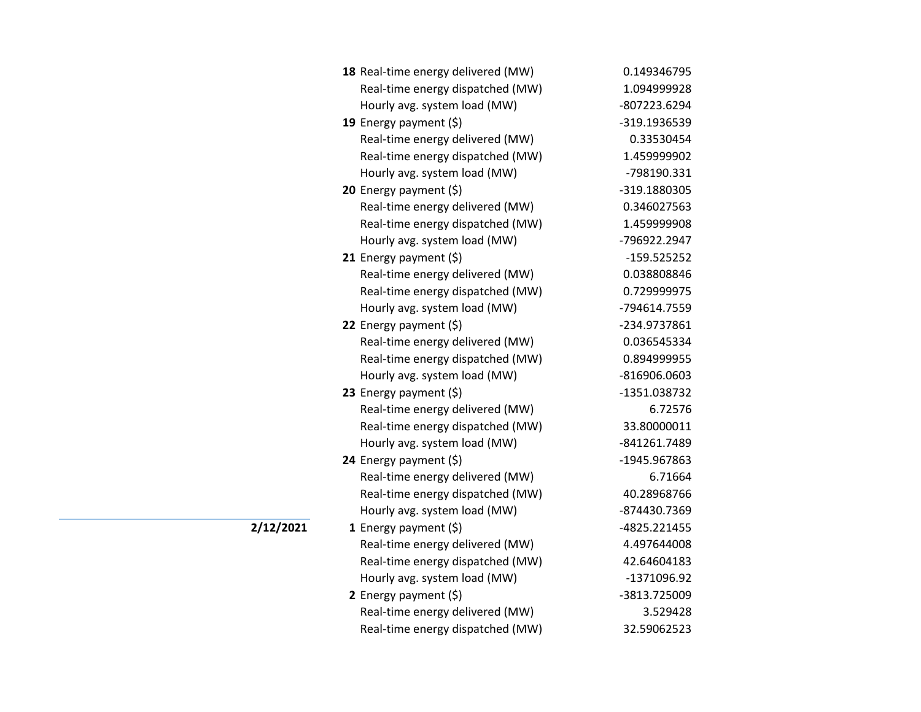|           | 18 Real-time energy delivered (MW) | 0.149346795   |
|-----------|------------------------------------|---------------|
|           | Real-time energy dispatched (MW)   | 1.094999928   |
|           | Hourly avg. system load (MW)       | -807223.6294  |
|           | 19 Energy payment (\$)             | -319.1936539  |
|           | Real-time energy delivered (MW)    | 0.33530454    |
|           | Real-time energy dispatched (MW)   | 1.459999902   |
|           | Hourly avg. system load (MW)       | -798190.331   |
|           | <b>20</b> Energy payment $(\xi)$   | -319.1880305  |
|           | Real-time energy delivered (MW)    | 0.346027563   |
|           | Real-time energy dispatched (MW)   | 1.459999908   |
|           | Hourly avg. system load (MW)       | -796922.2947  |
|           | 21 Energy payment $(\xi)$          | $-159.525252$ |
|           | Real-time energy delivered (MW)    | 0.038808846   |
|           | Real-time energy dispatched (MW)   | 0.729999975   |
|           | Hourly avg. system load (MW)       | -794614.7559  |
|           | 22 Energy payment (\$)             | -234.9737861  |
|           | Real-time energy delivered (MW)    | 0.036545334   |
|           | Real-time energy dispatched (MW)   | 0.894999955   |
|           | Hourly avg. system load (MW)       | -816906.0603  |
|           | 23 Energy payment $(5)$            | -1351.038732  |
|           | Real-time energy delivered (MW)    | 6.72576       |
|           | Real-time energy dispatched (MW)   | 33.80000011   |
|           | Hourly avg. system load (MW)       | -841261.7489  |
|           | 24 Energy payment (\$)             | -1945.967863  |
|           | Real-time energy delivered (MW)    | 6.71664       |
|           | Real-time energy dispatched (MW)   | 40.28968766   |
|           | Hourly avg. system load (MW)       | -874430.7369  |
| 2/12/2021 | 1 Energy payment $(\xi)$           | -4825.221455  |
|           | Real-time energy delivered (MW)    | 4.497644008   |
|           | Real-time energy dispatched (MW)   | 42.64604183   |
|           | Hourly avg. system load (MW)       | -1371096.92   |
|           | 2 Energy payment $(5)$             | -3813.725009  |
|           | Real-time energy delivered (MW)    | 3.529428      |
|           | Real-time energy dispatched (MW)   | 32.59062523   |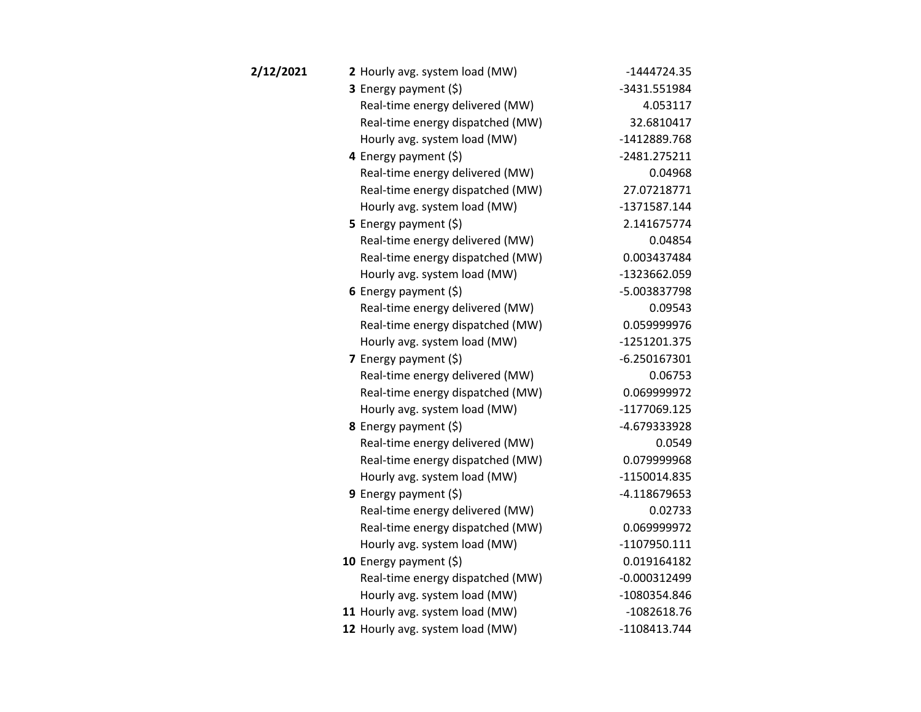| 2/12/2021 | 2 Hourly avg. system load (MW)   | $-1444724.35$  |
|-----------|----------------------------------|----------------|
|           | <b>3</b> Energy payment $(\xi)$  | -3431.551984   |
|           | Real-time energy delivered (MW)  | 4.053117       |
|           | Real-time energy dispatched (MW) | 32.6810417     |
|           | Hourly avg. system load (MW)     | -1412889.768   |
|           | 4 Energy payment $(\xi)$         | $-2481.275211$ |
|           | Real-time energy delivered (MW)  | 0.04968        |
|           | Real-time energy dispatched (MW) | 27.07218771    |
|           | Hourly avg. system load (MW)     | -1371587.144   |
|           | <b>5</b> Energy payment $(\xi)$  | 2.141675774    |
|           | Real-time energy delivered (MW)  | 0.04854        |
|           | Real-time energy dispatched (MW) | 0.003437484    |
|           | Hourly avg. system load (MW)     | -1323662.059   |
|           | 6 Energy payment $(\xi)$         | -5.003837798   |
|           | Real-time energy delivered (MW)  | 0.09543        |
|           | Real-time energy dispatched (MW) | 0.059999976    |
|           | Hourly avg. system load (MW)     | -1251201.375   |
|           | 7 Energy payment $(\xi)$         | $-6.250167301$ |
|           | Real-time energy delivered (MW)  | 0.06753        |
|           | Real-time energy dispatched (MW) | 0.069999972    |
|           | Hourly avg. system load (MW)     | -1177069.125   |
|           | <b>8</b> Energy payment $(\xi)$  | -4.679333928   |
|           | Real-time energy delivered (MW)  | 0.0549         |
|           | Real-time energy dispatched (MW) | 0.079999968    |
|           | Hourly avg. system load (MW)     | -1150014.835   |
|           | <b>9</b> Energy payment $(\xi)$  | -4.118679653   |
|           | Real-time energy delivered (MW)  | 0.02733        |
|           | Real-time energy dispatched (MW) | 0.069999972    |
|           | Hourly avg. system load (MW)     | -1107950.111   |
|           | 10 Energy payment (\$)           | 0.019164182    |
|           | Real-time energy dispatched (MW) | $-0.000312499$ |
|           | Hourly avg. system load (MW)     | -1080354.846   |
|           | 11 Hourly avg. system load (MW)  | $-1082618.76$  |
|           | 12 Hourly avg. system load (MW)  | -1108413.744   |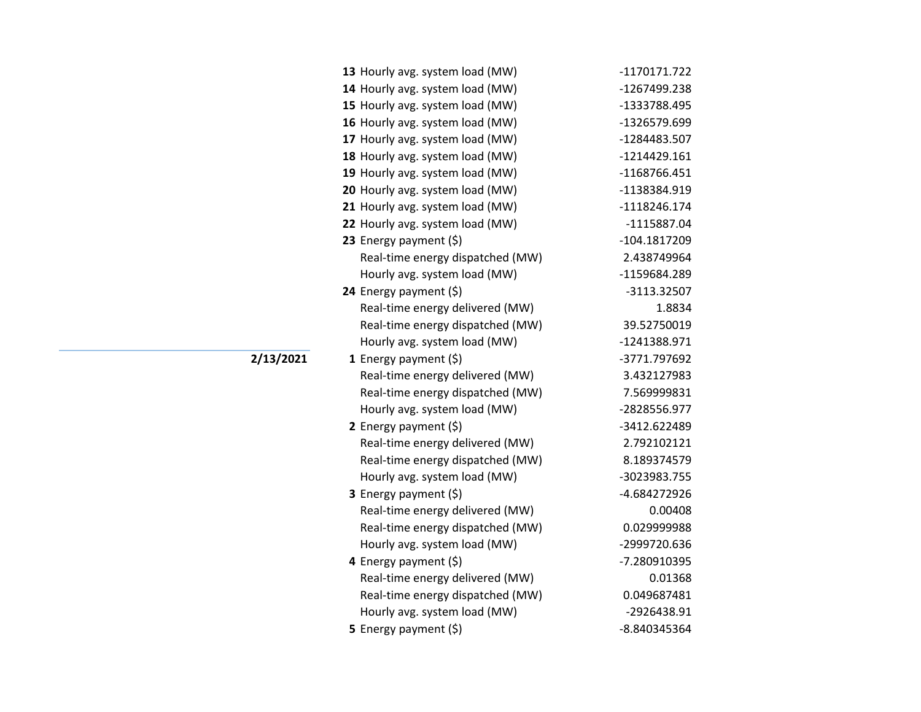| 13 Hourly avg. system load (MW)  | -1170171.722   |
|----------------------------------|----------------|
| 14 Hourly avg. system load (MW)  | -1267499.238   |
| 15 Hourly avg. system load (MW)  | -1333788.495   |
| 16 Hourly avg. system load (MW)  | -1326579.699   |
| 17 Hourly avg. system load (MW)  | -1284483.507   |
| 18 Hourly avg. system load (MW)  | $-1214429.161$ |
| 19 Hourly avg. system load (MW)  | -1168766.451   |
| 20 Hourly avg. system load (MW)  | -1138384.919   |
| 21 Hourly avg. system load (MW)  | $-1118246.174$ |
| 22 Hourly avg. system load (MW)  | -1115887.04    |
| 23 Energy payment $(\xi)$        | -104.1817209   |
| Real-time energy dispatched (MW) | 2.438749964    |
| Hourly avg. system load (MW)     | -1159684.289   |
| 24 Energy payment (\$)           | -3113.32507    |
| Real-time energy delivered (MW)  | 1.8834         |
| Real-time energy dispatched (MW) | 39.52750019    |
| Hourly avg. system load (MW)     | -1241388.971   |
| <b>1</b> Energy payment $(\xi)$  | -3771.797692   |
| Real-time energy delivered (MW)  | 3.432127983    |
| Real-time energy dispatched (MW) | 7.569999831    |
| Hourly avg. system load (MW)     | -2828556.977   |
| 2 Energy payment $(5)$           | -3412.622489   |
| Real-time energy delivered (MW)  | 2.792102121    |
| Real-time energy dispatched (MW) | 8.189374579    |
| Hourly avg. system load (MW)     | -3023983.755   |
| 3 Energy payment (\$)            | -4.684272926   |
| Real-time energy delivered (MW)  | 0.00408        |
| Real-time energy dispatched (MW) | 0.029999988    |
| Hourly avg. system load (MW)     | -2999720.636   |
| 4 Energy payment (\$)            | -7.280910395   |
| Real-time energy delivered (MW)  | 0.01368        |
| Real-time energy dispatched (MW) | 0.049687481    |
| Hourly avg. system load (MW)     | -2926438.91    |
| 5 Energy payment $(\xi)$         | -8.840345364   |

**2/13/2021**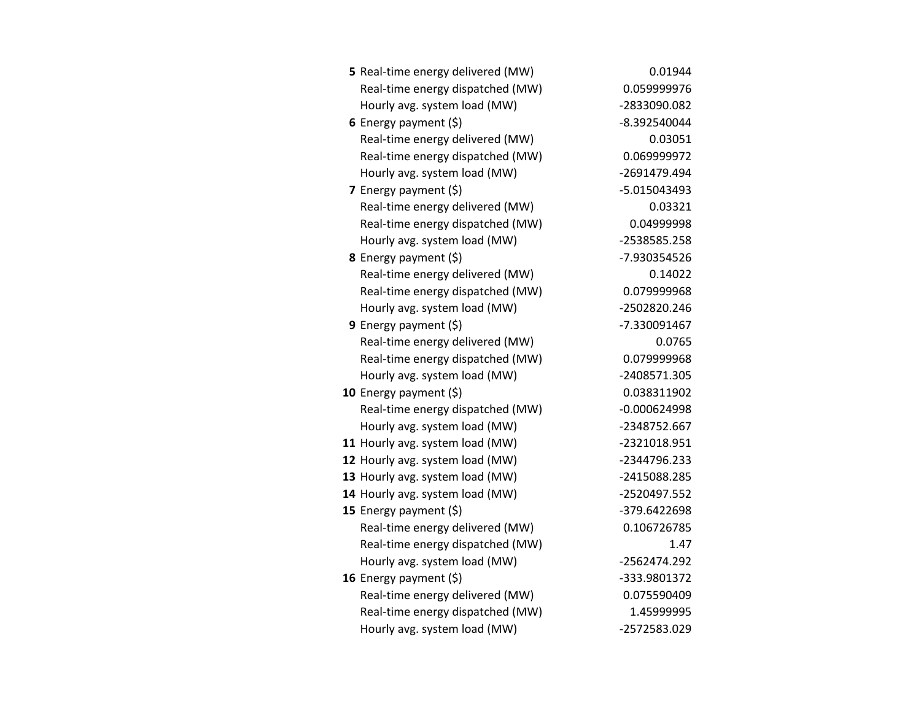| 5 Real-time energy delivered (MW) | 0.01944        |
|-----------------------------------|----------------|
| Real-time energy dispatched (MW)  | 0.059999976    |
| Hourly avg. system load (MW)      | -2833090.082   |
| 6 Energy payment $(5)$            | -8.392540044   |
| Real-time energy delivered (MW)   | 0.03051        |
| Real-time energy dispatched (MW)  | 0.069999972    |
| Hourly avg. system load (MW)      | -2691479.494   |
| 7 Energy payment (\$)             | -5.015043493   |
| Real-time energy delivered (MW)   | 0.03321        |
| Real-time energy dispatched (MW)  | 0.04999998     |
| Hourly avg. system load (MW)      | -2538585.258   |
| 8 Energy payment (\$)             | -7.930354526   |
| Real-time energy delivered (MW)   | 0.14022        |
| Real-time energy dispatched (MW)  | 0.079999968    |
| Hourly avg. system load (MW)      | -2502820.246   |
| <b>9</b> Energy payment $(\xi)$   | -7.330091467   |
| Real-time energy delivered (MW)   | 0.0765         |
| Real-time energy dispatched (MW)  | 0.079999968    |
| Hourly avg. system load (MW)      | -2408571.305   |
| 10 Energy payment $(\xi)$         | 0.038311902    |
| Real-time energy dispatched (MW)  | $-0.000624998$ |
| Hourly avg. system load (MW)      | -2348752.667   |
| 11 Hourly avg. system load (MW)   | -2321018.951   |
| 12 Hourly avg. system load (MW)   | -2344796.233   |
| 13 Hourly avg. system load (MW)   | -2415088.285   |
| 14 Hourly avg. system load (MW)   | -2520497.552   |
| 15 Energy payment $(\xi)$         | -379.6422698   |
| Real-time energy delivered (MW)   | 0.106726785    |
| Real-time energy dispatched (MW)  | 1.47           |
| Hourly avg. system load (MW)      | -2562474.292   |
| 16 Energy payment (\$)            | -333.9801372   |
| Real-time energy delivered (MW)   | 0.075590409    |
| Real-time energy dispatched (MW)  | 1.45999995     |
| Hourly avg. system load (MW)      | -2572583.029   |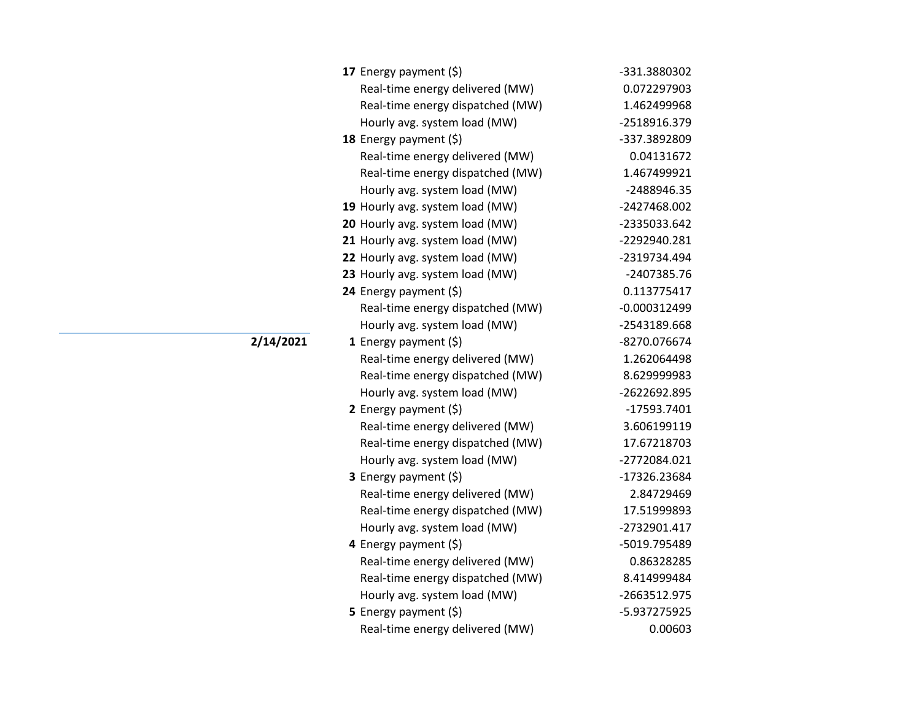| 17 Energy payment $(\xi)$        | -331.3880302   |
|----------------------------------|----------------|
| Real-time energy delivered (MW)  | 0.072297903    |
| Real-time energy dispatched (MW) | 1.462499968    |
| Hourly avg. system load (MW)     | -2518916.379   |
| 18 Energy payment $(\xi)$        | -337.3892809   |
| Real-time energy delivered (MW)  | 0.04131672     |
| Real-time energy dispatched (MW) | 1.467499921    |
| Hourly avg. system load (MW)     | -2488946.35    |
| 19 Hourly avg. system load (MW)  | -2427468.002   |
| 20 Hourly avg. system load (MW)  | -2335033.642   |
| 21 Hourly avg. system load (MW)  | -2292940.281   |
| 22 Hourly avg. system load (MW)  | -2319734.494   |
| 23 Hourly avg. system load (MW)  | -2407385.76    |
| 24 Energy payment (\$)           | 0.113775417    |
| Real-time energy dispatched (MW) | $-0.000312499$ |
| Hourly avg. system load (MW)     | -2543189.668   |
| 1 Energy payment $(\xi)$         | -8270.076674   |
| Real-time energy delivered (MW)  | 1.262064498    |
| Real-time energy dispatched (MW) | 8.629999983    |
| Hourly avg. system load (MW)     | -2622692.895   |
| 2 Energy payment $(\xi)$         | $-17593.7401$  |
| Real-time energy delivered (MW)  | 3.606199119    |
| Real-time energy dispatched (MW) | 17.67218703    |
| Hourly avg. system load (MW)     | -2772084.021   |
| 3 Energy payment (\$)            | -17326.23684   |
| Real-time energy delivered (MW)  | 2.84729469     |
| Real-time energy dispatched (MW) | 17.51999893    |
| Hourly avg. system load (MW)     | -2732901.417   |
| 4 Energy payment (\$)            | -5019.795489   |
| Real-time energy delivered (MW)  | 0.86328285     |
| Real-time energy dispatched (MW) | 8.414999484    |
| Hourly avg. system load (MW)     | -2663512.975   |
| <b>5</b> Energy payment $(\xi)$  | -5.937275925   |
| Real-time energy delivered (MW)  | 0.00603        |

## **2/14/2021**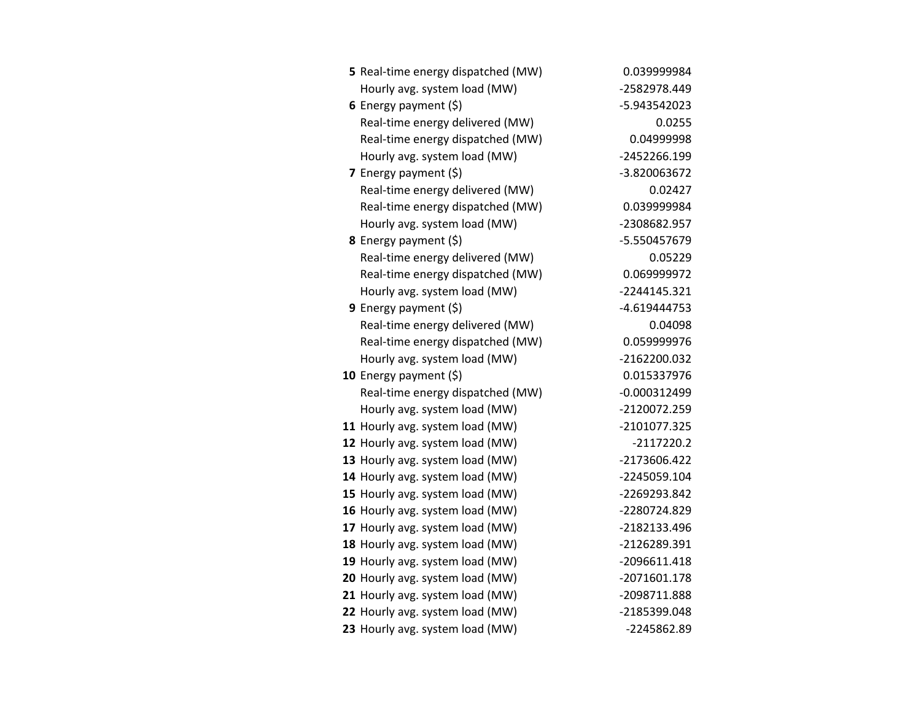| 5 Real-time energy dispatched (MW) | 0.039999984    |
|------------------------------------|----------------|
| Hourly avg. system load (MW)       | -2582978.449   |
| 6 Energy payment $(5)$             | -5.943542023   |
| Real-time energy delivered (MW)    | 0.0255         |
| Real-time energy dispatched (MW)   | 0.04999998     |
| Hourly avg. system load (MW)       | -2452266.199   |
| 7 Energy payment (\$)              | -3.820063672   |
| Real-time energy delivered (MW)    | 0.02427        |
| Real-time energy dispatched (MW)   | 0.039999984    |
| Hourly avg. system load (MW)       | -2308682.957   |
| 8 Energy payment (\$)              | -5.550457679   |
| Real-time energy delivered (MW)    | 0.05229        |
| Real-time energy dispatched (MW)   | 0.069999972    |
| Hourly avg. system load (MW)       | $-2244145.321$ |
| 9 Energy payment $(\xi)$           | -4.619444753   |
| Real-time energy delivered (MW)    | 0.04098        |
| Real-time energy dispatched (MW)   | 0.059999976    |
| Hourly avg. system load (MW)       | -2162200.032   |
| 10 Energy payment $(\xi)$          | 0.015337976    |
| Real-time energy dispatched (MW)   | $-0.000312499$ |
| Hourly avg. system load (MW)       | -2120072.259   |
| 11 Hourly avg. system load (MW)    | -2101077.325   |
| 12 Hourly avg. system load (MW)    | $-2117220.2$   |
| 13 Hourly avg. system load (MW)    | -2173606.422   |
| 14 Hourly avg. system load (MW)    | -2245059.104   |
| 15 Hourly avg. system load (MW)    | -2269293.842   |
| 16 Hourly avg. system load (MW)    | -2280724.829   |
| 17 Hourly avg. system load (MW)    | -2182133.496   |
| 18 Hourly avg. system load (MW)    | -2126289.391   |
| 19 Hourly avg. system load (MW)    | -2096611.418   |
| 20 Hourly avg. system load (MW)    | -2071601.178   |
| 21 Hourly avg. system load (MW)    | -2098711.888   |
| 22 Hourly avg. system load (MW)    | -2185399.048   |
| 23 Hourly avg. system load (MW)    | -2245862.89    |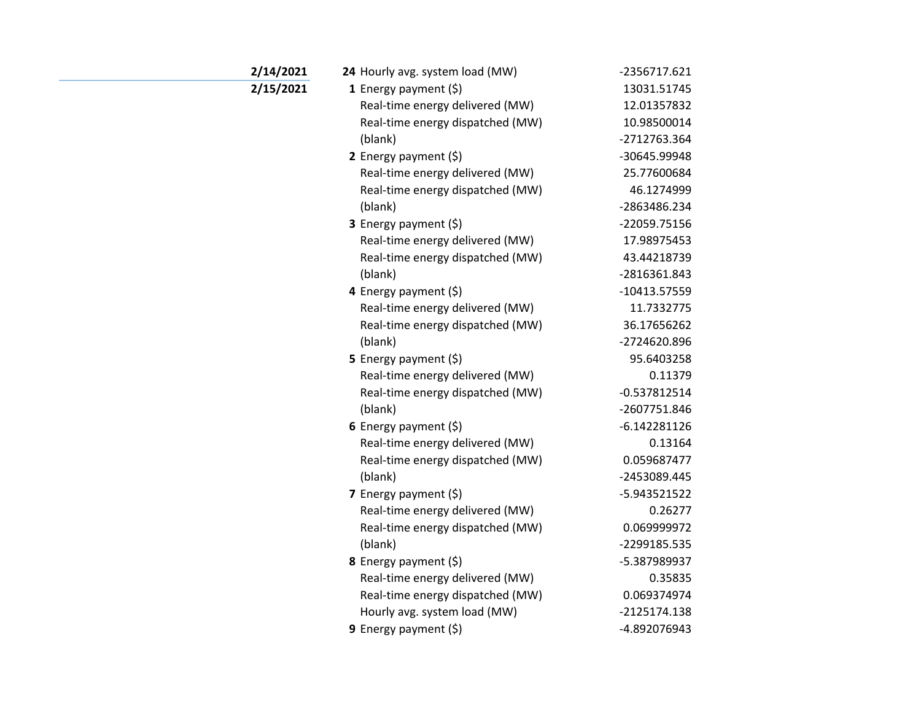| 2/14/2021 | 24 Hourly avg. system load (MW)  | -2356717.621   |
|-----------|----------------------------------|----------------|
| 2/15/2021 | 1 Energy payment (\$)            | 13031.51745    |
|           | Real-time energy delivered (MW)  | 12.01357832    |
|           | Real-time energy dispatched (MW) | 10.98500014    |
|           | (blank)                          | -2712763.364   |
|           | 2 Energy payment $(\xi)$         | -30645.99948   |
|           | Real-time energy delivered (MW)  | 25.77600684    |
|           | Real-time energy dispatched (MW) | 46.1274999     |
|           | (blank)                          | -2863486.234   |
|           | 3 Energy payment (\$)            | -22059.75156   |
|           | Real-time energy delivered (MW)  | 17.98975453    |
|           | Real-time energy dispatched (MW) | 43.44218739    |
|           | (blank)                          | -2816361.843   |
|           | 4 Energy payment $(\xi)$         | $-10413.57559$ |
|           | Real-time energy delivered (MW)  | 11.7332775     |
|           | Real-time energy dispatched (MW) | 36.17656262    |
|           | (blank)                          | -2724620.896   |
|           | <b>5</b> Energy payment $(\xi)$  | 95.6403258     |
|           | Real-time energy delivered (MW)  | 0.11379        |
|           | Real-time energy dispatched (MW) | $-0.537812514$ |
|           | (blank)                          | -2607751.846   |
|           | 6 Energy payment $(\$)$          | $-6.142281126$ |
|           | Real-time energy delivered (MW)  | 0.13164        |
|           | Real-time energy dispatched (MW) | 0.059687477    |
|           | (blank)                          | -2453089.445   |
|           | 7 Energy payment $(5)$           | -5.943521522   |
|           | Real-time energy delivered (MW)  | 0.26277        |
|           | Real-time energy dispatched (MW) | 0.069999972    |
|           | (blank)                          | -2299185.535   |
|           | 8 Energy payment (\$)            | -5.387989937   |
|           | Real-time energy delivered (MW)  | 0.35835        |
|           | Real-time energy dispatched (MW) | 0.069374974    |
|           | Hourly avg. system load (MW)     | -2125174.138   |
|           | 9 Energy payment $(5)$           | -4.892076943   |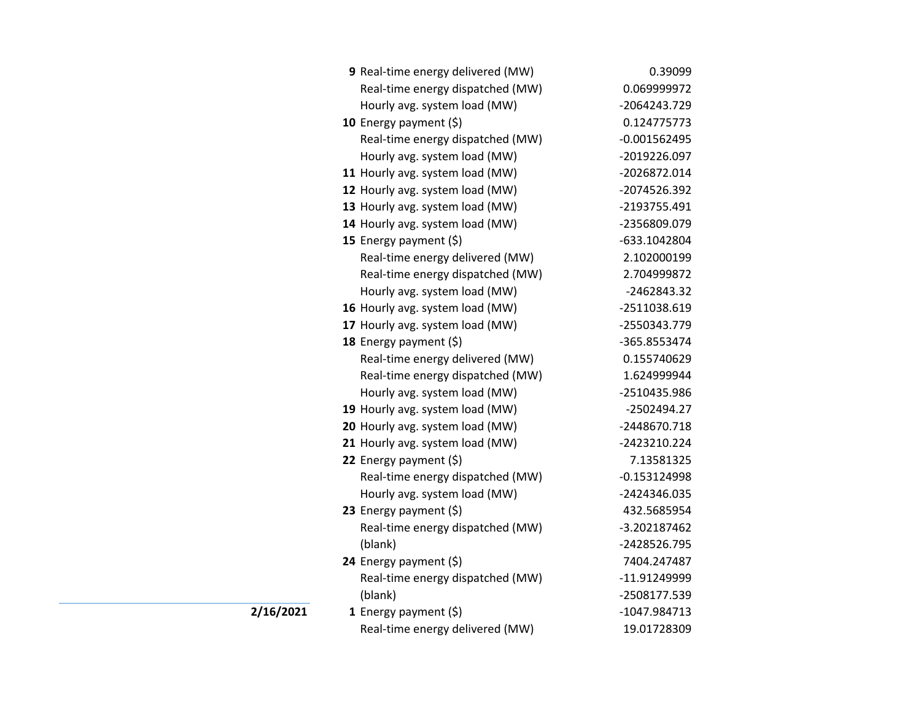|           | 9 Real-time energy delivered (MW) | 0.39099        |
|-----------|-----------------------------------|----------------|
|           | Real-time energy dispatched (MW)  | 0.069999972    |
|           | Hourly avg. system load (MW)      | -2064243.729   |
|           | 10 Energy payment (\$)            | 0.124775773    |
|           | Real-time energy dispatched (MW)  | $-0.001562495$ |
|           | Hourly avg. system load (MW)      | -2019226.097   |
|           | 11 Hourly avg. system load (MW)   | -2026872.014   |
|           | 12 Hourly avg. system load (MW)   | -2074526.392   |
|           | 13 Hourly avg. system load (MW)   | -2193755.491   |
|           | 14 Hourly avg. system load (MW)   | -2356809.079   |
|           | 15 Energy payment (\$)            | -633.1042804   |
|           | Real-time energy delivered (MW)   | 2.102000199    |
|           | Real-time energy dispatched (MW)  | 2.704999872    |
|           | Hourly avg. system load (MW)      | -2462843.32    |
|           | 16 Hourly avg. system load (MW)   | -2511038.619   |
|           | 17 Hourly avg. system load (MW)   | -2550343.779   |
|           | 18 Energy payment (\$)            | -365.8553474   |
|           | Real-time energy delivered (MW)   | 0.155740629    |
|           | Real-time energy dispatched (MW)  | 1.624999944    |
|           | Hourly avg. system load (MW)      | -2510435.986   |
|           | 19 Hourly avg. system load (MW)   | -2502494.27    |
|           | 20 Hourly avg. system load (MW)   | -2448670.718   |
|           | 21 Hourly avg. system load (MW)   | -2423210.224   |
|           | 22 Energy payment (\$)            | 7.13581325     |
|           | Real-time energy dispatched (MW)  | $-0.153124998$ |
|           | Hourly avg. system load (MW)      | -2424346.035   |
|           | 23 Energy payment (\$)            | 432.5685954    |
|           | Real-time energy dispatched (MW)  | -3.202187462   |
|           | (blank)                           | -2428526.795   |
|           | 24 Energy payment (\$)            | 7404.247487    |
|           | Real-time energy dispatched (MW)  | -11.91249999   |
|           | (blank)                           | -2508177.539   |
| 2/16/2021 | 1 Energy payment $(\$)$           | -1047.984713   |
|           | Real-time energy delivered (MW)   | 19.01728309    |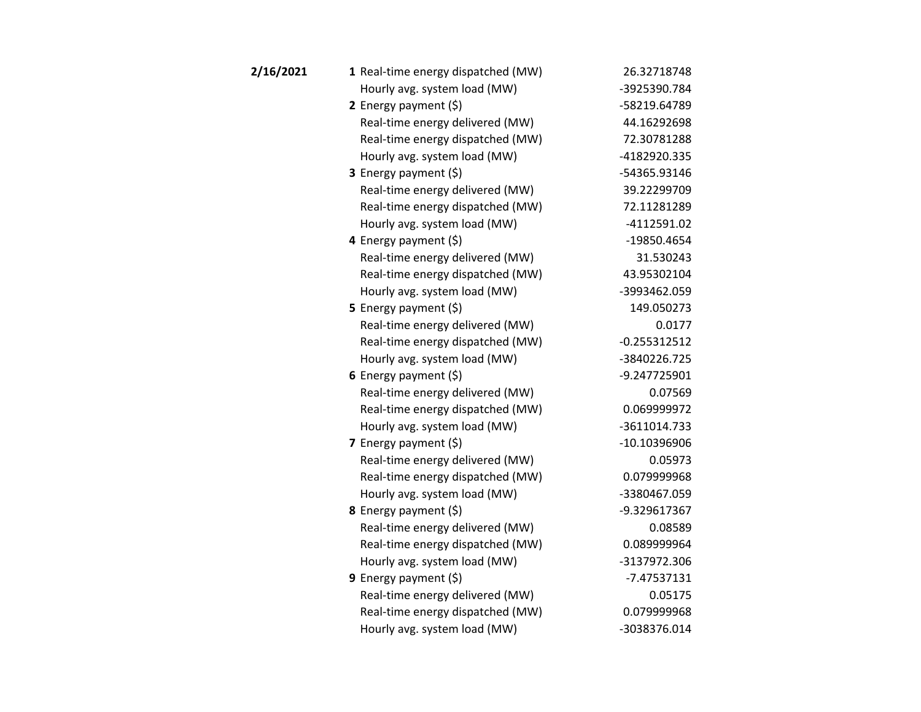| 2/16/2021 | 1 Real-time energy dispatched (MW) | 26.32718748    |
|-----------|------------------------------------|----------------|
|           | Hourly avg. system load (MW)       | -3925390.784   |
|           | 2 Energy payment $(5)$             | -58219.64789   |
|           | Real-time energy delivered (MW)    | 44.16292698    |
|           | Real-time energy dispatched (MW)   | 72.30781288    |
|           | Hourly avg. system load (MW)       | -4182920.335   |
|           | <b>3</b> Energy payment $(\xi)$    | -54365.93146   |
|           | Real-time energy delivered (MW)    | 39.22299709    |
|           | Real-time energy dispatched (MW)   | 72.11281289    |
|           | Hourly avg. system load (MW)       | -4112591.02    |
|           | 4 Energy payment (\$)              | -19850.4654    |
|           | Real-time energy delivered (MW)    | 31.530243      |
|           | Real-time energy dispatched (MW)   | 43.95302104    |
|           | Hourly avg. system load (MW)       | -3993462.059   |
|           | 5 Energy payment $(5)$             | 149.050273     |
|           | Real-time energy delivered (MW)    | 0.0177         |
|           | Real-time energy dispatched (MW)   | $-0.255312512$ |
|           | Hourly avg. system load (MW)       | -3840226.725   |
|           | 6 Energy payment (\$)              | -9.247725901   |
|           | Real-time energy delivered (MW)    | 0.07569        |
|           | Real-time energy dispatched (MW)   | 0.069999972    |
|           | Hourly avg. system load (MW)       | -3611014.733   |
|           | 7 Energy payment (\$)              | -10.10396906   |
|           | Real-time energy delivered (MW)    | 0.05973        |
|           | Real-time energy dispatched (MW)   | 0.079999968    |
|           | Hourly avg. system load (MW)       | -3380467.059   |
|           | <b>8</b> Energy payment $(\xi)$    | -9.329617367   |
|           | Real-time energy delivered (MW)    | 0.08589        |
|           | Real-time energy dispatched (MW)   | 0.089999964    |
|           | Hourly avg. system load (MW)       | -3137972.306   |
|           | 9 Energy payment (\$)              | $-7.47537131$  |
|           | Real-time energy delivered (MW)    | 0.05175        |
|           | Real-time energy dispatched (MW)   | 0.079999968    |
|           | Hourly avg. system load (MW)       | -3038376.014   |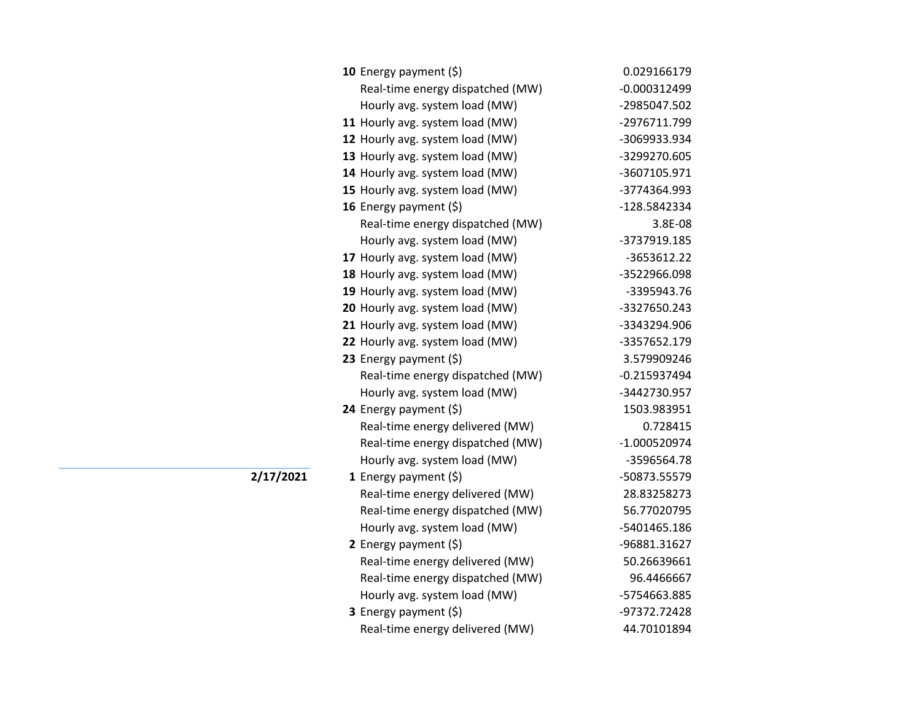| 10 Energy payment $(\xi)$        | 0.029166179    |
|----------------------------------|----------------|
| Real-time energy dispatched (MW) | $-0.000312499$ |
| Hourly avg. system load (MW)     | -2985047.502   |
| 11 Hourly avg. system load (MW)  | -2976711.799   |
| 12 Hourly avg. system load (MW)  | -3069933.934   |
| 13 Hourly avg. system load (MW)  | -3299270.605   |
| 14 Hourly avg. system load (MW)  | -3607105.971   |
| 15 Hourly avg. system load (MW)  | -3774364.993   |
| 16 Energy payment (\$)           | -128.5842334   |
| Real-time energy dispatched (MW) | 3.8E-08        |
| Hourly avg. system load (MW)     | -3737919.185   |
| 17 Hourly avg. system load (MW)  | -3653612.22    |
| 18 Hourly avg. system load (MW)  | -3522966.098   |
| 19 Hourly avg. system load (MW)  | -3395943.76    |
| 20 Hourly avg. system load (MW)  | -3327650.243   |
| 21 Hourly avg. system load (MW)  | -3343294.906   |
| 22 Hourly avg. system load (MW)  | -3357652.179   |
| 23 Energy payment $(\xi)$        | 3.579909246    |
| Real-time energy dispatched (MW) | $-0.215937494$ |
| Hourly avg. system load (MW)     | -3442730.957   |
| 24 Energy payment (\$)           | 1503.983951    |
| Real-time energy delivered (MW)  | 0.728415       |
| Real-time energy dispatched (MW) | -1.000520974   |
| Hourly avg. system load (MW)     | -3596564.78    |
| 1 Energy payment $(\xi)$         | -50873.55579   |
| Real-time energy delivered (MW)  | 28.83258273    |
| Real-time energy dispatched (MW) | 56.77020795    |
| Hourly avg. system load (MW)     | -5401465.186   |
| 2 Energy payment (\$)            | -96881.31627   |
| Real-time energy delivered (MW)  | 50.26639661    |
| Real-time energy dispatched (MW) | 96.4466667     |
| Hourly avg. system load (MW)     | -5754663.885   |
| <b>3</b> Energy payment $(\xi)$  | -97372.72428   |
| Real-time energy delivered (MW)  | 44.70101894    |

**2/17/2021**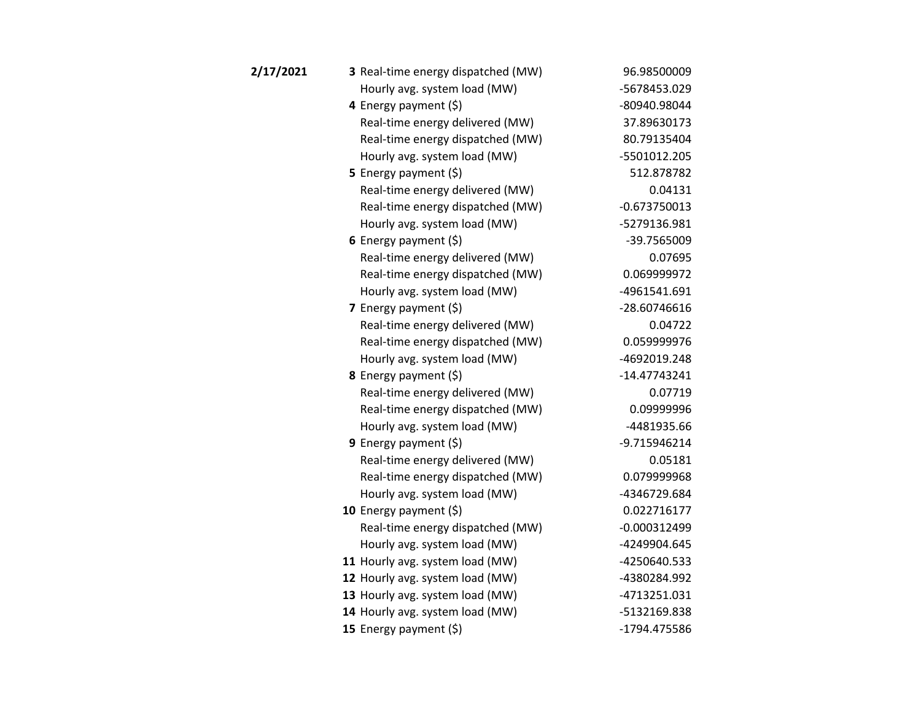| 2/17/2021 | 3 Real-time energy dispatched (MW) | 96.98500009    |
|-----------|------------------------------------|----------------|
|           | Hourly avg. system load (MW)       | -5678453.029   |
|           | 4 Energy payment (\$)              | -80940.98044   |
|           | Real-time energy delivered (MW)    | 37.89630173    |
|           | Real-time energy dispatched (MW)   | 80.79135404    |
|           | Hourly avg. system load (MW)       | -5501012.205   |
|           | <b>5</b> Energy payment $(\xi)$    | 512.878782     |
|           | Real-time energy delivered (MW)    | 0.04131        |
|           | Real-time energy dispatched (MW)   | $-0.673750013$ |
|           | Hourly avg. system load (MW)       | -5279136.981   |
|           | 6 Energy payment $(\$)$            | -39.7565009    |
|           | Real-time energy delivered (MW)    | 0.07695        |
|           | Real-time energy dispatched (MW)   | 0.069999972    |
|           | Hourly avg. system load (MW)       | -4961541.691   |
|           | <b>7</b> Energy payment $(\xi)$    | -28.60746616   |
|           | Real-time energy delivered (MW)    | 0.04722        |
|           | Real-time energy dispatched (MW)   | 0.059999976    |
|           | Hourly avg. system load (MW)       | -4692019.248   |
|           | <b>8</b> Energy payment $(\xi)$    | $-14.47743241$ |
|           | Real-time energy delivered (MW)    | 0.07719        |
|           | Real-time energy dispatched (MW)   | 0.09999996     |
|           | Hourly avg. system load (MW)       | -4481935.66    |
|           | <b>9</b> Energy payment $(\xi)$    | -9.715946214   |
|           | Real-time energy delivered (MW)    | 0.05181        |
|           | Real-time energy dispatched (MW)   | 0.079999968    |
|           | Hourly avg. system load (MW)       | -4346729.684   |
|           | 10 Energy payment (\$)             | 0.022716177    |
|           | Real-time energy dispatched (MW)   | $-0.000312499$ |
|           | Hourly avg. system load (MW)       | -4249904.645   |
|           | 11 Hourly avg. system load (MW)    | -4250640.533   |
|           | 12 Hourly avg. system load (MW)    | -4380284.992   |
|           | 13 Hourly avg. system load (MW)    | -4713251.031   |
|           | 14 Hourly avg. system load (MW)    | -5132169.838   |
|           | 15 Energy payment (\$)             | -1794.475586   |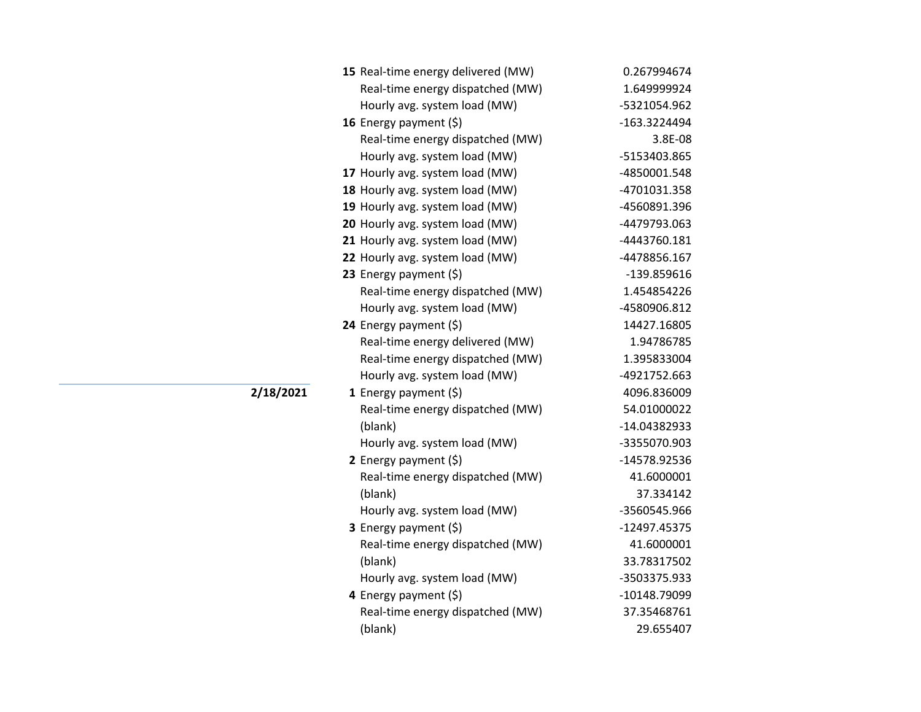| 15 Real-time energy delivered (MW) | 0.267994674  |
|------------------------------------|--------------|
| Real-time energy dispatched (MW)   | 1.649999924  |
| Hourly avg. system load (MW)       | -5321054.962 |
| 16 Energy payment (\$)             | -163.3224494 |
| Real-time energy dispatched (MW)   | 3.8E-08      |
| Hourly avg. system load (MW)       | -5153403.865 |
| 17 Hourly avg. system load (MW)    | -4850001.548 |
| 18 Hourly avg. system load (MW)    | -4701031.358 |
| 19 Hourly avg. system load (MW)    | -4560891.396 |
| 20 Hourly avg. system load (MW)    | -4479793.063 |
| 21 Hourly avg. system load (MW)    | -4443760.181 |
| 22 Hourly avg. system load (MW)    | -4478856.167 |
| 23 Energy payment (\$)             | -139.859616  |
| Real-time energy dispatched (MW)   | 1.454854226  |
| Hourly avg. system load (MW)       | -4580906.812 |
| 24 Energy payment (\$)             | 14427.16805  |
| Real-time energy delivered (MW)    | 1.94786785   |
| Real-time energy dispatched (MW)   | 1.395833004  |
| Hourly avg. system load (MW)       | -4921752.663 |
| 1 Energy payment $(\xi)$           | 4096.836009  |
| Real-time energy dispatched (MW)   | 54.01000022  |
| (blank)                            | -14.04382933 |
| Hourly avg. system load (MW)       | -3355070.903 |
| 2 Energy payment $(\xi)$           | -14578.92536 |
| Real-time energy dispatched (MW)   | 41.6000001   |
| (blank)                            | 37.334142    |
| Hourly avg. system load (MW)       | -3560545.966 |
| 3 Energy payment (\$)              | -12497.45375 |
| Real-time energy dispatched (MW)   | 41.6000001   |
| (blank)                            | 33.78317502  |
| Hourly avg. system load (MW)       | -3503375.933 |
| 4 Energy payment (\$)              | -10148.79099 |
| Real-time energy dispatched (MW)   | 37.35468761  |
| (blank)                            | 29.655407    |
|                                    |              |

**2/18/2021**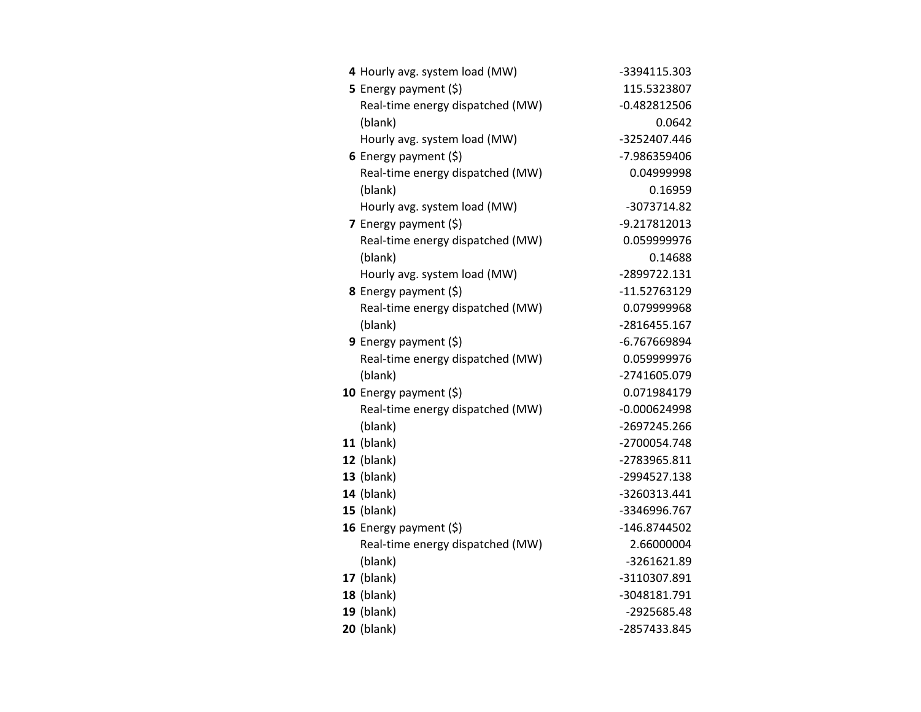| 4 Hourly avg. system load (MW)   | -3394115.303   |
|----------------------------------|----------------|
| 5 Energy payment (\$)            | 115.5323807    |
| Real-time energy dispatched (MW) | $-0.482812506$ |
| (blank)                          | 0.0642         |
| Hourly avg. system load (MW)     | -3252407.446   |
| 6 Energy payment $(5)$           | -7.986359406   |
| Real-time energy dispatched (MW) | 0.04999998     |
| (blank)                          | 0.16959        |
| Hourly avg. system load (MW)     | -3073714.82    |
| 7 Energy payment (\$)            | -9.217812013   |
| Real-time energy dispatched (MW) | 0.059999976    |
| (blank)                          | 0.14688        |
| Hourly avg. system load (MW)     | -2899722.131   |
| 8 Energy payment (\$)            | -11.52763129   |
| Real-time energy dispatched (MW) | 0.079999968    |
| (blank)                          | -2816455.167   |
| <b>9</b> Energy payment $(\xi)$  | -6.767669894   |
| Real-time energy dispatched (MW) | 0.059999976    |
| (blank)                          | -2741605.079   |
| 10 Energy payment (\$)           | 0.071984179    |
| Real-time energy dispatched (MW) | $-0.000624998$ |
| (blank)                          | -2697245.266   |
| $11$ (blank)                     | -2700054.748   |
| 12 (blank)                       | -2783965.811   |
| $13$ (blank)                     | -2994527.138   |
| <b>14</b> (blank)                | -3260313.441   |
| $15$ (blank)                     | -3346996.767   |
| 16 Energy payment (\$)           | -146.8744502   |
| Real-time energy dispatched (MW) | 2.66000004     |
| (blank)                          | -3261621.89    |
| <b>17</b> (blank)                | -3110307.891   |
| 18 (blank)                       | -3048181.791   |
| $19$ (blank)                     | -2925685.48    |
| <b>20</b> (blank)                | -2857433.845   |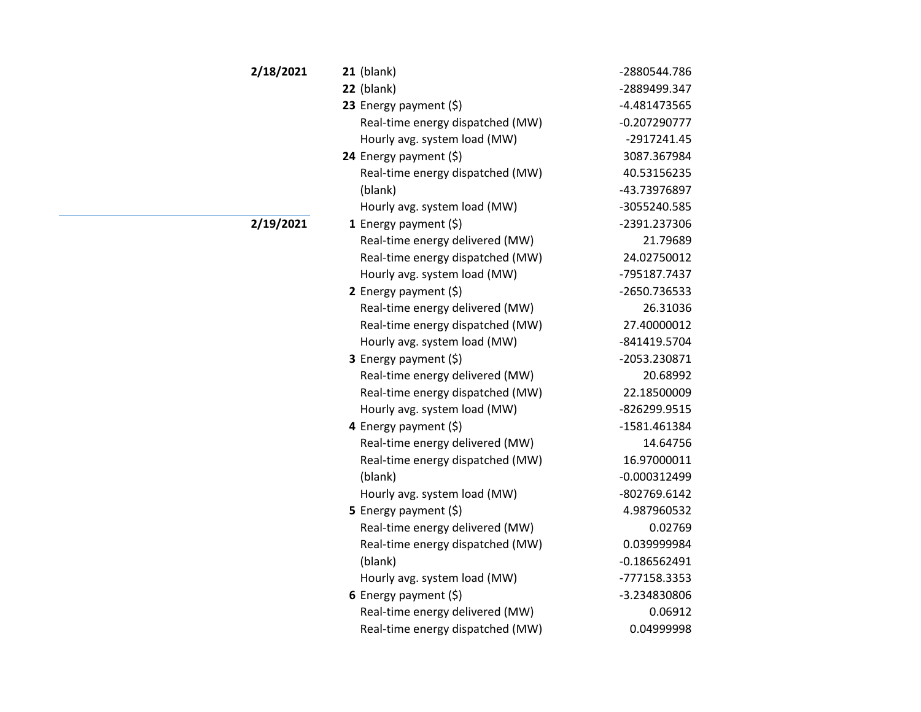| 2/18/2021 | $21$ (blank)                     | -2880544.786   |
|-----------|----------------------------------|----------------|
|           | $22$ (blank)                     | -2889499.347   |
|           | 23 Energy payment (\$)           | -4.481473565   |
|           | Real-time energy dispatched (MW) | $-0.207290777$ |
|           | Hourly avg. system load (MW)     | $-2917241.45$  |
|           | 24 Energy payment $(\xi)$        | 3087.367984    |
|           | Real-time energy dispatched (MW) | 40.53156235    |
|           | (blank)                          | -43.73976897   |
|           | Hourly avg. system load (MW)     | -3055240.585   |
| 2/19/2021 | 1 Energy payment $(\$)$          | -2391.237306   |
|           | Real-time energy delivered (MW)  | 21.79689       |
|           | Real-time energy dispatched (MW) | 24.02750012    |
|           | Hourly avg. system load (MW)     | -795187.7437   |
|           | 2 Energy payment $(5)$           | -2650.736533   |
|           | Real-time energy delivered (MW)  | 26.31036       |
|           | Real-time energy dispatched (MW) | 27.40000012    |
|           | Hourly avg. system load (MW)     | -841419.5704   |
|           | 3 Energy payment (\$)            | -2053.230871   |
|           | Real-time energy delivered (MW)  | 20.68992       |
|           | Real-time energy dispatched (MW) | 22.18500009    |
|           | Hourly avg. system load (MW)     | -826299.9515   |
|           | 4 Energy payment $(5)$           | -1581.461384   |
|           | Real-time energy delivered (MW)  | 14.64756       |
|           | Real-time energy dispatched (MW) | 16.97000011    |
|           | (blank)                          | $-0.000312499$ |
|           | Hourly avg. system load (MW)     | -802769.6142   |
|           | 5 Energy payment (\$)            | 4.987960532    |
|           | Real-time energy delivered (MW)  | 0.02769        |
|           | Real-time energy dispatched (MW) | 0.039999984    |
|           | (blank)                          | $-0.186562491$ |
|           | Hourly avg. system load (MW)     | -777158.3353   |
|           | 6 Energy payment $(5)$           | -3.234830806   |
|           | Real-time energy delivered (MW)  | 0.06912        |
|           | Real-time energy dispatched (MW) | 0.04999998     |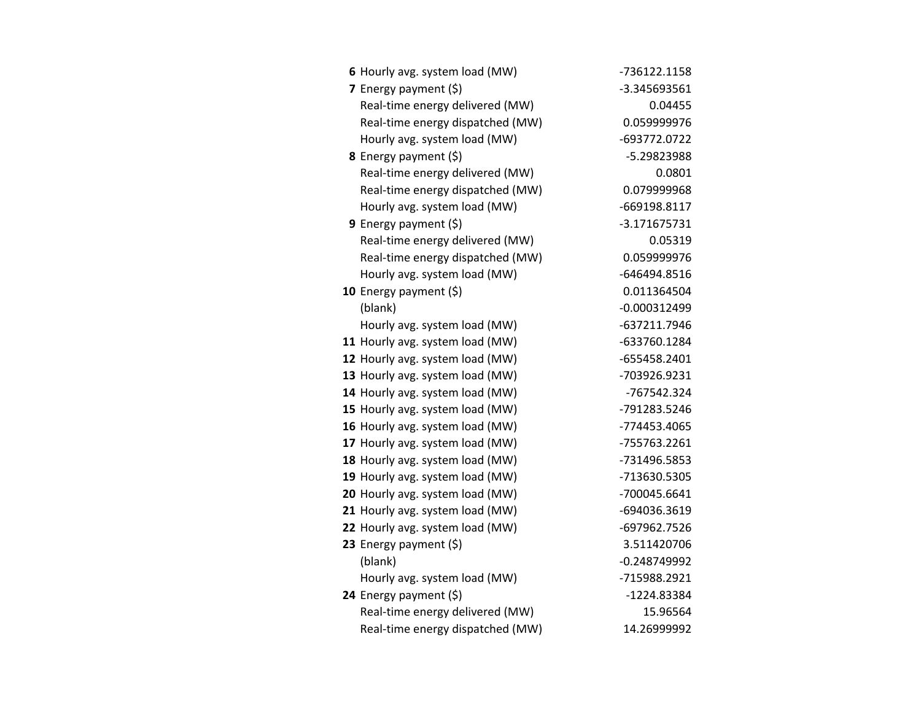| 6 Hourly avg. system load (MW)   | -736122.1158   |
|----------------------------------|----------------|
| 7 Energy payment (\$)            | -3.345693561   |
| Real-time energy delivered (MW)  | 0.04455        |
| Real-time energy dispatched (MW) | 0.059999976    |
| Hourly avg. system load (MW)     | -693772.0722   |
| <b>8</b> Energy payment $(\xi)$  | -5.29823988    |
| Real-time energy delivered (MW)  | 0.0801         |
| Real-time energy dispatched (MW) | 0.079999968    |
| Hourly avg. system load (MW)     | -669198.8117   |
| 9 Energy payment $(\xi)$         | $-3.171675731$ |
| Real-time energy delivered (MW)  | 0.05319        |
| Real-time energy dispatched (MW) | 0.059999976    |
| Hourly avg. system load (MW)     | -646494.8516   |
| 10 Energy payment $(5)$          | 0.011364504    |
| (blank)                          | $-0.000312499$ |
| Hourly avg. system load (MW)     | -637211.7946   |
| 11 Hourly avg. system load (MW)  | -633760.1284   |
| 12 Hourly avg. system load (MW)  | -655458.2401   |
| 13 Hourly avg. system load (MW)  | -703926.9231   |
| 14 Hourly avg. system load (MW)  | -767542.324    |
| 15 Hourly avg. system load (MW)  | -791283.5246   |
| 16 Hourly avg. system load (MW)  | -774453.4065   |
| 17 Hourly avg. system load (MW)  | -755763.2261   |
| 18 Hourly avg. system load (MW)  | -731496.5853   |
| 19 Hourly avg. system load (MW)  | -713630.5305   |
| 20 Hourly avg. system load (MW)  | -700045.6641   |
| 21 Hourly avg. system load (MW)  | -694036.3619   |
| 22 Hourly avg. system load (MW)  | -697962.7526   |
| 23 Energy payment (\$)           | 3.511420706    |
| (blank)                          | $-0.248749992$ |
| Hourly avg. system load (MW)     | -715988.2921   |
| 24 Energy payment (\$)           | -1224.83384    |
| Real-time energy delivered (MW)  | 15.96564       |
| Real-time energy dispatched (MW) | 14.26999992    |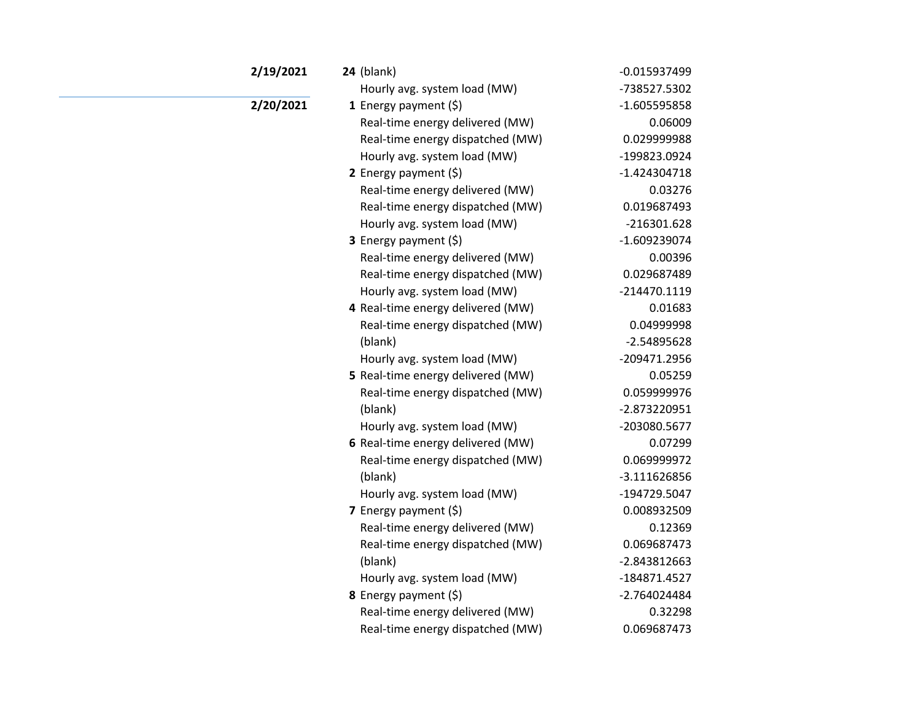| 2/19/2021 | $24$ (blank)                      | $-0.015937499$ |
|-----------|-----------------------------------|----------------|
|           | Hourly avg. system load (MW)      | -738527.5302   |
| 2/20/2021 | 1 Energy payment $(\xi)$          | $-1.605595858$ |
|           | Real-time energy delivered (MW)   | 0.06009        |
|           | Real-time energy dispatched (MW)  | 0.029999988    |
|           | Hourly avg. system load (MW)      | -199823.0924   |
|           | 2 Energy payment $(\xi)$          | $-1.424304718$ |
|           | Real-time energy delivered (MW)   | 0.03276        |
|           | Real-time energy dispatched (MW)  | 0.019687493    |
|           | Hourly avg. system load (MW)      | $-216301.628$  |
|           | <b>3</b> Energy payment $(\xi)$   | $-1.609239074$ |
|           | Real-time energy delivered (MW)   | 0.00396        |
|           | Real-time energy dispatched (MW)  | 0.029687489    |
|           | Hourly avg. system load (MW)      | $-214470.1119$ |
|           | 4 Real-time energy delivered (MW) | 0.01683        |
|           | Real-time energy dispatched (MW)  | 0.04999998     |
|           | (blank)                           | $-2.54895628$  |
|           | Hourly avg. system load (MW)      | -209471.2956   |
|           | 5 Real-time energy delivered (MW) | 0.05259        |
|           | Real-time energy dispatched (MW)  | 0.059999976    |
|           | (blank)                           | -2.873220951   |
|           | Hourly avg. system load (MW)      | -203080.5677   |
|           | 6 Real-time energy delivered (MW) | 0.07299        |
|           | Real-time energy dispatched (MW)  | 0.069999972    |
|           | (blank)                           | $-3.111626856$ |
|           | Hourly avg. system load (MW)      | -194729.5047   |
|           | 7 Energy payment $(\xi)$          | 0.008932509    |
|           | Real-time energy delivered (MW)   | 0.12369        |
|           | Real-time energy dispatched (MW)  | 0.069687473    |
|           | (blank)                           | -2.843812663   |
|           | Hourly avg. system load (MW)      | -184871.4527   |
|           | 8 Energy payment (\$)             | $-2.764024484$ |
|           | Real-time energy delivered (MW)   | 0.32298        |
|           | Real-time energy dispatched (MW)  | 0.069687473    |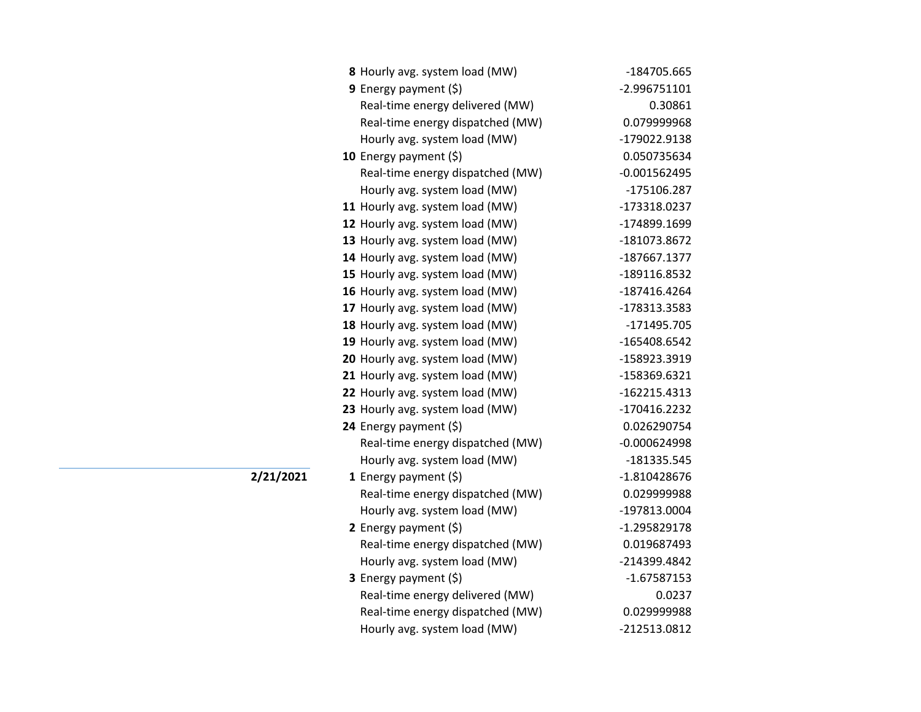| 8 Hourly avg. system load (MW)   | -184705.665    |
|----------------------------------|----------------|
| <b>9</b> Energy payment $(\xi)$  | -2.996751101   |
| Real-time energy delivered (MW)  | 0.30861        |
| Real-time energy dispatched (MW) | 0.079999968    |
| Hourly avg. system load (MW)     | -179022.9138   |
| 10 Energy payment (\$)           | 0.050735634    |
| Real-time energy dispatched (MW) | $-0.001562495$ |
| Hourly avg. system load (MW)     | -175106.287    |
| 11 Hourly avg. system load (MW)  | -173318.0237   |
| 12 Hourly avg. system load (MW)  | -174899.1699   |
| 13 Hourly avg. system load (MW)  | -181073.8672   |
| 14 Hourly avg. system load (MW)  | -187667.1377   |
| 15 Hourly avg. system load (MW)  | -189116.8532   |
| 16 Hourly avg. system load (MW)  | -187416.4264   |
| 17 Hourly avg. system load (MW)  | -178313.3583   |
| 18 Hourly avg. system load (MW)  | -171495.705    |
| 19 Hourly avg. system load (MW)  | -165408.6542   |
| 20 Hourly avg. system load (MW)  | -158923.3919   |
| 21 Hourly avg. system load (MW)  | -158369.6321   |
| 22 Hourly avg. system load (MW)  | $-162215.4313$ |
| 23 Hourly avg. system load (MW)  | -170416.2232   |
| 24 Energy payment (\$)           | 0.026290754    |
| Real-time energy dispatched (MW) | $-0.000624998$ |
| Hourly avg. system load (MW)     | -181335.545    |
| 1 Energy payment $(\$)$          | $-1.810428676$ |
| Real-time energy dispatched (MW) | 0.029999988    |
| Hourly avg. system load (MW)     | -197813.0004   |
| 2 Energy payment $(\xi)$         | $-1.295829178$ |
| Real-time energy dispatched (MW) | 0.019687493    |
| Hourly avg. system load (MW)     | -214399.4842   |
| 3 Energy payment (\$)            | -1.67587153    |
| Real-time energy delivered (MW)  | 0.0237         |
| Real-time energy dispatched (MW) | 0.029999988    |
| Hourly avg. system load (MW)     | -212513.0812   |

**2/21/2021**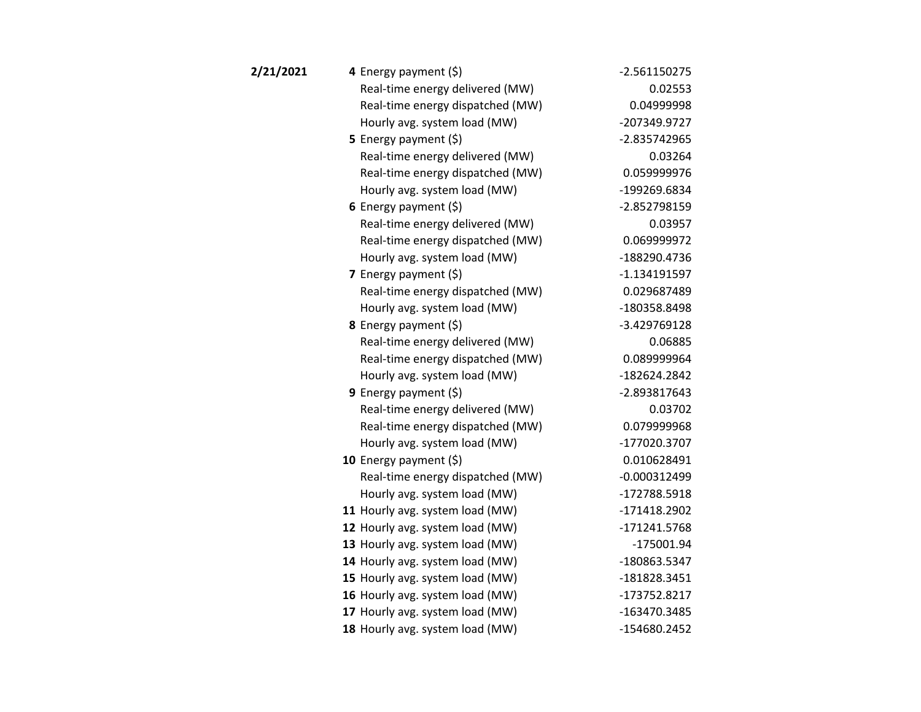| 2/21/2021 | 4 Energy payment (\$)            | $-2.561150275$ |
|-----------|----------------------------------|----------------|
|           | Real-time energy delivered (MW)  | 0.02553        |
|           | Real-time energy dispatched (MW) | 0.04999998     |
|           | Hourly avg. system load (MW)     | -207349.9727   |
|           | <b>5</b> Energy payment $(\xi)$  | -2.835742965   |
|           | Real-time energy delivered (MW)  | 0.03264        |
|           | Real-time energy dispatched (MW) | 0.059999976    |
|           | Hourly avg. system load (MW)     | -199269.6834   |
|           | 6 Energy payment $(5)$           | -2.852798159   |
|           | Real-time energy delivered (MW)  | 0.03957        |
|           | Real-time energy dispatched (MW) | 0.069999972    |
|           | Hourly avg. system load (MW)     | -188290.4736   |
|           | 7 Energy payment $(\xi)$         | $-1.134191597$ |
|           | Real-time energy dispatched (MW) | 0.029687489    |
|           | Hourly avg. system load (MW)     | -180358.8498   |
|           | 8 Energy payment (\$)            | -3.429769128   |
|           | Real-time energy delivered (MW)  | 0.06885        |
|           | Real-time energy dispatched (MW) | 0.089999964    |
|           | Hourly avg. system load (MW)     | -182624.2842   |
|           | 9 Energy payment (\$)            | -2.893817643   |
|           | Real-time energy delivered (MW)  | 0.03702        |
|           | Real-time energy dispatched (MW) | 0.079999968    |
|           | Hourly avg. system load (MW)     | -177020.3707   |
|           | 10 Energy payment $(\xi)$        | 0.010628491    |
|           | Real-time energy dispatched (MW) | $-0.000312499$ |
|           | Hourly avg. system load (MW)     | -172788.5918   |
|           | 11 Hourly avg. system load (MW)  | -171418.2902   |
|           | 12 Hourly avg. system load (MW)  | -171241.5768   |
|           | 13 Hourly avg. system load (MW)  | $-175001.94$   |
|           | 14 Hourly avg. system load (MW)  | -180863.5347   |
|           | 15 Hourly avg. system load (MW)  | -181828.3451   |
|           | 16 Hourly avg. system load (MW)  | -173752.8217   |
|           | 17 Hourly avg. system load (MW)  | -163470.3485   |
|           | 18 Hourly avg. system load (MW)  | -154680.2452   |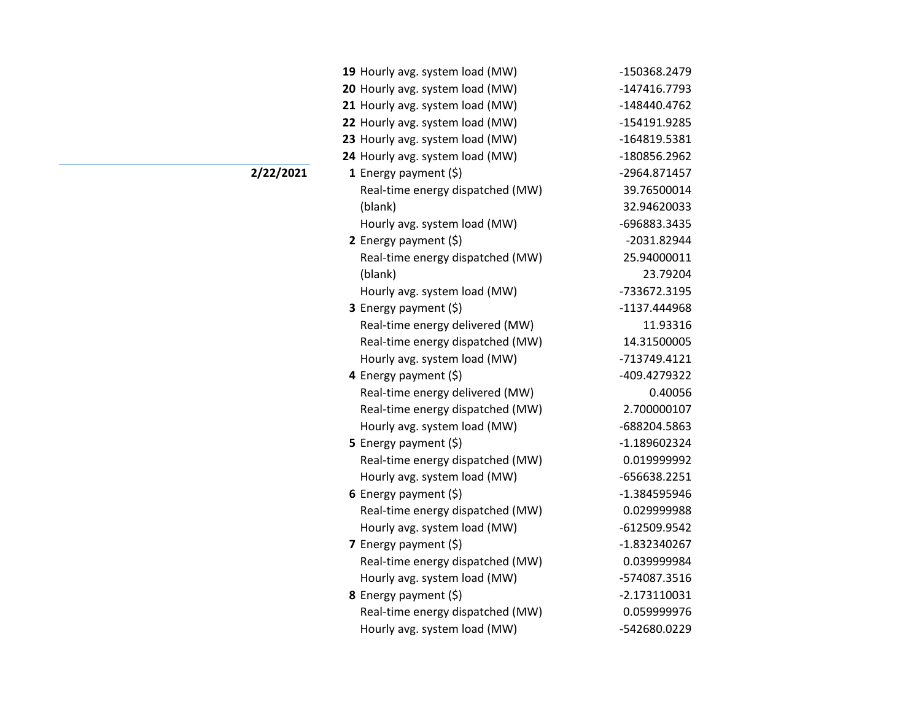| 19 Hourly avg. system load (MW)  | -150368.2479   |
|----------------------------------|----------------|
| 20 Hourly avg. system load (MW)  | -147416.7793   |
| 21 Hourly avg. system load (MW)  | -148440.4762   |
| 22 Hourly avg. system load (MW)  | -154191.9285   |
| 23 Hourly avg. system load (MW)  | -164819.5381   |
| 24 Hourly avg. system load (MW)  | -180856.2962   |
| <b>1</b> Energy payment $(\xi)$  | -2964.871457   |
| Real-time energy dispatched (MW) | 39.76500014    |
| (blank)                          | 32.94620033    |
| Hourly avg. system load (MW)     | -696883.3435   |
| 2 Energy payment $(5)$           | -2031.82944    |
| Real-time energy dispatched (MW) | 25.94000011    |
| (blank)                          | 23.79204       |
| Hourly avg. system load (MW)     | -733672.3195   |
| 3 Energy payment (\$)            | -1137.444968   |
| Real-time energy delivered (MW)  | 11.93316       |
| Real-time energy dispatched (MW) | 14.31500005    |
| Hourly avg. system load (MW)     | -713749.4121   |
| 4 Energy payment (\$)            | -409.4279322   |
| Real-time energy delivered (MW)  | 0.40056        |
| Real-time energy dispatched (MW) | 2.700000107    |
| Hourly avg. system load (MW)     | -688204.5863   |
| 5 Energy payment $(\xi)$         | -1.189602324   |
| Real-time energy dispatched (MW) | 0.019999992    |
| Hourly avg. system load (MW)     | -656638.2251   |
| 6 Energy payment $(\xi)$         | -1.384595946   |
| Real-time energy dispatched (MW) | 0.029999988    |
| Hourly avg. system load (MW)     | -612509.9542   |
| 7 Energy payment $(\xi)$         | -1.832340267   |
| Real-time energy dispatched (MW) | 0.039999984    |
| Hourly avg. system load (MW)     | -574087.3516   |
| 8 Energy payment (\$)            | $-2.173110031$ |
| Real-time energy dispatched (MW) | 0.059999976    |
| Hourly avg. system load (MW)     | -542680.0229   |

## **2/22/2021**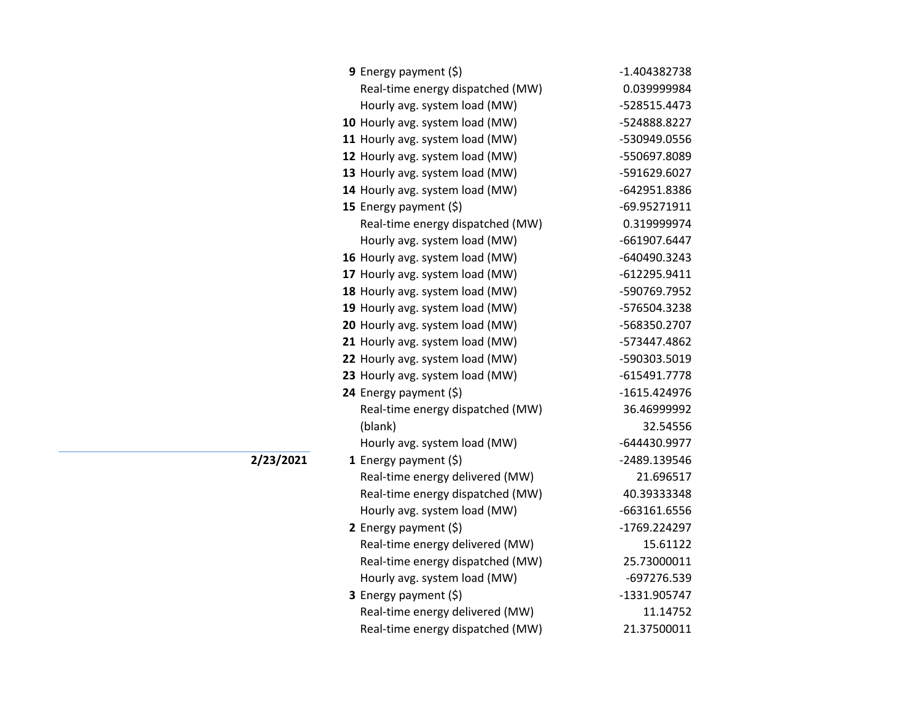| <b>9</b> Energy payment $(\xi)$  | -1.404382738   |
|----------------------------------|----------------|
| Real-time energy dispatched (MW) | 0.039999984    |
| Hourly avg. system load (MW)     | -528515.4473   |
| 10 Hourly avg. system load (MW)  | -524888.8227   |
| 11 Hourly avg. system load (MW)  | -530949.0556   |
| 12 Hourly avg. system load (MW)  | -550697.8089   |
| 13 Hourly avg. system load (MW)  | -591629.6027   |
| 14 Hourly avg. system load (MW)  | -642951.8386   |
| 15 Energy payment (\$)           | -69.95271911   |
| Real-time energy dispatched (MW) | 0.319999974    |
| Hourly avg. system load (MW)     | -661907.6447   |
| 16 Hourly avg. system load (MW)  | -640490.3243   |
| 17 Hourly avg. system load (MW)  | $-612295.9411$ |
| 18 Hourly avg. system load (MW)  | -590769.7952   |
| 19 Hourly avg. system load (MW)  | -576504.3238   |
| 20 Hourly avg. system load (MW)  | -568350.2707   |
| 21 Hourly avg. system load (MW)  | -573447.4862   |
| 22 Hourly avg. system load (MW)  | -590303.5019   |
| 23 Hourly avg. system load (MW)  | -615491.7778   |
| 24 Energy payment (\$)           | -1615.424976   |
| Real-time energy dispatched (MW) | 36.46999992    |
| (blank)                          | 32.54556       |
| Hourly avg. system load (MW)     | -644430.9977   |
| 1 Energy payment $(\xi)$         | -2489.139546   |
| Real-time energy delivered (MW)  | 21.696517      |
| Real-time energy dispatched (MW) | 40.39333348    |
| Hourly avg. system load (MW)     | -663161.6556   |
| 2 Energy payment $(\xi)$         | -1769.224297   |
| Real-time energy delivered (MW)  | 15.61122       |
| Real-time energy dispatched (MW) | 25.73000011    |
| Hourly avg. system load (MW)     | -697276.539    |
| 3 Energy payment (\$)            | -1331.905747   |
| Real-time energy delivered (MW)  | 11.14752       |
| Real-time energy dispatched (MW) | 21.37500011    |

**2/23/2021**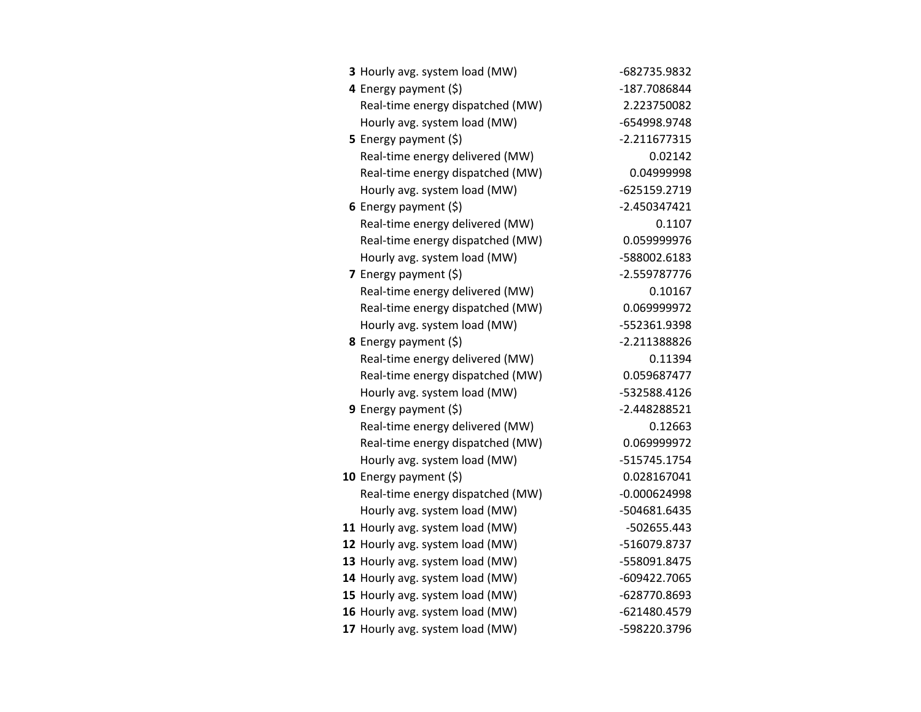| 3 Hourly avg. system load (MW)   | -682735.9832   |
|----------------------------------|----------------|
| 4 Energy payment (\$)            | -187.7086844   |
| Real-time energy dispatched (MW) | 2.223750082    |
| Hourly avg. system load (MW)     | -654998.9748   |
| <b>5</b> Energy payment $(\xi)$  | $-2.211677315$ |
| Real-time energy delivered (MW)  | 0.02142        |
| Real-time energy dispatched (MW) | 0.04999998     |
| Hourly avg. system load (MW)     | -625159.2719   |
| 6 Energy payment $(\xi)$         | $-2.450347421$ |
| Real-time energy delivered (MW)  | 0.1107         |
| Real-time energy dispatched (MW) | 0.059999976    |
| Hourly avg. system load (MW)     | -588002.6183   |
| <b>7</b> Energy payment $(\xi)$  | -2.559787776   |
| Real-time energy delivered (MW)  | 0.10167        |
| Real-time energy dispatched (MW) | 0.069999972    |
| Hourly avg. system load (MW)     | -552361.9398   |
| 8 Energy payment (\$)            | -2.211388826   |
| Real-time energy delivered (MW)  | 0.11394        |
| Real-time energy dispatched (MW) | 0.059687477    |
| Hourly avg. system load (MW)     | -532588.4126   |
| 9 Energy payment (\$)            | -2.448288521   |
| Real-time energy delivered (MW)  | 0.12663        |
| Real-time energy dispatched (MW) | 0.069999972    |
| Hourly avg. system load (MW)     | -515745.1754   |
| 10 Energy payment (\$)           | 0.028167041    |
| Real-time energy dispatched (MW) | $-0.000624998$ |
| Hourly avg. system load (MW)     | -504681.6435   |
| 11 Hourly avg. system load (MW)  | -502655.443    |
| 12 Hourly avg. system load (MW)  | -516079.8737   |
| 13 Hourly avg. system load (MW)  | -558091.8475   |
| 14 Hourly avg. system load (MW)  | -609422.7065   |
| 15 Hourly avg. system load (MW)  | -628770.8693   |
| 16 Hourly avg. system load (MW)  | -621480.4579   |
| 17 Hourly avg. system load (MW)  | -598220.3796   |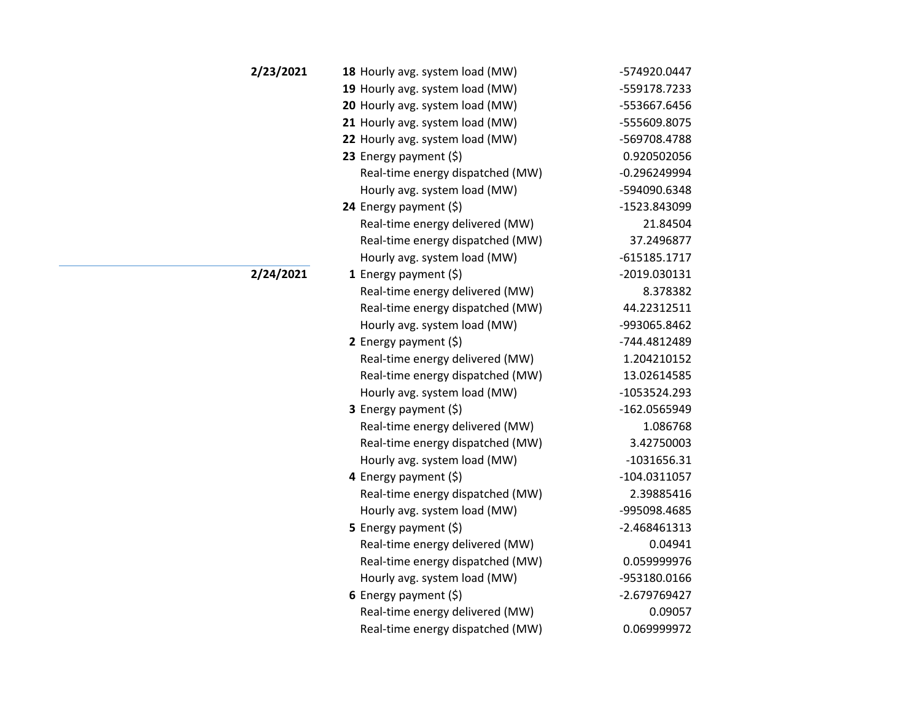| 2/23/2021 | 18 Hourly avg. system load (MW)  | -574920.0447   |
|-----------|----------------------------------|----------------|
|           | 19 Hourly avg. system load (MW)  | -559178.7233   |
|           | 20 Hourly avg. system load (MW)  | -553667.6456   |
|           | 21 Hourly avg. system load (MW)  | -555609.8075   |
|           | 22 Hourly avg. system load (MW)  | -569708.4788   |
|           | 23 Energy payment (\$)           | 0.920502056    |
|           | Real-time energy dispatched (MW) | $-0.296249994$ |
|           | Hourly avg. system load (MW)     | -594090.6348   |
|           | 24 Energy payment (\$)           | -1523.843099   |
|           | Real-time energy delivered (MW)  | 21.84504       |
|           | Real-time energy dispatched (MW) | 37.2496877     |
|           | Hourly avg. system load (MW)     | $-615185.1717$ |
| 2/24/2021 | 1 Energy payment $(5)$           | -2019.030131   |
|           | Real-time energy delivered (MW)  | 8.378382       |
|           | Real-time energy dispatched (MW) | 44.22312511    |
|           | Hourly avg. system load (MW)     | -993065.8462   |
|           | 2 Energy payment $(5)$           | -744.4812489   |
|           | Real-time energy delivered (MW)  | 1.204210152    |
|           | Real-time energy dispatched (MW) | 13.02614585    |
|           | Hourly avg. system load (MW)     | $-1053524.293$ |
|           | 3 Energy payment (\$)            | -162.0565949   |
|           | Real-time energy delivered (MW)  | 1.086768       |
|           | Real-time energy dispatched (MW) | 3.42750003     |
|           | Hourly avg. system load (MW)     | $-1031656.31$  |
|           | 4 Energy payment $(\xi)$         | $-104.0311057$ |
|           | Real-time energy dispatched (MW) | 2.39885416     |
|           | Hourly avg. system load (MW)     | -995098.4685   |
|           | 5 Energy payment $(5)$           | $-2.468461313$ |
|           | Real-time energy delivered (MW)  | 0.04941        |
|           | Real-time energy dispatched (MW) | 0.059999976    |
|           | Hourly avg. system load (MW)     | -953180.0166   |
|           | 6 Energy payment $(\xi)$         | -2.679769427   |
|           | Real-time energy delivered (MW)  | 0.09057        |
|           | Real-time energy dispatched (MW) | 0.069999972    |
|           |                                  |                |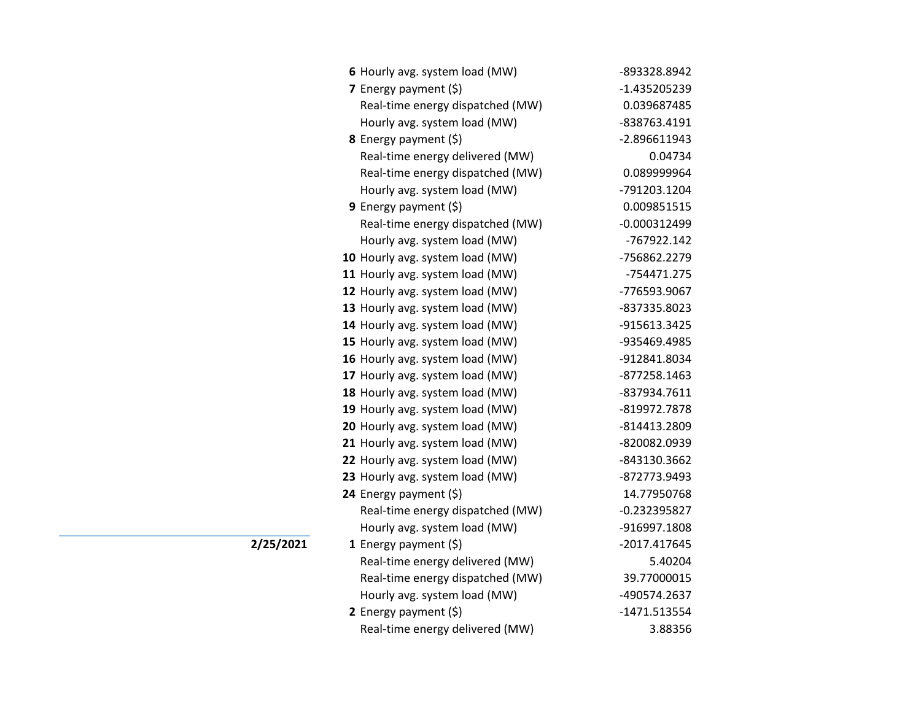| 6 Hourly avg. system load (MW)   | -893328.8942   |
|----------------------------------|----------------|
| 7 Energy payment $(5)$           | -1.435205239   |
| Real-time energy dispatched (MW) | 0.039687485    |
| Hourly avg. system load (MW)     | -838763.4191   |
| 8 Energy payment (\$)            | -2.896611943   |
| Real-time energy delivered (MW)  | 0.04734        |
| Real-time energy dispatched (MW) | 0.089999964    |
| Hourly avg. system load (MW)     | -791203.1204   |
| <b>9</b> Energy payment $(\xi)$  | 0.009851515    |
| Real-time energy dispatched (MW) | $-0.000312499$ |
| Hourly avg. system load (MW)     | -767922.142    |
| 10 Hourly avg. system load (MW)  | -756862.2279   |
| 11 Hourly avg. system load (MW)  | -754471.275    |
| 12 Hourly avg. system load (MW)  | -776593.9067   |
| 13 Hourly avg. system load (MW)  | -837335.8023   |
| 14 Hourly avg. system load (MW)  | -915613.3425   |
| 15 Hourly avg. system load (MW)  | -935469.4985   |
| 16 Hourly avg. system load (MW)  | -912841.8034   |
| 17 Hourly avg. system load (MW)  | -877258.1463   |
| 18 Hourly avg. system load (MW)  | -837934.7611   |
| 19 Hourly avg. system load (MW)  | -819972.7878   |
| 20 Hourly avg. system load (MW)  | -814413.2809   |
| 21 Hourly avg. system load (MW)  | -820082.0939   |
| 22 Hourly avg. system load (MW)  | -843130.3662   |
| 23 Hourly avg. system load (MW)  | -872773.9493   |
| 24 Energy payment (\$)           | 14.77950768    |
| Real-time energy dispatched (MW) | $-0.232395827$ |
| Hourly avg. system load (MW)     | -916997.1808   |
| 1 Energy payment $(\xi)$         | -2017.417645   |
| Real-time energy delivered (MW)  | 5.40204        |
| Real-time energy dispatched (MW) | 39.77000015    |
| Hourly avg. system load (MW)     | -490574.2637   |
| 2 Energy payment $(5)$           | -1471.513554   |
| Real-time energy delivered (MW)  | 3.88356        |

**2/25/2021**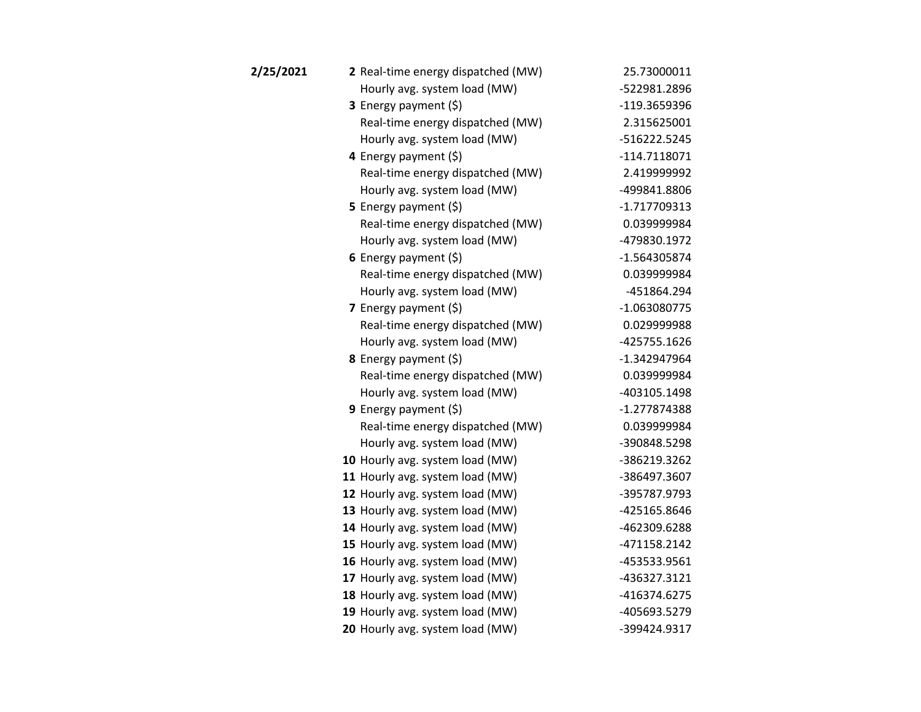| 2/25/2021 | 2 Real-time energy dispatched (MW) | 25.73000011    |
|-----------|------------------------------------|----------------|
|           | Hourly avg. system load (MW)       | -522981.2896   |
|           | 3 Energy payment (\$)              | -119.3659396   |
|           | Real-time energy dispatched (MW)   | 2.315625001    |
|           | Hourly avg. system load (MW)       | -516222.5245   |
|           | 4 Energy payment (\$)              | $-114.7118071$ |
|           | Real-time energy dispatched (MW)   | 2.419999992    |
|           | Hourly avg. system load (MW)       | -499841.8806   |
|           | <b>5</b> Energy payment $(\xi)$    | $-1.717709313$ |
|           | Real-time energy dispatched (MW)   | 0.039999984    |
|           | Hourly avg. system load (MW)       | -479830.1972   |
|           | 6 Energy payment $(5)$             | $-1.564305874$ |
|           | Real-time energy dispatched (MW)   | 0.039999984    |
|           | Hourly avg. system load (MW)       | -451864.294    |
|           | 7 Energy payment $(\xi)$           | -1.063080775   |
|           | Real-time energy dispatched (MW)   | 0.029999988    |
|           | Hourly avg. system load (MW)       | -425755.1626   |
|           | <b>8</b> Energy payment $(\xi)$    | $-1.342947964$ |
|           | Real-time energy dispatched (MW)   | 0.039999984    |
|           | Hourly avg. system load (MW)       | -403105.1498   |
|           | 9 Energy payment $(5)$             | $-1.277874388$ |
|           | Real-time energy dispatched (MW)   | 0.039999984    |
|           | Hourly avg. system load (MW)       | -390848.5298   |
|           | 10 Hourly avg. system load (MW)    | -386219.3262   |
|           | 11 Hourly avg. system load (MW)    | -386497.3607   |
|           | 12 Hourly avg. system load (MW)    | -395787.9793   |
|           | 13 Hourly avg. system load (MW)    | -425165.8646   |
|           | 14 Hourly avg. system load (MW)    | -462309.6288   |
|           | 15 Hourly avg. system load (MW)    | -471158.2142   |
|           | 16 Hourly avg. system load (MW)    | -453533.9561   |
|           | 17 Hourly avg. system load (MW)    | -436327.3121   |
|           | 18 Hourly avg. system load (MW)    | -416374.6275   |
|           | 19 Hourly avg. system load (MW)    | -405693.5279   |
|           | 20 Hourly avg. system load (MW)    | -399424.9317   |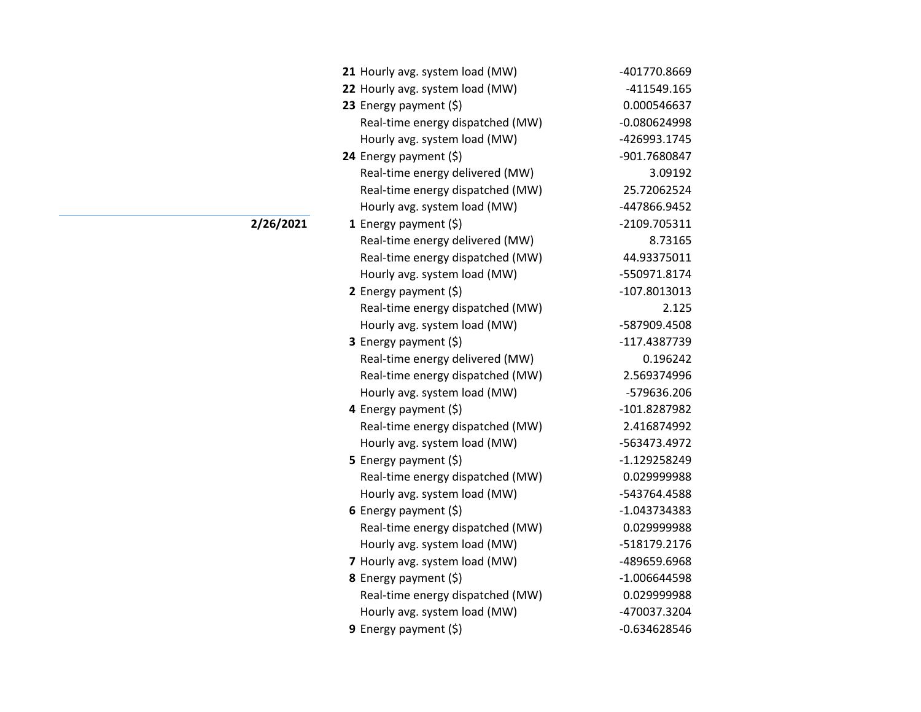| 21 Hourly avg. system load (MW)  | -401770.8669   |
|----------------------------------|----------------|
| 22 Hourly avg. system load (MW)  | -411549.165    |
| 23 Energy payment (\$)           | 0.000546637    |
| Real-time energy dispatched (MW) | $-0.080624998$ |
| Hourly avg. system load (MW)     | -426993.1745   |
| 24 Energy payment (\$)           | -901.7680847   |
| Real-time energy delivered (MW)  | 3.09192        |
| Real-time energy dispatched (MW) | 25.72062524    |
| Hourly avg. system load (MW)     | -447866.9452   |
| 1 Energy payment $(\xi)$         | -2109.705311   |
| Real-time energy delivered (MW)  | 8.73165        |
| Real-time energy dispatched (MW) | 44.93375011    |
| Hourly avg. system load (MW)     | -550971.8174   |
| <b>2</b> Energy payment $(\xi)$  | -107.8013013   |
| Real-time energy dispatched (MW) | 2.125          |
| Hourly avg. system load (MW)     | -587909.4508   |
| 3 Energy payment (\$)            | -117.4387739   |
| Real-time energy delivered (MW)  | 0.196242       |
| Real-time energy dispatched (MW) | 2.569374996    |
| Hourly avg. system load (MW)     | -579636.206    |
| 4 Energy payment (\$)            | -101.8287982   |
| Real-time energy dispatched (MW) | 2.416874992    |
| Hourly avg. system load (MW)     | -563473.4972   |
| 5 Energy payment $(\xi)$         | $-1.129258249$ |
| Real-time energy dispatched (MW) | 0.029999988    |
| Hourly avg. system load (MW)     | -543764.4588   |
| 6 Energy payment $(\xi)$         | $-1.043734383$ |
| Real-time energy dispatched (MW) | 0.029999988    |
| Hourly avg. system load (MW)     | -518179.2176   |
| 7 Hourly avg. system load (MW)   | -489659.6968   |
| 8 Energy payment (\$)            | $-1.006644598$ |
| Real-time energy dispatched (MW) | 0.029999988    |
| Hourly avg. system load (MW)     | -470037.3204   |
| 9 Energy payment (\$)            | $-0.634628546$ |

**2/26/2021**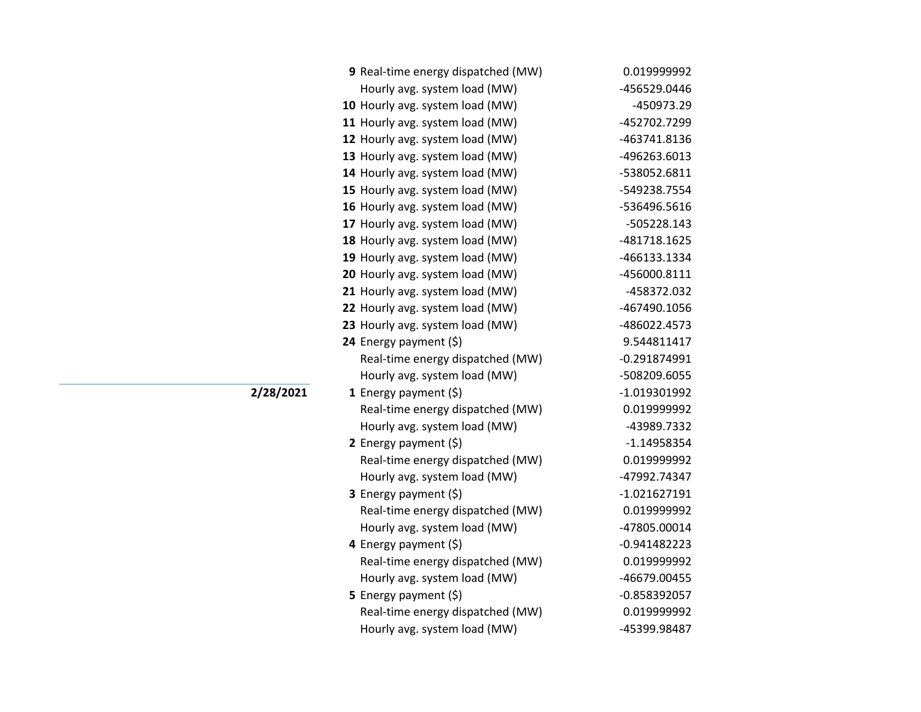| 9 Real-time energy dispatched (MW) | 0.019999992    |
|------------------------------------|----------------|
| Hourly avg. system load (MW)       | -456529.0446   |
| 10 Hourly avg. system load (MW)    | -450973.29     |
| 11 Hourly avg. system load (MW)    | -452702.7299   |
| 12 Hourly avg. system load (MW)    | -463741.8136   |
| 13 Hourly avg. system load (MW)    | -496263.6013   |
| 14 Hourly avg. system load (MW)    | -538052.6811   |
| 15 Hourly avg. system load (MW)    | -549238.7554   |
| 16 Hourly avg. system load (MW)    | -536496.5616   |
| 17 Hourly avg. system load (MW)    | -505228.143    |
| 18 Hourly avg. system load (MW)    | -481718.1625   |
| 19 Hourly avg. system load (MW)    | -466133.1334   |
| 20 Hourly avg. system load (MW)    | -456000.8111   |
| 21 Hourly avg. system load (MW)    | -458372.032    |
| 22 Hourly avg. system load (MW)    | -467490.1056   |
| 23 Hourly avg. system load (MW)    | -486022.4573   |
| 24 Energy payment (\$)             | 9.544811417    |
| Real-time energy dispatched (MW)   | $-0.291874991$ |
| Hourly avg. system load (MW)       | -508209.6055   |
| 1 Energy payment $(\$)$            | -1.019301992   |
| Real-time energy dispatched (MW)   | 0.019999992    |
| Hourly avg. system load (MW)       | -43989.7332    |
| 2 Energy payment (\$)              | $-1.14958354$  |
| Real-time energy dispatched (MW)   | 0.019999992    |
| Hourly avg. system load (MW)       | -47992.74347   |
| 3 Energy payment (\$)              | $-1.021627191$ |
| Real-time energy dispatched (MW)   | 0.019999992    |
| Hourly avg. system load (MW)       | -47805.00014   |
| 4 Energy payment (\$)              | $-0.941482223$ |
| Real-time energy dispatched (MW)   | 0.019999992    |
| Hourly avg. system load (MW)       | -46679.00455   |
| <b>5</b> Energy payment $(\xi)$    | $-0.858392057$ |
| Real-time energy dispatched (MW)   | 0.019999992    |
| Hourly avg. system load (MW)       | -45399.98487   |

**2/28/2021**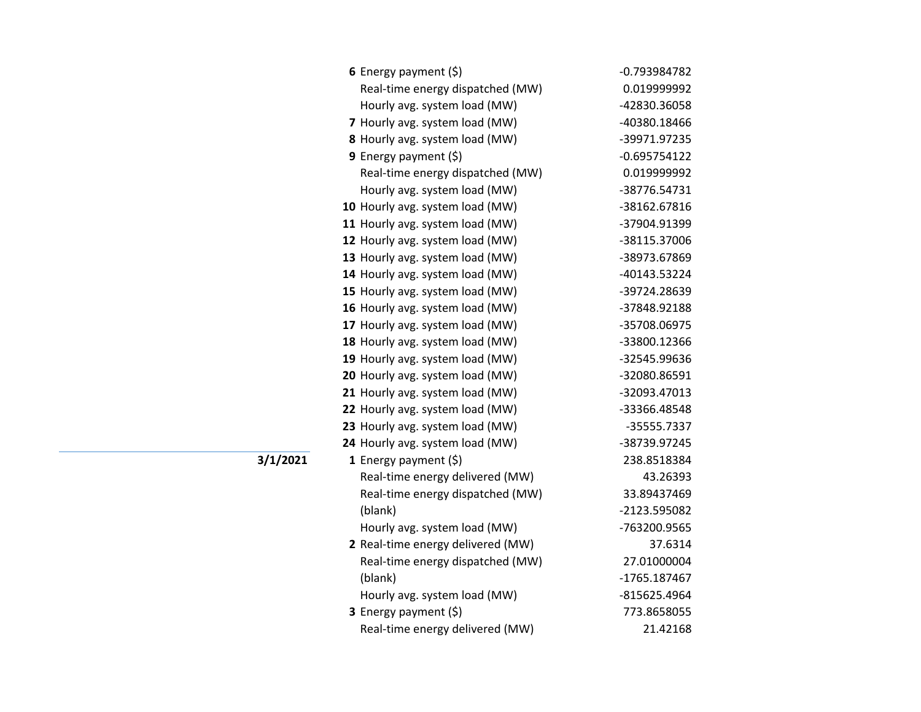| 6 Energy payment $(5)$            | $-0.793984782$ |
|-----------------------------------|----------------|
| Real-time energy dispatched (MW)  | 0.019999992    |
| Hourly avg. system load (MW)      | -42830.36058   |
| 7 Hourly avg. system load (MW)    | -40380.18466   |
| 8 Hourly avg. system load (MW)    | -39971.97235   |
| 9 Energy payment (\$)             | $-0.695754122$ |
| Real-time energy dispatched (MW)  | 0.019999992    |
| Hourly avg. system load (MW)      | -38776.54731   |
| 10 Hourly avg. system load (MW)   | -38162.67816   |
| 11 Hourly avg. system load (MW)   | -37904.91399   |
| 12 Hourly avg. system load (MW)   | -38115.37006   |
| 13 Hourly avg. system load (MW)   | -38973.67869   |
| 14 Hourly avg. system load (MW)   | -40143.53224   |
| 15 Hourly avg. system load (MW)   | -39724.28639   |
| 16 Hourly avg. system load (MW)   | -37848.92188   |
| 17 Hourly avg. system load (MW)   | -35708.06975   |
| 18 Hourly avg. system load (MW)   | -33800.12366   |
| 19 Hourly avg. system load (MW)   | -32545.99636   |
| 20 Hourly avg. system load (MW)   | -32080.86591   |
| 21 Hourly avg. system load (MW)   | -32093.47013   |
| 22 Hourly avg. system load (MW)   | -33366.48548   |
| 23 Hourly avg. system load (MW)   | -35555.7337    |
| 24 Hourly avg. system load (MW)   | -38739.97245   |
| 1 Energy payment $(\xi)$          | 238.8518384    |
| Real-time energy delivered (MW)   | 43.26393       |
| Real-time energy dispatched (MW)  | 33.89437469    |
| (blank)                           | -2123.595082   |
| Hourly avg. system load (MW)      | -763200.9565   |
| 2 Real-time energy delivered (MW) | 37.6314        |
| Real-time energy dispatched (MW)  | 27.01000004    |
| (blank)                           | -1765.187467   |
| Hourly avg. system load (MW)      | -815625.4964   |
| <b>3</b> Energy payment $(\xi)$   | 773.8658055    |
| Real-time energy delivered (MW)   | 21.42168       |

**3/1/2021**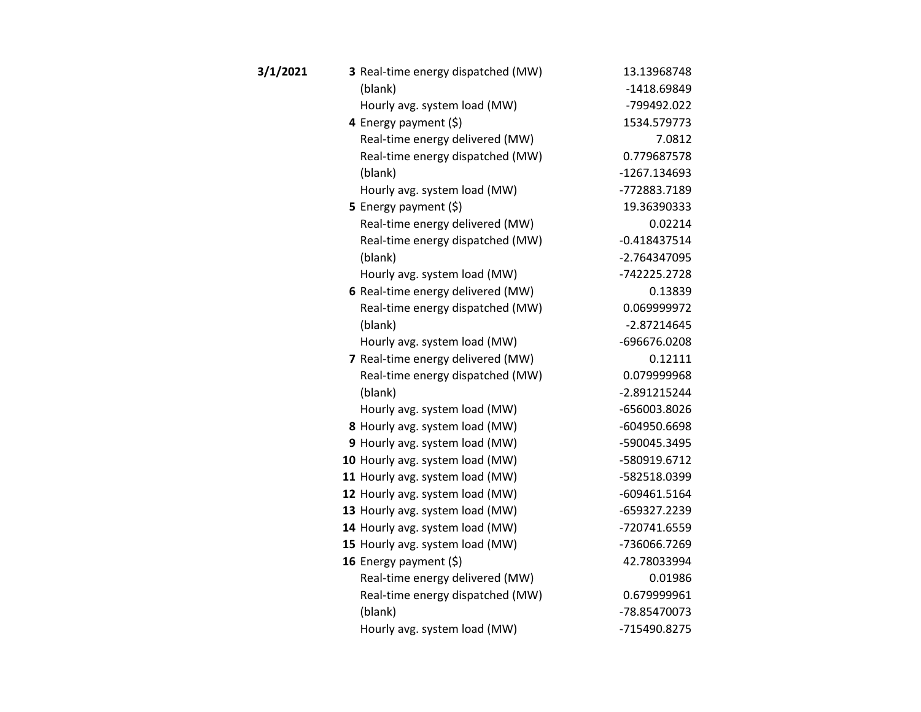| 3/1/2021 | 3 Real-time energy dispatched (MW) | 13.13968748    |
|----------|------------------------------------|----------------|
|          | (blank)                            | -1418.69849    |
|          | Hourly avg. system load (MW)       | -799492.022    |
|          | 4 Energy payment (\$)              | 1534.579773    |
|          | Real-time energy delivered (MW)    | 7.0812         |
|          | Real-time energy dispatched (MW)   | 0.779687578    |
|          | (blank)                            | -1267.134693   |
|          | Hourly avg. system load (MW)       | -772883.7189   |
|          | 5 Energy payment $(5)$             | 19.36390333    |
|          | Real-time energy delivered (MW)    | 0.02214        |
|          | Real-time energy dispatched (MW)   | $-0.418437514$ |
|          | (blank)                            | -2.764347095   |
|          | Hourly avg. system load (MW)       | -742225.2728   |
|          | 6 Real-time energy delivered (MW)  | 0.13839        |
|          | Real-time energy dispatched (MW)   | 0.069999972    |
|          | (blank)                            | $-2.87214645$  |
|          | Hourly avg. system load (MW)       | -696676.0208   |
|          | 7 Real-time energy delivered (MW)  | 0.12111        |
|          | Real-time energy dispatched (MW)   | 0.079999968    |
|          | (blank)                            | -2.891215244   |
|          | Hourly avg. system load (MW)       | -656003.8026   |
|          | 8 Hourly avg. system load (MW)     | -604950.6698   |
|          | 9 Hourly avg. system load (MW)     | -590045.3495   |
|          | 10 Hourly avg. system load (MW)    | -580919.6712   |
|          | 11 Hourly avg. system load (MW)    | -582518.0399   |
|          | 12 Hourly avg. system load (MW)    | -609461.5164   |
|          | 13 Hourly avg. system load (MW)    | -659327.2239   |
|          | 14 Hourly avg. system load (MW)    | -720741.6559   |
|          | 15 Hourly avg. system load (MW)    | -736066.7269   |
|          | 16 Energy payment (\$)             | 42.78033994    |
|          | Real-time energy delivered (MW)    | 0.01986        |
|          | Real-time energy dispatched (MW)   | 0.679999961    |
|          | (blank)                            | -78.85470073   |
|          | Hourly avg. system load (MW)       | -715490.8275   |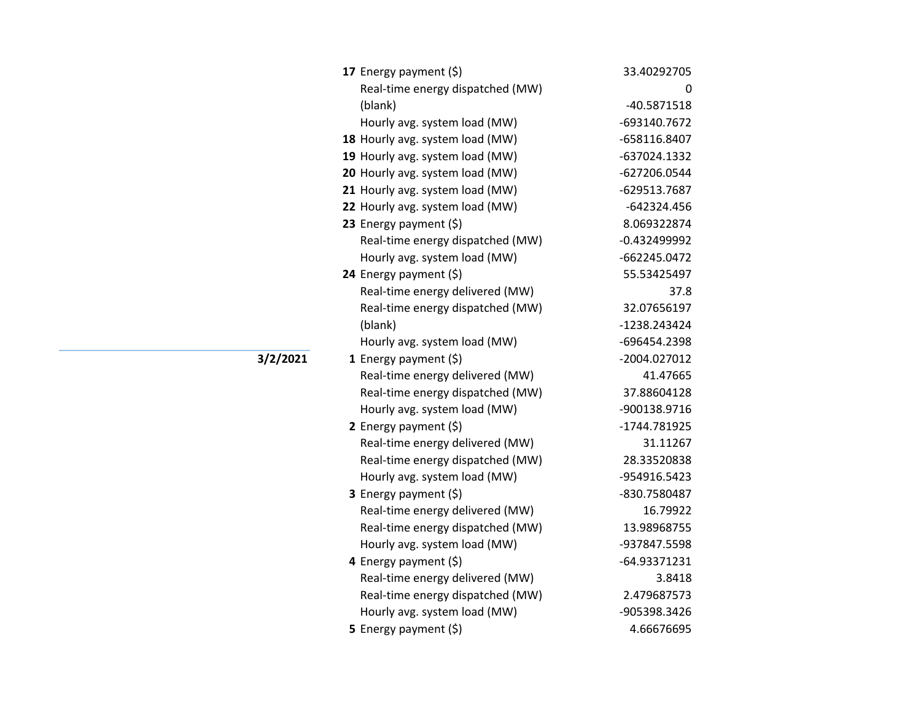| 17 Energy payment (\$)           | 33.40292705    |
|----------------------------------|----------------|
| Real-time energy dispatched (MW) | 0              |
| (blank)                          | -40.5871518    |
| Hourly avg. system load (MW)     | -693140.7672   |
| 18 Hourly avg. system load (MW)  | -658116.8407   |
| 19 Hourly avg. system load (MW)  | -637024.1332   |
| 20 Hourly avg. system load (MW)  | -627206.0544   |
| 21 Hourly avg. system load (MW)  | -629513.7687   |
| 22 Hourly avg. system load (MW)  | -642324.456    |
| 23 Energy payment (\$)           | 8.069322874    |
| Real-time energy dispatched (MW) | $-0.432499992$ |
| Hourly avg. system load (MW)     | -662245.0472   |
| 24 Energy payment $(\xi)$        | 55.53425497    |
| Real-time energy delivered (MW)  | 37.8           |
| Real-time energy dispatched (MW) | 32.07656197    |
| (blank)                          | -1238.243424   |
| Hourly avg. system load (MW)     | -696454.2398   |
| 1 Energy payment $(\xi)$         | -2004.027012   |
| Real-time energy delivered (MW)  | 41.47665       |
| Real-time energy dispatched (MW) | 37.88604128    |
| Hourly avg. system load (MW)     | -900138.9716   |
| 2 Energy payment (\$)            | -1744.781925   |
| Real-time energy delivered (MW)  | 31.11267       |
| Real-time energy dispatched (MW) | 28.33520838    |
| Hourly avg. system load (MW)     | -954916.5423   |
| 3 Energy payment (\$)            | -830.7580487   |
| Real-time energy delivered (MW)  | 16.79922       |
| Real-time energy dispatched (MW) | 13.98968755    |
| Hourly avg. system load (MW)     | -937847.5598   |
| 4 Energy payment (\$)            | -64.93371231   |
| Real-time energy delivered (MW)  | 3.8418         |
| Real-time energy dispatched (MW) | 2.479687573    |
| Hourly avg. system load (MW)     | -905398.3426   |
| 5 Energy payment (\$)            | 4.66676695     |

**3/2/2021**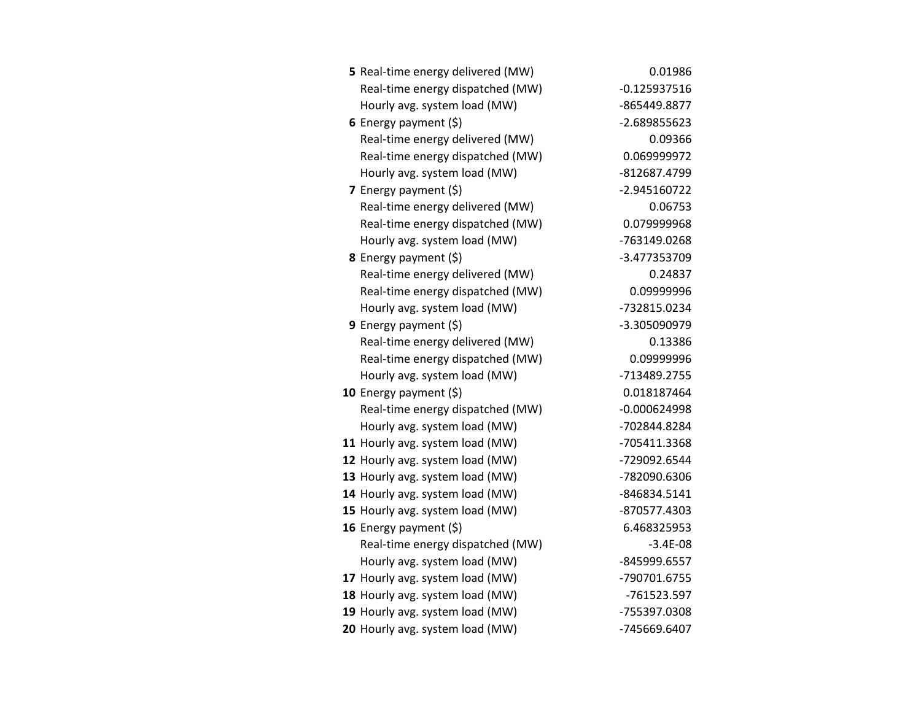| 5 Real-time energy delivered (MW) | 0.01986        |
|-----------------------------------|----------------|
| Real-time energy dispatched (MW)  | $-0.125937516$ |
| Hourly avg. system load (MW)      | -865449.8877   |
| 6 Energy payment $(5)$            | -2.689855623   |
| Real-time energy delivered (MW)   | 0.09366        |
| Real-time energy dispatched (MW)  | 0.069999972    |
| Hourly avg. system load (MW)      | -812687.4799   |
| <b>7</b> Energy payment $(\xi)$   | -2.945160722   |
| Real-time energy delivered (MW)   | 0.06753        |
| Real-time energy dispatched (MW)  | 0.079999968    |
| Hourly avg. system load (MW)      | -763149.0268   |
| 8 Energy payment (\$)             | -3.477353709   |
| Real-time energy delivered (MW)   | 0.24837        |
| Real-time energy dispatched (MW)  | 0.09999996     |
| Hourly avg. system load (MW)      | -732815.0234   |
| 9 Energy payment $(5)$            | -3.305090979   |
| Real-time energy delivered (MW)   | 0.13386        |
| Real-time energy dispatched (MW)  | 0.09999996     |
| Hourly avg. system load (MW)      | -713489.2755   |
| 10 Energy payment $(5)$           | 0.018187464    |
| Real-time energy dispatched (MW)  | $-0.000624998$ |
| Hourly avg. system load (MW)      | -702844.8284   |
| 11 Hourly avg. system load (MW)   | -705411.3368   |
| 12 Hourly avg. system load (MW)   | -729092.6544   |
| 13 Hourly avg. system load (MW)   | -782090.6306   |
| 14 Hourly avg. system load (MW)   | -846834.5141   |
| 15 Hourly avg. system load (MW)   | -870577.4303   |
| 16 Energy payment $(\xi)$         | 6.468325953    |
| Real-time energy dispatched (MW)  | $-3.4E-08$     |
| Hourly avg. system load (MW)      | -845999.6557   |
| 17 Hourly avg. system load (MW)   | -790701.6755   |
| 18 Hourly avg. system load (MW)   | -761523.597    |
| 19 Hourly avg. system load (MW)   | -755397.0308   |
| 20 Hourly avg. system load (MW)   | -745669.6407   |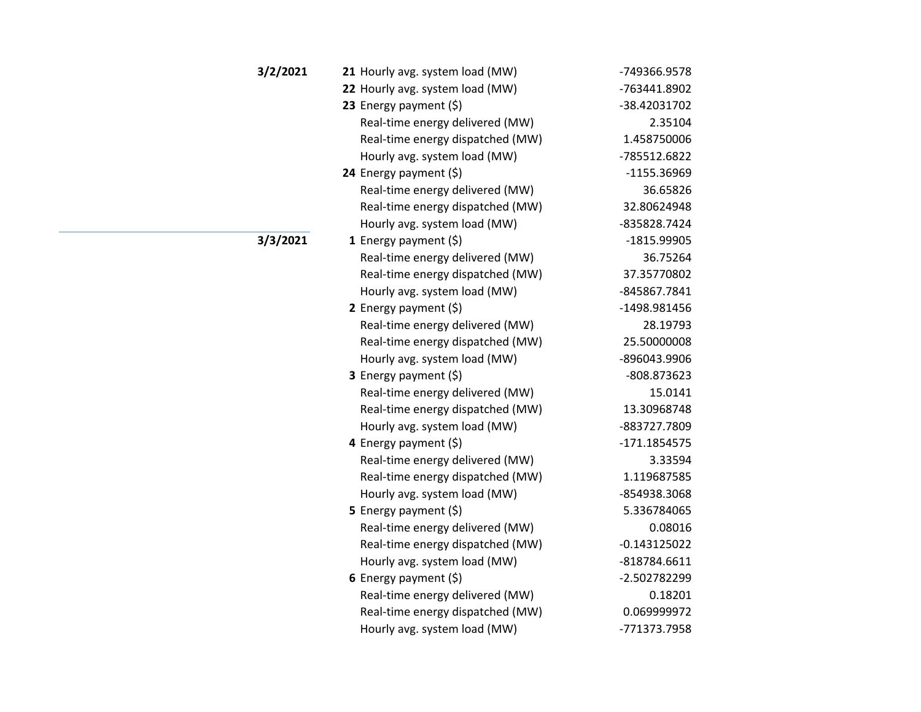| 3/2/2021 | 21 Hourly avg. system load (MW)  | -749366.9578   |
|----------|----------------------------------|----------------|
|          | 22 Hourly avg. system load (MW)  | -763441.8902   |
|          | 23 Energy payment (\$)           | -38.42031702   |
|          | Real-time energy delivered (MW)  | 2.35104        |
|          | Real-time energy dispatched (MW) | 1.458750006    |
|          | Hourly avg. system load (MW)     | -785512.6822   |
|          | 24 Energy payment $(\xi)$        | -1155.36969    |
|          | Real-time energy delivered (MW)  | 36.65826       |
|          | Real-time energy dispatched (MW) | 32.80624948    |
|          | Hourly avg. system load (MW)     | -835828.7424   |
| 3/3/2021 | <b>1</b> Energy payment $(\xi)$  | -1815.99905    |
|          | Real-time energy delivered (MW)  | 36.75264       |
|          | Real-time energy dispatched (MW) | 37.35770802    |
|          | Hourly avg. system load (MW)     | -845867.7841   |
|          | 2 Energy payment $(\xi)$         | -1498.981456   |
|          | Real-time energy delivered (MW)  | 28.19793       |
|          | Real-time energy dispatched (MW) | 25.50000008    |
|          | Hourly avg. system load (MW)     | -896043.9906   |
|          | 3 Energy payment (\$)            | -808.873623    |
|          | Real-time energy delivered (MW)  | 15.0141        |
|          | Real-time energy dispatched (MW) | 13.30968748    |
|          | Hourly avg. system load (MW)     | -883727.7809   |
|          | 4 Energy payment (\$)            | $-171.1854575$ |
|          | Real-time energy delivered (MW)  | 3.33594        |
|          | Real-time energy dispatched (MW) | 1.119687585    |
|          | Hourly avg. system load (MW)     | -854938.3068   |
|          | 5 Energy payment $(\xi)$         | 5.336784065    |
|          | Real-time energy delivered (MW)  | 0.08016        |
|          | Real-time energy dispatched (MW) | $-0.143125022$ |
|          | Hourly avg. system load (MW)     | -818784.6611   |
|          | 6 Energy payment $(5)$           | -2.502782299   |
|          | Real-time energy delivered (MW)  | 0.18201        |
|          | Real-time energy dispatched (MW) | 0.069999972    |
|          | Hourly avg. system load (MW)     | -771373.7958   |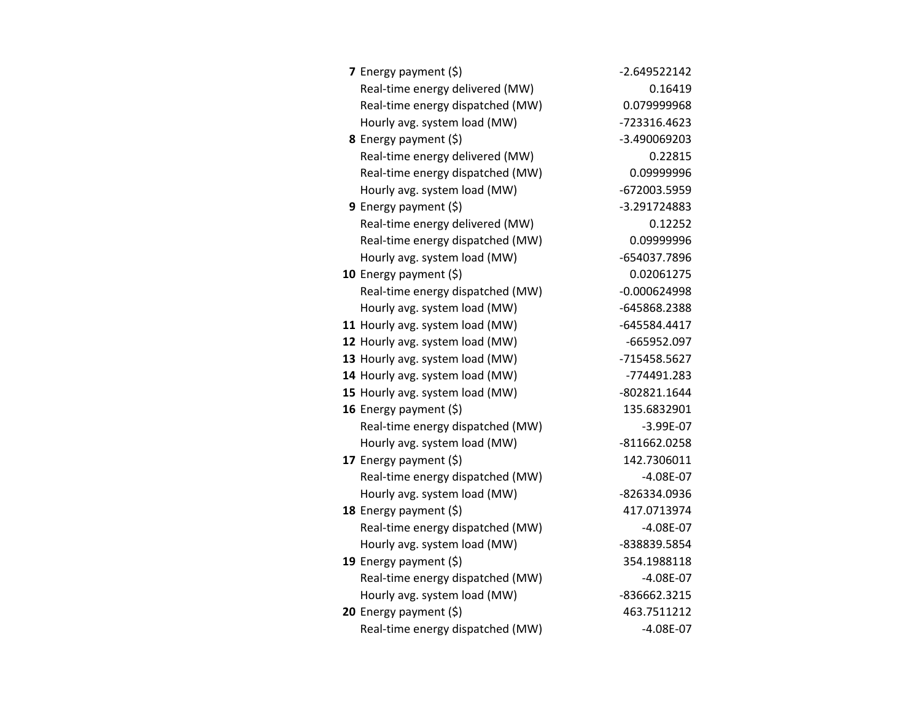| <b>7</b> Energy payment $(\xi)$  | $-2.649522142$ |
|----------------------------------|----------------|
| Real-time energy delivered (MW)  | 0.16419        |
| Real-time energy dispatched (MW) | 0.079999968    |
| Hourly avg. system load (MW)     | -723316.4623   |
| 8 Energy payment (\$)            | -3.490069203   |
| Real-time energy delivered (MW)  | 0.22815        |
| Real-time energy dispatched (MW) | 0.09999996     |
| Hourly avg. system load (MW)     | -672003.5959   |
| <b>9</b> Energy payment $(\xi)$  | -3.291724883   |
| Real-time energy delivered (MW)  | 0.12252        |
| Real-time energy dispatched (MW) | 0.09999996     |
| Hourly avg. system load (MW)     | -654037.7896   |
| <b>10</b> Energy payment $(\xi)$ | 0.02061275     |
| Real-time energy dispatched (MW) | $-0.000624998$ |
| Hourly avg. system load (MW)     | -645868.2388   |
| 11 Hourly avg. system load (MW)  | -645584.4417   |
| 12 Hourly avg. system load (MW)  | -665952.097    |
| 13 Hourly avg. system load (MW)  | -715458.5627   |
| 14 Hourly avg. system load (MW)  | -774491.283    |
| 15 Hourly avg. system load (MW)  | -802821.1644   |
| 16 Energy payment (\$)           | 135.6832901    |
| Real-time energy dispatched (MW) | $-3.99E-07$    |
| Hourly avg. system load (MW)     | -811662.0258   |
| 17 Energy payment (\$)           | 142.7306011    |
| Real-time energy dispatched (MW) | $-4.08E - 07$  |
| Hourly avg. system load (MW)     | -826334.0936   |
| 18 Energy payment $(\xi)$        | 417.0713974    |
| Real-time energy dispatched (MW) | $-4.08E - 07$  |
| Hourly avg. system load (MW)     | -838839.5854   |
| 19 Energy payment $(\xi)$        | 354.1988118    |
| Real-time energy dispatched (MW) | $-4.08E - 07$  |
| Hourly avg. system load (MW)     | -836662.3215   |
| 20 Energy payment (\$)           | 463.7511212    |
| Real-time energy dispatched (MW) | $-4.08E-07$    |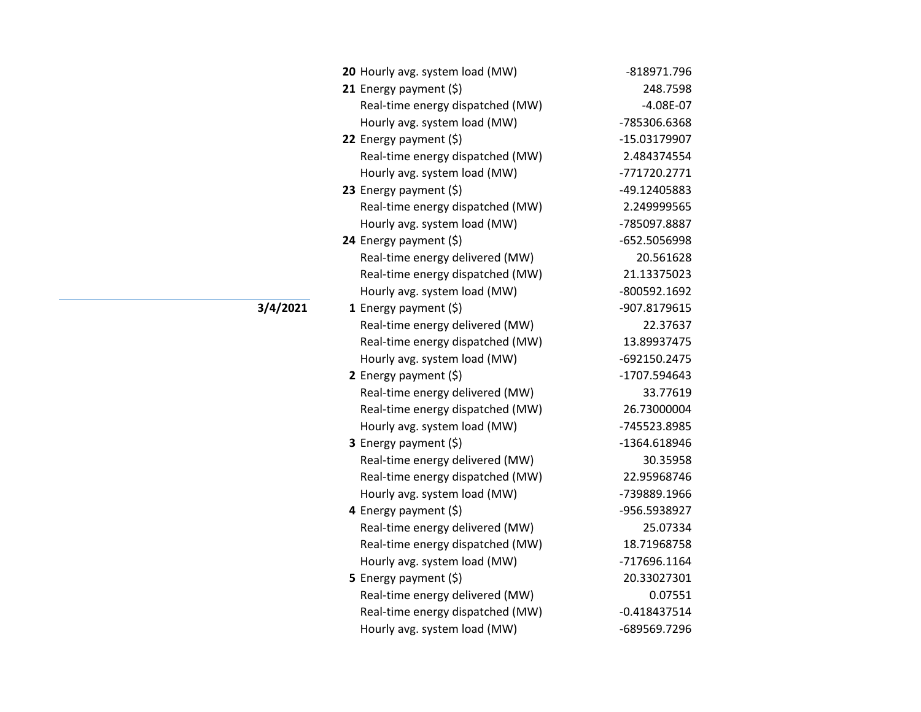| 20 Hourly avg. system load (MW)  | -818971.796    |
|----------------------------------|----------------|
| 21 Energy payment $(\xi)$        | 248.7598       |
| Real-time energy dispatched (MW) | $-4.08E-07$    |
| Hourly avg. system load (MW)     | -785306.6368   |
| 22 Energy payment (\$)           | -15.03179907   |
| Real-time energy dispatched (MW) | 2.484374554    |
| Hourly avg. system load (MW)     | -771720.2771   |
| 23 Energy payment (\$)           | -49.12405883   |
| Real-time energy dispatched (MW) | 2.249999565    |
| Hourly avg. system load (MW)     | -785097.8887   |
| 24 Energy payment (\$)           | -652.5056998   |
| Real-time energy delivered (MW)  | 20.561628      |
| Real-time energy dispatched (MW) | 21.13375023    |
| Hourly avg. system load (MW)     | -800592.1692   |
| <b>1</b> Energy payment $(\xi)$  | -907.8179615   |
| Real-time energy delivered (MW)  | 22.37637       |
| Real-time energy dispatched (MW) | 13.89937475    |
| Hourly avg. system load (MW)     | -692150.2475   |
| 2 Energy payment $(\xi)$         | -1707.594643   |
| Real-time energy delivered (MW)  | 33.77619       |
| Real-time energy dispatched (MW) | 26.73000004    |
| Hourly avg. system load (MW)     | -745523.8985   |
| <b>3</b> Energy payment $(\xi)$  | -1364.618946   |
| Real-time energy delivered (MW)  | 30.35958       |
| Real-time energy dispatched (MW) | 22.95968746    |
| Hourly avg. system load (MW)     | -739889.1966   |
| 4 Energy payment (\$)            | -956.5938927   |
| Real-time energy delivered (MW)  | 25.07334       |
| Real-time energy dispatched (MW) | 18.71968758    |
| Hourly avg. system load (MW)     | -717696.1164   |
| <b>5</b> Energy payment $(\xi)$  | 20.33027301    |
| Real-time energy delivered (MW)  | 0.07551        |
| Real-time energy dispatched (MW) | $-0.418437514$ |
| Hourly avg. system load (MW)     | -689569.7296   |

**3/4/2021**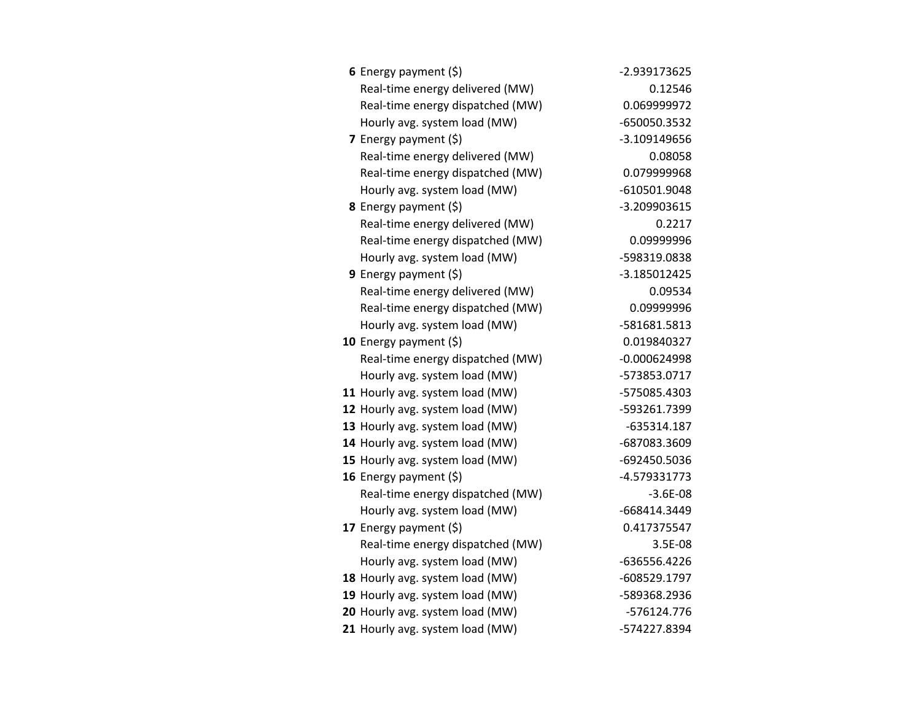| 6 Energy payment $(\xi)$         | -2.939173625   |
|----------------------------------|----------------|
| Real-time energy delivered (MW)  | 0.12546        |
| Real-time energy dispatched (MW) | 0.069999972    |
| Hourly avg. system load (MW)     | -650050.3532   |
| 7 Energy payment $(5)$           | -3.109149656   |
| Real-time energy delivered (MW)  | 0.08058        |
| Real-time energy dispatched (MW) | 0.079999968    |
| Hourly avg. system load (MW)     | -610501.9048   |
| 8 Energy payment (\$)            | -3.209903615   |
| Real-time energy delivered (MW)  | 0.2217         |
| Real-time energy dispatched (MW) | 0.09999996     |
| Hourly avg. system load (MW)     | -598319.0838   |
| 9 Energy payment $(\xi)$         | -3.185012425   |
| Real-time energy delivered (MW)  | 0.09534        |
| Real-time energy dispatched (MW) | 0.09999996     |
| Hourly avg. system load (MW)     | -581681.5813   |
| 10 Energy payment (\$)           | 0.019840327    |
| Real-time energy dispatched (MW) | $-0.000624998$ |
| Hourly avg. system load (MW)     | -573853.0717   |
| 11 Hourly avg. system load (MW)  | -575085.4303   |
| 12 Hourly avg. system load (MW)  | -593261.7399   |
| 13 Hourly avg. system load (MW)  | $-635314.187$  |
| 14 Hourly avg. system load (MW)  | -687083.3609   |
| 15 Hourly avg. system load (MW)  | -692450.5036   |
| 16 Energy payment (\$)           | -4.579331773   |
| Real-time energy dispatched (MW) | $-3.6E-08$     |
| Hourly avg. system load (MW)     | -668414.3449   |
| 17 Energy payment (\$)           | 0.417375547    |
| Real-time energy dispatched (MW) | 3.5E-08        |
| Hourly avg. system load (MW)     | -636556.4226   |
| 18 Hourly avg. system load (MW)  | -608529.1797   |
| 19 Hourly avg. system load (MW)  | -589368.2936   |
| 20 Hourly avg. system load (MW)  | -576124.776    |
| 21 Hourly avg. system load (MW)  | -574227.8394   |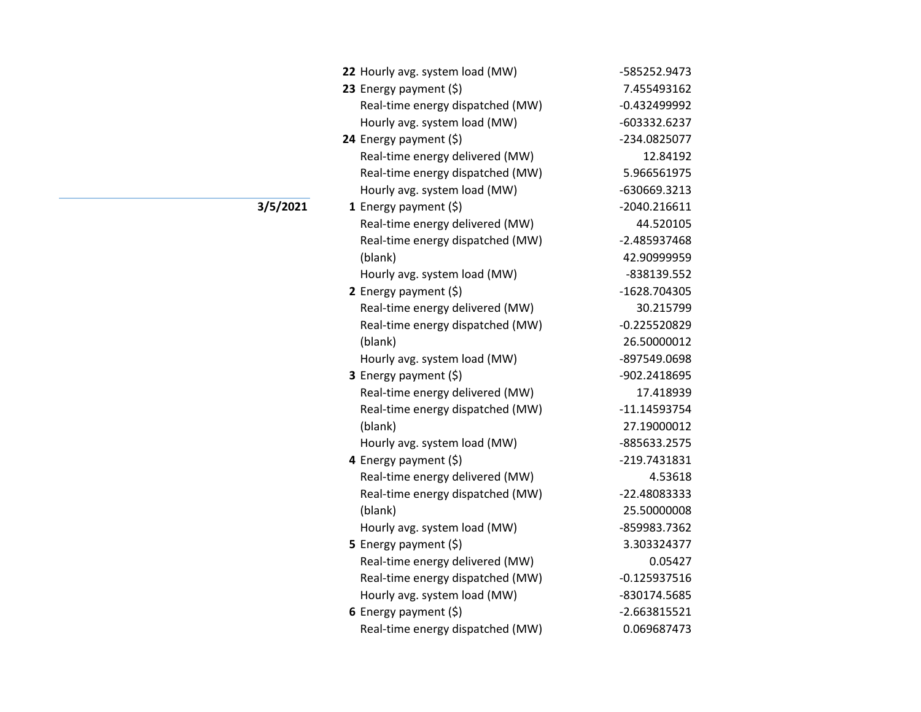| 22 Hourly avg. system load (MW)  | -585252.9473   |
|----------------------------------|----------------|
| 23 Energy payment (\$)           | 7.455493162    |
| Real-time energy dispatched (MW) | $-0.432499992$ |
| Hourly avg. system load (MW)     | -603332.6237   |
| 24 Energy payment (\$)           | -234.0825077   |
| Real-time energy delivered (MW)  | 12.84192       |
| Real-time energy dispatched (MW) | 5.966561975    |
| Hourly avg. system load (MW)     | -630669.3213   |
| 1 Energy payment $(\xi)$         | -2040.216611   |
| Real-time energy delivered (MW)  | 44.520105      |
| Real-time energy dispatched (MW) | -2.485937468   |
| (blank)                          | 42.90999959    |
| Hourly avg. system load (MW)     | -838139.552    |
| 2 Energy payment $(\xi)$         | -1628.704305   |
| Real-time energy delivered (MW)  | 30.215799      |
| Real-time energy dispatched (MW) | $-0.225520829$ |
| (blank)                          | 26.50000012    |
| Hourly avg. system load (MW)     | -897549.0698   |
| 3 Energy payment (\$)            | -902.2418695   |
| Real-time energy delivered (MW)  | 17.418939      |
| Real-time energy dispatched (MW) | $-11.14593754$ |
| (blank)                          | 27.19000012    |
| Hourly avg. system load (MW)     | -885633.2575   |
| 4 Energy payment (\$)            | -219.7431831   |
| Real-time energy delivered (MW)  | 4.53618        |
| Real-time energy dispatched (MW) | -22.48083333   |
| (blank)                          | 25.50000008    |
| Hourly avg. system load (MW)     | -859983.7362   |
| 5 Energy payment $(5)$           | 3.303324377    |
| Real-time energy delivered (MW)  | 0.05427        |
| Real-time energy dispatched (MW) | $-0.125937516$ |
| Hourly avg. system load (MW)     | -830174.5685   |
| 6 Energy payment $(\xi)$         | $-2.663815521$ |
| Real-time energy dispatched (MW) | 0.069687473    |

**3/5/2021**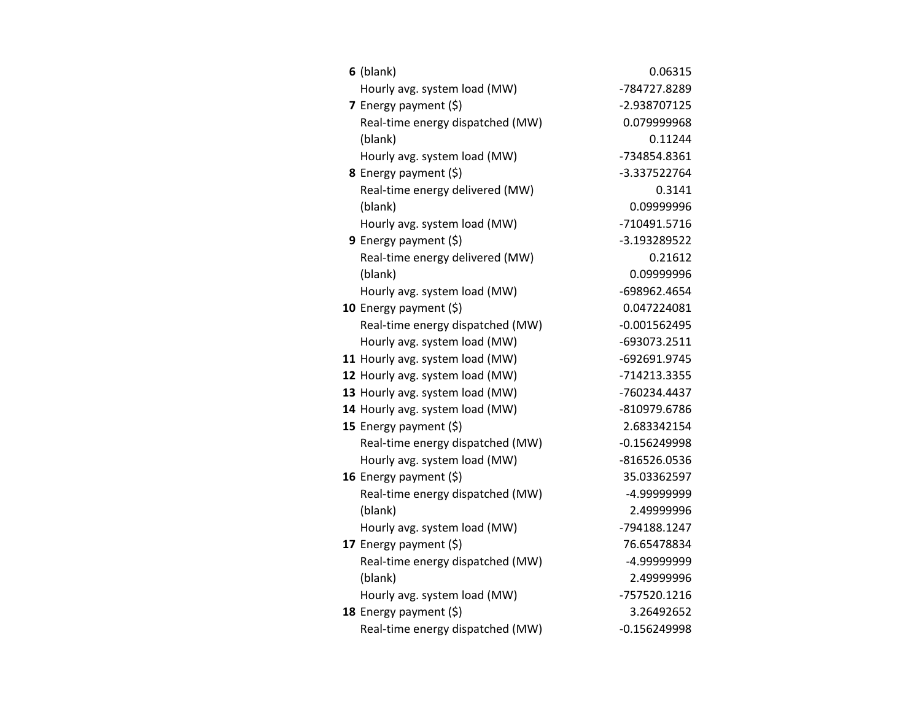| $6$ (blank)                      | 0.06315        |
|----------------------------------|----------------|
| Hourly avg. system load (MW)     | -784727.8289   |
| 7 Energy payment (\$)            | -2.938707125   |
| Real-time energy dispatched (MW) | 0.079999968    |
| (blank)                          | 0.11244        |
| Hourly avg. system load (MW)     | -734854.8361   |
| 8 Energy payment (\$)            | -3.337522764   |
| Real-time energy delivered (MW)  | 0.3141         |
| (blank)                          | 0.09999996     |
| Hourly avg. system load (MW)     | -710491.5716   |
| 9 Energy payment (\$)            | -3.193289522   |
| Real-time energy delivered (MW)  | 0.21612        |
| (blank)                          | 0.09999996     |
| Hourly avg. system load (MW)     | -698962.4654   |
| 10 Energy payment $(5)$          | 0.047224081    |
| Real-time energy dispatched (MW) | $-0.001562495$ |
| Hourly avg. system load (MW)     | -693073.2511   |
| 11 Hourly avg. system load (MW)  | -692691.9745   |
| 12 Hourly avg. system load (MW)  | -714213.3355   |
| 13 Hourly avg. system load (MW)  | -760234.4437   |
| 14 Hourly avg. system load (MW)  | -810979.6786   |
| 15 Energy payment $(\xi)$        | 2.683342154    |
| Real-time energy dispatched (MW) | $-0.156249998$ |
| Hourly avg. system load (MW)     | -816526.0536   |
| 16 Energy payment (\$)           | 35.03362597    |
| Real-time energy dispatched (MW) | -4.99999999    |
| (blank)                          | 2.49999996     |
| Hourly avg. system load (MW)     | -794188.1247   |
| 17 Energy payment (\$)           | 76.65478834    |
| Real-time energy dispatched (MW) | -4.99999999    |
| (blank)                          | 2.49999996     |
| Hourly avg. system load (MW)     | -757520.1216   |
| 18 Energy payment (\$)           | 3.26492652     |
| Real-time energy dispatched (MW) | $-0.156249998$ |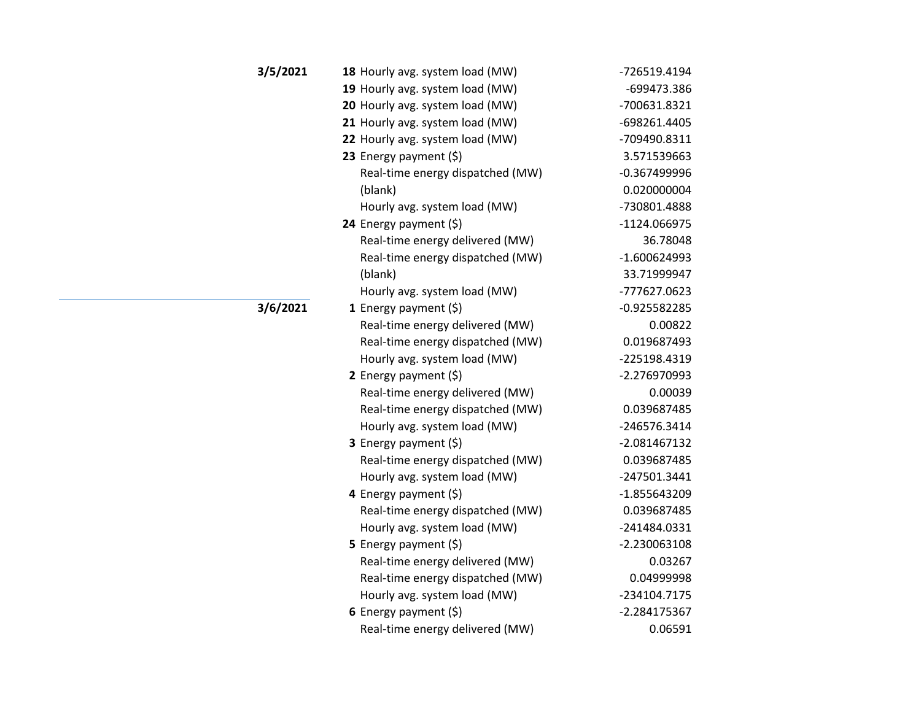| 3/5/2021 | 18 Hourly avg. system load (MW)  | -726519.4194   |
|----------|----------------------------------|----------------|
|          | 19 Hourly avg. system load (MW)  | -699473.386    |
|          | 20 Hourly avg. system load (MW)  | -700631.8321   |
|          | 21 Hourly avg. system load (MW)  | -698261.4405   |
|          | 22 Hourly avg. system load (MW)  | -709490.8311   |
|          | 23 Energy payment $(\xi)$        | 3.571539663    |
|          | Real-time energy dispatched (MW) | $-0.367499996$ |
|          | (blank)                          | 0.020000004    |
|          | Hourly avg. system load (MW)     | -730801.4888   |
|          | 24 Energy payment (\$)           | -1124.066975   |
|          | Real-time energy delivered (MW)  | 36.78048       |
|          | Real-time energy dispatched (MW) | $-1.600624993$ |
|          | (blank)                          | 33.71999947    |
|          | Hourly avg. system load (MW)     | -777627.0623   |
| 3/6/2021 | 1 Energy payment $(\xi)$         | $-0.925582285$ |
|          | Real-time energy delivered (MW)  | 0.00822        |
|          | Real-time energy dispatched (MW) | 0.019687493    |
|          | Hourly avg. system load (MW)     | -225198.4319   |
|          | 2 Energy payment $(\xi)$         | -2.276970993   |
|          | Real-time energy delivered (MW)  | 0.00039        |
|          | Real-time energy dispatched (MW) | 0.039687485    |
|          | Hourly avg. system load (MW)     | -246576.3414   |
|          | 3 Energy payment (\$)            | -2.081467132   |
|          | Real-time energy dispatched (MW) | 0.039687485    |
|          | Hourly avg. system load (MW)     | -247501.3441   |
|          | 4 Energy payment (\$)            | -1.855643209   |
|          | Real-time energy dispatched (MW) | 0.039687485    |
|          | Hourly avg. system load (MW)     | -241484.0331   |
|          | <b>5</b> Energy payment $(\xi)$  | -2.230063108   |
|          | Real-time energy delivered (MW)  | 0.03267        |
|          | Real-time energy dispatched (MW) | 0.04999998     |
|          | Hourly avg. system load (MW)     | -234104.7175   |
|          | 6 Energy payment $(\xi)$         | $-2.284175367$ |
|          | Real-time energy delivered (MW)  | 0.06591        |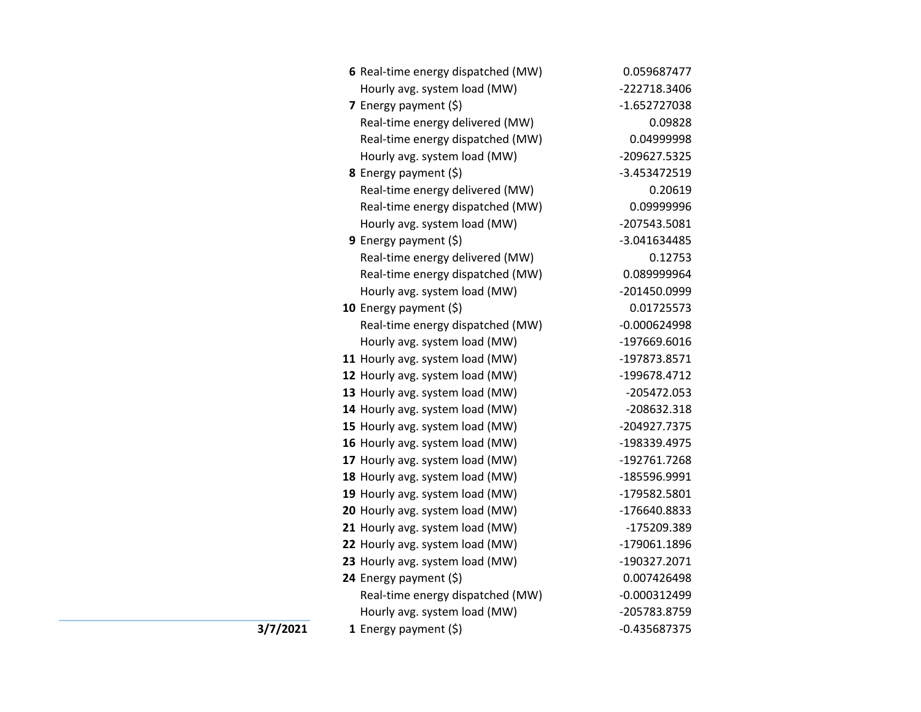| 6 Real-time energy dispatched (MW) | 0.059687477    |
|------------------------------------|----------------|
| Hourly avg. system load (MW)       | -222718.3406   |
| 7 Energy payment (\$)              | -1.652727038   |
| Real-time energy delivered (MW)    | 0.09828        |
| Real-time energy dispatched (MW)   | 0.04999998     |
| Hourly avg. system load (MW)       | -209627.5325   |
| 8 Energy payment (\$)              | -3.453472519   |
| Real-time energy delivered (MW)    | 0.20619        |
| Real-time energy dispatched (MW)   | 0.09999996     |
| Hourly avg. system load (MW)       | -207543.5081   |
| 9 Energy payment (\$)              | -3.041634485   |
| Real-time energy delivered (MW)    | 0.12753        |
| Real-time energy dispatched (MW)   | 0.089999964    |
| Hourly avg. system load (MW)       | -201450.0999   |
| 10 Energy payment (\$)             | 0.01725573     |
| Real-time energy dispatched (MW)   | $-0.000624998$ |
| Hourly avg. system load (MW)       | -197669.6016   |
| 11 Hourly avg. system load (MW)    | -197873.8571   |
| 12 Hourly avg. system load (MW)    | -199678.4712   |
| 13 Hourly avg. system load (MW)    | -205472.053    |
| 14 Hourly avg. system load (MW)    | -208632.318    |
| 15 Hourly avg. system load (MW)    | -204927.7375   |
| 16 Hourly avg. system load (MW)    | -198339.4975   |
| 17 Hourly avg. system load (MW)    | -192761.7268   |
| 18 Hourly avg. system load (MW)    | -185596.9991   |
| 19 Hourly avg. system load (MW)    | -179582.5801   |
| 20 Hourly avg. system load (MW)    | -176640.8833   |
| 21 Hourly avg. system load (MW)    | -175209.389    |
| 22 Hourly avg. system load (MW)    | -179061.1896   |
| 23 Hourly avg. system load (MW)    | -190327.2071   |
| 24 Energy payment (\$)             | 0.007426498    |
| Real-time energy dispatched (MW)   | $-0.000312499$ |
| Hourly avg. system load (MW)       | -205783.8759   |
| 1 Energy payment $(5)$             | $-0.435687375$ |

**3/7/2021**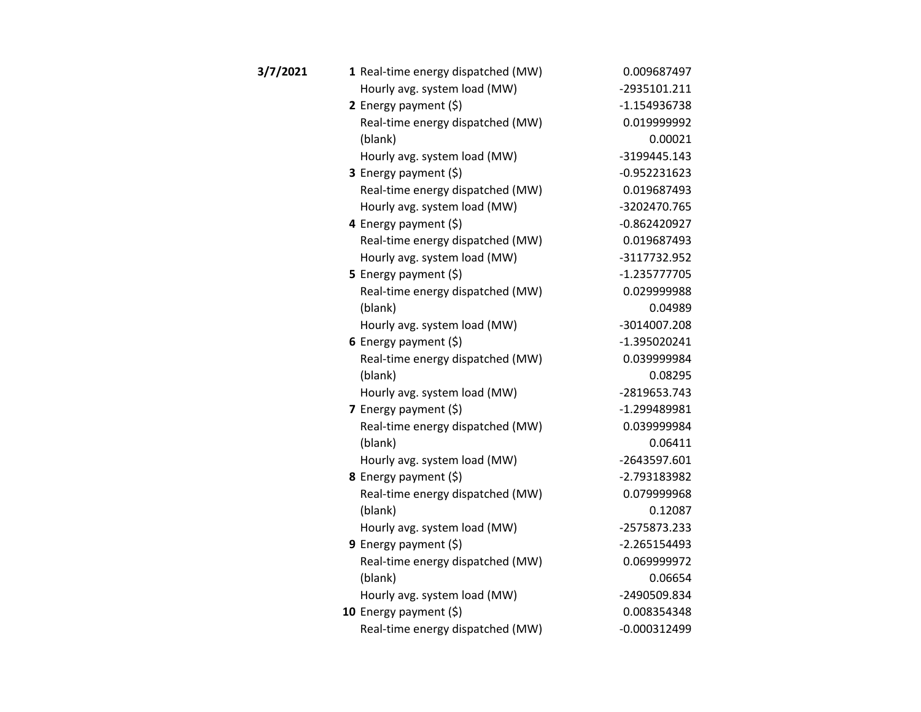| 3/7/2021 | 1 Real-time energy dispatched (MW) | 0.009687497    |
|----------|------------------------------------|----------------|
|          | Hourly avg. system load (MW)       | -2935101.211   |
|          | 2 Energy payment (\$)              | -1.154936738   |
|          | Real-time energy dispatched (MW)   | 0.019999992    |
|          | (blank)                            | 0.00021        |
|          | Hourly avg. system load (MW)       | -3199445.143   |
|          | 3 Energy payment (\$)              | $-0.952231623$ |
|          | Real-time energy dispatched (MW)   | 0.019687493    |
|          | Hourly avg. system load (MW)       | -3202470.765   |
|          | 4 Energy payment (\$)              | $-0.862420927$ |
|          | Real-time energy dispatched (MW)   | 0.019687493    |
|          | Hourly avg. system load (MW)       | -3117732.952   |
|          | 5 Energy payment (\$)              | $-1.235777705$ |
|          | Real-time energy dispatched (MW)   | 0.029999988    |
|          | (blank)                            | 0.04989        |
|          | Hourly avg. system load (MW)       | -3014007.208   |
|          | 6 Energy payment $(5)$             | -1.395020241   |
|          | Real-time energy dispatched (MW)   | 0.039999984    |
|          | (blank)                            | 0.08295        |
|          | Hourly avg. system load (MW)       | -2819653.743   |
|          | 7 Energy payment $(5)$             | -1.299489981   |
|          | Real-time energy dispatched (MW)   | 0.039999984    |
|          | (blank)                            | 0.06411        |
|          | Hourly avg. system load (MW)       | -2643597.601   |
|          | 8 Energy payment (\$)              | -2.793183982   |
|          | Real-time energy dispatched (MW)   | 0.079999968    |
|          | (blank)                            | 0.12087        |
|          | Hourly avg. system load (MW)       | -2575873.233   |
|          | 9 Energy payment (\$)              | $-2.265154493$ |
|          | Real-time energy dispatched (MW)   | 0.069999972    |
|          | (blank)                            | 0.06654        |
|          | Hourly avg. system load (MW)       | -2490509.834   |
|          | 10 Energy payment $(5)$            | 0.008354348    |
|          | Real-time energy dispatched (MW)   | $-0.000312499$ |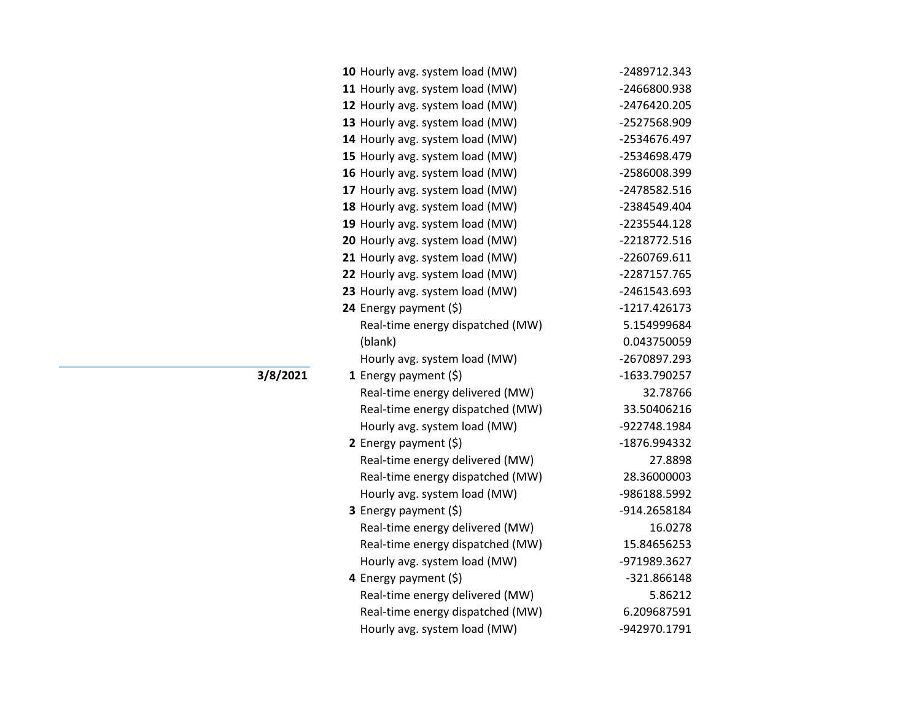| 10 Hourly avg. system load (MW)  | -2489712.343   |
|----------------------------------|----------------|
| 11 Hourly avg. system load (MW)  | -2466800.938   |
| 12 Hourly avg. system load (MW)  | -2476420.205   |
| 13 Hourly avg. system load (MW)  | -2527568.909   |
| 14 Hourly avg. system load (MW)  | -2534676.497   |
| 15 Hourly avg. system load (MW)  | -2534698.479   |
| 16 Hourly avg. system load (MW)  | -2586008.399   |
| 17 Hourly avg. system load (MW)  | -2478582.516   |
| 18 Hourly avg. system load (MW)  | -2384549.404   |
| 19 Hourly avg. system load (MW)  | -2235544.128   |
| 20 Hourly avg. system load (MW)  | -2218772.516   |
| 21 Hourly avg. system load (MW)  | -2260769.611   |
| 22 Hourly avg. system load (MW)  | -2287157.765   |
| 23 Hourly avg. system load (MW)  | -2461543.693   |
| 24 Energy payment (\$)           | $-1217.426173$ |
| Real-time energy dispatched (MW) | 5.154999684    |
| (blank)                          | 0.043750059    |
| Hourly avg. system load (MW)     | -2670897.293   |
| 1 Energy payment $(\xi)$         | -1633.790257   |
| Real-time energy delivered (MW)  | 32.78766       |
| Real-time energy dispatched (MW) | 33.50406216    |
| Hourly avg. system load (MW)     | -922748.1984   |
| 2 Energy payment $(\xi)$         | -1876.994332   |
| Real-time energy delivered (MW)  | 27.8898        |
| Real-time energy dispatched (MW) | 28.36000003    |
| Hourly avg. system load (MW)     | -986188.5992   |
| 3 Energy payment (\$)            | -914.2658184   |
| Real-time energy delivered (MW)  | 16.0278        |
| Real-time energy dispatched (MW) | 15.84656253    |
| Hourly avg. system load (MW)     | -971989.3627   |
| 4 Energy payment (\$)            | -321.866148    |
| Real-time energy delivered (MW)  | 5.86212        |
| Real-time energy dispatched (MW) | 6.209687591    |
| Hourly avg. system load (MW)     | -942970.1791   |

**3/8/2021**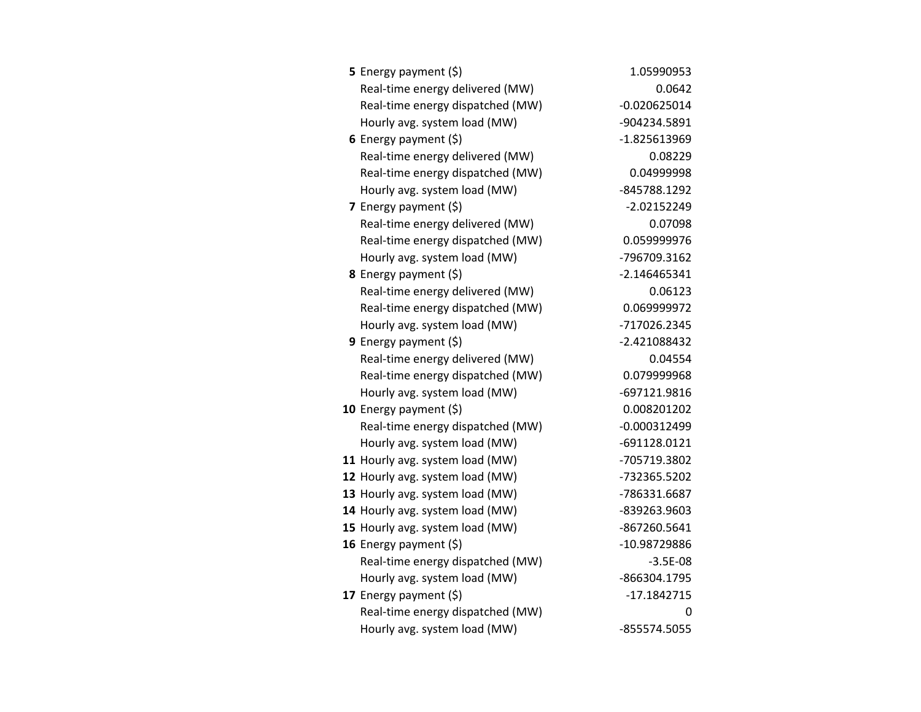| <b>5</b> Energy payment $(\xi)$  | 1.05990953     |
|----------------------------------|----------------|
| Real-time energy delivered (MW)  | 0.0642         |
| Real-time energy dispatched (MW) | $-0.020625014$ |
| Hourly avg. system load (MW)     | -904234.5891   |
| 6 Energy payment $(5)$           | -1.825613969   |
| Real-time energy delivered (MW)  | 0.08229        |
| Real-time energy dispatched (MW) | 0.04999998     |
| Hourly avg. system load (MW)     | -845788.1292   |
| 7 Energy payment $(\xi)$         | $-2.02152249$  |
| Real-time energy delivered (MW)  | 0.07098        |
| Real-time energy dispatched (MW) | 0.059999976    |
| Hourly avg. system load (MW)     | -796709.3162   |
| 8 Energy payment (\$)            | $-2.146465341$ |
| Real-time energy delivered (MW)  | 0.06123        |
| Real-time energy dispatched (MW) | 0.069999972    |
| Hourly avg. system load (MW)     | -717026.2345   |
| 9 Energy payment (\$)            | -2.421088432   |
| Real-time energy delivered (MW)  | 0.04554        |
| Real-time energy dispatched (MW) | 0.079999968    |
| Hourly avg. system load (MW)     | -697121.9816   |
| 10 Energy payment $(\xi)$        | 0.008201202    |
| Real-time energy dispatched (MW) | $-0.000312499$ |
| Hourly avg. system load (MW)     | -691128.0121   |
| 11 Hourly avg. system load (MW)  | -705719.3802   |
| 12 Hourly avg. system load (MW)  | -732365.5202   |
| 13 Hourly avg. system load (MW)  | -786331.6687   |
| 14 Hourly avg. system load (MW)  | -839263.9603   |
| 15 Hourly avg. system load (MW)  | -867260.5641   |
| 16 Energy payment (\$)           | -10.98729886   |
| Real-time energy dispatched (MW) | $-3.5E-08$     |
| Hourly avg. system load (MW)     | -866304.1795   |
| 17 Energy payment (\$)           | $-17.1842715$  |
| Real-time energy dispatched (MW) | 0              |
| Hourly avg. system load (MW)     | -855574.5055   |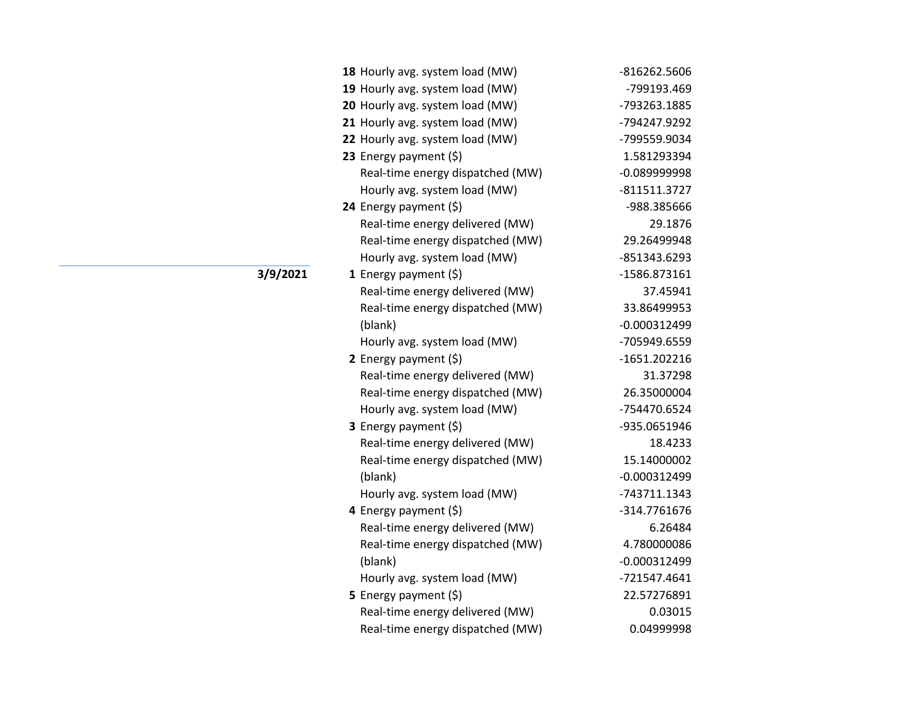| 18 Hourly avg. system load (MW)  | -816262.5606                                                                                                                                                        |
|----------------------------------|---------------------------------------------------------------------------------------------------------------------------------------------------------------------|
| 19 Hourly avg. system load (MW)  | -799193.469                                                                                                                                                         |
| 20 Hourly avg. system load (MW)  | -793263.1885                                                                                                                                                        |
| 21 Hourly avg. system load (MW)  | -794247.9292                                                                                                                                                        |
| 22 Hourly avg. system load (MW)  | -799559.9034                                                                                                                                                        |
| 23 Energy payment (\$)           | 1.581293394                                                                                                                                                         |
| Real-time energy dispatched (MW) | $-0.089999998$                                                                                                                                                      |
| Hourly avg. system load (MW)     | $-811511.3727$                                                                                                                                                      |
| 24 Energy payment (\$)           | -988.385666                                                                                                                                                         |
| Real-time energy delivered (MW)  | 29.1876                                                                                                                                                             |
| Real-time energy dispatched (MW) | 29.26499948                                                                                                                                                         |
| Hourly avg. system load (MW)     | -851343.6293                                                                                                                                                        |
| 1 Energy payment (\$)            | -1586.873161                                                                                                                                                        |
| Real-time energy delivered (MW)  | 37.45941                                                                                                                                                            |
| Real-time energy dispatched (MW) | 33.86499953                                                                                                                                                         |
| (blank)                          | $-0.000312499$                                                                                                                                                      |
| Hourly avg. system load (MW)     | -705949.6559                                                                                                                                                        |
| 2 Energy payment (\$)            | $-1651.202216$                                                                                                                                                      |
| Real-time energy delivered (MW)  | 31.37298                                                                                                                                                            |
| Real-time energy dispatched (MW) | 26.35000004                                                                                                                                                         |
| Hourly avg. system load (MW)     | -754470.6524                                                                                                                                                        |
| 3 Energy payment (\$)            | -935.0651946                                                                                                                                                        |
|                                  | 18.4233                                                                                                                                                             |
| Real-time energy dispatched (MW) | 15.14000002                                                                                                                                                         |
| (blank)                          | $-0.000312499$                                                                                                                                                      |
| Hourly avg. system load (MW)     | -743711.1343                                                                                                                                                        |
|                                  | -314.7761676                                                                                                                                                        |
|                                  | 6.26484                                                                                                                                                             |
|                                  | 4.780000086                                                                                                                                                         |
| (blank)                          | $-0.000312499$                                                                                                                                                      |
| Hourly avg. system load (MW)     | -721547.4641                                                                                                                                                        |
| <b>5</b> Energy payment $(\xi)$  | 22.57276891                                                                                                                                                         |
| Real-time energy delivered (MW)  | 0.03015                                                                                                                                                             |
|                                  | 0.04999998                                                                                                                                                          |
|                                  | Real-time energy delivered (MW)<br>4 Energy payment (\$)<br>Real-time energy delivered (MW)<br>Real-time energy dispatched (MW)<br>Real-time energy dispatched (MW) |

**3/9/2021**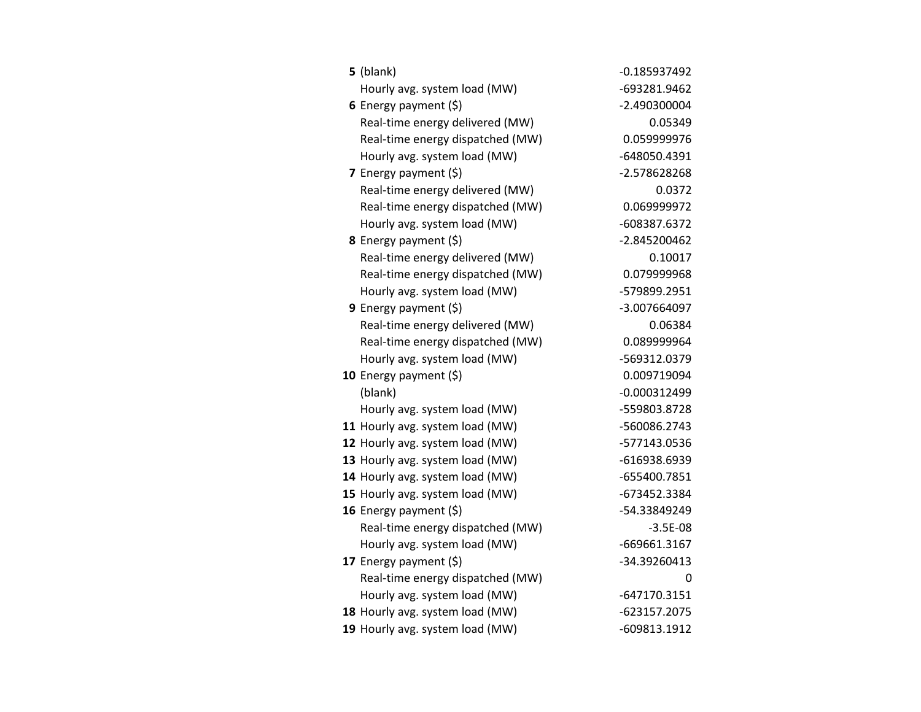| $5$ (blank)                      | $-0.185937492$ |
|----------------------------------|----------------|
| Hourly avg. system load (MW)     | -693281.9462   |
| 6 Energy payment $(\xi)$         | -2.490300004   |
| Real-time energy delivered (MW)  | 0.05349        |
| Real-time energy dispatched (MW) | 0.059999976    |
| Hourly avg. system load (MW)     | -648050.4391   |
| 7 Energy payment $(\xi)$         | -2.578628268   |
| Real-time energy delivered (MW)  | 0.0372         |
| Real-time energy dispatched (MW) | 0.069999972    |
| Hourly avg. system load (MW)     | -608387.6372   |
| 8 Energy payment (\$)            | -2.845200462   |
| Real-time energy delivered (MW)  | 0.10017        |
| Real-time energy dispatched (MW) | 0.079999968    |
| Hourly avg. system load (MW)     | -579899.2951   |
| <b>9</b> Energy payment $(\xi)$  | -3.007664097   |
| Real-time energy delivered (MW)  | 0.06384        |
| Real-time energy dispatched (MW) | 0.089999964    |
| Hourly avg. system load (MW)     | -569312.0379   |
| 10 Energy payment $(\xi)$        | 0.009719094    |
| (blank)                          | $-0.000312499$ |
| Hourly avg. system load (MW)     | -559803.8728   |
| 11 Hourly avg. system load (MW)  | -560086.2743   |
| 12 Hourly avg. system load (MW)  | -577143.0536   |
| 13 Hourly avg. system load (MW)  | -616938.6939   |
| 14 Hourly avg. system load (MW)  | -655400.7851   |
| 15 Hourly avg. system load (MW)  | -673452.3384   |
| 16 Energy payment (\$)           | -54.33849249   |
| Real-time energy dispatched (MW) | $-3.5E-08$     |
| Hourly avg. system load (MW)     | -669661.3167   |
| 17 Energy payment (\$)           | -34.39260413   |
| Real-time energy dispatched (MW) | 0              |
| Hourly avg. system load (MW)     | $-647170.3151$ |
| 18 Hourly avg. system load (MW)  | -623157.2075   |
| 19 Hourly avg. system load (MW)  | -609813.1912   |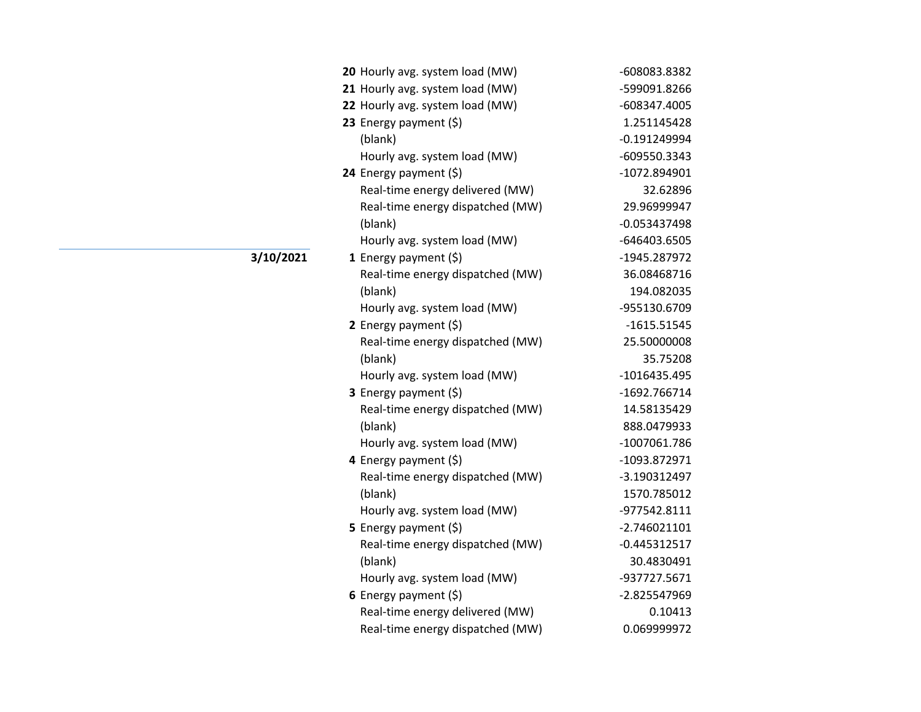| 20 Hourly avg. system load (MW)  | -608083.8382   |
|----------------------------------|----------------|
| 21 Hourly avg. system load (MW)  | -599091.8266   |
| 22 Hourly avg. system load (MW)  | -608347.4005   |
| 23 Energy payment (\$)           | 1.251145428    |
| (blank)                          | $-0.191249994$ |
| Hourly avg. system load (MW)     | -609550.3343   |
| 24 Energy payment (\$)           | -1072.894901   |
| Real-time energy delivered (MW)  | 32.62896       |
| Real-time energy dispatched (MW) | 29.96999947    |
| (blank)                          | $-0.053437498$ |
| Hourly avg. system load (MW)     | -646403.6505   |
| 1 Energy payment $(\xi)$         | -1945.287972   |
| Real-time energy dispatched (MW) | 36.08468716    |
| (blank)                          | 194.082035     |
| Hourly avg. system load (MW)     | -955130.6709   |
| 2 Energy payment $(\xi)$         | $-1615.51545$  |
| Real-time energy dispatched (MW) | 25.50000008    |
| (blank)                          | 35.75208       |
| Hourly avg. system load (MW)     | -1016435.495   |
| 3 Energy payment (\$)            | -1692.766714   |
| Real-time energy dispatched (MW) | 14.58135429    |
| (blank)                          | 888.0479933    |
| Hourly avg. system load (MW)     | -1007061.786   |
| 4 Energy payment (\$)            | -1093.872971   |
| Real-time energy dispatched (MW) | -3.190312497   |
| (blank)                          | 1570.785012    |
| Hourly avg. system load (MW)     | -977542.8111   |
| 5 Energy payment $(\xi)$         | $-2.746021101$ |
| Real-time energy dispatched (MW) | $-0.445312517$ |
| (blank)                          | 30.4830491     |
| Hourly avg. system load (MW)     | -937727.5671   |
| 6 Energy payment $(\xi)$         | -2.825547969   |
| Real-time energy delivered (MW)  | 0.10413        |
| Real-time energy dispatched (MW) | 0.069999972    |

**3/10/2021**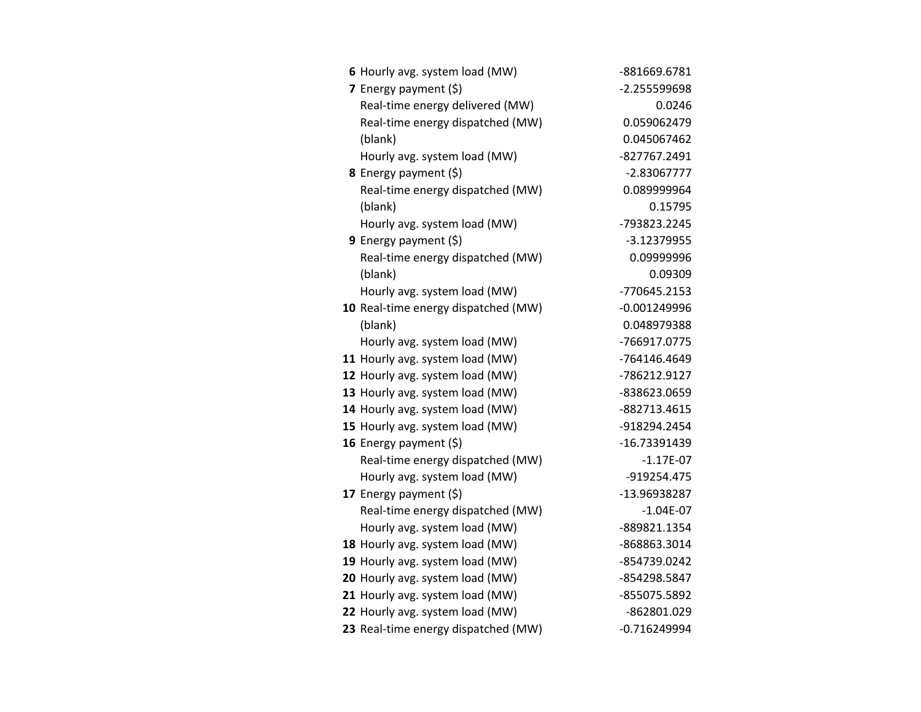| 6 Hourly avg. system load (MW)      | -881669.6781   |
|-------------------------------------|----------------|
| 7 Energy payment $(5)$              | -2.255599698   |
| Real-time energy delivered (MW)     | 0.0246         |
| Real-time energy dispatched (MW)    | 0.059062479    |
| (blank)                             | 0.045067462    |
| Hourly avg. system load (MW)        | -827767.2491   |
| 8 Energy payment (\$)               | $-2.83067777$  |
| Real-time energy dispatched (MW)    | 0.089999964    |
| (blank)                             | 0.15795        |
| Hourly avg. system load (MW)        | -793823.2245   |
| 9 Energy payment (\$)               | -3.12379955    |
| Real-time energy dispatched (MW)    | 0.09999996     |
| (blank)                             | 0.09309        |
| Hourly avg. system load (MW)        | -770645.2153   |
| 10 Real-time energy dispatched (MW) | $-0.001249996$ |
| (blank)                             | 0.048979388    |
| Hourly avg. system load (MW)        | -766917.0775   |
| 11 Hourly avg. system load (MW)     | -764146.4649   |
| 12 Hourly avg. system load (MW)     | -786212.9127   |
| 13 Hourly avg. system load (MW)     | -838623.0659   |
| 14 Hourly avg. system load (MW)     | -882713.4615   |
| 15 Hourly avg. system load (MW)     | -918294.2454   |
| 16 Energy payment $(\xi)$           | -16.73391439   |
| Real-time energy dispatched (MW)    | $-1.17E-07$    |
| Hourly avg. system load (MW)        | -919254.475    |
| 17 Energy payment (\$)              | -13.96938287   |
| Real-time energy dispatched (MW)    | $-1.04E-07$    |
| Hourly avg. system load (MW)        | -889821.1354   |
| 18 Hourly avg. system load (MW)     | -868863.3014   |
| 19 Hourly avg. system load (MW)     | -854739.0242   |
| 20 Hourly avg. system load (MW)     | -854298.5847   |
| 21 Hourly avg. system load (MW)     | -855075.5892   |
| 22 Hourly avg. system load (MW)     | -862801.029    |
| 23 Real-time energy dispatched (MW) | $-0.716249994$ |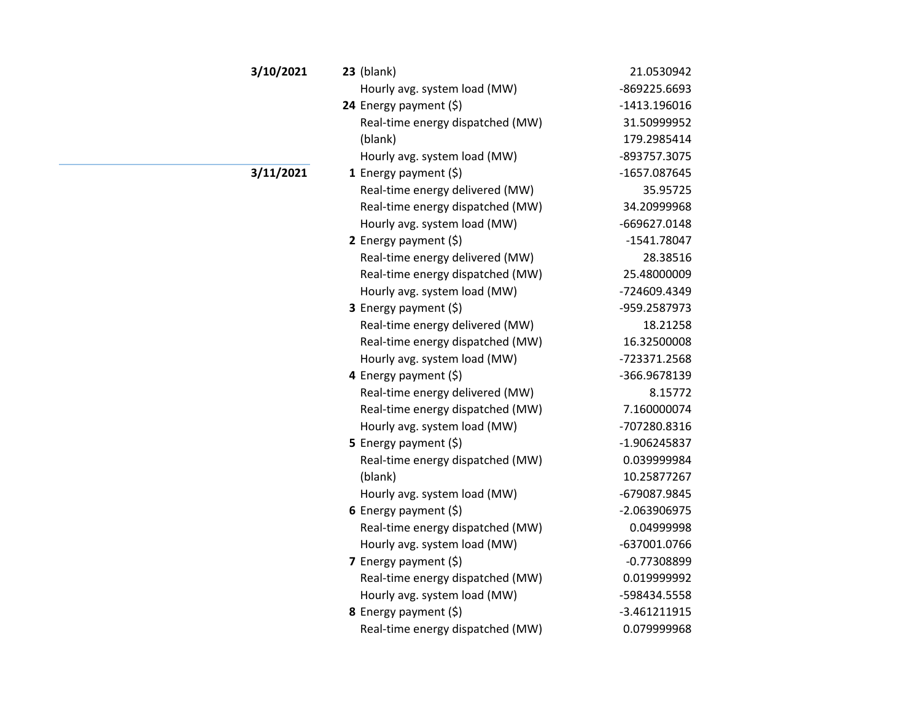| 3/10/2021 | $23$ (blank)                     | 21.0530942    |
|-----------|----------------------------------|---------------|
|           | Hourly avg. system load (MW)     | -869225.6693  |
|           | 24 Energy payment (\$)           | -1413.196016  |
|           | Real-time energy dispatched (MW) | 31.50999952   |
|           | (blank)                          | 179.2985414   |
|           | Hourly avg. system load (MW)     | -893757.3075  |
| 3/11/2021 | 1 Energy payment $(\xi)$         | -1657.087645  |
|           | Real-time energy delivered (MW)  | 35.95725      |
|           | Real-time energy dispatched (MW) | 34.20999968   |
|           | Hourly avg. system load (MW)     | -669627.0148  |
|           | 2 Energy payment $(5)$           | -1541.78047   |
|           | Real-time energy delivered (MW)  | 28.38516      |
|           | Real-time energy dispatched (MW) | 25.48000009   |
|           | Hourly avg. system load (MW)     | -724609.4349  |
|           | <b>3</b> Energy payment $(\xi)$  | -959.2587973  |
|           | Real-time energy delivered (MW)  | 18.21258      |
|           | Real-time energy dispatched (MW) | 16.32500008   |
|           | Hourly avg. system load (MW)     | -723371.2568  |
|           | 4 Energy payment (\$)            | -366.9678139  |
|           | Real-time energy delivered (MW)  | 8.15772       |
|           | Real-time energy dispatched (MW) | 7.160000074   |
|           | Hourly avg. system load (MW)     | -707280.8316  |
|           | 5 Energy payment $(\xi)$         | -1.906245837  |
|           | Real-time energy dispatched (MW) | 0.039999984   |
|           | (blank)                          | 10.25877267   |
|           | Hourly avg. system load (MW)     | -679087.9845  |
|           | 6 Energy payment $(5)$           | -2.063906975  |
|           | Real-time energy dispatched (MW) | 0.04999998    |
|           | Hourly avg. system load (MW)     | -637001.0766  |
|           | 7 Energy payment $(\xi)$         | $-0.77308899$ |
|           | Real-time energy dispatched (MW) | 0.019999992   |
|           | Hourly avg. system load (MW)     | -598434.5558  |
|           | 8 Energy payment (\$)            | -3.461211915  |
|           | Real-time energy dispatched (MW) | 0.079999968   |
|           |                                  |               |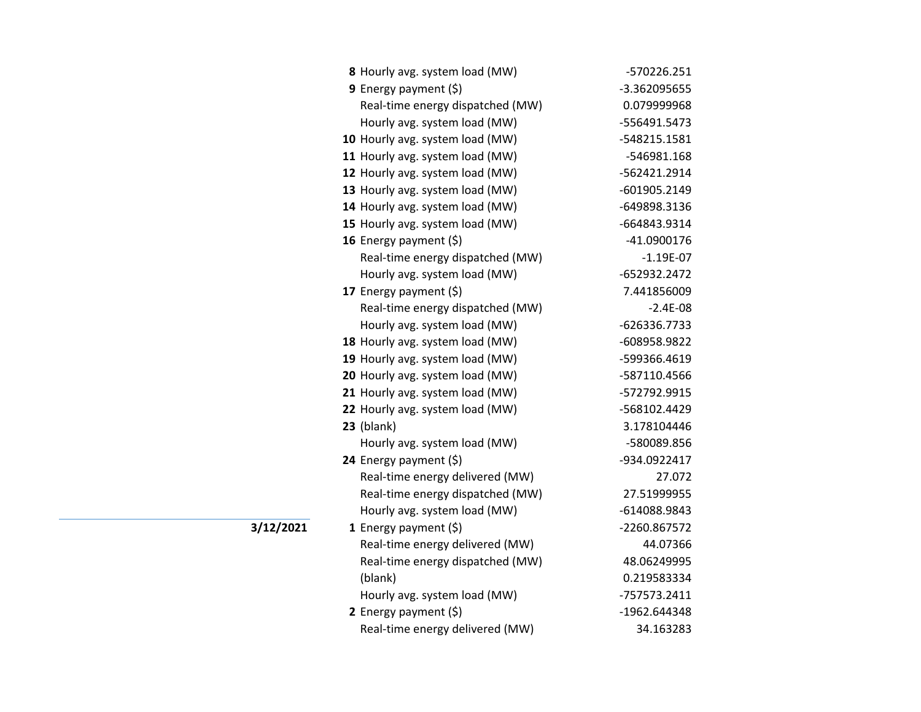| 8 Hourly avg. system load (MW)   | -570226.251  |
|----------------------------------|--------------|
| 9 Energy payment (\$)            | -3.362095655 |
| Real-time energy dispatched (MW) | 0.079999968  |
| Hourly avg. system load (MW)     | -556491.5473 |
| 10 Hourly avg. system load (MW)  | -548215.1581 |
| 11 Hourly avg. system load (MW)  | -546981.168  |
| 12 Hourly avg. system load (MW)  | -562421.2914 |
| 13 Hourly avg. system load (MW)  | -601905.2149 |
| 14 Hourly avg. system load (MW)  | -649898.3136 |
| 15 Hourly avg. system load (MW)  | -664843.9314 |
| 16 Energy payment (\$)           | -41.0900176  |
| Real-time energy dispatched (MW) | $-1.19E-07$  |
| Hourly avg. system load (MW)     | -652932.2472 |
| 17 Energy payment (\$)           | 7.441856009  |
| Real-time energy dispatched (MW) | $-2.4E-08$   |
| Hourly avg. system load (MW)     | -626336.7733 |
| 18 Hourly avg. system load (MW)  | -608958.9822 |
| 19 Hourly avg. system load (MW)  | -599366.4619 |
| 20 Hourly avg. system load (MW)  | -587110.4566 |
| 21 Hourly avg. system load (MW)  | -572792.9915 |
| 22 Hourly avg. system load (MW)  | -568102.4429 |
| 23 (blank)                       | 3.178104446  |
| Hourly avg. system load (MW)     | -580089.856  |
| 24 Energy payment (\$)           | -934.0922417 |
| Real-time energy delivered (MW)  | 27.072       |
| Real-time energy dispatched (MW) | 27.51999955  |
| Hourly avg. system load (MW)     | -614088.9843 |
| 1 Energy payment $(\xi)$         | -2260.867572 |
| Real-time energy delivered (MW)  | 44.07366     |
| Real-time energy dispatched (MW) | 48.06249995  |
| (blank)                          | 0.219583334  |
| Hourly avg. system load (MW)     | -757573.2411 |
| 2 Energy payment (\$)            | -1962.644348 |
| Real-time energy delivered (MW)  | 34.163283    |

**3/12/2021**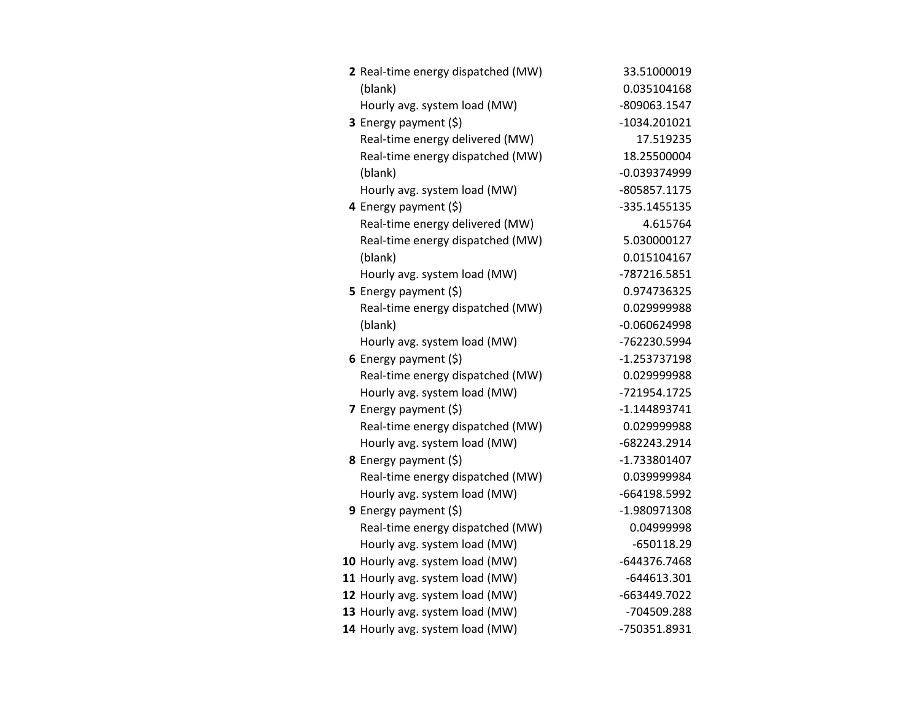| 2 Real-time energy dispatched (MW) | 33.51000019    |
|------------------------------------|----------------|
| (blank)                            | 0.035104168    |
| Hourly avg. system load (MW)       | -809063.1547   |
| 3 Energy payment (\$)              | $-1034.201021$ |
| Real-time energy delivered (MW)    | 17.519235      |
| Real-time energy dispatched (MW)   | 18.25500004    |
| (blank)                            | $-0.039374999$ |
| Hourly avg. system load (MW)       | -805857.1175   |
| 4 Energy payment (\$)              | -335.1455135   |
| Real-time energy delivered (MW)    | 4.615764       |
| Real-time energy dispatched (MW)   | 5.030000127    |
| (blank)                            | 0.015104167    |
| Hourly avg. system load (MW)       | -787216.5851   |
| 5 Energy payment $(\xi)$           | 0.974736325    |
| Real-time energy dispatched (MW)   | 0.029999988    |
| (blank)                            | $-0.060624998$ |
| Hourly avg. system load (MW)       | -762230.5994   |
| 6 Energy payment $(\$)$            | $-1.253737198$ |
| Real-time energy dispatched (MW)   | 0.029999988    |
| Hourly avg. system load (MW)       | -721954.1725   |
| 7 Energy payment $(\xi)$           | $-1.144893741$ |
| Real-time energy dispatched (MW)   | 0.029999988    |
| Hourly avg. system load (MW)       | -682243.2914   |
| 8 Energy payment (\$)              | -1.733801407   |
| Real-time energy dispatched (MW)   | 0.039999984    |
| Hourly avg. system load (MW)       | -664198.5992   |
| <b>9</b> Energy payment $(\xi)$    | -1.980971308   |
| Real-time energy dispatched (MW)   | 0.04999998     |
| Hourly avg. system load (MW)       | $-650118.29$   |
| 10 Hourly avg. system load (MW)    | -644376.7468   |
| 11 Hourly avg. system load (MW)    | $-644613.301$  |
| 12 Hourly avg. system load (MW)    | -663449.7022   |
| 13 Hourly avg. system load (MW)    | -704509.288    |
| 14 Hourly avg. system load (MW)    | -750351.8931   |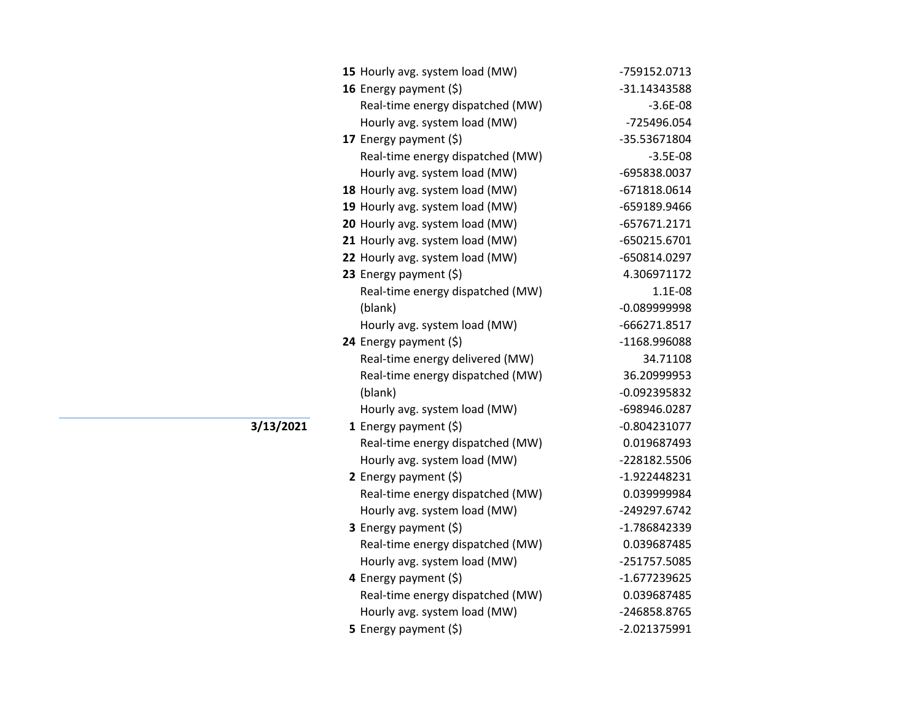| 15 Hourly avg. system load (MW)  | -759152.0713   |
|----------------------------------|----------------|
| 16 Energy payment (\$)           | -31.14343588   |
| Real-time energy dispatched (MW) | $-3.6E-08$     |
| Hourly avg. system load (MW)     | -725496.054    |
| 17 Energy payment (\$)           | -35.53671804   |
| Real-time energy dispatched (MW) | $-3.5E-08$     |
| Hourly avg. system load (MW)     | -695838.0037   |
| 18 Hourly avg. system load (MW)  | -671818.0614   |
| 19 Hourly avg. system load (MW)  | -659189.9466   |
| 20 Hourly avg. system load (MW)  | -657671.2171   |
| 21 Hourly avg. system load (MW)  | -650215.6701   |
| 22 Hourly avg. system load (MW)  | -650814.0297   |
| 23 Energy payment (\$)           | 4.306971172    |
| Real-time energy dispatched (MW) | 1.1E-08        |
| (blank)                          | -0.089999998   |
| Hourly avg. system load (MW)     | -666271.8517   |
| 24 Energy payment (\$)           | -1168.996088   |
| Real-time energy delivered (MW)  | 34.71108       |
| Real-time energy dispatched (MW) | 36.20999953    |
| (blank)                          | -0.092395832   |
| Hourly avg. system load (MW)     | -698946.0287   |
| 1 Energy payment $(\xi)$         | -0.804231077   |
| Real-time energy dispatched (MW) | 0.019687493    |
| Hourly avg. system load (MW)     | -228182.5506   |
| 2 Energy payment $(\xi)$         | $-1.922448231$ |
| Real-time energy dispatched (MW) | 0.039999984    |
| Hourly avg. system load (MW)     | -249297.6742   |
| 3 Energy payment (\$)            | -1.786842339   |
| Real-time energy dispatched (MW) | 0.039687485    |
| Hourly avg. system load (MW)     | -251757.5085   |
| 4 Energy payment (\$)            | -1.677239625   |
| Real-time energy dispatched (MW) | 0.039687485    |
| Hourly avg. system load (MW)     | -246858.8765   |
| 5 Energy payment $(\xi)$         | -2.021375991   |

**3/13/2021**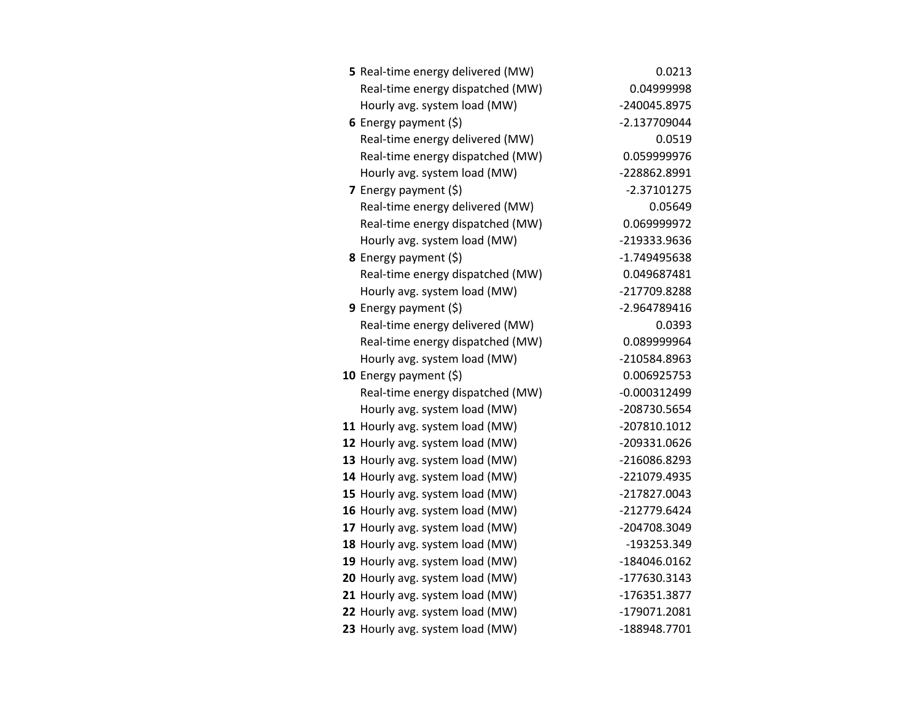| 5 Real-time energy delivered (MW) | 0.0213         |
|-----------------------------------|----------------|
| Real-time energy dispatched (MW)  | 0.04999998     |
| Hourly avg. system load (MW)      | -240045.8975   |
| 6 Energy payment $(5)$            | -2.137709044   |
| Real-time energy delivered (MW)   | 0.0519         |
| Real-time energy dispatched (MW)  | 0.059999976    |
| Hourly avg. system load (MW)      | -228862.8991   |
| 7 Energy payment $(5)$            | $-2.37101275$  |
| Real-time energy delivered (MW)   | 0.05649        |
| Real-time energy dispatched (MW)  | 0.069999972    |
| Hourly avg. system load (MW)      | -219333.9636   |
| 8 Energy payment (\$)             | -1.749495638   |
| Real-time energy dispatched (MW)  | 0.049687481    |
| Hourly avg. system load (MW)      | -217709.8288   |
| <b>9</b> Energy payment $(\xi)$   | -2.964789416   |
| Real-time energy delivered (MW)   | 0.0393         |
| Real-time energy dispatched (MW)  | 0.089999964    |
| Hourly avg. system load (MW)      | -210584.8963   |
| 10 Energy payment $(\xi)$         | 0.006925753    |
| Real-time energy dispatched (MW)  | $-0.000312499$ |
| Hourly avg. system load (MW)      | -208730.5654   |
| 11 Hourly avg. system load (MW)   | -207810.1012   |
| 12 Hourly avg. system load (MW)   | -209331.0626   |
| 13 Hourly avg. system load (MW)   | -216086.8293   |
| 14 Hourly avg. system load (MW)   | -221079.4935   |
| 15 Hourly avg. system load (MW)   | -217827.0043   |
| 16 Hourly avg. system load (MW)   | -212779.6424   |
| 17 Hourly avg. system load (MW)   | -204708.3049   |
| 18 Hourly avg. system load (MW)   | -193253.349    |
| 19 Hourly avg. system load (MW)   | -184046.0162   |
| 20 Hourly avg. system load (MW)   | -177630.3143   |
| 21 Hourly avg. system load (MW)   | -176351.3877   |
| 22 Hourly avg. system load (MW)   | -179071.2081   |
| 23 Hourly avg. system load (MW)   | -188948.7701   |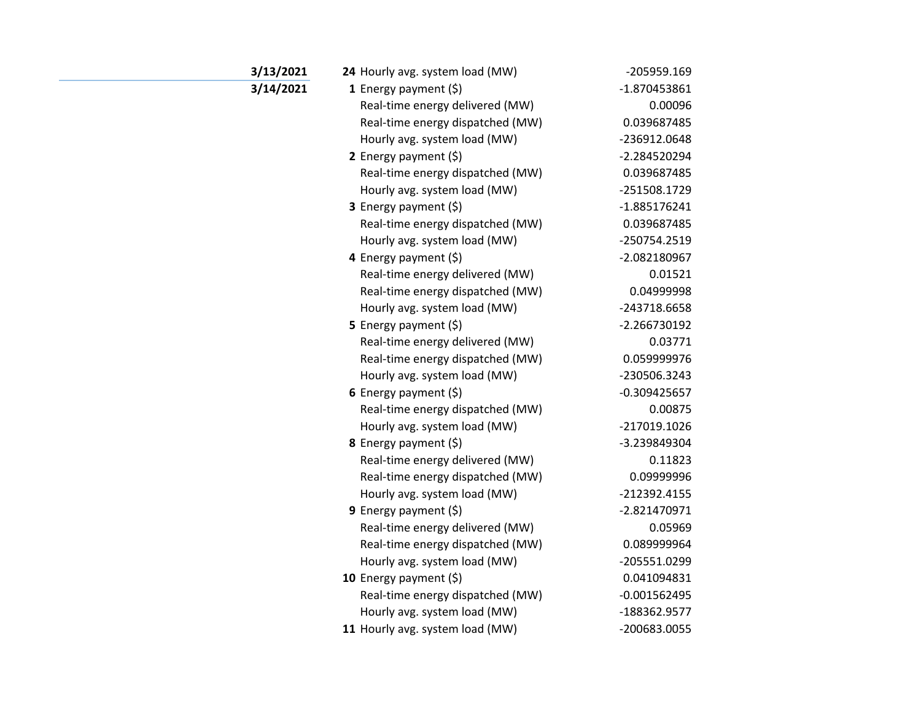| 3/13/2021 | 24 Hourly avg. system load (MW)  | -205959.169    |
|-----------|----------------------------------|----------------|
| 3/14/2021 | 1 Energy payment $(\xi)$         | -1.870453861   |
|           | Real-time energy delivered (MW)  | 0.00096        |
|           | Real-time energy dispatched (MW) | 0.039687485    |
|           | Hourly avg. system load (MW)     | -236912.0648   |
|           | 2 Energy payment (\$)            | -2.284520294   |
|           | Real-time energy dispatched (MW) | 0.039687485    |
|           | Hourly avg. system load (MW)     | -251508.1729   |
|           | 3 Energy payment (\$)            | -1.885176241   |
|           | Real-time energy dispatched (MW) | 0.039687485    |
|           | Hourly avg. system load (MW)     | -250754.2519   |
|           | 4 Energy payment (\$)            | -2.082180967   |
|           | Real-time energy delivered (MW)  | 0.01521        |
|           | Real-time energy dispatched (MW) | 0.04999998     |
|           | Hourly avg. system load (MW)     | -243718.6658   |
|           | 5 Energy payment (\$)            | -2.266730192   |
|           | Real-time energy delivered (MW)  | 0.03771        |
|           | Real-time energy dispatched (MW) | 0.059999976    |
|           | Hourly avg. system load (MW)     | -230506.3243   |
|           | 6 Energy payment $(\xi)$         | $-0.309425657$ |
|           | Real-time energy dispatched (MW) | 0.00875        |
|           | Hourly avg. system load (MW)     | -217019.1026   |
|           | <b>8</b> Energy payment $(\xi)$  | -3.239849304   |
|           | Real-time energy delivered (MW)  | 0.11823        |
|           | Real-time energy dispatched (MW) | 0.09999996     |
|           | Hourly avg. system load (MW)     | -212392.4155   |
|           | 9 Energy payment $(\xi)$         | -2.821470971   |
|           | Real-time energy delivered (MW)  | 0.05969        |
|           | Real-time energy dispatched (MW) | 0.089999964    |
|           | Hourly avg. system load (MW)     | -205551.0299   |
|           | 10 Energy payment $(5)$          | 0.041094831    |
|           | Real-time energy dispatched (MW) | $-0.001562495$ |
|           | Hourly avg. system load (MW)     | -188362.9577   |
|           | 11 Hourly avg. system load (MW)  | -200683.0055   |
|           |                                  |                |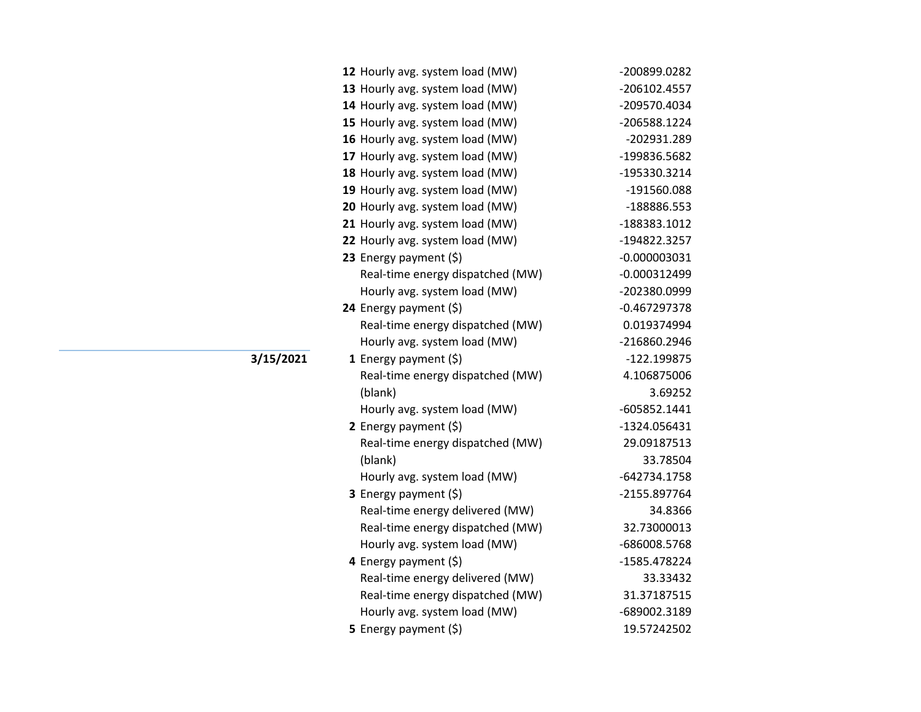| 12 Hourly avg. system load (MW)  | -200899.0282   |
|----------------------------------|----------------|
| 13 Hourly avg. system load (MW)  | -206102.4557   |
| 14 Hourly avg. system load (MW)  | -209570.4034   |
| 15 Hourly avg. system load (MW)  | -206588.1224   |
| 16 Hourly avg. system load (MW)  | -202931.289    |
| 17 Hourly avg. system load (MW)  | -199836.5682   |
| 18 Hourly avg. system load (MW)  | -195330.3214   |
| 19 Hourly avg. system load (MW)  | -191560.088    |
| 20 Hourly avg. system load (MW)  | -188886.553    |
| 21 Hourly avg. system load (MW)  | -188383.1012   |
| 22 Hourly avg. system load (MW)  | -194822.3257   |
| 23 Energy payment (\$)           | $-0.000003031$ |
| Real-time energy dispatched (MW) | $-0.000312499$ |
| Hourly avg. system load (MW)     | -202380.0999   |
| 24 Energy payment (\$)           | $-0.467297378$ |
| Real-time energy dispatched (MW) | 0.019374994    |
| Hourly avg. system load (MW)     | -216860.2946   |
| <b>1</b> Energy payment $(\xi)$  | -122.199875    |
| Real-time energy dispatched (MW) | 4.106875006    |
| (blank)                          | 3.69252        |
| Hourly avg. system load (MW)     | -605852.1441   |
| 2 Energy payment $(5)$           | -1324.056431   |
| Real-time energy dispatched (MW) | 29.09187513    |
| (blank)                          | 33.78504       |
| Hourly avg. system load (MW)     | -642734.1758   |
| 3 Energy payment (\$)            | -2155.897764   |
| Real-time energy delivered (MW)  | 34.8366        |
| Real-time energy dispatched (MW) | 32.73000013    |
| Hourly avg. system load (MW)     | -686008.5768   |
| 4 Energy payment (\$)            | -1585.478224   |
| Real-time energy delivered (MW)  | 33.33432       |
| Real-time energy dispatched (MW) | 31.37187515    |
| Hourly avg. system load (MW)     | -689002.3189   |
| 5 Energy payment (\$)            | 19.57242502    |

**3/15/2021**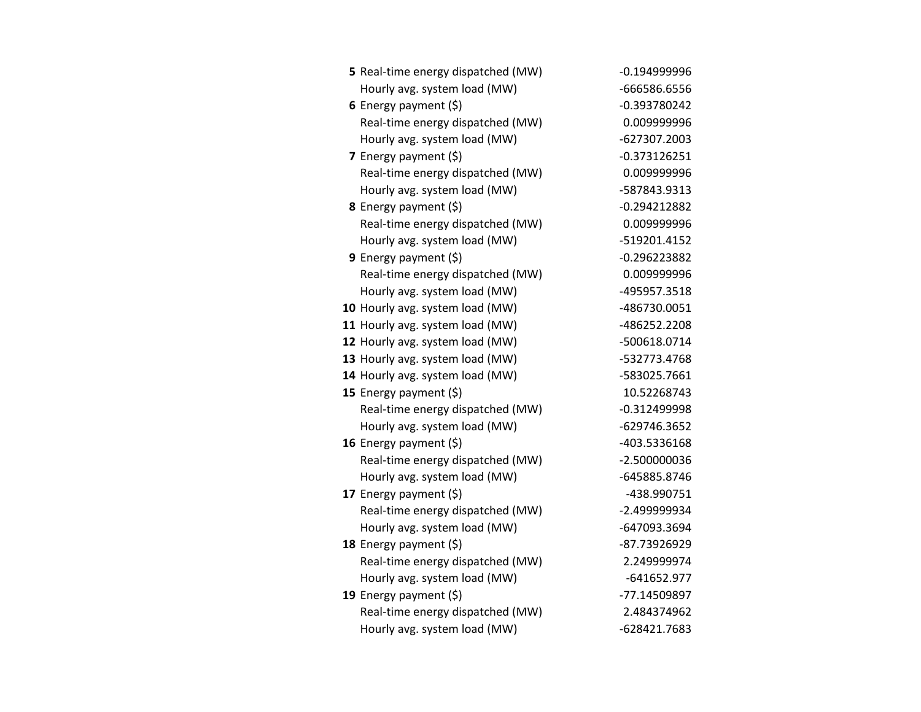| 5 Real-time energy dispatched (MW) | $-0.194999996$ |
|------------------------------------|----------------|
| Hourly avg. system load (MW)       | -666586.6556   |
| 6 Energy payment $(5)$             | $-0.393780242$ |
| Real-time energy dispatched (MW)   | 0.009999996    |
| Hourly avg. system load (MW)       | -627307.2003   |
| 7 Energy payment (\$)              | $-0.373126251$ |
| Real-time energy dispatched (MW)   | 0.009999996    |
| Hourly avg. system load (MW)       | -587843.9313   |
| 8 Energy payment (\$)              | $-0.294212882$ |
| Real-time energy dispatched (MW)   | 0.009999996    |
| Hourly avg. system load (MW)       | -519201.4152   |
| 9 Energy payment $(5)$             | $-0.296223882$ |
| Real-time energy dispatched (MW)   | 0.009999996    |
| Hourly avg. system load (MW)       | -495957.3518   |
| 10 Hourly avg. system load (MW)    | -486730.0051   |
| 11 Hourly avg. system load (MW)    | -486252.2208   |
| 12 Hourly avg. system load (MW)    | -500618.0714   |
| 13 Hourly avg. system load (MW)    | -532773.4768   |
| 14 Hourly avg. system load (MW)    | -583025.7661   |
| 15 Energy payment (\$)             | 10.52268743    |
| Real-time energy dispatched (MW)   | $-0.312499998$ |
| Hourly avg. system load (MW)       | -629746.3652   |
| 16 Energy payment $(\xi)$          | -403.5336168   |
| Real-time energy dispatched (MW)   | $-2.500000036$ |
| Hourly avg. system load (MW)       | -645885.8746   |
| 17 Energy payment (\$)             | -438.990751    |
| Real-time energy dispatched (MW)   | -2.499999934   |
| Hourly avg. system load (MW)       | -647093.3694   |
| 18 Energy payment (\$)             | -87.73926929   |
| Real-time energy dispatched (MW)   | 2.249999974    |
| Hourly avg. system load (MW)       | -641652.977    |
| 19 Energy payment (\$)             | -77.14509897   |
| Real-time energy dispatched (MW)   | 2.484374962    |
| Hourly avg. system load (MW)       | -628421.7683   |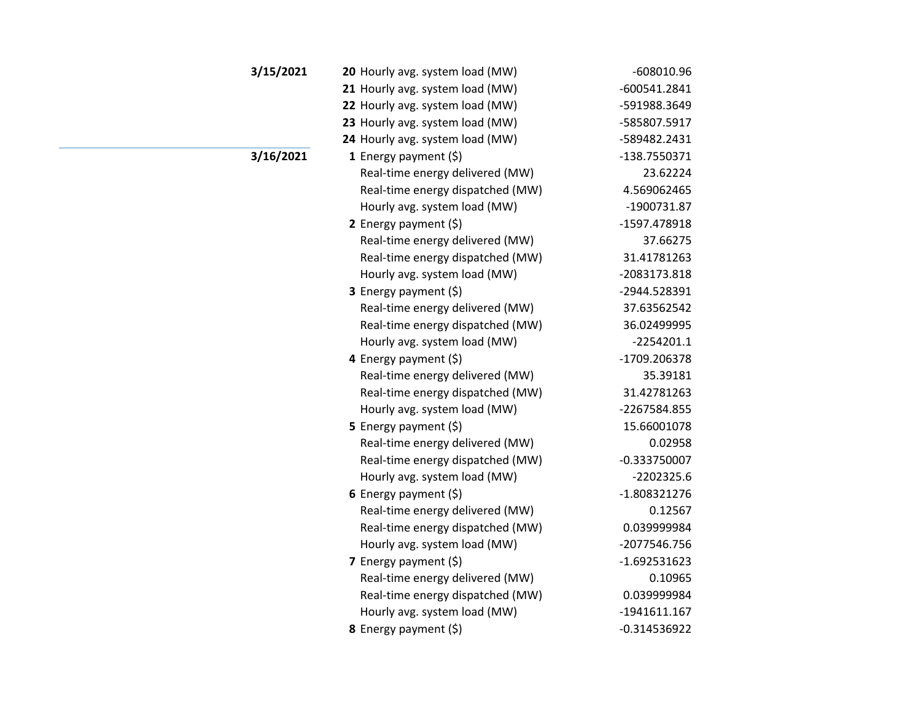| 3/15/2021 | 20 Hourly avg. system load (MW)  | $-608010.96$   |
|-----------|----------------------------------|----------------|
|           | 21 Hourly avg. system load (MW)  | $-600541.2841$ |
|           | 22 Hourly avg. system load (MW)  | -591988.3649   |
|           | 23 Hourly avg. system load (MW)  | -585807.5917   |
|           | 24 Hourly avg. system load (MW)  | -589482.2431   |
| 3/16/2021 | <b>1</b> Energy payment $(\xi)$  | -138.7550371   |
|           | Real-time energy delivered (MW)  | 23.62224       |
|           | Real-time energy dispatched (MW) | 4.569062465    |
|           | Hourly avg. system load (MW)     | -1900731.87    |
|           | 2 Energy payment $(\xi)$         | -1597.478918   |
|           | Real-time energy delivered (MW)  | 37.66275       |
|           | Real-time energy dispatched (MW) | 31.41781263    |
|           | Hourly avg. system load (MW)     | -2083173.818   |
|           | <b>3</b> Energy payment $(\xi)$  | -2944.528391   |
|           | Real-time energy delivered (MW)  | 37.63562542    |
|           | Real-time energy dispatched (MW) | 36.02499995    |
|           | Hourly avg. system load (MW)     | $-2254201.1$   |
|           | 4 Energy payment (\$)            | -1709.206378   |
|           | Real-time energy delivered (MW)  | 35.39181       |
|           | Real-time energy dispatched (MW) | 31.42781263    |
|           | Hourly avg. system load (MW)     | -2267584.855   |
|           | 5 Energy payment $(5)$           | 15.66001078    |
|           | Real-time energy delivered (MW)  | 0.02958        |
|           | Real-time energy dispatched (MW) | $-0.333750007$ |
|           | Hourly avg. system load (MW)     | $-2202325.6$   |
|           | 6 Energy payment $(\xi)$         | $-1.808321276$ |
|           | Real-time energy delivered (MW)  | 0.12567        |
|           | Real-time energy dispatched (MW) | 0.039999984    |
|           | Hourly avg. system load (MW)     | -2077546.756   |
|           | 7 Energy payment $(\xi)$         | $-1.692531623$ |
|           | Real-time energy delivered (MW)  | 0.10965        |
|           | Real-time energy dispatched (MW) | 0.039999984    |
|           | Hourly avg. system load (MW)     | -1941611.167   |
|           | 8 Energy payment (\$)            | $-0.314536922$ |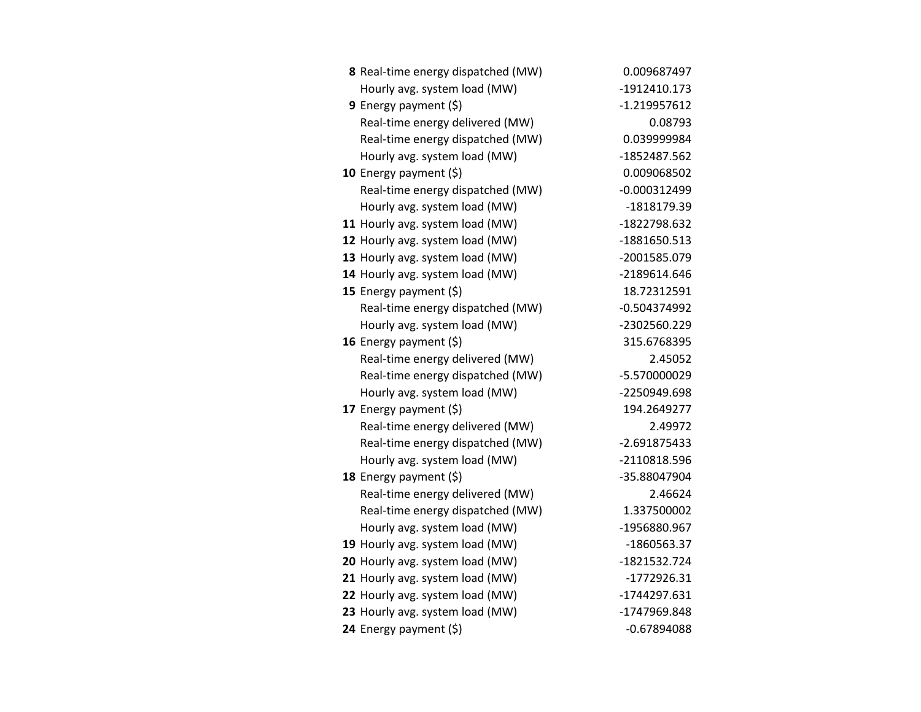| 8 Real-time energy dispatched (MW) | 0.009687497    |
|------------------------------------|----------------|
| Hourly avg. system load (MW)       | $-1912410.173$ |
| 9 Energy payment $(5)$             | $-1.219957612$ |
| Real-time energy delivered (MW)    | 0.08793        |
| Real-time energy dispatched (MW)   | 0.039999984    |
| Hourly avg. system load (MW)       | -1852487.562   |
| 10 Energy payment $(5)$            | 0.009068502    |
| Real-time energy dispatched (MW)   | $-0.000312499$ |
| Hourly avg. system load (MW)       | -1818179.39    |
| 11 Hourly avg. system load (MW)    | -1822798.632   |
| 12 Hourly avg. system load (MW)    | -1881650.513   |
| 13 Hourly avg. system load (MW)    | -2001585.079   |
| 14 Hourly avg. system load (MW)    | -2189614.646   |
| 15 Energy payment (\$)             | 18.72312591    |
| Real-time energy dispatched (MW)   | $-0.504374992$ |
| Hourly avg. system load (MW)       | -2302560.229   |
| 16 Energy payment $(\xi)$          | 315.6768395    |
| Real-time energy delivered (MW)    | 2.45052        |
| Real-time energy dispatched (MW)   | -5.570000029   |
| Hourly avg. system load (MW)       | -2250949.698   |
| 17 Energy payment $(\xi)$          | 194.2649277    |
| Real-time energy delivered (MW)    | 2.49972        |
| Real-time energy dispatched (MW)   | $-2.691875433$ |
| Hourly avg. system load (MW)       | -2110818.596   |
| 18 Energy payment (\$)             | -35.88047904   |
| Real-time energy delivered (MW)    | 2.46624        |
| Real-time energy dispatched (MW)   | 1.337500002    |
| Hourly avg. system load (MW)       | -1956880.967   |
| 19 Hourly avg. system load (MW)    | -1860563.37    |
| 20 Hourly avg. system load (MW)    | -1821532.724   |
| 21 Hourly avg. system load (MW)    | $-1772926.31$  |
| 22 Hourly avg. system load (MW)    | -1744297.631   |
| 23 Hourly avg. system load (MW)    | -1747969.848   |
| 24 Energy payment (\$)             | $-0.67894088$  |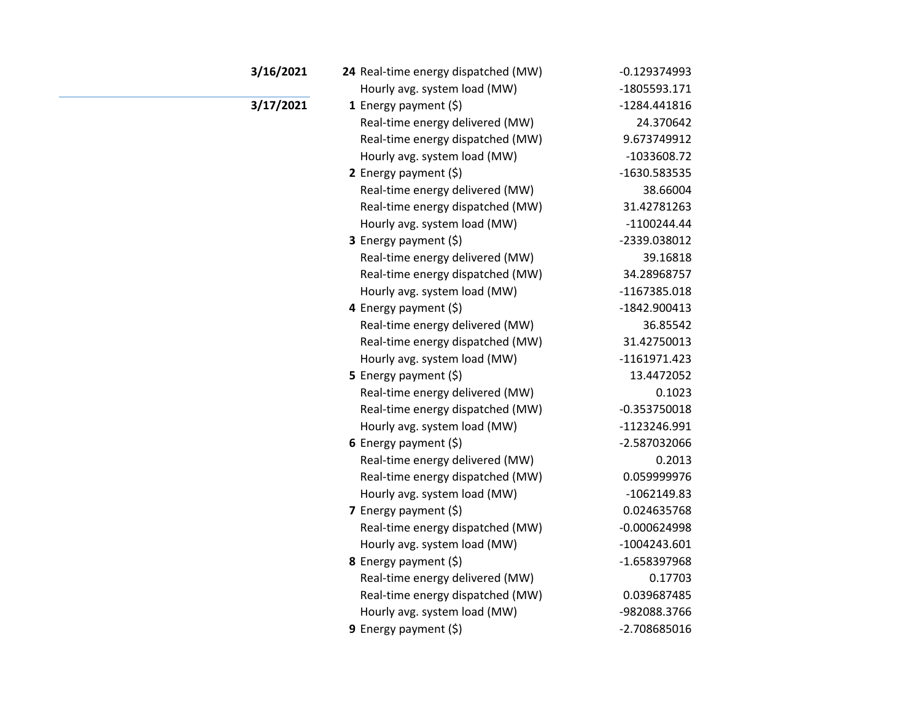| 3/16/2021 | 24 Real-time energy dispatched (MW) | $-0.129374993$ |
|-----------|-------------------------------------|----------------|
|           | Hourly avg. system load (MW)        | -1805593.171   |
| 3/17/2021 | 1 Energy payment $(5)$              | -1284.441816   |
|           | Real-time energy delivered (MW)     | 24.370642      |
|           | Real-time energy dispatched (MW)    | 9.673749912    |
|           | Hourly avg. system load (MW)        | $-1033608.72$  |
|           | 2 Energy payment $(\xi)$            | -1630.583535   |
|           | Real-time energy delivered (MW)     | 38.66004       |
|           | Real-time energy dispatched (MW)    | 31.42781263    |
|           | Hourly avg. system load (MW)        | $-1100244.44$  |
|           | 3 Energy payment (\$)               | -2339.038012   |
|           | Real-time energy delivered (MW)     | 39.16818       |
|           | Real-time energy dispatched (MW)    | 34.28968757    |
|           | Hourly avg. system load (MW)        | -1167385.018   |
|           | 4 Energy payment (\$)               | -1842.900413   |
|           | Real-time energy delivered (MW)     | 36.85542       |
|           | Real-time energy dispatched (MW)    | 31.42750013    |
|           | Hourly avg. system load (MW)        | $-1161971.423$ |
|           | 5 Energy payment (\$)               | 13.4472052     |
|           | Real-time energy delivered (MW)     | 0.1023         |
|           | Real-time energy dispatched (MW)    | $-0.353750018$ |
|           | Hourly avg. system load (MW)        | -1123246.991   |
|           | 6 Energy payment $(5)$              | -2.587032066   |
|           | Real-time energy delivered (MW)     | 0.2013         |
|           | Real-time energy dispatched (MW)    | 0.059999976    |
|           | Hourly avg. system load (MW)        | $-1062149.83$  |
|           | 7 Energy payment $(\xi)$            | 0.024635768    |
|           | Real-time energy dispatched (MW)    | $-0.000624998$ |
|           | Hourly avg. system load (MW)        | $-1004243.601$ |
|           | 8 Energy payment (\$)               | -1.658397968   |
|           | Real-time energy delivered (MW)     | 0.17703        |
|           | Real-time energy dispatched (MW)    | 0.039687485    |
|           | Hourly avg. system load (MW)        | -982088.3766   |
|           | 9 Energy payment (\$)               | -2.708685016   |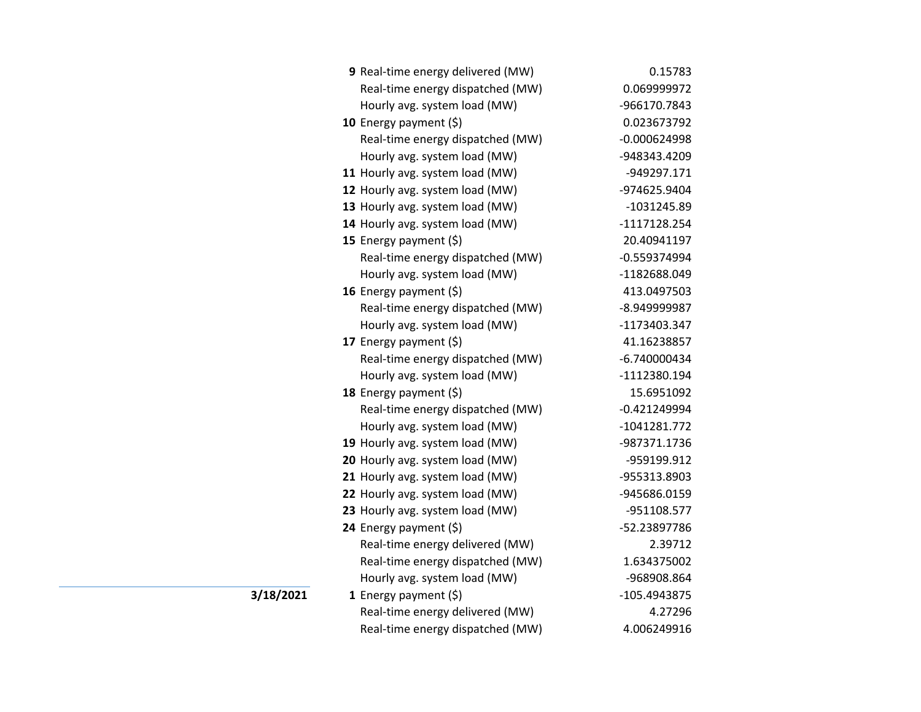| 9 Real-time energy delivered (MW) | 0.15783        |
|-----------------------------------|----------------|
| Real-time energy dispatched (MW)  | 0.069999972    |
| Hourly avg. system load (MW)      | -966170.7843   |
| 10 Energy payment $(5)$           | 0.023673792    |
| Real-time energy dispatched (MW)  | $-0.000624998$ |
| Hourly avg. system load (MW)      | -948343.4209   |
| 11 Hourly avg. system load (MW)   | -949297.171    |
| 12 Hourly avg. system load (MW)   | -974625.9404   |
| 13 Hourly avg. system load (MW)   | -1031245.89    |
| 14 Hourly avg. system load (MW)   | -1117128.254   |
| 15 Energy payment (\$)            | 20.40941197    |
| Real-time energy dispatched (MW)  | $-0.559374994$ |
| Hourly avg. system load (MW)      | -1182688.049   |
| 16 Energy payment $(\xi)$         | 413.0497503    |
| Real-time energy dispatched (MW)  | -8.949999987   |
| Hourly avg. system load (MW)      | -1173403.347   |
| 17 Energy payment (\$)            | 41.16238857    |
| Real-time energy dispatched (MW)  | $-6.740000434$ |
| Hourly avg. system load (MW)      | -1112380.194   |
| 18 Energy payment (\$)            | 15.6951092     |
| Real-time energy dispatched (MW)  | $-0.421249994$ |
| Hourly avg. system load (MW)      | -1041281.772   |
| 19 Hourly avg. system load (MW)   | -987371.1736   |
| 20 Hourly avg. system load (MW)   | -959199.912    |
| 21 Hourly avg. system load (MW)   | -955313.8903   |
| 22 Hourly avg. system load (MW)   | -945686.0159   |
| 23 Hourly avg. system load (MW)   | -951108.577    |
| 24 Energy payment (\$)            | -52.23897786   |
| Real-time energy delivered (MW)   | 2.39712        |
| Real-time energy dispatched (MW)  | 1.634375002    |
| Hourly avg. system load (MW)      | -968908.864    |
| 1 Energy payment $(\xi)$          | -105.4943875   |
| Real-time energy delivered (MW)   | 4.27296        |
| Real-time energy dispatched (MW)  | 4.006249916    |

**3/18/2021**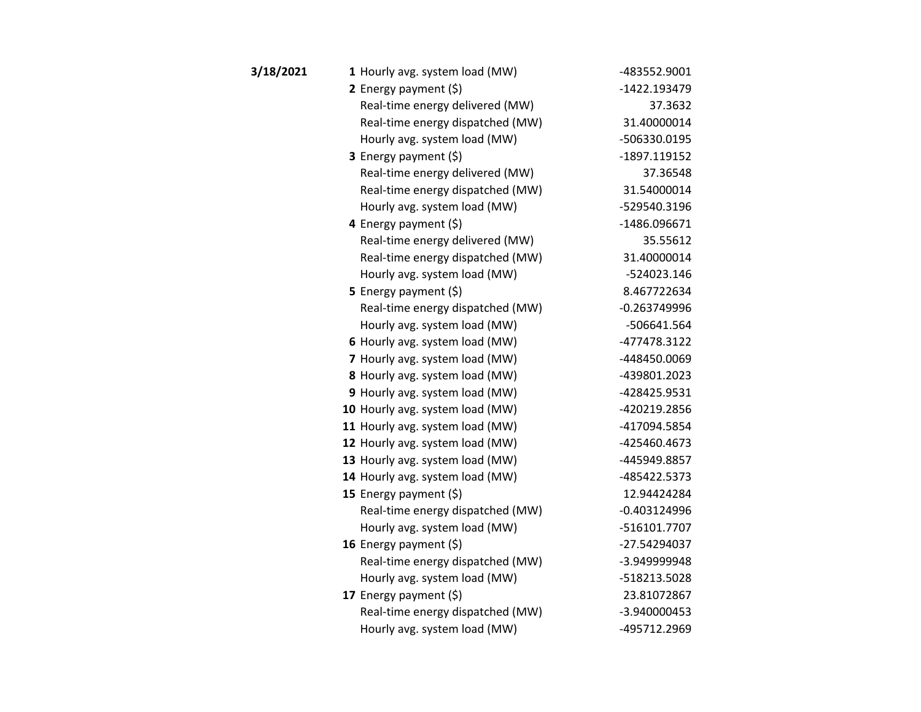| 3/18/2021 | 1 Hourly avg. system load (MW)   | -483552.9001   |
|-----------|----------------------------------|----------------|
|           | 2 Energy payment $(5)$           | -1422.193479   |
|           | Real-time energy delivered (MW)  | 37.3632        |
|           | Real-time energy dispatched (MW) | 31.40000014    |
|           | Hourly avg. system load (MW)     | -506330.0195   |
|           | 3 Energy payment (\$)            | -1897.119152   |
|           | Real-time energy delivered (MW)  | 37.36548       |
|           | Real-time energy dispatched (MW) | 31.54000014    |
|           | Hourly avg. system load (MW)     | -529540.3196   |
|           | 4 Energy payment (\$)            | -1486.096671   |
|           | Real-time energy delivered (MW)  | 35.55612       |
|           | Real-time energy dispatched (MW) | 31.40000014    |
|           | Hourly avg. system load (MW)     | -524023.146    |
|           | 5 Energy payment $(5)$           | 8.467722634    |
|           | Real-time energy dispatched (MW) | $-0.263749996$ |
|           | Hourly avg. system load (MW)     | -506641.564    |
|           | 6 Hourly avg. system load (MW)   | -477478.3122   |
|           | 7 Hourly avg. system load (MW)   | -448450.0069   |
|           | 8 Hourly avg. system load (MW)   | -439801.2023   |
|           | 9 Hourly avg. system load (MW)   | -428425.9531   |
|           | 10 Hourly avg. system load (MW)  | -420219.2856   |
|           | 11 Hourly avg. system load (MW)  | -417094.5854   |
|           | 12 Hourly avg. system load (MW)  | -425460.4673   |
|           | 13 Hourly avg. system load (MW)  | -445949.8857   |
|           | 14 Hourly avg. system load (MW)  | -485422.5373   |
|           | 15 Energy payment (\$)           | 12.94424284    |
|           | Real-time energy dispatched (MW) | $-0.403124996$ |
|           | Hourly avg. system load (MW)     | -516101.7707   |
|           | 16 Energy payment $(\xi)$        | -27.54294037   |
|           | Real-time energy dispatched (MW) | -3.949999948   |
|           | Hourly avg. system load (MW)     | -518213.5028   |
|           | 17 Energy payment (\$)           | 23.81072867    |
|           | Real-time energy dispatched (MW) | -3.940000453   |
|           | Hourly avg. system load (MW)     | -495712.2969   |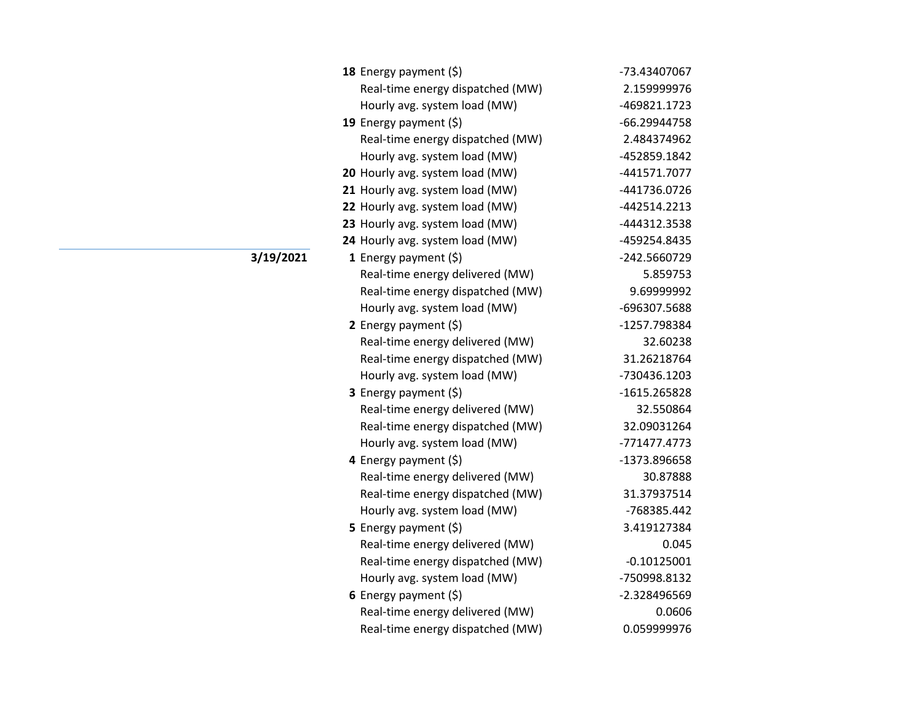| 18 Energy payment (\$)           | -73.43407067  |
|----------------------------------|---------------|
| Real-time energy dispatched (MW) | 2.159999976   |
| Hourly avg. system load (MW)     | -469821.1723  |
| 19 Energy payment (\$)           | -66.29944758  |
| Real-time energy dispatched (MW) | 2.484374962   |
| Hourly avg. system load (MW)     | -452859.1842  |
| 20 Hourly avg. system load (MW)  | -441571.7077  |
| 21 Hourly avg. system load (MW)  | -441736.0726  |
| 22 Hourly avg. system load (MW)  | -442514.2213  |
| 23 Hourly avg. system load (MW)  | -444312.3538  |
| 24 Hourly avg. system load (MW)  | -459254.8435  |
| 1 Energy payment $(\xi)$         | -242.5660729  |
| Real-time energy delivered (MW)  | 5.859753      |
| Real-time energy dispatched (MW) | 9.69999992    |
| Hourly avg. system load (MW)     | -696307.5688  |
| 2 Energy payment $(\xi)$         | -1257.798384  |
| Real-time energy delivered (MW)  | 32.60238      |
| Real-time energy dispatched (MW) | 31.26218764   |
| Hourly avg. system load (MW)     | -730436.1203  |
| 3 Energy payment (\$)            | -1615.265828  |
| Real-time energy delivered (MW)  | 32.550864     |
| Real-time energy dispatched (MW) | 32.09031264   |
| Hourly avg. system load (MW)     | -771477.4773  |
| 4 Energy payment $(\xi)$         | -1373.896658  |
| Real-time energy delivered (MW)  | 30.87888      |
| Real-time energy dispatched (MW) | 31.37937514   |
| Hourly avg. system load (MW)     | -768385.442   |
| <b>5</b> Energy payment $(\xi)$  | 3.419127384   |
| Real-time energy delivered (MW)  | 0.045         |
| Real-time energy dispatched (MW) | $-0.10125001$ |
| Hourly avg. system load (MW)     | -750998.8132  |
| 6 Energy payment $(5)$           | -2.328496569  |
| Real-time energy delivered (MW)  | 0.0606        |
| Real-time energy dispatched (MW) | 0.059999976   |

**3/19/2021**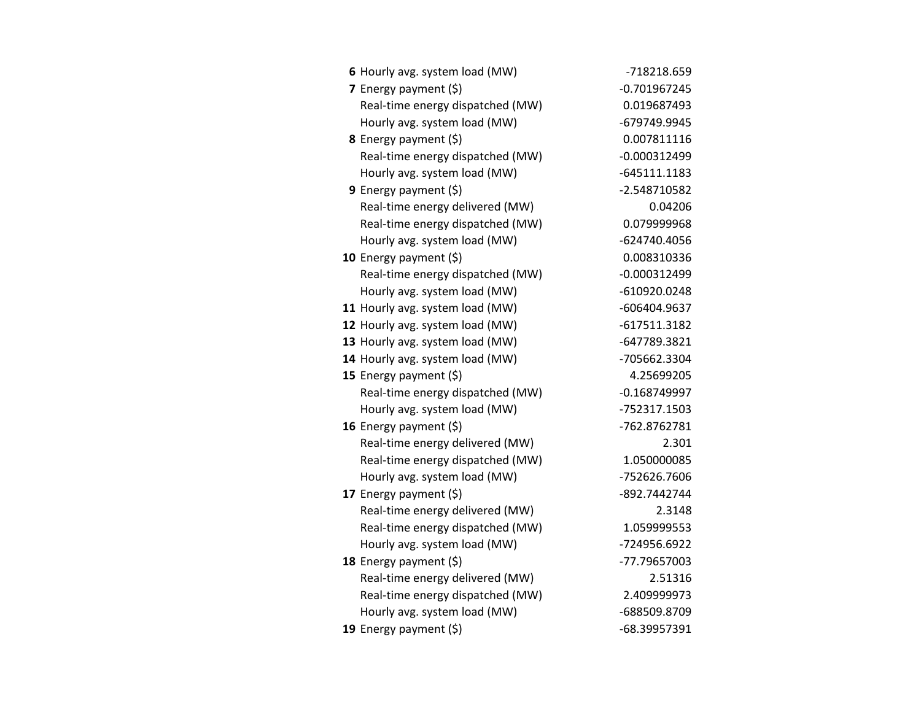| 6 Hourly avg. system load (MW)   | -718218.659    |
|----------------------------------|----------------|
| 7 Energy payment $(\xi)$         | $-0.701967245$ |
| Real-time energy dispatched (MW) | 0.019687493    |
| Hourly avg. system load (MW)     | -679749.9945   |
| 8 Energy payment (\$)            | 0.007811116    |
| Real-time energy dispatched (MW) | $-0.000312499$ |
| Hourly avg. system load (MW)     | $-645111.1183$ |
| 9 Energy payment $(\xi)$         | -2.548710582   |
| Real-time energy delivered (MW)  | 0.04206        |
| Real-time energy dispatched (MW) | 0.079999968    |
| Hourly avg. system load (MW)     | -624740.4056   |
| 10 Energy payment $(5)$          | 0.008310336    |
| Real-time energy dispatched (MW) | $-0.000312499$ |
| Hourly avg. system load (MW)     | -610920.0248   |
| 11 Hourly avg. system load (MW)  | -606404.9637   |
| 12 Hourly avg. system load (MW)  | $-617511.3182$ |
| 13 Hourly avg. system load (MW)  | -647789.3821   |
| 14 Hourly avg. system load (MW)  | -705662.3304   |
| 15 Energy payment $(\xi)$        | 4.25699205     |
| Real-time energy dispatched (MW) | $-0.168749997$ |
| Hourly avg. system load (MW)     | -752317.1503   |
| 16 Energy payment $(\xi)$        | -762.8762781   |
| Real-time energy delivered (MW)  | 2.301          |
| Real-time energy dispatched (MW) | 1.050000085    |
| Hourly avg. system load (MW)     | -752626.7606   |
| 17 Energy payment (\$)           | -892.7442744   |
| Real-time energy delivered (MW)  | 2.3148         |
| Real-time energy dispatched (MW) | 1.059999553    |
| Hourly avg. system load (MW)     | -724956.6922   |
| 18 Energy payment $(\xi)$        | -77.79657003   |
| Real-time energy delivered (MW)  | 2.51316        |
| Real-time energy dispatched (MW) | 2.409999973    |
| Hourly avg. system load (MW)     | -688509.8709   |
| 19 Energy payment (\$)           | -68.39957391   |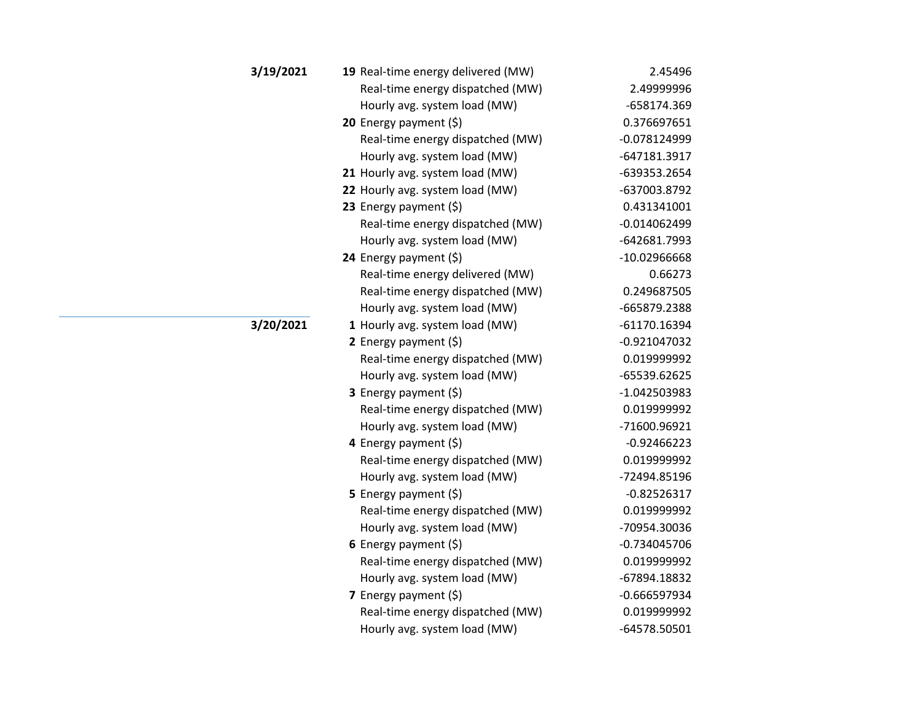| 3/19/2021 | 19 Real-time energy delivered (MW) | 2.45496        |
|-----------|------------------------------------|----------------|
|           | Real-time energy dispatched (MW)   | 2.49999996     |
|           | Hourly avg. system load (MW)       | -658174.369    |
|           | <b>20</b> Energy payment $(\xi)$   | 0.376697651    |
|           | Real-time energy dispatched (MW)   | -0.078124999   |
|           | Hourly avg. system load (MW)       | -647181.3917   |
|           | 21 Hourly avg. system load (MW)    | -639353.2654   |
|           | 22 Hourly avg. system load (MW)    | -637003.8792   |
|           | 23 Energy payment $(\xi)$          | 0.431341001    |
|           | Real-time energy dispatched (MW)   | $-0.014062499$ |
|           | Hourly avg. system load (MW)       | -642681.7993   |
|           | 24 Energy payment (\$)             | -10.02966668   |
|           | Real-time energy delivered (MW)    | 0.66273        |
|           | Real-time energy dispatched (MW)   | 0.249687505    |
|           | Hourly avg. system load (MW)       | -665879.2388   |
| 3/20/2021 | 1 Hourly avg. system load (MW)     | -61170.16394   |
|           | 2 Energy payment $(5)$             | $-0.921047032$ |
|           | Real-time energy dispatched (MW)   | 0.019999992    |
|           | Hourly avg. system load (MW)       | -65539.62625   |
|           | 3 Energy payment (\$)              | -1.042503983   |
|           | Real-time energy dispatched (MW)   | 0.019999992    |
|           | Hourly avg. system load (MW)       | -71600.96921   |
|           | 4 Energy payment (\$)              | $-0.92466223$  |
|           | Real-time energy dispatched (MW)   | 0.019999992    |
|           | Hourly avg. system load (MW)       | -72494.85196   |
|           | 5 Energy payment $(\xi)$           | $-0.82526317$  |
|           | Real-time energy dispatched (MW)   | 0.019999992    |
|           | Hourly avg. system load (MW)       | -70954.30036   |
|           | 6 Energy payment $(5)$             | $-0.734045706$ |
|           | Real-time energy dispatched (MW)   | 0.019999992    |
|           | Hourly avg. system load (MW)       | -67894.18832   |
|           | 7 Energy payment (\$)              | $-0.666597934$ |
|           | Real-time energy dispatched (MW)   | 0.019999992    |
|           | Hourly avg. system load (MW)       | -64578.50501   |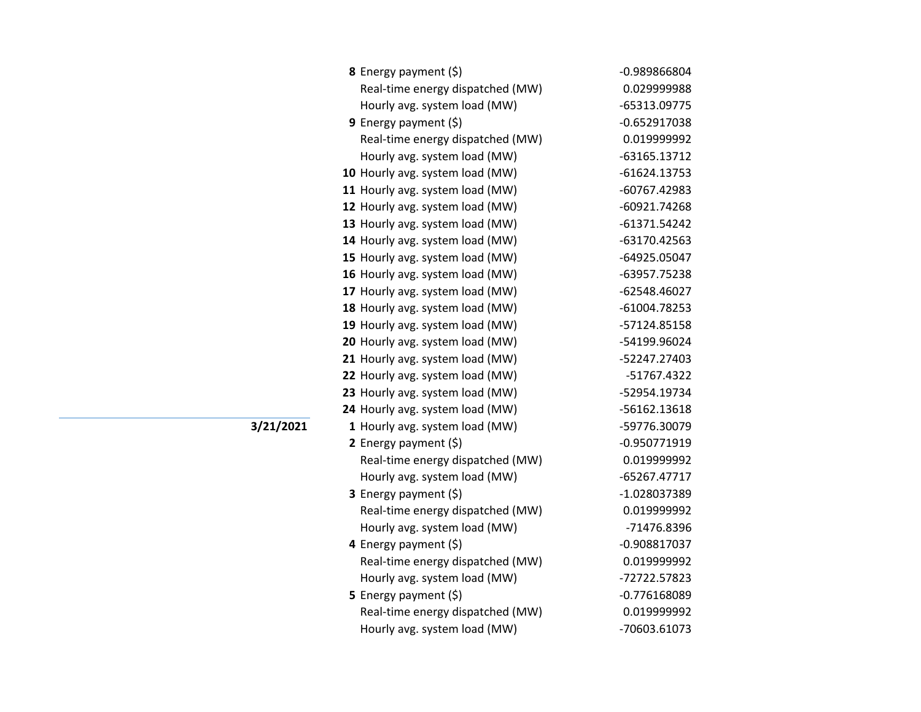| 8 Energy payment (\$)            | -0.989866804   |
|----------------------------------|----------------|
| Real-time energy dispatched (MW) | 0.029999988    |
| Hourly avg. system load (MW)     | -65313.09775   |
| 9 Energy payment (\$)            | $-0.652917038$ |
| Real-time energy dispatched (MW) | 0.019999992    |
| Hourly avg. system load (MW)     | -63165.13712   |
| 10 Hourly avg. system load (MW)  | $-61624.13753$ |
| 11 Hourly avg. system load (MW)  | -60767.42983   |
| 12 Hourly avg. system load (MW)  | -60921.74268   |
| 13 Hourly avg. system load (MW)  | $-61371.54242$ |
| 14 Hourly avg. system load (MW)  | -63170.42563   |
| 15 Hourly avg. system load (MW)  | -64925.05047   |
| 16 Hourly avg. system load (MW)  | -63957.75238   |
| 17 Hourly avg. system load (MW)  | -62548.46027   |
| 18 Hourly avg. system load (MW)  | -61004.78253   |
| 19 Hourly avg. system load (MW)  | -57124.85158   |
| 20 Hourly avg. system load (MW)  | -54199.96024   |
| 21 Hourly avg. system load (MW)  | -52247.27403   |
| 22 Hourly avg. system load (MW)  | -51767.4322    |
| 23 Hourly avg. system load (MW)  | -52954.19734   |
| 24 Hourly avg. system load (MW)  | -56162.13618   |
| 1 Hourly avg. system load (MW)   | -59776.30079   |
| 2 Energy payment $(\xi)$         | $-0.950771919$ |
| Real-time energy dispatched (MW) | 0.019999992    |
| Hourly avg. system load (MW)     | -65267.47717   |
| 3 Energy payment (\$)            | -1.028037389   |
| Real-time energy dispatched (MW) | 0.019999992    |
| Hourly avg. system load (MW)     | -71476.8396    |
| 4 Energy payment (\$)            | $-0.908817037$ |
| Real-time energy dispatched (MW) | 0.019999992    |
| Hourly avg. system load (MW)     | -72722.57823   |
| 5 Energy payment $(\xi)$         | $-0.776168089$ |
| Real-time energy dispatched (MW) | 0.019999992    |
| Hourly avg. system load (MW)     | -70603.61073   |
|                                  |                |

**3/21/2021**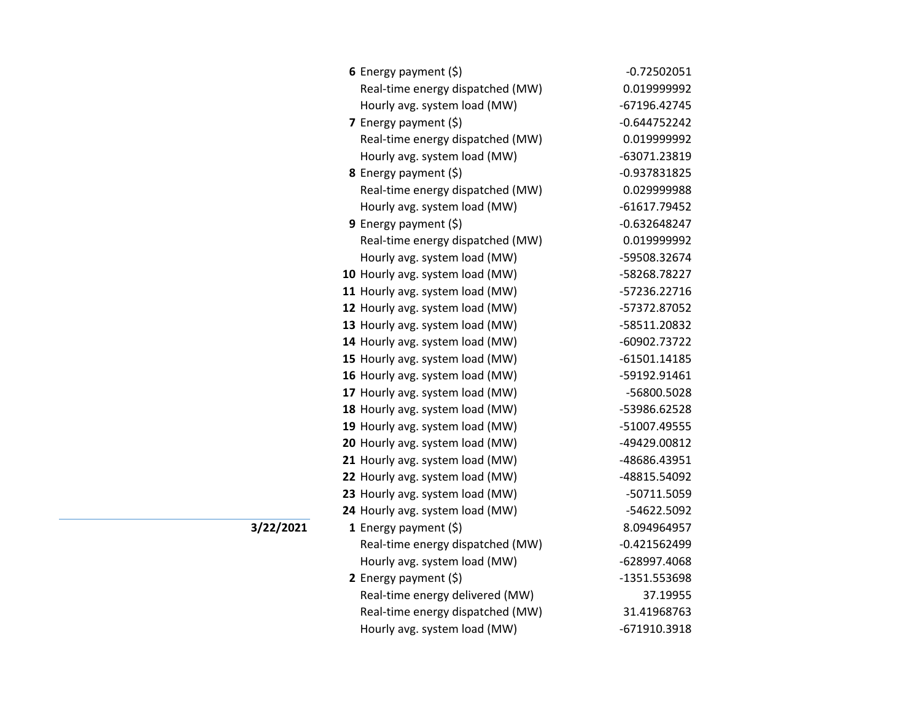| 6 Energy payment $(\xi)$         | $-0.72502051$  |
|----------------------------------|----------------|
| Real-time energy dispatched (MW) | 0.019999992    |
| Hourly avg. system load (MW)     | -67196.42745   |
| 7 Energy payment (\$)            | $-0.644752242$ |
| Real-time energy dispatched (MW) | 0.019999992    |
| Hourly avg. system load (MW)     | -63071.23819   |
| 8 Energy payment (\$)            | $-0.937831825$ |
| Real-time energy dispatched (MW) | 0.029999988    |
| Hourly avg. system load (MW)     | -61617.79452   |
| <b>9</b> Energy payment $(\xi)$  | $-0.632648247$ |
| Real-time energy dispatched (MW) | 0.019999992    |
| Hourly avg. system load (MW)     | -59508.32674   |
| 10 Hourly avg. system load (MW)  | -58268.78227   |
| 11 Hourly avg. system load (MW)  | -57236.22716   |
| 12 Hourly avg. system load (MW)  | -57372.87052   |
| 13 Hourly avg. system load (MW)  | -58511.20832   |
| 14 Hourly avg. system load (MW)  | -60902.73722   |
| 15 Hourly avg. system load (MW)  | $-61501.14185$ |
| 16 Hourly avg. system load (MW)  | -59192.91461   |
| 17 Hourly avg. system load (MW)  | -56800.5028    |
| 18 Hourly avg. system load (MW)  | -53986.62528   |
| 19 Hourly avg. system load (MW)  | -51007.49555   |
| 20 Hourly avg. system load (MW)  | -49429.00812   |
| 21 Hourly avg. system load (MW)  | -48686.43951   |
| 22 Hourly avg. system load (MW)  | -48815.54092   |
| 23 Hourly avg. system load (MW)  | -50711.5059    |
| 24 Hourly avg. system load (MW)  | -54622.5092    |
| <b>1</b> Energy payment $(\xi)$  | 8.094964957    |
| Real-time energy dispatched (MW) | $-0.421562499$ |
| Hourly avg. system load (MW)     | -628997.4068   |
| 2 Energy payment $(\xi)$         | -1351.553698   |
| Real-time energy delivered (MW)  | 37.19955       |
| Real-time energy dispatched (MW) | 31.41968763    |
| Hourly avg. system load (MW)     | -671910.3918   |

**3/22/2021**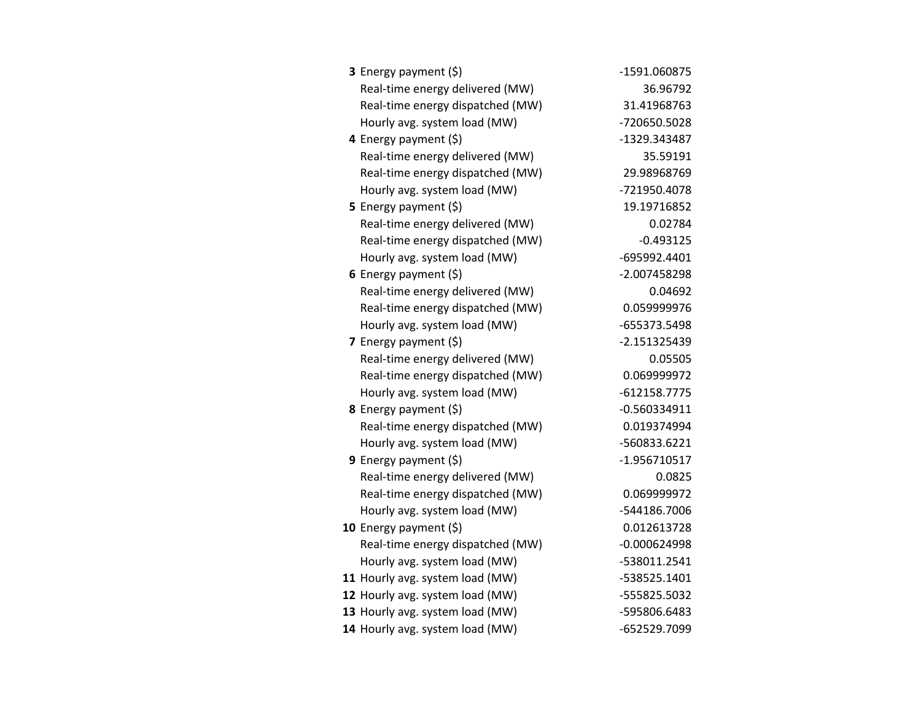| 3 Energy payment (\$)            | -1591.060875   |
|----------------------------------|----------------|
| Real-time energy delivered (MW)  | 36.96792       |
| Real-time energy dispatched (MW) | 31.41968763    |
| Hourly avg. system load (MW)     | -720650.5028   |
| 4 Energy payment (\$)            | -1329.343487   |
| Real-time energy delivered (MW)  | 35.59191       |
| Real-time energy dispatched (MW) | 29.98968769    |
| Hourly avg. system load (MW)     | -721950.4078   |
| 5 Energy payment $(\xi)$         | 19.19716852    |
| Real-time energy delivered (MW)  | 0.02784        |
| Real-time energy dispatched (MW) | $-0.493125$    |
| Hourly avg. system load (MW)     | -695992.4401   |
| 6 Energy payment $(\xi)$         | -2.007458298   |
| Real-time energy delivered (MW)  | 0.04692        |
| Real-time energy dispatched (MW) | 0.059999976    |
| Hourly avg. system load (MW)     | -655373.5498   |
| <b>7</b> Energy payment $(\xi)$  | $-2.151325439$ |
| Real-time energy delivered (MW)  | 0.05505        |
| Real-time energy dispatched (MW) | 0.069999972    |
| Hourly avg. system load (MW)     | $-612158.7775$ |
| 8 Energy payment (\$)            | $-0.560334911$ |
| Real-time energy dispatched (MW) | 0.019374994    |
| Hourly avg. system load (MW)     | -560833.6221   |
| <b>9</b> Energy payment $(\xi)$  | -1.956710517   |
| Real-time energy delivered (MW)  | 0.0825         |
| Real-time energy dispatched (MW) | 0.069999972    |
| Hourly avg. system load (MW)     | -544186.7006   |
| 10 Energy payment $(\xi)$        | 0.012613728    |
| Real-time energy dispatched (MW) | $-0.000624998$ |
| Hourly avg. system load (MW)     | -538011.2541   |
| 11 Hourly avg. system load (MW)  | -538525.1401   |
| 12 Hourly avg. system load (MW)  | -555825.5032   |
| 13 Hourly avg. system load (MW)  | -595806.6483   |
| 14 Hourly avg. system load (MW)  | -652529.7099   |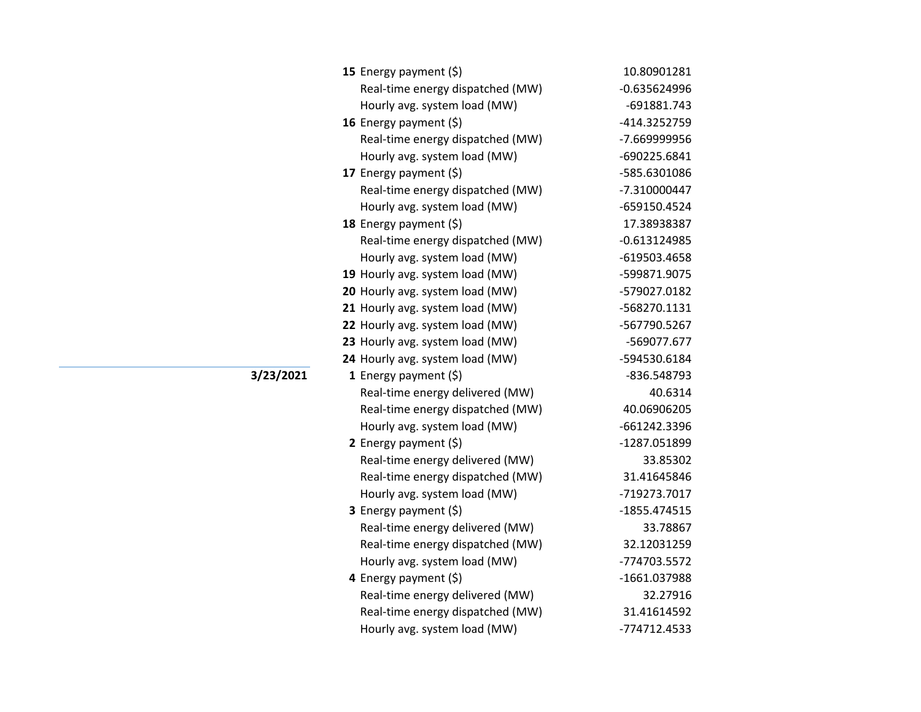| 15 Energy payment $(\xi)$        | 10.80901281    |
|----------------------------------|----------------|
| Real-time energy dispatched (MW) | $-0.635624996$ |
| Hourly avg. system load (MW)     | -691881.743    |
| 16 Energy payment $(\xi)$        | -414.3252759   |
| Real-time energy dispatched (MW) | -7.669999956   |
| Hourly avg. system load (MW)     | -690225.6841   |
| 17 Energy payment (\$)           | -585.6301086   |
| Real-time energy dispatched (MW) | -7.310000447   |
| Hourly avg. system load (MW)     | -659150.4524   |
| 18 Energy payment (\$)           | 17.38938387    |
| Real-time energy dispatched (MW) | $-0.613124985$ |
| Hourly avg. system load (MW)     | -619503.4658   |
| 19 Hourly avg. system load (MW)  | -599871.9075   |
| 20 Hourly avg. system load (MW)  | -579027.0182   |
| 21 Hourly avg. system load (MW)  | -568270.1131   |
| 22 Hourly avg. system load (MW)  | -567790.5267   |
| 23 Hourly avg. system load (MW)  | -569077.677    |
| 24 Hourly avg. system load (MW)  | -594530.6184   |
| 1 Energy payment $(\xi)$         | -836.548793    |
| Real-time energy delivered (MW)  | 40.6314        |
| Real-time energy dispatched (MW) | 40.06906205    |
| Hourly avg. system load (MW)     | -661242.3396   |
| 2 Energy payment $(5)$           | -1287.051899   |
| Real-time energy delivered (MW)  | 33.85302       |
| Real-time energy dispatched (MW) | 31.41645846    |
| Hourly avg. system load (MW)     | -719273.7017   |
| 3 Energy payment (\$)            | -1855.474515   |
| Real-time energy delivered (MW)  | 33.78867       |
| Real-time energy dispatched (MW) | 32.12031259    |
| Hourly avg. system load (MW)     | -774703.5572   |
| 4 Energy payment (\$)            | -1661.037988   |
| Real-time energy delivered (MW)  | 32.27916       |
| Real-time energy dispatched (MW) | 31.41614592    |
| Hourly avg. system load (MW)     | -774712.4533   |

**3/23/2021**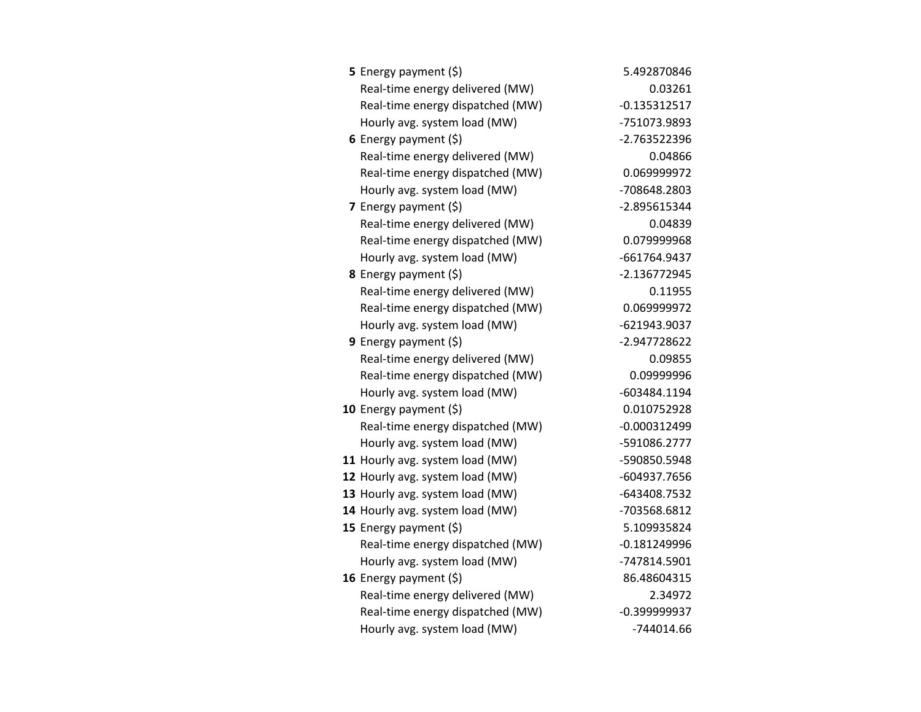| <b>5</b> Energy payment $(\xi)$  | 5.492870846    |
|----------------------------------|----------------|
| Real-time energy delivered (MW)  | 0.03261        |
| Real-time energy dispatched (MW) | $-0.135312517$ |
| Hourly avg. system load (MW)     | -751073.9893   |
| 6 Energy payment $(\xi)$         | -2.763522396   |
| Real-time energy delivered (MW)  | 0.04866        |
| Real-time energy dispatched (MW) | 0.069999972    |
| Hourly avg. system load (MW)     | -708648.2803   |
| 7 Energy payment $(5)$           | -2.895615344   |
| Real-time energy delivered (MW)  | 0.04839        |
| Real-time energy dispatched (MW) | 0.079999968    |
| Hourly avg. system load (MW)     | -661764.9437   |
| <b>8</b> Energy payment $(\xi)$  | $-2.136772945$ |
| Real-time energy delivered (MW)  | 0.11955        |
| Real-time energy dispatched (MW) | 0.069999972    |
| Hourly avg. system load (MW)     | -621943.9037   |
| <b>9</b> Energy payment $(\xi)$  | -2.947728622   |
| Real-time energy delivered (MW)  | 0.09855        |
| Real-time energy dispatched (MW) | 0.09999996     |
| Hourly avg. system load (MW)     | -603484.1194   |
| 10 Energy payment (\$)           | 0.010752928    |
| Real-time energy dispatched (MW) | $-0.000312499$ |
| Hourly avg. system load (MW)     | -591086.2777   |
| 11 Hourly avg. system load (MW)  | -590850.5948   |
| 12 Hourly avg. system load (MW)  | -604937.7656   |
| 13 Hourly avg. system load (MW)  | -643408.7532   |
| 14 Hourly avg. system load (MW)  | -703568.6812   |
| 15 Energy payment $(\xi)$        | 5.109935824    |
| Real-time energy dispatched (MW) | $-0.181249996$ |
| Hourly avg. system load (MW)     | -747814.5901   |
| 16 Energy payment $(\xi)$        | 86.48604315    |
| Real-time energy delivered (MW)  | 2.34972        |
| Real-time energy dispatched (MW) | $-0.399999937$ |
| Hourly avg. system load (MW)     | -744014.66     |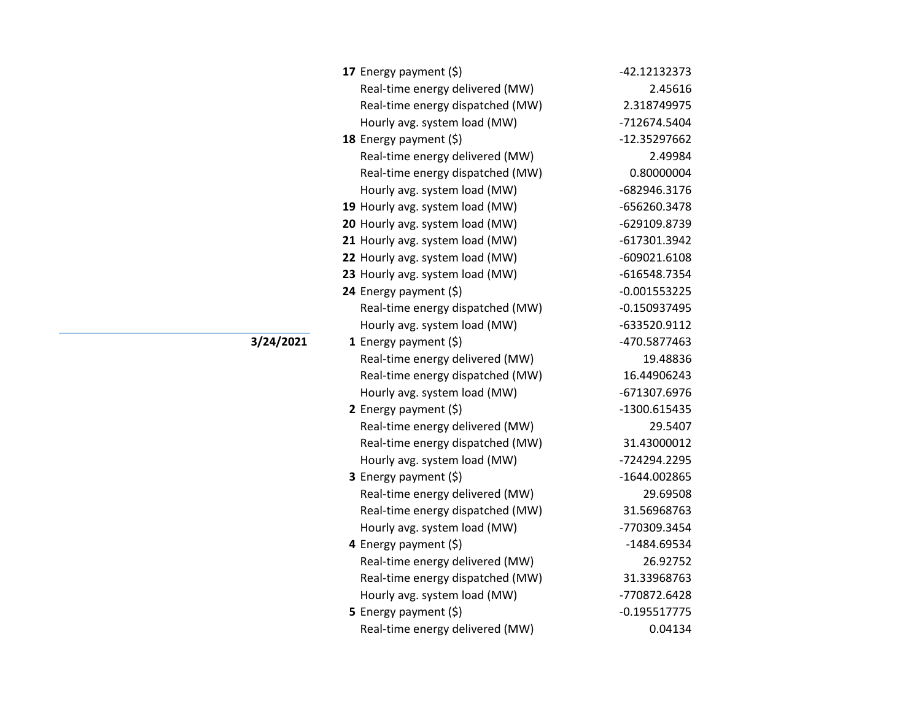| 17 Energy payment (\$)           | -42.12132373   |
|----------------------------------|----------------|
| Real-time energy delivered (MW)  | 2.45616        |
| Real-time energy dispatched (MW) | 2.318749975    |
| Hourly avg. system load (MW)     | -712674.5404   |
| 18 Energy payment $(5)$          | -12.35297662   |
| Real-time energy delivered (MW)  | 2.49984        |
| Real-time energy dispatched (MW) | 0.80000004     |
| Hourly avg. system load (MW)     | -682946.3176   |
| 19 Hourly avg. system load (MW)  | -656260.3478   |
| 20 Hourly avg. system load (MW)  | -629109.8739   |
| 21 Hourly avg. system load (MW)  | -617301.3942   |
| 22 Hourly avg. system load (MW)  | $-609021.6108$ |
| 23 Hourly avg. system load (MW)  | -616548.7354   |
| 24 Energy payment $(\xi)$        | $-0.001553225$ |
| Real-time energy dispatched (MW) | $-0.150937495$ |
| Hourly avg. system load (MW)     | -633520.9112   |
| 1 Energy payment $(\xi)$         | -470.5877463   |
| Real-time energy delivered (MW)  | 19.48836       |
| Real-time energy dispatched (MW) | 16.44906243    |
| Hourly avg. system load (MW)     | -671307.6976   |
| 2 Energy payment (\$)            | -1300.615435   |
| Real-time energy delivered (MW)  | 29.5407        |
| Real-time energy dispatched (MW) | 31.43000012    |
| Hourly avg. system load (MW)     | -724294.2295   |
| <b>3</b> Energy payment $(\xi)$  | -1644.002865   |
| Real-time energy delivered (MW)  | 29.69508       |
| Real-time energy dispatched (MW) | 31.56968763    |
| Hourly avg. system load (MW)     | -770309.3454   |
| 4 Energy payment (\$)            | -1484.69534    |
| Real-time energy delivered (MW)  | 26.92752       |
| Real-time energy dispatched (MW) | 31.33968763    |
| Hourly avg. system load (MW)     | -770872.6428   |
| 5 Energy payment (\$)            | $-0.195517775$ |
| Real-time energy delivered (MW)  | 0.04134        |

## **3/24/2021**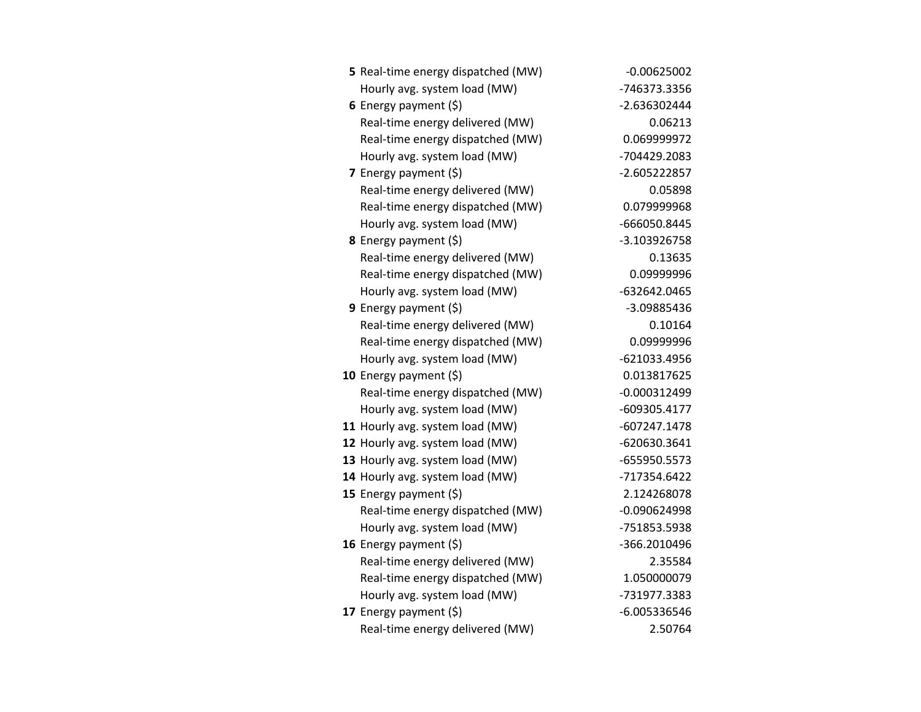| 5 Real-time energy dispatched (MW) | $-0.00625002$  |
|------------------------------------|----------------|
| Hourly avg. system load (MW)       | -746373.3356   |
| 6 Energy payment $(5)$             | $-2.636302444$ |
| Real-time energy delivered (MW)    | 0.06213        |
| Real-time energy dispatched (MW)   | 0.069999972    |
| Hourly avg. system load (MW)       | -704429.2083   |
| 7 Energy payment $(5)$             | $-2.605222857$ |
| Real-time energy delivered (MW)    | 0.05898        |
| Real-time energy dispatched (MW)   | 0.079999968    |
| Hourly avg. system load (MW)       | -666050.8445   |
| 8 Energy payment (\$)              | -3.103926758   |
| Real-time energy delivered (MW)    | 0.13635        |
| Real-time energy dispatched (MW)   | 0.09999996     |
| Hourly avg. system load (MW)       | -632642.0465   |
| 9 Energy payment $(5)$             | -3.09885436    |
| Real-time energy delivered (MW)    | 0.10164        |
| Real-time energy dispatched (MW)   | 0.09999996     |
| Hourly avg. system load (MW)       | $-621033.4956$ |
| 10 Energy payment (\$)             | 0.013817625    |
| Real-time energy dispatched (MW)   | $-0.000312499$ |
| Hourly avg. system load (MW)       | -609305.4177   |
| 11 Hourly avg. system load (MW)    | $-607247.1478$ |
| 12 Hourly avg. system load (MW)    | -620630.3641   |
| 13 Hourly avg. system load (MW)    | -655950.5573   |
| 14 Hourly avg. system load (MW)    | -717354.6422   |
| 15 Energy payment (\$)             | 2.124268078    |
| Real-time energy dispatched (MW)   | $-0.090624998$ |
| Hourly avg. system load (MW)       | -751853.5938   |
| 16 Energy payment (\$)             | -366.2010496   |
| Real-time energy delivered (MW)    | 2.35584        |
| Real-time energy dispatched (MW)   | 1.050000079    |
| Hourly avg. system load (MW)       | -731977.3383   |
| 17 Energy payment (\$)             | $-6.005336546$ |
| Real-time energy delivered (MW)    | 2.50764        |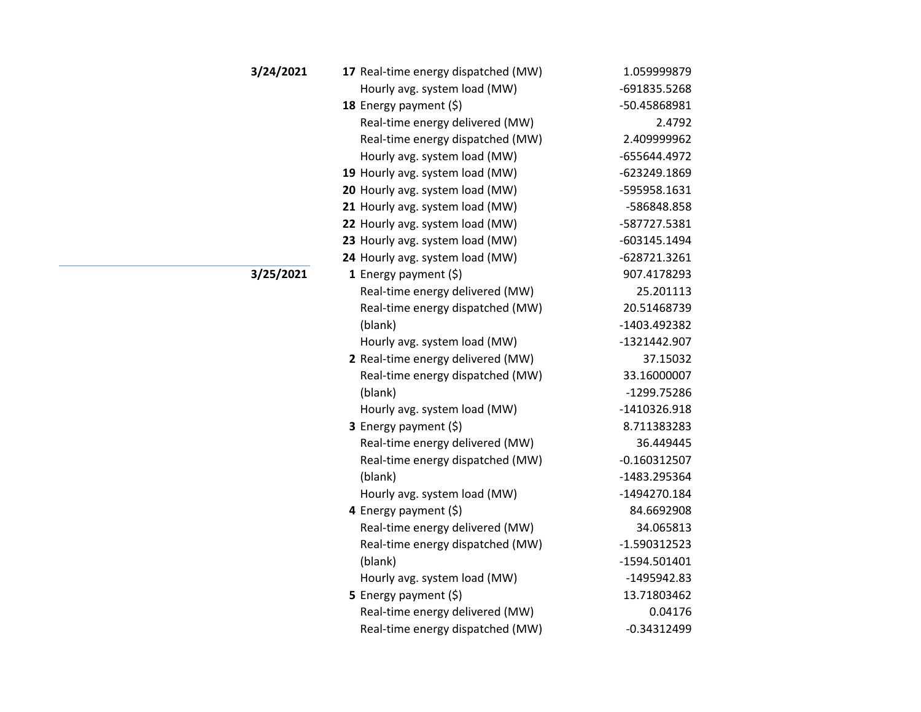| 3/24/2021 | 17 Real-time energy dispatched (MW) | 1.059999879    |
|-----------|-------------------------------------|----------------|
|           | Hourly avg. system load (MW)        | -691835.5268   |
|           | 18 Energy payment (\$)              | -50.45868981   |
|           | Real-time energy delivered (MW)     | 2.4792         |
|           | Real-time energy dispatched (MW)    | 2.409999962    |
|           | Hourly avg. system load (MW)        | -655644.4972   |
|           | 19 Hourly avg. system load (MW)     | -623249.1869   |
|           | 20 Hourly avg. system load (MW)     | -595958.1631   |
|           | 21 Hourly avg. system load (MW)     | -586848.858    |
|           | 22 Hourly avg. system load (MW)     | -587727.5381   |
|           | 23 Hourly avg. system load (MW)     | -603145.1494   |
|           | 24 Hourly avg. system load (MW)     | -628721.3261   |
| 3/25/2021 | 1 Energy payment (\$)               | 907.4178293    |
|           | Real-time energy delivered (MW)     | 25.201113      |
|           | Real-time energy dispatched (MW)    | 20.51468739    |
|           | (blank)                             | -1403.492382   |
|           | Hourly avg. system load (MW)        | -1321442.907   |
|           | 2 Real-time energy delivered (MW)   | 37.15032       |
|           | Real-time energy dispatched (MW)    | 33.16000007    |
|           | (blank)                             | -1299.75286    |
|           | Hourly avg. system load (MW)        | -1410326.918   |
|           | 3 Energy payment (\$)               | 8.711383283    |
|           | Real-time energy delivered (MW)     | 36.449445      |
|           | Real-time energy dispatched (MW)    | $-0.160312507$ |
|           | (blank)                             | -1483.295364   |
|           | Hourly avg. system load (MW)        | -1494270.184   |
|           | 4 Energy payment (\$)               | 84.6692908     |
|           | Real-time energy delivered (MW)     | 34.065813      |
|           | Real-time energy dispatched (MW)    | -1.590312523   |
|           | (blank)                             | -1594.501401   |
|           | Hourly avg. system load (MW)        | $-1495942.83$  |
|           | 5 Energy payment $(5)$              | 13.71803462    |
|           | Real-time energy delivered (MW)     | 0.04176        |
|           | Real-time energy dispatched (MW)    | $-0.34312499$  |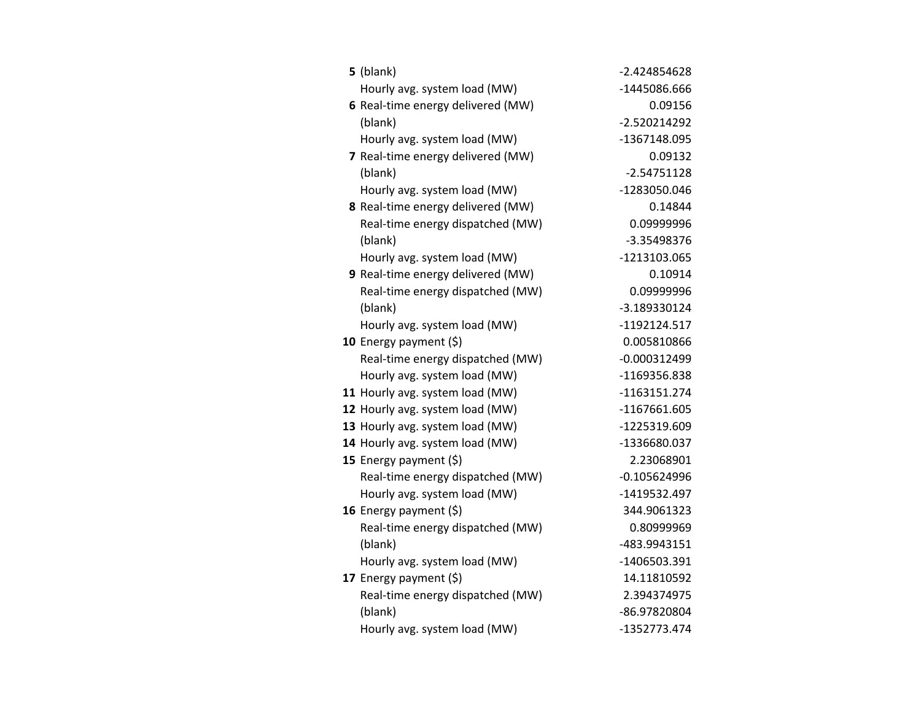| $5$ (blank)                       | $-2.424854628$ |
|-----------------------------------|----------------|
| Hourly avg. system load (MW)      | -1445086.666   |
| 6 Real-time energy delivered (MW) | 0.09156        |
| (blank)                           | -2.520214292   |
| Hourly avg. system load (MW)      | -1367148.095   |
| 7 Real-time energy delivered (MW) | 0.09132        |
| (blank)                           | $-2.54751128$  |
| Hourly avg. system load (MW)      | -1283050.046   |
| 8 Real-time energy delivered (MW) | 0.14844        |
| Real-time energy dispatched (MW)  | 0.09999996     |
| (blank)                           | -3.35498376    |
| Hourly avg. system load (MW)      | -1213103.065   |
| 9 Real-time energy delivered (MW) | 0.10914        |
| Real-time energy dispatched (MW)  | 0.09999996     |
| (blank)                           | -3.189330124   |
| Hourly avg. system load (MW)      | -1192124.517   |
| 10 Energy payment $(5)$           | 0.005810866    |
| Real-time energy dispatched (MW)  | $-0.000312499$ |
| Hourly avg. system load (MW)      | -1169356.838   |
| 11 Hourly avg. system load (MW)   | $-1163151.274$ |
| 12 Hourly avg. system load (MW)   | -1167661.605   |
| 13 Hourly avg. system load (MW)   | -1225319.609   |
| 14 Hourly avg. system load (MW)   | -1336680.037   |
| 15 Energy payment $(\xi)$         | 2.23068901     |
| Real-time energy dispatched (MW)  | $-0.105624996$ |
| Hourly avg. system load (MW)      | -1419532.497   |
| 16 Energy payment $(\xi)$         | 344.9061323    |
| Real-time energy dispatched (MW)  | 0.80999969     |
| (blank)                           | -483.9943151   |
| Hourly avg. system load (MW)      | -1406503.391   |
| 17 Energy payment $(\xi)$         | 14.11810592    |
| Real-time energy dispatched (MW)  | 2.394374975    |
| (blank)                           | -86.97820804   |
| Hourly avg. system load (MW)      | -1352773.474   |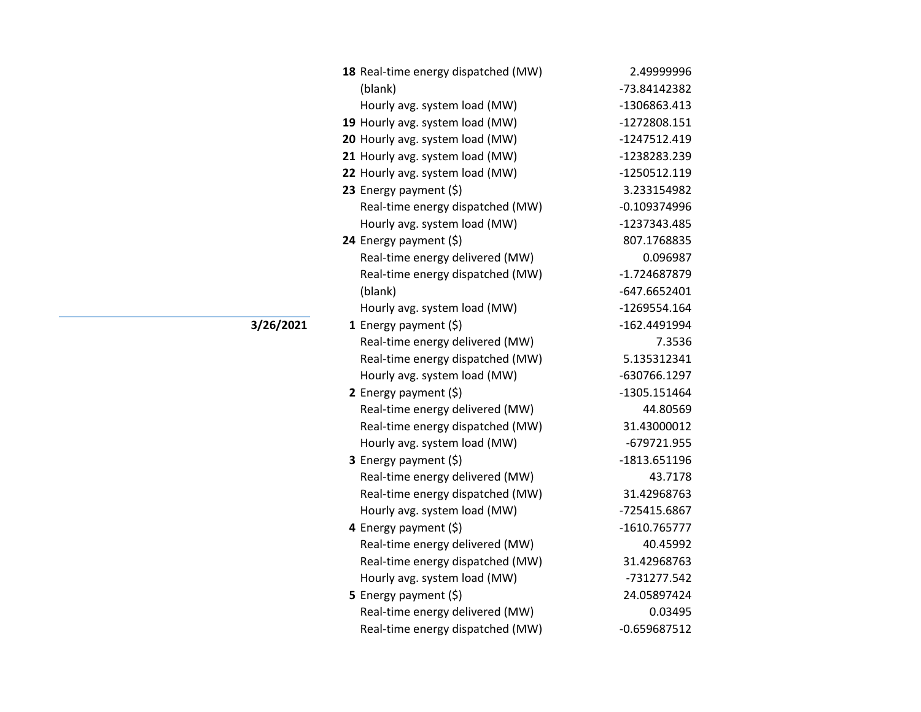| 18 Real-time energy dispatched (MW) | 2.49999996     |
|-------------------------------------|----------------|
| (blank)                             | -73.84142382   |
| Hourly avg. system load (MW)        | -1306863.413   |
| 19 Hourly avg. system load (MW)     | -1272808.151   |
| 20 Hourly avg. system load (MW)     | -1247512.419   |
| 21 Hourly avg. system load (MW)     | -1238283.239   |
| 22 Hourly avg. system load (MW)     | -1250512.119   |
| 23 Energy payment (\$)              | 3.233154982    |
| Real-time energy dispatched (MW)    | $-0.109374996$ |
| Hourly avg. system load (MW)        | -1237343.485   |
| 24 Energy payment (\$)              | 807.1768835    |
| Real-time energy delivered (MW)     | 0.096987       |
| Real-time energy dispatched (MW)    | -1.724687879   |
| (blank)                             | $-647.6652401$ |
| Hourly avg. system load (MW)        | -1269554.164   |
| 1 Energy payment $(\xi)$            | -162.4491994   |
| Real-time energy delivered (MW)     | 7.3536         |
| Real-time energy dispatched (MW)    | 5.135312341    |
| Hourly avg. system load (MW)        | -630766.1297   |
| 2 Energy payment $(5)$              | -1305.151464   |
| Real-time energy delivered (MW)     | 44.80569       |
| Real-time energy dispatched (MW)    | 31.43000012    |
| Hourly avg. system load (MW)        | -679721.955    |
| 3 Energy payment (\$)               | -1813.651196   |
| Real-time energy delivered (MW)     | 43.7178        |
| Real-time energy dispatched (MW)    | 31.42968763    |
| Hourly avg. system load (MW)        | -725415.6867   |
| 4 Energy payment (\$)               | -1610.765777   |
| Real-time energy delivered (MW)     | 40.45992       |
| Real-time energy dispatched (MW)    | 31.42968763    |
| Hourly avg. system load (MW)        | -731277.542    |
| 5 Energy payment $(\xi)$            | 24.05897424    |
| Real-time energy delivered (MW)     | 0.03495        |
| Real-time energy dispatched (MW)    | $-0.659687512$ |

**3/26/2021**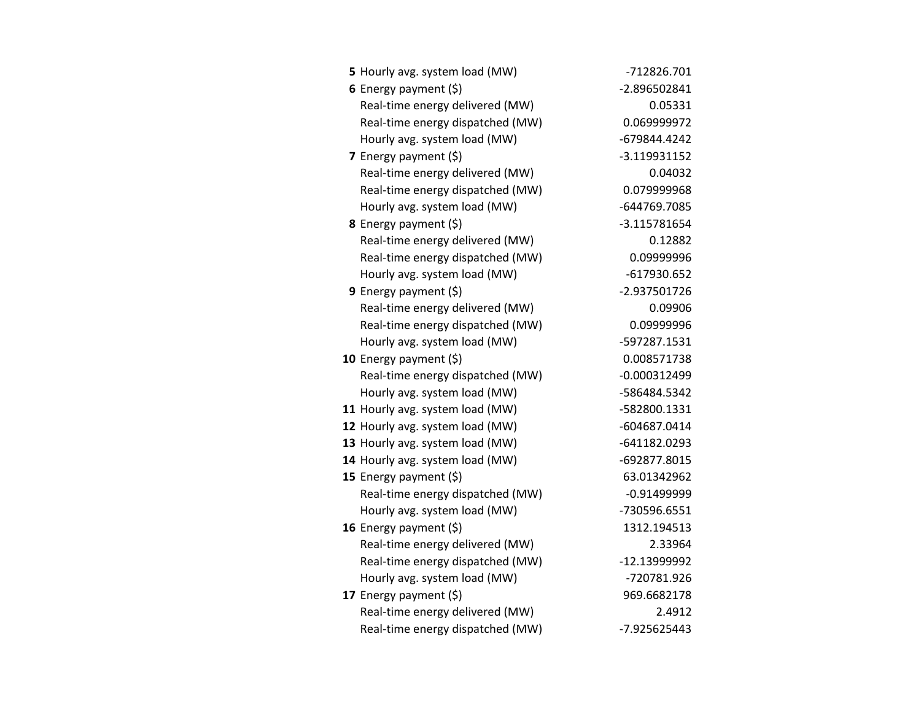| 5 Hourly avg. system load (MW)   | -712826.701    |
|----------------------------------|----------------|
| 6 Energy payment $(5)$           | -2.896502841   |
| Real-time energy delivered (MW)  | 0.05331        |
| Real-time energy dispatched (MW) | 0.069999972    |
| Hourly avg. system load (MW)     | -679844.4242   |
| 7 Energy payment $(5)$           | $-3.119931152$ |
| Real-time energy delivered (MW)  | 0.04032        |
| Real-time energy dispatched (MW) | 0.079999968    |
| Hourly avg. system load (MW)     | -644769.7085   |
| <b>8</b> Energy payment $(5)$    | $-3.115781654$ |
| Real-time energy delivered (MW)  | 0.12882        |
| Real-time energy dispatched (MW) | 0.09999996     |
| Hourly avg. system load (MW)     | $-617930.652$  |
| <b>9</b> Energy payment $(\xi)$  | -2.937501726   |
| Real-time energy delivered (MW)  | 0.09906        |
| Real-time energy dispatched (MW) | 0.09999996     |
| Hourly avg. system load (MW)     | -597287.1531   |
| 10 Energy payment $(\xi)$        | 0.008571738    |
| Real-time energy dispatched (MW) | $-0.000312499$ |
| Hourly avg. system load (MW)     | -586484.5342   |
| 11 Hourly avg. system load (MW)  | -582800.1331   |
| 12 Hourly avg. system load (MW)  | -604687.0414   |
| 13 Hourly avg. system load (MW)  | -641182.0293   |
| 14 Hourly avg. system load (MW)  | -692877.8015   |
| 15 Energy payment $(\xi)$        | 63.01342962    |
| Real-time energy dispatched (MW) | $-0.91499999$  |
| Hourly avg. system load (MW)     | -730596.6551   |
| 16 Energy payment (\$)           | 1312.194513    |
| Real-time energy delivered (MW)  | 2.33964        |
| Real-time energy dispatched (MW) | -12.13999992   |
| Hourly avg. system load (MW)     | -720781.926    |
| 17 Energy payment $(\xi)$        | 969.6682178    |
| Real-time energy delivered (MW)  | 2.4912         |
| Real-time energy dispatched (MW) | -7.925625443   |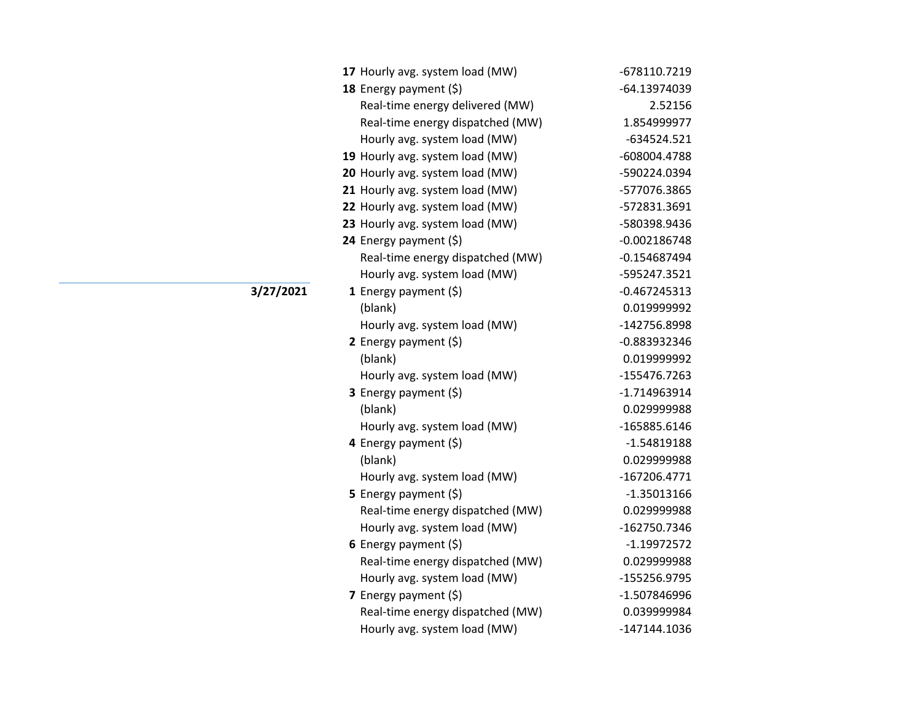| 17 Hourly avg. system load (MW)  | -678110.7219   |
|----------------------------------|----------------|
| 18 Energy payment (\$)           | -64.13974039   |
| Real-time energy delivered (MW)  | 2.52156        |
| Real-time energy dispatched (MW) | 1.854999977    |
| Hourly avg. system load (MW)     | $-634524.521$  |
| 19 Hourly avg. system load (MW)  | -608004.4788   |
| 20 Hourly avg. system load (MW)  | -590224.0394   |
| 21 Hourly avg. system load (MW)  | -577076.3865   |
| 22 Hourly avg. system load (MW)  | -572831.3691   |
| 23 Hourly avg. system load (MW)  | -580398.9436   |
| 24 Energy payment (\$)           | $-0.002186748$ |
| Real-time energy dispatched (MW) | $-0.154687494$ |
| Hourly avg. system load (MW)     | -595247.3521   |
| 1 Energy payment (\$)            | $-0.467245313$ |
| (blank)                          | 0.019999992    |
| Hourly avg. system load (MW)     | -142756.8998   |
| 2 Energy payment $(5)$           | -0.883932346   |
| (blank)                          | 0.019999992    |
| Hourly avg. system load (MW)     | -155476.7263   |
| 3 Energy payment (\$)            | -1.714963914   |
| (blank)                          | 0.029999988    |
| Hourly avg. system load (MW)     | -165885.6146   |
| 4 Energy payment (\$)            | $-1.54819188$  |
| (blank)                          | 0.029999988    |
| Hourly avg. system load (MW)     | $-167206.4771$ |
| 5 Energy payment $(5)$           | $-1.35013166$  |
| Real-time energy dispatched (MW) | 0.029999988    |
| Hourly avg. system load (MW)     | -162750.7346   |
| 6 Energy payment $(\$)$          | $-1.19972572$  |
| Real-time energy dispatched (MW) | 0.029999988    |
| Hourly avg. system load (MW)     | -155256.9795   |
| 7 Energy payment $(5)$           | -1.507846996   |
| Real-time energy dispatched (MW) | 0.039999984    |
| Hourly avg. system load (MW)     | -147144.1036   |

**3/27/2021**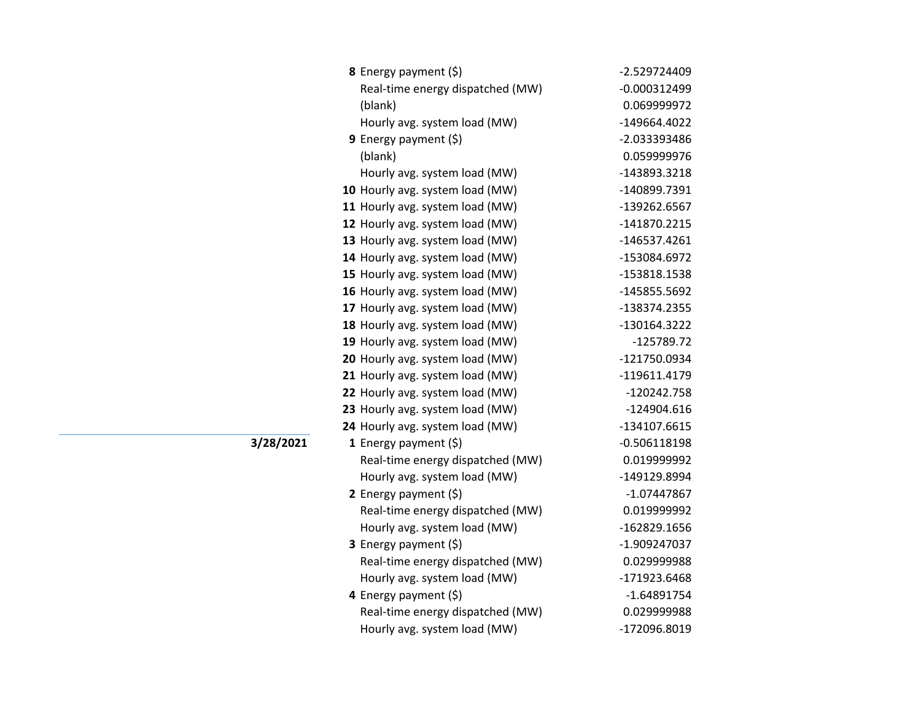| 8 Energy payment (\$)            | -2.529724409   |
|----------------------------------|----------------|
| Real-time energy dispatched (MW) | $-0.000312499$ |
| (blank)                          | 0.069999972    |
| Hourly avg. system load (MW)     | -149664.4022   |
| <b>9</b> Energy payment $(\xi)$  | -2.033393486   |
| (blank)                          | 0.059999976    |
| Hourly avg. system load (MW)     | -143893.3218   |
| 10 Hourly avg. system load (MW)  | -140899.7391   |
| 11 Hourly avg. system load (MW)  | -139262.6567   |
| 12 Hourly avg. system load (MW)  | -141870.2215   |
| 13 Hourly avg. system load (MW)  | -146537.4261   |
| 14 Hourly avg. system load (MW)  | -153084.6972   |
| 15 Hourly avg. system load (MW)  | -153818.1538   |
| 16 Hourly avg. system load (MW)  | -145855.5692   |
| 17 Hourly avg. system load (MW)  | -138374.2355   |
| 18 Hourly avg. system load (MW)  | -130164.3222   |
| 19 Hourly avg. system load (MW)  | $-125789.72$   |
| 20 Hourly avg. system load (MW)  | -121750.0934   |
| 21 Hourly avg. system load (MW)  | -119611.4179   |
| 22 Hourly avg. system load (MW)  | -120242.758    |
| 23 Hourly avg. system load (MW)  | $-124904.616$  |
| 24 Hourly avg. system load (MW)  | -134107.6615   |
| 1 Energy payment $(\$)$          | $-0.506118198$ |
| Real-time energy dispatched (MW) | 0.019999992    |
| Hourly avg. system load (MW)     | -149129.8994   |
| 2 Energy payment $(\xi)$         | $-1.07447867$  |
| Real-time energy dispatched (MW) | 0.019999992    |
| Hourly avg. system load (MW)     | -162829.1656   |
| 3 Energy payment (\$)            | -1.909247037   |
| Real-time energy dispatched (MW) | 0.029999988    |
| Hourly avg. system load (MW)     | -171923.6468   |
| 4 Energy payment (\$)            | $-1.64891754$  |
| Real-time energy dispatched (MW) | 0.029999988    |
| Hourly avg. system load (MW)     | -172096.8019   |
|                                  |                |

**3/28/2021**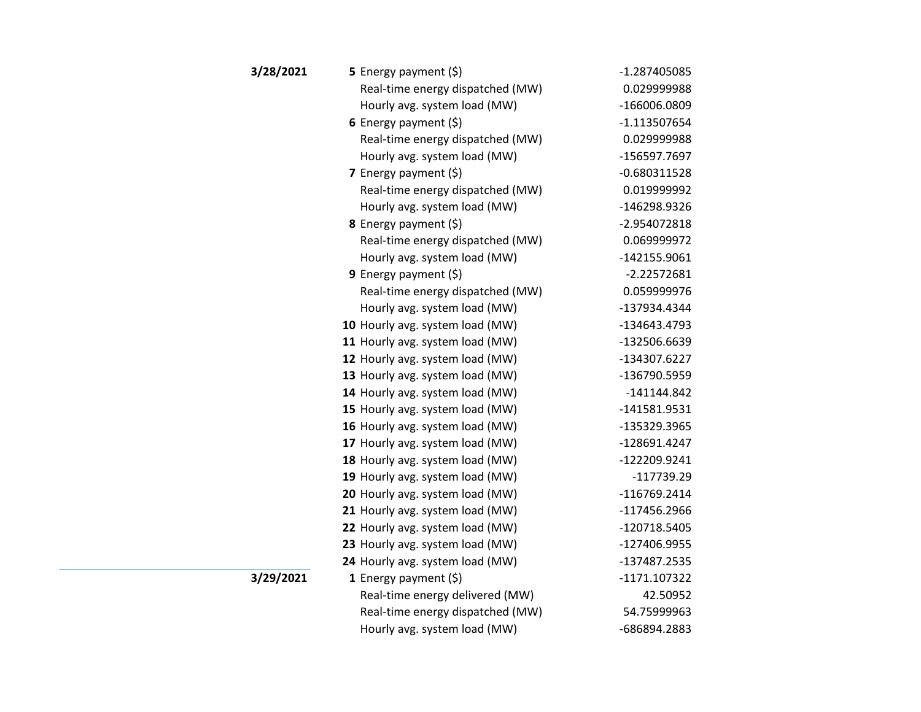| 3/28/2021 | <b>5</b> Energy payment $(\xi)$  | $-1.287405085$ |
|-----------|----------------------------------|----------------|
|           | Real-time energy dispatched (MW) | 0.029999988    |
|           | Hourly avg. system load (MW)     | -166006.0809   |
|           | 6 Energy payment $(\$)$          | $-1.113507654$ |
|           | Real-time energy dispatched (MW) | 0.029999988    |
|           | Hourly avg. system load (MW)     | -156597.7697   |
|           | 7 Energy payment $(\xi)$         | $-0.680311528$ |
|           | Real-time energy dispatched (MW) | 0.019999992    |
|           | Hourly avg. system load (MW)     | -146298.9326   |
|           | 8 Energy payment (\$)            | -2.954072818   |
|           | Real-time energy dispatched (MW) | 0.069999972    |
|           | Hourly avg. system load (MW)     | $-142155.9061$ |
|           | <b>9</b> Energy payment $(\xi)$  | $-2.22572681$  |
|           | Real-time energy dispatched (MW) | 0.059999976    |
|           | Hourly avg. system load (MW)     | -137934.4344   |
|           | 10 Hourly avg. system load (MW)  | -134643.4793   |
|           | 11 Hourly avg. system load (MW)  | -132506.6639   |
|           | 12 Hourly avg. system load (MW)  | -134307.6227   |
|           | 13 Hourly avg. system load (MW)  | -136790.5959   |
|           | 14 Hourly avg. system load (MW)  | -141144.842    |
|           | 15 Hourly avg. system load (MW)  | -141581.9531   |
|           | 16 Hourly avg. system load (MW)  | -135329.3965   |
|           | 17 Hourly avg. system load (MW)  | -128691.4247   |
|           | 18 Hourly avg. system load (MW)  | -122209.9241   |
|           | 19 Hourly avg. system load (MW)  | -117739.29     |
|           | 20 Hourly avg. system load (MW)  | -116769.2414   |
|           | 21 Hourly avg. system load (MW)  | -117456.2966   |
|           | 22 Hourly avg. system load (MW)  | -120718.5405   |
|           | 23 Hourly avg. system load (MW)  | -127406.9955   |
|           | 24 Hourly avg. system load (MW)  | -137487.2535   |
| 3/29/2021 | <b>1</b> Energy payment $(\xi)$  | $-1171.107322$ |
|           | Real-time energy delivered (MW)  | 42.50952       |
|           | Real-time energy dispatched (MW) | 54.75999963    |
|           | Hourly avg. system load (MW)     | -686894.2883   |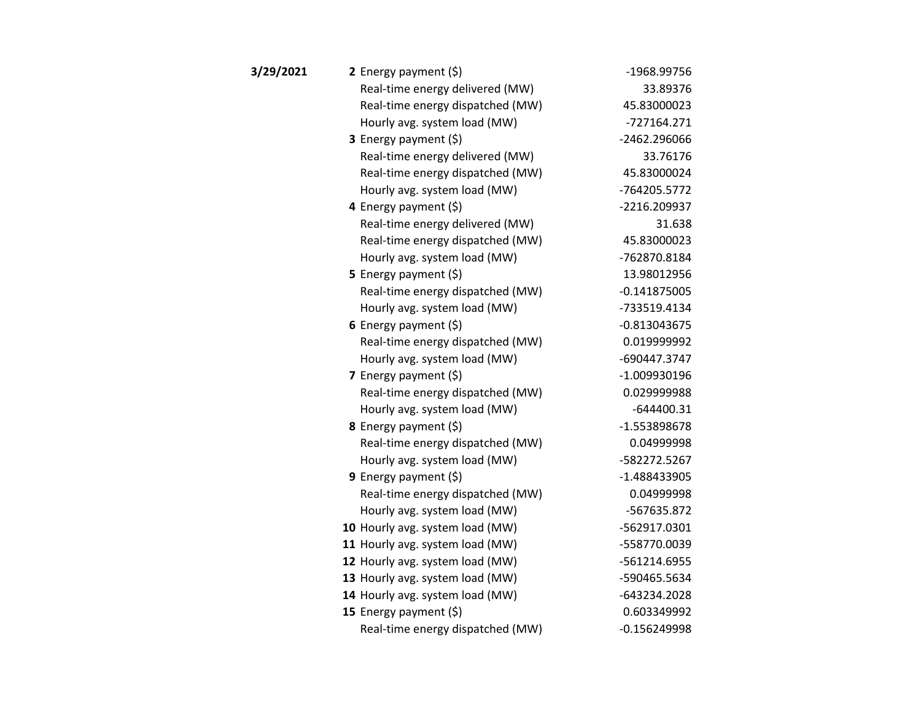| 3/29/2021 | 2 Energy payment $(\xi)$         | -1968.99756    |
|-----------|----------------------------------|----------------|
|           | Real-time energy delivered (MW)  | 33.89376       |
|           | Real-time energy dispatched (MW) | 45.83000023    |
|           | Hourly avg. system load (MW)     | $-727164.271$  |
|           | 3 Energy payment (\$)            | -2462.296066   |
|           | Real-time energy delivered (MW)  | 33.76176       |
|           | Real-time energy dispatched (MW) | 45.83000024    |
|           | Hourly avg. system load (MW)     | -764205.5772   |
|           | 4 Energy payment $(\xi)$         | -2216.209937   |
|           | Real-time energy delivered (MW)  | 31.638         |
|           | Real-time energy dispatched (MW) | 45.83000023    |
|           | Hourly avg. system load (MW)     | -762870.8184   |
|           | 5 Energy payment $(\xi)$         | 13.98012956    |
|           | Real-time energy dispatched (MW) | $-0.141875005$ |
|           | Hourly avg. system load (MW)     | -733519.4134   |
|           | 6 Energy payment $(\xi)$         | $-0.813043675$ |
|           | Real-time energy dispatched (MW) | 0.019999992    |
|           | Hourly avg. system load (MW)     | -690447.3747   |
|           | 7 Energy payment $(5)$           | $-1.009930196$ |
|           | Real-time energy dispatched (MW) | 0.029999988    |
|           | Hourly avg. system load (MW)     | $-644400.31$   |
|           | <b>8</b> Energy payment $(\xi)$  | -1.553898678   |
|           | Real-time energy dispatched (MW) | 0.04999998     |
|           | Hourly avg. system load (MW)     | -582272.5267   |
|           | 9 Energy payment (\$)            | -1.488433905   |
|           | Real-time energy dispatched (MW) | 0.04999998     |
|           | Hourly avg. system load (MW)     | -567635.872    |
|           | 10 Hourly avg. system load (MW)  | -562917.0301   |
|           | 11 Hourly avg. system load (MW)  | -558770.0039   |
|           | 12 Hourly avg. system load (MW)  | -561214.6955   |
|           | 13 Hourly avg. system load (MW)  | -590465.5634   |
|           | 14 Hourly avg. system load (MW)  | -643234.2028   |
|           | 15 Energy payment $(\xi)$        | 0.603349992    |
|           | Real-time energy dispatched (MW) | $-0.156249998$ |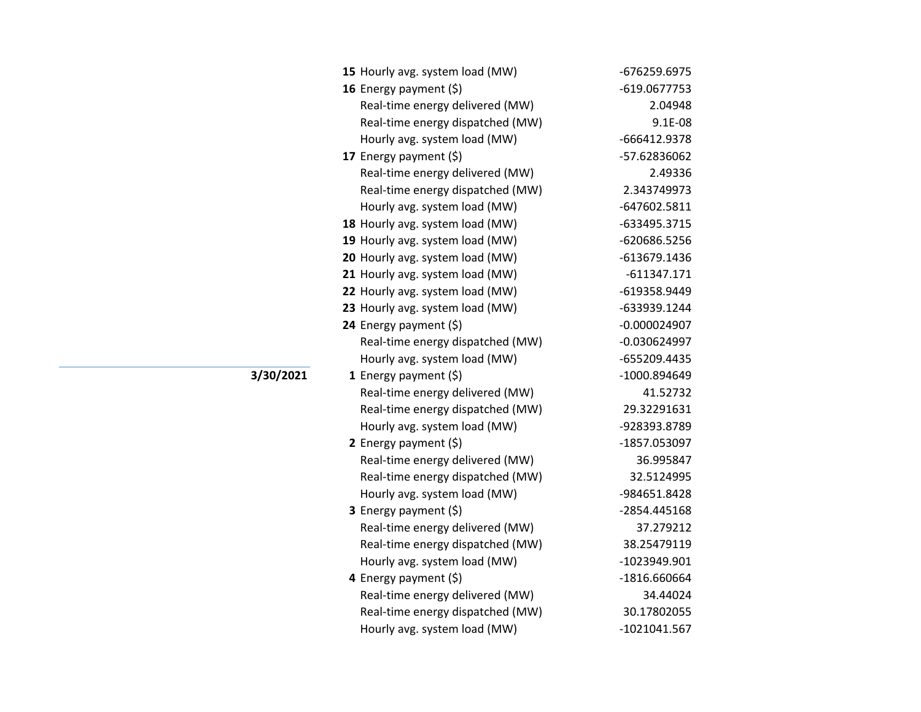| 15 Hourly avg. system load (MW)  | -676259.6975   |
|----------------------------------|----------------|
| 16 Energy payment $(\xi)$        | -619.0677753   |
| Real-time energy delivered (MW)  | 2.04948        |
| Real-time energy dispatched (MW) | $9.1E-08$      |
| Hourly avg. system load (MW)     | -666412.9378   |
| 17 Energy payment (\$)           | -57.62836062   |
| Real-time energy delivered (MW)  | 2.49336        |
| Real-time energy dispatched (MW) | 2.343749973    |
| Hourly avg. system load (MW)     | -647602.5811   |
| 18 Hourly avg. system load (MW)  | -633495.3715   |
| 19 Hourly avg. system load (MW)  | -620686.5256   |
| 20 Hourly avg. system load (MW)  | -613679.1436   |
| 21 Hourly avg. system load (MW)  | $-611347.171$  |
| 22 Hourly avg. system load (MW)  | -619358.9449   |
| 23 Hourly avg. system load (MW)  | -633939.1244   |
| 24 Energy payment (\$)           | $-0.000024907$ |
| Real-time energy dispatched (MW) | $-0.030624997$ |
| Hourly avg. system load (MW)     | -655209.4435   |
| 1 Energy payment $(\xi)$         | -1000.894649   |
| Real-time energy delivered (MW)  | 41.52732       |
| Real-time energy dispatched (MW) | 29.32291631    |
| Hourly avg. system load (MW)     | -928393.8789   |
| 2 Energy payment $(\xi)$         | -1857.053097   |
| Real-time energy delivered (MW)  | 36.995847      |
| Real-time energy dispatched (MW) | 32.5124995     |
| Hourly avg. system load (MW)     | -984651.8428   |
| 3 Energy payment (\$)            | -2854.445168   |
| Real-time energy delivered (MW)  | 37.279212      |
| Real-time energy dispatched (MW) | 38.25479119    |
| Hourly avg. system load (MW)     | -1023949.901   |
| 4 Energy payment $(\xi)$         | -1816.660664   |
| Real-time energy delivered (MW)  | 34.44024       |
| Real-time energy dispatched (MW) | 30.17802055    |
| Hourly avg. system load (MW)     | -1021041.567   |

**3/30/2021**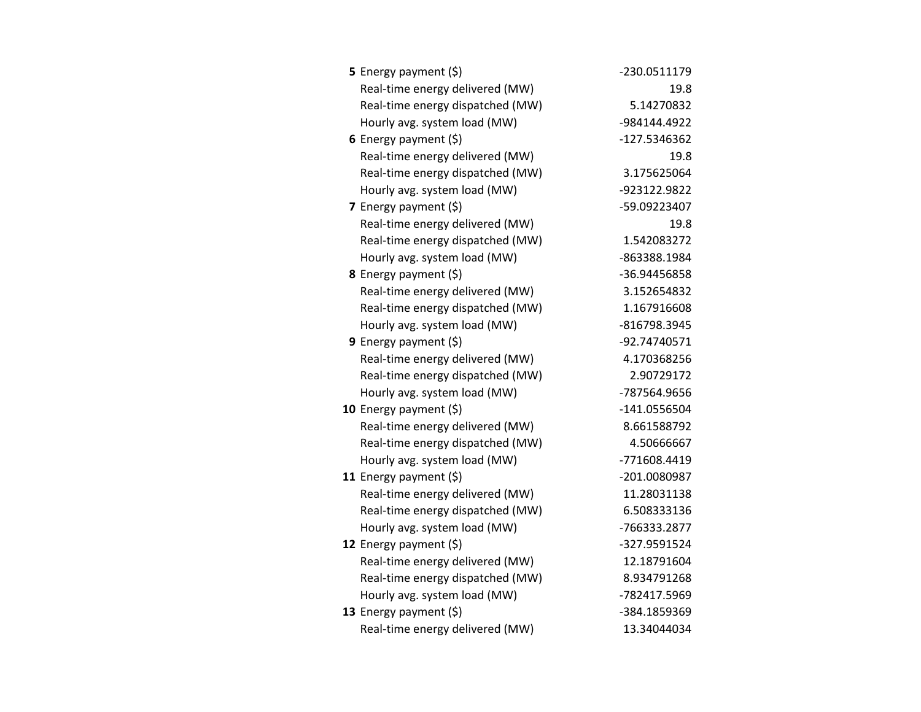| <b>5</b> Energy payment $(\xi)$  | -230.0511179 |
|----------------------------------|--------------|
| Real-time energy delivered (MW)  | 19.8         |
| Real-time energy dispatched (MW) | 5.14270832   |
| Hourly avg. system load (MW)     | -984144.4922 |
| 6 Energy payment $(\xi)$         | -127.5346362 |
| Real-time energy delivered (MW)  | 19.8         |
| Real-time energy dispatched (MW) | 3.175625064  |
| Hourly avg. system load (MW)     | -923122.9822 |
| 7 Energy payment $(5)$           | -59.09223407 |
| Real-time energy delivered (MW)  | 19.8         |
| Real-time energy dispatched (MW) | 1.542083272  |
| Hourly avg. system load (MW)     | -863388.1984 |
| <b>8</b> Energy payment $(\xi)$  | -36.94456858 |
| Real-time energy delivered (MW)  | 3.152654832  |
| Real-time energy dispatched (MW) | 1.167916608  |
| Hourly avg. system load (MW)     | -816798.3945 |
| <b>9</b> Energy payment $(\xi)$  | -92.74740571 |
| Real-time energy delivered (MW)  | 4.170368256  |
| Real-time energy dispatched (MW) | 2.90729172   |
| Hourly avg. system load (MW)     | -787564.9656 |
| 10 Energy payment $(5)$          | -141.0556504 |
| Real-time energy delivered (MW)  | 8.661588792  |
| Real-time energy dispatched (MW) | 4.50666667   |
| Hourly avg. system load (MW)     | -771608.4419 |
| 11 Energy payment $(\xi)$        | -201.0080987 |
| Real-time energy delivered (MW)  | 11.28031138  |
| Real-time energy dispatched (MW) | 6.508333136  |
| Hourly avg. system load (MW)     | -766333.2877 |
| 12 Energy payment (\$)           | -327.9591524 |
| Real-time energy delivered (MW)  | 12.18791604  |
| Real-time energy dispatched (MW) | 8.934791268  |
| Hourly avg. system load (MW)     | -782417.5969 |
| 13 Energy payment $(\xi)$        | -384.1859369 |
| Real-time energy delivered (MW)  | 13.34044034  |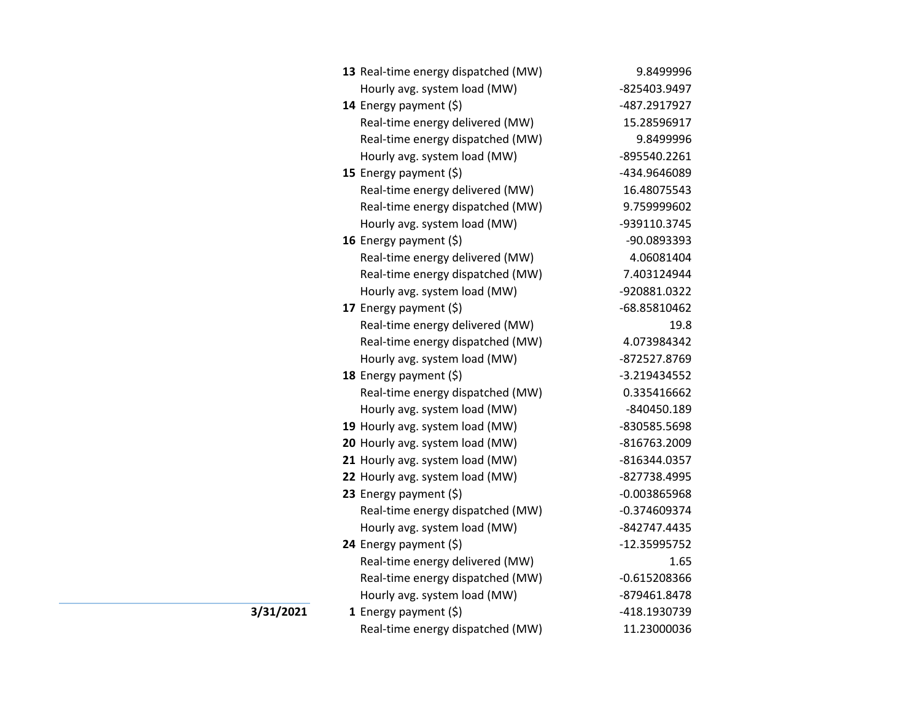|           | 13 Real-time energy dispatched (MW) | 9.8499996      |
|-----------|-------------------------------------|----------------|
|           | Hourly avg. system load (MW)        | -825403.9497   |
|           | 14 Energy payment (\$)              | -487.2917927   |
|           | Real-time energy delivered (MW)     | 15.28596917    |
|           | Real-time energy dispatched (MW)    | 9.8499996      |
|           | Hourly avg. system load (MW)        | -895540.2261   |
|           | 15 Energy payment $(\xi)$           | -434.9646089   |
|           | Real-time energy delivered (MW)     | 16.48075543    |
|           | Real-time energy dispatched (MW)    | 9.759999602    |
|           | Hourly avg. system load (MW)        | -939110.3745   |
|           | 16 Energy payment (\$)              | -90.0893393    |
|           | Real-time energy delivered (MW)     | 4.06081404     |
|           | Real-time energy dispatched (MW)    | 7.403124944    |
|           | Hourly avg. system load (MW)        | -920881.0322   |
|           | 17 Energy payment (\$)              | -68.85810462   |
|           | Real-time energy delivered (MW)     | 19.8           |
|           | Real-time energy dispatched (MW)    | 4.073984342    |
|           | Hourly avg. system load (MW)        | -872527.8769   |
|           | 18 Energy payment $(5)$             | $-3.219434552$ |
|           | Real-time energy dispatched (MW)    | 0.335416662    |
|           | Hourly avg. system load (MW)        | -840450.189    |
|           | 19 Hourly avg. system load (MW)     | -830585.5698   |
|           | 20 Hourly avg. system load (MW)     | -816763.2009   |
|           | 21 Hourly avg. system load (MW)     | -816344.0357   |
|           | 22 Hourly avg. system load (MW)     | -827738.4995   |
|           | 23 Energy payment (\$)              | $-0.003865968$ |
|           | Real-time energy dispatched (MW)    | $-0.374609374$ |
|           | Hourly avg. system load (MW)        | -842747.4435   |
|           | 24 Energy payment (\$)              | -12.35995752   |
|           | Real-time energy delivered (MW)     | 1.65           |
|           | Real-time energy dispatched (MW)    | $-0.615208366$ |
|           | Hourly avg. system load (MW)        | -879461.8478   |
| 3/31/2021 | 1 Energy payment $(\xi)$            | -418.1930739   |
|           | Real-time energy dispatched (MW)    | 11.23000036    |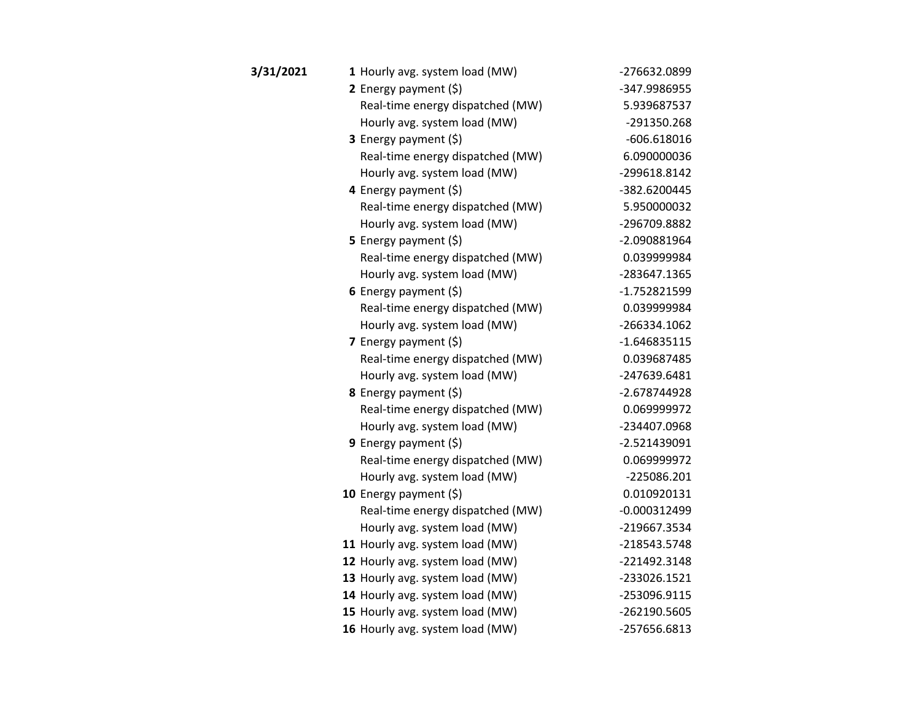| 3/31/2021 | 1 Hourly avg. system load (MW)   | -276632.0899   |
|-----------|----------------------------------|----------------|
|           | 2 Energy payment $(5)$           | -347.9986955   |
|           | Real-time energy dispatched (MW) | 5.939687537    |
|           | Hourly avg. system load (MW)     | -291350.268    |
|           | 3 Energy payment (\$)            | $-606.618016$  |
|           | Real-time energy dispatched (MW) | 6.090000036    |
|           | Hourly avg. system load (MW)     | -299618.8142   |
|           | 4 Energy payment (\$)            | -382.6200445   |
|           | Real-time energy dispatched (MW) | 5.950000032    |
|           | Hourly avg. system load (MW)     | -296709.8882   |
|           | 5 Energy payment (\$)            | -2.090881964   |
|           | Real-time energy dispatched (MW) | 0.039999984    |
|           | Hourly avg. system load (MW)     | -283647.1365   |
|           | 6 Energy payment $(\xi)$         | -1.752821599   |
|           | Real-time energy dispatched (MW) | 0.039999984    |
|           | Hourly avg. system load (MW)     | -266334.1062   |
|           | 7 Energy payment (\$)            | $-1.646835115$ |
|           | Real-time energy dispatched (MW) | 0.039687485    |
|           | Hourly avg. system load (MW)     | -247639.6481   |
|           | 8 Energy payment (\$)            | -2.678744928   |
|           | Real-time energy dispatched (MW) | 0.069999972    |
|           | Hourly avg. system load (MW)     | -234407.0968   |
|           | 9 Energy payment $(5)$           | $-2.521439091$ |
|           | Real-time energy dispatched (MW) | 0.069999972    |
|           | Hourly avg. system load (MW)     | -225086.201    |
|           | 10 Energy payment $(\xi)$        | 0.010920131    |
|           | Real-time energy dispatched (MW) | $-0.000312499$ |
|           | Hourly avg. system load (MW)     | -219667.3534   |
|           | 11 Hourly avg. system load (MW)  | -218543.5748   |
|           | 12 Hourly avg. system load (MW)  | -221492.3148   |
|           | 13 Hourly avg. system load (MW)  | -233026.1521   |
|           | 14 Hourly avg. system load (MW)  | -253096.9115   |
|           | 15 Hourly avg. system load (MW)  | -262190.5605   |
|           | 16 Hourly avg. system load (MW)  | -257656.6813   |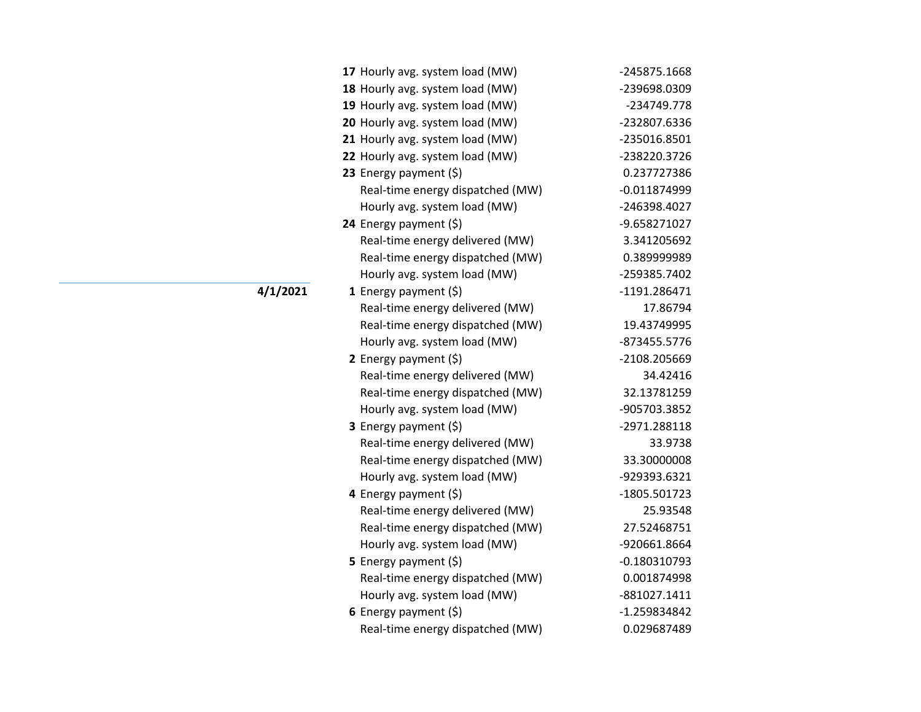| 17 Hourly avg. system load (MW)  | -245875.1668   |
|----------------------------------|----------------|
| 18 Hourly avg. system load (MW)  | -239698.0309   |
| 19 Hourly avg. system load (MW)  | -234749.778    |
| 20 Hourly avg. system load (MW)  | -232807.6336   |
| 21 Hourly avg. system load (MW)  | -235016.8501   |
| 22 Hourly avg. system load (MW)  | -238220.3726   |
| 23 Energy payment (\$)           | 0.237727386    |
| Real-time energy dispatched (MW) | $-0.011874999$ |
| Hourly avg. system load (MW)     | -246398.4027   |
| 24 Energy payment (\$)           | -9.658271027   |
| Real-time energy delivered (MW)  | 3.341205692    |
| Real-time energy dispatched (MW) | 0.389999989    |
| Hourly avg. system load (MW)     | -259385.7402   |
| 1 Energy payment $(5)$           | -1191.286471   |
| Real-time energy delivered (MW)  | 17.86794       |
| Real-time energy dispatched (MW) | 19.43749995    |
| Hourly avg. system load (MW)     | -873455.5776   |
| 2 Energy payment $(\xi)$         | -2108.205669   |
| Real-time energy delivered (MW)  | 34.42416       |
| Real-time energy dispatched (MW) | 32.13781259    |
| Hourly avg. system load (MW)     | -905703.3852   |
| <b>3</b> Energy payment $(\xi)$  | -2971.288118   |
| Real-time energy delivered (MW)  | 33.9738        |
| Real-time energy dispatched (MW) | 33.30000008    |
| Hourly avg. system load (MW)     | -929393.6321   |
| 4 Energy payment (\$)            | -1805.501723   |
| Real-time energy delivered (MW)  | 25.93548       |
| Real-time energy dispatched (MW) | 27.52468751    |
| Hourly avg. system load (MW)     | -920661.8664   |
| 5 Energy payment (\$)            | $-0.180310793$ |
| Real-time energy dispatched (MW) | 0.001874998    |
| Hourly avg. system load (MW)     | -881027.1411   |
| 6 Energy payment $(\xi)$         | -1.259834842   |
| Real-time energy dispatched (MW) | 0.029687489    |

**4/1/2021**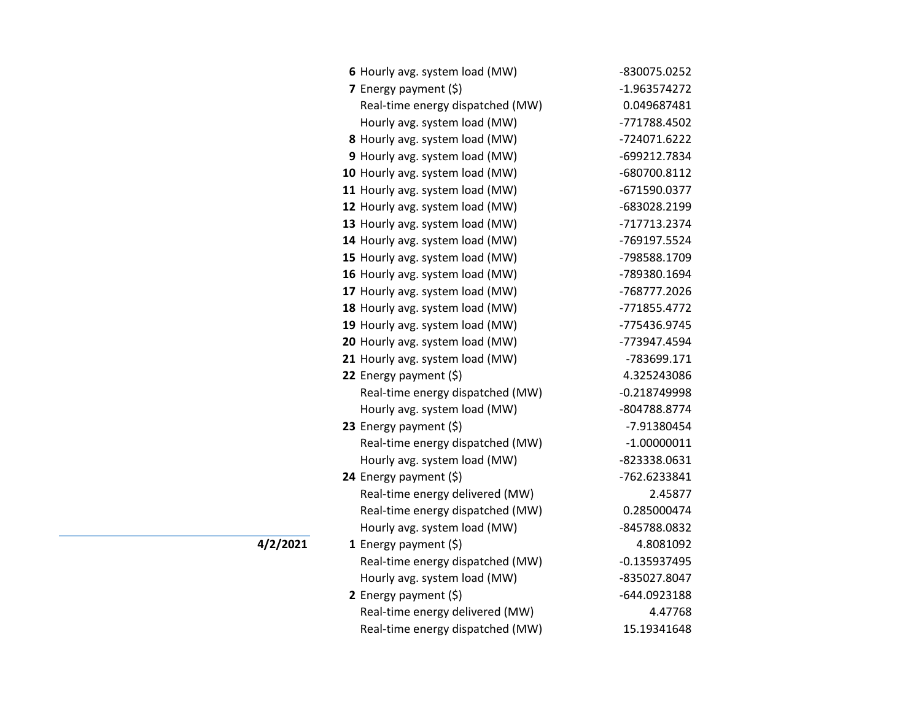| 6 Hourly avg. system load (MW)   | -830075.0252   |
|----------------------------------|----------------|
| 7 Energy payment (\$)            | -1.963574272   |
| Real-time energy dispatched (MW) | 0.049687481    |
| Hourly avg. system load (MW)     | -771788.4502   |
| 8 Hourly avg. system load (MW)   | -724071.6222   |
| 9 Hourly avg. system load (MW)   | -699212.7834   |
| 10 Hourly avg. system load (MW)  | -680700.8112   |
| 11 Hourly avg. system load (MW)  | -671590.0377   |
| 12 Hourly avg. system load (MW)  | -683028.2199   |
| 13 Hourly avg. system load (MW)  | -717713.2374   |
| 14 Hourly avg. system load (MW)  | -769197.5524   |
| 15 Hourly avg. system load (MW)  | -798588.1709   |
| 16 Hourly avg. system load (MW)  | -789380.1694   |
| 17 Hourly avg. system load (MW)  | -768777.2026   |
| 18 Hourly avg. system load (MW)  | -771855.4772   |
| 19 Hourly avg. system load (MW)  | -775436.9745   |
| 20 Hourly avg. system load (MW)  | -773947.4594   |
| 21 Hourly avg. system load (MW)  | -783699.171    |
| 22 Energy payment $(\xi)$        | 4.325243086    |
| Real-time energy dispatched (MW) | $-0.218749998$ |
| Hourly avg. system load (MW)     | -804788.8774   |
| 23 Energy payment $(5)$          | -7.91380454    |
| Real-time energy dispatched (MW) | $-1.00000011$  |
| Hourly avg. system load (MW)     | -823338.0631   |
| 24 Energy payment (\$)           | -762.6233841   |
| Real-time energy delivered (MW)  | 2.45877        |
| Real-time energy dispatched (MW) | 0.285000474    |
| Hourly avg. system load (MW)     | -845788.0832   |
| 1 Energy payment $(\xi)$         | 4.8081092      |
| Real-time energy dispatched (MW) | $-0.135937495$ |
| Hourly avg. system load (MW)     | -835027.8047   |
| 2 Energy payment $(\xi)$         | -644.0923188   |
| Real-time energy delivered (MW)  | 4.47768        |
| Real-time energy dispatched (MW) | 15.19341648    |

 $\overline{4/2/2021}$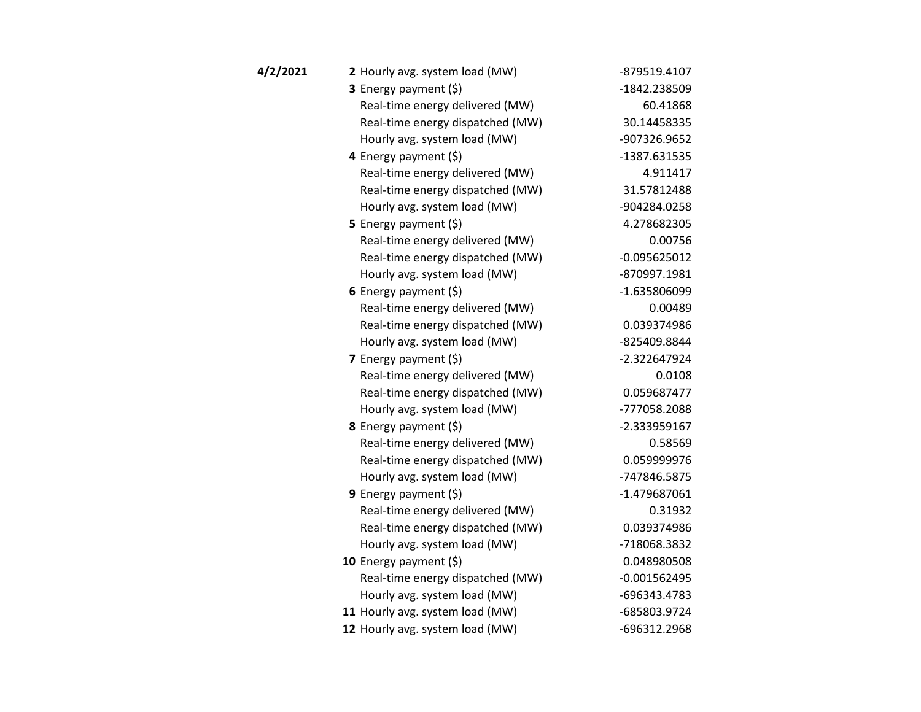| 4/2/2021 | 2 Hourly avg. system load (MW)   | -879519.4107   |
|----------|----------------------------------|----------------|
|          | 3 Energy payment (\$)            | -1842.238509   |
|          | Real-time energy delivered (MW)  | 60.41868       |
|          | Real-time energy dispatched (MW) | 30.14458335    |
|          | Hourly avg. system load (MW)     | -907326.9652   |
|          | 4 Energy payment (\$)            | -1387.631535   |
|          | Real-time energy delivered (MW)  | 4.911417       |
|          | Real-time energy dispatched (MW) | 31.57812488    |
|          | Hourly avg. system load (MW)     | -904284.0258   |
|          | 5 Energy payment $(5)$           | 4.278682305    |
|          | Real-time energy delivered (MW)  | 0.00756        |
|          | Real-time energy dispatched (MW) | $-0.095625012$ |
|          | Hourly avg. system load (MW)     | -870997.1981   |
|          | 6 Energy payment $(5)$           | -1.635806099   |
|          | Real-time energy delivered (MW)  | 0.00489        |
|          | Real-time energy dispatched (MW) | 0.039374986    |
|          | Hourly avg. system load (MW)     | -825409.8844   |
|          | 7 Energy payment (\$)            | -2.322647924   |
|          | Real-time energy delivered (MW)  | 0.0108         |
|          | Real-time energy dispatched (MW) | 0.059687477    |
|          | Hourly avg. system load (MW)     | -777058.2088   |
|          | <b>8</b> Energy payment $(\xi)$  | -2.333959167   |
|          | Real-time energy delivered (MW)  | 0.58569        |
|          | Real-time energy dispatched (MW) | 0.059999976    |
|          | Hourly avg. system load (MW)     | -747846.5875   |
|          | 9 Energy payment $(\xi)$         | -1.479687061   |
|          | Real-time energy delivered (MW)  | 0.31932        |
|          | Real-time energy dispatched (MW) | 0.039374986    |
|          | Hourly avg. system load (MW)     | -718068.3832   |
|          | 10 Energy payment $(5)$          | 0.048980508    |
|          | Real-time energy dispatched (MW) | $-0.001562495$ |
|          | Hourly avg. system load (MW)     | -696343.4783   |
|          | 11 Hourly avg. system load (MW)  | -685803.9724   |
|          | 12 Hourly avg. system load (MW)  | -696312.2968   |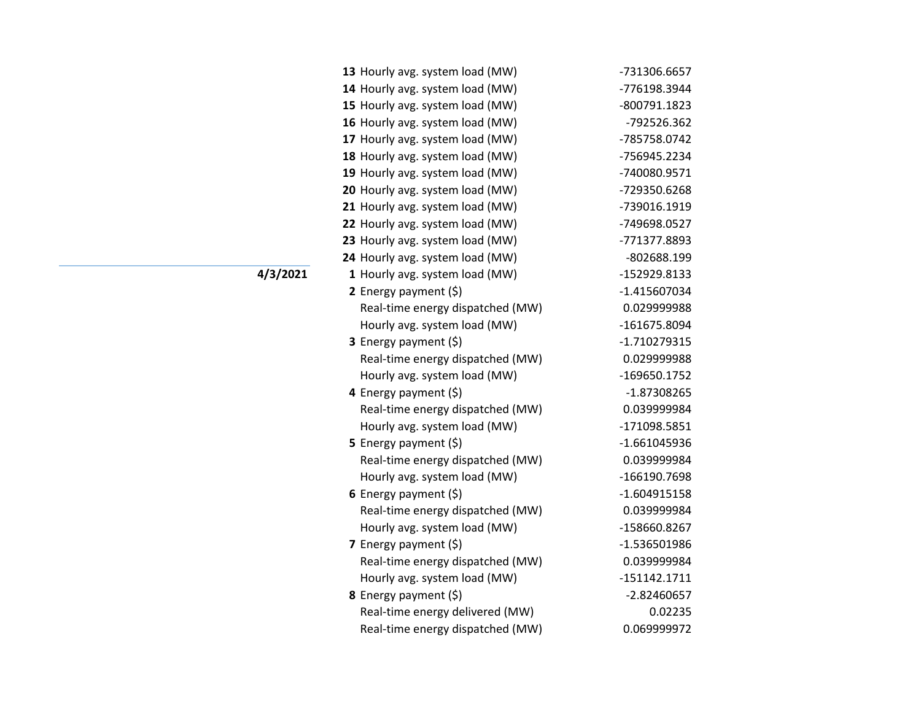| 13 Hourly avg. system load (MW)  | -731306.6657   |
|----------------------------------|----------------|
| 14 Hourly avg. system load (MW)  | -776198.3944   |
| 15 Hourly avg. system load (MW)  | -800791.1823   |
| 16 Hourly avg. system load (MW)  | -792526.362    |
| 17 Hourly avg. system load (MW)  | -785758.0742   |
| 18 Hourly avg. system load (MW)  | -756945.2234   |
| 19 Hourly avg. system load (MW)  | -740080.9571   |
| 20 Hourly avg. system load (MW)  | -729350.6268   |
| 21 Hourly avg. system load (MW)  | -739016.1919   |
| 22 Hourly avg. system load (MW)  | -749698.0527   |
| 23 Hourly avg. system load (MW)  | -771377.8893   |
| 24 Hourly avg. system load (MW)  | -802688.199    |
| 1 Hourly avg. system load (MW)   | -152929.8133   |
| 2 Energy payment $(\xi)$         | $-1.415607034$ |
| Real-time energy dispatched (MW) | 0.029999988    |
| Hourly avg. system load (MW)     | -161675.8094   |
| 3 Energy payment (\$)            | $-1.710279315$ |
| Real-time energy dispatched (MW) | 0.029999988    |
| Hourly avg. system load (MW)     | -169650.1752   |
| 4 Energy payment (\$)            | -1.87308265    |
| Real-time energy dispatched (MW) | 0.039999984    |
| Hourly avg. system load (MW)     | -171098.5851   |
| 5 Energy payment $(\xi)$         | $-1.661045936$ |
| Real-time energy dispatched (MW) | 0.039999984    |
| Hourly avg. system load (MW)     | -166190.7698   |
| 6 Energy payment $(\xi)$         | $-1.604915158$ |
| Real-time energy dispatched (MW) | 0.039999984    |
| Hourly avg. system load (MW)     | -158660.8267   |
| 7 Energy payment (\$)            | $-1.536501986$ |
| Real-time energy dispatched (MW) | 0.039999984    |
| Hourly avg. system load (MW)     | $-151142.1711$ |
| 8 Energy payment (\$)            | $-2.82460657$  |
| Real-time energy delivered (MW)  | 0.02235        |
| Real-time energy dispatched (MW) | 0.069999972    |

**4/3/2021**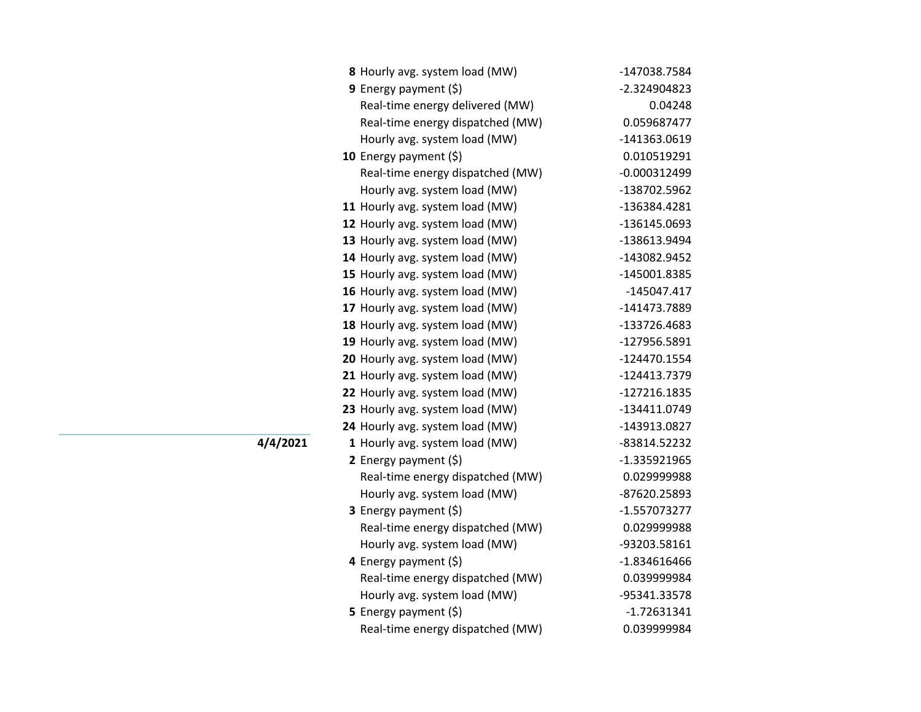| 8 Hourly avg. system load (MW)   | -147038.7584   |
|----------------------------------|----------------|
| 9 Energy payment $(\xi)$         | -2.324904823   |
| Real-time energy delivered (MW)  | 0.04248        |
| Real-time energy dispatched (MW) | 0.059687477    |
| Hourly avg. system load (MW)     | -141363.0619   |
| 10 Energy payment $(\xi)$        | 0.010519291    |
| Real-time energy dispatched (MW) | $-0.000312499$ |
| Hourly avg. system load (MW)     | -138702.5962   |
| 11 Hourly avg. system load (MW)  | -136384.4281   |
| 12 Hourly avg. system load (MW)  | -136145.0693   |
| 13 Hourly avg. system load (MW)  | -138613.9494   |
| 14 Hourly avg. system load (MW)  | -143082.9452   |
| 15 Hourly avg. system load (MW)  | -145001.8385   |
| 16 Hourly avg. system load (MW)  | $-145047.417$  |
| 17 Hourly avg. system load (MW)  | -141473.7889   |
| 18 Hourly avg. system load (MW)  | -133726.4683   |
| 19 Hourly avg. system load (MW)  | -127956.5891   |
| 20 Hourly avg. system load (MW)  | -124470.1554   |
| 21 Hourly avg. system load (MW)  | -124413.7379   |
| 22 Hourly avg. system load (MW)  | -127216.1835   |
| 23 Hourly avg. system load (MW)  | -134411.0749   |
| 24 Hourly avg. system load (MW)  | -143913.0827   |
| 1 Hourly avg. system load (MW)   | -83814.52232   |
| 2 Energy payment $(\xi)$         | $-1.335921965$ |
| Real-time energy dispatched (MW) | 0.029999988    |
| Hourly avg. system load (MW)     | -87620.25893   |
| 3 Energy payment (\$)            | $-1.557073277$ |
| Real-time energy dispatched (MW) | 0.029999988    |
| Hourly avg. system load (MW)     | -93203.58161   |
| 4 Energy payment (\$)            | $-1.834616466$ |
| Real-time energy dispatched (MW) | 0.039999984    |
| Hourly avg. system load (MW)     | -95341.33578   |
| <b>5</b> Energy payment $(\xi)$  | $-1.72631341$  |
| Real-time energy dispatched (MW) | 0.039999984    |

**4/4/2021**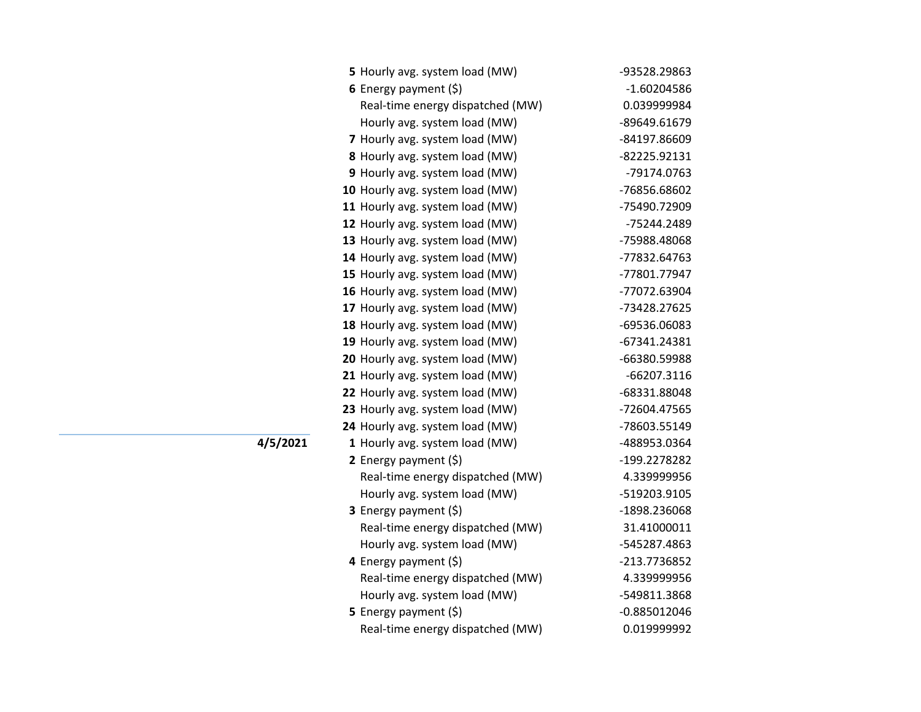| 5 Hourly avg. system load (MW)   | -93528.29863                                                                                                                                                                                                                  |
|----------------------------------|-------------------------------------------------------------------------------------------------------------------------------------------------------------------------------------------------------------------------------|
| 6 Energy payment $(\xi)$         | -1.60204586                                                                                                                                                                                                                   |
| Real-time energy dispatched (MW) | 0.039999984                                                                                                                                                                                                                   |
| Hourly avg. system load (MW)     | -89649.61679                                                                                                                                                                                                                  |
| 7 Hourly avg. system load (MW)   | -84197.86609                                                                                                                                                                                                                  |
| 8 Hourly avg. system load (MW)   | -82225.92131                                                                                                                                                                                                                  |
| 9 Hourly avg. system load (MW)   | -79174.0763                                                                                                                                                                                                                   |
| 10 Hourly avg. system load (MW)  | -76856.68602                                                                                                                                                                                                                  |
| 11 Hourly avg. system load (MW)  | -75490.72909                                                                                                                                                                                                                  |
| 12 Hourly avg. system load (MW)  | -75244.2489                                                                                                                                                                                                                   |
| 13 Hourly avg. system load (MW)  | -75988.48068                                                                                                                                                                                                                  |
| 14 Hourly avg. system load (MW)  | -77832.64763                                                                                                                                                                                                                  |
| 15 Hourly avg. system load (MW)  | -77801.77947                                                                                                                                                                                                                  |
| 16 Hourly avg. system load (MW)  | -77072.63904                                                                                                                                                                                                                  |
| 17 Hourly avg. system load (MW)  | -73428.27625                                                                                                                                                                                                                  |
| 18 Hourly avg. system load (MW)  | -69536.06083                                                                                                                                                                                                                  |
| 19 Hourly avg. system load (MW)  | -67341.24381                                                                                                                                                                                                                  |
| 20 Hourly avg. system load (MW)  | -66380.59988                                                                                                                                                                                                                  |
| 21 Hourly avg. system load (MW)  | -66207.3116                                                                                                                                                                                                                   |
| 22 Hourly avg. system load (MW)  | -68331.88048                                                                                                                                                                                                                  |
| 23 Hourly avg. system load (MW)  | -72604.47565                                                                                                                                                                                                                  |
| 24 Hourly avg. system load (MW)  | -78603.55149                                                                                                                                                                                                                  |
| 1 Hourly avg. system load (MW)   | -488953.0364                                                                                                                                                                                                                  |
| 2 Energy payment $(\xi)$         | -199.2278282                                                                                                                                                                                                                  |
|                                  | 4.339999956                                                                                                                                                                                                                   |
|                                  | -519203.9105                                                                                                                                                                                                                  |
|                                  | -1898.236068                                                                                                                                                                                                                  |
|                                  | 31.41000011                                                                                                                                                                                                                   |
|                                  | -545287.4863                                                                                                                                                                                                                  |
|                                  | -213.7736852                                                                                                                                                                                                                  |
| Real-time energy dispatched (MW) | 4.339999956                                                                                                                                                                                                                   |
| Hourly avg. system load (MW)     | -549811.3868                                                                                                                                                                                                                  |
| 5 Energy payment (\$)            | $-0.885012046$                                                                                                                                                                                                                |
|                                  | 0.019999992                                                                                                                                                                                                                   |
|                                  | Real-time energy dispatched (MW)<br>Hourly avg. system load (MW)<br>3 Energy payment (\$)<br>Real-time energy dispatched (MW)<br>Hourly avg. system load (MW)<br>4 Energy payment $(\xi)$<br>Real-time energy dispatched (MW) |

**4/5/2021**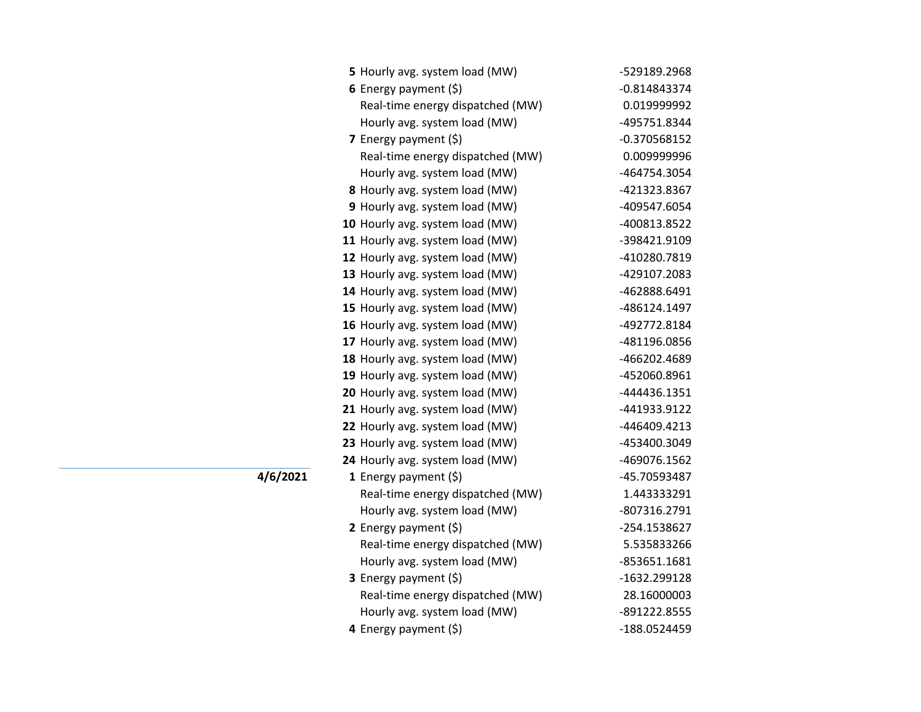| 5 Hourly avg. system load (MW)   | -529189.2968   |
|----------------------------------|----------------|
| 6 Energy payment $(5)$           | $-0.814843374$ |
| Real-time energy dispatched (MW) | 0.019999992    |
| Hourly avg. system load (MW)     | -495751.8344   |
| <b>7</b> Energy payment $(\xi)$  | $-0.370568152$ |
| Real-time energy dispatched (MW) | 0.009999996    |
| Hourly avg. system load (MW)     | -464754.3054   |
| 8 Hourly avg. system load (MW)   | -421323.8367   |
| 9 Hourly avg. system load (MW)   | -409547.6054   |
| 10 Hourly avg. system load (MW)  | -400813.8522   |
| 11 Hourly avg. system load (MW)  | -398421.9109   |
| 12 Hourly avg. system load (MW)  | -410280.7819   |
| 13 Hourly avg. system load (MW)  | -429107.2083   |
| 14 Hourly avg. system load (MW)  | -462888.6491   |
| 15 Hourly avg. system load (MW)  | -486124.1497   |
| 16 Hourly avg. system load (MW)  | -492772.8184   |
| 17 Hourly avg. system load (MW)  | -481196.0856   |
| 18 Hourly avg. system load (MW)  | -466202.4689   |
| 19 Hourly avg. system load (MW)  | -452060.8961   |
| 20 Hourly avg. system load (MW)  | -444436.1351   |
| 21 Hourly avg. system load (MW)  | -441933.9122   |
| 22 Hourly avg. system load (MW)  | -446409.4213   |
| 23 Hourly avg. system load (MW)  | -453400.3049   |
| 24 Hourly avg. system load (MW)  | -469076.1562   |
| 1 Energy payment $(\xi)$         | -45.70593487   |
| Real-time energy dispatched (MW) | 1.443333291    |
| Hourly avg. system load (MW)     | -807316.2791   |
| 2 Energy payment $(\xi)$         | -254.1538627   |
| Real-time energy dispatched (MW) | 5.535833266    |
| Hourly avg. system load (MW)     | -853651.1681   |
| 3 Energy payment (\$)            | -1632.299128   |
| Real-time energy dispatched (MW) | 28.16000003    |
| Hourly avg. system load (MW)     | -891222.8555   |
| 4 Energy payment (\$)            | -188.0524459   |

**4/6/2021**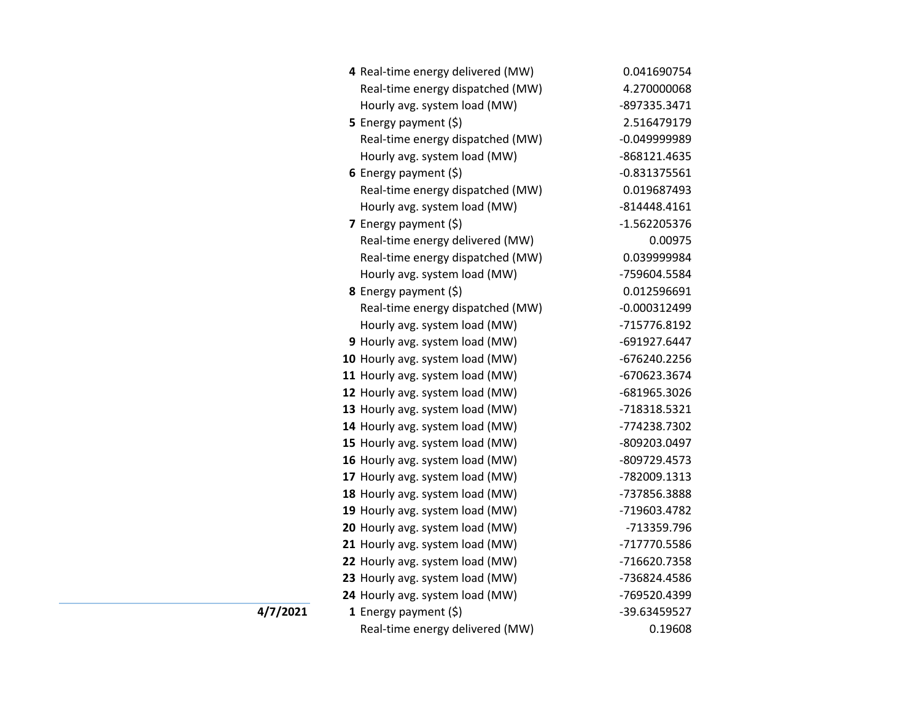| 4 Real-time energy delivered (MW) | 0.041690754    |
|-----------------------------------|----------------|
| Real-time energy dispatched (MW)  | 4.270000068    |
| Hourly avg. system load (MW)      | -897335.3471   |
| 5 Energy payment (\$)             | 2.516479179    |
| Real-time energy dispatched (MW)  | $-0.049999989$ |
| Hourly avg. system load (MW)      | -868121.4635   |
| 6 Energy payment $(\xi)$          | $-0.831375561$ |
| Real-time energy dispatched (MW)  | 0.019687493    |
| Hourly avg. system load (MW)      | $-814448.4161$ |
| <b>7</b> Energy payment $(\xi)$   | -1.562205376   |
| Real-time energy delivered (MW)   | 0.00975        |
| Real-time energy dispatched (MW)  | 0.039999984    |
| Hourly avg. system load (MW)      | -759604.5584   |
| 8 Energy payment (\$)             | 0.012596691    |
| Real-time energy dispatched (MW)  | $-0.000312499$ |
| Hourly avg. system load (MW)      | -715776.8192   |
| 9 Hourly avg. system load (MW)    | -691927.6447   |
| 10 Hourly avg. system load (MW)   | -676240.2256   |
| 11 Hourly avg. system load (MW)   | -670623.3674   |
| 12 Hourly avg. system load (MW)   | -681965.3026   |
| 13 Hourly avg. system load (MW)   | -718318.5321   |
| 14 Hourly avg. system load (MW)   | -774238.7302   |
| 15 Hourly avg. system load (MW)   | -809203.0497   |
| 16 Hourly avg. system load (MW)   | -809729.4573   |
| 17 Hourly avg. system load (MW)   | -782009.1313   |
| 18 Hourly avg. system load (MW)   | -737856.3888   |
| 19 Hourly avg. system load (MW)   | -719603.4782   |
| 20 Hourly avg. system load (MW)   | -713359.796    |
| 21 Hourly avg. system load (MW)   | -717770.5586   |
| 22 Hourly avg. system load (MW)   | -716620.7358   |
| 23 Hourly avg. system load (MW)   | -736824.4586   |
| 24 Hourly avg. system load (MW)   | -769520.4399   |
| 1 Energy payment $(\xi)$          | -39.63459527   |
| Real-time energy delivered (MW)   | 0.19608        |

**4/7/2021**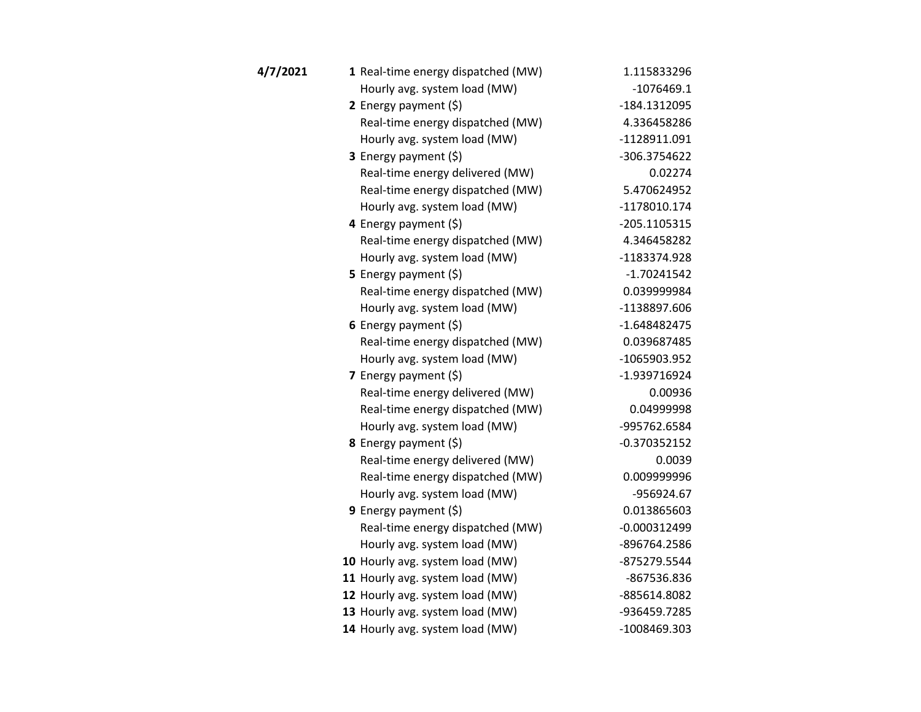| 4/7/2021 | 1 Real-time energy dispatched (MW) | 1.115833296    |
|----------|------------------------------------|----------------|
|          | Hourly avg. system load (MW)       | $-1076469.1$   |
|          | 2 Energy payment $(5)$             | -184.1312095   |
|          | Real-time energy dispatched (MW)   | 4.336458286    |
|          | Hourly avg. system load (MW)       | -1128911.091   |
|          | 3 Energy payment (\$)              | -306.3754622   |
|          | Real-time energy delivered (MW)    | 0.02274        |
|          | Real-time energy dispatched (MW)   | 5.470624952    |
|          | Hourly avg. system load (MW)       | $-1178010.174$ |
|          | 4 Energy payment (\$)              | -205.1105315   |
|          | Real-time energy dispatched (MW)   | 4.346458282    |
|          | Hourly avg. system load (MW)       | -1183374.928   |
|          | 5 Energy payment $(\xi)$           | $-1.70241542$  |
|          | Real-time energy dispatched (MW)   | 0.039999984    |
|          | Hourly avg. system load (MW)       | -1138897.606   |
|          | 6 Energy payment $(\xi)$           | $-1.648482475$ |
|          | Real-time energy dispatched (MW)   | 0.039687485    |
|          | Hourly avg. system load (MW)       | -1065903.952   |
|          | 7 Energy payment $(\xi)$           | -1.939716924   |
|          | Real-time energy delivered (MW)    | 0.00936        |
|          | Real-time energy dispatched (MW)   | 0.04999998     |
|          | Hourly avg. system load (MW)       | -995762.6584   |
|          | 8 Energy payment (\$)              | $-0.370352152$ |
|          | Real-time energy delivered (MW)    | 0.0039         |
|          | Real-time energy dispatched (MW)   | 0.009999996    |
|          | Hourly avg. system load (MW)       | -956924.67     |
|          | <b>9</b> Energy payment $(\xi)$    | 0.013865603    |
|          | Real-time energy dispatched (MW)   | $-0.000312499$ |
|          | Hourly avg. system load (MW)       | -896764.2586   |
|          | 10 Hourly avg. system load (MW)    | -875279.5544   |
|          | 11 Hourly avg. system load (MW)    | -867536.836    |
|          | 12 Hourly avg. system load (MW)    | -885614.8082   |
|          | 13 Hourly avg. system load (MW)    | -936459.7285   |
|          | 14 Hourly avg. system load (MW)    | -1008469.303   |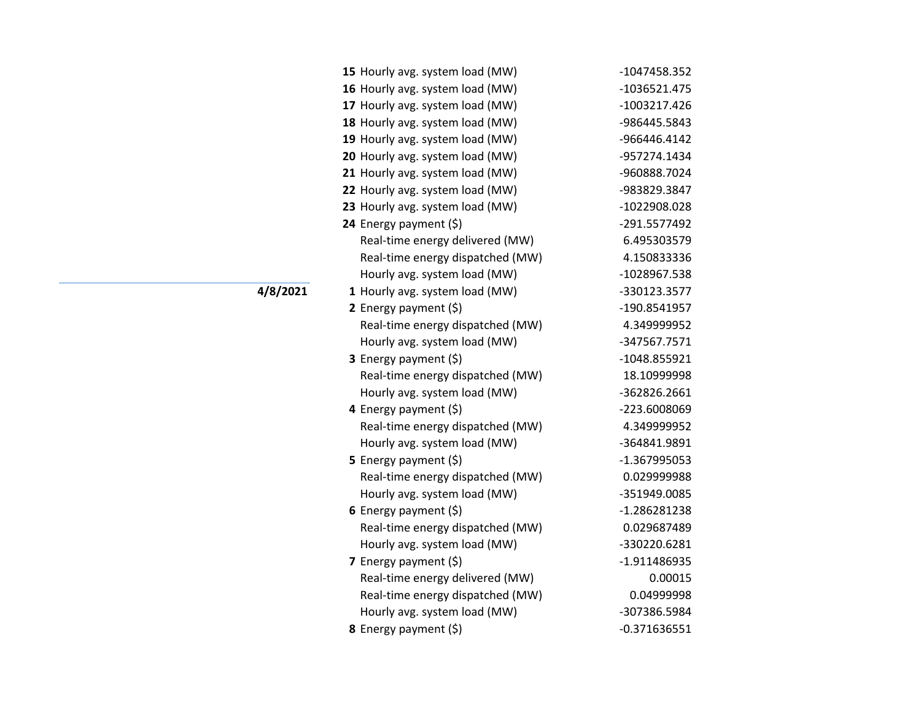| 15 Hourly avg. system load (MW)  | -1047458.352   |
|----------------------------------|----------------|
| 16 Hourly avg. system load (MW)  | $-1036521.475$ |
| 17 Hourly avg. system load (MW)  | -1003217.426   |
| 18 Hourly avg. system load (MW)  | -986445.5843   |
| 19 Hourly avg. system load (MW)  | -966446.4142   |
| 20 Hourly avg. system load (MW)  | -957274.1434   |
| 21 Hourly avg. system load (MW)  | -960888.7024   |
| 22 Hourly avg. system load (MW)  | -983829.3847   |
| 23 Hourly avg. system load (MW)  | -1022908.028   |
| 24 Energy payment (\$)           | -291.5577492   |
| Real-time energy delivered (MW)  | 6.495303579    |
| Real-time energy dispatched (MW) | 4.150833336    |
| Hourly avg. system load (MW)     | -1028967.538   |
| 1 Hourly avg. system load (MW)   | -330123.3577   |
| 2 Energy payment $(\xi)$         | -190.8541957   |
| Real-time energy dispatched (MW) | 4.349999952    |
| Hourly avg. system load (MW)     | -347567.7571   |
| <b>3</b> Energy payment $(\xi)$  | -1048.855921   |
| Real-time energy dispatched (MW) | 18.10999998    |
| Hourly avg. system load (MW)     | -362826.2661   |
| 4 Energy payment (\$)            | -223.6008069   |
| Real-time energy dispatched (MW) | 4.349999952    |
| Hourly avg. system load (MW)     | -364841.9891   |
| 5 Energy payment $(\xi)$         | -1.367995053   |
| Real-time energy dispatched (MW) | 0.029999988    |
| Hourly avg. system load (MW)     | -351949.0085   |
| 6 Energy payment $(\xi)$         | -1.286281238   |
| Real-time energy dispatched (MW) | 0.029687489    |
| Hourly avg. system load (MW)     | -330220.6281   |
| 7 Energy payment (\$)            | -1.911486935   |
| Real-time energy delivered (MW)  | 0.00015        |
| Real-time energy dispatched (MW) | 0.04999998     |
| Hourly avg. system load (MW)     | -307386.5984   |
| 8 Energy payment (\$)            | $-0.371636551$ |

**4/8/2021**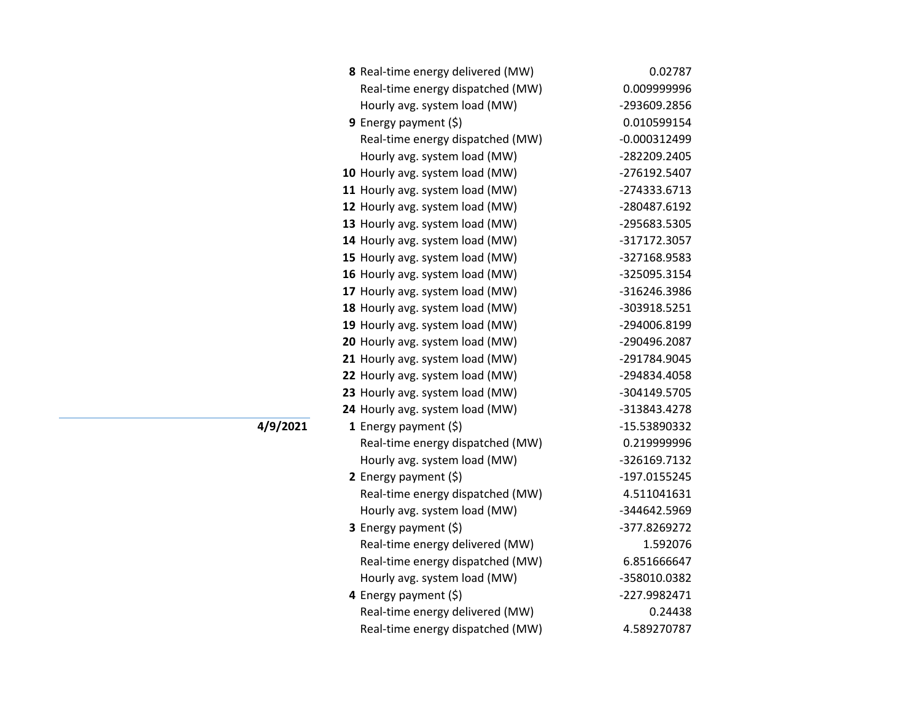| 8 Real-time energy delivered (MW) | 0.02787        |
|-----------------------------------|----------------|
| Real-time energy dispatched (MW)  | 0.009999996    |
| Hourly avg. system load (MW)      | -293609.2856   |
| 9 Energy payment (\$)             | 0.010599154    |
| Real-time energy dispatched (MW)  | $-0.000312499$ |
| Hourly avg. system load (MW)      | -282209.2405   |
| 10 Hourly avg. system load (MW)   | -276192.5407   |
| 11 Hourly avg. system load (MW)   | -274333.6713   |
| 12 Hourly avg. system load (MW)   | -280487.6192   |
| 13 Hourly avg. system load (MW)   | -295683.5305   |
| 14 Hourly avg. system load (MW)   | -317172.3057   |
| 15 Hourly avg. system load (MW)   | -327168.9583   |
| 16 Hourly avg. system load (MW)   | -325095.3154   |
| 17 Hourly avg. system load (MW)   | -316246.3986   |
| 18 Hourly avg. system load (MW)   | -303918.5251   |
| 19 Hourly avg. system load (MW)   | -294006.8199   |
| 20 Hourly avg. system load (MW)   | -290496.2087   |
| 21 Hourly avg. system load (MW)   | -291784.9045   |
| 22 Hourly avg. system load (MW)   | -294834.4058   |
| 23 Hourly avg. system load (MW)   | -304149.5705   |
| 24 Hourly avg. system load (MW)   | -313843.4278   |
| 1 Energy payment $(\xi)$          | -15.53890332   |
| Real-time energy dispatched (MW)  | 0.219999996    |
| Hourly avg. system load (MW)      | -326169.7132   |
| 2 Energy payment (\$)             | -197.0155245   |
| Real-time energy dispatched (MW)  | 4.511041631    |
| Hourly avg. system load (MW)      | -344642.5969   |
| 3 Energy payment (\$)             | -377.8269272   |
| Real-time energy delivered (MW)   | 1.592076       |
| Real-time energy dispatched (MW)  | 6.851666647    |
| Hourly avg. system load (MW)      | -358010.0382   |
| 4 Energy payment (\$)             | -227.9982471   |
| Real-time energy delivered (MW)   | 0.24438        |
| Real-time energy dispatched (MW)  | 4.589270787    |
|                                   |                |

**4/9/2021**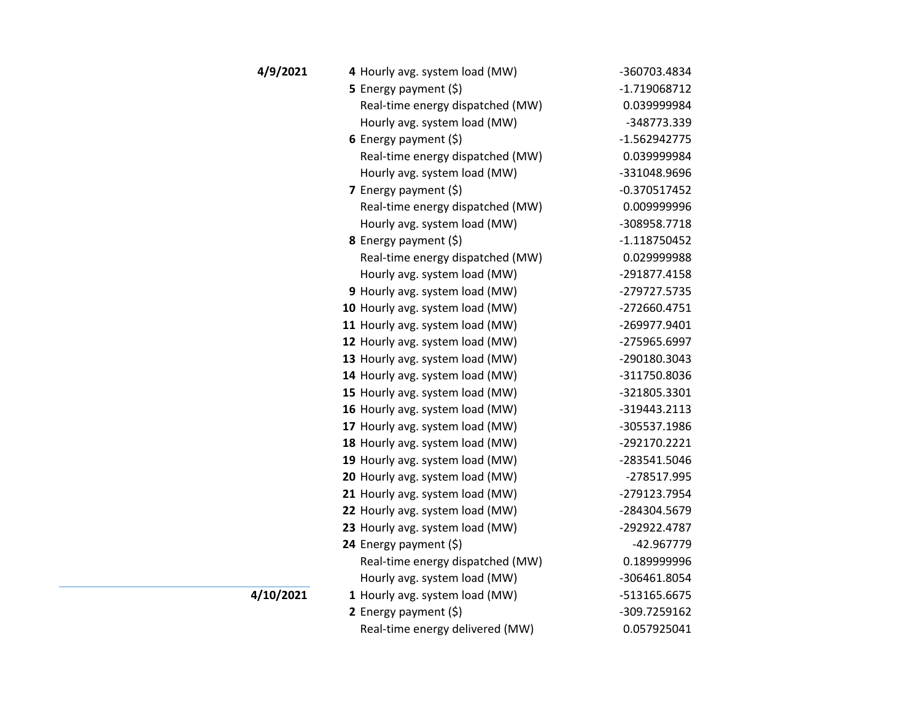| 4/9/2021  | 4 Hourly avg. system load (MW)   | -360703.4834   |
|-----------|----------------------------------|----------------|
|           | <b>5</b> Energy payment $(\xi)$  | -1.719068712   |
|           | Real-time energy dispatched (MW) | 0.039999984    |
|           | Hourly avg. system load (MW)     | -348773.339    |
|           | 6 Energy payment $(5)$           | $-1.562942775$ |
|           | Real-time energy dispatched (MW) | 0.039999984    |
|           | Hourly avg. system load (MW)     | -331048.9696   |
|           | 7 Energy payment $(\xi)$         | $-0.370517452$ |
|           | Real-time energy dispatched (MW) | 0.009999996    |
|           | Hourly avg. system load (MW)     | -308958.7718   |
|           | 8 Energy payment (\$)            | $-1.118750452$ |
|           | Real-time energy dispatched (MW) | 0.029999988    |
|           | Hourly avg. system load (MW)     | -291877.4158   |
|           | 9 Hourly avg. system load (MW)   | -279727.5735   |
|           | 10 Hourly avg. system load (MW)  | -272660.4751   |
|           | 11 Hourly avg. system load (MW)  | -269977.9401   |
|           | 12 Hourly avg. system load (MW)  | -275965.6997   |
|           | 13 Hourly avg. system load (MW)  | -290180.3043   |
|           | 14 Hourly avg. system load (MW)  | -311750.8036   |
|           | 15 Hourly avg. system load (MW)  | -321805.3301   |
|           | 16 Hourly avg. system load (MW)  | -319443.2113   |
|           | 17 Hourly avg. system load (MW)  | -305537.1986   |
|           | 18 Hourly avg. system load (MW)  | -292170.2221   |
|           | 19 Hourly avg. system load (MW)  | -283541.5046   |
|           | 20 Hourly avg. system load (MW)  | -278517.995    |
|           | 21 Hourly avg. system load (MW)  | -279123.7954   |
|           | 22 Hourly avg. system load (MW)  | -284304.5679   |
|           | 23 Hourly avg. system load (MW)  | -292922.4787   |
|           | 24 Energy payment (\$)           | -42.967779     |
|           | Real-time energy dispatched (MW) | 0.189999996    |
|           | Hourly avg. system load (MW)     | -306461.8054   |
| 4/10/2021 | 1 Hourly avg. system load (MW)   | -513165.6675   |
|           | 2 Energy payment $(5)$           | -309.7259162   |
|           | Real-time energy delivered (MW)  | 0.057925041    |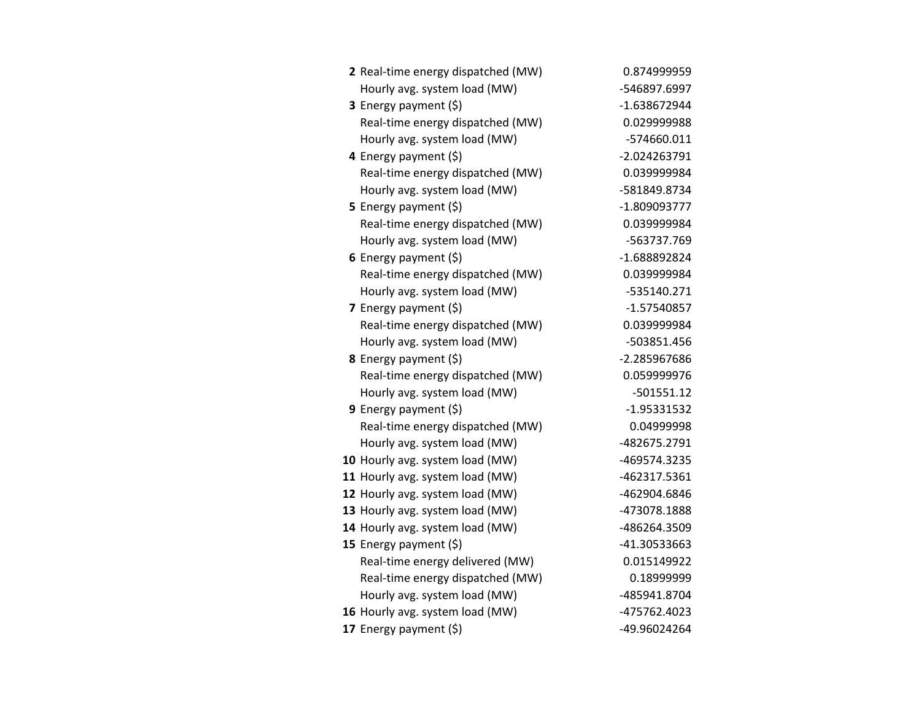| 2 Real-time energy dispatched (MW) | 0.874999959    |
|------------------------------------|----------------|
| Hourly avg. system load (MW)       | -546897.6997   |
| 3 Energy payment (\$)              | -1.638672944   |
| Real-time energy dispatched (MW)   | 0.029999988    |
| Hourly avg. system load (MW)       | -574660.011    |
| 4 Energy payment (\$)              | $-2.024263791$ |
| Real-time energy dispatched (MW)   | 0.039999984    |
| Hourly avg. system load (MW)       | -581849.8734   |
| 5 Energy payment $(\xi)$           | $-1.809093777$ |
| Real-time energy dispatched (MW)   | 0.039999984    |
| Hourly avg. system load (MW)       | -563737.769    |
| 6 Energy payment $(5)$             | -1.688892824   |
| Real-time energy dispatched (MW)   | 0.039999984    |
| Hourly avg. system load (MW)       | $-535140.271$  |
| 7 Energy payment (\$)              | $-1.57540857$  |
| Real-time energy dispatched (MW)   | 0.039999984    |
| Hourly avg. system load (MW)       | -503851.456    |
| <b>8</b> Energy payment $(\xi)$    | -2.285967686   |
| Real-time energy dispatched (MW)   | 0.059999976    |
| Hourly avg. system load (MW)       | $-501551.12$   |
| 9 Energy payment (\$)              | $-1.95331532$  |
| Real-time energy dispatched (MW)   | 0.04999998     |
| Hourly avg. system load (MW)       | -482675.2791   |
| 10 Hourly avg. system load (MW)    | -469574.3235   |
| 11 Hourly avg. system load (MW)    | -462317.5361   |
| 12 Hourly avg. system load (MW)    | -462904.6846   |
| 13 Hourly avg. system load (MW)    | -473078.1888   |
| 14 Hourly avg. system load (MW)    | -486264.3509   |
| 15 Energy payment $(5)$            | -41.30533663   |
| Real-time energy delivered (MW)    | 0.015149922    |
| Real-time energy dispatched (MW)   | 0.18999999     |
| Hourly avg. system load (MW)       | -485941.8704   |
| 16 Hourly avg. system load (MW)    | -475762.4023   |
| 17 Energy payment (\$)             | -49.96024264   |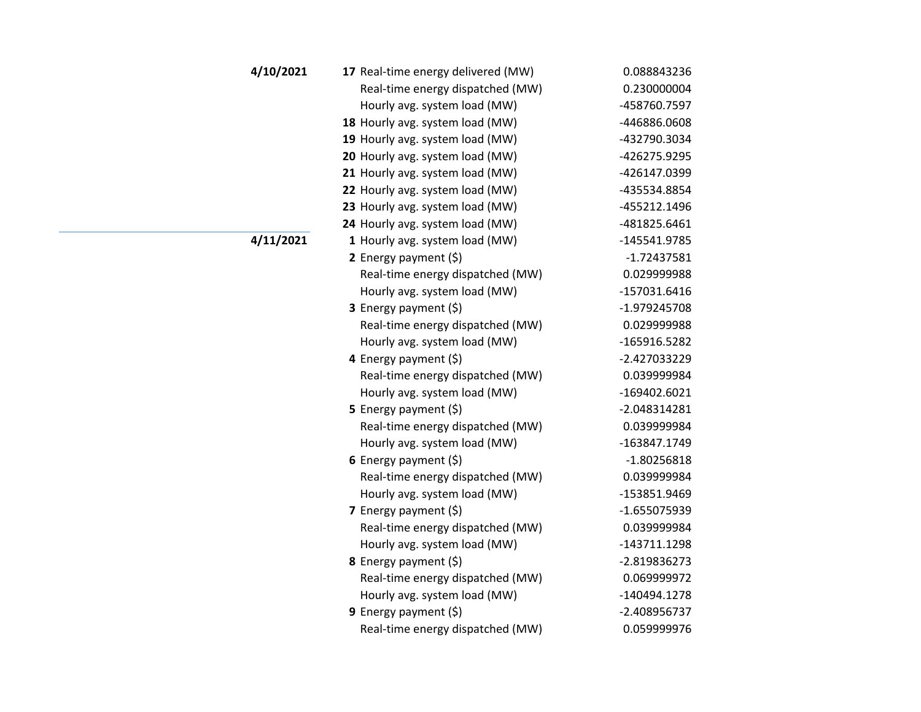| 4/10/2021 | 17 Real-time energy delivered (MW) | 0.088843236    |
|-----------|------------------------------------|----------------|
|           | Real-time energy dispatched (MW)   | 0.230000004    |
|           | Hourly avg. system load (MW)       | -458760.7597   |
|           | 18 Hourly avg. system load (MW)    | -446886.0608   |
|           | 19 Hourly avg. system load (MW)    | -432790.3034   |
|           | 20 Hourly avg. system load (MW)    | -426275.9295   |
|           | 21 Hourly avg. system load (MW)    | -426147.0399   |
|           | 22 Hourly avg. system load (MW)    | -435534.8854   |
|           | 23 Hourly avg. system load (MW)    | -455212.1496   |
|           | 24 Hourly avg. system load (MW)    | -481825.6461   |
| 4/11/2021 | 1 Hourly avg. system load (MW)     | -145541.9785   |
|           | 2 Energy payment (\$)              | $-1.72437581$  |
|           | Real-time energy dispatched (MW)   | 0.029999988    |
|           | Hourly avg. system load (MW)       | $-157031.6416$ |
|           | <b>3</b> Energy payment $(\xi)$    | -1.979245708   |
|           | Real-time energy dispatched (MW)   | 0.029999988    |
|           | Hourly avg. system load (MW)       | -165916.5282   |
|           | 4 Energy payment (\$)              | -2.427033229   |
|           | Real-time energy dispatched (MW)   | 0.039999984    |
|           | Hourly avg. system load (MW)       | -169402.6021   |
|           | 5 Energy payment $(5)$             | $-2.048314281$ |
|           | Real-time energy dispatched (MW)   | 0.039999984    |
|           | Hourly avg. system load (MW)       | -163847.1749   |
|           | 6 Energy payment $(\xi)$           | $-1.80256818$  |
|           | Real-time energy dispatched (MW)   | 0.039999984    |
|           | Hourly avg. system load (MW)       | -153851.9469   |
|           | 7 Energy payment $(\xi)$           | $-1.655075939$ |
|           | Real-time energy dispatched (MW)   | 0.039999984    |
|           | Hourly avg. system load (MW)       | -143711.1298   |
|           | 8 Energy payment (\$)              | -2.819836273   |
|           | Real-time energy dispatched (MW)   | 0.069999972    |
|           | Hourly avg. system load (MW)       | -140494.1278   |
|           | 9 Energy payment (\$)              | -2.408956737   |
|           | Real-time energy dispatched (MW)   | 0.059999976    |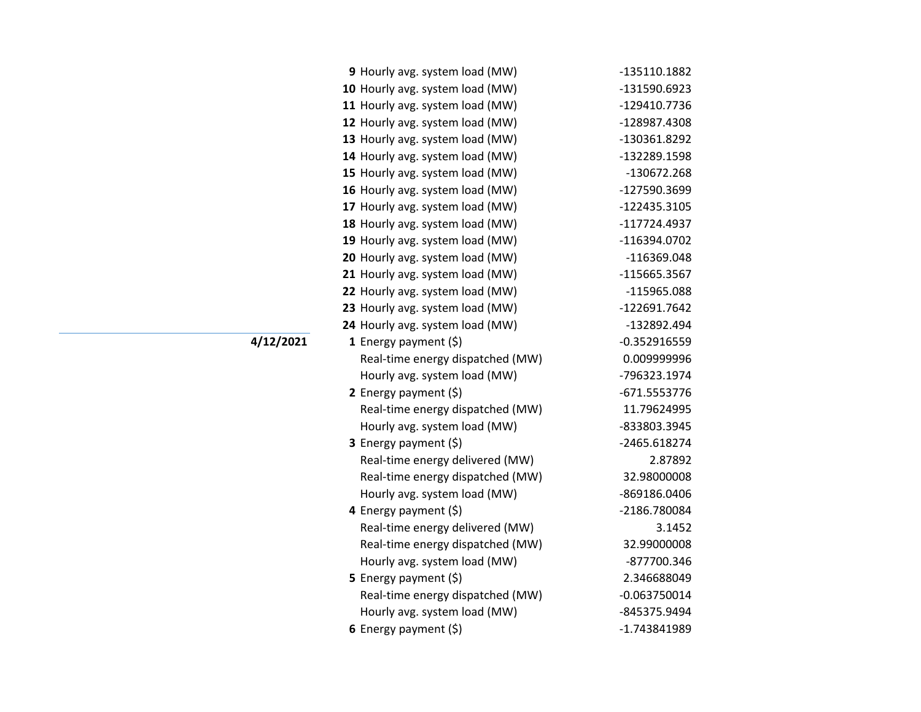| 9 Hourly avg. system load (MW)   | -135110.1882   |
|----------------------------------|----------------|
| 10 Hourly avg. system load (MW)  | -131590.6923   |
| 11 Hourly avg. system load (MW)  | -129410.7736   |
| 12 Hourly avg. system load (MW)  | -128987.4308   |
| 13 Hourly avg. system load (MW)  | -130361.8292   |
| 14 Hourly avg. system load (MW)  | -132289.1598   |
| 15 Hourly avg. system load (MW)  | -130672.268    |
| 16 Hourly avg. system load (MW)  | -127590.3699   |
| 17 Hourly avg. system load (MW)  | -122435.3105   |
| 18 Hourly avg. system load (MW)  | $-117724.4937$ |
| 19 Hourly avg. system load (MW)  | -116394.0702   |
| 20 Hourly avg. system load (MW)  | -116369.048    |
| 21 Hourly avg. system load (MW)  | -115665.3567   |
| 22 Hourly avg. system load (MW)  | -115965.088    |
| 23 Hourly avg. system load (MW)  | -122691.7642   |
| 24 Hourly avg. system load (MW)  | -132892.494    |
| 1 Energy payment $(\xi)$         | $-0.352916559$ |
| Real-time energy dispatched (MW) | 0.009999996    |
| Hourly avg. system load (MW)     | -796323.1974   |
| 2 Energy payment $(5)$           | -671.5553776   |
| Real-time energy dispatched (MW) | 11.79624995    |
| Hourly avg. system load (MW)     | -833803.3945   |
| <b>3</b> Energy payment $(\xi)$  | -2465.618274   |
| Real-time energy delivered (MW)  | 2.87892        |
| Real-time energy dispatched (MW) | 32.98000008    |
| Hourly avg. system load (MW)     | -869186.0406   |
| 4 Energy payment (\$)            | -2186.780084   |
| Real-time energy delivered (MW)  | 3.1452         |
| Real-time energy dispatched (MW) | 32.99000008    |
| Hourly avg. system load (MW)     | -877700.346    |
| <b>5</b> Energy payment $(\xi)$  | 2.346688049    |
| Real-time energy dispatched (MW) | $-0.063750014$ |
| Hourly avg. system load (MW)     | -845375.9494   |
| 6 Energy payment $(5)$           | -1.743841989   |

**4/12/2021**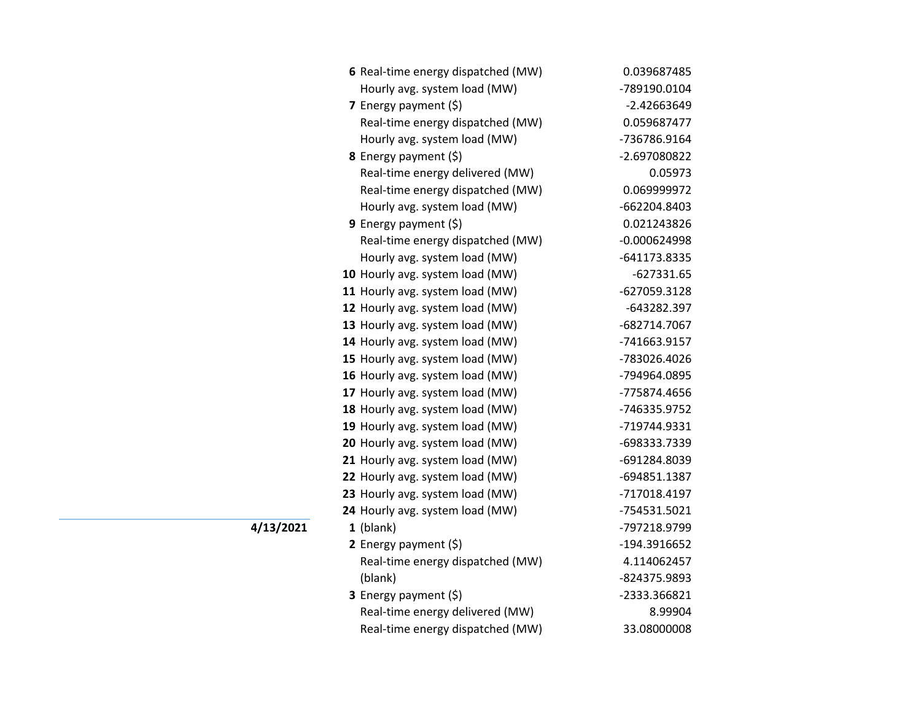| 6 Real-time energy dispatched (MW) | 0.039687485    |
|------------------------------------|----------------|
| Hourly avg. system load (MW)       | -789190.0104   |
| 7 Energy payment (\$)              | $-2.42663649$  |
| Real-time energy dispatched (MW)   | 0.059687477    |
| Hourly avg. system load (MW)       | -736786.9164   |
| 8 Energy payment (\$)              | -2.697080822   |
| Real-time energy delivered (MW)    | 0.05973        |
| Real-time energy dispatched (MW)   | 0.069999972    |
| Hourly avg. system load (MW)       | -662204.8403   |
| 9 Energy payment $(\xi)$           | 0.021243826    |
| Real-time energy dispatched (MW)   | $-0.000624998$ |
| Hourly avg. system load (MW)       | -641173.8335   |
| 10 Hourly avg. system load (MW)    | $-627331.65$   |
| 11 Hourly avg. system load (MW)    | -627059.3128   |
| 12 Hourly avg. system load (MW)    | -643282.397    |
| 13 Hourly avg. system load (MW)    | -682714.7067   |
| 14 Hourly avg. system load (MW)    | -741663.9157   |
| 15 Hourly avg. system load (MW)    | -783026.4026   |
| 16 Hourly avg. system load (MW)    | -794964.0895   |
| 17 Hourly avg. system load (MW)    | -775874.4656   |
| 18 Hourly avg. system load (MW)    | -746335.9752   |
| 19 Hourly avg. system load (MW)    | -719744.9331   |
| 20 Hourly avg. system load (MW)    | -698333.7339   |
| 21 Hourly avg. system load (MW)    | -691284.8039   |
| 22 Hourly avg. system load (MW)    | -694851.1387   |
| 23 Hourly avg. system load (MW)    | -717018.4197   |
| 24 Hourly avg. system load (MW)    | -754531.5021   |
| $1$ (blank)                        | -797218.9799   |
| 2 Energy payment $(\xi)$           | -194.3916652   |
| Real-time energy dispatched (MW)   | 4.114062457    |
| (blank)                            | -824375.9893   |
| 3 Energy payment (\$)              | -2333.366821   |
| Real-time energy delivered (MW)    | 8.99904        |
| Real-time energy dispatched (MW)   | 33.08000008    |

**4/13/2021**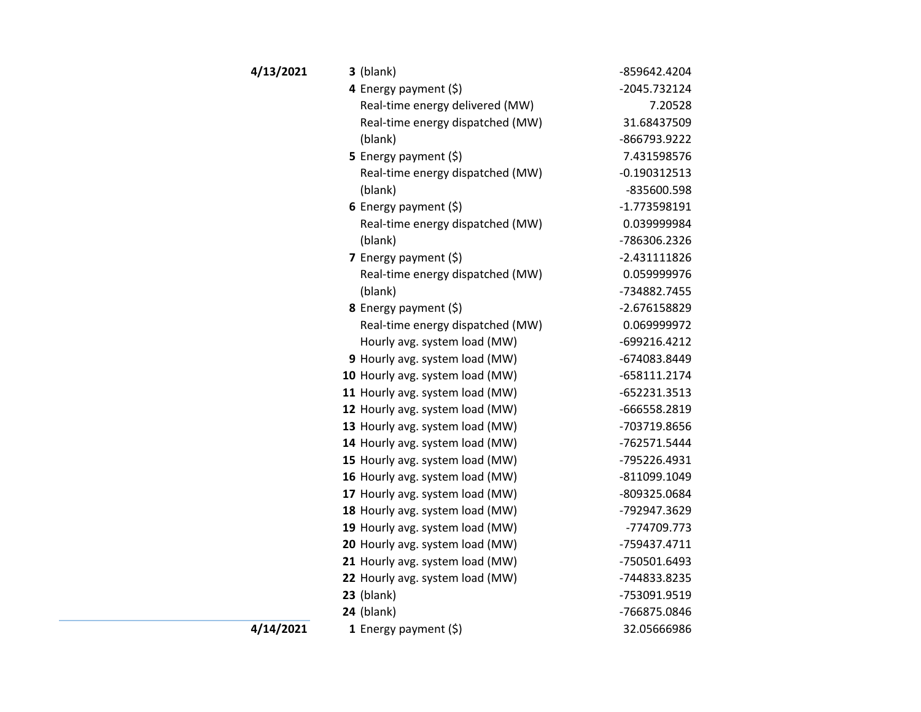| 4/13/2021 | $3$ (blank)                      | -859642.4204   |
|-----------|----------------------------------|----------------|
|           | 4 Energy payment $(\xi)$         | -2045.732124   |
|           | Real-time energy delivered (MW)  | 7.20528        |
|           | Real-time energy dispatched (MW) | 31.68437509    |
|           | (blank)                          | -866793.9222   |
|           | 5 Energy payment (\$)            | 7.431598576    |
|           | Real-time energy dispatched (MW) | $-0.190312513$ |
|           | (blank)                          | -835600.598    |
|           | 6 Energy payment $(\$)$          | $-1.773598191$ |
|           | Real-time energy dispatched (MW) | 0.039999984    |
|           | (blank)                          | -786306.2326   |
|           | 7 Energy payment $(\xi)$         | $-2.431111826$ |
|           | Real-time energy dispatched (MW) | 0.059999976    |
|           | (blank)                          | -734882.7455   |
|           | 8 Energy payment (\$)            | -2.676158829   |
|           | Real-time energy dispatched (MW) | 0.069999972    |
|           | Hourly avg. system load (MW)     | -699216.4212   |
|           | 9 Hourly avg. system load (MW)   | -674083.8449   |
|           | 10 Hourly avg. system load (MW)  | -658111.2174   |
|           | 11 Hourly avg. system load (MW)  | -652231.3513   |
|           | 12 Hourly avg. system load (MW)  | -666558.2819   |
|           | 13 Hourly avg. system load (MW)  | -703719.8656   |
|           | 14 Hourly avg. system load (MW)  | -762571.5444   |
|           | 15 Hourly avg. system load (MW)  | -795226.4931   |
|           | 16 Hourly avg. system load (MW)  | -811099.1049   |
|           | 17 Hourly avg. system load (MW)  | -809325.0684   |
|           | 18 Hourly avg. system load (MW)  | -792947.3629   |
|           | 19 Hourly avg. system load (MW)  | -774709.773    |
|           | 20 Hourly avg. system load (MW)  | -759437.4711   |
|           | 21 Hourly avg. system load (MW)  | -750501.6493   |
|           | 22 Hourly avg. system load (MW)  | -744833.8235   |
|           | $23$ (blank)                     | -753091.9519   |
|           | $24$ (blank)                     | -766875.0846   |
| 4/14/2021 | 1 Energy payment $(5)$           | 32.05666986    |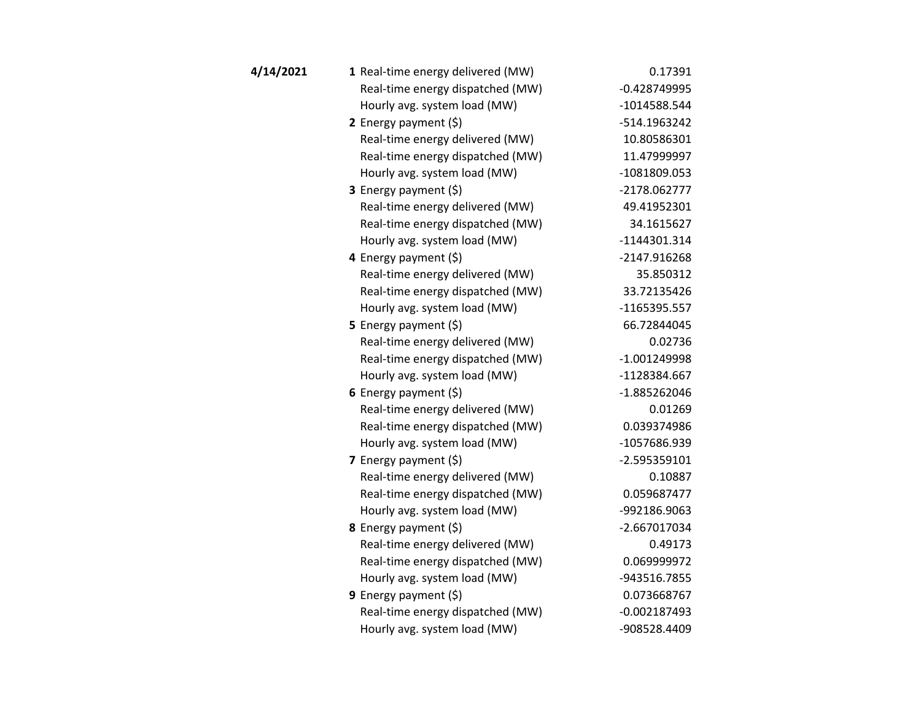| 4/14/2021 | 1 Real-time energy delivered (MW) | 0.17391        |
|-----------|-----------------------------------|----------------|
|           | Real-time energy dispatched (MW)  | $-0.428749995$ |
|           | Hourly avg. system load (MW)      | -1014588.544   |
|           | 2 Energy payment (\$)             | -514.1963242   |
|           | Real-time energy delivered (MW)   | 10.80586301    |
|           | Real-time energy dispatched (MW)  | 11.47999997    |
|           | Hourly avg. system load (MW)      | -1081809.053   |
|           | <b>3</b> Energy payment $(\xi)$   | -2178.062777   |
|           | Real-time energy delivered (MW)   | 49.41952301    |
|           | Real-time energy dispatched (MW)  | 34.1615627     |
|           | Hourly avg. system load (MW)      | -1144301.314   |
|           | 4 Energy payment (\$)             | -2147.916268   |
|           | Real-time energy delivered (MW)   | 35.850312      |
|           | Real-time energy dispatched (MW)  | 33.72135426    |
|           | Hourly avg. system load (MW)      | $-1165395.557$ |
|           | 5 Energy payment $(5)$            | 66.72844045    |
|           | Real-time energy delivered (MW)   | 0.02736        |
|           | Real-time energy dispatched (MW)  | $-1.001249998$ |
|           | Hourly avg. system load (MW)      | -1128384.667   |
|           | 6 Energy payment $(\xi)$          | -1.885262046   |
|           | Real-time energy delivered (MW)   | 0.01269        |
|           | Real-time energy dispatched (MW)  | 0.039374986    |
|           | Hourly avg. system load (MW)      | -1057686.939   |
|           | 7 Energy payment $(\xi)$          | $-2.595359101$ |
|           | Real-time energy delivered (MW)   | 0.10887        |
|           | Real-time energy dispatched (MW)  | 0.059687477    |
|           | Hourly avg. system load (MW)      | -992186.9063   |
|           | <b>8</b> Energy payment $(\xi)$   | $-2.667017034$ |
|           | Real-time energy delivered (MW)   | 0.49173        |
|           | Real-time energy dispatched (MW)  | 0.069999972    |
|           | Hourly avg. system load (MW)      | -943516.7855   |
|           | <b>9</b> Energy payment $(\xi)$   | 0.073668767    |
|           | Real-time energy dispatched (MW)  | $-0.002187493$ |
|           | Hourly avg. system load (MW)      | -908528.4409   |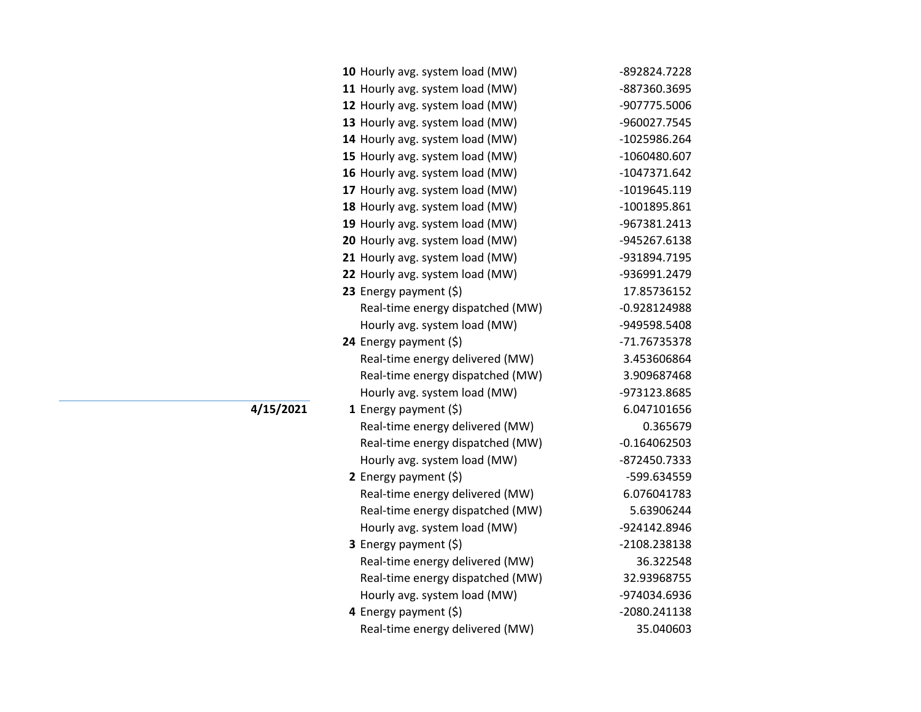| 10 Hourly avg. system load (MW)  | -892824.7228   |
|----------------------------------|----------------|
| 11 Hourly avg. system load (MW)  | -887360.3695   |
| 12 Hourly avg. system load (MW)  | -907775.5006   |
| 13 Hourly avg. system load (MW)  | -960027.7545   |
| 14 Hourly avg. system load (MW)  | -1025986.264   |
| 15 Hourly avg. system load (MW)  | -1060480.607   |
| 16 Hourly avg. system load (MW)  | $-1047371.642$ |
| 17 Hourly avg. system load (MW)  | -1019645.119   |
| 18 Hourly avg. system load (MW)  | -1001895.861   |
| 19 Hourly avg. system load (MW)  | -967381.2413   |
| 20 Hourly avg. system load (MW)  | -945267.6138   |
| 21 Hourly avg. system load (MW)  | -931894.7195   |
| 22 Hourly avg. system load (MW)  | -936991.2479   |
| 23 Energy payment $(\xi)$        | 17.85736152    |
| Real-time energy dispatched (MW) | -0.928124988   |
| Hourly avg. system load (MW)     | -949598.5408   |
| 24 Energy payment (\$)           | -71.76735378   |
| Real-time energy delivered (MW)  | 3.453606864    |
| Real-time energy dispatched (MW) | 3.909687468    |
| Hourly avg. system load (MW)     | -973123.8685   |
| 1 Energy payment $(\xi)$         | 6.047101656    |
| Real-time energy delivered (MW)  | 0.365679       |
| Real-time energy dispatched (MW) | $-0.164062503$ |
| Hourly avg. system load (MW)     | -872450.7333   |
| 2 Energy payment $(\xi)$         | -599.634559    |
| Real-time energy delivered (MW)  | 6.076041783    |
| Real-time energy dispatched (MW) | 5.63906244     |
| Hourly avg. system load (MW)     | -924142.8946   |
| 3 Energy payment (\$)            | -2108.238138   |
| Real-time energy delivered (MW)  | 36.322548      |
| Real-time energy dispatched (MW) | 32.93968755    |
| Hourly avg. system load (MW)     | -974034.6936   |
| 4 Energy payment (\$)            | -2080.241138   |
| Real-time energy delivered (MW)  | 35.040603      |

**4/15/2021**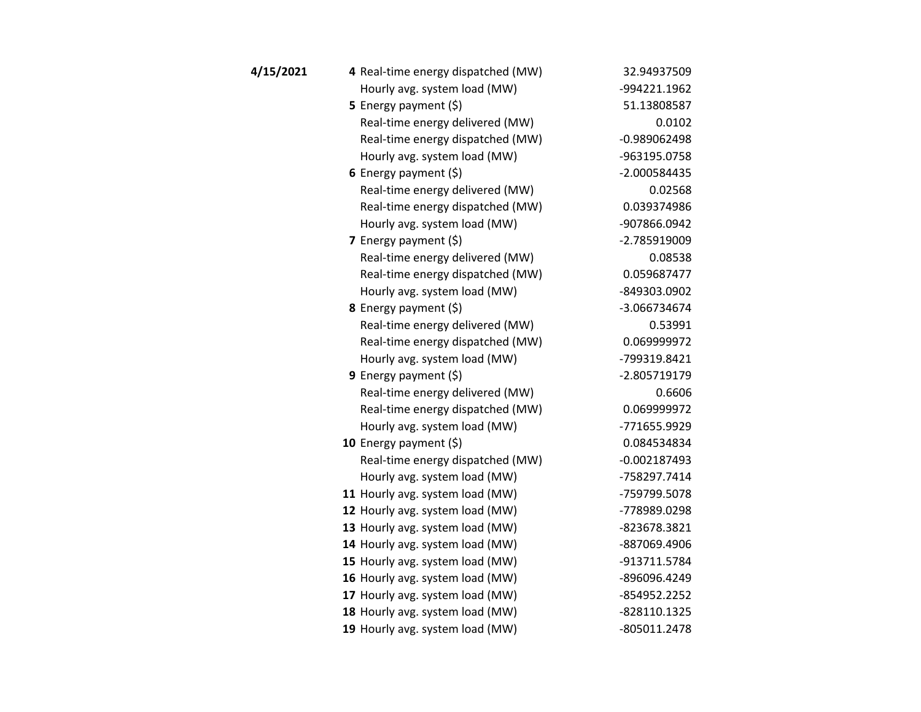| 4/15/2021 | 4 Real-time energy dispatched (MW) | 32.94937509    |
|-----------|------------------------------------|----------------|
|           | Hourly avg. system load (MW)       | -994221.1962   |
|           | 5 Energy payment (\$)              | 51.13808587    |
|           | Real-time energy delivered (MW)    | 0.0102         |
|           | Real-time energy dispatched (MW)   | -0.989062498   |
|           | Hourly avg. system load (MW)       | -963195.0758   |
|           | 6 Energy payment $(\xi)$           | -2.000584435   |
|           | Real-time energy delivered (MW)    | 0.02568        |
|           | Real-time energy dispatched (MW)   | 0.039374986    |
|           | Hourly avg. system load (MW)       | -907866.0942   |
|           | 7 Energy payment (\$)              | -2.785919009   |
|           | Real-time energy delivered (MW)    | 0.08538        |
|           | Real-time energy dispatched (MW)   | 0.059687477    |
|           | Hourly avg. system load (MW)       | -849303.0902   |
|           | 8 Energy payment (\$)              | -3.066734674   |
|           | Real-time energy delivered (MW)    | 0.53991        |
|           | Real-time energy dispatched (MW)   | 0.069999972    |
|           | Hourly avg. system load (MW)       | -799319.8421   |
|           | 9 Energy payment $(\xi)$           | -2.805719179   |
|           | Real-time energy delivered (MW)    | 0.6606         |
|           | Real-time energy dispatched (MW)   | 0.069999972    |
|           | Hourly avg. system load (MW)       | -771655.9929   |
|           | 10 Energy payment $(\xi)$          | 0.084534834    |
|           | Real-time energy dispatched (MW)   | $-0.002187493$ |
|           | Hourly avg. system load (MW)       | -758297.7414   |
|           | 11 Hourly avg. system load (MW)    | -759799.5078   |
|           | 12 Hourly avg. system load (MW)    | -778989.0298   |
|           | 13 Hourly avg. system load (MW)    | -823678.3821   |
|           | 14 Hourly avg. system load (MW)    | -887069.4906   |
|           | 15 Hourly avg. system load (MW)    | -913711.5784   |
|           | 16 Hourly avg. system load (MW)    | -896096.4249   |
|           | 17 Hourly avg. system load (MW)    | -854952.2252   |
|           | 18 Hourly avg. system load (MW)    | -828110.1325   |
|           | 19 Hourly avg. system load (MW)    | -805011.2478   |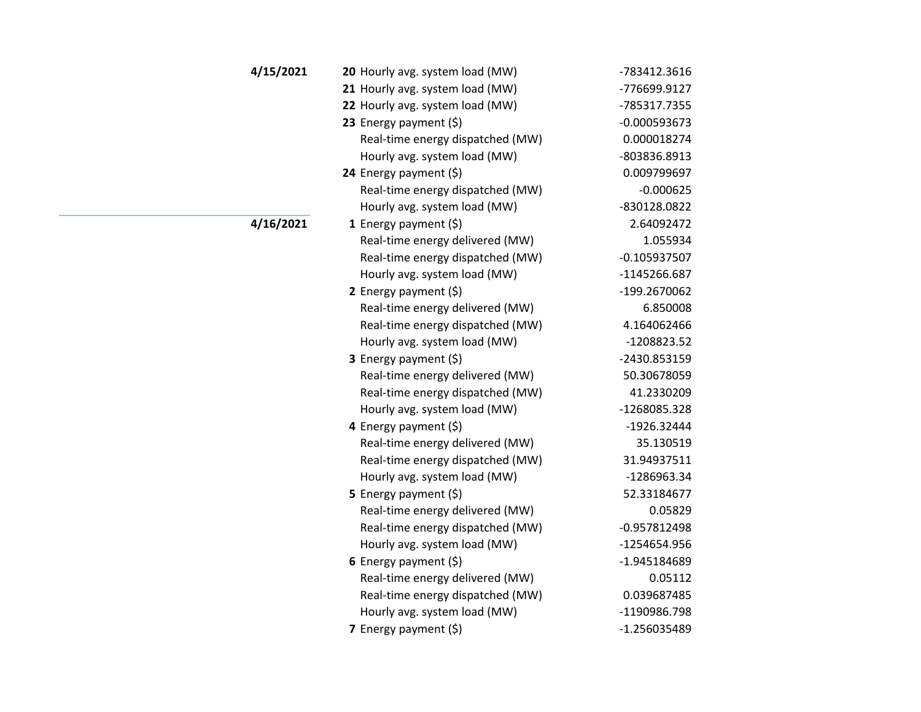| 4/15/2021 | 20 Hourly avg. system load (MW)  | -783412.3616   |
|-----------|----------------------------------|----------------|
|           | 21 Hourly avg. system load (MW)  | -776699.9127   |
|           | 22 Hourly avg. system load (MW)  | -785317.7355   |
|           | 23 Energy payment (\$)           | $-0.000593673$ |
|           | Real-time energy dispatched (MW) | 0.000018274    |
|           | Hourly avg. system load (MW)     | -803836.8913   |
|           | 24 Energy payment $(\xi)$        | 0.009799697    |
|           | Real-time energy dispatched (MW) | $-0.000625$    |
|           | Hourly avg. system load (MW)     | -830128.0822   |
| 4/16/2021 | 1 Energy payment $(\xi)$         | 2.64092472     |
|           | Real-time energy delivered (MW)  | 1.055934       |
|           | Real-time energy dispatched (MW) | $-0.105937507$ |
|           | Hourly avg. system load (MW)     | -1145266.687   |
|           | 2 Energy payment $(\xi)$         | -199.2670062   |
|           | Real-time energy delivered (MW)  | 6.850008       |
|           | Real-time energy dispatched (MW) | 4.164062466    |
|           | Hourly avg. system load (MW)     | -1208823.52    |
|           | 3 Energy payment (\$)            | -2430.853159   |
|           | Real-time energy delivered (MW)  | 50.30678059    |
|           | Real-time energy dispatched (MW) | 41.2330209     |
|           | Hourly avg. system load (MW)     | -1268085.328   |
|           | 4 Energy payment (\$)            | -1926.32444    |
|           | Real-time energy delivered (MW)  | 35.130519      |
|           | Real-time energy dispatched (MW) | 31.94937511    |
|           | Hourly avg. system load (MW)     | -1286963.34    |
|           | 5 Energy payment $(\xi)$         | 52.33184677    |
|           | Real-time energy delivered (MW)  | 0.05829        |
|           | Real-time energy dispatched (MW) | $-0.957812498$ |
|           | Hourly avg. system load (MW)     | -1254654.956   |
|           | 6 Energy payment $(\xi)$         | -1.945184689   |
|           | Real-time energy delivered (MW)  | 0.05112        |
|           | Real-time energy dispatched (MW) | 0.039687485    |
|           | Hourly avg. system load (MW)     | -1190986.798   |
|           | 7 Energy payment (\$)            | -1.256035489   |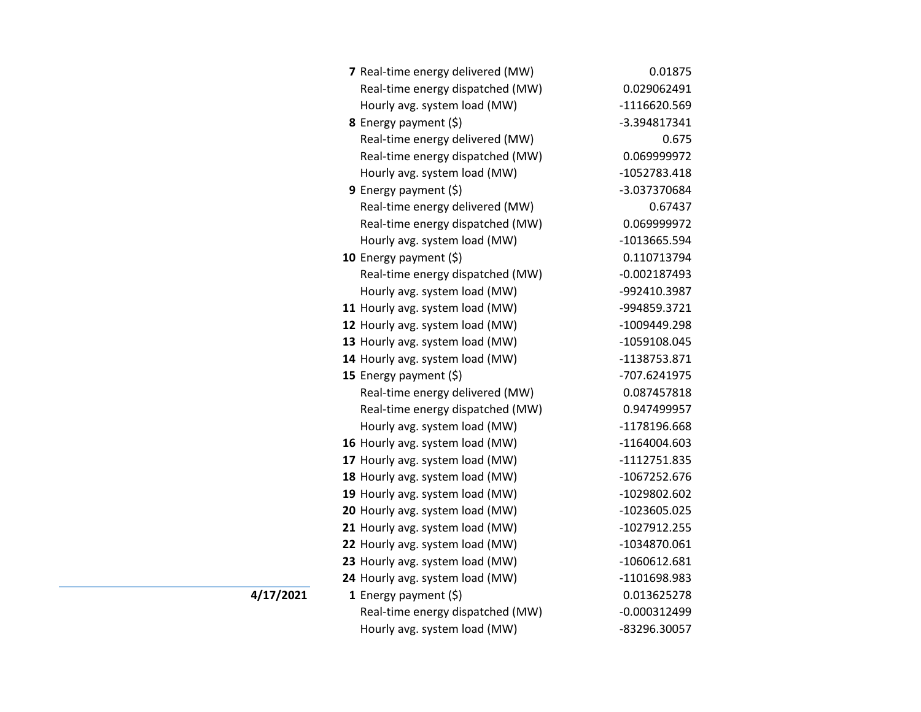| 7 Real-time energy delivered (MW) | 0.01875        |
|-----------------------------------|----------------|
| Real-time energy dispatched (MW)  | 0.029062491    |
| Hourly avg. system load (MW)      | -1116620.569   |
| 8 Energy payment (\$)             | -3.394817341   |
| Real-time energy delivered (MW)   | 0.675          |
| Real-time energy dispatched (MW)  | 0.069999972    |
| Hourly avg. system load (MW)      | -1052783.418   |
| 9 Energy payment (\$)             | -3.037370684   |
| Real-time energy delivered (MW)   | 0.67437        |
| Real-time energy dispatched (MW)  | 0.069999972    |
| Hourly avg. system load (MW)      | -1013665.594   |
| 10 Energy payment (\$)            | 0.110713794    |
| Real-time energy dispatched (MW)  | $-0.002187493$ |
| Hourly avg. system load (MW)      | -992410.3987   |
| 11 Hourly avg. system load (MW)   | -994859.3721   |
| 12 Hourly avg. system load (MW)   | -1009449.298   |
| 13 Hourly avg. system load (MW)   | -1059108.045   |
| 14 Hourly avg. system load (MW)   | -1138753.871   |
| 15 Energy payment $(\xi)$         | -707.6241975   |
| Real-time energy delivered (MW)   | 0.087457818    |
| Real-time energy dispatched (MW)  | 0.947499957    |
| Hourly avg. system load (MW)      | -1178196.668   |
| 16 Hourly avg. system load (MW)   | $-1164004.603$ |
| 17 Hourly avg. system load (MW)   | -1112751.835   |
| 18 Hourly avg. system load (MW)   | -1067252.676   |
| 19 Hourly avg. system load (MW)   | -1029802.602   |
| 20 Hourly avg. system load (MW)   | -1023605.025   |
| 21 Hourly avg. system load (MW)   | -1027912.255   |
| 22 Hourly avg. system load (MW)   | -1034870.061   |
| 23 Hourly avg. system load (MW)   | -1060612.681   |
| 24 Hourly avg. system load (MW)   | -1101698.983   |
| 1 Energy payment $(\xi)$          | 0.013625278    |
| Real-time energy dispatched (MW)  | $-0.000312499$ |
| Hourly avg. system load (MW)      | -83296.30057   |

**4/17/2021**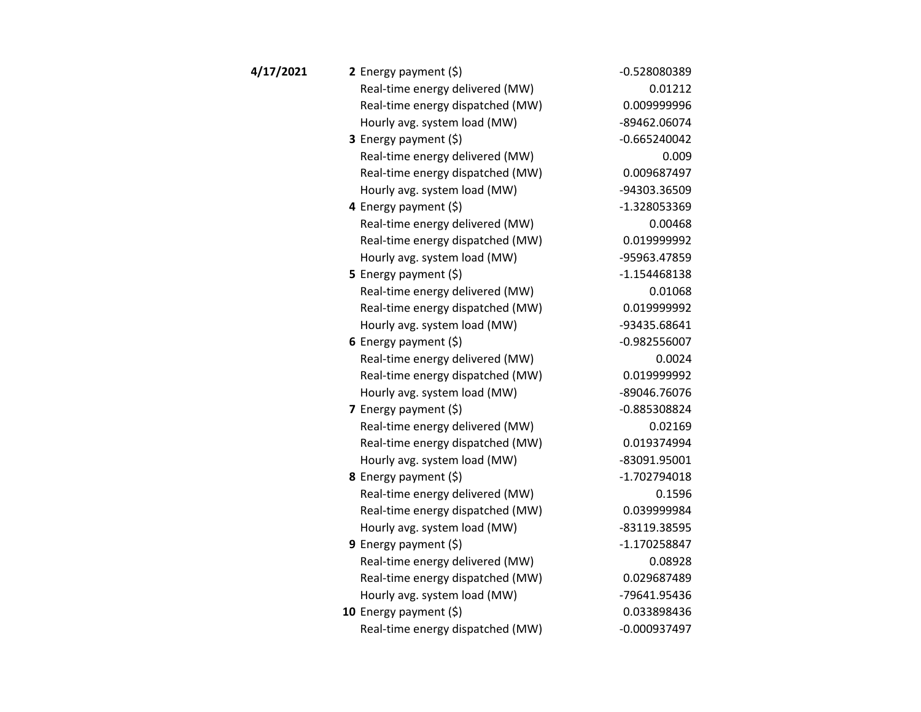| 4/17/2021 | 2 Energy payment $(\xi)$         | -0.528080389   |
|-----------|----------------------------------|----------------|
|           | Real-time energy delivered (MW)  | 0.01212        |
|           | Real-time energy dispatched (MW) | 0.009999996    |
|           | Hourly avg. system load (MW)     | -89462.06074   |
|           | 3 Energy payment (\$)            | $-0.665240042$ |
|           | Real-time energy delivered (MW)  | 0.009          |
|           | Real-time energy dispatched (MW) | 0.009687497    |
|           | Hourly avg. system load (MW)     | -94303.36509   |
|           | 4 Energy payment (\$)            | -1.328053369   |
|           | Real-time energy delivered (MW)  | 0.00468        |
|           | Real-time energy dispatched (MW) | 0.019999992    |
|           | Hourly avg. system load (MW)     | -95963.47859   |
|           | 5 Energy payment (\$)            | $-1.154468138$ |
|           | Real-time energy delivered (MW)  | 0.01068        |
|           | Real-time energy dispatched (MW) | 0.019999992    |
|           | Hourly avg. system load (MW)     | -93435.68641   |
|           | 6 Energy payment $(5)$           | $-0.982556007$ |
|           | Real-time energy delivered (MW)  | 0.0024         |
|           | Real-time energy dispatched (MW) | 0.019999992    |
|           | Hourly avg. system load (MW)     | -89046.76076   |
|           | 7 Energy payment (\$)            | -0.885308824   |
|           | Real-time energy delivered (MW)  | 0.02169        |
|           | Real-time energy dispatched (MW) | 0.019374994    |
|           | Hourly avg. system load (MW)     | -83091.95001   |
|           | 8 Energy payment (\$)            | -1.702794018   |
|           | Real-time energy delivered (MW)  | 0.1596         |
|           | Real-time energy dispatched (MW) | 0.039999984    |
|           | Hourly avg. system load (MW)     | -83119.38595   |
|           | 9 Energy payment $(\xi)$         | -1.170258847   |
|           | Real-time energy delivered (MW)  | 0.08928        |
|           | Real-time energy dispatched (MW) | 0.029687489    |
|           | Hourly avg. system load (MW)     | -79641.95436   |
|           | 10 Energy payment $(5)$          | 0.033898436    |
|           | Real-time energy dispatched (MW) | -0.000937497   |
|           |                                  |                |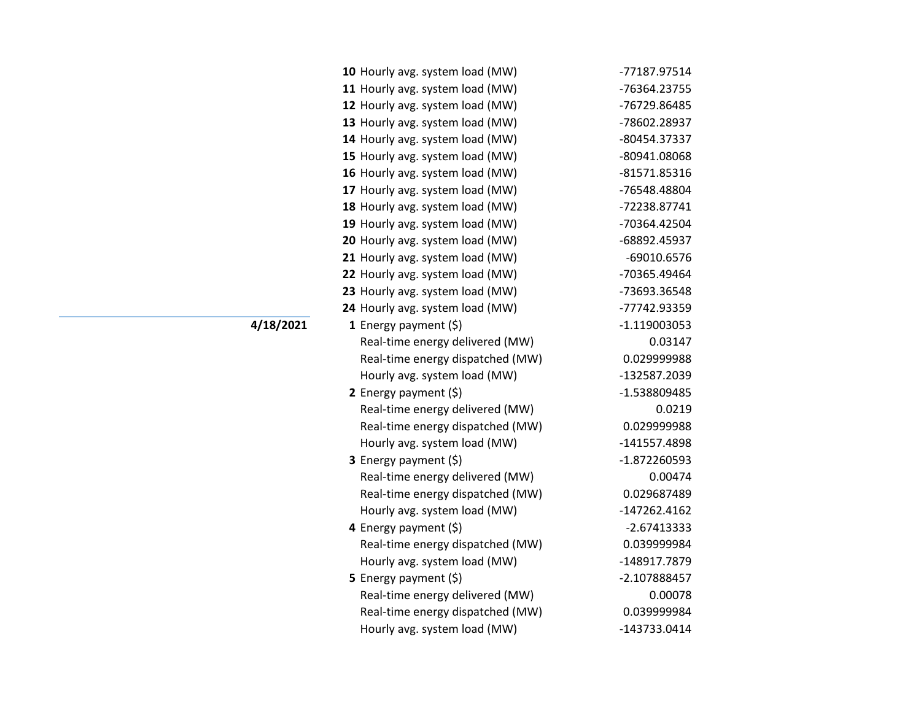| 10 Hourly avg. system load (MW)  | -77187.97514   |
|----------------------------------|----------------|
| 11 Hourly avg. system load (MW)  | -76364.23755   |
| 12 Hourly avg. system load (MW)  | -76729.86485   |
| 13 Hourly avg. system load (MW)  | -78602.28937   |
| 14 Hourly avg. system load (MW)  | -80454.37337   |
| 15 Hourly avg. system load (MW)  | -80941.08068   |
| 16 Hourly avg. system load (MW)  | -81571.85316   |
| 17 Hourly avg. system load (MW)  | -76548.48804   |
| 18 Hourly avg. system load (MW)  | -72238.87741   |
| 19 Hourly avg. system load (MW)  | -70364.42504   |
| 20 Hourly avg. system load (MW)  | -68892.45937   |
| 21 Hourly avg. system load (MW)  | -69010.6576    |
| 22 Hourly avg. system load (MW)  | -70365.49464   |
| 23 Hourly avg. system load (MW)  | -73693.36548   |
| 24 Hourly avg. system load (MW)  | -77742.93359   |
| 1 Energy payment $(\xi)$         | $-1.119003053$ |
| Real-time energy delivered (MW)  | 0.03147        |
| Real-time energy dispatched (MW) | 0.029999988    |
| Hourly avg. system load (MW)     | -132587.2039   |
| 2 Energy payment $(\xi)$         | -1.538809485   |
| Real-time energy delivered (MW)  | 0.0219         |
| Real-time energy dispatched (MW) | 0.029999988    |
| Hourly avg. system load (MW)     | -141557.4898   |
| 3 Energy payment (\$)            | -1.872260593   |
| Real-time energy delivered (MW)  | 0.00474        |
| Real-time energy dispatched (MW) | 0.029687489    |
| Hourly avg. system load (MW)     | $-147262.4162$ |
| 4 Energy payment (\$)            | $-2.67413333$  |
| Real-time energy dispatched (MW) | 0.039999984    |
| Hourly avg. system load (MW)     | -148917.7879   |
| <b>5</b> Energy payment $(\xi)$  | -2.107888457   |
| Real-time energy delivered (MW)  | 0.00078        |
| Real-time energy dispatched (MW) | 0.039999984    |
| Hourly avg. system load (MW)     | -143733.0414   |

**4/18/2021**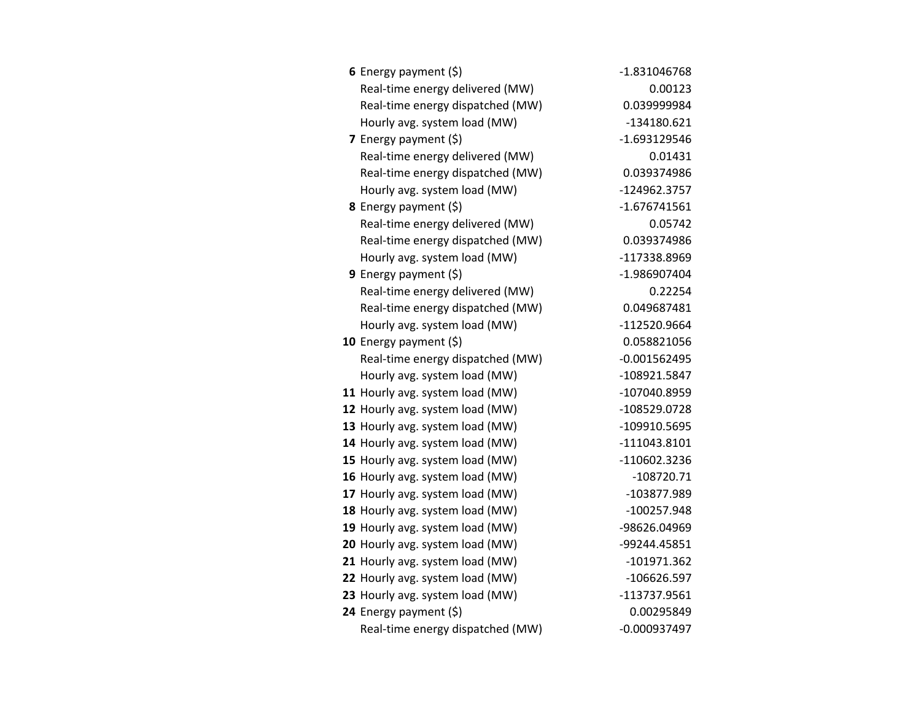| 6 Energy payment $(\xi)$         | -1.831046768   |
|----------------------------------|----------------|
| Real-time energy delivered (MW)  | 0.00123        |
| Real-time energy dispatched (MW) | 0.039999984    |
| Hourly avg. system load (MW)     | $-134180.621$  |
| <b>7</b> Energy payment $(\xi)$  | $-1.693129546$ |
| Real-time energy delivered (MW)  | 0.01431        |
| Real-time energy dispatched (MW) | 0.039374986    |
| Hourly avg. system load (MW)     | -124962.3757   |
| 8 Energy payment (\$)            | $-1.676741561$ |
| Real-time energy delivered (MW)  | 0.05742        |
| Real-time energy dispatched (MW) | 0.039374986    |
| Hourly avg. system load (MW)     | -117338.8969   |
| <b>9</b> Energy payment $(\xi)$  | -1.986907404   |
| Real-time energy delivered (MW)  | 0.22254        |
| Real-time energy dispatched (MW) | 0.049687481    |
| Hourly avg. system load (MW)     | -112520.9664   |
| 10 Energy payment (\$)           | 0.058821056    |
| Real-time energy dispatched (MW) | $-0.001562495$ |
| Hourly avg. system load (MW)     | -108921.5847   |
| 11 Hourly avg. system load (MW)  | -107040.8959   |
| 12 Hourly avg. system load (MW)  | -108529.0728   |
| 13 Hourly avg. system load (MW)  | -109910.5695   |
| 14 Hourly avg. system load (MW)  | $-111043.8101$ |
| 15 Hourly avg. system load (MW)  | -110602.3236   |
| 16 Hourly avg. system load (MW)  | -108720.71     |
| 17 Hourly avg. system load (MW)  | -103877.989    |
| 18 Hourly avg. system load (MW)  | -100257.948    |
| 19 Hourly avg. system load (MW)  | -98626.04969   |
| 20 Hourly avg. system load (MW)  | -99244.45851   |
| 21 Hourly avg. system load (MW)  | $-101971.362$  |
| 22 Hourly avg. system load (MW)  | $-106626.597$  |
| 23 Hourly avg. system load (MW)  | -113737.9561   |
| 24 Energy payment (\$)           | 0.00295849     |
| Real-time energy dispatched (MW) | $-0.000937497$ |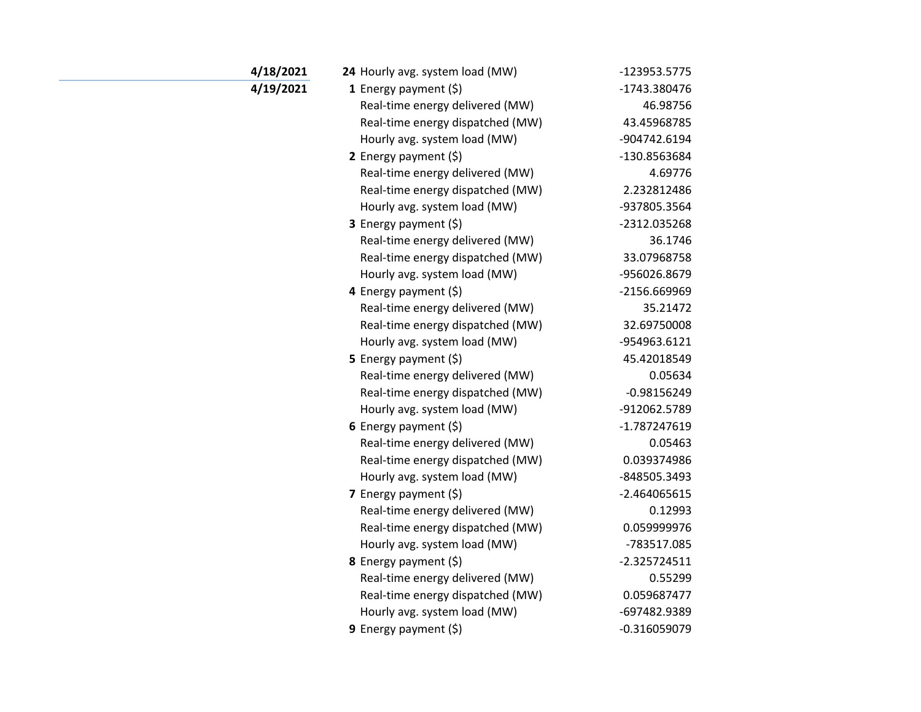| 4/18/2021 | 24 Hourly avg. system load (MW)  | -123953.5775   |
|-----------|----------------------------------|----------------|
|           |                                  |                |
| 4/19/2021 | 1 Energy payment $(\xi)$         | -1743.380476   |
|           | Real-time energy delivered (MW)  | 46.98756       |
|           | Real-time energy dispatched (MW) | 43.45968785    |
|           | Hourly avg. system load (MW)     | -904742.6194   |
|           | 2 Energy payment $(\xi)$         | -130.8563684   |
|           | Real-time energy delivered (MW)  | 4.69776        |
|           | Real-time energy dispatched (MW) | 2.232812486    |
|           | Hourly avg. system load (MW)     | -937805.3564   |
|           | 3 Energy payment (\$)            | -2312.035268   |
|           | Real-time energy delivered (MW)  | 36.1746        |
|           | Real-time energy dispatched (MW) | 33.07968758    |
|           | Hourly avg. system load (MW)     | -956026.8679   |
|           | 4 Energy payment (\$)            | -2156.669969   |
|           | Real-time energy delivered (MW)  | 35.21472       |
|           | Real-time energy dispatched (MW) | 32.69750008    |
|           | Hourly avg. system load (MW)     | -954963.6121   |
|           | 5 Energy payment $(5)$           | 45.42018549    |
|           | Real-time energy delivered (MW)  | 0.05634        |
|           | Real-time energy dispatched (MW) | $-0.98156249$  |
|           | Hourly avg. system load (MW)     | -912062.5789   |
|           | 6 Energy payment $(\xi)$         | -1.787247619   |
|           | Real-time energy delivered (MW)  | 0.05463        |
|           | Real-time energy dispatched (MW) | 0.039374986    |
|           | Hourly avg. system load (MW)     | -848505.3493   |
|           | 7 Energy payment $(5)$           | $-2.464065615$ |
|           | Real-time energy delivered (MW)  | 0.12993        |
|           | Real-time energy dispatched (MW) | 0.059999976    |
|           | Hourly avg. system load (MW)     | -783517.085    |
|           | 8 Energy payment (\$)            | $-2.325724511$ |
|           | Real-time energy delivered (MW)  | 0.55299        |
|           | Real-time energy dispatched (MW) | 0.059687477    |
|           | Hourly avg. system load (MW)     | -697482.9389   |
|           | 9 Energy payment $(\xi)$         | $-0.316059079$ |
|           |                                  |                |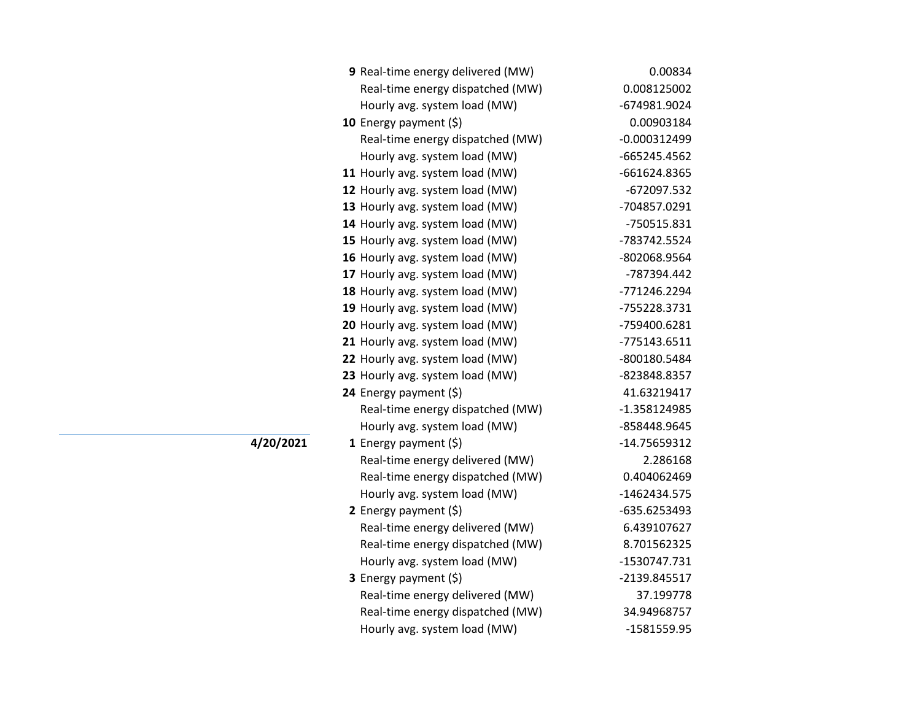| 9 Real-time energy delivered (MW) | 0.00834        |
|-----------------------------------|----------------|
| Real-time energy dispatched (MW)  | 0.008125002    |
| Hourly avg. system load (MW)      | -674981.9024   |
| 10 Energy payment $(\xi)$         | 0.00903184     |
| Real-time energy dispatched (MW)  | $-0.000312499$ |
| Hourly avg. system load (MW)      | -665245.4562   |
| 11 Hourly avg. system load (MW)   | -661624.8365   |
| 12 Hourly avg. system load (MW)   | -672097.532    |
| 13 Hourly avg. system load (MW)   | -704857.0291   |
| 14 Hourly avg. system load (MW)   | -750515.831    |
| 15 Hourly avg. system load (MW)   | -783742.5524   |
| 16 Hourly avg. system load (MW)   | -802068.9564   |
| 17 Hourly avg. system load (MW)   | -787394.442    |
| 18 Hourly avg. system load (MW)   | -771246.2294   |
| 19 Hourly avg. system load (MW)   | -755228.3731   |
| 20 Hourly avg. system load (MW)   | -759400.6281   |
| 21 Hourly avg. system load (MW)   | -775143.6511   |
| 22 Hourly avg. system load (MW)   | -800180.5484   |
| 23 Hourly avg. system load (MW)   | -823848.8357   |
| 24 Energy payment (\$)            | 41.63219417    |
| Real-time energy dispatched (MW)  | -1.358124985   |
| Hourly avg. system load (MW)      | -858448.9645   |
| 1 Energy payment $(\$)$           | -14.75659312   |
| Real-time energy delivered (MW)   | 2.286168       |
| Real-time energy dispatched (MW)  | 0.404062469    |
| Hourly avg. system load (MW)      | -1462434.575   |
| 2 Energy payment $(\xi)$          | -635.6253493   |
| Real-time energy delivered (MW)   | 6.439107627    |
| Real-time energy dispatched (MW)  | 8.701562325    |
| Hourly avg. system load (MW)      | -1530747.731   |
| 3 Energy payment (\$)             | -2139.845517   |
| Real-time energy delivered (MW)   | 37.199778      |
| Real-time energy dispatched (MW)  | 34.94968757    |
| Hourly avg. system load (MW)      | -1581559.95    |

**4/20/2021**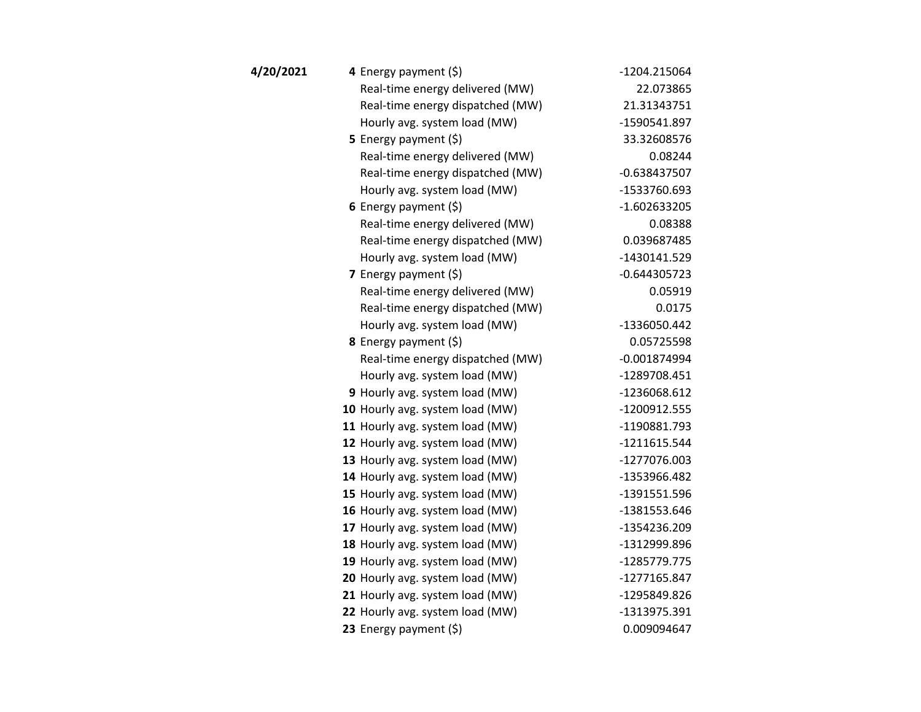| 4/20/2021 | 4 Energy payment (\$)            | -1204.215064   |
|-----------|----------------------------------|----------------|
|           | Real-time energy delivered (MW)  | 22.073865      |
|           | Real-time energy dispatched (MW) | 21.31343751    |
|           | Hourly avg. system load (MW)     | -1590541.897   |
|           | 5 Energy payment $(5)$           | 33.32608576    |
|           | Real-time energy delivered (MW)  | 0.08244        |
|           | Real-time energy dispatched (MW) | $-0.638437507$ |
|           | Hourly avg. system load (MW)     | -1533760.693   |
|           | 6 Energy payment $(5)$           | $-1.602633205$ |
|           | Real-time energy delivered (MW)  | 0.08388        |
|           | Real-time energy dispatched (MW) | 0.039687485    |
|           | Hourly avg. system load (MW)     | -1430141.529   |
|           | 7 Energy payment (\$)            | $-0.644305723$ |
|           | Real-time energy delivered (MW)  | 0.05919        |
|           | Real-time energy dispatched (MW) | 0.0175         |
|           | Hourly avg. system load (MW)     | -1336050.442   |
|           | 8 Energy payment (\$)            | 0.05725598     |
|           | Real-time energy dispatched (MW) | $-0.001874994$ |
|           | Hourly avg. system load (MW)     | -1289708.451   |
|           | 9 Hourly avg. system load (MW)   | -1236068.612   |
|           | 10 Hourly avg. system load (MW)  | -1200912.555   |
|           | 11 Hourly avg. system load (MW)  | -1190881.793   |
|           | 12 Hourly avg. system load (MW)  | $-1211615.544$ |
|           | 13 Hourly avg. system load (MW)  | -1277076.003   |
|           | 14 Hourly avg. system load (MW)  | -1353966.482   |
|           | 15 Hourly avg. system load (MW)  | -1391551.596   |
|           | 16 Hourly avg. system load (MW)  | -1381553.646   |
|           | 17 Hourly avg. system load (MW)  | -1354236.209   |
|           | 18 Hourly avg. system load (MW)  | -1312999.896   |
|           | 19 Hourly avg. system load (MW)  | -1285779.775   |
|           | 20 Hourly avg. system load (MW)  | -1277165.847   |
|           | 21 Hourly avg. system load (MW)  | -1295849.826   |
|           | 22 Hourly avg. system load (MW)  | -1313975.391   |
|           | 23 Energy payment (\$)           | 0.009094647    |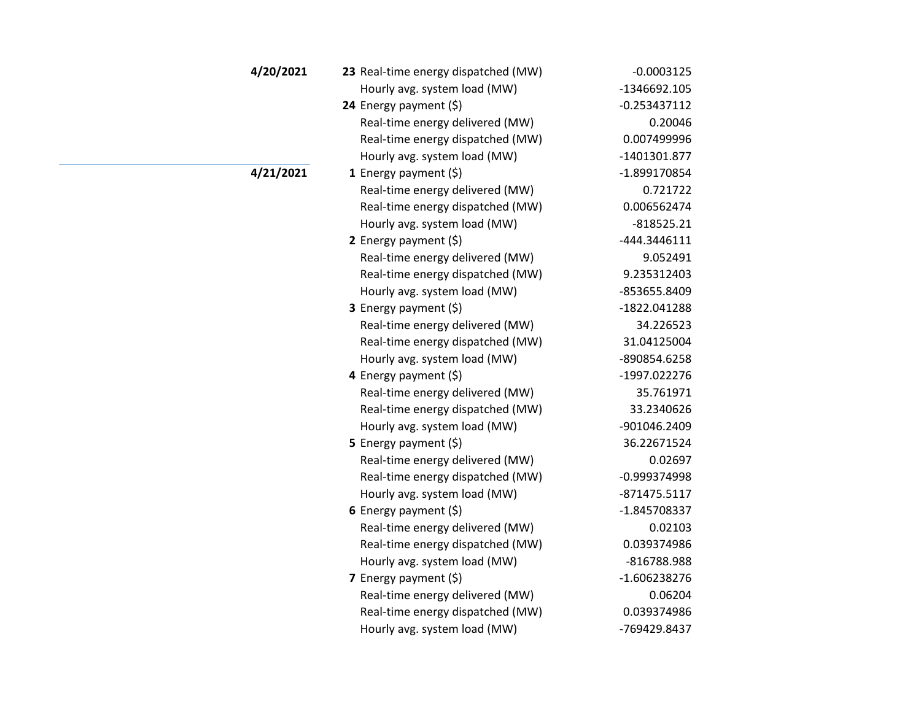| 4/20/2021 | 23 Real-time energy dispatched (MW) | $-0.0003125$   |
|-----------|-------------------------------------|----------------|
|           | Hourly avg. system load (MW)        | -1346692.105   |
|           | 24 Energy payment (\$)              | $-0.253437112$ |
|           | Real-time energy delivered (MW)     | 0.20046        |
|           | Real-time energy dispatched (MW)    | 0.007499996    |
|           | Hourly avg. system load (MW)        | -1401301.877   |
| 4/21/2021 | 1 Energy payment $(5)$              | -1.899170854   |
|           | Real-time energy delivered (MW)     | 0.721722       |
|           | Real-time energy dispatched (MW)    | 0.006562474    |
|           | Hourly avg. system load (MW)        | $-818525.21$   |
|           | 2 Energy payment $(5)$              | -444.3446111   |
|           | Real-time energy delivered (MW)     | 9.052491       |
|           | Real-time energy dispatched (MW)    | 9.235312403    |
|           | Hourly avg. system load (MW)        | -853655.8409   |
|           | 3 Energy payment (\$)               | -1822.041288   |
|           | Real-time energy delivered (MW)     | 34.226523      |
|           | Real-time energy dispatched (MW)    | 31.04125004    |
|           | Hourly avg. system load (MW)        | -890854.6258   |
|           | 4 Energy payment (\$)               | -1997.022276   |
|           | Real-time energy delivered (MW)     | 35.761971      |
|           | Real-time energy dispatched (MW)    | 33.2340626     |
|           | Hourly avg. system load (MW)        | -901046.2409   |
|           | 5 Energy payment (\$)               | 36.22671524    |
|           | Real-time energy delivered (MW)     | 0.02697        |
|           | Real-time energy dispatched (MW)    | -0.999374998   |
|           | Hourly avg. system load (MW)        | $-871475.5117$ |
|           | 6 Energy payment $(5)$              | $-1.845708337$ |
|           | Real-time energy delivered (MW)     | 0.02103        |
|           | Real-time energy dispatched (MW)    | 0.039374986    |
|           | Hourly avg. system load (MW)        | -816788.988    |
|           | 7 Energy payment $(5)$              | $-1.606238276$ |
|           | Real-time energy delivered (MW)     | 0.06204        |
|           | Real-time energy dispatched (MW)    | 0.039374986    |
|           | Hourly avg. system load (MW)        | -769429.8437   |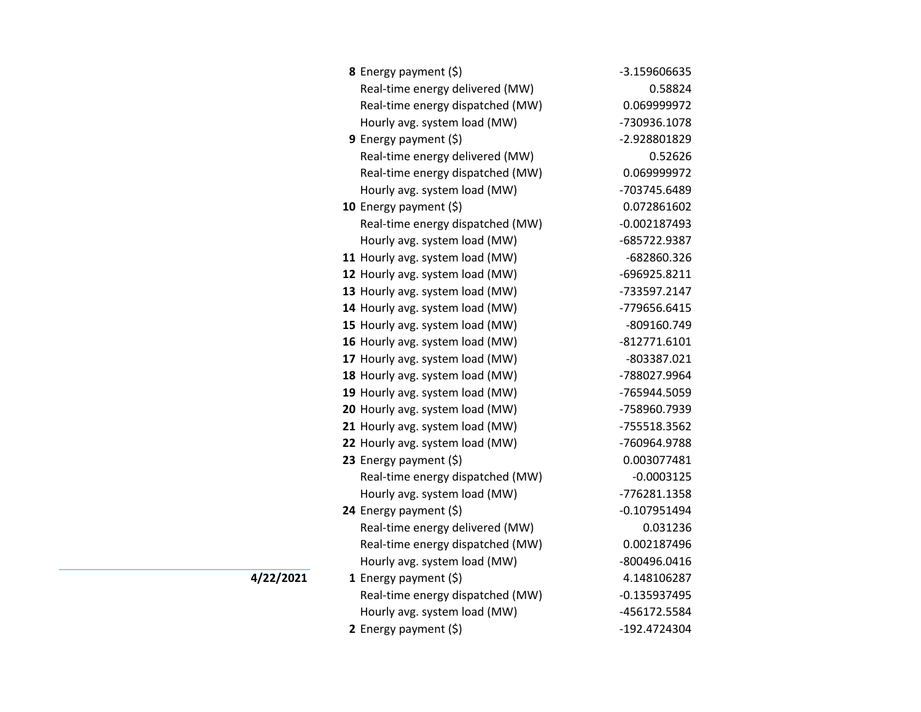| <b>8</b> Energy payment $(\xi)$  | -3.159606635   |
|----------------------------------|----------------|
| Real-time energy delivered (MW)  | 0.58824        |
| Real-time energy dispatched (MW) | 0.069999972    |
| Hourly avg. system load (MW)     | -730936.1078   |
| 9 Energy payment $(\xi)$         | -2.928801829   |
| Real-time energy delivered (MW)  | 0.52626        |
| Real-time energy dispatched (MW) | 0.069999972    |
| Hourly avg. system load (MW)     | -703745.6489   |
| 10 Energy payment (\$)           | 0.072861602    |
| Real-time energy dispatched (MW) | $-0.002187493$ |
| Hourly avg. system load (MW)     | -685722.9387   |
| 11 Hourly avg. system load (MW)  | -682860.326    |
| 12 Hourly avg. system load (MW)  | -696925.8211   |
| 13 Hourly avg. system load (MW)  | -733597.2147   |
| 14 Hourly avg. system load (MW)  | -779656.6415   |
| 15 Hourly avg. system load (MW)  | -809160.749    |
| 16 Hourly avg. system load (MW)  | $-812771.6101$ |
| 17 Hourly avg. system load (MW)  | -803387.021    |
| 18 Hourly avg. system load (MW)  | -788027.9964   |
| 19 Hourly avg. system load (MW)  | -765944.5059   |
| 20 Hourly avg. system load (MW)  | -758960.7939   |
| 21 Hourly avg. system load (MW)  | -755518.3562   |
| 22 Hourly avg. system load (MW)  | -760964.9788   |
| 23 Energy payment (\$)           | 0.003077481    |
| Real-time energy dispatched (MW) | $-0.0003125$   |
| Hourly avg. system load (MW)     | -776281.1358   |
| 24 Energy payment (\$)           | $-0.107951494$ |
| Real-time energy delivered (MW)  | 0.031236       |
| Real-time energy dispatched (MW) | 0.002187496    |
| Hourly avg. system load (MW)     | -800496.0416   |
| 1 Energy payment $(\xi)$         | 4.148106287    |
| Real-time energy dispatched (MW) | $-0.135937495$ |
| Hourly avg. system load (MW)     | -456172.5584   |
| 2 Energy payment (\$)            | -192.4724304   |

 $\overline{4/22/2021}$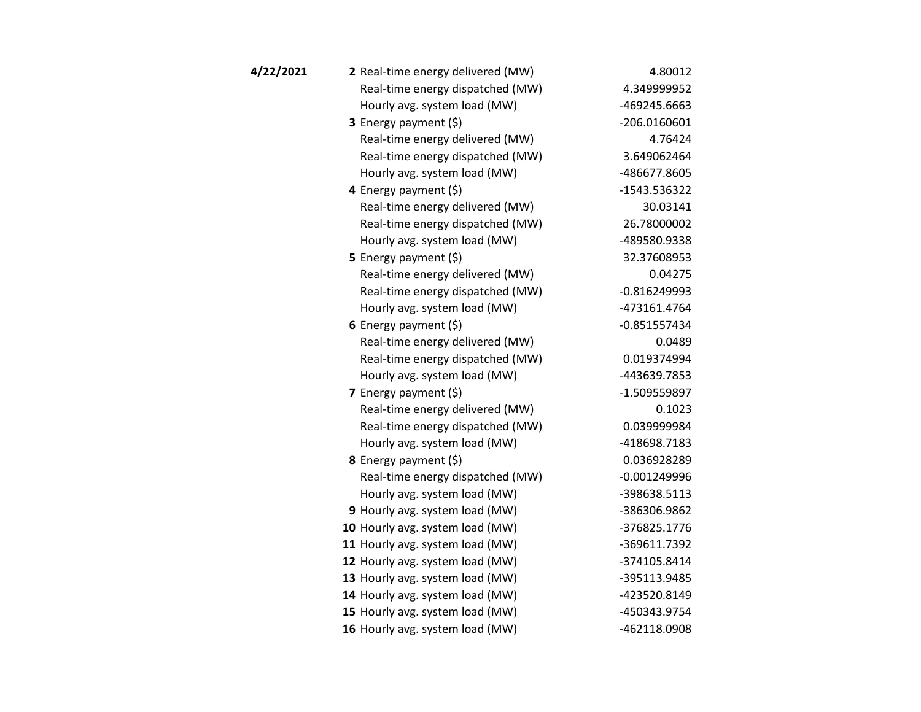| 4/22/2021 | 2 Real-time energy delivered (MW) | 4.80012        |
|-----------|-----------------------------------|----------------|
|           | Real-time energy dispatched (MW)  | 4.349999952    |
|           | Hourly avg. system load (MW)      | -469245.6663   |
|           | <b>3</b> Energy payment $(\xi)$   | $-206.0160601$ |
|           | Real-time energy delivered (MW)   | 4.76424        |
|           | Real-time energy dispatched (MW)  | 3.649062464    |
|           | Hourly avg. system load (MW)      | -486677.8605   |
|           | 4 Energy payment (\$)             | -1543.536322   |
|           | Real-time energy delivered (MW)   | 30.03141       |
|           | Real-time energy dispatched (MW)  | 26.78000002    |
|           | Hourly avg. system load (MW)      | -489580.9338   |
|           | 5 Energy payment $(5)$            | 32.37608953    |
|           | Real-time energy delivered (MW)   | 0.04275        |
|           | Real-time energy dispatched (MW)  | $-0.816249993$ |
|           | Hourly avg. system load (MW)      | -473161.4764   |
|           | 6 Energy payment $(5)$            | $-0.851557434$ |
|           | Real-time energy delivered (MW)   | 0.0489         |
|           | Real-time energy dispatched (MW)  | 0.019374994    |
|           | Hourly avg. system load (MW)      | -443639.7853   |
|           | 7 Energy payment $(5)$            | -1.509559897   |
|           | Real-time energy delivered (MW)   | 0.1023         |
|           | Real-time energy dispatched (MW)  | 0.039999984    |
|           | Hourly avg. system load (MW)      | -418698.7183   |
|           | 8 Energy payment (\$)             | 0.036928289    |
|           | Real-time energy dispatched (MW)  | $-0.001249996$ |
|           | Hourly avg. system load (MW)      | -398638.5113   |
|           | 9 Hourly avg. system load (MW)    | -386306.9862   |
|           | 10 Hourly avg. system load (MW)   | -376825.1776   |
|           | 11 Hourly avg. system load (MW)   | -369611.7392   |
|           | 12 Hourly avg. system load (MW)   | -374105.8414   |
|           | 13 Hourly avg. system load (MW)   | -395113.9485   |
|           | 14 Hourly avg. system load (MW)   | -423520.8149   |
|           | 15 Hourly avg. system load (MW)   | -450343.9754   |
|           | 16 Hourly avg. system load (MW)   | -462118.0908   |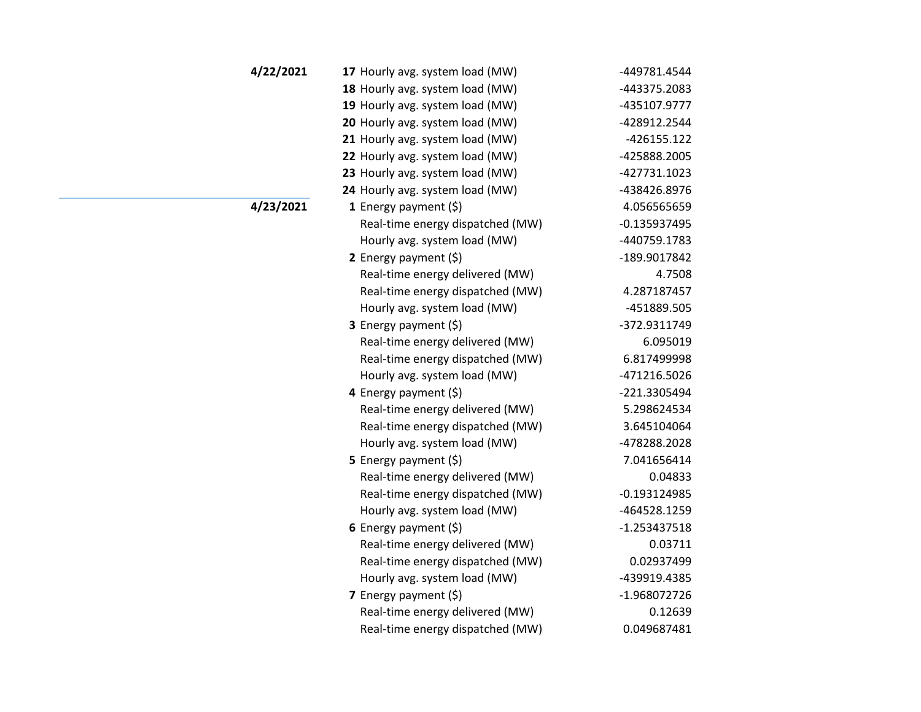| 18 Hourly avg. system load (MW)<br>19 Hourly avg. system load (MW)<br>20 Hourly avg. system load (MW)<br>21 Hourly avg. system load (MW)<br>22 Hourly avg. system load (MW)<br>23 Hourly avg. system load (MW)<br>24 Hourly avg. system load (MW)<br>4/23/2021<br>1 Energy payment $(\xi)$<br>Real-time energy dispatched (MW)<br>Hourly avg. system load (MW)<br>2 Energy payment $(5)$<br>Real-time energy delivered (MW)<br>Real-time energy dispatched (MW)<br>Hourly avg. system load (MW)<br><b>3</b> Energy payment $(\xi)$<br>Real-time energy delivered (MW)<br>Real-time energy dispatched (MW)<br>Hourly avg. system load (MW)<br>4 Energy payment $(\xi)$<br>Real-time energy delivered (MW)<br>Real-time energy dispatched (MW)<br>Hourly avg. system load (MW)<br><b>5</b> Energy payment $(\xi)$<br>Real-time energy delivered (MW)<br>Real-time energy dispatched (MW)<br>Hourly avg. system load (MW)<br>6 Energy payment $(\$)$<br>Real-time energy delivered (MW)<br>Real-time energy dispatched (MW)<br>Hourly avg. system load (MW)<br>7 Energy payment (\$)<br>Real-time energy delivered (MW)<br>Real-time energy dispatched (MW) | 4/22/2021 | 17 Hourly avg. system load (MW) | -449781.4544   |
|----------------------------------------------------------------------------------------------------------------------------------------------------------------------------------------------------------------------------------------------------------------------------------------------------------------------------------------------------------------------------------------------------------------------------------------------------------------------------------------------------------------------------------------------------------------------------------------------------------------------------------------------------------------------------------------------------------------------------------------------------------------------------------------------------------------------------------------------------------------------------------------------------------------------------------------------------------------------------------------------------------------------------------------------------------------------------------------------------------------------------------------------------------|-----------|---------------------------------|----------------|
|                                                                                                                                                                                                                                                                                                                                                                                                                                                                                                                                                                                                                                                                                                                                                                                                                                                                                                                                                                                                                                                                                                                                                          |           |                                 | -443375.2083   |
|                                                                                                                                                                                                                                                                                                                                                                                                                                                                                                                                                                                                                                                                                                                                                                                                                                                                                                                                                                                                                                                                                                                                                          |           |                                 | -435107.9777   |
|                                                                                                                                                                                                                                                                                                                                                                                                                                                                                                                                                                                                                                                                                                                                                                                                                                                                                                                                                                                                                                                                                                                                                          |           |                                 | -428912.2544   |
|                                                                                                                                                                                                                                                                                                                                                                                                                                                                                                                                                                                                                                                                                                                                                                                                                                                                                                                                                                                                                                                                                                                                                          |           |                                 | $-426155.122$  |
|                                                                                                                                                                                                                                                                                                                                                                                                                                                                                                                                                                                                                                                                                                                                                                                                                                                                                                                                                                                                                                                                                                                                                          |           |                                 | -425888.2005   |
|                                                                                                                                                                                                                                                                                                                                                                                                                                                                                                                                                                                                                                                                                                                                                                                                                                                                                                                                                                                                                                                                                                                                                          |           |                                 | -427731.1023   |
|                                                                                                                                                                                                                                                                                                                                                                                                                                                                                                                                                                                                                                                                                                                                                                                                                                                                                                                                                                                                                                                                                                                                                          |           |                                 | -438426.8976   |
|                                                                                                                                                                                                                                                                                                                                                                                                                                                                                                                                                                                                                                                                                                                                                                                                                                                                                                                                                                                                                                                                                                                                                          |           |                                 | 4.056565659    |
|                                                                                                                                                                                                                                                                                                                                                                                                                                                                                                                                                                                                                                                                                                                                                                                                                                                                                                                                                                                                                                                                                                                                                          |           |                                 | $-0.135937495$ |
|                                                                                                                                                                                                                                                                                                                                                                                                                                                                                                                                                                                                                                                                                                                                                                                                                                                                                                                                                                                                                                                                                                                                                          |           |                                 | -440759.1783   |
|                                                                                                                                                                                                                                                                                                                                                                                                                                                                                                                                                                                                                                                                                                                                                                                                                                                                                                                                                                                                                                                                                                                                                          |           |                                 | -189.9017842   |
|                                                                                                                                                                                                                                                                                                                                                                                                                                                                                                                                                                                                                                                                                                                                                                                                                                                                                                                                                                                                                                                                                                                                                          |           |                                 | 4.7508         |
|                                                                                                                                                                                                                                                                                                                                                                                                                                                                                                                                                                                                                                                                                                                                                                                                                                                                                                                                                                                                                                                                                                                                                          |           |                                 | 4.287187457    |
|                                                                                                                                                                                                                                                                                                                                                                                                                                                                                                                                                                                                                                                                                                                                                                                                                                                                                                                                                                                                                                                                                                                                                          |           |                                 | -451889.505    |
|                                                                                                                                                                                                                                                                                                                                                                                                                                                                                                                                                                                                                                                                                                                                                                                                                                                                                                                                                                                                                                                                                                                                                          |           |                                 | -372.9311749   |
|                                                                                                                                                                                                                                                                                                                                                                                                                                                                                                                                                                                                                                                                                                                                                                                                                                                                                                                                                                                                                                                                                                                                                          |           |                                 | 6.095019       |
|                                                                                                                                                                                                                                                                                                                                                                                                                                                                                                                                                                                                                                                                                                                                                                                                                                                                                                                                                                                                                                                                                                                                                          |           |                                 | 6.817499998    |
|                                                                                                                                                                                                                                                                                                                                                                                                                                                                                                                                                                                                                                                                                                                                                                                                                                                                                                                                                                                                                                                                                                                                                          |           |                                 | -471216.5026   |
|                                                                                                                                                                                                                                                                                                                                                                                                                                                                                                                                                                                                                                                                                                                                                                                                                                                                                                                                                                                                                                                                                                                                                          |           |                                 | -221.3305494   |
|                                                                                                                                                                                                                                                                                                                                                                                                                                                                                                                                                                                                                                                                                                                                                                                                                                                                                                                                                                                                                                                                                                                                                          |           |                                 | 5.298624534    |
|                                                                                                                                                                                                                                                                                                                                                                                                                                                                                                                                                                                                                                                                                                                                                                                                                                                                                                                                                                                                                                                                                                                                                          |           |                                 | 3.645104064    |
|                                                                                                                                                                                                                                                                                                                                                                                                                                                                                                                                                                                                                                                                                                                                                                                                                                                                                                                                                                                                                                                                                                                                                          |           |                                 | -478288.2028   |
|                                                                                                                                                                                                                                                                                                                                                                                                                                                                                                                                                                                                                                                                                                                                                                                                                                                                                                                                                                                                                                                                                                                                                          |           |                                 | 7.041656414    |
|                                                                                                                                                                                                                                                                                                                                                                                                                                                                                                                                                                                                                                                                                                                                                                                                                                                                                                                                                                                                                                                                                                                                                          |           |                                 | 0.04833        |
|                                                                                                                                                                                                                                                                                                                                                                                                                                                                                                                                                                                                                                                                                                                                                                                                                                                                                                                                                                                                                                                                                                                                                          |           |                                 | $-0.193124985$ |
|                                                                                                                                                                                                                                                                                                                                                                                                                                                                                                                                                                                                                                                                                                                                                                                                                                                                                                                                                                                                                                                                                                                                                          |           |                                 | -464528.1259   |
|                                                                                                                                                                                                                                                                                                                                                                                                                                                                                                                                                                                                                                                                                                                                                                                                                                                                                                                                                                                                                                                                                                                                                          |           |                                 | $-1.253437518$ |
|                                                                                                                                                                                                                                                                                                                                                                                                                                                                                                                                                                                                                                                                                                                                                                                                                                                                                                                                                                                                                                                                                                                                                          |           |                                 | 0.03711        |
|                                                                                                                                                                                                                                                                                                                                                                                                                                                                                                                                                                                                                                                                                                                                                                                                                                                                                                                                                                                                                                                                                                                                                          |           |                                 | 0.02937499     |
|                                                                                                                                                                                                                                                                                                                                                                                                                                                                                                                                                                                                                                                                                                                                                                                                                                                                                                                                                                                                                                                                                                                                                          |           |                                 | -439919.4385   |
|                                                                                                                                                                                                                                                                                                                                                                                                                                                                                                                                                                                                                                                                                                                                                                                                                                                                                                                                                                                                                                                                                                                                                          |           |                                 | -1.968072726   |
|                                                                                                                                                                                                                                                                                                                                                                                                                                                                                                                                                                                                                                                                                                                                                                                                                                                                                                                                                                                                                                                                                                                                                          |           |                                 | 0.12639        |
|                                                                                                                                                                                                                                                                                                                                                                                                                                                                                                                                                                                                                                                                                                                                                                                                                                                                                                                                                                                                                                                                                                                                                          |           |                                 | 0.049687481    |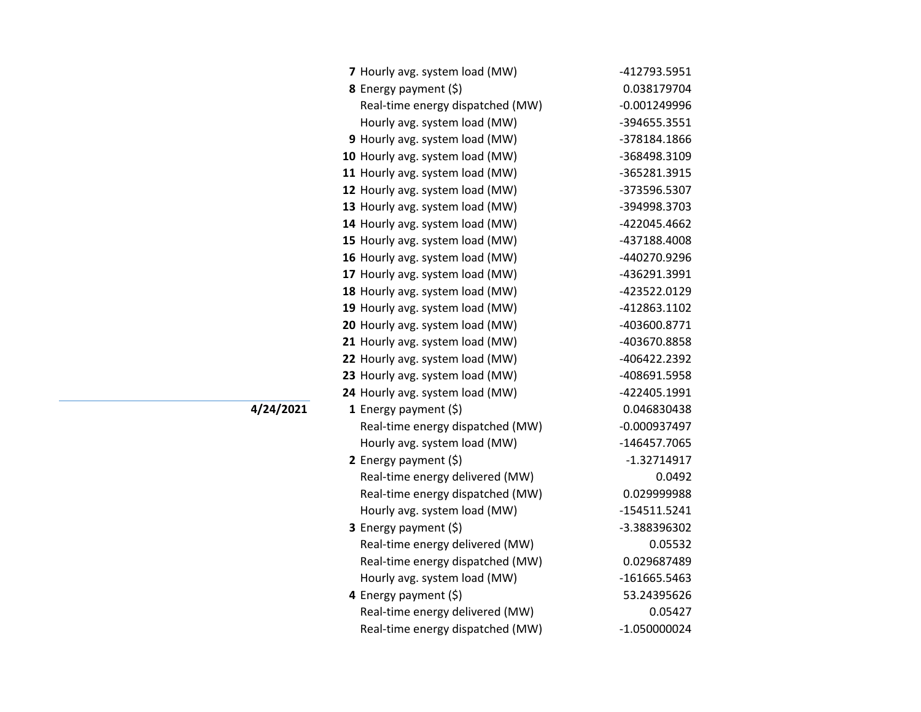| 7 Hourly avg. system load (MW)   | -412793.5951   |
|----------------------------------|----------------|
| 8 Energy payment (\$)            | 0.038179704    |
| Real-time energy dispatched (MW) | $-0.001249996$ |
| Hourly avg. system load (MW)     | -394655.3551   |
| 9 Hourly avg. system load (MW)   | -378184.1866   |
| 10 Hourly avg. system load (MW)  | -368498.3109   |
| 11 Hourly avg. system load (MW)  | -365281.3915   |
| 12 Hourly avg. system load (MW)  | -373596.5307   |
| 13 Hourly avg. system load (MW)  | -394998.3703   |
| 14 Hourly avg. system load (MW)  | -422045.4662   |
| 15 Hourly avg. system load (MW)  | -437188.4008   |
| 16 Hourly avg. system load (MW)  | -440270.9296   |
| 17 Hourly avg. system load (MW)  | -436291.3991   |
| 18 Hourly avg. system load (MW)  | -423522.0129   |
| 19 Hourly avg. system load (MW)  | -412863.1102   |
| 20 Hourly avg. system load (MW)  | -403600.8771   |
| 21 Hourly avg. system load (MW)  | -403670.8858   |
| 22 Hourly avg. system load (MW)  | -406422.2392   |
| 23 Hourly avg. system load (MW)  | -408691.5958   |
| 24 Hourly avg. system load (MW)  | -422405.1991   |
| 1 Energy payment $(\xi)$         | 0.046830438    |
| Real-time energy dispatched (MW) | $-0.000937497$ |
| Hourly avg. system load (MW)     | -146457.7065   |
| 2 Energy payment $(\xi)$         | $-1.32714917$  |
| Real-time energy delivered (MW)  | 0.0492         |
| Real-time energy dispatched (MW) | 0.029999988    |
| Hourly avg. system load (MW)     | $-154511.5241$ |
| <b>3</b> Energy payment $(\xi)$  | -3.388396302   |
| Real-time energy delivered (MW)  | 0.05532        |
| Real-time energy dispatched (MW) | 0.029687489    |
| Hourly avg. system load (MW)     | -161665.5463   |
| 4 Energy payment (\$)            | 53.24395626    |
| Real-time energy delivered (MW)  | 0.05427        |
| Real-time energy dispatched (MW) | $-1.050000024$ |

**4/24/2021 <sup>1</sup>** Energy payment (\$) 0.046830438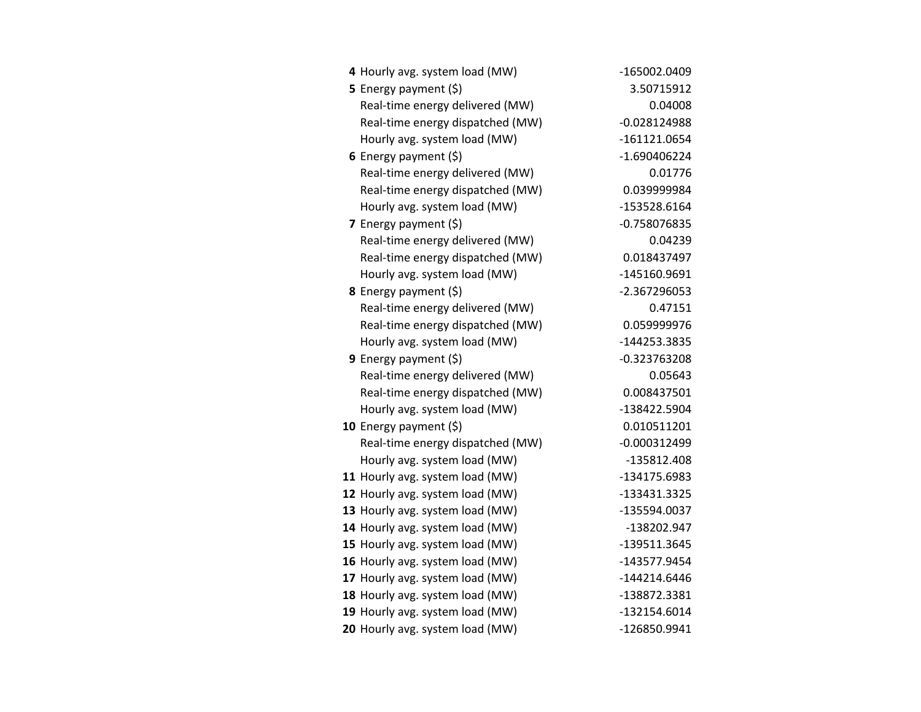| 4 Hourly avg. system load (MW)   | -165002.0409   |
|----------------------------------|----------------|
| <b>5</b> Energy payment $(\xi)$  | 3.50715912     |
| Real-time energy delivered (MW)  | 0.04008        |
| Real-time energy dispatched (MW) | $-0.028124988$ |
| Hourly avg. system load (MW)     | $-161121.0654$ |
| 6 Energy payment $(5)$           | $-1.690406224$ |
| Real-time energy delivered (MW)  | 0.01776        |
| Real-time energy dispatched (MW) | 0.039999984    |
| Hourly avg. system load (MW)     | -153528.6164   |
| 7 Energy payment $(5)$           | -0.758076835   |
| Real-time energy delivered (MW)  | 0.04239        |
| Real-time energy dispatched (MW) | 0.018437497    |
| Hourly avg. system load (MW)     | -145160.9691   |
| 8 Energy payment (\$)            | -2.367296053   |
| Real-time energy delivered (MW)  | 0.47151        |
| Real-time energy dispatched (MW) | 0.059999976    |
| Hourly avg. system load (MW)     | -144253.3835   |
| <b>9</b> Energy payment $(\xi)$  | $-0.323763208$ |
| Real-time energy delivered (MW)  | 0.05643        |
| Real-time energy dispatched (MW) | 0.008437501    |
| Hourly avg. system load (MW)     | -138422.5904   |
| 10 Energy payment $(\xi)$        | 0.010511201    |
| Real-time energy dispatched (MW) | $-0.000312499$ |
| Hourly avg. system load (MW)     | -135812.408    |
| 11 Hourly avg. system load (MW)  | -134175.6983   |
| 12 Hourly avg. system load (MW)  | -133431.3325   |
| 13 Hourly avg. system load (MW)  | -135594.0037   |
| 14 Hourly avg. system load (MW)  | -138202.947    |
| 15 Hourly avg. system load (MW)  | -139511.3645   |
| 16 Hourly avg. system load (MW)  | -143577.9454   |
| 17 Hourly avg. system load (MW)  | $-144214.6446$ |
| 18 Hourly avg. system load (MW)  | -138872.3381   |
| 19 Hourly avg. system load (MW)  | -132154.6014   |
| 20 Hourly avg. system load (MW)  | -126850.9941   |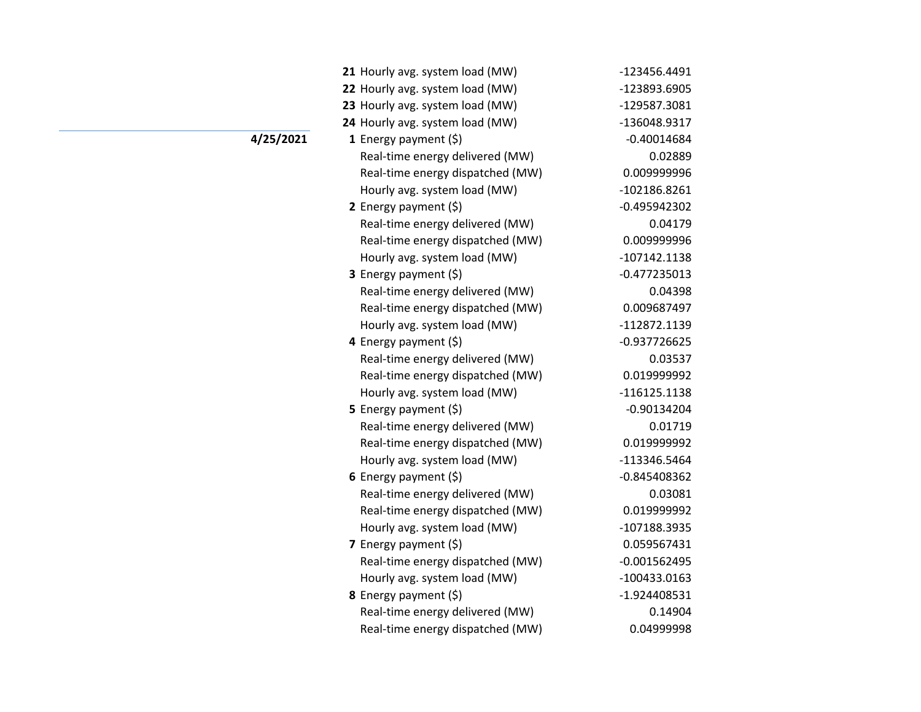| 21 Hourly avg. system load (MW)  | -123456.4491   |
|----------------------------------|----------------|
| 22 Hourly avg. system load (MW)  | -123893.6905   |
| 23 Hourly avg. system load (MW)  | -129587.3081   |
| 24 Hourly avg. system load (MW)  | -136048.9317   |
| 1 Energy payment $(\xi)$         | $-0.40014684$  |
| Real-time energy delivered (MW)  | 0.02889        |
| Real-time energy dispatched (MW) | 0.009999996    |
| Hourly avg. system load (MW)     | -102186.8261   |
| 2 Energy payment $(\xi)$         | $-0.495942302$ |
| Real-time energy delivered (MW)  | 0.04179        |
| Real-time energy dispatched (MW) | 0.009999996    |
| Hourly avg. system load (MW)     | $-107142.1138$ |
| <b>3</b> Energy payment $(\xi)$  | $-0.477235013$ |
| Real-time energy delivered (MW)  | 0.04398        |
| Real-time energy dispatched (MW) | 0.009687497    |
| Hourly avg. system load (MW)     | -112872.1139   |
| 4 Energy payment (\$)            | $-0.937726625$ |
| Real-time energy delivered (MW)  | 0.03537        |
| Real-time energy dispatched (MW) | 0.019999992    |
| Hourly avg. system load (MW)     | $-116125.1138$ |
| 5 Energy payment $(\xi)$         | $-0.90134204$  |
| Real-time energy delivered (MW)  | 0.01719        |
| Real-time energy dispatched (MW) | 0.019999992    |
| Hourly avg. system load (MW)     | -113346.5464   |
| 6 Energy payment $(\xi)$         | $-0.845408362$ |
| Real-time energy delivered (MW)  | 0.03081        |
| Real-time energy dispatched (MW) | 0.019999992    |
| Hourly avg. system load (MW)     | -107188.3935   |
| 7 Energy payment (\$)            | 0.059567431    |
| Real-time energy dispatched (MW) | $-0.001562495$ |
| Hourly avg. system load (MW)     | -100433.0163   |
| 8 Energy payment (\$)            | -1.924408531   |
| Real-time energy delivered (MW)  | 0.14904        |
| Real-time energy dispatched (MW) | 0.04999998     |

**4/25/2021**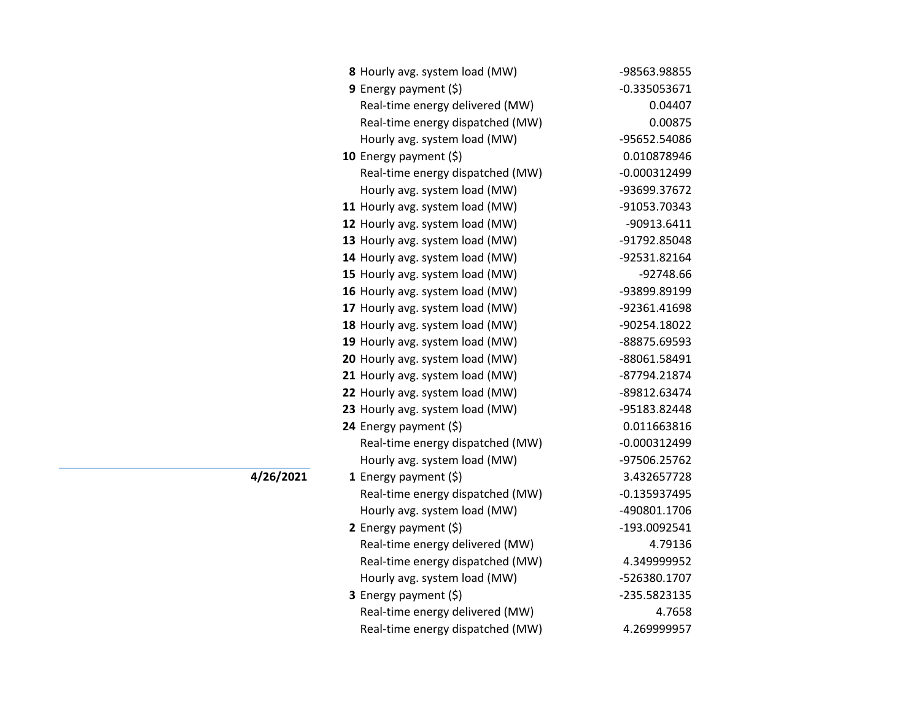| 8 Hourly avg. system load (MW)   | -98563.98855   |
|----------------------------------|----------------|
| <b>9</b> Energy payment $(\xi)$  | $-0.335053671$ |
| Real-time energy delivered (MW)  | 0.04407        |
| Real-time energy dispatched (MW) | 0.00875        |
| Hourly avg. system load (MW)     | -95652.54086   |
| 10 Energy payment $(5)$          | 0.010878946    |
| Real-time energy dispatched (MW) | $-0.000312499$ |
| Hourly avg. system load (MW)     | -93699.37672   |
| 11 Hourly avg. system load (MW)  | -91053.70343   |
| 12 Hourly avg. system load (MW)  | -90913.6411    |
| 13 Hourly avg. system load (MW)  | -91792.85048   |
| 14 Hourly avg. system load (MW)  | -92531.82164   |
| 15 Hourly avg. system load (MW)  | -92748.66      |
| 16 Hourly avg. system load (MW)  | -93899.89199   |
| 17 Hourly avg. system load (MW)  | -92361.41698   |
| 18 Hourly avg. system load (MW)  | -90254.18022   |
| 19 Hourly avg. system load (MW)  | -88875.69593   |
| 20 Hourly avg. system load (MW)  | -88061.58491   |
| 21 Hourly avg. system load (MW)  | -87794.21874   |
| 22 Hourly avg. system load (MW)  | -89812.63474   |
| 23 Hourly avg. system load (MW)  | -95183.82448   |
| 24 Energy payment (\$)           | 0.011663816    |
| Real-time energy dispatched (MW) | $-0.000312499$ |
| Hourly avg. system load (MW)     | -97506.25762   |
| 1 Energy payment (\$)            | 3.432657728    |
| Real-time energy dispatched (MW) | $-0.135937495$ |
| Hourly avg. system load (MW)     | -490801.1706   |
| 2 Energy payment $(\xi)$         | -193.0092541   |
| Real-time energy delivered (MW)  | 4.79136        |
| Real-time energy dispatched (MW) | 4.349999952    |
| Hourly avg. system load (MW)     | -526380.1707   |
| 3 Energy payment (\$)            | -235.5823135   |
| Real-time energy delivered (MW)  | 4.7658         |
| Real-time energy dispatched (MW) | 4.269999957    |

 $\overline{4/26/2021}$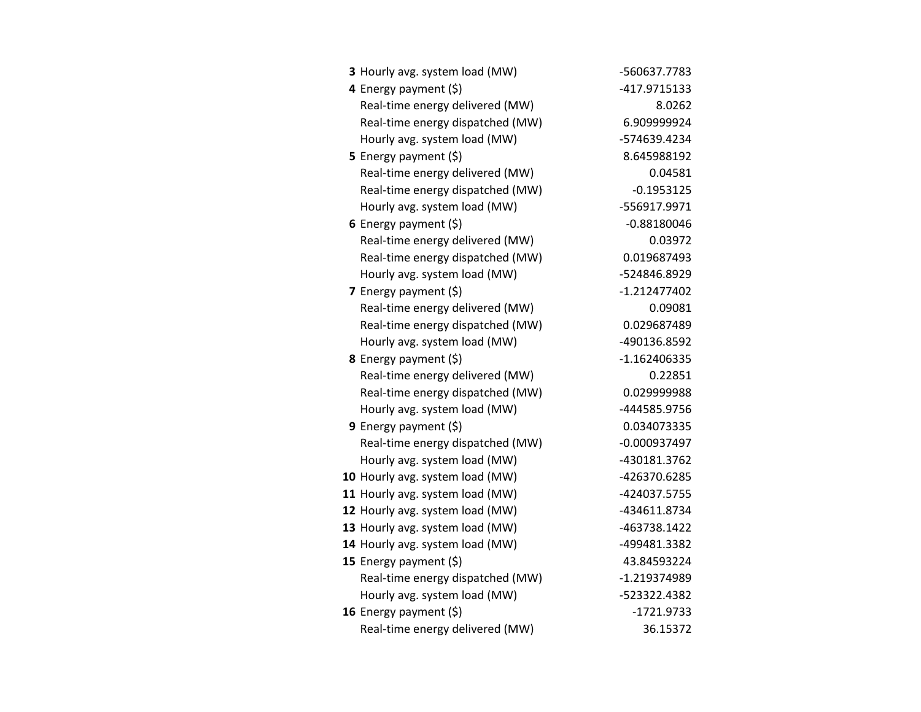| 3 Hourly avg. system load (MW)   | -560637.7783   |
|----------------------------------|----------------|
| 4 Energy payment $(\xi)$         | -417.9715133   |
| Real-time energy delivered (MW)  | 8.0262         |
| Real-time energy dispatched (MW) | 6.909999924    |
| Hourly avg. system load (MW)     | -574639.4234   |
| 5 Energy payment (\$)            | 8.645988192    |
| Real-time energy delivered (MW)  | 0.04581        |
| Real-time energy dispatched (MW) | $-0.1953125$   |
| Hourly avg. system load (MW)     | -556917.9971   |
| 6 Energy payment $(5)$           | $-0.88180046$  |
| Real-time energy delivered (MW)  | 0.03972        |
| Real-time energy dispatched (MW) | 0.019687493    |
| Hourly avg. system load (MW)     | -524846.8929   |
| <b>7</b> Energy payment $(\xi)$  | $-1.212477402$ |
| Real-time energy delivered (MW)  | 0.09081        |
| Real-time energy dispatched (MW) | 0.029687489    |
| Hourly avg. system load (MW)     | -490136.8592   |
| 8 Energy payment (\$)            | $-1.162406335$ |
| Real-time energy delivered (MW)  | 0.22851        |
| Real-time energy dispatched (MW) | 0.029999988    |
| Hourly avg. system load (MW)     | -444585.9756   |
| 9 Energy payment $(5)$           | 0.034073335    |
| Real-time energy dispatched (MW) | $-0.000937497$ |
| Hourly avg. system load (MW)     | -430181.3762   |
| 10 Hourly avg. system load (MW)  | -426370.6285   |
| 11 Hourly avg. system load (MW)  | -424037.5755   |
| 12 Hourly avg. system load (MW)  | -434611.8734   |
| 13 Hourly avg. system load (MW)  | -463738.1422   |
| 14 Hourly avg. system load (MW)  | -499481.3382   |
| 15 Energy payment (\$)           | 43.84593224    |
| Real-time energy dispatched (MW) | -1.219374989   |
| Hourly avg. system load (MW)     | -523322.4382   |
| 16 Energy payment $(\xi)$        | -1721.9733     |
| Real-time energy delivered (MW)  | 36.15372       |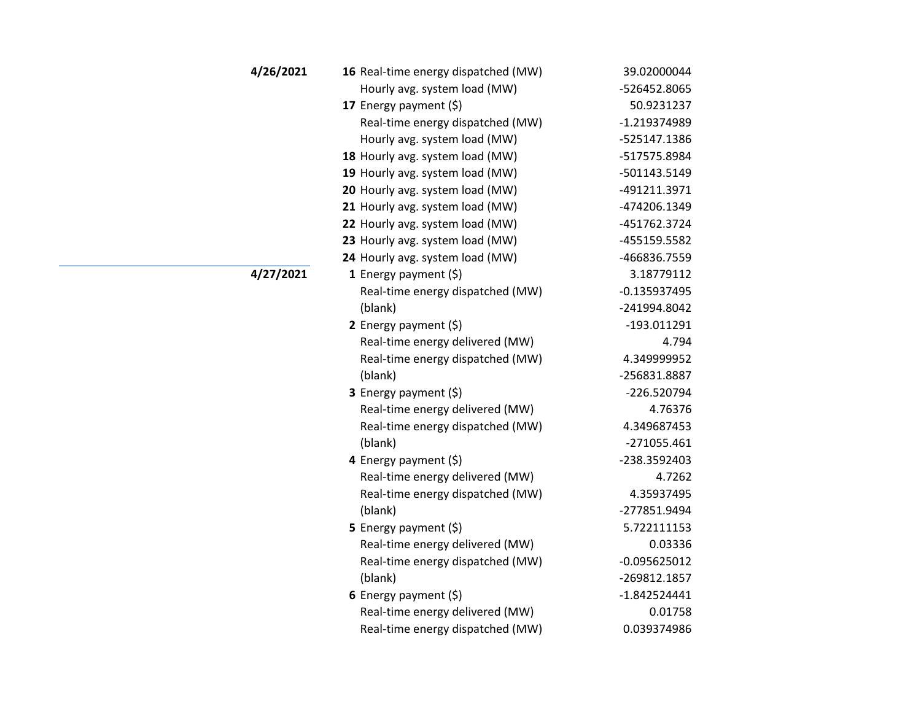| 4/26/2021 | 16 Real-time energy dispatched (MW) | 39.02000044    |
|-----------|-------------------------------------|----------------|
|           | Hourly avg. system load (MW)        | -526452.8065   |
|           | 17 Energy payment (\$)              | 50.9231237     |
|           | Real-time energy dispatched (MW)    | $-1.219374989$ |
|           | Hourly avg. system load (MW)        | -525147.1386   |
|           | 18 Hourly avg. system load (MW)     | -517575.8984   |
|           | 19 Hourly avg. system load (MW)     | -501143.5149   |
|           | 20 Hourly avg. system load (MW)     | -491211.3971   |
|           | 21 Hourly avg. system load (MW)     | -474206.1349   |
|           | 22 Hourly avg. system load (MW)     | -451762.3724   |
|           | 23 Hourly avg. system load (MW)     | -455159.5582   |
|           | 24 Hourly avg. system load (MW)     | -466836.7559   |
| 4/27/2021 | 1 Energy payment $(\xi)$            | 3.18779112     |
|           | Real-time energy dispatched (MW)    | $-0.135937495$ |
|           | (blank)                             | -241994.8042   |
|           | 2 Energy payment $(5)$              | -193.011291    |
|           | Real-time energy delivered (MW)     | 4.794          |
|           | Real-time energy dispatched (MW)    | 4.349999952    |
|           | (blank)                             | -256831.8887   |
|           | 3 Energy payment (\$)               | -226.520794    |
|           | Real-time energy delivered (MW)     | 4.76376        |
|           | Real-time energy dispatched (MW)    | 4.349687453    |
|           | (blank)                             | $-271055.461$  |
|           | 4 Energy payment (\$)               | -238.3592403   |
|           | Real-time energy delivered (MW)     | 4.7262         |
|           | Real-time energy dispatched (MW)    | 4.35937495     |
|           | (blank)                             | -277851.9494   |
|           | 5 Energy payment $(\xi)$            | 5.722111153    |
|           | Real-time energy delivered (MW)     | 0.03336        |
|           | Real-time energy dispatched (MW)    | $-0.095625012$ |
|           | (blank)                             | -269812.1857   |
|           | 6 Energy payment $(5)$              | $-1.842524441$ |
|           | Real-time energy delivered (MW)     | 0.01758        |
|           | Real-time energy dispatched (MW)    | 0.039374986    |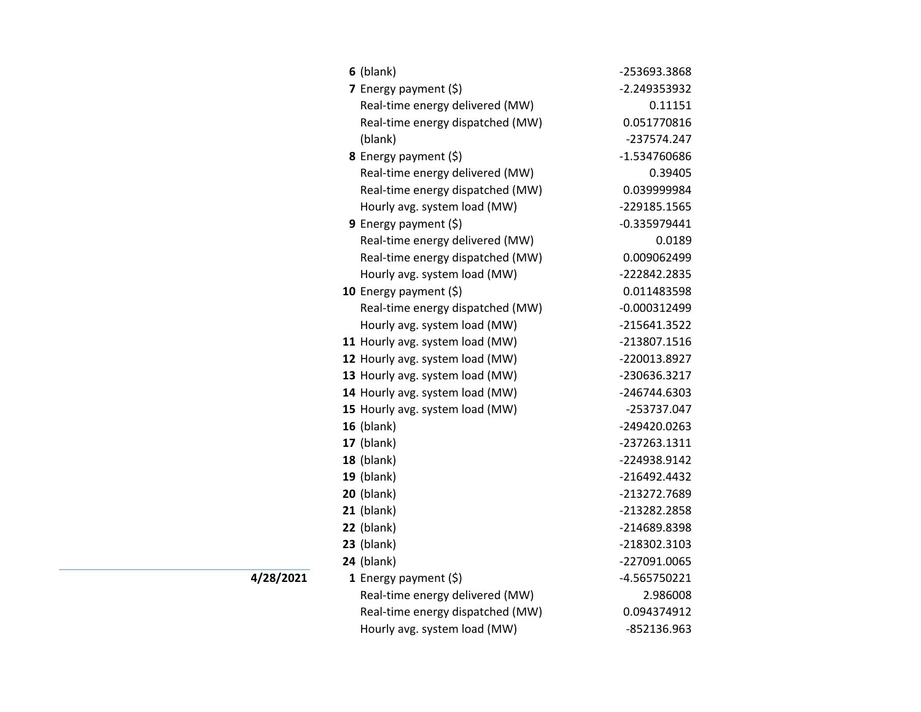| $6$ (blank)                      | -253693.3868   |
|----------------------------------|----------------|
| 7 Energy payment (\$)            | -2.249353932   |
| Real-time energy delivered (MW)  | 0.11151        |
| Real-time energy dispatched (MW) | 0.051770816    |
| (blank)                          | -237574.247    |
| 8 Energy payment (\$)            | -1.534760686   |
| Real-time energy delivered (MW)  | 0.39405        |
| Real-time energy dispatched (MW) | 0.039999984    |
| Hourly avg. system load (MW)     | -229185.1565   |
| <b>9</b> Energy payment $(\xi)$  | $-0.335979441$ |
| Real-time energy delivered (MW)  | 0.0189         |
| Real-time energy dispatched (MW) | 0.009062499    |
| Hourly avg. system load (MW)     | -222842.2835   |
| 10 Energy payment $(5)$          | 0.011483598    |
| Real-time energy dispatched (MW) | $-0.000312499$ |
| Hourly avg. system load (MW)     | -215641.3522   |
| 11 Hourly avg. system load (MW)  | -213807.1516   |
| 12 Hourly avg. system load (MW)  | -220013.8927   |
| 13 Hourly avg. system load (MW)  | -230636.3217   |
| 14 Hourly avg. system load (MW)  | -246744.6303   |
| 15 Hourly avg. system load (MW)  | -253737.047    |
| $16$ (blank)                     | -249420.0263   |
| $17$ (blank)                     | -237263.1311   |
| $18$ (blank)                     | -224938.9142   |
| $19$ (blank)                     | -216492.4432   |
| <b>20</b> (blank)                | -213272.7689   |
| $21$ (blank)                     | -213282.2858   |
| $22$ (blank)                     | -214689.8398   |
| $23$ (blank)                     | -218302.3103   |
| $24$ (blank)                     | -227091.0065   |
| 1 Energy payment $(\xi)$         | -4.565750221   |
| Real-time energy delivered (MW)  | 2.986008       |
| Real-time energy dispatched (MW) | 0.094374912    |
| Hourly avg. system load (MW)     | -852136.963    |

**4/28/2021**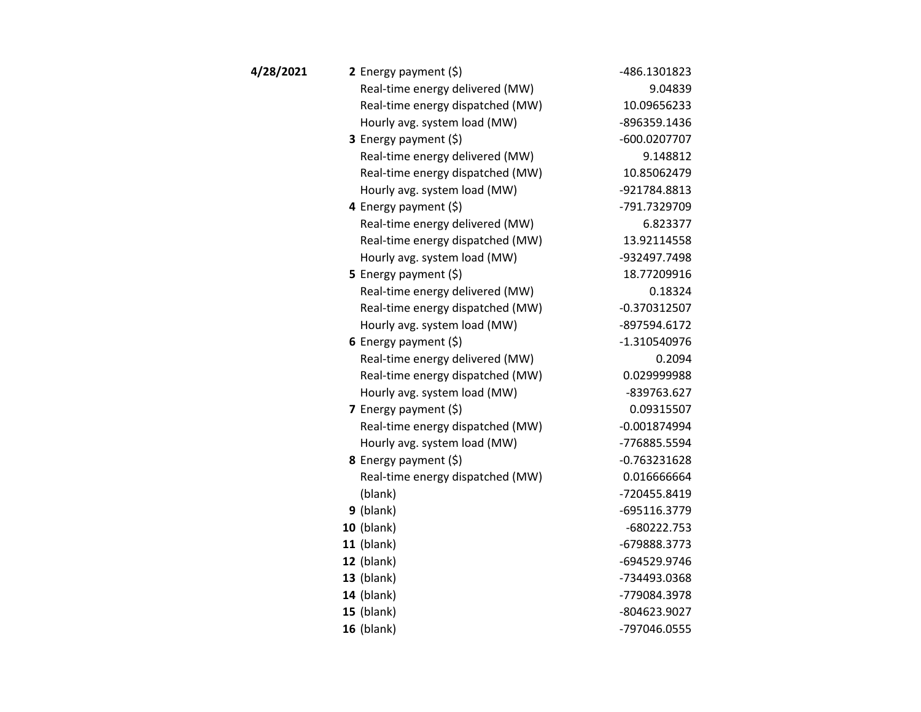| 4/28/2021 | 2 Energy payment $(\xi)$         | -486.1301823   |
|-----------|----------------------------------|----------------|
|           | Real-time energy delivered (MW)  | 9.04839        |
|           | Real-time energy dispatched (MW) | 10.09656233    |
|           | Hourly avg. system load (MW)     | -896359.1436   |
|           | <b>3</b> Energy payment $(\xi)$  | -600.0207707   |
|           | Real-time energy delivered (MW)  | 9.148812       |
|           | Real-time energy dispatched (MW) | 10.85062479    |
|           | Hourly avg. system load (MW)     | -921784.8813   |
|           | 4 Energy payment (\$)            | -791.7329709   |
|           | Real-time energy delivered (MW)  | 6.823377       |
|           | Real-time energy dispatched (MW) | 13.92114558    |
|           | Hourly avg. system load (MW)     | -932497.7498   |
|           | 5 Energy payment $(\xi)$         | 18.77209916    |
|           | Real-time energy delivered (MW)  | 0.18324        |
|           | Real-time energy dispatched (MW) | $-0.370312507$ |
|           | Hourly avg. system load (MW)     | -897594.6172   |
|           | 6 Energy payment $(5)$           | $-1.310540976$ |
|           | Real-time energy delivered (MW)  | 0.2094         |
|           | Real-time energy dispatched (MW) | 0.029999988    |
|           | Hourly avg. system load (MW)     | -839763.627    |
|           | 7 Energy payment $(5)$           | 0.09315507     |
|           | Real-time energy dispatched (MW) | $-0.001874994$ |
|           | Hourly avg. system load (MW)     | -776885.5594   |
|           | 8 Energy payment (\$)            | $-0.763231628$ |
|           | Real-time energy dispatched (MW) | 0.016666664    |
|           | (blank)                          | -720455.8419   |
|           | $9$ (blank)                      | -695116.3779   |
|           | <b>10 (blank)</b>                | -680222.753    |
|           | $11$ (blank)                     | -679888.3773   |
|           | $12$ (blank)                     | -694529.9746   |
|           | $13$ (blank)                     | -734493.0368   |
|           | <b>14</b> (blank)                | -779084.3978   |
|           | $15$ (blank)                     | -804623.9027   |
|           | 16 (blank)                       | -797046.0555   |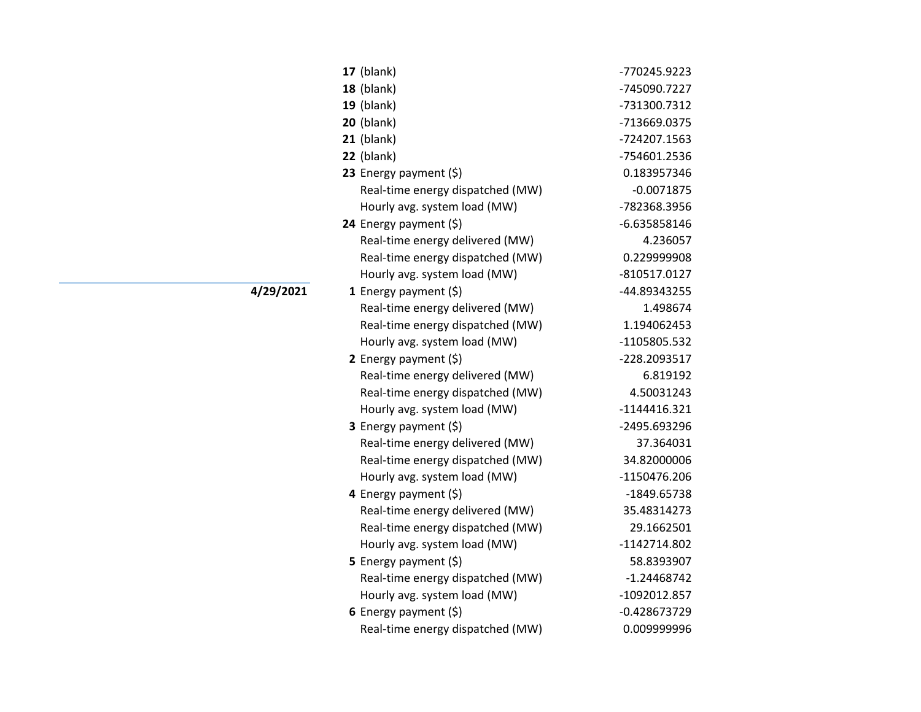| 17 (blank)                       | -770245.9223   |
|----------------------------------|----------------|
| 18 (blank)                       | -745090.7227   |
| $19$ (blank)                     | -731300.7312   |
| $20$ (blank)                     | -713669.0375   |
| $21$ (blank)                     | -724207.1563   |
| $22$ (blank)                     | -754601.2536   |
| 23 Energy payment (\$)           | 0.183957346    |
| Real-time energy dispatched (MW) | $-0.0071875$   |
| Hourly avg. system load (MW)     | -782368.3956   |
| 24 Energy payment (\$)           | $-6.635858146$ |
| Real-time energy delivered (MW)  | 4.236057       |
| Real-time energy dispatched (MW) | 0.229999908    |
| Hourly avg. system load (MW)     | -810517.0127   |
| 1 Energy payment $(\xi)$         | -44.89343255   |
| Real-time energy delivered (MW)  | 1.498674       |
| Real-time energy dispatched (MW) | 1.194062453    |
| Hourly avg. system load (MW)     | -1105805.532   |
| 2 Energy payment $(5)$           | -228.2093517   |
| Real-time energy delivered (MW)  | 6.819192       |
| Real-time energy dispatched (MW) | 4.50031243     |
| Hourly avg. system load (MW)     | $-1144416.321$ |
| 3 Energy payment (\$)            | -2495.693296   |
| Real-time energy delivered (MW)  | 37.364031      |
| Real-time energy dispatched (MW) | 34.82000006    |
| Hourly avg. system load (MW)     | -1150476.206   |
| 4 Energy payment (\$)            | -1849.65738    |
| Real-time energy delivered (MW)  | 35.48314273    |
| Real-time energy dispatched (MW) | 29.1662501     |
| Hourly avg. system load (MW)     | -1142714.802   |
| 5 Energy payment (\$)            | 58.8393907     |
| Real-time energy dispatched (MW) | $-1.24468742$  |
| Hourly avg. system load (MW)     | -1092012.857   |
| 6 Energy payment $(5)$           | $-0.428673729$ |
| Real-time energy dispatched (MW) | 0.009999996    |

**4/29/2021**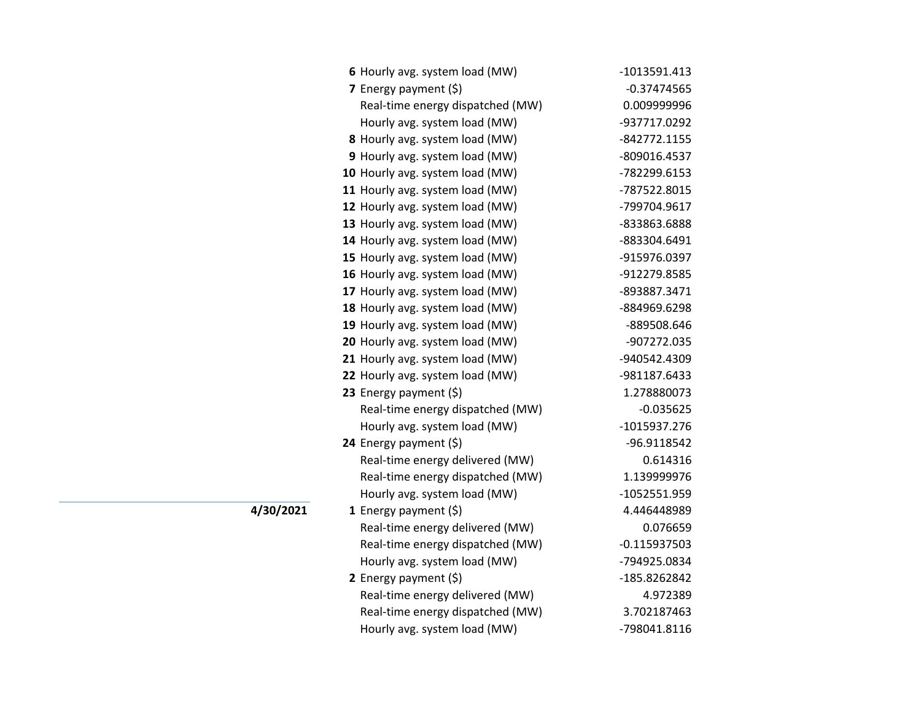| 6 Hourly avg. system load (MW)   | $-1013591.413$ |
|----------------------------------|----------------|
| 7 Energy payment (\$)            | $-0.37474565$  |
| Real-time energy dispatched (MW) | 0.009999996    |
| Hourly avg. system load (MW)     | -937717.0292   |
| 8 Hourly avg. system load (MW)   | -842772.1155   |
| 9 Hourly avg. system load (MW)   | -809016.4537   |
| 10 Hourly avg. system load (MW)  | -782299.6153   |
| 11 Hourly avg. system load (MW)  | -787522.8015   |
| 12 Hourly avg. system load (MW)  | -799704.9617   |
| 13 Hourly avg. system load (MW)  | -833863.6888   |
| 14 Hourly avg. system load (MW)  | -883304.6491   |
| 15 Hourly avg. system load (MW)  | -915976.0397   |
| 16 Hourly avg. system load (MW)  | -912279.8585   |
| 17 Hourly avg. system load (MW)  | -893887.3471   |
| 18 Hourly avg. system load (MW)  | -884969.6298   |
| 19 Hourly avg. system load (MW)  | -889508.646    |
| 20 Hourly avg. system load (MW)  | -907272.035    |
| 21 Hourly avg. system load (MW)  | -940542.4309   |
| 22 Hourly avg. system load (MW)  | -981187.6433   |
| 23 Energy payment $(\xi)$        | 1.278880073    |
| Real-time energy dispatched (MW) | $-0.035625$    |
| Hourly avg. system load (MW)     | -1015937.276   |
| 24 Energy payment (\$)           | -96.9118542    |
| Real-time energy delivered (MW)  | 0.614316       |
| Real-time energy dispatched (MW) | 1.139999976    |
| Hourly avg. system load (MW)     | -1052551.959   |
| 1 Energy payment $(\xi)$         | 4.446448989    |
| Real-time energy delivered (MW)  | 0.076659       |
| Real-time energy dispatched (MW) | $-0.115937503$ |
| Hourly avg. system load (MW)     | -794925.0834   |
| 2 Energy payment $(5)$           | -185.8262842   |
| Real-time energy delivered (MW)  | 4.972389       |
| Real-time energy dispatched (MW) | 3.702187463    |
| Hourly avg. system load (MW)     | -798041.8116   |

**4/30/2021**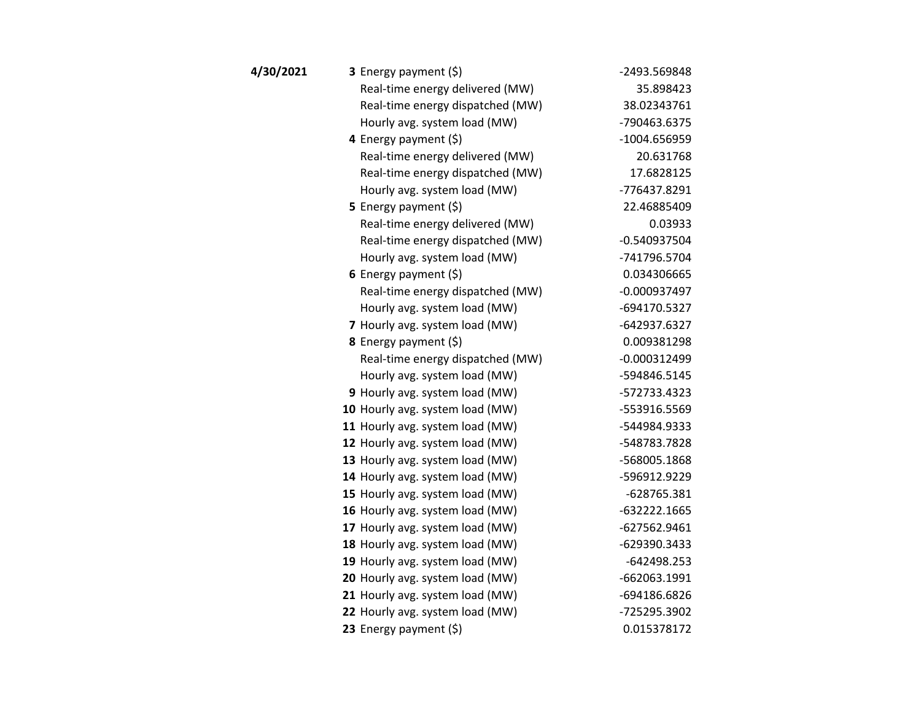| 4/30/2021 | 3 Energy payment (\$)            | -2493.569848   |
|-----------|----------------------------------|----------------|
|           | Real-time energy delivered (MW)  | 35.898423      |
|           | Real-time energy dispatched (MW) | 38.02343761    |
|           | Hourly avg. system load (MW)     | -790463.6375   |
|           | 4 Energy payment (\$)            | $-1004.656959$ |
|           | Real-time energy delivered (MW)  | 20.631768      |
|           | Real-time energy dispatched (MW) | 17.6828125     |
|           | Hourly avg. system load (MW)     | -776437.8291   |
|           | 5 Energy payment $(5)$           | 22.46885409    |
|           | Real-time energy delivered (MW)  | 0.03933        |
|           | Real-time energy dispatched (MW) | $-0.540937504$ |
|           | Hourly avg. system load (MW)     | -741796.5704   |
|           | 6 Energy payment $(5)$           | 0.034306665    |
|           | Real-time energy dispatched (MW) | $-0.000937497$ |
|           | Hourly avg. system load (MW)     | -694170.5327   |
|           | 7 Hourly avg. system load (MW)   | -642937.6327   |
|           | 8 Energy payment (\$)            | 0.009381298    |
|           | Real-time energy dispatched (MW) | $-0.000312499$ |
|           | Hourly avg. system load (MW)     | -594846.5145   |
|           | 9 Hourly avg. system load (MW)   | -572733.4323   |
|           | 10 Hourly avg. system load (MW)  | -553916.5569   |
|           | 11 Hourly avg. system load (MW)  | -544984.9333   |
|           | 12 Hourly avg. system load (MW)  | -548783.7828   |
|           | 13 Hourly avg. system load (MW)  | -568005.1868   |
|           | 14 Hourly avg. system load (MW)  | -596912.9229   |
|           | 15 Hourly avg. system load (MW)  | $-628765.381$  |
|           | 16 Hourly avg. system load (MW)  | $-632222.1665$ |
|           | 17 Hourly avg. system load (MW)  | $-627562.9461$ |
|           | 18 Hourly avg. system load (MW)  | -629390.3433   |
|           | 19 Hourly avg. system load (MW)  | $-642498.253$  |
|           | 20 Hourly avg. system load (MW)  | -662063.1991   |
|           | 21 Hourly avg. system load (MW)  | -694186.6826   |
|           | 22 Hourly avg. system load (MW)  | -725295.3902   |
|           | 23 Energy payment (\$)           | 0.015378172    |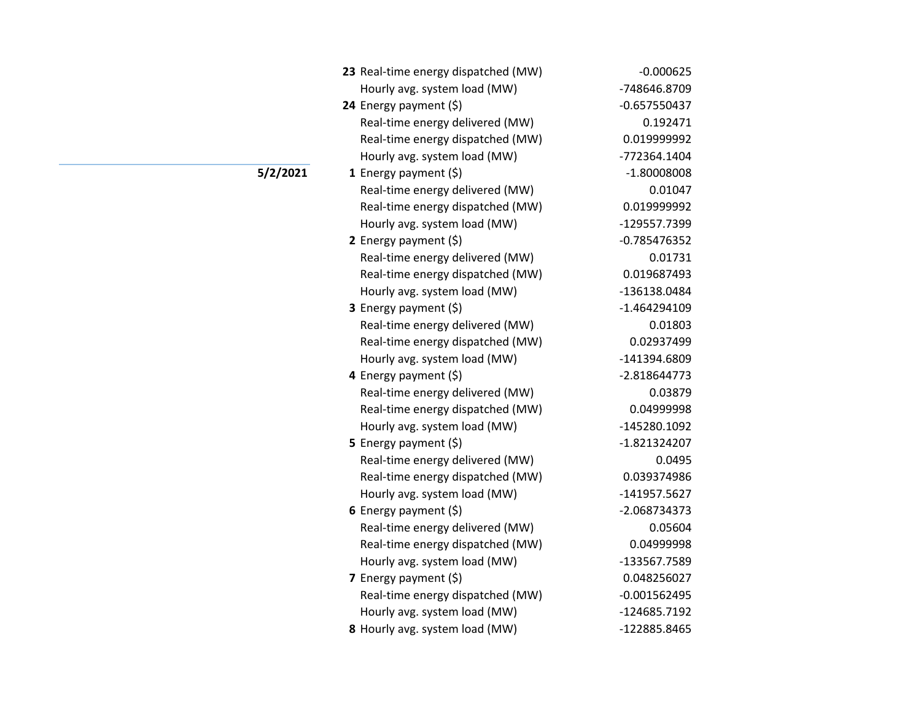| 23 Real-time energy dispatched (MW) | $-0.000625$    |
|-------------------------------------|----------------|
| Hourly avg. system load (MW)        | -748646.8709   |
| 24 Energy payment (\$)              | $-0.657550437$ |
| Real-time energy delivered (MW)     | 0.192471       |
| Real-time energy dispatched (MW)    | 0.019999992    |
| Hourly avg. system load (MW)        | -772364.1404   |
| 1 Energy payment $(\xi)$            | $-1.80008008$  |
| Real-time energy delivered (MW)     | 0.01047        |
| Real-time energy dispatched (MW)    | 0.019999992    |
| Hourly avg. system load (MW)        | -129557.7399   |
| 2 Energy payment (\$)               | $-0.785476352$ |
| Real-time energy delivered (MW)     | 0.01731        |
| Real-time energy dispatched (MW)    | 0.019687493    |
| Hourly avg. system load (MW)        | -136138.0484   |
| 3 Energy payment (\$)               | -1.464294109   |
| Real-time energy delivered (MW)     | 0.01803        |
| Real-time energy dispatched (MW)    | 0.02937499     |
| Hourly avg. system load (MW)        | -141394.6809   |
| 4 Energy payment (\$)               | $-2.818644773$ |
| Real-time energy delivered (MW)     | 0.03879        |
| Real-time energy dispatched (MW)    | 0.04999998     |
| Hourly avg. system load (MW)        | -145280.1092   |
| 5 Energy payment $(\xi)$            | -1.821324207   |
| Real-time energy delivered (MW)     | 0.0495         |
| Real-time energy dispatched (MW)    | 0.039374986    |
| Hourly avg. system load (MW)        | -141957.5627   |
| 6 Energy payment (\$)               | -2.068734373   |
| Real-time energy delivered (MW)     | 0.05604        |
| Real-time energy dispatched (MW)    | 0.04999998     |
| Hourly avg. system load (MW)        | -133567.7589   |
| <b>7</b> Energy payment $(\xi)$     | 0.048256027    |
| Real-time energy dispatched (MW)    | $-0.001562495$ |
| Hourly avg. system load (MW)        | -124685.7192   |
| 8 Hourly avg. system load (MW)      | -122885.8465   |

## **5/2/2021**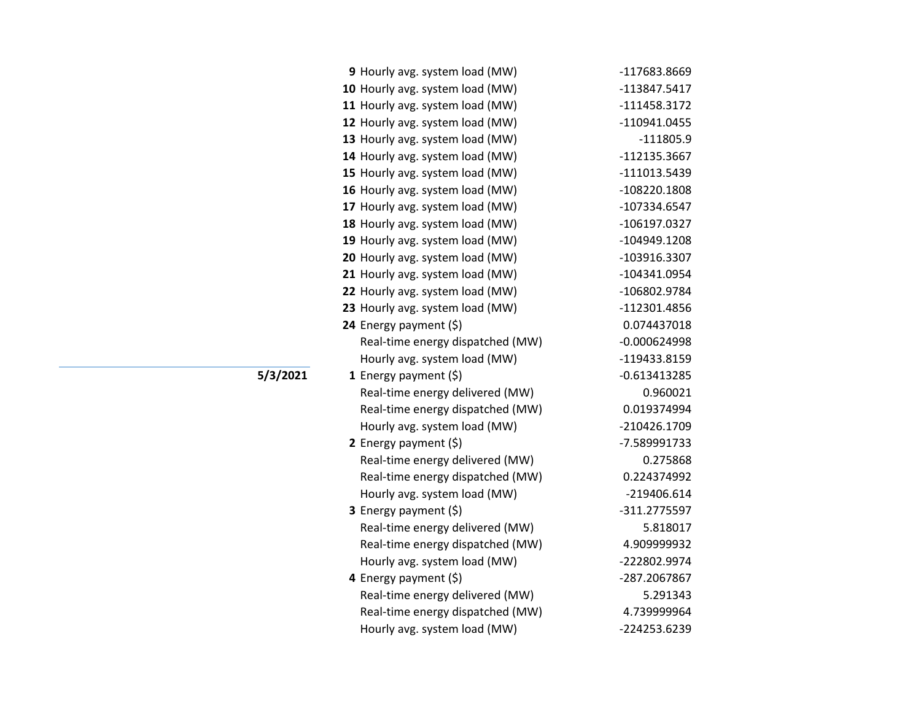| 9 Hourly avg. system load (MW)   | -117683.8669   |
|----------------------------------|----------------|
| 10 Hourly avg. system load (MW)  | -113847.5417   |
| 11 Hourly avg. system load (MW)  | $-111458.3172$ |
| 12 Hourly avg. system load (MW)  | -110941.0455   |
| 13 Hourly avg. system load (MW)  | $-111805.9$    |
| 14 Hourly avg. system load (MW)  | -112135.3667   |
| 15 Hourly avg. system load (MW)  | -111013.5439   |
| 16 Hourly avg. system load (MW)  | -108220.1808   |
| 17 Hourly avg. system load (MW)  | -107334.6547   |
| 18 Hourly avg. system load (MW)  | -106197.0327   |
| 19 Hourly avg. system load (MW)  | -104949.1208   |
| 20 Hourly avg. system load (MW)  | -103916.3307   |
| 21 Hourly avg. system load (MW)  | -104341.0954   |
| 22 Hourly avg. system load (MW)  | -106802.9784   |
| 23 Hourly avg. system load (MW)  | -112301.4856   |
| 24 Energy payment (\$)           | 0.074437018    |
| Real-time energy dispatched (MW) | $-0.000624998$ |
| Hourly avg. system load (MW)     | -119433.8159   |
| <b>1</b> Energy payment $(\xi)$  | $-0.613413285$ |
| Real-time energy delivered (MW)  | 0.960021       |
| Real-time energy dispatched (MW) | 0.019374994    |
| Hourly avg. system load (MW)     | -210426.1709   |
| 2 Energy payment $(\xi)$         | -7.589991733   |
| Real-time energy delivered (MW)  | 0.275868       |
| Real-time energy dispatched (MW) | 0.224374992    |
| Hourly avg. system load (MW)     | -219406.614    |
| 3 Energy payment (\$)            | -311.2775597   |
| Real-time energy delivered (MW)  | 5.818017       |
| Real-time energy dispatched (MW) | 4.909999932    |
| Hourly avg. system load (MW)     | -222802.9974   |
| 4 Energy payment (\$)            | -287.2067867   |
| Real-time energy delivered (MW)  | 5.291343       |
| Real-time energy dispatched (MW) | 4.739999964    |
| Hourly avg. system load (MW)     | -224253.6239   |

**5/3/2021**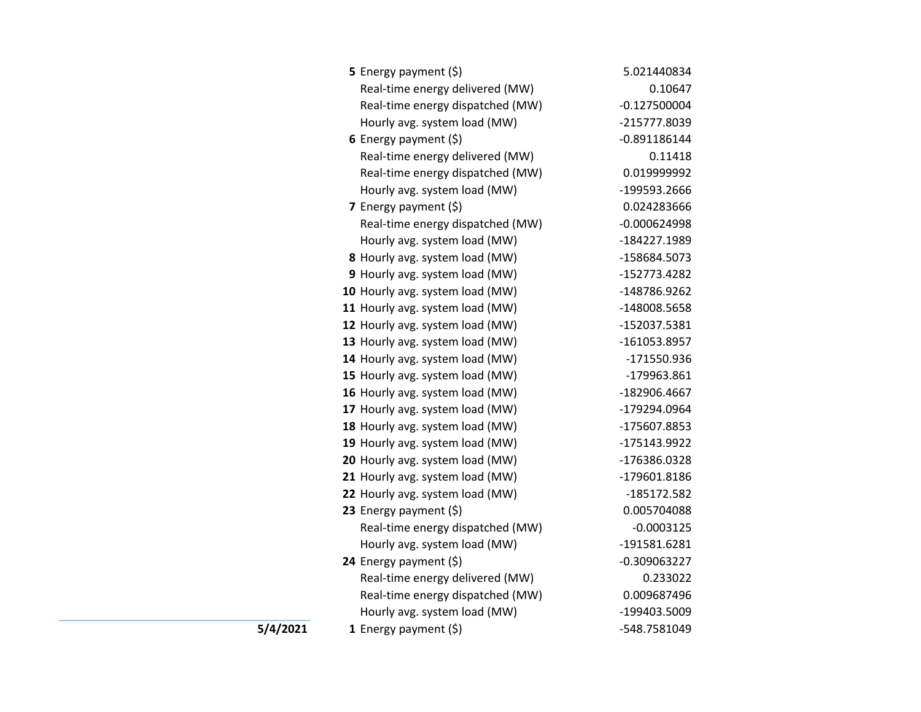|          | <b>5</b> Energy payment $(\xi)$  | 5.021440834    |
|----------|----------------------------------|----------------|
|          | Real-time energy delivered (MW)  | 0.10647        |
|          | Real-time energy dispatched (MW) | $-0.127500004$ |
|          | Hourly avg. system load (MW)     | -215777.8039   |
|          | 6 Energy payment $(\xi)$         | $-0.891186144$ |
|          | Real-time energy delivered (MW)  | 0.11418        |
|          | Real-time energy dispatched (MW) | 0.019999992    |
|          | Hourly avg. system load (MW)     | -199593.2666   |
|          | 7 Energy payment $(5)$           | 0.024283666    |
|          | Real-time energy dispatched (MW) | $-0.000624998$ |
|          | Hourly avg. system load (MW)     | -184227.1989   |
|          | 8 Hourly avg. system load (MW)   | -158684.5073   |
|          | 9 Hourly avg. system load (MW)   | -152773.4282   |
|          | 10 Hourly avg. system load (MW)  | -148786.9262   |
|          | 11 Hourly avg. system load (MW)  | -148008.5658   |
|          | 12 Hourly avg. system load (MW)  | -152037.5381   |
|          | 13 Hourly avg. system load (MW)  | -161053.8957   |
|          | 14 Hourly avg. system load (MW)  | -171550.936    |
|          | 15 Hourly avg. system load (MW)  | -179963.861    |
|          | 16 Hourly avg. system load (MW)  | -182906.4667   |
|          | 17 Hourly avg. system load (MW)  | -179294.0964   |
|          | 18 Hourly avg. system load (MW)  | -175607.8853   |
|          | 19 Hourly avg. system load (MW)  | -175143.9922   |
|          | 20 Hourly avg. system load (MW)  | -176386.0328   |
|          | 21 Hourly avg. system load (MW)  | -179601.8186   |
|          | 22 Hourly avg. system load (MW)  | -185172.582    |
|          | 23 Energy payment (\$)           | 0.005704088    |
|          | Real-time energy dispatched (MW) | $-0.0003125$   |
|          | Hourly avg. system load (MW)     | -191581.6281   |
|          | 24 Energy payment (\$)           | $-0.309063227$ |
|          | Real-time energy delivered (MW)  | 0.233022       |
|          | Real-time energy dispatched (MW) | 0.009687496    |
|          | Hourly avg. system load (MW)     | -199403.5009   |
| 5/4/2021 | 1 Energy payment $(5)$           | -548.7581049   |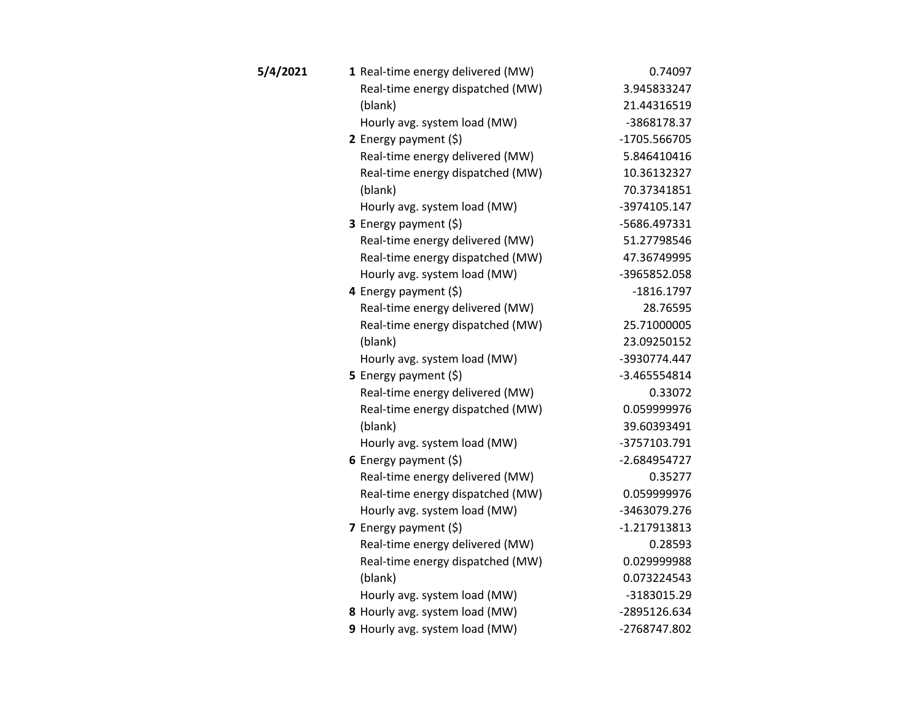| 5/4/2021 | 1 Real-time energy delivered (MW) | 0.74097        |
|----------|-----------------------------------|----------------|
|          | Real-time energy dispatched (MW)  | 3.945833247    |
|          | (blank)                           | 21.44316519    |
|          | Hourly avg. system load (MW)      | -3868178.37    |
|          | 2 Energy payment $(\xi)$          | -1705.566705   |
|          | Real-time energy delivered (MW)   | 5.846410416    |
|          | Real-time energy dispatched (MW)  | 10.36132327    |
|          | (blank)                           | 70.37341851    |
|          | Hourly avg. system load (MW)      | -3974105.147   |
|          | 3 Energy payment (\$)             | -5686.497331   |
|          | Real-time energy delivered (MW)   | 51.27798546    |
|          | Real-time energy dispatched (MW)  | 47.36749995    |
|          | Hourly avg. system load (MW)      | -3965852.058   |
|          | 4 Energy payment (\$)             | $-1816.1797$   |
|          | Real-time energy delivered (MW)   | 28.76595       |
|          | Real-time energy dispatched (MW)  | 25.71000005    |
|          | (blank)                           | 23.09250152    |
|          | Hourly avg. system load (MW)      | -3930774.447   |
|          | 5 Energy payment $(\xi)$          | -3.465554814   |
|          | Real-time energy delivered (MW)   | 0.33072        |
|          | Real-time energy dispatched (MW)  | 0.059999976    |
|          | (blank)                           | 39.60393491    |
|          | Hourly avg. system load (MW)      | -3757103.791   |
|          | 6 Energy payment $(5)$            | -2.684954727   |
|          | Real-time energy delivered (MW)   | 0.35277        |
|          | Real-time energy dispatched (MW)  | 0.059999976    |
|          | Hourly avg. system load (MW)      | -3463079.276   |
|          | 7 Energy payment $(5)$            | $-1.217913813$ |
|          | Real-time energy delivered (MW)   | 0.28593        |
|          | Real-time energy dispatched (MW)  | 0.029999988    |
|          | (blank)                           | 0.073224543    |
|          | Hourly avg. system load (MW)      | -3183015.29    |
|          | 8 Hourly avg. system load (MW)    | -2895126.634   |
|          | 9 Hourly avg. system load (MW)    | -2768747.802   |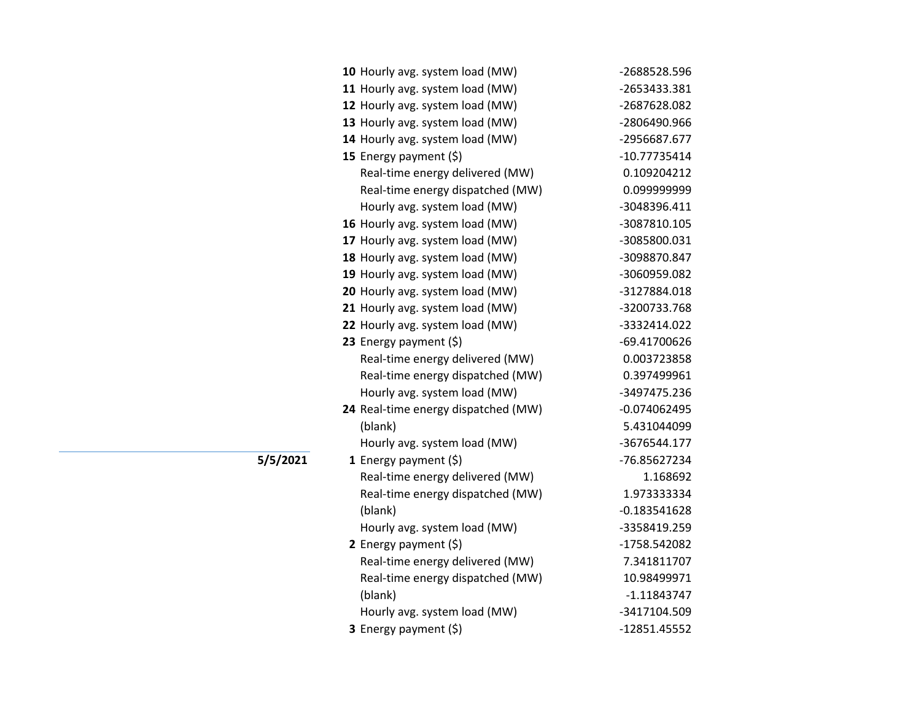| 10 Hourly avg. system load (MW)     | -2688528.596   |
|-------------------------------------|----------------|
| 11 Hourly avg. system load (MW)     | -2653433.381   |
| 12 Hourly avg. system load (MW)     | -2687628.082   |
| 13 Hourly avg. system load (MW)     | -2806490.966   |
| 14 Hourly avg. system load (MW)     | -2956687.677   |
| 15 Energy payment (\$)              | $-10.77735414$ |
| Real-time energy delivered (MW)     | 0.109204212    |
| Real-time energy dispatched (MW)    | 0.099999999    |
| Hourly avg. system load (MW)        | -3048396.411   |
| 16 Hourly avg. system load (MW)     | -3087810.105   |
| 17 Hourly avg. system load (MW)     | -3085800.031   |
| 18 Hourly avg. system load (MW)     | -3098870.847   |
| 19 Hourly avg. system load (MW)     | -3060959.082   |
| 20 Hourly avg. system load (MW)     | -3127884.018   |
| 21 Hourly avg. system load (MW)     | -3200733.768   |
| 22 Hourly avg. system load (MW)     | -3332414.022   |
| 23 Energy payment (\$)              | -69.41700626   |
| Real-time energy delivered (MW)     | 0.003723858    |
| Real-time energy dispatched (MW)    | 0.397499961    |
| Hourly avg. system load (MW)        | -3497475.236   |
| 24 Real-time energy dispatched (MW) | $-0.074062495$ |
| (blank)                             | 5.431044099    |
| Hourly avg. system load (MW)        | -3676544.177   |
| 1 Energy payment $(\xi)$            | -76.85627234   |
| Real-time energy delivered (MW)     | 1.168692       |
| Real-time energy dispatched (MW)    | 1.973333334    |
| (blank)                             | $-0.183541628$ |
| Hourly avg. system load (MW)        | -3358419.259   |
| 2 Energy payment (\$)               | -1758.542082   |
| Real-time energy delivered (MW)     | 7.341811707    |
| Real-time energy dispatched (MW)    | 10.98499971    |
| (blank)                             | $-1.11843747$  |
| Hourly avg. system load (MW)        | -3417104.509   |
| 3 Energy payment (\$)               | -12851.45552   |

**5/5/2021**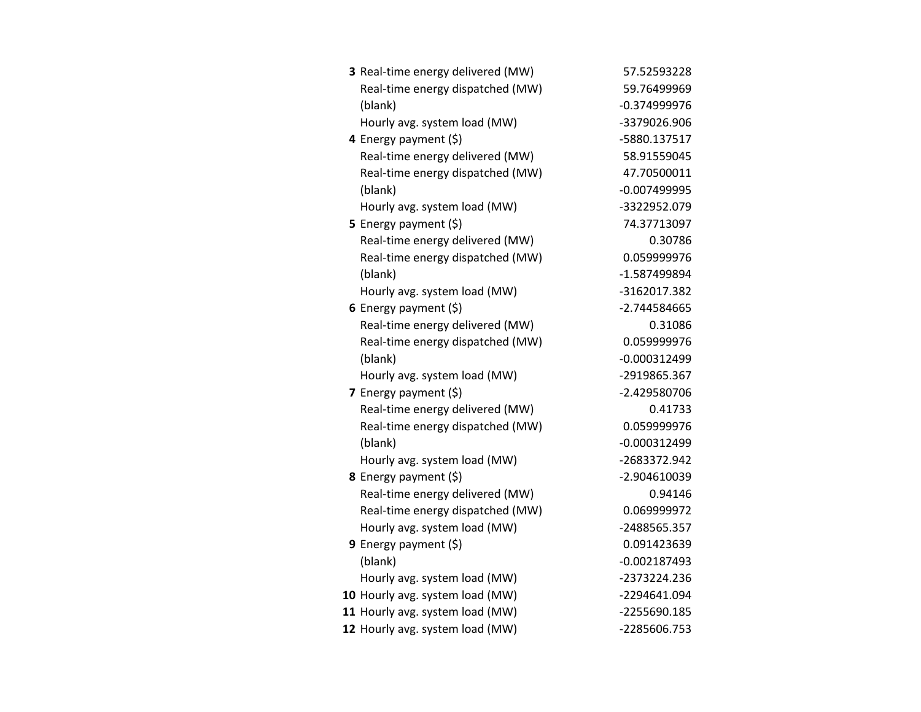| 3 Real-time energy delivered (MW) | 57.52593228    |
|-----------------------------------|----------------|
| Real-time energy dispatched (MW)  | 59.76499969    |
| (blank)                           | $-0.374999976$ |
| Hourly avg. system load (MW)      | -3379026.906   |
| 4 Energy payment (\$)             | -5880.137517   |
| Real-time energy delivered (MW)   | 58.91559045    |
| Real-time energy dispatched (MW)  | 47.70500011    |
| (blank)                           | $-0.007499995$ |
| Hourly avg. system load (MW)      | -3322952.079   |
| 5 Energy payment $(\xi)$          | 74.37713097    |
| Real-time energy delivered (MW)   | 0.30786        |
| Real-time energy dispatched (MW)  | 0.059999976    |
| (blank)                           | -1.587499894   |
| Hourly avg. system load (MW)      | -3162017.382   |
| 6 Energy payment $(\xi)$          | -2.744584665   |
| Real-time energy delivered (MW)   | 0.31086        |
| Real-time energy dispatched (MW)  | 0.059999976    |
| (blank)                           | $-0.000312499$ |
| Hourly avg. system load (MW)      | -2919865.367   |
| 7 Energy payment (\$)             | -2.429580706   |
| Real-time energy delivered (MW)   | 0.41733        |
| Real-time energy dispatched (MW)  | 0.059999976    |
| (blank)                           | $-0.000312499$ |
| Hourly avg. system load (MW)      | -2683372.942   |
| 8 Energy payment (\$)             | -2.904610039   |
| Real-time energy delivered (MW)   | 0.94146        |
| Real-time energy dispatched (MW)  | 0.069999972    |
| Hourly avg. system load (MW)      | -2488565.357   |
| <b>9</b> Energy payment $(\xi)$   | 0.091423639    |
| (blank)                           | $-0.002187493$ |
| Hourly avg. system load (MW)      | -2373224.236   |
| 10 Hourly avg. system load (MW)   | -2294641.094   |
| 11 Hourly avg. system load (MW)   | -2255690.185   |
| 12 Hourly avg. system load (MW)   | -2285606.753   |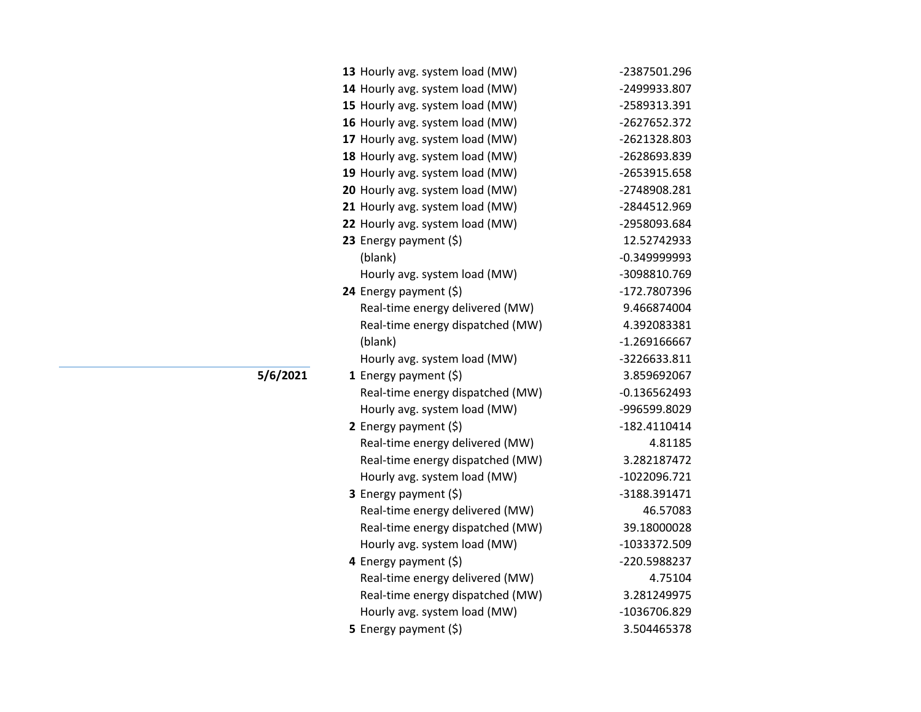| 13 Hourly avg. system load (MW)  | -2387501.296   |
|----------------------------------|----------------|
| 14 Hourly avg. system load (MW)  | -2499933.807   |
| 15 Hourly avg. system load (MW)  | -2589313.391   |
| 16 Hourly avg. system load (MW)  | -2627652.372   |
| 17 Hourly avg. system load (MW)  | -2621328.803   |
| 18 Hourly avg. system load (MW)  | -2628693.839   |
| 19 Hourly avg. system load (MW)  | -2653915.658   |
| 20 Hourly avg. system load (MW)  | -2748908.281   |
| 21 Hourly avg. system load (MW)  | -2844512.969   |
| 22 Hourly avg. system load (MW)  | -2958093.684   |
| 23 Energy payment (\$)           | 12.52742933    |
| (blank)                          | $-0.349999993$ |
| Hourly avg. system load (MW)     | -3098810.769   |
| 24 Energy payment (\$)           | -172.7807396   |
| Real-time energy delivered (MW)  | 9.466874004    |
| Real-time energy dispatched (MW) | 4.392083381    |
| (blank)                          | $-1.269166667$ |
| Hourly avg. system load (MW)     | -3226633.811   |
| 1 Energy payment $(\xi)$         | 3.859692067    |
| Real-time energy dispatched (MW) | $-0.136562493$ |
| Hourly avg. system load (MW)     | -996599.8029   |
| 2 Energy payment $(5)$           | $-182.4110414$ |
| Real-time energy delivered (MW)  | 4.81185        |
| Real-time energy dispatched (MW) | 3.282187472    |
| Hourly avg. system load (MW)     | -1022096.721   |
| 3 Energy payment (\$)            | -3188.391471   |
| Real-time energy delivered (MW)  | 46.57083       |
| Real-time energy dispatched (MW) | 39.18000028    |
| Hourly avg. system load (MW)     | -1033372.509   |
| 4 Energy payment (\$)            | -220.5988237   |
| Real-time energy delivered (MW)  | 4.75104        |
| Real-time energy dispatched (MW) | 3.281249975    |
| Hourly avg. system load (MW)     | -1036706.829   |
| 5 Energy payment $(5)$           | 3.504465378    |

**5/6/2021**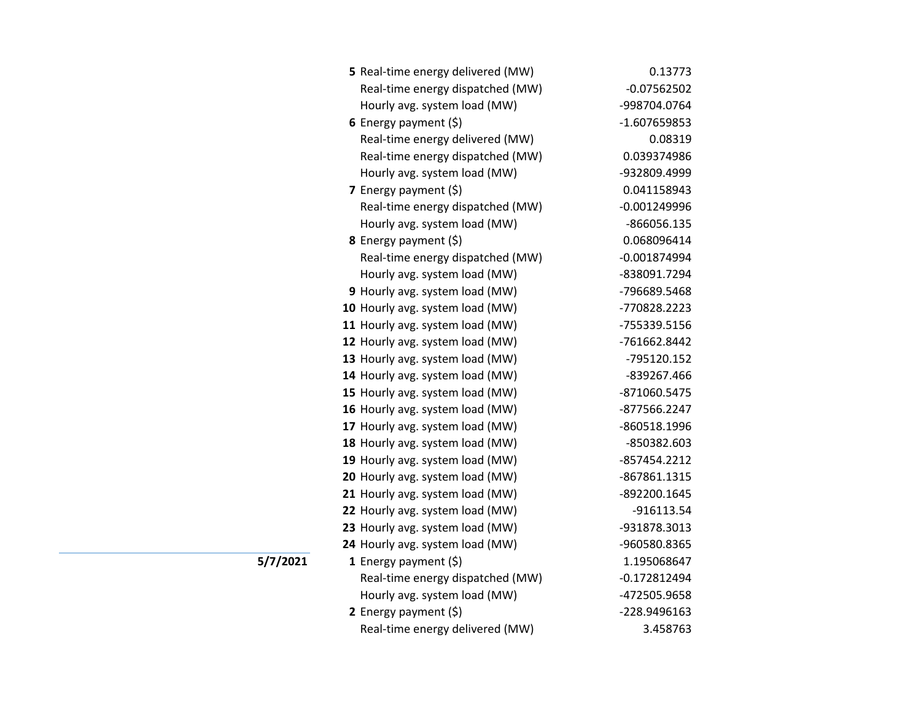| 5 Real-time energy delivered (MW) | 0.13773        |
|-----------------------------------|----------------|
| Real-time energy dispatched (MW)  | $-0.07562502$  |
| Hourly avg. system load (MW)      | -998704.0764   |
| 6 Energy payment $(5)$            | -1.607659853   |
| Real-time energy delivered (MW)   | 0.08319        |
| Real-time energy dispatched (MW)  | 0.039374986    |
| Hourly avg. system load (MW)      | -932809.4999   |
| 7 Energy payment $(\xi)$          | 0.041158943    |
| Real-time energy dispatched (MW)  | $-0.001249996$ |
| Hourly avg. system load (MW)      | $-866056.135$  |
| 8 Energy payment (\$)             | 0.068096414    |
| Real-time energy dispatched (MW)  | $-0.001874994$ |
| Hourly avg. system load (MW)      | -838091.7294   |
| 9 Hourly avg. system load (MW)    | -796689.5468   |
| 10 Hourly avg. system load (MW)   | -770828.2223   |
| 11 Hourly avg. system load (MW)   | -755339.5156   |
| 12 Hourly avg. system load (MW)   | -761662.8442   |
| 13 Hourly avg. system load (MW)   | -795120.152    |
| 14 Hourly avg. system load (MW)   | -839267.466    |
| 15 Hourly avg. system load (MW)   | -871060.5475   |
| 16 Hourly avg. system load (MW)   | -877566.2247   |
| 17 Hourly avg. system load (MW)   | -860518.1996   |
| 18 Hourly avg. system load (MW)   | -850382.603    |
| 19 Hourly avg. system load (MW)   | -857454.2212   |
| 20 Hourly avg. system load (MW)   | -867861.1315   |
| 21 Hourly avg. system load (MW)   | -892200.1645   |
| 22 Hourly avg. system load (MW)   | -916113.54     |
| 23 Hourly avg. system load (MW)   | -931878.3013   |
| 24 Hourly avg. system load (MW)   | -960580.8365   |
| 1 Energy payment (\$)             | 1.195068647    |
| Real-time energy dispatched (MW)  | $-0.172812494$ |
| Hourly avg. system load (MW)      | -472505.9658   |
| 2 Energy payment $(\xi)$          | -228.9496163   |
| Real-time energy delivered (MW)   | 3.458763       |

**5/7/2021**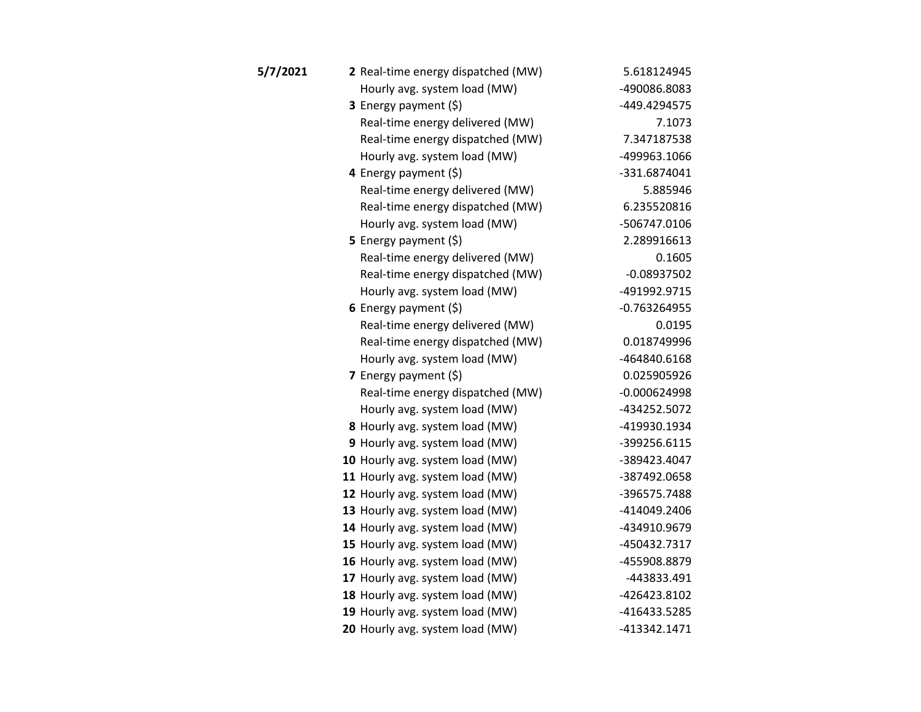| 5/7/2021 | 2 Real-time energy dispatched (MW) | 5.618124945    |
|----------|------------------------------------|----------------|
|          | Hourly avg. system load (MW)       | -490086.8083   |
|          | 3 Energy payment (\$)              | -449.4294575   |
|          | Real-time energy delivered (MW)    | 7.1073         |
|          | Real-time energy dispatched (MW)   | 7.347187538    |
|          | Hourly avg. system load (MW)       | -499963.1066   |
|          | 4 Energy payment (\$)              | -331.6874041   |
|          | Real-time energy delivered (MW)    | 5.885946       |
|          | Real-time energy dispatched (MW)   | 6.235520816    |
|          | Hourly avg. system load (MW)       | -506747.0106   |
|          | 5 Energy payment $(\xi)$           | 2.289916613    |
|          | Real-time energy delivered (MW)    | 0.1605         |
|          | Real-time energy dispatched (MW)   | $-0.08937502$  |
|          | Hourly avg. system load (MW)       | -491992.9715   |
|          | 6 Energy payment $(\xi)$           | $-0.763264955$ |
|          | Real-time energy delivered (MW)    | 0.0195         |
|          | Real-time energy dispatched (MW)   | 0.018749996    |
|          | Hourly avg. system load (MW)       | -464840.6168   |
|          | 7 Energy payment $(\xi)$           | 0.025905926    |
|          | Real-time energy dispatched (MW)   | $-0.000624998$ |
|          | Hourly avg. system load (MW)       | -434252.5072   |
|          | 8 Hourly avg. system load (MW)     | -419930.1934   |
|          | 9 Hourly avg. system load (MW)     | -399256.6115   |
|          | 10 Hourly avg. system load (MW)    | -389423.4047   |
|          | 11 Hourly avg. system load (MW)    | -387492.0658   |
|          | 12 Hourly avg. system load (MW)    | -396575.7488   |
|          | 13 Hourly avg. system load (MW)    | -414049.2406   |
|          | 14 Hourly avg. system load (MW)    | -434910.9679   |
|          | 15 Hourly avg. system load (MW)    | -450432.7317   |
|          | 16 Hourly avg. system load (MW)    | -455908.8879   |
|          | 17 Hourly avg. system load (MW)    | -443833.491    |
|          | 18 Hourly avg. system load (MW)    | -426423.8102   |
|          | 19 Hourly avg. system load (MW)    | -416433.5285   |
|          | 20 Hourly avg. system load (MW)    | -413342.1471   |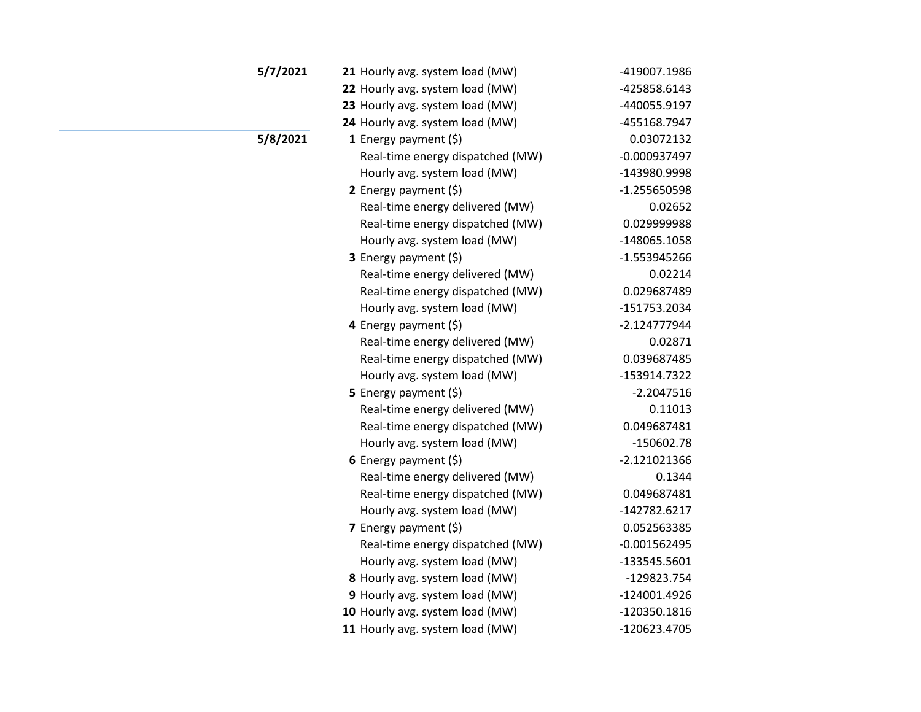| 5/7/2021 | 21 Hourly avg. system load (MW)  | -419007.1986   |
|----------|----------------------------------|----------------|
|          | 22 Hourly avg. system load (MW)  | -425858.6143   |
|          | 23 Hourly avg. system load (MW)  | -440055.9197   |
|          | 24 Hourly avg. system load (MW)  | -455168.7947   |
| 5/8/2021 | 1 Energy payment $(\xi)$         | 0.03072132     |
|          | Real-time energy dispatched (MW) | $-0.000937497$ |
|          | Hourly avg. system load (MW)     | -143980.9998   |
|          | 2 Energy payment (\$)            | $-1.255650598$ |
|          | Real-time energy delivered (MW)  | 0.02652        |
|          | Real-time energy dispatched (MW) | 0.029999988    |
|          | Hourly avg. system load (MW)     | -148065.1058   |
|          | 3 Energy payment (\$)            | $-1.553945266$ |
|          | Real-time energy delivered (MW)  | 0.02214        |
|          | Real-time energy dispatched (MW) | 0.029687489    |
|          | Hourly avg. system load (MW)     | -151753.2034   |
|          | 4 Energy payment (\$)            | $-2.124777944$ |
|          | Real-time energy delivered (MW)  | 0.02871        |
|          | Real-time energy dispatched (MW) | 0.039687485    |
|          | Hourly avg. system load (MW)     | -153914.7322   |
|          | 5 Energy payment (\$)            | $-2.2047516$   |
|          | Real-time energy delivered (MW)  | 0.11013        |
|          | Real-time energy dispatched (MW) | 0.049687481    |
|          | Hourly avg. system load (MW)     | $-150602.78$   |
|          | 6 Energy payment $(5)$           | $-2.121021366$ |
|          | Real-time energy delivered (MW)  | 0.1344         |
|          | Real-time energy dispatched (MW) | 0.049687481    |
|          | Hourly avg. system load (MW)     | -142782.6217   |
|          | 7 Energy payment (\$)            | 0.052563385    |
|          | Real-time energy dispatched (MW) | $-0.001562495$ |
|          | Hourly avg. system load (MW)     | -133545.5601   |
|          | 8 Hourly avg. system load (MW)   | -129823.754    |
|          | 9 Hourly avg. system load (MW)   | -124001.4926   |
|          | 10 Hourly avg. system load (MW)  | -120350.1816   |
|          | 11 Hourly avg. system load (MW)  | -120623.4705   |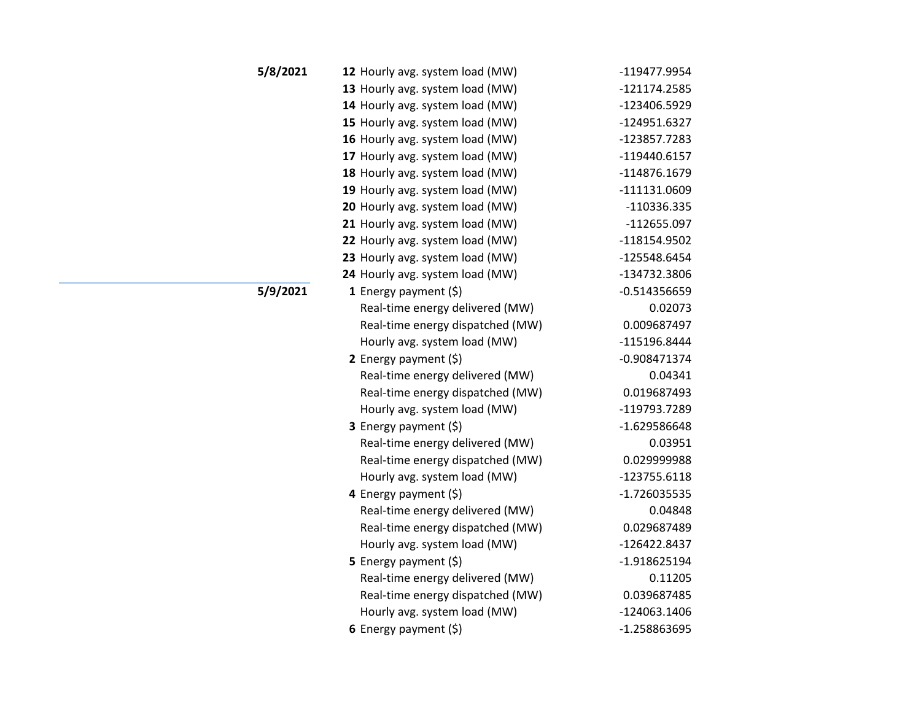| 5/8/2021 | 12 Hourly avg. system load (MW)  | -119477.9954   |
|----------|----------------------------------|----------------|
|          | 13 Hourly avg. system load (MW)  | -121174.2585   |
|          | 14 Hourly avg. system load (MW)  | -123406.5929   |
|          | 15 Hourly avg. system load (MW)  | -124951.6327   |
|          | 16 Hourly avg. system load (MW)  | -123857.7283   |
|          | 17 Hourly avg. system load (MW)  | -119440.6157   |
|          | 18 Hourly avg. system load (MW)  | -114876.1679   |
|          | 19 Hourly avg. system load (MW)  | $-111131.0609$ |
|          | 20 Hourly avg. system load (MW)  | -110336.335    |
|          | 21 Hourly avg. system load (MW)  | -112655.097    |
|          | 22 Hourly avg. system load (MW)  | -118154.9502   |
|          | 23 Hourly avg. system load (MW)  | -125548.6454   |
|          | 24 Hourly avg. system load (MW)  | -134732.3806   |
| 5/9/2021 | 1 Energy payment $(\xi)$         | $-0.514356659$ |
|          | Real-time energy delivered (MW)  | 0.02073        |
|          | Real-time energy dispatched (MW) | 0.009687497    |
|          | Hourly avg. system load (MW)     | -115196.8444   |
|          | 2 Energy payment $(5)$           | $-0.908471374$ |
|          | Real-time energy delivered (MW)  | 0.04341        |
|          | Real-time energy dispatched (MW) | 0.019687493    |
|          | Hourly avg. system load (MW)     | -119793.7289   |
|          | 3 Energy payment (\$)            | $-1.629586648$ |
|          | Real-time energy delivered (MW)  | 0.03951        |
|          | Real-time energy dispatched (MW) | 0.029999988    |
|          | Hourly avg. system load (MW)     | $-123755.6118$ |
|          | 4 Energy payment (\$)            | $-1.726035535$ |
|          | Real-time energy delivered (MW)  | 0.04848        |
|          | Real-time energy dispatched (MW) | 0.029687489    |
|          | Hourly avg. system load (MW)     | -126422.8437   |
|          | 5 Energy payment (\$)            | -1.918625194   |
|          | Real-time energy delivered (MW)  | 0.11205        |
|          | Real-time energy dispatched (MW) | 0.039687485    |
|          | Hourly avg. system load (MW)     | -124063.1406   |
|          | 6 Energy payment $(5)$           | -1.258863695   |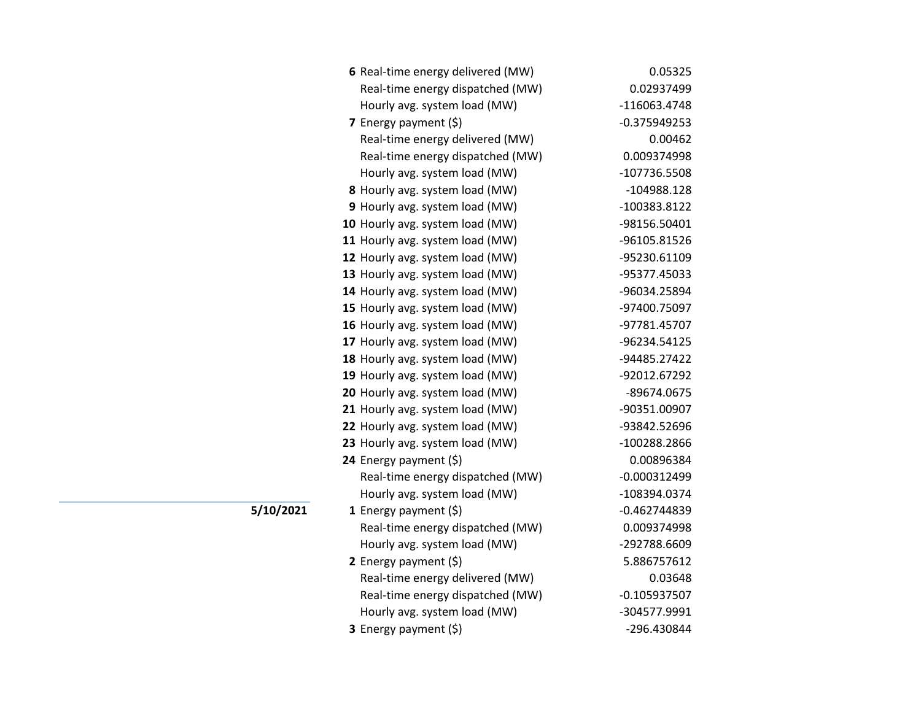| 6 Real-time energy delivered (MW) | 0.05325        |
|-----------------------------------|----------------|
| Real-time energy dispatched (MW)  | 0.02937499     |
| Hourly avg. system load (MW)      | -116063.4748   |
| 7 Energy payment (\$)             | $-0.375949253$ |
| Real-time energy delivered (MW)   | 0.00462        |
| Real-time energy dispatched (MW)  | 0.009374998    |
| Hourly avg. system load (MW)      | -107736.5508   |
| 8 Hourly avg. system load (MW)    | -104988.128    |
| 9 Hourly avg. system load (MW)    | -100383.8122   |
| 10 Hourly avg. system load (MW)   | -98156.50401   |
| 11 Hourly avg. system load (MW)   | -96105.81526   |
| 12 Hourly avg. system load (MW)   | -95230.61109   |
| 13 Hourly avg. system load (MW)   | -95377.45033   |
| 14 Hourly avg. system load (MW)   | -96034.25894   |
| 15 Hourly avg. system load (MW)   | -97400.75097   |
| 16 Hourly avg. system load (MW)   | -97781.45707   |
| 17 Hourly avg. system load (MW)   | -96234.54125   |
| 18 Hourly avg. system load (MW)   | -94485.27422   |
| 19 Hourly avg. system load (MW)   | -92012.67292   |
| 20 Hourly avg. system load (MW)   | -89674.0675    |
| 21 Hourly avg. system load (MW)   | -90351.00907   |
| 22 Hourly avg. system load (MW)   | -93842.52696   |
| 23 Hourly avg. system load (MW)   | -100288.2866   |
| 24 Energy payment (\$)            | 0.00896384     |
| Real-time energy dispatched (MW)  | $-0.000312499$ |
| Hourly avg. system load (MW)      | -108394.0374   |
| 1 Energy payment $(\xi)$          | $-0.462744839$ |
| Real-time energy dispatched (MW)  | 0.009374998    |
| Hourly avg. system load (MW)      | -292788.6609   |
| 2 Energy payment $(\xi)$          | 5.886757612    |
| Real-time energy delivered (MW)   | 0.03648        |
| Real-time energy dispatched (MW)  | $-0.105937507$ |
| Hourly avg. system load (MW)      | -304577.9991   |
| 3 Energy payment (\$)             | -296.430844    |

**5/10/2021**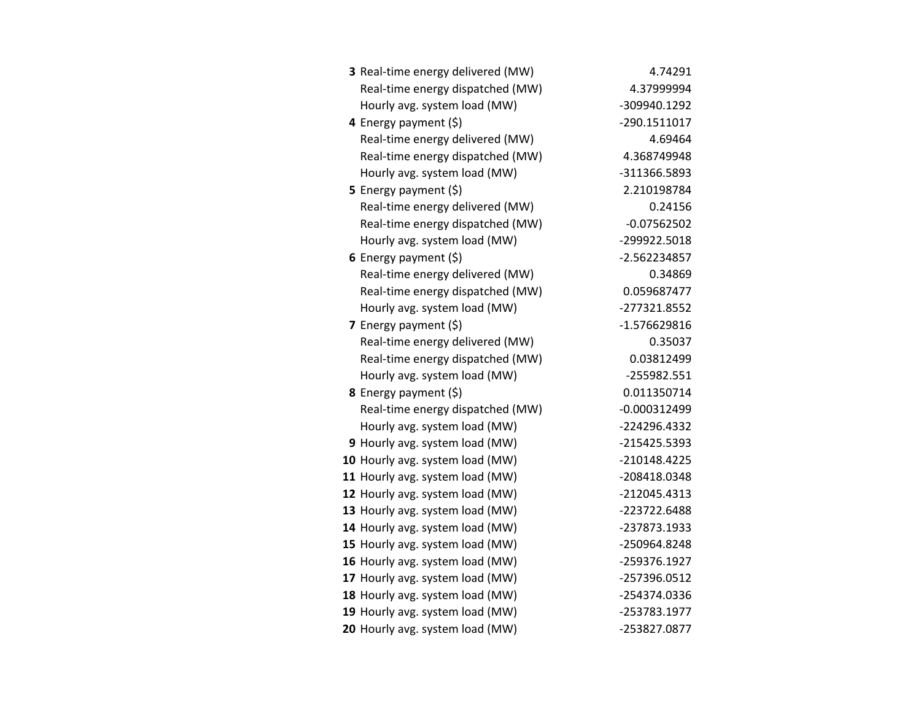| 3 Real-time energy delivered (MW) | 4.74291        |
|-----------------------------------|----------------|
| Real-time energy dispatched (MW)  | 4.37999994     |
| Hourly avg. system load (MW)      | -309940.1292   |
| 4 Energy payment (\$)             | -290.1511017   |
| Real-time energy delivered (MW)   | 4.69464        |
| Real-time energy dispatched (MW)  | 4.368749948    |
| Hourly avg. system load (MW)      | -311366.5893   |
| 5 Energy payment $(5)$            | 2.210198784    |
| Real-time energy delivered (MW)   | 0.24156        |
| Real-time energy dispatched (MW)  | $-0.07562502$  |
| Hourly avg. system load (MW)      | -299922.5018   |
| 6 Energy payment (\$)             | -2.562234857   |
| Real-time energy delivered (MW)   | 0.34869        |
| Real-time energy dispatched (MW)  | 0.059687477    |
| Hourly avg. system load (MW)      | -277321.8552   |
| 7 Energy payment $(\xi)$          | $-1.576629816$ |
| Real-time energy delivered (MW)   | 0.35037        |
| Real-time energy dispatched (MW)  | 0.03812499     |
| Hourly avg. system load (MW)      | -255982.551    |
| 8 Energy payment (\$)             | 0.011350714    |
| Real-time energy dispatched (MW)  | $-0.000312499$ |
| Hourly avg. system load (MW)      | -224296.4332   |
| 9 Hourly avg. system load (MW)    | -215425.5393   |
| 10 Hourly avg. system load (MW)   | -210148.4225   |
| 11 Hourly avg. system load (MW)   | -208418.0348   |
| 12 Hourly avg. system load (MW)   | -212045.4313   |
| 13 Hourly avg. system load (MW)   | -223722.6488   |
| 14 Hourly avg. system load (MW)   | -237873.1933   |
| 15 Hourly avg. system load (MW)   | -250964.8248   |
| 16 Hourly avg. system load (MW)   | -259376.1927   |
| 17 Hourly avg. system load (MW)   | -257396.0512   |
| 18 Hourly avg. system load (MW)   | -254374.0336   |
| 19 Hourly avg. system load (MW)   | -253783.1977   |
| 20 Hourly avg. system load (MW)   | -253827.0877   |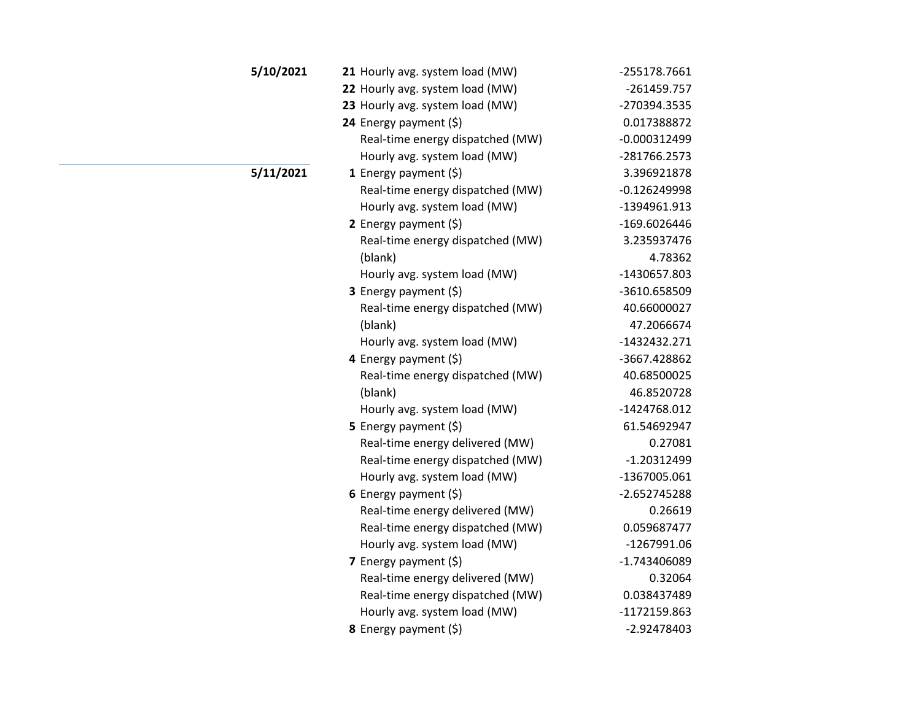| 5/10/2021 | 21 Hourly avg. system load (MW)  | -255178.7661   |
|-----------|----------------------------------|----------------|
|           | 22 Hourly avg. system load (MW)  | $-261459.757$  |
|           | 23 Hourly avg. system load (MW)  | -270394.3535   |
|           | 24 Energy payment (\$)           | 0.017388872    |
|           | Real-time energy dispatched (MW) | $-0.000312499$ |
|           | Hourly avg. system load (MW)     | -281766.2573   |
| 5/11/2021 | 1 Energy payment $(\xi)$         | 3.396921878    |
|           | Real-time energy dispatched (MW) | $-0.126249998$ |
|           | Hourly avg. system load (MW)     | -1394961.913   |
|           | 2 Energy payment (\$)            | -169.6026446   |
|           | Real-time energy dispatched (MW) | 3.235937476    |
|           | (blank)                          | 4.78362        |
|           | Hourly avg. system load (MW)     | -1430657.803   |
|           | 3 Energy payment (\$)            | -3610.658509   |
|           | Real-time energy dispatched (MW) | 40.66000027    |
|           | (blank)                          | 47.2066674     |
|           | Hourly avg. system load (MW)     | $-1432432.271$ |
|           | 4 Energy payment (\$)            | -3667.428862   |
|           | Real-time energy dispatched (MW) | 40.68500025    |
|           | (blank)                          | 46.8520728     |
|           | Hourly avg. system load (MW)     | -1424768.012   |
|           | 5 Energy payment $(\xi)$         | 61.54692947    |
|           | Real-time energy delivered (MW)  | 0.27081        |
|           | Real-time energy dispatched (MW) | $-1.20312499$  |
|           | Hourly avg. system load (MW)     | -1367005.061   |
|           | 6 Energy payment $(5)$           | -2.652745288   |
|           | Real-time energy delivered (MW)  | 0.26619        |
|           | Real-time energy dispatched (MW) | 0.059687477    |
|           | Hourly avg. system load (MW)     | $-1267991.06$  |
|           | <b>7</b> Energy payment $(\xi)$  | -1.743406089   |
|           | Real-time energy delivered (MW)  | 0.32064        |
|           | Real-time energy dispatched (MW) | 0.038437489    |
|           | Hourly avg. system load (MW)     | -1172159.863   |
|           | 8 Energy payment (\$)            | $-2.92478403$  |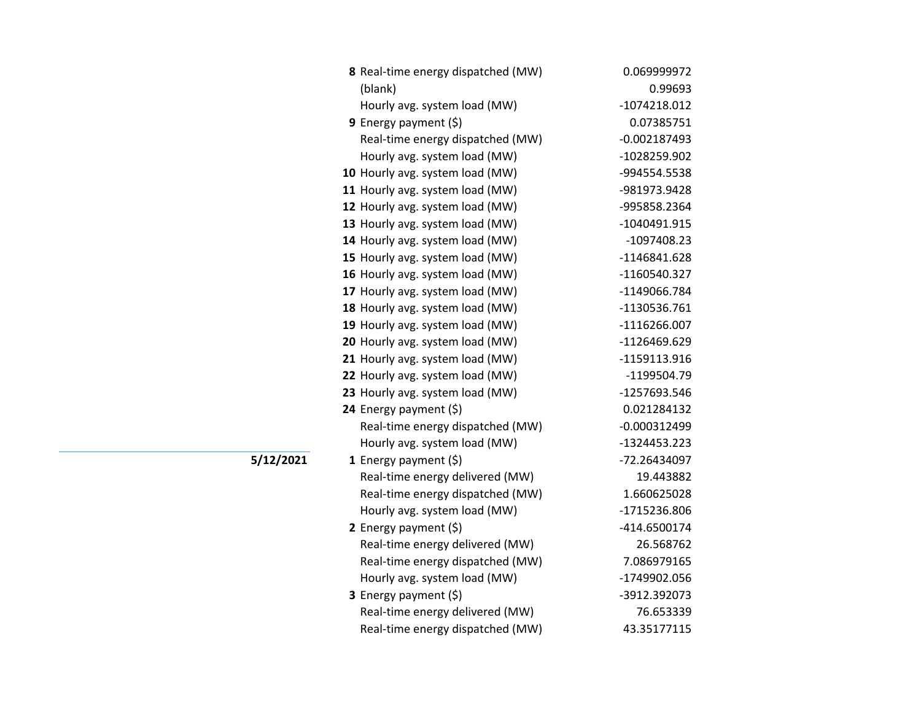| 8 Real-time energy dispatched (MW) | 0.069999972    |
|------------------------------------|----------------|
| (blank)                            | 0.99693        |
| Hourly avg. system load (MW)       | -1074218.012   |
| 9 Energy payment $(\xi)$           | 0.07385751     |
| Real-time energy dispatched (MW)   | -0.002187493   |
| Hourly avg. system load (MW)       | -1028259.902   |
| 10 Hourly avg. system load (MW)    | -994554.5538   |
| 11 Hourly avg. system load (MW)    | -981973.9428   |
| 12 Hourly avg. system load (MW)    | -995858.2364   |
| 13 Hourly avg. system load (MW)    | -1040491.915   |
| 14 Hourly avg. system load (MW)    | $-1097408.23$  |
| 15 Hourly avg. system load (MW)    | -1146841.628   |
| 16 Hourly avg. system load (MW)    | -1160540.327   |
| 17 Hourly avg. system load (MW)    | -1149066.784   |
| 18 Hourly avg. system load (MW)    | -1130536.761   |
| 19 Hourly avg. system load (MW)    | $-1116266.007$ |
| 20 Hourly avg. system load (MW)    | -1126469.629   |
| 21 Hourly avg. system load (MW)    | -1159113.916   |
| 22 Hourly avg. system load (MW)    | -1199504.79    |
| 23 Hourly avg. system load (MW)    | -1257693.546   |
| 24 Energy payment (\$)             | 0.021284132    |
| Real-time energy dispatched (MW)   | $-0.000312499$ |
| Hourly avg. system load (MW)       | -1324453.223   |
| 1 Energy payment $(\xi)$           | -72.26434097   |
| Real-time energy delivered (MW)    | 19.443882      |
| Real-time energy dispatched (MW)   | 1.660625028    |
| Hourly avg. system load (MW)       | -1715236.806   |
| 2 Energy payment $(\xi)$           | -414.6500174   |
| Real-time energy delivered (MW)    | 26.568762      |
| Real-time energy dispatched (MW)   | 7.086979165    |
| Hourly avg. system load (MW)       | -1749902.056   |
| 3 Energy payment (\$)              | -3912.392073   |
| Real-time energy delivered (MW)    | 76.653339      |
| Real-time energy dispatched (MW)   | 43.35177115    |

**5/12/2021**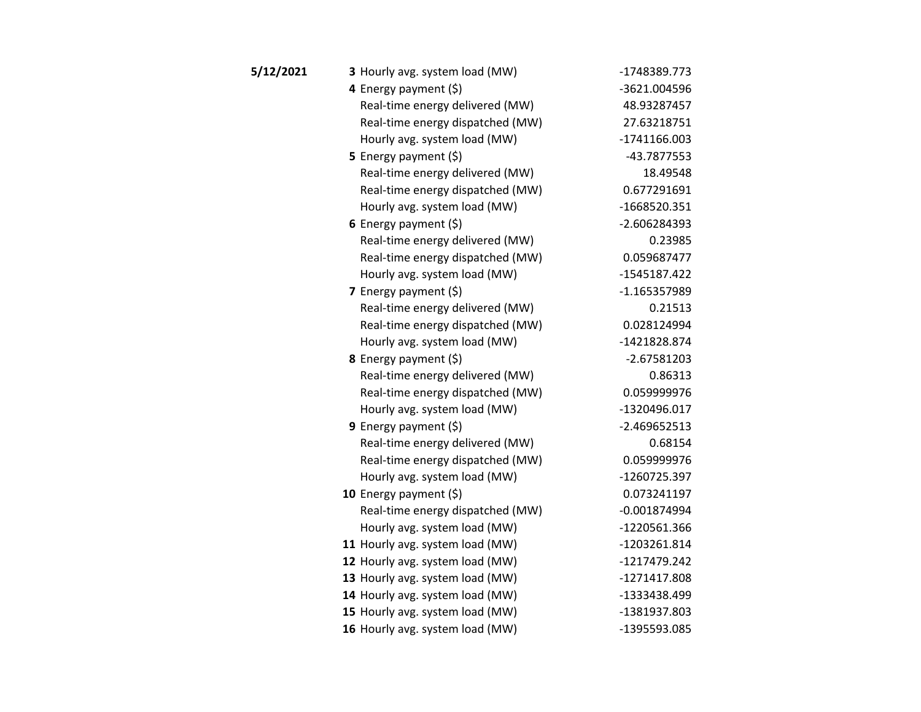| 5/12/2021 | 3 Hourly avg. system load (MW)   | -1748389.773   |
|-----------|----------------------------------|----------------|
|           | 4 Energy payment $(\xi)$         | -3621.004596   |
|           | Real-time energy delivered (MW)  | 48.93287457    |
|           | Real-time energy dispatched (MW) | 27.63218751    |
|           | Hourly avg. system load (MW)     | -1741166.003   |
|           | <b>5</b> Energy payment $(\xi)$  | -43.7877553    |
|           | Real-time energy delivered (MW)  | 18.49548       |
|           | Real-time energy dispatched (MW) | 0.677291691    |
|           | Hourly avg. system load (MW)     | -1668520.351   |
|           | 6 Energy payment $(\xi)$         | -2.606284393   |
|           | Real-time energy delivered (MW)  | 0.23985        |
|           | Real-time energy dispatched (MW) | 0.059687477    |
|           | Hourly avg. system load (MW)     | -1545187.422   |
|           | <b>7</b> Energy payment $(\xi)$  | -1.165357989   |
|           | Real-time energy delivered (MW)  | 0.21513        |
|           | Real-time energy dispatched (MW) | 0.028124994    |
|           | Hourly avg. system load (MW)     | -1421828.874   |
|           | 8 Energy payment (\$)            | $-2.67581203$  |
|           | Real-time energy delivered (MW)  | 0.86313        |
|           | Real-time energy dispatched (MW) | 0.059999976    |
|           | Hourly avg. system load (MW)     | -1320496.017   |
|           | <b>9</b> Energy payment $(\xi)$  | $-2.469652513$ |
|           | Real-time energy delivered (MW)  | 0.68154        |
|           | Real-time energy dispatched (MW) | 0.059999976    |
|           | Hourly avg. system load (MW)     | -1260725.397   |
|           | 10 Energy payment $(\xi)$        | 0.073241197    |
|           | Real-time energy dispatched (MW) | $-0.001874994$ |
|           | Hourly avg. system load (MW)     | -1220561.366   |
|           | 11 Hourly avg. system load (MW)  | -1203261.814   |
|           | 12 Hourly avg. system load (MW)  | -1217479.242   |
|           | 13 Hourly avg. system load (MW)  | -1271417.808   |
|           | 14 Hourly avg. system load (MW)  | -1333438.499   |
|           | 15 Hourly avg. system load (MW)  | -1381937.803   |
|           | 16 Hourly avg. system load (MW)  | -1395593.085   |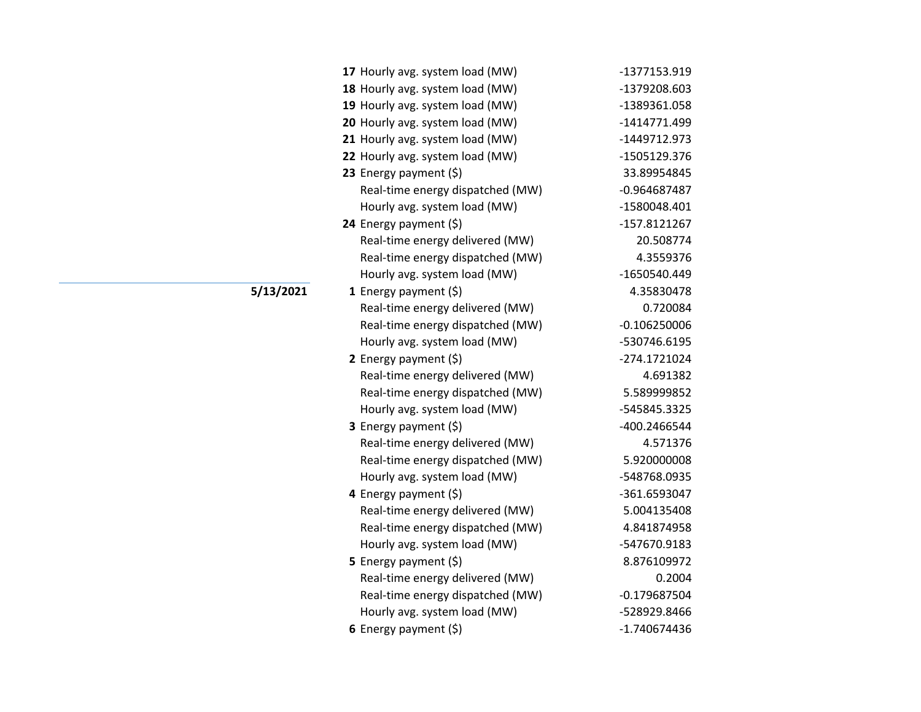| 17 Hourly avg. system load (MW)  | -1377153.919   |
|----------------------------------|----------------|
| 18 Hourly avg. system load (MW)  | -1379208.603   |
| 19 Hourly avg. system load (MW)  | -1389361.058   |
| 20 Hourly avg. system load (MW)  | -1414771.499   |
| 21 Hourly avg. system load (MW)  | -1449712.973   |
| 22 Hourly avg. system load (MW)  | -1505129.376   |
| 23 Energy payment (\$)           | 33.89954845    |
| Real-time energy dispatched (MW) | -0.964687487   |
| Hourly avg. system load (MW)     | -1580048.401   |
| 24 Energy payment (\$)           | -157.8121267   |
| Real-time energy delivered (MW)  | 20.508774      |
| Real-time energy dispatched (MW) | 4.3559376      |
| Hourly avg. system load (MW)     | -1650540.449   |
| 1 Energy payment $(\xi)$         | 4.35830478     |
| Real-time energy delivered (MW)  | 0.720084       |
| Real-time energy dispatched (MW) | $-0.106250006$ |
| Hourly avg. system load (MW)     | -530746.6195   |
| 2 Energy payment $(\xi)$         | -274.1721024   |
| Real-time energy delivered (MW)  | 4.691382       |
| Real-time energy dispatched (MW) | 5.589999852    |
| Hourly avg. system load (MW)     | -545845.3325   |
| 3 Energy payment (\$)            | -400.2466544   |
| Real-time energy delivered (MW)  | 4.571376       |
| Real-time energy dispatched (MW) | 5.920000008    |
| Hourly avg. system load (MW)     | -548768.0935   |
| 4 Energy payment (\$)            | -361.6593047   |
| Real-time energy delivered (MW)  | 5.004135408    |
| Real-time energy dispatched (MW) | 4.841874958    |
| Hourly avg. system load (MW)     | -547670.9183   |
| 5 Energy payment $(\xi)$         | 8.876109972    |
| Real-time energy delivered (MW)  | 0.2004         |
| Real-time energy dispatched (MW) | $-0.179687504$ |
| Hourly avg. system load (MW)     | -528929.8466   |
| 6 Energy payment $(\$)$          | -1.740674436   |

**5/13/2021**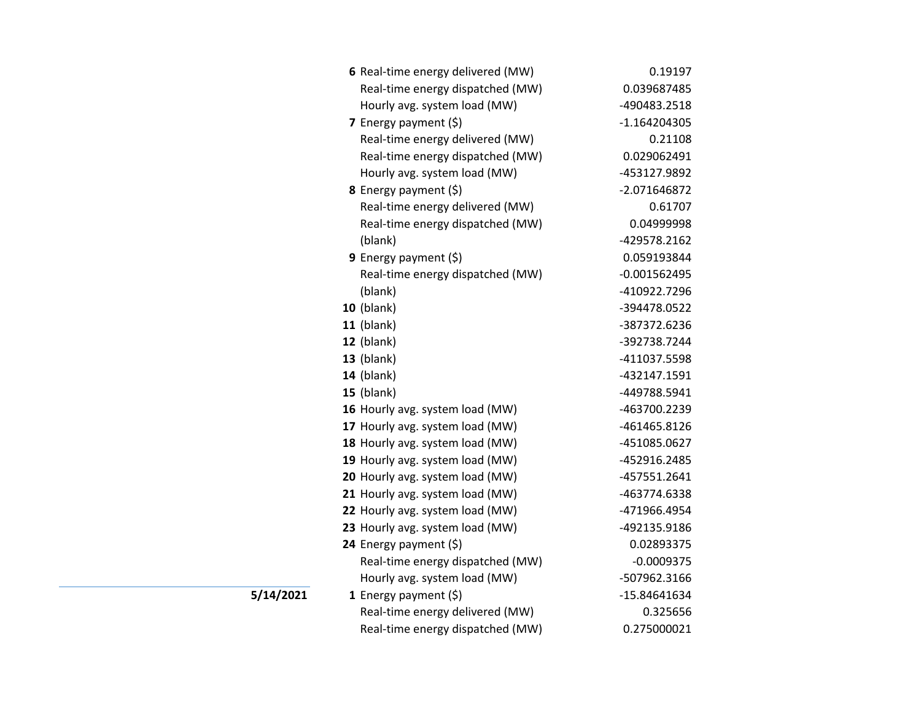| 6 Real-time energy delivered (MW) | 0.19197        |
|-----------------------------------|----------------|
| Real-time energy dispatched (MW)  | 0.039687485    |
| Hourly avg. system load (MW)      | -490483.2518   |
| 7 Energy payment $(5)$            | $-1.164204305$ |
| Real-time energy delivered (MW)   | 0.21108        |
| Real-time energy dispatched (MW)  | 0.029062491    |
| Hourly avg. system load (MW)      | -453127.9892   |
| <b>8</b> Energy payment $(\xi)$   | -2.071646872   |
| Real-time energy delivered (MW)   | 0.61707        |
| Real-time energy dispatched (MW)  | 0.04999998     |
| (blank)                           | -429578.2162   |
| 9 Energy payment (\$)             | 0.059193844    |
| Real-time energy dispatched (MW)  | $-0.001562495$ |
| (blank)                           | -410922.7296   |
| <b>10</b> (blank)                 | -394478.0522   |
| <b>11</b> (blank)                 | -387372.6236   |
| 12 (blank)                        | -392738.7244   |
| $13$ (blank)                      | -411037.5598   |
| 14 (blank)                        | -432147.1591   |
| <b>15</b> (blank)                 | -449788.5941   |
| 16 Hourly avg. system load (MW)   | -463700.2239   |
| 17 Hourly avg. system load (MW)   | -461465.8126   |
| 18 Hourly avg. system load (MW)   | -451085.0627   |
| 19 Hourly avg. system load (MW)   | -452916.2485   |
| 20 Hourly avg. system load (MW)   | -457551.2641   |
| 21 Hourly avg. system load (MW)   | -463774.6338   |
| 22 Hourly avg. system load (MW)   | -471966.4954   |
| 23 Hourly avg. system load (MW)   | -492135.9186   |
| 24 Energy payment (\$)            | 0.02893375     |
| Real-time energy dispatched (MW)  | $-0.0009375$   |
| Hourly avg. system load (MW)      | -507962.3166   |
| 1 Energy payment $(\xi)$          | -15.84641634   |
| Real-time energy delivered (MW)   | 0.325656       |
| Real-time energy dispatched (MW)  | 0.275000021    |

**5/14/2021**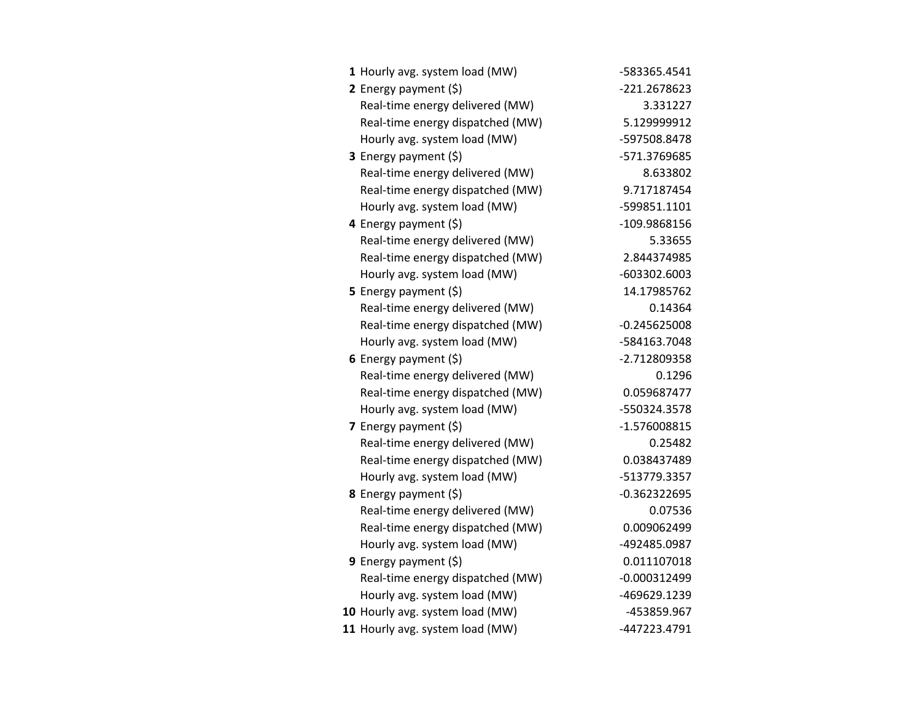| 1 Hourly avg. system load (MW)   | -583365.4541   |
|----------------------------------|----------------|
| 2 Energy payment (\$)            | -221.2678623   |
| Real-time energy delivered (MW)  | 3.331227       |
| Real-time energy dispatched (MW) | 5.129999912    |
| Hourly avg. system load (MW)     | -597508.8478   |
| 3 Energy payment (\$)            | -571.3769685   |
| Real-time energy delivered (MW)  | 8.633802       |
| Real-time energy dispatched (MW) | 9.717187454    |
| Hourly avg. system load (MW)     | -599851.1101   |
| 4 Energy payment (\$)            | -109.9868156   |
| Real-time energy delivered (MW)  | 5.33655        |
| Real-time energy dispatched (MW) | 2.844374985    |
| Hourly avg. system load (MW)     | -603302.6003   |
| 5 Energy payment $(\xi)$         | 14.17985762    |
| Real-time energy delivered (MW)  | 0.14364        |
| Real-time energy dispatched (MW) | $-0.245625008$ |
| Hourly avg. system load (MW)     | -584163.7048   |
| 6 Energy payment $(\xi)$         | -2.712809358   |
| Real-time energy delivered (MW)  | 0.1296         |
| Real-time energy dispatched (MW) | 0.059687477    |
| Hourly avg. system load (MW)     | -550324.3578   |
| 7 Energy payment (\$)            | -1.576008815   |
| Real-time energy delivered (MW)  | 0.25482        |
| Real-time energy dispatched (MW) | 0.038437489    |
| Hourly avg. system load (MW)     | -513779.3357   |
| 8 Energy payment (\$)            | $-0.362322695$ |
| Real-time energy delivered (MW)  | 0.07536        |
| Real-time energy dispatched (MW) | 0.009062499    |
| Hourly avg. system load (MW)     | -492485.0987   |
| <b>9</b> Energy payment $(\xi)$  | 0.011107018    |
| Real-time energy dispatched (MW) | $-0.000312499$ |
| Hourly avg. system load (MW)     | -469629.1239   |
| 10 Hourly avg. system load (MW)  | -453859.967    |
| 11 Hourly avg. system load (MW)  | -447223.4791   |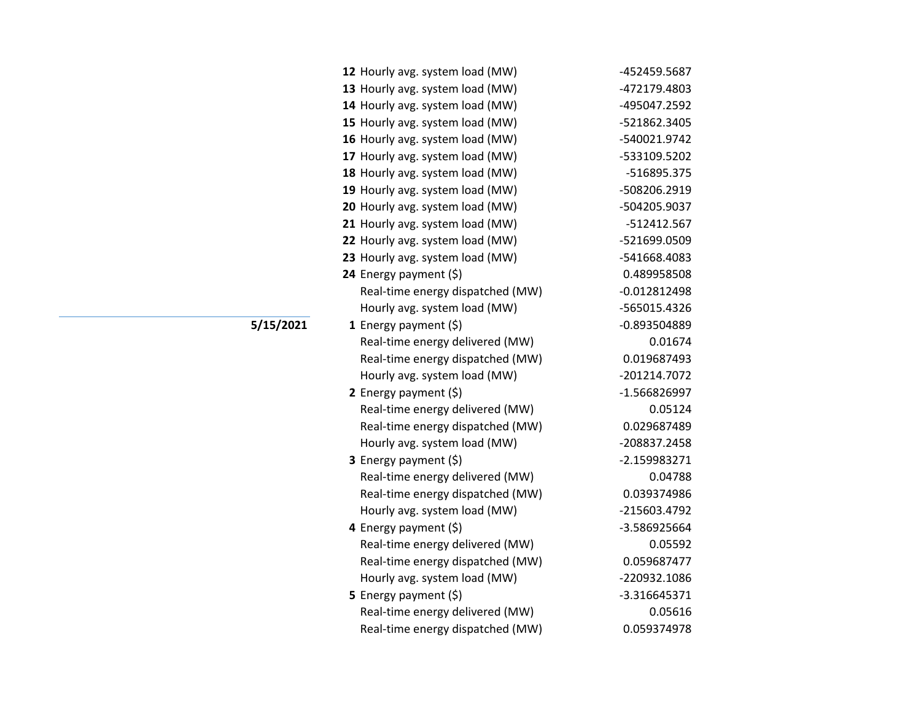| 12 Hourly avg. system load (MW)  | -452459.5687   |
|----------------------------------|----------------|
| 13 Hourly avg. system load (MW)  | -472179.4803   |
| 14 Hourly avg. system load (MW)  | -495047.2592   |
| 15 Hourly avg. system load (MW)  | -521862.3405   |
| 16 Hourly avg. system load (MW)  | -540021.9742   |
| 17 Hourly avg. system load (MW)  | -533109.5202   |
| 18 Hourly avg. system load (MW)  | -516895.375    |
| 19 Hourly avg. system load (MW)  | -508206.2919   |
| 20 Hourly avg. system load (MW)  | -504205.9037   |
| 21 Hourly avg. system load (MW)  | -512412.567    |
| 22 Hourly avg. system load (MW)  | -521699.0509   |
| 23 Hourly avg. system load (MW)  | -541668.4083   |
| 24 Energy payment (\$)           | 0.489958508    |
| Real-time energy dispatched (MW) | $-0.012812498$ |
| Hourly avg. system load (MW)     | -565015.4326   |
| <b>1</b> Energy payment $(\xi)$  | $-0.893504889$ |
| Real-time energy delivered (MW)  | 0.01674        |
| Real-time energy dispatched (MW) | 0.019687493    |
| Hourly avg. system load (MW)     | -201214.7072   |
| 2 Energy payment $(\xi)$         | -1.566826997   |
| Real-time energy delivered (MW)  | 0.05124        |
| Real-time energy dispatched (MW) | 0.029687489    |
| Hourly avg. system load (MW)     | -208837.2458   |
| <b>3</b> Energy payment $(\xi)$  | $-2.159983271$ |
| Real-time energy delivered (MW)  | 0.04788        |
| Real-time energy dispatched (MW) | 0.039374986    |
| Hourly avg. system load (MW)     | -215603.4792   |
| 4 Energy payment (\$)            | -3.586925664   |
| Real-time energy delivered (MW)  | 0.05592        |
| Real-time energy dispatched (MW) | 0.059687477    |
| Hourly avg. system load (MW)     | -220932.1086   |
| 5 Energy payment (\$)            | $-3.316645371$ |
| Real-time energy delivered (MW)  | 0.05616        |
| Real-time energy dispatched (MW) | 0.059374978    |
|                                  |                |

## **5/15/2021**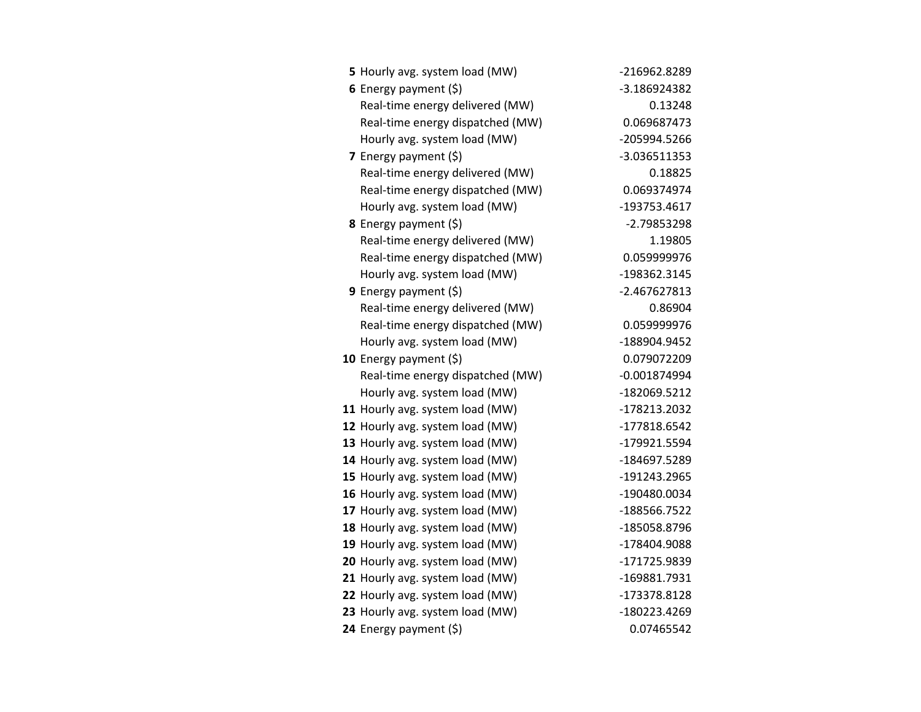| 5 Hourly avg. system load (MW)   | -216962.8289   |
|----------------------------------|----------------|
| 6 Energy payment $(5)$           | -3.186924382   |
| Real-time energy delivered (MW)  | 0.13248        |
| Real-time energy dispatched (MW) | 0.069687473    |
| Hourly avg. system load (MW)     | -205994.5266   |
| 7 Energy payment $(\xi)$         | -3.036511353   |
| Real-time energy delivered (MW)  | 0.18825        |
| Real-time energy dispatched (MW) | 0.069374974    |
| Hourly avg. system load (MW)     | -193753.4617   |
| 8 Energy payment (\$)            | $-2.79853298$  |
| Real-time energy delivered (MW)  | 1.19805        |
| Real-time energy dispatched (MW) | 0.059999976    |
| Hourly avg. system load (MW)     | -198362.3145   |
| 9 Energy payment $(5)$           | $-2.467627813$ |
| Real-time energy delivered (MW)  | 0.86904        |
| Real-time energy dispatched (MW) | 0.059999976    |
| Hourly avg. system load (MW)     | -188904.9452   |
| 10 Energy payment $(5)$          | 0.079072209    |
| Real-time energy dispatched (MW) | $-0.001874994$ |
| Hourly avg. system load (MW)     | -182069.5212   |
| 11 Hourly avg. system load (MW)  | -178213.2032   |
| 12 Hourly avg. system load (MW)  | -177818.6542   |
| 13 Hourly avg. system load (MW)  | -179921.5594   |
| 14 Hourly avg. system load (MW)  | -184697.5289   |
| 15 Hourly avg. system load (MW)  | -191243.2965   |
| 16 Hourly avg. system load (MW)  | -190480.0034   |
| 17 Hourly avg. system load (MW)  | -188566.7522   |
| 18 Hourly avg. system load (MW)  | -185058.8796   |
| 19 Hourly avg. system load (MW)  | -178404.9088   |
| 20 Hourly avg. system load (MW)  | -171725.9839   |
| 21 Hourly avg. system load (MW)  | -169881.7931   |
| 22 Hourly avg. system load (MW)  | -173378.8128   |
| 23 Hourly avg. system load (MW)  | -180223.4269   |
| 24 Energy payment (\$)           | 0.07465542     |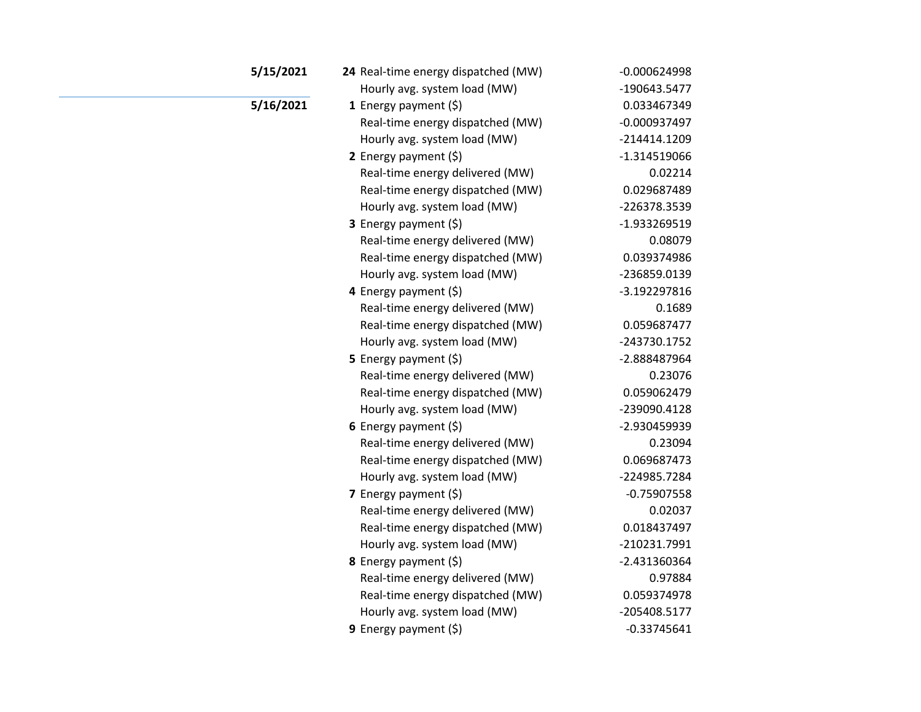| 5/15/2021 | 24 Real-time energy dispatched (MW) | $-0.000624998$ |
|-----------|-------------------------------------|----------------|
|           | Hourly avg. system load (MW)        | -190643.5477   |
| 5/16/2021 | 1 Energy payment $(\$)$             | 0.033467349    |
|           | Real-time energy dispatched (MW)    | $-0.000937497$ |
|           | Hourly avg. system load (MW)        | $-214414.1209$ |
|           | 2 Energy payment (\$)               | $-1.314519066$ |
|           | Real-time energy delivered (MW)     | 0.02214        |
|           | Real-time energy dispatched (MW)    | 0.029687489    |
|           | Hourly avg. system load (MW)        | -226378.3539   |
|           | 3 Energy payment (\$)               | -1.933269519   |
|           | Real-time energy delivered (MW)     | 0.08079        |
|           | Real-time energy dispatched (MW)    | 0.039374986    |
|           | Hourly avg. system load (MW)        | -236859.0139   |
|           | 4 Energy payment (\$)               | -3.192297816   |
|           | Real-time energy delivered (MW)     | 0.1689         |
|           | Real-time energy dispatched (MW)    | 0.059687477    |
|           | Hourly avg. system load (MW)        | -243730.1752   |
|           | 5 Energy payment $(5)$              | -2.888487964   |
|           | Real-time energy delivered (MW)     | 0.23076        |
|           | Real-time energy dispatched (MW)    | 0.059062479    |
|           | Hourly avg. system load (MW)        | -239090.4128   |
|           | 6 Energy payment $(5)$              | -2.930459939   |
|           | Real-time energy delivered (MW)     | 0.23094        |
|           | Real-time energy dispatched (MW)    | 0.069687473    |
|           | Hourly avg. system load (MW)        | -224985.7284   |
|           | 7 Energy payment $(\xi)$            | $-0.75907558$  |
|           | Real-time energy delivered (MW)     | 0.02037        |
|           | Real-time energy dispatched (MW)    | 0.018437497    |
|           | Hourly avg. system load (MW)        | -210231.7991   |
|           | 8 Energy payment (\$)               | -2.431360364   |
|           | Real-time energy delivered (MW)     | 0.97884        |
|           | Real-time energy dispatched (MW)    | 0.059374978    |
|           | Hourly avg. system load (MW)        | -205408.5177   |
|           | <b>9</b> Energy payment $(\xi)$     | $-0.33745641$  |
|           |                                     |                |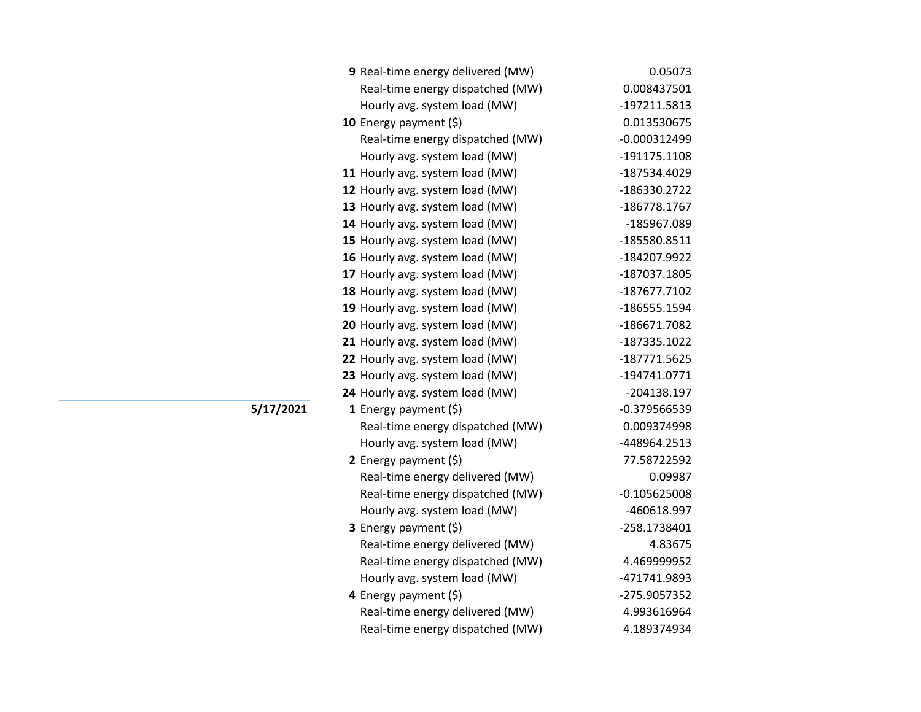| 9 Real-time energy delivered (MW) | 0.05073        |
|-----------------------------------|----------------|
| Real-time energy dispatched (MW)  | 0.008437501    |
| Hourly avg. system load (MW)      | -197211.5813   |
| 10 Energy payment (\$)            | 0.013530675    |
| Real-time energy dispatched (MW)  | $-0.000312499$ |
| Hourly avg. system load (MW)      | -191175.1108   |
| 11 Hourly avg. system load (MW)   | -187534.4029   |
| 12 Hourly avg. system load (MW)   | -186330.2722   |
| 13 Hourly avg. system load (MW)   | -186778.1767   |
| 14 Hourly avg. system load (MW)   | -185967.089    |
| 15 Hourly avg. system load (MW)   | -185580.8511   |
| 16 Hourly avg. system load (MW)   | -184207.9922   |
| 17 Hourly avg. system load (MW)   | -187037.1805   |
| 18 Hourly avg. system load (MW)   | -187677.7102   |
| 19 Hourly avg. system load (MW)   | -186555.1594   |
| 20 Hourly avg. system load (MW)   | -186671.7082   |
| 21 Hourly avg. system load (MW)   | -187335.1022   |
| 22 Hourly avg. system load (MW)   | -187771.5625   |
| 23 Hourly avg. system load (MW)   | -194741.0771   |
| 24 Hourly avg. system load (MW)   | -204138.197    |
| 1 Energy payment $(\xi)$          | $-0.379566539$ |
| Real-time energy dispatched (MW)  | 0.009374998    |
| Hourly avg. system load (MW)      | -448964.2513   |
| 2 Energy payment $(\xi)$          | 77.58722592    |
| Real-time energy delivered (MW)   | 0.09987        |
| Real-time energy dispatched (MW)  | $-0.105625008$ |
| Hourly avg. system load (MW)      | -460618.997    |
| <b>3</b> Energy payment $(\xi)$   | -258.1738401   |
| Real-time energy delivered (MW)   | 4.83675        |
| Real-time energy dispatched (MW)  | 4.469999952    |
| Hourly avg. system load (MW)      | -471741.9893   |
| 4 Energy payment $(\xi)$          | -275.9057352   |
| Real-time energy delivered (MW)   | 4.993616964    |
| Real-time energy dispatched (MW)  | 4.189374934    |

**5/17/2021**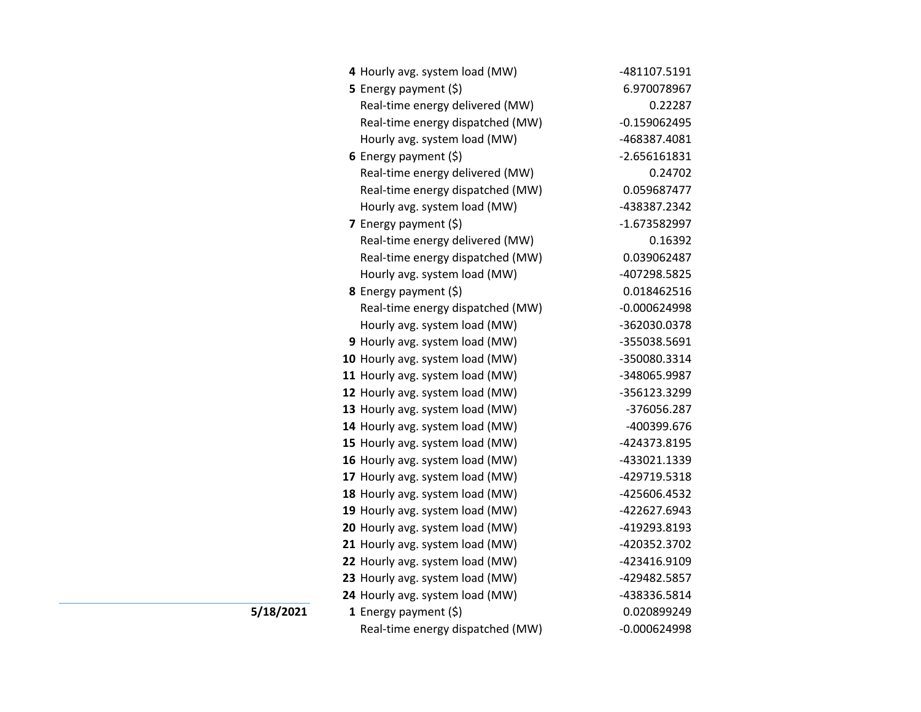| 4 Hourly avg. system load (MW)   | -481107.5191   |
|----------------------------------|----------------|
| 5 Energy payment $(5)$           | 6.970078967    |
| Real-time energy delivered (MW)  | 0.22287        |
| Real-time energy dispatched (MW) | $-0.159062495$ |
| Hourly avg. system load (MW)     | -468387.4081   |
| 6 Energy payment $(5)$           | $-2.656161831$ |
| Real-time energy delivered (MW)  | 0.24702        |
| Real-time energy dispatched (MW) | 0.059687477    |
| Hourly avg. system load (MW)     | -438387.2342   |
| 7 Energy payment $(5)$           | -1.673582997   |
| Real-time energy delivered (MW)  | 0.16392        |
| Real-time energy dispatched (MW) | 0.039062487    |
| Hourly avg. system load (MW)     | -407298.5825   |
| <b>8</b> Energy payment $(5)$    | 0.018462516    |
| Real-time energy dispatched (MW) | $-0.000624998$ |
| Hourly avg. system load (MW)     | -362030.0378   |
| 9 Hourly avg. system load (MW)   | -355038.5691   |
| 10 Hourly avg. system load (MW)  | -350080.3314   |
| 11 Hourly avg. system load (MW)  | -348065.9987   |
| 12 Hourly avg. system load (MW)  | -356123.3299   |
| 13 Hourly avg. system load (MW)  | -376056.287    |
| 14 Hourly avg. system load (MW)  | -400399.676    |
| 15 Hourly avg. system load (MW)  | -424373.8195   |
| 16 Hourly avg. system load (MW)  | -433021.1339   |
| 17 Hourly avg. system load (MW)  | -429719.5318   |
| 18 Hourly avg. system load (MW)  | -425606.4532   |
| 19 Hourly avg. system load (MW)  | -422627.6943   |
| 20 Hourly avg. system load (MW)  | -419293.8193   |
| 21 Hourly avg. system load (MW)  | -420352.3702   |
| 22 Hourly avg. system load (MW)  | -423416.9109   |
| 23 Hourly avg. system load (MW)  | -429482.5857   |
| 24 Hourly avg. system load (MW)  | -438336.5814   |
| 1 Energy payment $(\xi)$         | 0.020899249    |
| Real-time energy dispatched (MW) | $-0.000624998$ |

**5/18/2021**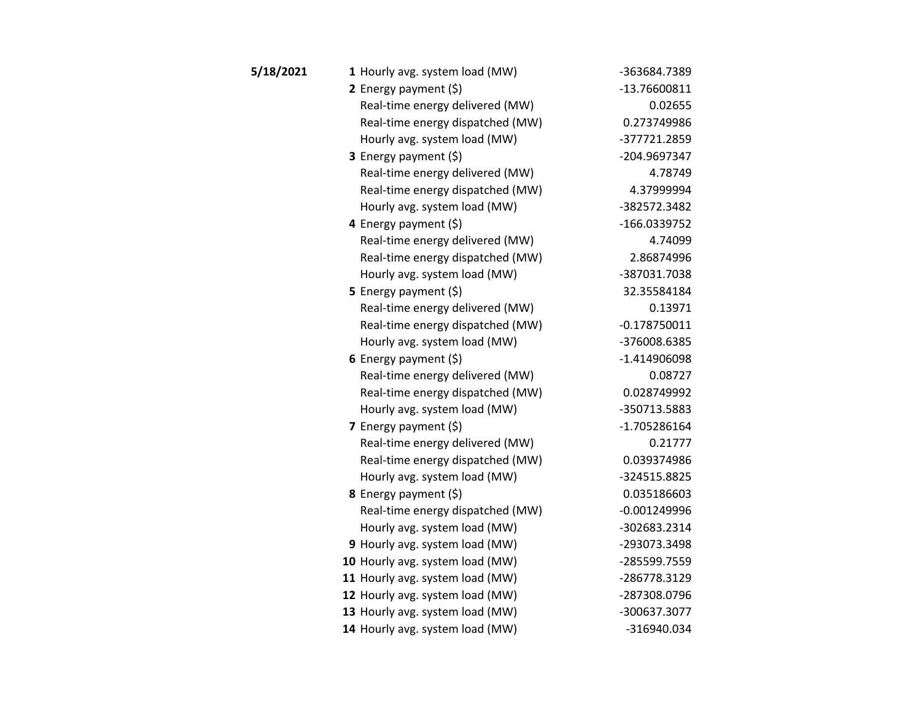| 5/18/2021 | 1 Hourly avg. system load (MW)   | -363684.7389   |
|-----------|----------------------------------|----------------|
|           | 2 Energy payment $(\xi)$         | -13.76600811   |
|           | Real-time energy delivered (MW)  | 0.02655        |
|           | Real-time energy dispatched (MW) | 0.273749986    |
|           | Hourly avg. system load (MW)     | -377721.2859   |
|           | 3 Energy payment (\$)            | -204.9697347   |
|           | Real-time energy delivered (MW)  | 4.78749        |
|           | Real-time energy dispatched (MW) | 4.37999994     |
|           | Hourly avg. system load (MW)     | -382572.3482   |
|           | 4 Energy payment (\$)            | -166.0339752   |
|           | Real-time energy delivered (MW)  | 4.74099        |
|           | Real-time energy dispatched (MW) | 2.86874996     |
|           | Hourly avg. system load (MW)     | -387031.7038   |
|           | <b>5</b> Energy payment $(\xi)$  | 32.35584184    |
|           | Real-time energy delivered (MW)  | 0.13971        |
|           | Real-time energy dispatched (MW) | $-0.178750011$ |
|           | Hourly avg. system load (MW)     | -376008.6385   |
|           | 6 Energy payment $(\xi)$         | -1.414906098   |
|           | Real-time energy delivered (MW)  | 0.08727        |
|           | Real-time energy dispatched (MW) | 0.028749992    |
|           | Hourly avg. system load (MW)     | -350713.5883   |
|           | 7 Energy payment $(5)$           | $-1.705286164$ |
|           | Real-time energy delivered (MW)  | 0.21777        |
|           | Real-time energy dispatched (MW) | 0.039374986    |
|           | Hourly avg. system load (MW)     | -324515.8825   |
|           | <b>8</b> Energy payment $(\xi)$  | 0.035186603    |
|           | Real-time energy dispatched (MW) | $-0.001249996$ |
|           | Hourly avg. system load (MW)     | -302683.2314   |
|           | 9 Hourly avg. system load (MW)   | -293073.3498   |
|           | 10 Hourly avg. system load (MW)  | -285599.7559   |
|           | 11 Hourly avg. system load (MW)  | -286778.3129   |
|           | 12 Hourly avg. system load (MW)  | -287308.0796   |
|           | 13 Hourly avg. system load (MW)  | -300637.3077   |
|           | 14 Hourly avg. system load (MW)  | -316940.034    |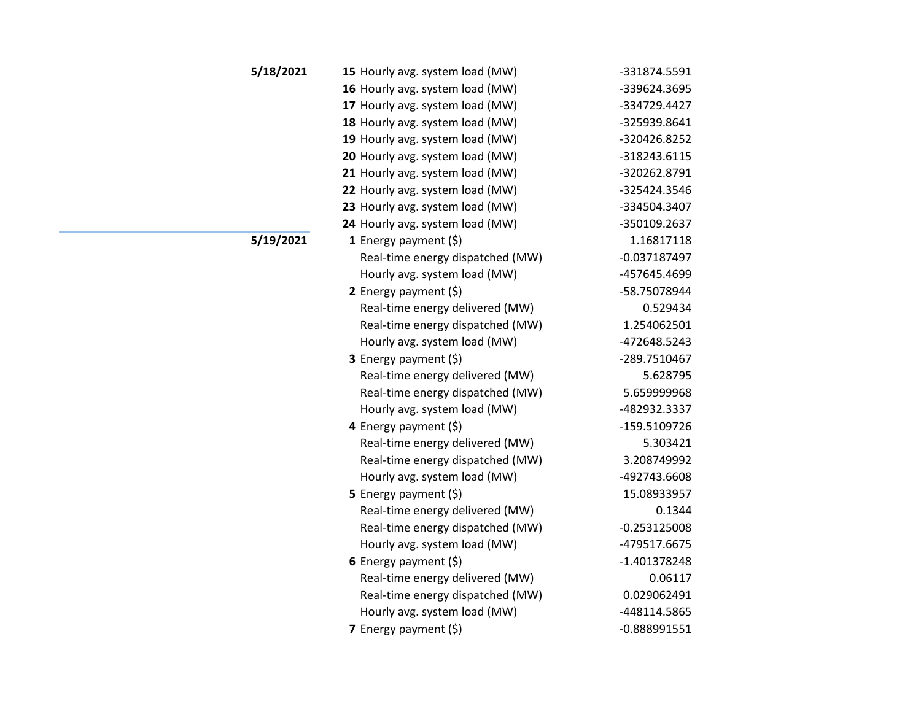| 5/18/2021 | 15 Hourly avg. system load (MW)  | -331874.5591   |
|-----------|----------------------------------|----------------|
|           | 16 Hourly avg. system load (MW)  | -339624.3695   |
|           | 17 Hourly avg. system load (MW)  | -334729.4427   |
|           | 18 Hourly avg. system load (MW)  | -325939.8641   |
|           | 19 Hourly avg. system load (MW)  | -320426.8252   |
|           | 20 Hourly avg. system load (MW)  | -318243.6115   |
|           | 21 Hourly avg. system load (MW)  | -320262.8791   |
|           | 22 Hourly avg. system load (MW)  | -325424.3546   |
|           | 23 Hourly avg. system load (MW)  | -334504.3407   |
|           | 24 Hourly avg. system load (MW)  | -350109.2637   |
| 5/19/2021 | 1 Energy payment $(\xi)$         | 1.16817118     |
|           | Real-time energy dispatched (MW) | $-0.037187497$ |
|           | Hourly avg. system load (MW)     | -457645.4699   |
|           | 2 Energy payment $(\xi)$         | -58.75078944   |
|           | Real-time energy delivered (MW)  | 0.529434       |
|           | Real-time energy dispatched (MW) | 1.254062501    |
|           | Hourly avg. system load (MW)     | -472648.5243   |
|           | 3 Energy payment (\$)            | -289.7510467   |
|           | Real-time energy delivered (MW)  | 5.628795       |
|           | Real-time energy dispatched (MW) | 5.659999968    |
|           | Hourly avg. system load (MW)     | -482932.3337   |
|           | 4 Energy payment $(\xi)$         | -159.5109726   |
|           | Real-time energy delivered (MW)  | 5.303421       |
|           | Real-time energy dispatched (MW) | 3.208749992    |
|           | Hourly avg. system load (MW)     | -492743.6608   |
|           | <b>5</b> Energy payment $(\xi)$  | 15.08933957    |
|           | Real-time energy delivered (MW)  | 0.1344         |
|           | Real-time energy dispatched (MW) | $-0.253125008$ |
|           | Hourly avg. system load (MW)     | -479517.6675   |
|           | 6 Energy payment $(\xi)$         | -1.401378248   |
|           | Real-time energy delivered (MW)  | 0.06117        |
|           | Real-time energy dispatched (MW) | 0.029062491    |
|           | Hourly avg. system load (MW)     | -448114.5865   |
|           | <b>7</b> Energy payment $(\xi)$  | $-0.888991551$ |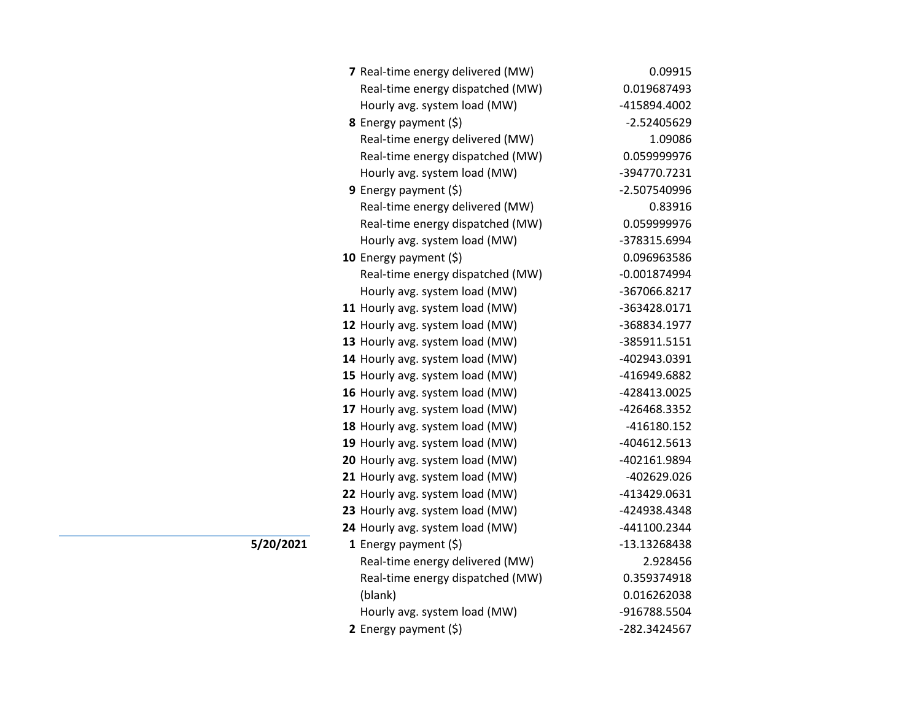| 7 Real-time energy delivered (MW) | 0.09915        |
|-----------------------------------|----------------|
| Real-time energy dispatched (MW)  | 0.019687493    |
| Hourly avg. system load (MW)      | -415894.4002   |
| <b>8</b> Energy payment $(\xi)$   | -2.52405629    |
| Real-time energy delivered (MW)   | 1.09086        |
| Real-time energy dispatched (MW)  | 0.059999976    |
| Hourly avg. system load (MW)      | -394770.7231   |
| <b>9</b> Energy payment $(\xi)$   | -2.507540996   |
| Real-time energy delivered (MW)   | 0.83916        |
| Real-time energy dispatched (MW)  | 0.059999976    |
| Hourly avg. system load (MW)      | -378315.6994   |
| 10 Energy payment (\$)            | 0.096963586    |
| Real-time energy dispatched (MW)  | $-0.001874994$ |
| Hourly avg. system load (MW)      | -367066.8217   |
| 11 Hourly avg. system load (MW)   | -363428.0171   |
| 12 Hourly avg. system load (MW)   | -368834.1977   |
| 13 Hourly avg. system load (MW)   | -385911.5151   |
| 14 Hourly avg. system load (MW)   | -402943.0391   |
| 15 Hourly avg. system load (MW)   | -416949.6882   |
| 16 Hourly avg. system load (MW)   | -428413.0025   |
| 17 Hourly avg. system load (MW)   | -426468.3352   |
| 18 Hourly avg. system load (MW)   | -416180.152    |
| 19 Hourly avg. system load (MW)   | -404612.5613   |
| 20 Hourly avg. system load (MW)   | -402161.9894   |
| 21 Hourly avg. system load (MW)   | -402629.026    |
| 22 Hourly avg. system load (MW)   | -413429.0631   |
| 23 Hourly avg. system load (MW)   | -424938.4348   |
| 24 Hourly avg. system load (MW)   | -441100.2344   |
| 1 Energy payment $(\xi)$          | -13.13268438   |
| Real-time energy delivered (MW)   | 2.928456       |
| Real-time energy dispatched (MW)  | 0.359374918    |
| (blank)                           | 0.016262038    |
| Hourly avg. system load (MW)      | -916788.5504   |
| 2 Energy payment (\$)             | -282.3424567   |

**5/20/2021**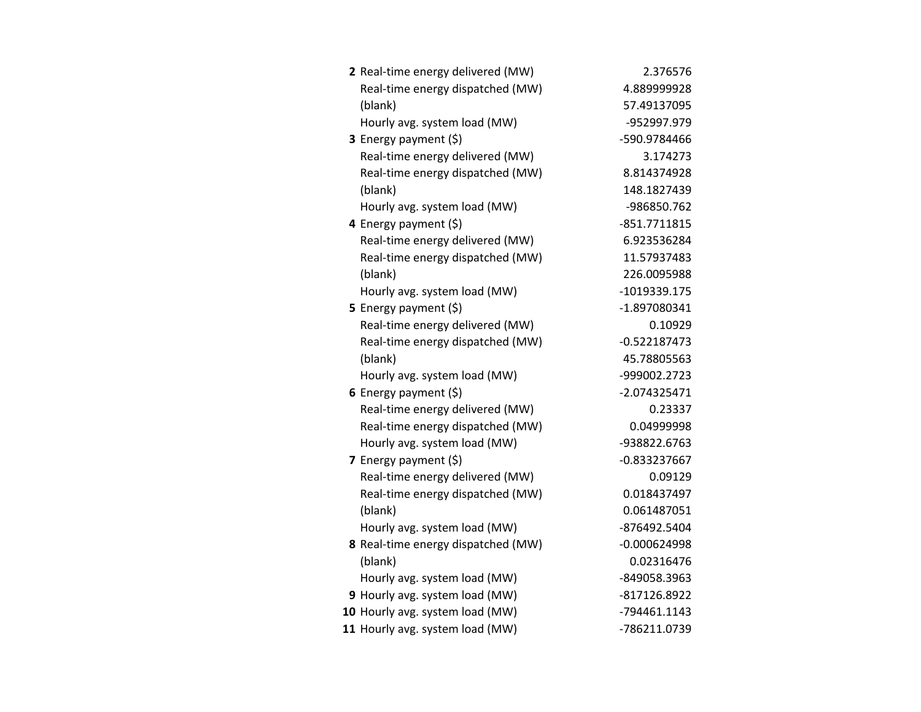| 2 Real-time energy delivered (MW)  | 2.376576       |
|------------------------------------|----------------|
| Real-time energy dispatched (MW)   | 4.889999928    |
| (blank)                            | 57.49137095    |
| Hourly avg. system load (MW)       | -952997.979    |
| 3 Energy payment (\$)              | -590.9784466   |
| Real-time energy delivered (MW)    | 3.174273       |
| Real-time energy dispatched (MW)   | 8.814374928    |
| (blank)                            | 148.1827439    |
| Hourly avg. system load (MW)       | -986850.762    |
| 4 Energy payment (\$)              | -851.7711815   |
| Real-time energy delivered (MW)    | 6.923536284    |
| Real-time energy dispatched (MW)   | 11.57937483    |
| (blank)                            | 226.0095988    |
| Hourly avg. system load (MW)       | -1019339.175   |
| <b>5</b> Energy payment $(\xi)$    | -1.897080341   |
| Real-time energy delivered (MW)    | 0.10929        |
| Real-time energy dispatched (MW)   | $-0.522187473$ |
| (blank)                            | 45.78805563    |
| Hourly avg. system load (MW)       | -999002.2723   |
| 6 Energy payment $(\xi)$           | $-2.074325471$ |
| Real-time energy delivered (MW)    | 0.23337        |
| Real-time energy dispatched (MW)   | 0.04999998     |
| Hourly avg. system load (MW)       | -938822.6763   |
| 7 Energy payment $(5)$             | -0.833237667   |
| Real-time energy delivered (MW)    | 0.09129        |
| Real-time energy dispatched (MW)   | 0.018437497    |
| (blank)                            | 0.061487051    |
| Hourly avg. system load (MW)       | -876492.5404   |
| 8 Real-time energy dispatched (MW) | $-0.000624998$ |
| (blank)                            | 0.02316476     |
| Hourly avg. system load (MW)       | -849058.3963   |
| 9 Hourly avg. system load (MW)     | -817126.8922   |
| 10 Hourly avg. system load (MW)    | -794461.1143   |
| 11 Hourly avg. system load (MW)    | -786211.0739   |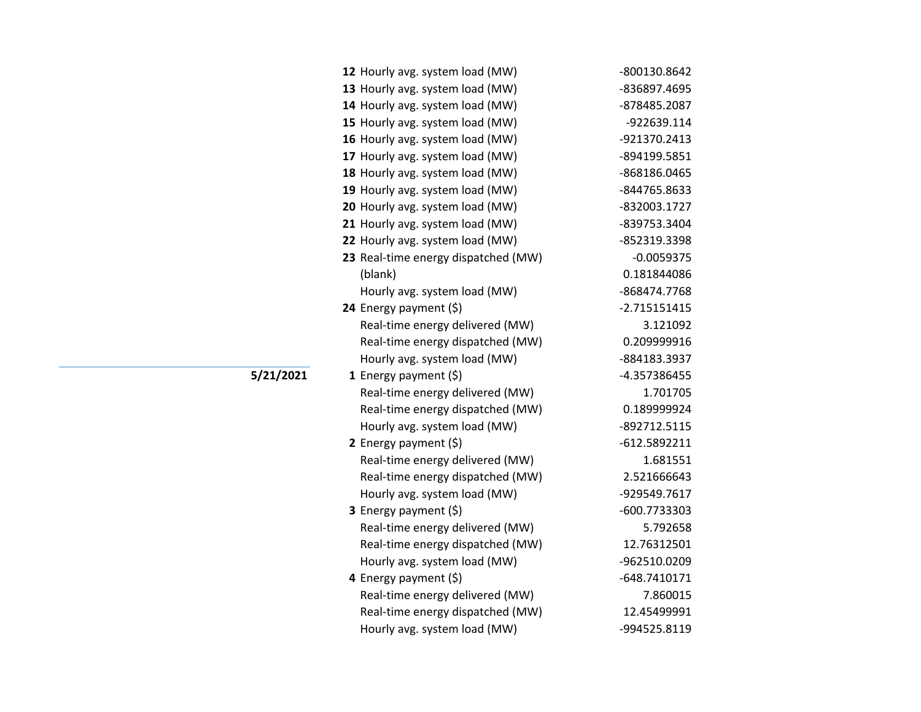| 12 Hourly avg. system load (MW)     | -800130.8642   |
|-------------------------------------|----------------|
| 13 Hourly avg. system load (MW)     | -836897.4695   |
| 14 Hourly avg. system load (MW)     | -878485.2087   |
| 15 Hourly avg. system load (MW)     | -922639.114    |
| 16 Hourly avg. system load (MW)     | -921370.2413   |
| 17 Hourly avg. system load (MW)     | -894199.5851   |
| 18 Hourly avg. system load (MW)     | -868186.0465   |
| 19 Hourly avg. system load (MW)     | -844765.8633   |
| 20 Hourly avg. system load (MW)     | -832003.1727   |
| 21 Hourly avg. system load (MW)     | -839753.3404   |
| 22 Hourly avg. system load (MW)     | -852319.3398   |
| 23 Real-time energy dispatched (MW) | $-0.0059375$   |
| (blank)                             | 0.181844086    |
| Hourly avg. system load (MW)        | -868474.7768   |
| 24 Energy payment (\$)              | $-2.715151415$ |
| Real-time energy delivered (MW)     | 3.121092       |
| Real-time energy dispatched (MW)    | 0.209999916    |
| Hourly avg. system load (MW)        | -884183.3937   |
| 1 Energy payment $(\xi)$            | -4.357386455   |
| Real-time energy delivered (MW)     | 1.701705       |
| Real-time energy dispatched (MW)    | 0.189999924    |
| Hourly avg. system load (MW)        | -892712.5115   |
| 2 Energy payment $(\xi)$            | $-612.5892211$ |
| Real-time energy delivered (MW)     | 1.681551       |
| Real-time energy dispatched (MW)    | 2.521666643    |
| Hourly avg. system load (MW)        | -929549.7617   |
| 3 Energy payment (\$)               | -600.7733303   |
| Real-time energy delivered (MW)     | 5.792658       |
| Real-time energy dispatched (MW)    | 12.76312501    |
| Hourly avg. system load (MW)        | -962510.0209   |
| 4 Energy payment (\$)               | -648.7410171   |
| Real-time energy delivered (MW)     | 7.860015       |
| Real-time energy dispatched (MW)    | 12.45499991    |
| Hourly avg. system load (MW)        | -994525.8119   |

**5/21/2021**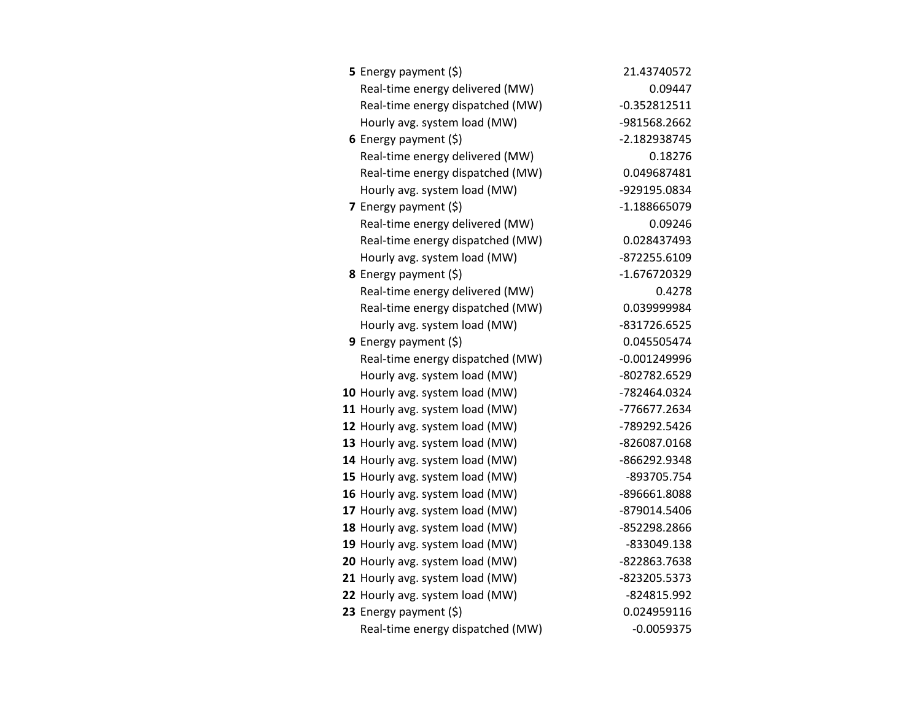| <b>5</b> Energy payment $(\xi)$  | 21.43740572    |
|----------------------------------|----------------|
| Real-time energy delivered (MW)  | 0.09447        |
| Real-time energy dispatched (MW) | $-0.352812511$ |
| Hourly avg. system load (MW)     | -981568.2662   |
| 6 Energy payment $(5)$           | -2.182938745   |
| Real-time energy delivered (MW)  | 0.18276        |
| Real-time energy dispatched (MW) | 0.049687481    |
| Hourly avg. system load (MW)     | -929195.0834   |
| 7 Energy payment $(5)$           | -1.188665079   |
| Real-time energy delivered (MW)  | 0.09246        |
| Real-time energy dispatched (MW) | 0.028437493    |
| Hourly avg. system load (MW)     | -872255.6109   |
| <b>8</b> Energy payment $(\xi)$  | -1.676720329   |
| Real-time energy delivered (MW)  | 0.4278         |
| Real-time energy dispatched (MW) | 0.039999984    |
| Hourly avg. system load (MW)     | -831726.6525   |
| 9 Energy payment (\$)            | 0.045505474    |
| Real-time energy dispatched (MW) | $-0.001249996$ |
| Hourly avg. system load (MW)     | -802782.6529   |
| 10 Hourly avg. system load (MW)  | -782464.0324   |
| 11 Hourly avg. system load (MW)  | -776677.2634   |
| 12 Hourly avg. system load (MW)  | -789292.5426   |
| 13 Hourly avg. system load (MW)  | -826087.0168   |
| 14 Hourly avg. system load (MW)  | -866292.9348   |
| 15 Hourly avg. system load (MW)  | -893705.754    |
| 16 Hourly avg. system load (MW)  | -896661.8088   |
| 17 Hourly avg. system load (MW)  | -879014.5406   |
| 18 Hourly avg. system load (MW)  | -852298.2866   |
| 19 Hourly avg. system load (MW)  | -833049.138    |
| 20 Hourly avg. system load (MW)  | -822863.7638   |
| 21 Hourly avg. system load (MW)  | -823205.5373   |
| 22 Hourly avg. system load (MW)  | -824815.992    |
| 23 Energy payment (\$)           | 0.024959116    |
| Real-time energy dispatched (MW) | $-0.0059375$   |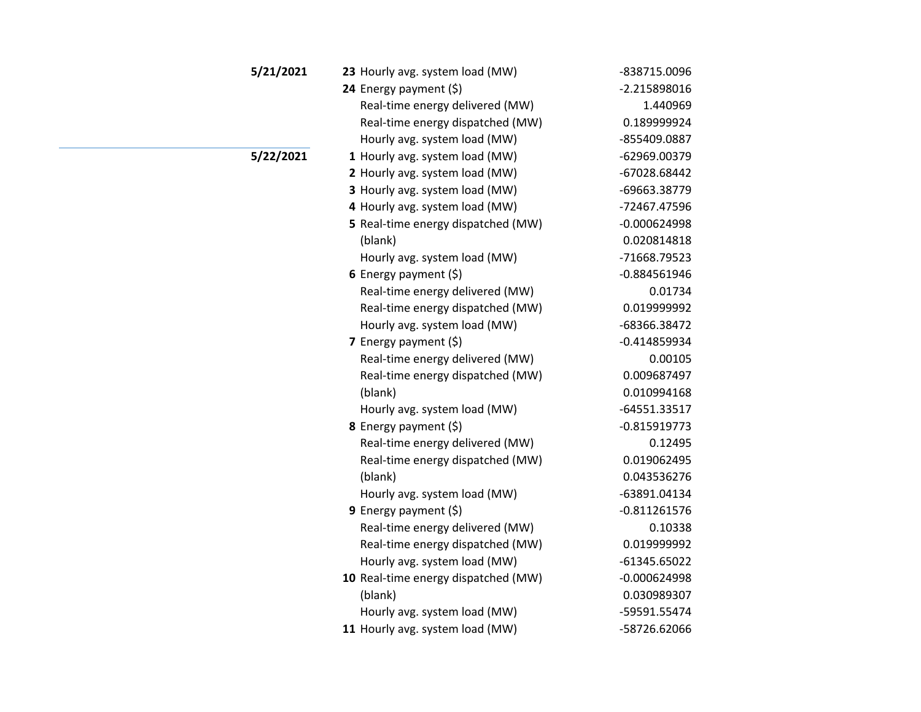| 5/21/2021 | 23 Hourly avg. system load (MW)     | -838715.0096   |
|-----------|-------------------------------------|----------------|
|           | 24 Energy payment (\$)              | $-2.215898016$ |
|           | Real-time energy delivered (MW)     | 1.440969       |
|           | Real-time energy dispatched (MW)    | 0.189999924    |
|           | Hourly avg. system load (MW)        | -855409.0887   |
| 5/22/2021 | 1 Hourly avg. system load (MW)      | -62969.00379   |
|           | 2 Hourly avg. system load (MW)      | -67028.68442   |
|           | 3 Hourly avg. system load (MW)      | -69663.38779   |
|           | 4 Hourly avg. system load (MW)      | -72467.47596   |
|           | 5 Real-time energy dispatched (MW)  | $-0.000624998$ |
|           | (blank)                             | 0.020814818    |
|           | Hourly avg. system load (MW)        | -71668.79523   |
|           | 6 Energy payment $(5)$              | $-0.884561946$ |
|           | Real-time energy delivered (MW)     | 0.01734        |
|           | Real-time energy dispatched (MW)    | 0.019999992    |
|           | Hourly avg. system load (MW)        | -68366.38472   |
|           | 7 Energy payment (\$)               | $-0.414859934$ |
|           | Real-time energy delivered (MW)     | 0.00105        |
|           | Real-time energy dispatched (MW)    | 0.009687497    |
|           | (blank)                             | 0.010994168    |
|           | Hourly avg. system load (MW)        | -64551.33517   |
|           | 8 Energy payment (\$)               | $-0.815919773$ |
|           | Real-time energy delivered (MW)     | 0.12495        |
|           | Real-time energy dispatched (MW)    | 0.019062495    |
|           | (blank)                             | 0.043536276    |
|           | Hourly avg. system load (MW)        | -63891.04134   |
|           | 9 Energy payment $(5)$              | $-0.811261576$ |
|           | Real-time energy delivered (MW)     | 0.10338        |
|           | Real-time energy dispatched (MW)    | 0.019999992    |
|           | Hourly avg. system load (MW)        | $-61345.65022$ |
|           | 10 Real-time energy dispatched (MW) | $-0.000624998$ |
|           | (blank)                             | 0.030989307    |
|           | Hourly avg. system load (MW)        | -59591.55474   |
|           | 11 Hourly avg. system load (MW)     | -58726.62066   |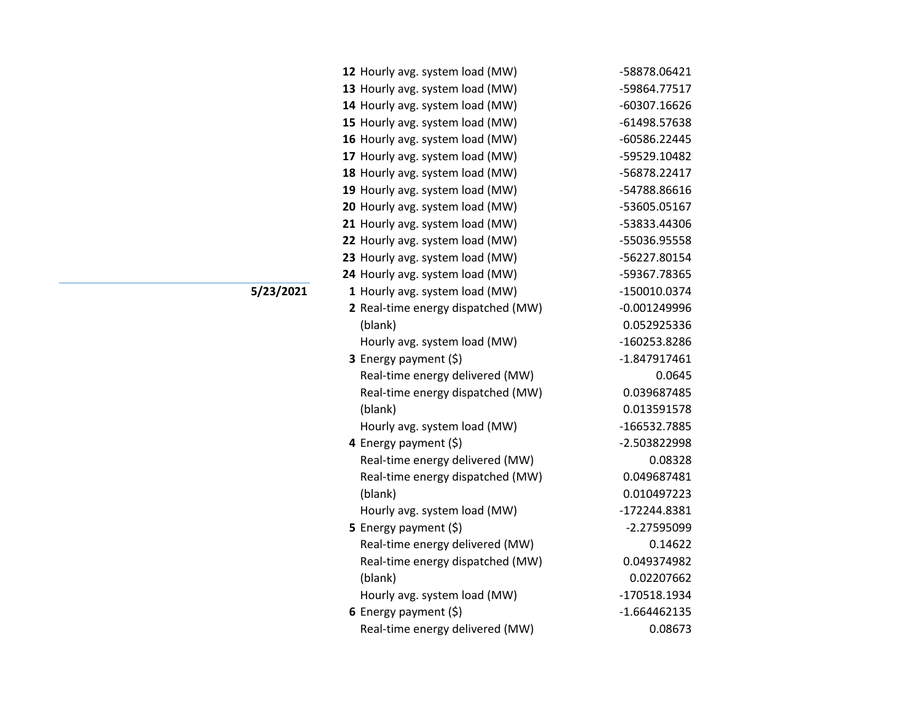| 12 Hourly avg. system load (MW)    | -58878.06421   |
|------------------------------------|----------------|
| 13 Hourly avg. system load (MW)    | -59864.77517   |
| 14 Hourly avg. system load (MW)    | -60307.16626   |
| 15 Hourly avg. system load (MW)    | -61498.57638   |
| 16 Hourly avg. system load (MW)    | -60586.22445   |
| 17 Hourly avg. system load (MW)    | -59529.10482   |
| 18 Hourly avg. system load (MW)    | -56878.22417   |
| 19 Hourly avg. system load (MW)    | -54788.86616   |
| 20 Hourly avg. system load (MW)    | -53605.05167   |
| 21 Hourly avg. system load (MW)    | -53833.44306   |
| 22 Hourly avg. system load (MW)    | -55036.95558   |
| 23 Hourly avg. system load (MW)    | -56227.80154   |
| 24 Hourly avg. system load (MW)    | -59367.78365   |
| 1 Hourly avg. system load (MW)     | -150010.0374   |
| 2 Real-time energy dispatched (MW) | $-0.001249996$ |
| (blank)                            | 0.052925336    |
| Hourly avg. system load (MW)       | -160253.8286   |
| 3 Energy payment (\$)              | $-1.847917461$ |
| Real-time energy delivered (MW)    | 0.0645         |
| Real-time energy dispatched (MW)   | 0.039687485    |
| (blank)                            | 0.013591578    |
| Hourly avg. system load (MW)       | -166532.7885   |
| 4 Energy payment (\$)              | -2.503822998   |
| Real-time energy delivered (MW)    | 0.08328        |
| Real-time energy dispatched (MW)   | 0.049687481    |
| (blank)                            | 0.010497223    |
| Hourly avg. system load (MW)       | -172244.8381   |
| 5 Energy payment $(\xi)$           | $-2.27595099$  |
| Real-time energy delivered (MW)    | 0.14622        |
| Real-time energy dispatched (MW)   | 0.049374982    |
| (blank)                            | 0.02207662     |
| Hourly avg. system load (MW)       | -170518.1934   |
| 6 Energy payment $(\$)$            | $-1.664462135$ |
| Real-time energy delivered (MW)    | 0.08673        |

**5/23/2021**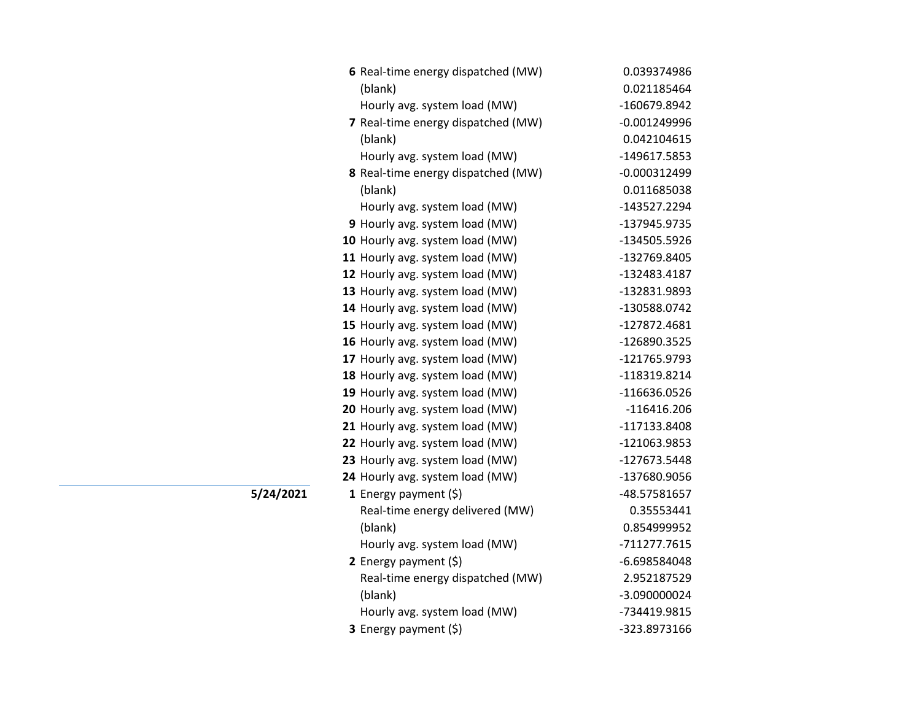| 6 Real-time energy dispatched (MW) | 0.039374986    |
|------------------------------------|----------------|
| (blank)                            | 0.021185464    |
| Hourly avg. system load (MW)       | -160679.8942   |
| 7 Real-time energy dispatched (MW) | $-0.001249996$ |
| (blank)                            | 0.042104615    |
| Hourly avg. system load (MW)       | -149617.5853   |
| 8 Real-time energy dispatched (MW) | $-0.000312499$ |
| (blank)                            | 0.011685038    |
| Hourly avg. system load (MW)       | -143527.2294   |
| 9 Hourly avg. system load (MW)     | -137945.9735   |
| 10 Hourly avg. system load (MW)    | -134505.5926   |
| 11 Hourly avg. system load (MW)    | -132769.8405   |
| 12 Hourly avg. system load (MW)    | -132483.4187   |
| 13 Hourly avg. system load (MW)    | -132831.9893   |
| 14 Hourly avg. system load (MW)    | -130588.0742   |
| 15 Hourly avg. system load (MW)    | -127872.4681   |
| 16 Hourly avg. system load (MW)    | -126890.3525   |
| 17 Hourly avg. system load (MW)    | -121765.9793   |
| 18 Hourly avg. system load (MW)    | -118319.8214   |
| 19 Hourly avg. system load (MW)    | -116636.0526   |
| 20 Hourly avg. system load (MW)    | $-116416.206$  |
| 21 Hourly avg. system load (MW)    | -117133.8408   |
| 22 Hourly avg. system load (MW)    | -121063.9853   |
| 23 Hourly avg. system load (MW)    | -127673.5448   |
| 24 Hourly avg. system load (MW)    | -137680.9056   |
| 1 Energy payment $(\$)$            | -48.57581657   |
| Real-time energy delivered (MW)    | 0.35553441     |
| (blank)                            | 0.854999952    |
| Hourly avg. system load (MW)       | -711277.7615   |
| 2 Energy payment (\$)              | -6.698584048   |
| Real-time energy dispatched (MW)   | 2.952187529    |
| (blank)                            | -3.090000024   |
| Hourly avg. system load (MW)       | -734419.9815   |
| 3 Energy payment (\$)              | -323.8973166   |

**5/24/2021**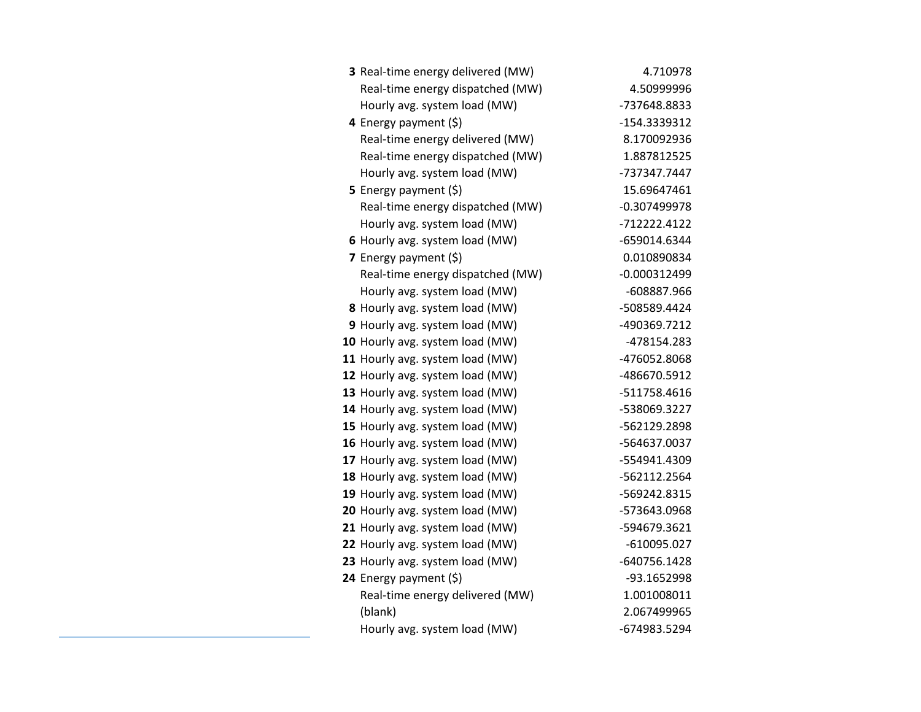| 3 Real-time energy delivered (MW) | 4.710978       |
|-----------------------------------|----------------|
| Real-time energy dispatched (MW)  | 4.50999996     |
| Hourly avg. system load (MW)      | -737648.8833   |
| 4 Energy payment (\$)             | -154.3339312   |
| Real-time energy delivered (MW)   | 8.170092936    |
| Real-time energy dispatched (MW)  | 1.887812525    |
| Hourly avg. system load (MW)      | -737347.7447   |
| <b>5</b> Energy payment $(\xi)$   | 15.69647461    |
| Real-time energy dispatched (MW)  | $-0.307499978$ |
| Hourly avg. system load (MW)      | -712222.4122   |
| 6 Hourly avg. system load (MW)    | -659014.6344   |
| 7 Energy payment $(\xi)$          | 0.010890834    |
| Real-time energy dispatched (MW)  | $-0.000312499$ |
| Hourly avg. system load (MW)      | -608887.966    |
| 8 Hourly avg. system load (MW)    | -508589.4424   |
| 9 Hourly avg. system load (MW)    | -490369.7212   |
| 10 Hourly avg. system load (MW)   | -478154.283    |
| 11 Hourly avg. system load (MW)   | -476052.8068   |
| 12 Hourly avg. system load (MW)   | -486670.5912   |
| 13 Hourly avg. system load (MW)   | -511758.4616   |
| 14 Hourly avg. system load (MW)   | -538069.3227   |
| 15 Hourly avg. system load (MW)   | -562129.2898   |
| 16 Hourly avg. system load (MW)   | -564637.0037   |
| 17 Hourly avg. system load (MW)   | -554941.4309   |
| 18 Hourly avg. system load (MW)   | -562112.2564   |
| 19 Hourly avg. system load (MW)   | -569242.8315   |
| 20 Hourly avg. system load (MW)   | -573643.0968   |
| 21 Hourly avg. system load (MW)   | -594679.3621   |
| 22 Hourly avg. system load (MW)   | $-610095.027$  |
| 23 Hourly avg. system load (MW)   | -640756.1428   |
| 24 Energy payment (\$)            | -93.1652998    |
| Real-time energy delivered (MW)   | 1.001008011    |
| (blank)                           | 2.067499965    |
| Hourly avg. system load (MW)      | -674983.5294   |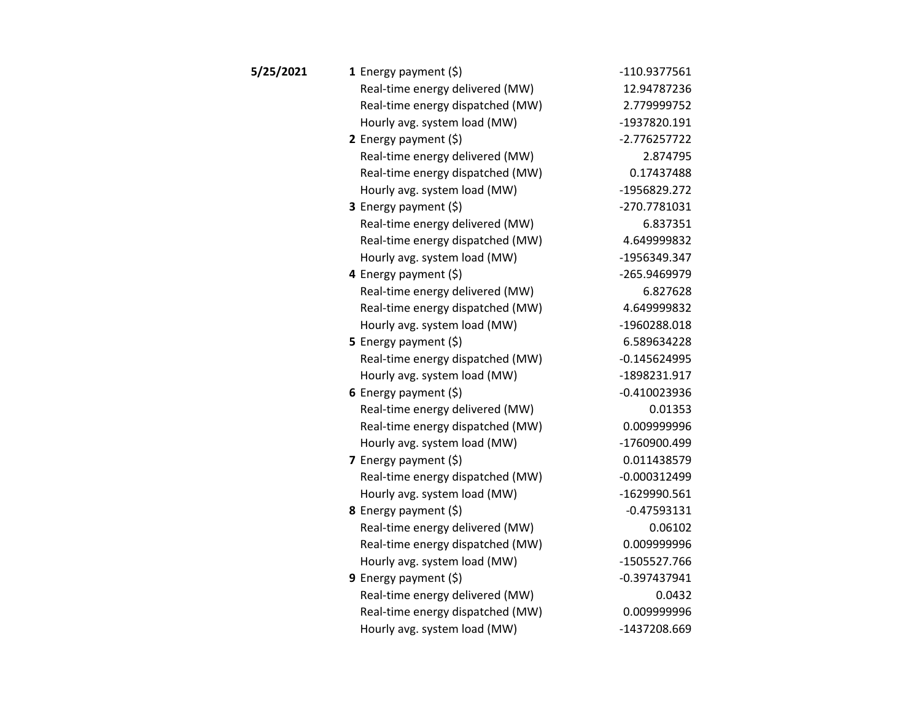| 5/25/2021 | 1 Energy payment $(\xi)$         | -110.9377561   |
|-----------|----------------------------------|----------------|
|           | Real-time energy delivered (MW)  | 12.94787236    |
|           | Real-time energy dispatched (MW) | 2.779999752    |
|           | Hourly avg. system load (MW)     | -1937820.191   |
|           | 2 Energy payment $(\xi)$         | $-2.776257722$ |
|           | Real-time energy delivered (MW)  | 2.874795       |
|           | Real-time energy dispatched (MW) | 0.17437488     |
|           | Hourly avg. system load (MW)     | -1956829.272   |
|           | <b>3</b> Energy payment $(\xi)$  | -270.7781031   |
|           | Real-time energy delivered (MW)  | 6.837351       |
|           | Real-time energy dispatched (MW) | 4.649999832    |
|           | Hourly avg. system load (MW)     | -1956349.347   |
|           | 4 Energy payment (\$)            | -265.9469979   |
|           | Real-time energy delivered (MW)  | 6.827628       |
|           | Real-time energy dispatched (MW) | 4.649999832    |
|           | Hourly avg. system load (MW)     | -1960288.018   |
|           | 5 Energy payment $(5)$           | 6.589634228    |
|           | Real-time energy dispatched (MW) | $-0.145624995$ |
|           | Hourly avg. system load (MW)     | -1898231.917   |
|           | 6 Energy payment $(5)$           | $-0.410023936$ |
|           | Real-time energy delivered (MW)  | 0.01353        |
|           | Real-time energy dispatched (MW) | 0.009999996    |
|           | Hourly avg. system load (MW)     | -1760900.499   |
|           | <b>7</b> Energy payment $(\xi)$  | 0.011438579    |
|           | Real-time energy dispatched (MW) | $-0.000312499$ |
|           | Hourly avg. system load (MW)     | -1629990.561   |
|           | 8 Energy payment (\$)            | $-0.47593131$  |
|           | Real-time energy delivered (MW)  | 0.06102        |
|           | Real-time energy dispatched (MW) | 0.009999996    |
|           | Hourly avg. system load (MW)     | -1505527.766   |
|           | <b>9</b> Energy payment $(\xi)$  | $-0.397437941$ |
|           | Real-time energy delivered (MW)  | 0.0432         |
|           | Real-time energy dispatched (MW) | 0.009999996    |
|           | Hourly avg. system load (MW)     | -1437208.669   |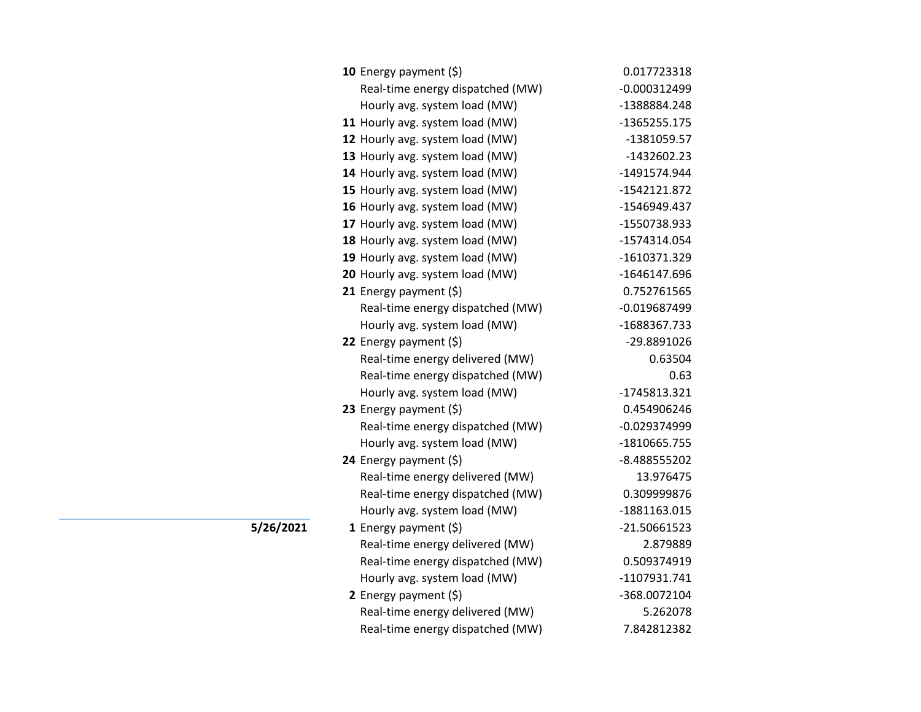| <b>10</b> Energy payment $(\xi)$ | 0.017723318    |
|----------------------------------|----------------|
| Real-time energy dispatched (MW) | $-0.000312499$ |
| Hourly avg. system load (MW)     | -1388884.248   |
| 11 Hourly avg. system load (MW)  | $-1365255.175$ |
| 12 Hourly avg. system load (MW)  | -1381059.57    |
| 13 Hourly avg. system load (MW)  | -1432602.23    |
| 14 Hourly avg. system load (MW)  | -1491574.944   |
| 15 Hourly avg. system load (MW)  | -1542121.872   |
| 16 Hourly avg. system load (MW)  | -1546949.437   |
| 17 Hourly avg. system load (MW)  | -1550738.933   |
| 18 Hourly avg. system load (MW)  | -1574314.054   |
| 19 Hourly avg. system load (MW)  | $-1610371.329$ |
| 20 Hourly avg. system load (MW)  | -1646147.696   |
| 21 Energy payment $(5)$          | 0.752761565    |
| Real-time energy dispatched (MW) | $-0.019687499$ |
| Hourly avg. system load (MW)     | -1688367.733   |
| 22 Energy payment (\$)           | -29.8891026    |
| Real-time energy delivered (MW)  | 0.63504        |
| Real-time energy dispatched (MW) | 0.63           |
| Hourly avg. system load (MW)     | -1745813.321   |
| 23 Energy payment $(\xi)$        | 0.454906246    |
| Real-time energy dispatched (MW) | $-0.029374999$ |
| Hourly avg. system load (MW)     | -1810665.755   |
| 24 Energy payment (\$)           | -8.488555202   |
| Real-time energy delivered (MW)  | 13.976475      |
| Real-time energy dispatched (MW) | 0.309999876    |
| Hourly avg. system load (MW)     | -1881163.015   |
| 1 Energy payment $(\xi)$         | -21.50661523   |
| Real-time energy delivered (MW)  | 2.879889       |
| Real-time energy dispatched (MW) | 0.509374919    |
| Hourly avg. system load (MW)     | -1107931.741   |
| 2 Energy payment $(\xi)$         | -368.0072104   |
| Real-time energy delivered (MW)  | 5.262078       |
| Real-time energy dispatched (MW) | 7.842812382    |

**5/26/2021**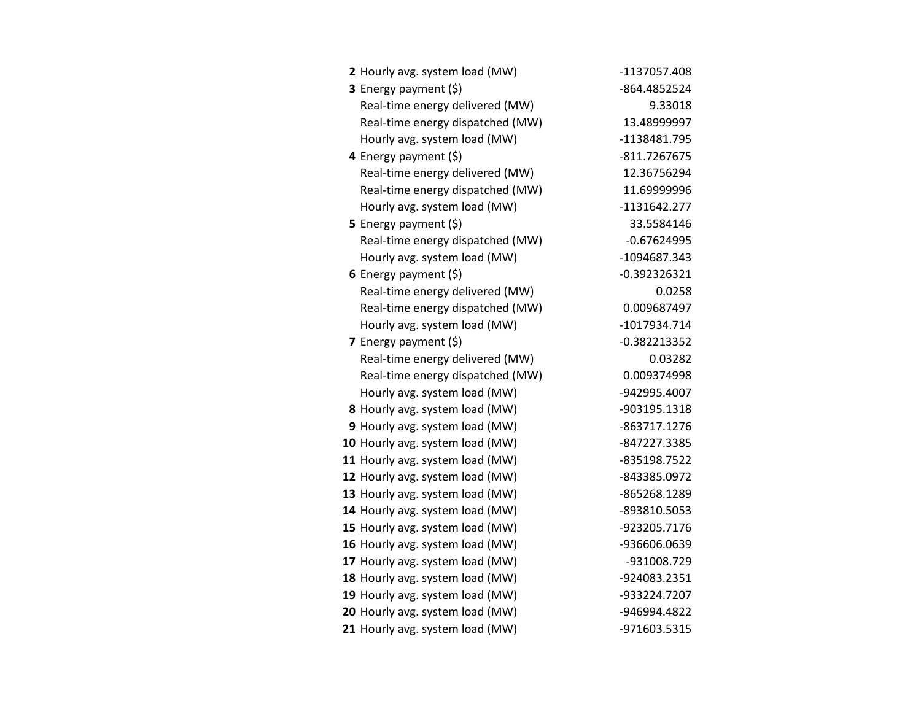| 2 Hourly avg. system load (MW)   | -1137057.408   |
|----------------------------------|----------------|
| 3 Energy payment (\$)            | -864.4852524   |
| Real-time energy delivered (MW)  | 9.33018        |
| Real-time energy dispatched (MW) | 13.48999997    |
| Hourly avg. system load (MW)     | -1138481.795   |
| 4 Energy payment (\$)            | -811.7267675   |
| Real-time energy delivered (MW)  | 12.36756294    |
| Real-time energy dispatched (MW) | 11.69999996    |
| Hourly avg. system load (MW)     | $-1131642.277$ |
| <b>5</b> Energy payment $(\xi)$  | 33.5584146     |
| Real-time energy dispatched (MW) | $-0.67624995$  |
| Hourly avg. system load (MW)     | -1094687.343   |
| 6 Energy payment $(\xi)$         | -0.392326321   |
| Real-time energy delivered (MW)  | 0.0258         |
| Real-time energy dispatched (MW) | 0.009687497    |
| Hourly avg. system load (MW)     | -1017934.714   |
| 7 Energy payment (\$)            | $-0.382213352$ |
| Real-time energy delivered (MW)  | 0.03282        |
| Real-time energy dispatched (MW) | 0.009374998    |
| Hourly avg. system load (MW)     | -942995.4007   |
| 8 Hourly avg. system load (MW)   | -903195.1318   |
| 9 Hourly avg. system load (MW)   | -863717.1276   |
| 10 Hourly avg. system load (MW)  | -847227.3385   |
| 11 Hourly avg. system load (MW)  | -835198.7522   |
| 12 Hourly avg. system load (MW)  | -843385.0972   |
| 13 Hourly avg. system load (MW)  | -865268.1289   |
| 14 Hourly avg. system load (MW)  | -893810.5053   |
| 15 Hourly avg. system load (MW)  | -923205.7176   |
| 16 Hourly avg. system load (MW)  | -936606.0639   |
| 17 Hourly avg. system load (MW)  | -931008.729    |
| 18 Hourly avg. system load (MW)  | -924083.2351   |
| 19 Hourly avg. system load (MW)  | -933224.7207   |
| 20 Hourly avg. system load (MW)  | -946994.4822   |
| 21 Hourly avg. system load (MW)  | -971603.5315   |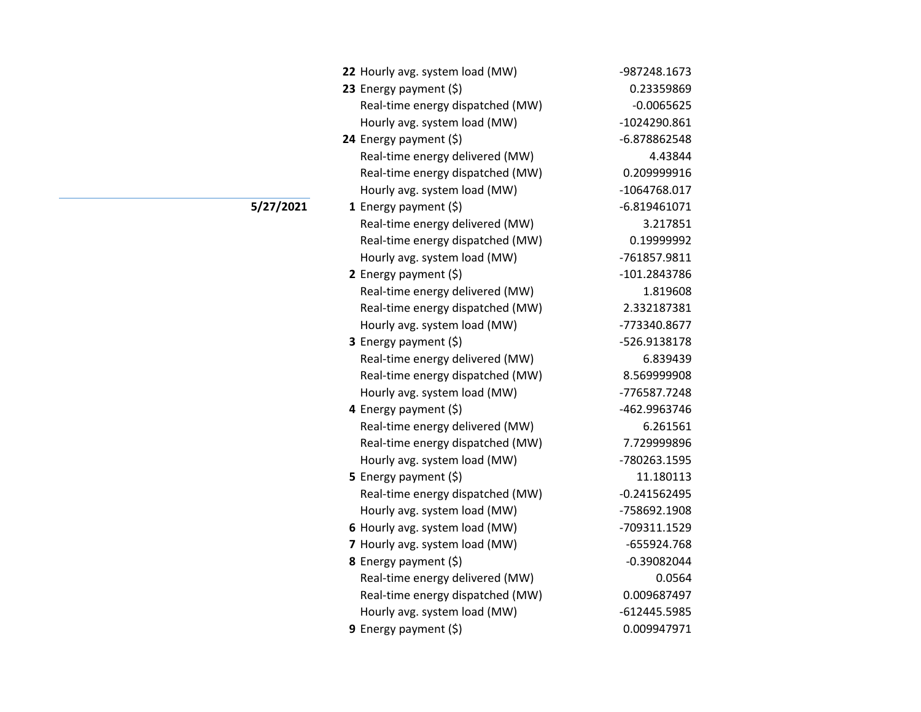| 22 Hourly avg. system load (MW)  | -987248.1673   |
|----------------------------------|----------------|
| 23 Energy payment (\$)           | 0.23359869     |
| Real-time energy dispatched (MW) | $-0.0065625$   |
| Hourly avg. system load (MW)     | -1024290.861   |
| 24 Energy payment (\$)           | -6.878862548   |
| Real-time energy delivered (MW)  | 4.43844        |
| Real-time energy dispatched (MW) | 0.209999916    |
| Hourly avg. system load (MW)     | -1064768.017   |
| 1 Energy payment $(\xi)$         | $-6.819461071$ |
| Real-time energy delivered (MW)  | 3.217851       |
| Real-time energy dispatched (MW) | 0.19999992     |
| Hourly avg. system load (MW)     | -761857.9811   |
| 2 Energy payment $(\xi)$         | -101.2843786   |
| Real-time energy delivered (MW)  | 1.819608       |
| Real-time energy dispatched (MW) | 2.332187381    |
| Hourly avg. system load (MW)     | -773340.8677   |
| 3 Energy payment (\$)            | -526.9138178   |
| Real-time energy delivered (MW)  | 6.839439       |
| Real-time energy dispatched (MW) | 8.569999908    |
| Hourly avg. system load (MW)     | -776587.7248   |
| 4 Energy payment (\$)            | -462.9963746   |
| Real-time energy delivered (MW)  | 6.261561       |
| Real-time energy dispatched (MW) | 7.729999896    |
| Hourly avg. system load (MW)     | -780263.1595   |
| <b>5</b> Energy payment $(\xi)$  | 11.180113      |
| Real-time energy dispatched (MW) | $-0.241562495$ |
| Hourly avg. system load (MW)     | -758692.1908   |
| 6 Hourly avg. system load (MW)   | -709311.1529   |
| 7 Hourly avg. system load (MW)   | -655924.768    |
| 8 Energy payment (\$)            | $-0.39082044$  |
| Real-time energy delivered (MW)  | 0.0564         |
| Real-time energy dispatched (MW) | 0.009687497    |
| Hourly avg. system load (MW)     | -612445.5985   |
| 9 Energy payment (\$)            | 0.009947971    |

**5/27/2021**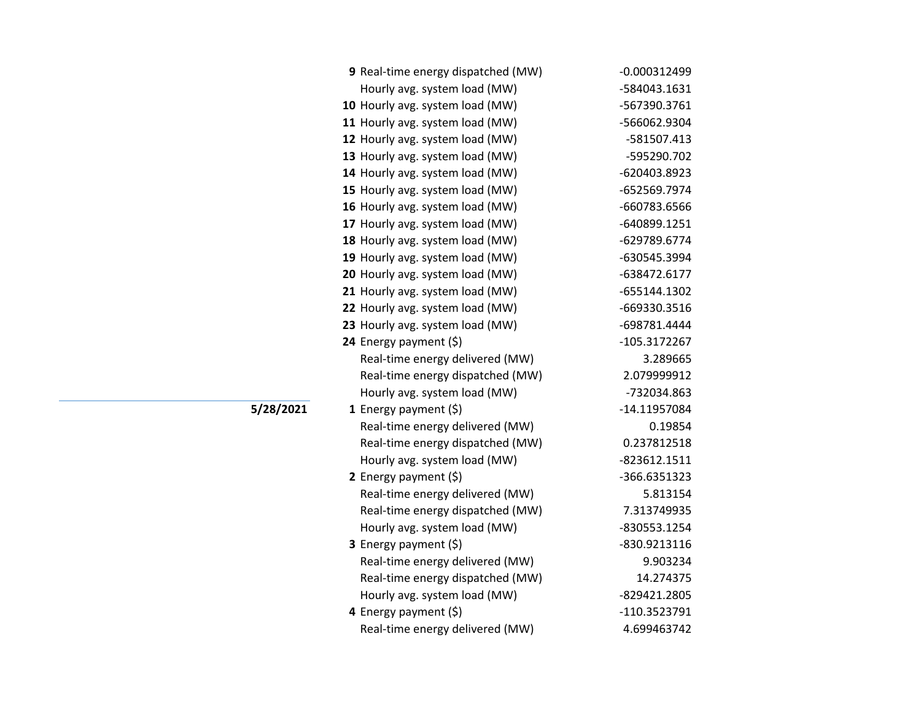| 9 Real-time energy dispatched (MW) | $-0.000312499$ |
|------------------------------------|----------------|
| Hourly avg. system load (MW)       | -584043.1631   |
| 10 Hourly avg. system load (MW)    | -567390.3761   |
| 11 Hourly avg. system load (MW)    | -566062.9304   |
| 12 Hourly avg. system load (MW)    | -581507.413    |
| 13 Hourly avg. system load (MW)    | -595290.702    |
| 14 Hourly avg. system load (MW)    | -620403.8923   |
| 15 Hourly avg. system load (MW)    | -652569.7974   |
| 16 Hourly avg. system load (MW)    | -660783.6566   |
| 17 Hourly avg. system load (MW)    | -640899.1251   |
| 18 Hourly avg. system load (MW)    | -629789.6774   |
| 19 Hourly avg. system load (MW)    | -630545.3994   |
| 20 Hourly avg. system load (MW)    | -638472.6177   |
| 21 Hourly avg. system load (MW)    | -655144.1302   |
| 22 Hourly avg. system load (MW)    | -669330.3516   |
| 23 Hourly avg. system load (MW)    | -698781.4444   |
| 24 Energy payment (\$)             | -105.3172267   |
| Real-time energy delivered (MW)    | 3.289665       |
| Real-time energy dispatched (MW)   | 2.079999912    |
| Hourly avg. system load (MW)       | -732034.863    |
| 1 Energy payment $(\xi)$           | -14.11957084   |
| Real-time energy delivered (MW)    | 0.19854        |
| Real-time energy dispatched (MW)   | 0.237812518    |
| Hourly avg. system load (MW)       | -823612.1511   |
| 2 Energy payment $(\xi)$           | -366.6351323   |
| Real-time energy delivered (MW)    | 5.813154       |
| Real-time energy dispatched (MW)   | 7.313749935    |
| Hourly avg. system load (MW)       | -830553.1254   |
| 3 Energy payment (\$)              | -830.9213116   |
| Real-time energy delivered (MW)    | 9.903234       |
| Real-time energy dispatched (MW)   | 14.274375      |
| Hourly avg. system load (MW)       | -829421.2805   |
| 4 Energy payment (\$)              | -110.3523791   |
| Real-time energy delivered (MW)    | 4.699463742    |

**5/28/2021**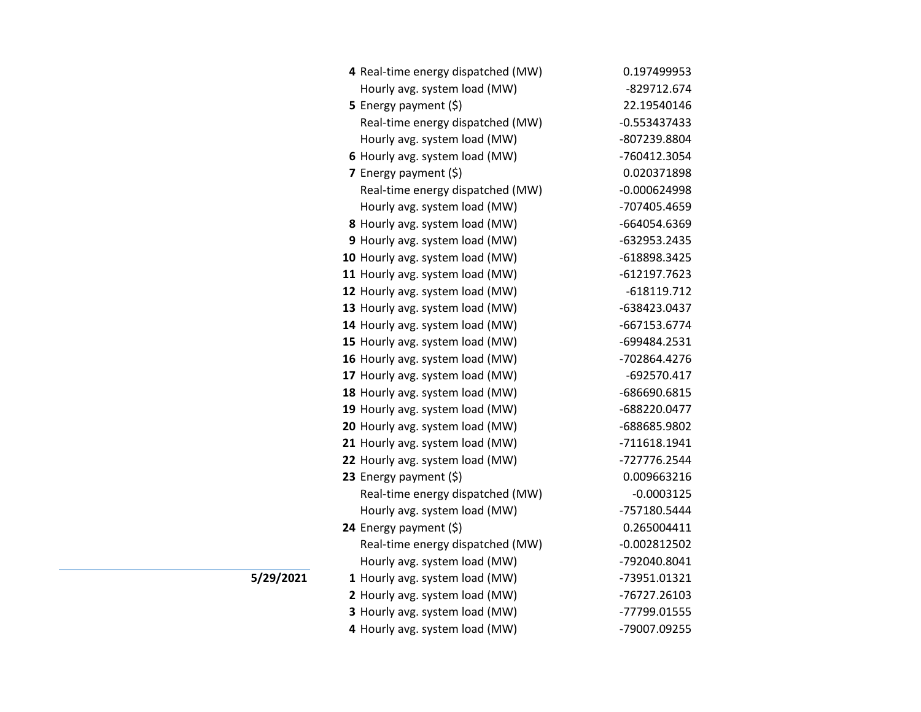| 4 Real-time energy dispatched (MW) | 0.197499953    |
|------------------------------------|----------------|
| Hourly avg. system load (MW)       | -829712.674    |
| 5 Energy payment (\$)              | 22.19540146    |
| Real-time energy dispatched (MW)   | $-0.553437433$ |
| Hourly avg. system load (MW)       | -807239.8804   |
| 6 Hourly avg. system load (MW)     | -760412.3054   |
| 7 Energy payment $(5)$             | 0.020371898    |
| Real-time energy dispatched (MW)   | $-0.000624998$ |
| Hourly avg. system load (MW)       | -707405.4659   |
| 8 Hourly avg. system load (MW)     | -664054.6369   |
| 9 Hourly avg. system load (MW)     | -632953.2435   |
| 10 Hourly avg. system load (MW)    | -618898.3425   |
| 11 Hourly avg. system load (MW)    | -612197.7623   |
| 12 Hourly avg. system load (MW)    | $-618119.712$  |
| 13 Hourly avg. system load (MW)    | -638423.0437   |
| 14 Hourly avg. system load (MW)    | -667153.6774   |
| 15 Hourly avg. system load (MW)    | -699484.2531   |
| 16 Hourly avg. system load (MW)    | -702864.4276   |
| 17 Hourly avg. system load (MW)    | -692570.417    |
| 18 Hourly avg. system load (MW)    | -686690.6815   |
| 19 Hourly avg. system load (MW)    | -688220.0477   |
| 20 Hourly avg. system load (MW)    | -688685.9802   |
| 21 Hourly avg. system load (MW)    | -711618.1941   |
| 22 Hourly avg. system load (MW)    | -727776.2544   |
| 23 Energy payment (\$)             | 0.009663216    |
| Real-time energy dispatched (MW)   | $-0.0003125$   |
| Hourly avg. system load (MW)       | -757180.5444   |
| 24 Energy payment (\$)             | 0.265004411    |
| Real-time energy dispatched (MW)   | $-0.002812502$ |
| Hourly avg. system load (MW)       | -792040.8041   |
| 1 Hourly avg. system load (MW)     | -73951.01321   |
| 2 Hourly avg. system load (MW)     | -76727.26103   |
| 3 Hourly avg. system load (MW)     | -77799.01555   |
| 4 Hourly avg. system load (MW)     | -79007.09255   |

**5/29/2021**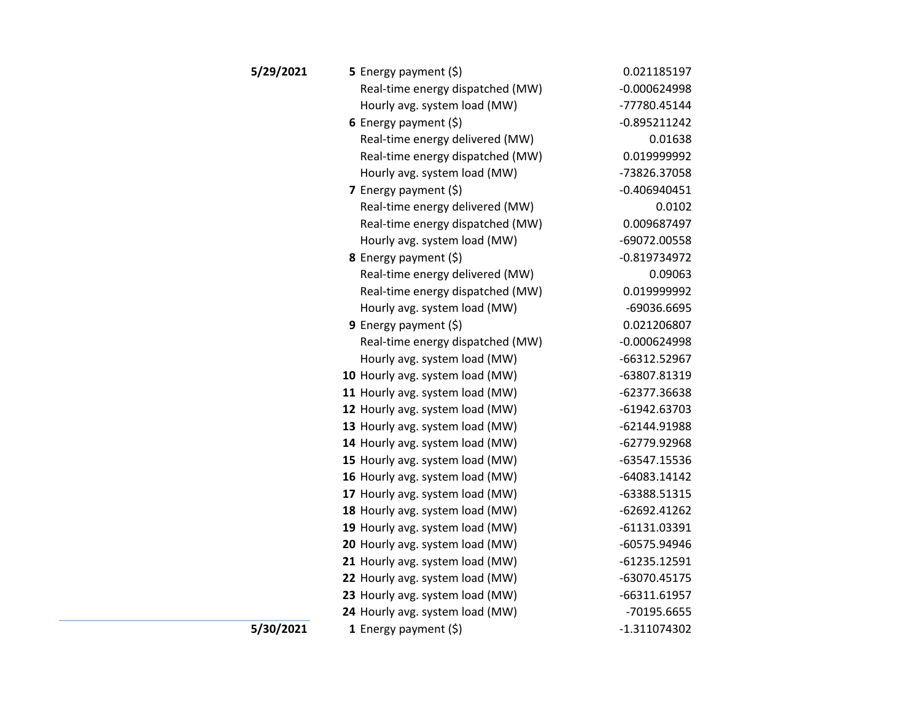| 5/29/2021 | <b>5</b> Energy payment $(\xi)$  | 0.021185197    |
|-----------|----------------------------------|----------------|
|           | Real-time energy dispatched (MW) | $-0.000624998$ |
|           | Hourly avg. system load (MW)     | -77780.45144   |
|           | 6 Energy payment $(5)$           | $-0.895211242$ |
|           | Real-time energy delivered (MW)  | 0.01638        |
|           | Real-time energy dispatched (MW) | 0.019999992    |
|           | Hourly avg. system load (MW)     | -73826.37058   |
|           | 7 Energy payment $(\xi)$         | $-0.406940451$ |
|           | Real-time energy delivered (MW)  | 0.0102         |
|           | Real-time energy dispatched (MW) | 0.009687497    |
|           | Hourly avg. system load (MW)     | -69072.00558   |
|           | 8 Energy payment (\$)            | $-0.819734972$ |
|           | Real-time energy delivered (MW)  | 0.09063        |
|           | Real-time energy dispatched (MW) | 0.019999992    |
|           | Hourly avg. system load (MW)     | -69036.6695    |
|           | 9 Energy payment $(\xi)$         | 0.021206807    |
|           | Real-time energy dispatched (MW) | $-0.000624998$ |
|           | Hourly avg. system load (MW)     | -66312.52967   |
|           | 10 Hourly avg. system load (MW)  | -63807.81319   |
|           | 11 Hourly avg. system load (MW)  | -62377.36638   |
|           | 12 Hourly avg. system load (MW)  | -61942.63703   |
|           | 13 Hourly avg. system load (MW)  | -62144.91988   |
|           | 14 Hourly avg. system load (MW)  | -62779.92968   |
|           | 15 Hourly avg. system load (MW)  | -63547.15536   |
|           | 16 Hourly avg. system load (MW)  | -64083.14142   |
|           | 17 Hourly avg. system load (MW)  | -63388.51315   |
|           | 18 Hourly avg. system load (MW)  | -62692.41262   |
|           | 19 Hourly avg. system load (MW)  | -61131.03391   |
|           | 20 Hourly avg. system load (MW)  | -60575.94946   |
|           | 21 Hourly avg. system load (MW)  | $-61235.12591$ |
|           | 22 Hourly avg. system load (MW)  | -63070.45175   |
|           | 23 Hourly avg. system load (MW)  | -66311.61957   |
|           | 24 Hourly avg. system load (MW)  | -70195.6655    |
| 5/30/2021 | 1 Energy payment $(\xi)$         | $-1.311074302$ |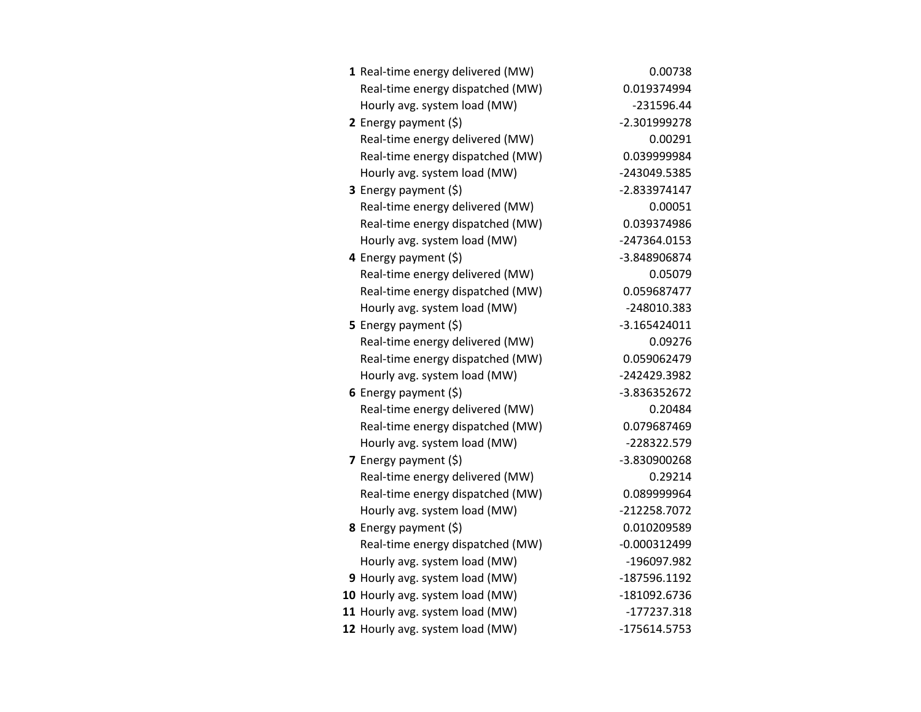| 1 Real-time energy delivered (MW) | 0.00738        |
|-----------------------------------|----------------|
| Real-time energy dispatched (MW)  | 0.019374994    |
| Hourly avg. system load (MW)      | $-231596.44$   |
| 2 Energy payment $(\xi)$          | -2.301999278   |
| Real-time energy delivered (MW)   | 0.00291        |
| Real-time energy dispatched (MW)  | 0.039999984    |
| Hourly avg. system load (MW)      | -243049.5385   |
| 3 Energy payment (\$)             | -2.833974147   |
| Real-time energy delivered (MW)   | 0.00051        |
| Real-time energy dispatched (MW)  | 0.039374986    |
| Hourly avg. system load (MW)      | -247364.0153   |
| 4 Energy payment (\$)             | -3.848906874   |
| Real-time energy delivered (MW)   | 0.05079        |
| Real-time energy dispatched (MW)  | 0.059687477    |
| Hourly avg. system load (MW)      | -248010.383    |
| 5 Energy payment $(5)$            | $-3.165424011$ |
| Real-time energy delivered (MW)   | 0.09276        |
| Real-time energy dispatched (MW)  | 0.059062479    |
| Hourly avg. system load (MW)      | -242429.3982   |
| 6 Energy payment $(\xi)$          | -3.836352672   |
| Real-time energy delivered (MW)   | 0.20484        |
| Real-time energy dispatched (MW)  | 0.079687469    |
| Hourly avg. system load (MW)      | -228322.579    |
| 7 Energy payment $(5)$            | -3.830900268   |
| Real-time energy delivered (MW)   | 0.29214        |
| Real-time energy dispatched (MW)  | 0.089999964    |
| Hourly avg. system load (MW)      | -212258.7072   |
| 8 Energy payment (\$)             | 0.010209589    |
| Real-time energy dispatched (MW)  | $-0.000312499$ |
| Hourly avg. system load (MW)      | -196097.982    |
| 9 Hourly avg. system load (MW)    | -187596.1192   |
| 10 Hourly avg. system load (MW)   | -181092.6736   |
| 11 Hourly avg. system load (MW)   | $-177237.318$  |
| 12 Hourly avg. system load (MW)   | -175614.5753   |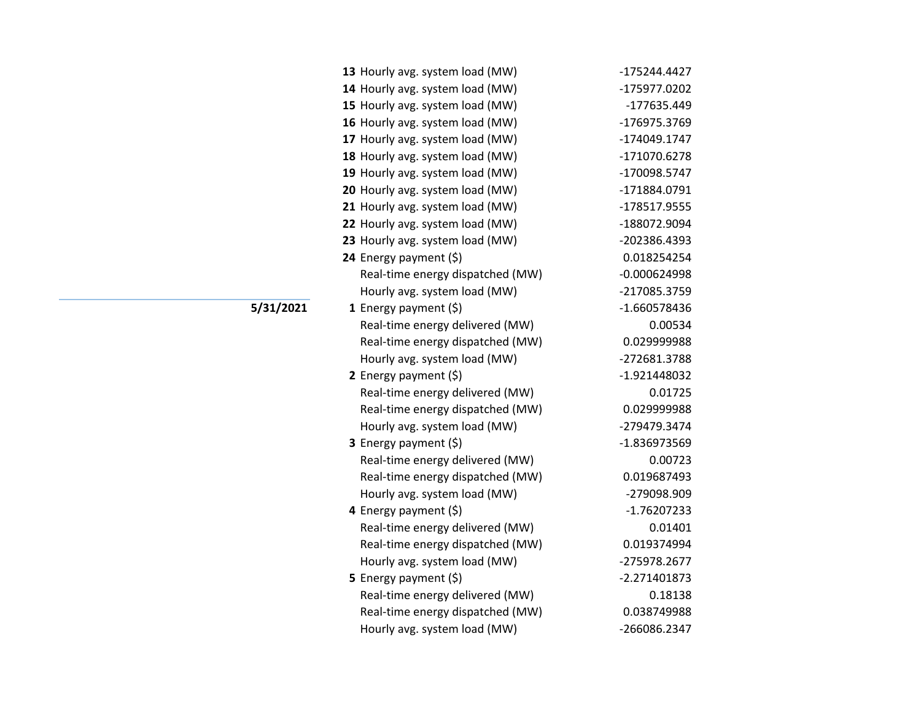| 13 Hourly avg. system load (MW)  | -175244.4427   |
|----------------------------------|----------------|
| 14 Hourly avg. system load (MW)  | -175977.0202   |
| 15 Hourly avg. system load (MW)  | -177635.449    |
| 16 Hourly avg. system load (MW)  | -176975.3769   |
| 17 Hourly avg. system load (MW)  | -174049.1747   |
| 18 Hourly avg. system load (MW)  | -171070.6278   |
| 19 Hourly avg. system load (MW)  | -170098.5747   |
| 20 Hourly avg. system load (MW)  | -171884.0791   |
| 21 Hourly avg. system load (MW)  | -178517.9555   |
| 22 Hourly avg. system load (MW)  | -188072.9094   |
| 23 Hourly avg. system load (MW)  | -202386.4393   |
| 24 Energy payment (\$)           | 0.018254254    |
| Real-time energy dispatched (MW) | $-0.000624998$ |
| Hourly avg. system load (MW)     | -217085.3759   |
| 1 Energy payment $(\xi)$         | -1.660578436   |
| Real-time energy delivered (MW)  | 0.00534        |
| Real-time energy dispatched (MW) | 0.029999988    |
| Hourly avg. system load (MW)     | -272681.3788   |
| 2 Energy payment $(\xi)$         | -1.921448032   |
| Real-time energy delivered (MW)  | 0.01725        |
| Real-time energy dispatched (MW) | 0.029999988    |
| Hourly avg. system load (MW)     | -279479.3474   |
| <b>3</b> Energy payment $(\xi)$  | -1.836973569   |
| Real-time energy delivered (MW)  | 0.00723        |
| Real-time energy dispatched (MW) | 0.019687493    |
| Hourly avg. system load (MW)     | -279098.909    |
| 4 Energy payment $(\xi)$         | $-1.76207233$  |
| Real-time energy delivered (MW)  | 0.01401        |
| Real-time energy dispatched (MW) | 0.019374994    |
| Hourly avg. system load (MW)     | -275978.2677   |
| 5 Energy payment $(5)$           | $-2.271401873$ |
| Real-time energy delivered (MW)  | 0.18138        |
| Real-time energy dispatched (MW) | 0.038749988    |
| Hourly avg. system load (MW)     | -266086.2347   |

**5/31/2021**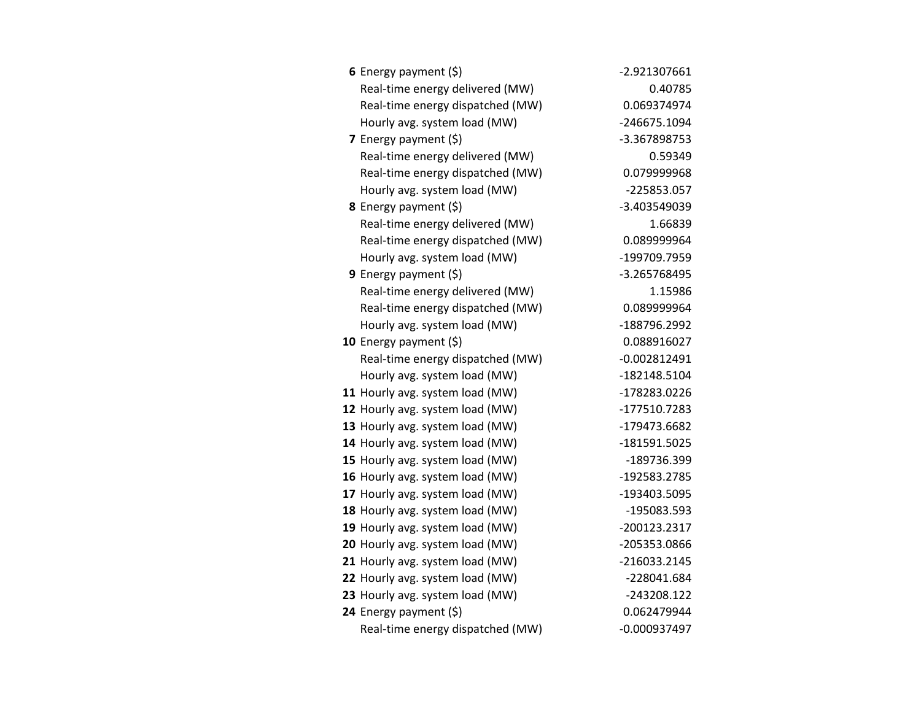| 6 Energy payment $(\$)$          | -2.921307661   |
|----------------------------------|----------------|
| Real-time energy delivered (MW)  | 0.40785        |
| Real-time energy dispatched (MW) | 0.069374974    |
| Hourly avg. system load (MW)     | -246675.1094   |
| 7 Energy payment (\$)            | -3.367898753   |
| Real-time energy delivered (MW)  | 0.59349        |
| Real-time energy dispatched (MW) | 0.079999968    |
| Hourly avg. system load (MW)     | -225853.057    |
| 8 Energy payment (\$)            | -3.403549039   |
| Real-time energy delivered (MW)  | 1.66839        |
| Real-time energy dispatched (MW) | 0.089999964    |
| Hourly avg. system load (MW)     | -199709.7959   |
| 9 Energy payment (\$)            | -3.265768495   |
| Real-time energy delivered (MW)  | 1.15986        |
| Real-time energy dispatched (MW) | 0.089999964    |
| Hourly avg. system load (MW)     | -188796.2992   |
| 10 Energy payment $(5)$          | 0.088916027    |
| Real-time energy dispatched (MW) | $-0.002812491$ |
| Hourly avg. system load (MW)     | -182148.5104   |
| 11 Hourly avg. system load (MW)  | -178283.0226   |
| 12 Hourly avg. system load (MW)  | -177510.7283   |
| 13 Hourly avg. system load (MW)  | -179473.6682   |
| 14 Hourly avg. system load (MW)  | -181591.5025   |
| 15 Hourly avg. system load (MW)  | -189736.399    |
| 16 Hourly avg. system load (MW)  | -192583.2785   |
| 17 Hourly avg. system load (MW)  | -193403.5095   |
| 18 Hourly avg. system load (MW)  | -195083.593    |
| 19 Hourly avg. system load (MW)  | -200123.2317   |
| 20 Hourly avg. system load (MW)  | -205353.0866   |
| 21 Hourly avg. system load (MW)  | -216033.2145   |
| 22 Hourly avg. system load (MW)  | -228041.684    |
| 23 Hourly avg. system load (MW)  | -243208.122    |
| 24 Energy payment (\$)           | 0.062479944    |
| Real-time energy dispatched (MW) | $-0.000937497$ |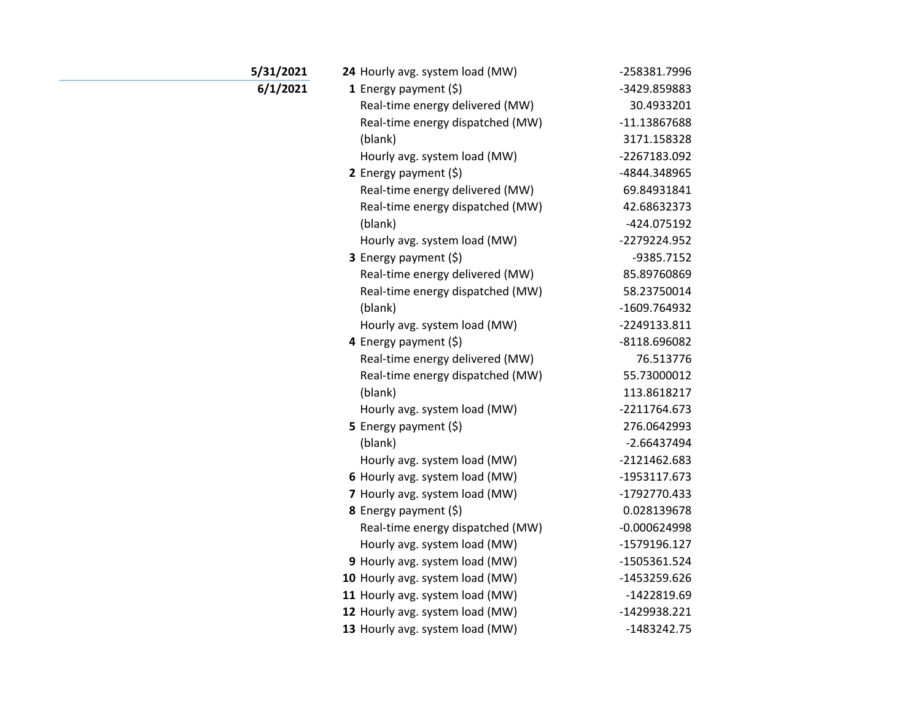| 5/31/2021 | 24 Hourly avg. system load (MW)  | -258381.7996   |
|-----------|----------------------------------|----------------|
| 6/1/2021  | 1 Energy payment $(5)$           | -3429.859883   |
|           | Real-time energy delivered (MW)  | 30.4933201     |
|           | Real-time energy dispatched (MW) | -11.13867688   |
|           | (blank)                          | 3171.158328    |
|           | Hourly avg. system load (MW)     | -2267183.092   |
|           | 2 Energy payment $(\xi)$         | -4844.348965   |
|           | Real-time energy delivered (MW)  | 69.84931841    |
|           | Real-time energy dispatched (MW) | 42.68632373    |
|           | (blank)                          | -424.075192    |
|           | Hourly avg. system load (MW)     | -2279224.952   |
|           | 3 Energy payment (\$)            | -9385.7152     |
|           | Real-time energy delivered (MW)  | 85.89760869    |
|           | Real-time energy dispatched (MW) | 58.23750014    |
|           | (blank)                          | -1609.764932   |
|           | Hourly avg. system load (MW)     | -2249133.811   |
|           | 4 Energy payment (\$)            | -8118.696082   |
|           | Real-time energy delivered (MW)  | 76.513776      |
|           | Real-time energy dispatched (MW) | 55.73000012    |
|           | (blank)                          | 113.8618217    |
|           | Hourly avg. system load (MW)     | -2211764.673   |
|           | 5 Energy payment $(5)$           | 276.0642993    |
|           | (blank)                          | $-2.66437494$  |
|           | Hourly avg. system load (MW)     | -2121462.683   |
|           | 6 Hourly avg. system load (MW)   | -1953117.673   |
|           | 7 Hourly avg. system load (MW)   | -1792770.433   |
|           | 8 Energy payment (\$)            | 0.028139678    |
|           | Real-time energy dispatched (MW) | $-0.000624998$ |
|           | Hourly avg. system load (MW)     | -1579196.127   |
|           | 9 Hourly avg. system load (MW)   | -1505361.524   |
|           | 10 Hourly avg. system load (MW)  | -1453259.626   |
|           | 11 Hourly avg. system load (MW)  | -1422819.69    |
|           | 12 Hourly avg. system load (MW)  | -1429938.221   |
|           | 13 Hourly avg. system load (MW)  | $-1483242.75$  |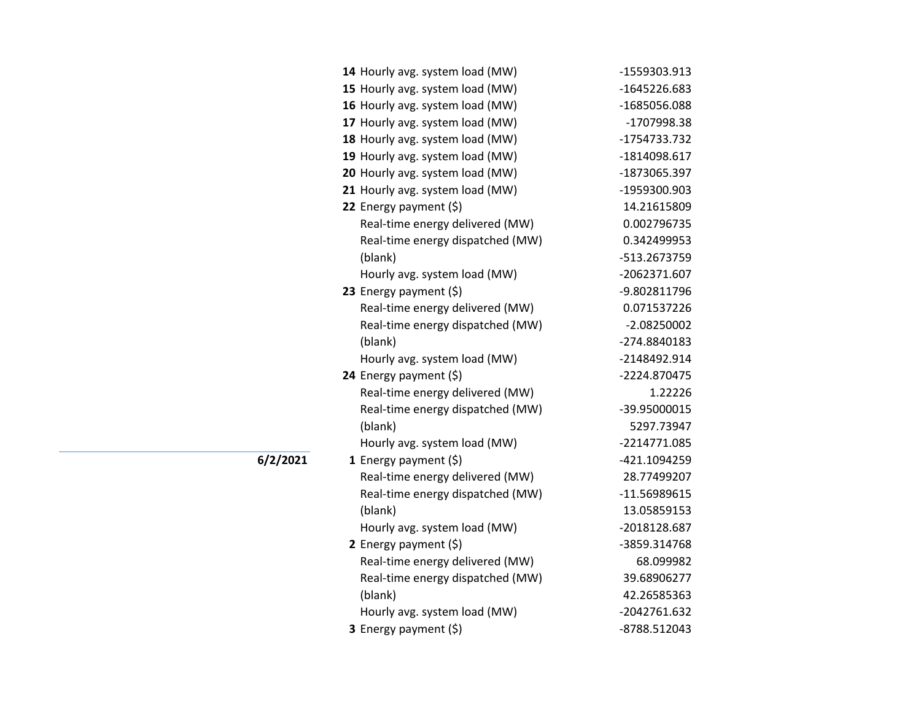| 14 Hourly avg. system load (MW)  | -1559303.913  |
|----------------------------------|---------------|
| 15 Hourly avg. system load (MW)  | -1645226.683  |
| 16 Hourly avg. system load (MW)  | -1685056.088  |
| 17 Hourly avg. system load (MW)  | -1707998.38   |
| 18 Hourly avg. system load (MW)  | -1754733.732  |
| 19 Hourly avg. system load (MW)  | -1814098.617  |
| 20 Hourly avg. system load (MW)  | -1873065.397  |
| 21 Hourly avg. system load (MW)  | -1959300.903  |
| 22 Energy payment (\$)           | 14.21615809   |
| Real-time energy delivered (MW)  | 0.002796735   |
| Real-time energy dispatched (MW) | 0.342499953   |
| (blank)                          | -513.2673759  |
| Hourly avg. system load (MW)     | -2062371.607  |
| 23 Energy payment (\$)           | -9.802811796  |
| Real-time energy delivered (MW)  | 0.071537226   |
| Real-time energy dispatched (MW) | $-2.08250002$ |
| (blank)                          | -274.8840183  |
| Hourly avg. system load (MW)     | -2148492.914  |
| 24 Energy payment (\$)           | -2224.870475  |
| Real-time energy delivered (MW)  | 1.22226       |
| Real-time energy dispatched (MW) | -39.95000015  |
| (blank)                          | 5297.73947    |
| Hourly avg. system load (MW)     | -2214771.085  |
| 1 Energy payment $(\xi)$         | -421.1094259  |
| Real-time energy delivered (MW)  | 28.77499207   |
| Real-time energy dispatched (MW) | -11.56989615  |
| (blank)                          | 13.05859153   |
| Hourly avg. system load (MW)     | -2018128.687  |
| 2 Energy payment (\$)            | -3859.314768  |
| Real-time energy delivered (MW)  | 68.099982     |
| Real-time energy dispatched (MW) | 39.68906277   |
| (blank)                          | 42.26585363   |
| Hourly avg. system load (MW)     | -2042761.632  |
| 3 Energy payment (\$)            | -8788.512043  |
|                                  |               |

**6/2/2021**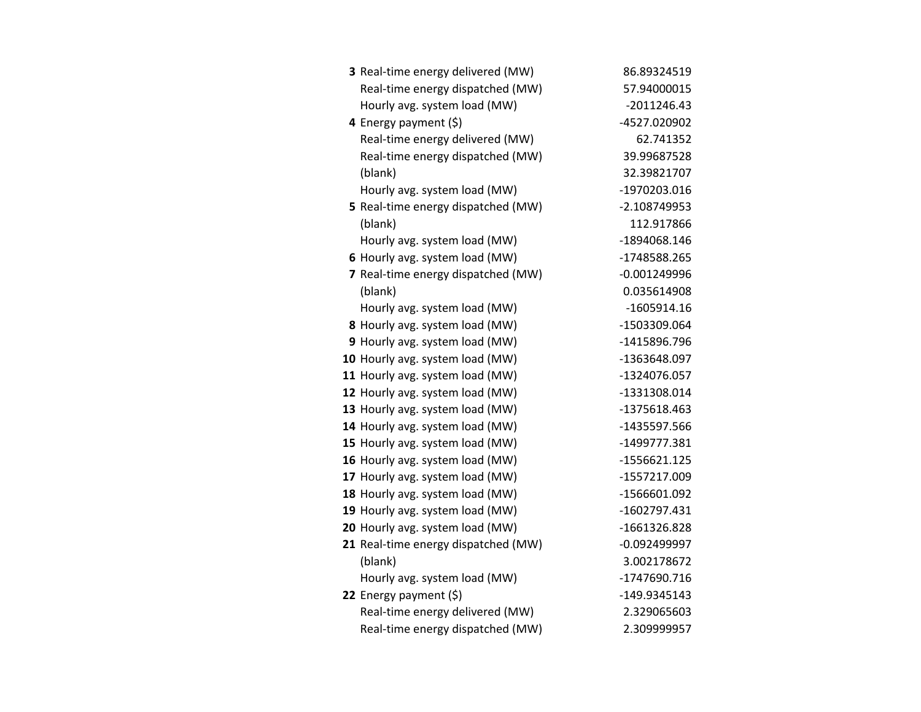| 3 Real-time energy delivered (MW)   | 86.89324519    |
|-------------------------------------|----------------|
| Real-time energy dispatched (MW)    | 57.94000015    |
| Hourly avg. system load (MW)        | $-2011246.43$  |
| 4 Energy payment (\$)               | -4527.020902   |
| Real-time energy delivered (MW)     | 62.741352      |
| Real-time energy dispatched (MW)    | 39.99687528    |
| (blank)                             | 32.39821707    |
| Hourly avg. system load (MW)        | -1970203.016   |
| 5 Real-time energy dispatched (MW)  | -2.108749953   |
| (blank)                             | 112.917866     |
| Hourly avg. system load (MW)        | -1894068.146   |
| 6 Hourly avg. system load (MW)      | -1748588.265   |
| 7 Real-time energy dispatched (MW)  | $-0.001249996$ |
| (blank)                             | 0.035614908    |
| Hourly avg. system load (MW)        | $-1605914.16$  |
| 8 Hourly avg. system load (MW)      | -1503309.064   |
| 9 Hourly avg. system load (MW)      | -1415896.796   |
| 10 Hourly avg. system load (MW)     | -1363648.097   |
| 11 Hourly avg. system load (MW)     | -1324076.057   |
| 12 Hourly avg. system load (MW)     | -1331308.014   |
| 13 Hourly avg. system load (MW)     | -1375618.463   |
| 14 Hourly avg. system load (MW)     | -1435597.566   |
| 15 Hourly avg. system load (MW)     | -1499777.381   |
| 16 Hourly avg. system load (MW)     | $-1556621.125$ |
| 17 Hourly avg. system load (MW)     | -1557217.009   |
| 18 Hourly avg. system load (MW)     | -1566601.092   |
| 19 Hourly avg. system load (MW)     | -1602797.431   |
| 20 Hourly avg. system load (MW)     | -1661326.828   |
| 21 Real-time energy dispatched (MW) | $-0.092499997$ |
| (blank)                             | 3.002178672    |
| Hourly avg. system load (MW)        | -1747690.716   |
| 22 Energy payment $(\xi)$           | -149.9345143   |
| Real-time energy delivered (MW)     | 2.329065603    |
| Real-time energy dispatched (MW)    | 2.309999957    |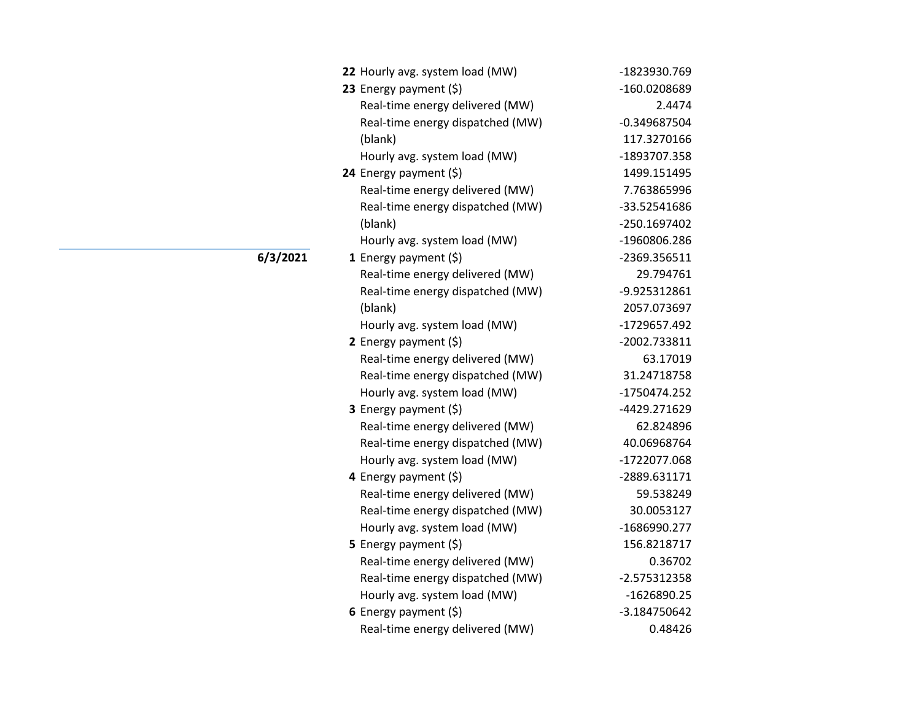| 22 Hourly avg. system load (MW)  | -1823930.769   |
|----------------------------------|----------------|
| 23 Energy payment (\$)           | -160.0208689   |
| Real-time energy delivered (MW)  | 2.4474         |
| Real-time energy dispatched (MW) | $-0.349687504$ |
| (blank)                          | 117.3270166    |
| Hourly avg. system load (MW)     | -1893707.358   |
| 24 Energy payment (\$)           | 1499.151495    |
| Real-time energy delivered (MW)  | 7.763865996    |
| Real-time energy dispatched (MW) | -33.52541686   |
| (blank)                          | -250.1697402   |
| Hourly avg. system load (MW)     | -1960806.286   |
| 1 Energy payment $(\xi)$         | -2369.356511   |
| Real-time energy delivered (MW)  | 29.794761      |
| Real-time energy dispatched (MW) | -9.925312861   |
| (blank)                          | 2057.073697    |
| Hourly avg. system load (MW)     | -1729657.492   |
| 2 Energy payment $(\xi)$         | -2002.733811   |
| Real-time energy delivered (MW)  | 63.17019       |
| Real-time energy dispatched (MW) | 31.24718758    |
| Hourly avg. system load (MW)     | -1750474.252   |
| 3 Energy payment (\$)            | -4429.271629   |
| Real-time energy delivered (MW)  | 62.824896      |
| Real-time energy dispatched (MW) | 40.06968764    |
| Hourly avg. system load (MW)     | -1722077.068   |
| 4 Energy payment (\$)            | -2889.631171   |
| Real-time energy delivered (MW)  | 59.538249      |
| Real-time energy dispatched (MW) | 30.0053127     |
| Hourly avg. system load (MW)     | -1686990.277   |
| 5 Energy payment $(\xi)$         | 156.8218717    |
| Real-time energy delivered (MW)  | 0.36702        |
| Real-time energy dispatched (MW) | -2.575312358   |
| Hourly avg. system load (MW)     | -1626890.25    |
| 6 Energy payment $(5)$           | -3.184750642   |
| Real-time energy delivered (MW)  | 0.48426        |

**6/3/2021**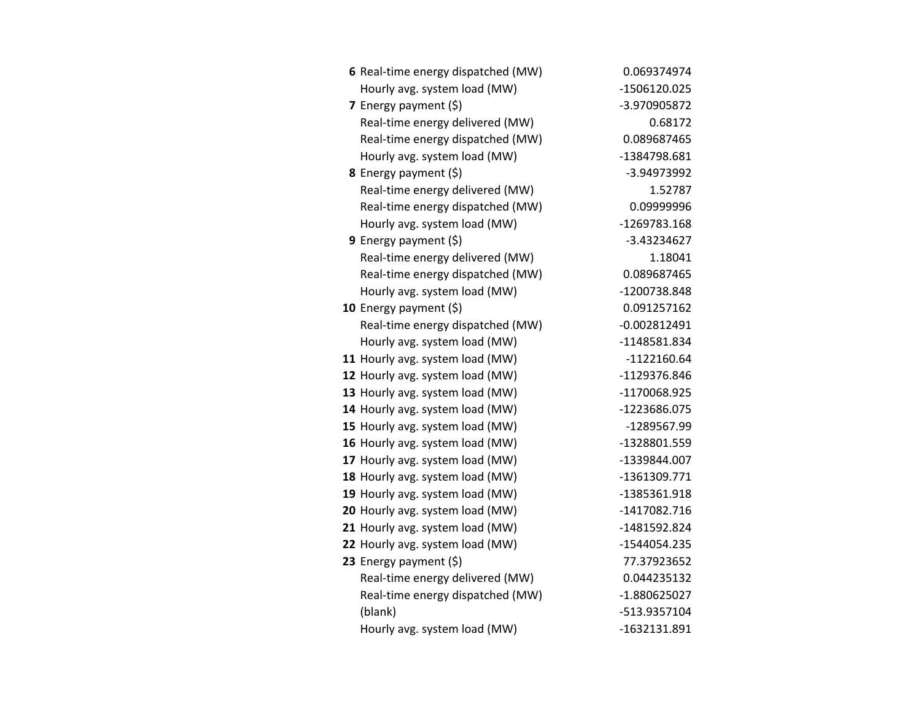| 6 Real-time energy dispatched (MW) | 0.069374974    |
|------------------------------------|----------------|
| Hourly avg. system load (MW)       | -1506120.025   |
| 7 Energy payment (\$)              | -3.970905872   |
| Real-time energy delivered (MW)    | 0.68172        |
| Real-time energy dispatched (MW)   | 0.089687465    |
| Hourly avg. system load (MW)       | -1384798.681   |
| 8 Energy payment (\$)              | -3.94973992    |
| Real-time energy delivered (MW)    | 1.52787        |
| Real-time energy dispatched (MW)   | 0.09999996     |
| Hourly avg. system load (MW)       | -1269783.168   |
| 9 Energy payment $(\xi)$           | $-3.43234627$  |
| Real-time energy delivered (MW)    | 1.18041        |
| Real-time energy dispatched (MW)   | 0.089687465    |
| Hourly avg. system load (MW)       | -1200738.848   |
| 10 Energy payment $(\xi)$          | 0.091257162    |
| Real-time energy dispatched (MW)   | $-0.002812491$ |
| Hourly avg. system load (MW)       | -1148581.834   |
| 11 Hourly avg. system load (MW)    | $-1122160.64$  |
| 12 Hourly avg. system load (MW)    | -1129376.846   |
| 13 Hourly avg. system load (MW)    | -1170068.925   |
| 14 Hourly avg. system load (MW)    | -1223686.075   |
| 15 Hourly avg. system load (MW)    | -1289567.99    |
| 16 Hourly avg. system load (MW)    | -1328801.559   |
| 17 Hourly avg. system load (MW)    | -1339844.007   |
| 18 Hourly avg. system load (MW)    | -1361309.771   |
| 19 Hourly avg. system load (MW)    | -1385361.918   |
| 20 Hourly avg. system load (MW)    | -1417082.716   |
| 21 Hourly avg. system load (MW)    | -1481592.824   |
| 22 Hourly avg. system load (MW)    | -1544054.235   |
| 23 Energy payment (\$)             | 77.37923652    |
| Real-time energy delivered (MW)    | 0.044235132    |
| Real-time energy dispatched (MW)   | -1.880625027   |
| (blank)                            | -513.9357104   |
| Hourly avg. system load (MW)       | -1632131.891   |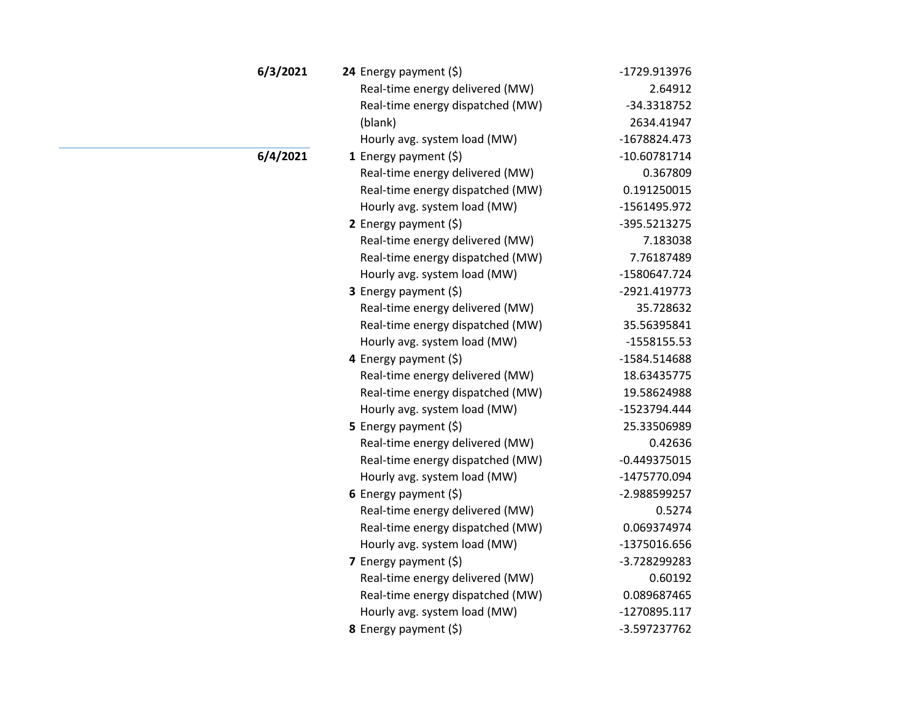| 6/3/2021 | 24 Energy payment (\$)           | -1729.913976   |
|----------|----------------------------------|----------------|
|          | Real-time energy delivered (MW)  | 2.64912        |
|          | Real-time energy dispatched (MW) | -34.3318752    |
|          | (blank)                          | 2634.41947     |
|          | Hourly avg. system load (MW)     | -1678824.473   |
| 6/4/2021 | 1 Energy payment $(\xi)$         | $-10.60781714$ |
|          | Real-time energy delivered (MW)  | 0.367809       |
|          | Real-time energy dispatched (MW) | 0.191250015    |
|          | Hourly avg. system load (MW)     | -1561495.972   |
|          | 2 Energy payment $(\xi)$         | -395.5213275   |
|          | Real-time energy delivered (MW)  | 7.183038       |
|          | Real-time energy dispatched (MW) | 7.76187489     |
|          | Hourly avg. system load (MW)     | -1580647.724   |
|          | 3 Energy payment (\$)            | -2921.419773   |
|          | Real-time energy delivered (MW)  | 35.728632      |
|          | Real-time energy dispatched (MW) | 35.56395841    |
|          | Hourly avg. system load (MW)     | $-1558155.53$  |
|          | 4 Energy payment (\$)            | -1584.514688   |
|          | Real-time energy delivered (MW)  | 18.63435775    |
|          | Real-time energy dispatched (MW) | 19.58624988    |
|          | Hourly avg. system load (MW)     | -1523794.444   |
|          | 5 Energy payment $(5)$           | 25.33506989    |
|          | Real-time energy delivered (MW)  | 0.42636        |
|          | Real-time energy dispatched (MW) | $-0.449375015$ |
|          | Hourly avg. system load (MW)     | -1475770.094   |
|          | 6 Energy payment $(\xi)$         | -2.988599257   |
|          | Real-time energy delivered (MW)  | 0.5274         |
|          | Real-time energy dispatched (MW) | 0.069374974    |
|          | Hourly avg. system load (MW)     | -1375016.656   |
|          | 7 Energy payment $(\xi)$         | -3.728299283   |
|          | Real-time energy delivered (MW)  | 0.60192        |
|          | Real-time energy dispatched (MW) | 0.089687465    |
|          | Hourly avg. system load (MW)     | -1270895.117   |
|          | 8 Energy payment (\$)            | -3.597237762   |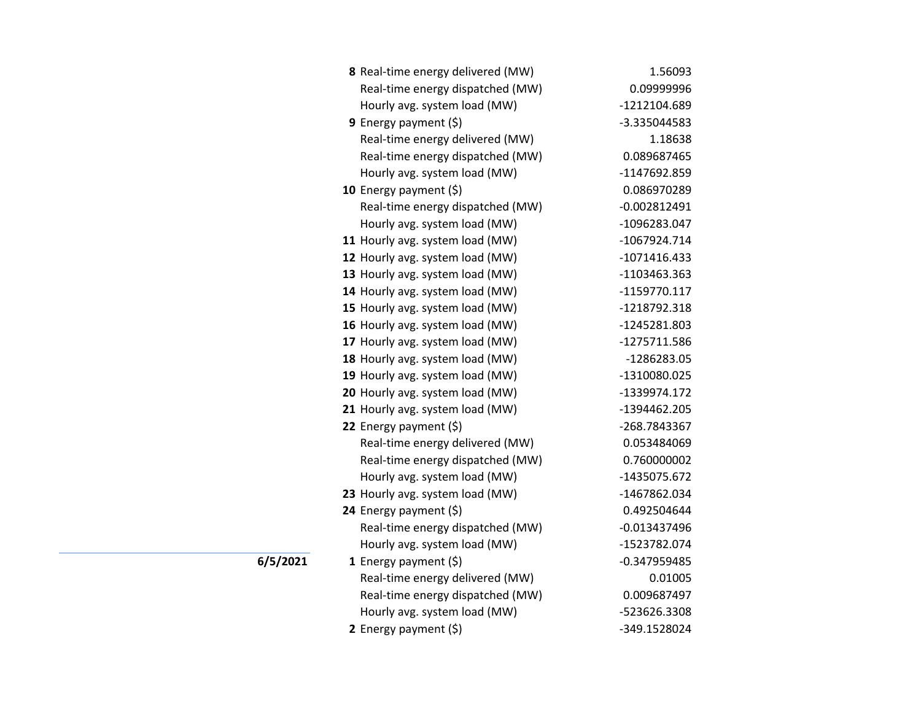| 8 Real-time energy delivered (MW) | 1.56093        |
|-----------------------------------|----------------|
| Real-time energy dispatched (MW)  | 0.09999996     |
| Hourly avg. system load (MW)      | -1212104.689   |
| 9 Energy payment $(5)$            | -3.335044583   |
| Real-time energy delivered (MW)   | 1.18638        |
| Real-time energy dispatched (MW)  | 0.089687465    |
| Hourly avg. system load (MW)      | -1147692.859   |
| 10 Energy payment $(\xi)$         | 0.086970289    |
| Real-time energy dispatched (MW)  | $-0.002812491$ |
| Hourly avg. system load (MW)      | -1096283.047   |
| 11 Hourly avg. system load (MW)   | -1067924.714   |
| 12 Hourly avg. system load (MW)   | $-1071416.433$ |
| 13 Hourly avg. system load (MW)   | -1103463.363   |
| 14 Hourly avg. system load (MW)   | -1159770.117   |
| 15 Hourly avg. system load (MW)   | -1218792.318   |
| 16 Hourly avg. system load (MW)   | -1245281.803   |
| 17 Hourly avg. system load (MW)   | -1275711.586   |
| 18 Hourly avg. system load (MW)   | -1286283.05    |
| 19 Hourly avg. system load (MW)   | -1310080.025   |
| 20 Hourly avg. system load (MW)   | -1339974.172   |
| 21 Hourly avg. system load (MW)   | -1394462.205   |
| 22 Energy payment (\$)            | -268.7843367   |
| Real-time energy delivered (MW)   | 0.053484069    |
| Real-time energy dispatched (MW)  | 0.760000002    |
| Hourly avg. system load (MW)      | -1435075.672   |
| 23 Hourly avg. system load (MW)   | -1467862.034   |
| 24 Energy payment (\$)            | 0.492504644    |
| Real-time energy dispatched (MW)  | $-0.013437496$ |
| Hourly avg. system load (MW)      | -1523782.074   |
| 1 Energy payment (\$)             | $-0.347959485$ |
| Real-time energy delivered (MW)   | 0.01005        |
| Real-time energy dispatched (MW)  | 0.009687497    |
| Hourly avg. system load (MW)      | -523626.3308   |
| 2 Energy payment (\$)             | -349.1528024   |

**6/5/2021**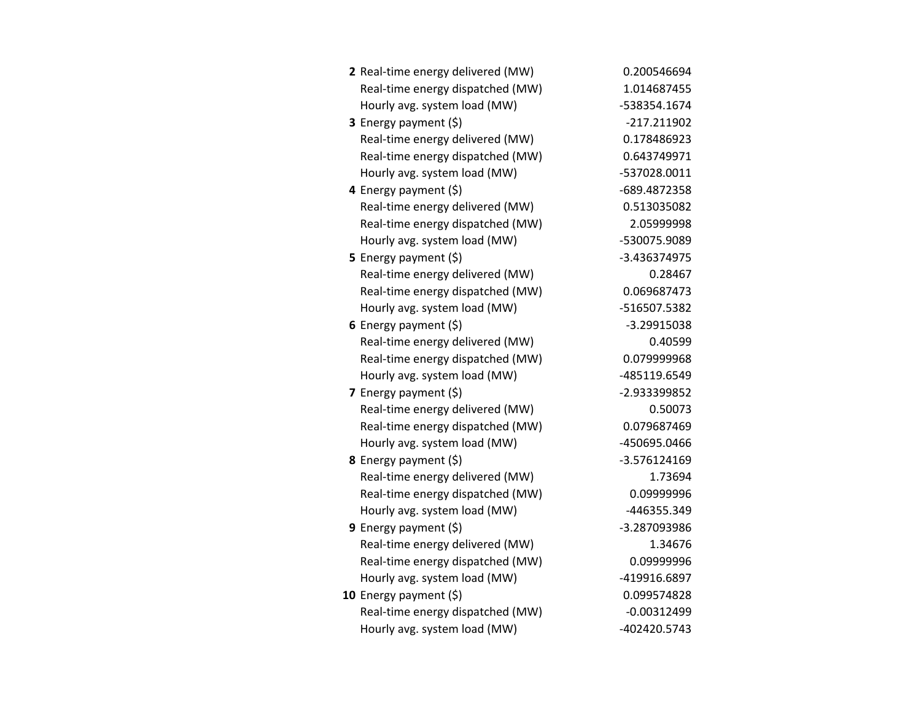| 2 Real-time energy delivered (MW) | 0.200546694    |
|-----------------------------------|----------------|
| Real-time energy dispatched (MW)  | 1.014687455    |
| Hourly avg. system load (MW)      | -538354.1674   |
| 3 Energy payment (\$)             | $-217.211902$  |
| Real-time energy delivered (MW)   | 0.178486923    |
| Real-time energy dispatched (MW)  | 0.643749971    |
| Hourly avg. system load (MW)      | -537028.0011   |
| 4 Energy payment (\$)             | -689.4872358   |
| Real-time energy delivered (MW)   | 0.513035082    |
| Real-time energy dispatched (MW)  | 2.05999998     |
| Hourly avg. system load (MW)      | -530075.9089   |
| 5 Energy payment (\$)             | -3.436374975   |
| Real-time energy delivered (MW)   | 0.28467        |
| Real-time energy dispatched (MW)  | 0.069687473    |
| Hourly avg. system load (MW)      | -516507.5382   |
| 6 Energy payment $(5)$            | -3.29915038    |
| Real-time energy delivered (MW)   | 0.40599        |
| Real-time energy dispatched (MW)  | 0.079999968    |
| Hourly avg. system load (MW)      | -485119.6549   |
| 7 Energy payment $(5)$            | -2.933399852   |
| Real-time energy delivered (MW)   | 0.50073        |
| Real-time energy dispatched (MW)  | 0.079687469    |
| Hourly avg. system load (MW)      | -450695.0466   |
| 8 Energy payment (\$)             | $-3.576124169$ |
| Real-time energy delivered (MW)   | 1.73694        |
| Real-time energy dispatched (MW)  | 0.09999996     |
| Hourly avg. system load (MW)      | -446355.349    |
| <b>9</b> Energy payment $(\xi)$   | -3.287093986   |
| Real-time energy delivered (MW)   | 1.34676        |
| Real-time energy dispatched (MW)  | 0.09999996     |
| Hourly avg. system load (MW)      | -419916.6897   |
| 10 Energy payment $(\xi)$         | 0.099574828    |
| Real-time energy dispatched (MW)  | $-0.00312499$  |
| Hourly avg. system load (MW)      | -402420.5743   |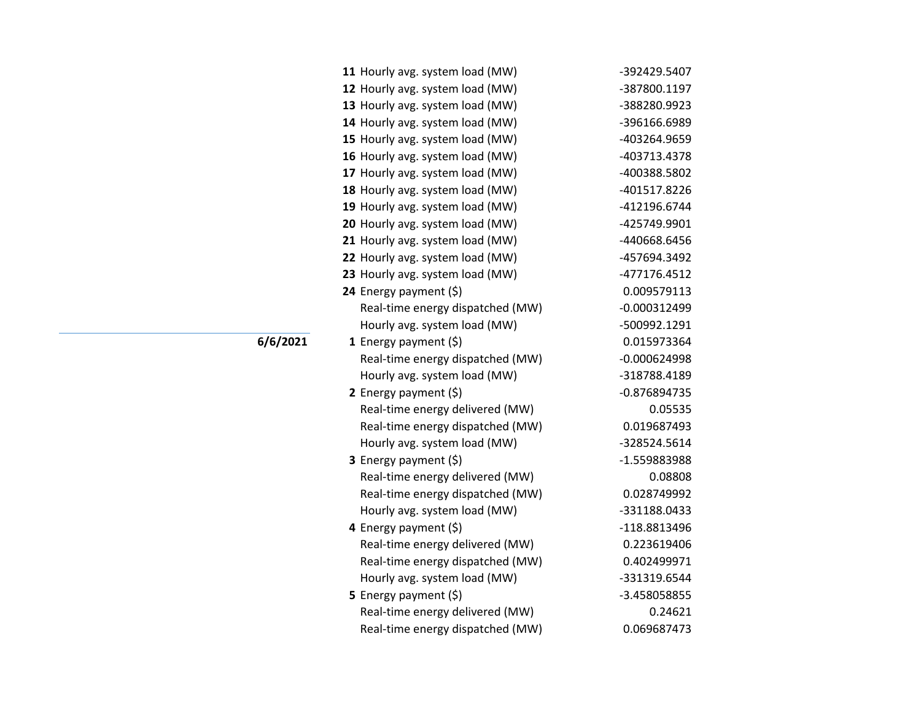| 11 Hourly avg. system load (MW)  | -392429.5407   |
|----------------------------------|----------------|
| 12 Hourly avg. system load (MW)  | -387800.1197   |
| 13 Hourly avg. system load (MW)  | -388280.9923   |
| 14 Hourly avg. system load (MW)  | -396166.6989   |
| 15 Hourly avg. system load (MW)  | -403264.9659   |
| 16 Hourly avg. system load (MW)  | -403713.4378   |
| 17 Hourly avg. system load (MW)  | -400388.5802   |
| 18 Hourly avg. system load (MW)  | -401517.8226   |
| 19 Hourly avg. system load (MW)  | -412196.6744   |
| 20 Hourly avg. system load (MW)  | -425749.9901   |
| 21 Hourly avg. system load (MW)  | -440668.6456   |
| 22 Hourly avg. system load (MW)  | -457694.3492   |
| 23 Hourly avg. system load (MW)  | -477176.4512   |
| 24 Energy payment (\$)           | 0.009579113    |
| Real-time energy dispatched (MW) | $-0.000312499$ |
| Hourly avg. system load (MW)     | -500992.1291   |
| 1 Energy payment $(\xi)$         | 0.015973364    |
| Real-time energy dispatched (MW) | $-0.000624998$ |
| Hourly avg. system load (MW)     | -318788.4189   |
| 2 Energy payment $(5)$           | $-0.876894735$ |
| Real-time energy delivered (MW)  | 0.05535        |
| Real-time energy dispatched (MW) | 0.019687493    |
| Hourly avg. system load (MW)     | -328524.5614   |
| 3 Energy payment (\$)            | -1.559883988   |
| Real-time energy delivered (MW)  | 0.08808        |
| Real-time energy dispatched (MW) | 0.028749992    |
| Hourly avg. system load (MW)     | -331188.0433   |
| 4 Energy payment (\$)            | -118.8813496   |
| Real-time energy delivered (MW)  | 0.223619406    |
| Real-time energy dispatched (MW) | 0.402499971    |
| Hourly avg. system load (MW)     | -331319.6544   |
| 5 Energy payment $(\xi)$         | -3.458058855   |
| Real-time energy delivered (MW)  | 0.24621        |
| Real-time energy dispatched (MW) | 0.069687473    |

## **6/6/2021**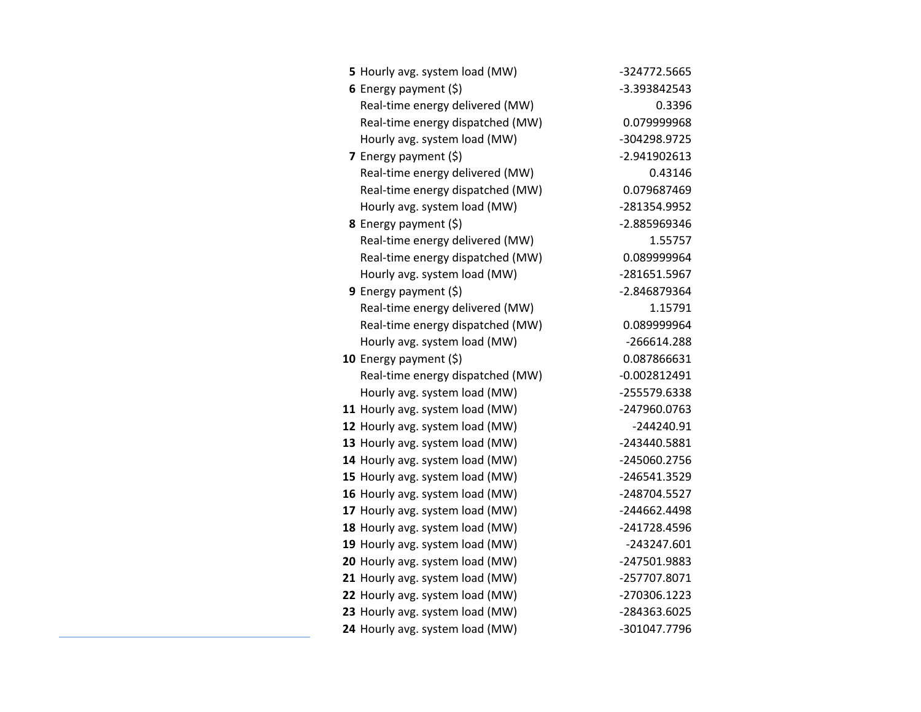| 5 Hourly avg. system load (MW)   | -324772.5665   |
|----------------------------------|----------------|
| 6 Energy payment $(5)$           | -3.393842543   |
| Real-time energy delivered (MW)  | 0.3396         |
| Real-time energy dispatched (MW) | 0.079999968    |
| Hourly avg. system load (MW)     | -304298.9725   |
| 7 Energy payment $(\xi)$         | -2.941902613   |
| Real-time energy delivered (MW)  | 0.43146        |
| Real-time energy dispatched (MW) | 0.079687469    |
| Hourly avg. system load (MW)     | -281354.9952   |
| <b>8</b> Energy payment $(5)$    | -2.885969346   |
| Real-time energy delivered (MW)  | 1.55757        |
| Real-time energy dispatched (MW) | 0.089999964    |
| Hourly avg. system load (MW)     | -281651.5967   |
| <b>9</b> Energy payment $(\xi)$  | -2.846879364   |
| Real-time energy delivered (MW)  | 1.15791        |
| Real-time energy dispatched (MW) | 0.089999964    |
| Hourly avg. system load (MW)     | -266614.288    |
| 10 Energy payment $(\xi)$        | 0.087866631    |
| Real-time energy dispatched (MW) | $-0.002812491$ |
| Hourly avg. system load (MW)     | -255579.6338   |
| 11 Hourly avg. system load (MW)  | -247960.0763   |
| 12 Hourly avg. system load (MW)  | $-244240.91$   |
| 13 Hourly avg. system load (MW)  | -243440.5881   |
| 14 Hourly avg. system load (MW)  | -245060.2756   |
| 15 Hourly avg. system load (MW)  | -246541.3529   |
| 16 Hourly avg. system load (MW)  | -248704.5527   |
| 17 Hourly avg. system load (MW)  | -244662.4498   |
| 18 Hourly avg. system load (MW)  | -241728.4596   |
| 19 Hourly avg. system load (MW)  | -243247.601    |
| 20 Hourly avg. system load (MW)  | -247501.9883   |
| 21 Hourly avg. system load (MW)  | -257707.8071   |
| 22 Hourly avg. system load (MW)  | -270306.1223   |
| 23 Hourly avg. system load (MW)  | -284363.6025   |
| 24 Hourly avg. system load (MW)  | -301047.7796   |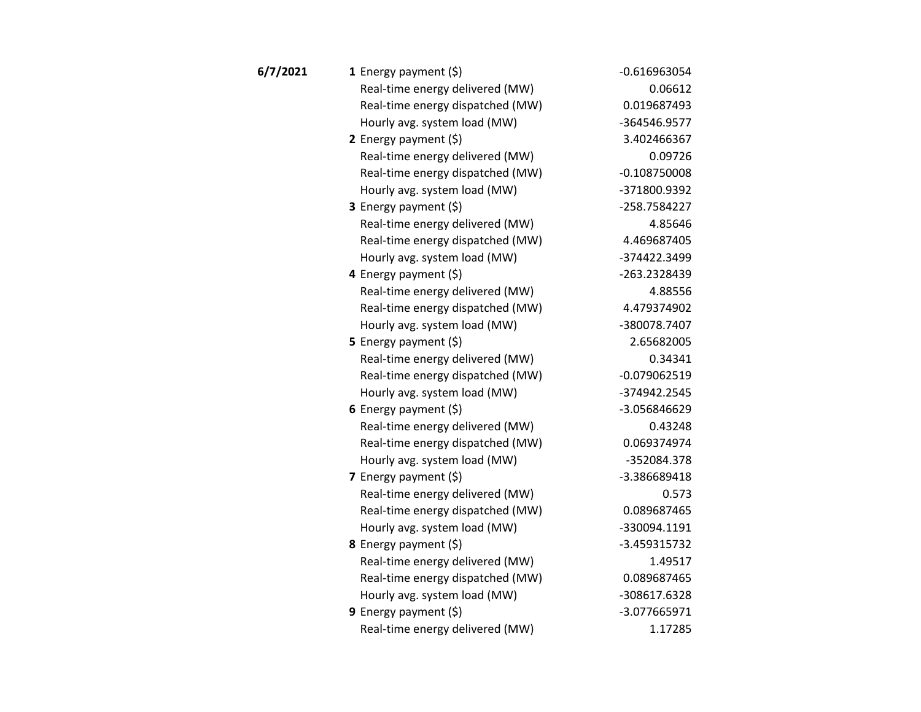| 6/7/2021 | 1 Energy payment $(\xi)$         | $-0.616963054$ |
|----------|----------------------------------|----------------|
|          | Real-time energy delivered (MW)  | 0.06612        |
|          | Real-time energy dispatched (MW) | 0.019687493    |
|          | Hourly avg. system load (MW)     | -364546.9577   |
|          | 2 Energy payment $(\xi)$         | 3.402466367    |
|          | Real-time energy delivered (MW)  | 0.09726        |
|          | Real-time energy dispatched (MW) | $-0.108750008$ |
|          | Hourly avg. system load (MW)     | -371800.9392   |
|          | 3 Energy payment (\$)            | -258.7584227   |
|          | Real-time energy delivered (MW)  | 4.85646        |
|          | Real-time energy dispatched (MW) | 4.469687405    |
|          | Hourly avg. system load (MW)     | -374422.3499   |
|          | 4 Energy payment (\$)            | -263.2328439   |
|          | Real-time energy delivered (MW)  | 4.88556        |
|          | Real-time energy dispatched (MW) | 4.479374902    |
|          | Hourly avg. system load (MW)     | -380078.7407   |
|          | 5 Energy payment $(5)$           | 2.65682005     |
|          | Real-time energy delivered (MW)  | 0.34341        |
|          | Real-time energy dispatched (MW) | $-0.079062519$ |
|          | Hourly avg. system load (MW)     | -374942.2545   |
|          | 6 Energy payment (\$)            | -3.056846629   |
|          | Real-time energy delivered (MW)  | 0.43248        |
|          | Real-time energy dispatched (MW) | 0.069374974    |
|          | Hourly avg. system load (MW)     | -352084.378    |
|          | 7 Energy payment $(5)$           | -3.386689418   |
|          | Real-time energy delivered (MW)  | 0.573          |
|          | Real-time energy dispatched (MW) | 0.089687465    |
|          | Hourly avg. system load (MW)     | -330094.1191   |
|          | <b>8</b> Energy payment $(\xi)$  | -3.459315732   |
|          | Real-time energy delivered (MW)  | 1.49517        |
|          | Real-time energy dispatched (MW) | 0.089687465    |
|          | Hourly avg. system load (MW)     | -308617.6328   |
|          | 9 Energy payment (\$)            | -3.077665971   |
|          | Real-time energy delivered (MW)  | 1.17285        |
|          |                                  |                |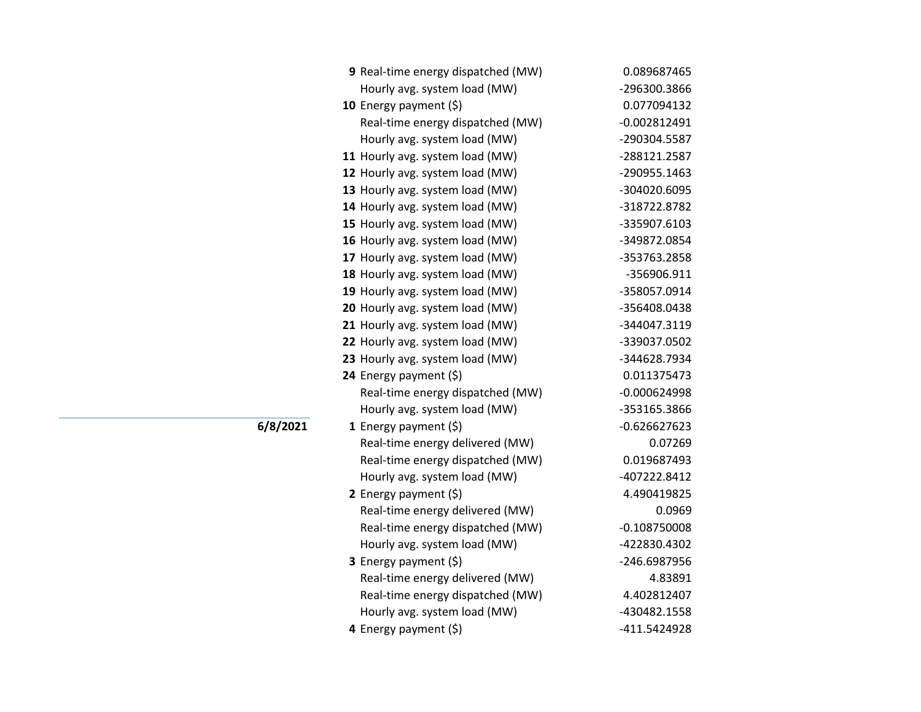| 9 Real-time energy dispatched (MW) | 0.089687465    |
|------------------------------------|----------------|
| Hourly avg. system load (MW)       | -296300.3866   |
| 10 Energy payment $(5)$            | 0.077094132    |
| Real-time energy dispatched (MW)   | $-0.002812491$ |
| Hourly avg. system load (MW)       | -290304.5587   |
| 11 Hourly avg. system load (MW)    | -288121.2587   |
| 12 Hourly avg. system load (MW)    | -290955.1463   |
| 13 Hourly avg. system load (MW)    | -304020.6095   |
| 14 Hourly avg. system load (MW)    | -318722.8782   |
| 15 Hourly avg. system load (MW)    | -335907.6103   |
| 16 Hourly avg. system load (MW)    | -349872.0854   |
| 17 Hourly avg. system load (MW)    | -353763.2858   |
| 18 Hourly avg. system load (MW)    | -356906.911    |
| 19 Hourly avg. system load (MW)    | -358057.0914   |
| 20 Hourly avg. system load (MW)    | -356408.0438   |
| 21 Hourly avg. system load (MW)    | -344047.3119   |
| 22 Hourly avg. system load (MW)    | -339037.0502   |
| 23 Hourly avg. system load (MW)    | -344628.7934   |
| 24 Energy payment (\$)             | 0.011375473    |
| Real-time energy dispatched (MW)   | $-0.000624998$ |
| Hourly avg. system load (MW)       | -353165.3866   |
| 1 Energy payment $(\$)$            | $-0.626627623$ |
| Real-time energy delivered (MW)    | 0.07269        |
| Real-time energy dispatched (MW)   | 0.019687493    |
| Hourly avg. system load (MW)       | -407222.8412   |
| 2 Energy payment $(5)$             | 4.490419825    |
| Real-time energy delivered (MW)    | 0.0969         |
| Real-time energy dispatched (MW)   | $-0.108750008$ |
| Hourly avg. system load (MW)       | -422830.4302   |
| 3 Energy payment (\$)              | -246.6987956   |
| Real-time energy delivered (MW)    | 4.83891        |
| Real-time energy dispatched (MW)   | 4.402812407    |
| Hourly avg. system load (MW)       | -430482.1558   |
| 4 Energy payment (\$)              | -411.5424928   |
|                                    |                |

**6/8/2021**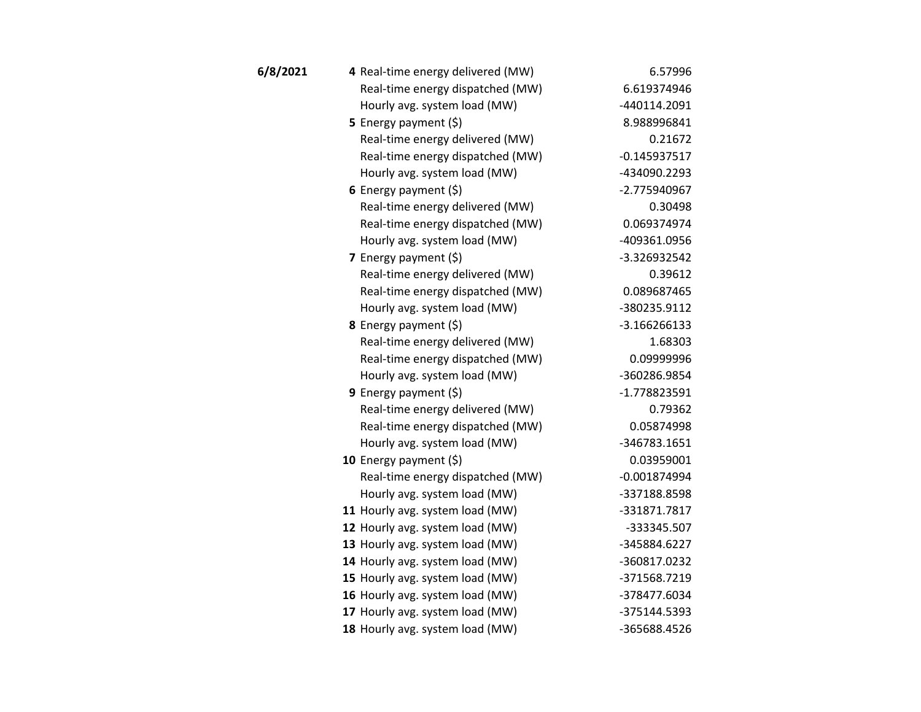| 6/8/2021 | 4 Real-time energy delivered (MW) | 6.57996        |
|----------|-----------------------------------|----------------|
|          | Real-time energy dispatched (MW)  | 6.619374946    |
|          | Hourly avg. system load (MW)      | -440114.2091   |
|          | 5 Energy payment $(\xi)$          | 8.988996841    |
|          | Real-time energy delivered (MW)   | 0.21672        |
|          | Real-time energy dispatched (MW)  | $-0.145937517$ |
|          | Hourly avg. system load (MW)      | -434090.2293   |
|          | 6 Energy payment $(\xi)$          | -2.775940967   |
|          | Real-time energy delivered (MW)   | 0.30498        |
|          | Real-time energy dispatched (MW)  | 0.069374974    |
|          | Hourly avg. system load (MW)      | -409361.0956   |
|          | 7 Energy payment (\$)             | -3.326932542   |
|          | Real-time energy delivered (MW)   | 0.39612        |
|          | Real-time energy dispatched (MW)  | 0.089687465    |
|          | Hourly avg. system load (MW)      | -380235.9112   |
|          | 8 Energy payment (\$)             | $-3.166266133$ |
|          | Real-time energy delivered (MW)   | 1.68303        |
|          | Real-time energy dispatched (MW)  | 0.09999996     |
|          | Hourly avg. system load (MW)      | -360286.9854   |
|          | 9 Energy payment $(\xi)$          | $-1.778823591$ |
|          | Real-time energy delivered (MW)   | 0.79362        |
|          | Real-time energy dispatched (MW)  | 0.05874998     |
|          | Hourly avg. system load (MW)      | -346783.1651   |
|          | 10 Energy payment $(\xi)$         | 0.03959001     |
|          | Real-time energy dispatched (MW)  | $-0.001874994$ |
|          | Hourly avg. system load (MW)      | -337188.8598   |
|          | 11 Hourly avg. system load (MW)   | -331871.7817   |
|          | 12 Hourly avg. system load (MW)   | -333345.507    |
|          | 13 Hourly avg. system load (MW)   | -345884.6227   |
|          | 14 Hourly avg. system load (MW)   | -360817.0232   |
|          | 15 Hourly avg. system load (MW)   | -371568.7219   |
|          | 16 Hourly avg. system load (MW)   | -378477.6034   |
|          | 17 Hourly avg. system load (MW)   | -375144.5393   |
|          | 18 Hourly avg. system load (MW)   | -365688.4526   |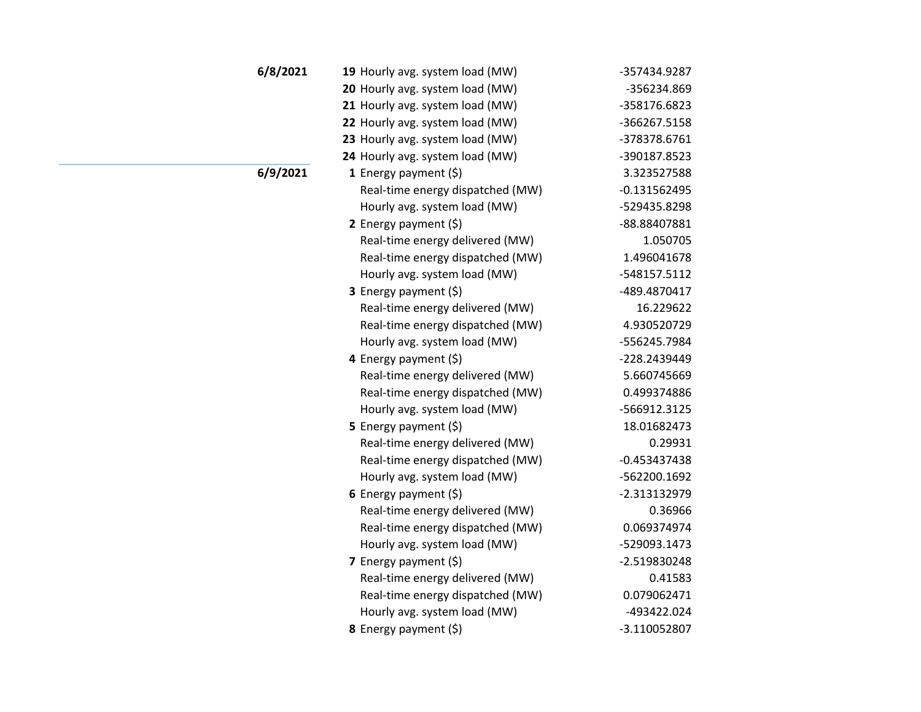| 6/8/2021 | 19 Hourly avg. system load (MW)  | -357434.9287   |
|----------|----------------------------------|----------------|
|          | 20 Hourly avg. system load (MW)  | -356234.869    |
|          | 21 Hourly avg. system load (MW)  | -358176.6823   |
|          | 22 Hourly avg. system load (MW)  | -366267.5158   |
|          | 23 Hourly avg. system load (MW)  | -378378.6761   |
|          | 24 Hourly avg. system load (MW)  | -390187.8523   |
| 6/9/2021 | 1 Energy payment $(\xi)$         | 3.323527588    |
|          | Real-time energy dispatched (MW) | $-0.131562495$ |
|          | Hourly avg. system load (MW)     | -529435.8298   |
|          | 2 Energy payment $(\xi)$         | -88.88407881   |
|          | Real-time energy delivered (MW)  | 1.050705       |
|          | Real-time energy dispatched (MW) | 1.496041678    |
|          | Hourly avg. system load (MW)     | -548157.5112   |
|          | <b>3</b> Energy payment $(\xi)$  | -489.4870417   |
|          | Real-time energy delivered (MW)  | 16.229622      |
|          | Real-time energy dispatched (MW) | 4.930520729    |
|          | Hourly avg. system load (MW)     | -556245.7984   |
|          | 4 Energy payment (\$)            | -228.2439449   |
|          | Real-time energy delivered (MW)  | 5.660745669    |
|          | Real-time energy dispatched (MW) | 0.499374886    |
|          | Hourly avg. system load (MW)     | -566912.3125   |
|          | 5 Energy payment (\$)            | 18.01682473    |
|          | Real-time energy delivered (MW)  | 0.29931        |
|          | Real-time energy dispatched (MW) | $-0.453437438$ |
|          | Hourly avg. system load (MW)     | -562200.1692   |
|          | 6 Energy payment $(\xi)$         | -2.313132979   |
|          | Real-time energy delivered (MW)  | 0.36966        |
|          | Real-time energy dispatched (MW) | 0.069374974    |
|          | Hourly avg. system load (MW)     | -529093.1473   |
|          | <b>7</b> Energy payment $(\xi)$  | -2.519830248   |
|          | Real-time energy delivered (MW)  | 0.41583        |
|          | Real-time energy dispatched (MW) | 0.079062471    |
|          | Hourly avg. system load (MW)     | -493422.024    |
|          | 8 Energy payment (\$)            | -3.110052807   |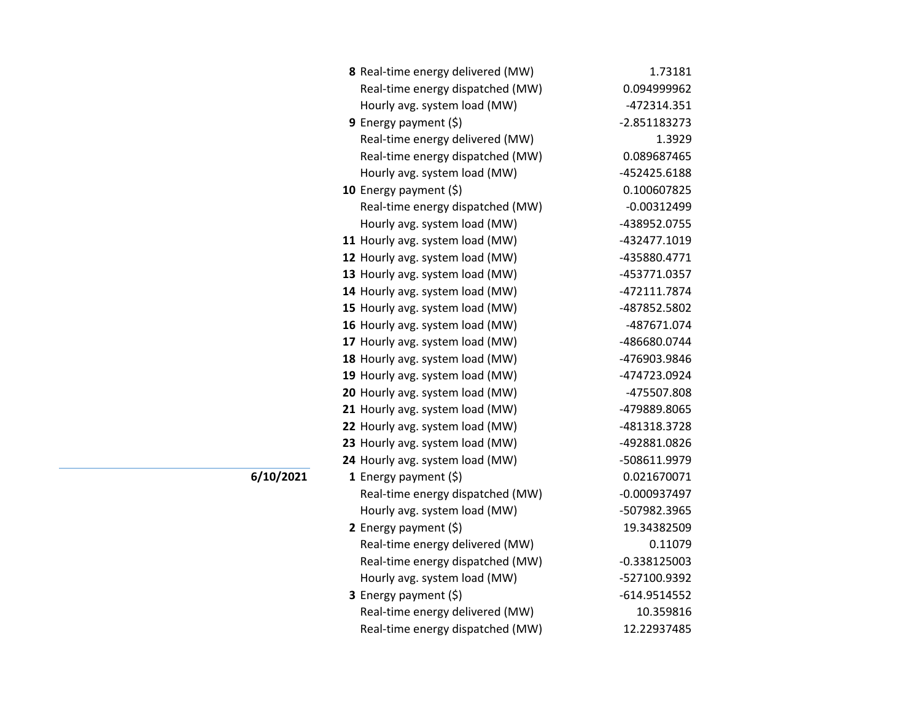| 8 Real-time energy delivered (MW) | 1.73181        |
|-----------------------------------|----------------|
| Real-time energy dispatched (MW)  | 0.094999962    |
| Hourly avg. system load (MW)      | -472314.351    |
| <b>9</b> Energy payment $(\xi)$   | $-2.851183273$ |
| Real-time energy delivered (MW)   | 1.3929         |
| Real-time energy dispatched (MW)  | 0.089687465    |
| Hourly avg. system load (MW)      | -452425.6188   |
| 10 Energy payment $(\xi)$         | 0.100607825    |
| Real-time energy dispatched (MW)  | $-0.00312499$  |
| Hourly avg. system load (MW)      | -438952.0755   |
| 11 Hourly avg. system load (MW)   | -432477.1019   |
| 12 Hourly avg. system load (MW)   | -435880.4771   |
| 13 Hourly avg. system load (MW)   | -453771.0357   |
| 14 Hourly avg. system load (MW)   | -472111.7874   |
| 15 Hourly avg. system load (MW)   | -487852.5802   |
| 16 Hourly avg. system load (MW)   | -487671.074    |
| 17 Hourly avg. system load (MW)   | -486680.0744   |
| 18 Hourly avg. system load (MW)   | -476903.9846   |
| 19 Hourly avg. system load (MW)   | -474723.0924   |
| 20 Hourly avg. system load (MW)   | -475507.808    |
| 21 Hourly avg. system load (MW)   | -479889.8065   |
| 22 Hourly avg. system load (MW)   | -481318.3728   |
| 23 Hourly avg. system load (MW)   | -492881.0826   |
| 24 Hourly avg. system load (MW)   | -508611.9979   |
| 1 Energy payment $(\xi)$          | 0.021670071    |
| Real-time energy dispatched (MW)  | $-0.000937497$ |
| Hourly avg. system load (MW)      | -507982.3965   |
| 2 Energy payment $(5)$            | 19.34382509    |
| Real-time energy delivered (MW)   | 0.11079        |
| Real-time energy dispatched (MW)  | $-0.338125003$ |
| Hourly avg. system load (MW)      | -527100.9392   |
| 3 Energy payment (\$)             | $-614.9514552$ |
| Real-time energy delivered (MW)   | 10.359816      |
| Real-time energy dispatched (MW)  | 12.22937485    |

**6/10/2021**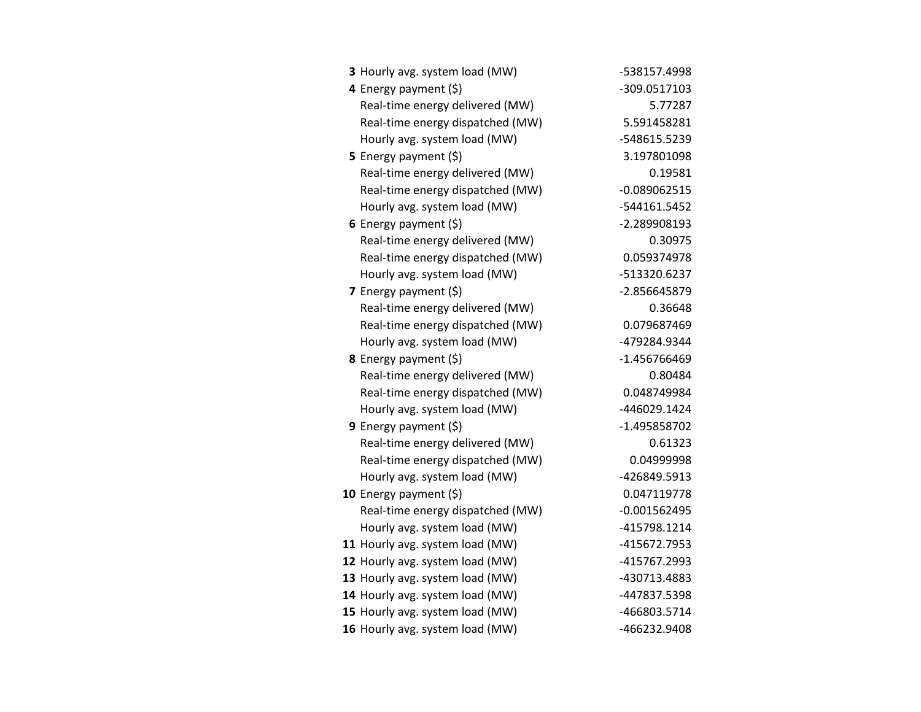| 3 Hourly avg. system load (MW)   | -538157.4998   |
|----------------------------------|----------------|
| 4 Energy payment (\$)            | -309.0517103   |
| Real-time energy delivered (MW)  | 5.77287        |
| Real-time energy dispatched (MW) | 5.591458281    |
| Hourly avg. system load (MW)     | -548615.5239   |
| 5 Energy payment $(\xi)$         | 3.197801098    |
| Real-time energy delivered (MW)  | 0.19581        |
| Real-time energy dispatched (MW) | $-0.089062515$ |
| Hourly avg. system load (MW)     | -544161.5452   |
| 6 Energy payment $(5)$           | -2.289908193   |
| Real-time energy delivered (MW)  | 0.30975        |
| Real-time energy dispatched (MW) | 0.059374978    |
| Hourly avg. system load (MW)     | -513320.6237   |
| 7 Energy payment $(5)$           | -2.856645879   |
| Real-time energy delivered (MW)  | 0.36648        |
| Real-time energy dispatched (MW) | 0.079687469    |
| Hourly avg. system load (MW)     | -479284.9344   |
| <b>8</b> Energy payment $(\xi)$  | -1.456766469   |
| Real-time energy delivered (MW)  | 0.80484        |
| Real-time energy dispatched (MW) | 0.048749984    |
| Hourly avg. system load (MW)     | -446029.1424   |
| <b>9</b> Energy payment $(\xi)$  | -1.495858702   |
| Real-time energy delivered (MW)  | 0.61323        |
| Real-time energy dispatched (MW) | 0.04999998     |
| Hourly avg. system load (MW)     | -426849.5913   |
| 10 Energy payment $(\xi)$        | 0.047119778    |
| Real-time energy dispatched (MW) | $-0.001562495$ |
| Hourly avg. system load (MW)     | -415798.1214   |
| 11 Hourly avg. system load (MW)  | -415672.7953   |
| 12 Hourly avg. system load (MW)  | -415767.2993   |
| 13 Hourly avg. system load (MW)  | -430713.4883   |
| 14 Hourly avg. system load (MW)  | -447837.5398   |
| 15 Hourly avg. system load (MW)  | -466803.5714   |
| 16 Hourly avg. system load (MW)  | -466232.9408   |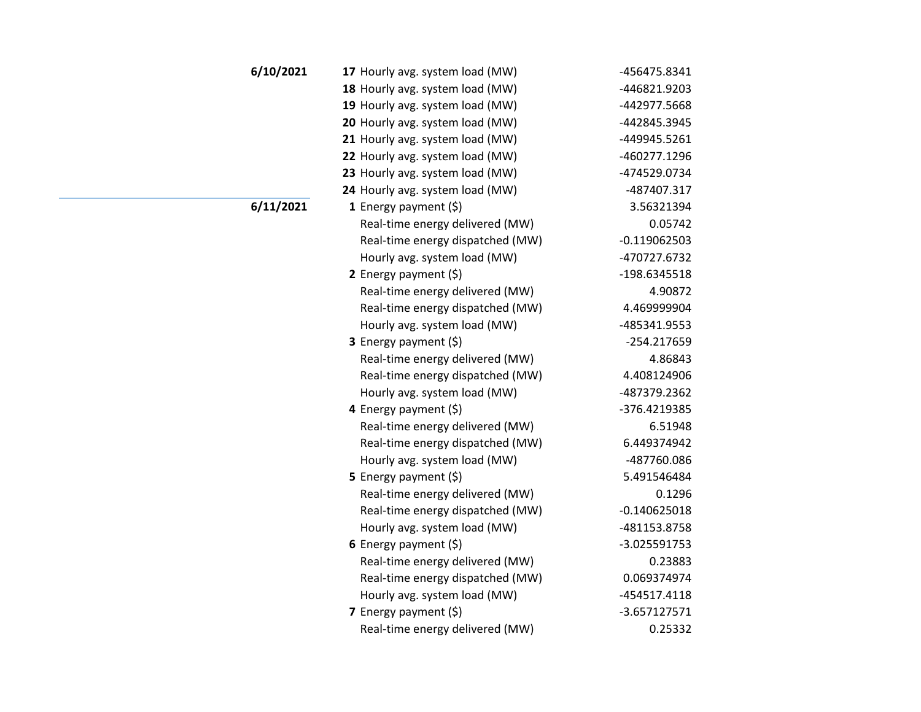| 6/10/2021 | 17 Hourly avg. system load (MW)  | -456475.8341   |
|-----------|----------------------------------|----------------|
|           | 18 Hourly avg. system load (MW)  | -446821.9203   |
|           | 19 Hourly avg. system load (MW)  | -442977.5668   |
|           | 20 Hourly avg. system load (MW)  | -442845.3945   |
|           | 21 Hourly avg. system load (MW)  | -449945.5261   |
|           | 22 Hourly avg. system load (MW)  | -460277.1296   |
|           | 23 Hourly avg. system load (MW)  | -474529.0734   |
|           | 24 Hourly avg. system load (MW)  | -487407.317    |
| 6/11/2021 | <b>1</b> Energy payment $(\xi)$  | 3.56321394     |
|           | Real-time energy delivered (MW)  | 0.05742        |
|           | Real-time energy dispatched (MW) | $-0.119062503$ |
|           | Hourly avg. system load (MW)     | -470727.6732   |
|           | 2 Energy payment $(5)$           | -198.6345518   |
|           | Real-time energy delivered (MW)  | 4.90872        |
|           | Real-time energy dispatched (MW) | 4.469999904    |
|           | Hourly avg. system load (MW)     | -485341.9553   |
|           | 3 Energy payment (\$)            | -254.217659    |
|           | Real-time energy delivered (MW)  | 4.86843        |
|           | Real-time energy dispatched (MW) | 4.408124906    |
|           | Hourly avg. system load (MW)     | -487379.2362   |
|           | 4 Energy payment (\$)            | -376.4219385   |
|           | Real-time energy delivered (MW)  | 6.51948        |
|           | Real-time energy dispatched (MW) | 6.449374942    |
|           | Hourly avg. system load (MW)     | -487760.086    |
|           | 5 Energy payment (\$)            | 5.491546484    |
|           | Real-time energy delivered (MW)  | 0.1296         |
|           | Real-time energy dispatched (MW) | $-0.140625018$ |
|           | Hourly avg. system load (MW)     | -481153.8758   |
|           | 6 Energy payment $(\xi)$         | -3.025591753   |
|           | Real-time energy delivered (MW)  | 0.23883        |
|           | Real-time energy dispatched (MW) | 0.069374974    |
|           | Hourly avg. system load (MW)     | -454517.4118   |
|           | 7 Energy payment $(\xi)$         | $-3.657127571$ |
|           | Real-time energy delivered (MW)  | 0.25332        |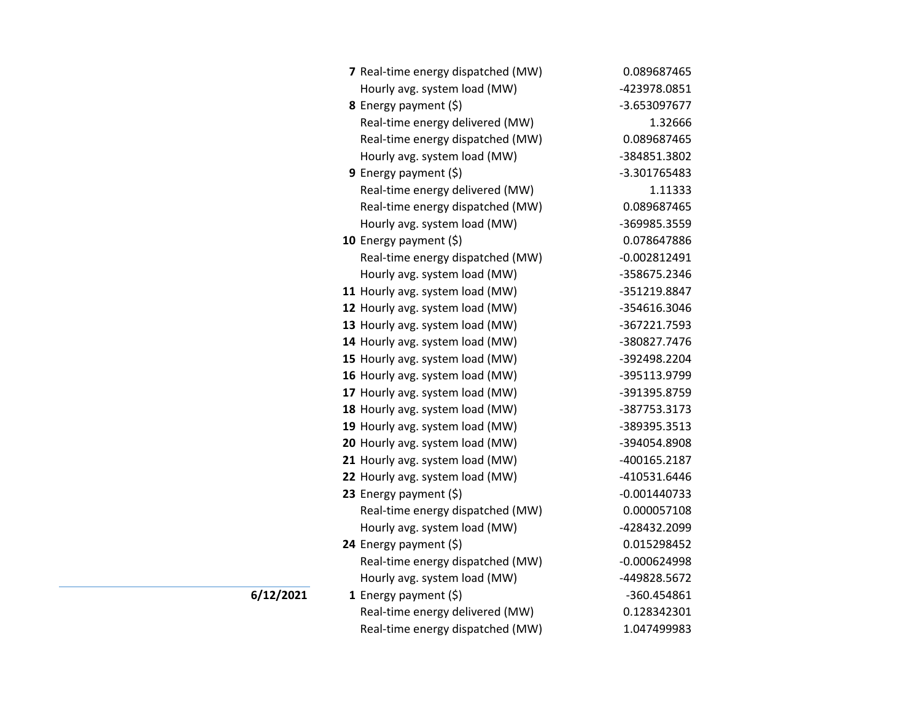| 7 Real-time energy dispatched (MW) | 0.089687465    |
|------------------------------------|----------------|
| Hourly avg. system load (MW)       | -423978.0851   |
| 8 Energy payment (\$)              | -3.653097677   |
| Real-time energy delivered (MW)    | 1.32666        |
| Real-time energy dispatched (MW)   | 0.089687465    |
| Hourly avg. system load (MW)       | -384851.3802   |
| 9 Energy payment $(\xi)$           | -3.301765483   |
| Real-time energy delivered (MW)    | 1.11333        |
| Real-time energy dispatched (MW)   | 0.089687465    |
| Hourly avg. system load (MW)       | -369985.3559   |
| 10 Energy payment $(\xi)$          | 0.078647886    |
| Real-time energy dispatched (MW)   | $-0.002812491$ |
| Hourly avg. system load (MW)       | -358675.2346   |
| 11 Hourly avg. system load (MW)    | -351219.8847   |
| 12 Hourly avg. system load (MW)    | -354616.3046   |
| 13 Hourly avg. system load (MW)    | -367221.7593   |
| 14 Hourly avg. system load (MW)    | -380827.7476   |
| 15 Hourly avg. system load (MW)    | -392498.2204   |
| 16 Hourly avg. system load (MW)    | -395113.9799   |
| 17 Hourly avg. system load (MW)    | -391395.8759   |
| 18 Hourly avg. system load (MW)    | -387753.3173   |
| 19 Hourly avg. system load (MW)    | -389395.3513   |
| 20 Hourly avg. system load (MW)    | -394054.8908   |
| 21 Hourly avg. system load (MW)    | -400165.2187   |
| 22 Hourly avg. system load (MW)    | -410531.6446   |
| 23 Energy payment (\$)             | $-0.001440733$ |
| Real-time energy dispatched (MW)   | 0.000057108    |
| Hourly avg. system load (MW)       | -428432.2099   |
| 24 Energy payment $(\xi)$          | 0.015298452    |
| Real-time energy dispatched (MW)   | $-0.000624998$ |
| Hourly avg. system load (MW)       | -449828.5672   |
| 1 Energy payment $(\xi)$           | -360.454861    |
| Real-time energy delivered (MW)    | 0.128342301    |
| Real-time energy dispatched (MW)   | 1.047499983    |

**6/12/2021**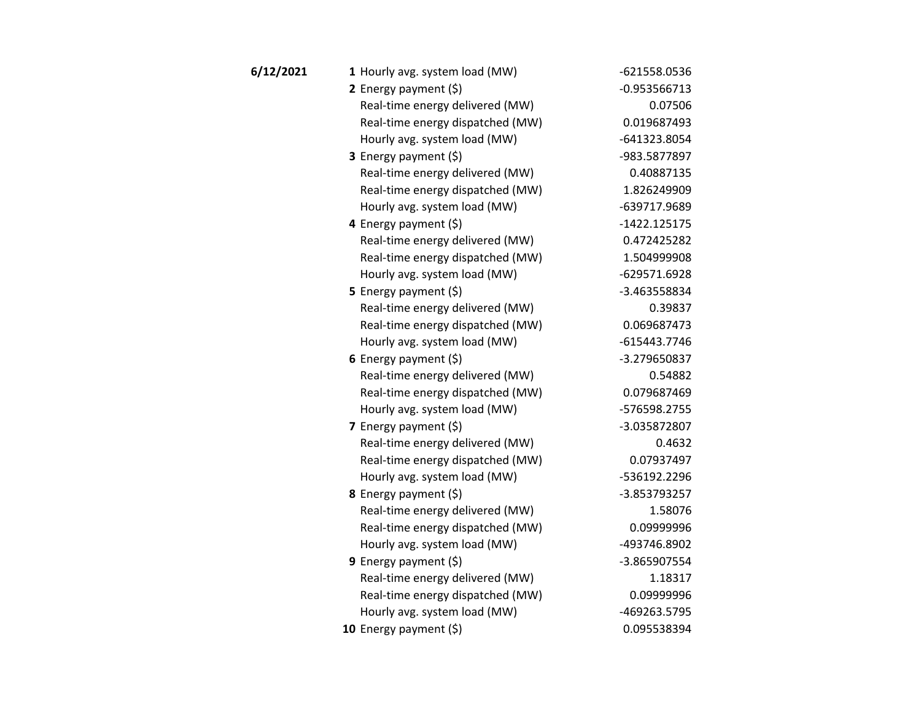| 6/12/2021 | 1 Hourly avg. system load (MW)   | -621558.0536   |
|-----------|----------------------------------|----------------|
|           | 2 Energy payment (\$)            | $-0.953566713$ |
|           | Real-time energy delivered (MW)  | 0.07506        |
|           | Real-time energy dispatched (MW) | 0.019687493    |
|           | Hourly avg. system load (MW)     | -641323.8054   |
|           | <b>3</b> Energy payment $(\xi)$  | -983.5877897   |
|           | Real-time energy delivered (MW)  | 0.40887135     |
|           | Real-time energy dispatched (MW) | 1.826249909    |
|           | Hourly avg. system load (MW)     | -639717.9689   |
|           | 4 Energy payment (\$)            | $-1422.125175$ |
|           | Real-time energy delivered (MW)  | 0.472425282    |
|           | Real-time energy dispatched (MW) | 1.504999908    |
|           | Hourly avg. system load (MW)     | -629571.6928   |
|           | 5 Energy payment $(5)$           | -3.463558834   |
|           | Real-time energy delivered (MW)  | 0.39837        |
|           | Real-time energy dispatched (MW) | 0.069687473    |
|           | Hourly avg. system load (MW)     | -615443.7746   |
|           | 6 Energy payment $(5)$           | -3.279650837   |
|           | Real-time energy delivered (MW)  | 0.54882        |
|           | Real-time energy dispatched (MW) | 0.079687469    |
|           | Hourly avg. system load (MW)     | -576598.2755   |
|           | 7 Energy payment (\$)            | -3.035872807   |
|           | Real-time energy delivered (MW)  | 0.4632         |
|           | Real-time energy dispatched (MW) | 0.07937497     |
|           | Hourly avg. system load (MW)     | -536192.2296   |
|           | 8 Energy payment (\$)            | -3.853793257   |
|           | Real-time energy delivered (MW)  | 1.58076        |
|           | Real-time energy dispatched (MW) | 0.09999996     |
|           | Hourly avg. system load (MW)     | -493746.8902   |
|           | 9 Energy payment $(\xi)$         | -3.865907554   |
|           | Real-time energy delivered (MW)  | 1.18317        |
|           | Real-time energy dispatched (MW) | 0.09999996     |
|           | Hourly avg. system load (MW)     | -469263.5795   |
|           | 10 Energy payment (\$)           | 0.095538394    |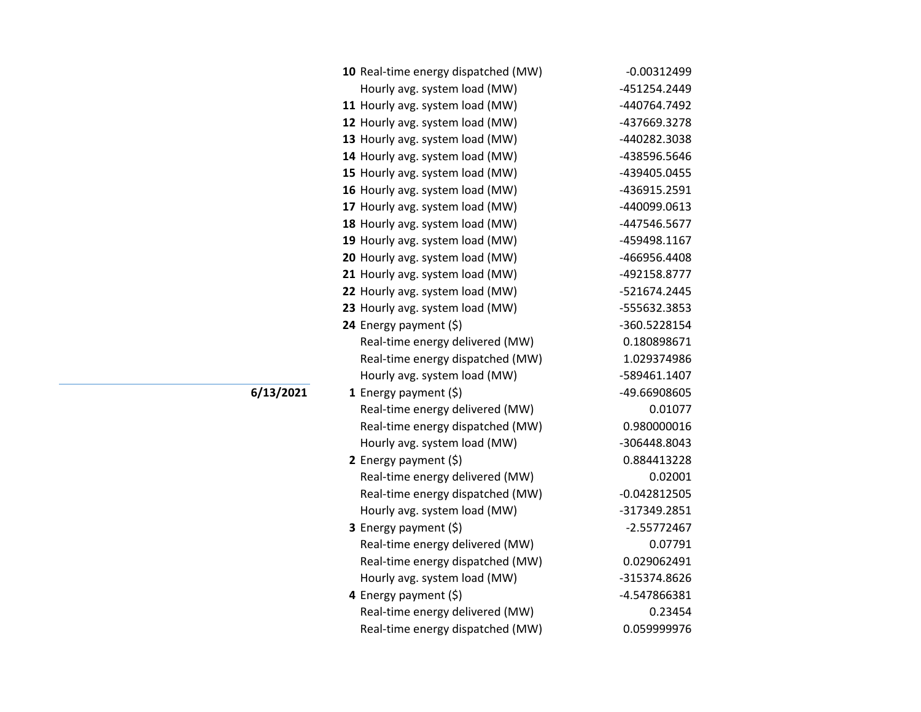| 10 Real-time energy dispatched (MW) | $-0.00312499$  |
|-------------------------------------|----------------|
| Hourly avg. system load (MW)        | -451254.2449   |
| 11 Hourly avg. system load (MW)     | -440764.7492   |
| 12 Hourly avg. system load (MW)     | -437669.3278   |
| 13 Hourly avg. system load (MW)     | -440282.3038   |
| 14 Hourly avg. system load (MW)     | -438596.5646   |
| 15 Hourly avg. system load (MW)     | -439405.0455   |
| 16 Hourly avg. system load (MW)     | -436915.2591   |
| 17 Hourly avg. system load (MW)     | -440099.0613   |
| 18 Hourly avg. system load (MW)     | -447546.5677   |
| 19 Hourly avg. system load (MW)     | -459498.1167   |
| 20 Hourly avg. system load (MW)     | -466956.4408   |
| 21 Hourly avg. system load (MW)     | -492158.8777   |
| 22 Hourly avg. system load (MW)     | -521674.2445   |
| 23 Hourly avg. system load (MW)     | -555632.3853   |
| 24 Energy payment (\$)              | -360.5228154   |
| Real-time energy delivered (MW)     | 0.180898671    |
| Real-time energy dispatched (MW)    | 1.029374986    |
| Hourly avg. system load (MW)        | -589461.1407   |
| 1 Energy payment $(\xi)$            | -49.66908605   |
| Real-time energy delivered (MW)     | 0.01077        |
| Real-time energy dispatched (MW)    | 0.980000016    |
| Hourly avg. system load (MW)        | -306448.8043   |
| 2 Energy payment $(\xi)$            | 0.884413228    |
| Real-time energy delivered (MW)     | 0.02001        |
| Real-time energy dispatched (MW)    | $-0.042812505$ |
| Hourly avg. system load (MW)        | -317349.2851   |
| 3 Energy payment (\$)               | $-2.55772467$  |
| Real-time energy delivered (MW)     | 0.07791        |
| Real-time energy dispatched (MW)    | 0.029062491    |
| Hourly avg. system load (MW)        | -315374.8626   |
| 4 Energy payment $(\xi)$            | -4.547866381   |
| Real-time energy delivered (MW)     | 0.23454        |
| Real-time energy dispatched (MW)    | 0.059999976    |

**6/13/2021**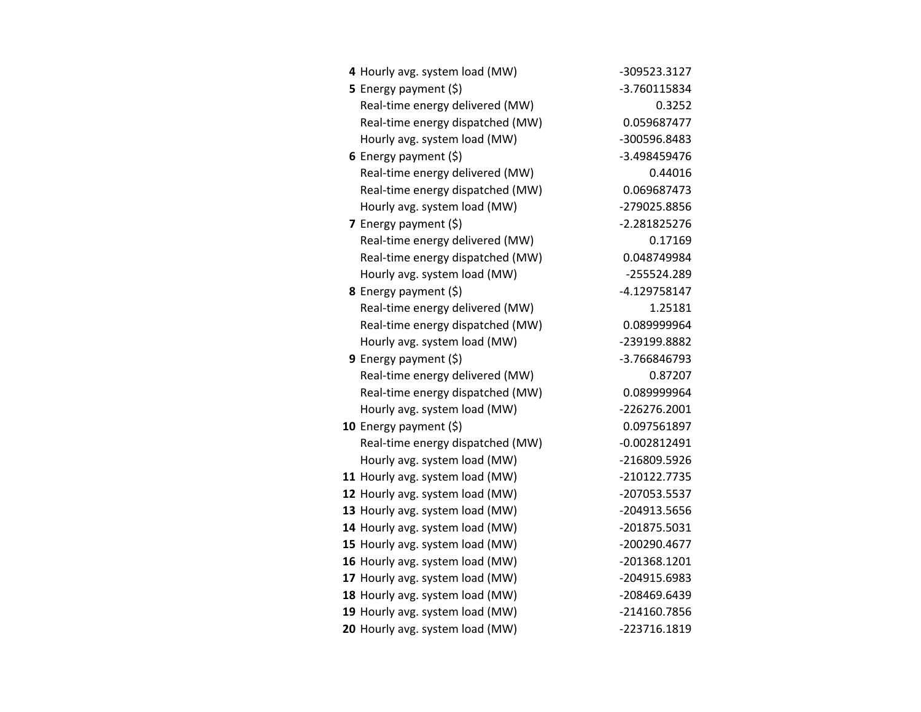| 4 Hourly avg. system load (MW)   | -309523.3127   |
|----------------------------------|----------------|
| 5 Energy payment $(5)$           | -3.760115834   |
| Real-time energy delivered (MW)  | 0.3252         |
| Real-time energy dispatched (MW) | 0.059687477    |
| Hourly avg. system load (MW)     | -300596.8483   |
| 6 Energy payment $(\xi)$         | -3.498459476   |
| Real-time energy delivered (MW)  | 0.44016        |
| Real-time energy dispatched (MW) | 0.069687473    |
| Hourly avg. system load (MW)     | -279025.8856   |
| 7 Energy payment $(\xi)$         | $-2.281825276$ |
| Real-time energy delivered (MW)  | 0.17169        |
| Real-time energy dispatched (MW) | 0.048749984    |
| Hourly avg. system load (MW)     | -255524.289    |
| 8 Energy payment (\$)            | -4.129758147   |
| Real-time energy delivered (MW)  | 1.25181        |
| Real-time energy dispatched (MW) | 0.089999964    |
| Hourly avg. system load (MW)     | -239199.8882   |
| 9 Energy payment $(5)$           | -3.766846793   |
| Real-time energy delivered (MW)  | 0.87207        |
| Real-time energy dispatched (MW) | 0.089999964    |
| Hourly avg. system load (MW)     | -226276.2001   |
| 10 Energy payment $(\xi)$        | 0.097561897    |
| Real-time energy dispatched (MW) | $-0.002812491$ |
| Hourly avg. system load (MW)     | -216809.5926   |
| 11 Hourly avg. system load (MW)  | -210122.7735   |
| 12 Hourly avg. system load (MW)  | -207053.5537   |
| 13 Hourly avg. system load (MW)  | -204913.5656   |
| 14 Hourly avg. system load (MW)  | -201875.5031   |
| 15 Hourly avg. system load (MW)  | -200290.4677   |
| 16 Hourly avg. system load (MW)  | -201368.1201   |
| 17 Hourly avg. system load (MW)  | -204915.6983   |
| 18 Hourly avg. system load (MW)  | -208469.6439   |
| 19 Hourly avg. system load (MW)  | -214160.7856   |
| 20 Hourly avg. system load (MW)  | -223716.1819   |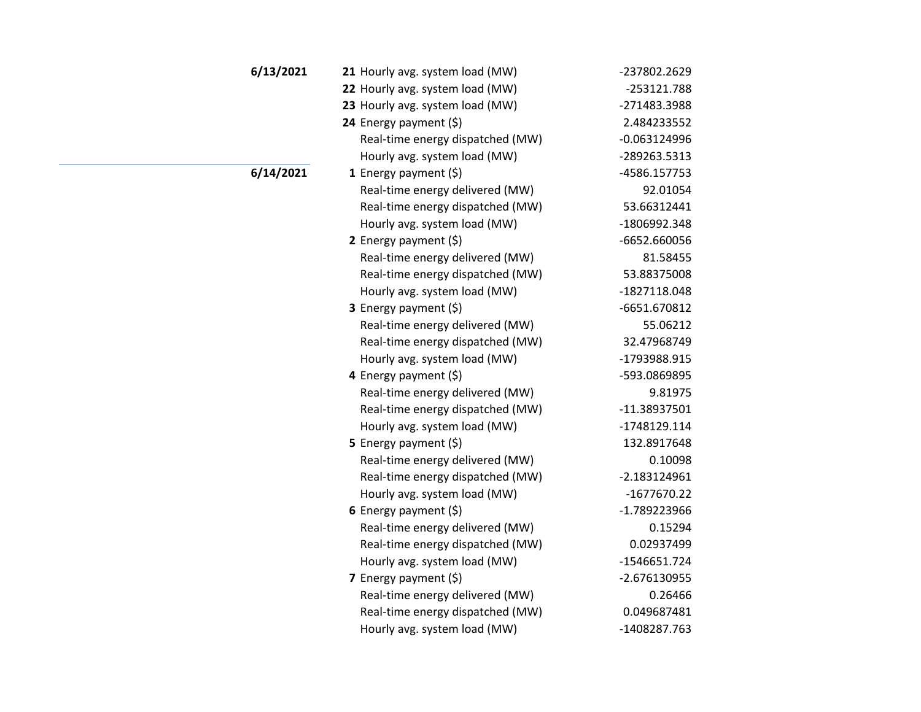| 6/13/2021 | 21 Hourly avg. system load (MW)  | -237802.2629   |
|-----------|----------------------------------|----------------|
|           | 22 Hourly avg. system load (MW)  | -253121.788    |
|           | 23 Hourly avg. system load (MW)  | -271483.3988   |
|           | 24 Energy payment (\$)           | 2.484233552    |
|           | Real-time energy dispatched (MW) | $-0.063124996$ |
|           | Hourly avg. system load (MW)     | -289263.5313   |
| 6/14/2021 | 1 Energy payment $(\xi)$         | -4586.157753   |
|           | Real-time energy delivered (MW)  | 92.01054       |
|           | Real-time energy dispatched (MW) | 53.66312441    |
|           | Hourly avg. system load (MW)     | -1806992.348   |
|           | 2 Energy payment $(5)$           | -6652.660056   |
|           | Real-time energy delivered (MW)  | 81.58455       |
|           | Real-time energy dispatched (MW) | 53.88375008    |
|           | Hourly avg. system load (MW)     | -1827118.048   |
|           | 3 Energy payment (\$)            | -6651.670812   |
|           | Real-time energy delivered (MW)  | 55.06212       |
|           | Real-time energy dispatched (MW) | 32.47968749    |
|           | Hourly avg. system load (MW)     | -1793988.915   |
|           | 4 Energy payment (\$)            | -593.0869895   |
|           | Real-time energy delivered (MW)  | 9.81975        |
|           | Real-time energy dispatched (MW) | $-11.38937501$ |
|           | Hourly avg. system load (MW)     | -1748129.114   |
|           | 5 Energy payment $(\xi)$         | 132.8917648    |
|           | Real-time energy delivered (MW)  | 0.10098        |
|           | Real-time energy dispatched (MW) | $-2.183124961$ |
|           | Hourly avg. system load (MW)     | -1677670.22    |
|           | 6 Energy payment $(5)$           | -1.789223966   |
|           | Real-time energy delivered (MW)  | 0.15294        |
|           | Real-time energy dispatched (MW) | 0.02937499     |
|           | Hourly avg. system load (MW)     | -1546651.724   |
|           | 7 Energy payment (\$)            | -2.676130955   |
|           | Real-time energy delivered (MW)  | 0.26466        |
|           | Real-time energy dispatched (MW) | 0.049687481    |
|           | Hourly avg. system load (MW)     | -1408287.763   |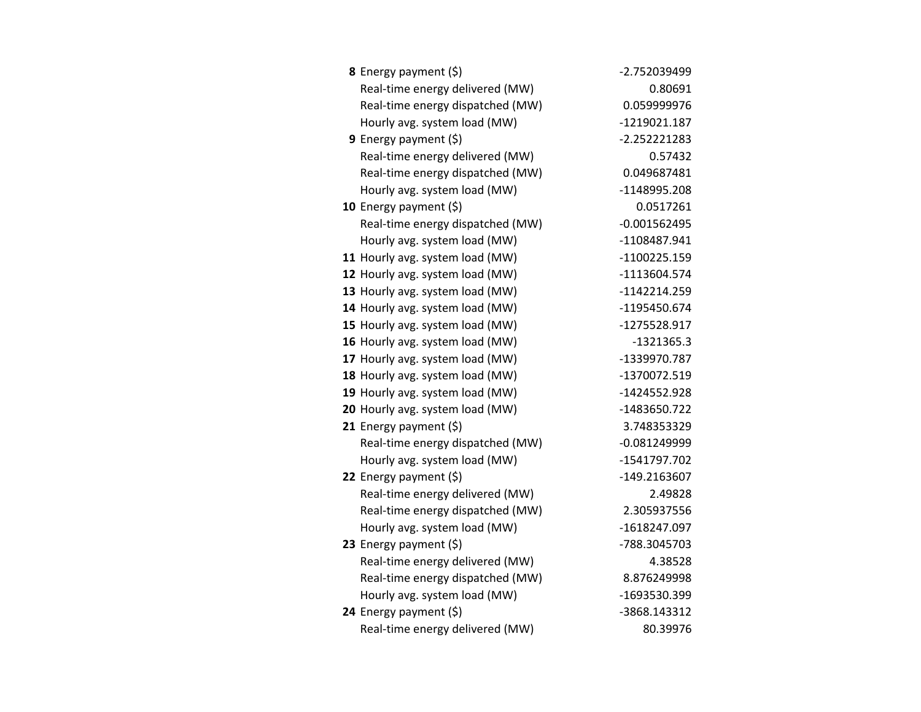| <b>8</b> Energy payment $(\xi)$  | -2.752039499   |
|----------------------------------|----------------|
| Real-time energy delivered (MW)  | 0.80691        |
| Real-time energy dispatched (MW) | 0.059999976    |
| Hourly avg. system load (MW)     | -1219021.187   |
| <b>9</b> Energy payment $(\xi)$  | -2.252221283   |
| Real-time energy delivered (MW)  | 0.57432        |
| Real-time energy dispatched (MW) | 0.049687481    |
| Hourly avg. system load (MW)     | -1148995.208   |
| 10 Energy payment $(\xi)$        | 0.0517261      |
| Real-time energy dispatched (MW) | $-0.001562495$ |
| Hourly avg. system load (MW)     | -1108487.941   |
| 11 Hourly avg. system load (MW)  | -1100225.159   |
| 12 Hourly avg. system load (MW)  | -1113604.574   |
| 13 Hourly avg. system load (MW)  | $-1142214.259$ |
| 14 Hourly avg. system load (MW)  | -1195450.674   |
| 15 Hourly avg. system load (MW)  | -1275528.917   |
| 16 Hourly avg. system load (MW)  | $-1321365.3$   |
| 17 Hourly avg. system load (MW)  | -1339970.787   |
| 18 Hourly avg. system load (MW)  | -1370072.519   |
| 19 Hourly avg. system load (MW)  | -1424552.928   |
| 20 Hourly avg. system load (MW)  | -1483650.722   |
| 21 Energy payment $(\xi)$        | 3.748353329    |
| Real-time energy dispatched (MW) | $-0.081249999$ |
| Hourly avg. system load (MW)     | -1541797.702   |
| 22 Energy payment $(\xi)$        | -149.2163607   |
| Real-time energy delivered (MW)  | 2.49828        |
| Real-time energy dispatched (MW) | 2.305937556    |
| Hourly avg. system load (MW)     | -1618247.097   |
| 23 Energy payment (\$)           | -788.3045703   |
| Real-time energy delivered (MW)  | 4.38528        |
| Real-time energy dispatched (MW) | 8.876249998    |
| Hourly avg. system load (MW)     | -1693530.399   |
| 24 Energy payment $(\xi)$        | -3868.143312   |
| Real-time energy delivered (MW)  | 80.39976       |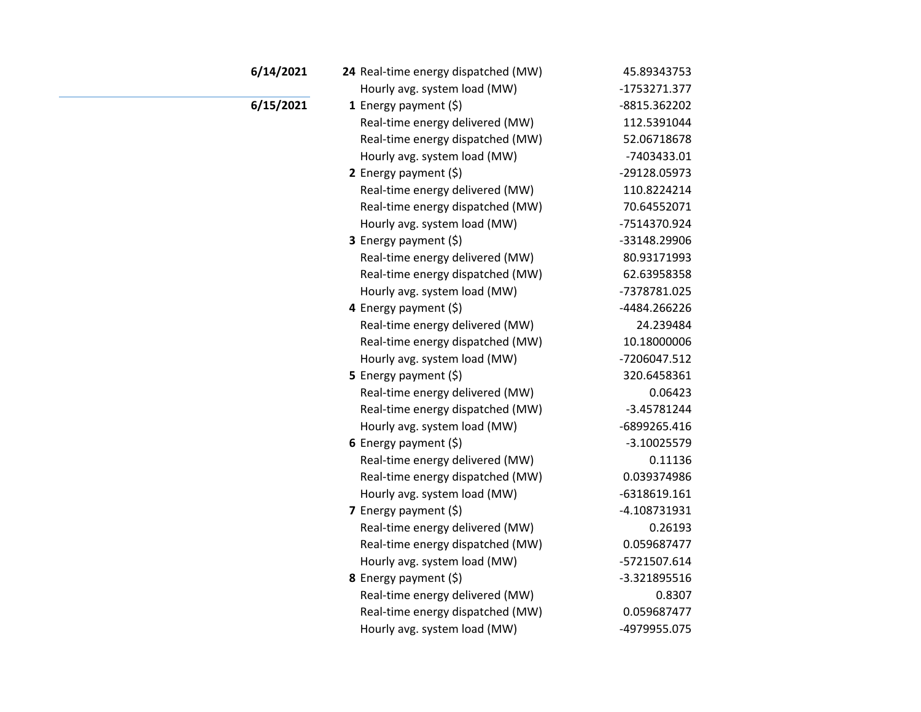| 6/14/2021 | 24 Real-time energy dispatched (MW) | 45.89343753   |
|-----------|-------------------------------------|---------------|
|           | Hourly avg. system load (MW)        | -1753271.377  |
| 6/15/2021 | 1 Energy payment $(5)$              | -8815.362202  |
|           | Real-time energy delivered (MW)     | 112.5391044   |
|           | Real-time energy dispatched (MW)    | 52.06718678   |
|           | Hourly avg. system load (MW)        | -7403433.01   |
|           | 2 Energy payment (\$)               | -29128.05973  |
|           | Real-time energy delivered (MW)     | 110.8224214   |
|           | Real-time energy dispatched (MW)    | 70.64552071   |
|           | Hourly avg. system load (MW)        | -7514370.924  |
|           | 3 Energy payment (\$)               | -33148.29906  |
|           | Real-time energy delivered (MW)     | 80.93171993   |
|           | Real-time energy dispatched (MW)    | 62.63958358   |
|           | Hourly avg. system load (MW)        | -7378781.025  |
|           | 4 Energy payment (\$)               | -4484.266226  |
|           | Real-time energy delivered (MW)     | 24.239484     |
|           | Real-time energy dispatched (MW)    | 10.18000006   |
|           | Hourly avg. system load (MW)        | -7206047.512  |
|           | 5 Energy payment $(\xi)$            | 320.6458361   |
|           | Real-time energy delivered (MW)     | 0.06423       |
|           | Real-time energy dispatched (MW)    | $-3.45781244$ |
|           | Hourly avg. system load (MW)        | -6899265.416  |
|           | 6 Energy payment $(5)$              | $-3.10025579$ |
|           | Real-time energy delivered (MW)     | 0.11136       |
|           | Real-time energy dispatched (MW)    | 0.039374986   |
|           | Hourly avg. system load (MW)        | -6318619.161  |
|           | 7 Energy payment $(5)$              | -4.108731931  |
|           | Real-time energy delivered (MW)     | 0.26193       |
|           | Real-time energy dispatched (MW)    | 0.059687477   |
|           | Hourly avg. system load (MW)        | -5721507.614  |
|           | 8 Energy payment (\$)               | -3.321895516  |
|           | Real-time energy delivered (MW)     | 0.8307        |
|           | Real-time energy dispatched (MW)    | 0.059687477   |
|           | Hourly avg. system load (MW)        | -4979955.075  |
|           |                                     |               |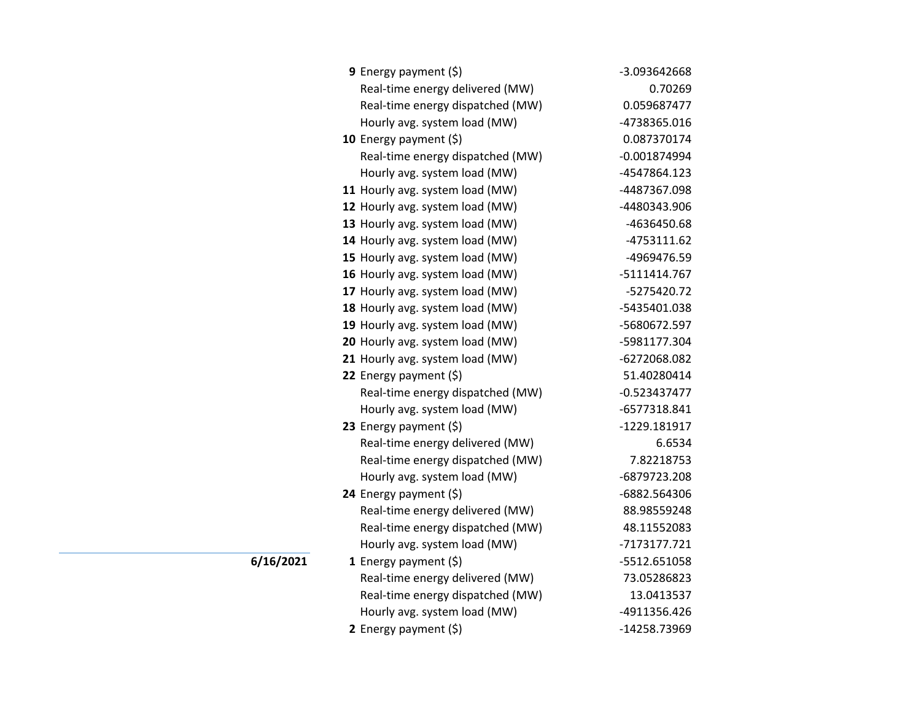| <b>9</b> Energy payment $(\xi)$  | -3.093642668   |
|----------------------------------|----------------|
| Real-time energy delivered (MW)  | 0.70269        |
| Real-time energy dispatched (MW) | 0.059687477    |
| Hourly avg. system load (MW)     | -4738365.016   |
| 10 Energy payment (\$)           | 0.087370174    |
| Real-time energy dispatched (MW) | $-0.001874994$ |
| Hourly avg. system load (MW)     | -4547864.123   |
| 11 Hourly avg. system load (MW)  | -4487367.098   |
| 12 Hourly avg. system load (MW)  | -4480343.906   |
| 13 Hourly avg. system load (MW)  | -4636450.68    |
| 14 Hourly avg. system load (MW)  | -4753111.62    |
| 15 Hourly avg. system load (MW)  | -4969476.59    |
| 16 Hourly avg. system load (MW)  | -5111414.767   |
| 17 Hourly avg. system load (MW)  | -5275420.72    |
| 18 Hourly avg. system load (MW)  | -5435401.038   |
| 19 Hourly avg. system load (MW)  | -5680672.597   |
| 20 Hourly avg. system load (MW)  | -5981177.304   |
| 21 Hourly avg. system load (MW)  | -6272068.082   |
| 22 Energy payment $(\xi)$        | 51.40280414    |
| Real-time energy dispatched (MW) | $-0.523437477$ |
| Hourly avg. system load (MW)     | -6577318.841   |
| 23 Energy payment $(\xi)$        | -1229.181917   |
| Real-time energy delivered (MW)  | 6.6534         |
| Real-time energy dispatched (MW) | 7.82218753     |
| Hourly avg. system load (MW)     | -6879723.208   |
| 24 Energy payment (\$)           | -6882.564306   |
| Real-time energy delivered (MW)  | 88.98559248    |
| Real-time energy dispatched (MW) | 48.11552083    |
| Hourly avg. system load (MW)     | -7173177.721   |
| 1 Energy payment $(\xi)$         | -5512.651058   |
| Real-time energy delivered (MW)  | 73.05286823    |
| Real-time energy dispatched (MW) | 13.0413537     |
| Hourly avg. system load (MW)     | -4911356.426   |
| 2 Energy payment (\$)            | -14258.73969   |

**6/16/2021**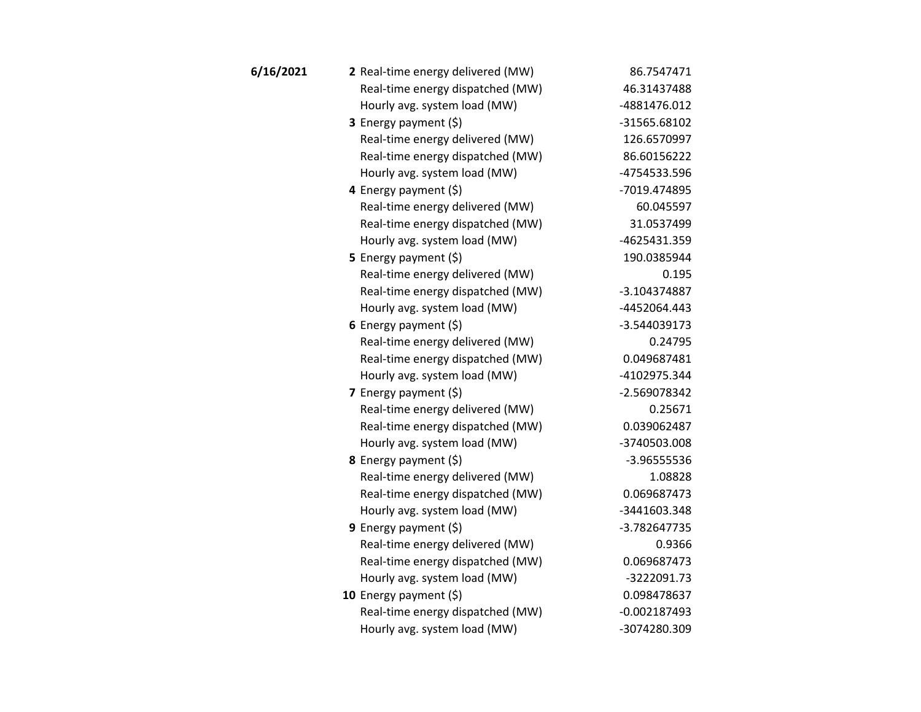| 6/16/2021 | 2 Real-time energy delivered (MW) | 86.7547471     |
|-----------|-----------------------------------|----------------|
|           | Real-time energy dispatched (MW)  | 46.31437488    |
|           | Hourly avg. system load (MW)      | -4881476.012   |
|           | 3 Energy payment (\$)             | -31565.68102   |
|           | Real-time energy delivered (MW)   | 126.6570997    |
|           | Real-time energy dispatched (MW)  | 86.60156222    |
|           | Hourly avg. system load (MW)      | -4754533.596   |
|           | 4 Energy payment $(\xi)$          | -7019.474895   |
|           | Real-time energy delivered (MW)   | 60.045597      |
|           | Real-time energy dispatched (MW)  | 31.0537499     |
|           | Hourly avg. system load (MW)      | -4625431.359   |
|           | 5 Energy payment $(\xi)$          | 190.0385944    |
|           | Real-time energy delivered (MW)   | 0.195          |
|           | Real-time energy dispatched (MW)  | -3.104374887   |
|           | Hourly avg. system load (MW)      | -4452064.443   |
|           | 6 Energy payment $(5)$            | -3.544039173   |
|           | Real-time energy delivered (MW)   | 0.24795        |
|           | Real-time energy dispatched (MW)  | 0.049687481    |
|           | Hourly avg. system load (MW)      | -4102975.344   |
|           | 7 Energy payment $(5)$            | -2.569078342   |
|           | Real-time energy delivered (MW)   | 0.25671        |
|           | Real-time energy dispatched (MW)  | 0.039062487    |
|           | Hourly avg. system load (MW)      | -3740503.008   |
|           | 8 Energy payment (\$)             | -3.96555536    |
|           | Real-time energy delivered (MW)   | 1.08828        |
|           | Real-time energy dispatched (MW)  | 0.069687473    |
|           | Hourly avg. system load (MW)      | -3441603.348   |
|           | <b>9</b> Energy payment $(\xi)$   | -3.782647735   |
|           | Real-time energy delivered (MW)   | 0.9366         |
|           | Real-time energy dispatched (MW)  | 0.069687473    |
|           | Hourly avg. system load (MW)      | -3222091.73    |
|           | 10 Energy payment $(\xi)$         | 0.098478637    |
|           | Real-time energy dispatched (MW)  | $-0.002187493$ |
|           | Hourly avg. system load (MW)      | -3074280.309   |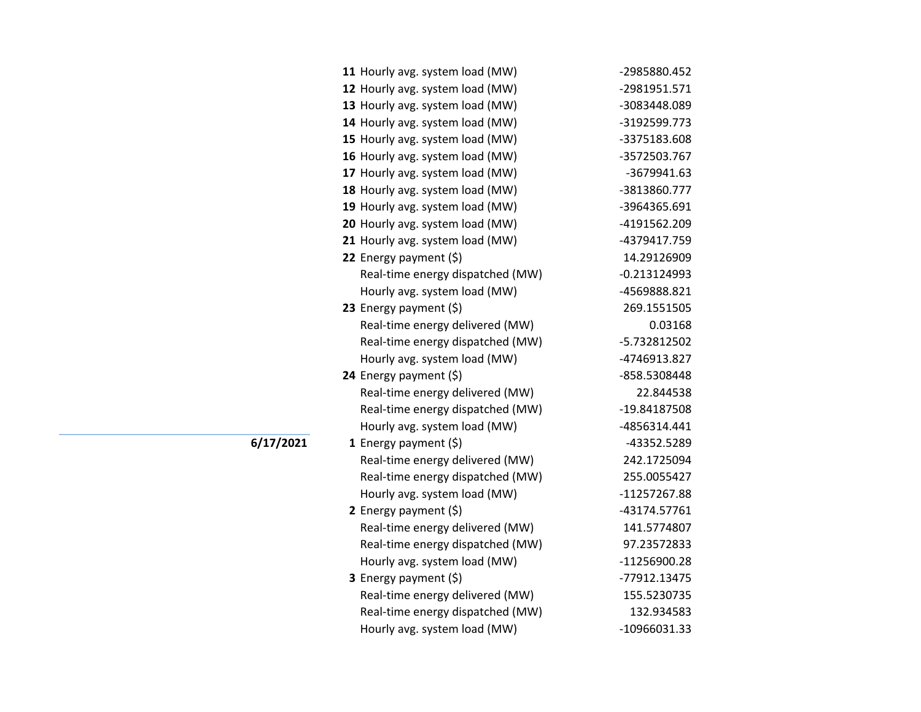| -2985880.452   |
|----------------|
| -2981951.571   |
| -3083448.089   |
| -3192599.773   |
| -3375183.608   |
| -3572503.767   |
| -3679941.63    |
| -3813860.777   |
| -3964365.691   |
| -4191562.209   |
| -4379417.759   |
| 14.29126909    |
| $-0.213124993$ |
| -4569888.821   |
| 269.1551505    |
| 0.03168        |
| -5.732812502   |
| -4746913.827   |
| -858.5308448   |
| 22.844538      |
| -19.84187508   |
| -4856314.441   |
| -43352.5289    |
| 242.1725094    |
| 255.0055427    |
| -11257267.88   |
| -43174.57761   |
| 141.5774807    |
| 97.23572833    |
| -11256900.28   |
| -77912.13475   |
| 155.5230735    |
| 132.934583     |
| -10966031.33   |
|                |

**6/17/2021**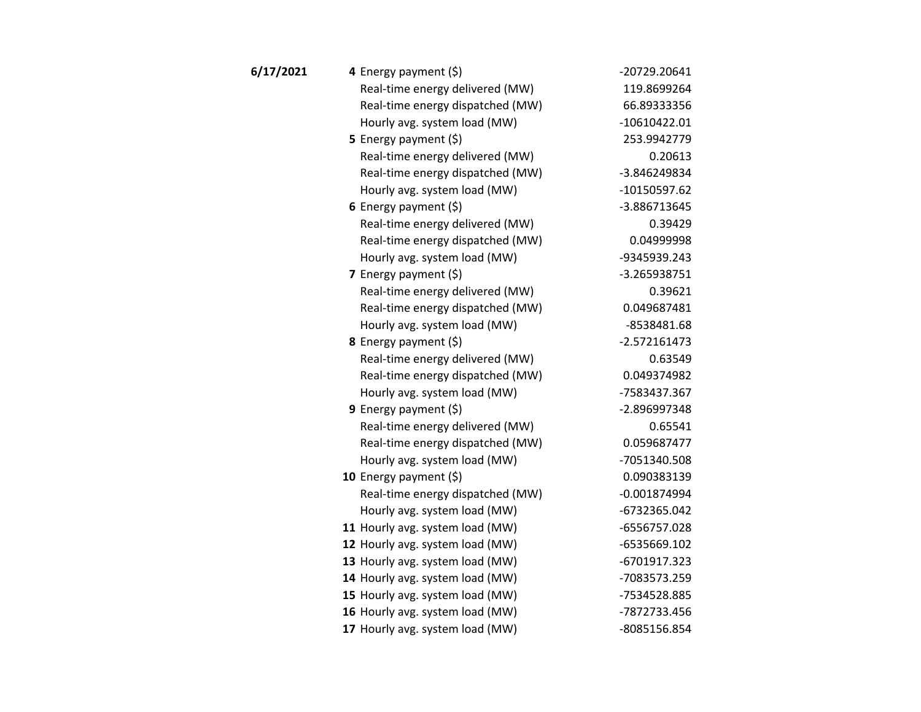| 6/17/2021 | 4 Energy payment (\$)            | -20729.20641   |
|-----------|----------------------------------|----------------|
|           | Real-time energy delivered (MW)  | 119.8699264    |
|           | Real-time energy dispatched (MW) | 66.89333356    |
|           | Hourly avg. system load (MW)     | $-10610422.01$ |
|           | <b>5</b> Energy payment $(\xi)$  | 253.9942779    |
|           | Real-time energy delivered (MW)  | 0.20613        |
|           | Real-time energy dispatched (MW) | -3.846249834   |
|           | Hourly avg. system load (MW)     | -10150597.62   |
|           | 6 Energy payment $(5)$           | -3.886713645   |
|           | Real-time energy delivered (MW)  | 0.39429        |
|           | Real-time energy dispatched (MW) | 0.04999998     |
|           | Hourly avg. system load (MW)     | -9345939.243   |
|           | 7 Energy payment $(5)$           | -3.265938751   |
|           | Real-time energy delivered (MW)  | 0.39621        |
|           | Real-time energy dispatched (MW) | 0.049687481    |
|           | Hourly avg. system load (MW)     | -8538481.68    |
|           | <b>8</b> Energy payment $(\xi)$  | $-2.572161473$ |
|           | Real-time energy delivered (MW)  | 0.63549        |
|           | Real-time energy dispatched (MW) | 0.049374982    |
|           | Hourly avg. system load (MW)     | -7583437.367   |
|           | 9 Energy payment $(\xi)$         | -2.896997348   |
|           | Real-time energy delivered (MW)  | 0.65541        |
|           | Real-time energy dispatched (MW) | 0.059687477    |
|           | Hourly avg. system load (MW)     | -7051340.508   |
|           | 10 Energy payment $(5)$          | 0.090383139    |
|           | Real-time energy dispatched (MW) | $-0.001874994$ |
|           | Hourly avg. system load (MW)     | -6732365.042   |
|           | 11 Hourly avg. system load (MW)  | -6556757.028   |
|           | 12 Hourly avg. system load (MW)  | -6535669.102   |
|           | 13 Hourly avg. system load (MW)  | -6701917.323   |
|           | 14 Hourly avg. system load (MW)  | -7083573.259   |
|           | 15 Hourly avg. system load (MW)  | -7534528.885   |
|           | 16 Hourly avg. system load (MW)  | -7872733.456   |
|           | 17 Hourly avg. system load (MW)  | -8085156.854   |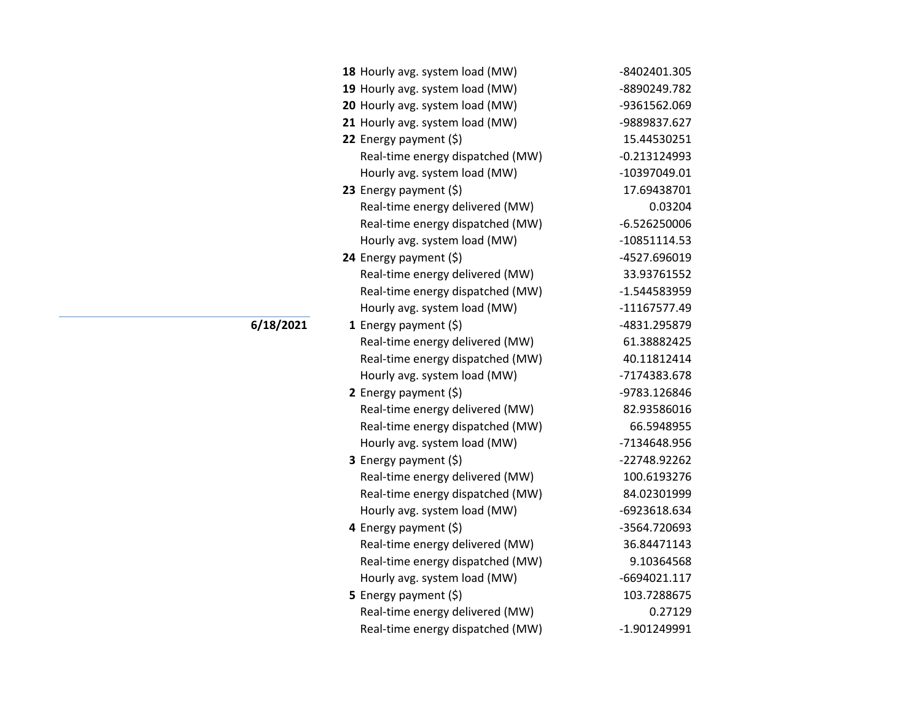| 18 Hourly avg. system load (MW)  | -8402401.305   |
|----------------------------------|----------------|
| 19 Hourly avg. system load (MW)  | -8890249.782   |
| 20 Hourly avg. system load (MW)  | -9361562.069   |
| 21 Hourly avg. system load (MW)  | -9889837.627   |
| 22 Energy payment (\$)           | 15.44530251    |
| Real-time energy dispatched (MW) | $-0.213124993$ |
| Hourly avg. system load (MW)     | -10397049.01   |
| 23 Energy payment $(\xi)$        | 17.69438701    |
| Real-time energy delivered (MW)  | 0.03204        |
| Real-time energy dispatched (MW) | $-6.526250006$ |
| Hourly avg. system load (MW)     | -10851114.53   |
| 24 Energy payment (\$)           | -4527.696019   |
| Real-time energy delivered (MW)  | 33.93761552    |
| Real-time energy dispatched (MW) | -1.544583959   |
| Hourly avg. system load (MW)     | -11167577.49   |
| <b>1</b> Energy payment $(\xi)$  | -4831.295879   |
| Real-time energy delivered (MW)  | 61.38882425    |
| Real-time energy dispatched (MW) | 40.11812414    |
| Hourly avg. system load (MW)     | -7174383.678   |
| 2 Energy payment $(\xi)$         | -9783.126846   |
| Real-time energy delivered (MW)  | 82.93586016    |
| Real-time energy dispatched (MW) | 66.5948955     |
| Hourly avg. system load (MW)     | -7134648.956   |
| <b>3</b> Energy payment $(\xi)$  | -22748.92262   |
| Real-time energy delivered (MW)  | 100.6193276    |
| Real-time energy dispatched (MW) | 84.02301999    |
| Hourly avg. system load (MW)     | -6923618.634   |
| 4 Energy payment (\$)            | -3564.720693   |
| Real-time energy delivered (MW)  | 36.84471143    |
| Real-time energy dispatched (MW) | 9.10364568     |
| Hourly avg. system load (MW)     | -6694021.117   |
| 5 Energy payment (\$)            | 103.7288675    |
| Real-time energy delivered (MW)  | 0.27129        |
| Real-time energy dispatched (MW) | -1.901249991   |

## **6/18/2021**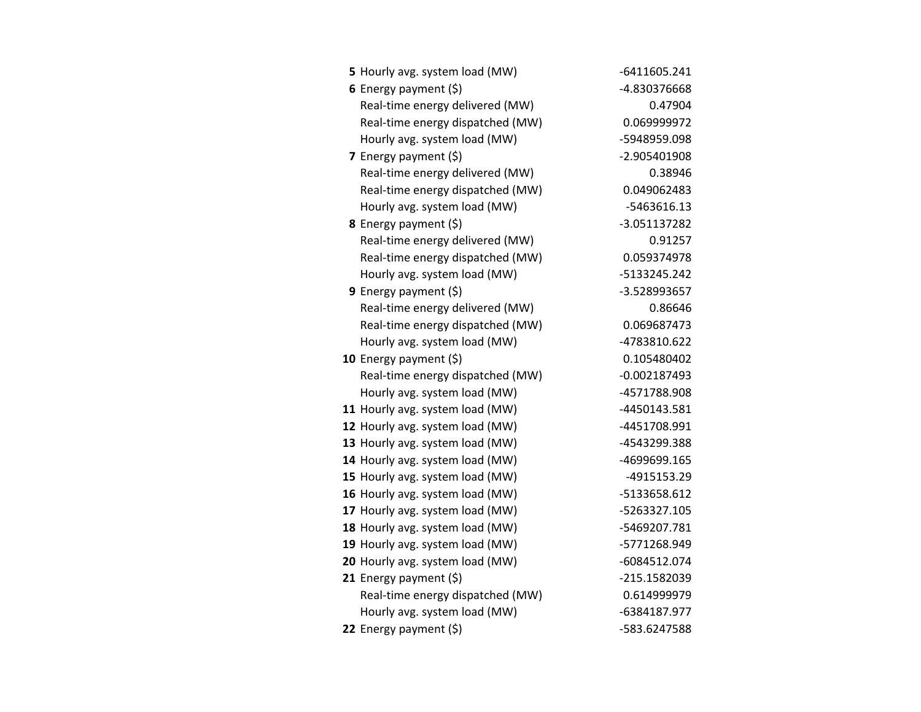| 5 Hourly avg. system load (MW)   | -6411605.241   |
|----------------------------------|----------------|
| 6 Energy payment $(5)$           | -4.830376668   |
| Real-time energy delivered (MW)  | 0.47904        |
| Real-time energy dispatched (MW) | 0.069999972    |
| Hourly avg. system load (MW)     | -5948959.098   |
| 7 Energy payment $(\xi)$         | -2.905401908   |
| Real-time energy delivered (MW)  | 0.38946        |
| Real-time energy dispatched (MW) | 0.049062483    |
| Hourly avg. system load (MW)     | -5463616.13    |
| 8 Energy payment (\$)            | -3.051137282   |
| Real-time energy delivered (MW)  | 0.91257        |
| Real-time energy dispatched (MW) | 0.059374978    |
| Hourly avg. system load (MW)     | -5133245.242   |
| <b>9</b> Energy payment $(\xi)$  | -3.528993657   |
| Real-time energy delivered (MW)  | 0.86646        |
| Real-time energy dispatched (MW) | 0.069687473    |
| Hourly avg. system load (MW)     | -4783810.622   |
| 10 Energy payment $(5)$          | 0.105480402    |
| Real-time energy dispatched (MW) | $-0.002187493$ |
| Hourly avg. system load (MW)     | -4571788.908   |
| 11 Hourly avg. system load (MW)  | -4450143.581   |
| 12 Hourly avg. system load (MW)  | -4451708.991   |
| 13 Hourly avg. system load (MW)  | -4543299.388   |
| 14 Hourly avg. system load (MW)  | -4699699.165   |
| 15 Hourly avg. system load (MW)  | -4915153.29    |
| 16 Hourly avg. system load (MW)  | -5133658.612   |
| 17 Hourly avg. system load (MW)  | -5263327.105   |
| 18 Hourly avg. system load (MW)  | -5469207.781   |
| 19 Hourly avg. system load (MW)  | -5771268.949   |
| 20 Hourly avg. system load (MW)  | -6084512.074   |
| 21 Energy payment $(\xi)$        | -215.1582039   |
| Real-time energy dispatched (MW) | 0.614999979    |
| Hourly avg. system load (MW)     | -6384187.977   |
| 22 Energy payment (\$)           | -583.6247588   |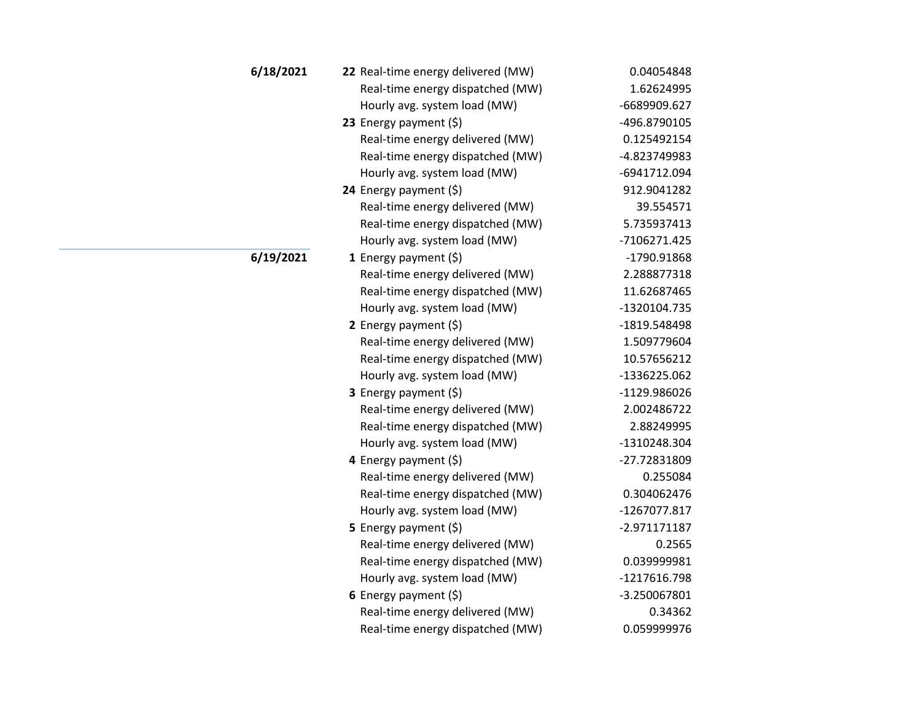| 6/18/2021 | 22 Real-time energy delivered (MW) | 0.04054848   |
|-----------|------------------------------------|--------------|
|           | Real-time energy dispatched (MW)   | 1.62624995   |
|           | Hourly avg. system load (MW)       | -6689909.627 |
|           | 23 Energy payment $(5)$            | -496.8790105 |
|           | Real-time energy delivered (MW)    | 0.125492154  |
|           | Real-time energy dispatched (MW)   | -4.823749983 |
|           | Hourly avg. system load (MW)       | -6941712.094 |
|           | 24 Energy payment $(\xi)$          | 912.9041282  |
|           | Real-time energy delivered (MW)    | 39.554571    |
|           | Real-time energy dispatched (MW)   | 5.735937413  |
|           | Hourly avg. system load (MW)       | -7106271.425 |
| 6/19/2021 | 1 Energy payment $(\xi)$           | -1790.91868  |
|           | Real-time energy delivered (MW)    | 2.288877318  |
|           | Real-time energy dispatched (MW)   | 11.62687465  |
|           | Hourly avg. system load (MW)       | -1320104.735 |
|           | 2 Energy payment $(\xi)$           | -1819.548498 |
|           | Real-time energy delivered (MW)    | 1.509779604  |
|           | Real-time energy dispatched (MW)   | 10.57656212  |
|           | Hourly avg. system load (MW)       | -1336225.062 |
|           | <b>3</b> Energy payment $(\xi)$    | -1129.986026 |
|           | Real-time energy delivered (MW)    | 2.002486722  |
|           | Real-time energy dispatched (MW)   | 2.88249995   |
|           | Hourly avg. system load (MW)       | -1310248.304 |
|           | 4 Energy payment (\$)              | -27.72831809 |
|           | Real-time energy delivered (MW)    | 0.255084     |
|           | Real-time energy dispatched (MW)   | 0.304062476  |
|           | Hourly avg. system load (MW)       | -1267077.817 |
|           | 5 Energy payment $(\xi)$           | -2.971171187 |
|           | Real-time energy delivered (MW)    | 0.2565       |
|           | Real-time energy dispatched (MW)   | 0.039999981  |
|           | Hourly avg. system load (MW)       | -1217616.798 |
|           | 6 Energy payment $(5)$             | -3.250067801 |
|           | Real-time energy delivered (MW)    | 0.34362      |
|           | Real-time energy dispatched (MW)   | 0.059999976  |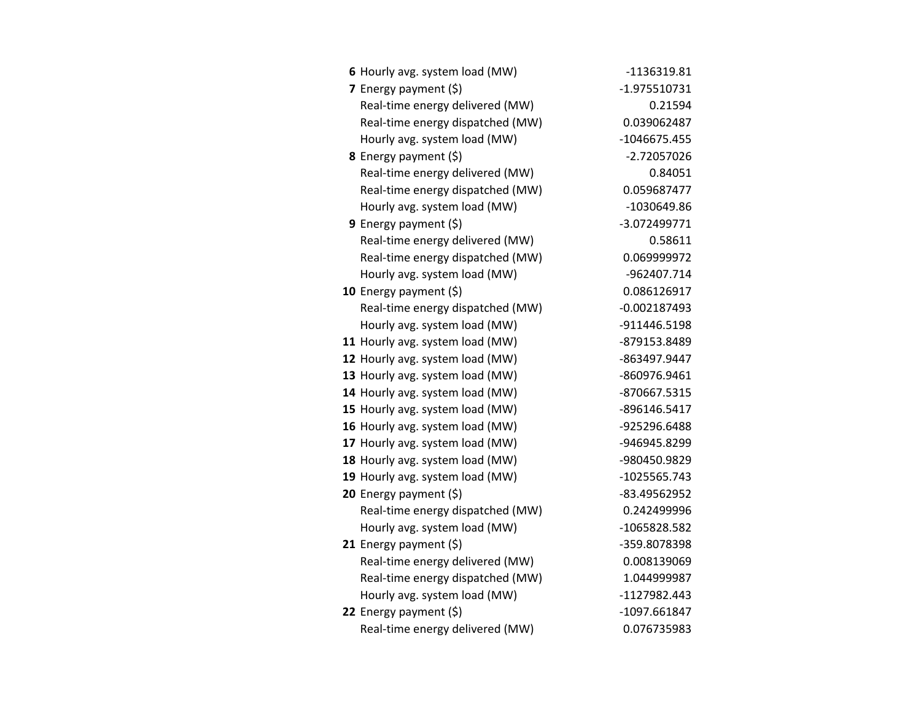| 6 Hourly avg. system load (MW)   | -1136319.81    |
|----------------------------------|----------------|
| 7 Energy payment (\$)            | $-1.975510731$ |
| Real-time energy delivered (MW)  | 0.21594        |
| Real-time energy dispatched (MW) | 0.039062487    |
| Hourly avg. system load (MW)     | -1046675.455   |
| 8 Energy payment (\$)            | $-2.72057026$  |
| Real-time energy delivered (MW)  | 0.84051        |
| Real-time energy dispatched (MW) | 0.059687477    |
| Hourly avg. system load (MW)     | -1030649.86    |
| <b>9</b> Energy payment $(\xi)$  | -3.072499771   |
| Real-time energy delivered (MW)  | 0.58611        |
| Real-time energy dispatched (MW) | 0.069999972    |
| Hourly avg. system load (MW)     | -962407.714    |
| 10 Energy payment $(\xi)$        | 0.086126917    |
| Real-time energy dispatched (MW) | $-0.002187493$ |
| Hourly avg. system load (MW)     | -911446.5198   |
| 11 Hourly avg. system load (MW)  | -879153.8489   |
| 12 Hourly avg. system load (MW)  | -863497.9447   |
| 13 Hourly avg. system load (MW)  | -860976.9461   |
| 14 Hourly avg. system load (MW)  | -870667.5315   |
| 15 Hourly avg. system load (MW)  | -896146.5417   |
| 16 Hourly avg. system load (MW)  | -925296.6488   |
| 17 Hourly avg. system load (MW)  | -946945.8299   |
| 18 Hourly avg. system load (MW)  | -980450.9829   |
| 19 Hourly avg. system load (MW)  | -1025565.743   |
| 20 Energy payment (\$)           | -83.49562952   |
| Real-time energy dispatched (MW) | 0.242499996    |
| Hourly avg. system load (MW)     | -1065828.582   |
| 21 Energy payment $(\xi)$        | -359.8078398   |
| Real-time energy delivered (MW)  | 0.008139069    |
| Real-time energy dispatched (MW) | 1.044999987    |
| Hourly avg. system load (MW)     | -1127982.443   |
| 22 Energy payment $(\xi)$        | -1097.661847   |
| Real-time energy delivered (MW)  | 0.076735983    |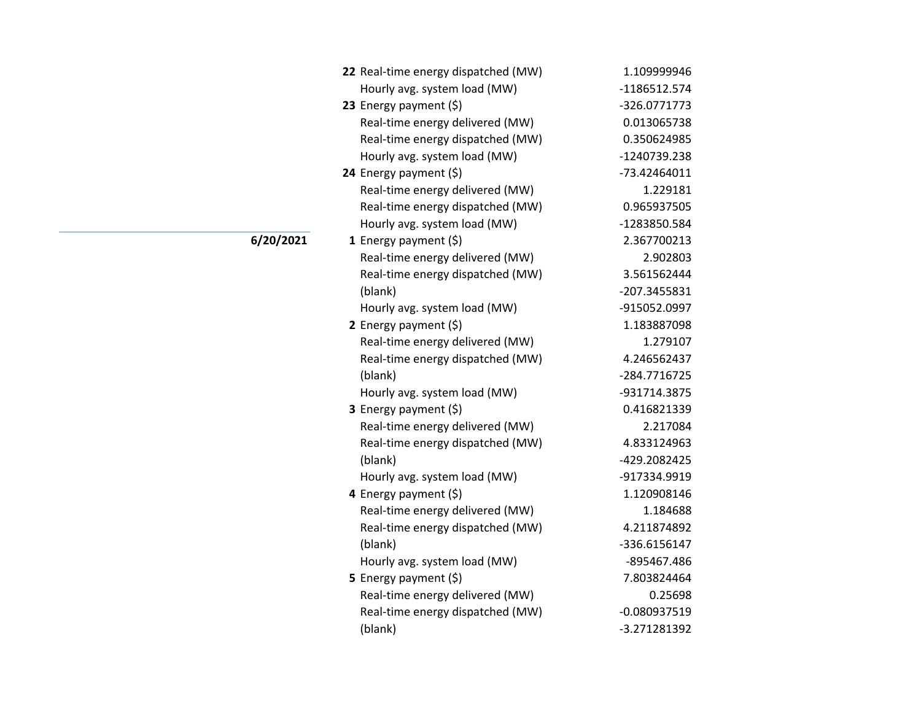| 22 Real-time energy dispatched (MW) | 1.109999946    |
|-------------------------------------|----------------|
| Hourly avg. system load (MW)        | -1186512.574   |
| 23 Energy payment $(5)$             | -326.0771773   |
| Real-time energy delivered (MW)     | 0.013065738    |
| Real-time energy dispatched (MW)    | 0.350624985    |
| Hourly avg. system load (MW)        | -1240739.238   |
| 24 Energy payment (\$)              | -73.42464011   |
| Real-time energy delivered (MW)     | 1.229181       |
| Real-time energy dispatched (MW)    | 0.965937505    |
| Hourly avg. system load (MW)        | -1283850.584   |
| 1 Energy payment (\$)               | 2.367700213    |
| Real-time energy delivered (MW)     | 2.902803       |
| Real-time energy dispatched (MW)    | 3.561562444    |
| (blank)                             | -207.3455831   |
| Hourly avg. system load (MW)        | -915052.0997   |
| 2 Energy payment $(5)$              | 1.183887098    |
| Real-time energy delivered (MW)     | 1.279107       |
| Real-time energy dispatched (MW)    | 4.246562437    |
| (blank)                             | -284.7716725   |
| Hourly avg. system load (MW)        | -931714.3875   |
| 3 Energy payment (\$)               | 0.416821339    |
| Real-time energy delivered (MW)     | 2.217084       |
| Real-time energy dispatched (MW)    | 4.833124963    |
| (blank)                             | -429.2082425   |
| Hourly avg. system load (MW)        | -917334.9919   |
| 4 Energy payment (\$)               | 1.120908146    |
| Real-time energy delivered (MW)     | 1.184688       |
| Real-time energy dispatched (MW)    | 4.211874892    |
| (blank)                             | -336.6156147   |
| Hourly avg. system load (MW)        | -895467.486    |
| <b>5</b> Energy payment $(\xi)$     | 7.803824464    |
| Real-time energy delivered (MW)     | 0.25698        |
| Real-time energy dispatched (MW)    | $-0.080937519$ |
| (blank)                             | -3.271281392   |

**6/20/2021**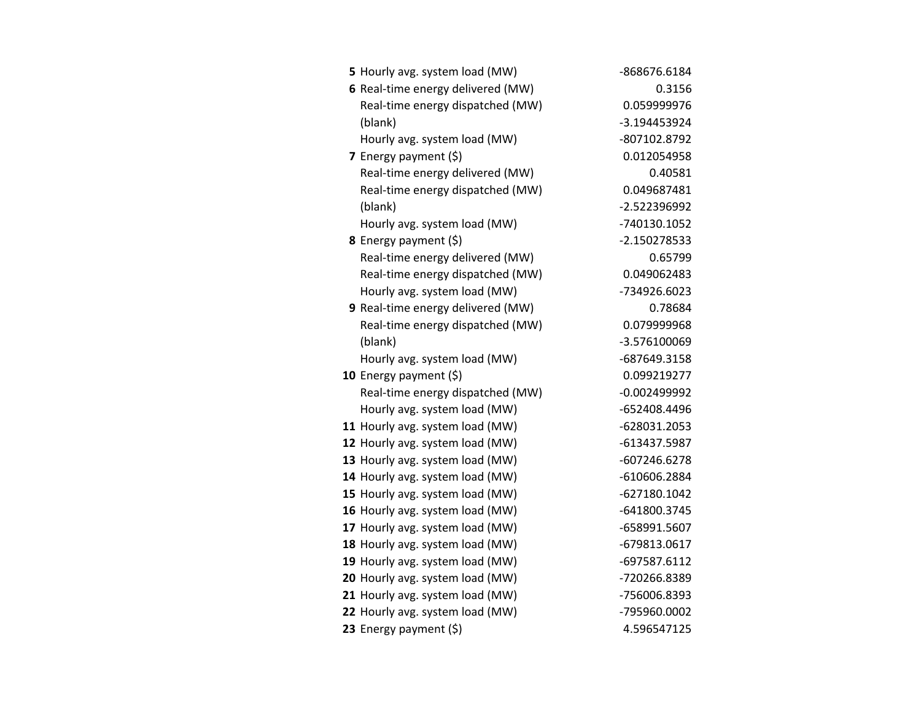| 5 Hourly avg. system load (MW)    | -868676.6184   |
|-----------------------------------|----------------|
| 6 Real-time energy delivered (MW) | 0.3156         |
| Real-time energy dispatched (MW)  | 0.059999976    |
| (blank)                           | -3.194453924   |
| Hourly avg. system load (MW)      | -807102.8792   |
| 7 Energy payment (\$)             | 0.012054958    |
| Real-time energy delivered (MW)   | 0.40581        |
| Real-time energy dispatched (MW)  | 0.049687481    |
| (blank)                           | -2.522396992   |
| Hourly avg. system load (MW)      | -740130.1052   |
| 8 Energy payment (\$)             | -2.150278533   |
| Real-time energy delivered (MW)   | 0.65799        |
| Real-time energy dispatched (MW)  | 0.049062483    |
| Hourly avg. system load (MW)      | -734926.6023   |
| 9 Real-time energy delivered (MW) | 0.78684        |
| Real-time energy dispatched (MW)  | 0.079999968    |
| (blank)                           | -3.576100069   |
| Hourly avg. system load (MW)      | -687649.3158   |
| 10 Energy payment $(\xi)$         | 0.099219277    |
| Real-time energy dispatched (MW)  | $-0.002499992$ |
| Hourly avg. system load (MW)      | -652408.4496   |
| 11 Hourly avg. system load (MW)   | -628031.2053   |
| 12 Hourly avg. system load (MW)   | -613437.5987   |
| 13 Hourly avg. system load (MW)   | -607246.6278   |
| 14 Hourly avg. system load (MW)   | -610606.2884   |
| 15 Hourly avg. system load (MW)   | -627180.1042   |
| 16 Hourly avg. system load (MW)   | -641800.3745   |
| 17 Hourly avg. system load (MW)   | -658991.5607   |
| 18 Hourly avg. system load (MW)   | -679813.0617   |
| 19 Hourly avg. system load (MW)   | -697587.6112   |
| 20 Hourly avg. system load (MW)   | -720266.8389   |
| 21 Hourly avg. system load (MW)   | -756006.8393   |
| 22 Hourly avg. system load (MW)   | -795960.0002   |
| 23 Energy payment (\$)            | 4.596547125    |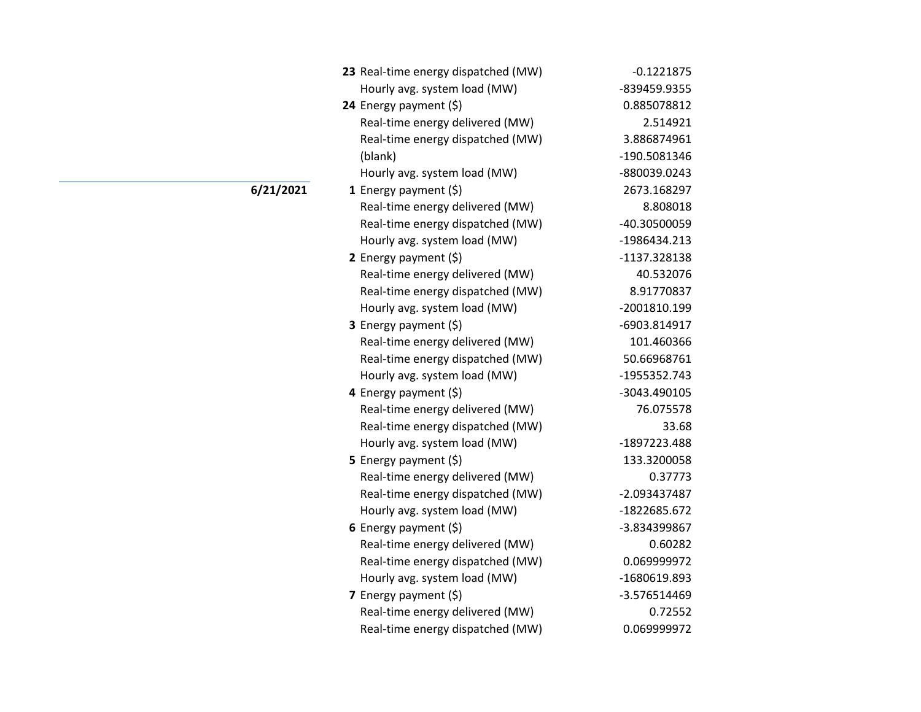| 23 Real-time energy dispatched (MW) | $-0.1221875$ |
|-------------------------------------|--------------|
| Hourly avg. system load (MW)        | -839459.9355 |
| 24 Energy payment $(\xi)$           | 0.885078812  |
| Real-time energy delivered (MW)     | 2.514921     |
| Real-time energy dispatched (MW)    | 3.886874961  |
| (blank)                             | -190.5081346 |
| Hourly avg. system load (MW)        | -880039.0243 |
| 1 Energy payment $(\xi)$            | 2673.168297  |
| Real-time energy delivered (MW)     | 8.808018     |
| Real-time energy dispatched (MW)    | -40.30500059 |
| Hourly avg. system load (MW)        | -1986434.213 |
| 2 Energy payment $(\xi)$            | -1137.328138 |
| Real-time energy delivered (MW)     | 40.532076    |
| Real-time energy dispatched (MW)    | 8.91770837   |
| Hourly avg. system load (MW)        | -2001810.199 |
| <b>3</b> Energy payment $(\xi)$     | -6903.814917 |
| Real-time energy delivered (MW)     | 101.460366   |
| Real-time energy dispatched (MW)    | 50.66968761  |
| Hourly avg. system load (MW)        | -1955352.743 |
| 4 Energy payment (\$)               | -3043.490105 |
| Real-time energy delivered (MW)     | 76.075578    |
| Real-time energy dispatched (MW)    | 33.68        |
| Hourly avg. system load (MW)        | -1897223.488 |
| <b>5</b> Energy payment $(\xi)$     | 133.3200058  |
| Real-time energy delivered (MW)     | 0.37773      |
| Real-time energy dispatched (MW)    | -2.093437487 |
| Hourly avg. system load (MW)        | -1822685.672 |
| 6 Energy payment $(\xi)$            | -3.834399867 |
| Real-time energy delivered (MW)     | 0.60282      |
| Real-time energy dispatched (MW)    | 0.069999972  |
| Hourly avg. system load (MW)        | -1680619.893 |
| 7 Energy payment $(5)$              | -3.576514469 |
| Real-time energy delivered (MW)     | 0.72552      |
| Real-time energy dispatched (MW)    | 0.069999972  |

**6/21/2021**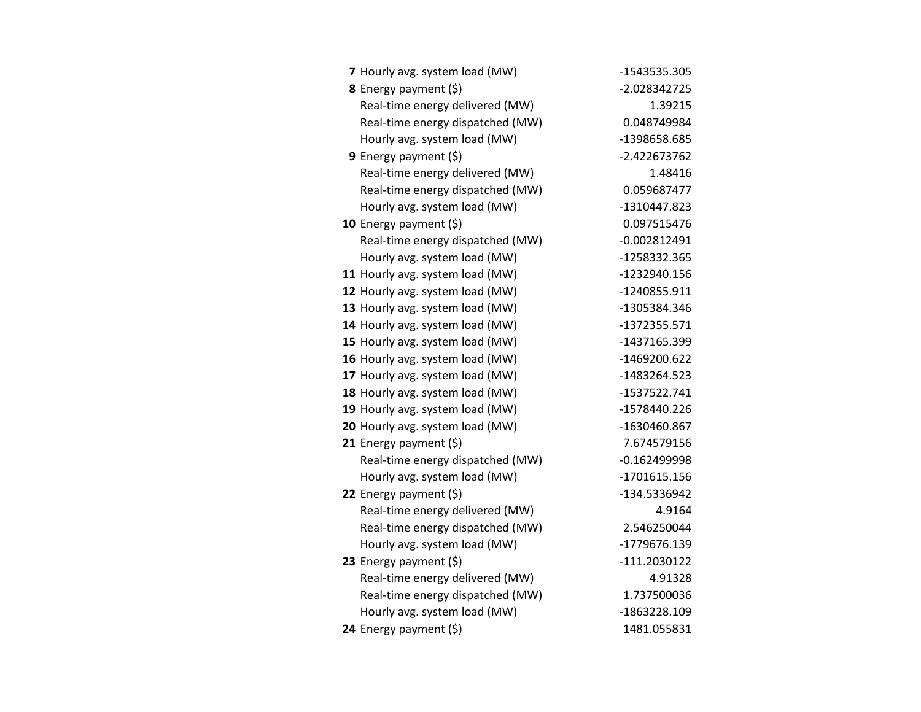| 7 Hourly avg. system load (MW)   | -1543535.305   |
|----------------------------------|----------------|
| 8 Energy payment (\$)            | -2.028342725   |
| Real-time energy delivered (MW)  | 1.39215        |
| Real-time energy dispatched (MW) | 0.048749984    |
| Hourly avg. system load (MW)     | -1398658.685   |
| 9 Energy payment $(\xi)$         | $-2.422673762$ |
| Real-time energy delivered (MW)  | 1.48416        |
| Real-time energy dispatched (MW) | 0.059687477    |
| Hourly avg. system load (MW)     | -1310447.823   |
| 10 Energy payment $(\xi)$        | 0.097515476    |
| Real-time energy dispatched (MW) | $-0.002812491$ |
| Hourly avg. system load (MW)     | -1258332.365   |
| 11 Hourly avg. system load (MW)  | -1232940.156   |
| 12 Hourly avg. system load (MW)  | -1240855.911   |
| 13 Hourly avg. system load (MW)  | -1305384.346   |
| 14 Hourly avg. system load (MW)  | -1372355.571   |
| 15 Hourly avg. system load (MW)  | -1437165.399   |
| 16 Hourly avg. system load (MW)  | -1469200.622   |
| 17 Hourly avg. system load (MW)  | -1483264.523   |
| 18 Hourly avg. system load (MW)  | -1537522.741   |
| 19 Hourly avg. system load (MW)  | -1578440.226   |
| 20 Hourly avg. system load (MW)  | -1630460.867   |
| 21 Energy payment $(\xi)$        | 7.674579156    |
| Real-time energy dispatched (MW) | $-0.162499998$ |
| Hourly avg. system load (MW)     | -1701615.156   |
| 22 Energy payment (\$)           | -134.5336942   |
| Real-time energy delivered (MW)  | 4.9164         |
| Real-time energy dispatched (MW) | 2.546250044    |
| Hourly avg. system load (MW)     | -1779676.139   |
| 23 Energy payment $(\xi)$        | -111.2030122   |
| Real-time energy delivered (MW)  | 4.91328        |
| Real-time energy dispatched (MW) | 1.737500036    |
| Hourly avg. system load (MW)     | -1863228.109   |
| 24 Energy payment (\$)           | 1481.055831    |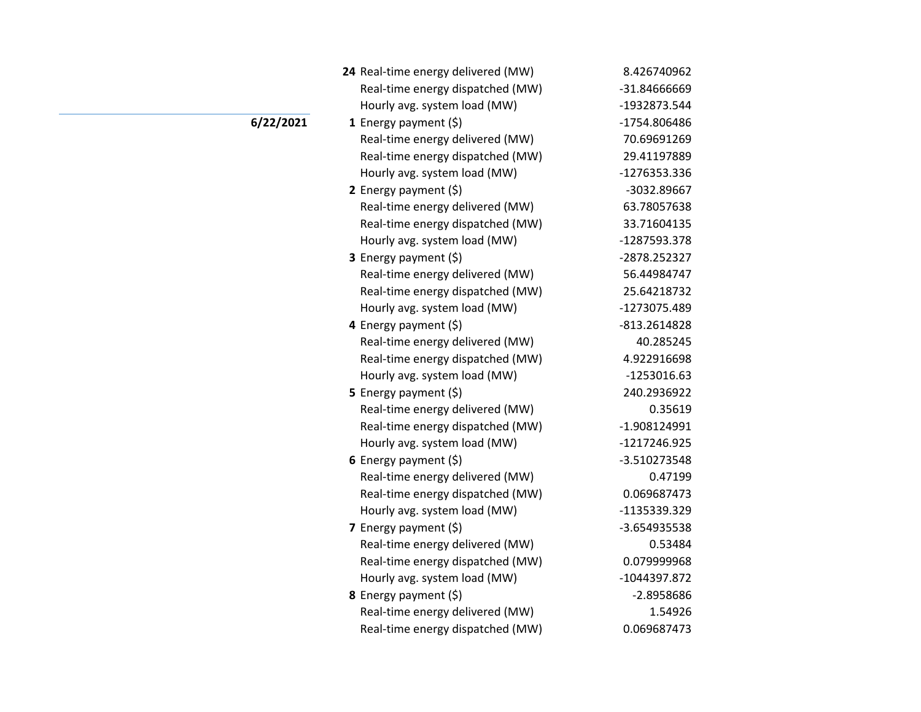| 24 Real-time energy delivered (MW) | 8.426740962    |
|------------------------------------|----------------|
| Real-time energy dispatched (MW)   | -31.84666669   |
| Hourly avg. system load (MW)       | -1932873.544   |
| 1 Energy payment $(\xi)$           | -1754.806486   |
| Real-time energy delivered (MW)    | 70.69691269    |
| Real-time energy dispatched (MW)   | 29.41197889    |
| Hourly avg. system load (MW)       | -1276353.336   |
| 2 Energy payment $(\xi)$           | -3032.89667    |
| Real-time energy delivered (MW)    | 63.78057638    |
| Real-time energy dispatched (MW)   | 33.71604135    |
| Hourly avg. system load (MW)       | -1287593.378   |
| <b>3</b> Energy payment $(\xi)$    | -2878.252327   |
| Real-time energy delivered (MW)    | 56.44984747    |
| Real-time energy dispatched (MW)   | 25.64218732    |
| Hourly avg. system load (MW)       | -1273075.489   |
| 4 Energy payment (\$)              | -813.2614828   |
| Real-time energy delivered (MW)    | 40.285245      |
| Real-time energy dispatched (MW)   | 4.922916698    |
| Hourly avg. system load (MW)       | -1253016.63    |
| 5 Energy payment (\$)              | 240.2936922    |
| Real-time energy delivered (MW)    | 0.35619        |
| Real-time energy dispatched (MW)   | $-1.908124991$ |
| Hourly avg. system load (MW)       | -1217246.925   |
| 6 Energy payment $(5)$             | -3.510273548   |
| Real-time energy delivered (MW)    | 0.47199        |
| Real-time energy dispatched (MW)   | 0.069687473    |
| Hourly avg. system load (MW)       | -1135339.329   |
| 7 Energy payment (\$)              | -3.654935538   |
| Real-time energy delivered (MW)    | 0.53484        |
| Real-time energy dispatched (MW)   | 0.079999968    |
| Hourly avg. system load (MW)       | -1044397.872   |
| <b>8</b> Energy payment $(\xi)$    | -2.8958686     |
| Real-time energy delivered (MW)    | 1.54926        |
| Real-time energy dispatched (MW)   | 0.069687473    |

## **6/22/2021**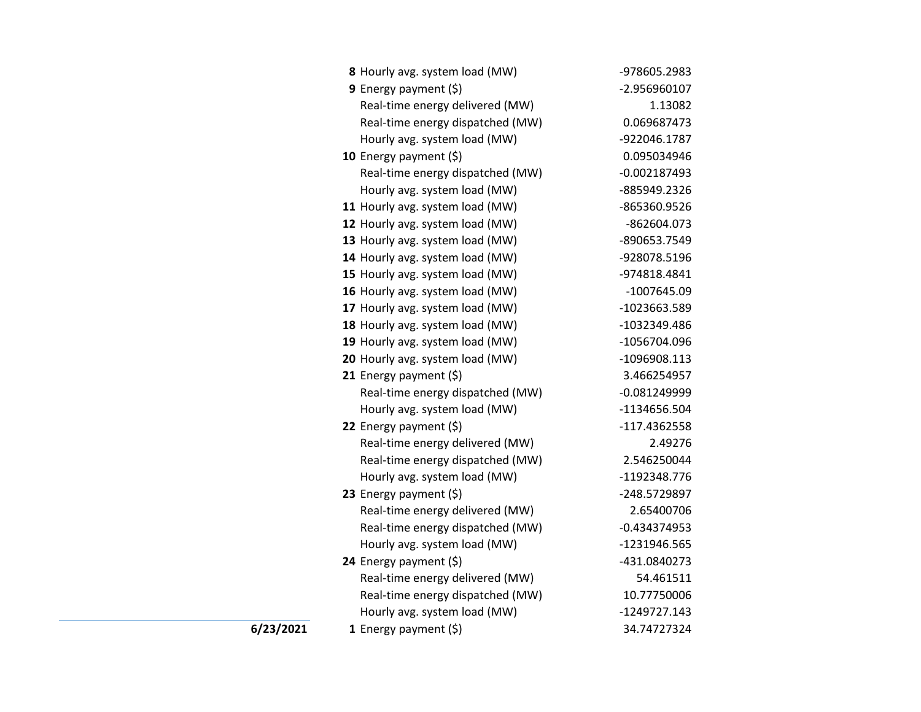| 8 Hourly avg. system load (MW)   | -978605.2983   |
|----------------------------------|----------------|
| 9 Energy payment (\$)            | -2.956960107   |
| Real-time energy delivered (MW)  | 1.13082        |
| Real-time energy dispatched (MW) | 0.069687473    |
| Hourly avg. system load (MW)     | -922046.1787   |
| 10 Energy payment $(5)$          | 0.095034946    |
| Real-time energy dispatched (MW) | $-0.002187493$ |
| Hourly avg. system load (MW)     | -885949.2326   |
| 11 Hourly avg. system load (MW)  | -865360.9526   |
| 12 Hourly avg. system load (MW)  | -862604.073    |
| 13 Hourly avg. system load (MW)  | -890653.7549   |
| 14 Hourly avg. system load (MW)  | -928078.5196   |
| 15 Hourly avg. system load (MW)  | -974818.4841   |
| 16 Hourly avg. system load (MW)  | $-1007645.09$  |
| 17 Hourly avg. system load (MW)  | -1023663.589   |
| 18 Hourly avg. system load (MW)  | -1032349.486   |
| 19 Hourly avg. system load (MW)  | -1056704.096   |
| 20 Hourly avg. system load (MW)  | -1096908.113   |
| 21 Energy payment (\$)           | 3.466254957    |
| Real-time energy dispatched (MW) | $-0.081249999$ |
| Hourly avg. system load (MW)     | -1134656.504   |
| 22 Energy payment $(\xi)$        | $-117.4362558$ |
| Real-time energy delivered (MW)  | 2.49276        |
| Real-time energy dispatched (MW) | 2.546250044    |
| Hourly avg. system load (MW)     | -1192348.776   |
| 23 Energy payment (\$)           | -248.5729897   |
| Real-time energy delivered (MW)  | 2.65400706     |
| Real-time energy dispatched (MW) | $-0.434374953$ |
| Hourly avg. system load (MW)     | -1231946.565   |
| 24 Energy payment (\$)           | -431.0840273   |
| Real-time energy delivered (MW)  | 54.461511      |
| Real-time energy dispatched (MW) | 10.77750006    |
| Hourly avg. system load (MW)     | $-1249727.143$ |
| 1 Energy payment $(5)$           | 34.74727324    |

**6/23/2021**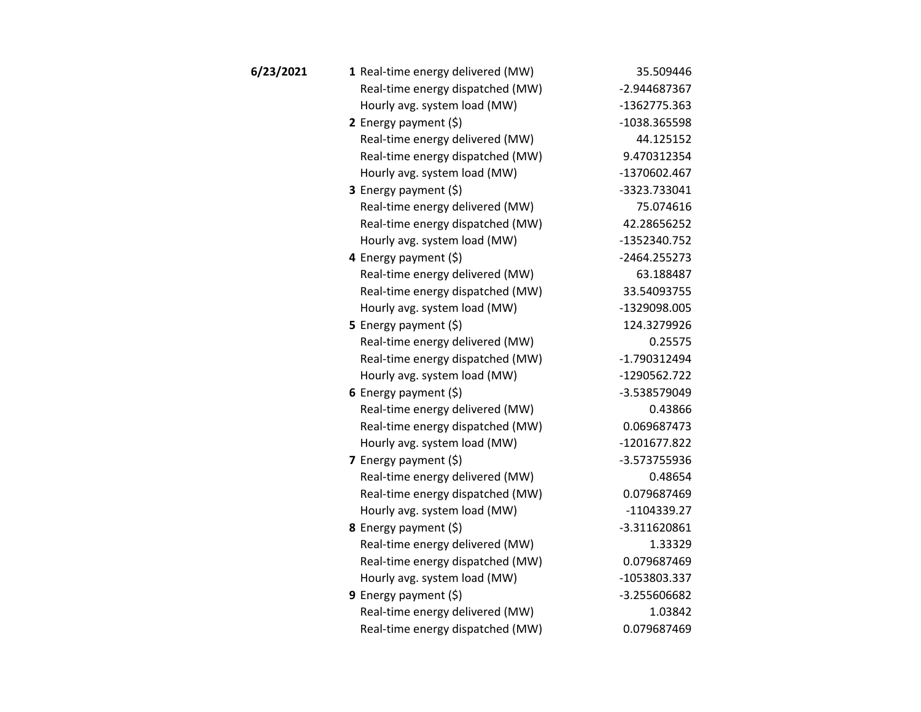| 6/23/2021 | 1 Real-time energy delivered (MW) | 35.509446     |
|-----------|-----------------------------------|---------------|
|           | Real-time energy dispatched (MW)  | -2.944687367  |
|           | Hourly avg. system load (MW)      | -1362775.363  |
|           | 2 Energy payment (\$)             | -1038.365598  |
|           | Real-time energy delivered (MW)   | 44.125152     |
|           | Real-time energy dispatched (MW)  | 9.470312354   |
|           | Hourly avg. system load (MW)      | -1370602.467  |
|           | <b>3</b> Energy payment $(\xi)$   | -3323.733041  |
|           | Real-time energy delivered (MW)   | 75.074616     |
|           | Real-time energy dispatched (MW)  | 42.28656252   |
|           | Hourly avg. system load (MW)      | -1352340.752  |
|           | 4 Energy payment (\$)             | -2464.255273  |
|           | Real-time energy delivered (MW)   | 63.188487     |
|           | Real-time energy dispatched (MW)  | 33.54093755   |
|           | Hourly avg. system load (MW)      | -1329098.005  |
|           | 5 Energy payment $(5)$            | 124.3279926   |
|           | Real-time energy delivered (MW)   | 0.25575       |
|           | Real-time energy dispatched (MW)  | -1.790312494  |
|           | Hourly avg. system load (MW)      | -1290562.722  |
|           | 6 Energy payment $(5)$            | -3.538579049  |
|           | Real-time energy delivered (MW)   | 0.43866       |
|           | Real-time energy dispatched (MW)  | 0.069687473   |
|           | Hourly avg. system load (MW)      | -1201677.822  |
|           | 7 Energy payment $(\xi)$          | -3.573755936  |
|           | Real-time energy delivered (MW)   | 0.48654       |
|           | Real-time energy dispatched (MW)  | 0.079687469   |
|           | Hourly avg. system load (MW)      | $-1104339.27$ |
|           | <b>8</b> Energy payment $(\xi)$   | -3.311620861  |
|           | Real-time energy delivered (MW)   | 1.33329       |
|           | Real-time energy dispatched (MW)  | 0.079687469   |
|           | Hourly avg. system load (MW)      | -1053803.337  |
|           | <b>9</b> Energy payment $(\xi)$   | -3.255606682  |
|           | Real-time energy delivered (MW)   | 1.03842       |
|           | Real-time energy dispatched (MW)  | 0.079687469   |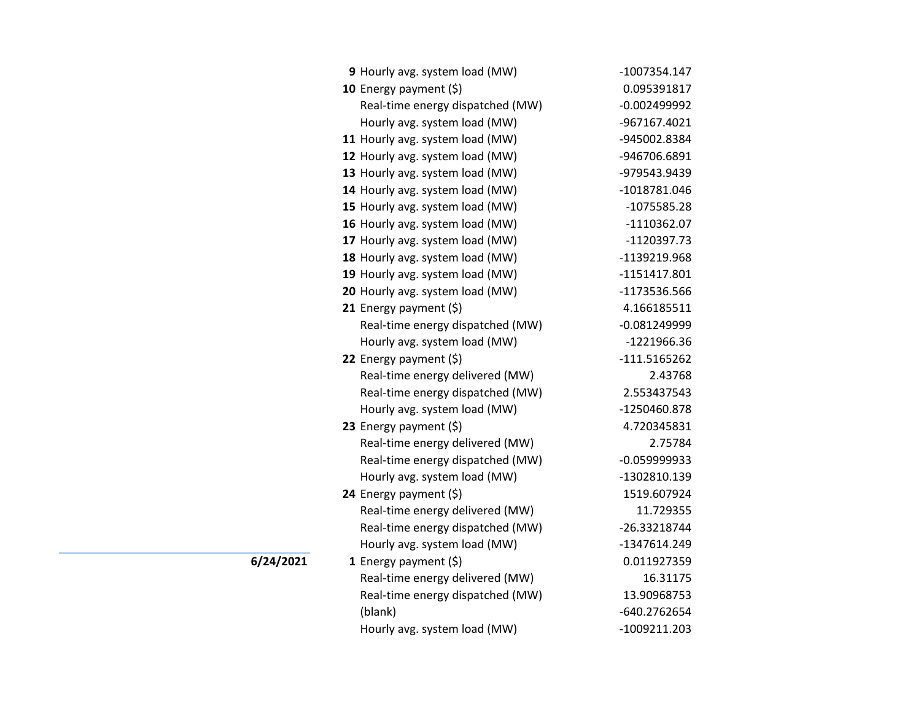| 9 Hourly avg. system load (MW)   | -1007354.147   |
|----------------------------------|----------------|
| 10 Energy payment $(\xi)$        | 0.095391817    |
| Real-time energy dispatched (MW) | $-0.002499992$ |
| Hourly avg. system load (MW)     | -967167.4021   |
| 11 Hourly avg. system load (MW)  | -945002.8384   |
| 12 Hourly avg. system load (MW)  | -946706.6891   |
| 13 Hourly avg. system load (MW)  | -979543.9439   |
| 14 Hourly avg. system load (MW)  | -1018781.046   |
| 15 Hourly avg. system load (MW)  | $-1075585.28$  |
| 16 Hourly avg. system load (MW)  | $-1110362.07$  |
| 17 Hourly avg. system load (MW)  | -1120397.73    |
| 18 Hourly avg. system load (MW)  | -1139219.968   |
| 19 Hourly avg. system load (MW)  | $-1151417.801$ |
| 20 Hourly avg. system load (MW)  | -1173536.566   |
| 21 Energy payment (\$)           | 4.166185511    |
| Real-time energy dispatched (MW) | $-0.081249999$ |
| Hourly avg. system load (MW)     | -1221966.36    |
| 22 Energy payment (\$)           | $-111.5165262$ |
| Real-time energy delivered (MW)  | 2.43768        |
| Real-time energy dispatched (MW) | 2.553437543    |
| Hourly avg. system load (MW)     | -1250460.878   |
| 23 Energy payment $(5)$          | 4.720345831    |
| Real-time energy delivered (MW)  | 2.75784        |
| Real-time energy dispatched (MW) | $-0.059999933$ |
| Hourly avg. system load (MW)     | -1302810.139   |
| 24 Energy payment (\$)           | 1519.607924    |
| Real-time energy delivered (MW)  | 11.729355      |
| Real-time energy dispatched (MW) | -26.33218744   |
| Hourly avg. system load (MW)     | -1347614.249   |
| 1 Energy payment (\$)            | 0.011927359    |
| Real-time energy delivered (MW)  | 16.31175       |
| Real-time energy dispatched (MW) | 13.90968753    |
| (blank)                          | -640.2762654   |
| Hourly avg. system load (MW)     | -1009211.203   |

 $\overline{6/24/2021}$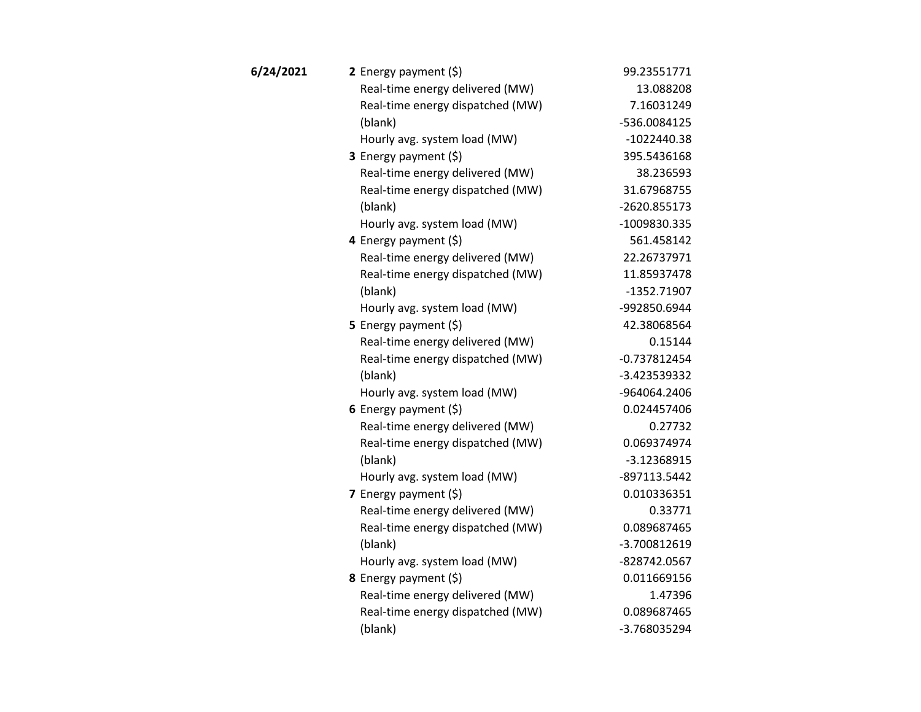| 6/24/2021 | 2 Energy payment $(\xi)$         | 99.23551771    |
|-----------|----------------------------------|----------------|
|           | Real-time energy delivered (MW)  | 13.088208      |
|           | Real-time energy dispatched (MW) | 7.16031249     |
|           | (blank)                          | -536.0084125   |
|           | Hourly avg. system load (MW)     | $-1022440.38$  |
|           | <b>3</b> Energy payment $(\xi)$  | 395.5436168    |
|           | Real-time energy delivered (MW)  | 38.236593      |
|           | Real-time energy dispatched (MW) | 31.67968755    |
|           | (blank)                          | -2620.855173   |
|           | Hourly avg. system load (MW)     | -1009830.335   |
|           | 4 Energy payment (\$)            | 561.458142     |
|           | Real-time energy delivered (MW)  | 22.26737971    |
|           | Real-time energy dispatched (MW) | 11.85937478    |
|           | (blank)                          | $-1352.71907$  |
|           | Hourly avg. system load (MW)     | -992850.6944   |
|           | <b>5</b> Energy payment $(\xi)$  | 42.38068564    |
|           | Real-time energy delivered (MW)  | 0.15144        |
|           | Real-time energy dispatched (MW) | $-0.737812454$ |
|           | (blank)                          | -3.423539332   |
|           | Hourly avg. system load (MW)     | -964064.2406   |
|           | 6 Energy payment $(5)$           | 0.024457406    |
|           | Real-time energy delivered (MW)  | 0.27732        |
|           | Real-time energy dispatched (MW) | 0.069374974    |
|           | (blank)                          | $-3.12368915$  |
|           | Hourly avg. system load (MW)     | -897113.5442   |
|           | 7 Energy payment (\$)            | 0.010336351    |
|           | Real-time energy delivered (MW)  | 0.33771        |
|           | Real-time energy dispatched (MW) | 0.089687465    |
|           | (blank)                          | -3.700812619   |
|           | Hourly avg. system load (MW)     | -828742.0567   |
|           | 8 Energy payment (\$)            | 0.011669156    |
|           | Real-time energy delivered (MW)  | 1.47396        |
|           | Real-time energy dispatched (MW) | 0.089687465    |
|           | (blank)                          | -3.768035294   |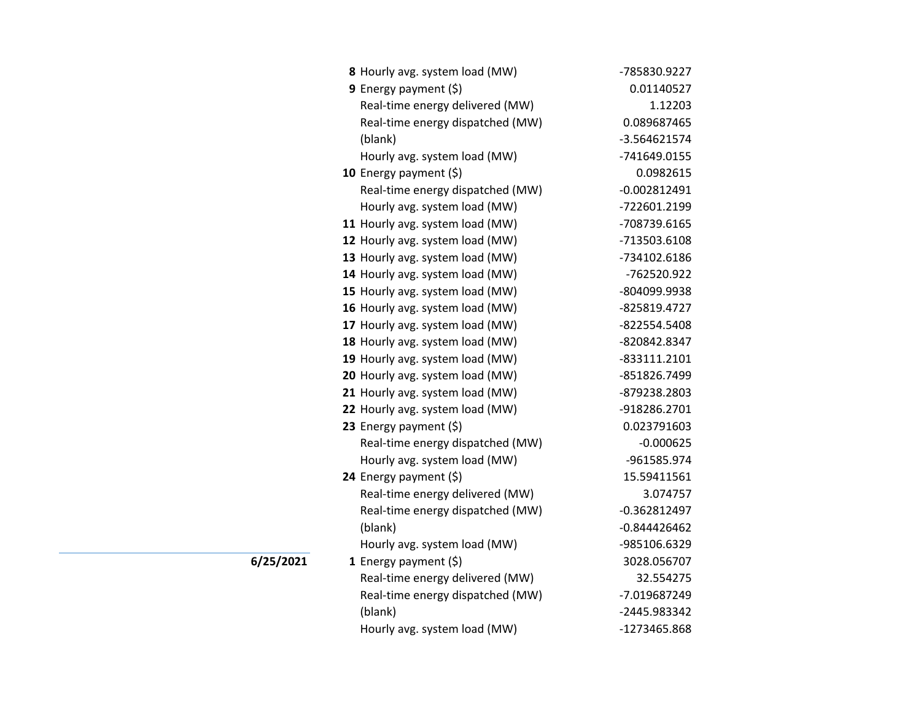| 8 Hourly avg. system load (MW)   | -785830.9227   |
|----------------------------------|----------------|
| 9 Energy payment (\$)            | 0.01140527     |
| Real-time energy delivered (MW)  | 1.12203        |
| Real-time energy dispatched (MW) | 0.089687465    |
| (blank)                          | -3.564621574   |
| Hourly avg. system load (MW)     | -741649.0155   |
| 10 Energy payment (\$)           | 0.0982615      |
| Real-time energy dispatched (MW) | $-0.002812491$ |
| Hourly avg. system load (MW)     | -722601.2199   |
| 11 Hourly avg. system load (MW)  | -708739.6165   |
| 12 Hourly avg. system load (MW)  | -713503.6108   |
| 13 Hourly avg. system load (MW)  | -734102.6186   |
| 14 Hourly avg. system load (MW)  | -762520.922    |
| 15 Hourly avg. system load (MW)  | -804099.9938   |
| 16 Hourly avg. system load (MW)  | -825819.4727   |
| 17 Hourly avg. system load (MW)  | -822554.5408   |
| 18 Hourly avg. system load (MW)  | -820842.8347   |
| 19 Hourly avg. system load (MW)  | -833111.2101   |
| 20 Hourly avg. system load (MW)  | -851826.7499   |
| 21 Hourly avg. system load (MW)  | -879238.2803   |
| 22 Hourly avg. system load (MW)  | -918286.2701   |
| 23 Energy payment (\$)           | 0.023791603    |
| Real-time energy dispatched (MW) | $-0.000625$    |
| Hourly avg. system load (MW)     | -961585.974    |
| 24 Energy payment (\$)           | 15.59411561    |
| Real-time energy delivered (MW)  | 3.074757       |
| Real-time energy dispatched (MW) | $-0.362812497$ |
| (blank)                          | $-0.844426462$ |
| Hourly avg. system load (MW)     | -985106.6329   |
| 1 Energy payment $(\xi)$         | 3028.056707    |
| Real-time energy delivered (MW)  | 32.554275      |
| Real-time energy dispatched (MW) | -7.019687249   |
| (blank)                          | -2445.983342   |
| Hourly avg. system load (MW)     | -1273465.868   |

**6/25/2021**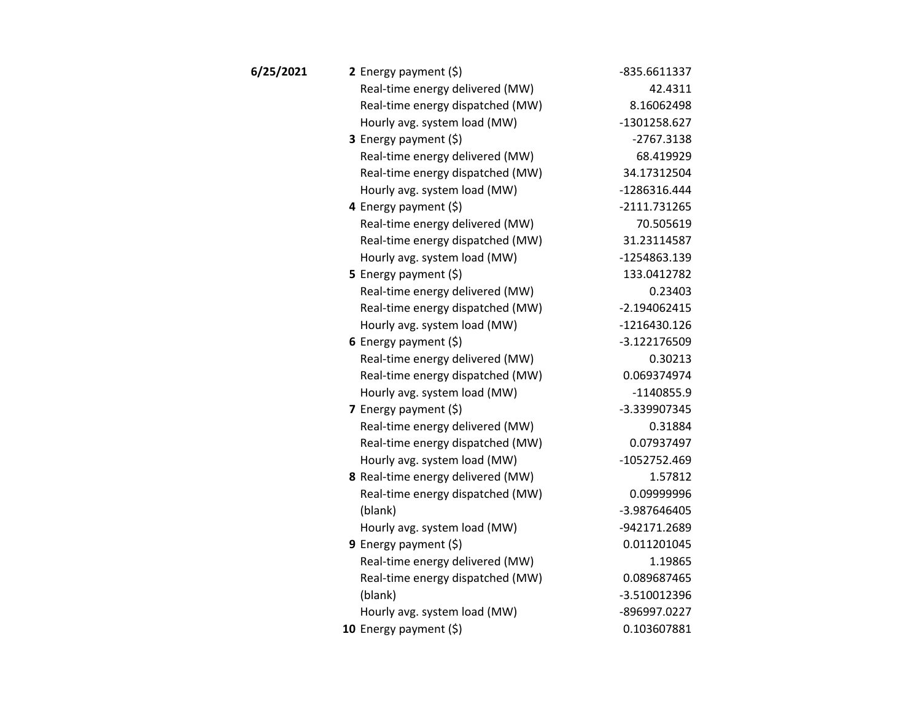| 6/25/2021 | 2 Energy payment $(\xi)$          | -835.6611337   |
|-----------|-----------------------------------|----------------|
|           | Real-time energy delivered (MW)   | 42.4311        |
|           | Real-time energy dispatched (MW)  | 8.16062498     |
|           | Hourly avg. system load (MW)      | -1301258.627   |
|           | 3 Energy payment (\$)             | $-2767.3138$   |
|           | Real-time energy delivered (MW)   | 68.419929      |
|           | Real-time energy dispatched (MW)  | 34.17312504    |
|           | Hourly avg. system load (MW)      | -1286316.444   |
|           | 4 Energy payment $(\xi)$          | $-2111.731265$ |
|           | Real-time energy delivered (MW)   | 70.505619      |
|           | Real-time energy dispatched (MW)  | 31.23114587    |
|           | Hourly avg. system load (MW)      | -1254863.139   |
|           | 5 Energy payment (\$)             | 133.0412782    |
|           | Real-time energy delivered (MW)   | 0.23403        |
|           | Real-time energy dispatched (MW)  | $-2.194062415$ |
|           | Hourly avg. system load (MW)      | $-1216430.126$ |
|           | 6 Energy payment $(5)$            | -3.122176509   |
|           | Real-time energy delivered (MW)   | 0.30213        |
|           | Real-time energy dispatched (MW)  | 0.069374974    |
|           | Hourly avg. system load (MW)      | $-1140855.9$   |
|           | 7 Energy payment (\$)             | -3.339907345   |
|           | Real-time energy delivered (MW)   | 0.31884        |
|           | Real-time energy dispatched (MW)  | 0.07937497     |
|           | Hourly avg. system load (MW)      | -1052752.469   |
|           | 8 Real-time energy delivered (MW) | 1.57812        |
|           | Real-time energy dispatched (MW)  | 0.09999996     |
|           | (blank)                           | -3.987646405   |
|           | Hourly avg. system load (MW)      | -942171.2689   |
|           | 9 Energy payment $(\xi)$          | 0.011201045    |
|           | Real-time energy delivered (MW)   | 1.19865        |
|           | Real-time energy dispatched (MW)  | 0.089687465    |
|           | (blank)                           | $-3.510012396$ |
|           | Hourly avg. system load (MW)      | -896997.0227   |
|           | 10 Energy payment (\$)            | 0.103607881    |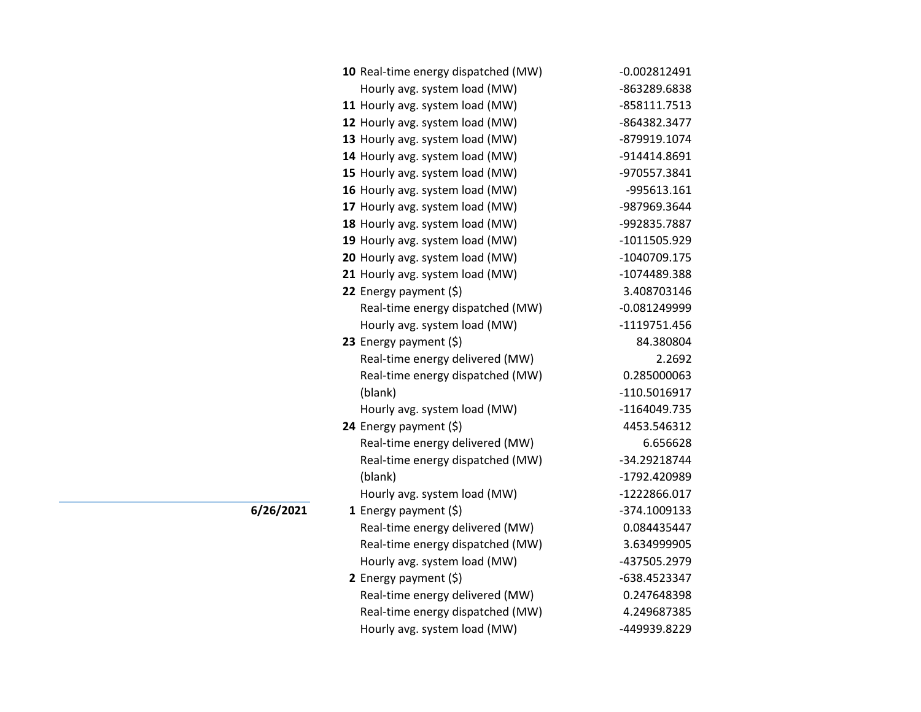| 10 Real-time energy dispatched (MW) | $-0.002812491$ |
|-------------------------------------|----------------|
| Hourly avg. system load (MW)        | -863289.6838   |
| 11 Hourly avg. system load (MW)     | -858111.7513   |
| 12 Hourly avg. system load (MW)     | -864382.3477   |
| 13 Hourly avg. system load (MW)     | -879919.1074   |
| 14 Hourly avg. system load (MW)     | -914414.8691   |
| 15 Hourly avg. system load (MW)     | -970557.3841   |
| 16 Hourly avg. system load (MW)     | -995613.161    |
| 17 Hourly avg. system load (MW)     | -987969.3644   |
| 18 Hourly avg. system load (MW)     | -992835.7887   |
| 19 Hourly avg. system load (MW)     | -1011505.929   |
| 20 Hourly avg. system load (MW)     | -1040709.175   |
| 21 Hourly avg. system load (MW)     | -1074489.388   |
| 22 Energy payment (\$)              | 3.408703146    |
| Real-time energy dispatched (MW)    | $-0.081249999$ |
| Hourly avg. system load (MW)        | -1119751.456   |
| 23 Energy payment $(\xi)$           | 84.380804      |
| Real-time energy delivered (MW)     | 2.2692         |
| Real-time energy dispatched (MW)    | 0.285000063    |
| (blank)                             | -110.5016917   |
| Hourly avg. system load (MW)        | -1164049.735   |
| 24 Energy payment (\$)              | 4453.546312    |
| Real-time energy delivered (MW)     | 6.656628       |
| Real-time energy dispatched (MW)    | -34.29218744   |
| (blank)                             | -1792.420989   |
| Hourly avg. system load (MW)        | -1222866.017   |
| 1 Energy payment $(\$)$             | -374.1009133   |
| Real-time energy delivered (MW)     | 0.084435447    |
| Real-time energy dispatched (MW)    | 3.634999905    |
| Hourly avg. system load (MW)        | -437505.2979   |
| 2 Energy payment (\$)               | -638.4523347   |
| Real-time energy delivered (MW)     | 0.247648398    |
| Real-time energy dispatched (MW)    | 4.249687385    |
| Hourly avg. system load (MW)        | -449939.8229   |

**6/26/2021**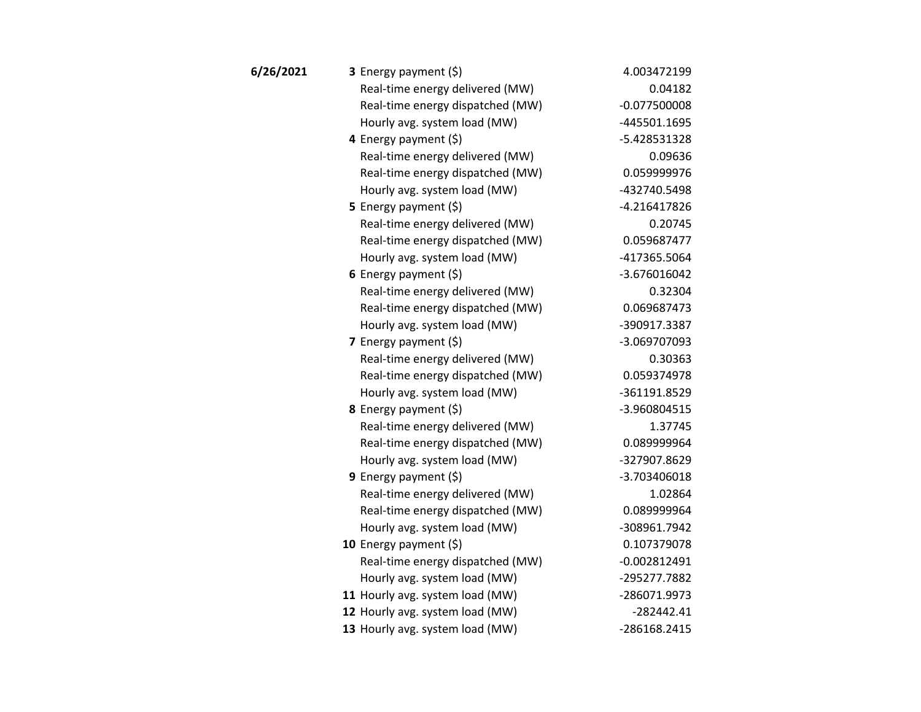| 6/26/2021 | 3 Energy payment (\$)            | 4.003472199    |
|-----------|----------------------------------|----------------|
|           | Real-time energy delivered (MW)  | 0.04182        |
|           | Real-time energy dispatched (MW) | $-0.077500008$ |
|           | Hourly avg. system load (MW)     | -445501.1695   |
|           | 4 Energy payment (\$)            | -5.428531328   |
|           | Real-time energy delivered (MW)  | 0.09636        |
|           | Real-time energy dispatched (MW) | 0.059999976    |
|           | Hourly avg. system load (MW)     | -432740.5498   |
|           | <b>5</b> Energy payment $(\xi)$  | $-4.216417826$ |
|           | Real-time energy delivered (MW)  | 0.20745        |
|           | Real-time energy dispatched (MW) | 0.059687477    |
|           | Hourly avg. system load (MW)     | -417365.5064   |
|           | 6 Energy payment $(\xi)$         | $-3.676016042$ |
|           | Real-time energy delivered (MW)  | 0.32304        |
|           | Real-time energy dispatched (MW) | 0.069687473    |
|           | Hourly avg. system load (MW)     | -390917.3387   |
|           | 7 Energy payment (\$)            | -3.069707093   |
|           | Real-time energy delivered (MW)  | 0.30363        |
|           | Real-time energy dispatched (MW) | 0.059374978    |
|           | Hourly avg. system load (MW)     | -361191.8529   |
|           | 8 Energy payment (\$)            | -3.960804515   |
|           | Real-time energy delivered (MW)  | 1.37745        |
|           | Real-time energy dispatched (MW) | 0.089999964    |
|           | Hourly avg. system load (MW)     | -327907.8629   |
|           | 9 Energy payment (\$)            | -3.703406018   |
|           | Real-time energy delivered (MW)  | 1.02864        |
|           | Real-time energy dispatched (MW) | 0.089999964    |
|           | Hourly avg. system load (MW)     | -308961.7942   |
|           | 10 Energy payment (\$)           | 0.107379078    |
|           | Real-time energy dispatched (MW) | $-0.002812491$ |
|           | Hourly avg. system load (MW)     | -295277.7882   |
|           | 11 Hourly avg. system load (MW)  | -286071.9973   |
|           | 12 Hourly avg. system load (MW)  | $-282442.41$   |
|           | 13 Hourly avg. system load (MW)  | -286168.2415   |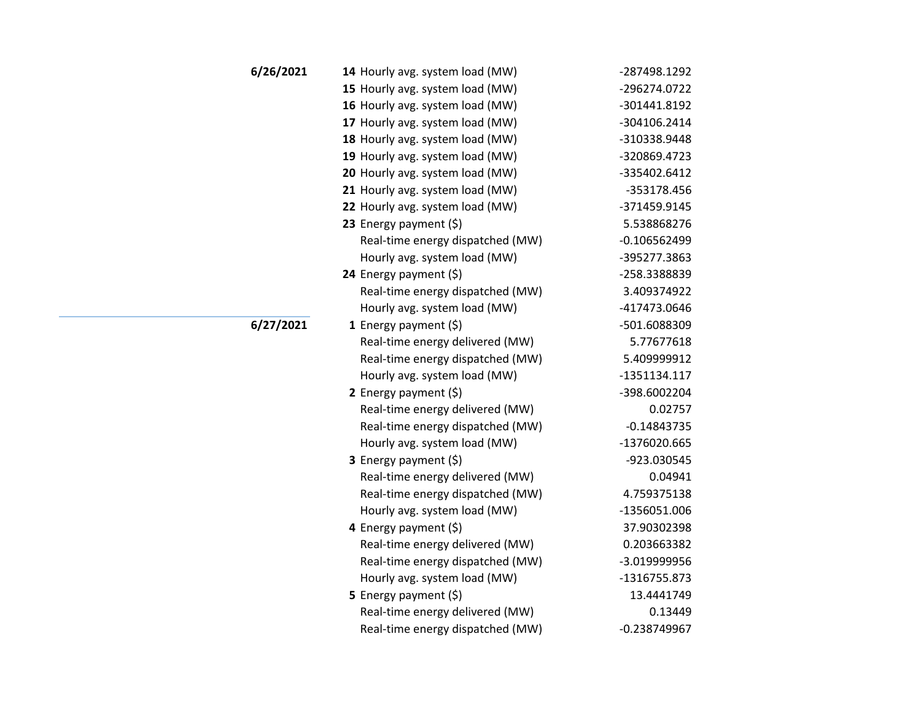| 6/26/2021 | 14 Hourly avg. system load (MW)  | -287498.1292   |
|-----------|----------------------------------|----------------|
|           | 15 Hourly avg. system load (MW)  | -296274.0722   |
|           | 16 Hourly avg. system load (MW)  | -301441.8192   |
|           | 17 Hourly avg. system load (MW)  | -304106.2414   |
|           | 18 Hourly avg. system load (MW)  | -310338.9448   |
|           | 19 Hourly avg. system load (MW)  | -320869.4723   |
|           | 20 Hourly avg. system load (MW)  | -335402.6412   |
|           | 21 Hourly avg. system load (MW)  | -353178.456    |
|           | 22 Hourly avg. system load (MW)  | -371459.9145   |
|           | 23 Energy payment $(\xi)$        | 5.538868276    |
|           | Real-time energy dispatched (MW) | $-0.106562499$ |
|           | Hourly avg. system load (MW)     | -395277.3863   |
|           | 24 Energy payment (\$)           | -258.3388839   |
|           | Real-time energy dispatched (MW) | 3.409374922    |
|           | Hourly avg. system load (MW)     | -417473.0646   |
| 6/27/2021 | 1 Energy payment $(5)$           | -501.6088309   |
|           | Real-time energy delivered (MW)  | 5.77677618     |
|           | Real-time energy dispatched (MW) | 5.409999912    |
|           | Hourly avg. system load (MW)     | $-1351134.117$ |
|           | 2 Energy payment $(5)$           | -398.6002204   |
|           | Real-time energy delivered (MW)  | 0.02757        |
|           | Real-time energy dispatched (MW) | $-0.14843735$  |
|           | Hourly avg. system load (MW)     | -1376020.665   |
|           | <b>3</b> Energy payment $(\xi)$  | -923.030545    |
|           | Real-time energy delivered (MW)  | 0.04941        |
|           | Real-time energy dispatched (MW) | 4.759375138    |
|           | Hourly avg. system load (MW)     | -1356051.006   |
|           | 4 Energy payment $(\xi)$         | 37.90302398    |
|           | Real-time energy delivered (MW)  | 0.203663382    |
|           | Real-time energy dispatched (MW) | -3.019999956   |
|           | Hourly avg. system load (MW)     | -1316755.873   |
|           | 5 Energy payment (\$)            | 13.4441749     |
|           | Real-time energy delivered (MW)  | 0.13449        |
|           | Real-time energy dispatched (MW) | $-0.238749967$ |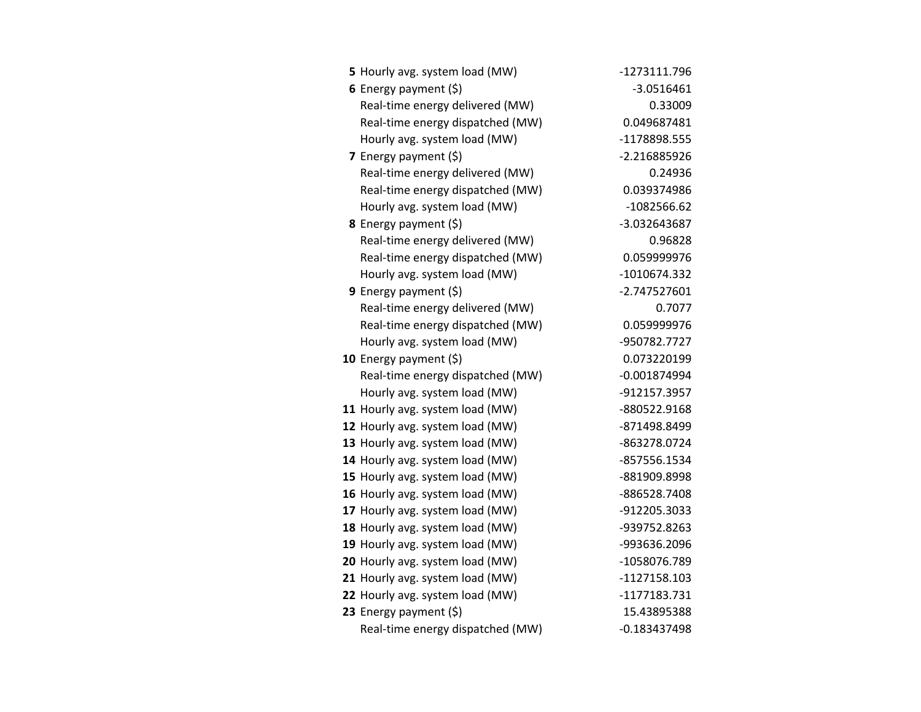| 5 Hourly avg. system load (MW)   | -1273111.796   |
|----------------------------------|----------------|
| 6 Energy payment $(\xi)$         | $-3.0516461$   |
| Real-time energy delivered (MW)  | 0.33009        |
| Real-time energy dispatched (MW) | 0.049687481    |
| Hourly avg. system load (MW)     | -1178898.555   |
| 7 Energy payment $(\xi)$         | -2.216885926   |
| Real-time energy delivered (MW)  | 0.24936        |
| Real-time energy dispatched (MW) | 0.039374986    |
| Hourly avg. system load (MW)     | $-1082566.62$  |
| <b>8</b> Energy payment $(5)$    | -3.032643687   |
| Real-time energy delivered (MW)  | 0.96828        |
| Real-time energy dispatched (MW) | 0.059999976    |
| Hourly avg. system load (MW)     | -1010674.332   |
| <b>9</b> Energy payment $(\xi)$  | -2.747527601   |
| Real-time energy delivered (MW)  | 0.7077         |
| Real-time energy dispatched (MW) | 0.059999976    |
| Hourly avg. system load (MW)     | -950782.7727   |
| 10 Energy payment $(\xi)$        | 0.073220199    |
| Real-time energy dispatched (MW) | $-0.001874994$ |
| Hourly avg. system load (MW)     | -912157.3957   |
| 11 Hourly avg. system load (MW)  | -880522.9168   |
| 12 Hourly avg. system load (MW)  | -871498.8499   |
| 13 Hourly avg. system load (MW)  | -863278.0724   |
| 14 Hourly avg. system load (MW)  | -857556.1534   |
| 15 Hourly avg. system load (MW)  | -881909.8998   |
| 16 Hourly avg. system load (MW)  | -886528.7408   |
| 17 Hourly avg. system load (MW)  | -912205.3033   |
| 18 Hourly avg. system load (MW)  | -939752.8263   |
| 19 Hourly avg. system load (MW)  | -993636.2096   |
| 20 Hourly avg. system load (MW)  | -1058076.789   |
| 21 Hourly avg. system load (MW)  | -1127158.103   |
| 22 Hourly avg. system load (MW)  | -1177183.731   |
| 23 Energy payment $(5)$          | 15.43895388    |
| Real-time energy dispatched (MW) | $-0.183437498$ |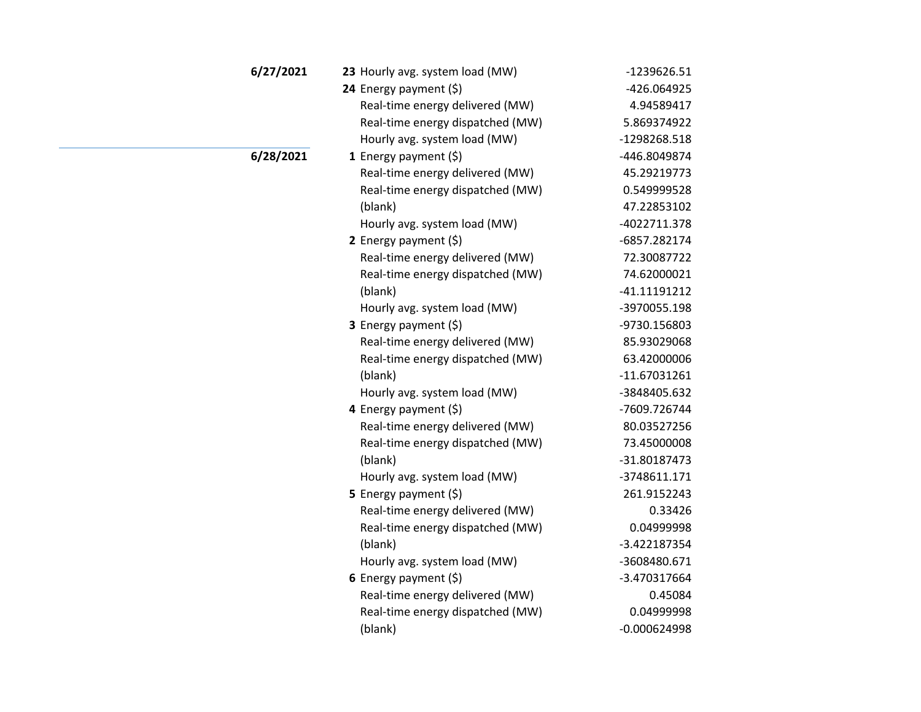| 6/27/2021 | 23 Hourly avg. system load (MW)  | -1239626.51    |
|-----------|----------------------------------|----------------|
|           | 24 Energy payment (\$)           | -426.064925    |
|           | Real-time energy delivered (MW)  | 4.94589417     |
|           | Real-time energy dispatched (MW) | 5.869374922    |
|           | Hourly avg. system load (MW)     | -1298268.518   |
| 6/28/2021 | 1 Energy payment $(\xi)$         | -446.8049874   |
|           | Real-time energy delivered (MW)  | 45.29219773    |
|           | Real-time energy dispatched (MW) | 0.549999528    |
|           | (blank)                          | 47.22853102    |
|           | Hourly avg. system load (MW)     | -4022711.378   |
|           | 2 Energy payment $(5)$           | -6857.282174   |
|           | Real-time energy delivered (MW)  | 72.30087722    |
|           | Real-time energy dispatched (MW) | 74.62000021    |
|           | (blank)                          | -41.11191212   |
|           | Hourly avg. system load (MW)     | -3970055.198   |
|           | 3 Energy payment (\$)            | -9730.156803   |
|           | Real-time energy delivered (MW)  | 85.93029068    |
|           | Real-time energy dispatched (MW) | 63.42000006    |
|           | (blank)                          | $-11.67031261$ |
|           | Hourly avg. system load (MW)     | -3848405.632   |
|           | 4 Energy payment (\$)            | -7609.726744   |
|           | Real-time energy delivered (MW)  | 80.03527256    |
|           | Real-time energy dispatched (MW) | 73.45000008    |
|           | (blank)                          | -31.80187473   |
|           | Hourly avg. system load (MW)     | -3748611.171   |
|           | 5 Energy payment (\$)            | 261.9152243    |
|           | Real-time energy delivered (MW)  | 0.33426        |
|           | Real-time energy dispatched (MW) | 0.04999998     |
|           | (blank)                          | -3.422187354   |
|           | Hourly avg. system load (MW)     | -3608480.671   |
|           | 6 Energy payment $(5)$           | -3.470317664   |
|           | Real-time energy delivered (MW)  | 0.45084        |
|           | Real-time energy dispatched (MW) | 0.04999998     |
|           | (blank)                          | $-0.000624998$ |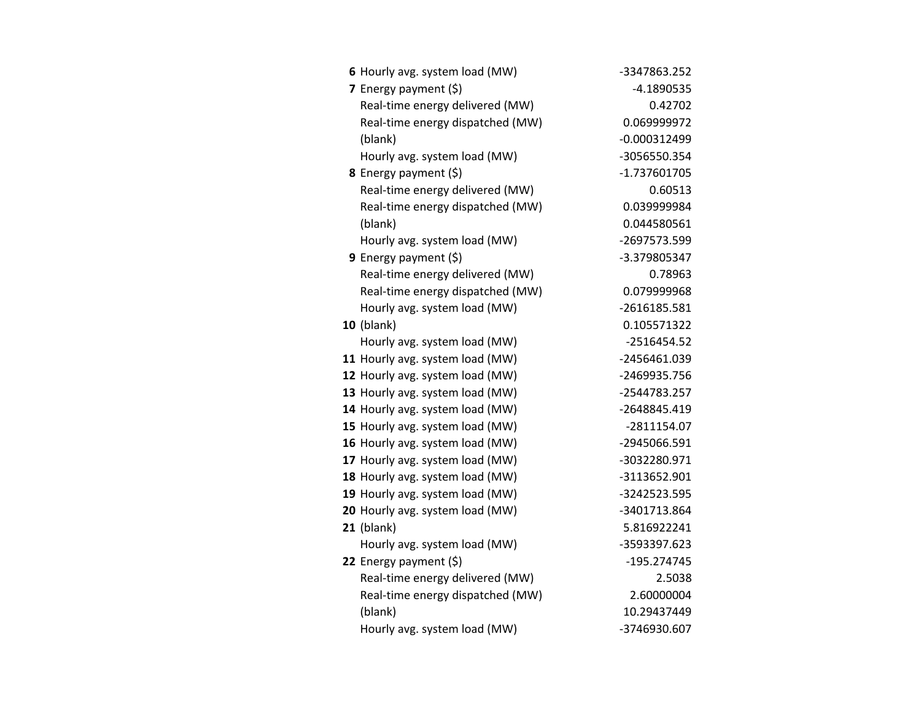| 6 Hourly avg. system load (MW)   | -3347863.252   |
|----------------------------------|----------------|
| 7 Energy payment (\$)            | $-4.1890535$   |
| Real-time energy delivered (MW)  | 0.42702        |
| Real-time energy dispatched (MW) | 0.069999972    |
| (blank)                          | $-0.000312499$ |
| Hourly avg. system load (MW)     | -3056550.354   |
| 8 Energy payment (\$)            | -1.737601705   |
| Real-time energy delivered (MW)  | 0.60513        |
| Real-time energy dispatched (MW) | 0.039999984    |
| (blank)                          | 0.044580561    |
| Hourly avg. system load (MW)     | -2697573.599   |
| 9 Energy payment $(5)$           | -3.379805347   |
| Real-time energy delivered (MW)  | 0.78963        |
| Real-time energy dispatched (MW) | 0.079999968    |
| Hourly avg. system load (MW)     | -2616185.581   |
| <b>10</b> (blank)                | 0.105571322    |
| Hourly avg. system load (MW)     | $-2516454.52$  |
| 11 Hourly avg. system load (MW)  | -2456461.039   |
| 12 Hourly avg. system load (MW)  | -2469935.756   |
| 13 Hourly avg. system load (MW)  | -2544783.257   |
| 14 Hourly avg. system load (MW)  | -2648845.419   |
| 15 Hourly avg. system load (MW)  | -2811154.07    |
| 16 Hourly avg. system load (MW)  | -2945066.591   |
| 17 Hourly avg. system load (MW)  | -3032280.971   |
| 18 Hourly avg. system load (MW)  | -3113652.901   |
| 19 Hourly avg. system load (MW)  | -3242523.595   |
| 20 Hourly avg. system load (MW)  | -3401713.864   |
| $21$ (blank)                     | 5.816922241    |
| Hourly avg. system load (MW)     | -3593397.623   |
| 22 Energy payment $(\xi)$        | -195.274745    |
| Real-time energy delivered (MW)  | 2.5038         |
| Real-time energy dispatched (MW) | 2.60000004     |
| (blank)                          | 10.29437449    |
| Hourly avg. system load (MW)     | -3746930.607   |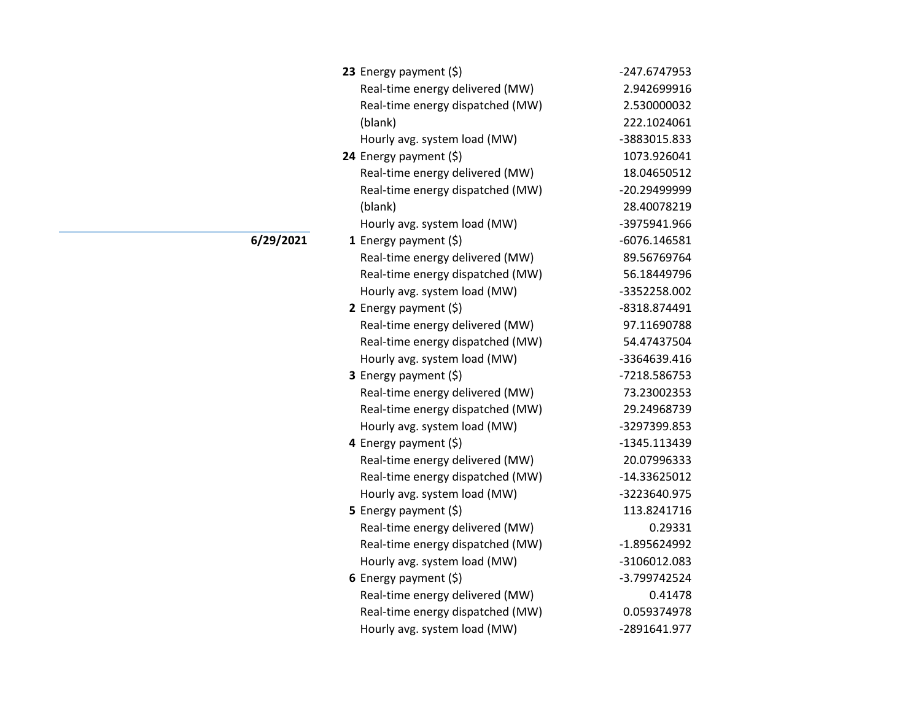| 23 Energy payment $(\xi)$        | -247.6747953 |
|----------------------------------|--------------|
| Real-time energy delivered (MW)  | 2.942699916  |
| Real-time energy dispatched (MW) | 2.530000032  |
| (blank)                          | 222.1024061  |
| Hourly avg. system load (MW)     | -3883015.833 |
| 24 Energy payment (\$)           | 1073.926041  |
| Real-time energy delivered (MW)  | 18.04650512  |
| Real-time energy dispatched (MW) | -20.29499999 |
| (blank)                          | 28.40078219  |
| Hourly avg. system load (MW)     | -3975941.966 |
| 1 Energy payment (\$)            | -6076.146581 |
| Real-time energy delivered (MW)  | 89.56769764  |
| Real-time energy dispatched (MW) | 56.18449796  |
| Hourly avg. system load (MW)     | -3352258.002 |
| 2 Energy payment $(5)$           | -8318.874491 |
| Real-time energy delivered (MW)  | 97.11690788  |
| Real-time energy dispatched (MW) | 54.47437504  |
| Hourly avg. system load (MW)     | -3364639.416 |
| <b>3</b> Energy payment $(\xi)$  | -7218.586753 |
| Real-time energy delivered (MW)  | 73.23002353  |
| Real-time energy dispatched (MW) | 29.24968739  |
| Hourly avg. system load (MW)     | -3297399.853 |
| 4 Energy payment (\$)            | -1345.113439 |
| Real-time energy delivered (MW)  | 20.07996333  |
| Real-time energy dispatched (MW) | -14.33625012 |
| Hourly avg. system load (MW)     | -3223640.975 |
| 5 Energy payment (\$)            | 113.8241716  |
| Real-time energy delivered (MW)  | 0.29331      |
| Real-time energy dispatched (MW) | -1.895624992 |
| Hourly avg. system load (MW)     | -3106012.083 |
| 6 Energy payment $(5)$           | -3.799742524 |
| Real-time energy delivered (MW)  | 0.41478      |
| Real-time energy dispatched (MW) | 0.059374978  |
| Hourly avg. system load (MW)     | -2891641.977 |

**6/29/2021**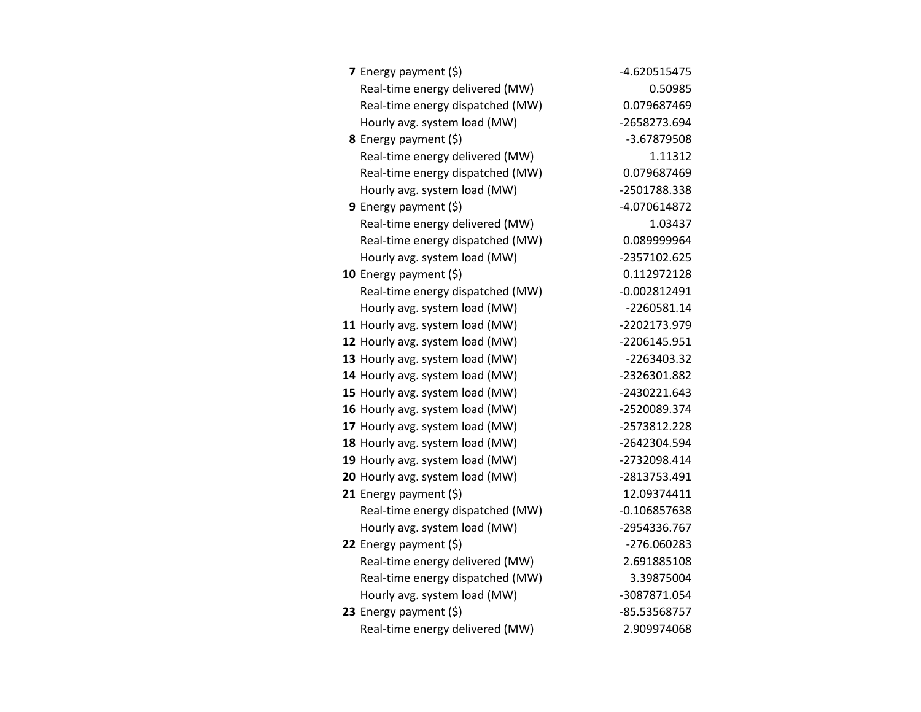| <b>7</b> Energy payment $(\xi)$ |                                  | -4.620515475   |
|---------------------------------|----------------------------------|----------------|
|                                 | Real-time energy delivered (MW)  | 0.50985        |
|                                 | Real-time energy dispatched (MW) | 0.079687469    |
|                                 | Hourly avg. system load (MW)     | -2658273.694   |
| 8 Energy payment (\$)           |                                  | -3.67879508    |
|                                 | Real-time energy delivered (MW)  | 1.11312        |
|                                 | Real-time energy dispatched (MW) | 0.079687469    |
|                                 | Hourly avg. system load (MW)     | -2501788.338   |
| 9 Energy payment $(\xi)$        |                                  | -4.070614872   |
|                                 | Real-time energy delivered (MW)  | 1.03437        |
|                                 | Real-time energy dispatched (MW) | 0.089999964    |
|                                 | Hourly avg. system load (MW)     | -2357102.625   |
| 10 Energy payment (\$)          |                                  | 0.112972128    |
|                                 | Real-time energy dispatched (MW) | $-0.002812491$ |
|                                 | Hourly avg. system load (MW)     | $-2260581.14$  |
|                                 | 11 Hourly avg. system load (MW)  | -2202173.979   |
|                                 | 12 Hourly avg. system load (MW)  | -2206145.951   |
|                                 | 13 Hourly avg. system load (MW)  | -2263403.32    |
|                                 | 14 Hourly avg. system load (MW)  | -2326301.882   |
|                                 | 15 Hourly avg. system load (MW)  | -2430221.643   |
|                                 | 16 Hourly avg. system load (MW)  | -2520089.374   |
|                                 | 17 Hourly avg. system load (MW)  | -2573812.228   |
|                                 | 18 Hourly avg. system load (MW)  | -2642304.594   |
|                                 | 19 Hourly avg. system load (MW)  | -2732098.414   |
|                                 | 20 Hourly avg. system load (MW)  | -2813753.491   |
| 21 Energy payment (\$)          |                                  | 12.09374411    |
|                                 | Real-time energy dispatched (MW) | $-0.106857638$ |
|                                 | Hourly avg. system load (MW)     | -2954336.767   |
| 22 Energy payment (\$)          |                                  | -276.060283    |
|                                 | Real-time energy delivered (MW)  | 2.691885108    |
|                                 | Real-time energy dispatched (MW) | 3.39875004     |
|                                 | Hourly avg. system load (MW)     | -3087871.054   |
| 23 Energy payment $(\xi)$       |                                  | -85.53568757   |
|                                 | Real-time energy delivered (MW)  | 2.909974068    |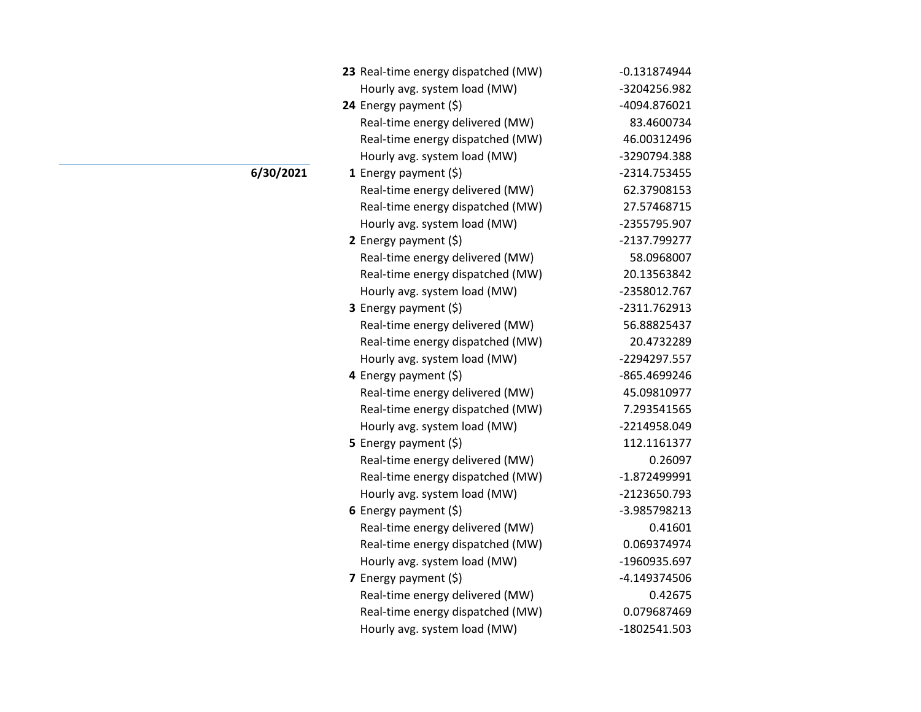| 23 Real-time energy dispatched (MW) | $-0.131874944$ |
|-------------------------------------|----------------|
| Hourly avg. system load (MW)        | -3204256.982   |
| 24 Energy payment (\$)              | -4094.876021   |
| Real-time energy delivered (MW)     | 83.4600734     |
| Real-time energy dispatched (MW)    | 46.00312496    |
| Hourly avg. system load (MW)        | -3290794.388   |
| 1 Energy payment $(\xi)$            | -2314.753455   |
| Real-time energy delivered (MW)     | 62.37908153    |
| Real-time energy dispatched (MW)    | 27.57468715    |
| Hourly avg. system load (MW)        | -2355795.907   |
| 2 Energy payment $(5)$              | -2137.799277   |
| Real-time energy delivered (MW)     | 58.0968007     |
| Real-time energy dispatched (MW)    | 20.13563842    |
| Hourly avg. system load (MW)        | -2358012.767   |
| 3 Energy payment (\$)               | -2311.762913   |
| Real-time energy delivered (MW)     | 56.88825437    |
| Real-time energy dispatched (MW)    | 20.4732289     |
| Hourly avg. system load (MW)        | -2294297.557   |
| 4 Energy payment (\$)               | -865.4699246   |
| Real-time energy delivered (MW)     | 45.09810977    |
| Real-time energy dispatched (MW)    | 7.293541565    |
| Hourly avg. system load (MW)        | -2214958.049   |
| <b>5</b> Energy payment $(\xi)$     | 112.1161377    |
| Real-time energy delivered (MW)     | 0.26097        |
| Real-time energy dispatched (MW)    | $-1.872499991$ |
| Hourly avg. system load (MW)        | -2123650.793   |
| 6 Energy payment $(\xi)$            | -3.985798213   |
| Real-time energy delivered (MW)     | 0.41601        |
| Real-time energy dispatched (MW)    | 0.069374974    |
| Hourly avg. system load (MW)        | -1960935.697   |
| 7 Energy payment (\$)               | -4.149374506   |
| Real-time energy delivered (MW)     | 0.42675        |
| Real-time energy dispatched (MW)    | 0.079687469    |
| Hourly avg. system load (MW)        | -1802541.503   |

**6/30/2021**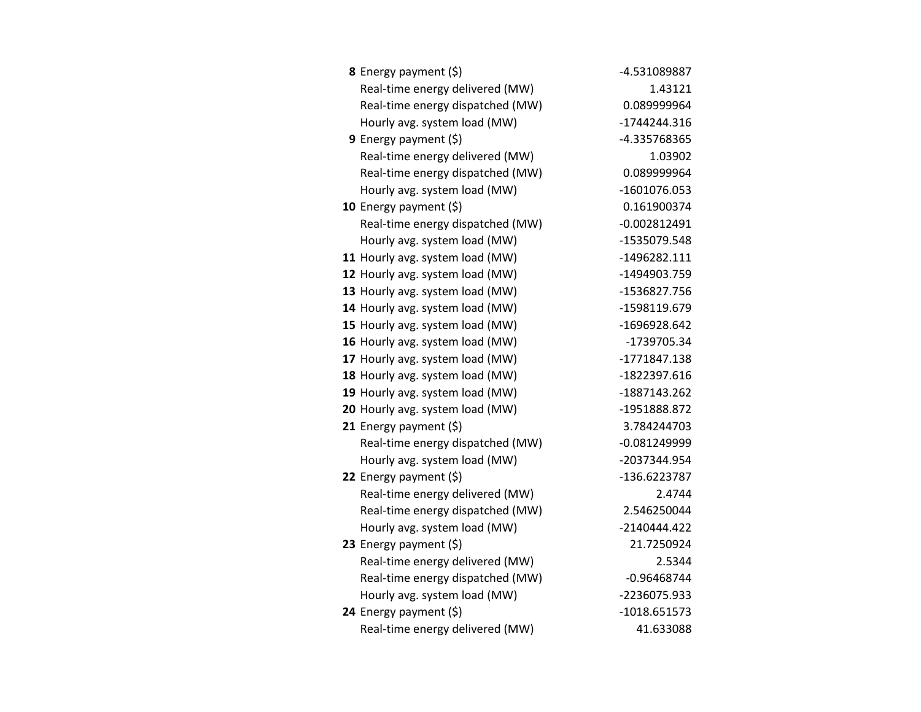| <b>8</b> Energy payment $(\xi)$  | -4.531089887   |
|----------------------------------|----------------|
| Real-time energy delivered (MW)  | 1.43121        |
| Real-time energy dispatched (MW) | 0.089999964    |
| Hourly avg. system load (MW)     | $-1744244.316$ |
| <b>9</b> Energy payment $(\xi)$  | -4.335768365   |
| Real-time energy delivered (MW)  | 1.03902        |
| Real-time energy dispatched (MW) | 0.089999964    |
| Hourly avg. system load (MW)     | -1601076.053   |
| 10 Energy payment $(\xi)$        | 0.161900374    |
| Real-time energy dispatched (MW) | $-0.002812491$ |
| Hourly avg. system load (MW)     | -1535079.548   |
| 11 Hourly avg. system load (MW)  | -1496282.111   |
| 12 Hourly avg. system load (MW)  | -1494903.759   |
| 13 Hourly avg. system load (MW)  | -1536827.756   |
| 14 Hourly avg. system load (MW)  | -1598119.679   |
| 15 Hourly avg. system load (MW)  | -1696928.642   |
| 16 Hourly avg. system load (MW)  | -1739705.34    |
| 17 Hourly avg. system load (MW)  | -1771847.138   |
| 18 Hourly avg. system load (MW)  | -1822397.616   |
| 19 Hourly avg. system load (MW)  | -1887143.262   |
| 20 Hourly avg. system load (MW)  | -1951888.872   |
| 21 Energy payment $(\xi)$        | 3.784244703    |
| Real-time energy dispatched (MW) | $-0.081249999$ |
| Hourly avg. system load (MW)     | -2037344.954   |
| 22 Energy payment $(\xi)$        | -136.6223787   |
| Real-time energy delivered (MW)  | 2.4744         |
| Real-time energy dispatched (MW) | 2.546250044    |
| Hourly avg. system load (MW)     | -2140444.422   |
| 23 Energy payment $(5)$          | 21.7250924     |
| Real-time energy delivered (MW)  | 2.5344         |
| Real-time energy dispatched (MW) | $-0.96468744$  |
| Hourly avg. system load (MW)     | -2236075.933   |
| 24 Energy payment (\$)           | $-1018.651573$ |
| Real-time energy delivered (MW)  | 41.633088      |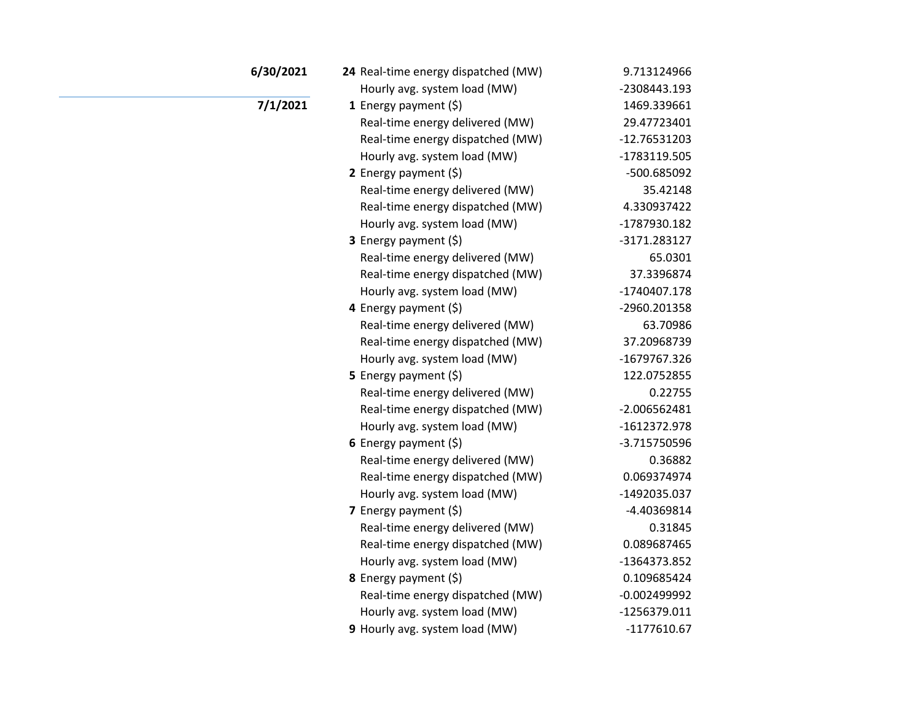| 6/30/2021 | 24 Real-time energy dispatched (MW) | 9.713124966    |
|-----------|-------------------------------------|----------------|
|           | Hourly avg. system load (MW)        | -2308443.193   |
| 7/1/2021  | 1 Energy payment $(\xi)$            | 1469.339661    |
|           | Real-time energy delivered (MW)     | 29.47723401    |
|           | Real-time energy dispatched (MW)    | $-12.76531203$ |
|           | Hourly avg. system load (MW)        | -1783119.505   |
|           | 2 Energy payment $(5)$              | -500.685092    |
|           | Real-time energy delivered (MW)     | 35.42148       |
|           | Real-time energy dispatched (MW)    | 4.330937422    |
|           | Hourly avg. system load (MW)        | -1787930.182   |
|           | 3 Energy payment (\$)               | -3171.283127   |
|           | Real-time energy delivered (MW)     | 65.0301        |
|           | Real-time energy dispatched (MW)    | 37.3396874     |
|           | Hourly avg. system load (MW)        | -1740407.178   |
|           | 4 Energy payment $(\xi)$            | -2960.201358   |
|           | Real-time energy delivered (MW)     | 63.70986       |
|           | Real-time energy dispatched (MW)    | 37.20968739    |
|           | Hourly avg. system load (MW)        | -1679767.326   |
|           | 5 Energy payment (\$)               | 122.0752855    |
|           | Real-time energy delivered (MW)     | 0.22755        |
|           | Real-time energy dispatched (MW)    | $-2.006562481$ |
|           | Hourly avg. system load (MW)        | -1612372.978   |
|           | 6 Energy payment $(5)$              | -3.715750596   |
|           | Real-time energy delivered (MW)     | 0.36882        |
|           | Real-time energy dispatched (MW)    | 0.069374974    |
|           | Hourly avg. system load (MW)        | -1492035.037   |
|           | 7 Energy payment $(5)$              | -4.40369814    |
|           | Real-time energy delivered (MW)     | 0.31845        |
|           | Real-time energy dispatched (MW)    | 0.089687465    |
|           | Hourly avg. system load (MW)        | -1364373.852   |
|           | 8 Energy payment (\$)               | 0.109685424    |
|           | Real-time energy dispatched (MW)    | $-0.002499992$ |
|           | Hourly avg. system load (MW)        | -1256379.011   |
|           | 9 Hourly avg. system load (MW)      | $-1177610.67$  |
|           |                                     |                |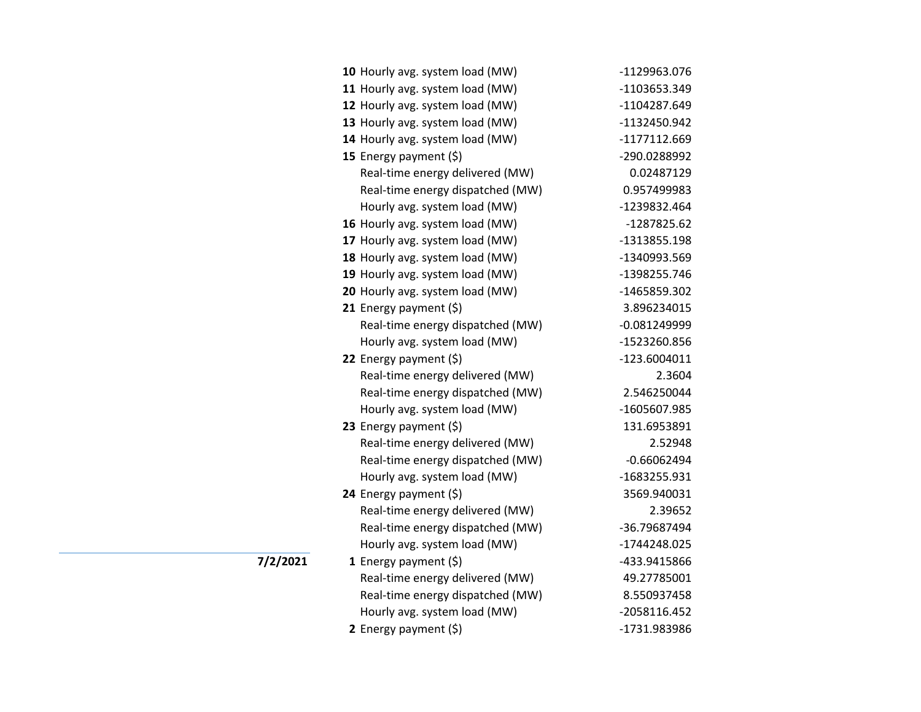| 10 Hourly avg. system load (MW)  | -1129963.076   |
|----------------------------------|----------------|
| 11 Hourly avg. system load (MW)  | -1103653.349   |
| 12 Hourly avg. system load (MW)  | -1104287.649   |
| 13 Hourly avg. system load (MW)  | -1132450.942   |
| 14 Hourly avg. system load (MW)  | -1177112.669   |
| 15 Energy payment (\$)           | -290.0288992   |
| Real-time energy delivered (MW)  | 0.02487129     |
| Real-time energy dispatched (MW) | 0.957499983    |
| Hourly avg. system load (MW)     | -1239832.464   |
| 16 Hourly avg. system load (MW)  | -1287825.62    |
| 17 Hourly avg. system load (MW)  | -1313855.198   |
| 18 Hourly avg. system load (MW)  | -1340993.569   |
| 19 Hourly avg. system load (MW)  | -1398255.746   |
| 20 Hourly avg. system load (MW)  | -1465859.302   |
| 21 Energy payment $(\xi)$        | 3.896234015    |
| Real-time energy dispatched (MW) | $-0.081249999$ |
| Hourly avg. system load (MW)     | -1523260.856   |
| 22 Energy payment (\$)           | $-123.6004011$ |
| Real-time energy delivered (MW)  | 2.3604         |
| Real-time energy dispatched (MW) | 2.546250044    |
| Hourly avg. system load (MW)     | -1605607.985   |
| 23 Energy payment $(5)$          | 131.6953891    |
| Real-time energy delivered (MW)  | 2.52948        |
| Real-time energy dispatched (MW) | $-0.66062494$  |
| Hourly avg. system load (MW)     | -1683255.931   |
| 24 Energy payment (\$)           | 3569.940031    |
| Real-time energy delivered (MW)  | 2.39652        |
| Real-time energy dispatched (MW) | -36.79687494   |
| Hourly avg. system load (MW)     | -1744248.025   |
| 1 Energy payment $(\xi)$         | -433.9415866   |
| Real-time energy delivered (MW)  | 49.27785001    |
| Real-time energy dispatched (MW) | 8.550937458    |
| Hourly avg. system load (MW)     | -2058116.452   |
| 2 Energy payment (\$)            | -1731.983986   |

**1/2/2021**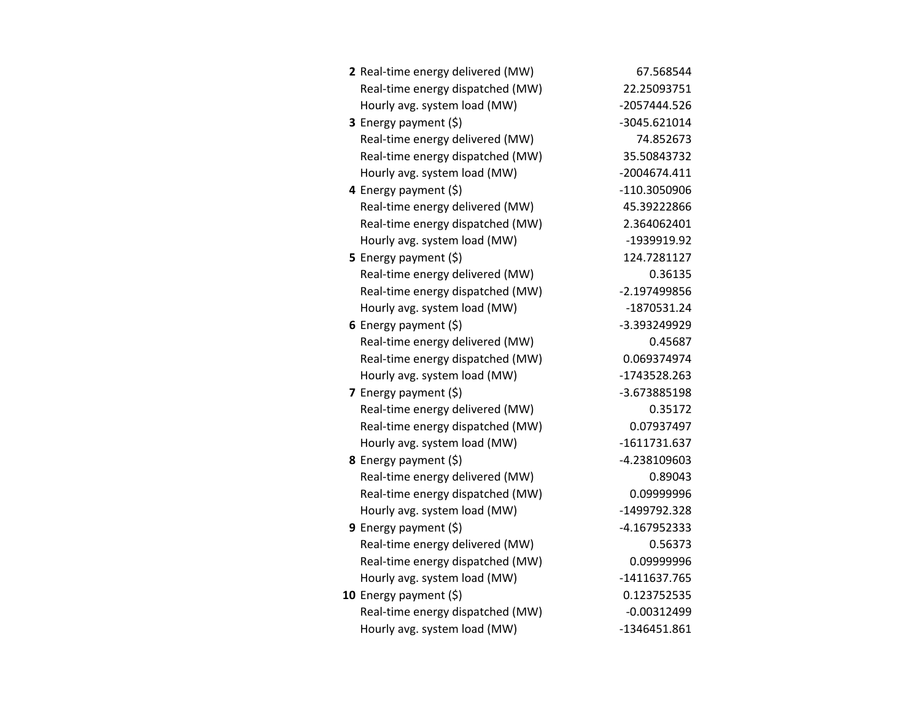| 2 Real-time energy delivered (MW) | 67.568544     |
|-----------------------------------|---------------|
| Real-time energy dispatched (MW)  | 22.25093751   |
| Hourly avg. system load (MW)      | -2057444.526  |
| 3 Energy payment (\$)             | -3045.621014  |
| Real-time energy delivered (MW)   | 74.852673     |
| Real-time energy dispatched (MW)  | 35.50843732   |
| Hourly avg. system load (MW)      | -2004674.411  |
| 4 Energy payment (\$)             | -110.3050906  |
| Real-time energy delivered (MW)   | 45.39222866   |
| Real-time energy dispatched (MW)  | 2.364062401   |
| Hourly avg. system load (MW)      | -1939919.92   |
| 5 Energy payment (\$)             | 124.7281127   |
| Real-time energy delivered (MW)   | 0.36135       |
| Real-time energy dispatched (MW)  | -2.197499856  |
| Hourly avg. system load (MW)      | -1870531.24   |
| 6 Energy payment $(5)$            | -3.393249929  |
| Real-time energy delivered (MW)   | 0.45687       |
| Real-time energy dispatched (MW)  | 0.069374974   |
| Hourly avg. system load (MW)      | -1743528.263  |
| 7 Energy payment $(5)$            | -3.673885198  |
| Real-time energy delivered (MW)   | 0.35172       |
| Real-time energy dispatched (MW)  | 0.07937497    |
| Hourly avg. system load (MW)      | -1611731.637  |
| 8 Energy payment (\$)             | -4.238109603  |
| Real-time energy delivered (MW)   | 0.89043       |
| Real-time energy dispatched (MW)  | 0.09999996    |
| Hourly avg. system load (MW)      | -1499792.328  |
| <b>9</b> Energy payment $(\xi)$   | -4.167952333  |
| Real-time energy delivered (MW)   | 0.56373       |
| Real-time energy dispatched (MW)  | 0.09999996    |
| Hourly avg. system load (MW)      | -1411637.765  |
| 10 Energy payment $(\xi)$         | 0.123752535   |
| Real-time energy dispatched (MW)  | $-0.00312499$ |
| Hourly avg. system load (MW)      | -1346451.861  |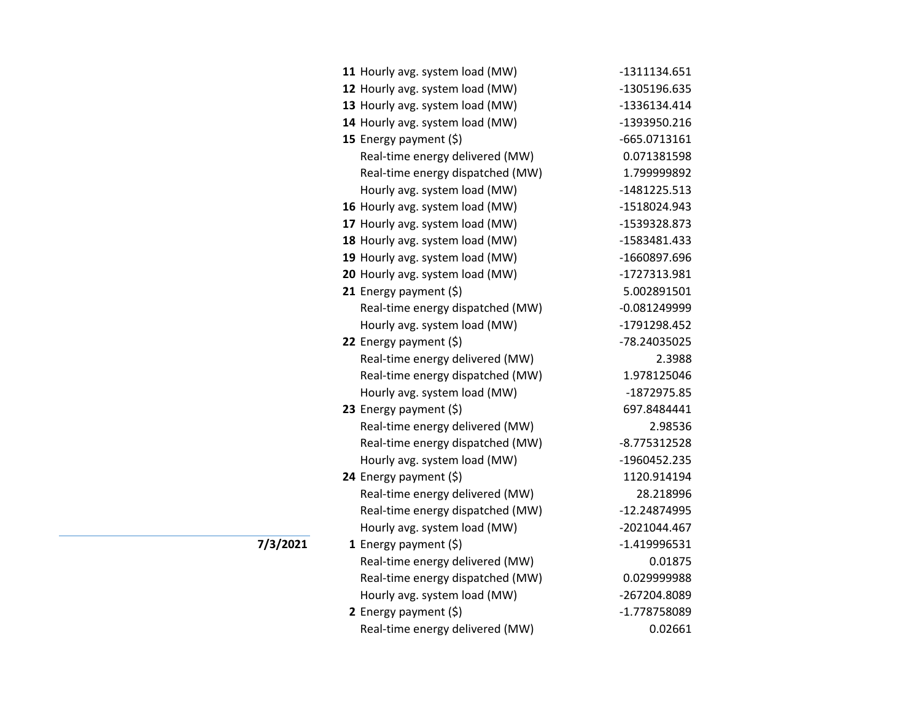| 11 Hourly avg. system load (MW)  | -1311134.651   |
|----------------------------------|----------------|
| 12 Hourly avg. system load (MW)  | -1305196.635   |
| 13 Hourly avg. system load (MW)  | -1336134.414   |
| 14 Hourly avg. system load (MW)  | -1393950.216   |
| 15 Energy payment $(\xi)$        | $-665.0713161$ |
| Real-time energy delivered (MW)  | 0.071381598    |
| Real-time energy dispatched (MW) | 1.799999892    |
| Hourly avg. system load (MW)     | $-1481225.513$ |
| 16 Hourly avg. system load (MW)  | -1518024.943   |
| 17 Hourly avg. system load (MW)  | -1539328.873   |
| 18 Hourly avg. system load (MW)  | -1583481.433   |
| 19 Hourly avg. system load (MW)  | -1660897.696   |
| 20 Hourly avg. system load (MW)  | -1727313.981   |
| 21 Energy payment $(\xi)$        | 5.002891501    |
| Real-time energy dispatched (MW) | $-0.081249999$ |
| Hourly avg. system load (MW)     | -1791298.452   |
| 22 Energy payment (\$)           | -78.24035025   |
| Real-time energy delivered (MW)  | 2.3988         |
| Real-time energy dispatched (MW) | 1.978125046    |
| Hourly avg. system load (MW)     | -1872975.85    |
| 23 Energy payment (\$)           | 697.8484441    |
| Real-time energy delivered (MW)  | 2.98536        |
| Real-time energy dispatched (MW) | -8.775312528   |
| Hourly avg. system load (MW)     | -1960452.235   |
| 24 Energy payment (\$)           | 1120.914194    |
| Real-time energy delivered (MW)  | 28.218996      |
| Real-time energy dispatched (MW) | -12.24874995   |
| Hourly avg. system load (MW)     | -2021044.467   |
| <b>1</b> Energy payment $(\xi)$  | $-1.419996531$ |
| Real-time energy delivered (MW)  | 0.01875        |
| Real-time energy dispatched (MW) | 0.029999988    |
| Hourly avg. system load (MW)     | -267204.8089   |
| 2 Energy payment $(\xi)$         | -1.778758089   |
| Real-time energy delivered (MW)  | 0.02661        |

**1/3/2021**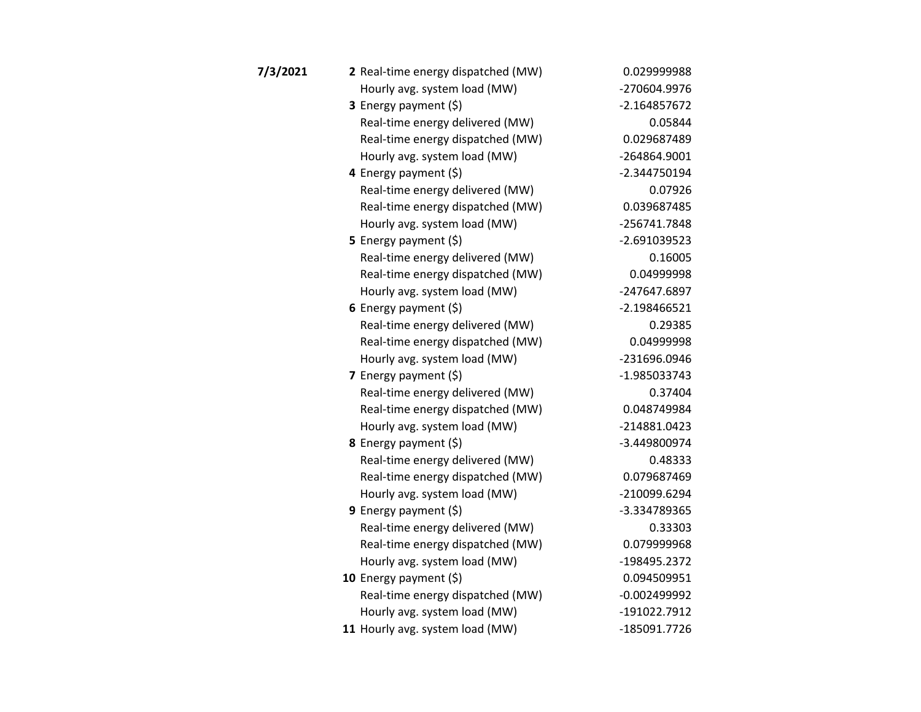| 7/3/2021 | 2 Real-time energy dispatched (MW) | 0.029999988    |
|----------|------------------------------------|----------------|
|          | Hourly avg. system load (MW)       | -270604.9976   |
|          | 3 Energy payment (\$)              | $-2.164857672$ |
|          | Real-time energy delivered (MW)    | 0.05844        |
|          | Real-time energy dispatched (MW)   | 0.029687489    |
|          | Hourly avg. system load (MW)       | -264864.9001   |
|          | 4 Energy payment (\$)              | -2.344750194   |
|          | Real-time energy delivered (MW)    | 0.07926        |
|          | Real-time energy dispatched (MW)   | 0.039687485    |
|          | Hourly avg. system load (MW)       | -256741.7848   |
|          | 5 Energy payment $(\xi)$           | $-2.691039523$ |
|          | Real-time energy delivered (MW)    | 0.16005        |
|          | Real-time energy dispatched (MW)   | 0.04999998     |
|          | Hourly avg. system load (MW)       | -247647.6897   |
|          | 6 Energy payment $(5)$             | $-2.198466521$ |
|          | Real-time energy delivered (MW)    | 0.29385        |
|          | Real-time energy dispatched (MW)   | 0.04999998     |
|          | Hourly avg. system load (MW)       | -231696.0946   |
|          | <b>7</b> Energy payment $(\xi)$    | -1.985033743   |
|          | Real-time energy delivered (MW)    | 0.37404        |
|          | Real-time energy dispatched (MW)   | 0.048749984    |
|          | Hourly avg. system load (MW)       | -214881.0423   |
|          | 8 Energy payment (\$)              | -3.449800974   |
|          | Real-time energy delivered (MW)    | 0.48333        |
|          | Real-time energy dispatched (MW)   | 0.079687469    |
|          | Hourly avg. system load (MW)       | -210099.6294   |
|          | <b>9</b> Energy payment $(\xi)$    | -3.334789365   |
|          | Real-time energy delivered (MW)    | 0.33303        |
|          | Real-time energy dispatched (MW)   | 0.079999968    |
|          | Hourly avg. system load (MW)       | -198495.2372   |
|          | 10 Energy payment $(\xi)$          | 0.094509951    |
|          | Real-time energy dispatched (MW)   | $-0.002499992$ |
|          | Hourly avg. system load (MW)       | -191022.7912   |
|          | 11 Hourly avg. system load (MW)    | -185091.7726   |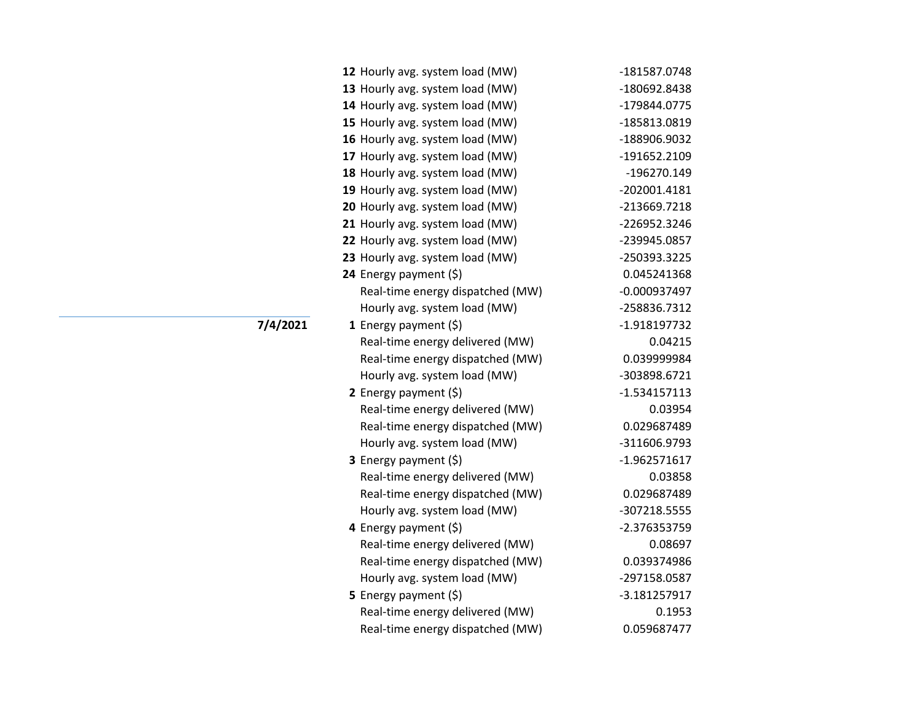| 12 Hourly avg. system load (MW)  | -181587.0748   |
|----------------------------------|----------------|
| 13 Hourly avg. system load (MW)  | -180692.8438   |
| 14 Hourly avg. system load (MW)  | -179844.0775   |
| 15 Hourly avg. system load (MW)  | -185813.0819   |
| 16 Hourly avg. system load (MW)  | -188906.9032   |
| 17 Hourly avg. system load (MW)  | -191652.2109   |
| 18 Hourly avg. system load (MW)  | -196270.149    |
| 19 Hourly avg. system load (MW)  | -202001.4181   |
| 20 Hourly avg. system load (MW)  | -213669.7218   |
| 21 Hourly avg. system load (MW)  | -226952.3246   |
| 22 Hourly avg. system load (MW)  | -239945.0857   |
| 23 Hourly avg. system load (MW)  | -250393.3225   |
| 24 Energy payment (\$)           | 0.045241368    |
| Real-time energy dispatched (MW) | $-0.000937497$ |
| Hourly avg. system load (MW)     | -258836.7312   |
| 1 Energy payment (\$)            | -1.918197732   |
| Real-time energy delivered (MW)  | 0.04215        |
| Real-time energy dispatched (MW) | 0.039999984    |
| Hourly avg. system load (MW)     | -303898.6721   |
| 2 Energy payment $(\xi)$         | $-1.534157113$ |
| Real-time energy delivered (MW)  | 0.03954        |
| Real-time energy dispatched (MW) | 0.029687489    |
| Hourly avg. system load (MW)     | -311606.9793   |
| <b>3</b> Energy payment $(\xi)$  | -1.962571617   |
| Real-time energy delivered (MW)  | 0.03858        |
| Real-time energy dispatched (MW) | 0.029687489    |
| Hourly avg. system load (MW)     | -307218.5555   |
| 4 Energy payment (\$)            | -2.376353759   |
| Real-time energy delivered (MW)  | 0.08697        |
| Real-time energy dispatched (MW) | 0.039374986    |
| Hourly avg. system load (MW)     | -297158.0587   |
| 5 Energy payment (\$)            | -3.181257917   |
| Real-time energy delivered (MW)  | 0.1953         |
| Real-time energy dispatched (MW) | 0.059687477    |

**7/4/2021**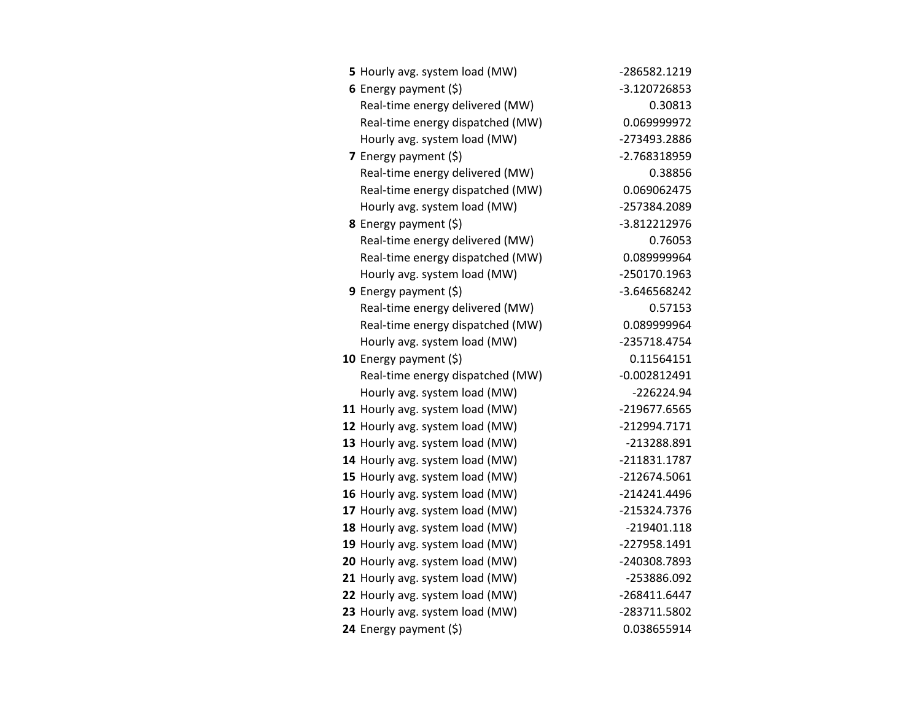| 5 Hourly avg. system load (MW)   | -286582.1219   |
|----------------------------------|----------------|
| 6 Energy payment $(5)$           | -3.120726853   |
| Real-time energy delivered (MW)  | 0.30813        |
| Real-time energy dispatched (MW) | 0.069999972    |
| Hourly avg. system load (MW)     | -273493.2886   |
| 7 Energy payment $(5)$           | -2.768318959   |
| Real-time energy delivered (MW)  | 0.38856        |
| Real-time energy dispatched (MW) | 0.069062475    |
| Hourly avg. system load (MW)     | -257384.2089   |
| 8 Energy payment (\$)            | -3.812212976   |
| Real-time energy delivered (MW)  | 0.76053        |
| Real-time energy dispatched (MW) | 0.089999964    |
| Hourly avg. system load (MW)     | -250170.1963   |
| <b>9</b> Energy payment $(\xi)$  | -3.646568242   |
| Real-time energy delivered (MW)  | 0.57153        |
| Real-time energy dispatched (MW) | 0.089999964    |
| Hourly avg. system load (MW)     | -235718.4754   |
| 10 Energy payment $(\xi)$        | 0.11564151     |
| Real-time energy dispatched (MW) | $-0.002812491$ |
| Hourly avg. system load (MW)     | $-226224.94$   |
| 11 Hourly avg. system load (MW)  | -219677.6565   |
| 12 Hourly avg. system load (MW)  | -212994.7171   |
| 13 Hourly avg. system load (MW)  | -213288.891    |
| 14 Hourly avg. system load (MW)  | -211831.1787   |
| 15 Hourly avg. system load (MW)  | -212674.5061   |
| 16 Hourly avg. system load (MW)  | -214241.4496   |
| 17 Hourly avg. system load (MW)  | -215324.7376   |
| 18 Hourly avg. system load (MW)  | $-219401.118$  |
| 19 Hourly avg. system load (MW)  | -227958.1491   |
| 20 Hourly avg. system load (MW)  | -240308.7893   |
| 21 Hourly avg. system load (MW)  | -253886.092    |
| 22 Hourly avg. system load (MW)  | -268411.6447   |
| 23 Hourly avg. system load (MW)  | -283711.5802   |
| 24 Energy payment (\$)           | 0.038655914    |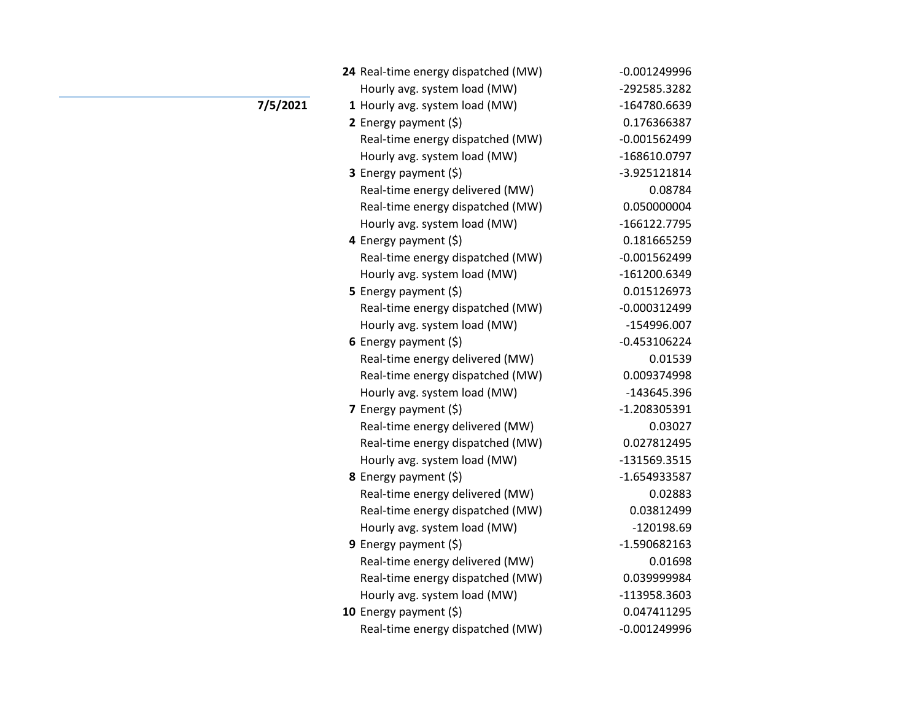|          | 24 Real-time energy dispatched (MW) | $-0.001249996$ |
|----------|-------------------------------------|----------------|
|          | Hourly avg. system load (MW)        | -292585.3282   |
| 7/5/2021 | 1 Hourly avg. system load (MW)      | -164780.6639   |
|          | 2 Energy payment $(\xi)$            | 0.176366387    |
|          | Real-time energy dispatched (MW)    | $-0.001562499$ |
|          | Hourly avg. system load (MW)        | -168610.0797   |
|          | 3 Energy payment (\$)               | -3.925121814   |
|          | Real-time energy delivered (MW)     | 0.08784        |
|          | Real-time energy dispatched (MW)    | 0.050000004    |
|          | Hourly avg. system load (MW)        | -166122.7795   |
|          | 4 Energy payment (\$)               | 0.181665259    |
|          | Real-time energy dispatched (MW)    | $-0.001562499$ |
|          | Hourly avg. system load (MW)        | -161200.6349   |
|          | 5 Energy payment $(\xi)$            | 0.015126973    |
|          | Real-time energy dispatched (MW)    | $-0.000312499$ |
|          | Hourly avg. system load (MW)        | -154996.007    |
|          | 6 Energy payment $(5)$              | $-0.453106224$ |
|          | Real-time energy delivered (MW)     | 0.01539        |
|          | Real-time energy dispatched (MW)    | 0.009374998    |
|          | Hourly avg. system load (MW)        | -143645.396    |
|          | 7 Energy payment $(5)$              | -1.208305391   |
|          | Real-time energy delivered (MW)     | 0.03027        |
|          | Real-time energy dispatched (MW)    | 0.027812495    |
|          | Hourly avg. system load (MW)        | -131569.3515   |
|          | 8 Energy payment (\$)               | -1.654933587   |
|          | Real-time energy delivered (MW)     | 0.02883        |
|          | Real-time energy dispatched (MW)    | 0.03812499     |
|          | Hourly avg. system load (MW)        | -120198.69     |
|          | <b>9</b> Energy payment $(\xi)$     | $-1.590682163$ |
|          | Real-time energy delivered (MW)     | 0.01698        |
|          | Real-time energy dispatched (MW)    | 0.039999984    |
|          | Hourly avg. system load (MW)        | -113958.3603   |
|          | 10 Energy payment $(5)$             | 0.047411295    |
|          | Real-time energy dispatched (MW)    | $-0.001249996$ |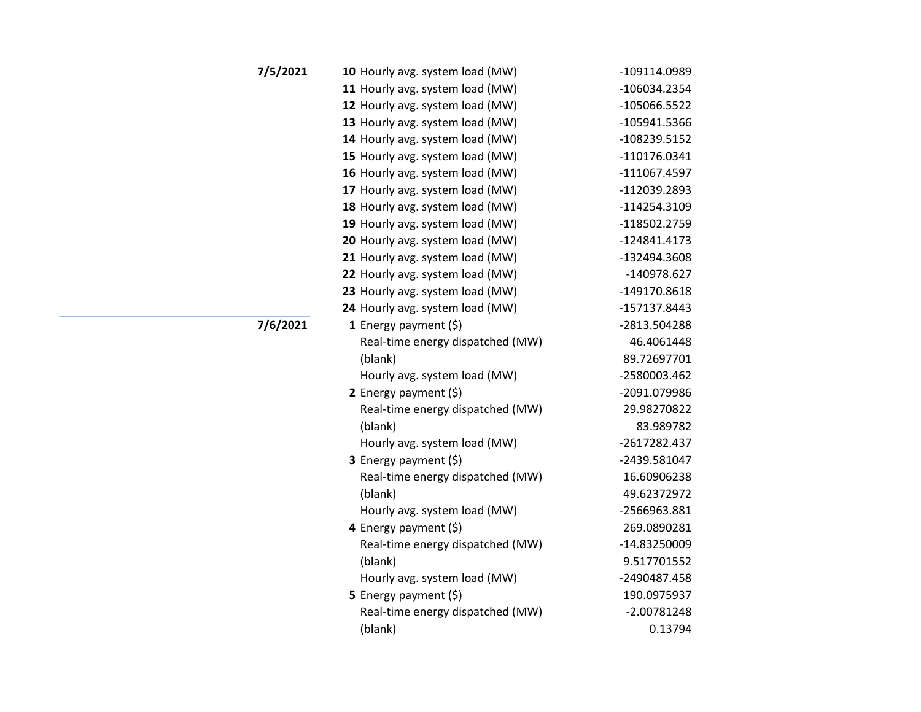| 7/5/2021 | 10 Hourly avg. system load (MW)  | -109114.0989   |
|----------|----------------------------------|----------------|
|          | 11 Hourly avg. system load (MW)  | -106034.2354   |
|          | 12 Hourly avg. system load (MW)  | -105066.5522   |
|          | 13 Hourly avg. system load (MW)  | -105941.5366   |
|          | 14 Hourly avg. system load (MW)  | -108239.5152   |
|          | 15 Hourly avg. system load (MW)  | -110176.0341   |
|          | 16 Hourly avg. system load (MW)  | $-111067.4597$ |
|          | 17 Hourly avg. system load (MW)  | -112039.2893   |
|          | 18 Hourly avg. system load (MW)  | $-114254.3109$ |
|          | 19 Hourly avg. system load (MW)  | -118502.2759   |
|          | 20 Hourly avg. system load (MW)  | $-124841.4173$ |
|          | 21 Hourly avg. system load (MW)  | -132494.3608   |
|          | 22 Hourly avg. system load (MW)  | -140978.627    |
|          | 23 Hourly avg. system load (MW)  | -149170.8618   |
|          | 24 Hourly avg. system load (MW)  | -157137.8443   |
| 7/6/2021 | 1 Energy payment $(\xi)$         | -2813.504288   |
|          | Real-time energy dispatched (MW) | 46.4061448     |
|          | (blank)                          | 89.72697701    |
|          | Hourly avg. system load (MW)     | -2580003.462   |
|          | 2 Energy payment (\$)            | -2091.079986   |
|          | Real-time energy dispatched (MW) | 29.98270822    |
|          | (blank)                          | 83.989782      |
|          | Hourly avg. system load (MW)     | -2617282.437   |
|          | 3 Energy payment (\$)            | -2439.581047   |
|          | Real-time energy dispatched (MW) | 16.60906238    |
|          | (blank)                          | 49.62372972    |
|          | Hourly avg. system load (MW)     | -2566963.881   |
|          | 4 Energy payment (\$)            | 269.0890281    |
|          | Real-time energy dispatched (MW) | -14.83250009   |
|          | (blank)                          | 9.517701552    |
|          | Hourly avg. system load (MW)     | -2490487.458   |
|          | 5 Energy payment $(5)$           | 190.0975937    |
|          | Real-time energy dispatched (MW) | $-2.00781248$  |
|          | (blank)                          | 0.13794        |
|          |                                  |                |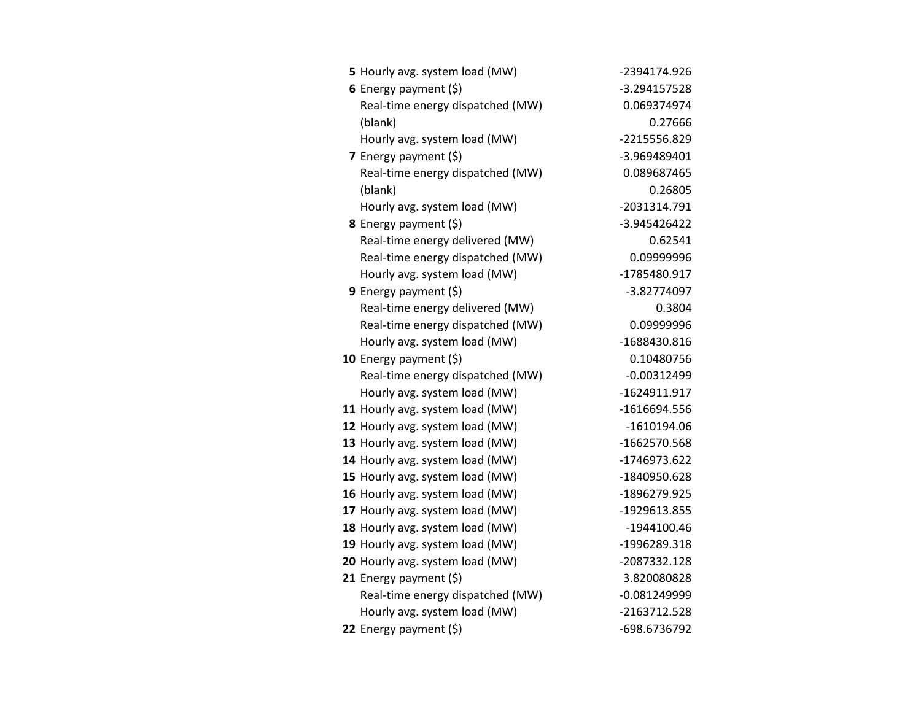| 5 Hourly avg. system load (MW)   | -2394174.926   |
|----------------------------------|----------------|
| 6 Energy payment $(5)$           | -3.294157528   |
| Real-time energy dispatched (MW) | 0.069374974    |
| (blank)                          | 0.27666        |
| Hourly avg. system load (MW)     | -2215556.829   |
| 7 Energy payment (\$)            | -3.969489401   |
| Real-time energy dispatched (MW) | 0.089687465    |
| (blank)                          | 0.26805        |
| Hourly avg. system load (MW)     | -2031314.791   |
| 8 Energy payment (\$)            | -3.945426422   |
| Real-time energy delivered (MW)  | 0.62541        |
| Real-time energy dispatched (MW) | 0.09999996     |
| Hourly avg. system load (MW)     | -1785480.917   |
| 9 Energy payment $(\xi)$         | -3.82774097    |
| Real-time energy delivered (MW)  | 0.3804         |
| Real-time energy dispatched (MW) | 0.09999996     |
| Hourly avg. system load (MW)     | -1688430.816   |
| 10 Energy payment $(5)$          | 0.10480756     |
| Real-time energy dispatched (MW) | $-0.00312499$  |
| Hourly avg. system load (MW)     | -1624911.917   |
| 11 Hourly avg. system load (MW)  | $-1616694.556$ |
| 12 Hourly avg. system load (MW)  | $-1610194.06$  |
| 13 Hourly avg. system load (MW)  | -1662570.568   |
| 14 Hourly avg. system load (MW)  | -1746973.622   |
| 15 Hourly avg. system load (MW)  | -1840950.628   |
| 16 Hourly avg. system load (MW)  | -1896279.925   |
| 17 Hourly avg. system load (MW)  | -1929613.855   |
| 18 Hourly avg. system load (MW)  | $-1944100.46$  |
| 19 Hourly avg. system load (MW)  | -1996289.318   |
| 20 Hourly avg. system load (MW)  | -2087332.128   |
| 21 Energy payment (\$)           | 3.820080828    |
| Real-time energy dispatched (MW) | $-0.081249999$ |
| Hourly avg. system load (MW)     | -2163712.528   |
| 22 Energy payment (\$)           | -698.6736792   |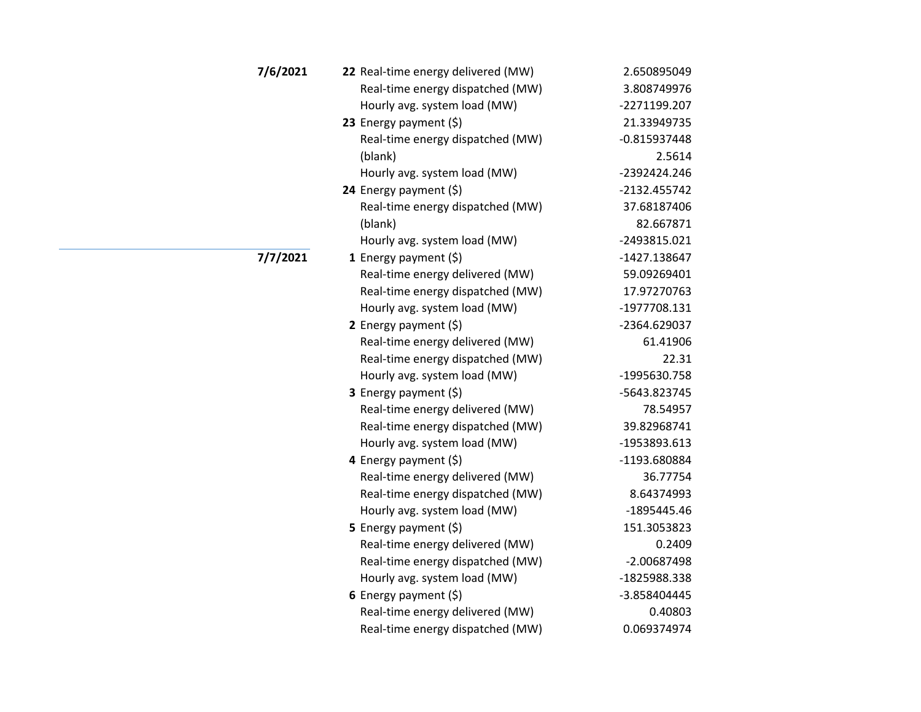| 7/6/2021 | 22 Real-time energy delivered (MW) | 2.650895049    |
|----------|------------------------------------|----------------|
|          | Real-time energy dispatched (MW)   | 3.808749976    |
|          | Hourly avg. system load (MW)       | -2271199.207   |
|          | 23 Energy payment (\$)             | 21.33949735    |
|          | Real-time energy dispatched (MW)   | $-0.815937448$ |
|          | (blank)                            | 2.5614         |
|          | Hourly avg. system load (MW)       | -2392424.246   |
|          | 24 Energy payment $(\xi)$          | -2132.455742   |
|          | Real-time energy dispatched (MW)   | 37.68187406    |
|          | (blank)                            | 82.667871      |
|          | Hourly avg. system load (MW)       | -2493815.021   |
| 7/7/2021 | 1 Energy payment (\$)              | -1427.138647   |
|          | Real-time energy delivered (MW)    | 59.09269401    |
|          | Real-time energy dispatched (MW)   | 17.97270763    |
|          | Hourly avg. system load (MW)       | -1977708.131   |
|          | 2 Energy payment $(5)$             | -2364.629037   |
|          | Real-time energy delivered (MW)    | 61.41906       |
|          | Real-time energy dispatched (MW)   | 22.31          |
|          | Hourly avg. system load (MW)       | -1995630.758   |
|          | 3 Energy payment (\$)              | -5643.823745   |
|          | Real-time energy delivered (MW)    | 78.54957       |
|          | Real-time energy dispatched (MW)   | 39.82968741    |
|          | Hourly avg. system load (MW)       | -1953893.613   |
|          | 4 Energy payment $(5)$             | -1193.680884   |
|          | Real-time energy delivered (MW)    | 36.77754       |
|          | Real-time energy dispatched (MW)   | 8.64374993     |
|          | Hourly avg. system load (MW)       | -1895445.46    |
|          | 5 Energy payment (\$)              | 151.3053823    |
|          | Real-time energy delivered (MW)    | 0.2409         |
|          | Real-time energy dispatched (MW)   | -2.00687498    |
|          | Hourly avg. system load (MW)       | -1825988.338   |
|          | 6 Energy payment $(\xi)$           | -3.858404445   |
|          | Real-time energy delivered (MW)    | 0.40803        |
|          | Real-time energy dispatched (MW)   | 0.069374974    |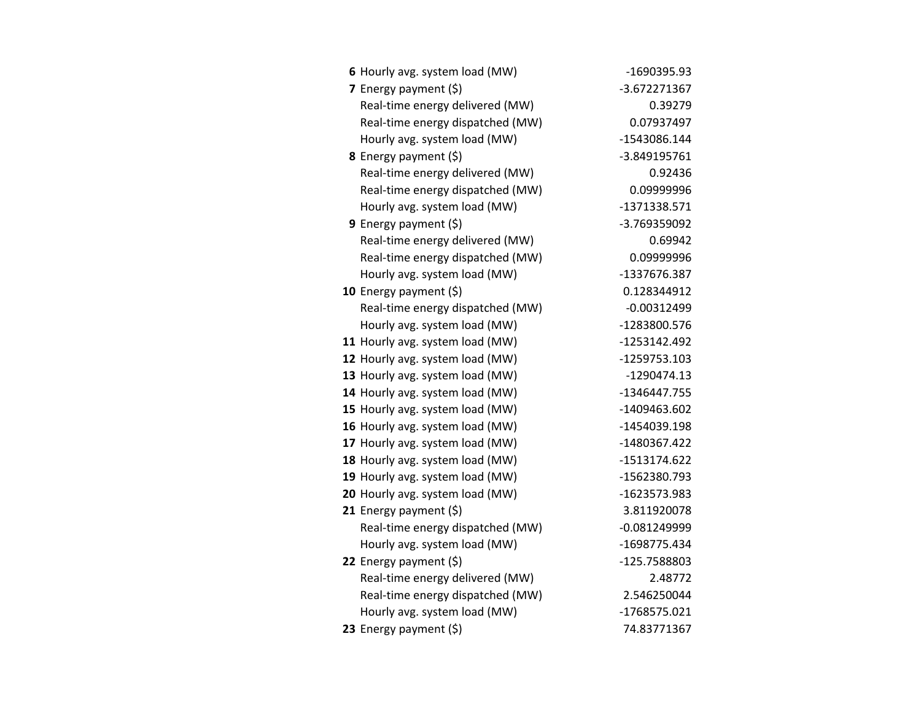| 6 Hourly avg. system load (MW)   | -1690395.93    |
|----------------------------------|----------------|
| 7 Energy payment (\$)            | -3.672271367   |
| Real-time energy delivered (MW)  | 0.39279        |
| Real-time energy dispatched (MW) | 0.07937497     |
| Hourly avg. system load (MW)     | -1543086.144   |
| 8 Energy payment (\$)            | -3.849195761   |
| Real-time energy delivered (MW)  | 0.92436        |
| Real-time energy dispatched (MW) | 0.09999996     |
| Hourly avg. system load (MW)     | -1371338.571   |
| <b>9</b> Energy payment $(\xi)$  | -3.769359092   |
| Real-time energy delivered (MW)  | 0.69942        |
| Real-time energy dispatched (MW) | 0.09999996     |
| Hourly avg. system load (MW)     | -1337676.387   |
| 10 Energy payment $(\xi)$        | 0.128344912    |
| Real-time energy dispatched (MW) | $-0.00312499$  |
| Hourly avg. system load (MW)     | -1283800.576   |
| 11 Hourly avg. system load (MW)  | -1253142.492   |
| 12 Hourly avg. system load (MW)  | -1259753.103   |
| 13 Hourly avg. system load (MW)  | $-1290474.13$  |
| 14 Hourly avg. system load (MW)  | -1346447.755   |
| 15 Hourly avg. system load (MW)  | -1409463.602   |
| 16 Hourly avg. system load (MW)  | -1454039.198   |
| 17 Hourly avg. system load (MW)  | -1480367.422   |
| 18 Hourly avg. system load (MW)  | -1513174.622   |
| 19 Hourly avg. system load (MW)  | -1562380.793   |
| 20 Hourly avg. system load (MW)  | -1623573.983   |
| 21 Energy payment (\$)           | 3.811920078    |
| Real-time energy dispatched (MW) | $-0.081249999$ |
| Hourly avg. system load (MW)     | -1698775.434   |
| 22 Energy payment $(\xi)$        | -125.7588803   |
| Real-time energy delivered (MW)  | 2.48772        |
| Real-time energy dispatched (MW) | 2.546250044    |
| Hourly avg. system load (MW)     | -1768575.021   |
| 23 Energy payment (\$)           | 74.83771367    |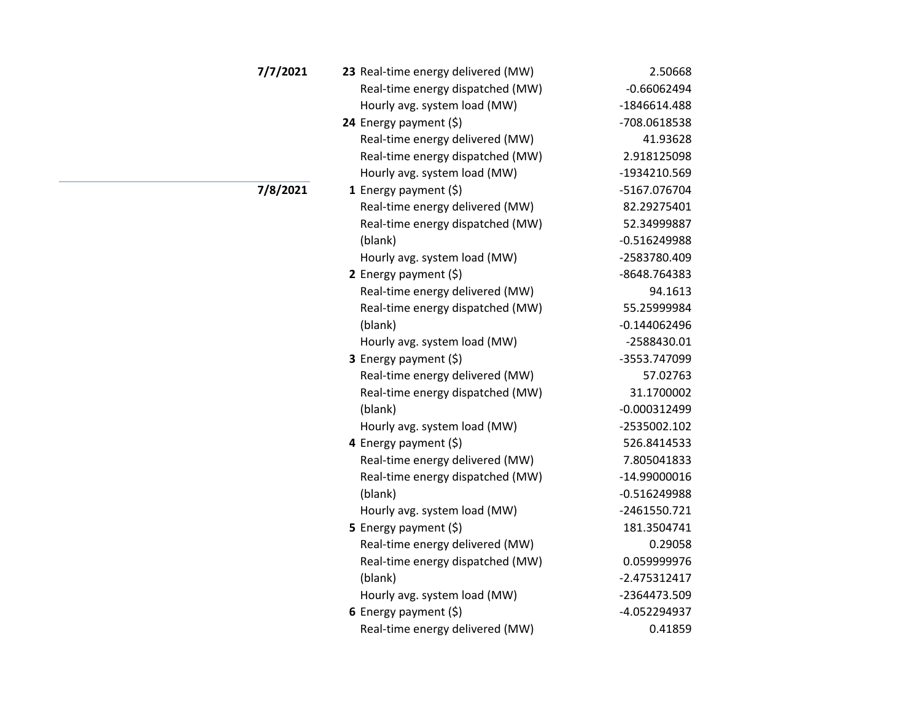| 7/7/2021 | 23 Real-time energy delivered (MW) | 2.50668        |
|----------|------------------------------------|----------------|
|          | Real-time energy dispatched (MW)   | $-0.66062494$  |
|          | Hourly avg. system load (MW)       | -1846614.488   |
|          | 24 Energy payment (\$)             | -708.0618538   |
|          | Real-time energy delivered (MW)    | 41.93628       |
|          | Real-time energy dispatched (MW)   | 2.918125098    |
|          | Hourly avg. system load (MW)       | -1934210.569   |
| 7/8/2021 | 1 Energy payment $(\xi)$           | -5167.076704   |
|          | Real-time energy delivered (MW)    | 82.29275401    |
|          | Real-time energy dispatched (MW)   | 52.34999887    |
|          | (blank)                            | $-0.516249988$ |
|          | Hourly avg. system load (MW)       | -2583780.409   |
|          | 2 Energy payment $(\xi)$           | -8648.764383   |
|          | Real-time energy delivered (MW)    | 94.1613        |
|          | Real-time energy dispatched (MW)   | 55.25999984    |
|          | (blank)                            | $-0.144062496$ |
|          | Hourly avg. system load (MW)       | -2588430.01    |
|          | 3 Energy payment (\$)              | -3553.747099   |
|          | Real-time energy delivered (MW)    | 57.02763       |
|          | Real-time energy dispatched (MW)   | 31.1700002     |
|          | (blank)                            | $-0.000312499$ |
|          | Hourly avg. system load (MW)       | -2535002.102   |
|          | 4 Energy payment (\$)              | 526.8414533    |
|          | Real-time energy delivered (MW)    | 7.805041833    |
|          | Real-time energy dispatched (MW)   | $-14.99000016$ |
|          | (blank)                            | $-0.516249988$ |
|          | Hourly avg. system load (MW)       | $-2461550.721$ |
|          | 5 Energy payment $(\xi)$           | 181.3504741    |
|          | Real-time energy delivered (MW)    | 0.29058        |
|          | Real-time energy dispatched (MW)   | 0.059999976    |
|          | (blank)                            | $-2.475312417$ |
|          | Hourly avg. system load (MW)       | -2364473.509   |
|          | 6 Energy payment $(5)$             | -4.052294937   |
|          | Real-time energy delivered (MW)    | 0.41859        |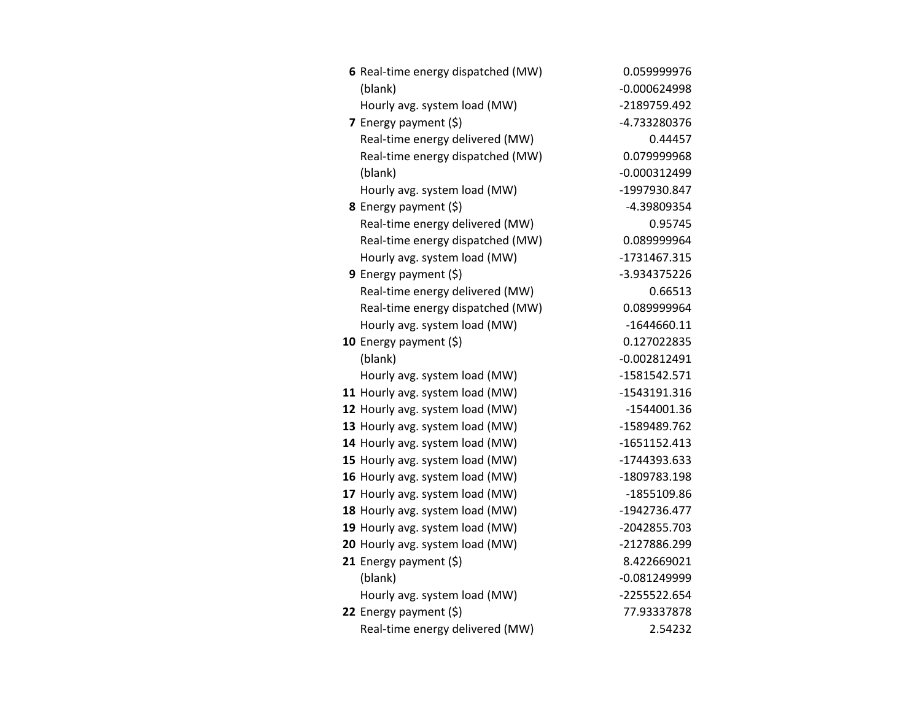| 6 Real-time energy dispatched (MW) | 0.059999976    |
|------------------------------------|----------------|
| (blank)                            | $-0.000624998$ |
| Hourly avg. system load (MW)       | -2189759.492   |
| 7 Energy payment $(5)$             | -4.733280376   |
| Real-time energy delivered (MW)    | 0.44457        |
| Real-time energy dispatched (MW)   | 0.079999968    |
| (blank)                            | $-0.000312499$ |
| Hourly avg. system load (MW)       | -1997930.847   |
| <b>8</b> Energy payment $(\xi)$    | -4.39809354    |
| Real-time energy delivered (MW)    | 0.95745        |
| Real-time energy dispatched (MW)   | 0.089999964    |
| Hourly avg. system load (MW)       | -1731467.315   |
| 9 Energy payment $(5)$             | -3.934375226   |
| Real-time energy delivered (MW)    | 0.66513        |
| Real-time energy dispatched (MW)   | 0.089999964    |
| Hourly avg. system load (MW)       | $-1644660.11$  |
| 10 Energy payment $(5)$            | 0.127022835    |
| (blank)                            | $-0.002812491$ |
| Hourly avg. system load (MW)       | $-1581542.571$ |
| 11 Hourly avg. system load (MW)    | -1543191.316   |
| 12 Hourly avg. system load (MW)    | -1544001.36    |
| 13 Hourly avg. system load (MW)    | -1589489.762   |
| 14 Hourly avg. system load (MW)    | $-1651152.413$ |
| 15 Hourly avg. system load (MW)    | -1744393.633   |
| 16 Hourly avg. system load (MW)    | -1809783.198   |
| 17 Hourly avg. system load (MW)    | -1855109.86    |
| 18 Hourly avg. system load (MW)    | -1942736.477   |
| 19 Hourly avg. system load (MW)    | -2042855.703   |
| 20 Hourly avg. system load (MW)    | -2127886.299   |
| 21 Energy payment $(\xi)$          | 8.422669021    |
| (blank)                            | $-0.081249999$ |
| Hourly avg. system load (MW)       | -2255522.654   |
| 22 Energy payment (\$)             | 77.93337878    |
| Real-time energy delivered (MW)    | 2.54232        |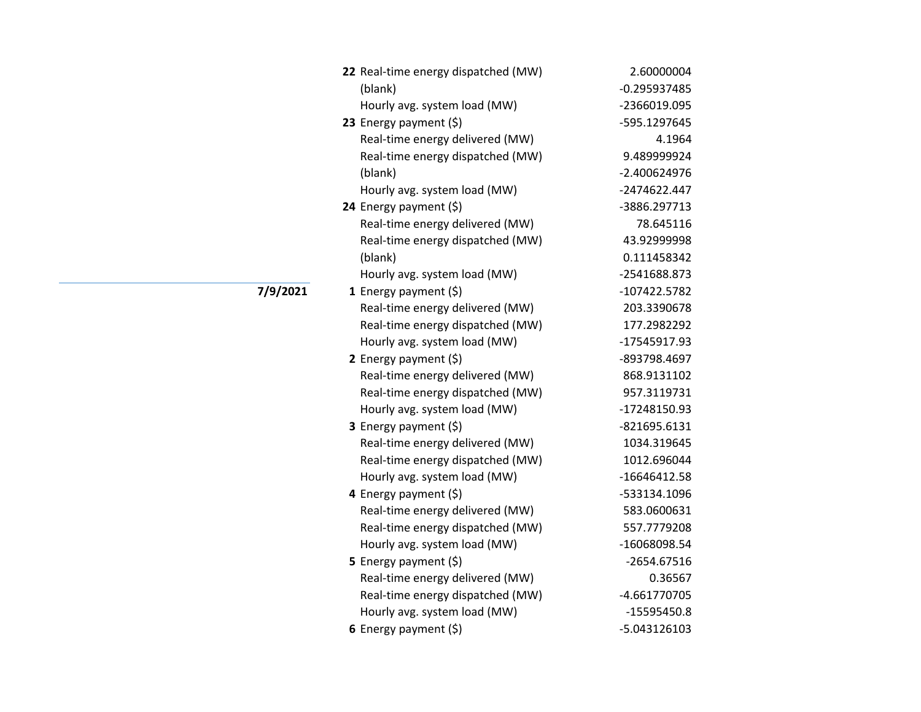| 22 Real-time energy dispatched (MW) | 2.60000004     |
|-------------------------------------|----------------|
| (blank)                             | -0.295937485   |
| Hourly avg. system load (MW)        | -2366019.095   |
| 23 Energy payment $(5)$             | -595.1297645   |
| Real-time energy delivered (MW)     | 4.1964         |
| Real-time energy dispatched (MW)    | 9.489999924    |
| (blank)                             | $-2.400624976$ |
| Hourly avg. system load (MW)        | -2474622.447   |
| 24 Energy payment $(\xi)$           | -3886.297713   |
| Real-time energy delivered (MW)     | 78.645116      |
| Real-time energy dispatched (MW)    | 43.92999998    |
| (blank)                             | 0.111458342    |
| Hourly avg. system load (MW)        | -2541688.873   |
| 1 Energy payment (\$)               | -107422.5782   |
| Real-time energy delivered (MW)     | 203.3390678    |
| Real-time energy dispatched (MW)    | 177.2982292    |
| Hourly avg. system load (MW)        | -17545917.93   |
| 2 Energy payment $(5)$              | -893798.4697   |
| Real-time energy delivered (MW)     | 868.9131102    |
| Real-time energy dispatched (MW)    | 957.3119731    |
| Hourly avg. system load (MW)        | -17248150.93   |
| 3 Energy payment (\$)               | -821695.6131   |
| Real-time energy delivered (MW)     | 1034.319645    |
| Real-time energy dispatched (MW)    | 1012.696044    |
| Hourly avg. system load (MW)        | $-16646412.58$ |
| 4 Energy payment (\$)               | -533134.1096   |
| Real-time energy delivered (MW)     | 583.0600631    |
| Real-time energy dispatched (MW)    | 557.7779208    |
| Hourly avg. system load (MW)        | -16068098.54   |
| <b>5</b> Energy payment $(\xi)$     | $-2654.67516$  |
| Real-time energy delivered (MW)     | 0.36567        |
| Real-time energy dispatched (MW)    | -4.661770705   |
| Hourly avg. system load (MW)        | -15595450.8    |
| 6 Energy payment $(\$)$             | -5.043126103   |

**17/9/2021**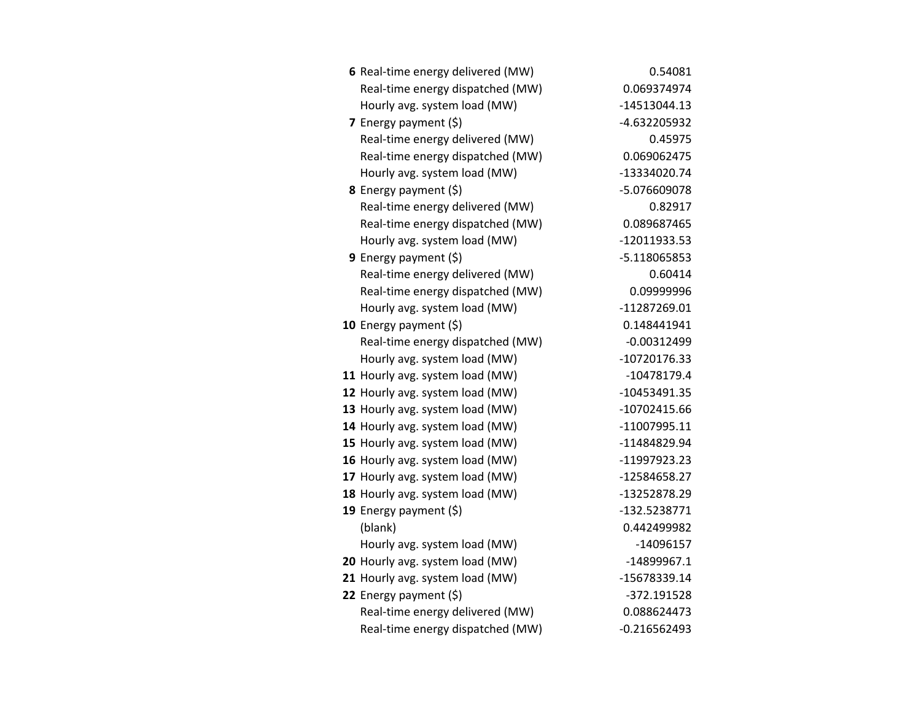| 6 Real-time energy delivered (MW) | 0.54081        |
|-----------------------------------|----------------|
| Real-time energy dispatched (MW)  | 0.069374974    |
| Hourly avg. system load (MW)      | -14513044.13   |
| 7 Energy payment $(5)$            | -4.632205932   |
| Real-time energy delivered (MW)   | 0.45975        |
| Real-time energy dispatched (MW)  | 0.069062475    |
| Hourly avg. system load (MW)      | -13334020.74   |
| <b>8</b> Energy payment $(\xi)$   | -5.076609078   |
| Real-time energy delivered (MW)   | 0.82917        |
| Real-time energy dispatched (MW)  | 0.089687465    |
| Hourly avg. system load (MW)      | -12011933.53   |
| 9 Energy payment $(5)$            | -5.118065853   |
| Real-time energy delivered (MW)   | 0.60414        |
| Real-time energy dispatched (MW)  | 0.09999996     |
| Hourly avg. system load (MW)      | -11287269.01   |
| 10 Energy payment $(\xi)$         | 0.148441941    |
| Real-time energy dispatched (MW)  | $-0.00312499$  |
| Hourly avg. system load (MW)      | -10720176.33   |
| 11 Hourly avg. system load (MW)   | -10478179.4    |
| 12 Hourly avg. system load (MW)   | -10453491.35   |
| 13 Hourly avg. system load (MW)   | -10702415.66   |
| 14 Hourly avg. system load (MW)   | -11007995.11   |
| 15 Hourly avg. system load (MW)   | -11484829.94   |
| 16 Hourly avg. system load (MW)   | -11997923.23   |
| 17 Hourly avg. system load (MW)   | -12584658.27   |
| 18 Hourly avg. system load (MW)   | -13252878.29   |
| 19 Energy payment (\$)            | -132.5238771   |
| (blank)                           | 0.442499982    |
| Hourly avg. system load (MW)      | $-14096157$    |
| 20 Hourly avg. system load (MW)   | $-14899967.1$  |
| 21 Hourly avg. system load (MW)   | -15678339.14   |
| 22 Energy payment $(\xi)$         | -372.191528    |
| Real-time energy delivered (MW)   | 0.088624473    |
| Real-time energy dispatched (MW)  | $-0.216562493$ |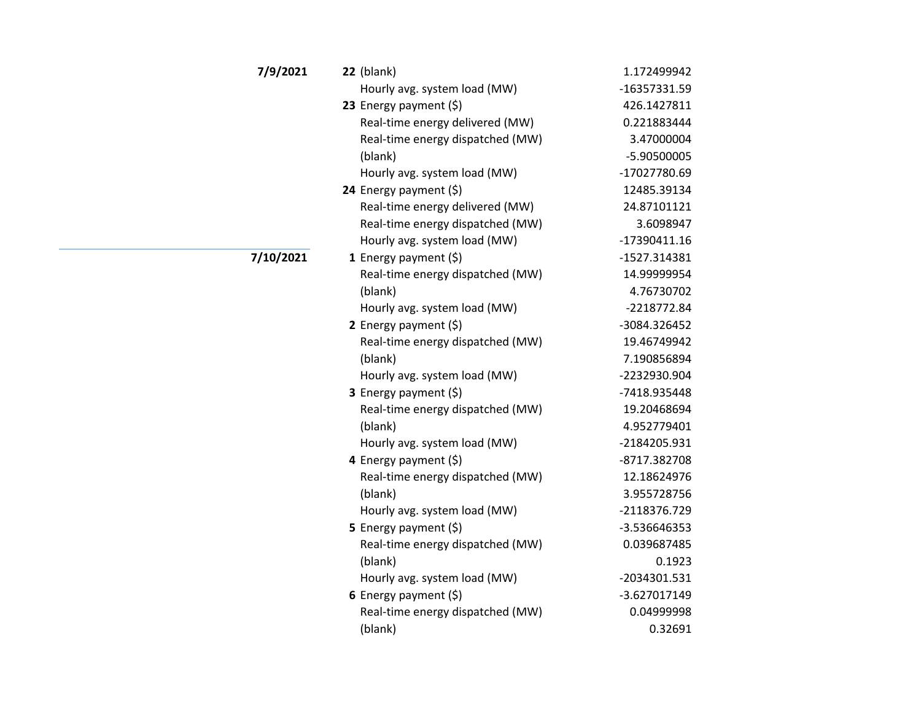| 7/9/2021  | $22$ (blank)                     | 1.172499942  |
|-----------|----------------------------------|--------------|
|           | Hourly avg. system load (MW)     | -16357331.59 |
|           | 23 Energy payment (\$)           | 426.1427811  |
|           | Real-time energy delivered (MW)  | 0.221883444  |
|           | Real-time energy dispatched (MW) | 3.47000004   |
|           | (blank)                          | -5.90500005  |
|           | Hourly avg. system load (MW)     | -17027780.69 |
|           | 24 Energy payment (\$)           | 12485.39134  |
|           | Real-time energy delivered (MW)  | 24.87101121  |
|           | Real-time energy dispatched (MW) | 3.6098947    |
|           | Hourly avg. system load (MW)     | -17390411.16 |
| 7/10/2021 | 1 Energy payment $(5)$           | -1527.314381 |
|           | Real-time energy dispatched (MW) | 14.99999954  |
|           | (blank)                          | 4.76730702   |
|           | Hourly avg. system load (MW)     | -2218772.84  |
|           | 2 Energy payment $(5)$           | -3084.326452 |
|           | Real-time energy dispatched (MW) | 19.46749942  |
|           | (blank)                          | 7.190856894  |
|           | Hourly avg. system load (MW)     | -2232930.904 |
|           | 3 Energy payment (\$)            | -7418.935448 |
|           | Real-time energy dispatched (MW) | 19.20468694  |
|           | (blank)                          | 4.952779401  |
|           | Hourly avg. system load (MW)     | -2184205.931 |
|           | 4 Energy payment (\$)            | -8717.382708 |
|           | Real-time energy dispatched (MW) | 12.18624976  |
|           | (blank)                          | 3.955728756  |
|           | Hourly avg. system load (MW)     | -2118376.729 |
|           | 5 Energy payment (\$)            | -3.536646353 |
|           | Real-time energy dispatched (MW) | 0.039687485  |
|           | (blank)                          | 0.1923       |
|           | Hourly avg. system load (MW)     | -2034301.531 |
|           | 6 Energy payment $(5)$           | -3.627017149 |
|           | Real-time energy dispatched (MW) | 0.04999998   |
|           | (blank)                          | 0.32691      |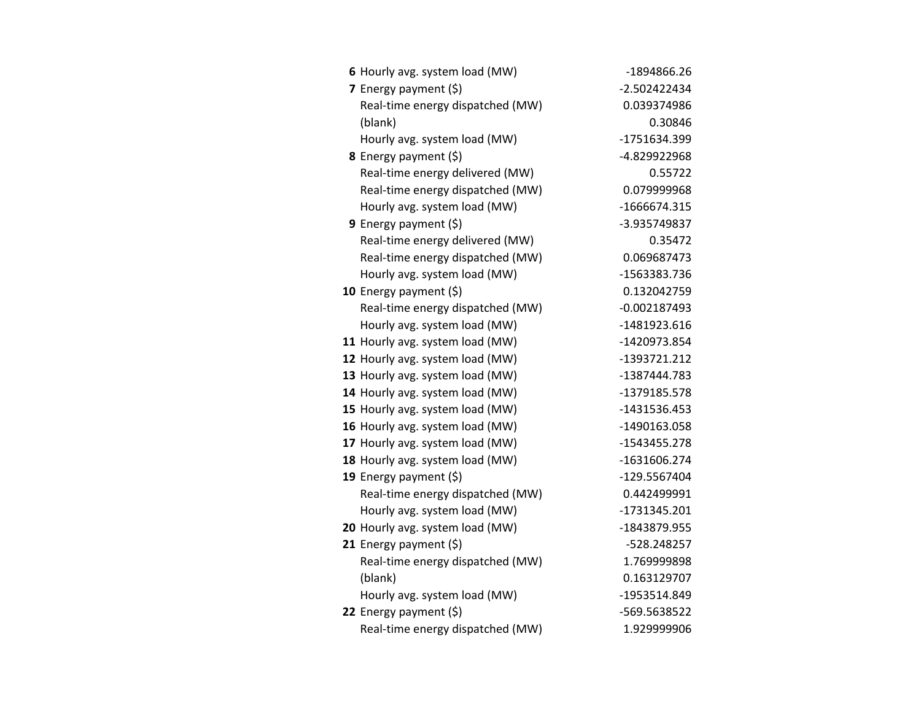| 6 Hourly avg. system load (MW)   | -1894866.26    |
|----------------------------------|----------------|
| 7 Energy payment $(5)$           | $-2.502422434$ |
| Real-time energy dispatched (MW) | 0.039374986    |
| (blank)                          | 0.30846        |
| Hourly avg. system load (MW)     | -1751634.399   |
| 8 Energy payment (\$)            | -4.829922968   |
| Real-time energy delivered (MW)  | 0.55722        |
| Real-time energy dispatched (MW) | 0.079999968    |
| Hourly avg. system load (MW)     | -1666674.315   |
| 9 Energy payment $(\xi)$         | -3.935749837   |
| Real-time energy delivered (MW)  | 0.35472        |
| Real-time energy dispatched (MW) | 0.069687473    |
| Hourly avg. system load (MW)     | -1563383.736   |
| 10 Energy payment $(\xi)$        | 0.132042759    |
| Real-time energy dispatched (MW) | $-0.002187493$ |
| Hourly avg. system load (MW)     | -1481923.616   |
| 11 Hourly avg. system load (MW)  | -1420973.854   |
| 12 Hourly avg. system load (MW)  | -1393721.212   |
| 13 Hourly avg. system load (MW)  | -1387444.783   |
| 14 Hourly avg. system load (MW)  | -1379185.578   |
| 15 Hourly avg. system load (MW)  | -1431536.453   |
| 16 Hourly avg. system load (MW)  | -1490163.058   |
| 17 Hourly avg. system load (MW)  | -1543455.278   |
| 18 Hourly avg. system load (MW)  | -1631606.274   |
| 19 Energy payment $(\xi)$        | -129.5567404   |
| Real-time energy dispatched (MW) | 0.442499991    |
| Hourly avg. system load (MW)     | -1731345.201   |
| 20 Hourly avg. system load (MW)  | -1843879.955   |
| 21 Energy payment $(\xi)$        | -528.248257    |
| Real-time energy dispatched (MW) | 1.769999898    |
| (blank)                          | 0.163129707    |
| Hourly avg. system load (MW)     | -1953514.849   |
| 22 Energy payment (\$)           | -569.5638522   |
| Real-time energy dispatched (MW) | 1.929999906    |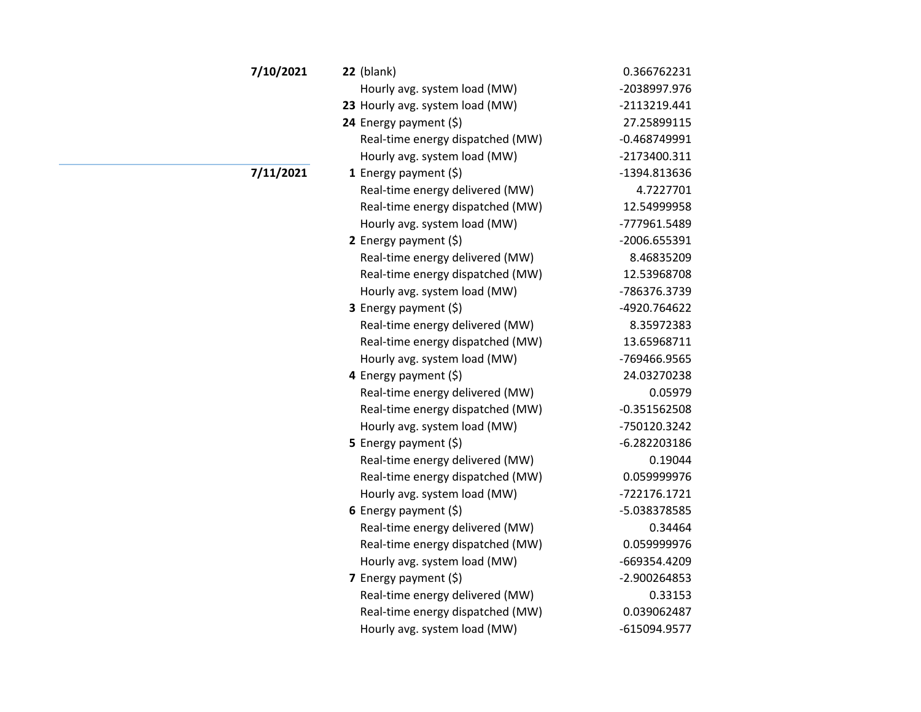| 7/10/2021 | $22$ (blank)                     | 0.366762231    |
|-----------|----------------------------------|----------------|
|           | Hourly avg. system load (MW)     | -2038997.976   |
|           | 23 Hourly avg. system load (MW)  | -2113219.441   |
|           | 24 Energy payment (\$)           | 27.25899115    |
|           | Real-time energy dispatched (MW) | $-0.468749991$ |
|           | Hourly avg. system load (MW)     | -2173400.311   |
| 7/11/2021 | <b>1</b> Energy payment $(\xi)$  | -1394.813636   |
|           | Real-time energy delivered (MW)  | 4.7227701      |
|           | Real-time energy dispatched (MW) | 12.54999958    |
|           | Hourly avg. system load (MW)     | -777961.5489   |
|           | 2 Energy payment $(5)$           | -2006.655391   |
|           | Real-time energy delivered (MW)  | 8.46835209     |
|           | Real-time energy dispatched (MW) | 12.53968708    |
|           | Hourly avg. system load (MW)     | -786376.3739   |
|           | <b>3</b> Energy payment $(\xi)$  | -4920.764622   |
|           | Real-time energy delivered (MW)  | 8.35972383     |
|           | Real-time energy dispatched (MW) | 13.65968711    |
|           | Hourly avg. system load (MW)     | -769466.9565   |
|           | 4 Energy payment (\$)            | 24.03270238    |
|           | Real-time energy delivered (MW)  | 0.05979        |
|           | Real-time energy dispatched (MW) | $-0.351562508$ |
|           | Hourly avg. system load (MW)     | -750120.3242   |
|           | <b>5</b> Energy payment $(\xi)$  | $-6.282203186$ |
|           | Real-time energy delivered (MW)  | 0.19044        |
|           | Real-time energy dispatched (MW) | 0.059999976    |
|           | Hourly avg. system load (MW)     | -722176.1721   |
|           | 6 Energy payment $(5)$           | -5.038378585   |
|           | Real-time energy delivered (MW)  | 0.34464        |
|           | Real-time energy dispatched (MW) | 0.059999976    |
|           | Hourly avg. system load (MW)     | -669354.4209   |
|           | 7 Energy payment $(\xi)$         | -2.900264853   |
|           | Real-time energy delivered (MW)  | 0.33153        |
|           | Real-time energy dispatched (MW) | 0.039062487    |
|           | Hourly avg. system load (MW)     | -615094.9577   |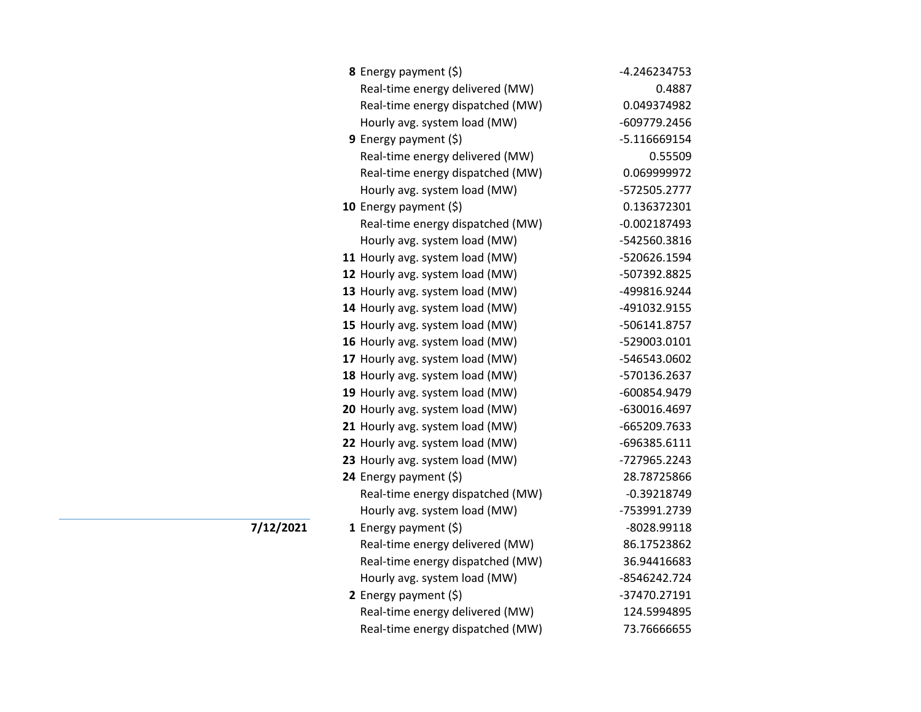| <b>8</b> Energy payment $(\xi)$  | -4.246234753   |
|----------------------------------|----------------|
| Real-time energy delivered (MW)  | 0.4887         |
| Real-time energy dispatched (MW) | 0.049374982    |
| Hourly avg. system load (MW)     | -609779.2456   |
| 9 Energy payment $(\xi)$         | $-5.116669154$ |
| Real-time energy delivered (MW)  | 0.55509        |
| Real-time energy dispatched (MW) | 0.069999972    |
| Hourly avg. system load (MW)     | -572505.2777   |
| 10 Energy payment (\$)           | 0.136372301    |
| Real-time energy dispatched (MW) | $-0.002187493$ |
| Hourly avg. system load (MW)     | -542560.3816   |
| 11 Hourly avg. system load (MW)  | -520626.1594   |
| 12 Hourly avg. system load (MW)  | -507392.8825   |
| 13 Hourly avg. system load (MW)  | -499816.9244   |
| 14 Hourly avg. system load (MW)  | -491032.9155   |
| 15 Hourly avg. system load (MW)  | -506141.8757   |
| 16 Hourly avg. system load (MW)  | -529003.0101   |
| 17 Hourly avg. system load (MW)  | -546543.0602   |
| 18 Hourly avg. system load (MW)  | -570136.2637   |
| 19 Hourly avg. system load (MW)  | -600854.9479   |
| 20 Hourly avg. system load (MW)  | -630016.4697   |
| 21 Hourly avg. system load (MW)  | -665209.7633   |
| 22 Hourly avg. system load (MW)  | -696385.6111   |
| 23 Hourly avg. system load (MW)  | -727965.2243   |
| 24 Energy payment (\$)           | 28.78725866    |
| Real-time energy dispatched (MW) | $-0.39218749$  |
| Hourly avg. system load (MW)     | -753991.2739   |
| 1 Energy payment $(\xi)$         | -8028.99118    |
| Real-time energy delivered (MW)  | 86.17523862    |
| Real-time energy dispatched (MW) | 36.94416683    |
| Hourly avg. system load (MW)     | -8546242.724   |
| 2 Energy payment $(\xi)$         | -37470.27191   |
| Real-time energy delivered (MW)  | 124.5994895    |
| Real-time energy dispatched (MW) | 73.76666655    |

**7/12/2021**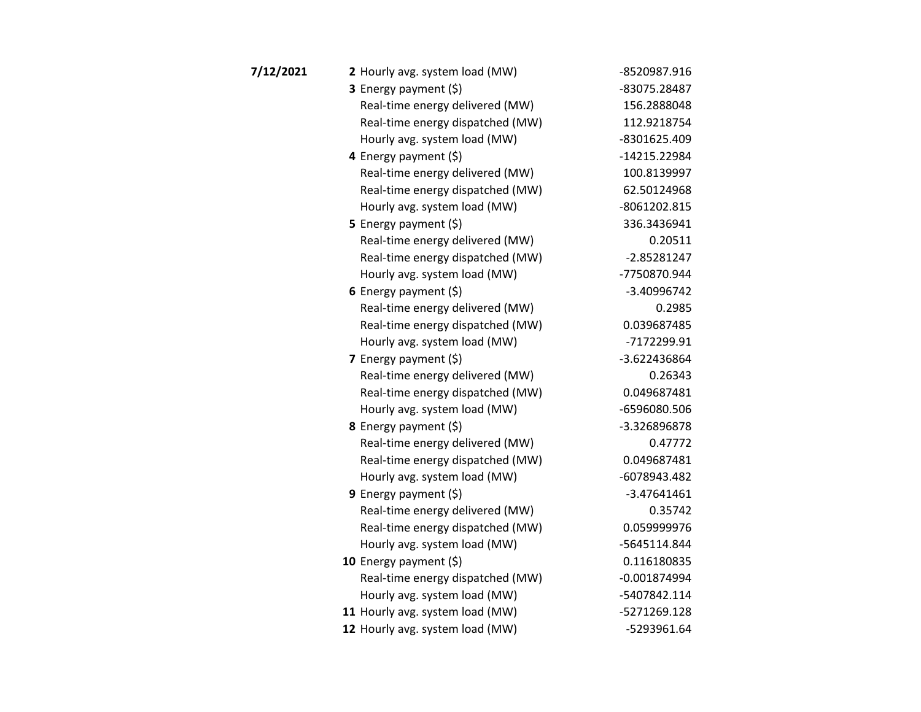| 7/12/2021 | 2 Hourly avg. system load (MW)   | -8520987.916   |
|-----------|----------------------------------|----------------|
|           | <b>3</b> Energy payment $(\xi)$  | -83075.28487   |
|           | Real-time energy delivered (MW)  | 156.2888048    |
|           | Real-time energy dispatched (MW) | 112.9218754    |
|           | Hourly avg. system load (MW)     | -8301625.409   |
|           | 4 Energy payment (\$)            | -14215.22984   |
|           | Real-time energy delivered (MW)  | 100.8139997    |
|           | Real-time energy dispatched (MW) | 62.50124968    |
|           | Hourly avg. system load (MW)     | -8061202.815   |
|           | 5 Energy payment $(5)$           | 336.3436941    |
|           | Real-time energy delivered (MW)  | 0.20511        |
|           | Real-time energy dispatched (MW) | $-2.85281247$  |
|           | Hourly avg. system load (MW)     | -7750870.944   |
|           | 6 Energy payment $(5)$           | -3.40996742    |
|           | Real-time energy delivered (MW)  | 0.2985         |
|           | Real-time energy dispatched (MW) | 0.039687485    |
|           | Hourly avg. system load (MW)     | -7172299.91    |
|           | 7 Energy payment $(5)$           | -3.622436864   |
|           | Real-time energy delivered (MW)  | 0.26343        |
|           | Real-time energy dispatched (MW) | 0.049687481    |
|           | Hourly avg. system load (MW)     | -6596080.506   |
|           | 8 Energy payment (\$)            | -3.326896878   |
|           | Real-time energy delivered (MW)  | 0.47772        |
|           | Real-time energy dispatched (MW) | 0.049687481    |
|           | Hourly avg. system load (MW)     | -6078943.482   |
|           | 9 Energy payment $(\xi)$         | $-3.47641461$  |
|           | Real-time energy delivered (MW)  | 0.35742        |
|           | Real-time energy dispatched (MW) | 0.059999976    |
|           | Hourly avg. system load (MW)     | -5645114.844   |
|           | 10 Energy payment $(\xi)$        | 0.116180835    |
|           | Real-time energy dispatched (MW) | $-0.001874994$ |
|           | Hourly avg. system load (MW)     | -5407842.114   |
|           | 11 Hourly avg. system load (MW)  | -5271269.128   |
|           | 12 Hourly avg. system load (MW)  | -5293961.64    |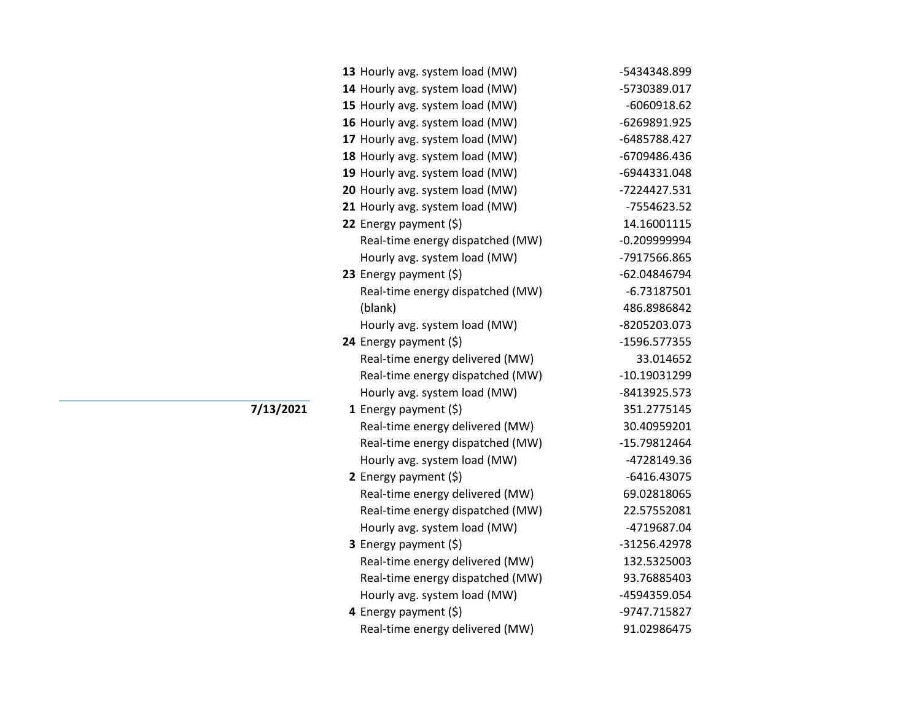|           | 13 Hourly avg. system load (MW)  | -5434348.899   |
|-----------|----------------------------------|----------------|
|           | 14 Hourly avg. system load (MW)  | -5730389.017   |
|           | 15 Hourly avg. system load (MW)  | $-6060918.62$  |
|           | 16 Hourly avg. system load (MW)  | -6269891.925   |
|           | 17 Hourly avg. system load (MW)  | -6485788.427   |
|           | 18 Hourly avg. system load (MW)  | -6709486.436   |
|           | 19 Hourly avg. system load (MW)  | -6944331.048   |
|           | 20 Hourly avg. system load (MW)  | -7224427.531   |
|           | 21 Hourly avg. system load (MW)  | -7554623.52    |
|           | 22 Energy payment (\$)           | 14.16001115    |
|           | Real-time energy dispatched (MW) | $-0.209999994$ |
|           | Hourly avg. system load (MW)     | -7917566.865   |
|           | 23 Energy payment (\$)           | -62.04846794   |
|           | Real-time energy dispatched (MW) | $-6.73187501$  |
|           | (blank)                          | 486.8986842    |
|           | Hourly avg. system load (MW)     | -8205203.073   |
|           | 24 Energy payment (\$)           | -1596.577355   |
|           | Real-time energy delivered (MW)  | 33.014652      |
|           | Real-time energy dispatched (MW) | $-10.19031299$ |
|           | Hourly avg. system load (MW)     | -8413925.573   |
| 7/13/2021 | 1 Energy payment $(\xi)$         | 351.2775145    |
|           | Real-time energy delivered (MW)  | 30.40959201    |
|           | Real-time energy dispatched (MW) | -15.79812464   |
|           | Hourly avg. system load (MW)     | -4728149.36    |
|           | 2 Energy payment (\$)            | $-6416.43075$  |
|           | Real-time energy delivered (MW)  | 69.02818065    |
|           | Real-time energy dispatched (MW) | 22.57552081    |
|           | Hourly avg. system load (MW)     | -4719687.04    |
|           | 3 Energy payment (\$)            | -31256.42978   |
|           | Real-time energy delivered (MW)  | 132.5325003    |
|           | Real-time energy dispatched (MW) | 93.76885403    |
|           | Hourly avg. system load (MW)     | -4594359.054   |
|           | 4 Energy payment (\$)            | -9747.715827   |
|           | Real-time energy delivered (MW)  | 91.02986475    |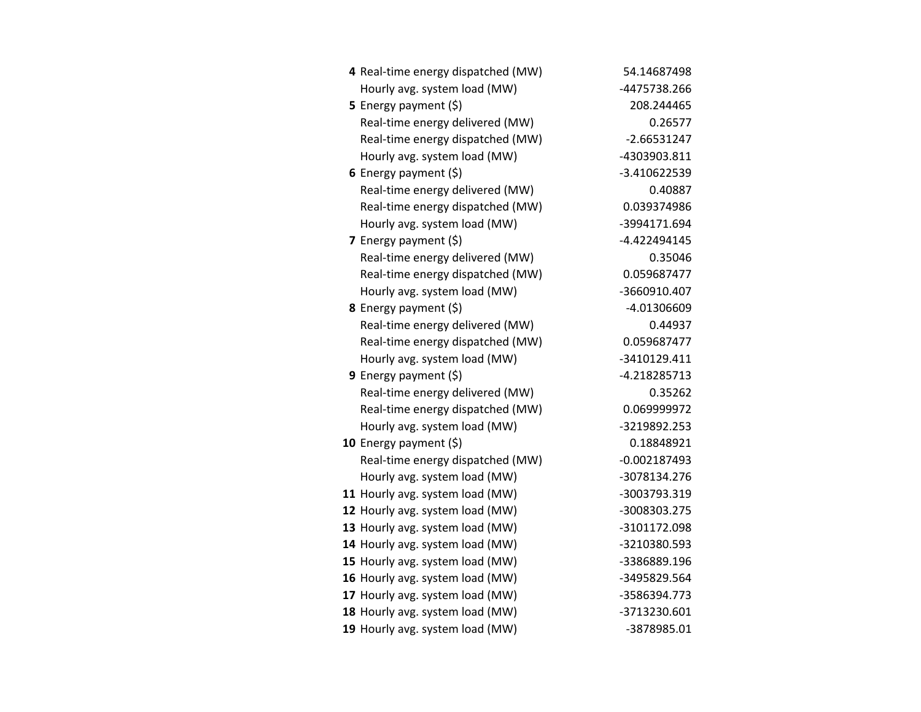| 4 Real-time energy dispatched (MW) | 54.14687498    |
|------------------------------------|----------------|
| Hourly avg. system load (MW)       | -4475738.266   |
| 5 Energy payment $(5)$             | 208.244465     |
| Real-time energy delivered (MW)    | 0.26577        |
| Real-time energy dispatched (MW)   | $-2.66531247$  |
| Hourly avg. system load (MW)       | -4303903.811   |
| 6 Energy payment $(\xi)$           | -3.410622539   |
| Real-time energy delivered (MW)    | 0.40887        |
| Real-time energy dispatched (MW)   | 0.039374986    |
| Hourly avg. system load (MW)       | -3994171.694   |
| 7 Energy payment $(\xi)$           | -4.422494145   |
| Real-time energy delivered (MW)    | 0.35046        |
| Real-time energy dispatched (MW)   | 0.059687477    |
| Hourly avg. system load (MW)       | -3660910.407   |
| <b>8</b> Energy payment $(\xi)$    | -4.01306609    |
| Real-time energy delivered (MW)    | 0.44937        |
| Real-time energy dispatched (MW)   | 0.059687477    |
| Hourly avg. system load (MW)       | -3410129.411   |
| <b>9</b> Energy payment $(\xi)$    | -4.218285713   |
| Real-time energy delivered (MW)    | 0.35262        |
| Real-time energy dispatched (MW)   | 0.069999972    |
| Hourly avg. system load (MW)       | -3219892.253   |
| 10 Energy payment $(\xi)$          | 0.18848921     |
| Real-time energy dispatched (MW)   | $-0.002187493$ |
| Hourly avg. system load (MW)       | -3078134.276   |
| 11 Hourly avg. system load (MW)    | -3003793.319   |
| 12 Hourly avg. system load (MW)    | -3008303.275   |
| 13 Hourly avg. system load (MW)    | -3101172.098   |
| 14 Hourly avg. system load (MW)    | -3210380.593   |
| 15 Hourly avg. system load (MW)    | -3386889.196   |
| 16 Hourly avg. system load (MW)    | -3495829.564   |
| 17 Hourly avg. system load (MW)    | -3586394.773   |
| 18 Hourly avg. system load (MW)    | -3713230.601   |
| 19 Hourly avg. system load (MW)    | -3878985.01    |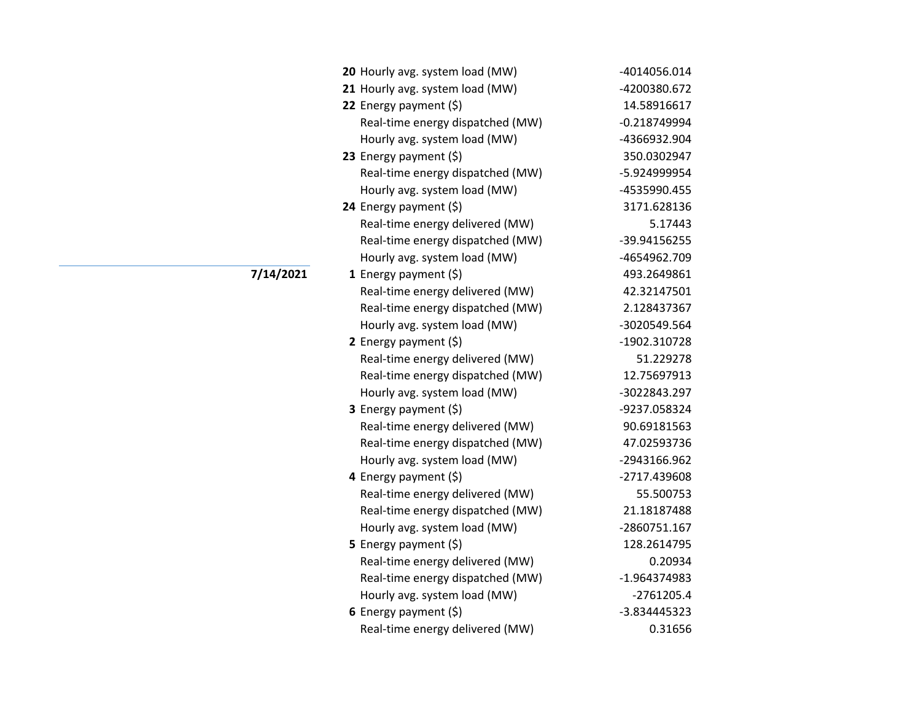| 20 Hourly avg. system load (MW)  | -4014056.014   |
|----------------------------------|----------------|
| 21 Hourly avg. system load (MW)  | -4200380.672   |
| 22 Energy payment (\$)           | 14.58916617    |
| Real-time energy dispatched (MW) | $-0.218749994$ |
| Hourly avg. system load (MW)     | -4366932.904   |
| 23 Energy payment $(\xi)$        | 350.0302947    |
| Real-time energy dispatched (MW) | -5.924999954   |
| Hourly avg. system load (MW)     | -4535990.455   |
| 24 Energy payment (\$)           | 3171.628136    |
| Real-time energy delivered (MW)  | 5.17443        |
| Real-time energy dispatched (MW) | -39.94156255   |
| Hourly avg. system load (MW)     | -4654962.709   |
| <b>1</b> Energy payment $(\xi)$  | 493.2649861    |
| Real-time energy delivered (MW)  | 42.32147501    |
| Real-time energy dispatched (MW) | 2.128437367    |
| Hourly avg. system load (MW)     | -3020549.564   |
| 2 Energy payment (\$)            | -1902.310728   |
| Real-time energy delivered (MW)  | 51.229278      |
| Real-time energy dispatched (MW) | 12.75697913    |
| Hourly avg. system load (MW)     | -3022843.297   |
| 3 Energy payment (\$)            | -9237.058324   |
| Real-time energy delivered (MW)  | 90.69181563    |
| Real-time energy dispatched (MW) | 47.02593736    |
| Hourly avg. system load (MW)     | -2943166.962   |
| 4 Energy payment (\$)            | -2717.439608   |
| Real-time energy delivered (MW)  | 55.500753      |
| Real-time energy dispatched (MW) | 21.18187488    |
| Hourly avg. system load (MW)     | -2860751.167   |
| <b>5</b> Energy payment $(\xi)$  | 128.2614795    |
| Real-time energy delivered (MW)  | 0.20934        |
| Real-time energy dispatched (MW) | -1.964374983   |
| Hourly avg. system load (MW)     | $-2761205.4$   |
| 6 Energy payment $(5)$           | -3.834445323   |
| Real-time energy delivered (MW)  | 0.31656        |

**7/14/2021**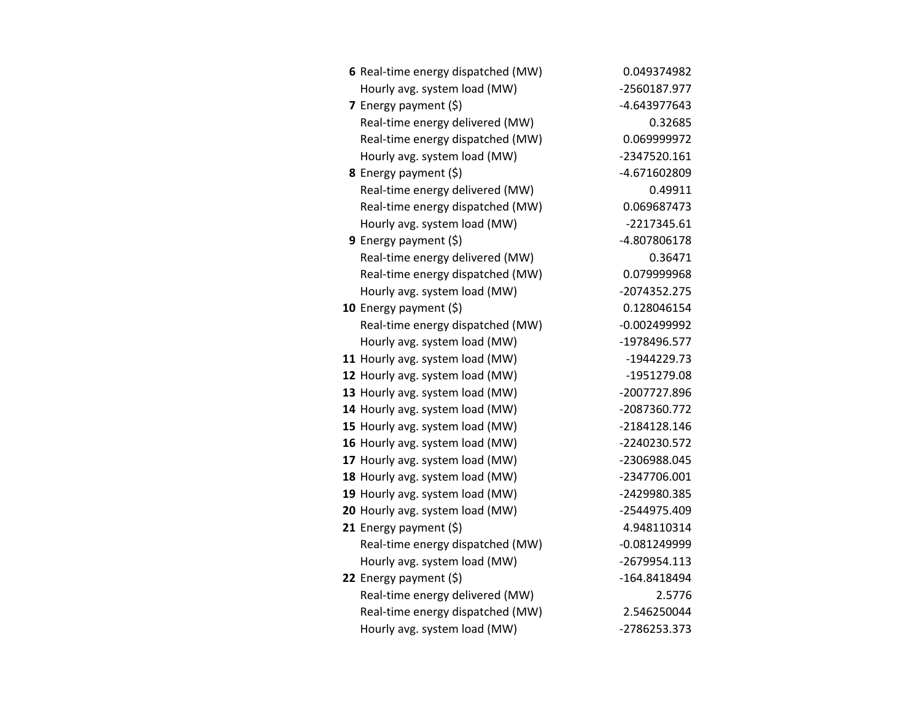| 6 Real-time energy dispatched (MW) | 0.049374982    |
|------------------------------------|----------------|
| Hourly avg. system load (MW)       | -2560187.977   |
| 7 Energy payment (\$)              | -4.643977643   |
| Real-time energy delivered (MW)    | 0.32685        |
| Real-time energy dispatched (MW)   | 0.069999972    |
| Hourly avg. system load (MW)       | -2347520.161   |
| 8 Energy payment (\$)              | -4.671602809   |
| Real-time energy delivered (MW)    | 0.49911        |
| Real-time energy dispatched (MW)   | 0.069687473    |
| Hourly avg. system load (MW)       | -2217345.61    |
| 9 Energy payment $(\xi)$           | -4.807806178   |
| Real-time energy delivered (MW)    | 0.36471        |
| Real-time energy dispatched (MW)   | 0.079999968    |
| Hourly avg. system load (MW)       | -2074352.275   |
| 10 Energy payment (\$)             | 0.128046154    |
| Real-time energy dispatched (MW)   | $-0.002499992$ |
| Hourly avg. system load (MW)       | -1978496.577   |
| 11 Hourly avg. system load (MW)    | -1944229.73    |
| 12 Hourly avg. system load (MW)    | -1951279.08    |
| 13 Hourly avg. system load (MW)    | -2007727.896   |
| 14 Hourly avg. system load (MW)    | -2087360.772   |
| 15 Hourly avg. system load (MW)    | -2184128.146   |
| 16 Hourly avg. system load (MW)    | -2240230.572   |
| 17 Hourly avg. system load (MW)    | -2306988.045   |
| 18 Hourly avg. system load (MW)    | -2347706.001   |
| 19 Hourly avg. system load (MW)    | -2429980.385   |
| 20 Hourly avg. system load (MW)    | -2544975.409   |
| 21 Energy payment $(\xi)$          | 4.948110314    |
| Real-time energy dispatched (MW)   | $-0.081249999$ |
| Hourly avg. system load (MW)       | -2679954.113   |
| 22 Energy payment $(\xi)$          | -164.8418494   |
| Real-time energy delivered (MW)    | 2.5776         |
| Real-time energy dispatched (MW)   | 2.546250044    |
| Hourly avg. system load (MW)       | -2786253.373   |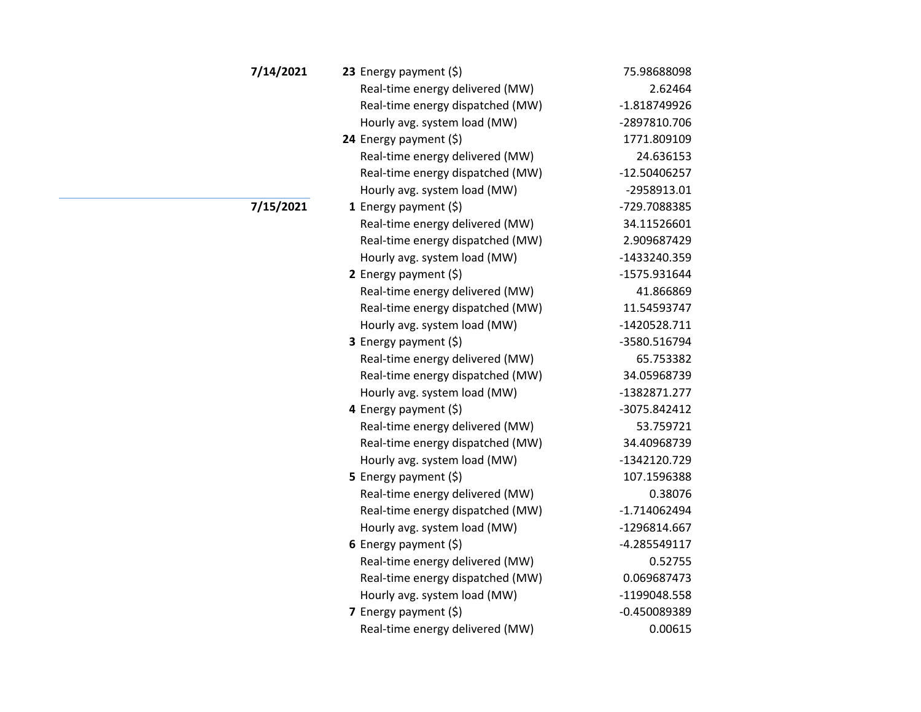| 7/14/2021 | 23 Energy payment $(\xi)$        | 75.98688098    |
|-----------|----------------------------------|----------------|
|           | Real-time energy delivered (MW)  | 2.62464        |
|           | Real-time energy dispatched (MW) | $-1.818749926$ |
|           | Hourly avg. system load (MW)     | -2897810.706   |
|           | 24 Energy payment $(\xi)$        | 1771.809109    |
|           | Real-time energy delivered (MW)  | 24.636153      |
|           | Real-time energy dispatched (MW) | $-12.50406257$ |
|           | Hourly avg. system load (MW)     | -2958913.01    |
| 7/15/2021 | 1 Energy payment $(5)$           | -729.7088385   |
|           | Real-time energy delivered (MW)  | 34.11526601    |
|           | Real-time energy dispatched (MW) | 2.909687429    |
|           | Hourly avg. system load (MW)     | -1433240.359   |
|           | 2 Energy payment $(5)$           | -1575.931644   |
|           | Real-time energy delivered (MW)  | 41.866869      |
|           | Real-time energy dispatched (MW) | 11.54593747    |
|           | Hourly avg. system load (MW)     | $-1420528.711$ |
|           | 3 Energy payment (\$)            | -3580.516794   |
|           | Real-time energy delivered (MW)  | 65.753382      |
|           | Real-time energy dispatched (MW) | 34.05968739    |
|           | Hourly avg. system load (MW)     | -1382871.277   |
|           | 4 Energy payment (\$)            | -3075.842412   |
|           | Real-time energy delivered (MW)  | 53.759721      |
|           | Real-time energy dispatched (MW) | 34.40968739    |
|           | Hourly avg. system load (MW)     | -1342120.729   |
|           | 5 Energy payment $(\xi)$         | 107.1596388    |
|           | Real-time energy delivered (MW)  | 0.38076        |
|           | Real-time energy dispatched (MW) | $-1.714062494$ |
|           | Hourly avg. system load (MW)     | -1296814.667   |
|           | 6 Energy payment $(\xi)$         | $-4.285549117$ |
|           | Real-time energy delivered (MW)  | 0.52755        |
|           | Real-time energy dispatched (MW) | 0.069687473    |
|           | Hourly avg. system load (MW)     | -1199048.558   |
|           | 7 Energy payment $(\xi)$         | $-0.450089389$ |
|           | Real-time energy delivered (MW)  | 0.00615        |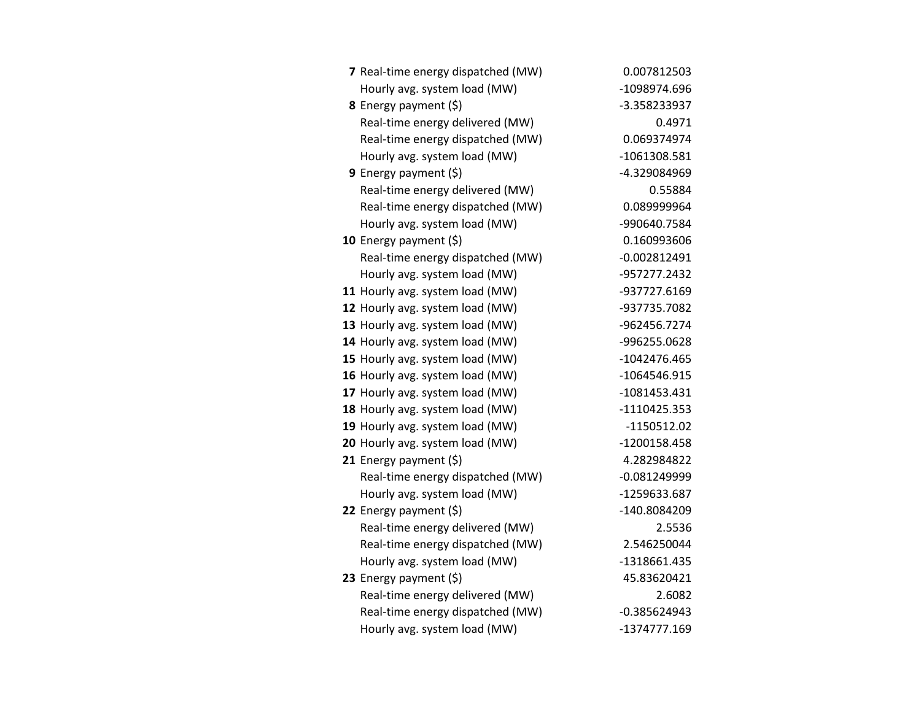| 7 Real-time energy dispatched (MW) | 0.007812503    |
|------------------------------------|----------------|
| Hourly avg. system load (MW)       | -1098974.696   |
| 8 Energy payment (\$)              | -3.358233937   |
| Real-time energy delivered (MW)    | 0.4971         |
| Real-time energy dispatched (MW)   | 0.069374974    |
| Hourly avg. system load (MW)       | -1061308.581   |
| 9 Energy payment $(\xi)$           | -4.329084969   |
| Real-time energy delivered (MW)    | 0.55884        |
| Real-time energy dispatched (MW)   | 0.089999964    |
| Hourly avg. system load (MW)       | -990640.7584   |
| 10 Energy payment $(5)$            | 0.160993606    |
| Real-time energy dispatched (MW)   | $-0.002812491$ |
| Hourly avg. system load (MW)       | -957277.2432   |
| 11 Hourly avg. system load (MW)    | -937727.6169   |
| 12 Hourly avg. system load (MW)    | -937735.7082   |
| 13 Hourly avg. system load (MW)    | -962456.7274   |
| 14 Hourly avg. system load (MW)    | -996255.0628   |
| 15 Hourly avg. system load (MW)    | $-1042476.465$ |
| 16 Hourly avg. system load (MW)    | -1064546.915   |
| 17 Hourly avg. system load (MW)    | $-1081453.431$ |
| 18 Hourly avg. system load (MW)    | $-1110425.353$ |
| 19 Hourly avg. system load (MW)    | $-1150512.02$  |
| 20 Hourly avg. system load (MW)    | -1200158.458   |
| 21 Energy payment $(5)$            | 4.282984822    |
| Real-time energy dispatched (MW)   | $-0.081249999$ |
| Hourly avg. system load (MW)       | -1259633.687   |
| 22 Energy payment $(\xi)$          | -140.8084209   |
| Real-time energy delivered (MW)    | 2.5536         |
| Real-time energy dispatched (MW)   | 2.546250044    |
| Hourly avg. system load (MW)       | -1318661.435   |
| 23 Energy payment $(\xi)$          | 45.83620421    |
| Real-time energy delivered (MW)    | 2.6082         |
| Real-time energy dispatched (MW)   | $-0.385624943$ |
| Hourly avg. system load (MW)       | -1374777.169   |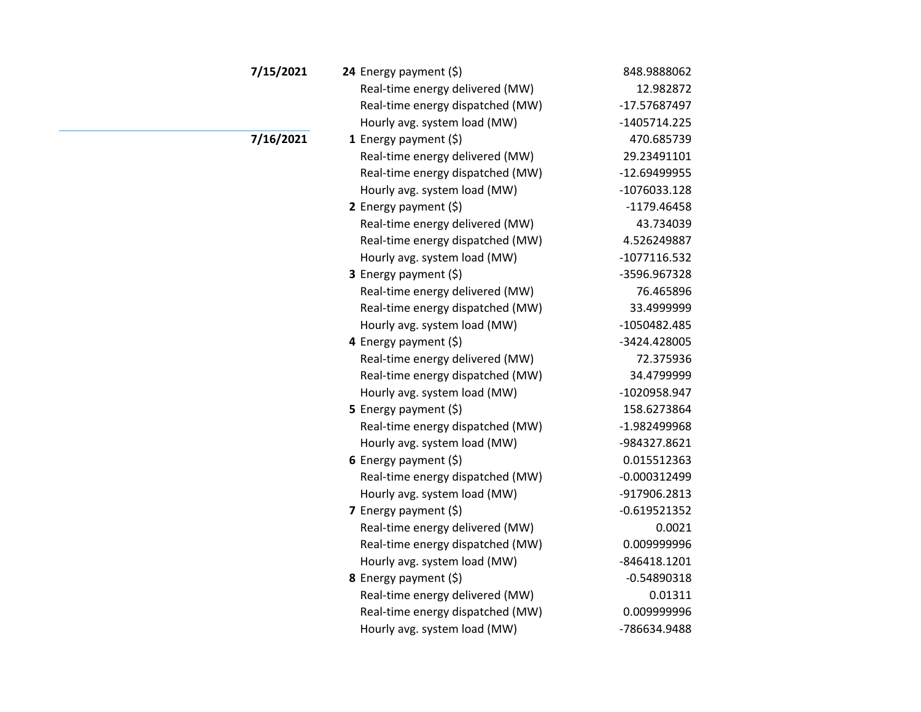| 7/15/2021 | 24 Energy payment (\$)           | 848.9888062    |
|-----------|----------------------------------|----------------|
|           | Real-time energy delivered (MW)  | 12.982872      |
|           | Real-time energy dispatched (MW) | -17.57687497   |
|           | Hourly avg. system load (MW)     | -1405714.225   |
| 7/16/2021 | 1 Energy payment $(\xi)$         | 470.685739     |
|           | Real-time energy delivered (MW)  | 29.23491101    |
|           | Real-time energy dispatched (MW) | -12.69499955   |
|           | Hourly avg. system load (MW)     | $-1076033.128$ |
|           | 2 Energy payment (\$)            | $-1179.46458$  |
|           | Real-time energy delivered (MW)  | 43.734039      |
|           | Real-time energy dispatched (MW) | 4.526249887    |
|           | Hourly avg. system load (MW)     | $-1077116.532$ |
|           | 3 Energy payment (\$)            | -3596.967328   |
|           | Real-time energy delivered (MW)  | 76.465896      |
|           | Real-time energy dispatched (MW) | 33.4999999     |
|           | Hourly avg. system load (MW)     | -1050482.485   |
|           | 4 Energy payment (\$)            | -3424.428005   |
|           | Real-time energy delivered (MW)  | 72.375936      |
|           | Real-time energy dispatched (MW) | 34.4799999     |
|           | Hourly avg. system load (MW)     | -1020958.947   |
|           | 5 Energy payment (\$)            | 158.6273864    |
|           | Real-time energy dispatched (MW) | -1.982499968   |
|           | Hourly avg. system load (MW)     | -984327.8621   |
|           | 6 Energy payment $(5)$           | 0.015512363    |
|           | Real-time energy dispatched (MW) | $-0.000312499$ |
|           | Hourly avg. system load (MW)     | -917906.2813   |
|           | 7 Energy payment (\$)            | $-0.619521352$ |
|           | Real-time energy delivered (MW)  | 0.0021         |
|           | Real-time energy dispatched (MW) | 0.009999996    |
|           | Hourly avg. system load (MW)     | -846418.1201   |
|           | 8 Energy payment (\$)            | $-0.54890318$  |
|           | Real-time energy delivered (MW)  | 0.01311        |
|           | Real-time energy dispatched (MW) | 0.009999996    |
|           | Hourly avg. system load (MW)     | -786634.9488   |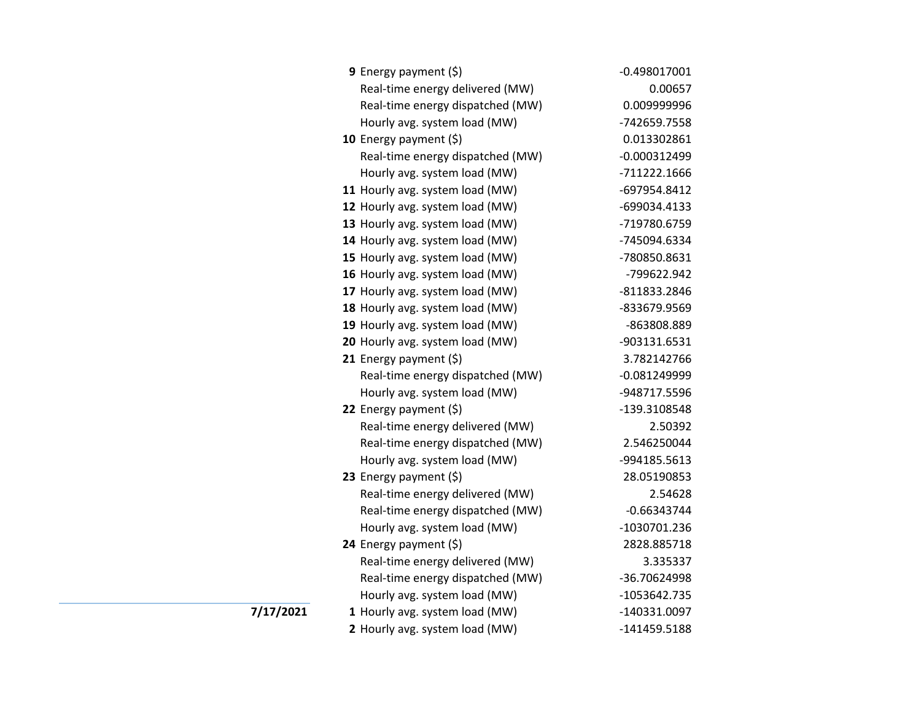| 9 Energy payment (\$)            | $-0.498017001$ |
|----------------------------------|----------------|
| Real-time energy delivered (MW)  | 0.00657        |
| Real-time energy dispatched (MW) | 0.009999996    |
| Hourly avg. system load (MW)     | -742659.7558   |
| 10 Energy payment $(5)$          | 0.013302861    |
| Real-time energy dispatched (MW) | $-0.000312499$ |
| Hourly avg. system load (MW)     | -711222.1666   |
| 11 Hourly avg. system load (MW)  | -697954.8412   |
| 12 Hourly avg. system load (MW)  | -699034.4133   |
| 13 Hourly avg. system load (MW)  | -719780.6759   |
| 14 Hourly avg. system load (MW)  | -745094.6334   |
| 15 Hourly avg. system load (MW)  | -780850.8631   |
| 16 Hourly avg. system load (MW)  | -799622.942    |
| 17 Hourly avg. system load (MW)  | -811833.2846   |
| 18 Hourly avg. system load (MW)  | -833679.9569   |
| 19 Hourly avg. system load (MW)  | -863808.889    |
| 20 Hourly avg. system load (MW)  | -903131.6531   |
| 21 Energy payment $(\xi)$        | 3.782142766    |
| Real-time energy dispatched (MW) | $-0.081249999$ |
| Hourly avg. system load (MW)     | -948717.5596   |
| 22 Energy payment (\$)           | -139.3108548   |
| Real-time energy delivered (MW)  | 2.50392        |
| Real-time energy dispatched (MW) | 2.546250044    |
| Hourly avg. system load (MW)     | -994185.5613   |
| 23 Energy payment (\$)           | 28.05190853    |
| Real-time energy delivered (MW)  | 2.54628        |
| Real-time energy dispatched (MW) | $-0.66343744$  |
| Hourly avg. system load (MW)     | -1030701.236   |
| 24 Energy payment (\$)           | 2828.885718    |
| Real-time energy delivered (MW)  | 3.335337       |
| Real-time energy dispatched (MW) | -36.70624998   |
| Hourly avg. system load (MW)     | -1053642.735   |
| 1 Hourly avg. system load (MW)   | -140331.0097   |
| 2 Hourly avg. system load (MW)   | -141459.5188   |

**7/17/2021**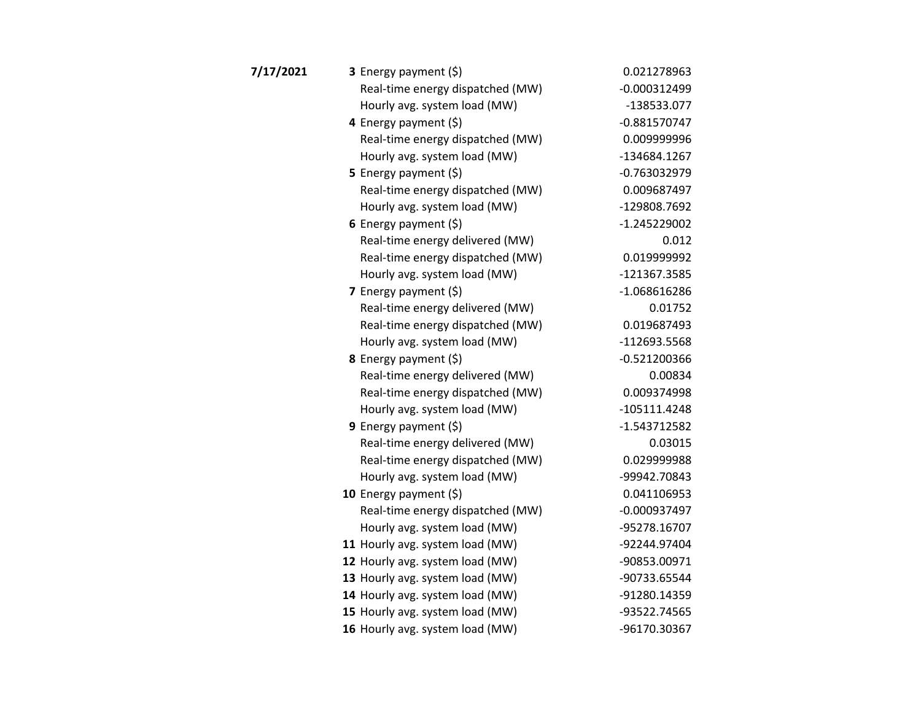| 7/17/2021 | 3 Energy payment (\$)            | 0.021278963    |
|-----------|----------------------------------|----------------|
|           | Real-time energy dispatched (MW) | $-0.000312499$ |
|           | Hourly avg. system load (MW)     | -138533.077    |
|           | 4 Energy payment (\$)            | $-0.881570747$ |
|           | Real-time energy dispatched (MW) | 0.009999996    |
|           | Hourly avg. system load (MW)     | -134684.1267   |
|           | 5 Energy payment $(5)$           | $-0.763032979$ |
|           | Real-time energy dispatched (MW) | 0.009687497    |
|           | Hourly avg. system load (MW)     | -129808.7692   |
|           | 6 Energy payment $(\xi)$         | $-1.245229002$ |
|           | Real-time energy delivered (MW)  | 0.012          |
|           | Real-time energy dispatched (MW) | 0.019999992    |
|           | Hourly avg. system load (MW)     | -121367.3585   |
|           | 7 Energy payment $(5)$           | $-1.068616286$ |
|           | Real-time energy delivered (MW)  | 0.01752        |
|           | Real-time energy dispatched (MW) | 0.019687493    |
|           | Hourly avg. system load (MW)     | -112693.5568   |
|           | 8 Energy payment (\$)            | $-0.521200366$ |
|           | Real-time energy delivered (MW)  | 0.00834        |
|           | Real-time energy dispatched (MW) | 0.009374998    |
|           | Hourly avg. system load (MW)     | $-105111.4248$ |
|           | <b>9</b> Energy payment $(\xi)$  | $-1.543712582$ |
|           | Real-time energy delivered (MW)  | 0.03015        |
|           | Real-time energy dispatched (MW) | 0.029999988    |
|           | Hourly avg. system load (MW)     | -99942.70843   |
|           | 10 Energy payment $(\xi)$        | 0.041106953    |
|           | Real-time energy dispatched (MW) | $-0.000937497$ |
|           | Hourly avg. system load (MW)     | -95278.16707   |
|           | 11 Hourly avg. system load (MW)  | -92244.97404   |
|           | 12 Hourly avg. system load (MW)  | -90853.00971   |
|           | 13 Hourly avg. system load (MW)  | -90733.65544   |
|           | 14 Hourly avg. system load (MW)  | -91280.14359   |
|           | 15 Hourly avg. system load (MW)  | -93522.74565   |
|           | 16 Hourly avg. system load (MW)  | -96170.30367   |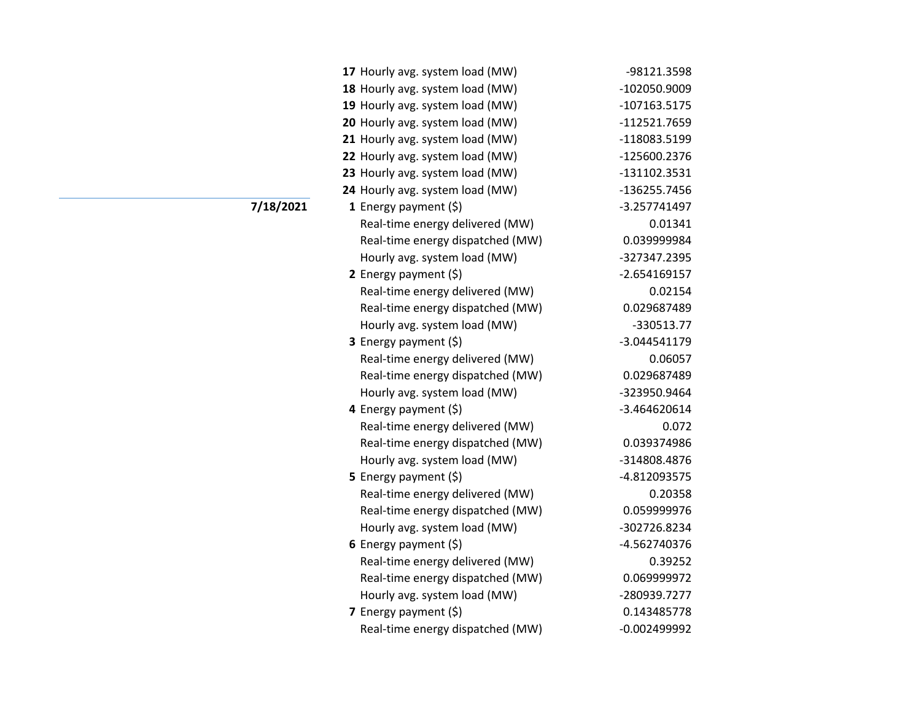| 17 Hourly avg. system load (MW)  | -98121.3598    |
|----------------------------------|----------------|
| 18 Hourly avg. system load (MW)  | -102050.9009   |
| 19 Hourly avg. system load (MW)  | -107163.5175   |
| 20 Hourly avg. system load (MW)  | -112521.7659   |
| 21 Hourly avg. system load (MW)  | -118083.5199   |
| 22 Hourly avg. system load (MW)  | -125600.2376   |
| 23 Hourly avg. system load (MW)  | -131102.3531   |
| 24 Hourly avg. system load (MW)  | -136255.7456   |
| 1 Energy payment $(\xi)$         | -3.257741497   |
| Real-time energy delivered (MW)  | 0.01341        |
| Real-time energy dispatched (MW) | 0.039999984    |
| Hourly avg. system load (MW)     | -327347.2395   |
| 2 Energy payment $(\xi)$         | $-2.654169157$ |
| Real-time energy delivered (MW)  | 0.02154        |
| Real-time energy dispatched (MW) | 0.029687489    |
| Hourly avg. system load (MW)     | -330513.77     |
| <b>3</b> Energy payment $(\xi)$  | -3.044541179   |
| Real-time energy delivered (MW)  | 0.06057        |
| Real-time energy dispatched (MW) | 0.029687489    |
| Hourly avg. system load (MW)     | -323950.9464   |
| 4 Energy payment (\$)            | -3.464620614   |
| Real-time energy delivered (MW)  | 0.072          |
| Real-time energy dispatched (MW) | 0.039374986    |
| Hourly avg. system load (MW)     | -314808.4876   |
| 5 Energy payment (\$)            | -4.812093575   |
| Real-time energy delivered (MW)  | 0.20358        |
| Real-time energy dispatched (MW) | 0.059999976    |
| Hourly avg. system load (MW)     | -302726.8234   |
| 6 Energy payment $(\xi)$         | -4.562740376   |
| Real-time energy delivered (MW)  | 0.39252        |
| Real-time energy dispatched (MW) | 0.069999972    |
| Hourly avg. system load (MW)     | -280939.7277   |
| 7 Energy payment $(5)$           | 0.143485778    |
| Real-time energy dispatched (MW) | $-0.002499992$ |

## **7/18/2021**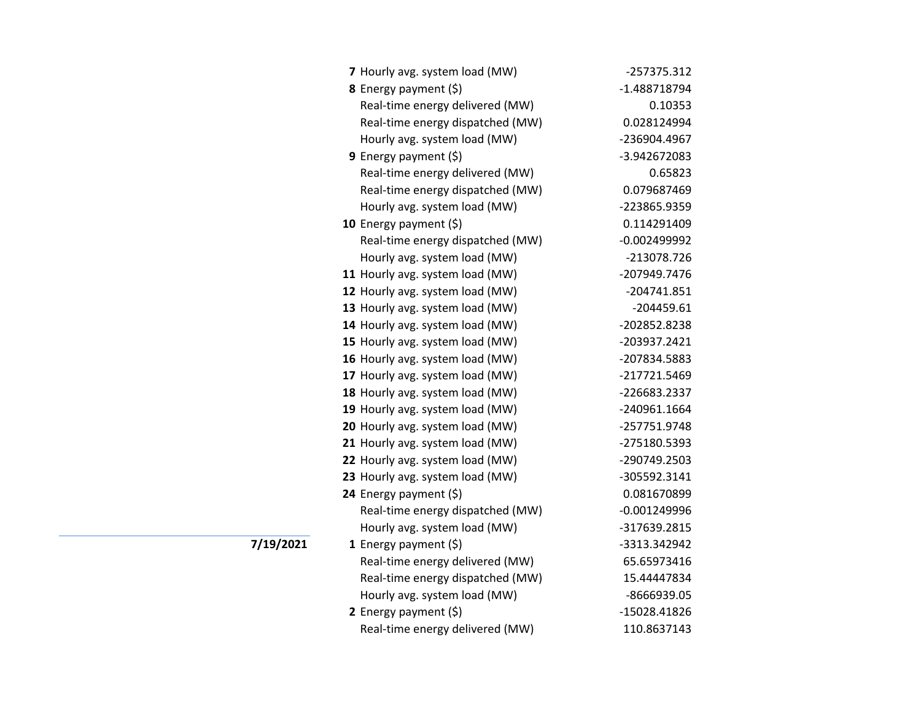| 7 Hourly avg. system load (MW)   | -257375.312    |
|----------------------------------|----------------|
| 8 Energy payment (\$)            | -1.488718794   |
| Real-time energy delivered (MW)  | 0.10353        |
| Real-time energy dispatched (MW) | 0.028124994    |
| Hourly avg. system load (MW)     | -236904.4967   |
| <b>9</b> Energy payment $(\xi)$  | -3.942672083   |
| Real-time energy delivered (MW)  | 0.65823        |
| Real-time energy dispatched (MW) | 0.079687469    |
| Hourly avg. system load (MW)     | -223865.9359   |
| 10 Energy payment (\$)           | 0.114291409    |
| Real-time energy dispatched (MW) | -0.002499992   |
| Hourly avg. system load (MW)     | -213078.726    |
| 11 Hourly avg. system load (MW)  | -207949.7476   |
| 12 Hourly avg. system load (MW)  | $-204741.851$  |
| 13 Hourly avg. system load (MW)  | $-204459.61$   |
| 14 Hourly avg. system load (MW)  | -202852.8238   |
| 15 Hourly avg. system load (MW)  | -203937.2421   |
| 16 Hourly avg. system load (MW)  | -207834.5883   |
| 17 Hourly avg. system load (MW)  | -217721.5469   |
| 18 Hourly avg. system load (MW)  | -226683.2337   |
| 19 Hourly avg. system load (MW)  | -240961.1664   |
| 20 Hourly avg. system load (MW)  | -257751.9748   |
| 21 Hourly avg. system load (MW)  | -275180.5393   |
| 22 Hourly avg. system load (MW)  | -290749.2503   |
| 23 Hourly avg. system load (MW)  | -305592.3141   |
| 24 Energy payment (\$)           | 0.081670899    |
| Real-time energy dispatched (MW) | $-0.001249996$ |
| Hourly avg. system load (MW)     | -317639.2815   |
| 1 Energy payment $(\xi)$         | -3313.342942   |
| Real-time energy delivered (MW)  | 65.65973416    |
| Real-time energy dispatched (MW) | 15.44447834    |
| Hourly avg. system load (MW)     | -8666939.05    |
| 2 Energy payment $(5)$           | -15028.41826   |
| Real-time energy delivered (MW)  | 110.8637143    |

**7/19/2021**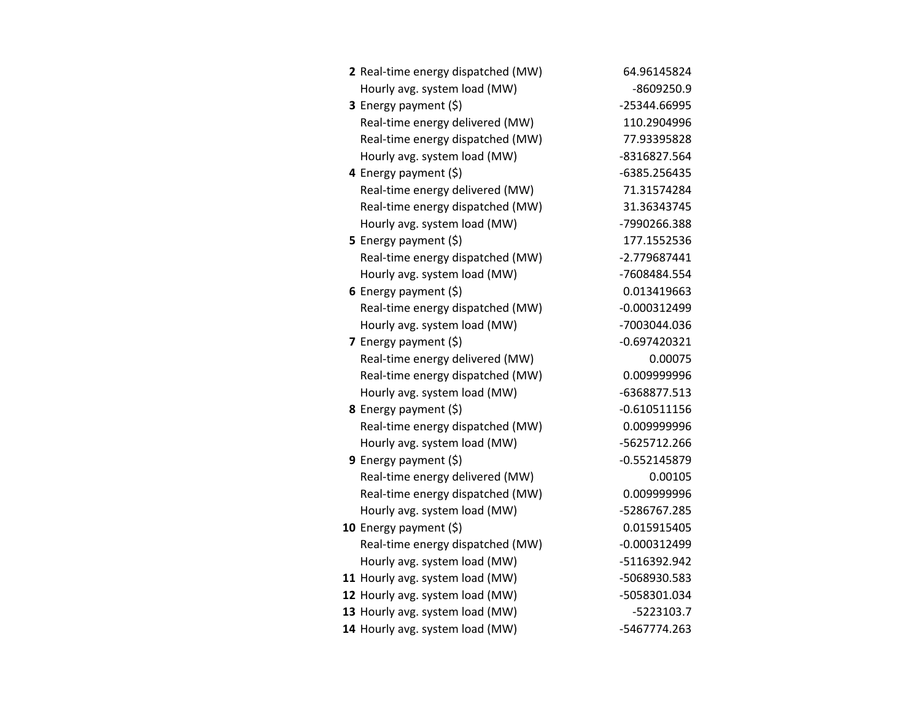| 2 Real-time energy dispatched (MW) | 64.96145824    |
|------------------------------------|----------------|
| Hourly avg. system load (MW)       | -8609250.9     |
| 3 Energy payment (\$)              | -25344.66995   |
| Real-time energy delivered (MW)    | 110.2904996    |
| Real-time energy dispatched (MW)   | 77.93395828    |
| Hourly avg. system load (MW)       | -8316827.564   |
| 4 Energy payment (\$)              | -6385.256435   |
| Real-time energy delivered (MW)    | 71.31574284    |
| Real-time energy dispatched (MW)   | 31.36343745    |
| Hourly avg. system load (MW)       | -7990266.388   |
| 5 Energy payment (\$)              | 177.1552536    |
| Real-time energy dispatched (MW)   | -2.779687441   |
| Hourly avg. system load (MW)       | -7608484.554   |
| 6 Energy payment $(5)$             | 0.013419663    |
| Real-time energy dispatched (MW)   | $-0.000312499$ |
| Hourly avg. system load (MW)       | -7003044.036   |
| 7 Energy payment (\$)              | $-0.697420321$ |
| Real-time energy delivered (MW)    | 0.00075        |
| Real-time energy dispatched (MW)   | 0.009999996    |
| Hourly avg. system load (MW)       | -6368877.513   |
| 8 Energy payment (\$)              | $-0.610511156$ |
| Real-time energy dispatched (MW)   | 0.009999996    |
| Hourly avg. system load (MW)       | -5625712.266   |
| 9 Energy payment $(\xi)$           | $-0.552145879$ |
| Real-time energy delivered (MW)    | 0.00105        |
| Real-time energy dispatched (MW)   | 0.009999996    |
| Hourly avg. system load (MW)       | -5286767.285   |
| 10 Energy payment $(\xi)$          | 0.015915405    |
| Real-time energy dispatched (MW)   | $-0.000312499$ |
| Hourly avg. system load (MW)       | -5116392.942   |
| 11 Hourly avg. system load (MW)    | -5068930.583   |
| 12 Hourly avg. system load (MW)    | -5058301.034   |
| 13 Hourly avg. system load (MW)    | $-5223103.7$   |
| 14 Hourly avg. system load (MW)    | -5467774.263   |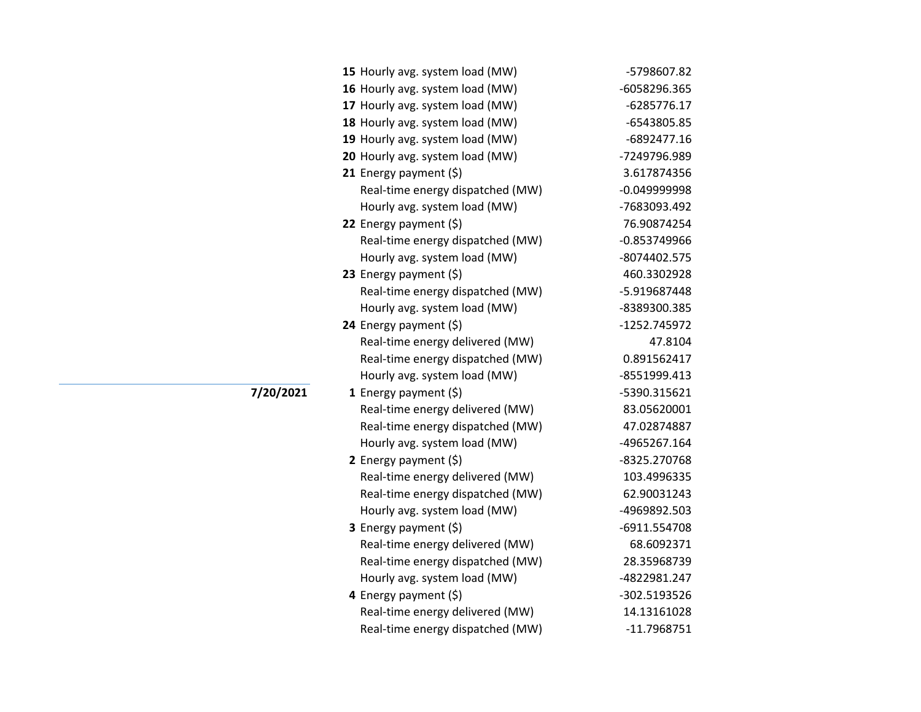| 15 Hourly avg. system load (MW)  | -5798607.82    |
|----------------------------------|----------------|
| 16 Hourly avg. system load (MW)  | -6058296.365   |
| 17 Hourly avg. system load (MW)  | $-6285776.17$  |
| 18 Hourly avg. system load (MW)  | -6543805.85    |
| 19 Hourly avg. system load (MW)  | $-6892477.16$  |
| 20 Hourly avg. system load (MW)  | -7249796.989   |
| 21 Energy payment $(\xi)$        | 3.617874356    |
| Real-time energy dispatched (MW) | -0.049999998   |
| Hourly avg. system load (MW)     | -7683093.492   |
| 22 Energy payment (\$)           | 76.90874254    |
| Real-time energy dispatched (MW) | $-0.853749966$ |
| Hourly avg. system load (MW)     | -8074402.575   |
| 23 Energy payment (\$)           | 460.3302928    |
| Real-time energy dispatched (MW) | -5.919687448   |
| Hourly avg. system load (MW)     | -8389300.385   |
| 24 Energy payment $(\xi)$        | -1252.745972   |
| Real-time energy delivered (MW)  | 47.8104        |
| Real-time energy dispatched (MW) | 0.891562417    |
| Hourly avg. system load (MW)     | -8551999.413   |
| 1 Energy payment $(\xi)$         | -5390.315621   |
| Real-time energy delivered (MW)  | 83.05620001    |
| Real-time energy dispatched (MW) | 47.02874887    |
| Hourly avg. system load (MW)     | -4965267.164   |
| 2 Energy payment $(\xi)$         | -8325.270768   |
| Real-time energy delivered (MW)  | 103.4996335    |
| Real-time energy dispatched (MW) | 62.90031243    |
| Hourly avg. system load (MW)     | -4969892.503   |
| <b>3</b> Energy payment $(\xi)$  | -6911.554708   |
| Real-time energy delivered (MW)  | 68.6092371     |
| Real-time energy dispatched (MW) | 28.35968739    |
| Hourly avg. system load (MW)     | -4822981.247   |
| 4 Energy payment (\$)            | -302.5193526   |
| Real-time energy delivered (MW)  | 14.13161028    |
| Real-time energy dispatched (MW) | $-11.7968751$  |

**7/20/2021**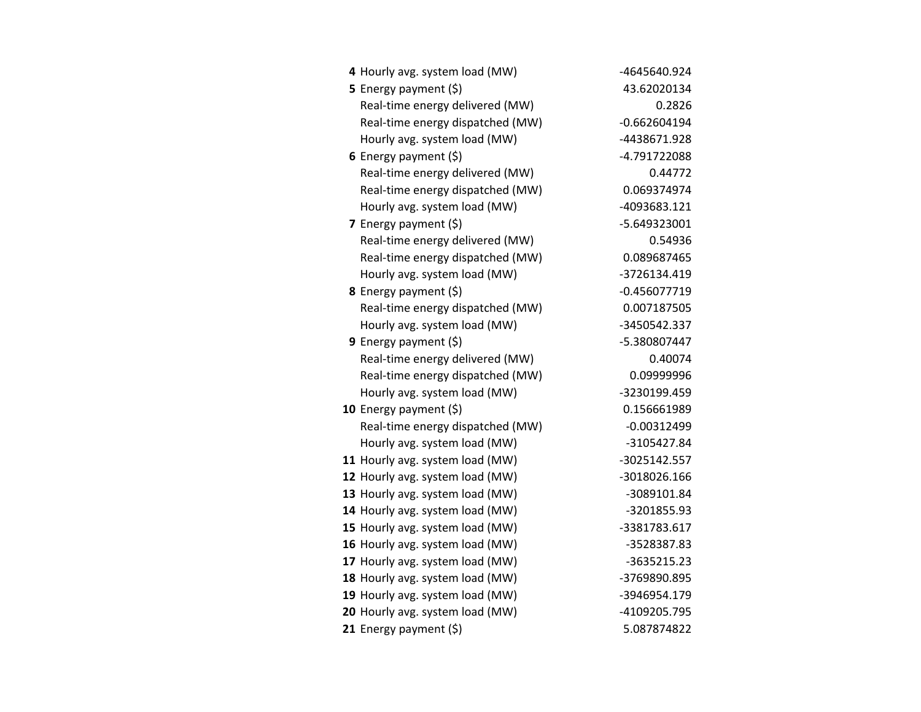| 4 Hourly avg. system load (MW)   | -4645640.924   |
|----------------------------------|----------------|
| 5 Energy payment $(5)$           | 43.62020134    |
| Real-time energy delivered (MW)  | 0.2826         |
| Real-time energy dispatched (MW) | $-0.662604194$ |
| Hourly avg. system load (MW)     | -4438671.928   |
| 6 Energy payment $(5)$           | -4.791722088   |
| Real-time energy delivered (MW)  | 0.44772        |
| Real-time energy dispatched (MW) | 0.069374974    |
| Hourly avg. system load (MW)     | -4093683.121   |
| 7 Energy payment (\$)            | -5.649323001   |
| Real-time energy delivered (MW)  | 0.54936        |
| Real-time energy dispatched (MW) | 0.089687465    |
| Hourly avg. system load (MW)     | -3726134.419   |
| 8 Energy payment (\$)            | $-0.456077719$ |
| Real-time energy dispatched (MW) | 0.007187505    |
| Hourly avg. system load (MW)     | -3450542.337   |
| 9 Energy payment (\$)            | -5.380807447   |
| Real-time energy delivered (MW)  | 0.40074        |
| Real-time energy dispatched (MW) | 0.09999996     |
| Hourly avg. system load (MW)     | -3230199.459   |
| 10 Energy payment $(\xi)$        | 0.156661989    |
| Real-time energy dispatched (MW) | $-0.00312499$  |
| Hourly avg. system load (MW)     | -3105427.84    |
| 11 Hourly avg. system load (MW)  | -3025142.557   |
| 12 Hourly avg. system load (MW)  | -3018026.166   |
| 13 Hourly avg. system load (MW)  | -3089101.84    |
| 14 Hourly avg. system load (MW)  | -3201855.93    |
| 15 Hourly avg. system load (MW)  | -3381783.617   |
| 16 Hourly avg. system load (MW)  | -3528387.83    |
| 17 Hourly avg. system load (MW)  | -3635215.23    |
| 18 Hourly avg. system load (MW)  | -3769890.895   |
| 19 Hourly avg. system load (MW)  | -3946954.179   |
| 20 Hourly avg. system load (MW)  | -4109205.795   |
| 21 Energy payment $(\xi)$        | 5.087874822    |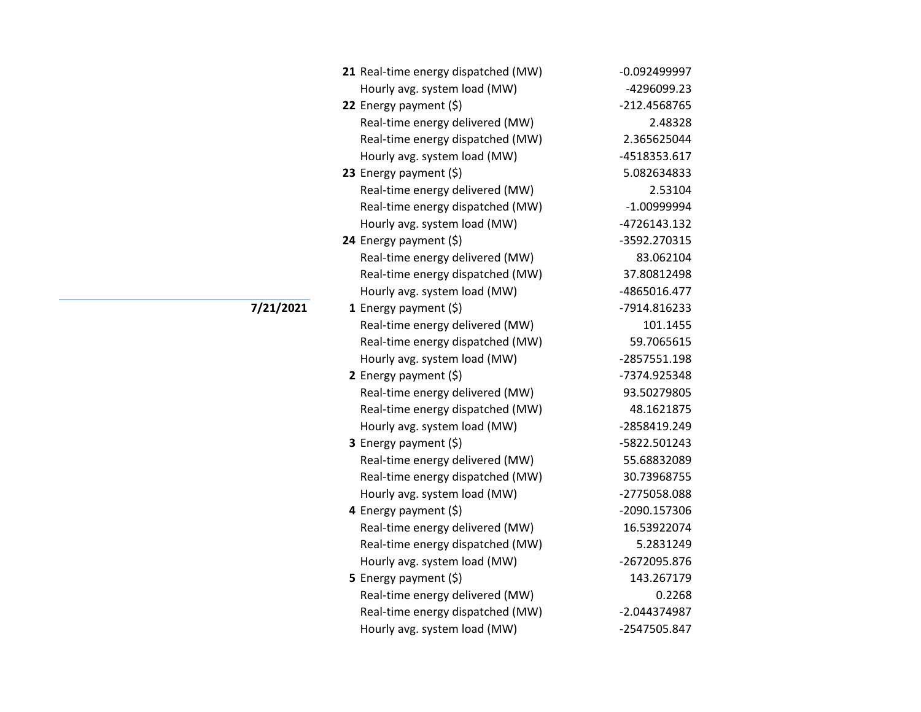|           | 21 Real-time energy dispatched (MW) | $-0.092499997$ |
|-----------|-------------------------------------|----------------|
|           | Hourly avg. system load (MW)        | -4296099.23    |
|           | 22 Energy payment (\$)              | -212.4568765   |
|           | Real-time energy delivered (MW)     | 2.48328        |
|           | Real-time energy dispatched (MW)    | 2.365625044    |
|           | Hourly avg. system load (MW)        | -4518353.617   |
|           | 23 Energy payment (\$)              | 5.082634833    |
|           | Real-time energy delivered (MW)     | 2.53104        |
|           | Real-time energy dispatched (MW)    | $-1.00999994$  |
|           | Hourly avg. system load (MW)        | -4726143.132   |
|           | 24 Energy payment (\$)              | -3592.270315   |
|           | Real-time energy delivered (MW)     | 83.062104      |
|           | Real-time energy dispatched (MW)    | 37.80812498    |
|           | Hourly avg. system load (MW)        | -4865016.477   |
| 7/21/2021 | 1 Energy payment $(5)$              | -7914.816233   |
|           | Real-time energy delivered (MW)     | 101.1455       |
|           | Real-time energy dispatched (MW)    | 59.7065615     |
|           | Hourly avg. system load (MW)        | -2857551.198   |
|           | 2 Energy payment (\$)               | -7374.925348   |
|           | Real-time energy delivered (MW)     | 93.50279805    |
|           | Real-time energy dispatched (MW)    | 48.1621875     |
|           | Hourly avg. system load (MW)        | -2858419.249   |
|           | <b>3</b> Energy payment $(\xi)$     | -5822.501243   |
|           | Real-time energy delivered (MW)     | 55.68832089    |
|           | Real-time energy dispatched (MW)    | 30.73968755    |
|           | Hourly avg. system load (MW)        | -2775058.088   |
|           | 4 Energy payment (\$)               | -2090.157306   |
|           | Real-time energy delivered (MW)     | 16.53922074    |
|           | Real-time energy dispatched (MW)    | 5.2831249      |
|           | Hourly avg. system load (MW)        | -2672095.876   |
|           | 5 Energy payment (\$)               | 143.267179     |
|           | Real-time energy delivered (MW)     | 0.2268         |
|           | Real-time energy dispatched (MW)    | -2.044374987   |
|           | Hourly avg. system load (MW)        | -2547505.847   |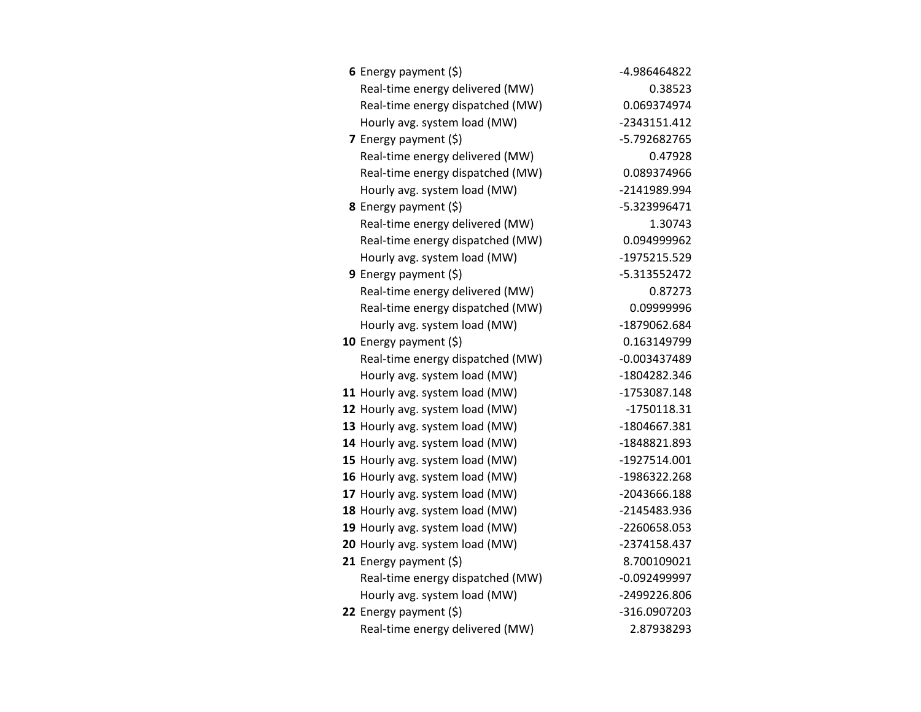| 6 Energy payment $(5)$           | -4.986464822   |
|----------------------------------|----------------|
| Real-time energy delivered (MW)  | 0.38523        |
| Real-time energy dispatched (MW) | 0.069374974    |
| Hourly avg. system load (MW)     | -2343151.412   |
| 7 Energy payment (\$)            | -5.792682765   |
| Real-time energy delivered (MW)  | 0.47928        |
| Real-time energy dispatched (MW) | 0.089374966    |
| Hourly avg. system load (MW)     | -2141989.994   |
| <b>8</b> Energy payment $(\xi)$  | -5.323996471   |
| Real-time energy delivered (MW)  | 1.30743        |
| Real-time energy dispatched (MW) | 0.094999962    |
| Hourly avg. system load (MW)     | -1975215.529   |
| 9 Energy payment (\$)            | -5.313552472   |
| Real-time energy delivered (MW)  | 0.87273        |
| Real-time energy dispatched (MW) | 0.09999996     |
| Hourly avg. system load (MW)     | -1879062.684   |
| 10 Energy payment (\$)           | 0.163149799    |
| Real-time energy dispatched (MW) | $-0.003437489$ |
| Hourly avg. system load (MW)     | -1804282.346   |
| 11 Hourly avg. system load (MW)  | -1753087.148   |
| 12 Hourly avg. system load (MW)  | $-1750118.31$  |
| 13 Hourly avg. system load (MW)  | -1804667.381   |
| 14 Hourly avg. system load (MW)  | -1848821.893   |
| 15 Hourly avg. system load (MW)  | -1927514.001   |
| 16 Hourly avg. system load (MW)  | -1986322.268   |
| 17 Hourly avg. system load (MW)  | -2043666.188   |
| 18 Hourly avg. system load (MW)  | -2145483.936   |
| 19 Hourly avg. system load (MW)  | -2260658.053   |
| 20 Hourly avg. system load (MW)  | -2374158.437   |
| 21 Energy payment (\$)           | 8.700109021    |
| Real-time energy dispatched (MW) | $-0.092499997$ |
| Hourly avg. system load (MW)     | -2499226.806   |
| 22 Energy payment (\$)           | -316.0907203   |
| Real-time energy delivered (MW)  | 2.87938293     |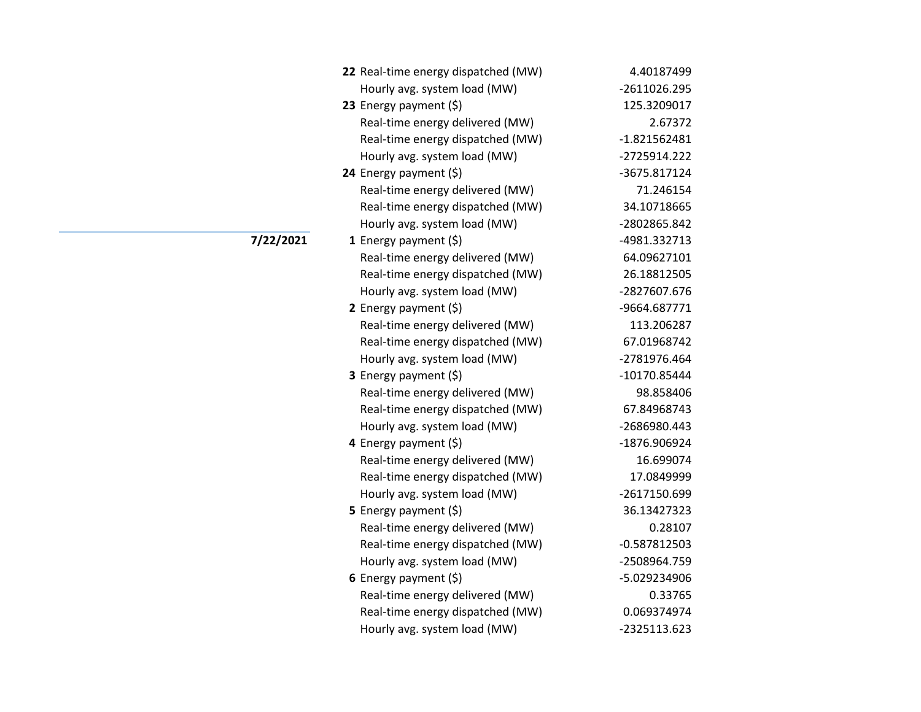| 22 Real-time energy dispatched (MW) | 4.40187499     |
|-------------------------------------|----------------|
| Hourly avg. system load (MW)        | -2611026.295   |
| 23 Energy payment (\$)              | 125.3209017    |
| Real-time energy delivered (MW)     | 2.67372        |
| Real-time energy dispatched (MW)    | $-1.821562481$ |
| Hourly avg. system load (MW)        | -2725914.222   |
| 24 Energy payment (\$)              | -3675.817124   |
| Real-time energy delivered (MW)     | 71.246154      |
| Real-time energy dispatched (MW)    | 34.10718665    |
| Hourly avg. system load (MW)        | -2802865.842   |
| 1 Energy payment $(\xi)$            | -4981.332713   |
| Real-time energy delivered (MW)     | 64.09627101    |
| Real-time energy dispatched (MW)    | 26.18812505    |
| Hourly avg. system load (MW)        | -2827607.676   |
| 2 Energy payment $(5)$              | -9664.687771   |
| Real-time energy delivered (MW)     | 113.206287     |
| Real-time energy dispatched (MW)    | 67.01968742    |
| Hourly avg. system load (MW)        | -2781976.464   |
| 3 Energy payment (\$)               | -10170.85444   |
| Real-time energy delivered (MW)     | 98.858406      |
| Real-time energy dispatched (MW)    | 67.84968743    |
| Hourly avg. system load (MW)        | -2686980.443   |
| 4 Energy payment (\$)               | -1876.906924   |
| Real-time energy delivered (MW)     | 16.699074      |
| Real-time energy dispatched (MW)    | 17.0849999     |
| Hourly avg. system load (MW)        | -2617150.699   |
| 5 Energy payment $(\xi)$            | 36.13427323    |
| Real-time energy delivered (MW)     | 0.28107        |
| Real-time energy dispatched (MW)    | $-0.587812503$ |
| Hourly avg. system load (MW)        | -2508964.759   |
| 6 Energy payment $(\xi)$            | -5.029234906   |
| Real-time energy delivered (MW)     | 0.33765        |
| Real-time energy dispatched (MW)    | 0.069374974    |
| Hourly avg. system load (MW)        | -2325113.623   |

**7/22/2021**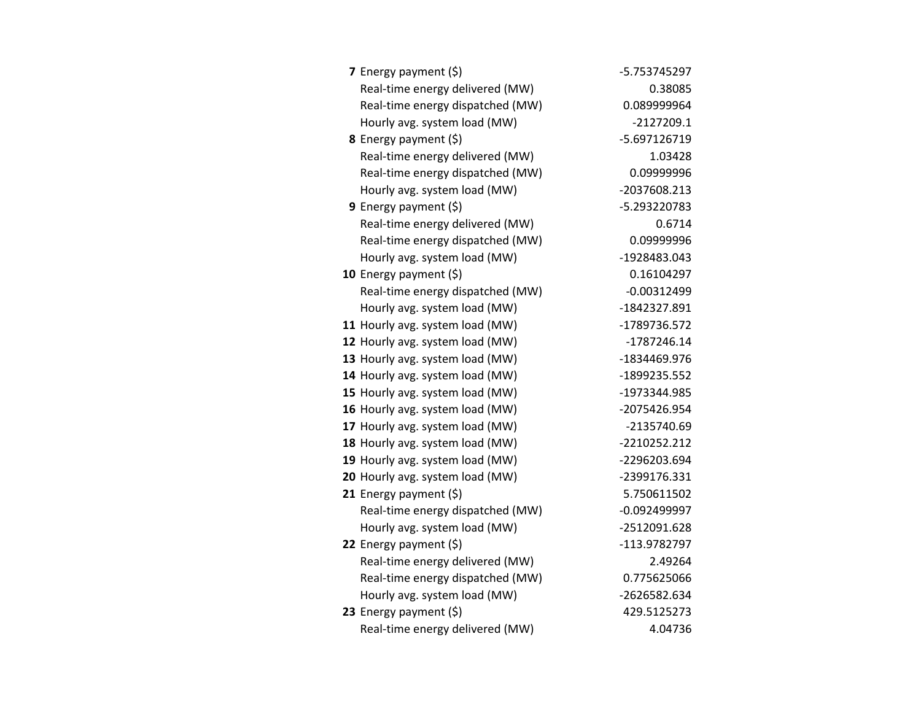| 7 Energy payment $(\xi)$         | -5.753745297   |
|----------------------------------|----------------|
| Real-time energy delivered (MW)  | 0.38085        |
| Real-time energy dispatched (MW) | 0.089999964    |
| Hourly avg. system load (MW)     | $-2127209.1$   |
| <b>8</b> Energy payment $(\xi)$  | -5.697126719   |
| Real-time energy delivered (MW)  | 1.03428        |
| Real-time energy dispatched (MW) | 0.09999996     |
| Hourly avg. system load (MW)     | -2037608.213   |
| 9 Energy payment (\$)            | -5.293220783   |
| Real-time energy delivered (MW)  | 0.6714         |
| Real-time energy dispatched (MW) | 0.09999996     |
| Hourly avg. system load (MW)     | -1928483.043   |
| 10 Energy payment $(\xi)$        | 0.16104297     |
| Real-time energy dispatched (MW) | $-0.00312499$  |
| Hourly avg. system load (MW)     | -1842327.891   |
| 11 Hourly avg. system load (MW)  | -1789736.572   |
| 12 Hourly avg. system load (MW)  | -1787246.14    |
| 13 Hourly avg. system load (MW)  | -1834469.976   |
| 14 Hourly avg. system load (MW)  | -1899235.552   |
| 15 Hourly avg. system load (MW)  | -1973344.985   |
| 16 Hourly avg. system load (MW)  | -2075426.954   |
| 17 Hourly avg. system load (MW)  | -2135740.69    |
| 18 Hourly avg. system load (MW)  | -2210252.212   |
| 19 Hourly avg. system load (MW)  | -2296203.694   |
| 20 Hourly avg. system load (MW)  | -2399176.331   |
| 21 Energy payment (\$)           | 5.750611502    |
| Real-time energy dispatched (MW) | $-0.092499997$ |
| Hourly avg. system load (MW)     | -2512091.628   |
| 22 Energy payment $(\xi)$        | -113.9782797   |
| Real-time energy delivered (MW)  | 2.49264        |
| Real-time energy dispatched (MW) | 0.775625066    |
| Hourly avg. system load (MW)     | -2626582.634   |
| 23 Energy payment (\$)           | 429.5125273    |
| Real-time energy delivered (MW)  | 4.04736        |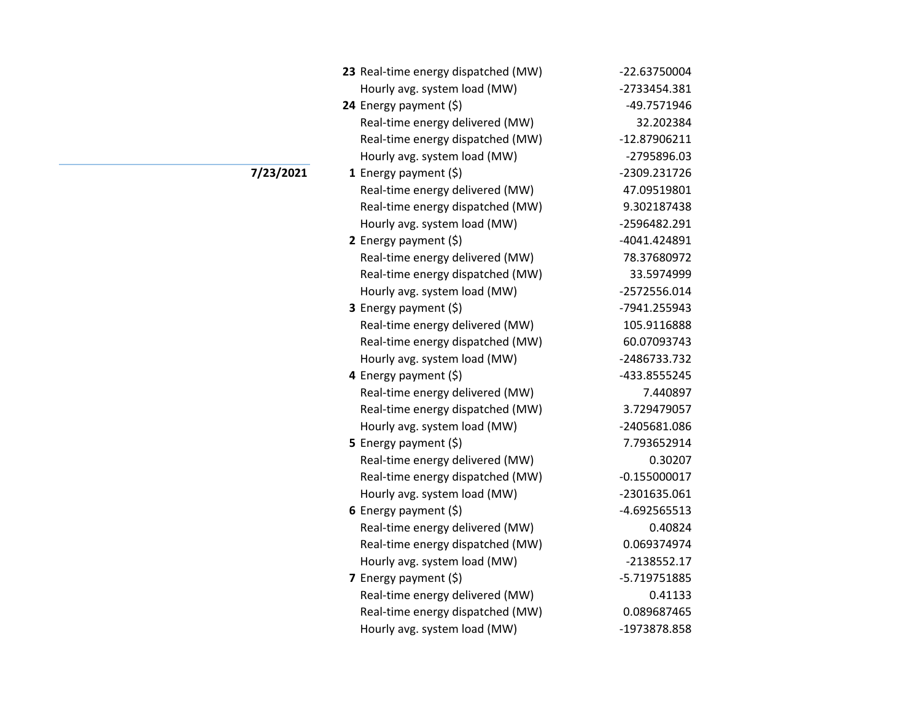| 23 Real-time energy dispatched (MW) | -22.63750004   |
|-------------------------------------|----------------|
| Hourly avg. system load (MW)        | -2733454.381   |
| 24 Energy payment (\$)              | -49.7571946    |
| Real-time energy delivered (MW)     | 32.202384      |
| Real-time energy dispatched (MW)    | -12.87906211   |
| Hourly avg. system load (MW)        | -2795896.03    |
| <b>1</b> Energy payment $(\xi)$     | -2309.231726   |
| Real-time energy delivered (MW)     | 47.09519801    |
| Real-time energy dispatched (MW)    | 9.302187438    |
| Hourly avg. system load (MW)        | -2596482.291   |
| 2 Energy payment $(5)$              | -4041.424891   |
| Real-time energy delivered (MW)     | 78.37680972    |
| Real-time energy dispatched (MW)    | 33.5974999     |
| Hourly avg. system load (MW)        | -2572556.014   |
| <b>3</b> Energy payment $(\xi)$     | -7941.255943   |
| Real-time energy delivered (MW)     | 105.9116888    |
| Real-time energy dispatched (MW)    | 60.07093743    |
| Hourly avg. system load (MW)        | -2486733.732   |
| 4 Energy payment (\$)               | -433.8555245   |
| Real-time energy delivered (MW)     | 7.440897       |
| Real-time energy dispatched (MW)    | 3.729479057    |
| Hourly avg. system load (MW)        | -2405681.086   |
| <b>5</b> Energy payment $(\xi)$     | 7.793652914    |
| Real-time energy delivered (MW)     | 0.30207        |
| Real-time energy dispatched (MW)    | $-0.155000017$ |
| Hourly avg. system load (MW)        | -2301635.061   |
| 6 Energy payment $(5)$              | -4.692565513   |
| Real-time energy delivered (MW)     | 0.40824        |
| Real-time energy dispatched (MW)    | 0.069374974    |
| Hourly avg. system load (MW)        | $-2138552.17$  |
| 7 Energy payment $(\xi)$            | -5.719751885   |
| Real-time energy delivered (MW)     | 0.41133        |
| Real-time energy dispatched (MW)    | 0.089687465    |
| Hourly avg. system load (MW)        | -1973878.858   |

## **7/23/2021**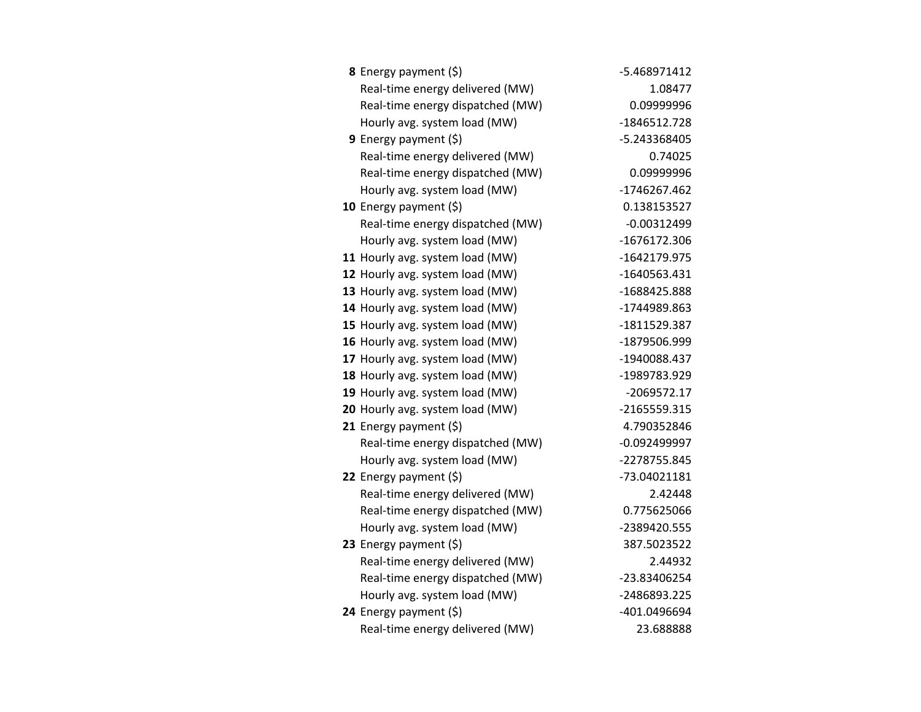| <b>8</b> Energy payment $(\xi)$  | -5.468971412   |
|----------------------------------|----------------|
| Real-time energy delivered (MW)  | 1.08477        |
| Real-time energy dispatched (MW) | 0.09999996     |
| Hourly avg. system load (MW)     | -1846512.728   |
| 9 Energy payment (\$)            | -5.243368405   |
| Real-time energy delivered (MW)  | 0.74025        |
| Real-time energy dispatched (MW) | 0.09999996     |
| Hourly avg. system load (MW)     | -1746267.462   |
| 10 Energy payment $(5)$          | 0.138153527    |
| Real-time energy dispatched (MW) | $-0.00312499$  |
| Hourly avg. system load (MW)     | -1676172.306   |
| 11 Hourly avg. system load (MW)  | -1642179.975   |
| 12 Hourly avg. system load (MW)  | -1640563.431   |
| 13 Hourly avg. system load (MW)  | -1688425.888   |
| 14 Hourly avg. system load (MW)  | -1744989.863   |
| 15 Hourly avg. system load (MW)  | -1811529.387   |
| 16 Hourly avg. system load (MW)  | -1879506.999   |
| 17 Hourly avg. system load (MW)  | -1940088.437   |
| 18 Hourly avg. system load (MW)  | -1989783.929   |
| 19 Hourly avg. system load (MW)  | -2069572.17    |
| 20 Hourly avg. system load (MW)  | -2165559.315   |
| 21 Energy payment (\$)           | 4.790352846    |
| Real-time energy dispatched (MW) | $-0.092499997$ |
| Hourly avg. system load (MW)     | -2278755.845   |
| 22 Energy payment (\$)           | -73.04021181   |
| Real-time energy delivered (MW)  | 2.42448        |
| Real-time energy dispatched (MW) | 0.775625066    |
| Hourly avg. system load (MW)     | -2389420.555   |
| 23 Energy payment (\$)           | 387.5023522    |
| Real-time energy delivered (MW)  | 2.44932        |
| Real-time energy dispatched (MW) | -23.83406254   |
| Hourly avg. system load (MW)     | -2486893.225   |
| 24 Energy payment (\$)           | -401.0496694   |
| Real-time energy delivered (MW)  | 23.688888      |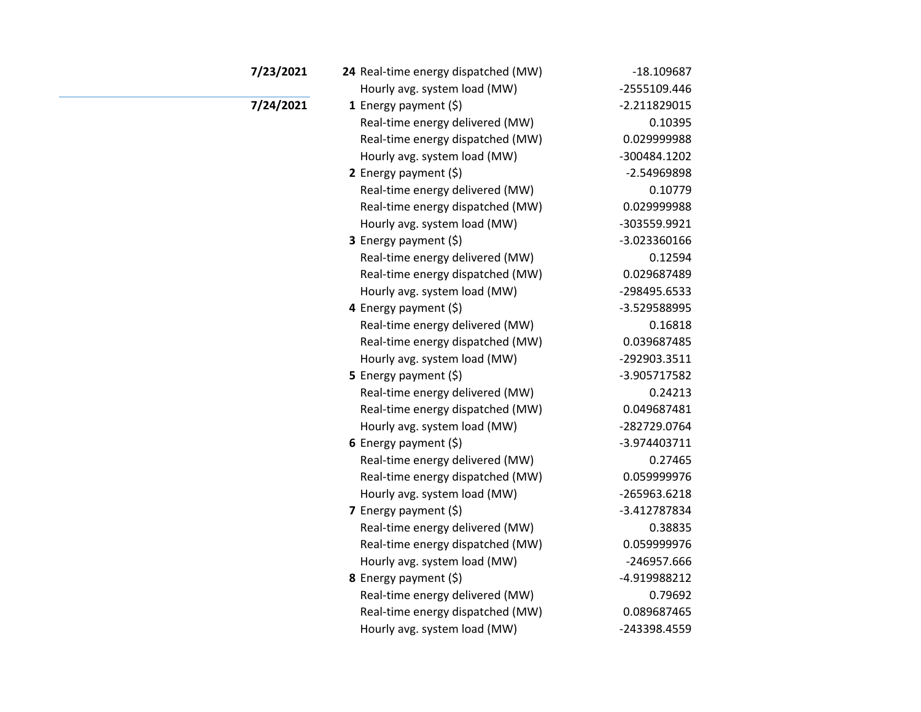| 7/23/2021 | 24 Real-time energy dispatched (MW) | $-18.109687$   |
|-----------|-------------------------------------|----------------|
|           | Hourly avg. system load (MW)        | -2555109.446   |
| 7/24/2021 | 1 Energy payment $(5)$              | $-2.211829015$ |
|           | Real-time energy delivered (MW)     | 0.10395        |
|           | Real-time energy dispatched (MW)    | 0.029999988    |
|           | Hourly avg. system load (MW)        | -300484.1202   |
|           | 2 Energy payment (\$)               | -2.54969898    |
|           | Real-time energy delivered (MW)     | 0.10779        |
|           | Real-time energy dispatched (MW)    | 0.029999988    |
|           | Hourly avg. system load (MW)        | -303559.9921   |
|           | 3 Energy payment (\$)               | -3.023360166   |
|           | Real-time energy delivered (MW)     | 0.12594        |
|           | Real-time energy dispatched (MW)    | 0.029687489    |
|           | Hourly avg. system load (MW)        | -298495.6533   |
|           | 4 Energy payment (\$)               | -3.529588995   |
|           | Real-time energy delivered (MW)     | 0.16818        |
|           | Real-time energy dispatched (MW)    | 0.039687485    |
|           | Hourly avg. system load (MW)        | -292903.3511   |
|           | 5 Energy payment $(5)$              | -3.905717582   |
|           | Real-time energy delivered (MW)     | 0.24213        |
|           | Real-time energy dispatched (MW)    | 0.049687481    |
|           | Hourly avg. system load (MW)        | -282729.0764   |
|           | 6 Energy payment $(5)$              | -3.974403711   |
|           | Real-time energy delivered (MW)     | 0.27465        |
|           | Real-time energy dispatched (MW)    | 0.059999976    |
|           | Hourly avg. system load (MW)        | -265963.6218   |
|           | 7 Energy payment (\$)               | -3.412787834   |
|           | Real-time energy delivered (MW)     | 0.38835        |
|           | Real-time energy dispatched (MW)    | 0.059999976    |
|           | Hourly avg. system load (MW)        | -246957.666    |
|           | 8 Energy payment (\$)               | -4.919988212   |
|           | Real-time energy delivered (MW)     | 0.79692        |
|           | Real-time energy dispatched (MW)    | 0.089687465    |
|           | Hourly avg. system load (MW)        | -243398.4559   |
|           |                                     |                |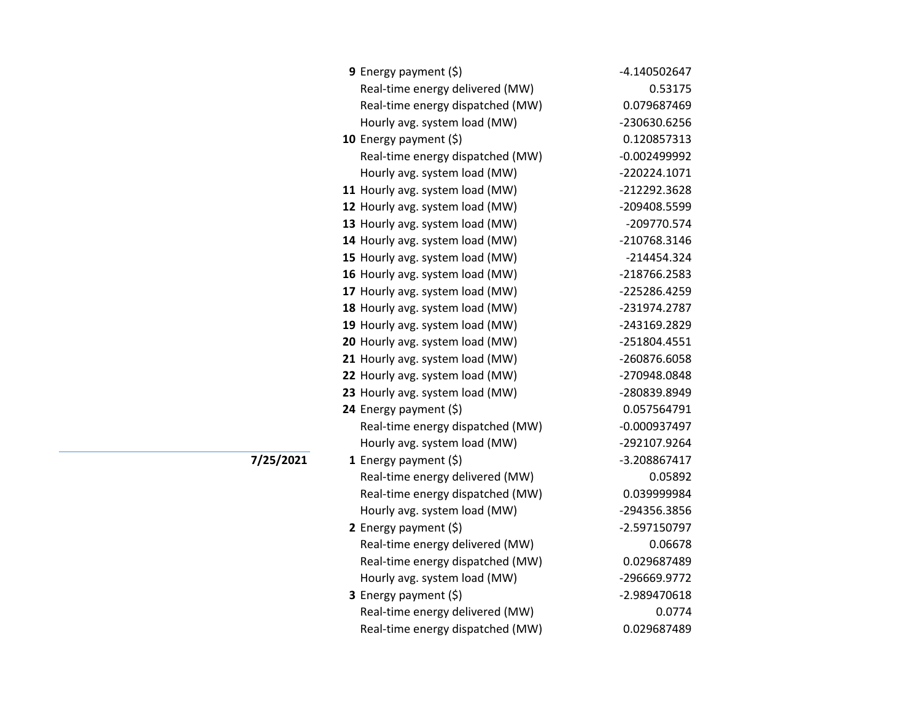| <b>9</b> Energy payment $(\xi)$  | -4.140502647   |
|----------------------------------|----------------|
| Real-time energy delivered (MW)  | 0.53175        |
| Real-time energy dispatched (MW) | 0.079687469    |
| Hourly avg. system load (MW)     | -230630.6256   |
| 10 Energy payment $(\xi)$        | 0.120857313    |
| Real-time energy dispatched (MW) | $-0.002499992$ |
| Hourly avg. system load (MW)     | -220224.1071   |
| 11 Hourly avg. system load (MW)  | -212292.3628   |
| 12 Hourly avg. system load (MW)  | -209408.5599   |
| 13 Hourly avg. system load (MW)  | -209770.574    |
| 14 Hourly avg. system load (MW)  | -210768.3146   |
| 15 Hourly avg. system load (MW)  | -214454.324    |
| 16 Hourly avg. system load (MW)  | -218766.2583   |
| 17 Hourly avg. system load (MW)  | -225286.4259   |
| 18 Hourly avg. system load (MW)  | -231974.2787   |
| 19 Hourly avg. system load (MW)  | -243169.2829   |
| 20 Hourly avg. system load (MW)  | -251804.4551   |
| 21 Hourly avg. system load (MW)  | -260876.6058   |
| 22 Hourly avg. system load (MW)  | -270948.0848   |
| 23 Hourly avg. system load (MW)  | -280839.8949   |
| 24 Energy payment (\$)           | 0.057564791    |
| Real-time energy dispatched (MW) | $-0.000937497$ |
| Hourly avg. system load (MW)     | -292107.9264   |
| 1 Energy payment $(\xi)$         | -3.208867417   |
| Real-time energy delivered (MW)  | 0.05892        |
| Real-time energy dispatched (MW) | 0.039999984    |
| Hourly avg. system load (MW)     | -294356.3856   |
| 2 Energy payment $(\xi)$         | -2.597150797   |
| Real-time energy delivered (MW)  | 0.06678        |
| Real-time energy dispatched (MW) | 0.029687489    |
| Hourly avg. system load (MW)     | -296669.9772   |
| 3 Energy payment (\$)            | -2.989470618   |
| Real-time energy delivered (MW)  | 0.0774         |
| Real-time energy dispatched (MW) | 0.029687489    |

**7/25/2021**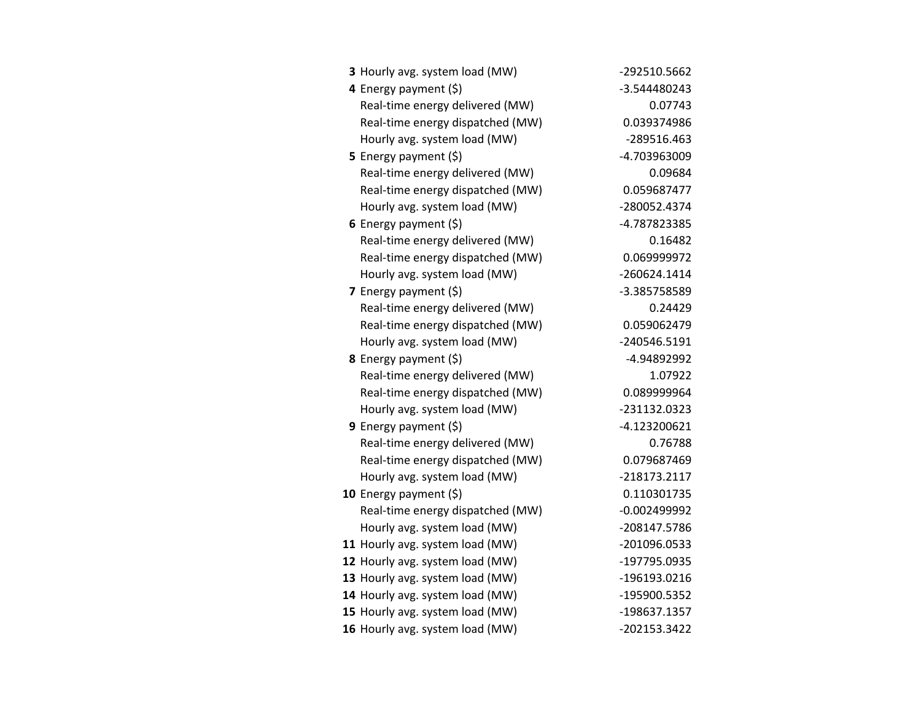| 3 Hourly avg. system load (MW)   | -292510.5662   |
|----------------------------------|----------------|
| 4 Energy payment (\$)            | -3.544480243   |
| Real-time energy delivered (MW)  | 0.07743        |
| Real-time energy dispatched (MW) | 0.039374986    |
| Hourly avg. system load (MW)     | -289516.463    |
| 5 Energy payment $(\xi)$         | -4.703963009   |
| Real-time energy delivered (MW)  | 0.09684        |
| Real-time energy dispatched (MW) | 0.059687477    |
| Hourly avg. system load (MW)     | -280052.4374   |
| 6 Energy payment $(\xi)$         | -4.787823385   |
| Real-time energy delivered (MW)  | 0.16482        |
| Real-time energy dispatched (MW) | 0.069999972    |
| Hourly avg. system load (MW)     | $-260624.1414$ |
| <b>7</b> Energy payment $(\xi)$  | -3.385758589   |
| Real-time energy delivered (MW)  | 0.24429        |
| Real-time energy dispatched (MW) | 0.059062479    |
| Hourly avg. system load (MW)     | -240546.5191   |
| <b>8</b> Energy payment $(\xi)$  | -4.94892992    |
| Real-time energy delivered (MW)  | 1.07922        |
| Real-time energy dispatched (MW) | 0.089999964    |
| Hourly avg. system load (MW)     | -231132.0323   |
| <b>9</b> Energy payment $(\xi)$  | -4.123200621   |
| Real-time energy delivered (MW)  | 0.76788        |
| Real-time energy dispatched (MW) | 0.079687469    |
| Hourly avg. system load (MW)     | -218173.2117   |
| 10 Energy payment $(\xi)$        | 0.110301735    |
| Real-time energy dispatched (MW) | $-0.002499992$ |
| Hourly avg. system load (MW)     | -208147.5786   |
| 11 Hourly avg. system load (MW)  | -201096.0533   |
| 12 Hourly avg. system load (MW)  | -197795.0935   |
| 13 Hourly avg. system load (MW)  | -196193.0216   |
| 14 Hourly avg. system load (MW)  | -195900.5352   |
| 15 Hourly avg. system load (MW)  | -198637.1357   |
| 16 Hourly avg. system load (MW)  | -202153.3422   |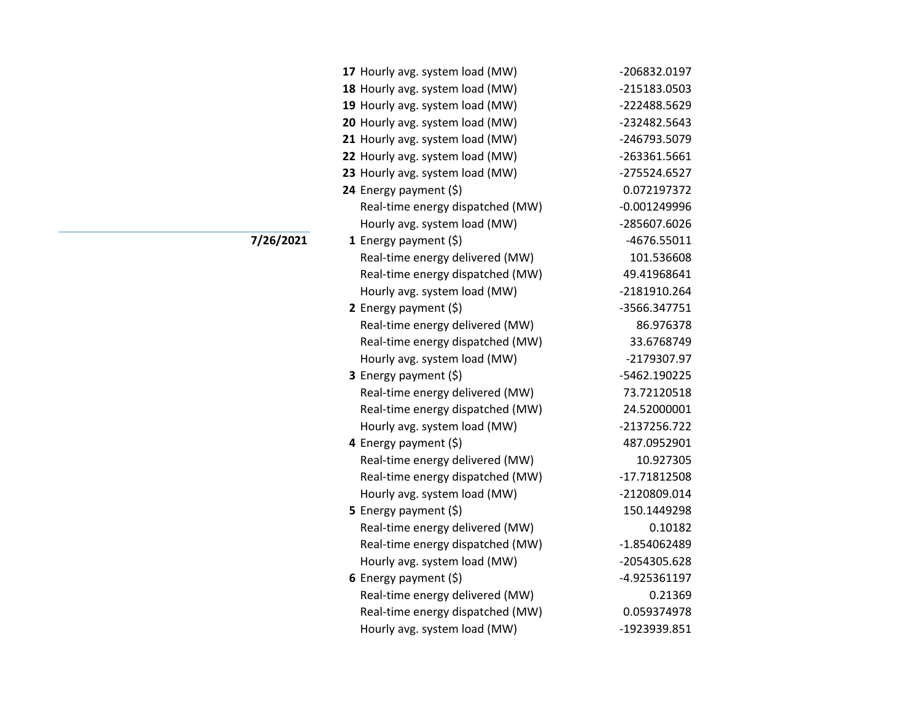| 17 Hourly avg. system load (MW)  | -206832.0197   |
|----------------------------------|----------------|
| 18 Hourly avg. system load (MW)  | -215183.0503   |
| 19 Hourly avg. system load (MW)  | -222488.5629   |
| 20 Hourly avg. system load (MW)  | -232482.5643   |
| 21 Hourly avg. system load (MW)  | -246793.5079   |
| 22 Hourly avg. system load (MW)  | -263361.5661   |
| 23 Hourly avg. system load (MW)  | -275524.6527   |
| 24 Energy payment (\$)           | 0.072197372    |
| Real-time energy dispatched (MW) | $-0.001249996$ |
| Hourly avg. system load (MW)     | -285607.6026   |
| 1 Energy payment $(\xi)$         | $-4676.55011$  |
| Real-time energy delivered (MW)  | 101.536608     |
| Real-time energy dispatched (MW) | 49.41968641    |
| Hourly avg. system load (MW)     | -2181910.264   |
| 2 Energy payment $(\xi)$         | -3566.347751   |
| Real-time energy delivered (MW)  | 86.976378      |
| Real-time energy dispatched (MW) | 33.6768749     |
| Hourly avg. system load (MW)     | -2179307.97    |
| <b>3</b> Energy payment $(\xi)$  | -5462.190225   |
| Real-time energy delivered (MW)  | 73.72120518    |
| Real-time energy dispatched (MW) | 24.52000001    |
| Hourly avg. system load (MW)     | -2137256.722   |
| 4 Energy payment (\$)            | 487.0952901    |
| Real-time energy delivered (MW)  | 10.927305      |
| Real-time energy dispatched (MW) | -17.71812508   |
| Hourly avg. system load (MW)     | -2120809.014   |
| 5 Energy payment (\$)            | 150.1449298    |
| Real-time energy delivered (MW)  | 0.10182        |
| Real-time energy dispatched (MW) | -1.854062489   |
| Hourly avg. system load (MW)     | -2054305.628   |
| 6 Energy payment $(5)$           | -4.925361197   |
| Real-time energy delivered (MW)  | 0.21369        |
| Real-time energy dispatched (MW) | 0.059374978    |
| Hourly avg. system load (MW)     | -1923939.851   |

**7/26/2021**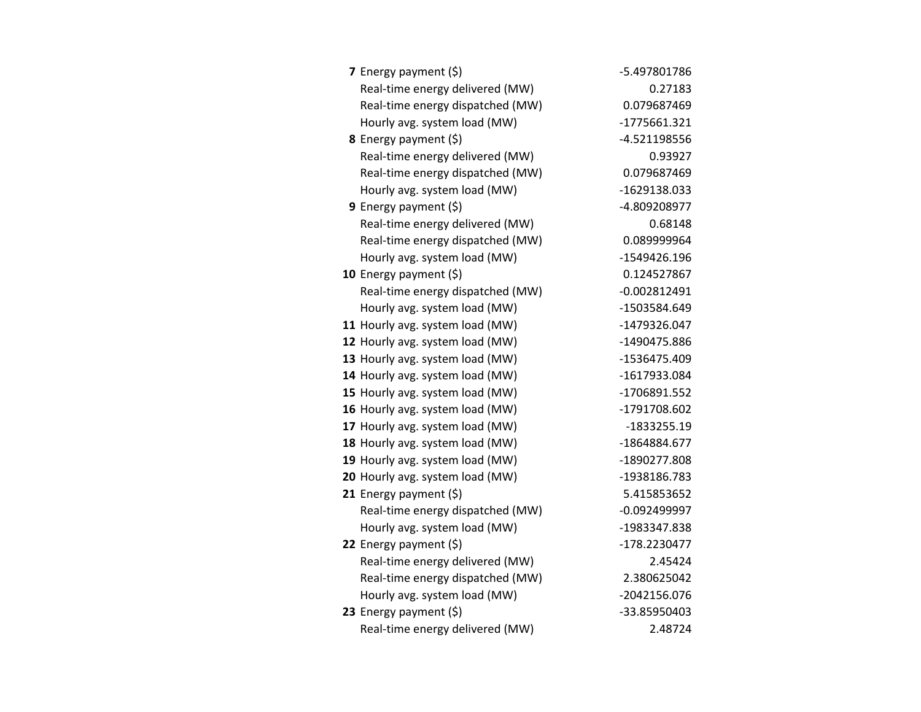| <b>7</b> Energy payment $(\xi)$  | -5.497801786   |
|----------------------------------|----------------|
| Real-time energy delivered (MW)  | 0.27183        |
| Real-time energy dispatched (MW) | 0.079687469    |
| Hourly avg. system load (MW)     | $-1775661.321$ |
| <b>8</b> Energy payment $(\xi)$  | $-4.521198556$ |
| Real-time energy delivered (MW)  | 0.93927        |
| Real-time energy dispatched (MW) | 0.079687469    |
| Hourly avg. system load (MW)     | -1629138.033   |
| <b>9</b> Energy payment $(\xi)$  | -4.809208977   |
| Real-time energy delivered (MW)  | 0.68148        |
| Real-time energy dispatched (MW) | 0.089999964    |
| Hourly avg. system load (MW)     | -1549426.196   |
| 10 Energy payment (\$)           | 0.124527867    |
| Real-time energy dispatched (MW) | $-0.002812491$ |
| Hourly avg. system load (MW)     | -1503584.649   |
| 11 Hourly avg. system load (MW)  | -1479326.047   |
| 12 Hourly avg. system load (MW)  | -1490475.886   |
| 13 Hourly avg. system load (MW)  | -1536475.409   |
| 14 Hourly avg. system load (MW)  | -1617933.084   |
| 15 Hourly avg. system load (MW)  | -1706891.552   |
| 16 Hourly avg. system load (MW)  | -1791708.602   |
| 17 Hourly avg. system load (MW)  | -1833255.19    |
| 18 Hourly avg. system load (MW)  | -1864884.677   |
| 19 Hourly avg. system load (MW)  | -1890277.808   |
| 20 Hourly avg. system load (MW)  | -1938186.783   |
| <b>21</b> Energy payment $(\xi)$ | 5.415853652    |
| Real-time energy dispatched (MW) | $-0.092499997$ |
| Hourly avg. system load (MW)     | -1983347.838   |
| 22 Energy payment (\$)           | -178.2230477   |
| Real-time energy delivered (MW)  | 2.45424        |
| Real-time energy dispatched (MW) | 2.380625042    |
| Hourly avg. system load (MW)     | -2042156.076   |
| 23 Energy payment $(\xi)$        | -33.85950403   |
| Real-time energy delivered (MW)  | 2.48724        |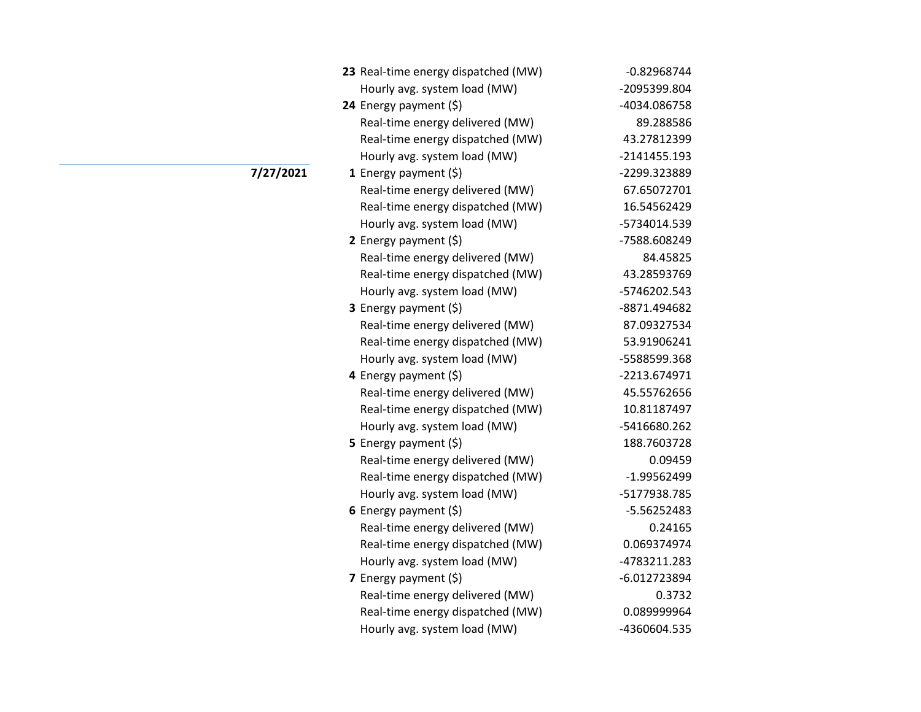| 23 Real-time energy dispatched (MW) | $-0.82968744$  |
|-------------------------------------|----------------|
| Hourly avg. system load (MW)        | -2095399.804   |
| 24 Energy payment $(\xi)$           | -4034.086758   |
| Real-time energy delivered (MW)     | 89.288586      |
| Real-time energy dispatched (MW)    | 43.27812399    |
| Hourly avg. system load (MW)        | $-2141455.193$ |
| <b>1</b> Energy payment $(\xi)$     | -2299.323889   |
| Real-time energy delivered (MW)     | 67.65072701    |
| Real-time energy dispatched (MW)    | 16.54562429    |
| Hourly avg. system load (MW)        | -5734014.539   |
| 2 Energy payment $(5)$              | -7588.608249   |
| Real-time energy delivered (MW)     | 84.45825       |
| Real-time energy dispatched (MW)    | 43.28593769    |
| Hourly avg. system load (MW)        | -5746202.543   |
| 3 Energy payment (\$)               | -8871.494682   |
| Real-time energy delivered (MW)     | 87.09327534    |
| Real-time energy dispatched (MW)    | 53.91906241    |
| Hourly avg. system load (MW)        | -5588599.368   |
| 4 Energy payment (\$)               | -2213.674971   |
| Real-time energy delivered (MW)     | 45.55762656    |
| Real-time energy dispatched (MW)    | 10.81187497    |
| Hourly avg. system load (MW)        | -5416680.262   |
| <b>5</b> Energy payment $(\xi)$     | 188.7603728    |
| Real-time energy delivered (MW)     | 0.09459        |
| Real-time energy dispatched (MW)    | -1.99562499    |
| Hourly avg. system load (MW)        | -5177938.785   |
| 6 Energy payment $(\xi)$            | $-5.56252483$  |
| Real-time energy delivered (MW)     | 0.24165        |
| Real-time energy dispatched (MW)    | 0.069374974    |
| Hourly avg. system load (MW)        | -4783211.283   |
| 7 Energy payment $(\xi)$            | $-6.012723894$ |
| Real-time energy delivered (MW)     | 0.3732         |
| Real-time energy dispatched (MW)    | 0.089999964    |
| Hourly avg. system load (MW)        | -4360604.535   |

## **7/27/2021**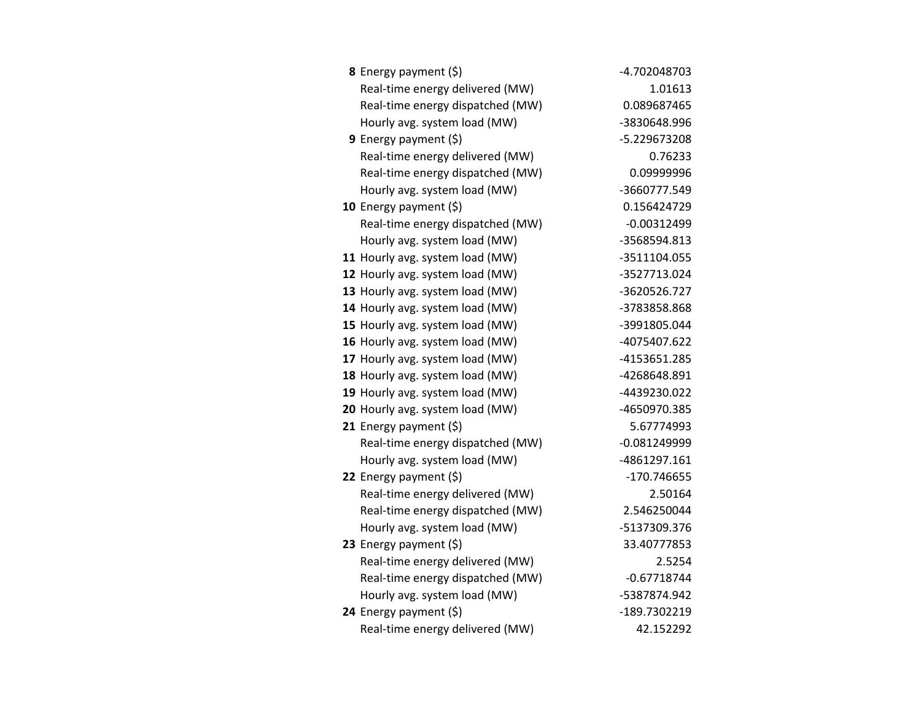| <b>8</b> Energy payment $(\xi)$  | -4.702048703   |
|----------------------------------|----------------|
| Real-time energy delivered (MW)  | 1.01613        |
| Real-time energy dispatched (MW) | 0.089687465    |
| Hourly avg. system load (MW)     | -3830648.996   |
| <b>9</b> Energy payment $(\xi)$  | -5.229673208   |
| Real-time energy delivered (MW)  | 0.76233        |
| Real-time energy dispatched (MW) | 0.09999996     |
| Hourly avg. system load (MW)     | -3660777.549   |
| 10 Energy payment $(\xi)$        | 0.156424729    |
| Real-time energy dispatched (MW) | $-0.00312499$  |
| Hourly avg. system load (MW)     | -3568594.813   |
| 11 Hourly avg. system load (MW)  | -3511104.055   |
| 12 Hourly avg. system load (MW)  | -3527713.024   |
| 13 Hourly avg. system load (MW)  | -3620526.727   |
| 14 Hourly avg. system load (MW)  | -3783858.868   |
| 15 Hourly avg. system load (MW)  | -3991805.044   |
| 16 Hourly avg. system load (MW)  | -4075407.622   |
| 17 Hourly avg. system load (MW)  | -4153651.285   |
| 18 Hourly avg. system load (MW)  | -4268648.891   |
| 19 Hourly avg. system load (MW)  | -4439230.022   |
| 20 Hourly avg. system load (MW)  | -4650970.385   |
| 21 Energy payment $(\xi)$        | 5.67774993     |
| Real-time energy dispatched (MW) | $-0.081249999$ |
| Hourly avg. system load (MW)     | -4861297.161   |
| 22 Energy payment $(\xi)$        | -170.746655    |
| Real-time energy delivered (MW)  | 2.50164        |
| Real-time energy dispatched (MW) | 2.546250044    |
| Hourly avg. system load (MW)     | -5137309.376   |
| 23 Energy payment (\$)           | 33.40777853    |
| Real-time energy delivered (MW)  | 2.5254         |
| Real-time energy dispatched (MW) | $-0.67718744$  |
| Hourly avg. system load (MW)     | -5387874.942   |
| 24 Energy payment (\$)           | -189.7302219   |
| Real-time energy delivered (MW)  | 42.152292      |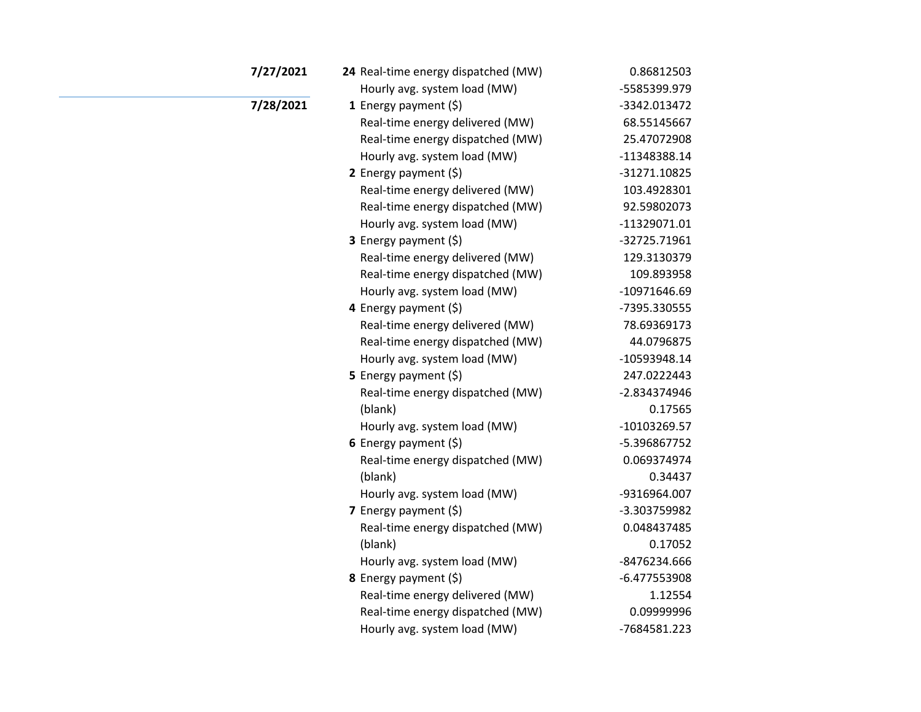| 7/27/2021 | 24 Real-time energy dispatched (MW) | 0.86812503     |
|-----------|-------------------------------------|----------------|
|           | Hourly avg. system load (MW)        | -5585399.979   |
| 7/28/2021 | 1 Energy payment $(5)$              | -3342.013472   |
|           | Real-time energy delivered (MW)     | 68.55145667    |
|           | Real-time energy dispatched (MW)    | 25.47072908    |
|           | Hourly avg. system load (MW)        | -11348388.14   |
|           | 2 Energy payment $(5)$              | -31271.10825   |
|           | Real-time energy delivered (MW)     | 103.4928301    |
|           | Real-time energy dispatched (MW)    | 92.59802073    |
|           | Hourly avg. system load (MW)        | -11329071.01   |
|           | 3 Energy payment (\$)               | -32725.71961   |
|           | Real-time energy delivered (MW)     | 129.3130379    |
|           | Real-time energy dispatched (MW)    | 109.893958     |
|           | Hourly avg. system load (MW)        | -10971646.69   |
|           | 4 Energy payment (\$)               | -7395.330555   |
|           | Real-time energy delivered (MW)     | 78.69369173    |
|           | Real-time energy dispatched (MW)    | 44.0796875     |
|           | Hourly avg. system load (MW)        | -10593948.14   |
|           | 5 Energy payment $(5)$              | 247.0222443    |
|           | Real-time energy dispatched (MW)    | -2.834374946   |
|           | (blank)                             | 0.17565        |
|           | Hourly avg. system load (MW)        | -10103269.57   |
|           | 6 Energy payment $(\xi)$            | -5.396867752   |
|           | Real-time energy dispatched (MW)    | 0.069374974    |
|           | (blank)                             | 0.34437        |
|           | Hourly avg. system load (MW)        | -9316964.007   |
|           | 7 Energy payment (\$)               | -3.303759982   |
|           | Real-time energy dispatched (MW)    | 0.048437485    |
|           | (blank)                             | 0.17052        |
|           | Hourly avg. system load (MW)        | -8476234.666   |
|           | 8 Energy payment (\$)               | $-6.477553908$ |
|           | Real-time energy delivered (MW)     | 1.12554        |
|           | Real-time energy dispatched (MW)    | 0.09999996     |
|           | Hourly avg. system load (MW)        | -7684581.223   |
|           |                                     |                |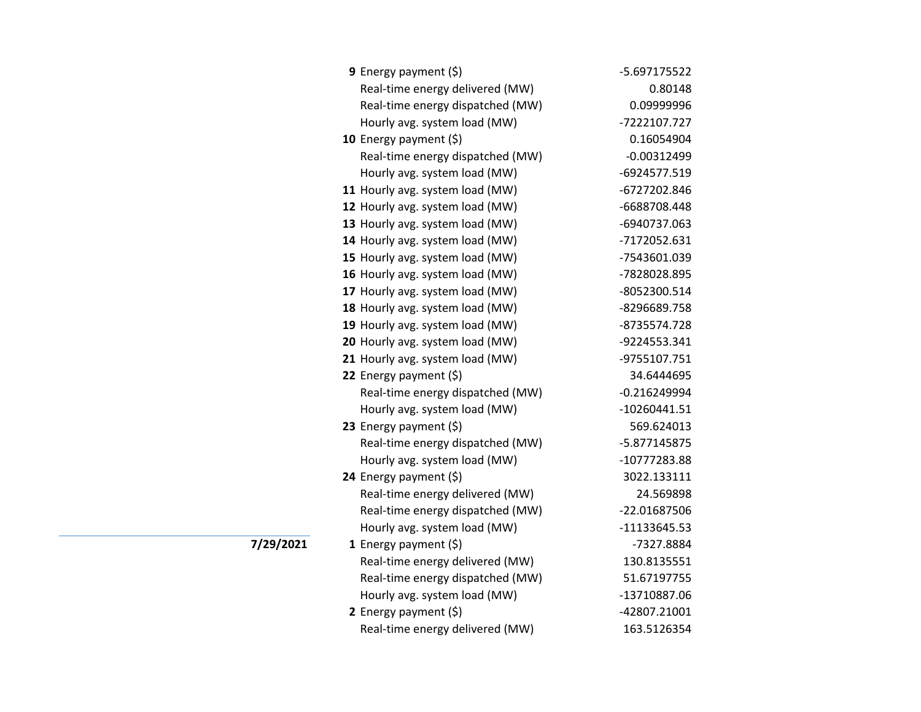| <b>9</b> Energy payment $(\xi)$  | -5.697175522   |
|----------------------------------|----------------|
| Real-time energy delivered (MW)  | 0.80148        |
| Real-time energy dispatched (MW) | 0.09999996     |
| Hourly avg. system load (MW)     | -7222107.727   |
| 10 Energy payment $(5)$          | 0.16054904     |
| Real-time energy dispatched (MW) | $-0.00312499$  |
| Hourly avg. system load (MW)     | -6924577.519   |
| 11 Hourly avg. system load (MW)  | -6727202.846   |
| 12 Hourly avg. system load (MW)  | -6688708.448   |
| 13 Hourly avg. system load (MW)  | -6940737.063   |
| 14 Hourly avg. system load (MW)  | -7172052.631   |
| 15 Hourly avg. system load (MW)  | -7543601.039   |
| 16 Hourly avg. system load (MW)  | -7828028.895   |
| 17 Hourly avg. system load (MW)  | -8052300.514   |
| 18 Hourly avg. system load (MW)  | -8296689.758   |
| 19 Hourly avg. system load (MW)  | -8735574.728   |
| 20 Hourly avg. system load (MW)  | -9224553.341   |
| 21 Hourly avg. system load (MW)  | -9755107.751   |
| 22 Energy payment $(\xi)$        | 34.6444695     |
| Real-time energy dispatched (MW) | $-0.216249994$ |
| Hourly avg. system load (MW)     | $-10260441.51$ |
| 23 Energy payment $(5)$          | 569.624013     |
| Real-time energy dispatched (MW) | -5.877145875   |
| Hourly avg. system load (MW)     | -10777283.88   |
| 24 Energy payment (\$)           | 3022.133111    |
| Real-time energy delivered (MW)  | 24.569898      |
| Real-time energy dispatched (MW) | -22.01687506   |
| Hourly avg. system load (MW)     | -11133645.53   |
| 1 Energy payment $(\xi)$         | -7327.8884     |
| Real-time energy delivered (MW)  | 130.8135551    |
| Real-time energy dispatched (MW) | 51.67197755    |
| Hourly avg. system load (MW)     | -13710887.06   |
| 2 Energy payment $(\xi)$         | -42807.21001   |
| Real-time energy delivered (MW)  | 163.5126354    |

**7/29/2021**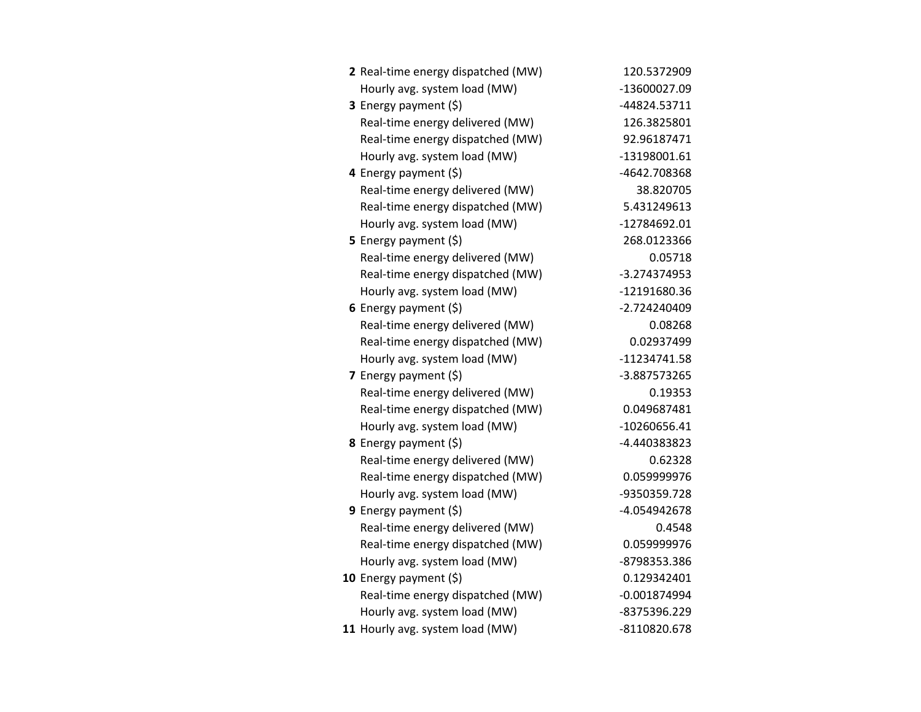| 2 Real-time energy dispatched (MW) | 120.5372909    |
|------------------------------------|----------------|
| Hourly avg. system load (MW)       | -13600027.09   |
| 3 Energy payment (\$)              | -44824.53711   |
| Real-time energy delivered (MW)    | 126.3825801    |
| Real-time energy dispatched (MW)   | 92.96187471    |
| Hourly avg. system load (MW)       | -13198001.61   |
| 4 Energy payment (\$)              | -4642.708368   |
| Real-time energy delivered (MW)    | 38.820705      |
| Real-time energy dispatched (MW)   | 5.431249613    |
| Hourly avg. system load (MW)       | -12784692.01   |
| 5 Energy payment $(5)$             | 268.0123366    |
| Real-time energy delivered (MW)    | 0.05718        |
| Real-time energy dispatched (MW)   | -3.274374953   |
| Hourly avg. system load (MW)       | -12191680.36   |
| 6 Energy payment $(\xi)$           | -2.724240409   |
| Real-time energy delivered (MW)    | 0.08268        |
| Real-time energy dispatched (MW)   | 0.02937499     |
| Hourly avg. system load (MW)       | -11234741.58   |
| <b>7</b> Energy payment $(\xi)$    | -3.887573265   |
| Real-time energy delivered (MW)    | 0.19353        |
| Real-time energy dispatched (MW)   | 0.049687481    |
| Hourly avg. system load (MW)       | -10260656.41   |
| 8 Energy payment (\$)              | -4.440383823   |
| Real-time energy delivered (MW)    | 0.62328        |
| Real-time energy dispatched (MW)   | 0.059999976    |
| Hourly avg. system load (MW)       | -9350359.728   |
| <b>9</b> Energy payment $(\xi)$    | -4.054942678   |
| Real-time energy delivered (MW)    | 0.4548         |
| Real-time energy dispatched (MW)   | 0.059999976    |
| Hourly avg. system load (MW)       | -8798353.386   |
| 10 Energy payment (\$)             | 0.129342401    |
| Real-time energy dispatched (MW)   | $-0.001874994$ |
| Hourly avg. system load (MW)       | -8375396.229   |
| 11 Hourly avg. system load (MW)    | -8110820.678   |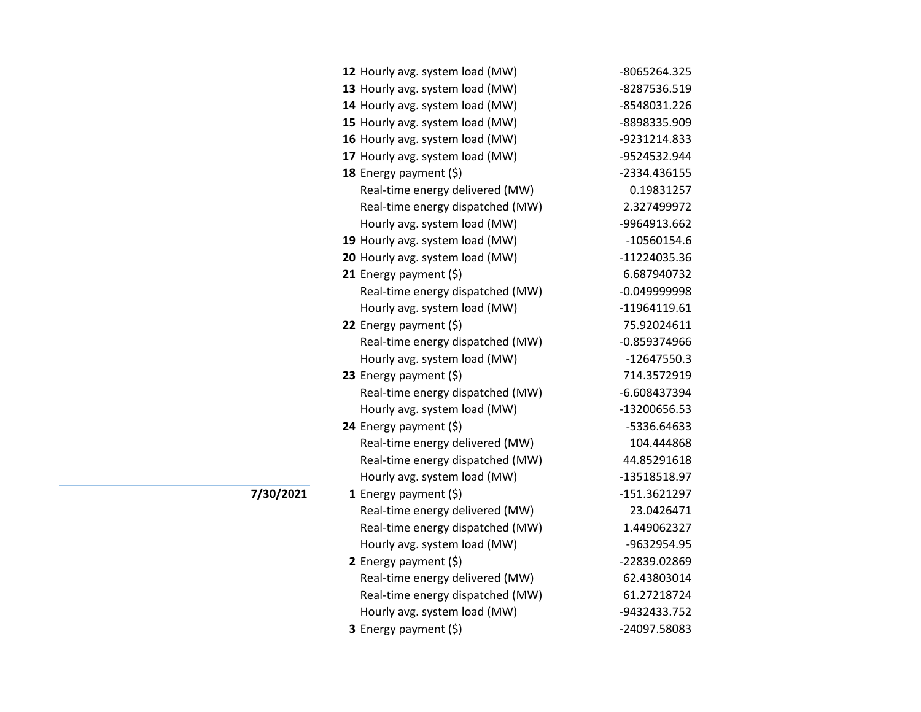| -8065264.325   |
|----------------|
| -8287536.519   |
| -8548031.226   |
| -8898335.909   |
| -9231214.833   |
| -9524532.944   |
| -2334.436155   |
| 0.19831257     |
| 2.327499972    |
| -9964913.662   |
| $-10560154.6$  |
| -11224035.36   |
| 6.687940732    |
| $-0.049999998$ |
| -11964119.61   |
| 75.92024611    |
| $-0.859374966$ |
| $-12647550.3$  |
| 714.3572919    |
| -6.608437394   |
| -13200656.53   |
| -5336.64633    |
| 104.444868     |
| 44.85291618    |
| -13518518.97   |
| $-151.3621297$ |
| 23.0426471     |
| 1.449062327    |
| -9632954.95    |
| -22839.02869   |
| 62.43803014    |
| 61.27218724    |
| -9432433.752   |
| -24097.58083   |
|                |

**7/30/2021**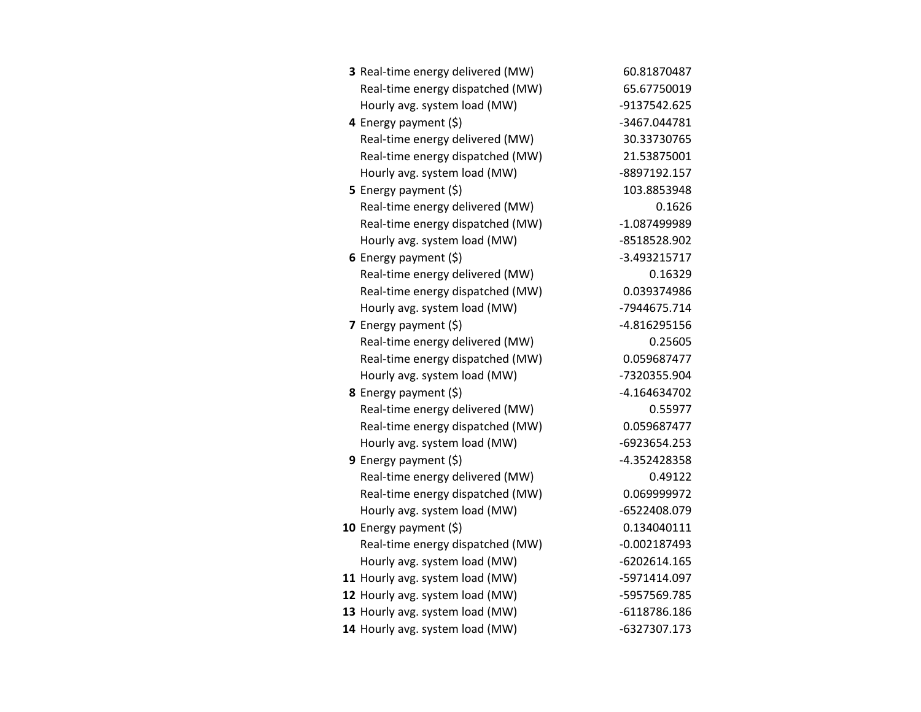| 3 Real-time energy delivered (MW) | 60.81870487    |
|-----------------------------------|----------------|
| Real-time energy dispatched (MW)  | 65.67750019    |
| Hourly avg. system load (MW)      | -9137542.625   |
| 4 Energy payment $(\xi)$          | -3467.044781   |
| Real-time energy delivered (MW)   | 30.33730765    |
| Real-time energy dispatched (MW)  | 21.53875001    |
| Hourly avg. system load (MW)      | -8897192.157   |
| <b>5</b> Energy payment $(\xi)$   | 103.8853948    |
| Real-time energy delivered (MW)   | 0.1626         |
| Real-time energy dispatched (MW)  | -1.087499989   |
| Hourly avg. system load (MW)      | -8518528.902   |
| 6 Energy payment $(\xi)$          | -3.493215717   |
| Real-time energy delivered (MW)   | 0.16329        |
| Real-time energy dispatched (MW)  | 0.039374986    |
| Hourly avg. system load (MW)      | -7944675.714   |
| 7 Energy payment (\$)             | -4.816295156   |
| Real-time energy delivered (MW)   | 0.25605        |
| Real-time energy dispatched (MW)  | 0.059687477    |
| Hourly avg. system load (MW)      | -7320355.904   |
| 8 Energy payment (\$)             | -4.164634702   |
| Real-time energy delivered (MW)   | 0.55977        |
| Real-time energy dispatched (MW)  | 0.059687477    |
| Hourly avg. system load (MW)      | -6923654.253   |
| <b>9</b> Energy payment $(\xi)$   | -4.352428358   |
| Real-time energy delivered (MW)   | 0.49122        |
| Real-time energy dispatched (MW)  | 0.069999972    |
| Hourly avg. system load (MW)      | -6522408.079   |
| 10 Energy payment (\$)            | 0.134040111    |
| Real-time energy dispatched (MW)  | $-0.002187493$ |
| Hourly avg. system load (MW)      | $-6202614.165$ |
| 11 Hourly avg. system load (MW)   | -5971414.097   |
| 12 Hourly avg. system load (MW)   | -5957569.785   |
| 13 Hourly avg. system load (MW)   | $-6118786.186$ |
| 14 Hourly avg. system load (MW)   | -6327307.173   |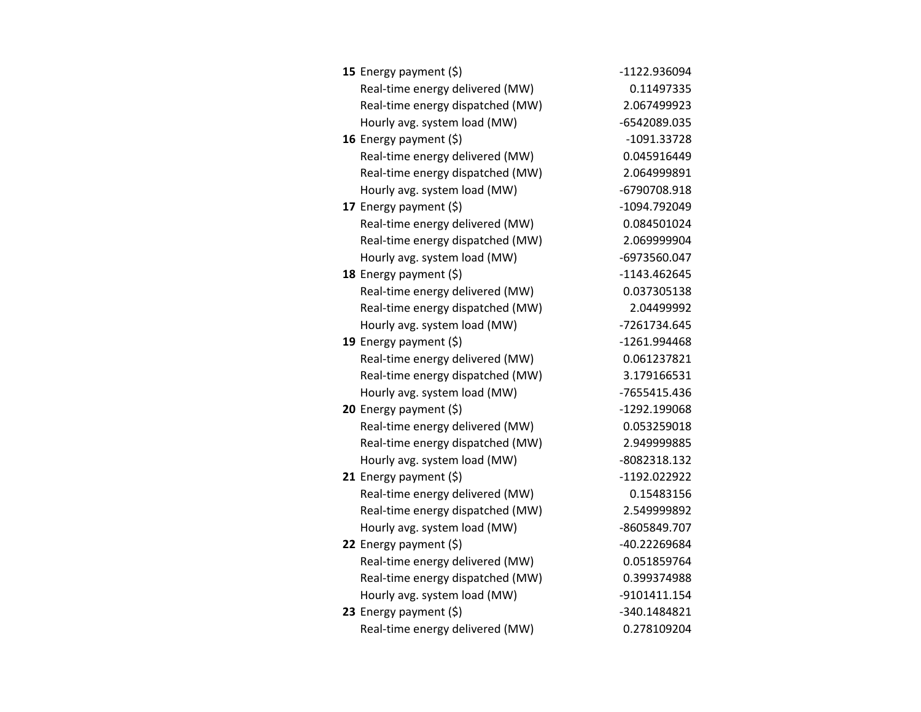| 15 Energy payment $(\xi)$        | -1122.936094 |
|----------------------------------|--------------|
| Real-time energy delivered (MW)  | 0.11497335   |
| Real-time energy dispatched (MW) | 2.067499923  |
| Hourly avg. system load (MW)     | -6542089.035 |
| 16 Energy payment $(\xi)$        | -1091.33728  |
| Real-time energy delivered (MW)  | 0.045916449  |
| Real-time energy dispatched (MW) | 2.064999891  |
| Hourly avg. system load (MW)     | -6790708.918 |
| 17 Energy payment (\$)           | -1094.792049 |
| Real-time energy delivered (MW)  | 0.084501024  |
| Real-time energy dispatched (MW) | 2.069999904  |
| Hourly avg. system load (MW)     | -6973560.047 |
| 18 Energy payment $(5)$          | -1143.462645 |
| Real-time energy delivered (MW)  | 0.037305138  |
| Real-time energy dispatched (MW) | 2.04499992   |
| Hourly avg. system load (MW)     | -7261734.645 |
| 19 Energy payment (\$)           | -1261.994468 |
| Real-time energy delivered (MW)  | 0.061237821  |
| Real-time energy dispatched (MW) | 3.179166531  |
| Hourly avg. system load (MW)     | -7655415.436 |
| 20 Energy payment (\$)           | -1292.199068 |
| Real-time energy delivered (MW)  | 0.053259018  |
| Real-time energy dispatched (MW) | 2.949999885  |
| Hourly avg. system load (MW)     | -8082318.132 |
| 21 Energy payment (\$)           | -1192.022922 |
| Real-time energy delivered (MW)  | 0.15483156   |
| Real-time energy dispatched (MW) | 2.549999892  |
| Hourly avg. system load (MW)     | -8605849.707 |
| 22 Energy payment $(\xi)$        | -40.22269684 |
| Real-time energy delivered (MW)  | 0.051859764  |
| Real-time energy dispatched (MW) | 0.399374988  |
| Hourly avg. system load (MW)     | -9101411.154 |
| 23 Energy payment $(5)$          | -340.1484821 |
| Real-time energy delivered (MW)  | 0.278109204  |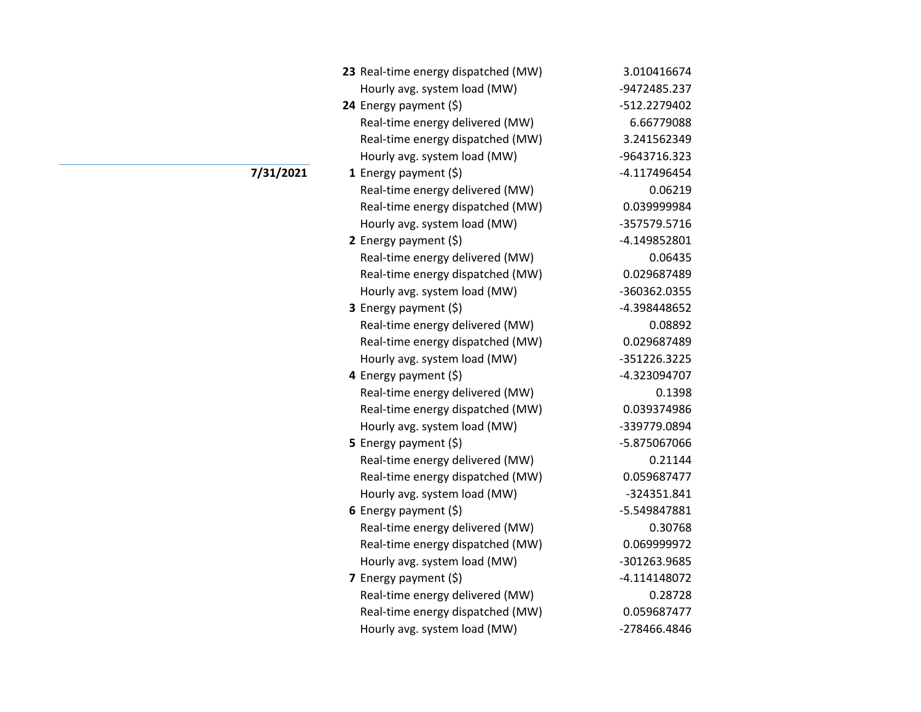| 23 Real-time energy dispatched (MW) | 3.010416674  |
|-------------------------------------|--------------|
| Hourly avg. system load (MW)        | -9472485.237 |
| 24 Energy payment $(\xi)$           | -512.2279402 |
| Real-time energy delivered (MW)     | 6.66779088   |
| Real-time energy dispatched (MW)    | 3.241562349  |
| Hourly avg. system load (MW)        | -9643716.323 |
| 1 Energy payment $(\xi)$            | -4.117496454 |
| Real-time energy delivered (MW)     | 0.06219      |
| Real-time energy dispatched (MW)    | 0.039999984  |
| Hourly avg. system load (MW)        | -357579.5716 |
| 2 Energy payment $(5)$              | -4.149852801 |
| Real-time energy delivered (MW)     | 0.06435      |
| Real-time energy dispatched (MW)    | 0.029687489  |
| Hourly avg. system load (MW)        | -360362.0355 |
| 3 Energy payment (\$)               | -4.398448652 |
| Real-time energy delivered (MW)     | 0.08892      |
| Real-time energy dispatched (MW)    | 0.029687489  |
| Hourly avg. system load (MW)        | -351226.3225 |
| 4 Energy payment (\$)               | -4.323094707 |
| Real-time energy delivered (MW)     | 0.1398       |
| Real-time energy dispatched (MW)    | 0.039374986  |
| Hourly avg. system load (MW)        | -339779.0894 |
| <b>5</b> Energy payment $(\xi)$     | -5.875067066 |
| Real-time energy delivered (MW)     | 0.21144      |
| Real-time energy dispatched (MW)    | 0.059687477  |
| Hourly avg. system load (MW)        | -324351.841  |
| 6 Energy payment (\$)               | -5.549847881 |
| Real-time energy delivered (MW)     | 0.30768      |
| Real-time energy dispatched (MW)    | 0.069999972  |
| Hourly avg. system load (MW)        | -301263.9685 |
| 7 Energy payment $(\xi)$            | -4.114148072 |
| Real-time energy delivered (MW)     | 0.28728      |
| Real-time energy dispatched (MW)    | 0.059687477  |
| Hourly avg. system load (MW)        | -278466.4846 |

## **7/31/2021**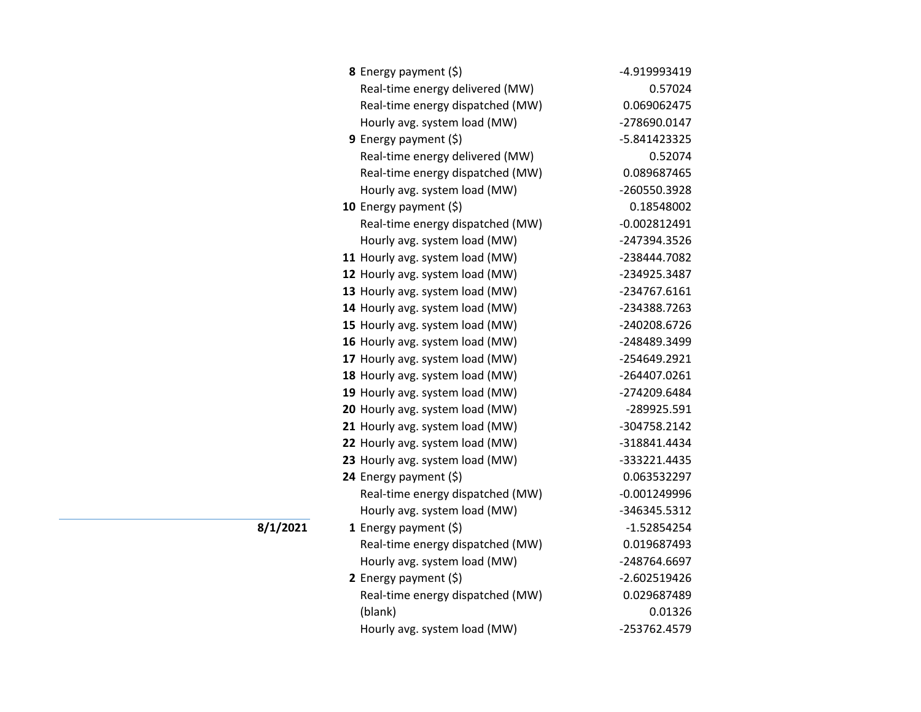| 8 Energy payment (\$)            | -4.919993419   |
|----------------------------------|----------------|
| Real-time energy delivered (MW)  | 0.57024        |
| Real-time energy dispatched (MW) | 0.069062475    |
| Hourly avg. system load (MW)     | -278690.0147   |
| 9 Energy payment $(\xi)$         | -5.841423325   |
| Real-time energy delivered (MW)  | 0.52074        |
| Real-time energy dispatched (MW) | 0.089687465    |
| Hourly avg. system load (MW)     | -260550.3928   |
| 10 Energy payment (\$)           | 0.18548002     |
| Real-time energy dispatched (MW) | $-0.002812491$ |
| Hourly avg. system load (MW)     | -247394.3526   |
| 11 Hourly avg. system load (MW)  | -238444.7082   |
| 12 Hourly avg. system load (MW)  | -234925.3487   |
| 13 Hourly avg. system load (MW)  | -234767.6161   |
| 14 Hourly avg. system load (MW)  | -234388.7263   |
| 15 Hourly avg. system load (MW)  | -240208.6726   |
| 16 Hourly avg. system load (MW)  | -248489.3499   |
| 17 Hourly avg. system load (MW)  | -254649.2921   |
| 18 Hourly avg. system load (MW)  | -264407.0261   |
| 19 Hourly avg. system load (MW)  | -274209.6484   |
| 20 Hourly avg. system load (MW)  | -289925.591    |
| 21 Hourly avg. system load (MW)  | -304758.2142   |
| 22 Hourly avg. system load (MW)  | -318841.4434   |
| 23 Hourly avg. system load (MW)  | -333221.4435   |
| 24 Energy payment (\$)           | 0.063532297    |
| Real-time energy dispatched (MW) | $-0.001249996$ |
| Hourly avg. system load (MW)     | -346345.5312   |
| 1 Energy payment $(\xi)$         | $-1.52854254$  |
| Real-time energy dispatched (MW) | 0.019687493    |
| Hourly avg. system load (MW)     | -248764.6697   |
| 2 Energy payment (\$)            | $-2.602519426$ |
| Real-time energy dispatched (MW) | 0.029687489    |
| (blank)                          | 0.01326        |
| Hourly avg. system load (MW)     | -253762.4579   |

**8/1/2021**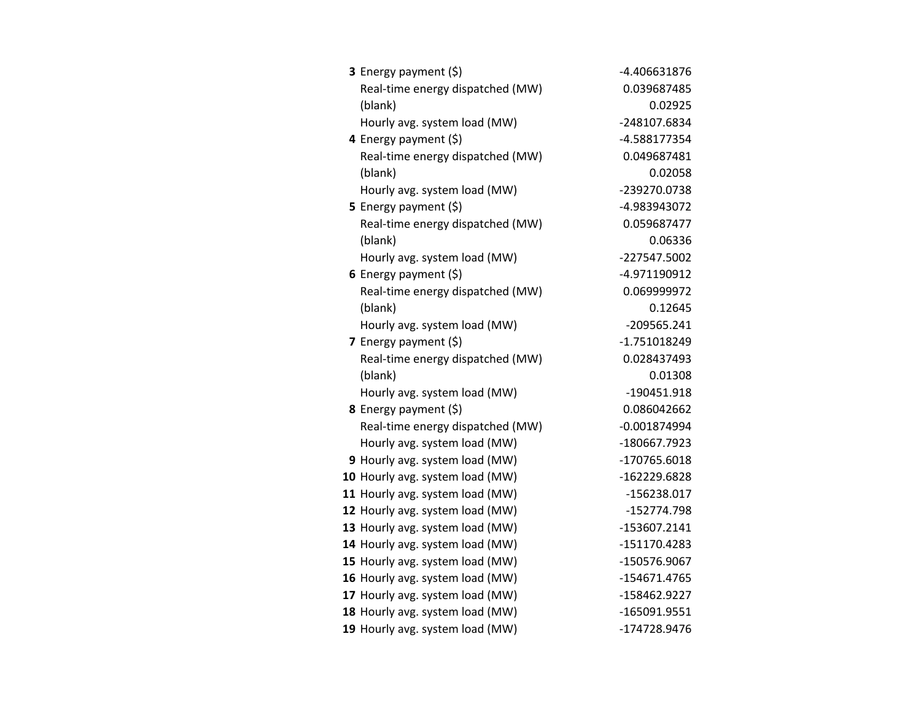| 3 Energy payment (\$)            | -4.406631876   |
|----------------------------------|----------------|
| Real-time energy dispatched (MW) | 0.039687485    |
| (blank)                          | 0.02925        |
| Hourly avg. system load (MW)     | -248107.6834   |
| 4 Energy payment (\$)            | -4.588177354   |
| Real-time energy dispatched (MW) | 0.049687481    |
| (blank)                          | 0.02058        |
| Hourly avg. system load (MW)     | -239270.0738   |
| <b>5</b> Energy payment $(\xi)$  | -4.983943072   |
| Real-time energy dispatched (MW) | 0.059687477    |
| (blank)                          | 0.06336        |
| Hourly avg. system load (MW)     | -227547.5002   |
| 6 Energy payment $(\xi)$         | -4.971190912   |
| Real-time energy dispatched (MW) | 0.069999972    |
| (blank)                          | 0.12645        |
| Hourly avg. system load (MW)     | $-209565.241$  |
| 7 Energy payment (\$)            | -1.751018249   |
| Real-time energy dispatched (MW) | 0.028437493    |
| (blank)                          | 0.01308        |
| Hourly avg. system load (MW)     | -190451.918    |
| 8 Energy payment (\$)            | 0.086042662    |
| Real-time energy dispatched (MW) | $-0.001874994$ |
| Hourly avg. system load (MW)     | -180667.7923   |
| 9 Hourly avg. system load (MW)   | -170765.6018   |
| 10 Hourly avg. system load (MW)  | -162229.6828   |
| 11 Hourly avg. system load (MW)  | -156238.017    |
| 12 Hourly avg. system load (MW)  | -152774.798    |
| 13 Hourly avg. system load (MW)  | -153607.2141   |
| 14 Hourly avg. system load (MW)  | -151170.4283   |
| 15 Hourly avg. system load (MW)  | -150576.9067   |
| 16 Hourly avg. system load (MW)  | -154671.4765   |
| 17 Hourly avg. system load (MW)  | -158462.9227   |
| 18 Hourly avg. system load (MW)  | -165091.9551   |
| 19 Hourly avg. system load (MW)  | -174728.9476   |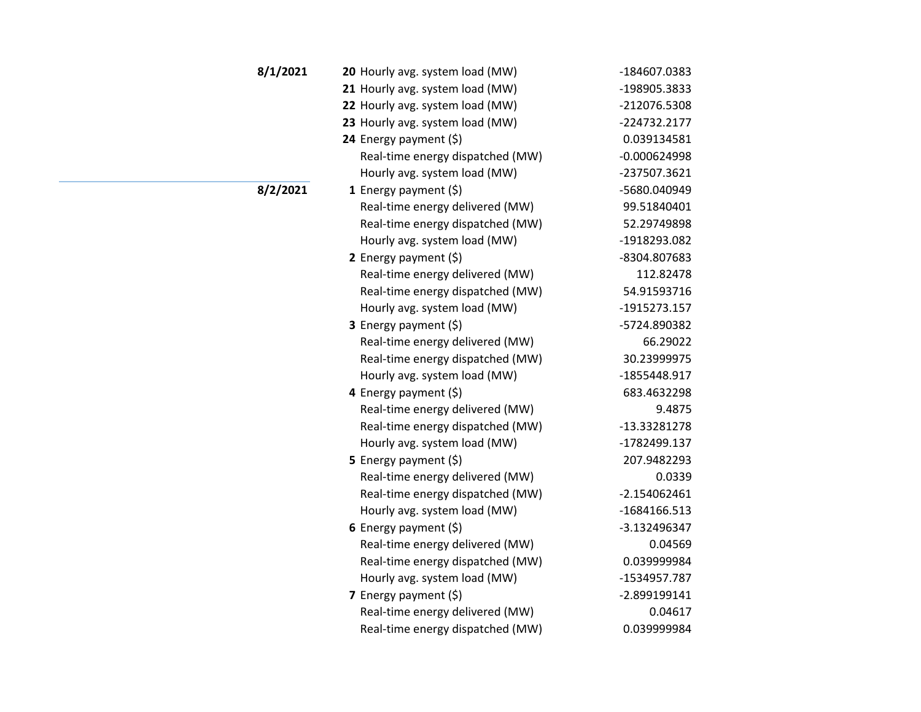| 8/1/2021 | 20 Hourly avg. system load (MW)  | -184607.0383   |
|----------|----------------------------------|----------------|
|          | 21 Hourly avg. system load (MW)  | -198905.3833   |
|          | 22 Hourly avg. system load (MW)  | -212076.5308   |
|          | 23 Hourly avg. system load (MW)  | -224732.2177   |
|          | 24 Energy payment $(\xi)$        | 0.039134581    |
|          | Real-time energy dispatched (MW) | $-0.000624998$ |
|          | Hourly avg. system load (MW)     | -237507.3621   |
| 8/2/2021 | 1 Energy payment $(\xi)$         | -5680.040949   |
|          | Real-time energy delivered (MW)  | 99.51840401    |
|          | Real-time energy dispatched (MW) | 52.29749898    |
|          | Hourly avg. system load (MW)     | -1918293.082   |
|          | 2 Energy payment $(\xi)$         | -8304.807683   |
|          | Real-time energy delivered (MW)  | 112.82478      |
|          | Real-time energy dispatched (MW) | 54.91593716    |
|          | Hourly avg. system load (MW)     | -1915273.157   |
|          | 3 Energy payment (\$)            | -5724.890382   |
|          | Real-time energy delivered (MW)  | 66.29022       |
|          | Real-time energy dispatched (MW) | 30.23999975    |
|          | Hourly avg. system load (MW)     | -1855448.917   |
|          | 4 Energy payment $(\xi)$         | 683.4632298    |
|          | Real-time energy delivered (MW)  | 9.4875         |
|          | Real-time energy dispatched (MW) | -13.33281278   |
|          | Hourly avg. system load (MW)     | -1782499.137   |
|          | 5 Energy payment $(\xi)$         | 207.9482293    |
|          | Real-time energy delivered (MW)  | 0.0339         |
|          | Real-time energy dispatched (MW) | $-2.154062461$ |
|          | Hourly avg. system load (MW)     | -1684166.513   |
|          | 6 Energy payment $(\xi)$         | -3.132496347   |
|          | Real-time energy delivered (MW)  | 0.04569        |
|          | Real-time energy dispatched (MW) | 0.039999984    |
|          | Hourly avg. system load (MW)     | -1534957.787   |
|          | 7 Energy payment $(\xi)$         | -2.899199141   |
|          | Real-time energy delivered (MW)  | 0.04617        |
|          | Real-time energy dispatched (MW) | 0.039999984    |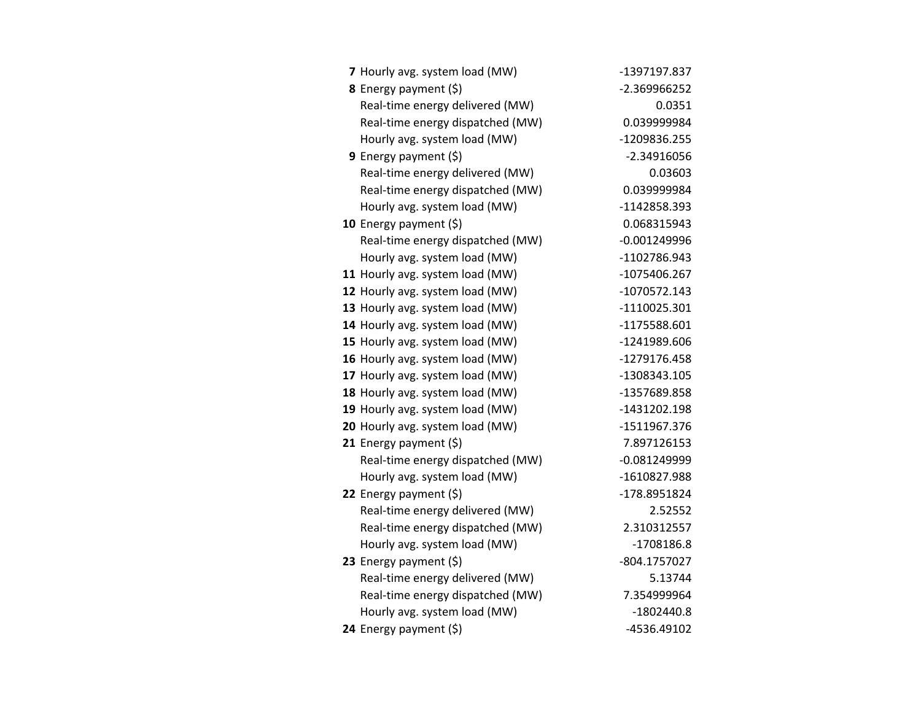| 7 Hourly avg. system load (MW)   | -1397197.837   |
|----------------------------------|----------------|
| 8 Energy payment (\$)            | -2.369966252   |
| Real-time energy delivered (MW)  | 0.0351         |
| Real-time energy dispatched (MW) | 0.039999984    |
| Hourly avg. system load (MW)     | -1209836.255   |
| 9 Energy payment $(\xi)$         | $-2.34916056$  |
| Real-time energy delivered (MW)  | 0.03603        |
| Real-time energy dispatched (MW) | 0.039999984    |
| Hourly avg. system load (MW)     | -1142858.393   |
| 10 Energy payment (\$)           | 0.068315943    |
| Real-time energy dispatched (MW) | $-0.001249996$ |
| Hourly avg. system load (MW)     | -1102786.943   |
| 11 Hourly avg. system load (MW)  | -1075406.267   |
| 12 Hourly avg. system load (MW)  | -1070572.143   |
| 13 Hourly avg. system load (MW)  | -1110025.301   |
| 14 Hourly avg. system load (MW)  | -1175588.601   |
| 15 Hourly avg. system load (MW)  | -1241989.606   |
| 16 Hourly avg. system load (MW)  | -1279176.458   |
| 17 Hourly avg. system load (MW)  | -1308343.105   |
| 18 Hourly avg. system load (MW)  | -1357689.858   |
| 19 Hourly avg. system load (MW)  | -1431202.198   |
| 20 Hourly avg. system load (MW)  | -1511967.376   |
| 21 Energy payment $(\xi)$        | 7.897126153    |
| Real-time energy dispatched (MW) | $-0.081249999$ |
| Hourly avg. system load (MW)     | -1610827.988   |
| 22 Energy payment $(\xi)$        | -178.8951824   |
| Real-time energy delivered (MW)  | 2.52552        |
| Real-time energy dispatched (MW) | 2.310312557    |
| Hourly avg. system load (MW)     | $-1708186.8$   |
| 23 Energy payment $(\xi)$        | -804.1757027   |
| Real-time energy delivered (MW)  | 5.13744        |
| Real-time energy dispatched (MW) | 7.354999964    |
| Hourly avg. system load (MW)     | $-1802440.8$   |
| 24 Energy payment (\$)           | -4536.49102    |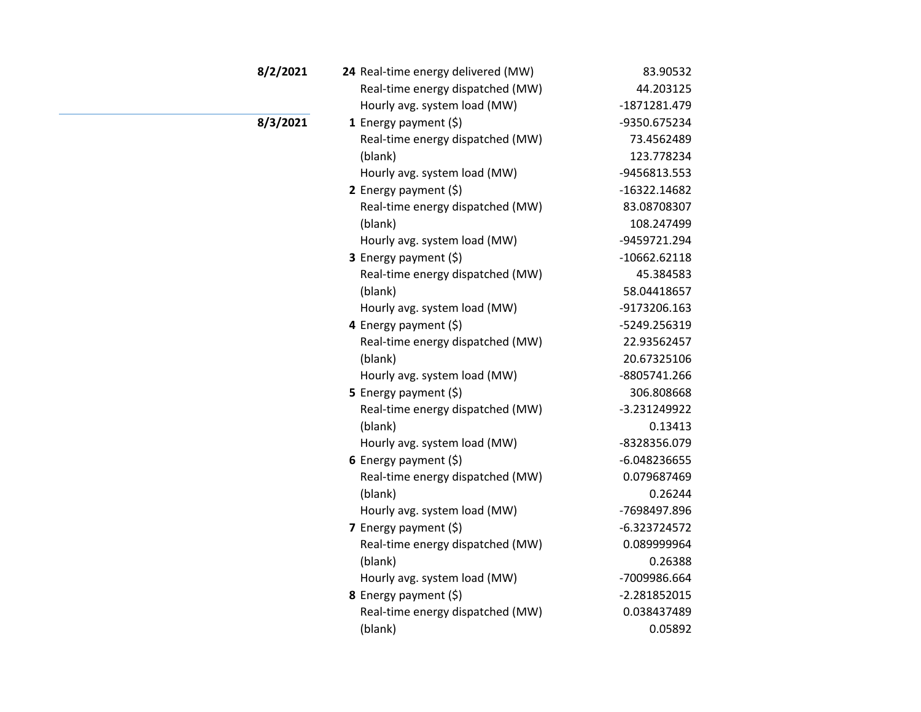| 8/2/2021 | 24 Real-time energy delivered (MW) | 83.90532       |
|----------|------------------------------------|----------------|
|          | Real-time energy dispatched (MW)   | 44.203125      |
|          | Hourly avg. system load (MW)       | -1871281.479   |
| 8/3/2021 | 1 Energy payment (\$)              | -9350.675234   |
|          | Real-time energy dispatched (MW)   | 73.4562489     |
|          | (blank)                            | 123.778234     |
|          | Hourly avg. system load (MW)       | -9456813.553   |
|          | 2 Energy payment $(\xi)$           | -16322.14682   |
|          | Real-time energy dispatched (MW)   | 83.08708307    |
|          | (blank)                            | 108.247499     |
|          | Hourly avg. system load (MW)       | -9459721.294   |
|          | 3 Energy payment (\$)              | $-10662.62118$ |
|          | Real-time energy dispatched (MW)   | 45.384583      |
|          | (blank)                            | 58.04418657    |
|          | Hourly avg. system load (MW)       | -9173206.163   |
|          | 4 Energy payment (\$)              | -5249.256319   |
|          | Real-time energy dispatched (MW)   | 22.93562457    |
|          | (blank)                            | 20.67325106    |
|          | Hourly avg. system load (MW)       | -8805741.266   |
|          | 5 Energy payment $(5)$             | 306.808668     |
|          | Real-time energy dispatched (MW)   | -3.231249922   |
|          | (blank)                            | 0.13413        |
|          | Hourly avg. system load (MW)       | -8328356.079   |
|          | 6 Energy payment $(5)$             | -6.048236655   |
|          | Real-time energy dispatched (MW)   | 0.079687469    |
|          | (blank)                            | 0.26244        |
|          | Hourly avg. system load (MW)       | -7698497.896   |
|          | 7 Energy payment (\$)              | $-6.323724572$ |
|          | Real-time energy dispatched (MW)   | 0.089999964    |
|          | (blank)                            | 0.26388        |
|          | Hourly avg. system load (MW)       | -7009986.664   |
|          | 8 Energy payment (\$)              | $-2.281852015$ |
|          | Real-time energy dispatched (MW)   | 0.038437489    |
|          | (blank)                            | 0.05892        |
|          |                                    |                |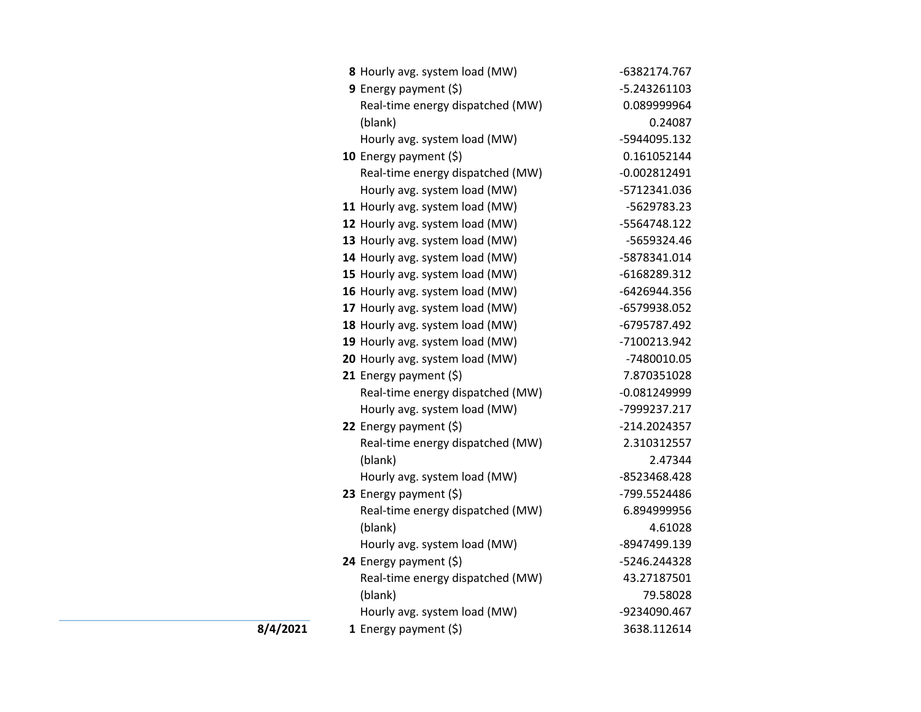|          | 8 Hourly avg. system load (MW)   | -6382174.767   |
|----------|----------------------------------|----------------|
|          | <b>9</b> Energy payment $(\xi)$  | -5.243261103   |
|          | Real-time energy dispatched (MW) | 0.089999964    |
|          | (blank)                          | 0.24087        |
|          | Hourly avg. system load (MW)     | -5944095.132   |
|          | 10 Energy payment (\$)           | 0.161052144    |
|          | Real-time energy dispatched (MW) | $-0.002812491$ |
|          | Hourly avg. system load (MW)     | -5712341.036   |
|          | 11 Hourly avg. system load (MW)  | -5629783.23    |
|          | 12 Hourly avg. system load (MW)  | -5564748.122   |
|          | 13 Hourly avg. system load (MW)  | -5659324.46    |
|          | 14 Hourly avg. system load (MW)  | -5878341.014   |
|          | 15 Hourly avg. system load (MW)  | -6168289.312   |
|          | 16 Hourly avg. system load (MW)  | -6426944.356   |
|          | 17 Hourly avg. system load (MW)  | -6579938.052   |
|          | 18 Hourly avg. system load (MW)  | -6795787.492   |
|          | 19 Hourly avg. system load (MW)  | -7100213.942   |
|          | 20 Hourly avg. system load (MW)  | -7480010.05    |
|          | 21 Energy payment $(5)$          | 7.870351028    |
|          | Real-time energy dispatched (MW) | $-0.081249999$ |
|          | Hourly avg. system load (MW)     | -7999237.217   |
|          | 22 Energy payment (\$)           | -214.2024357   |
|          | Real-time energy dispatched (MW) | 2.310312557    |
|          | (blank)                          | 2.47344        |
|          | Hourly avg. system load (MW)     | -8523468.428   |
|          | 23 Energy payment $(5)$          | -799.5524486   |
|          | Real-time energy dispatched (MW) | 6.894999956    |
|          | (blank)                          | 4.61028        |
|          | Hourly avg. system load (MW)     | -8947499.139   |
|          | 24 Energy payment (\$)           | -5246.244328   |
|          | Real-time energy dispatched (MW) | 43.27187501    |
|          | (blank)                          | 79.58028       |
|          | Hourly avg. system load (MW)     | -9234090.467   |
| 8/4/2021 | 1 Energy payment $(\xi)$         | 3638.112614    |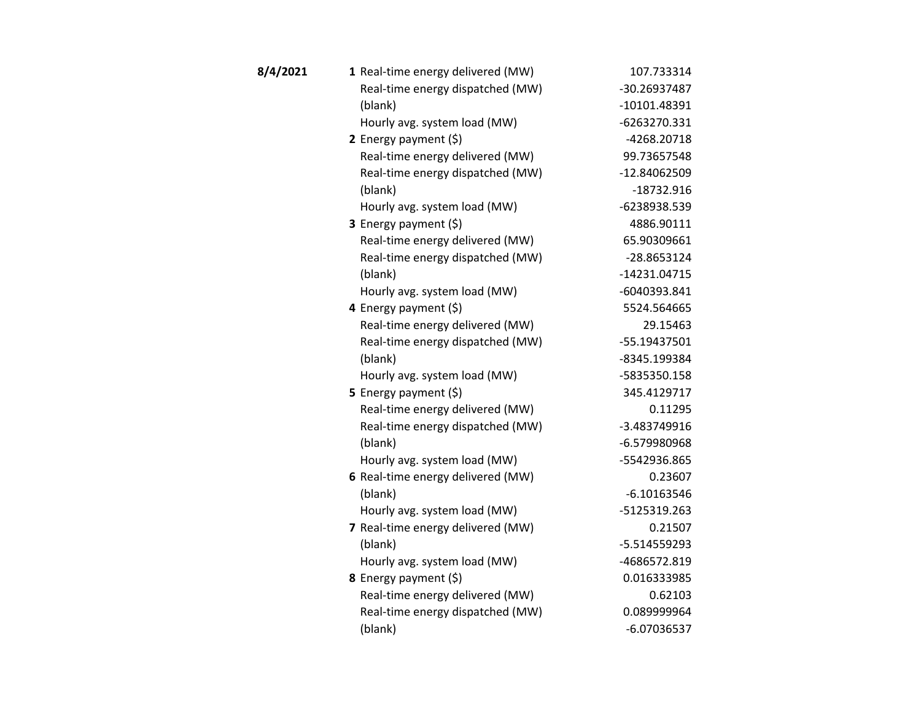| 8/4/2021 | 1 Real-time energy delivered (MW) | 107.733314    |
|----------|-----------------------------------|---------------|
|          | Real-time energy dispatched (MW)  | -30.26937487  |
|          | (blank)                           | -10101.48391  |
|          | Hourly avg. system load (MW)      | -6263270.331  |
|          | 2 Energy payment $(5)$            | -4268.20718   |
|          | Real-time energy delivered (MW)   | 99.73657548   |
|          | Real-time energy dispatched (MW)  | -12.84062509  |
|          | (blank)                           | $-18732.916$  |
|          | Hourly avg. system load (MW)      | -6238938.539  |
|          | 3 Energy payment (\$)             | 4886.90111    |
|          | Real-time energy delivered (MW)   | 65.90309661   |
|          | Real-time energy dispatched (MW)  | -28.8653124   |
|          | (blank)                           | -14231.04715  |
|          | Hourly avg. system load (MW)      | -6040393.841  |
|          | 4 Energy payment (\$)             | 5524.564665   |
|          | Real-time energy delivered (MW)   | 29.15463      |
|          | Real-time energy dispatched (MW)  | -55.19437501  |
|          | (blank)                           | -8345.199384  |
|          | Hourly avg. system load (MW)      | -5835350.158  |
|          | 5 Energy payment (\$)             | 345.4129717   |
|          | Real-time energy delivered (MW)   | 0.11295       |
|          | Real-time energy dispatched (MW)  | -3.483749916  |
|          | (blank)                           | -6.579980968  |
|          | Hourly avg. system load (MW)      | -5542936.865  |
|          | 6 Real-time energy delivered (MW) | 0.23607       |
|          | (blank)                           | $-6.10163546$ |
|          | Hourly avg. system load (MW)      | -5125319.263  |
|          | 7 Real-time energy delivered (MW) | 0.21507       |
|          | (blank)                           | -5.514559293  |
|          | Hourly avg. system load (MW)      | -4686572.819  |
|          | 8 Energy payment (\$)             | 0.016333985   |
|          | Real-time energy delivered (MW)   | 0.62103       |
|          | Real-time energy dispatched (MW)  | 0.089999964   |
|          | (blank)                           | $-6.07036537$ |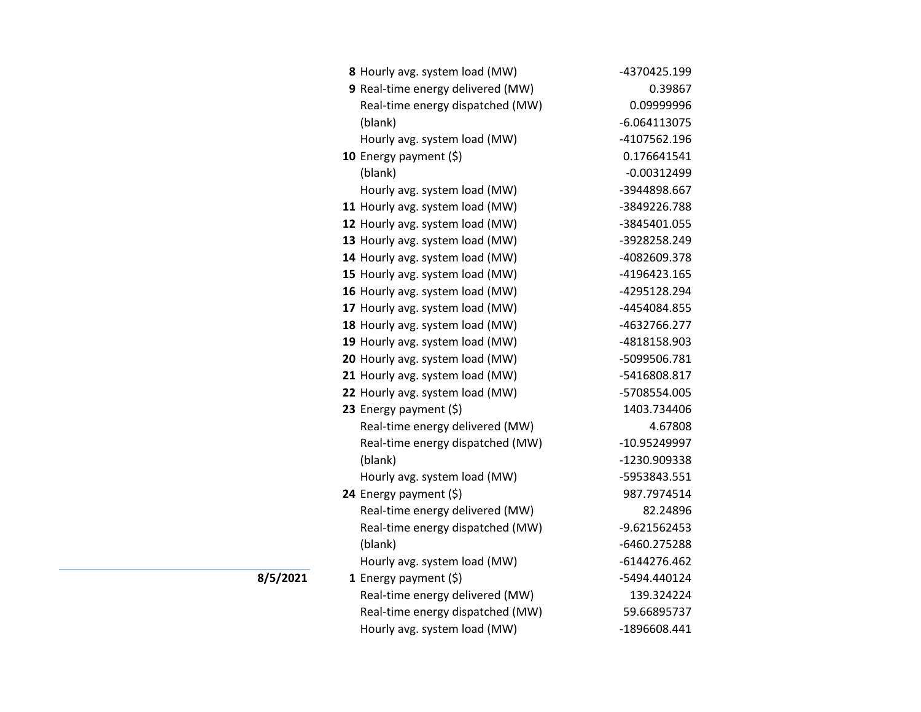| 8 Hourly avg. system load (MW)    | -4370425.199   |
|-----------------------------------|----------------|
| 9 Real-time energy delivered (MW) | 0.39867        |
| Real-time energy dispatched (MW)  | 0.09999996     |
| (blank)                           | $-6.064113075$ |
| Hourly avg. system load (MW)      | -4107562.196   |
| 10 Energy payment (\$)            | 0.176641541    |
| (blank)                           | $-0.00312499$  |
| Hourly avg. system load (MW)      | -3944898.667   |
| 11 Hourly avg. system load (MW)   | -3849226.788   |
| 12 Hourly avg. system load (MW)   | -3845401.055   |
| 13 Hourly avg. system load (MW)   | -3928258.249   |
| 14 Hourly avg. system load (MW)   | -4082609.378   |
| 15 Hourly avg. system load (MW)   | -4196423.165   |
| 16 Hourly avg. system load (MW)   | -4295128.294   |
| 17 Hourly avg. system load (MW)   | -4454084.855   |
| 18 Hourly avg. system load (MW)   | -4632766.277   |
| 19 Hourly avg. system load (MW)   | -4818158.903   |
| 20 Hourly avg. system load (MW)   | -5099506.781   |
| 21 Hourly avg. system load (MW)   | -5416808.817   |
| 22 Hourly avg. system load (MW)   | -5708554.005   |
| 23 Energy payment (\$)            | 1403.734406    |
| Real-time energy delivered (MW)   | 4.67808        |
| Real-time energy dispatched (MW)  | -10.95249997   |
| (blank)                           | -1230.909338   |
| Hourly avg. system load (MW)      | -5953843.551   |
| 24 Energy payment (\$)            | 987.7974514    |
| Real-time energy delivered (MW)   | 82.24896       |
| Real-time energy dispatched (MW)  | -9.621562453   |
| (blank)                           | -6460.275288   |
| Hourly avg. system load (MW)      | $-6144276.462$ |
| 1 Energy payment $(\xi)$          | -5494.440124   |
| Real-time energy delivered (MW)   | 139.324224     |
| Real-time energy dispatched (MW)  | 59.66895737    |
| Hourly avg. system load (MW)      | -1896608.441   |

**8/5/2021**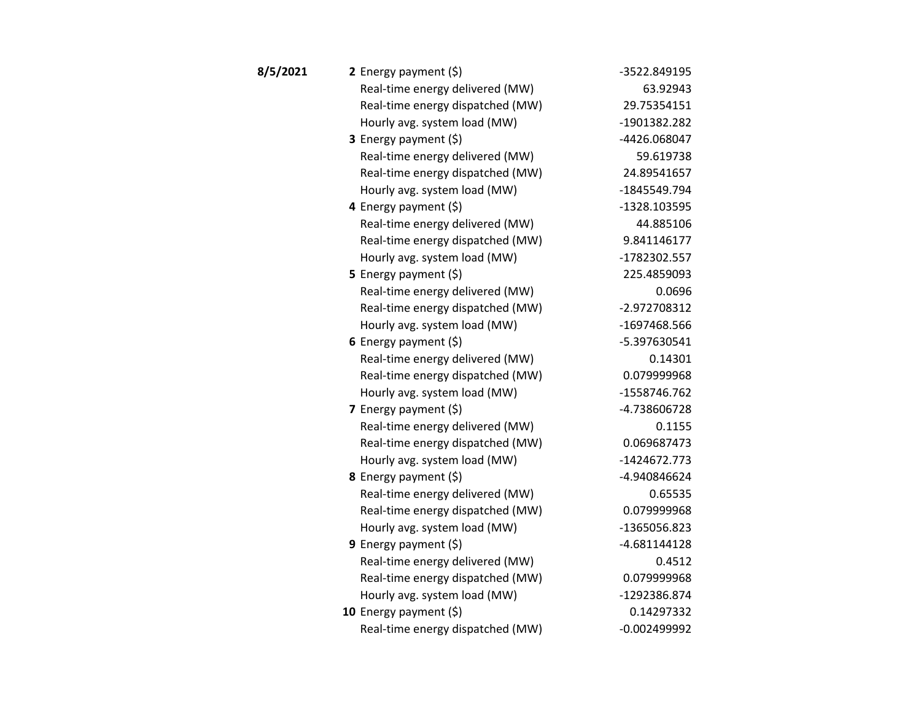| 8/5/2021 | 2 Energy payment $(\xi)$         | -3522.849195   |
|----------|----------------------------------|----------------|
|          | Real-time energy delivered (MW)  | 63.92943       |
|          | Real-time energy dispatched (MW) | 29.75354151    |
|          | Hourly avg. system load (MW)     | -1901382.282   |
|          | <b>3</b> Energy payment $(\xi)$  | -4426.068047   |
|          | Real-time energy delivered (MW)  | 59.619738      |
|          | Real-time energy dispatched (MW) | 24.89541657    |
|          | Hourly avg. system load (MW)     | -1845549.794   |
|          | 4 Energy payment (\$)            | -1328.103595   |
|          | Real-time energy delivered (MW)  | 44.885106      |
|          | Real-time energy dispatched (MW) | 9.841146177    |
|          | Hourly avg. system load (MW)     | -1782302.557   |
|          | 5 Energy payment (\$)            | 225.4859093    |
|          | Real-time energy delivered (MW)  | 0.0696         |
|          | Real-time energy dispatched (MW) | -2.972708312   |
|          | Hourly avg. system load (MW)     | -1697468.566   |
|          | 6 Energy payment $(5)$           | -5.397630541   |
|          | Real-time energy delivered (MW)  | 0.14301        |
|          | Real-time energy dispatched (MW) | 0.079999968    |
|          | Hourly avg. system load (MW)     | -1558746.762   |
|          | 7 Energy payment (\$)            | -4.738606728   |
|          | Real-time energy delivered (MW)  | 0.1155         |
|          | Real-time energy dispatched (MW) | 0.069687473    |
|          | Hourly avg. system load (MW)     | -1424672.773   |
|          | 8 Energy payment (\$)            | -4.940846624   |
|          | Real-time energy delivered (MW)  | 0.65535        |
|          | Real-time energy dispatched (MW) | 0.079999968    |
|          | Hourly avg. system load (MW)     | -1365056.823   |
|          | <b>9</b> Energy payment $(\xi)$  | $-4.681144128$ |
|          | Real-time energy delivered (MW)  | 0.4512         |
|          | Real-time energy dispatched (MW) | 0.079999968    |
|          | Hourly avg. system load (MW)     | -1292386.874   |
|          | 10 Energy payment $(5)$          | 0.14297332     |
|          | Real-time energy dispatched (MW) | $-0.002499992$ |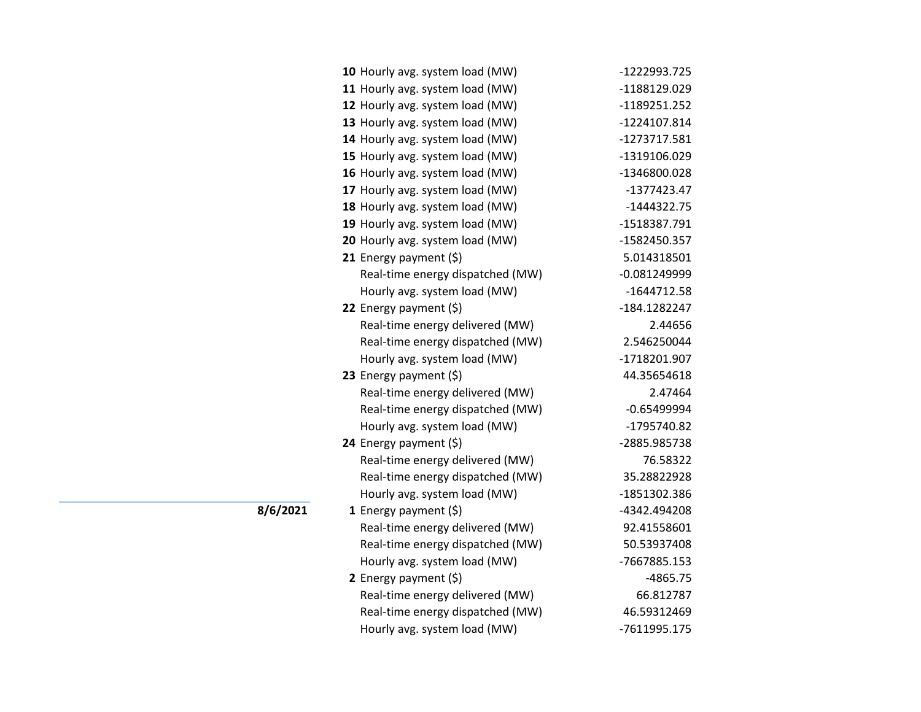| -1222993.725   |
|----------------|
| -1188129.029   |
| -1189251.252   |
| -1224107.814   |
| -1273717.581   |
| -1319106.029   |
| -1346800.028   |
| $-1377423.47$  |
| $-1444322.75$  |
| -1518387.791   |
| -1582450.357   |
| 5.014318501    |
| $-0.081249999$ |
| $-1644712.58$  |
| -184.1282247   |
| 2.44656        |
| 2.546250044    |
| -1718201.907   |
| 44.35654618    |
| 2.47464        |
| $-0.65499994$  |
| -1795740.82    |
| -2885.985738   |
| 76.58322       |
| 35.28822928    |
| -1851302.386   |
| -4342.494208   |
| 92.41558601    |
| 50.53937408    |
| -7667885.153   |
| $-4865.75$     |
| 66.812787      |
| 46.59312469    |
| -7611995.175   |
|                |

**8/6/2021**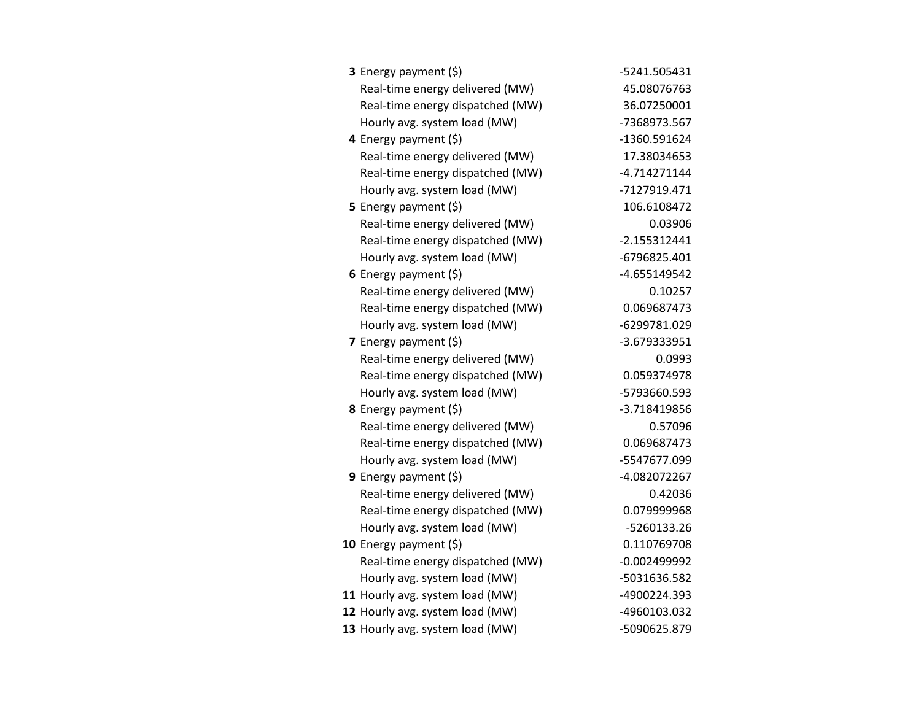| <b>3</b> Energy payment $(\xi)$  | -5241.505431   |
|----------------------------------|----------------|
| Real-time energy delivered (MW)  | 45.08076763    |
| Real-time energy dispatched (MW) | 36.07250001    |
| Hourly avg. system load (MW)     | -7368973.567   |
| 4 Energy payment (\$)            | -1360.591624   |
| Real-time energy delivered (MW)  | 17.38034653    |
| Real-time energy dispatched (MW) | $-4.714271144$ |
| Hourly avg. system load (MW)     | -7127919.471   |
| <b>5</b> Energy payment $(\xi)$  | 106.6108472    |
| Real-time energy delivered (MW)  | 0.03906        |
| Real-time energy dispatched (MW) | $-2.155312441$ |
| Hourly avg. system load (MW)     | -6796825.401   |
| 6 Energy payment $(\xi)$         | $-4.655149542$ |
| Real-time energy delivered (MW)  | 0.10257        |
| Real-time energy dispatched (MW) | 0.069687473    |
| Hourly avg. system load (MW)     | -6299781.029   |
| 7 Energy payment (\$)            | -3.679333951   |
| Real-time energy delivered (MW)  | 0.0993         |
| Real-time energy dispatched (MW) | 0.059374978    |
| Hourly avg. system load (MW)     | -5793660.593   |
| 8 Energy payment (\$)            | -3.718419856   |
| Real-time energy delivered (MW)  | 0.57096        |
| Real-time energy dispatched (MW) | 0.069687473    |
| Hourly avg. system load (MW)     | -5547677.099   |
| <b>9</b> Energy payment $(\xi)$  | -4.082072267   |
| Real-time energy delivered (MW)  | 0.42036        |
| Real-time energy dispatched (MW) | 0.079999968    |
| Hourly avg. system load (MW)     | -5260133.26    |
| 10 Energy payment $(\xi)$        | 0.110769708    |
| Real-time energy dispatched (MW) | $-0.002499992$ |
| Hourly avg. system load (MW)     | -5031636.582   |
| 11 Hourly avg. system load (MW)  | -4900224.393   |
| 12 Hourly avg. system load (MW)  | -4960103.032   |
| 13 Hourly avg. system load (MW)  | -5090625.879   |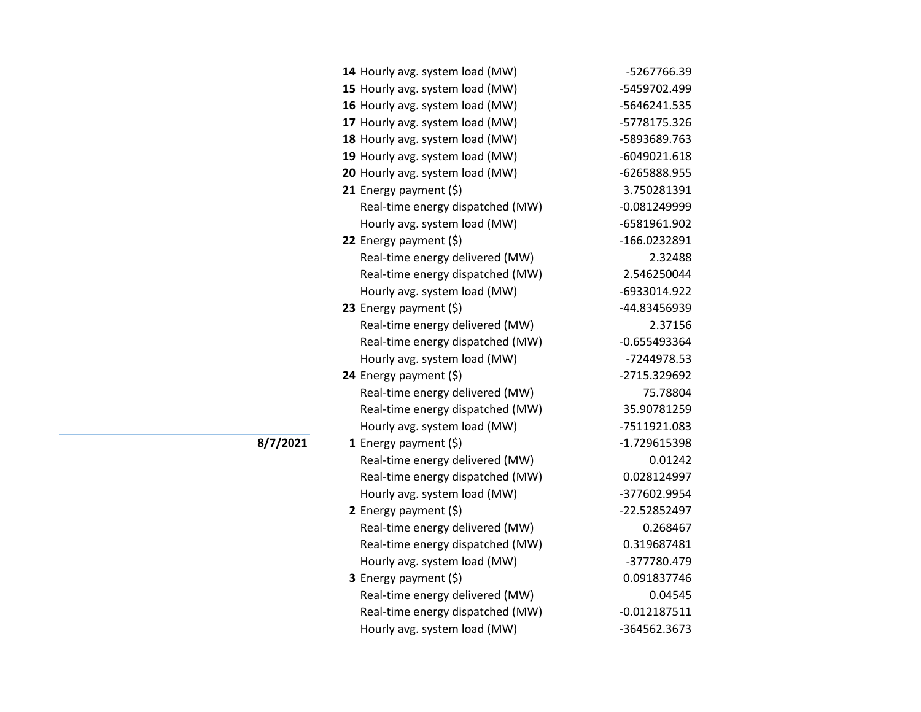| 14 Hourly avg. system load (MW)  | -5267766.39    |
|----------------------------------|----------------|
| 15 Hourly avg. system load (MW)  | -5459702.499   |
| 16 Hourly avg. system load (MW)  | -5646241.535   |
| 17 Hourly avg. system load (MW)  | -5778175.326   |
| 18 Hourly avg. system load (MW)  | -5893689.763   |
| 19 Hourly avg. system load (MW)  | $-6049021.618$ |
| 20 Hourly avg. system load (MW)  | -6265888.955   |
| 21 Energy payment $(\xi)$        | 3.750281391    |
| Real-time energy dispatched (MW) | $-0.081249999$ |
| Hourly avg. system load (MW)     | -6581961.902   |
| 22 Energy payment (\$)           | -166.0232891   |
| Real-time energy delivered (MW)  | 2.32488        |
| Real-time energy dispatched (MW) | 2.546250044    |
| Hourly avg. system load (MW)     | -6933014.922   |
| 23 Energy payment $(\xi)$        | -44.83456939   |
| Real-time energy delivered (MW)  | 2.37156        |
| Real-time energy dispatched (MW) | $-0.655493364$ |
| Hourly avg. system load (MW)     | -7244978.53    |
| 24 Energy payment (\$)           | -2715.329692   |
| Real-time energy delivered (MW)  | 75.78804       |
| Real-time energy dispatched (MW) | 35.90781259    |
| Hourly avg. system load (MW)     | -7511921.083   |
| 1 Energy payment $(\xi)$         | -1.729615398   |
| Real-time energy delivered (MW)  | 0.01242        |
| Real-time energy dispatched (MW) | 0.028124997    |
| Hourly avg. system load (MW)     | -377602.9954   |
| 2 Energy payment $(\xi)$         | -22.52852497   |
| Real-time energy delivered (MW)  | 0.268467       |
| Real-time energy dispatched (MW) | 0.319687481    |
| Hourly avg. system load (MW)     | -377780.479    |
| 3 Energy payment (\$)            | 0.091837746    |
| Real-time energy delivered (MW)  | 0.04545        |
| Real-time energy dispatched (MW) | $-0.012187511$ |
| Hourly avg. system load (MW)     | -364562.3673   |
|                                  |                |

**8/7/2021**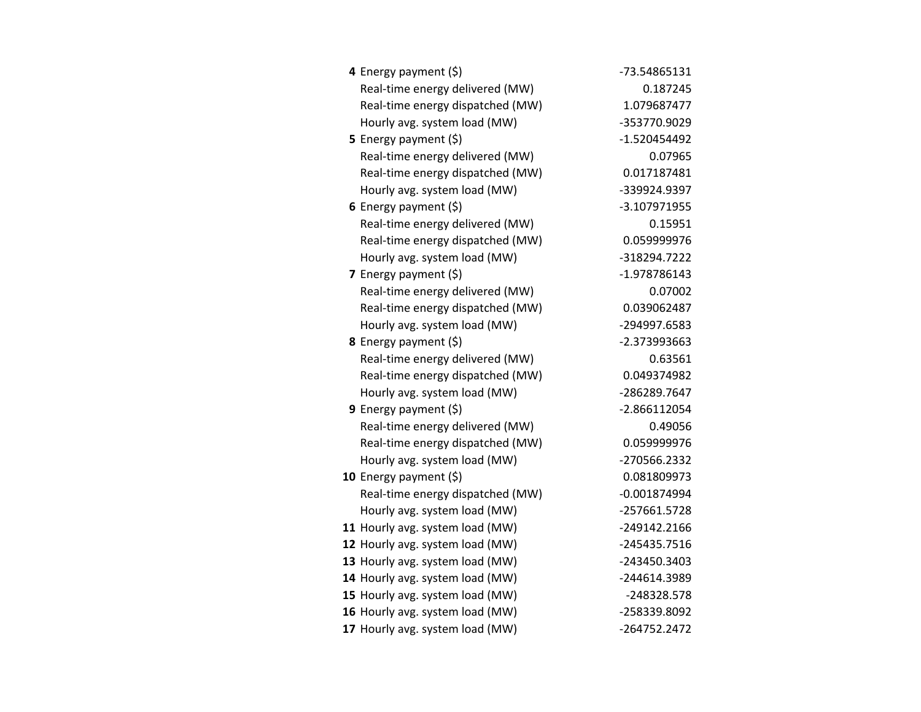| 4 Energy payment (\$)            | -73.54865131   |
|----------------------------------|----------------|
| Real-time energy delivered (MW)  | 0.187245       |
| Real-time energy dispatched (MW) | 1.079687477    |
| Hourly avg. system load (MW)     | -353770.9029   |
| 5 Energy payment $(\xi)$         | $-1.520454492$ |
| Real-time energy delivered (MW)  | 0.07965        |
| Real-time energy dispatched (MW) | 0.017187481    |
| Hourly avg. system load (MW)     | -339924.9397   |
| 6 Energy payment $(\xi)$         | -3.107971955   |
| Real-time energy delivered (MW)  | 0.15951        |
| Real-time energy dispatched (MW) | 0.059999976    |
| Hourly avg. system load (MW)     | -318294.7222   |
| <b>7</b> Energy payment $(\xi)$  | -1.978786143   |
| Real-time energy delivered (MW)  | 0.07002        |
| Real-time energy dispatched (MW) | 0.039062487    |
| Hourly avg. system load (MW)     | -294997.6583   |
| 8 Energy payment (\$)            | -2.373993663   |
| Real-time energy delivered (MW)  | 0.63561        |
| Real-time energy dispatched (MW) | 0.049374982    |
| Hourly avg. system load (MW)     | -286289.7647   |
| 9 Energy payment (\$)            | $-2.866112054$ |
| Real-time energy delivered (MW)  | 0.49056        |
| Real-time energy dispatched (MW) | 0.059999976    |
| Hourly avg. system load (MW)     | -270566.2332   |
| 10 Energy payment $(\xi)$        | 0.081809973    |
| Real-time energy dispatched (MW) | $-0.001874994$ |
| Hourly avg. system load (MW)     | -257661.5728   |
| 11 Hourly avg. system load (MW)  | -249142.2166   |
| 12 Hourly avg. system load (MW)  | -245435.7516   |
| 13 Hourly avg. system load (MW)  | -243450.3403   |
| 14 Hourly avg. system load (MW)  | -244614.3989   |
| 15 Hourly avg. system load (MW)  | -248328.578    |
| 16 Hourly avg. system load (MW)  | -258339.8092   |
| 17 Hourly avg. system load (MW)  | -264752.2472   |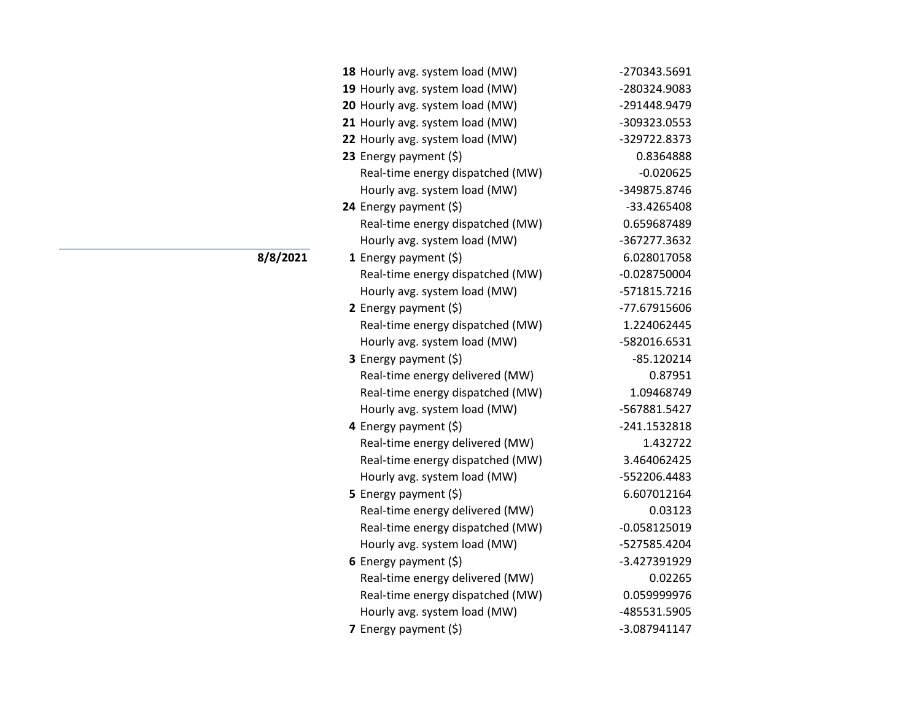| 18 Hourly avg. system load (MW)  | -270343.5691   |
|----------------------------------|----------------|
| 19 Hourly avg. system load (MW)  | -280324.9083   |
| 20 Hourly avg. system load (MW)  | -291448.9479   |
| 21 Hourly avg. system load (MW)  | -309323.0553   |
| 22 Hourly avg. system load (MW)  | -329722.8373   |
| 23 Energy payment (\$)           | 0.8364888      |
| Real-time energy dispatched (MW) | $-0.020625$    |
| Hourly avg. system load (MW)     | -349875.8746   |
| 24 Energy payment (\$)           | -33.4265408    |
| Real-time energy dispatched (MW) | 0.659687489    |
| Hourly avg. system load (MW)     | -367277.3632   |
| 1 Energy payment $(5)$           | 6.028017058    |
| Real-time energy dispatched (MW) | $-0.028750004$ |
| Hourly avg. system load (MW)     | -571815.7216   |
| 2 Energy payment $(\xi)$         | -77.67915606   |
| Real-time energy dispatched (MW) | 1.224062445    |
| Hourly avg. system load (MW)     | -582016.6531   |
| 3 Energy payment (\$)            | $-85.120214$   |
| Real-time energy delivered (MW)  | 0.87951        |
| Real-time energy dispatched (MW) | 1.09468749     |
| Hourly avg. system load (MW)     | -567881.5427   |
| 4 Energy payment (\$)            | -241.1532818   |
| Real-time energy delivered (MW)  | 1.432722       |
| Real-time energy dispatched (MW) | 3.464062425    |
| Hourly avg. system load (MW)     | -552206.4483   |
| 5 Energy payment (\$)            | 6.607012164    |
| Real-time energy delivered (MW)  | 0.03123        |
| Real-time energy dispatched (MW) | $-0.058125019$ |
| Hourly avg. system load (MW)     | -527585.4204   |
| 6 Energy payment $(\xi)$         | -3.427391929   |
| Real-time energy delivered (MW)  | 0.02265        |
| Real-time energy dispatched (MW) | 0.059999976    |
| Hourly avg. system load (MW)     | -485531.5905   |
| 7 Energy payment (\$)            | -3.087941147   |

**8/8/2021**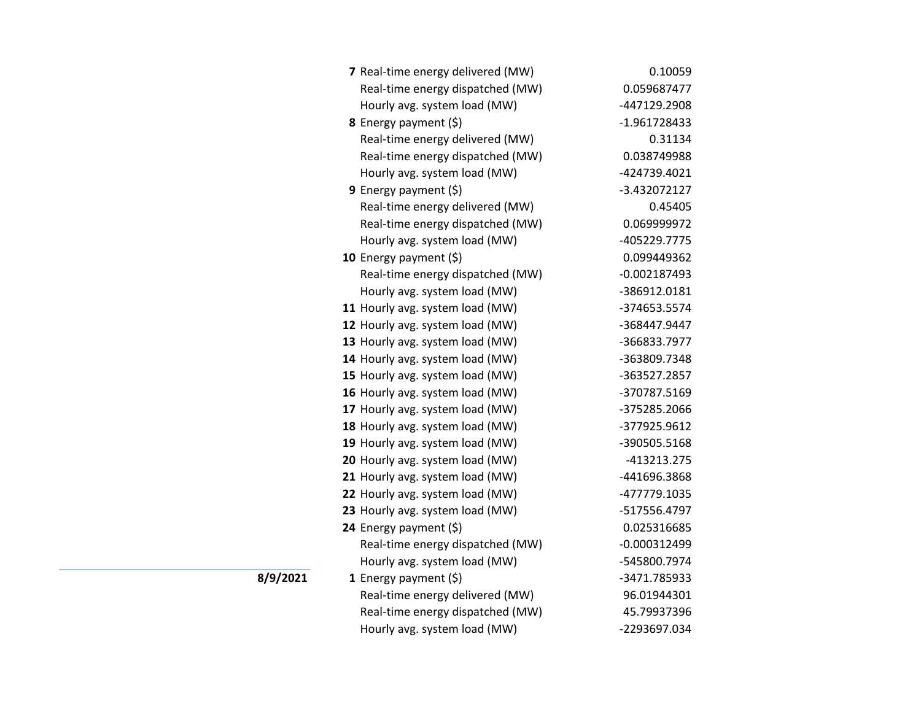| 7 Real-time energy delivered (MW) | 0.10059        |
|-----------------------------------|----------------|
| Real-time energy dispatched (MW)  | 0.059687477    |
| Hourly avg. system load (MW)      | -447129.2908   |
| <b>8</b> Energy payment $(\xi)$   | -1.961728433   |
| Real-time energy delivered (MW)   | 0.31134        |
| Real-time energy dispatched (MW)  | 0.038749988    |
| Hourly avg. system load (MW)      | -424739.4021   |
| <b>9</b> Energy payment $(\xi)$   | -3.432072127   |
| Real-time energy delivered (MW)   | 0.45405        |
| Real-time energy dispatched (MW)  | 0.069999972    |
| Hourly avg. system load (MW)      | -405229.7775   |
| 10 Energy payment (\$)            | 0.099449362    |
| Real-time energy dispatched (MW)  | $-0.002187493$ |
| Hourly avg. system load (MW)      | -386912.0181   |
| 11 Hourly avg. system load (MW)   | -374653.5574   |
| 12 Hourly avg. system load (MW)   | -368447.9447   |
| 13 Hourly avg. system load (MW)   | -366833.7977   |
| 14 Hourly avg. system load (MW)   | -363809.7348   |
| 15 Hourly avg. system load (MW)   | -363527.2857   |
| 16 Hourly avg. system load (MW)   | -370787.5169   |
| 17 Hourly avg. system load (MW)   | -375285.2066   |
| 18 Hourly avg. system load (MW)   | -377925.9612   |
| 19 Hourly avg. system load (MW)   | -390505.5168   |
| 20 Hourly avg. system load (MW)   | -413213.275    |
| 21 Hourly avg. system load (MW)   | -441696.3868   |
| 22 Hourly avg. system load (MW)   | -477779.1035   |
| 23 Hourly avg. system load (MW)   | -517556.4797   |
| 24 Energy payment (\$)            | 0.025316685    |
| Real-time energy dispatched (MW)  | $-0.000312499$ |
| Hourly avg. system load (MW)      | -545800.7974   |
| <b>1</b> Energy payment $(5)$     | -3471.785933   |
| Real-time energy delivered (MW)   | 96.01944301    |
| Real-time energy dispatched (MW)  | 45.79937396    |
| Hourly avg. system load (MW)      | -2293697.034   |

**8/9/2021**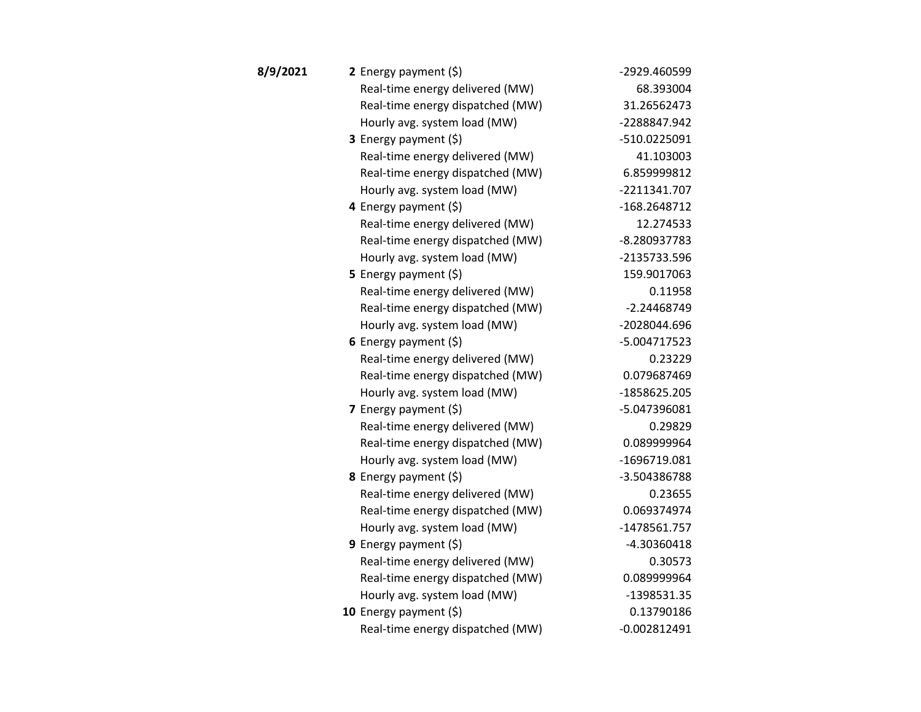| 8/9/2021 | 2 Energy payment $(\xi)$         | -2929.460599   |
|----------|----------------------------------|----------------|
|          | Real-time energy delivered (MW)  | 68.393004      |
|          | Real-time energy dispatched (MW) | 31.26562473    |
|          | Hourly avg. system load (MW)     | -2288847.942   |
|          | <b>3</b> Energy payment $(\xi)$  | -510.0225091   |
|          | Real-time energy delivered (MW)  | 41.103003      |
|          | Real-time energy dispatched (MW) | 6.859999812    |
|          | Hourly avg. system load (MW)     | -2211341.707   |
|          | 4 Energy payment (\$)            | -168.2648712   |
|          | Real-time energy delivered (MW)  | 12.274533      |
|          | Real-time energy dispatched (MW) | -8.280937783   |
|          | Hourly avg. system load (MW)     | -2135733.596   |
|          | 5 Energy payment (\$)            | 159.9017063    |
|          | Real-time energy delivered (MW)  | 0.11958        |
|          | Real-time energy dispatched (MW) | $-2.24468749$  |
|          | Hourly avg. system load (MW)     | -2028044.696   |
|          | 6 Energy payment $(5)$           | -5.004717523   |
|          | Real-time energy delivered (MW)  | 0.23229        |
|          | Real-time energy dispatched (MW) | 0.079687469    |
|          | Hourly avg. system load (MW)     | -1858625.205   |
|          | 7 Energy payment (\$)            | -5.047396081   |
|          | Real-time energy delivered (MW)  | 0.29829        |
|          | Real-time energy dispatched (MW) | 0.089999964    |
|          | Hourly avg. system load (MW)     | -1696719.081   |
|          | 8 Energy payment (\$)            | -3.504386788   |
|          | Real-time energy delivered (MW)  | 0.23655        |
|          | Real-time energy dispatched (MW) | 0.069374974    |
|          | Hourly avg. system load (MW)     | -1478561.757   |
|          | 9 Energy payment $(5)$           | -4.30360418    |
|          | Real-time energy delivered (MW)  | 0.30573        |
|          | Real-time energy dispatched (MW) | 0.089999964    |
|          | Hourly avg. system load (MW)     | $-1398531.35$  |
|          | 10 Energy payment (\$)           | 0.13790186     |
|          | Real-time energy dispatched (MW) | $-0.002812491$ |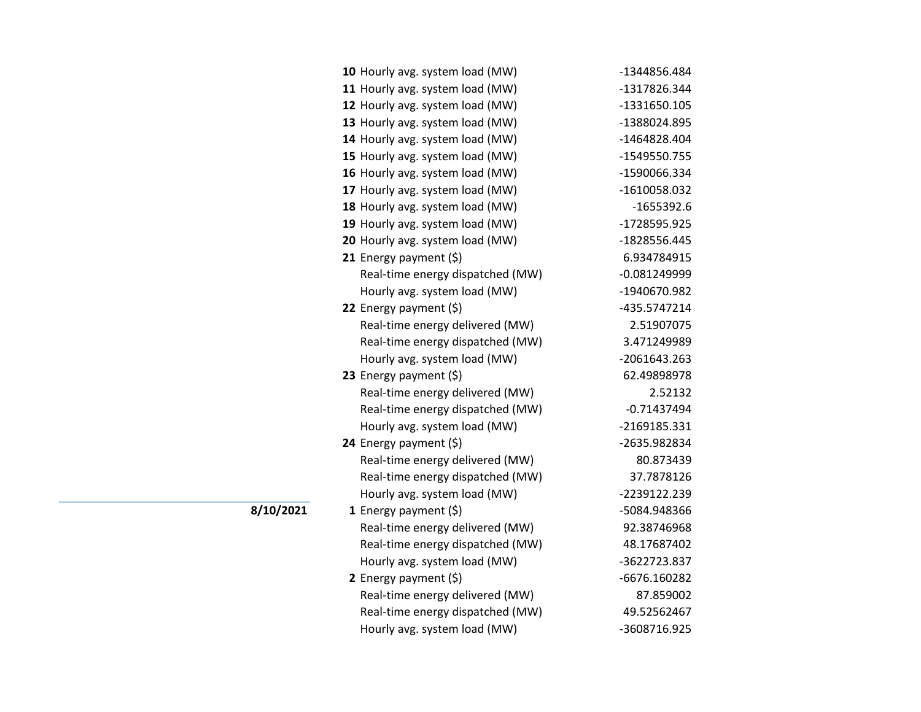| 10 Hourly avg. system load (MW)  | -1344856.484   |
|----------------------------------|----------------|
| 11 Hourly avg. system load (MW)  | -1317826.344   |
| 12 Hourly avg. system load (MW)  | -1331650.105   |
| 13 Hourly avg. system load (MW)  | -1388024.895   |
| 14 Hourly avg. system load (MW)  | -1464828.404   |
| 15 Hourly avg. system load (MW)  | -1549550.755   |
| 16 Hourly avg. system load (MW)  | -1590066.334   |
| 17 Hourly avg. system load (MW)  | -1610058.032   |
| 18 Hourly avg. system load (MW)  | $-1655392.6$   |
| 19 Hourly avg. system load (MW)  | -1728595.925   |
| 20 Hourly avg. system load (MW)  | -1828556.445   |
| 21 Energy payment $(\xi)$        | 6.934784915    |
| Real-time energy dispatched (MW) | $-0.081249999$ |
| Hourly avg. system load (MW)     | -1940670.982   |
| 22 Energy payment (\$)           | -435.5747214   |
| Real-time energy delivered (MW)  | 2.51907075     |
| Real-time energy dispatched (MW) | 3.471249989    |
| Hourly avg. system load (MW)     | -2061643.263   |
| 23 Energy payment $(5)$          | 62.49898978    |
| Real-time energy delivered (MW)  | 2.52132        |
| Real-time energy dispatched (MW) | $-0.71437494$  |
| Hourly avg. system load (MW)     | -2169185.331   |
| 24 Energy payment (\$)           | -2635.982834   |
| Real-time energy delivered (MW)  | 80.873439      |
| Real-time energy dispatched (MW) | 37.7878126     |
| Hourly avg. system load (MW)     | -2239122.239   |
| 1 Energy payment $(\$)$          | -5084.948366   |
| Real-time energy delivered (MW)  | 92.38746968    |
| Real-time energy dispatched (MW) | 48.17687402    |
| Hourly avg. system load (MW)     | -3622723.837   |
| 2 Energy payment $(\xi)$         | -6676.160282   |
| Real-time energy delivered (MW)  | 87.859002      |
| Real-time energy dispatched (MW) | 49.52562467    |
| Hourly avg. system load (MW)     | -3608716.925   |

**8/10/2021**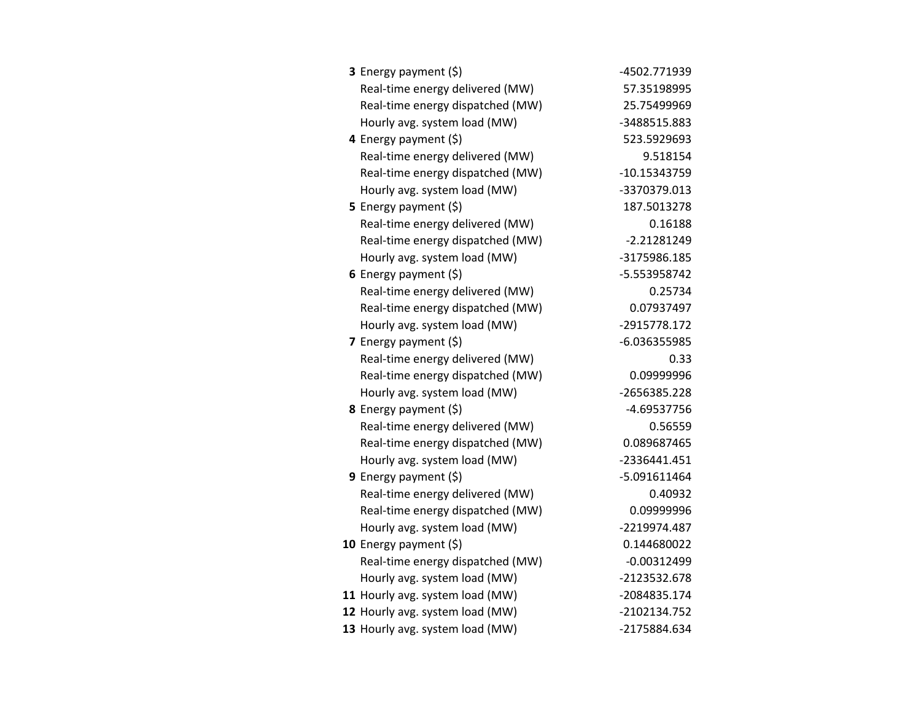| 3 Energy payment (\$)            | -4502.771939   |
|----------------------------------|----------------|
| Real-time energy delivered (MW)  | 57.35198995    |
| Real-time energy dispatched (MW) | 25.75499969    |
| Hourly avg. system load (MW)     | -3488515.883   |
| 4 Energy payment (\$)            | 523.5929693    |
| Real-time energy delivered (MW)  | 9.518154       |
| Real-time energy dispatched (MW) | $-10.15343759$ |
| Hourly avg. system load (MW)     | -3370379.013   |
| <b>5</b> Energy payment $(\xi)$  | 187.5013278    |
| Real-time energy delivered (MW)  | 0.16188        |
| Real-time energy dispatched (MW) | $-2.21281249$  |
| Hourly avg. system load (MW)     | -3175986.185   |
| 6 Energy payment $(\xi)$         | -5.553958742   |
| Real-time energy delivered (MW)  | 0.25734        |
| Real-time energy dispatched (MW) | 0.07937497     |
| Hourly avg. system load (MW)     | -2915778.172   |
| 7 Energy payment $(5)$           | -6.036355985   |
| Real-time energy delivered (MW)  | 0.33           |
| Real-time energy dispatched (MW) | 0.09999996     |
| Hourly avg. system load (MW)     | -2656385.228   |
| 8 Energy payment (\$)            | -4.69537756    |
| Real-time energy delivered (MW)  | 0.56559        |
| Real-time energy dispatched (MW) | 0.089687465    |
| Hourly avg. system load (MW)     | -2336441.451   |
| 9 Energy payment (\$)            | $-5.091611464$ |
| Real-time energy delivered (MW)  | 0.40932        |
| Real-time energy dispatched (MW) | 0.09999996     |
| Hourly avg. system load (MW)     | -2219974.487   |
| 10 Energy payment $(\xi)$        | 0.144680022    |
| Real-time energy dispatched (MW) | $-0.00312499$  |
| Hourly avg. system load (MW)     | -2123532.678   |
| 11 Hourly avg. system load (MW)  | -2084835.174   |
| 12 Hourly avg. system load (MW)  | -2102134.752   |
| 13 Hourly avg. system load (MW)  | -2175884.634   |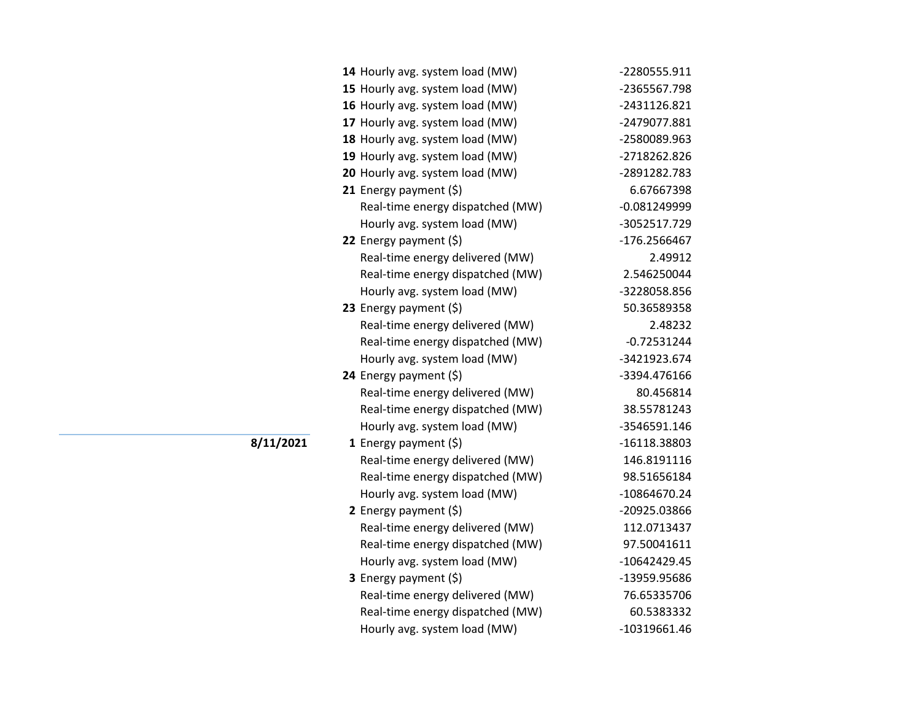| 14 Hourly avg. system load (MW)  | -2280555.911   |
|----------------------------------|----------------|
| 15 Hourly avg. system load (MW)  | -2365567.798   |
| 16 Hourly avg. system load (MW)  | -2431126.821   |
| 17 Hourly avg. system load (MW)  | -2479077.881   |
| 18 Hourly avg. system load (MW)  | -2580089.963   |
| 19 Hourly avg. system load (MW)  | -2718262.826   |
| 20 Hourly avg. system load (MW)  | -2891282.783   |
| 21 Energy payment $(\xi)$        | 6.67667398     |
| Real-time energy dispatched (MW) | $-0.081249999$ |
| Hourly avg. system load (MW)     | -3052517.729   |
| 22 Energy payment $(\xi)$        | -176.2566467   |
| Real-time energy delivered (MW)  | 2.49912        |
| Real-time energy dispatched (MW) | 2.546250044    |
| Hourly avg. system load (MW)     | -3228058.856   |
| 23 Energy payment $(\xi)$        | 50.36589358    |
| Real-time energy delivered (MW)  | 2.48232        |
| Real-time energy dispatched (MW) | $-0.72531244$  |
| Hourly avg. system load (MW)     | -3421923.674   |
| 24 Energy payment (\$)           | -3394.476166   |
| Real-time energy delivered (MW)  | 80.456814      |
| Real-time energy dispatched (MW) | 38.55781243    |
| Hourly avg. system load (MW)     | -3546591.146   |
| 1 Energy payment $(\xi)$         | -16118.38803   |
| Real-time energy delivered (MW)  | 146.8191116    |
| Real-time energy dispatched (MW) | 98.51656184    |
| Hourly avg. system load (MW)     | $-10864670.24$ |
| 2 Energy payment $(\xi)$         | -20925.03866   |
| Real-time energy delivered (MW)  | 112.0713437    |
| Real-time energy dispatched (MW) | 97.50041611    |
| Hourly avg. system load (MW)     | -10642429.45   |
| 3 Energy payment (\$)            | -13959.95686   |
| Real-time energy delivered (MW)  | 76.65335706    |
| Real-time energy dispatched (MW) | 60.5383332     |
| Hourly avg. system load (MW)     | $-10319661.46$ |

**8/11/2021**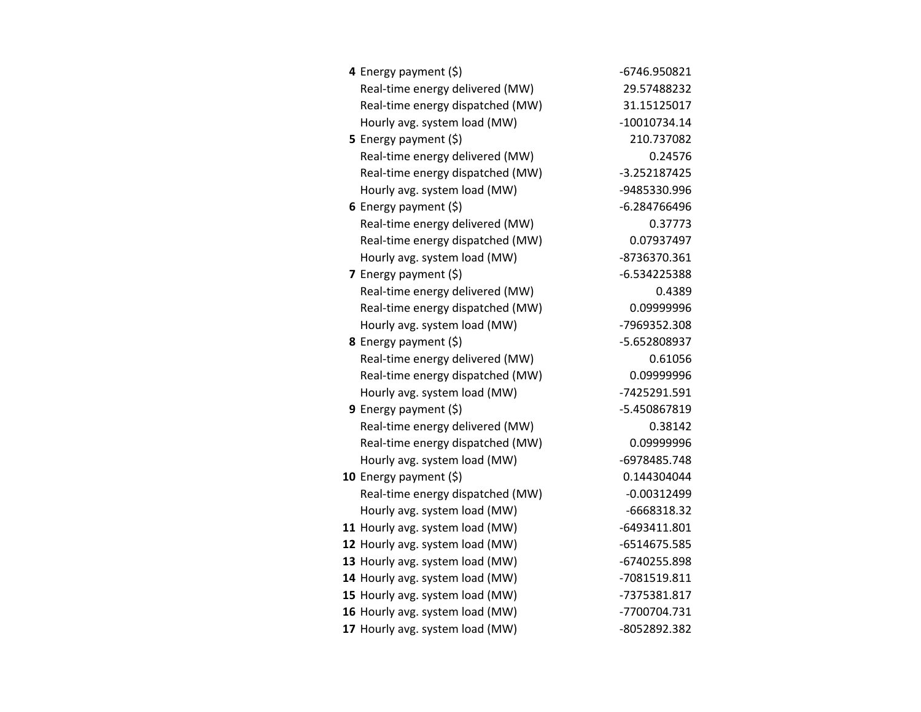| 4 Energy payment (\$)            | -6746.950821   |
|----------------------------------|----------------|
| Real-time energy delivered (MW)  | 29.57488232    |
| Real-time energy dispatched (MW) | 31.15125017    |
| Hourly avg. system load (MW)     | $-10010734.14$ |
| 5 Energy payment (\$)            | 210.737082     |
| Real-time energy delivered (MW)  | 0.24576        |
| Real-time energy dispatched (MW) | -3.252187425   |
| Hourly avg. system load (MW)     | -9485330.996   |
| 6 Energy payment $(5)$           | -6.284766496   |
| Real-time energy delivered (MW)  | 0.37773        |
| Real-time energy dispatched (MW) | 0.07937497     |
| Hourly avg. system load (MW)     | -8736370.361   |
| 7 Energy payment (\$)            | -6.534225388   |
| Real-time energy delivered (MW)  | 0.4389         |
| Real-time energy dispatched (MW) | 0.09999996     |
| Hourly avg. system load (MW)     | -7969352.308   |
| 8 Energy payment (\$)            | -5.652808937   |
| Real-time energy delivered (MW)  | 0.61056        |
| Real-time energy dispatched (MW) | 0.09999996     |
| Hourly avg. system load (MW)     | -7425291.591   |
| 9 Energy payment $(\xi)$         | -5.450867819   |
| Real-time energy delivered (MW)  | 0.38142        |
| Real-time energy dispatched (MW) | 0.09999996     |
| Hourly avg. system load (MW)     | -6978485.748   |
| 10 Energy payment (\$)           | 0.144304044    |
| Real-time energy dispatched (MW) | $-0.00312499$  |
| Hourly avg. system load (MW)     | -6668318.32    |
| 11 Hourly avg. system load (MW)  | -6493411.801   |
| 12 Hourly avg. system load (MW)  | -6514675.585   |
| 13 Hourly avg. system load (MW)  | -6740255.898   |
| 14 Hourly avg. system load (MW)  | -7081519.811   |
| 15 Hourly avg. system load (MW)  | -7375381.817   |
| 16 Hourly avg. system load (MW)  | -7700704.731   |
| 17 Hourly avg. system load (MW)  | -8052892.382   |
|                                  |                |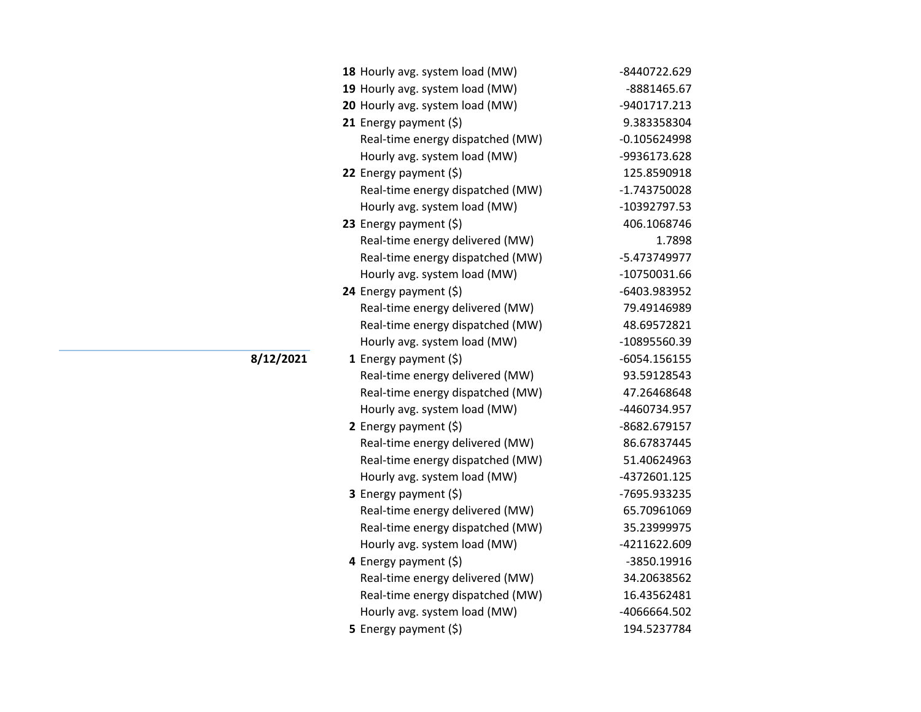| 18 Hourly avg. system load (MW)  | -8440722.629   |
|----------------------------------|----------------|
| 19 Hourly avg. system load (MW)  | -8881465.67    |
| 20 Hourly avg. system load (MW)  | -9401717.213   |
| 21 Energy payment $(5)$          | 9.383358304    |
| Real-time energy dispatched (MW) | $-0.105624998$ |
| Hourly avg. system load (MW)     | -9936173.628   |
| 22 Energy payment (\$)           | 125.8590918    |
| Real-time energy dispatched (MW) | $-1.743750028$ |
| Hourly avg. system load (MW)     | -10392797.53   |
| 23 Energy payment $(\xi)$        | 406.1068746    |
| Real-time energy delivered (MW)  | 1.7898         |
| Real-time energy dispatched (MW) | -5.473749977   |
| Hourly avg. system load (MW)     | -10750031.66   |
| 24 Energy payment $(\xi)$        | -6403.983952   |
| Real-time energy delivered (MW)  | 79.49146989    |
| Real-time energy dispatched (MW) | 48.69572821    |
| Hourly avg. system load (MW)     | -10895560.39   |
| 1 Energy payment $(\xi)$         | $-6054.156155$ |
| Real-time energy delivered (MW)  | 93.59128543    |
| Real-time energy dispatched (MW) | 47.26468648    |
| Hourly avg. system load (MW)     | -4460734.957   |
| 2 Energy payment $(\xi)$         | -8682.679157   |
| Real-time energy delivered (MW)  | 86.67837445    |
| Real-time energy dispatched (MW) | 51.40624963    |
| Hourly avg. system load (MW)     | -4372601.125   |
| 3 Energy payment (\$)            | -7695.933235   |
| Real-time energy delivered (MW)  | 65.70961069    |
| Real-time energy dispatched (MW) | 35.23999975    |
| Hourly avg. system load (MW)     | -4211622.609   |
| 4 Energy payment (\$)            | -3850.19916    |
| Real-time energy delivered (MW)  | 34.20638562    |
| Real-time energy dispatched (MW) | 16.43562481    |
| Hourly avg. system load (MW)     | -4066664.502   |
| 5 Energy payment $(\xi)$         | 194.5237784    |

**8/12/2021**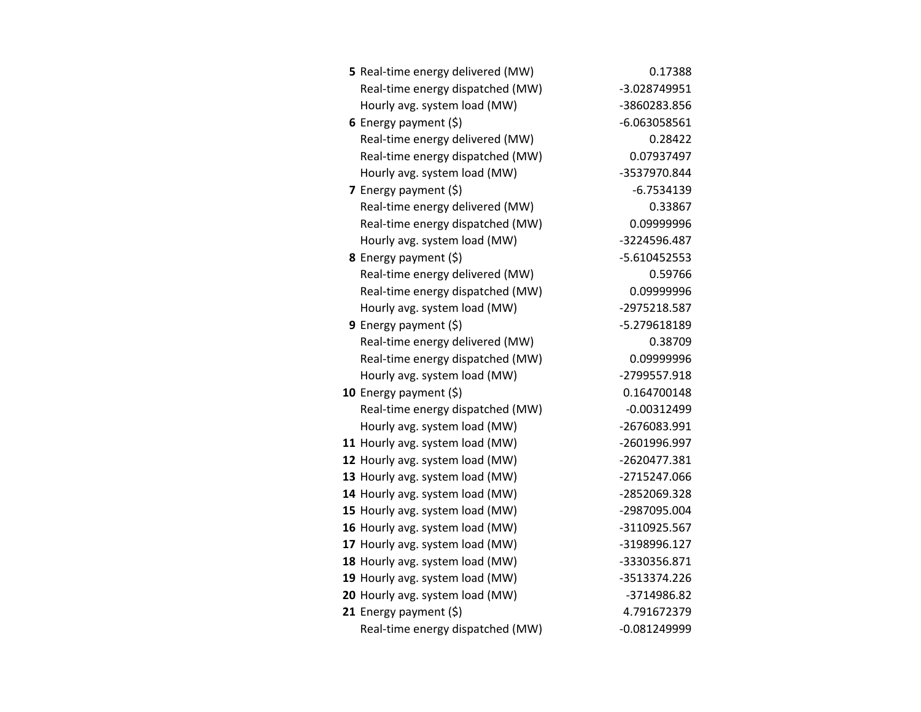| 5 Real-time energy delivered (MW) | 0.17388        |
|-----------------------------------|----------------|
| Real-time energy dispatched (MW)  | -3.028749951   |
| Hourly avg. system load (MW)      | -3860283.856   |
| 6 Energy payment $(5)$            | $-6.063058561$ |
| Real-time energy delivered (MW)   | 0.28422        |
| Real-time energy dispatched (MW)  | 0.07937497     |
| Hourly avg. system load (MW)      | -3537970.844   |
| 7 Energy payment $(\xi)$          | $-6.7534139$   |
| Real-time energy delivered (MW)   | 0.33867        |
| Real-time energy dispatched (MW)  | 0.09999996     |
| Hourly avg. system load (MW)      | -3224596.487   |
| 8 Energy payment (\$)             | $-5.610452553$ |
| Real-time energy delivered (MW)   | 0.59766        |
| Real-time energy dispatched (MW)  | 0.09999996     |
| Hourly avg. system load (MW)      | -2975218.587   |
| 9 Energy payment $(\xi)$          | -5.279618189   |
| Real-time energy delivered (MW)   | 0.38709        |
| Real-time energy dispatched (MW)  | 0.09999996     |
| Hourly avg. system load (MW)      | -2799557.918   |
| 10 Energy payment (\$)            | 0.164700148    |
| Real-time energy dispatched (MW)  | $-0.00312499$  |
| Hourly avg. system load (MW)      | -2676083.991   |
| 11 Hourly avg. system load (MW)   | -2601996.997   |
| 12 Hourly avg. system load (MW)   | -2620477.381   |
| 13 Hourly avg. system load (MW)   | -2715247.066   |
| 14 Hourly avg. system load (MW)   | -2852069.328   |
| 15 Hourly avg. system load (MW)   | -2987095.004   |
| 16 Hourly avg. system load (MW)   | -3110925.567   |
| 17 Hourly avg. system load (MW)   | -3198996.127   |
| 18 Hourly avg. system load (MW)   | -3330356.871   |
| 19 Hourly avg. system load (MW)   | -3513374.226   |
| 20 Hourly avg. system load (MW)   | -3714986.82    |
| 21 Energy payment (\$)            | 4.791672379    |
| Real-time energy dispatched (MW)  | $-0.081249999$ |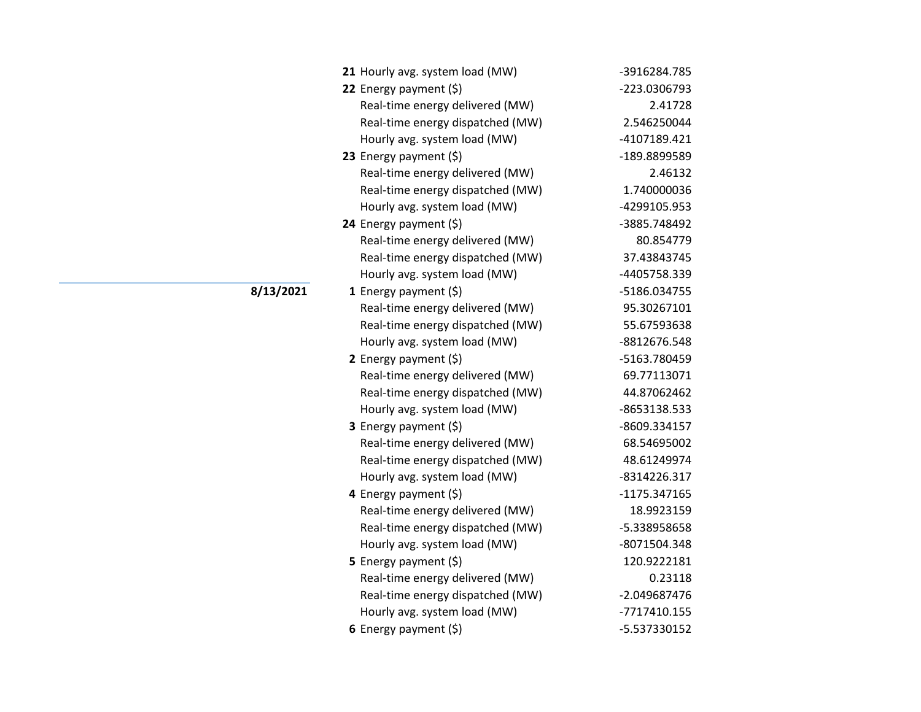| 21 Hourly avg. system load (MW)  | -3916284.785 |
|----------------------------------|--------------|
| 22 Energy payment $(\xi)$        | -223.0306793 |
| Real-time energy delivered (MW)  | 2.41728      |
| Real-time energy dispatched (MW) | 2.546250044  |
| Hourly avg. system load (MW)     | -4107189.421 |
| 23 Energy payment $(\xi)$        | -189.8899589 |
| Real-time energy delivered (MW)  | 2.46132      |
| Real-time energy dispatched (MW) | 1.740000036  |
| Hourly avg. system load (MW)     | -4299105.953 |
| 24 Energy payment (\$)           | -3885.748492 |
| Real-time energy delivered (MW)  | 80.854779    |
| Real-time energy dispatched (MW) | 37.43843745  |
| Hourly avg. system load (MW)     | -4405758.339 |
| 1 Energy payment $(\xi)$         | -5186.034755 |
| Real-time energy delivered (MW)  | 95.30267101  |
| Real-time energy dispatched (MW) | 55.67593638  |
| Hourly avg. system load (MW)     | -8812676.548 |
| 2 Energy payment $(\xi)$         | -5163.780459 |
| Real-time energy delivered (MW)  | 69.77113071  |
| Real-time energy dispatched (MW) | 44.87062462  |
| Hourly avg. system load (MW)     | -8653138.533 |
| <b>3</b> Energy payment $(\xi)$  | -8609.334157 |
| Real-time energy delivered (MW)  | 68.54695002  |
| Real-time energy dispatched (MW) | 48.61249974  |
| Hourly avg. system load (MW)     | -8314226.317 |
| 4 Energy payment $(\xi)$         | -1175.347165 |
| Real-time energy delivered (MW)  | 18.9923159   |
| Real-time energy dispatched (MW) | -5.338958658 |
| Hourly avg. system load (MW)     | -8071504.348 |
| <b>5</b> Energy payment $(\xi)$  | 120.9222181  |
| Real-time energy delivered (MW)  | 0.23118      |
| Real-time energy dispatched (MW) | -2.049687476 |
| Hourly avg. system load (MW)     | -7717410.155 |
| 6 Energy payment $(\xi)$         | -5.537330152 |

**8/13/2021**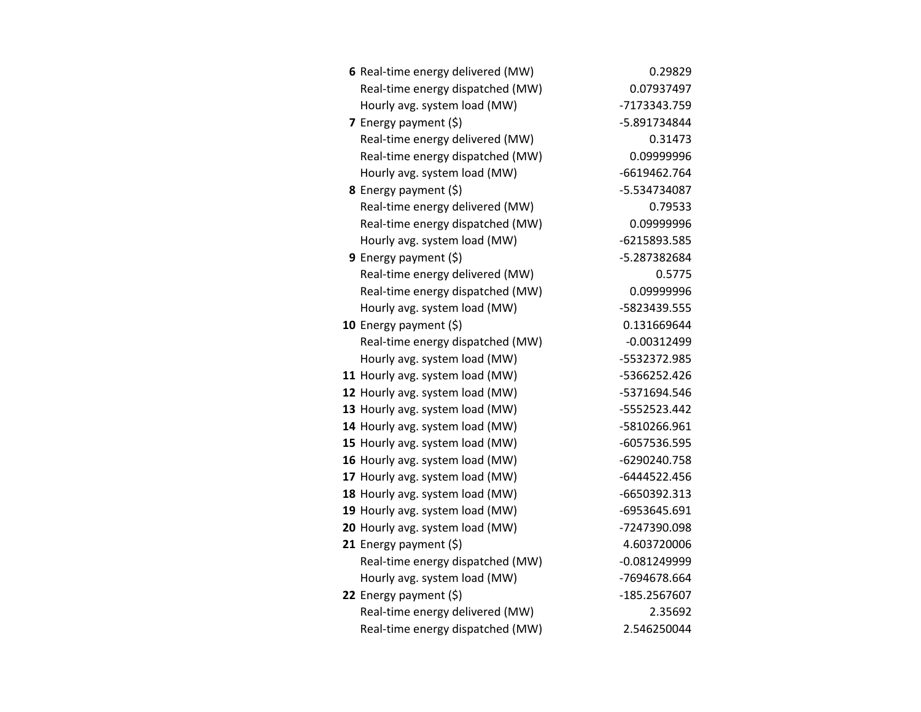| 6 Real-time energy delivered (MW) | 0.29829        |
|-----------------------------------|----------------|
| Real-time energy dispatched (MW)  | 0.07937497     |
| Hourly avg. system load (MW)      | -7173343.759   |
| 7 Energy payment $(5)$            | -5.891734844   |
| Real-time energy delivered (MW)   | 0.31473        |
| Real-time energy dispatched (MW)  | 0.09999996     |
| Hourly avg. system load (MW)      | -6619462.764   |
| <b>8</b> Energy payment $(\xi)$   | -5.534734087   |
| Real-time energy delivered (MW)   | 0.79533        |
| Real-time energy dispatched (MW)  | 0.09999996     |
| Hourly avg. system load (MW)      | -6215893.585   |
| 9 Energy payment $(\xi)$          | -5.287382684   |
| Real-time energy delivered (MW)   | 0.5775         |
| Real-time energy dispatched (MW)  | 0.09999996     |
| Hourly avg. system load (MW)      | -5823439.555   |
| 10 Energy payment $(\xi)$         | 0.131669644    |
| Real-time energy dispatched (MW)  | $-0.00312499$  |
| Hourly avg. system load (MW)      | -5532372.985   |
| 11 Hourly avg. system load (MW)   | -5366252.426   |
| 12 Hourly avg. system load (MW)   | -5371694.546   |
| 13 Hourly avg. system load (MW)   | -5552523.442   |
| 14 Hourly avg. system load (MW)   | -5810266.961   |
| 15 Hourly avg. system load (MW)   | -6057536.595   |
| 16 Hourly avg. system load (MW)   | -6290240.758   |
| 17 Hourly avg. system load (MW)   | -6444522.456   |
| 18 Hourly avg. system load (MW)   | -6650392.313   |
| 19 Hourly avg. system load (MW)   | -6953645.691   |
| 20 Hourly avg. system load (MW)   | -7247390.098   |
| 21 Energy payment $(5)$           | 4.603720006    |
| Real-time energy dispatched (MW)  | $-0.081249999$ |
| Hourly avg. system load (MW)      | -7694678.664   |
| 22 Energy payment (\$)            | -185.2567607   |
| Real-time energy delivered (MW)   | 2.35692        |
| Real-time energy dispatched (MW)  | 2.546250044    |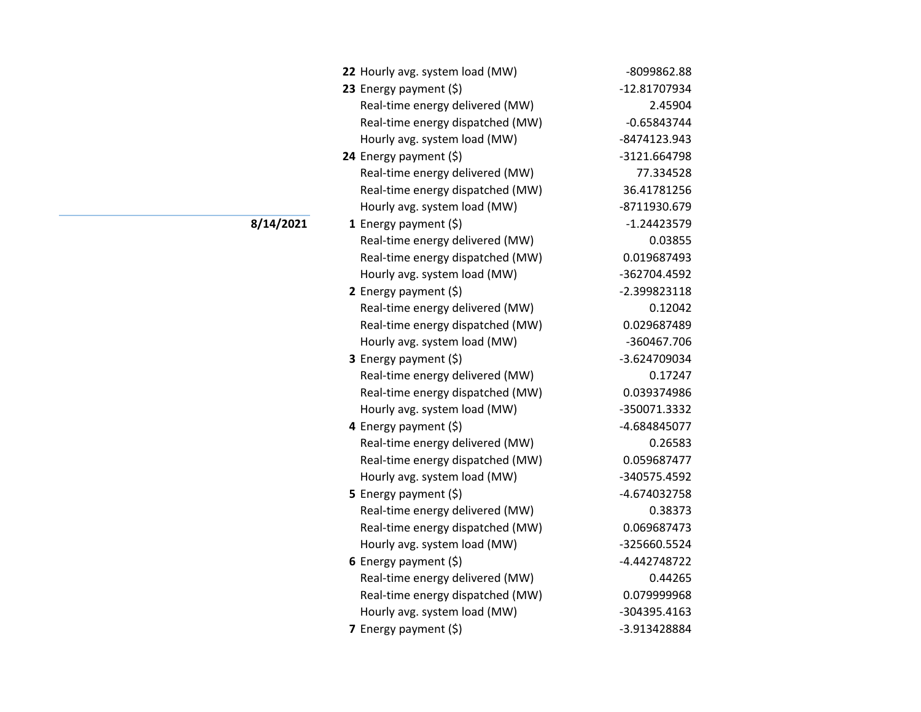| 22 Hourly avg. system load (MW)  | -8099862.88   |
|----------------------------------|---------------|
| 23 Energy payment (\$)           | -12.81707934  |
| Real-time energy delivered (MW)  | 2.45904       |
| Real-time energy dispatched (MW) | $-0.65843744$ |
| Hourly avg. system load (MW)     | -8474123.943  |
| 24 Energy payment $(\xi)$        | -3121.664798  |
| Real-time energy delivered (MW)  | 77.334528     |
| Real-time energy dispatched (MW) | 36.41781256   |
| Hourly avg. system load (MW)     | -8711930.679  |
| <b>1</b> Energy payment $(\xi)$  | $-1.24423579$ |
| Real-time energy delivered (MW)  | 0.03855       |
| Real-time energy dispatched (MW) | 0.019687493   |
| Hourly avg. system load (MW)     | -362704.4592  |
| 2 Energy payment $(\xi)$         | -2.399823118  |
| Real-time energy delivered (MW)  | 0.12042       |
| Real-time energy dispatched (MW) | 0.029687489   |
| Hourly avg. system load (MW)     | -360467.706   |
| 3 Energy payment (\$)            | -3.624709034  |
| Real-time energy delivered (MW)  | 0.17247       |
| Real-time energy dispatched (MW) | 0.039374986   |
| Hourly avg. system load (MW)     | -350071.3332  |
| 4 Energy payment (\$)            | -4.684845077  |
| Real-time energy delivered (MW)  | 0.26583       |
| Real-time energy dispatched (MW) | 0.059687477   |
| Hourly avg. system load (MW)     | -340575.4592  |
| <b>5</b> Energy payment $(\xi)$  | -4.674032758  |
| Real-time energy delivered (MW)  | 0.38373       |
| Real-time energy dispatched (MW) | 0.069687473   |
| Hourly avg. system load (MW)     | -325660.5524  |
| 6 Energy payment $(\xi)$         | -4.442748722  |
| Real-time energy delivered (MW)  | 0.44265       |
| Real-time energy dispatched (MW) | 0.079999968   |
| Hourly avg. system load (MW)     | -304395.4163  |
| 7 Energy payment (\$)            | -3.913428884  |

**8/14/2021**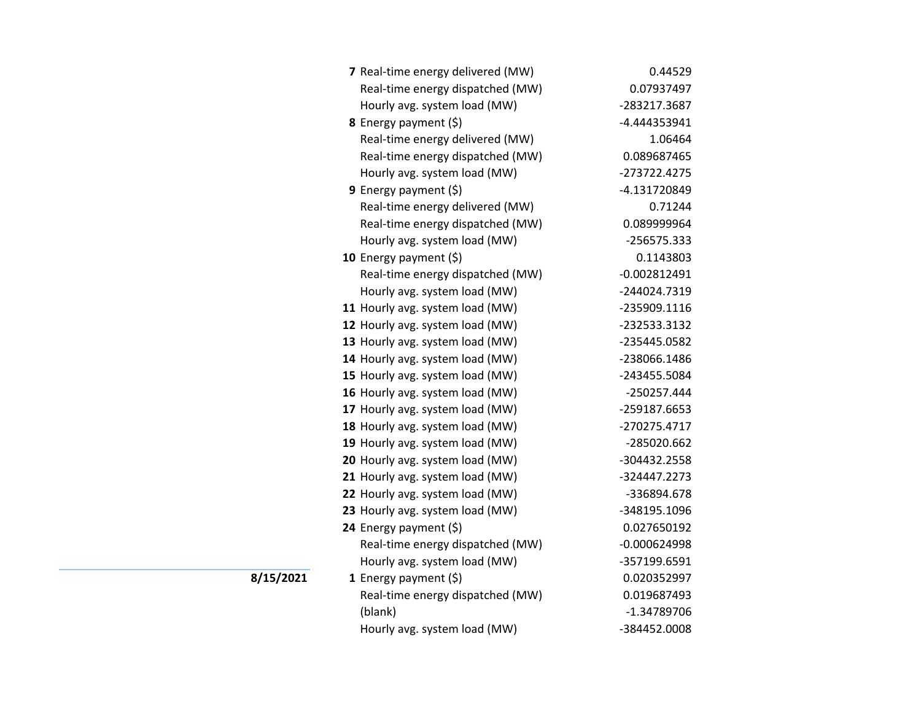| 7 Real-time energy delivered (MW) | 0.44529        |
|-----------------------------------|----------------|
| Real-time energy dispatched (MW)  | 0.07937497     |
| Hourly avg. system load (MW)      | -283217.3687   |
| <b>8</b> Energy payment $(\xi)$   | -4.444353941   |
| Real-time energy delivered (MW)   | 1.06464        |
| Real-time energy dispatched (MW)  | 0.089687465    |
| Hourly avg. system load (MW)      | -273722.4275   |
| <b>9</b> Energy payment $(\xi)$   | -4.131720849   |
| Real-time energy delivered (MW)   | 0.71244        |
| Real-time energy dispatched (MW)  | 0.089999964    |
| Hourly avg. system load (MW)      | -256575.333    |
| 10 Energy payment (\$)            | 0.1143803      |
| Real-time energy dispatched (MW)  | $-0.002812491$ |
| Hourly avg. system load (MW)      | -244024.7319   |
| 11 Hourly avg. system load (MW)   | -235909.1116   |
| 12 Hourly avg. system load (MW)   | -232533.3132   |
| 13 Hourly avg. system load (MW)   | -235445.0582   |
| 14 Hourly avg. system load (MW)   | -238066.1486   |
| 15 Hourly avg. system load (MW)   | -243455.5084   |
| 16 Hourly avg. system load (MW)   | -250257.444    |
| 17 Hourly avg. system load (MW)   | -259187.6653   |
| 18 Hourly avg. system load (MW)   | -270275.4717   |
| 19 Hourly avg. system load (MW)   | -285020.662    |
| 20 Hourly avg. system load (MW)   | -304432.2558   |
| 21 Hourly avg. system load (MW)   | -324447.2273   |
| 22 Hourly avg. system load (MW)   | -336894.678    |
| 23 Hourly avg. system load (MW)   | -348195.1096   |
| 24 Energy payment (\$)            | 0.027650192    |
| Real-time energy dispatched (MW)  | $-0.000624998$ |
| Hourly avg. system load (MW)      | -357199.6591   |
| 1 Energy payment $(\xi)$          | 0.020352997    |
| Real-time energy dispatched (MW)  | 0.019687493    |
| (blank)                           | -1.34789706    |
| Hourly avg. system load (MW)      | -384452.0008   |

**8/15/2021**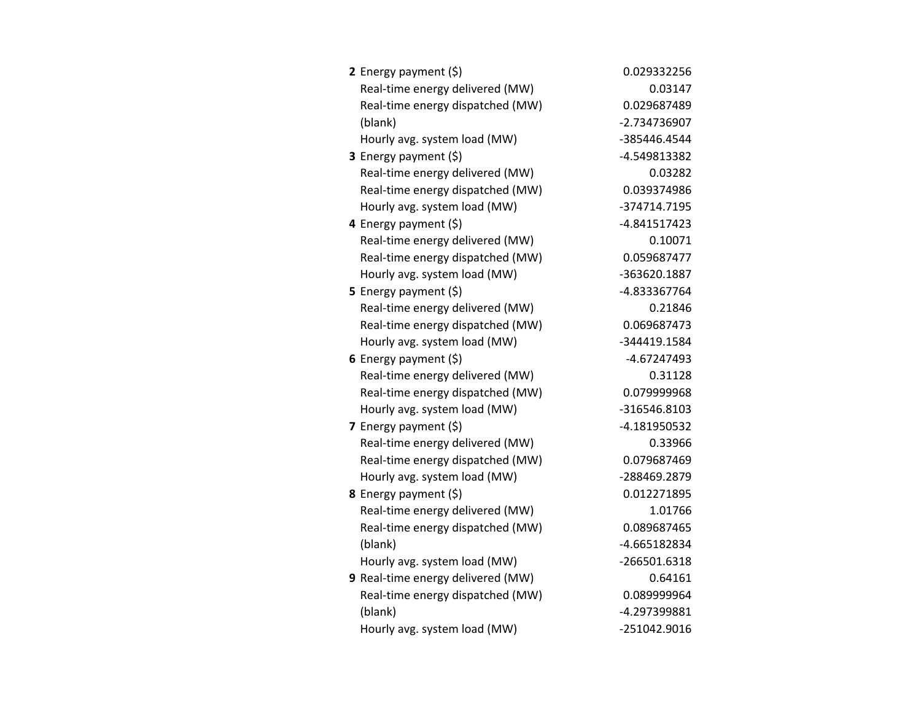| 2 Energy payment $(\xi)$          | 0.029332256  |
|-----------------------------------|--------------|
| Real-time energy delivered (MW)   | 0.03147      |
| Real-time energy dispatched (MW)  | 0.029687489  |
| (blank)                           | -2.734736907 |
| Hourly avg. system load (MW)      | -385446.4544 |
| 3 Energy payment (\$)             | -4.549813382 |
| Real-time energy delivered (MW)   | 0.03282      |
| Real-time energy dispatched (MW)  | 0.039374986  |
| Hourly avg. system load (MW)      | -374714.7195 |
| 4 Energy payment (\$)             | -4.841517423 |
| Real-time energy delivered (MW)   | 0.10071      |
| Real-time energy dispatched (MW)  | 0.059687477  |
| Hourly avg. system load (MW)      | -363620.1887 |
| <b>5</b> Energy payment $(\xi)$   | -4.833367764 |
| Real-time energy delivered (MW)   | 0.21846      |
| Real-time energy dispatched (MW)  | 0.069687473  |
| Hourly avg. system load (MW)      | -344419.1584 |
| 6 Energy payment $(5)$            | -4.67247493  |
| Real-time energy delivered (MW)   | 0.31128      |
| Real-time energy dispatched (MW)  | 0.079999968  |
| Hourly avg. system load (MW)      | -316546.8103 |
| 7 Energy payment $(5)$            | -4.181950532 |
| Real-time energy delivered (MW)   | 0.33966      |
| Real-time energy dispatched (MW)  | 0.079687469  |
| Hourly avg. system load (MW)      | -288469.2879 |
| 8 Energy payment (\$)             | 0.012271895  |
| Real-time energy delivered (MW)   | 1.01766      |
| Real-time energy dispatched (MW)  | 0.089687465  |
| (blank)                           | -4.665182834 |
| Hourly avg. system load (MW)      | -266501.6318 |
| 9 Real-time energy delivered (MW) | 0.64161      |
| Real-time energy dispatched (MW)  | 0.089999964  |
| (blank)                           | -4.297399881 |
| Hourly avg. system load (MW)      | -251042.9016 |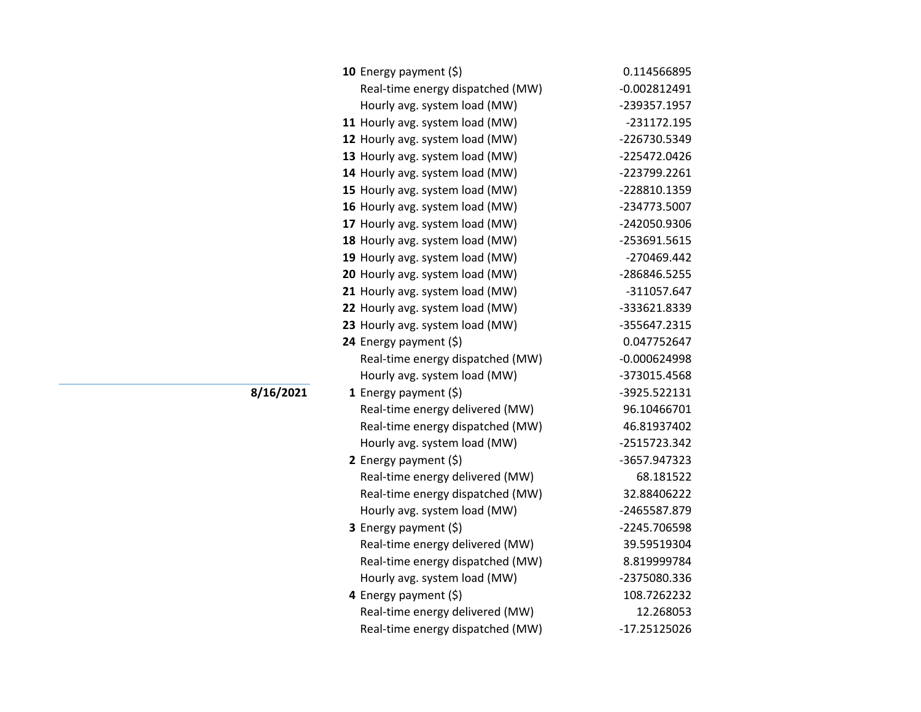| 10 Energy payment $(\xi)$        | 0.114566895    |
|----------------------------------|----------------|
| Real-time energy dispatched (MW) | $-0.002812491$ |
| Hourly avg. system load (MW)     | -239357.1957   |
| 11 Hourly avg. system load (MW)  | -231172.195    |
| 12 Hourly avg. system load (MW)  | -226730.5349   |
| 13 Hourly avg. system load (MW)  | -225472.0426   |
| 14 Hourly avg. system load (MW)  | -223799.2261   |
| 15 Hourly avg. system load (MW)  | -228810.1359   |
| 16 Hourly avg. system load (MW)  | -234773.5007   |
| 17 Hourly avg. system load (MW)  | -242050.9306   |
| 18 Hourly avg. system load (MW)  | -253691.5615   |
| 19 Hourly avg. system load (MW)  | -270469.442    |
| 20 Hourly avg. system load (MW)  | -286846.5255   |
| 21 Hourly avg. system load (MW)  | -311057.647    |
| 22 Hourly avg. system load (MW)  | -333621.8339   |
| 23 Hourly avg. system load (MW)  | -355647.2315   |
| 24 Energy payment (\$)           | 0.047752647    |
| Real-time energy dispatched (MW) | $-0.000624998$ |
| Hourly avg. system load (MW)     | -373015.4568   |
| 1 Energy payment $(\xi)$         | -3925.522131   |
| Real-time energy delivered (MW)  | 96.10466701    |
| Real-time energy dispatched (MW) | 46.81937402    |
| Hourly avg. system load (MW)     | -2515723.342   |
| 2 Energy payment $(5)$           | -3657.947323   |
| Real-time energy delivered (MW)  | 68.181522      |
| Real-time energy dispatched (MW) | 32.88406222    |
| Hourly avg. system load (MW)     | -2465587.879   |
| 3 Energy payment (\$)            | -2245.706598   |
| Real-time energy delivered (MW)  | 39.59519304    |
| Real-time energy dispatched (MW) | 8.819999784    |
| Hourly avg. system load (MW)     | -2375080.336   |
| 4 Energy payment $(\xi)$         | 108.7262232    |
| Real-time energy delivered (MW)  | 12.268053      |
| Real-time energy dispatched (MW) | -17.25125026   |

**8/16/2021**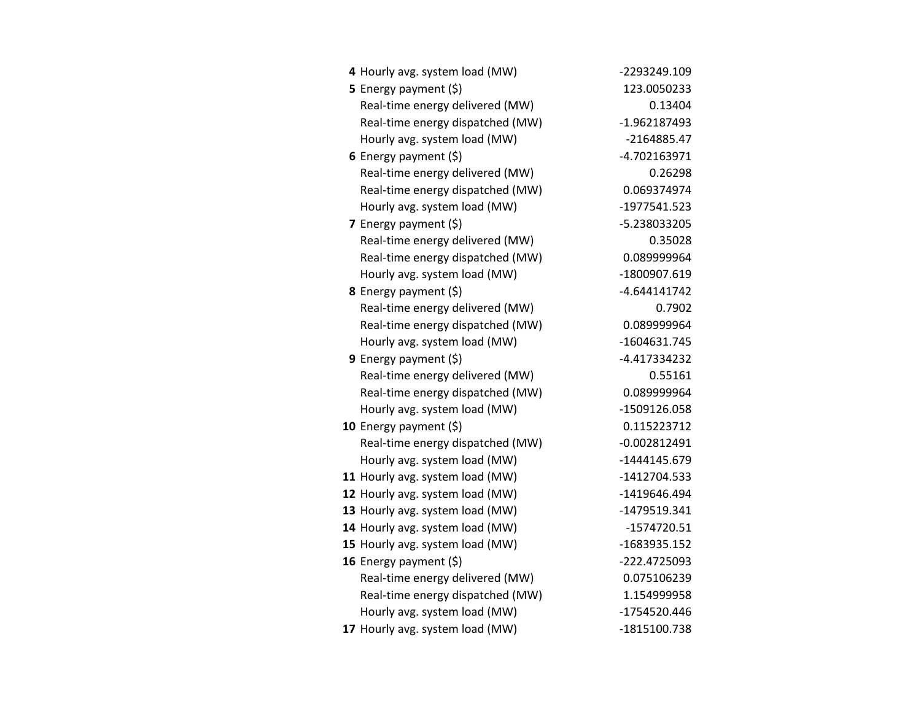| 4 Hourly avg. system load (MW)   | -2293249.109   |
|----------------------------------|----------------|
| 5 Energy payment (\$)            | 123.0050233    |
| Real-time energy delivered (MW)  | 0.13404        |
| Real-time energy dispatched (MW) | -1.962187493   |
| Hourly avg. system load (MW)     | -2164885.47    |
| 6 Energy payment $(5)$           | -4.702163971   |
| Real-time energy delivered (MW)  | 0.26298        |
| Real-time energy dispatched (MW) | 0.069374974    |
| Hourly avg. system load (MW)     | -1977541.523   |
| 7 Energy payment $(5)$           | -5.238033205   |
| Real-time energy delivered (MW)  | 0.35028        |
| Real-time energy dispatched (MW) | 0.089999964    |
| Hourly avg. system load (MW)     | -1800907.619   |
| <b>8</b> Energy payment $(5)$    | $-4.644141742$ |
| Real-time energy delivered (MW)  | 0.7902         |
| Real-time energy dispatched (MW) | 0.089999964    |
| Hourly avg. system load (MW)     | -1604631.745   |
| <b>9</b> Energy payment $(\xi)$  | -4.417334232   |
| Real-time energy delivered (MW)  | 0.55161        |
| Real-time energy dispatched (MW) | 0.089999964    |
| Hourly avg. system load (MW)     | -1509126.058   |
| 10 Energy payment (\$)           | 0.115223712    |
| Real-time energy dispatched (MW) | $-0.002812491$ |
| Hourly avg. system load (MW)     | -1444145.679   |
| 11 Hourly avg. system load (MW)  | -1412704.533   |
| 12 Hourly avg. system load (MW)  | -1419646.494   |
| 13 Hourly avg. system load (MW)  | -1479519.341   |
| 14 Hourly avg. system load (MW)  | $-1574720.51$  |
| 15 Hourly avg. system load (MW)  | -1683935.152   |
| 16 Energy payment $(\xi)$        | -222.4725093   |
| Real-time energy delivered (MW)  | 0.075106239    |
| Real-time energy dispatched (MW) | 1.154999958    |
| Hourly avg. system load (MW)     | -1754520.446   |
| 17 Hourly avg. system load (MW)  | -1815100.738   |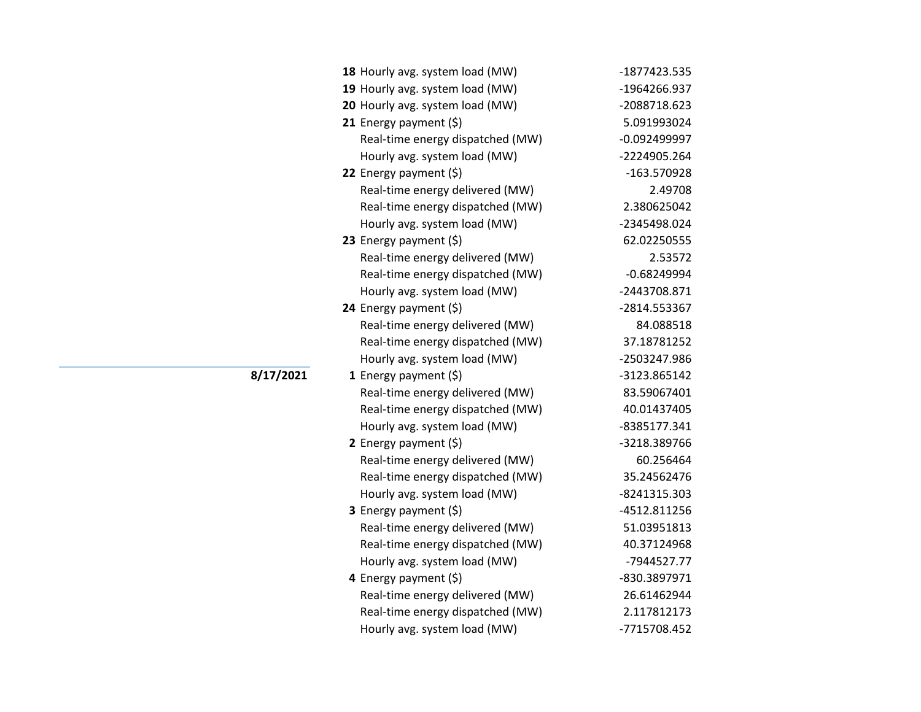| 18 Hourly avg. system load (MW)  | -1877423.535   |
|----------------------------------|----------------|
| 19 Hourly avg. system load (MW)  | -1964266.937   |
| 20 Hourly avg. system load (MW)  | -2088718.623   |
| 21 Energy payment $(\xi)$        | 5.091993024    |
| Real-time energy dispatched (MW) | $-0.092499997$ |
| Hourly avg. system load (MW)     | -2224905.264   |
| 22 Energy payment (\$)           | -163.570928    |
| Real-time energy delivered (MW)  | 2.49708        |
| Real-time energy dispatched (MW) | 2.380625042    |
| Hourly avg. system load (MW)     | -2345498.024   |
| 23 Energy payment $(\xi)$        | 62.02250555    |
| Real-time energy delivered (MW)  | 2.53572        |
| Real-time energy dispatched (MW) | $-0.68249994$  |
| Hourly avg. system load (MW)     | -2443708.871   |
| 24 Energy payment (\$)           | -2814.553367   |
| Real-time energy delivered (MW)  | 84.088518      |
| Real-time energy dispatched (MW) | 37.18781252    |
| Hourly avg. system load (MW)     | -2503247.986   |
| 1 Energy payment $(\xi)$         | -3123.865142   |
| Real-time energy delivered (MW)  | 83.59067401    |
| Real-time energy dispatched (MW) | 40.01437405    |
| Hourly avg. system load (MW)     | -8385177.341   |
| 2 Energy payment $(\xi)$         | -3218.389766   |
| Real-time energy delivered (MW)  | 60.256464      |
| Real-time energy dispatched (MW) | 35.24562476    |
| Hourly avg. system load (MW)     | -8241315.303   |
| <b>3</b> Energy payment $(\xi)$  | -4512.811256   |
| Real-time energy delivered (MW)  | 51.03951813    |
| Real-time energy dispatched (MW) | 40.37124968    |
| Hourly avg. system load (MW)     | -7944527.77    |
| 4 Energy payment $(\xi)$         | -830.3897971   |
| Real-time energy delivered (MW)  | 26.61462944    |
| Real-time energy dispatched (MW) | 2.117812173    |
| Hourly avg. system load (MW)     | -7715708.452   |

**8/17/2021**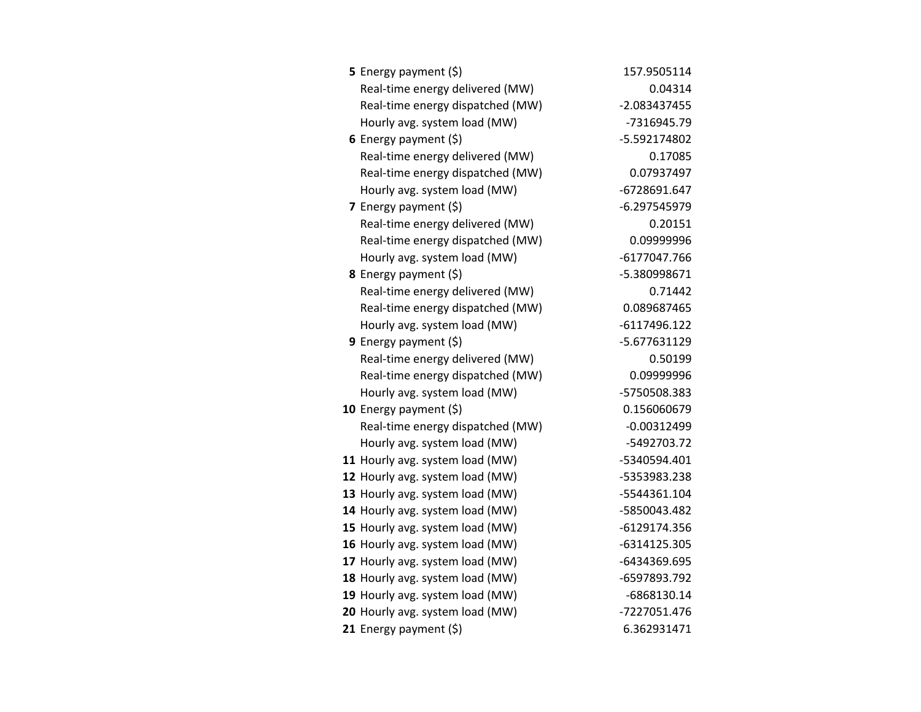| <b>5</b> Energy payment $(\xi)$  | 157.9505114    |
|----------------------------------|----------------|
| Real-time energy delivered (MW)  | 0.04314        |
| Real-time energy dispatched (MW) | $-2.083437455$ |
| Hourly avg. system load (MW)     | -7316945.79    |
| 6 Energy payment $(\xi)$         | -5.592174802   |
| Real-time energy delivered (MW)  | 0.17085        |
| Real-time energy dispatched (MW) | 0.07937497     |
| Hourly avg. system load (MW)     | -6728691.647   |
| 7 Energy payment $(5)$           | $-6.297545979$ |
| Real-time energy delivered (MW)  | 0.20151        |
| Real-time energy dispatched (MW) | 0.09999996     |
| Hourly avg. system load (MW)     | -6177047.766   |
| <b>8</b> Energy payment $(\xi)$  | -5.380998671   |
| Real-time energy delivered (MW)  | 0.71442        |
| Real-time energy dispatched (MW) | 0.089687465    |
| Hourly avg. system load (MW)     | $-6117496.122$ |
| 9 Energy payment $(\xi)$         | -5.677631129   |
| Real-time energy delivered (MW)  | 0.50199        |
| Real-time energy dispatched (MW) | 0.09999996     |
| Hourly avg. system load (MW)     | -5750508.383   |
| 10 Energy payment (\$)           | 0.156060679    |
| Real-time energy dispatched (MW) | $-0.00312499$  |
| Hourly avg. system load (MW)     | -5492703.72    |
| 11 Hourly avg. system load (MW)  | -5340594.401   |
| 12 Hourly avg. system load (MW)  | -5353983.238   |
| 13 Hourly avg. system load (MW)  | -5544361.104   |
| 14 Hourly avg. system load (MW)  | -5850043.482   |
| 15 Hourly avg. system load (MW)  | -6129174.356   |
| 16 Hourly avg. system load (MW)  | -6314125.305   |
| 17 Hourly avg. system load (MW)  | -6434369.695   |
| 18 Hourly avg. system load (MW)  | -6597893.792   |
| 19 Hourly avg. system load (MW)  | -6868130.14    |
| 20 Hourly avg. system load (MW)  | -7227051.476   |
| 21 Energy payment (\$)           | 6.362931471    |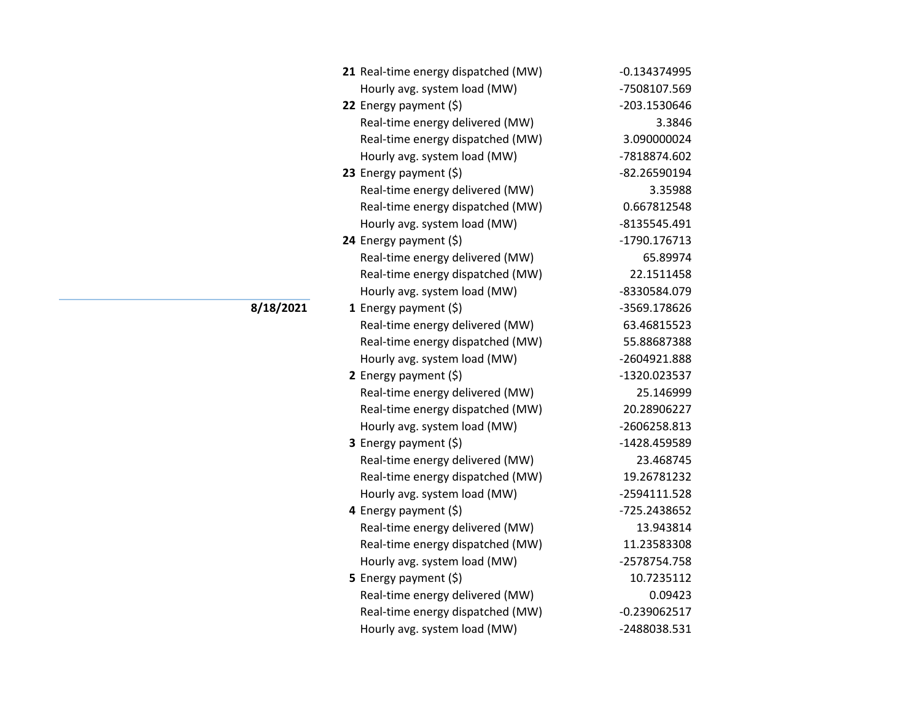| 21 Real-time energy dispatched (MW) | $-0.134374995$ |
|-------------------------------------|----------------|
| Hourly avg. system load (MW)        | -7508107.569   |
| 22 Energy payment (\$)              | -203.1530646   |
| Real-time energy delivered (MW)     | 3.3846         |
| Real-time energy dispatched (MW)    | 3.090000024    |
| Hourly avg. system load (MW)        | -7818874.602   |
| 23 Energy payment $(\xi)$           | -82.26590194   |
| Real-time energy delivered (MW)     | 3.35988        |
| Real-time energy dispatched (MW)    | 0.667812548    |
| Hourly avg. system load (MW)        | -8135545.491   |
| 24 Energy payment (\$)              | -1790.176713   |
| Real-time energy delivered (MW)     | 65.89974       |
| Real-time energy dispatched (MW)    | 22.1511458     |
| Hourly avg. system load (MW)        | -8330584.079   |
| <b>1</b> Energy payment $(\xi)$     | -3569.178626   |
| Real-time energy delivered (MW)     | 63.46815523    |
| Real-time energy dispatched (MW)    | 55.88687388    |
| Hourly avg. system load (MW)        | -2604921.888   |
| 2 Energy payment (\$)               | -1320.023537   |
| Real-time energy delivered (MW)     | 25.146999      |
| Real-time energy dispatched (MW)    | 20.28906227    |
| Hourly avg. system load (MW)        | -2606258.813   |
| 3 Energy payment (\$)               | -1428.459589   |
| Real-time energy delivered (MW)     | 23.468745      |
| Real-time energy dispatched (MW)    | 19.26781232    |
| Hourly avg. system load (MW)        | -2594111.528   |
| 4 Energy payment (\$)               | -725.2438652   |
| Real-time energy delivered (MW)     | 13.943814      |
| Real-time energy dispatched (MW)    | 11.23583308    |
| Hourly avg. system load (MW)        | -2578754.758   |
| <b>5</b> Energy payment $(\xi)$     | 10.7235112     |
| Real-time energy delivered (MW)     | 0.09423        |
| Real-time energy dispatched (MW)    | $-0.239062517$ |
| Hourly avg. system load (MW)        | -2488038.531   |

**8/18/2021**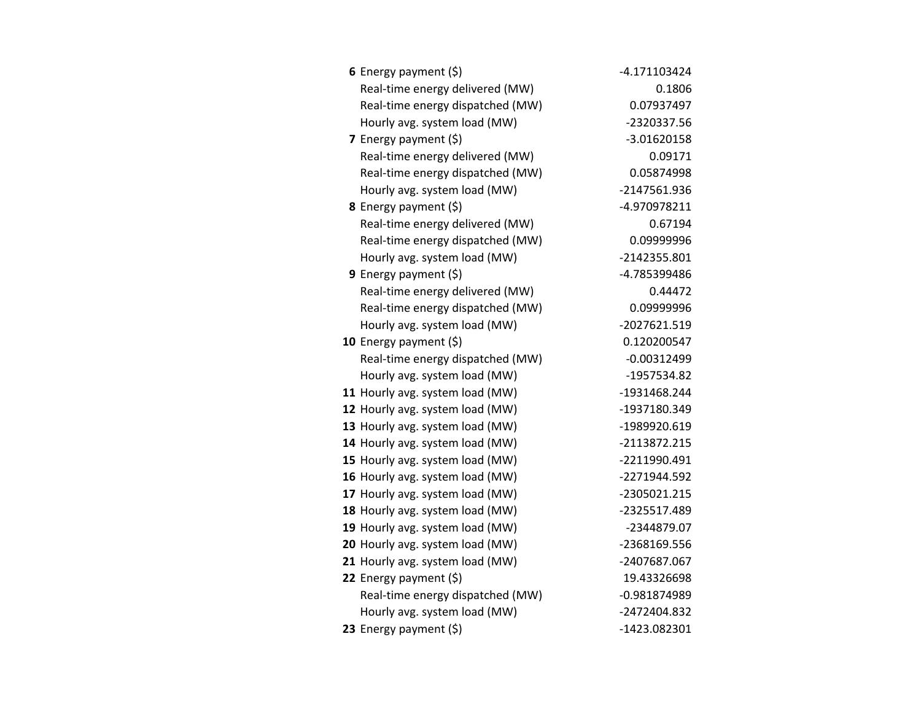| 6 Energy payment $(\xi)$         | -4.171103424   |
|----------------------------------|----------------|
| Real-time energy delivered (MW)  | 0.1806         |
| Real-time energy dispatched (MW) | 0.07937497     |
| Hourly avg. system load (MW)     | -2320337.56    |
| 7 Energy payment $(\xi)$         | -3.01620158    |
| Real-time energy delivered (MW)  | 0.09171        |
| Real-time energy dispatched (MW) | 0.05874998     |
| Hourly avg. system load (MW)     | -2147561.936   |
| <b>8</b> Energy payment $(\xi)$  | -4.970978211   |
| Real-time energy delivered (MW)  | 0.67194        |
| Real-time energy dispatched (MW) | 0.09999996     |
| Hourly avg. system load (MW)     | -2142355.801   |
| 9 Energy payment (\$)            | -4.785399486   |
| Real-time energy delivered (MW)  | 0.44472        |
| Real-time energy dispatched (MW) | 0.09999996     |
| Hourly avg. system load (MW)     | -2027621.519   |
| 10 Energy payment (\$)           | 0.120200547    |
| Real-time energy dispatched (MW) | $-0.00312499$  |
| Hourly avg. system load (MW)     | -1957534.82    |
| 11 Hourly avg. system load (MW)  | -1931468.244   |
| 12 Hourly avg. system load (MW)  | -1937180.349   |
| 13 Hourly avg. system load (MW)  | -1989920.619   |
| 14 Hourly avg. system load (MW)  | -2113872.215   |
| 15 Hourly avg. system load (MW)  | -2211990.491   |
| 16 Hourly avg. system load (MW)  | -2271944.592   |
| 17 Hourly avg. system load (MW)  | -2305021.215   |
| 18 Hourly avg. system load (MW)  | -2325517.489   |
| 19 Hourly avg. system load (MW)  | -2344879.07    |
| 20 Hourly avg. system load (MW)  | -2368169.556   |
| 21 Hourly avg. system load (MW)  | -2407687.067   |
| 22 Energy payment (\$)           | 19.43326698    |
| Real-time energy dispatched (MW) | $-0.981874989$ |
| Hourly avg. system load (MW)     | -2472404.832   |
| 23 Energy payment (\$)           | -1423.082301   |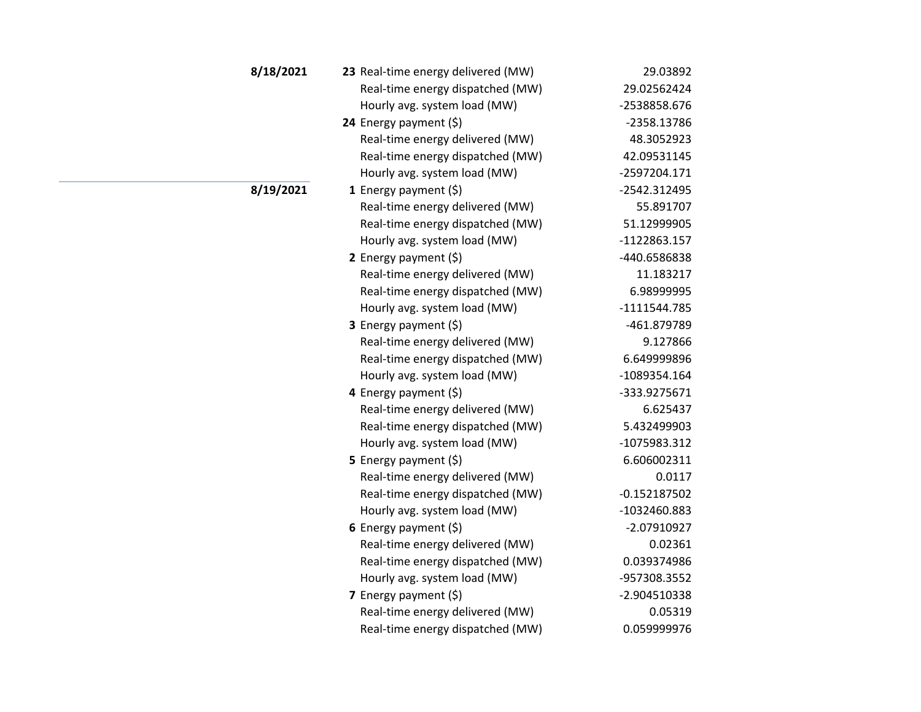| 8/18/2021 | 23 Real-time energy delivered (MW) | 29.03892       |
|-----------|------------------------------------|----------------|
|           | Real-time energy dispatched (MW)   | 29.02562424    |
|           | Hourly avg. system load (MW)       | -2538858.676   |
|           | 24 Energy payment $(\xi)$          | -2358.13786    |
|           | Real-time energy delivered (MW)    | 48.3052923     |
|           | Real-time energy dispatched (MW)   | 42.09531145    |
|           | Hourly avg. system load (MW)       | -2597204.171   |
| 8/19/2021 | 1 Energy payment $(\xi)$           | -2542.312495   |
|           | Real-time energy delivered (MW)    | 55.891707      |
|           | Real-time energy dispatched (MW)   | 51.12999905    |
|           | Hourly avg. system load (MW)       | -1122863.157   |
|           | 2 Energy payment $(5)$             | -440.6586838   |
|           | Real-time energy delivered (MW)    | 11.183217      |
|           | Real-time energy dispatched (MW)   | 6.98999995     |
|           | Hourly avg. system load (MW)       | -1111544.785   |
|           | 3 Energy payment (\$)              | -461.879789    |
|           | Real-time energy delivered (MW)    | 9.127866       |
|           | Real-time energy dispatched (MW)   | 6.649999896    |
|           | Hourly avg. system load (MW)       | -1089354.164   |
|           | 4 Energy payment (\$)              | -333.9275671   |
|           | Real-time energy delivered (MW)    | 6.625437       |
|           | Real-time energy dispatched (MW)   | 5.432499903    |
|           | Hourly avg. system load (MW)       | -1075983.312   |
|           | 5 Energy payment $(5)$             | 6.606002311    |
|           | Real-time energy delivered (MW)    | 0.0117         |
|           | Real-time energy dispatched (MW)   | $-0.152187502$ |
|           | Hourly avg. system load (MW)       | -1032460.883   |
|           | 6 Energy payment $(5)$             | -2.07910927    |
|           | Real-time energy delivered (MW)    | 0.02361        |
|           | Real-time energy dispatched (MW)   | 0.039374986    |
|           | Hourly avg. system load (MW)       | -957308.3552   |
|           | 7 Energy payment (\$)              | -2.904510338   |
|           | Real-time energy delivered (MW)    | 0.05319        |
|           | Real-time energy dispatched (MW)   | 0.059999976    |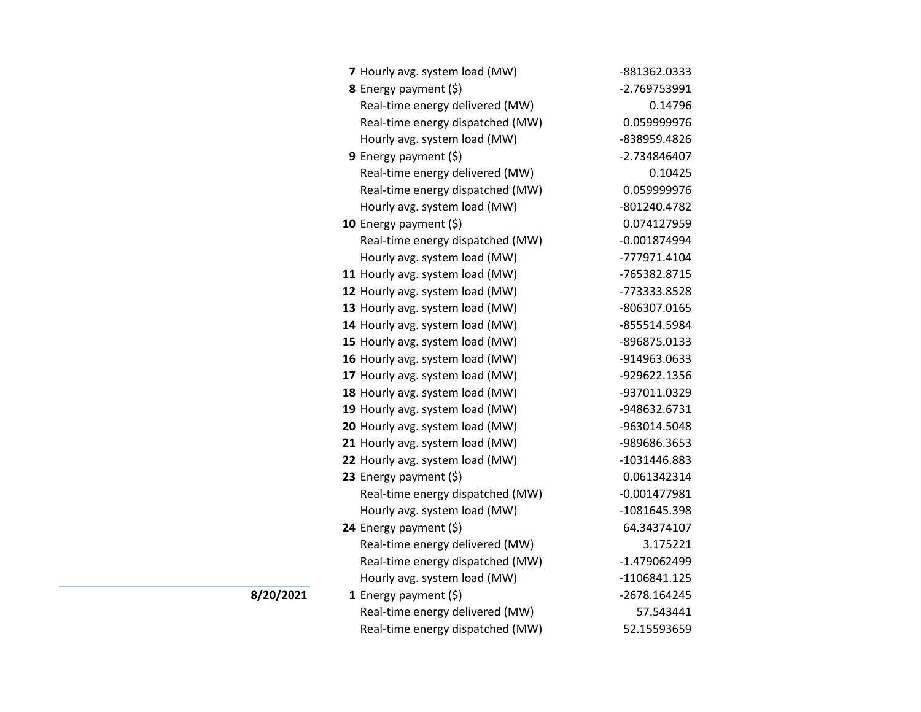| 7 Hourly avg. system load (MW)   | -881362.0333   |
|----------------------------------|----------------|
| 8 Energy payment (\$)            | -2.769753991   |
| Real-time energy delivered (MW)  | 0.14796        |
| Real-time energy dispatched (MW) | 0.059999976    |
| Hourly avg. system load (MW)     | -838959.4826   |
| 9 Energy payment $(\xi)$         | -2.734846407   |
| Real-time energy delivered (MW)  | 0.10425        |
| Real-time energy dispatched (MW) | 0.059999976    |
| Hourly avg. system load (MW)     | -801240.4782   |
| 10 Energy payment $(\xi)$        | 0.074127959    |
| Real-time energy dispatched (MW) | $-0.001874994$ |
| Hourly avg. system load (MW)     | -777971.4104   |
| 11 Hourly avg. system load (MW)  | -765382.8715   |
| 12 Hourly avg. system load (MW)  | -773333.8528   |
| 13 Hourly avg. system load (MW)  | -806307.0165   |
| 14 Hourly avg. system load (MW)  | -855514.5984   |
| 15 Hourly avg. system load (MW)  | -896875.0133   |
| 16 Hourly avg. system load (MW)  | -914963.0633   |
| 17 Hourly avg. system load (MW)  | -929622.1356   |
| 18 Hourly avg. system load (MW)  | -937011.0329   |
| 19 Hourly avg. system load (MW)  | -948632.6731   |
| 20 Hourly avg. system load (MW)  | -963014.5048   |
| 21 Hourly avg. system load (MW)  | -989686.3653   |
| 22 Hourly avg. system load (MW)  | -1031446.883   |
| 23 Energy payment (\$)           | 0.061342314    |
| Real-time energy dispatched (MW) | $-0.001477981$ |
| Hourly avg. system load (MW)     | -1081645.398   |
| 24 Energy payment (\$)           | 64.34374107    |
| Real-time energy delivered (MW)  | 3.175221       |
| Real-time energy dispatched (MW) | -1.479062499   |
| Hourly avg. system load (MW)     | -1106841.125   |
| 1 Energy payment $(\xi)$         | -2678.164245   |
| Real-time energy delivered (MW)  | 57.543441      |
| Real-time energy dispatched (MW) | 52.15593659    |

**8/20/2021**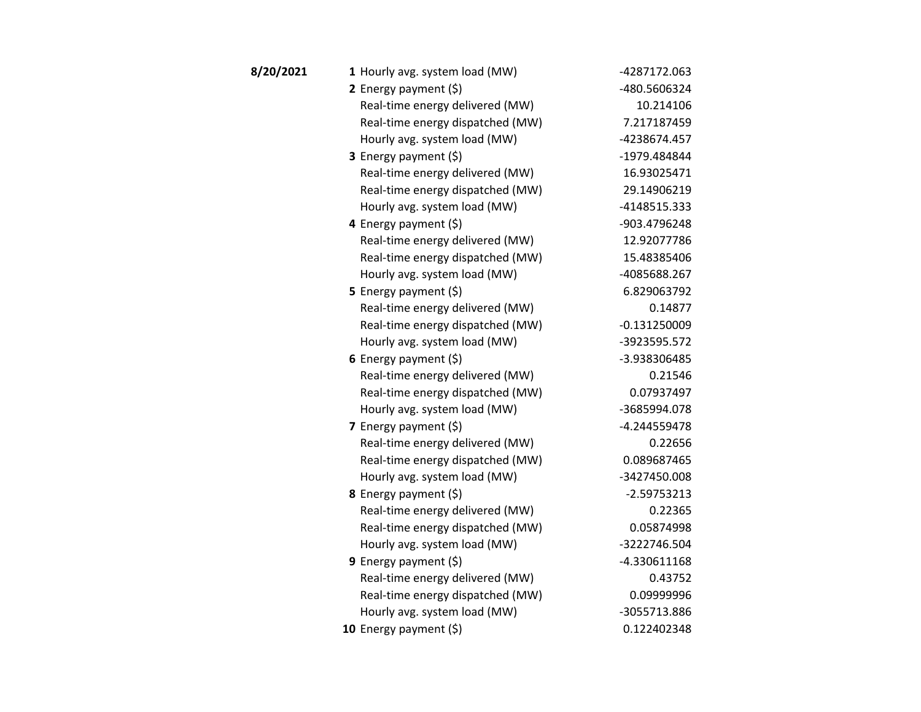| 8/20/2021 | 1 Hourly avg. system load (MW)   | -4287172.063   |
|-----------|----------------------------------|----------------|
|           | 2 Energy payment (\$)            | -480.5606324   |
|           | Real-time energy delivered (MW)  | 10.214106      |
|           | Real-time energy dispatched (MW) | 7.217187459    |
|           | Hourly avg. system load (MW)     | -4238674.457   |
|           | <b>3</b> Energy payment $(\xi)$  | -1979.484844   |
|           | Real-time energy delivered (MW)  | 16.93025471    |
|           | Real-time energy dispatched (MW) | 29.14906219    |
|           | Hourly avg. system load (MW)     | -4148515.333   |
|           | 4 Energy payment $(\xi)$         | -903.4796248   |
|           | Real-time energy delivered (MW)  | 12.92077786    |
|           | Real-time energy dispatched (MW) | 15.48385406    |
|           | Hourly avg. system load (MW)     | -4085688.267   |
|           | 5 Energy payment $(5)$           | 6.829063792    |
|           | Real-time energy delivered (MW)  | 0.14877        |
|           | Real-time energy dispatched (MW) | $-0.131250009$ |
|           | Hourly avg. system load (MW)     | -3923595.572   |
|           | 6 Energy payment $(\xi)$         | -3.938306485   |
|           | Real-time energy delivered (MW)  | 0.21546        |
|           | Real-time energy dispatched (MW) | 0.07937497     |
|           | Hourly avg. system load (MW)     | -3685994.078   |
|           | 7 Energy payment (\$)            | -4.244559478   |
|           | Real-time energy delivered (MW)  | 0.22656        |
|           | Real-time energy dispatched (MW) | 0.089687465    |
|           | Hourly avg. system load (MW)     | -3427450.008   |
|           | 8 Energy payment (\$)            | $-2.59753213$  |
|           | Real-time energy delivered (MW)  | 0.22365        |
|           | Real-time energy dispatched (MW) | 0.05874998     |
|           | Hourly avg. system load (MW)     | -3222746.504   |
|           | <b>9</b> Energy payment $(\xi)$  | -4.330611168   |
|           | Real-time energy delivered (MW)  | 0.43752        |
|           | Real-time energy dispatched (MW) | 0.09999996     |
|           | Hourly avg. system load (MW)     | -3055713.886   |
|           | 10 Energy payment (\$)           | 0.122402348    |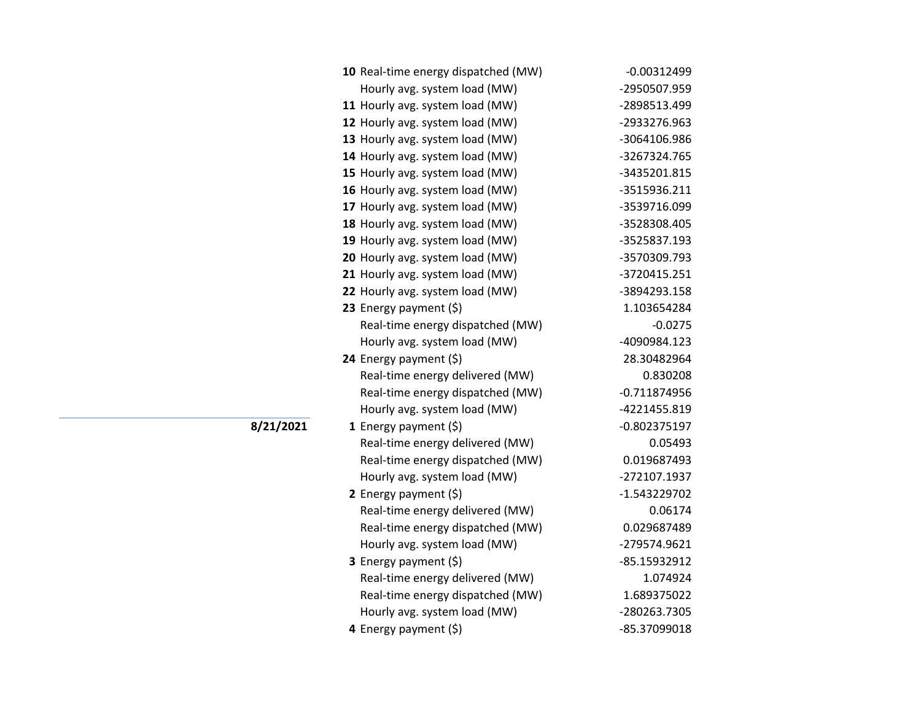| 10 Real-time energy dispatched (MW) | $-0.00312499$  |
|-------------------------------------|----------------|
| Hourly avg. system load (MW)        | -2950507.959   |
| 11 Hourly avg. system load (MW)     | -2898513.499   |
| 12 Hourly avg. system load (MW)     | -2933276.963   |
| 13 Hourly avg. system load (MW)     | -3064106.986   |
| 14 Hourly avg. system load (MW)     | -3267324.765   |
| 15 Hourly avg. system load (MW)     | -3435201.815   |
| 16 Hourly avg. system load (MW)     | -3515936.211   |
| 17 Hourly avg. system load (MW)     | -3539716.099   |
| 18 Hourly avg. system load (MW)     | -3528308.405   |
| 19 Hourly avg. system load (MW)     | -3525837.193   |
| 20 Hourly avg. system load (MW)     | -3570309.793   |
| 21 Hourly avg. system load (MW)     | -3720415.251   |
| 22 Hourly avg. system load (MW)     | -3894293.158   |
| 23 Energy payment $(\xi)$           | 1.103654284    |
| Real-time energy dispatched (MW)    | $-0.0275$      |
| Hourly avg. system load (MW)        | -4090984.123   |
| 24 Energy payment (\$)              | 28.30482964    |
| Real-time energy delivered (MW)     | 0.830208       |
| Real-time energy dispatched (MW)    | $-0.711874956$ |
| Hourly avg. system load (MW)        | -4221455.819   |
| 1 Energy payment $(\xi)$            | $-0.802375197$ |
| Real-time energy delivered (MW)     | 0.05493        |
| Real-time energy dispatched (MW)    | 0.019687493    |
| Hourly avg. system load (MW)        | -272107.1937   |
| 2 Energy payment $(\xi)$            | -1.543229702   |
| Real-time energy delivered (MW)     | 0.06174        |
| Real-time energy dispatched (MW)    | 0.029687489    |
| Hourly avg. system load (MW)        | -279574.9621   |
| 3 Energy payment (\$)               | -85.15932912   |
| Real-time energy delivered (MW)     | 1.074924       |
| Real-time energy dispatched (MW)    | 1.689375022    |
| Hourly avg. system load (MW)        | -280263.7305   |
| 4 Energy payment (\$)               | -85.37099018   |

**8/21/2021**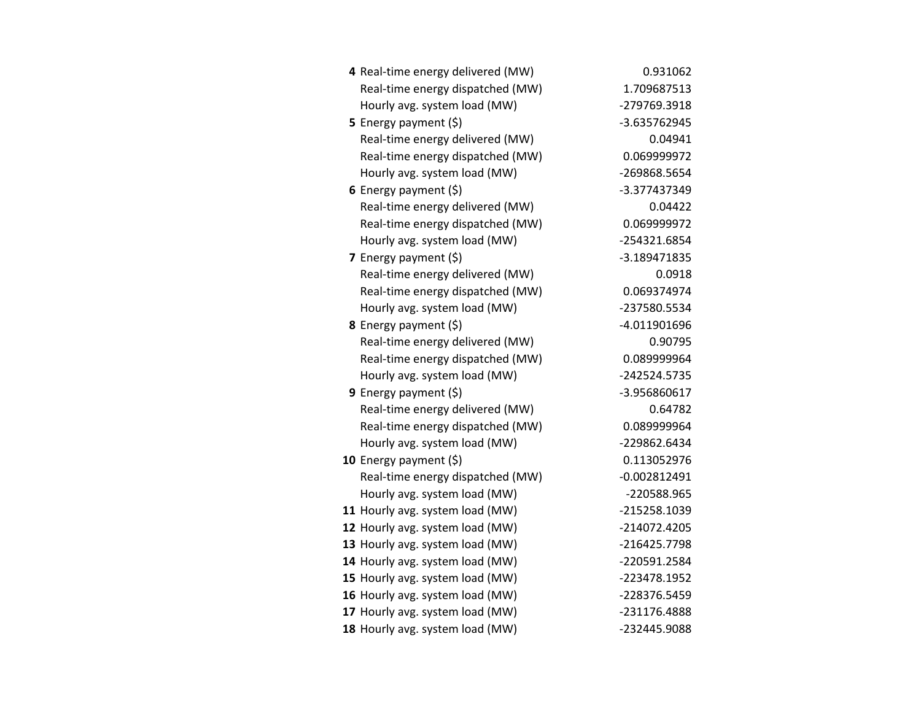| 4 Real-time energy delivered (MW) | 0.931062       |
|-----------------------------------|----------------|
| Real-time energy dispatched (MW)  | 1.709687513    |
| Hourly avg. system load (MW)      | -279769.3918   |
| <b>5</b> Energy payment $(\xi)$   | -3.635762945   |
| Real-time energy delivered (MW)   | 0.04941        |
| Real-time energy dispatched (MW)  | 0.069999972    |
| Hourly avg. system load (MW)      | -269868.5654   |
| 6 Energy payment $(\xi)$          | -3.377437349   |
| Real-time energy delivered (MW)   | 0.04422        |
| Real-time energy dispatched (MW)  | 0.069999972    |
| Hourly avg. system load (MW)      | -254321.6854   |
| 7 Energy payment (\$)             | -3.189471835   |
| Real-time energy delivered (MW)   | 0.0918         |
| Real-time energy dispatched (MW)  | 0.069374974    |
| Hourly avg. system load (MW)      | -237580.5534   |
| 8 Energy payment (\$)             | -4.011901696   |
| Real-time energy delivered (MW)   | 0.90795        |
| Real-time energy dispatched (MW)  | 0.089999964    |
| Hourly avg. system load (MW)      | -242524.5735   |
| <b>9</b> Energy payment $(\xi)$   | -3.956860617   |
| Real-time energy delivered (MW)   | 0.64782        |
| Real-time energy dispatched (MW)  | 0.089999964    |
| Hourly avg. system load (MW)      | -229862.6434   |
| 10 Energy payment $(5)$           | 0.113052976    |
| Real-time energy dispatched (MW)  | $-0.002812491$ |
| Hourly avg. system load (MW)      | -220588.965    |
| 11 Hourly avg. system load (MW)   | -215258.1039   |
| 12 Hourly avg. system load (MW)   | -214072.4205   |
| 13 Hourly avg. system load (MW)   | -216425.7798   |
| 14 Hourly avg. system load (MW)   | -220591.2584   |
| 15 Hourly avg. system load (MW)   | -223478.1952   |
| 16 Hourly avg. system load (MW)   | -228376.5459   |
| 17 Hourly avg. system load (MW)   | -231176.4888   |
| 18 Hourly avg. system load (MW)   | -232445.9088   |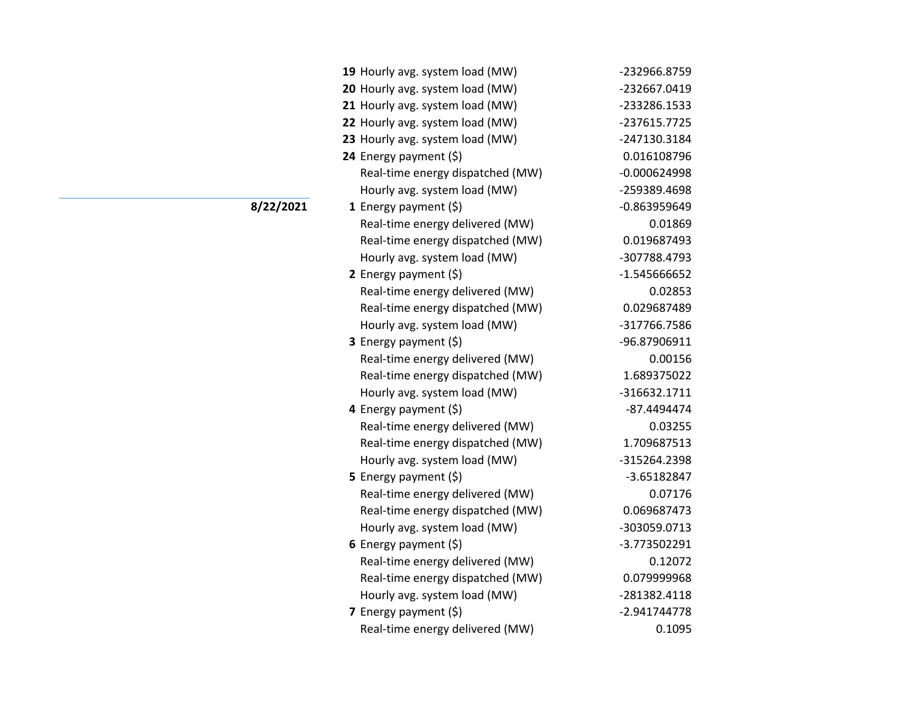| 19 Hourly avg. system load (MW)  | -232966.8759   |
|----------------------------------|----------------|
| 20 Hourly avg. system load (MW)  | -232667.0419   |
| 21 Hourly avg. system load (MW)  | -233286.1533   |
| 22 Hourly avg. system load (MW)  | -237615.7725   |
| 23 Hourly avg. system load (MW)  | -247130.3184   |
| 24 Energy payment (\$)           | 0.016108796    |
| Real-time energy dispatched (MW) | $-0.000624998$ |
| Hourly avg. system load (MW)     | -259389.4698   |
| <b>1</b> Energy payment $(\xi)$  | $-0.863959649$ |
| Real-time energy delivered (MW)  | 0.01869        |
| Real-time energy dispatched (MW) | 0.019687493    |
| Hourly avg. system load (MW)     | -307788.4793   |
| 2 Energy payment $(5)$           | -1.545666652   |
| Real-time energy delivered (MW)  | 0.02853        |
| Real-time energy dispatched (MW) | 0.029687489    |
| Hourly avg. system load (MW)     | -317766.7586   |
| <b>3</b> Energy payment $(\xi)$  | -96.87906911   |
| Real-time energy delivered (MW)  | 0.00156        |
| Real-time energy dispatched (MW) | 1.689375022    |
| Hourly avg. system load (MW)     | -316632.1711   |
| 4 Energy payment (\$)            | -87.4494474    |
| Real-time energy delivered (MW)  | 0.03255        |
| Real-time energy dispatched (MW) | 1.709687513    |
| Hourly avg. system load (MW)     | -315264.2398   |
| 5 Energy payment $(5)$           | $-3.65182847$  |
| Real-time energy delivered (MW)  | 0.07176        |
| Real-time energy dispatched (MW) | 0.069687473    |
| Hourly avg. system load (MW)     | -303059.0713   |
| 6 Energy payment $(\xi)$         | -3.773502291   |
| Real-time energy delivered (MW)  | 0.12072        |
| Real-time energy dispatched (MW) | 0.079999968    |
| Hourly avg. system load (MW)     | -281382.4118   |
| 7 Energy payment $(5)$           | -2.941744778   |
| Real-time energy delivered (MW)  | 0.1095         |

## **8/22/2021**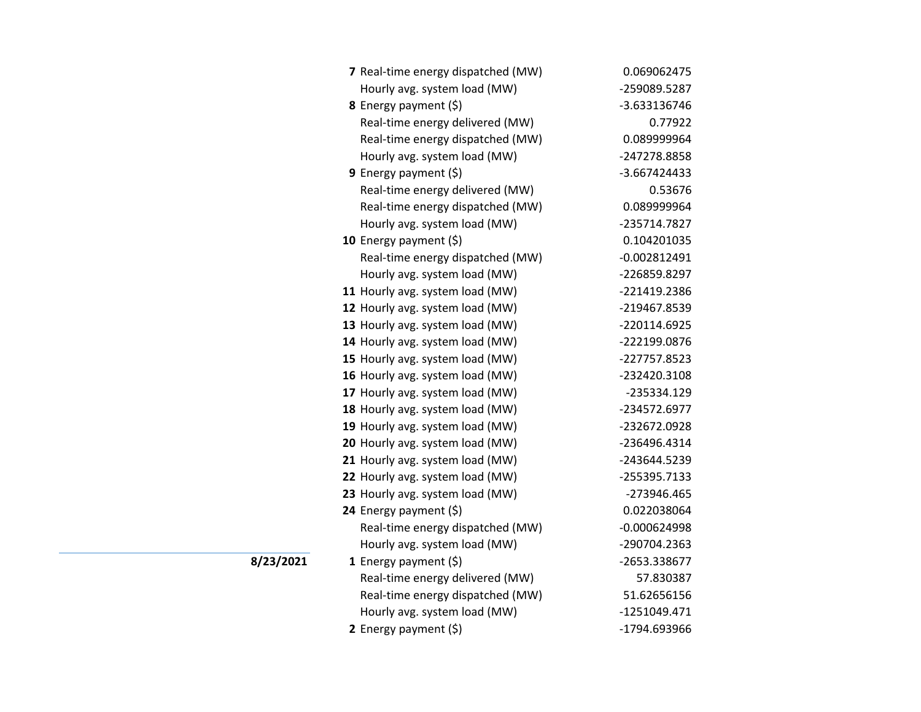| 7 Real-time energy dispatched (MW) | 0.069062475    |
|------------------------------------|----------------|
| Hourly avg. system load (MW)       | -259089.5287   |
| 8 Energy payment (\$)              | -3.633136746   |
| Real-time energy delivered (MW)    | 0.77922        |
| Real-time energy dispatched (MW)   | 0.089999964    |
| Hourly avg. system load (MW)       | -247278.8858   |
| 9 Energy payment $(\xi)$           | -3.667424433   |
| Real-time energy delivered (MW)    | 0.53676        |
| Real-time energy dispatched (MW)   | 0.089999964    |
| Hourly avg. system load (MW)       | -235714.7827   |
| 10 Energy payment $(\xi)$          | 0.104201035    |
| Real-time energy dispatched (MW)   | $-0.002812491$ |
| Hourly avg. system load (MW)       | -226859.8297   |
| 11 Hourly avg. system load (MW)    | -221419.2386   |
| 12 Hourly avg. system load (MW)    | -219467.8539   |
| 13 Hourly avg. system load (MW)    | -220114.6925   |
| 14 Hourly avg. system load (MW)    | -222199.0876   |
| 15 Hourly avg. system load (MW)    | -227757.8523   |
| 16 Hourly avg. system load (MW)    | -232420.3108   |
| 17 Hourly avg. system load (MW)    | -235334.129    |
| 18 Hourly avg. system load (MW)    | -234572.6977   |
| 19 Hourly avg. system load (MW)    | -232672.0928   |
| 20 Hourly avg. system load (MW)    | -236496.4314   |
| 21 Hourly avg. system load (MW)    | -243644.5239   |
| 22 Hourly avg. system load (MW)    | -255395.7133   |
| 23 Hourly avg. system load (MW)    | -273946.465    |
| 24 Energy payment (\$)             | 0.022038064    |
| Real-time energy dispatched (MW)   | $-0.000624998$ |
| Hourly avg. system load (MW)       | -290704.2363   |
| 1 Energy payment $(\xi)$           | -2653.338677   |
| Real-time energy delivered (MW)    | 57.830387      |
| Real-time energy dispatched (MW)   | 51.62656156    |
| Hourly avg. system load (MW)       | -1251049.471   |
| 2 Energy payment $(5)$             | -1794.693966   |

**8/23/2021**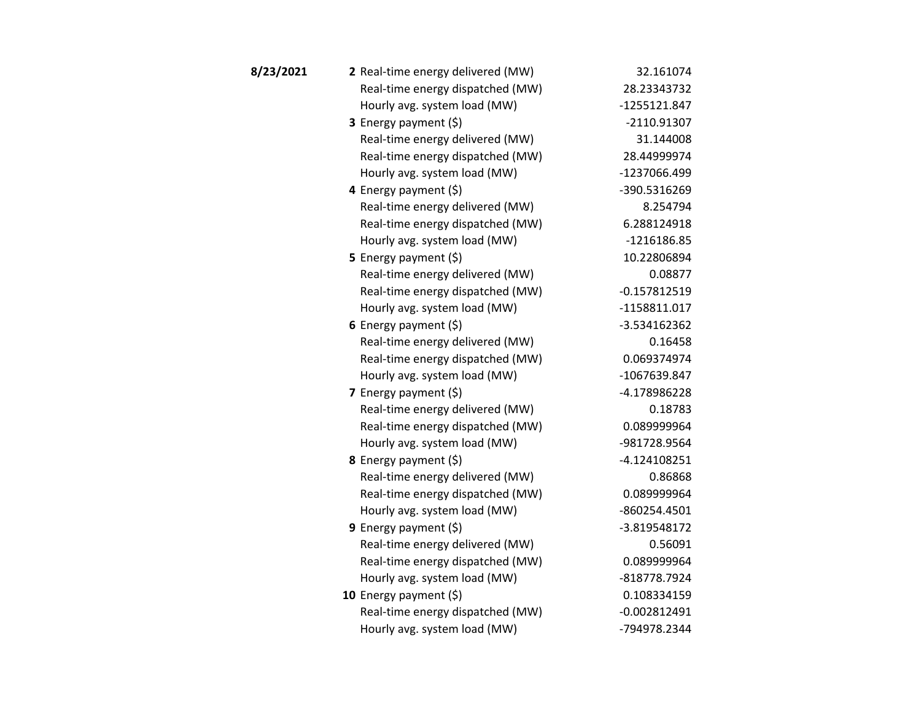| 8/23/2021 | 2 Real-time energy delivered (MW) | 32.161074      |
|-----------|-----------------------------------|----------------|
|           | Real-time energy dispatched (MW)  | 28.23343732    |
|           | Hourly avg. system load (MW)      | -1255121.847   |
|           | 3 Energy payment (\$)             | $-2110.91307$  |
|           | Real-time energy delivered (MW)   | 31.144008      |
|           | Real-time energy dispatched (MW)  | 28.44999974    |
|           | Hourly avg. system load (MW)      | -1237066.499   |
|           | 4 Energy payment (\$)             | -390.5316269   |
|           | Real-time energy delivered (MW)   | 8.254794       |
|           | Real-time energy dispatched (MW)  | 6.288124918    |
|           | Hourly avg. system load (MW)      | $-1216186.85$  |
|           | 5 Energy payment $(\xi)$          | 10.22806894    |
|           | Real-time energy delivered (MW)   | 0.08877        |
|           | Real-time energy dispatched (MW)  | $-0.157812519$ |
|           | Hourly avg. system load (MW)      | -1158811.017   |
|           | 6 Energy payment $(\xi)$          | -3.534162362   |
|           | Real-time energy delivered (MW)   | 0.16458        |
|           | Real-time energy dispatched (MW)  | 0.069374974    |
|           | Hourly avg. system load (MW)      | -1067639.847   |
|           | 7 Energy payment $(\xi)$          | -4.178986228   |
|           | Real-time energy delivered (MW)   | 0.18783        |
|           | Real-time energy dispatched (MW)  | 0.089999964    |
|           | Hourly avg. system load (MW)      | -981728.9564   |
|           | <b>8</b> Energy payment $(\xi)$   | $-4.124108251$ |
|           | Real-time energy delivered (MW)   | 0.86868        |
|           | Real-time energy dispatched (MW)  | 0.089999964    |
|           | Hourly avg. system load (MW)      | -860254.4501   |
|           | <b>9</b> Energy payment $(\xi)$   | -3.819548172   |
|           | Real-time energy delivered (MW)   | 0.56091        |
|           | Real-time energy dispatched (MW)  | 0.089999964    |
|           | Hourly avg. system load (MW)      | -818778.7924   |
|           | 10 Energy payment $(5)$           | 0.108334159    |
|           | Real-time energy dispatched (MW)  | $-0.002812491$ |
|           | Hourly avg. system load (MW)      | -794978.2344   |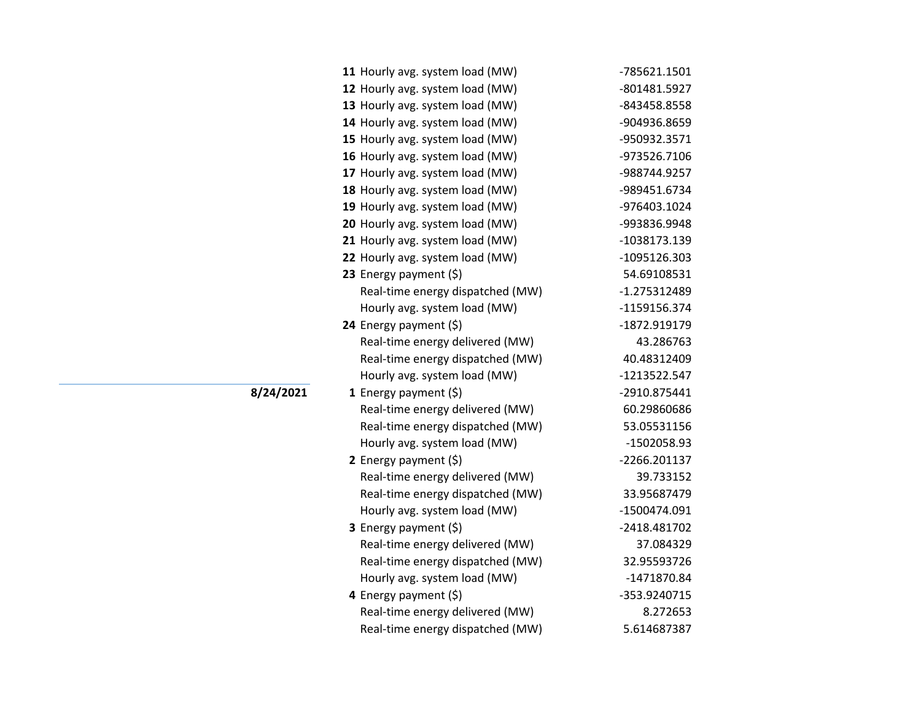| 11 Hourly avg. system load (MW)  | -785621.1501   |
|----------------------------------|----------------|
| 12 Hourly avg. system load (MW)  | -801481.5927   |
| 13 Hourly avg. system load (MW)  | -843458.8558   |
| 14 Hourly avg. system load (MW)  | -904936.8659   |
| 15 Hourly avg. system load (MW)  | -950932.3571   |
| 16 Hourly avg. system load (MW)  | -973526.7106   |
| 17 Hourly avg. system load (MW)  | -988744.9257   |
| 18 Hourly avg. system load (MW)  | -989451.6734   |
| 19 Hourly avg. system load (MW)  | -976403.1024   |
| 20 Hourly avg. system load (MW)  | -993836.9948   |
| 21 Hourly avg. system load (MW)  | -1038173.139   |
| 22 Hourly avg. system load (MW)  | -1095126.303   |
| 23 Energy payment $(\xi)$        | 54.69108531    |
| Real-time energy dispatched (MW) | $-1.275312489$ |
| Hourly avg. system load (MW)     | -1159156.374   |
| 24 Energy payment (\$)           | -1872.919179   |
| Real-time energy delivered (MW)  | 43.286763      |
| Real-time energy dispatched (MW) | 40.48312409    |
| Hourly avg. system load (MW)     | -1213522.547   |
| <b>1</b> Energy payment $(\xi)$  | -2910.875441   |
| Real-time energy delivered (MW)  | 60.29860686    |
| Real-time energy dispatched (MW) | 53.05531156    |
| Hourly avg. system load (MW)     | -1502058.93    |
| 2 Energy payment (\$)            | -2266.201137   |
| Real-time energy delivered (MW)  | 39.733152      |
| Real-time energy dispatched (MW) | 33.95687479    |
| Hourly avg. system load (MW)     | -1500474.091   |
| 3 Energy payment (\$)            | -2418.481702   |
| Real-time energy delivered (MW)  | 37.084329      |
| Real-time energy dispatched (MW) | 32.95593726    |
| Hourly avg. system load (MW)     | -1471870.84    |
| 4 Energy payment (\$)            | -353.9240715   |
| Real-time energy delivered (MW)  | 8.272653       |
| Real-time energy dispatched (MW) | 5.614687387    |

**8/24/2021**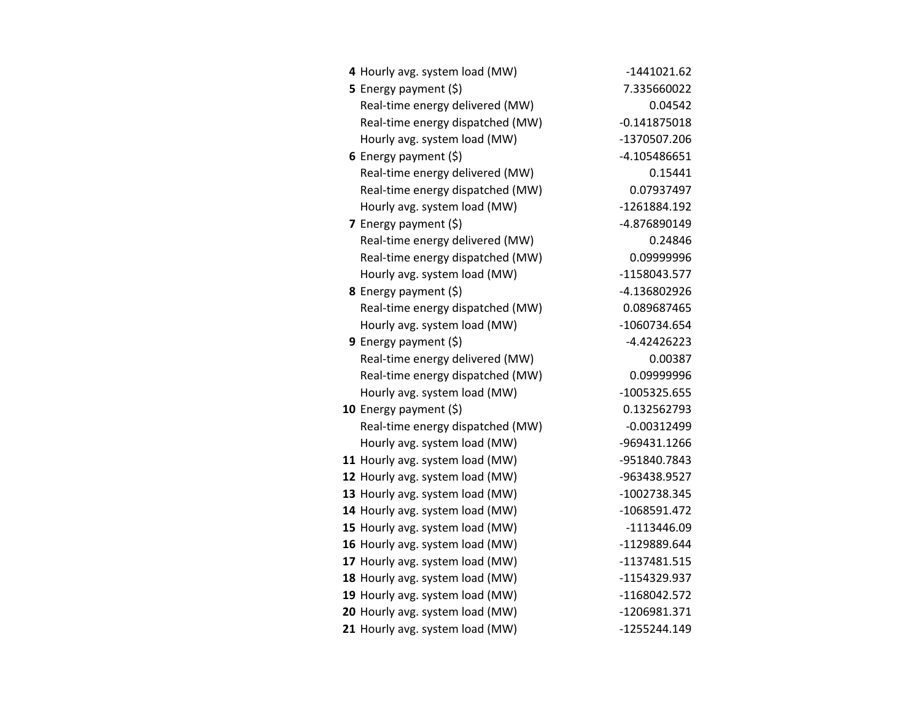| 4 Hourly avg. system load (MW)   | $-1441021.62$  |
|----------------------------------|----------------|
| 5 Energy payment (\$)            | 7.335660022    |
| Real-time energy delivered (MW)  | 0.04542        |
| Real-time energy dispatched (MW) | $-0.141875018$ |
| Hourly avg. system load (MW)     | -1370507.206   |
| 6 Energy payment $(5)$           | -4.105486651   |
| Real-time energy delivered (MW)  | 0.15441        |
| Real-time energy dispatched (MW) | 0.07937497     |
| Hourly avg. system load (MW)     | -1261884.192   |
| 7 Energy payment $(5)$           | -4.876890149   |
| Real-time energy delivered (MW)  | 0.24846        |
| Real-time energy dispatched (MW) | 0.09999996     |
| Hourly avg. system load (MW)     | -1158043.577   |
| 8 Energy payment (\$)            | -4.136802926   |
| Real-time energy dispatched (MW) | 0.089687465    |
| Hourly avg. system load (MW)     | -1060734.654   |
| <b>9</b> Energy payment $(\xi)$  | $-4.42426223$  |
| Real-time energy delivered (MW)  | 0.00387        |
| Real-time energy dispatched (MW) | 0.09999996     |
| Hourly avg. system load (MW)     | $-1005325.655$ |
| 10 Energy payment (\$)           | 0.132562793    |
| Real-time energy dispatched (MW) | $-0.00312499$  |
| Hourly avg. system load (MW)     | -969431.1266   |
| 11 Hourly avg. system load (MW)  | -951840.7843   |
| 12 Hourly avg. system load (MW)  | -963438.9527   |
| 13 Hourly avg. system load (MW)  | -1002738.345   |
| 14 Hourly avg. system load (MW)  | -1068591.472   |
| 15 Hourly avg. system load (MW)  | -1113446.09    |
| 16 Hourly avg. system load (MW)  | -1129889.644   |
| 17 Hourly avg. system load (MW)  | -1137481.515   |
| 18 Hourly avg. system load (MW)  | -1154329.937   |
| 19 Hourly avg. system load (MW)  | -1168042.572   |
| 20 Hourly avg. system load (MW)  | -1206981.371   |
| 21 Hourly avg. system load (MW)  | -1255244.149   |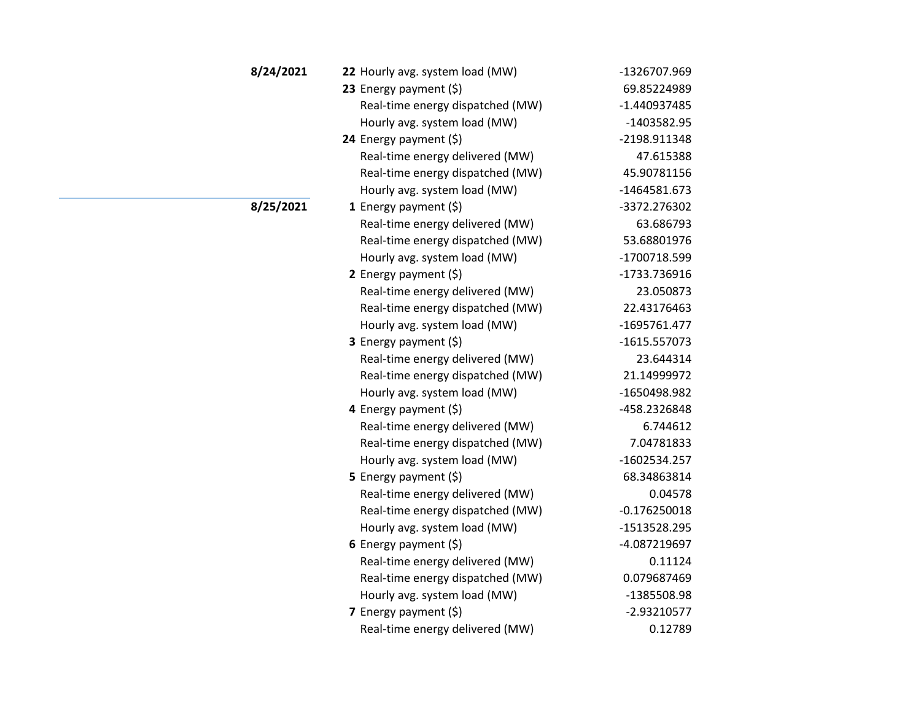| 8/24/2021 | 22 Hourly avg. system load (MW)  | -1326707.969   |
|-----------|----------------------------------|----------------|
|           | 23 Energy payment (\$)           | 69.85224989    |
|           | Real-time energy dispatched (MW) | -1.440937485   |
|           | Hourly avg. system load (MW)     | $-1403582.95$  |
|           | 24 Energy payment $(\xi)$        | -2198.911348   |
|           | Real-time energy delivered (MW)  | 47.615388      |
|           | Real-time energy dispatched (MW) | 45.90781156    |
|           | Hourly avg. system load (MW)     | $-1464581.673$ |
| 8/25/2021 | <b>1</b> Energy payment $(\xi)$  | -3372.276302   |
|           | Real-time energy delivered (MW)  | 63.686793      |
|           | Real-time energy dispatched (MW) | 53.68801976    |
|           | Hourly avg. system load (MW)     | -1700718.599   |
|           | 2 Energy payment (\$)            | -1733.736916   |
|           | Real-time energy delivered (MW)  | 23.050873      |
|           | Real-time energy dispatched (MW) | 22.43176463    |
|           | Hourly avg. system load (MW)     | -1695761.477   |
|           | 3 Energy payment (\$)            | $-1615.557073$ |
|           | Real-time energy delivered (MW)  | 23.644314      |
|           | Real-time energy dispatched (MW) | 21.14999972    |
|           | Hourly avg. system load (MW)     | -1650498.982   |
|           | 4 Energy payment $(\xi)$         | -458.2326848   |
|           | Real-time energy delivered (MW)  | 6.744612       |
|           | Real-time energy dispatched (MW) | 7.04781833     |
|           | Hourly avg. system load (MW)     | -1602534.257   |
|           | <b>5</b> Energy payment $(\xi)$  | 68.34863814    |
|           | Real-time energy delivered (MW)  | 0.04578        |
|           | Real-time energy dispatched (MW) | $-0.176250018$ |
|           | Hourly avg. system load (MW)     | -1513528.295   |
|           | 6 Energy payment $(\xi)$         | -4.087219697   |
|           | Real-time energy delivered (MW)  | 0.11124        |
|           | Real-time energy dispatched (MW) | 0.079687469    |
|           | Hourly avg. system load (MW)     | -1385508.98    |
|           | 7 Energy payment $(5)$           | $-2.93210577$  |
|           | Real-time energy delivered (MW)  | 0.12789        |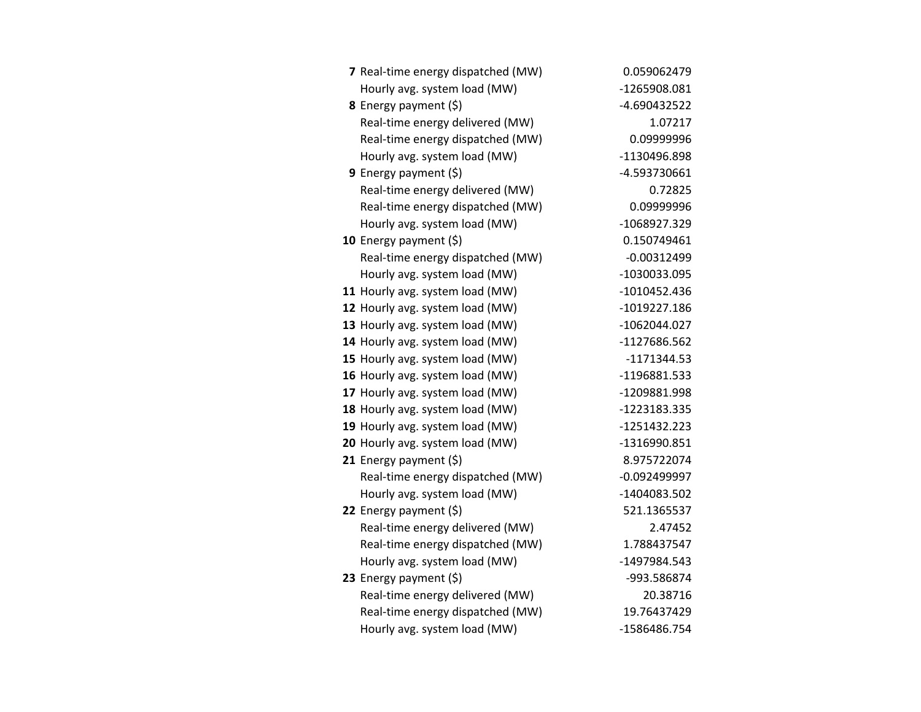| 7 Real-time energy dispatched (MW) | 0.059062479    |
|------------------------------------|----------------|
| Hourly avg. system load (MW)       | -1265908.081   |
| 8 Energy payment (\$)              | -4.690432522   |
| Real-time energy delivered (MW)    | 1.07217        |
| Real-time energy dispatched (MW)   | 0.09999996     |
| Hourly avg. system load (MW)       | -1130496.898   |
| <b>9</b> Energy payment $(\xi)$    | -4.593730661   |
| Real-time energy delivered (MW)    | 0.72825        |
| Real-time energy dispatched (MW)   | 0.09999996     |
| Hourly avg. system load (MW)       | -1068927.329   |
| 10 Energy payment $(\xi)$          | 0.150749461    |
| Real-time energy dispatched (MW)   | $-0.00312499$  |
| Hourly avg. system load (MW)       | -1030033.095   |
| 11 Hourly avg. system load (MW)    | $-1010452.436$ |
| 12 Hourly avg. system load (MW)    | -1019227.186   |
| 13 Hourly avg. system load (MW)    | -1062044.027   |
| 14 Hourly avg. system load (MW)    | -1127686.562   |
| 15 Hourly avg. system load (MW)    | $-1171344.53$  |
| 16 Hourly avg. system load (MW)    | -1196881.533   |
| 17 Hourly avg. system load (MW)    | -1209881.998   |
| 18 Hourly avg. system load (MW)    | -1223183.335   |
| 19 Hourly avg. system load (MW)    | $-1251432.223$ |
| 20 Hourly avg. system load (MW)    | -1316990.851   |
| 21 Energy payment (\$)             | 8.975722074    |
| Real-time energy dispatched (MW)   | $-0.092499997$ |
| Hourly avg. system load (MW)       | -1404083.502   |
| 22 Energy payment $(\xi)$          | 521.1365537    |
| Real-time energy delivered (MW)    | 2.47452        |
| Real-time energy dispatched (MW)   | 1.788437547    |
| Hourly avg. system load (MW)       | -1497984.543   |
| 23 Energy payment $(\xi)$          | -993.586874    |
| Real-time energy delivered (MW)    | 20.38716       |
| Real-time energy dispatched (MW)   | 19.76437429    |
| Hourly avg. system load (MW)       | -1586486.754   |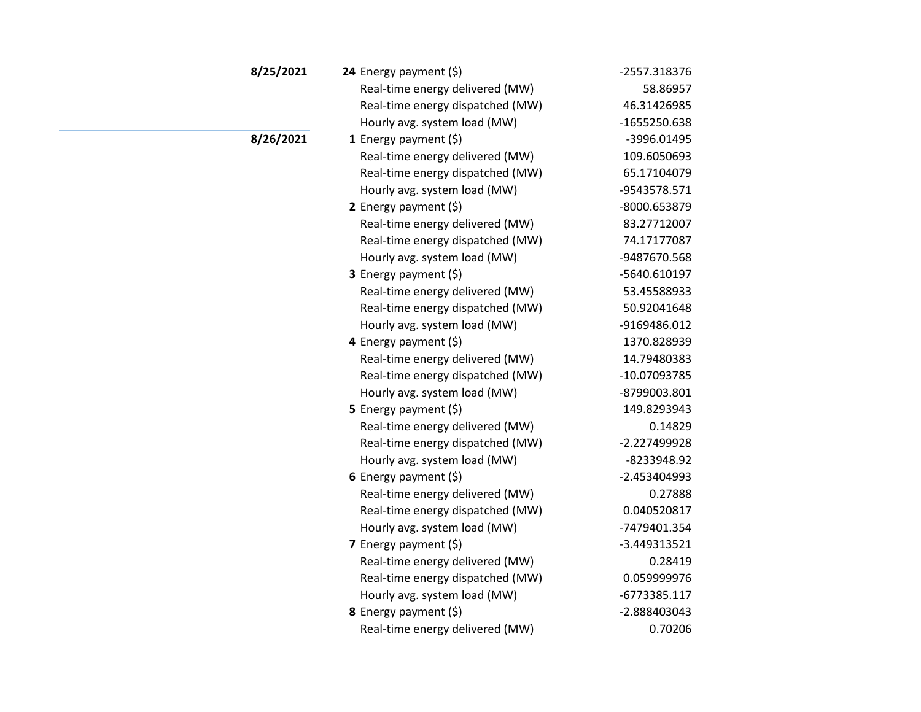| 8/25/2021 | 24 Energy payment $(\xi)$        | -2557.318376   |
|-----------|----------------------------------|----------------|
|           | Real-time energy delivered (MW)  | 58.86957       |
|           | Real-time energy dispatched (MW) | 46.31426985    |
|           | Hourly avg. system load (MW)     | -1655250.638   |
| 8/26/2021 | 1 Energy payment $(\xi)$         | -3996.01495    |
|           | Real-time energy delivered (MW)  | 109.6050693    |
|           | Real-time energy dispatched (MW) | 65.17104079    |
|           | Hourly avg. system load (MW)     | -9543578.571   |
|           | 2 Energy payment $(\xi)$         | -8000.653879   |
|           | Real-time energy delivered (MW)  | 83.27712007    |
|           | Real-time energy dispatched (MW) | 74.17177087    |
|           | Hourly avg. system load (MW)     | -9487670.568   |
|           | <b>3</b> Energy payment $(\xi)$  | -5640.610197   |
|           | Real-time energy delivered (MW)  | 53.45588933    |
|           | Real-time energy dispatched (MW) | 50.92041648    |
|           | Hourly avg. system load (MW)     | -9169486.012   |
|           | 4 Energy payment (\$)            | 1370.828939    |
|           | Real-time energy delivered (MW)  | 14.79480383    |
|           | Real-time energy dispatched (MW) | -10.07093785   |
|           | Hourly avg. system load (MW)     | -8799003.801   |
|           | 5 Energy payment $(5)$           | 149.8293943    |
|           | Real-time energy delivered (MW)  | 0.14829        |
|           | Real-time energy dispatched (MW) | -2.227499928   |
|           | Hourly avg. system load (MW)     | -8233948.92    |
|           | 6 Energy payment $(5)$           | $-2.453404993$ |
|           | Real-time energy delivered (MW)  | 0.27888        |
|           | Real-time energy dispatched (MW) | 0.040520817    |
|           | Hourly avg. system load (MW)     | -7479401.354   |
|           | 7 Energy payment $(\xi)$         | -3.449313521   |
|           | Real-time energy delivered (MW)  | 0.28419        |
|           | Real-time energy dispatched (MW) | 0.059999976    |
|           | Hourly avg. system load (MW)     | -6773385.117   |
|           | 8 Energy payment (\$)            | -2.888403043   |
|           | Real-time energy delivered (MW)  | 0.70206        |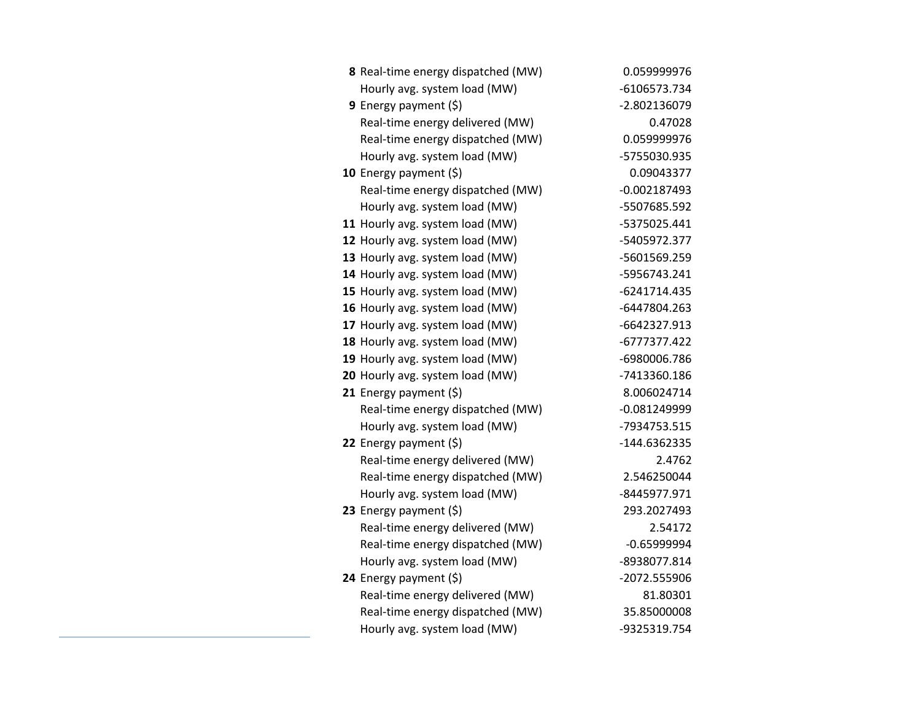| 8 Real-time energy dispatched (MW) | 0.059999976    |
|------------------------------------|----------------|
| Hourly avg. system load (MW)       | -6106573.734   |
| <b>9</b> Energy payment $(\xi)$    | -2.802136079   |
| Real-time energy delivered (MW)    | 0.47028        |
| Real-time energy dispatched (MW)   | 0.059999976    |
| Hourly avg. system load (MW)       | -5755030.935   |
| 10 Energy payment (\$)             | 0.09043377     |
| Real-time energy dispatched (MW)   | $-0.002187493$ |
| Hourly avg. system load (MW)       | -5507685.592   |
| 11 Hourly avg. system load (MW)    | -5375025.441   |
| 12 Hourly avg. system load (MW)    | -5405972.377   |
| 13 Hourly avg. system load (MW)    | -5601569.259   |
| 14 Hourly avg. system load (MW)    | -5956743.241   |
| 15 Hourly avg. system load (MW)    | -6241714.435   |
| 16 Hourly avg. system load (MW)    | -6447804.263   |
| 17 Hourly avg. system load (MW)    | -6642327.913   |
| 18 Hourly avg. system load (MW)    | -6777377.422   |
| 19 Hourly avg. system load (MW)    | -6980006.786   |
| 20 Hourly avg. system load (MW)    | -7413360.186   |
| 21 Energy payment $(\xi)$          | 8.006024714    |
| Real-time energy dispatched (MW)   | -0.081249999   |
| Hourly avg. system load (MW)       | -7934753.515   |
| 22 Energy payment (\$)             | -144.6362335   |
| Real-time energy delivered (MW)    | 2.4762         |
| Real-time energy dispatched (MW)   | 2.546250044    |
| Hourly avg. system load (MW)       | -8445977.971   |
| 23 Energy payment (\$)             | 293.2027493    |
| Real-time energy delivered (MW)    | 2.54172        |
| Real-time energy dispatched (MW)   | $-0.65999994$  |
| Hourly avg. system load (MW)       | -8938077.814   |
| 24 Energy payment (\$)             | -2072.555906   |
| Real-time energy delivered (MW)    | 81.80301       |
| Real-time energy dispatched (MW)   | 35.85000008    |
| Hourly avg. system load (MW)       | -9325319.754   |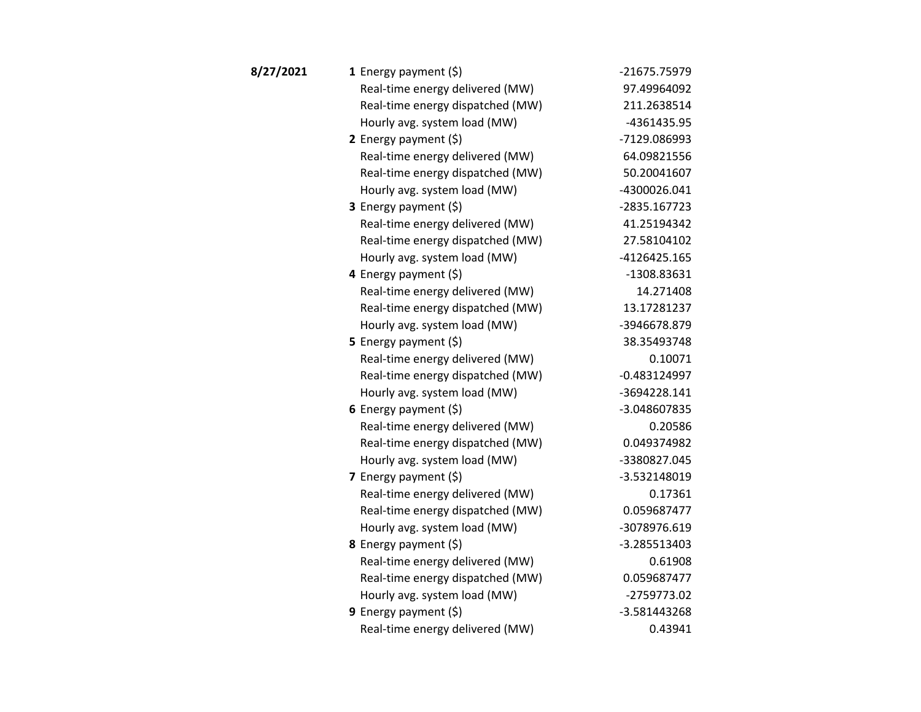| 8/27/2021 | 1 Energy payment $(\xi)$         | -21675.75979   |
|-----------|----------------------------------|----------------|
|           | Real-time energy delivered (MW)  | 97.49964092    |
|           | Real-time energy dispatched (MW) | 211.2638514    |
|           | Hourly avg. system load (MW)     | -4361435.95    |
|           | 2 Energy payment $(\xi)$         | -7129.086993   |
|           | Real-time energy delivered (MW)  | 64.09821556    |
|           | Real-time energy dispatched (MW) | 50.20041607    |
|           | Hourly avg. system load (MW)     | -4300026.041   |
|           | 3 Energy payment (\$)            | -2835.167723   |
|           | Real-time energy delivered (MW)  | 41.25194342    |
|           | Real-time energy dispatched (MW) | 27.58104102    |
|           | Hourly avg. system load (MW)     | -4126425.165   |
|           | 4 Energy payment (\$)            | -1308.83631    |
|           | Real-time energy delivered (MW)  | 14.271408      |
|           | Real-time energy dispatched (MW) | 13.17281237    |
|           | Hourly avg. system load (MW)     | -3946678.879   |
|           | 5 Energy payment $(5)$           | 38.35493748    |
|           | Real-time energy delivered (MW)  | 0.10071        |
|           | Real-time energy dispatched (MW) | $-0.483124997$ |
|           | Hourly avg. system load (MW)     | -3694228.141   |
|           | 6 Energy payment $(\$)$          | -3.048607835   |
|           | Real-time energy delivered (MW)  | 0.20586        |
|           | Real-time energy dispatched (MW) | 0.049374982    |
|           | Hourly avg. system load (MW)     | -3380827.045   |
|           | 7 Energy payment $(5)$           | -3.532148019   |
|           | Real-time energy delivered (MW)  | 0.17361        |
|           | Real-time energy dispatched (MW) | 0.059687477    |
|           | Hourly avg. system load (MW)     | -3078976.619   |
|           | <b>8</b> Energy payment $(\xi)$  | -3.285513403   |
|           | Real-time energy delivered (MW)  | 0.61908        |
|           | Real-time energy dispatched (MW) | 0.059687477    |
|           | Hourly avg. system load (MW)     | -2759773.02    |
|           | 9 Energy payment $(5)$           | -3.581443268   |
|           | Real-time energy delivered (MW)  | 0.43941        |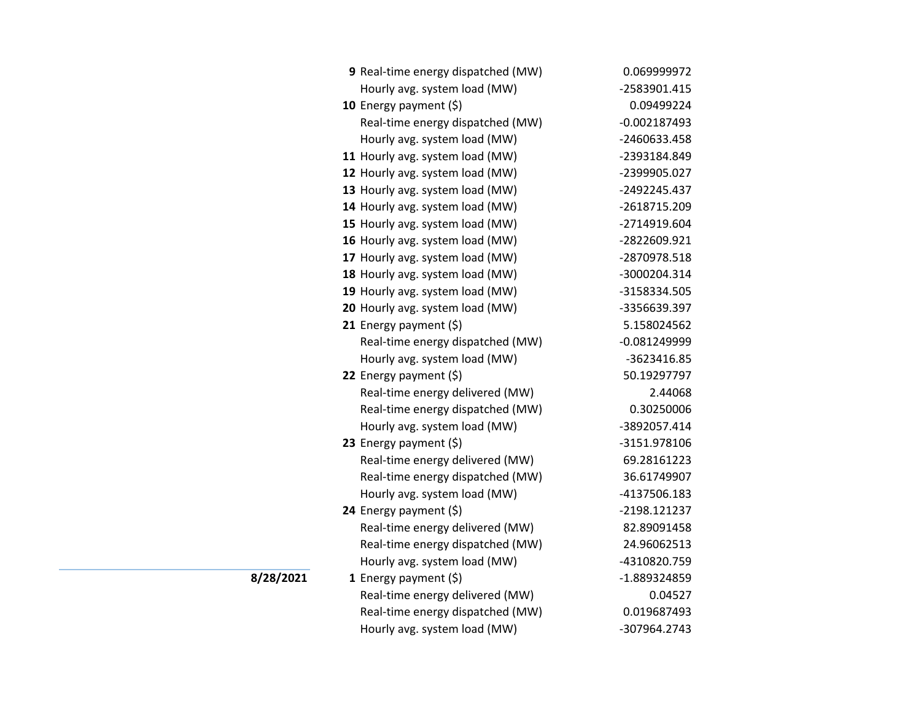| 9 Real-time energy dispatched (MW) | 0.069999972    |
|------------------------------------|----------------|
| Hourly avg. system load (MW)       | -2583901.415   |
| 10 Energy payment $(\xi)$          | 0.09499224     |
| Real-time energy dispatched (MW)   | $-0.002187493$ |
| Hourly avg. system load (MW)       | -2460633.458   |
| 11 Hourly avg. system load (MW)    | -2393184.849   |
| 12 Hourly avg. system load (MW)    | -2399905.027   |
| 13 Hourly avg. system load (MW)    | -2492245.437   |
| 14 Hourly avg. system load (MW)    | -2618715.209   |
| 15 Hourly avg. system load (MW)    | -2714919.604   |
| 16 Hourly avg. system load (MW)    | -2822609.921   |
| 17 Hourly avg. system load (MW)    | -2870978.518   |
| 18 Hourly avg. system load (MW)    | -3000204.314   |
| 19 Hourly avg. system load (MW)    | -3158334.505   |
| 20 Hourly avg. system load (MW)    | -3356639.397   |
| 21 Energy payment $(\xi)$          | 5.158024562    |
| Real-time energy dispatched (MW)   | $-0.081249999$ |
| Hourly avg. system load (MW)       | -3623416.85    |
| 22 Energy payment $(\xi)$          | 50.19297797    |
| Real-time energy delivered (MW)    | 2.44068        |
| Real-time energy dispatched (MW)   | 0.30250006     |
| Hourly avg. system load (MW)       | -3892057.414   |
| 23 Energy payment $(\xi)$          | -3151.978106   |
| Real-time energy delivered (MW)    | 69.28161223    |
| Real-time energy dispatched (MW)   | 36.61749907    |
| Hourly avg. system load (MW)       | -4137506.183   |
| 24 Energy payment (\$)             | -2198.121237   |
| Real-time energy delivered (MW)    | 82.89091458    |
| Real-time energy dispatched (MW)   | 24.96062513    |
| Hourly avg. system load (MW)       | -4310820.759   |
| 1 Energy payment $(\xi)$           | -1.889324859   |
| Real-time energy delivered (MW)    | 0.04527        |
| Real-time energy dispatched (MW)   | 0.019687493    |
| Hourly avg. system load (MW)       | -307964.2743   |

**8/28/2021**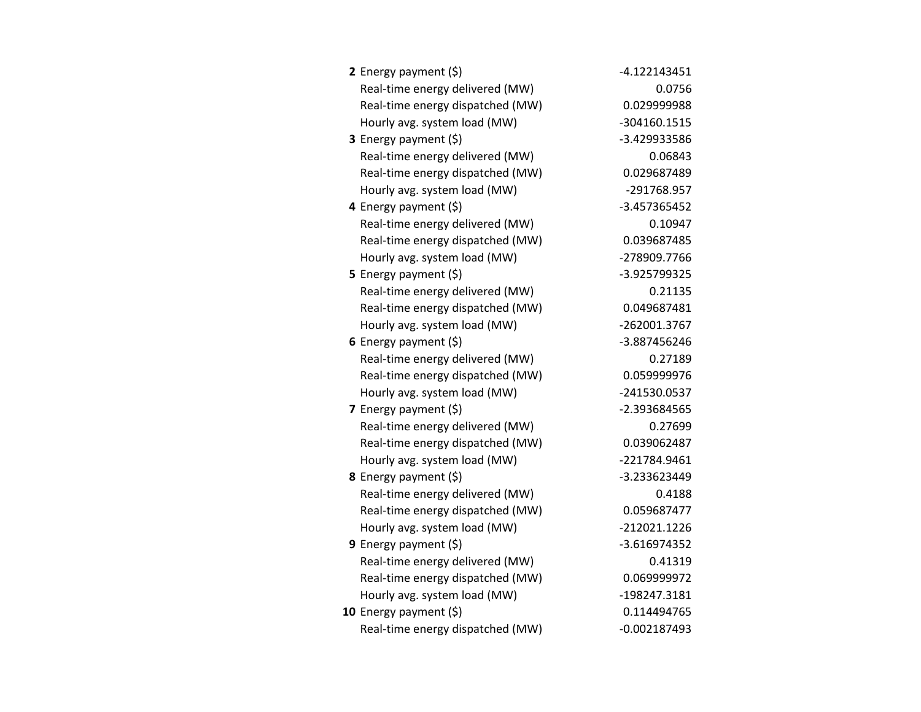| 2 Energy payment $(\xi)$         | $-4.122143451$ |
|----------------------------------|----------------|
| Real-time energy delivered (MW)  | 0.0756         |
| Real-time energy dispatched (MW) | 0.029999988    |
| Hourly avg. system load (MW)     | -304160.1515   |
| <b>3</b> Energy payment $(\xi)$  | -3.429933586   |
| Real-time energy delivered (MW)  | 0.06843        |
| Real-time energy dispatched (MW) | 0.029687489    |
| Hourly avg. system load (MW)     | -291768.957    |
| 4 Energy payment (\$)            | -3.457365452   |
| Real-time energy delivered (MW)  | 0.10947        |
| Real-time energy dispatched (MW) | 0.039687485    |
| Hourly avg. system load (MW)     | -278909.7766   |
| <b>5</b> Energy payment $(\xi)$  | -3.925799325   |
| Real-time energy delivered (MW)  | 0.21135        |
| Real-time energy dispatched (MW) | 0.049687481    |
| Hourly avg. system load (MW)     | -262001.3767   |
| 6 Energy payment $(5)$           | -3.887456246   |
| Real-time energy delivered (MW)  | 0.27189        |
| Real-time energy dispatched (MW) | 0.059999976    |
| Hourly avg. system load (MW)     | -241530.0537   |
| 7 Energy payment (\$)            | -2.393684565   |
| Real-time energy delivered (MW)  | 0.27699        |
| Real-time energy dispatched (MW) | 0.039062487    |
| Hourly avg. system load (MW)     | -221784.9461   |
| 8 Energy payment (\$)            | -3.233623449   |
| Real-time energy delivered (MW)  | 0.4188         |
| Real-time energy dispatched (MW) | 0.059687477    |
| Hourly avg. system load (MW)     | $-212021.1226$ |
| 9 Energy payment $(\xi)$         | $-3.616974352$ |
| Real-time energy delivered (MW)  | 0.41319        |
| Real-time energy dispatched (MW) | 0.069999972    |
| Hourly avg. system load (MW)     | -198247.3181   |
| 10 Energy payment $(\xi)$        | 0.114494765    |
| Real-time energy dispatched (MW) | $-0.002187493$ |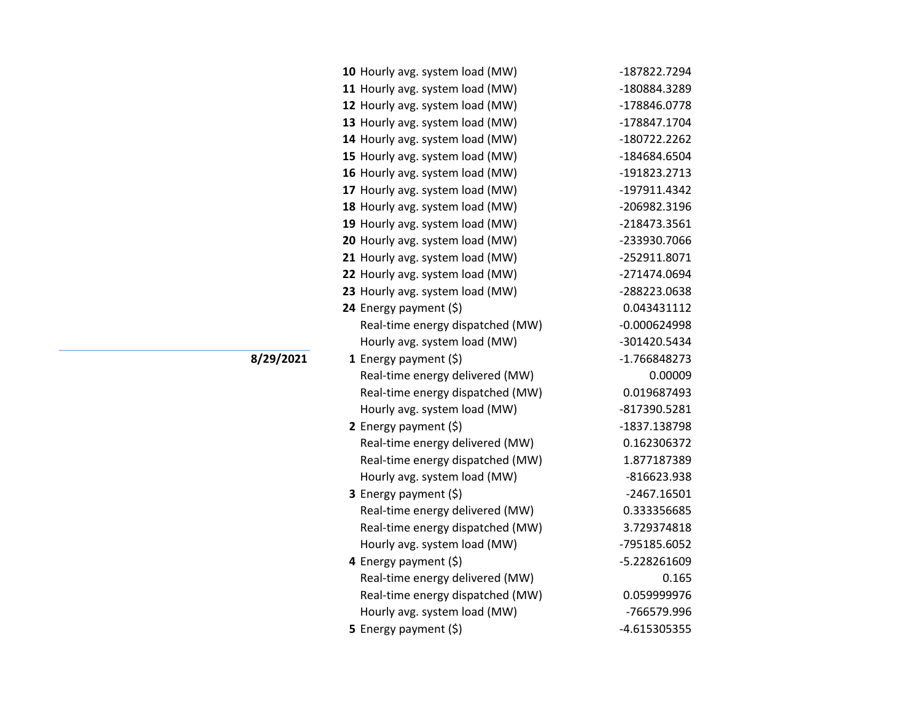| 10 Hourly avg. system load (MW)  | -187822.7294   |
|----------------------------------|----------------|
| 11 Hourly avg. system load (MW)  | -180884.3289   |
| 12 Hourly avg. system load (MW)  | -178846.0778   |
| 13 Hourly avg. system load (MW)  | -178847.1704   |
| 14 Hourly avg. system load (MW)  | -180722.2262   |
| 15 Hourly avg. system load (MW)  | -184684.6504   |
| 16 Hourly avg. system load (MW)  | -191823.2713   |
| 17 Hourly avg. system load (MW)  | -197911.4342   |
| 18 Hourly avg. system load (MW)  | -206982.3196   |
| 19 Hourly avg. system load (MW)  | -218473.3561   |
| 20 Hourly avg. system load (MW)  | -233930.7066   |
| 21 Hourly avg. system load (MW)  | -252911.8071   |
| 22 Hourly avg. system load (MW)  | -271474.0694   |
| 23 Hourly avg. system load (MW)  | -288223.0638   |
| 24 Energy payment (\$)           | 0.043431112    |
| Real-time energy dispatched (MW) | $-0.000624998$ |
| Hourly avg. system load (MW)     | -301420.5434   |
| <b>1</b> Energy payment $(\xi)$  | -1.766848273   |
| Real-time energy delivered (MW)  | 0.00009        |
| Real-time energy dispatched (MW) | 0.019687493    |
| Hourly avg. system load (MW)     | -817390.5281   |
| 2 Energy payment (\$)            | -1837.138798   |
| Real-time energy delivered (MW)  | 0.162306372    |
| Real-time energy dispatched (MW) | 1.877187389    |
| Hourly avg. system load (MW)     | -816623.938    |
| 3 Energy payment (\$)            | $-2467.16501$  |
| Real-time energy delivered (MW)  | 0.333356685    |
| Real-time energy dispatched (MW) | 3.729374818    |
| Hourly avg. system load (MW)     | -795185.6052   |
| 4 Energy payment (\$)            | -5.228261609   |
| Real-time energy delivered (MW)  | 0.165          |
| Real-time energy dispatched (MW) | 0.059999976    |
| Hourly avg. system load (MW)     | -766579.996    |
| 5 Energy payment $(5)$           | -4.615305355   |

**8/29/2021**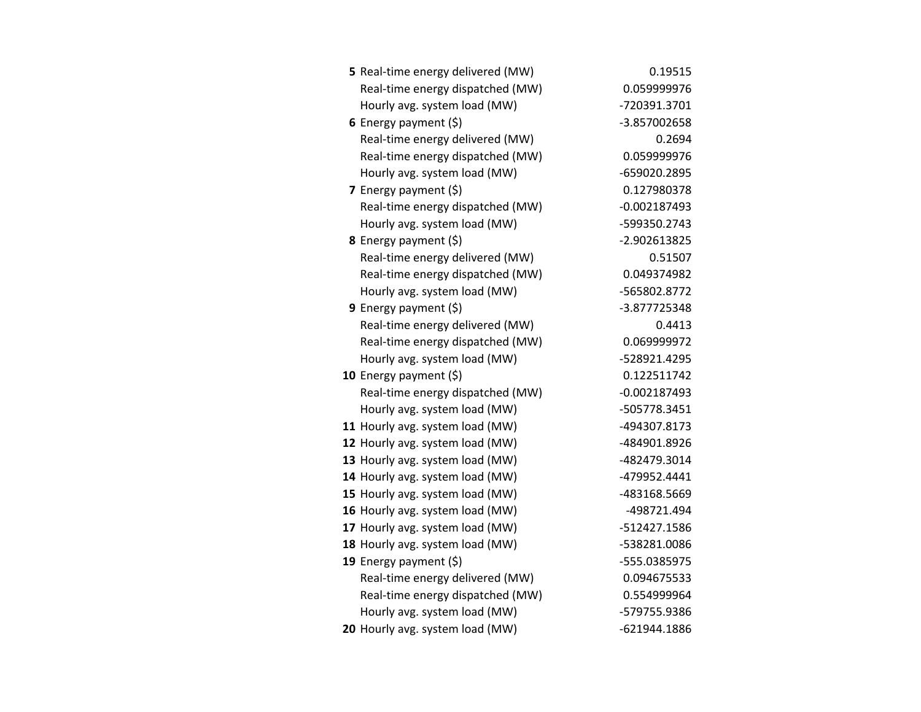| 5 Real-time energy delivered (MW) | 0.19515        |
|-----------------------------------|----------------|
| Real-time energy dispatched (MW)  | 0.059999976    |
| Hourly avg. system load (MW)      | -720391.3701   |
| 6 Energy payment $(5)$            | -3.857002658   |
| Real-time energy delivered (MW)   | 0.2694         |
| Real-time energy dispatched (MW)  | 0.059999976    |
| Hourly avg. system load (MW)      | -659020.2895   |
| 7 Energy payment $(5)$            | 0.127980378    |
| Real-time energy dispatched (MW)  | $-0.002187493$ |
| Hourly avg. system load (MW)      | -599350.2743   |
| 8 Energy payment (\$)             | -2.902613825   |
| Real-time energy delivered (MW)   | 0.51507        |
| Real-time energy dispatched (MW)  | 0.049374982    |
| Hourly avg. system load (MW)      | -565802.8772   |
| <b>9</b> Energy payment $(\xi)$   | -3.877725348   |
| Real-time energy delivered (MW)   | 0.4413         |
| Real-time energy dispatched (MW)  | 0.069999972    |
| Hourly avg. system load (MW)      | -528921.4295   |
| 10 Energy payment $(\xi)$         | 0.122511742    |
| Real-time energy dispatched (MW)  | $-0.002187493$ |
| Hourly avg. system load (MW)      | -505778.3451   |
| 11 Hourly avg. system load (MW)   | -494307.8173   |
| 12 Hourly avg. system load (MW)   | -484901.8926   |
| 13 Hourly avg. system load (MW)   | -482479.3014   |
| 14 Hourly avg. system load (MW)   | -479952.4441   |
| 15 Hourly avg. system load (MW)   | -483168.5669   |
| 16 Hourly avg. system load (MW)   | -498721.494    |
| 17 Hourly avg. system load (MW)   | -512427.1586   |
| 18 Hourly avg. system load (MW)   | -538281.0086   |
| 19 Energy payment $(\xi)$         | -555.0385975   |
| Real-time energy delivered (MW)   | 0.094675533    |
| Real-time energy dispatched (MW)  | 0.554999964    |
| Hourly avg. system load (MW)      | -579755.9386   |
| 20 Hourly avg. system load (MW)   | -621944.1886   |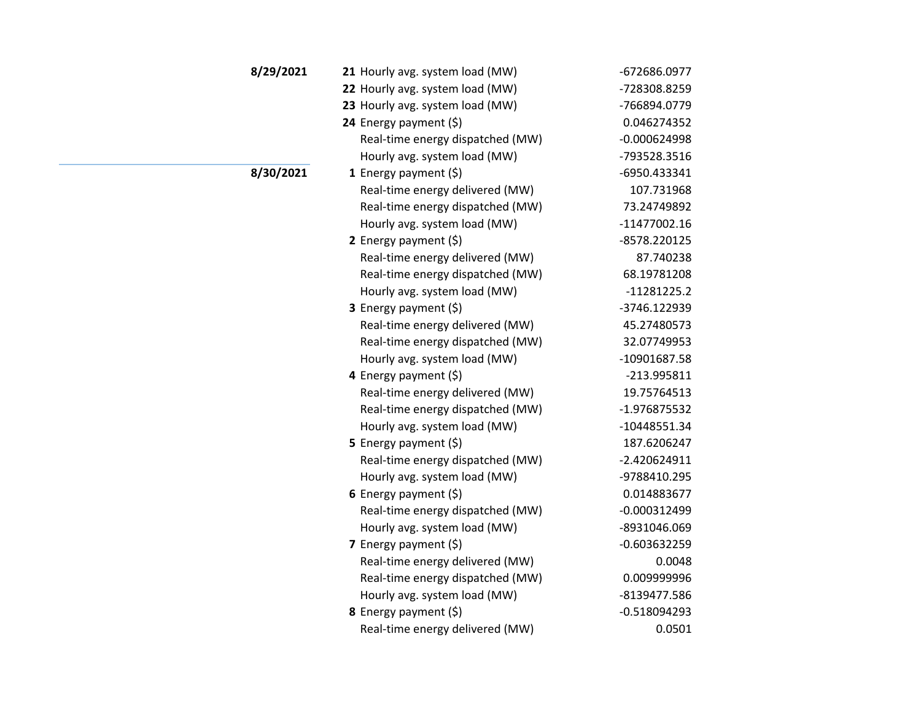| 8/29/2021 | 21 Hourly avg. system load (MW)  | -672686.0977   |
|-----------|----------------------------------|----------------|
|           | 22 Hourly avg. system load (MW)  | -728308.8259   |
|           | 23 Hourly avg. system load (MW)  | -766894.0779   |
|           | 24 Energy payment $(\xi)$        | 0.046274352    |
|           | Real-time energy dispatched (MW) | $-0.000624998$ |
|           | Hourly avg. system load (MW)     | -793528.3516   |
| 8/30/2021 | 1 Energy payment $(\xi)$         | -6950.433341   |
|           | Real-time energy delivered (MW)  | 107.731968     |
|           | Real-time energy dispatched (MW) | 73.24749892    |
|           | Hourly avg. system load (MW)     | $-11477002.16$ |
|           | 2 Energy payment $(5)$           | -8578.220125   |
|           | Real-time energy delivered (MW)  | 87.740238      |
|           | Real-time energy dispatched (MW) | 68.19781208    |
|           | Hourly avg. system load (MW)     | $-11281225.2$  |
|           | <b>3</b> Energy payment $(\xi)$  | -3746.122939   |
|           | Real-time energy delivered (MW)  | 45.27480573    |
|           | Real-time energy dispatched (MW) | 32.07749953    |
|           | Hourly avg. system load (MW)     | -10901687.58   |
|           | 4 Energy payment (\$)            | -213.995811    |
|           | Real-time energy delivered (MW)  | 19.75764513    |
|           | Real-time energy dispatched (MW) | -1.976875532   |
|           | Hourly avg. system load (MW)     | $-10448551.34$ |
|           | <b>5</b> Energy payment $(\xi)$  | 187.6206247    |
|           | Real-time energy dispatched (MW) | $-2.420624911$ |
|           | Hourly avg. system load (MW)     | -9788410.295   |
|           | 6 Energy payment (\$)            | 0.014883677    |
|           | Real-time energy dispatched (MW) | $-0.000312499$ |
|           | Hourly avg. system load (MW)     | -8931046.069   |
|           | 7 Energy payment (\$)            | $-0.603632259$ |
|           | Real-time energy delivered (MW)  | 0.0048         |
|           | Real-time energy dispatched (MW) | 0.009999996    |
|           | Hourly avg. system load (MW)     | -8139477.586   |
|           | <b>8</b> Energy payment $(\xi)$  | $-0.518094293$ |
|           | Real-time energy delivered (MW)  | 0.0501         |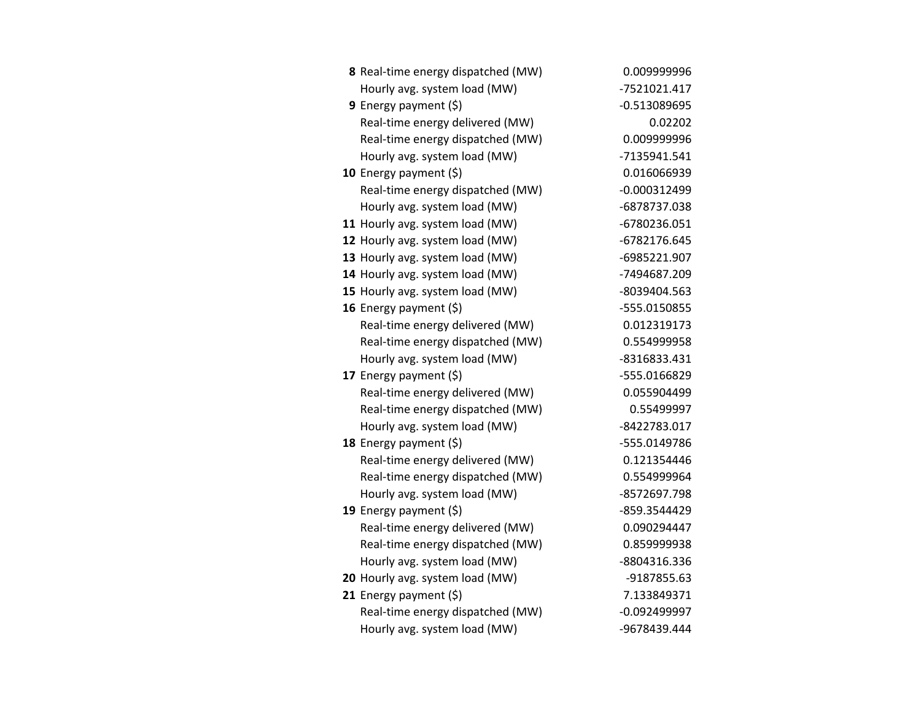| 8 Real-time energy dispatched (MW) | 0.009999996    |
|------------------------------------|----------------|
| Hourly avg. system load (MW)       | -7521021.417   |
| 9 Energy payment $(5)$             | $-0.513089695$ |
| Real-time energy delivered (MW)    | 0.02202        |
| Real-time energy dispatched (MW)   | 0.009999996    |
| Hourly avg. system load (MW)       | -7135941.541   |
| 10 Energy payment $(5)$            | 0.016066939    |
| Real-time energy dispatched (MW)   | $-0.000312499$ |
| Hourly avg. system load (MW)       | -6878737.038   |
| 11 Hourly avg. system load (MW)    | -6780236.051   |
| 12 Hourly avg. system load (MW)    | -6782176.645   |
| 13 Hourly avg. system load (MW)    | -6985221.907   |
| 14 Hourly avg. system load (MW)    | -7494687.209   |
| 15 Hourly avg. system load (MW)    | -8039404.563   |
| 16 Energy payment (\$)             | -555.0150855   |
| Real-time energy delivered (MW)    | 0.012319173    |
| Real-time energy dispatched (MW)   | 0.554999958    |
| Hourly avg. system load (MW)       | -8316833.431   |
| 17 Energy payment (\$)             | -555.0166829   |
| Real-time energy delivered (MW)    | 0.055904499    |
| Real-time energy dispatched (MW)   | 0.55499997     |
| Hourly avg. system load (MW)       | -8422783.017   |
| 18 Energy payment (\$)             | -555.0149786   |
| Real-time energy delivered (MW)    | 0.121354446    |
| Real-time energy dispatched (MW)   | 0.554999964    |
| Hourly avg. system load (MW)       | -8572697.798   |
| 19 Energy payment $(\xi)$          | -859.3544429   |
| Real-time energy delivered (MW)    | 0.090294447    |
| Real-time energy dispatched (MW)   | 0.859999938    |
| Hourly avg. system load (MW)       | -8804316.336   |
| 20 Hourly avg. system load (MW)    | -9187855.63    |
| 21 Energy payment (\$)             | 7.133849371    |
| Real-time energy dispatched (MW)   | $-0.092499997$ |
| Hourly avg. system load (MW)       | -9678439.444   |
|                                    |                |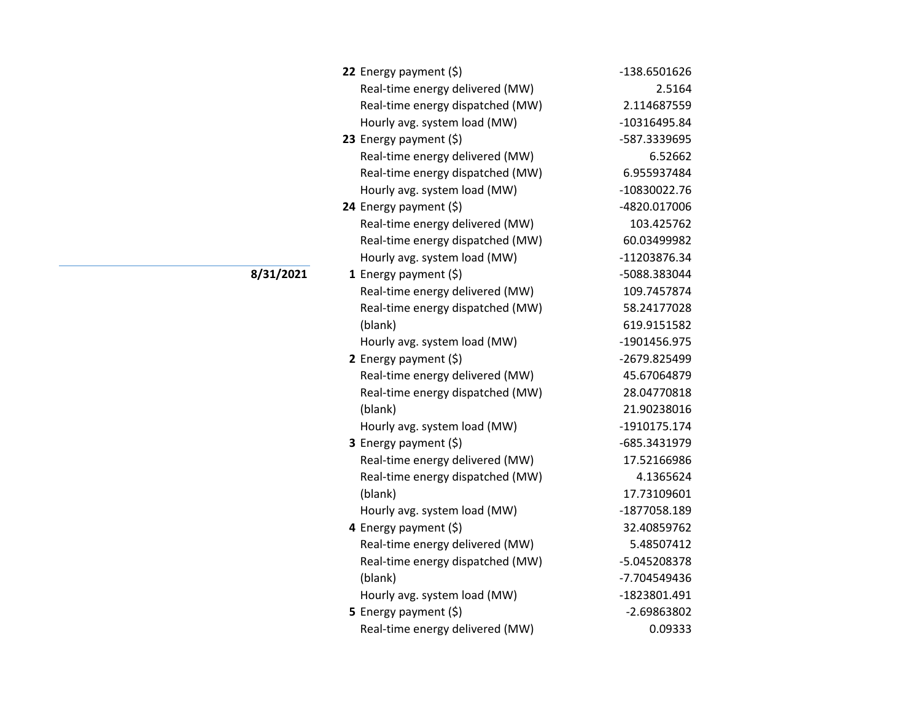| 22 Energy payment $(\xi)$        | -138.6501626 |
|----------------------------------|--------------|
| Real-time energy delivered (MW)  | 2.5164       |
| Real-time energy dispatched (MW) | 2.114687559  |
| Hourly avg. system load (MW)     | -10316495.84 |
| 23 Energy payment $(5)$          | -587.3339695 |
| Real-time energy delivered (MW)  | 6.52662      |
| Real-time energy dispatched (MW) | 6.955937484  |
| Hourly avg. system load (MW)     | -10830022.76 |
| 24 Energy payment (\$)           | -4820.017006 |
| Real-time energy delivered (MW)  | 103.425762   |
| Real-time energy dispatched (MW) | 60.03499982  |
| Hourly avg. system load (MW)     | -11203876.34 |
| 1 Energy payment $(\xi)$         | -5088.383044 |
| Real-time energy delivered (MW)  | 109.7457874  |
| Real-time energy dispatched (MW) | 58.24177028  |
| (blank)                          | 619.9151582  |
| Hourly avg. system load (MW)     | -1901456.975 |
| 2 Energy payment $(5)$           | -2679.825499 |
| Real-time energy delivered (MW)  | 45.67064879  |
| Real-time energy dispatched (MW) | 28.04770818  |
| (blank)                          | 21.90238016  |
| Hourly avg. system load (MW)     | -1910175.174 |
| 3 Energy payment (\$)            | -685.3431979 |
| Real-time energy delivered (MW)  | 17.52166986  |
| Real-time energy dispatched (MW) | 4.1365624    |
| (blank)                          | 17.73109601  |
| Hourly avg. system load (MW)     | -1877058.189 |
| 4 Energy payment (\$)            | 32.40859762  |
| Real-time energy delivered (MW)  | 5.48507412   |
| Real-time energy dispatched (MW) | -5.045208378 |
| (blank)                          | -7.704549436 |
| Hourly avg. system load (MW)     | -1823801.491 |
| 5 Energy payment (\$)            | -2.69863802  |
| Real-time energy delivered (MW)  | 0.09333      |

**8/31/2021**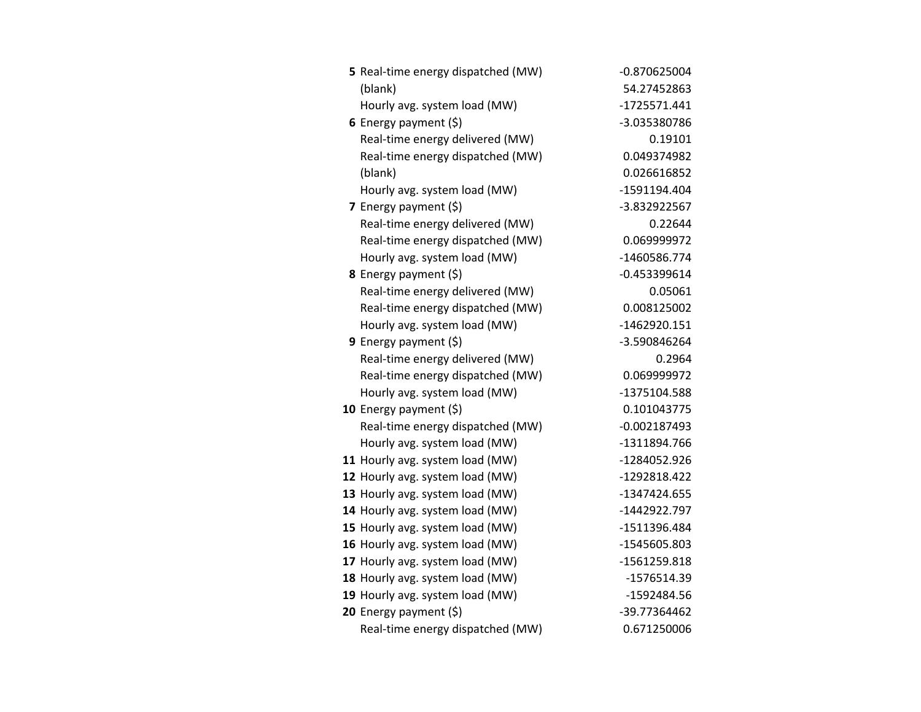| 5 Real-time energy dispatched (MW) | $-0.870625004$ |
|------------------------------------|----------------|
| (blank)                            | 54.27452863    |
| Hourly avg. system load (MW)       | -1725571.441   |
| 6 Energy payment $(\xi)$           | -3.035380786   |
| Real-time energy delivered (MW)    | 0.19101        |
| Real-time energy dispatched (MW)   | 0.049374982    |
| (blank)                            | 0.026616852    |
| Hourly avg. system load (MW)       | -1591194.404   |
| 7 Energy payment $(5)$             | -3.832922567   |
| Real-time energy delivered (MW)    | 0.22644        |
| Real-time energy dispatched (MW)   | 0.069999972    |
| Hourly avg. system load (MW)       | -1460586.774   |
| <b>8</b> Energy payment $(\xi)$    | $-0.453399614$ |
| Real-time energy delivered (MW)    | 0.05061        |
| Real-time energy dispatched (MW)   | 0.008125002    |
| Hourly avg. system load (MW)       | -1462920.151   |
| 9 Energy payment $(\xi)$           | -3.590846264   |
| Real-time energy delivered (MW)    | 0.2964         |
| Real-time energy dispatched (MW)   | 0.069999972    |
| Hourly avg. system load (MW)       | -1375104.588   |
| 10 Energy payment (\$)             | 0.101043775    |
| Real-time energy dispatched (MW)   | $-0.002187493$ |
| Hourly avg. system load (MW)       | -1311894.766   |
| 11 Hourly avg. system load (MW)    | -1284052.926   |
| 12 Hourly avg. system load (MW)    | -1292818.422   |
| 13 Hourly avg. system load (MW)    | -1347424.655   |
| 14 Hourly avg. system load (MW)    | -1442922.797   |
| 15 Hourly avg. system load (MW)    | -1511396.484   |
| 16 Hourly avg. system load (MW)    | -1545605.803   |
| 17 Hourly avg. system load (MW)    | -1561259.818   |
| 18 Hourly avg. system load (MW)    | -1576514.39    |
| 19 Hourly avg. system load (MW)    | -1592484.56    |
| 20 Energy payment (\$)             | -39.77364462   |
| Real-time energy dispatched (MW)   | 0.671250006    |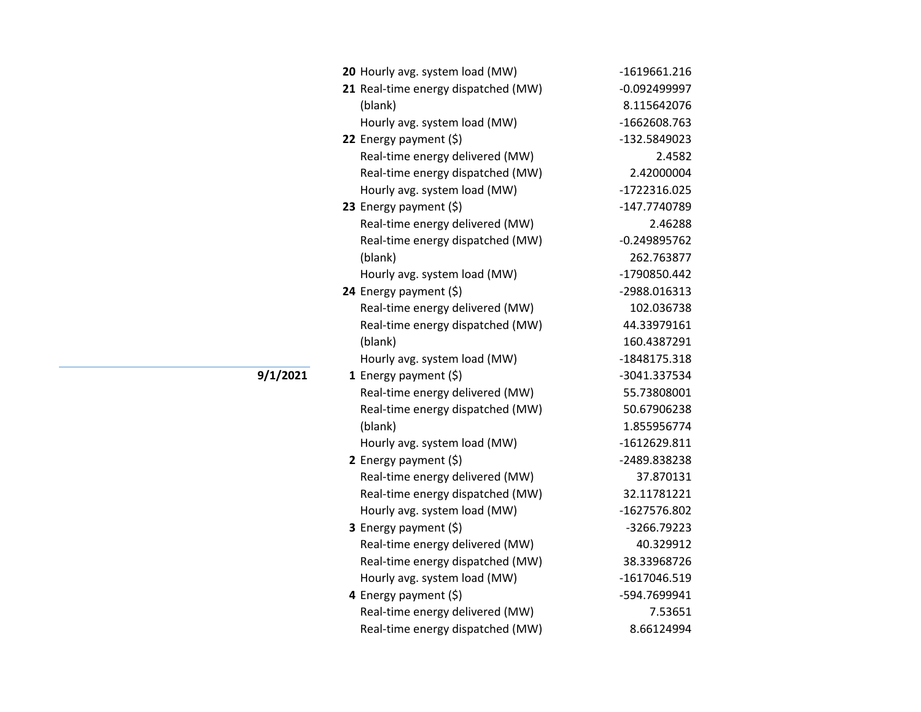| 20 Hourly avg. system load (MW)     | $-1619661.216$ |
|-------------------------------------|----------------|
| 21 Real-time energy dispatched (MW) | -0.092499997   |
| (blank)                             | 8.115642076    |
| Hourly avg. system load (MW)        | -1662608.763   |
| 22 Energy payment $(\xi)$           | -132.5849023   |
| Real-time energy delivered (MW)     | 2.4582         |
| Real-time energy dispatched (MW)    | 2.42000004     |
| Hourly avg. system load (MW)        | -1722316.025   |
| 23 Energy payment $(\xi)$           | -147.7740789   |
| Real-time energy delivered (MW)     | 2.46288        |
| Real-time energy dispatched (MW)    | $-0.249895762$ |
| (blank)                             | 262.763877     |
| Hourly avg. system load (MW)        | -1790850.442   |
| 24 Energy payment (\$)              | -2988.016313   |
| Real-time energy delivered (MW)     | 102.036738     |
| Real-time energy dispatched (MW)    | 44.33979161    |
| (blank)                             | 160.4387291    |
| Hourly avg. system load (MW)        | -1848175.318   |
| 1 Energy payment $(\$)$             | -3041.337534   |
| Real-time energy delivered (MW)     | 55.73808001    |
| Real-time energy dispatched (MW)    | 50.67906238    |
| (blank)                             | 1.855956774    |
| Hourly avg. system load (MW)        | -1612629.811   |
| 2 Energy payment $(\xi)$            | -2489.838238   |
| Real-time energy delivered (MW)     | 37.870131      |
| Real-time energy dispatched (MW)    | 32.11781221    |
| Hourly avg. system load (MW)        | -1627576.802   |
| 3 Energy payment (\$)               | -3266.79223    |
| Real-time energy delivered (MW)     | 40.329912      |
| Real-time energy dispatched (MW)    | 38.33968726    |
| Hourly avg. system load (MW)        | -1617046.519   |
| 4 Energy payment (\$)               | -594.7699941   |
| Real-time energy delivered (MW)     | 7.53651        |
| Real-time energy dispatched (MW)    | 8.66124994     |

**9/1/2021**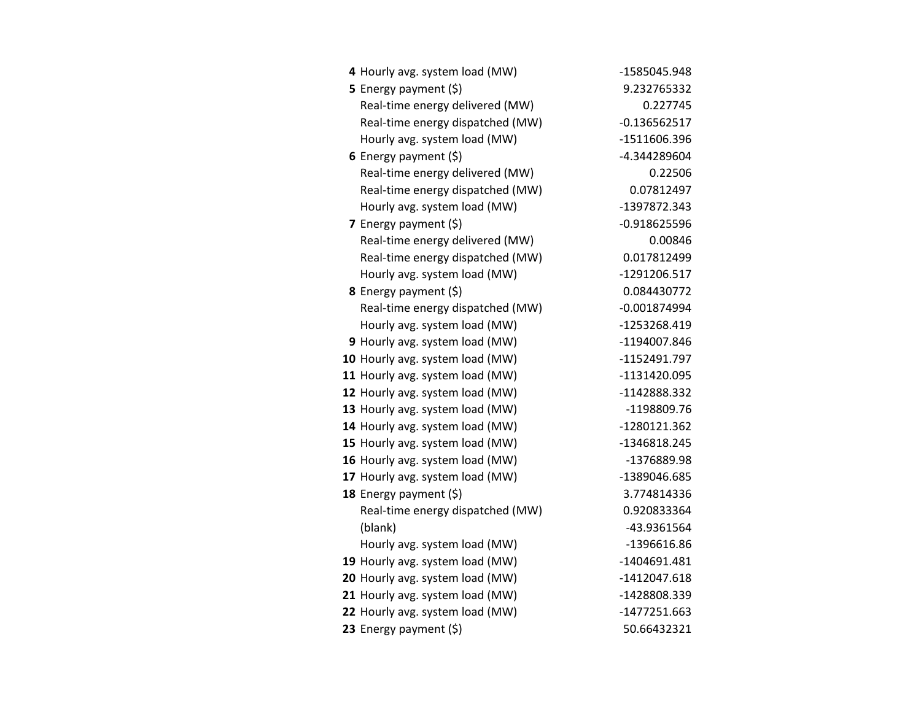| 4 Hourly avg. system load (MW)   | -1585045.948   |
|----------------------------------|----------------|
| <b>5</b> Energy payment $(\xi)$  | 9.232765332    |
| Real-time energy delivered (MW)  | 0.227745       |
| Real-time energy dispatched (MW) | $-0.136562517$ |
| Hourly avg. system load (MW)     | -1511606.396   |
| 6 Energy payment $(\xi)$         | -4.344289604   |
| Real-time energy delivered (MW)  | 0.22506        |
| Real-time energy dispatched (MW) | 0.07812497     |
| Hourly avg. system load (MW)     | -1397872.343   |
| 7 Energy payment $(\xi)$         | $-0.918625596$ |
| Real-time energy delivered (MW)  | 0.00846        |
| Real-time energy dispatched (MW) | 0.017812499    |
| Hourly avg. system load (MW)     | -1291206.517   |
| <b>8</b> Energy payment $(\xi)$  | 0.084430772    |
| Real-time energy dispatched (MW) | $-0.001874994$ |
| Hourly avg. system load (MW)     | -1253268.419   |
| 9 Hourly avg. system load (MW)   | -1194007.846   |
| 10 Hourly avg. system load (MW)  | -1152491.797   |
| 11 Hourly avg. system load (MW)  | -1131420.095   |
| 12 Hourly avg. system load (MW)  | -1142888.332   |
| 13 Hourly avg. system load (MW)  | -1198809.76    |
| 14 Hourly avg. system load (MW)  | -1280121.362   |
| 15 Hourly avg. system load (MW)  | -1346818.245   |
| 16 Hourly avg. system load (MW)  | -1376889.98    |
| 17 Hourly avg. system load (MW)  | -1389046.685   |
| 18 Energy payment (\$)           | 3.774814336    |
| Real-time energy dispatched (MW) | 0.920833364    |
| (blank)                          | -43.9361564    |
| Hourly avg. system load (MW)     | -1396616.86    |
| 19 Hourly avg. system load (MW)  | -1404691.481   |
| 20 Hourly avg. system load (MW)  | -1412047.618   |
| 21 Hourly avg. system load (MW)  | -1428808.339   |
| 22 Hourly avg. system load (MW)  | -1477251.663   |
| 23 Energy payment (\$)           | 50.66432321    |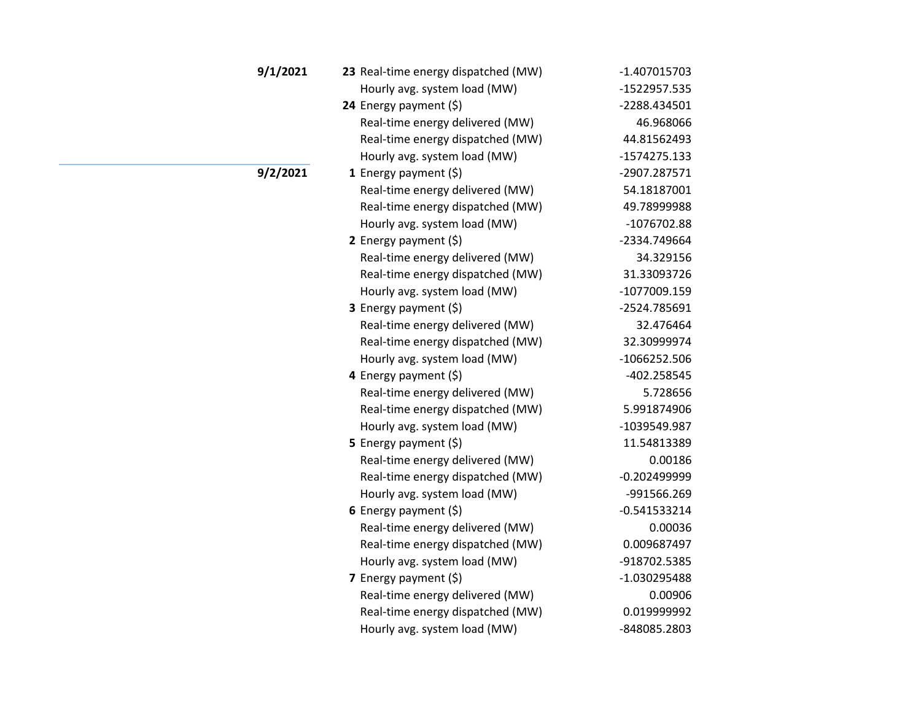| 9/1/2021 | 23 Real-time energy dispatched (MW) | $-1.407015703$ |
|----------|-------------------------------------|----------------|
|          | Hourly avg. system load (MW)        | -1522957.535   |
|          | 24 Energy payment (\$)              | -2288.434501   |
|          | Real-time energy delivered (MW)     | 46.968066      |
|          | Real-time energy dispatched (MW)    | 44.81562493    |
|          | Hourly avg. system load (MW)        | -1574275.133   |
| 9/2/2021 | 1 Energy payment $(\xi)$            | -2907.287571   |
|          | Real-time energy delivered (MW)     | 54.18187001    |
|          | Real-time energy dispatched (MW)    | 49.78999988    |
|          | Hourly avg. system load (MW)        | $-1076702.88$  |
|          | 2 Energy payment (\$)               | -2334.749664   |
|          | Real-time energy delivered (MW)     | 34.329156      |
|          | Real-time energy dispatched (MW)    | 31.33093726    |
|          | Hourly avg. system load (MW)        | -1077009.159   |
|          | 3 Energy payment (\$)               | -2524.785691   |
|          | Real-time energy delivered (MW)     | 32.476464      |
|          | Real-time energy dispatched (MW)    | 32.30999974    |
|          | Hourly avg. system load (MW)        | $-1066252.506$ |
|          | 4 Energy payment (\$)               | -402.258545    |
|          | Real-time energy delivered (MW)     | 5.728656       |
|          | Real-time energy dispatched (MW)    | 5.991874906    |
|          | Hourly avg. system load (MW)        | -1039549.987   |
|          | 5 Energy payment (\$)               | 11.54813389    |
|          | Real-time energy delivered (MW)     | 0.00186        |
|          | Real-time energy dispatched (MW)    | $-0.202499999$ |
|          | Hourly avg. system load (MW)        | -991566.269    |
|          | 6 Energy payment $(\xi)$            | $-0.541533214$ |
|          | Real-time energy delivered (MW)     | 0.00036        |
|          | Real-time energy dispatched (MW)    | 0.009687497    |
|          | Hourly avg. system load (MW)        | -918702.5385   |
|          | 7 Energy payment (\$)               | -1.030295488   |
|          | Real-time energy delivered (MW)     | 0.00906        |
|          | Real-time energy dispatched (MW)    | 0.019999992    |
|          | Hourly avg. system load (MW)        | -848085.2803   |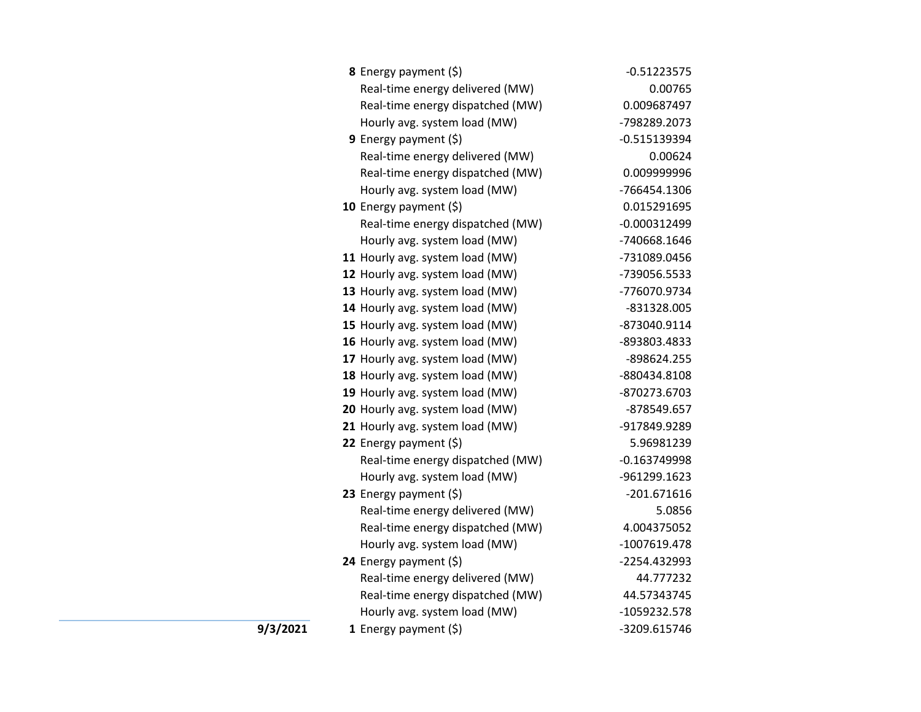| <b>8</b> Energy payment $(\xi)$  | $-0.51223575$  |
|----------------------------------|----------------|
| Real-time energy delivered (MW)  | 0.00765        |
| Real-time energy dispatched (MW) | 0.009687497    |
| Hourly avg. system load (MW)     | -798289.2073   |
| <b>9</b> Energy payment $(\xi)$  | $-0.515139394$ |
| Real-time energy delivered (MW)  | 0.00624        |
| Real-time energy dispatched (MW) | 0.009999996    |
| Hourly avg. system load (MW)     | -766454.1306   |
| 10 Energy payment $(\xi)$        | 0.015291695    |
| Real-time energy dispatched (MW) | $-0.000312499$ |
| Hourly avg. system load (MW)     | -740668.1646   |
| 11 Hourly avg. system load (MW)  | -731089.0456   |
| 12 Hourly avg. system load (MW)  | -739056.5533   |
| 13 Hourly avg. system load (MW)  | -776070.9734   |
| 14 Hourly avg. system load (MW)  | -831328.005    |
| 15 Hourly avg. system load (MW)  | -873040.9114   |
| 16 Hourly avg. system load (MW)  | -893803.4833   |
| 17 Hourly avg. system load (MW)  | -898624.255    |
| 18 Hourly avg. system load (MW)  | -880434.8108   |
| 19 Hourly avg. system load (MW)  | -870273.6703   |
| 20 Hourly avg. system load (MW)  | -878549.657    |
| 21 Hourly avg. system load (MW)  | -917849.9289   |
| 22 Energy payment (\$)           | 5.96981239     |
| Real-time energy dispatched (MW) | $-0.163749998$ |
| Hourly avg. system load (MW)     | -961299.1623   |
| 23 Energy payment (\$)           | $-201.671616$  |
| Real-time energy delivered (MW)  | 5.0856         |
| Real-time energy dispatched (MW) | 4.004375052    |
| Hourly avg. system load (MW)     | -1007619.478   |
| 24 Energy payment (\$)           | -2254.432993   |
| Real-time energy delivered (MW)  | 44.777232      |
| Real-time energy dispatched (MW) | 44.57343745    |
| Hourly avg. system load (MW)     | -1059232.578   |
| 1 Energy payment $(5)$           | -3209.615746   |

**9/3/2021**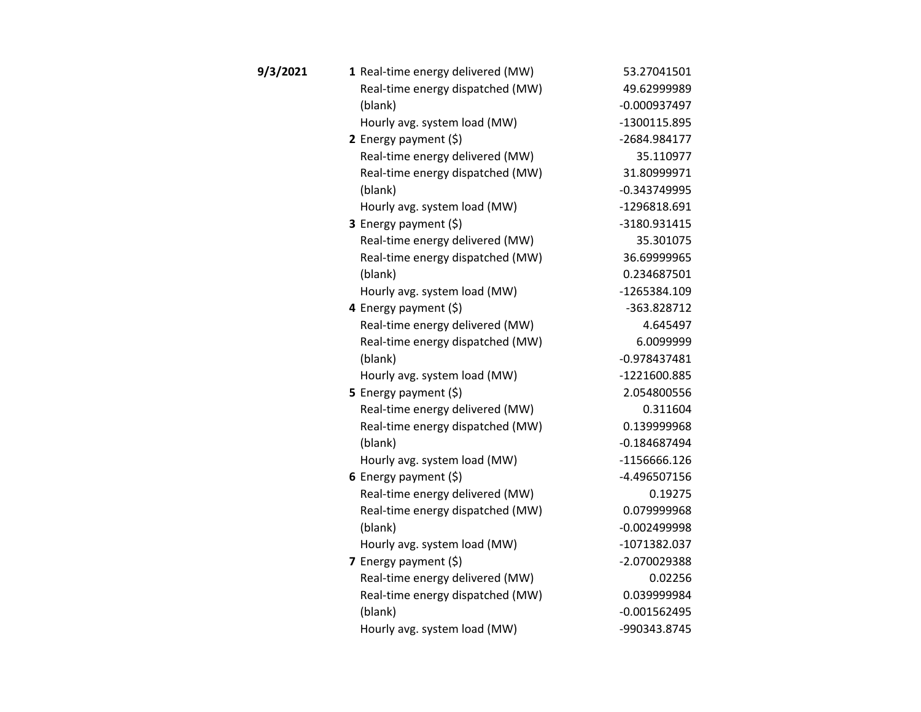| 9/3/2021 | 1 Real-time energy delivered (MW) | 53.27041501    |
|----------|-----------------------------------|----------------|
|          | Real-time energy dispatched (MW)  | 49.62999989    |
|          | (blank)                           | $-0.000937497$ |
|          | Hourly avg. system load (MW)      | -1300115.895   |
|          | 2 Energy payment $(5)$            | -2684.984177   |
|          | Real-time energy delivered (MW)   | 35.110977      |
|          | Real-time energy dispatched (MW)  | 31.80999971    |
|          | (blank)                           | $-0.343749995$ |
|          | Hourly avg. system load (MW)      | -1296818.691   |
|          | 3 Energy payment (\$)             | -3180.931415   |
|          | Real-time energy delivered (MW)   | 35.301075      |
|          | Real-time energy dispatched (MW)  | 36.69999965    |
|          | (blank)                           | 0.234687501    |
|          | Hourly avg. system load (MW)      | -1265384.109   |
|          | 4 Energy payment (\$)             | -363.828712    |
|          | Real-time energy delivered (MW)   | 4.645497       |
|          | Real-time energy dispatched (MW)  | 6.0099999      |
|          | (blank)                           | $-0.978437481$ |
|          | Hourly avg. system load (MW)      | -1221600.885   |
|          | 5 Energy payment $(5)$            | 2.054800556    |
|          | Real-time energy delivered (MW)   | 0.311604       |
|          | Real-time energy dispatched (MW)  | 0.139999968    |
|          | (blank)                           | $-0.184687494$ |
|          | Hourly avg. system load (MW)      | -1156666.126   |
|          | 6 Energy payment $(5)$            | -4.496507156   |
|          | Real-time energy delivered (MW)   | 0.19275        |
|          | Real-time energy dispatched (MW)  | 0.079999968    |
|          | (blank)                           | $-0.002499998$ |
|          | Hourly avg. system load (MW)      | -1071382.037   |
|          | 7 Energy payment (\$)             | -2.070029388   |
|          | Real-time energy delivered (MW)   | 0.02256        |
|          | Real-time energy dispatched (MW)  | 0.039999984    |
|          | (blank)                           | $-0.001562495$ |
|          | Hourly avg. system load (MW)      | -990343.8745   |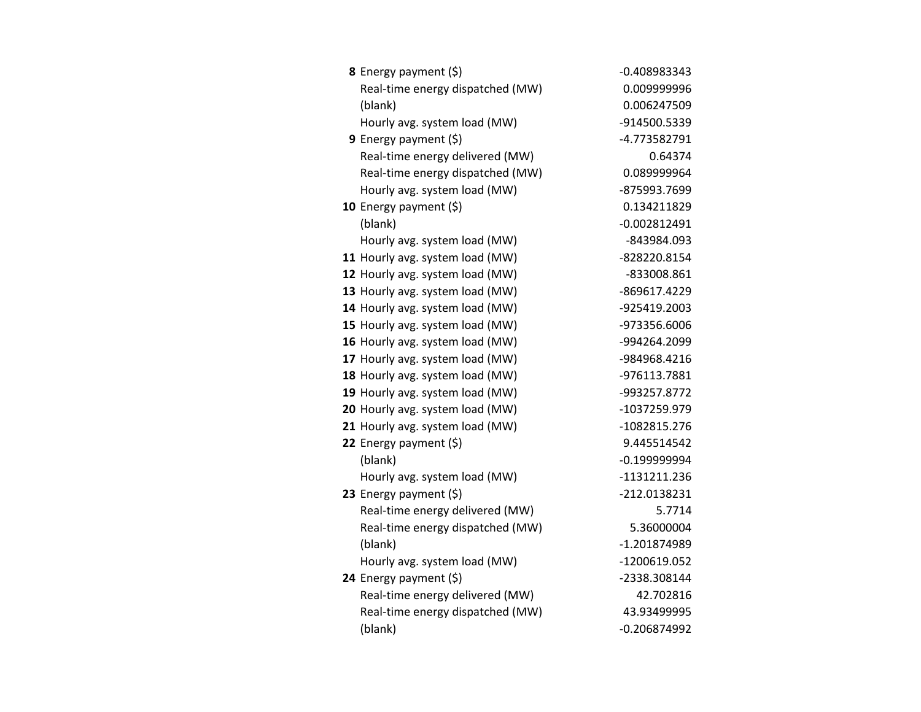| 8 Energy payment (\$)            | -0.408983343   |
|----------------------------------|----------------|
| Real-time energy dispatched (MW) | 0.009999996    |
| (blank)                          | 0.006247509    |
| Hourly avg. system load (MW)     | -914500.5339   |
| 9 Energy payment (\$)            | -4.773582791   |
| Real-time energy delivered (MW)  | 0.64374        |
| Real-time energy dispatched (MW) | 0.089999964    |
| Hourly avg. system load (MW)     | -875993.7699   |
| 10 Energy payment $(\xi)$        | 0.134211829    |
| (blank)                          | $-0.002812491$ |
| Hourly avg. system load (MW)     | -843984.093    |
| 11 Hourly avg. system load (MW)  | -828220.8154   |
| 12 Hourly avg. system load (MW)  | -833008.861    |
| 13 Hourly avg. system load (MW)  | -869617.4229   |
| 14 Hourly avg. system load (MW)  | -925419.2003   |
| 15 Hourly avg. system load (MW)  | -973356.6006   |
| 16 Hourly avg. system load (MW)  | -994264.2099   |
| 17 Hourly avg. system load (MW)  | -984968.4216   |
| 18 Hourly avg. system load (MW)  | -976113.7881   |
| 19 Hourly avg. system load (MW)  | -993257.8772   |
| 20 Hourly avg. system load (MW)  | -1037259.979   |
| 21 Hourly avg. system load (MW)  | -1082815.276   |
| 22 Energy payment (\$)           | 9.445514542    |
| (blank)                          | $-0.199999994$ |
| Hourly avg. system load (MW)     | -1131211.236   |
| 23 Energy payment (\$)           | -212.0138231   |
| Real-time energy delivered (MW)  | 5.7714         |
| Real-time energy dispatched (MW) | 5.36000004     |
| (blank)                          | -1.201874989   |
| Hourly avg. system load (MW)     | -1200619.052   |
| 24 Energy payment (\$)           | -2338.308144   |
| Real-time energy delivered (MW)  | 42.702816      |
| Real-time energy dispatched (MW) | 43.93499995    |
| (blank)                          | $-0.206874992$ |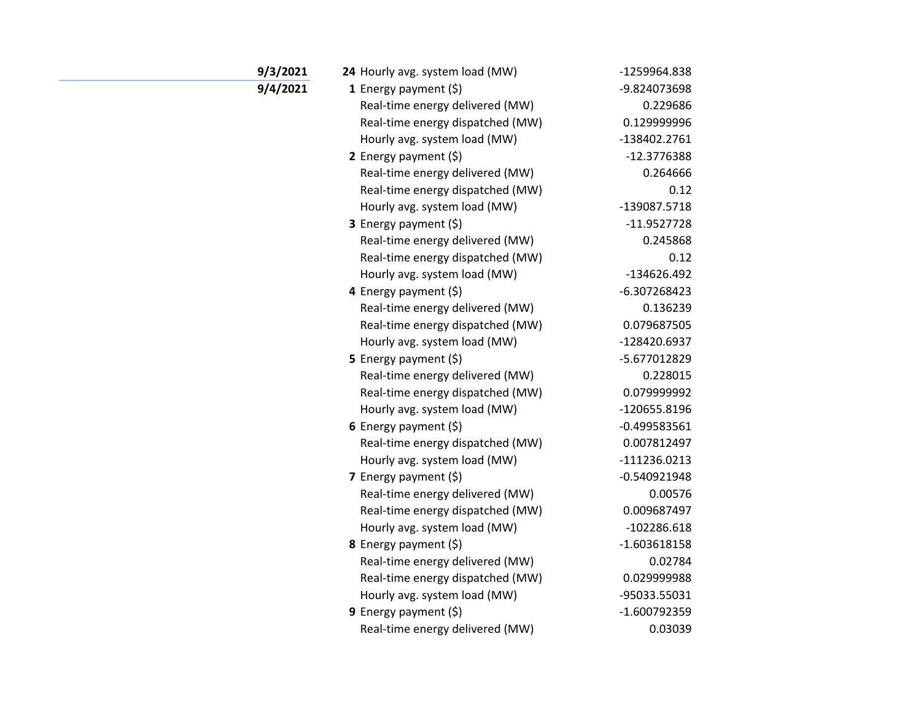| 9/3/2021 | 24 Hourly avg. system load (MW)  | -1259964.838   |
|----------|----------------------------------|----------------|
| 9/4/2021 | 1 Energy payment $(\xi)$         | -9.824073698   |
|          | Real-time energy delivered (MW)  | 0.229686       |
|          | Real-time energy dispatched (MW) | 0.129999996    |
|          | Hourly avg. system load (MW)     | -138402.2761   |
|          | 2 Energy payment $(\xi)$         | -12.3776388    |
|          | Real-time energy delivered (MW)  | 0.264666       |
|          | Real-time energy dispatched (MW) | 0.12           |
|          | Hourly avg. system load (MW)     | -139087.5718   |
|          | 3 Energy payment (\$)            | $-11.9527728$  |
|          | Real-time energy delivered (MW)  | 0.245868       |
|          | Real-time energy dispatched (MW) | 0.12           |
|          | Hourly avg. system load (MW)     | $-134626.492$  |
|          | 4 Energy payment (\$)            | -6.307268423   |
|          | Real-time energy delivered (MW)  | 0.136239       |
|          | Real-time energy dispatched (MW) | 0.079687505    |
|          | Hourly avg. system load (MW)     | -128420.6937   |
|          | 5 Energy payment $(\xi)$         | -5.677012829   |
|          | Real-time energy delivered (MW)  | 0.228015       |
|          | Real-time energy dispatched (MW) | 0.079999992    |
|          | Hourly avg. system load (MW)     | -120655.8196   |
|          | 6 Energy payment $(5)$           | $-0.499583561$ |
|          | Real-time energy dispatched (MW) | 0.007812497    |
|          | Hourly avg. system load (MW)     | $-111236.0213$ |
|          | 7 Energy payment $(\xi)$         | $-0.540921948$ |
|          | Real-time energy delivered (MW)  | 0.00576        |
|          | Real-time energy dispatched (MW) | 0.009687497    |
|          | Hourly avg. system load (MW)     | $-102286.618$  |
|          | <b>8</b> Energy payment $(\xi)$  | $-1.603618158$ |
|          | Real-time energy delivered (MW)  | 0.02784        |
|          | Real-time energy dispatched (MW) | 0.029999988    |
|          | Hourly avg. system load (MW)     | -95033.55031   |
|          | 9 Energy payment $(\xi)$         | $-1.600792359$ |
|          | Real-time energy delivered (MW)  | 0.03039        |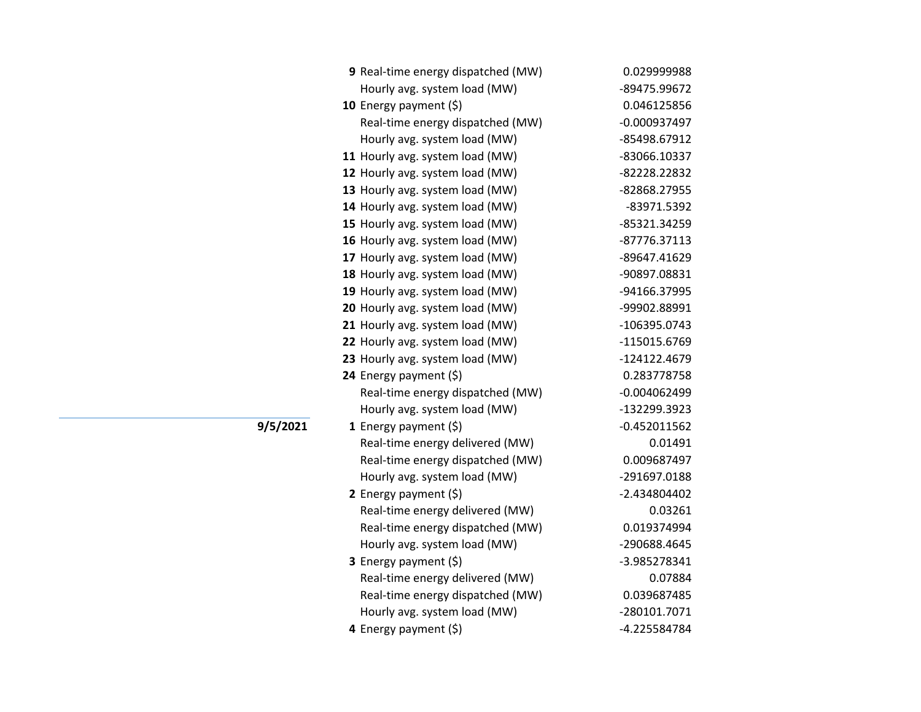| 0.029999988    |
|----------------|
| -89475.99672   |
| 0.046125856    |
| $-0.000937497$ |
| -85498.67912   |
| -83066.10337   |
| -82228.22832   |
| -82868.27955   |
| -83971.5392    |
| -85321.34259   |
| -87776.37113   |
| -89647.41629   |
| -90897.08831   |
| -94166.37995   |
| -99902.88991   |
| -106395.0743   |
| -115015.6769   |
| -124122.4679   |
| 0.283778758    |
| $-0.004062499$ |
| -132299.3923   |
| $-0.452011562$ |
| 0.01491        |
| 0.009687497    |
| -291697.0188   |
| -2.434804402   |
| 0.03261        |
| 0.019374994    |
| -290688.4645   |
| -3.985278341   |
| 0.07884        |
| 0.039687485    |
| -280101.7071   |
| -4.225584784   |
|                |

**9/5/2021**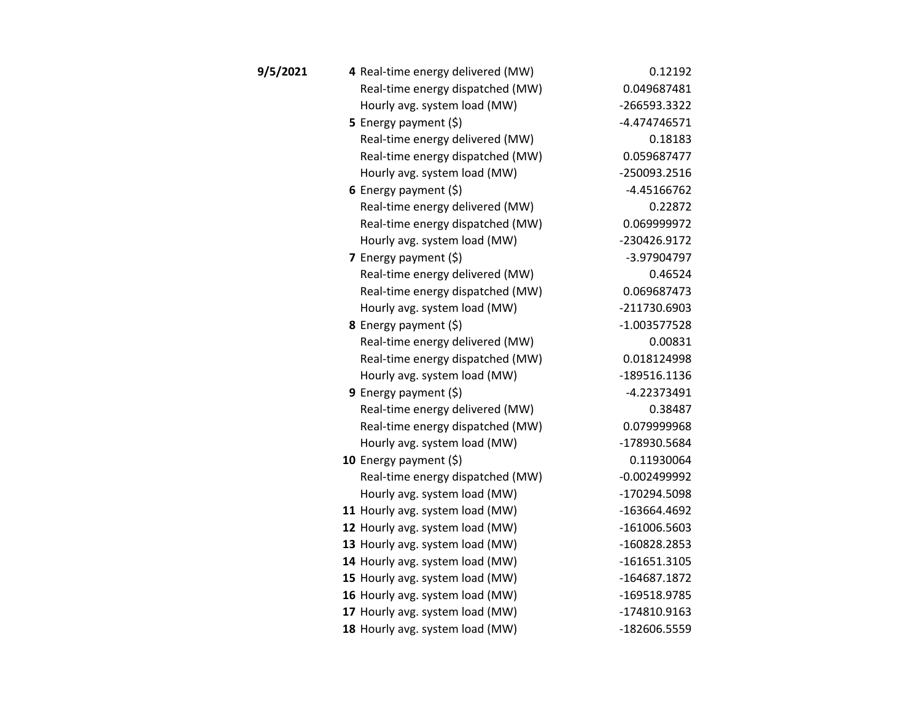| 9/5/2021 | 4 Real-time energy delivered (MW) | 0.12192        |
|----------|-----------------------------------|----------------|
|          | Real-time energy dispatched (MW)  | 0.049687481    |
|          | Hourly avg. system load (MW)      | -266593.3322   |
|          | <b>5</b> Energy payment $(\xi)$   | $-4.474746571$ |
|          | Real-time energy delivered (MW)   | 0.18183        |
|          | Real-time energy dispatched (MW)  | 0.059687477    |
|          | Hourly avg. system load (MW)      | -250093.2516   |
|          | 6 Energy payment $(\xi)$          | $-4.45166762$  |
|          | Real-time energy delivered (MW)   | 0.22872        |
|          | Real-time energy dispatched (MW)  | 0.069999972    |
|          | Hourly avg. system load (MW)      | -230426.9172   |
|          | 7 Energy payment (\$)             | -3.97904797    |
|          | Real-time energy delivered (MW)   | 0.46524        |
|          | Real-time energy dispatched (MW)  | 0.069687473    |
|          | Hourly avg. system load (MW)      | -211730.6903   |
|          | 8 Energy payment (\$)             | $-1.003577528$ |
|          | Real-time energy delivered (MW)   | 0.00831        |
|          | Real-time energy dispatched (MW)  | 0.018124998    |
|          | Hourly avg. system load (MW)      | -189516.1136   |
|          | 9 Energy payment $(\xi)$          | $-4.22373491$  |
|          | Real-time energy delivered (MW)   | 0.38487        |
|          | Real-time energy dispatched (MW)  | 0.079999968    |
|          | Hourly avg. system load (MW)      | -178930.5684   |
|          | 10 Energy payment $(5)$           | 0.11930064     |
|          | Real-time energy dispatched (MW)  | $-0.002499992$ |
|          | Hourly avg. system load (MW)      | -170294.5098   |
|          | 11 Hourly avg. system load (MW)   | -163664.4692   |
|          | 12 Hourly avg. system load (MW)   | $-161006.5603$ |
|          | 13 Hourly avg. system load (MW)   | -160828.2853   |
|          | 14 Hourly avg. system load (MW)   | $-161651.3105$ |
|          | 15 Hourly avg. system load (MW)   | -164687.1872   |
|          | 16 Hourly avg. system load (MW)   | -169518.9785   |
|          | 17 Hourly avg. system load (MW)   | -174810.9163   |
|          | 18 Hourly avg. system load (MW)   | -182606.5559   |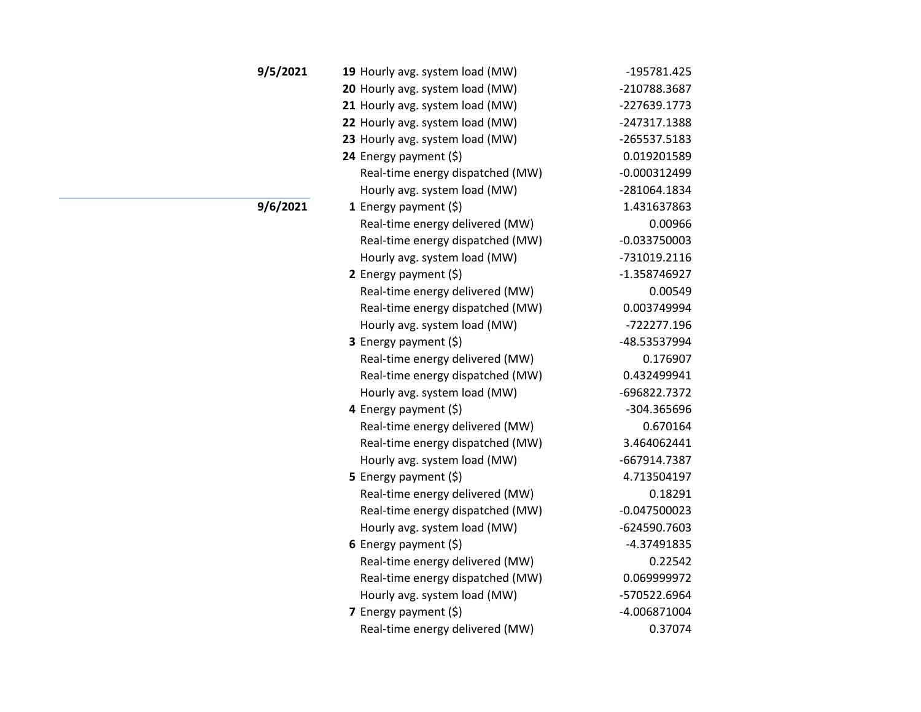| 9/5/2021 | 19 Hourly avg. system load (MW)  | -195781.425    |
|----------|----------------------------------|----------------|
|          | 20 Hourly avg. system load (MW)  | -210788.3687   |
|          | 21 Hourly avg. system load (MW)  | -227639.1773   |
|          | 22 Hourly avg. system load (MW)  | -247317.1388   |
|          | 23 Hourly avg. system load (MW)  | -265537.5183   |
|          | 24 Energy payment $(\xi)$        | 0.019201589    |
|          | Real-time energy dispatched (MW) | $-0.000312499$ |
|          | Hourly avg. system load (MW)     | -281064.1834   |
| 9/6/2021 | 1 Energy payment (\$)            | 1.431637863    |
|          | Real-time energy delivered (MW)  | 0.00966        |
|          | Real-time energy dispatched (MW) | $-0.033750003$ |
|          | Hourly avg. system load (MW)     | -731019.2116   |
|          | 2 Energy payment $(\xi)$         | -1.358746927   |
|          | Real-time energy delivered (MW)  | 0.00549        |
|          | Real-time energy dispatched (MW) | 0.003749994    |
|          | Hourly avg. system load (MW)     | -722277.196    |
|          | 3 Energy payment (\$)            | -48.53537994   |
|          | Real-time energy delivered (MW)  | 0.176907       |
|          | Real-time energy dispatched (MW) | 0.432499941    |
|          | Hourly avg. system load (MW)     | -696822.7372   |
|          | 4 Energy payment (\$)            | -304.365696    |
|          | Real-time energy delivered (MW)  | 0.670164       |
|          | Real-time energy dispatched (MW) | 3.464062441    |
|          | Hourly avg. system load (MW)     | -667914.7387   |
|          | 5 Energy payment $(\xi)$         | 4.713504197    |
|          | Real-time energy delivered (MW)  | 0.18291        |
|          | Real-time energy dispatched (MW) | $-0.047500023$ |
|          | Hourly avg. system load (MW)     | -624590.7603   |
|          | 6 Energy payment $(5)$           | -4.37491835    |
|          | Real-time energy delivered (MW)  | 0.22542        |
|          | Real-time energy dispatched (MW) | 0.069999972    |
|          | Hourly avg. system load (MW)     | -570522.6964   |
|          | 7 Energy payment $(\xi)$         | -4.006871004   |
|          | Real-time energy delivered (MW)  | 0.37074        |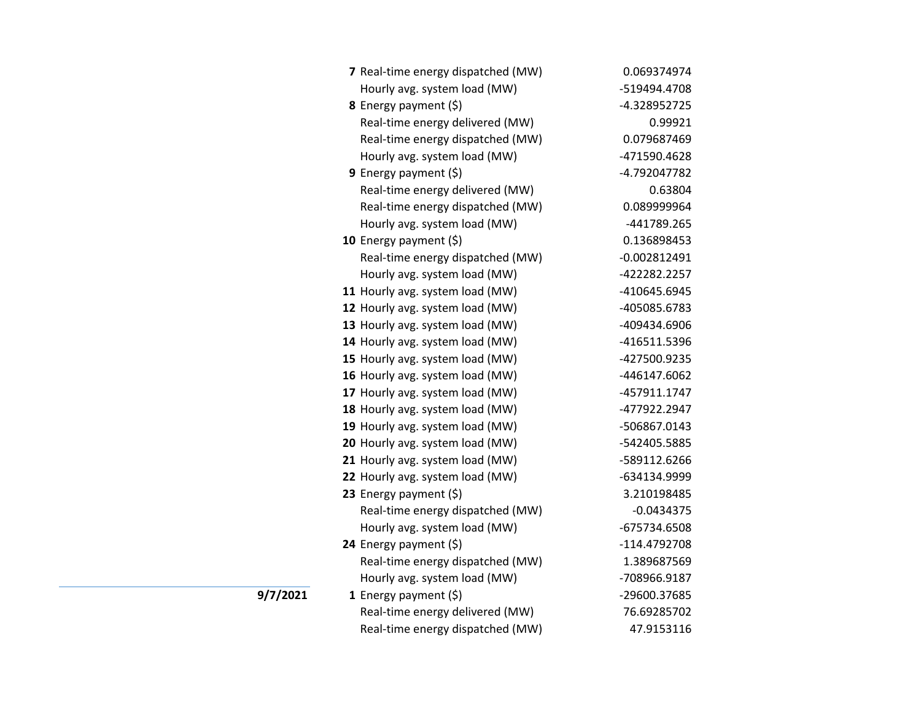| 7 Real-time energy dispatched (MW) | 0.069374974    |
|------------------------------------|----------------|
| Hourly avg. system load (MW)       | -519494.4708   |
| 8 Energy payment (\$)              | -4.328952725   |
| Real-time energy delivered (MW)    | 0.99921        |
| Real-time energy dispatched (MW)   | 0.079687469    |
| Hourly avg. system load (MW)       | -471590.4628   |
| 9 Energy payment $(5)$             | -4.792047782   |
| Real-time energy delivered (MW)    | 0.63804        |
| Real-time energy dispatched (MW)   | 0.089999964    |
| Hourly avg. system load (MW)       | -441789.265    |
| 10 Energy payment $(\xi)$          | 0.136898453    |
| Real-time energy dispatched (MW)   | $-0.002812491$ |
| Hourly avg. system load (MW)       | -422282.2257   |
| 11 Hourly avg. system load (MW)    | -410645.6945   |
| 12 Hourly avg. system load (MW)    | -405085.6783   |
| 13 Hourly avg. system load (MW)    | -409434.6906   |
| 14 Hourly avg. system load (MW)    | -416511.5396   |
| 15 Hourly avg. system load (MW)    | -427500.9235   |
| 16 Hourly avg. system load (MW)    | -446147.6062   |
| 17 Hourly avg. system load (MW)    | -457911.1747   |
| 18 Hourly avg. system load (MW)    | -477922.2947   |
| 19 Hourly avg. system load (MW)    | -506867.0143   |
| 20 Hourly avg. system load (MW)    | -542405.5885   |
| 21 Hourly avg. system load (MW)    | -589112.6266   |
| 22 Hourly avg. system load (MW)    | -634134.9999   |
| 23 Energy payment (\$)             | 3.210198485    |
| Real-time energy dispatched (MW)   | $-0.0434375$   |
| Hourly avg. system load (MW)       | -675734.6508   |
| 24 Energy payment $(\xi)$          | -114.4792708   |
| Real-time energy dispatched (MW)   | 1.389687569    |
| Hourly avg. system load (MW)       | -708966.9187   |
| 1 Energy payment $(\xi)$           | -29600.37685   |
| Real-time energy delivered (MW)    | 76.69285702    |
| Real-time energy dispatched (MW)   | 47.9153116     |

**9/7/2021**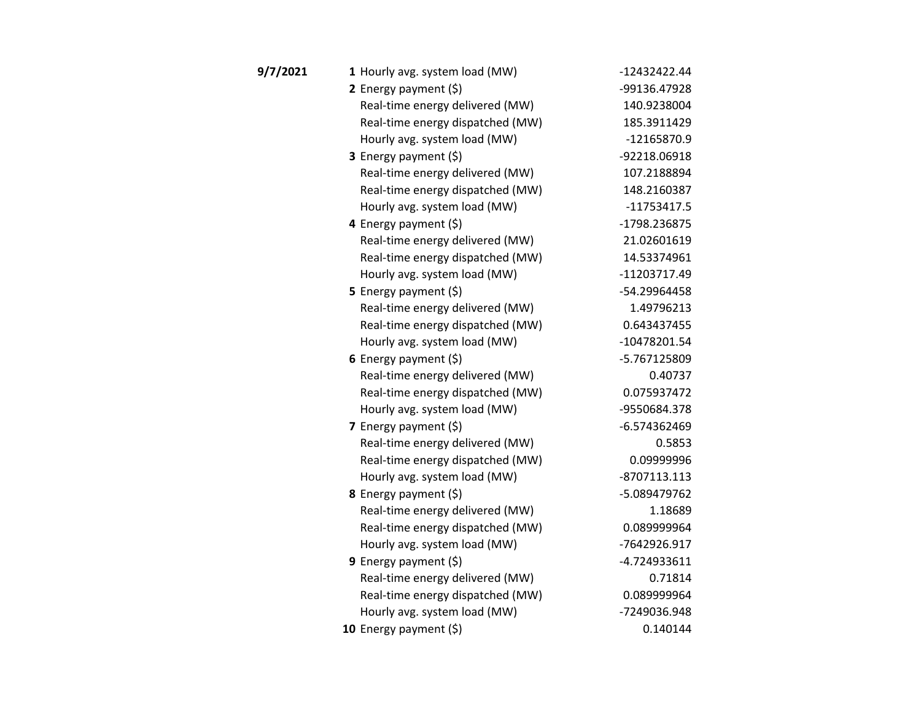| 9/7/2021 | 1 Hourly avg. system load (MW)   | -12432422.44  |
|----------|----------------------------------|---------------|
|          | 2 Energy payment $(\xi)$         | -99136.47928  |
|          | Real-time energy delivered (MW)  | 140.9238004   |
|          | Real-time energy dispatched (MW) | 185.3911429   |
|          | Hourly avg. system load (MW)     | -12165870.9   |
|          | <b>3</b> Energy payment $(\xi)$  | -92218.06918  |
|          | Real-time energy delivered (MW)  | 107.2188894   |
|          | Real-time energy dispatched (MW) | 148.2160387   |
|          | Hourly avg. system load (MW)     | $-11753417.5$ |
|          | 4 Energy payment (\$)            | -1798.236875  |
|          | Real-time energy delivered (MW)  | 21.02601619   |
|          | Real-time energy dispatched (MW) | 14.53374961   |
|          | Hourly avg. system load (MW)     | -11203717.49  |
|          | 5 Energy payment $(5)$           | -54.29964458  |
|          | Real-time energy delivered (MW)  | 1.49796213    |
|          | Real-time energy dispatched (MW) | 0.643437455   |
|          | Hourly avg. system load (MW)     | -10478201.54  |
|          | 6 Energy payment $(\xi)$         | -5.767125809  |
|          | Real-time energy delivered (MW)  | 0.40737       |
|          | Real-time energy dispatched (MW) | 0.075937472   |
|          | Hourly avg. system load (MW)     | -9550684.378  |
|          | 7 Energy payment (\$)            | -6.574362469  |
|          | Real-time energy delivered (MW)  | 0.5853        |
|          | Real-time energy dispatched (MW) | 0.09999996    |
|          | Hourly avg. system load (MW)     | -8707113.113  |
|          | 8 Energy payment (\$)            | -5.089479762  |
|          | Real-time energy delivered (MW)  | 1.18689       |
|          | Real-time energy dispatched (MW) | 0.089999964   |
|          | Hourly avg. system load (MW)     | -7642926.917  |
|          | <b>9</b> Energy payment $(\xi)$  | -4.724933611  |
|          | Real-time energy delivered (MW)  | 0.71814       |
|          | Real-time energy dispatched (MW) | 0.089999964   |
|          | Hourly avg. system load (MW)     | -7249036.948  |
|          | 10 Energy payment (\$)           | 0.140144      |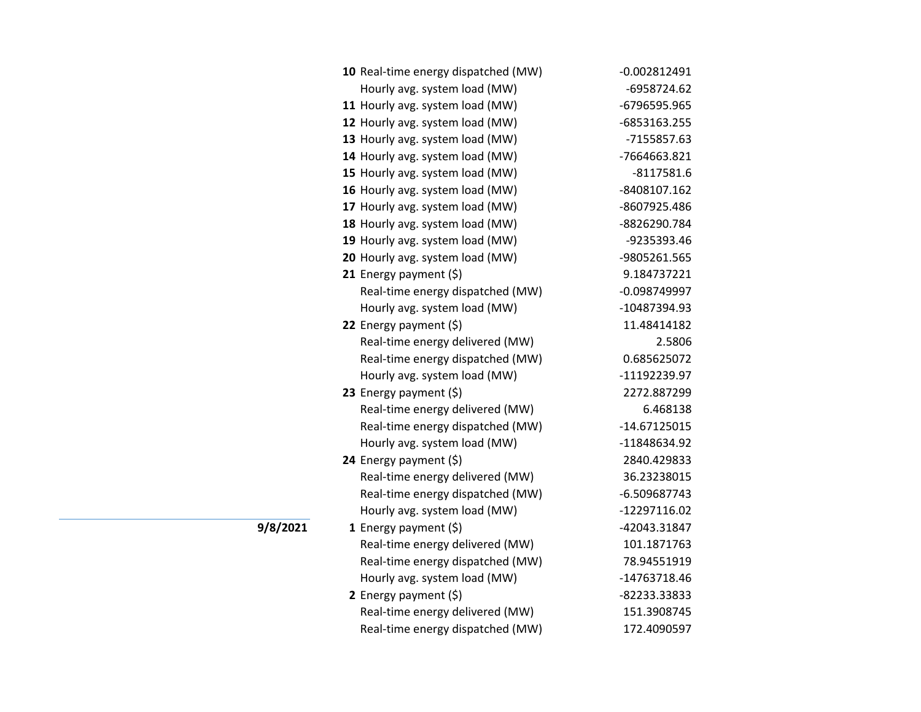| 10 Real-time energy dispatched (MW) | $-0.002812491$ |
|-------------------------------------|----------------|
| Hourly avg. system load (MW)        | -6958724.62    |
| 11 Hourly avg. system load (MW)     | -6796595.965   |
| 12 Hourly avg. system load (MW)     | -6853163.255   |
| 13 Hourly avg. system load (MW)     | -7155857.63    |
| 14 Hourly avg. system load (MW)     | -7664663.821   |
| 15 Hourly avg. system load (MW)     | $-8117581.6$   |
| 16 Hourly avg. system load (MW)     | -8408107.162   |
| 17 Hourly avg. system load (MW)     | -8607925.486   |
| 18 Hourly avg. system load (MW)     | -8826290.784   |
| 19 Hourly avg. system load (MW)     | -9235393.46    |
| 20 Hourly avg. system load (MW)     | -9805261.565   |
| 21 Energy payment $(\xi)$           | 9.184737221    |
| Real-time energy dispatched (MW)    | $-0.098749997$ |
| Hourly avg. system load (MW)        | -10487394.93   |
| 22 Energy payment $(\xi)$           | 11.48414182    |
| Real-time energy delivered (MW)     | 2.5806         |
| Real-time energy dispatched (MW)    | 0.685625072    |
| Hourly avg. system load (MW)        | -11192239.97   |
| 23 Energy payment (\$)              | 2272.887299    |
| Real-time energy delivered (MW)     | 6.468138       |
| Real-time energy dispatched (MW)    | -14.67125015   |
| Hourly avg. system load (MW)        | -11848634.92   |
| 24 Energy payment $(5)$             | 2840.429833    |
| Real-time energy delivered (MW)     | 36.23238015    |
| Real-time energy dispatched (MW)    | -6.509687743   |
| Hourly avg. system load (MW)        | -12297116.02   |
| 1 Energy payment $(\xi)$            | -42043.31847   |
| Real-time energy delivered (MW)     | 101.1871763    |
| Real-time energy dispatched (MW)    | 78.94551919    |
| Hourly avg. system load (MW)        | -14763718.46   |
| 2 Energy payment (\$)               | -82233.33833   |
| Real-time energy delivered (MW)     | 151.3908745    |
| Real-time energy dispatched (MW)    | 172.4090597    |

**9/8/2021**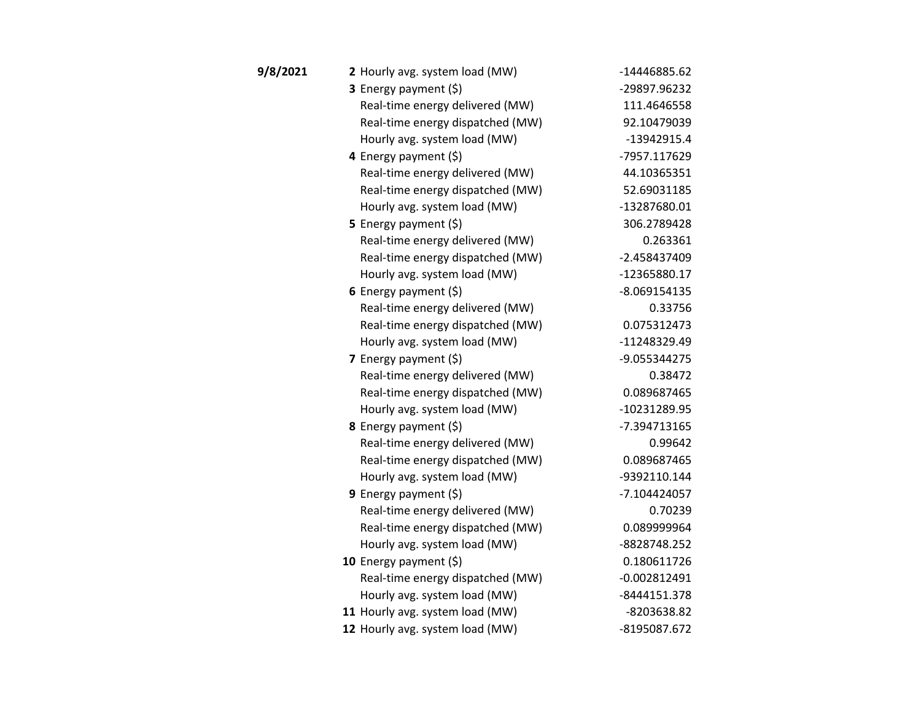| 9/8/2021 | 2 Hourly avg. system load (MW)   | -14446885.62   |
|----------|----------------------------------|----------------|
|          | 3 Energy payment (\$)            | -29897.96232   |
|          | Real-time energy delivered (MW)  | 111.4646558    |
|          | Real-time energy dispatched (MW) | 92.10479039    |
|          | Hourly avg. system load (MW)     | $-13942915.4$  |
|          | 4 Energy payment (\$)            | -7957.117629   |
|          | Real-time energy delivered (MW)  | 44.10365351    |
|          | Real-time energy dispatched (MW) | 52.69031185    |
|          | Hourly avg. system load (MW)     | -13287680.01   |
|          | <b>5</b> Energy payment $(\xi)$  | 306.2789428    |
|          | Real-time energy delivered (MW)  | 0.263361       |
|          | Real-time energy dispatched (MW) | -2.458437409   |
|          | Hourly avg. system load (MW)     | -12365880.17   |
|          | 6 Energy payment $(5)$           | $-8.069154135$ |
|          | Real-time energy delivered (MW)  | 0.33756        |
|          | Real-time energy dispatched (MW) | 0.075312473    |
|          | Hourly avg. system load (MW)     | -11248329.49   |
|          | 7 Energy payment (\$)            | -9.055344275   |
|          | Real-time energy delivered (MW)  | 0.38472        |
|          | Real-time energy dispatched (MW) | 0.089687465    |
|          | Hourly avg. system load (MW)     | -10231289.95   |
|          | <b>8</b> Energy payment $(\xi)$  | -7.394713165   |
|          | Real-time energy delivered (MW)  | 0.99642        |
|          | Real-time energy dispatched (MW) | 0.089687465    |
|          | Hourly avg. system load (MW)     | -9392110.144   |
|          | <b>9</b> Energy payment $(\xi)$  | -7.104424057   |
|          | Real-time energy delivered (MW)  | 0.70239        |
|          | Real-time energy dispatched (MW) | 0.089999964    |
|          | Hourly avg. system load (MW)     | -8828748.252   |
|          | 10 Energy payment $(5)$          | 0.180611726    |
|          | Real-time energy dispatched (MW) | $-0.002812491$ |
|          | Hourly avg. system load (MW)     | -8444151.378   |
|          | 11 Hourly avg. system load (MW)  | -8203638.82    |
|          | 12 Hourly avg. system load (MW)  | -8195087.672   |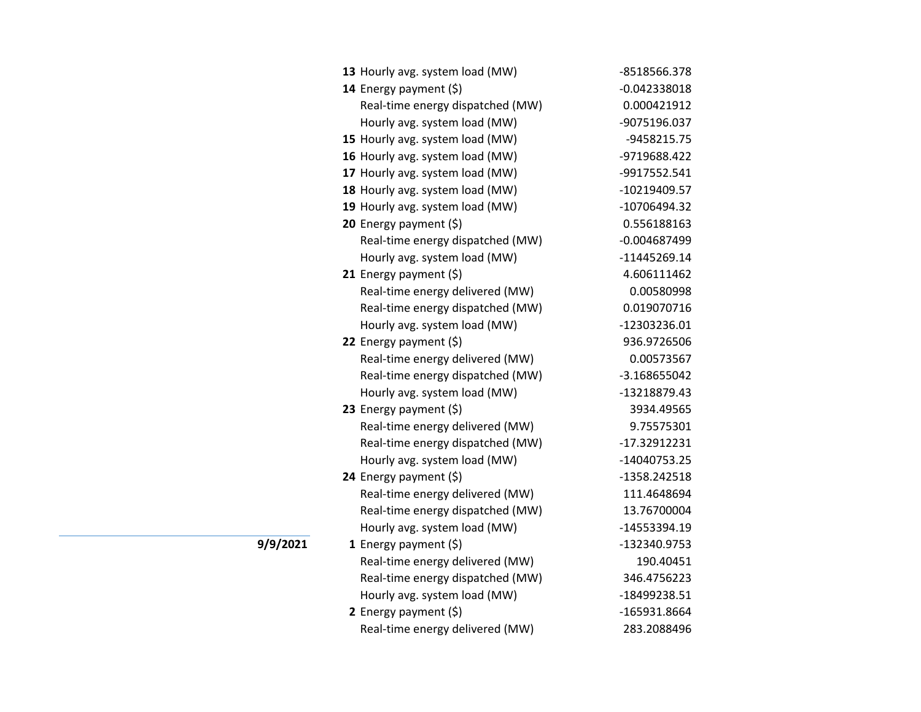| 13 Hourly avg. system load (MW)  | -8518566.378   |
|----------------------------------|----------------|
| 14 Energy payment (\$)           | $-0.042338018$ |
| Real-time energy dispatched (MW) | 0.000421912    |
| Hourly avg. system load (MW)     | -9075196.037   |
| 15 Hourly avg. system load (MW)  | -9458215.75    |
| 16 Hourly avg. system load (MW)  | -9719688.422   |
| 17 Hourly avg. system load (MW)  | -9917552.541   |
| 18 Hourly avg. system load (MW)  | -10219409.57   |
| 19 Hourly avg. system load (MW)  | -10706494.32   |
| 20 Energy payment (\$)           | 0.556188163    |
| Real-time energy dispatched (MW) | $-0.004687499$ |
| Hourly avg. system load (MW)     | -11445269.14   |
| 21 Energy payment $(\xi)$        | 4.606111462    |
| Real-time energy delivered (MW)  | 0.00580998     |
| Real-time energy dispatched (MW) | 0.019070716    |
| Hourly avg. system load (MW)     | -12303236.01   |
| 22 Energy payment (\$)           | 936.9726506    |
| Real-time energy delivered (MW)  | 0.00573567     |
| Real-time energy dispatched (MW) | -3.168655042   |
| Hourly avg. system load (MW)     | -13218879.43   |
| 23 Energy payment (\$)           | 3934.49565     |
| Real-time energy delivered (MW)  | 9.75575301     |
| Real-time energy dispatched (MW) | -17.32912231   |
| Hourly avg. system load (MW)     | -14040753.25   |
| 24 Energy payment (\$)           | -1358.242518   |
| Real-time energy delivered (MW)  | 111.4648694    |
| Real-time energy dispatched (MW) | 13.76700004    |
| Hourly avg. system load (MW)     | -14553394.19   |
| 1 Energy payment $(\xi)$         | -132340.9753   |
| Real-time energy delivered (MW)  | 190.40451      |
| Real-time energy dispatched (MW) | 346.4756223    |
| Hourly avg. system load (MW)     | -18499238.51   |
| 2 Energy payment $(5)$           | -165931.8664   |
| Real-time energy delivered (MW)  | 283.2088496    |

**9/9/2021**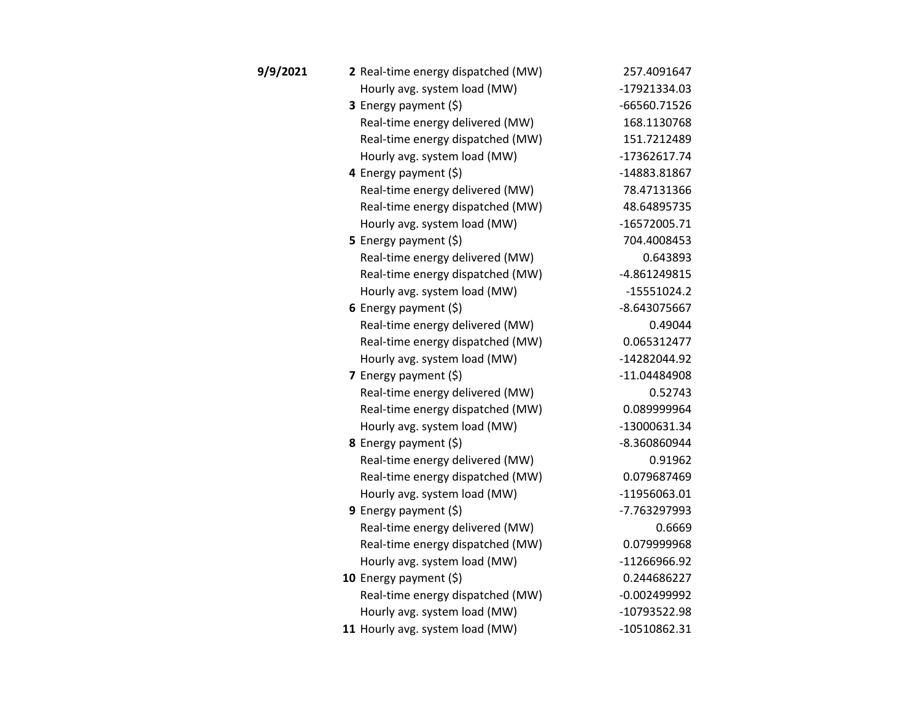| 9/9/2021 | 2 Real-time energy dispatched (MW) | 257.4091647    |
|----------|------------------------------------|----------------|
|          | Hourly avg. system load (MW)       | -17921334.03   |
|          | 3 Energy payment (\$)              | -66560.71526   |
|          | Real-time energy delivered (MW)    | 168.1130768    |
|          | Real-time energy dispatched (MW)   | 151.7212489    |
|          | Hourly avg. system load (MW)       | -17362617.74   |
|          | 4 Energy payment (\$)              | -14883.81867   |
|          | Real-time energy delivered (MW)    | 78.47131366    |
|          | Real-time energy dispatched (MW)   | 48.64895735    |
|          | Hourly avg. system load (MW)       | $-16572005.71$ |
|          | 5 Energy payment (\$)              | 704.4008453    |
|          | Real-time energy delivered (MW)    | 0.643893       |
|          | Real-time energy dispatched (MW)   | -4.861249815   |
|          | Hourly avg. system load (MW)       | $-15551024.2$  |
|          | 6 Energy payment $(\xi)$           | -8.643075667   |
|          | Real-time energy delivered (MW)    | 0.49044        |
|          | Real-time energy dispatched (MW)   | 0.065312477    |
|          | Hourly avg. system load (MW)       | -14282044.92   |
|          | 7 Energy payment $(5)$             | -11.04484908   |
|          | Real-time energy delivered (MW)    | 0.52743        |
|          | Real-time energy dispatched (MW)   | 0.089999964    |
|          | Hourly avg. system load (MW)       | -13000631.34   |
|          | 8 Energy payment (\$)              | -8.360860944   |
|          | Real-time energy delivered (MW)    | 0.91962        |
|          | Real-time energy dispatched (MW)   | 0.079687469    |
|          | Hourly avg. system load (MW)       | -11956063.01   |
|          | <b>9</b> Energy payment $(\xi)$    | -7.763297993   |
|          | Real-time energy delivered (MW)    | 0.6669         |
|          | Real-time energy dispatched (MW)   | 0.079999968    |
|          | Hourly avg. system load (MW)       | -11266966.92   |
|          | 10 Energy payment $(\xi)$          | 0.244686227    |
|          | Real-time energy dispatched (MW)   | $-0.002499992$ |
|          | Hourly avg. system load (MW)       | -10793522.98   |
|          | 11 Hourly avg. system load (MW)    | -10510862.31   |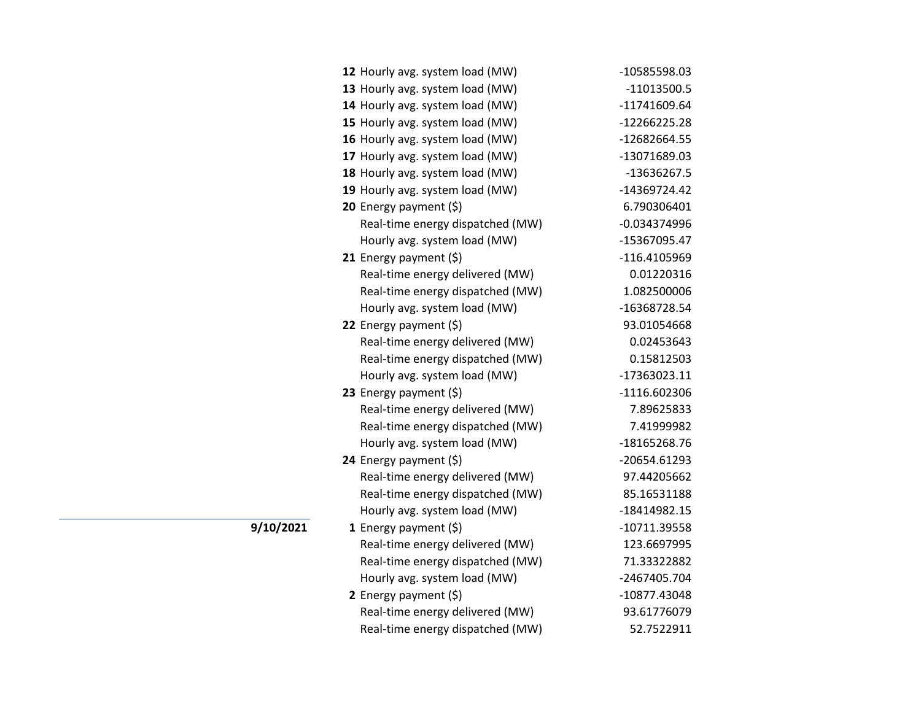|           | 12 Hourly avg. system load (MW)  | -10585598.03   |
|-----------|----------------------------------|----------------|
|           | 13 Hourly avg. system load (MW)  | $-11013500.5$  |
|           | 14 Hourly avg. system load (MW)  | -11741609.64   |
|           | 15 Hourly avg. system load (MW)  | -12266225.28   |
|           | 16 Hourly avg. system load (MW)  | -12682664.55   |
|           | 17 Hourly avg. system load (MW)  | -13071689.03   |
|           | 18 Hourly avg. system load (MW)  | $-13636267.5$  |
|           | 19 Hourly avg. system load (MW)  | -14369724.42   |
|           | <b>20</b> Energy payment $(\xi)$ | 6.790306401    |
|           | Real-time energy dispatched (MW) | $-0.034374996$ |
|           | Hourly avg. system load (MW)     | -15367095.47   |
|           | 21 Energy payment $(\xi)$        | $-116.4105969$ |
|           | Real-time energy delivered (MW)  | 0.01220316     |
|           | Real-time energy dispatched (MW) | 1.082500006    |
|           | Hourly avg. system load (MW)     | -16368728.54   |
|           | 22 Energy payment (\$)           | 93.01054668    |
|           | Real-time energy delivered (MW)  | 0.02453643     |
|           | Real-time energy dispatched (MW) | 0.15812503     |
|           | Hourly avg. system load (MW)     | -17363023.11   |
|           | 23 Energy payment (\$)           | $-1116.602306$ |
|           | Real-time energy delivered (MW)  | 7.89625833     |
|           | Real-time energy dispatched (MW) | 7.41999982     |
|           | Hourly avg. system load (MW)     | -18165268.76   |
|           | 24 Energy payment (\$)           | -20654.61293   |
|           | Real-time energy delivered (MW)  | 97.44205662    |
|           | Real-time energy dispatched (MW) | 85.16531188    |
|           | Hourly avg. system load (MW)     | -18414982.15   |
| 9/10/2021 | 1 Energy payment $(\xi)$         | $-10711.39558$ |
|           | Real-time energy delivered (MW)  | 123.6697995    |
|           | Real-time energy dispatched (MW) | 71.33322882    |
|           | Hourly avg. system load (MW)     | -2467405.704   |
|           | 2 Energy payment (\$)            | -10877.43048   |
|           | Real-time energy delivered (MW)  | 93.61776079    |
|           | Real-time energy dispatched (MW) | 52.7522911     |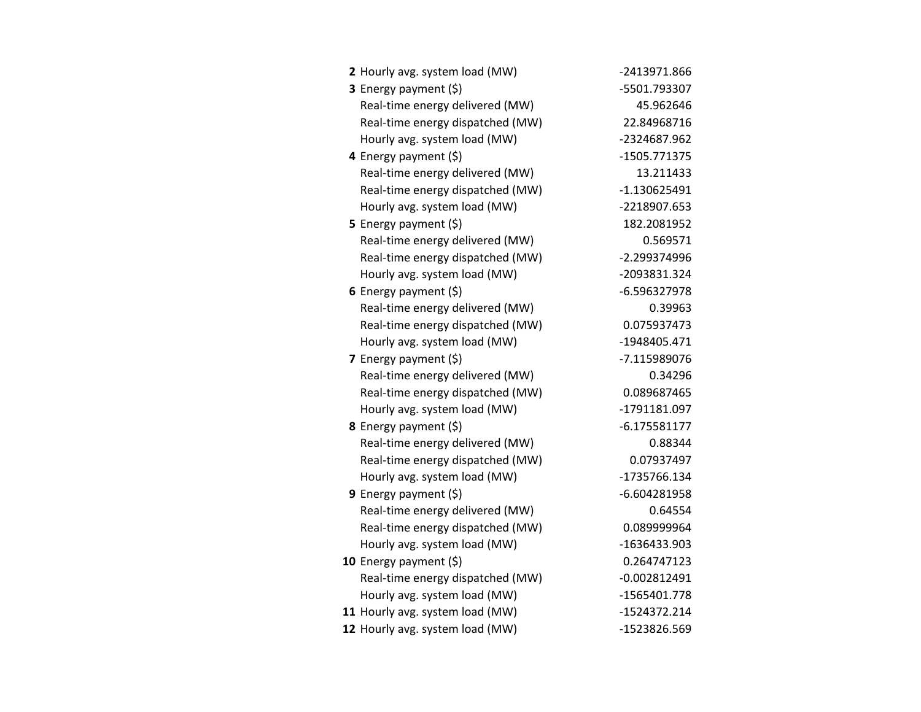| 2 Hourly avg. system load (MW)   | -2413971.866   |
|----------------------------------|----------------|
| 3 Energy payment (\$)            | -5501.793307   |
| Real-time energy delivered (MW)  | 45.962646      |
| Real-time energy dispatched (MW) | 22.84968716    |
| Hourly avg. system load (MW)     | -2324687.962   |
| 4 Energy payment (\$)            | -1505.771375   |
| Real-time energy delivered (MW)  | 13.211433      |
| Real-time energy dispatched (MW) | $-1.130625491$ |
| Hourly avg. system load (MW)     | -2218907.653   |
| 5 Energy payment $(\xi)$         | 182.2081952    |
| Real-time energy delivered (MW)  | 0.569571       |
| Real-time energy dispatched (MW) | -2.299374996   |
| Hourly avg. system load (MW)     | -2093831.324   |
| 6 Energy payment $(5)$           | $-6.596327978$ |
| Real-time energy delivered (MW)  | 0.39963        |
| Real-time energy dispatched (MW) | 0.075937473    |
| Hourly avg. system load (MW)     | -1948405.471   |
| 7 Energy payment $(5)$           | -7.115989076   |
| Real-time energy delivered (MW)  | 0.34296        |
| Real-time energy dispatched (MW) | 0.089687465    |
| Hourly avg. system load (MW)     | -1791181.097   |
| <b>8</b> Energy payment $(\xi)$  | $-6.175581177$ |
| Real-time energy delivered (MW)  | 0.88344        |
| Real-time energy dispatched (MW) | 0.07937497     |
| Hourly avg. system load (MW)     | -1735766.134   |
| 9 Energy payment $(5)$           | $-6.604281958$ |
| Real-time energy delivered (MW)  | 0.64554        |
| Real-time energy dispatched (MW) | 0.089999964    |
| Hourly avg. system load (MW)     | -1636433.903   |
| 10 Energy payment $(5)$          | 0.264747123    |
| Real-time energy dispatched (MW) | $-0.002812491$ |
| Hourly avg. system load (MW)     | -1565401.778   |
| 11 Hourly avg. system load (MW)  | -1524372.214   |
| 12 Hourly avg. system load (MW)  | -1523826.569   |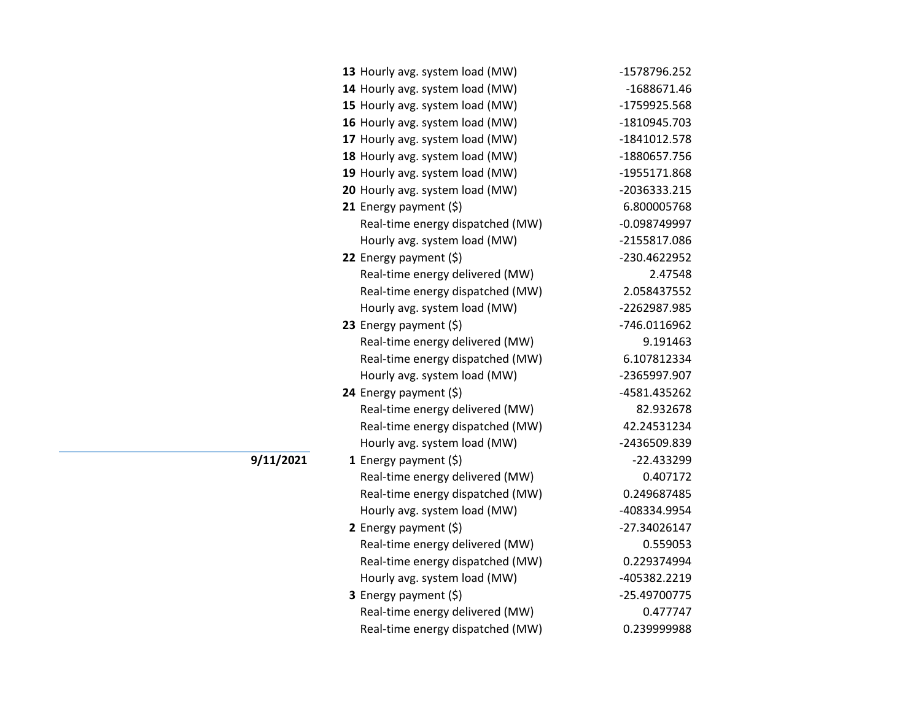| 13 Hourly avg. system load (MW)  | -1578796.252  |
|----------------------------------|---------------|
| 14 Hourly avg. system load (MW)  | $-1688671.46$ |
| 15 Hourly avg. system load (MW)  | -1759925.568  |
| 16 Hourly avg. system load (MW)  | -1810945.703  |
| 17 Hourly avg. system load (MW)  | -1841012.578  |
| 18 Hourly avg. system load (MW)  | -1880657.756  |
| 19 Hourly avg. system load (MW)  | -1955171.868  |
| 20 Hourly avg. system load (MW)  | -2036333.215  |
| <b>21</b> Energy payment $(\xi)$ | 6.800005768   |
| Real-time energy dispatched (MW) | -0.098749997  |
| Hourly avg. system load (MW)     | -2155817.086  |
| 22 Energy payment (\$)           | -230.4622952  |
| Real-time energy delivered (MW)  | 2.47548       |
| Real-time energy dispatched (MW) | 2.058437552   |
| Hourly avg. system load (MW)     | -2262987.985  |
| 23 Energy payment $(\xi)$        | -746.0116962  |
| Real-time energy delivered (MW)  | 9.191463      |
| Real-time energy dispatched (MW) | 6.107812334   |
| Hourly avg. system load (MW)     | -2365997.907  |
| 24 Energy payment (\$)           | -4581.435262  |
| Real-time energy delivered (MW)  | 82.932678     |
| Real-time energy dispatched (MW) | 42.24531234   |
| Hourly avg. system load (MW)     | -2436509.839  |
| <b>1</b> Energy payment $(\xi)$  | $-22.433299$  |
| Real-time energy delivered (MW)  | 0.407172      |
| Real-time energy dispatched (MW) | 0.249687485   |
| Hourly avg. system load (MW)     | -408334.9954  |
| 2 Energy payment $(\xi)$         | -27.34026147  |
| Real-time energy delivered (MW)  | 0.559053      |
| Real-time energy dispatched (MW) | 0.229374994   |
| Hourly avg. system load (MW)     | -405382.2219  |
| 3 Energy payment (\$)            | -25.49700775  |
| Real-time energy delivered (MW)  | 0.477747      |
| Real-time energy dispatched (MW) | 0.239999988   |

**9/11/2021**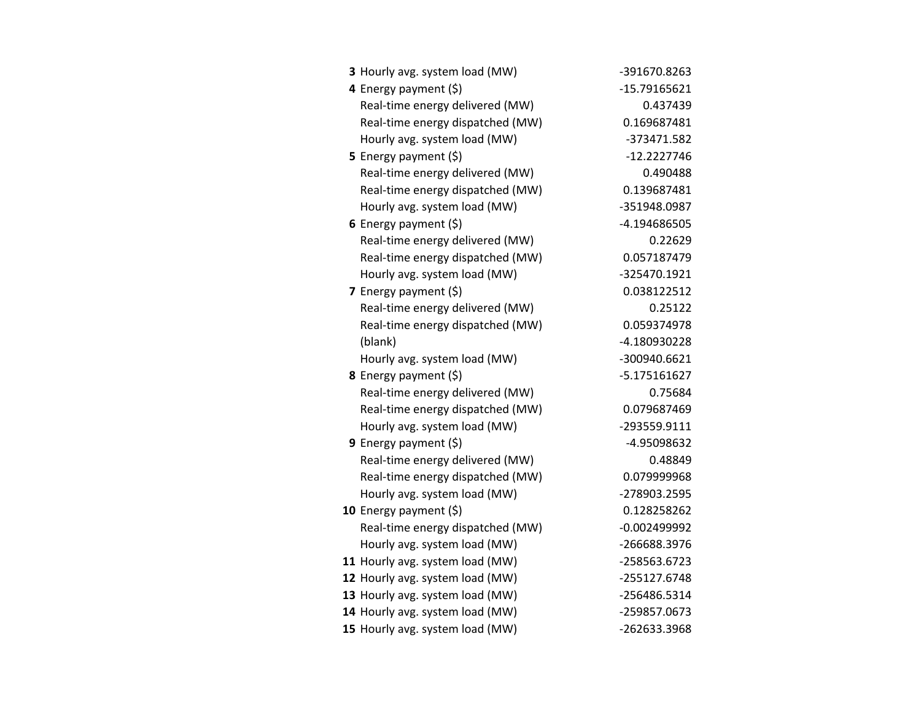| 3 Hourly avg. system load (MW)   | -391670.8263   |
|----------------------------------|----------------|
| 4 Energy payment (\$)            | $-15.79165621$ |
| Real-time energy delivered (MW)  | 0.437439       |
| Real-time energy dispatched (MW) | 0.169687481    |
| Hourly avg. system load (MW)     | -373471.582    |
| 5 Energy payment $(\xi)$         | $-12.2227746$  |
| Real-time energy delivered (MW)  | 0.490488       |
| Real-time energy dispatched (MW) | 0.139687481    |
| Hourly avg. system load (MW)     | -351948.0987   |
| 6 Energy payment $(5)$           | -4.194686505   |
| Real-time energy delivered (MW)  | 0.22629        |
| Real-time energy dispatched (MW) | 0.057187479    |
| Hourly avg. system load (MW)     | -325470.1921   |
| 7 Energy payment $(5)$           | 0.038122512    |
| Real-time energy delivered (MW)  | 0.25122        |
| Real-time energy dispatched (MW) | 0.059374978    |
| (blank)                          | -4.180930228   |
| Hourly avg. system load (MW)     | -300940.6621   |
| 8 Energy payment (\$)            | -5.175161627   |
| Real-time energy delivered (MW)  | 0.75684        |
| Real-time energy dispatched (MW) | 0.079687469    |
| Hourly avg. system load (MW)     | -293559.9111   |
| <b>9</b> Energy payment $(\xi)$  | -4.95098632    |
| Real-time energy delivered (MW)  | 0.48849        |
| Real-time energy dispatched (MW) | 0.079999968    |
| Hourly avg. system load (MW)     | -278903.2595   |
| 10 Energy payment $(\xi)$        | 0.128258262    |
| Real-time energy dispatched (MW) | $-0.002499992$ |
| Hourly avg. system load (MW)     | -266688.3976   |
| 11 Hourly avg. system load (MW)  | -258563.6723   |
| 12 Hourly avg. system load (MW)  | -255127.6748   |
| 13 Hourly avg. system load (MW)  | -256486.5314   |
| 14 Hourly avg. system load (MW)  | -259857.0673   |
| 15 Hourly avg. system load (MW)  | -262633.3968   |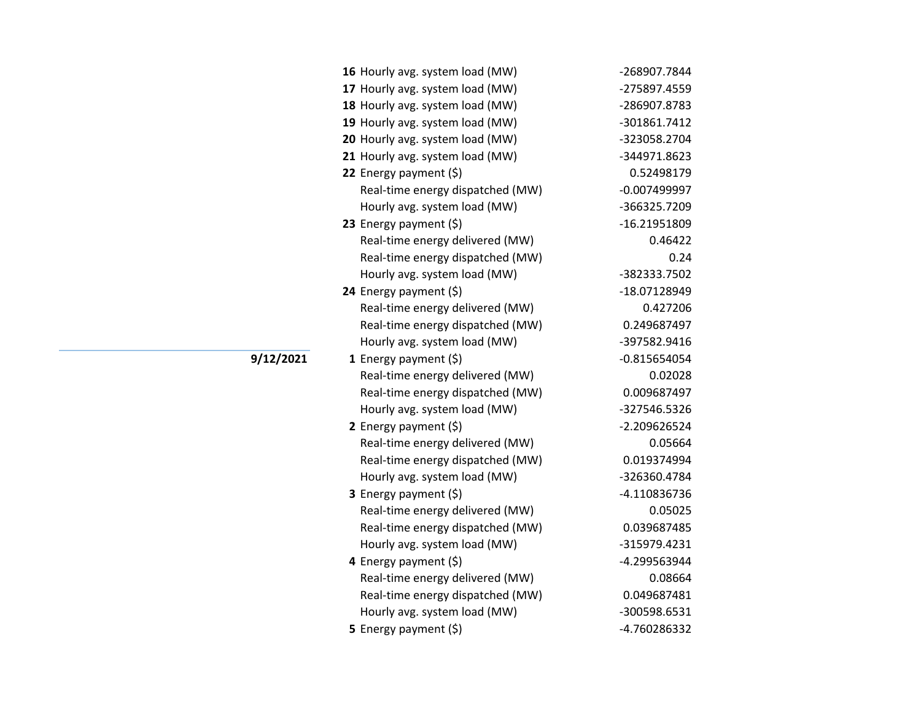| 16 Hourly avg. system load (MW)  | -268907.7844   |
|----------------------------------|----------------|
| 17 Hourly avg. system load (MW)  | -275897.4559   |
| 18 Hourly avg. system load (MW)  | -286907.8783   |
| 19 Hourly avg. system load (MW)  | -301861.7412   |
| 20 Hourly avg. system load (MW)  | -323058.2704   |
| 21 Hourly avg. system load (MW)  | -344971.8623   |
| 22 Energy payment (\$)           | 0.52498179     |
| Real-time energy dispatched (MW) | -0.007499997   |
| Hourly avg. system load (MW)     | -366325.7209   |
| 23 Energy payment (\$)           | -16.21951809   |
| Real-time energy delivered (MW)  | 0.46422        |
| Real-time energy dispatched (MW) | 0.24           |
| Hourly avg. system load (MW)     | -382333.7502   |
| 24 Energy payment $(\xi)$        | -18.07128949   |
| Real-time energy delivered (MW)  | 0.427206       |
| Real-time energy dispatched (MW) | 0.249687497    |
| Hourly avg. system load (MW)     | -397582.9416   |
| 1 Energy payment $(\xi)$         | $-0.815654054$ |
| Real-time energy delivered (MW)  | 0.02028        |
| Real-time energy dispatched (MW) | 0.009687497    |
| Hourly avg. system load (MW)     | -327546.5326   |
| 2 Energy payment $(5)$           | -2.209626524   |
| Real-time energy delivered (MW)  | 0.05664        |
| Real-time energy dispatched (MW) | 0.019374994    |
| Hourly avg. system load (MW)     | -326360.4784   |
| 3 Energy payment (\$)            | -4.110836736   |
| Real-time energy delivered (MW)  | 0.05025        |
| Real-time energy dispatched (MW) | 0.039687485    |
| Hourly avg. system load (MW)     | -315979.4231   |
| 4 Energy payment (\$)            | -4.299563944   |
| Real-time energy delivered (MW)  | 0.08664        |
| Real-time energy dispatched (MW) | 0.049687481    |
| Hourly avg. system load (MW)     | -300598.6531   |
| 5 Energy payment (\$)            | -4.760286332   |

**9/12/2021**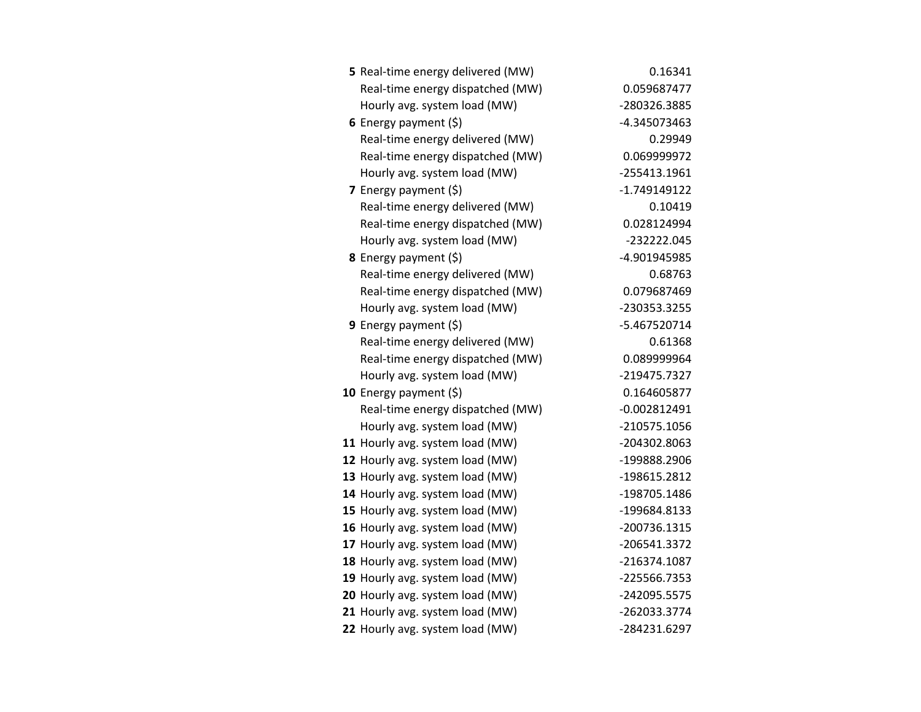| 5 Real-time energy delivered (MW) | 0.16341        |
|-----------------------------------|----------------|
| Real-time energy dispatched (MW)  | 0.059687477    |
| Hourly avg. system load (MW)      | -280326.3885   |
| 6 Energy payment $(5)$            | -4.345073463   |
| Real-time energy delivered (MW)   | 0.29949        |
| Real-time energy dispatched (MW)  | 0.069999972    |
| Hourly avg. system load (MW)      | -255413.1961   |
| 7 Energy payment $(\xi)$          | -1.749149122   |
| Real-time energy delivered (MW)   | 0.10419        |
| Real-time energy dispatched (MW)  | 0.028124994    |
| Hourly avg. system load (MW)      | -232222.045    |
| 8 Energy payment (\$)             | -4.901945985   |
| Real-time energy delivered (MW)   | 0.68763        |
| Real-time energy dispatched (MW)  | 0.079687469    |
| Hourly avg. system load (MW)      | -230353.3255   |
| 9 Energy payment $(\xi)$          | -5.467520714   |
| Real-time energy delivered (MW)   | 0.61368        |
| Real-time energy dispatched (MW)  | 0.089999964    |
| Hourly avg. system load (MW)      | -219475.7327   |
| 10 Energy payment $(5)$           | 0.164605877    |
| Real-time energy dispatched (MW)  | $-0.002812491$ |
| Hourly avg. system load (MW)      | -210575.1056   |
| 11 Hourly avg. system load (MW)   | -204302.8063   |
| 12 Hourly avg. system load (MW)   | -199888.2906   |
| 13 Hourly avg. system load (MW)   | -198615.2812   |
| 14 Hourly avg. system load (MW)   | -198705.1486   |
| 15 Hourly avg. system load (MW)   | -199684.8133   |
| 16 Hourly avg. system load (MW)   | -200736.1315   |
| 17 Hourly avg. system load (MW)   | -206541.3372   |
| 18 Hourly avg. system load (MW)   | -216374.1087   |
| 19 Hourly avg. system load (MW)   | -225566.7353   |
| 20 Hourly avg. system load (MW)   | -242095.5575   |
| 21 Hourly avg. system load (MW)   | -262033.3774   |
| 22 Hourly avg. system load (MW)   | -284231.6297   |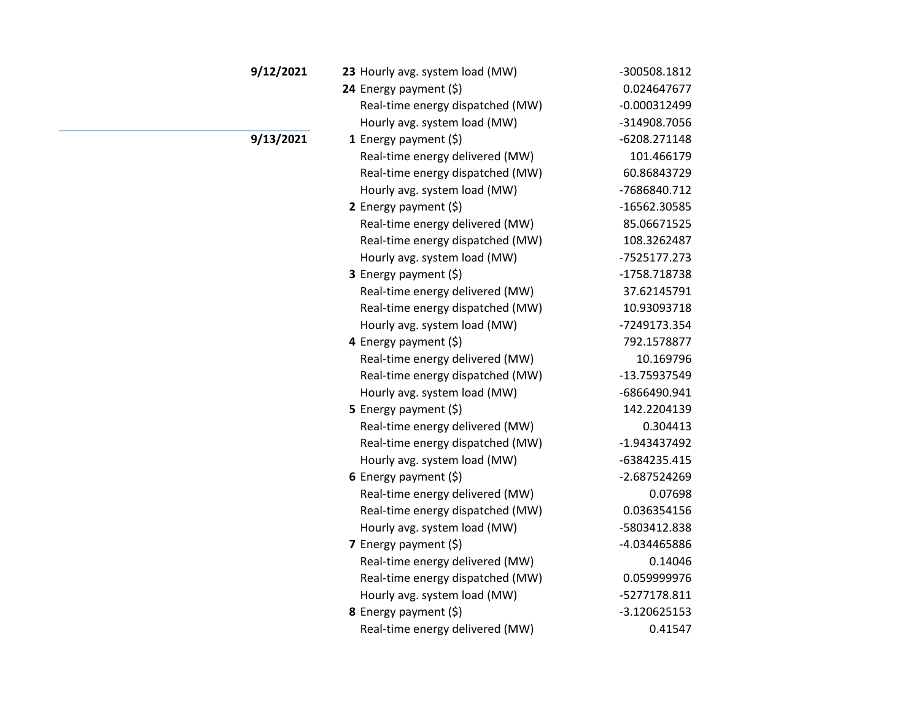| 9/12/2021 | 23 Hourly avg. system load (MW)  | -300508.1812   |
|-----------|----------------------------------|----------------|
|           | 24 Energy payment (\$)           | 0.024647677    |
|           | Real-time energy dispatched (MW) | $-0.000312499$ |
|           | Hourly avg. system load (MW)     | -314908.7056   |
| 9/13/2021 | 1 Energy payment $(\xi)$         | -6208.271148   |
|           | Real-time energy delivered (MW)  | 101.466179     |
|           | Real-time energy dispatched (MW) | 60.86843729    |
|           | Hourly avg. system load (MW)     | -7686840.712   |
|           | 2 Energy payment $(\xi)$         | -16562.30585   |
|           | Real-time energy delivered (MW)  | 85.06671525    |
|           | Real-time energy dispatched (MW) | 108.3262487    |
|           | Hourly avg. system load (MW)     | -7525177.273   |
|           | <b>3</b> Energy payment $(\xi)$  | -1758.718738   |
|           | Real-time energy delivered (MW)  | 37.62145791    |
|           | Real-time energy dispatched (MW) | 10.93093718    |
|           | Hourly avg. system load (MW)     | -7249173.354   |
|           | 4 Energy payment (\$)            | 792.1578877    |
|           | Real-time energy delivered (MW)  | 10.169796      |
|           | Real-time energy dispatched (MW) | -13.75937549   |
|           | Hourly avg. system load (MW)     | -6866490.941   |
|           | 5 Energy payment $(\xi)$         | 142.2204139    |
|           | Real-time energy delivered (MW)  | 0.304413       |
|           | Real-time energy dispatched (MW) | -1.943437492   |
|           | Hourly avg. system load (MW)     | -6384235.415   |
|           | 6 Energy payment $(\xi)$         | -2.687524269   |
|           | Real-time energy delivered (MW)  | 0.07698        |
|           | Real-time energy dispatched (MW) | 0.036354156    |
|           | Hourly avg. system load (MW)     | -5803412.838   |
|           | 7 Energy payment $(\xi)$         | -4.034465886   |
|           | Real-time energy delivered (MW)  | 0.14046        |
|           | Real-time energy dispatched (MW) | 0.059999976    |
|           | Hourly avg. system load (MW)     | -5277178.811   |
|           | 8 Energy payment (\$)            | $-3.120625153$ |
|           | Real-time energy delivered (MW)  | 0.41547        |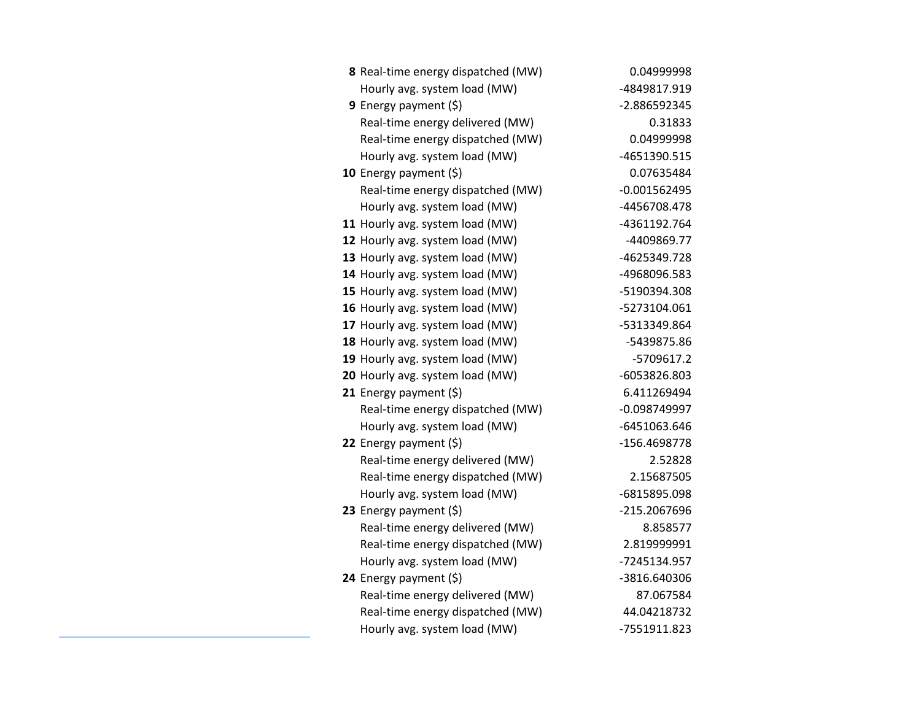| 8 Real-time energy dispatched (MW) | 0.04999998     |
|------------------------------------|----------------|
| Hourly avg. system load (MW)       | -4849817.919   |
| <b>9</b> Energy payment $(\xi)$    | -2.886592345   |
| Real-time energy delivered (MW)    | 0.31833        |
| Real-time energy dispatched (MW)   | 0.04999998     |
| Hourly avg. system load (MW)       | -4651390.515   |
| 10 Energy payment (\$)             | 0.07635484     |
| Real-time energy dispatched (MW)   | $-0.001562495$ |
| Hourly avg. system load (MW)       | -4456708.478   |
| 11 Hourly avg. system load (MW)    | -4361192.764   |
| 12 Hourly avg. system load (MW)    | -4409869.77    |
| 13 Hourly avg. system load (MW)    | -4625349.728   |
| 14 Hourly avg. system load (MW)    | -4968096.583   |
| 15 Hourly avg. system load (MW)    | -5190394.308   |
| 16 Hourly avg. system load (MW)    | -5273104.061   |
| 17 Hourly avg. system load (MW)    | -5313349.864   |
| 18 Hourly avg. system load (MW)    | -5439875.86    |
| 19 Hourly avg. system load (MW)    | -5709617.2     |
| 20 Hourly avg. system load (MW)    | -6053826.803   |
| 21 Energy payment $(\xi)$          | 6.411269494    |
| Real-time energy dispatched (MW)   | -0.098749997   |
| Hourly avg. system load (MW)       | -6451063.646   |
| 22 Energy payment (\$)             | -156.4698778   |
| Real-time energy delivered (MW)    | 2.52828        |
| Real-time energy dispatched (MW)   | 2.15687505     |
| Hourly avg. system load (MW)       | -6815895.098   |
| 23 Energy payment $(\xi)$          | -215.2067696   |
| Real-time energy delivered (MW)    | 8.858577       |
| Real-time energy dispatched (MW)   | 2.819999991    |
| Hourly avg. system load (MW)       | -7245134.957   |
| 24 Energy payment (\$)             | -3816.640306   |
| Real-time energy delivered (MW)    | 87.067584      |
| Real-time energy dispatched (MW)   | 44.04218732    |
| Hourly avg. system load (MW)       | -7551911.823   |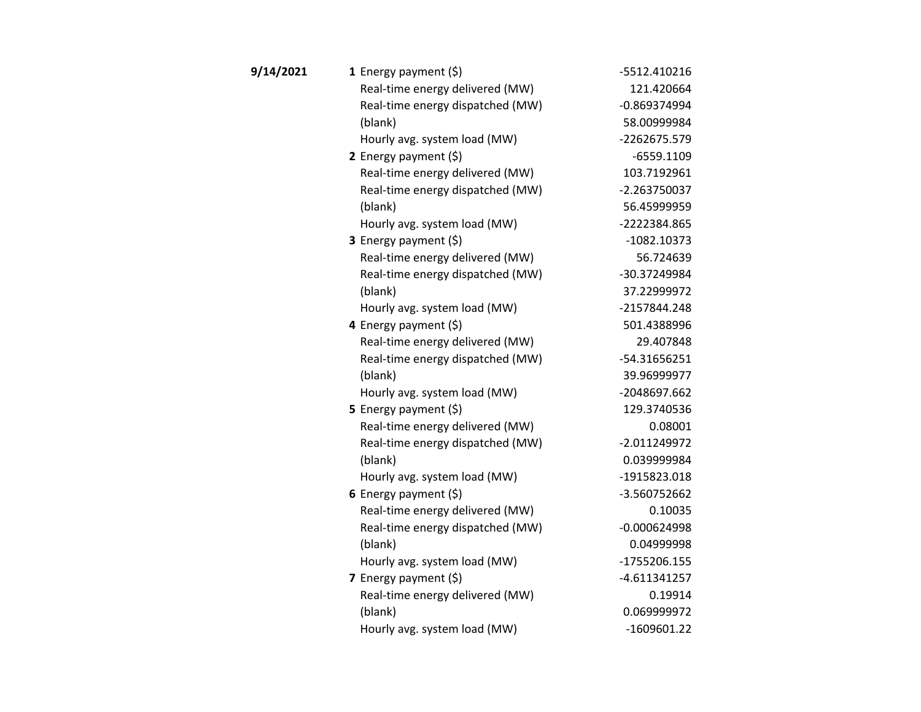| 9/14/2021 | 1 Energy payment $(\xi)$         | -5512.410216   |
|-----------|----------------------------------|----------------|
|           | Real-time energy delivered (MW)  | 121.420664     |
|           | Real-time energy dispatched (MW) | $-0.869374994$ |
|           | (blank)                          | 58.00999984    |
|           | Hourly avg. system load (MW)     | -2262675.579   |
|           | 2 Energy payment $(5)$           | $-6559.1109$   |
|           | Real-time energy delivered (MW)  | 103.7192961    |
|           | Real-time energy dispatched (MW) | $-2.263750037$ |
|           | (blank)                          | 56.45999959    |
|           | Hourly avg. system load (MW)     | -2222384.865   |
|           | 3 Energy payment (\$)            | $-1082.10373$  |
|           | Real-time energy delivered (MW)  | 56.724639      |
|           | Real-time energy dispatched (MW) | -30.37249984   |
|           | (blank)                          | 37.22999972    |
|           | Hourly avg. system load (MW)     | -2157844.248   |
|           | 4 Energy payment (\$)            | 501.4388996    |
|           | Real-time energy delivered (MW)  | 29.407848      |
|           | Real-time energy dispatched (MW) | -54.31656251   |
|           | (blank)                          | 39.96999977    |
|           | Hourly avg. system load (MW)     | -2048697.662   |
|           | 5 Energy payment $(\xi)$         | 129.3740536    |
|           | Real-time energy delivered (MW)  | 0.08001        |
|           | Real-time energy dispatched (MW) | $-2.011249972$ |
|           | (blank)                          | 0.039999984    |
|           | Hourly avg. system load (MW)     | -1915823.018   |
|           | 6 Energy payment (\$)            | -3.560752662   |
|           | Real-time energy delivered (MW)  | 0.10035        |
|           | Real-time energy dispatched (MW) | $-0.000624998$ |
|           | (blank)                          | 0.04999998     |
|           | Hourly avg. system load (MW)     | -1755206.155   |
|           | 7 Energy payment $(\xi)$         | $-4.611341257$ |
|           | Real-time energy delivered (MW)  | 0.19914        |
|           | (blank)                          | 0.069999972    |
|           | Hourly avg. system load (MW)     | $-1609601.22$  |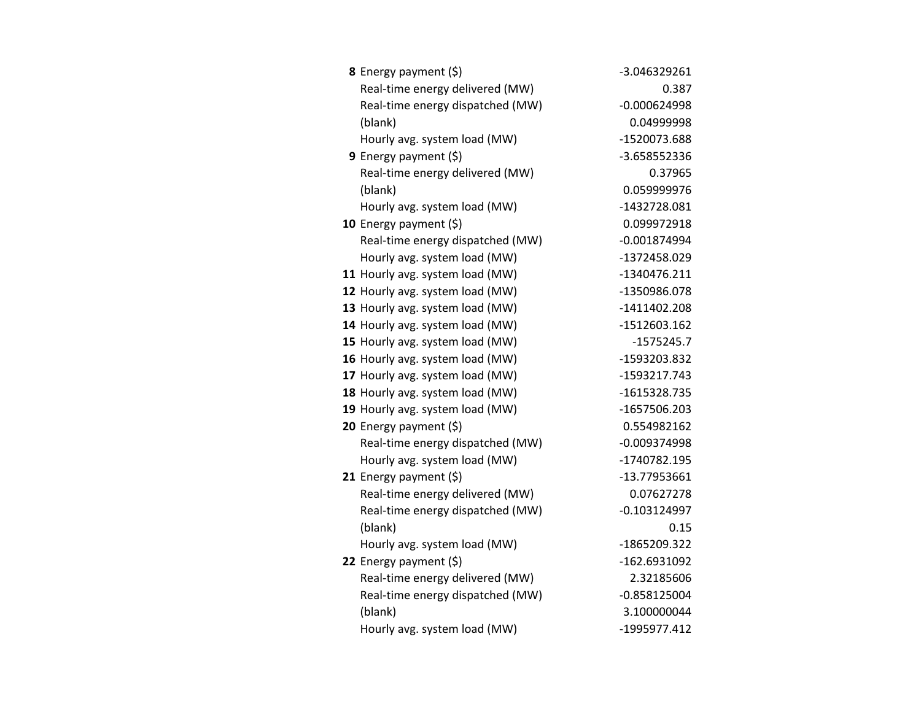| <b>8</b> Energy payment $(\xi)$  | -3.046329261   |
|----------------------------------|----------------|
| Real-time energy delivered (MW)  | 0.387          |
| Real-time energy dispatched (MW) | $-0.000624998$ |
| (blank)                          | 0.04999998     |
| Hourly avg. system load (MW)     | -1520073.688   |
| <b>9</b> Energy payment $(\xi)$  | -3.658552336   |
| Real-time energy delivered (MW)  | 0.37965        |
| (blank)                          | 0.059999976    |
| Hourly avg. system load (MW)     | -1432728.081   |
| 10 Energy payment $(5)$          | 0.099972918    |
| Real-time energy dispatched (MW) | $-0.001874994$ |
| Hourly avg. system load (MW)     | -1372458.029   |
| 11 Hourly avg. system load (MW)  | -1340476.211   |
| 12 Hourly avg. system load (MW)  | -1350986.078   |
| 13 Hourly avg. system load (MW)  | $-1411402.208$ |
| 14 Hourly avg. system load (MW)  | -1512603.162   |
| 15 Hourly avg. system load (MW)  | $-1575245.7$   |
| 16 Hourly avg. system load (MW)  | -1593203.832   |
| 17 Hourly avg. system load (MW)  | -1593217.743   |
| 18 Hourly avg. system load (MW)  | -1615328.735   |
| 19 Hourly avg. system load (MW)  | -1657506.203   |
| 20 Energy payment (\$)           | 0.554982162    |
| Real-time energy dispatched (MW) | $-0.009374998$ |
| Hourly avg. system load (MW)     | -1740782.195   |
| 21 Energy payment (\$)           | -13.77953661   |
| Real-time energy delivered (MW)  | 0.07627278     |
| Real-time energy dispatched (MW) | $-0.103124997$ |
| (blank)                          | 0.15           |
| Hourly avg. system load (MW)     | -1865209.322   |
| 22 Energy payment (\$)           | -162.6931092   |
| Real-time energy delivered (MW)  | 2.32185606     |
| Real-time energy dispatched (MW) | $-0.858125004$ |
| (blank)                          | 3.100000044    |
| Hourly avg. system load (MW)     | -1995977.412   |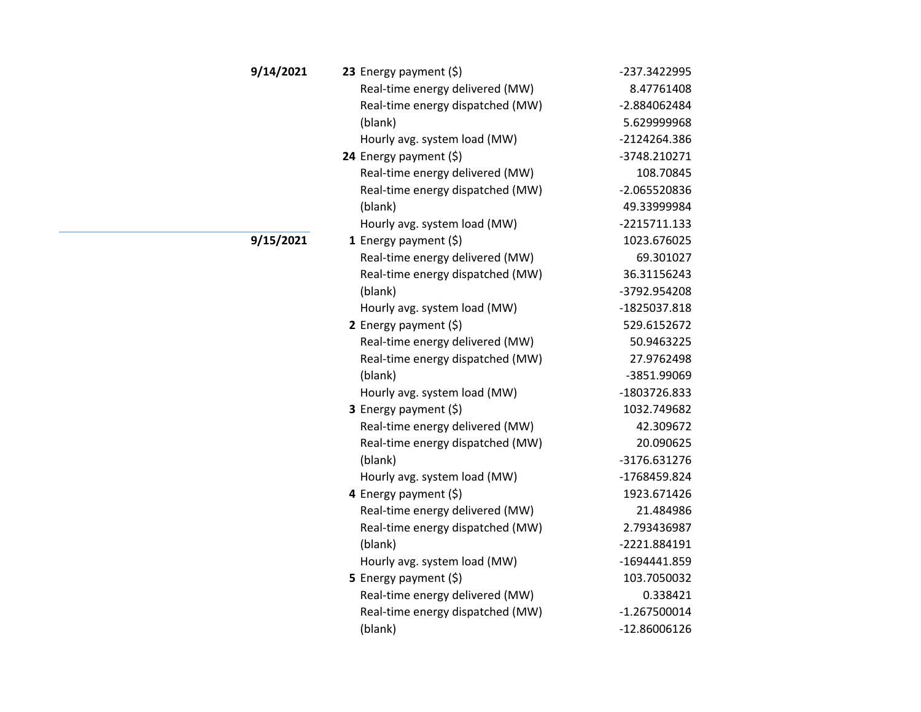| 9/14/2021 | 23 Energy payment $(5)$          | -237.3422995   |
|-----------|----------------------------------|----------------|
|           | Real-time energy delivered (MW)  | 8.47761408     |
|           | Real-time energy dispatched (MW) | -2.884062484   |
|           | (blank)                          | 5.629999968    |
|           | Hourly avg. system load (MW)     | -2124264.386   |
|           | 24 Energy payment (\$)           | -3748.210271   |
|           | Real-time energy delivered (MW)  | 108.70845      |
|           | Real-time energy dispatched (MW) | -2.065520836   |
|           | (blank)                          | 49.33999984    |
|           | Hourly avg. system load (MW)     | -2215711.133   |
| 9/15/2021 | 1 Energy payment $(\xi)$         | 1023.676025    |
|           | Real-time energy delivered (MW)  | 69.301027      |
|           | Real-time energy dispatched (MW) | 36.31156243    |
|           | (blank)                          | -3792.954208   |
|           | Hourly avg. system load (MW)     | -1825037.818   |
|           | 2 Energy payment $(5)$           | 529.6152672    |
|           | Real-time energy delivered (MW)  | 50.9463225     |
|           | Real-time energy dispatched (MW) | 27.9762498     |
|           | (blank)                          | -3851.99069    |
|           | Hourly avg. system load (MW)     | -1803726.833   |
|           | 3 Energy payment (\$)            | 1032.749682    |
|           | Real-time energy delivered (MW)  | 42.309672      |
|           | Real-time energy dispatched (MW) | 20.090625      |
|           | (blank)                          | -3176.631276   |
|           | Hourly avg. system load (MW)     | -1768459.824   |
|           | 4 Energy payment (\$)            | 1923.671426    |
|           | Real-time energy delivered (MW)  | 21.484986      |
|           | Real-time energy dispatched (MW) | 2.793436987    |
|           | (blank)                          | -2221.884191   |
|           | Hourly avg. system load (MW)     | -1694441.859   |
|           | 5 Energy payment (\$)            | 103.7050032    |
|           | Real-time energy delivered (MW)  | 0.338421       |
|           | Real-time energy dispatched (MW) | $-1.267500014$ |
|           | (blank)                          | $-12.86006126$ |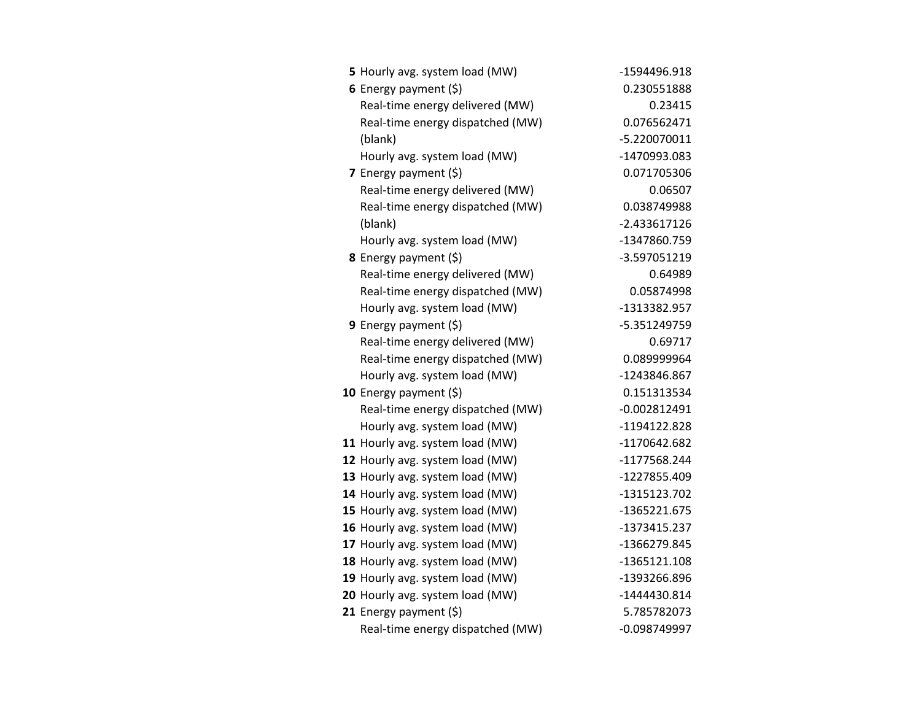| 5 Hourly avg. system load (MW)   | -1594496.918   |
|----------------------------------|----------------|
| 6 Energy payment $(\$)$          | 0.230551888    |
| Real-time energy delivered (MW)  | 0.23415        |
| Real-time energy dispatched (MW) | 0.076562471    |
| (blank)                          | -5.220070011   |
| Hourly avg. system load (MW)     | -1470993.083   |
| 7 Energy payment $(5)$           | 0.071705306    |
| Real-time energy delivered (MW)  | 0.06507        |
| Real-time energy dispatched (MW) | 0.038749988    |
| (blank)                          | $-2.433617126$ |
| Hourly avg. system load (MW)     | -1347860.759   |
| 8 Energy payment (\$)            | -3.597051219   |
| Real-time energy delivered (MW)  | 0.64989        |
| Real-time energy dispatched (MW) | 0.05874998     |
| Hourly avg. system load (MW)     | -1313382.957   |
| <b>9</b> Energy payment $(\xi)$  | -5.351249759   |
| Real-time energy delivered (MW)  | 0.69717        |
| Real-time energy dispatched (MW) | 0.089999964    |
| Hourly avg. system load (MW)     | -1243846.867   |
| 10 Energy payment $(\xi)$        | 0.151313534    |
| Real-time energy dispatched (MW) | $-0.002812491$ |
| Hourly avg. system load (MW)     | -1194122.828   |
| 11 Hourly avg. system load (MW)  | -1170642.682   |
| 12 Hourly avg. system load (MW)  | -1177568.244   |
| 13 Hourly avg. system load (MW)  | -1227855.409   |
| 14 Hourly avg. system load (MW)  | -1315123.702   |
| 15 Hourly avg. system load (MW)  | -1365221.675   |
| 16 Hourly avg. system load (MW)  | -1373415.237   |
| 17 Hourly avg. system load (MW)  | -1366279.845   |
| 18 Hourly avg. system load (MW)  | $-1365121.108$ |
| 19 Hourly avg. system load (MW)  | -1393266.896   |
| 20 Hourly avg. system load (MW)  | -1444430.814   |
| 21 Energy payment $(\xi)$        | 5.785782073    |
| Real-time energy dispatched (MW) | $-0.098749997$ |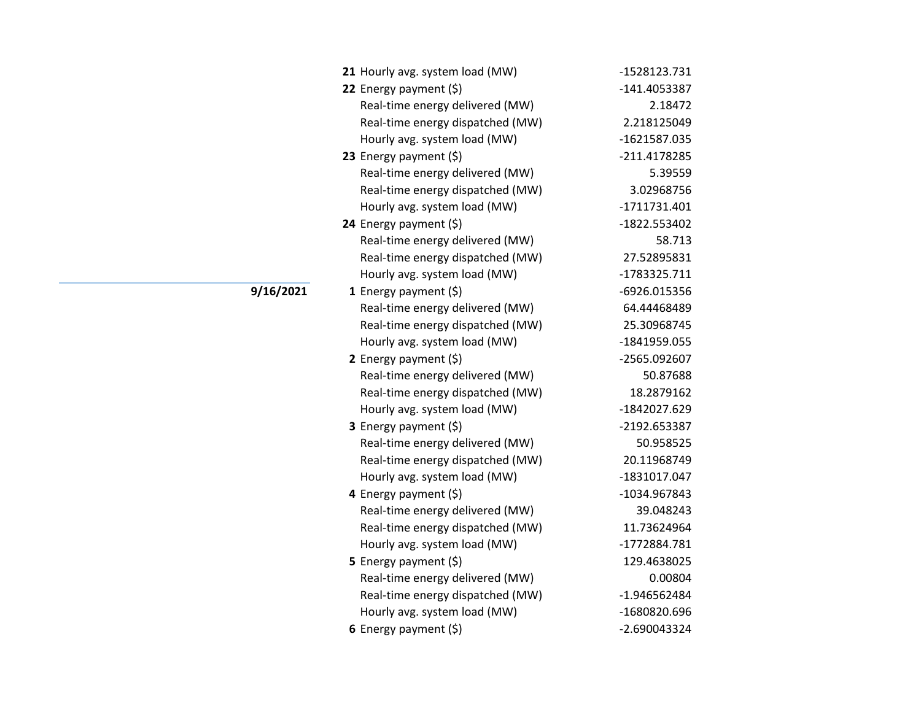| 21 Hourly avg. system load (MW)  | -1528123.731 |
|----------------------------------|--------------|
| 22 Energy payment (\$)           | -141.4053387 |
| Real-time energy delivered (MW)  | 2.18472      |
| Real-time energy dispatched (MW) | 2.218125049  |
| Hourly avg. system load (MW)     | -1621587.035 |
| 23 Energy payment $(5)$          | -211.4178285 |
| Real-time energy delivered (MW)  | 5.39559      |
| Real-time energy dispatched (MW) | 3.02968756   |
| Hourly avg. system load (MW)     | -1711731.401 |
| 24 Energy payment $(\xi)$        | -1822.553402 |
| Real-time energy delivered (MW)  | 58.713       |
| Real-time energy dispatched (MW) | 27.52895831  |
| Hourly avg. system load (MW)     | -1783325.711 |
| <b>1</b> Energy payment $(\xi)$  | -6926.015356 |
| Real-time energy delivered (MW)  | 64.44468489  |
| Real-time energy dispatched (MW) | 25.30968745  |
| Hourly avg. system load (MW)     | -1841959.055 |
| 2 Energy payment $(\xi)$         | -2565.092607 |
| Real-time energy delivered (MW)  | 50.87688     |
| Real-time energy dispatched (MW) | 18.2879162   |
| Hourly avg. system load (MW)     | -1842027.629 |
| <b>3</b> Energy payment $(\xi)$  | -2192.653387 |
| Real-time energy delivered (MW)  | 50.958525    |
| Real-time energy dispatched (MW) | 20.11968749  |
| Hourly avg. system load (MW)     | -1831017.047 |
| 4 Energy payment (\$)            | -1034.967843 |
| Real-time energy delivered (MW)  | 39.048243    |
| Real-time energy dispatched (MW) | 11.73624964  |
| Hourly avg. system load (MW)     | -1772884.781 |
| <b>5</b> Energy payment $(\xi)$  | 129.4638025  |
| Real-time energy delivered (MW)  | 0.00804      |
| Real-time energy dispatched (MW) | -1.946562484 |
| Hourly avg. system load (MW)     | -1680820.696 |
| 6 Energy payment $(5)$           | -2.690043324 |

**9/16/2021**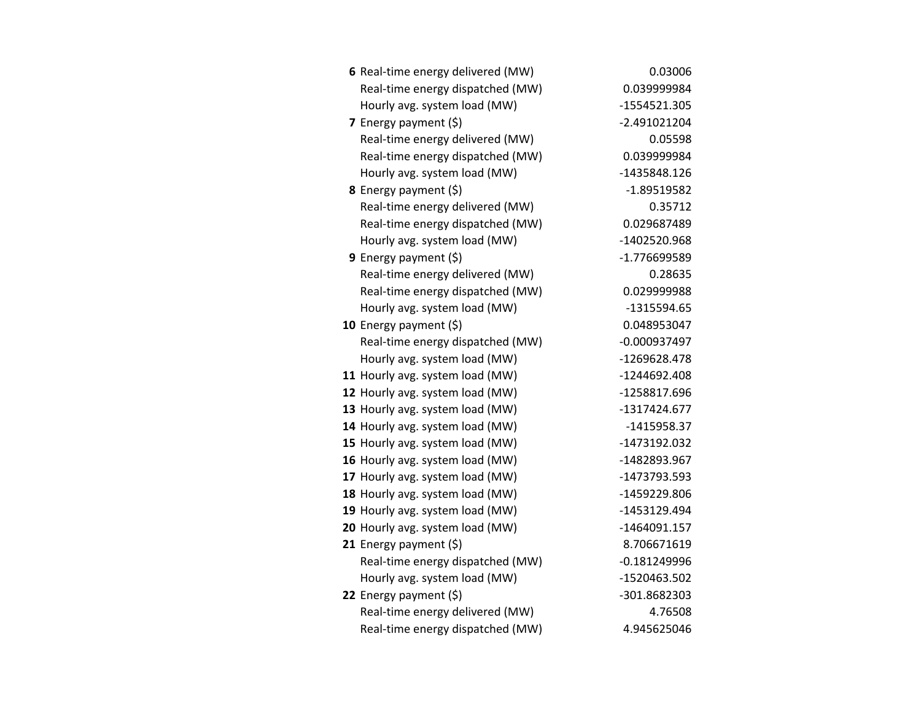| 6 Real-time energy delivered (MW) | 0.03006        |
|-----------------------------------|----------------|
| Real-time energy dispatched (MW)  | 0.039999984    |
| Hourly avg. system load (MW)      | -1554521.305   |
| 7 Energy payment $(\xi)$          | $-2.491021204$ |
| Real-time energy delivered (MW)   | 0.05598        |
| Real-time energy dispatched (MW)  | 0.039999984    |
| Hourly avg. system load (MW)      | -1435848.126   |
| <b>8</b> Energy payment $(\xi)$   | $-1.89519582$  |
| Real-time energy delivered (MW)   | 0.35712        |
| Real-time energy dispatched (MW)  | 0.029687489    |
| Hourly avg. system load (MW)      | -1402520.968   |
| 9 Energy payment (\$)             | -1.776699589   |
| Real-time energy delivered (MW)   | 0.28635        |
| Real-time energy dispatched (MW)  | 0.029999988    |
| Hourly avg. system load (MW)      | -1315594.65    |
| 10 Energy payment $(\xi)$         | 0.048953047    |
| Real-time energy dispatched (MW)  | $-0.000937497$ |
| Hourly avg. system load (MW)      | -1269628.478   |
| 11 Hourly avg. system load (MW)   | -1244692.408   |
| 12 Hourly avg. system load (MW)   | -1258817.696   |
| 13 Hourly avg. system load (MW)   | -1317424.677   |
| 14 Hourly avg. system load (MW)   | -1415958.37    |
| 15 Hourly avg. system load (MW)   | -1473192.032   |
| 16 Hourly avg. system load (MW)   | -1482893.967   |
| 17 Hourly avg. system load (MW)   | -1473793.593   |
| 18 Hourly avg. system load (MW)   | -1459229.806   |
| 19 Hourly avg. system load (MW)   | -1453129.494   |
| 20 Hourly avg. system load (MW)   | $-1464091.157$ |
| 21 Energy payment $(\xi)$         | 8.706671619    |
| Real-time energy dispatched (MW)  | $-0.181249996$ |
| Hourly avg. system load (MW)      | -1520463.502   |
| 22 Energy payment (\$)            | -301.8682303   |
| Real-time energy delivered (MW)   | 4.76508        |
| Real-time energy dispatched (MW)  | 4.945625046    |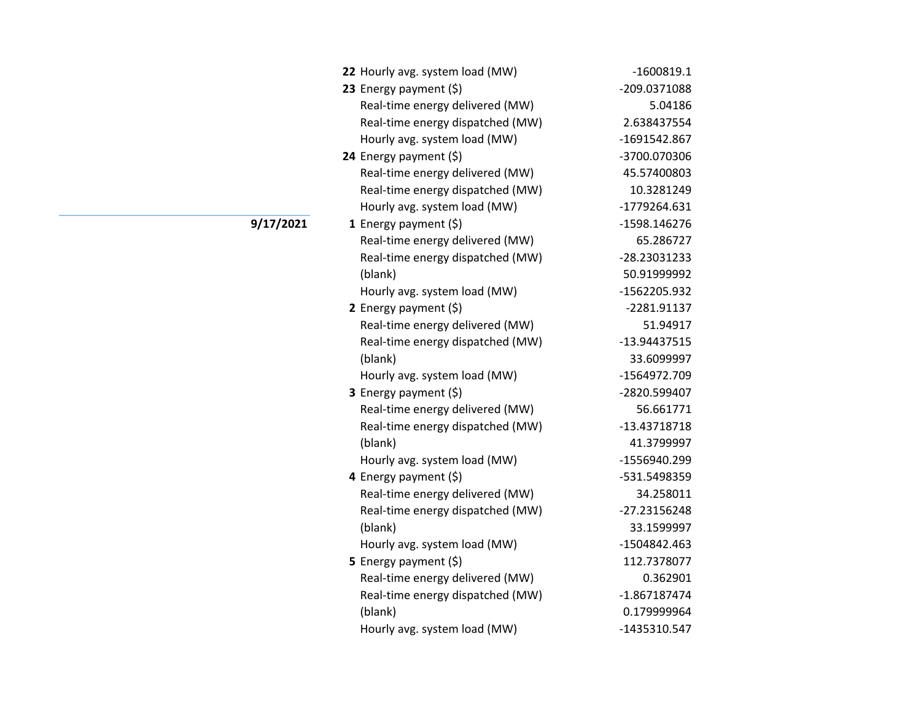| 22 Hourly avg. system load (MW)  | $-1600819.1$   |
|----------------------------------|----------------|
| 23 Energy payment (\$)           | -209.0371088   |
| Real-time energy delivered (MW)  | 5.04186        |
| Real-time energy dispatched (MW) | 2.638437554    |
| Hourly avg. system load (MW)     | -1691542.867   |
| 24 Energy payment (\$)           | -3700.070306   |
| Real-time energy delivered (MW)  | 45.57400803    |
| Real-time energy dispatched (MW) | 10.3281249     |
| Hourly avg. system load (MW)     | -1779264.631   |
| 1 Energy payment $(\xi)$         | -1598.146276   |
| Real-time energy delivered (MW)  | 65.286727      |
| Real-time energy dispatched (MW) | -28.23031233   |
| (blank)                          | 50.91999992    |
| Hourly avg. system load (MW)     | -1562205.932   |
| 2 Energy payment (\$)            | -2281.91137    |
| Real-time energy delivered (MW)  | 51.94917       |
| Real-time energy dispatched (MW) | -13.94437515   |
| (blank)                          | 33.6099997     |
| Hourly avg. system load (MW)     | -1564972.709   |
| 3 Energy payment (\$)            | -2820.599407   |
| Real-time energy delivered (MW)  | 56.661771      |
| Real-time energy dispatched (MW) | -13.43718718   |
| (blank)                          | 41.3799997     |
| Hourly avg. system load (MW)     | -1556940.299   |
| 4 Energy payment (\$)            | -531.5498359   |
| Real-time energy delivered (MW)  | 34.258011      |
| Real-time energy dispatched (MW) | -27.23156248   |
| (blank)                          | 33.1599997     |
| Hourly avg. system load (MW)     | -1504842.463   |
| 5 Energy payment $(\xi)$         | 112.7378077    |
| Real-time energy delivered (MW)  | 0.362901       |
| Real-time energy dispatched (MW) | $-1.867187474$ |
| (blank)                          | 0.179999964    |
| Hourly avg. system load (MW)     | -1435310.547   |

**9/17/2021**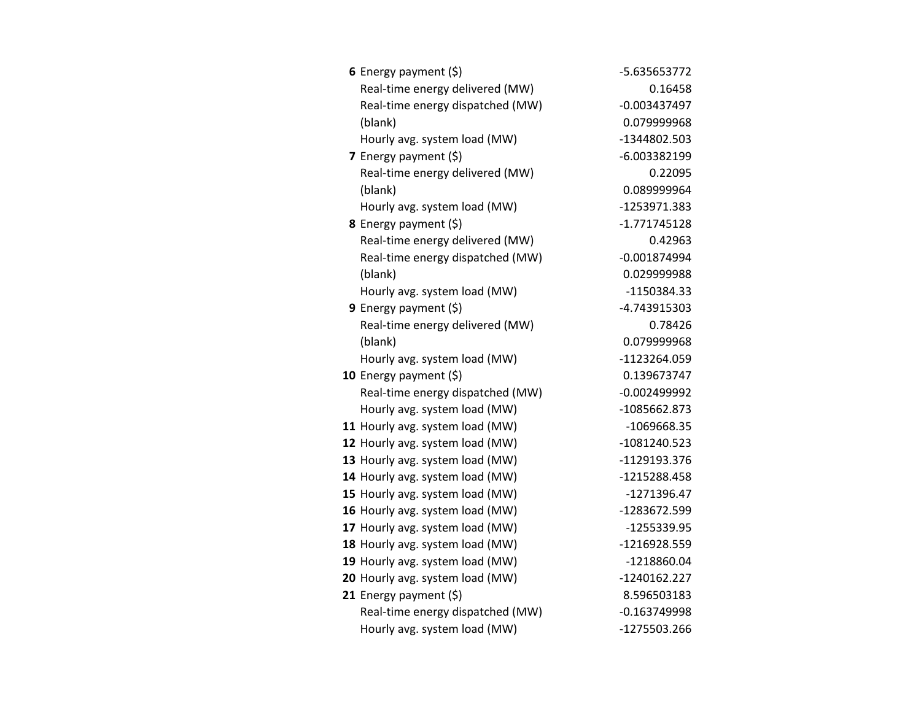| 6 Energy payment $(\xi)$         | -5.635653772   |
|----------------------------------|----------------|
| Real-time energy delivered (MW)  | 0.16458        |
| Real-time energy dispatched (MW) | $-0.003437497$ |
| (blank)                          | 0.079999968    |
| Hourly avg. system load (MW)     | -1344802.503   |
| 7 Energy payment $(5)$           | -6.003382199   |
| Real-time energy delivered (MW)  | 0.22095        |
| (blank)                          | 0.089999964    |
| Hourly avg. system load (MW)     | -1253971.383   |
| 8 Energy payment (\$)            | $-1.771745128$ |
| Real-time energy delivered (MW)  | 0.42963        |
| Real-time energy dispatched (MW) | $-0.001874994$ |
| (blank)                          | 0.029999988    |
| Hourly avg. system load (MW)     | -1150384.33    |
| 9 Energy payment (\$)            | -4.743915303   |
| Real-time energy delivered (MW)  | 0.78426        |
| (blank)                          | 0.079999968    |
| Hourly avg. system load (MW)     | -1123264.059   |
| 10 Energy payment $(5)$          | 0.139673747    |
| Real-time energy dispatched (MW) | $-0.002499992$ |
| Hourly avg. system load (MW)     | -1085662.873   |
| 11 Hourly avg. system load (MW)  | -1069668.35    |
| 12 Hourly avg. system load (MW)  | -1081240.523   |
| 13 Hourly avg. system load (MW)  | -1129193.376   |
| 14 Hourly avg. system load (MW)  | -1215288.458   |
| 15 Hourly avg. system load (MW)  | -1271396.47    |
| 16 Hourly avg. system load (MW)  | -1283672.599   |
| 17 Hourly avg. system load (MW)  | -1255339.95    |
| 18 Hourly avg. system load (MW)  | -1216928.559   |
| 19 Hourly avg. system load (MW)  | -1218860.04    |
| 20 Hourly avg. system load (MW)  | -1240162.227   |
| 21 Energy payment $(5)$          | 8.596503183    |
| Real-time energy dispatched (MW) | $-0.163749998$ |
| Hourly avg. system load (MW)     | -1275503.266   |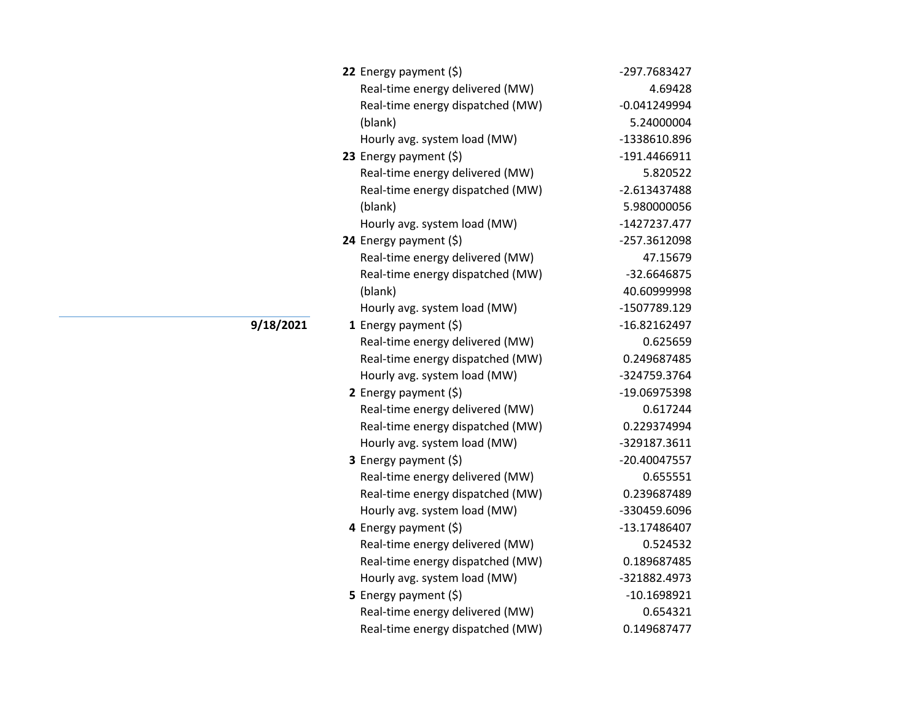| 22 Energy payment (\$)           | -297.7683427   |
|----------------------------------|----------------|
| Real-time energy delivered (MW)  | 4.69428        |
| Real-time energy dispatched (MW) | $-0.041249994$ |
| (blank)                          | 5.24000004     |
| Hourly avg. system load (MW)     | -1338610.896   |
| 23 Energy payment (\$)           | -191.4466911   |
| Real-time energy delivered (MW)  | 5.820522       |
| Real-time energy dispatched (MW) | $-2.613437488$ |
| (blank)                          | 5.980000056    |
| Hourly avg. system load (MW)     | -1427237.477   |
| 24 Energy payment (\$)           | -257.3612098   |
| Real-time energy delivered (MW)  | 47.15679       |
| Real-time energy dispatched (MW) | -32.6646875    |
| (blank)                          | 40.60999998    |
| Hourly avg. system load (MW)     | -1507789.129   |
| 1 Energy payment $(\xi)$         | -16.82162497   |
| Real-time energy delivered (MW)  | 0.625659       |
| Real-time energy dispatched (MW) | 0.249687485    |
| Hourly avg. system load (MW)     | -324759.3764   |
| 2 Energy payment (\$)            | -19.06975398   |
| Real-time energy delivered (MW)  | 0.617244       |
| Real-time energy dispatched (MW) | 0.229374994    |
| Hourly avg. system load (MW)     | -329187.3611   |
| 3 Energy payment (\$)            | -20.40047557   |
| Real-time energy delivered (MW)  | 0.655551       |
| Real-time energy dispatched (MW) | 0.239687489    |
| Hourly avg. system load (MW)     | -330459.6096   |
| 4 Energy payment (\$)            | -13.17486407   |
| Real-time energy delivered (MW)  | 0.524532       |
| Real-time energy dispatched (MW) | 0.189687485    |
| Hourly avg. system load (MW)     | -321882.4973   |
| 5 Energy payment $(5)$           | $-10.1698921$  |
| Real-time energy delivered (MW)  | 0.654321       |
| Real-time energy dispatched (MW) | 0.149687477    |

**9/18/2021**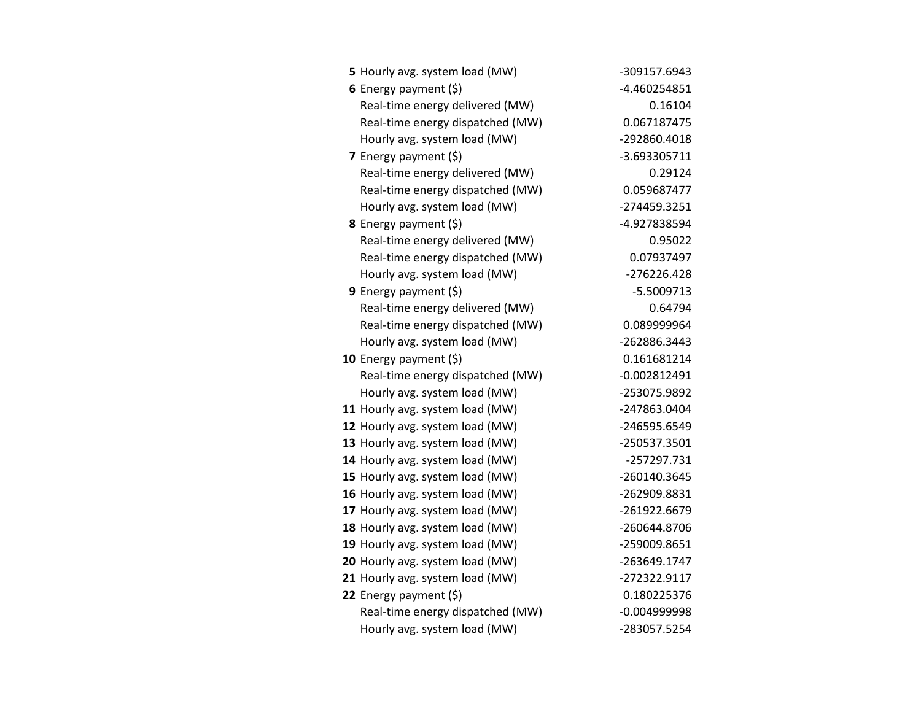| 5 Hourly avg. system load (MW)   | -309157.6943   |
|----------------------------------|----------------|
| 6 Energy payment $(\xi)$         | -4.460254851   |
| Real-time energy delivered (MW)  | 0.16104        |
| Real-time energy dispatched (MW) | 0.067187475    |
| Hourly avg. system load (MW)     | -292860.4018   |
| <b>7</b> Energy payment $(\xi)$  | -3.693305711   |
| Real-time energy delivered (MW)  | 0.29124        |
| Real-time energy dispatched (MW) | 0.059687477    |
| Hourly avg. system load (MW)     | -274459.3251   |
| 8 Energy payment (\$)            | -4.927838594   |
| Real-time energy delivered (MW)  | 0.95022        |
| Real-time energy dispatched (MW) | 0.07937497     |
| Hourly avg. system load (MW)     | $-276226.428$  |
| 9 Energy payment $(5)$           | $-5.5009713$   |
| Real-time energy delivered (MW)  | 0.64794        |
| Real-time energy dispatched (MW) | 0.089999964    |
| Hourly avg. system load (MW)     | -262886.3443   |
| 10 Energy payment $(\xi)$        | 0.161681214    |
| Real-time energy dispatched (MW) | $-0.002812491$ |
| Hourly avg. system load (MW)     | -253075.9892   |
| 11 Hourly avg. system load (MW)  | -247863.0404   |
| 12 Hourly avg. system load (MW)  | -246595.6549   |
| 13 Hourly avg. system load (MW)  | -250537.3501   |
| 14 Hourly avg. system load (MW)  | -257297.731    |
| 15 Hourly avg. system load (MW)  | -260140.3645   |
| 16 Hourly avg. system load (MW)  | -262909.8831   |
| 17 Hourly avg. system load (MW)  | -261922.6679   |
| 18 Hourly avg. system load (MW)  | -260644.8706   |
| 19 Hourly avg. system load (MW)  | -259009.8651   |
| 20 Hourly avg. system load (MW)  | -263649.1747   |
| 21 Hourly avg. system load (MW)  | -272322.9117   |
| 22 Energy payment (\$)           | 0.180225376    |
| Real-time energy dispatched (MW) | $-0.004999998$ |
| Hourly avg. system load (MW)     | -283057.5254   |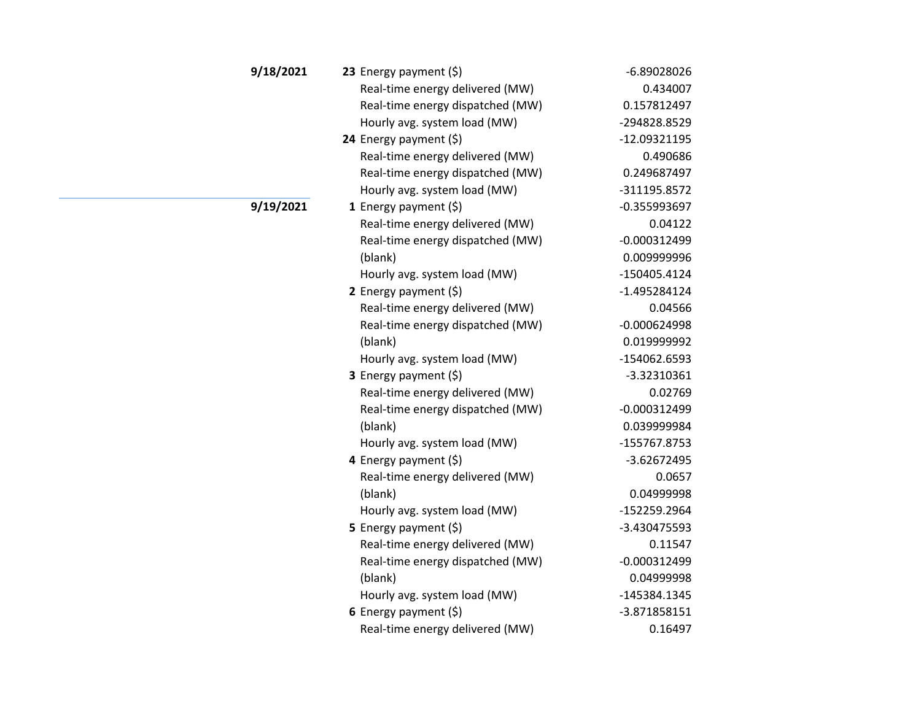| 9/18/2021 | 23 Energy payment $(5)$          | $-6.89028026$  |
|-----------|----------------------------------|----------------|
|           | Real-time energy delivered (MW)  | 0.434007       |
|           | Real-time energy dispatched (MW) | 0.157812497    |
|           | Hourly avg. system load (MW)     | -294828.8529   |
|           | 24 Energy payment (\$)           | -12.09321195   |
|           | Real-time energy delivered (MW)  | 0.490686       |
|           | Real-time energy dispatched (MW) | 0.249687497    |
|           | Hourly avg. system load (MW)     | -311195.8572   |
| 9/19/2021 | 1 Energy payment $(\xi)$         | $-0.355993697$ |
|           | Real-time energy delivered (MW)  | 0.04122        |
|           | Real-time energy dispatched (MW) | $-0.000312499$ |
|           | (blank)                          | 0.009999996    |
|           | Hourly avg. system load (MW)     | -150405.4124   |
|           | 2 Energy payment $(\xi)$         | $-1.495284124$ |
|           | Real-time energy delivered (MW)  | 0.04566        |
|           | Real-time energy dispatched (MW) | $-0.000624998$ |
|           | (blank)                          | 0.019999992    |
|           | Hourly avg. system load (MW)     | -154062.6593   |
|           | 3 Energy payment (\$)            | $-3.32310361$  |
|           | Real-time energy delivered (MW)  | 0.02769        |
|           | Real-time energy dispatched (MW) | $-0.000312499$ |
|           | (blank)                          | 0.039999984    |
|           | Hourly avg. system load (MW)     | -155767.8753   |
|           | 4 Energy payment (\$)            | $-3.62672495$  |
|           | Real-time energy delivered (MW)  | 0.0657         |
|           | (blank)                          | 0.04999998     |
|           | Hourly avg. system load (MW)     | -152259.2964   |
|           | 5 Energy payment $(\xi)$         | -3.430475593   |
|           | Real-time energy delivered (MW)  | 0.11547        |
|           | Real-time energy dispatched (MW) | $-0.000312499$ |
|           | (blank)                          | 0.04999998     |
|           | Hourly avg. system load (MW)     | -145384.1345   |
|           | 6 Energy payment $(\xi)$         | -3.871858151   |
|           | Real-time energy delivered (MW)  | 0.16497        |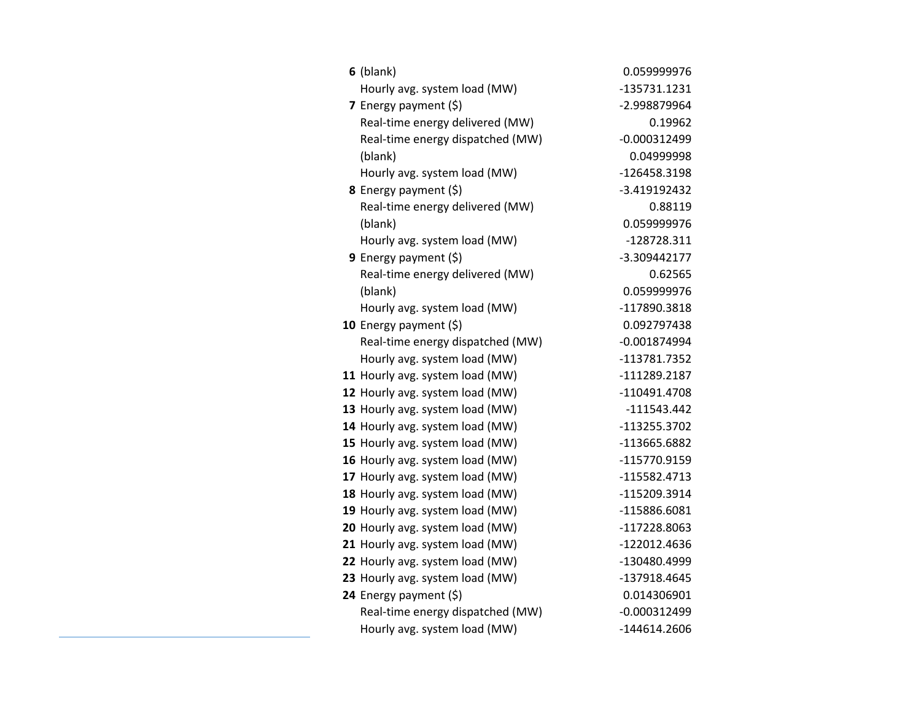| $6$ (blank)                      | 0.059999976    |
|----------------------------------|----------------|
| Hourly avg. system load (MW)     | -135731.1231   |
| 7 Energy payment (\$)            | -2.998879964   |
| Real-time energy delivered (MW)  | 0.19962        |
| Real-time energy dispatched (MW) | $-0.000312499$ |
| (blank)                          | 0.04999998     |
| Hourly avg. system load (MW)     | -126458.3198   |
| 8 Energy payment (\$)            | -3.419192432   |
| Real-time energy delivered (MW)  | 0.88119        |
| (blank)                          | 0.059999976    |
| Hourly avg. system load (MW)     | -128728.311    |
| <b>9</b> Energy payment $(\xi)$  | -3.309442177   |
| Real-time energy delivered (MW)  | 0.62565        |
| (blank)                          | 0.059999976    |
| Hourly avg. system load (MW)     | -117890.3818   |
| 10 Energy payment (\$)           | 0.092797438    |
| Real-time energy dispatched (MW) | $-0.001874994$ |
| Hourly avg. system load (MW)     | -113781.7352   |
| 11 Hourly avg. system load (MW)  | -111289.2187   |
| 12 Hourly avg. system load (MW)  | -110491.4708   |
| 13 Hourly avg. system load (MW)  | $-111543.442$  |
| 14 Hourly avg. system load (MW)  | -113255.3702   |
| 15 Hourly avg. system load (MW)  | -113665.6882   |
| 16 Hourly avg. system load (MW)  | -115770.9159   |
| 17 Hourly avg. system load (MW)  | -115582.4713   |
| 18 Hourly avg. system load (MW)  | -115209.3914   |
| 19 Hourly avg. system load (MW)  | -115886.6081   |
| 20 Hourly avg. system load (MW)  | -117228.8063   |
| 21 Hourly avg. system load (MW)  | -122012.4636   |
| 22 Hourly avg. system load (MW)  | -130480.4999   |
| 23 Hourly avg. system load (MW)  | -137918.4645   |
| 24 Energy payment (\$)           | 0.014306901    |
| Real-time energy dispatched (MW) | $-0.000312499$ |
| Hourly avg. system load (MW)     | -144614.2606   |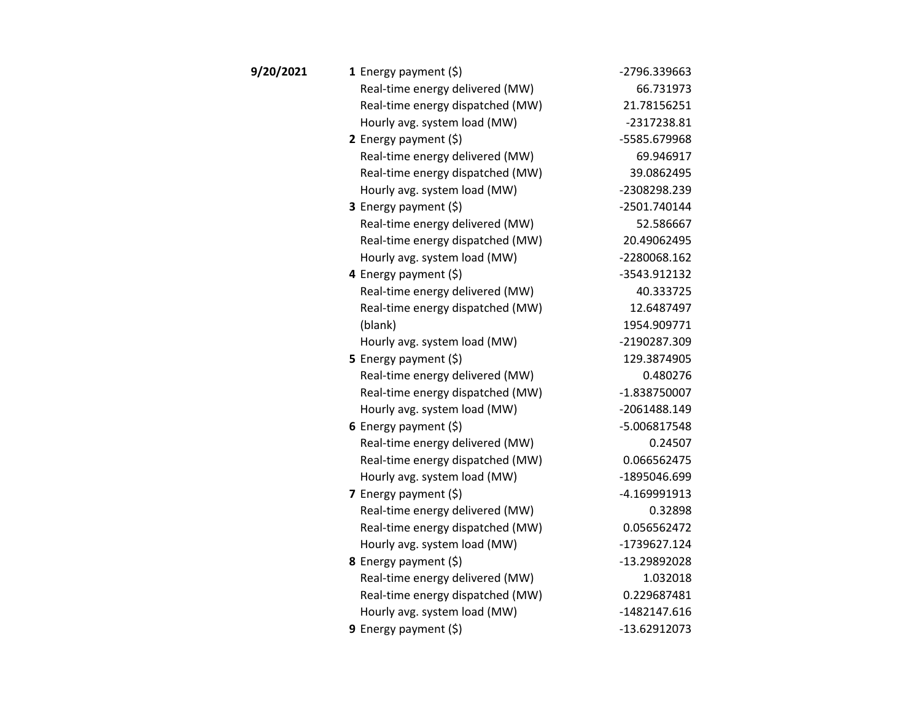| 9/20/2021 | <b>1</b> Energy payment $(\xi)$  | -2796.339663   |
|-----------|----------------------------------|----------------|
|           | Real-time energy delivered (MW)  | 66.731973      |
|           | Real-time energy dispatched (MW) | 21.78156251    |
|           | Hourly avg. system load (MW)     | -2317238.81    |
|           | 2 Energy payment $(\xi)$         | -5585.679968   |
|           | Real-time energy delivered (MW)  | 69.946917      |
|           | Real-time energy dispatched (MW) | 39.0862495     |
|           | Hourly avg. system load (MW)     | -2308298.239   |
|           | 3 Energy payment (\$)            | -2501.740144   |
|           | Real-time energy delivered (MW)  | 52.586667      |
|           | Real-time energy dispatched (MW) | 20.49062495    |
|           | Hourly avg. system load (MW)     | -2280068.162   |
|           | 4 Energy payment (\$)            | -3543.912132   |
|           | Real-time energy delivered (MW)  | 40.333725      |
|           | Real-time energy dispatched (MW) | 12.6487497     |
|           | (blank)                          | 1954.909771    |
|           | Hourly avg. system load (MW)     | -2190287.309   |
|           | 5 Energy payment $(5)$           | 129.3874905    |
|           | Real-time energy delivered (MW)  | 0.480276       |
|           | Real-time energy dispatched (MW) | $-1.838750007$ |
|           | Hourly avg. system load (MW)     | -2061488.149   |
|           | 6 Energy payment $(5)$           | -5.006817548   |
|           | Real-time energy delivered (MW)  | 0.24507        |
|           | Real-time energy dispatched (MW) | 0.066562475    |
|           | Hourly avg. system load (MW)     | -1895046.699   |
|           | 7 Energy payment (\$)            | -4.169991913   |
|           | Real-time energy delivered (MW)  | 0.32898        |
|           | Real-time energy dispatched (MW) | 0.056562472    |
|           | Hourly avg. system load (MW)     | -1739627.124   |
|           | 8 Energy payment (\$)            | -13.29892028   |
|           | Real-time energy delivered (MW)  | 1.032018       |
|           | Real-time energy dispatched (MW) | 0.229687481    |
|           | Hourly avg. system load (MW)     | $-1482147.616$ |
|           | 9 Energy payment $(5)$           | -13.62912073   |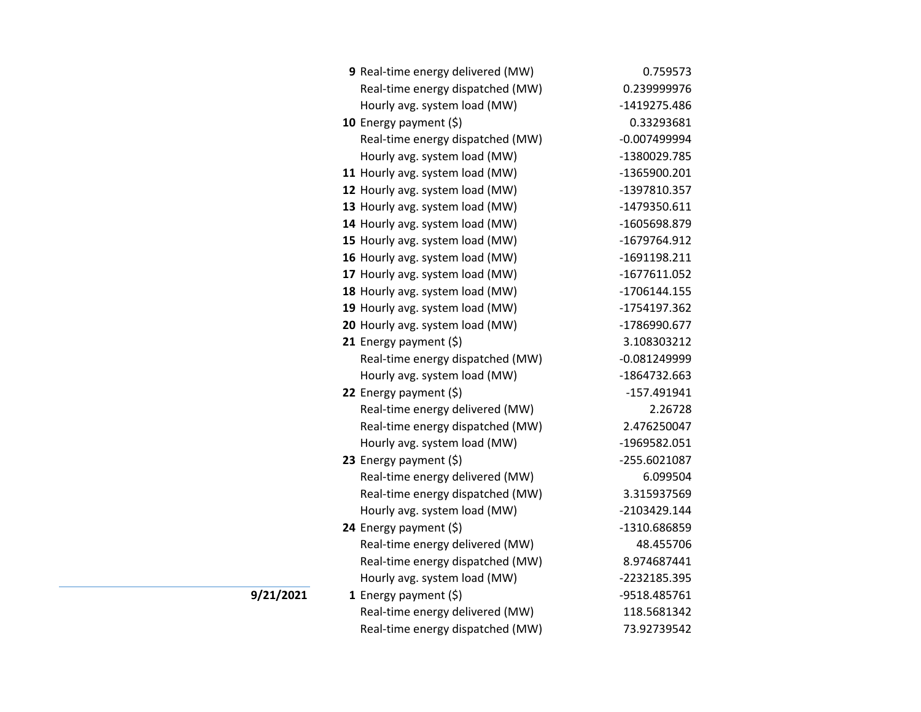| 9 Real-time energy delivered (MW) | 0.759573       |
|-----------------------------------|----------------|
| Real-time energy dispatched (MW)  | 0.239999976    |
| Hourly avg. system load (MW)      | -1419275.486   |
| 10 Energy payment $(5)$           | 0.33293681     |
| Real-time energy dispatched (MW)  | $-0.007499994$ |
| Hourly avg. system load (MW)      | -1380029.785   |
| 11 Hourly avg. system load (MW)   | -1365900.201   |
| 12 Hourly avg. system load (MW)   | -1397810.357   |
| 13 Hourly avg. system load (MW)   | $-1479350.611$ |
| 14 Hourly avg. system load (MW)   | -1605698.879   |
| 15 Hourly avg. system load (MW)   | -1679764.912   |
| 16 Hourly avg. system load (MW)   | $-1691198.211$ |
| 17 Hourly avg. system load (MW)   | -1677611.052   |
| 18 Hourly avg. system load (MW)   | -1706144.155   |
| 19 Hourly avg. system load (MW)   | -1754197.362   |
| 20 Hourly avg. system load (MW)   | -1786990.677   |
| 21 Energy payment $(\xi)$         | 3.108303212    |
| Real-time energy dispatched (MW)  | $-0.081249999$ |
| Hourly avg. system load (MW)      | -1864732.663   |
| 22 Energy payment (\$)            | $-157.491941$  |
| Real-time energy delivered (MW)   | 2.26728        |
| Real-time energy dispatched (MW)  | 2.476250047    |
| Hourly avg. system load (MW)      | -1969582.051   |
| 23 Energy payment $(\xi)$         | -255.6021087   |
| Real-time energy delivered (MW)   | 6.099504       |
| Real-time energy dispatched (MW)  | 3.315937569    |
| Hourly avg. system load (MW)      | -2103429.144   |
| 24 Energy payment (\$)            | -1310.686859   |
| Real-time energy delivered (MW)   | 48.455706      |
| Real-time energy dispatched (MW)  | 8.974687441    |
| Hourly avg. system load (MW)      | -2232185.395   |
| 1 Energy payment $(5)$            | -9518.485761   |
| Real-time energy delivered (MW)   | 118.5681342    |
| Real-time energy dispatched (MW)  | 73.92739542    |

**9/21/2021**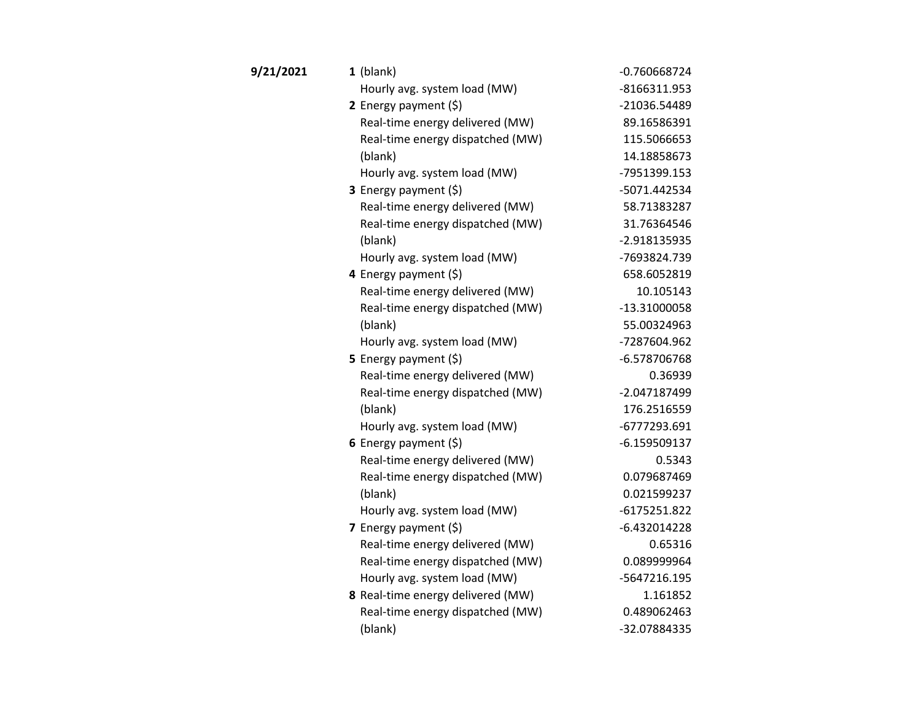| 9/21/2021 | $1$ (blank)                       | $-0.760668724$ |
|-----------|-----------------------------------|----------------|
|           | Hourly avg. system load (MW)      | $-8166311.953$ |
|           | 2 Energy payment $(5)$            | -21036.54489   |
|           | Real-time energy delivered (MW)   | 89.16586391    |
|           | Real-time energy dispatched (MW)  | 115.5066653    |
|           | (blank)                           | 14.18858673    |
|           | Hourly avg. system load (MW)      | -7951399.153   |
|           | 3 Energy payment (\$)             | -5071.442534   |
|           | Real-time energy delivered (MW)   | 58.71383287    |
|           | Real-time energy dispatched (MW)  | 31.76364546    |
|           | (blank)                           | -2.918135935   |
|           | Hourly avg. system load (MW)      | -7693824.739   |
|           | 4 Energy payment (\$)             | 658.6052819    |
|           | Real-time energy delivered (MW)   | 10.105143      |
|           | Real-time energy dispatched (MW)  | $-13.31000058$ |
|           | (blank)                           | 55.00324963    |
|           | Hourly avg. system load (MW)      | -7287604.962   |
|           | <b>5</b> Energy payment $(\xi)$   | -6.578706768   |
|           | Real-time energy delivered (MW)   | 0.36939        |
|           | Real-time energy dispatched (MW)  | -2.047187499   |
|           | (blank)                           | 176.2516559    |
|           | Hourly avg. system load (MW)      | -6777293.691   |
|           | 6 Energy payment $(\xi)$          | $-6.159509137$ |
|           | Real-time energy delivered (MW)   | 0.5343         |
|           | Real-time energy dispatched (MW)  | 0.079687469    |
|           | (blank)                           | 0.021599237    |
|           | Hourly avg. system load (MW)      | $-6175251.822$ |
|           | 7 Energy payment (\$)             | $-6.432014228$ |
|           | Real-time energy delivered (MW)   | 0.65316        |
|           | Real-time energy dispatched (MW)  | 0.089999964    |
|           | Hourly avg. system load (MW)      | -5647216.195   |
|           | 8 Real-time energy delivered (MW) | 1.161852       |
|           | Real-time energy dispatched (MW)  | 0.489062463    |
|           | (blank)                           | -32.07884335   |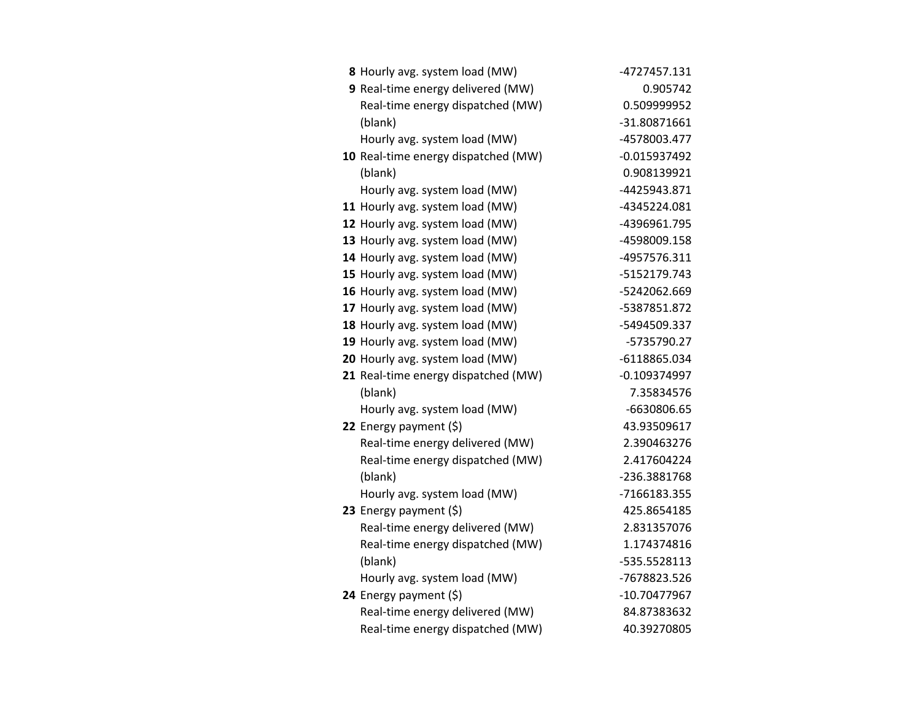| 8 Hourly avg. system load (MW)      | -4727457.131   |
|-------------------------------------|----------------|
| 9 Real-time energy delivered (MW)   | 0.905742       |
| Real-time energy dispatched (MW)    | 0.509999952    |
| (blank)                             | -31.80871661   |
| Hourly avg. system load (MW)        | -4578003.477   |
| 10 Real-time energy dispatched (MW) | $-0.015937492$ |
| (blank)                             | 0.908139921    |
| Hourly avg. system load (MW)        | -4425943.871   |
| 11 Hourly avg. system load (MW)     | -4345224.081   |
| 12 Hourly avg. system load (MW)     | -4396961.795   |
| 13 Hourly avg. system load (MW)     | -4598009.158   |
| 14 Hourly avg. system load (MW)     | -4957576.311   |
| 15 Hourly avg. system load (MW)     | -5152179.743   |
| 16 Hourly avg. system load (MW)     | -5242062.669   |
| 17 Hourly avg. system load (MW)     | -5387851.872   |
| 18 Hourly avg. system load (MW)     | -5494509.337   |
| 19 Hourly avg. system load (MW)     | -5735790.27    |
| 20 Hourly avg. system load (MW)     | -6118865.034   |
| 21 Real-time energy dispatched (MW) | $-0.109374997$ |
| (blank)                             | 7.35834576     |
| Hourly avg. system load (MW)        | -6630806.65    |
| 22 Energy payment $(5)$             | 43.93509617    |
| Real-time energy delivered (MW)     | 2.390463276    |
| Real-time energy dispatched (MW)    | 2.417604224    |
| (blank)                             | -236.3881768   |
| Hourly avg. system load (MW)        | -7166183.355   |
| 23 Energy payment (\$)              | 425.8654185    |
| Real-time energy delivered (MW)     | 2.831357076    |
| Real-time energy dispatched (MW)    | 1.174374816    |
| (blank)                             | -535.5528113   |
| Hourly avg. system load (MW)        | -7678823.526   |
| 24 Energy payment (\$)              | -10.70477967   |
| Real-time energy delivered (MW)     | 84.87383632    |
| Real-time energy dispatched (MW)    | 40.39270805    |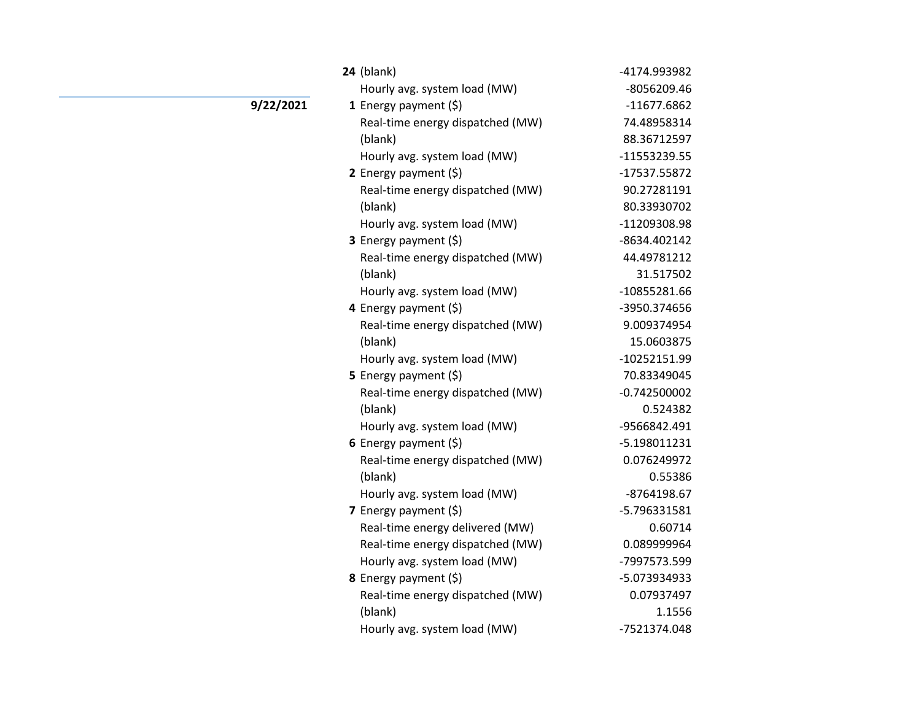| <b>24</b> (blank)                | -4174.993982   |
|----------------------------------|----------------|
| Hourly avg. system load (MW)     | -8056209.46    |
| 1 Energy payment $(\xi)$         | $-11677.6862$  |
| Real-time energy dispatched (MW) | 74.48958314    |
| (blank)                          | 88.36712597    |
| Hourly avg. system load (MW)     | -11553239.55   |
| 2 Energy payment $(\xi)$         | -17537.55872   |
| Real-time energy dispatched (MW) | 90.27281191    |
| (blank)                          | 80.33930702    |
| Hourly avg. system load (MW)     | -11209308.98   |
| 3 Energy payment (\$)            | -8634.402142   |
| Real-time energy dispatched (MW) | 44.49781212    |
| (blank)                          | 31.517502      |
| Hourly avg. system load (MW)     | -10855281.66   |
| 4 Energy payment (\$)            | -3950.374656   |
| Real-time energy dispatched (MW) | 9.009374954    |
| (blank)                          | 15.0603875     |
| Hourly avg. system load (MW)     | -10252151.99   |
| 5 Energy payment (\$)            | 70.83349045    |
| Real-time energy dispatched (MW) | $-0.742500002$ |
| (blank)                          | 0.524382       |
| Hourly avg. system load (MW)     | -9566842.491   |
| 6 Energy payment $(\xi)$         | -5.198011231   |
| Real-time energy dispatched (MW) | 0.076249972    |
| (blank)                          | 0.55386        |
| Hourly avg. system load (MW)     | -8764198.67    |
| 7 Energy payment (\$)            | -5.796331581   |
| Real-time energy delivered (MW)  | 0.60714        |
| Real-time energy dispatched (MW) | 0.089999964    |
| Hourly avg. system load (MW)     | -7997573.599   |
| 8 Energy payment (\$)            | -5.073934933   |
| Real-time energy dispatched (MW) | 0.07937497     |
| (blank)                          | 1.1556         |
| Hourly avg. system load (MW)     | -7521374.048   |

**9/22/2021**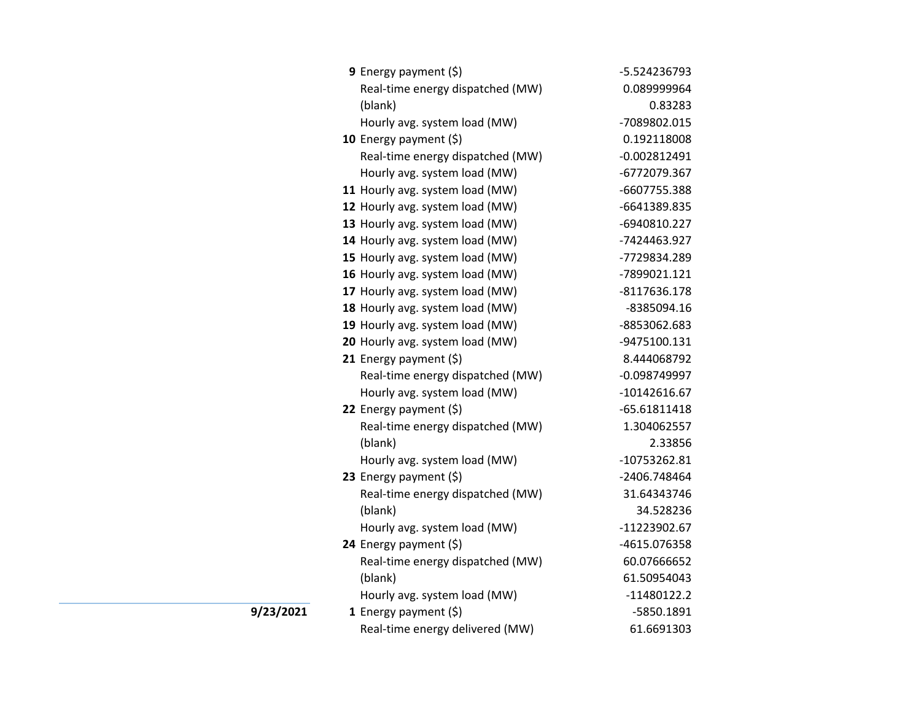| 9 Energy payment (\$)            | -5.524236793   |
|----------------------------------|----------------|
| Real-time energy dispatched (MW) | 0.089999964    |
| (blank)                          | 0.83283        |
| Hourly avg. system load (MW)     | -7089802.015   |
| 10 Energy payment $(\xi)$        | 0.192118008    |
| Real-time energy dispatched (MW) | $-0.002812491$ |
| Hourly avg. system load (MW)     | -6772079.367   |
| 11 Hourly avg. system load (MW)  | -6607755.388   |
| 12 Hourly avg. system load (MW)  | -6641389.835   |
| 13 Hourly avg. system load (MW)  | -6940810.227   |
| 14 Hourly avg. system load (MW)  | -7424463.927   |
| 15 Hourly avg. system load (MW)  | -7729834.289   |
| 16 Hourly avg. system load (MW)  | -7899021.121   |
| 17 Hourly avg. system load (MW)  | $-8117636.178$ |
| 18 Hourly avg. system load (MW)  | -8385094.16    |
| 19 Hourly avg. system load (MW)  | -8853062.683   |
| 20 Hourly avg. system load (MW)  | -9475100.131   |
| 21 Energy payment $(\xi)$        | 8.444068792    |
| Real-time energy dispatched (MW) | $-0.098749997$ |
| Hourly avg. system load (MW)     | $-10142616.67$ |
| 22 Energy payment (\$)           | $-65.61811418$ |
| Real-time energy dispatched (MW) | 1.304062557    |
| (blank)                          | 2.33856        |
| Hourly avg. system load (MW)     | -10753262.81   |
| 23 Energy payment (\$)           | -2406.748464   |
| Real-time energy dispatched (MW) | 31.64343746    |
| (blank)                          | 34.528236      |
| Hourly avg. system load (MW)     | -11223902.67   |
| 24 Energy payment (\$)           | -4615.076358   |
| Real-time energy dispatched (MW) | 60.07666652    |
| (blank)                          | 61.50954043    |
| Hourly avg. system load (MW)     | $-11480122.2$  |
| 1 Energy payment $(\xi)$         | -5850.1891     |
| Real-time energy delivered (MW)  | 61.6691303     |

**9/23/2021**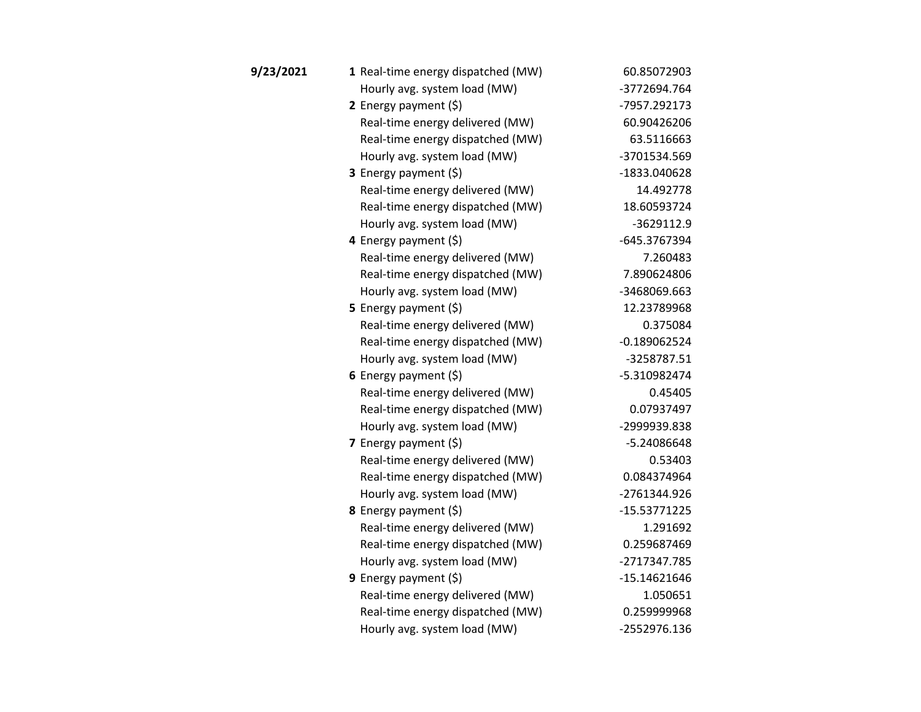| 9/23/2021 | 1 Real-time energy dispatched (MW) | 60.85072903    |
|-----------|------------------------------------|----------------|
|           | Hourly avg. system load (MW)       | -3772694.764   |
|           | 2 Energy payment $(5)$             | -7957.292173   |
|           | Real-time energy delivered (MW)    | 60.90426206    |
|           | Real-time energy dispatched (MW)   | 63.5116663     |
|           | Hourly avg. system load (MW)       | -3701534.569   |
|           | 3 Energy payment (\$)              | -1833.040628   |
|           | Real-time energy delivered (MW)    | 14.492778      |
|           | Real-time energy dispatched (MW)   | 18.60593724    |
|           | Hourly avg. system load (MW)       | $-3629112.9$   |
|           | 4 Energy payment (\$)              | -645.3767394   |
|           | Real-time energy delivered (MW)    | 7.260483       |
|           | Real-time energy dispatched (MW)   | 7.890624806    |
|           | Hourly avg. system load (MW)       | -3468069.663   |
|           | 5 Energy payment $(\xi)$           | 12.23789968    |
|           | Real-time energy delivered (MW)    | 0.375084       |
|           | Real-time energy dispatched (MW)   | $-0.189062524$ |
|           | Hourly avg. system load (MW)       | -3258787.51    |
|           | 6 Energy payment $(\xi)$           | -5.310982474   |
|           | Real-time energy delivered (MW)    | 0.45405        |
|           | Real-time energy dispatched (MW)   | 0.07937497     |
|           | Hourly avg. system load (MW)       | -2999939.838   |
|           | 7 Energy payment $(\xi)$           | -5.24086648    |
|           | Real-time energy delivered (MW)    | 0.53403        |
|           | Real-time energy dispatched (MW)   | 0.084374964    |
|           | Hourly avg. system load (MW)       | -2761344.926   |
|           | 8 Energy payment (\$)              | $-15.53771225$ |
|           | Real-time energy delivered (MW)    | 1.291692       |
|           | Real-time energy dispatched (MW)   | 0.259687469    |
|           | Hourly avg. system load (MW)       | -2717347.785   |
|           | 9 Energy payment $(\xi)$           | $-15.14621646$ |
|           | Real-time energy delivered (MW)    | 1.050651       |
|           | Real-time energy dispatched (MW)   | 0.259999968    |
|           | Hourly avg. system load (MW)       | -2552976.136   |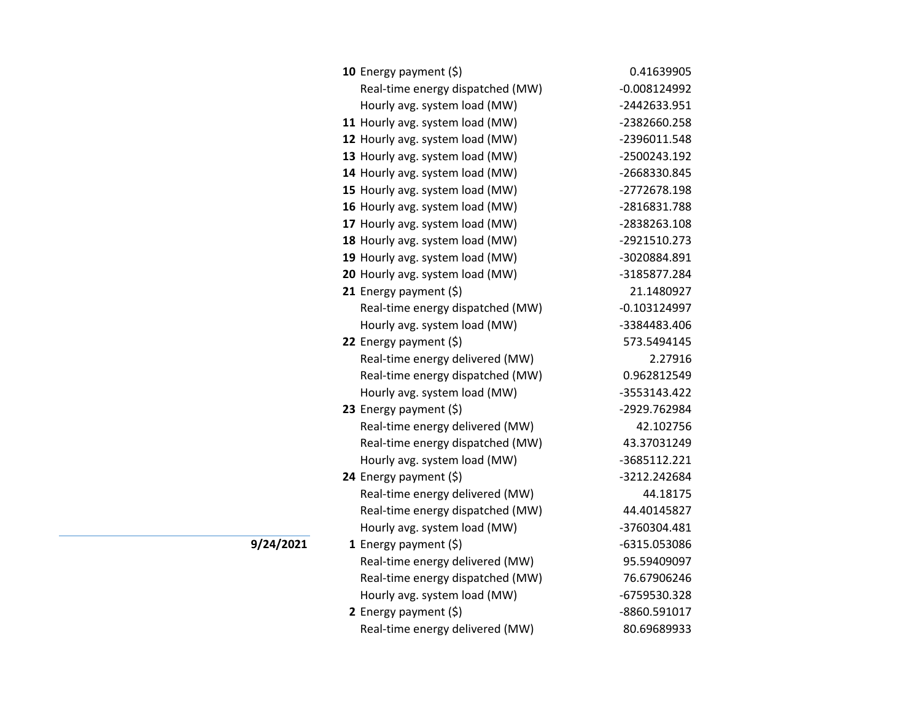| <b>10</b> Energy payment $(\xi)$ | 0.41639905     |
|----------------------------------|----------------|
| Real-time energy dispatched (MW) | $-0.008124992$ |
| Hourly avg. system load (MW)     | -2442633.951   |
| 11 Hourly avg. system load (MW)  | -2382660.258   |
| 12 Hourly avg. system load (MW)  | -2396011.548   |
| 13 Hourly avg. system load (MW)  | -2500243.192   |
| 14 Hourly avg. system load (MW)  | -2668330.845   |
| 15 Hourly avg. system load (MW)  | -2772678.198   |
| 16 Hourly avg. system load (MW)  | -2816831.788   |
| 17 Hourly avg. system load (MW)  | -2838263.108   |
| 18 Hourly avg. system load (MW)  | -2921510.273   |
| 19 Hourly avg. system load (MW)  | -3020884.891   |
| 20 Hourly avg. system load (MW)  | -3185877.284   |
| 21 Energy payment $(\xi)$        | 21.1480927     |
| Real-time energy dispatched (MW) | $-0.103124997$ |
| Hourly avg. system load (MW)     | -3384483.406   |
| 22 Energy payment $(\xi)$        | 573.5494145    |
| Real-time energy delivered (MW)  | 2.27916        |
| Real-time energy dispatched (MW) | 0.962812549    |
| Hourly avg. system load (MW)     | -3553143.422   |
| 23 Energy payment (\$)           | -2929.762984   |
| Real-time energy delivered (MW)  | 42.102756      |
| Real-time energy dispatched (MW) | 43.37031249    |
| Hourly avg. system load (MW)     | -3685112.221   |
| 24 Energy payment (\$)           | -3212.242684   |
| Real-time energy delivered (MW)  | 44.18175       |
| Real-time energy dispatched (MW) | 44.40145827    |
| Hourly avg. system load (MW)     | -3760304.481   |
| 1 Energy payment $(\$)$          | -6315.053086   |
| Real-time energy delivered (MW)  | 95.59409097    |
| Real-time energy dispatched (MW) | 76.67906246    |
| Hourly avg. system load (MW)     | -6759530.328   |
| 2 Energy payment $(\xi)$         | -8860.591017   |
| Real-time energy delivered (MW)  | 80.69689933    |

**9/24/2021**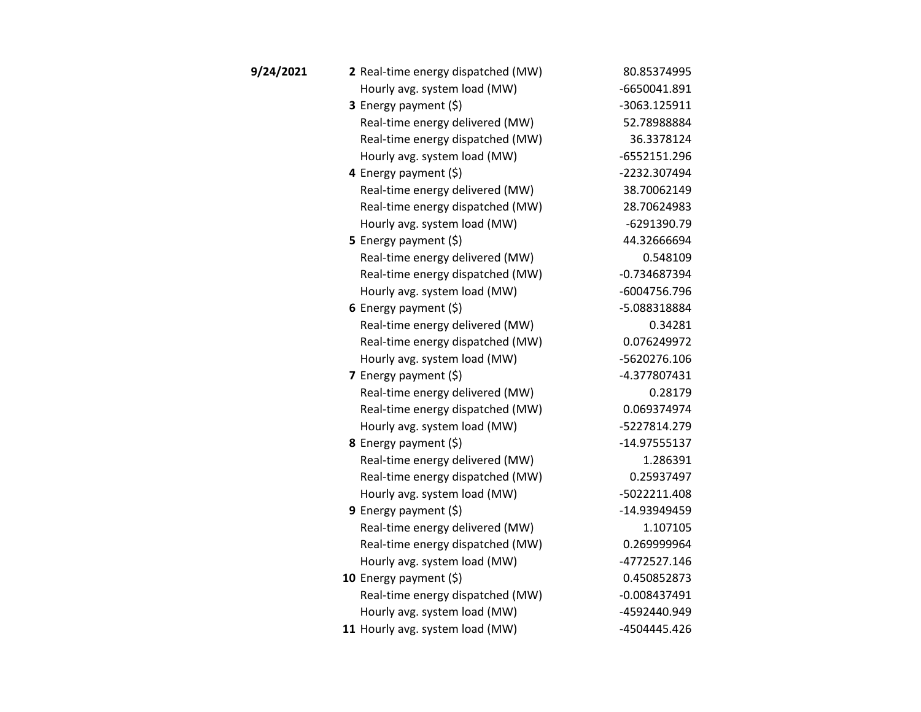| 9/24/2021 | 2 Real-time energy dispatched (MW) | 80.85374995    |
|-----------|------------------------------------|----------------|
|           | Hourly avg. system load (MW)       | -6650041.891   |
|           | 3 Energy payment (\$)              | -3063.125911   |
|           | Real-time energy delivered (MW)    | 52.78988884    |
|           | Real-time energy dispatched (MW)   | 36.3378124     |
|           | Hourly avg. system load (MW)       | -6552151.296   |
|           | 4 Energy payment $(\xi)$           | -2232.307494   |
|           | Real-time energy delivered (MW)    | 38.70062149    |
|           | Real-time energy dispatched (MW)   | 28.70624983    |
|           | Hourly avg. system load (MW)       | $-6291390.79$  |
|           | 5 Energy payment $(\xi)$           | 44.32666694    |
|           | Real-time energy delivered (MW)    | 0.548109       |
|           | Real-time energy dispatched (MW)   | $-0.734687394$ |
|           | Hourly avg. system load (MW)       | -6004756.796   |
|           | 6 Energy payment $(\xi)$           | -5.088318884   |
|           | Real-time energy delivered (MW)    | 0.34281        |
|           | Real-time energy dispatched (MW)   | 0.076249972    |
|           | Hourly avg. system load (MW)       | -5620276.106   |
|           | 7 Energy payment $(\xi)$           | -4.377807431   |
|           | Real-time energy delivered (MW)    | 0.28179        |
|           | Real-time energy dispatched (MW)   | 0.069374974    |
|           | Hourly avg. system load (MW)       | -5227814.279   |
|           | 8 Energy payment (\$)              | -14.97555137   |
|           | Real-time energy delivered (MW)    | 1.286391       |
|           | Real-time energy dispatched (MW)   | 0.25937497     |
|           | Hourly avg. system load (MW)       | -5022211.408   |
|           | 9 Energy payment $(\xi)$           | -14.93949459   |
|           | Real-time energy delivered (MW)    | 1.107105       |
|           | Real-time energy dispatched (MW)   | 0.269999964    |
|           | Hourly avg. system load (MW)       | -4772527.146   |
|           | 10 Energy payment $(\xi)$          | 0.450852873    |
|           | Real-time energy dispatched (MW)   | $-0.008437491$ |
|           | Hourly avg. system load (MW)       | -4592440.949   |
|           | 11 Hourly avg. system load (MW)    | -4504445.426   |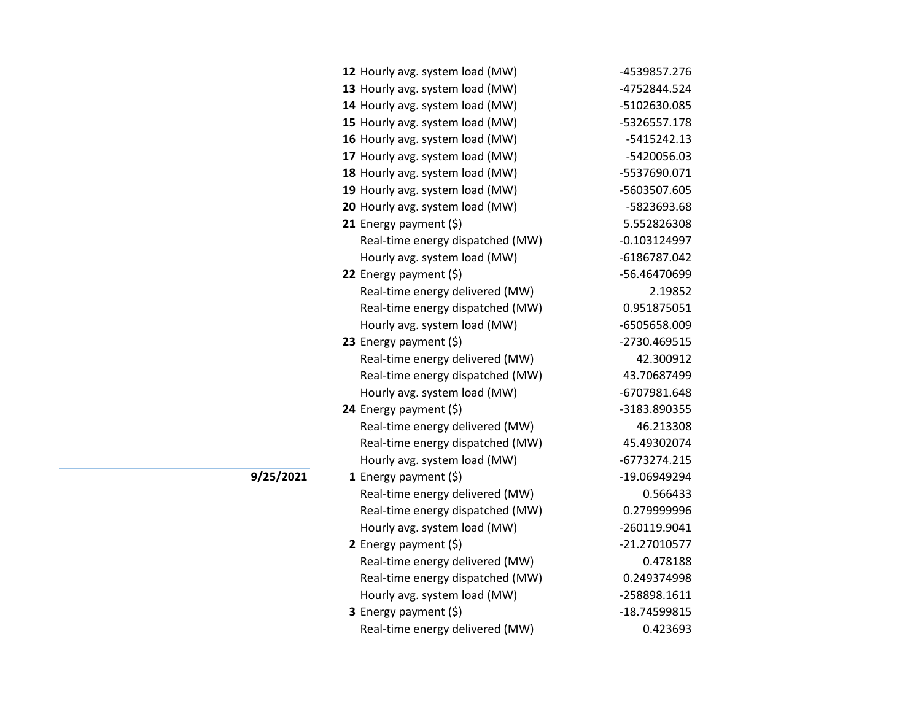|           | 12 Hourly avg. system load (MW)  | -4539857.276   |
|-----------|----------------------------------|----------------|
|           | 13 Hourly avg. system load (MW)  | -4752844.524   |
|           | 14 Hourly avg. system load (MW)  | -5102630.085   |
|           | 15 Hourly avg. system load (MW)  | -5326557.178   |
|           | 16 Hourly avg. system load (MW)  | -5415242.13    |
|           | 17 Hourly avg. system load (MW)  | -5420056.03    |
|           | 18 Hourly avg. system load (MW)  | -5537690.071   |
|           | 19 Hourly avg. system load (MW)  | -5603507.605   |
|           | 20 Hourly avg. system load (MW)  | -5823693.68    |
|           | 21 Energy payment (\$)           | 5.552826308    |
|           | Real-time energy dispatched (MW) | $-0.103124997$ |
|           | Hourly avg. system load (MW)     | -6186787.042   |
|           | 22 Energy payment (\$)           | -56.46470699   |
|           | Real-time energy delivered (MW)  | 2.19852        |
|           | Real-time energy dispatched (MW) | 0.951875051    |
|           | Hourly avg. system load (MW)     | -6505658.009   |
|           | 23 Energy payment (\$)           | -2730.469515   |
|           | Real-time energy delivered (MW)  | 42.300912      |
|           | Real-time energy dispatched (MW) | 43.70687499    |
|           | Hourly avg. system load (MW)     | -6707981.648   |
|           | 24 Energy payment (\$)           | -3183.890355   |
|           | Real-time energy delivered (MW)  | 46.213308      |
|           | Real-time energy dispatched (MW) | 45.49302074    |
|           | Hourly avg. system load (MW)     | $-6773274.215$ |
| 9/25/2021 | 1 Energy payment $(5)$           | -19.06949294   |
|           | Real-time energy delivered (MW)  | 0.566433       |
|           | Real-time energy dispatched (MW) | 0.279999996    |
|           | Hourly avg. system load (MW)     | -260119.9041   |
|           | 2 Energy payment $(\xi)$         | -21.27010577   |
|           | Real-time energy delivered (MW)  | 0.478188       |
|           | Real-time energy dispatched (MW) | 0.249374998    |
|           | Hourly avg. system load (MW)     | -258898.1611   |
|           | <b>3</b> Energy payment $(\xi)$  | -18.74599815   |
|           | Real-time energy delivered (MW)  | 0.423693       |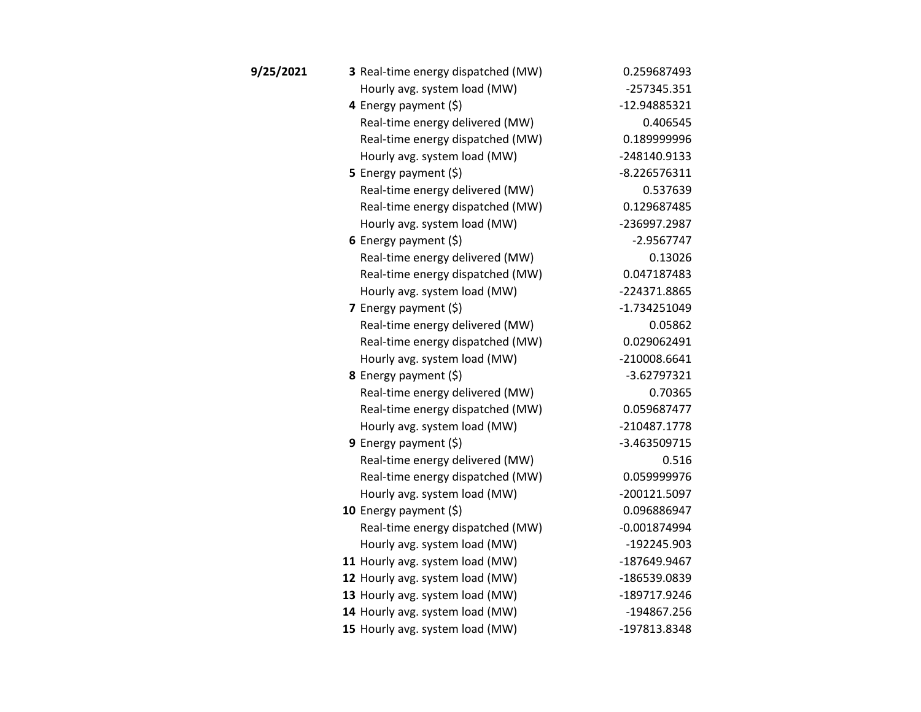| 9/25/2021 | 3 Real-time energy dispatched (MW) | 0.259687493    |
|-----------|------------------------------------|----------------|
|           | Hourly avg. system load (MW)       | $-257345.351$  |
|           | 4 Energy payment (\$)              | -12.94885321   |
|           | Real-time energy delivered (MW)    | 0.406545       |
|           | Real-time energy dispatched (MW)   | 0.189999996    |
|           | Hourly avg. system load (MW)       | -248140.9133   |
|           | <b>5</b> Energy payment $(\xi)$    | $-8.226576311$ |
|           | Real-time energy delivered (MW)    | 0.537639       |
|           | Real-time energy dispatched (MW)   | 0.129687485    |
|           | Hourly avg. system load (MW)       | -236997.2987   |
|           | 6 Energy payment $(\xi)$           | -2.9567747     |
|           | Real-time energy delivered (MW)    | 0.13026        |
|           | Real-time energy dispatched (MW)   | 0.047187483    |
|           | Hourly avg. system load (MW)       | -224371.8865   |
|           | 7 Energy payment $(5)$             | $-1.734251049$ |
|           | Real-time energy delivered (MW)    | 0.05862        |
|           | Real-time energy dispatched (MW)   | 0.029062491    |
|           | Hourly avg. system load (MW)       | -210008.6641   |
|           | 8 Energy payment (\$)              | $-3.62797321$  |
|           | Real-time energy delivered (MW)    | 0.70365        |
|           | Real-time energy dispatched (MW)   | 0.059687477    |
|           | Hourly avg. system load (MW)       | -210487.1778   |
|           | <b>9</b> Energy payment $(\xi)$    | -3.463509715   |
|           | Real-time energy delivered (MW)    | 0.516          |
|           | Real-time energy dispatched (MW)   | 0.059999976    |
|           | Hourly avg. system load (MW)       | -200121.5097   |
|           | 10 Energy payment $(5)$            | 0.096886947    |
|           | Real-time energy dispatched (MW)   | $-0.001874994$ |
|           | Hourly avg. system load (MW)       | -192245.903    |
|           | 11 Hourly avg. system load (MW)    | -187649.9467   |
|           | 12 Hourly avg. system load (MW)    | -186539.0839   |
|           | 13 Hourly avg. system load (MW)    | -189717.9246   |
|           | 14 Hourly avg. system load (MW)    | -194867.256    |
|           | 15 Hourly avg. system load (MW)    | -197813.8348   |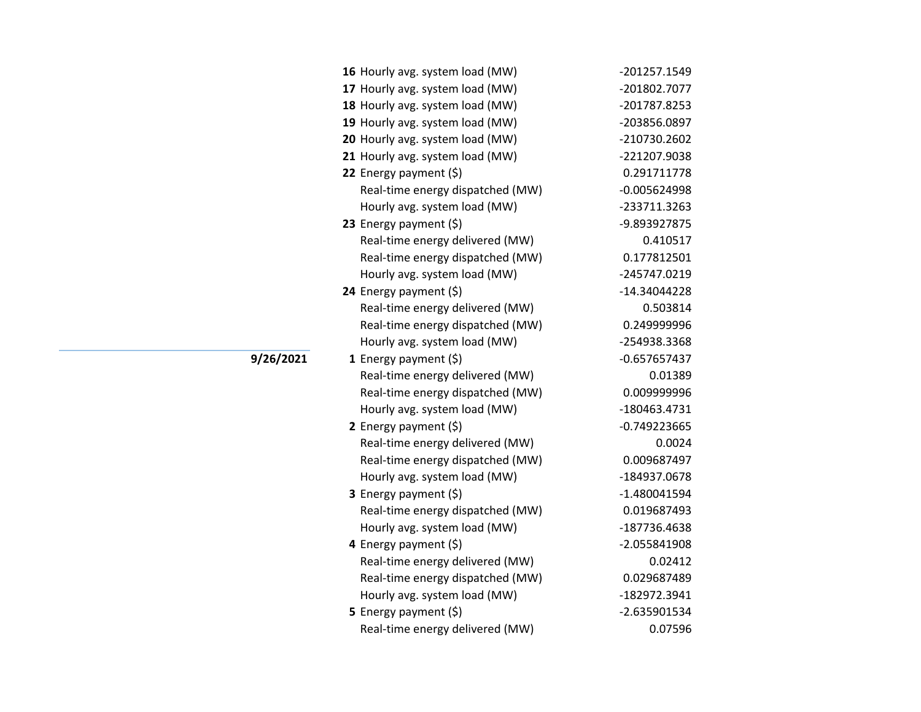| 16 Hourly avg. system load (MW)  | -201257.1549   |
|----------------------------------|----------------|
| 17 Hourly avg. system load (MW)  | -201802.7077   |
| 18 Hourly avg. system load (MW)  | -201787.8253   |
| 19 Hourly avg. system load (MW)  | -203856.0897   |
| 20 Hourly avg. system load (MW)  | -210730.2602   |
| 21 Hourly avg. system load (MW)  | -221207.9038   |
| 22 Energy payment (\$)           | 0.291711778    |
| Real-time energy dispatched (MW) | $-0.005624998$ |
| Hourly avg. system load (MW)     | -233711.3263   |
| 23 Energy payment $(\xi)$        | -9.893927875   |
| Real-time energy delivered (MW)  | 0.410517       |
| Real-time energy dispatched (MW) | 0.177812501    |
| Hourly avg. system load (MW)     | -245747.0219   |
| 24 Energy payment $(\xi)$        | -14.34044228   |
| Real-time energy delivered (MW)  | 0.503814       |
| Real-time energy dispatched (MW) | 0.249999996    |
| Hourly avg. system load (MW)     | -254938.3368   |
| 1 Energy payment (\$)            | $-0.657657437$ |
| Real-time energy delivered (MW)  | 0.01389        |
| Real-time energy dispatched (MW) | 0.009999996    |
| Hourly avg. system load (MW)     | -180463.4731   |
| 2 Energy payment $(5)$           | $-0.749223665$ |
| Real-time energy delivered (MW)  | 0.0024         |
| Real-time energy dispatched (MW) | 0.009687497    |
| Hourly avg. system load (MW)     | -184937.0678   |
| 3 Energy payment (\$)            | $-1.480041594$ |
| Real-time energy dispatched (MW) | 0.019687493    |
| Hourly avg. system load (MW)     | -187736.4638   |
| 4 Energy payment (\$)            | -2.055841908   |
| Real-time energy delivered (MW)  | 0.02412        |
| Real-time energy dispatched (MW) | 0.029687489    |
| Hourly avg. system load (MW)     | -182972.3941   |
| <b>5</b> Energy payment $(\xi)$  | -2.635901534   |
| Real-time energy delivered (MW)  | 0.07596        |

**9/26/2021**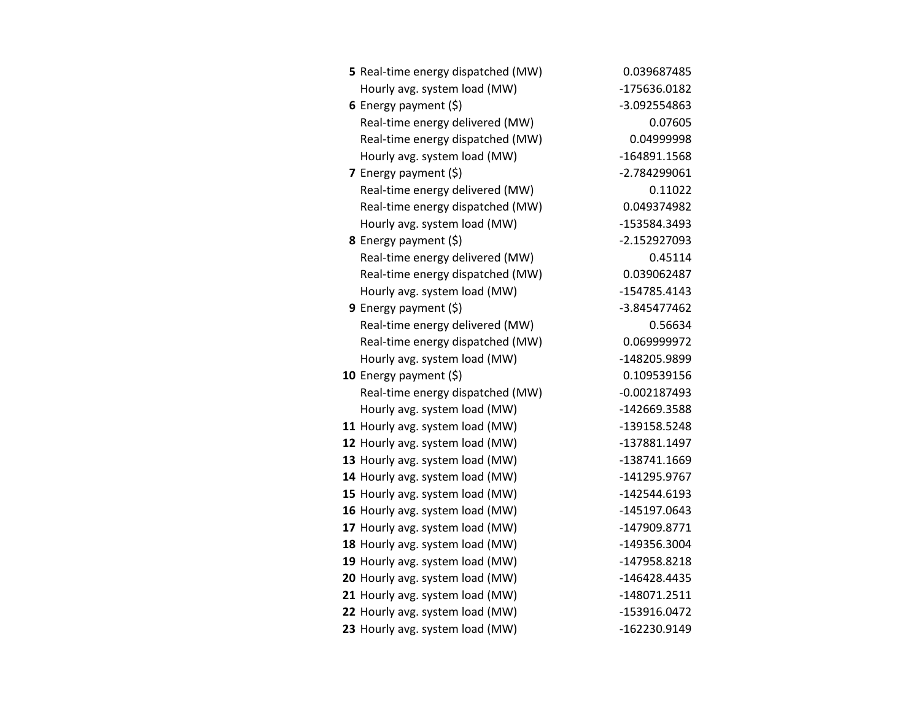| 5 Real-time energy dispatched (MW) | 0.039687485    |
|------------------------------------|----------------|
| Hourly avg. system load (MW)       | -175636.0182   |
| 6 Energy payment $(5)$             | -3.092554863   |
| Real-time energy delivered (MW)    | 0.07605        |
| Real-time energy dispatched (MW)   | 0.04999998     |
| Hourly avg. system load (MW)       | -164891.1568   |
| 7 Energy payment $(5)$             | -2.784299061   |
| Real-time energy delivered (MW)    | 0.11022        |
| Real-time energy dispatched (MW)   | 0.049374982    |
| Hourly avg. system load (MW)       | -153584.3493   |
| 8 Energy payment (\$)              | $-2.152927093$ |
| Real-time energy delivered (MW)    | 0.45114        |
| Real-time energy dispatched (MW)   | 0.039062487    |
| Hourly avg. system load (MW)       | -154785.4143   |
| 9 Energy payment $(5)$             | -3.845477462   |
| Real-time energy delivered (MW)    | 0.56634        |
| Real-time energy dispatched (MW)   | 0.069999972    |
| Hourly avg. system load (MW)       | -148205.9899   |
| 10 Energy payment $(\xi)$          | 0.109539156    |
| Real-time energy dispatched (MW)   | $-0.002187493$ |
| Hourly avg. system load (MW)       | -142669.3588   |
| 11 Hourly avg. system load (MW)    | -139158.5248   |
| 12 Hourly avg. system load (MW)    | -137881.1497   |
| 13 Hourly avg. system load (MW)    | -138741.1669   |
| 14 Hourly avg. system load (MW)    | -141295.9767   |
| 15 Hourly avg. system load (MW)    | -142544.6193   |
| 16 Hourly avg. system load (MW)    | -145197.0643   |
| 17 Hourly avg. system load (MW)    | -147909.8771   |
| 18 Hourly avg. system load (MW)    | -149356.3004   |
| 19 Hourly avg. system load (MW)    | -147958.8218   |
| 20 Hourly avg. system load (MW)    | -146428.4435   |
| 21 Hourly avg. system load (MW)    | -148071.2511   |
| 22 Hourly avg. system load (MW)    | -153916.0472   |
| 23 Hourly avg. system load (MW)    | -162230.9149   |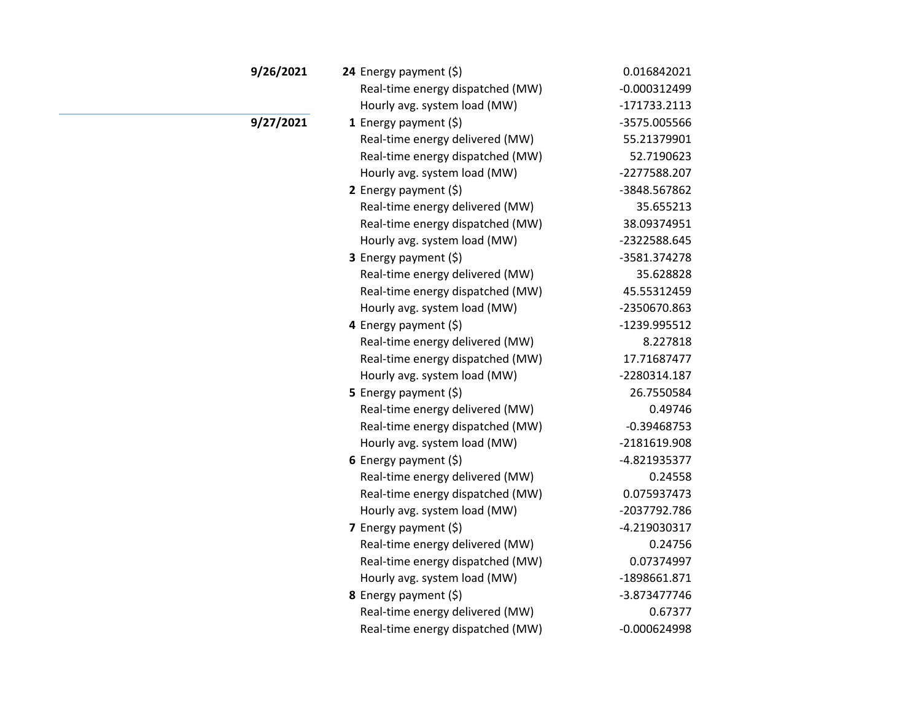| 9/26/2021 | 24 Energy payment (\$)           | 0.016842021    |
|-----------|----------------------------------|----------------|
|           | Real-time energy dispatched (MW) | $-0.000312499$ |
|           | Hourly avg. system load (MW)     | $-171733.2113$ |
| 9/27/2021 | 1 Energy payment $(5)$           | -3575.005566   |
|           | Real-time energy delivered (MW)  | 55.21379901    |
|           | Real-time energy dispatched (MW) | 52.7190623     |
|           | Hourly avg. system load (MW)     | -2277588.207   |
|           | 2 Energy payment $(\xi)$         | -3848.567862   |
|           | Real-time energy delivered (MW)  | 35.655213      |
|           | Real-time energy dispatched (MW) | 38.09374951    |
|           | Hourly avg. system load (MW)     | -2322588.645   |
|           | 3 Energy payment (\$)            | -3581.374278   |
|           | Real-time energy delivered (MW)  | 35.628828      |
|           | Real-time energy dispatched (MW) | 45.55312459    |
|           | Hourly avg. system load (MW)     | -2350670.863   |
|           | 4 Energy payment (\$)            | -1239.995512   |
|           | Real-time energy delivered (MW)  | 8.227818       |
|           | Real-time energy dispatched (MW) | 17.71687477    |
|           | Hourly avg. system load (MW)     | -2280314.187   |
|           | 5 Energy payment $(\xi)$         | 26.7550584     |
|           | Real-time energy delivered (MW)  | 0.49746        |
|           | Real-time energy dispatched (MW) | $-0.39468753$  |
|           | Hourly avg. system load (MW)     | -2181619.908   |
|           | 6 Energy payment $(5)$           | -4.821935377   |
|           | Real-time energy delivered (MW)  | 0.24558        |
|           | Real-time energy dispatched (MW) | 0.075937473    |
|           | Hourly avg. system load (MW)     | -2037792.786   |
|           | 7 Energy payment $(5)$           | $-4.219030317$ |
|           | Real-time energy delivered (MW)  | 0.24756        |
|           | Real-time energy dispatched (MW) | 0.07374997     |
|           | Hourly avg. system load (MW)     | -1898661.871   |
|           | 8 Energy payment (\$)            | -3.873477746   |
|           | Real-time energy delivered (MW)  | 0.67377        |
|           | Real-time energy dispatched (MW) | $-0.000624998$ |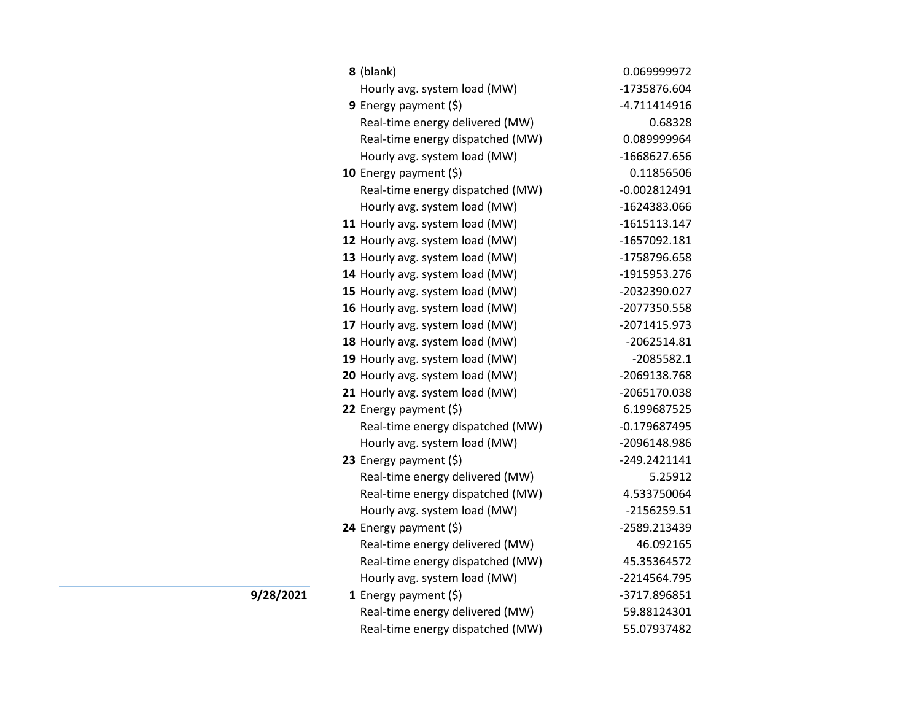| 8 (blank)                        | 0.069999972    |
|----------------------------------|----------------|
| Hourly avg. system load (MW)     | -1735876.604   |
| 9 Energy payment $(\xi)$         | $-4.711414916$ |
| Real-time energy delivered (MW)  | 0.68328        |
| Real-time energy dispatched (MW) | 0.089999964    |
| Hourly avg. system load (MW)     | -1668627.656   |
| 10 Energy payment $(\xi)$        | 0.11856506     |
| Real-time energy dispatched (MW) | $-0.002812491$ |
| Hourly avg. system load (MW)     | -1624383.066   |
| 11 Hourly avg. system load (MW)  | $-1615113.147$ |
| 12 Hourly avg. system load (MW)  | -1657092.181   |
| 13 Hourly avg. system load (MW)  | -1758796.658   |
| 14 Hourly avg. system load (MW)  | -1915953.276   |
| 15 Hourly avg. system load (MW)  | -2032390.027   |
| 16 Hourly avg. system load (MW)  | -2077350.558   |
| 17 Hourly avg. system load (MW)  | -2071415.973   |
| 18 Hourly avg. system load (MW)  | $-2062514.81$  |
| 19 Hourly avg. system load (MW)  | $-2085582.1$   |
| 20 Hourly avg. system load (MW)  | -2069138.768   |
| 21 Hourly avg. system load (MW)  | -2065170.038   |
| 22 Energy payment (\$)           | 6.199687525    |
| Real-time energy dispatched (MW) | $-0.179687495$ |
| Hourly avg. system load (MW)     | -2096148.986   |
| 23 Energy payment (\$)           | $-249.2421141$ |
| Real-time energy delivered (MW)  | 5.25912        |
| Real-time energy dispatched (MW) | 4.533750064    |
| Hourly avg. system load (MW)     | -2156259.51    |
| 24 Energy payment (\$)           | -2589.213439   |
| Real-time energy delivered (MW)  | 46.092165      |
| Real-time energy dispatched (MW) | 45.35364572    |
| Hourly avg. system load (MW)     | -2214564.795   |
| 1 Energy payment $(5)$           | -3717.896851   |
| Real-time energy delivered (MW)  | 59.88124301    |
| Real-time energy dispatched (MW) | 55.07937482    |

**9/28/2021**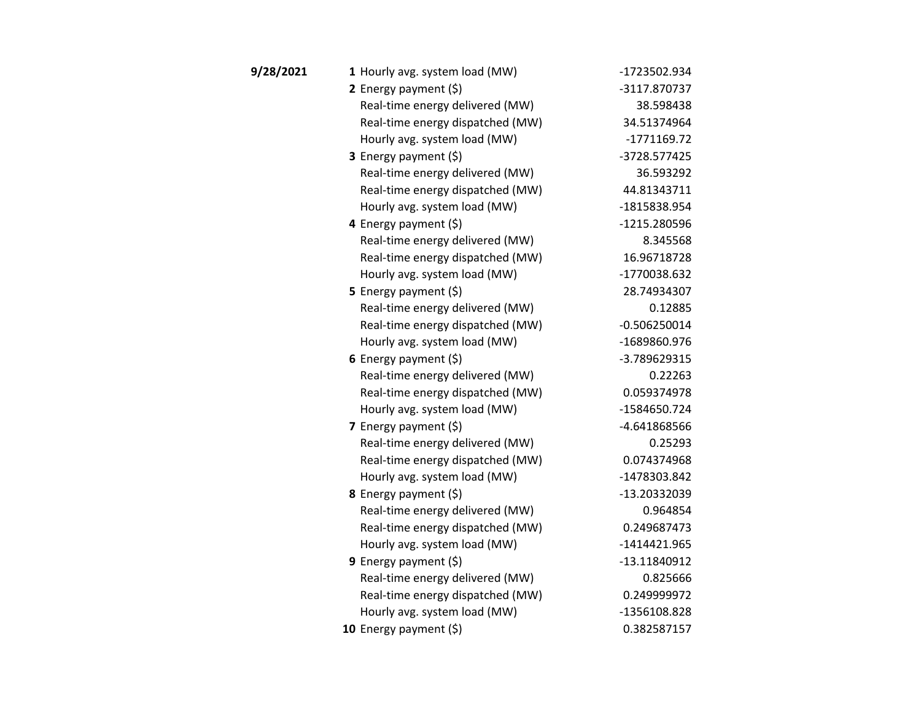| 9/28/2021 | 1 Hourly avg. system load (MW)   | -1723502.934   |
|-----------|----------------------------------|----------------|
|           | 2 Energy payment $(5)$           | -3117.870737   |
|           | Real-time energy delivered (MW)  | 38.598438      |
|           | Real-time energy dispatched (MW) | 34.51374964    |
|           | Hourly avg. system load (MW)     | -1771169.72    |
|           | <b>3</b> Energy payment $(\xi)$  | -3728.577425   |
|           | Real-time energy delivered (MW)  | 36.593292      |
|           | Real-time energy dispatched (MW) | 44.81343711    |
|           | Hourly avg. system load (MW)     | -1815838.954   |
|           | 4 Energy payment (\$)            | -1215.280596   |
|           | Real-time energy delivered (MW)  | 8.345568       |
|           | Real-time energy dispatched (MW) | 16.96718728    |
|           | Hourly avg. system load (MW)     | -1770038.632   |
|           | <b>5</b> Energy payment $(\xi)$  | 28.74934307    |
|           | Real-time energy delivered (MW)  | 0.12885        |
|           | Real-time energy dispatched (MW) | $-0.506250014$ |
|           | Hourly avg. system load (MW)     | -1689860.976   |
|           | 6 Energy payment $(5)$           | -3.789629315   |
|           | Real-time energy delivered (MW)  | 0.22263        |
|           | Real-time energy dispatched (MW) | 0.059374978    |
|           | Hourly avg. system load (MW)     | -1584650.724   |
|           | 7 Energy payment $(5)$           | -4.641868566   |
|           | Real-time energy delivered (MW)  | 0.25293        |
|           | Real-time energy dispatched (MW) | 0.074374968    |
|           | Hourly avg. system load (MW)     | -1478303.842   |
|           | 8 Energy payment (\$)            | -13.20332039   |
|           | Real-time energy delivered (MW)  | 0.964854       |
|           | Real-time energy dispatched (MW) | 0.249687473    |
|           | Hourly avg. system load (MW)     | $-1414421.965$ |
|           | <b>9</b> Energy payment $(\xi)$  | -13.11840912   |
|           | Real-time energy delivered (MW)  | 0.825666       |
|           | Real-time energy dispatched (MW) | 0.249999972    |
|           | Hourly avg. system load (MW)     | -1356108.828   |
|           | 10 Energy payment (\$)           | 0.382587157    |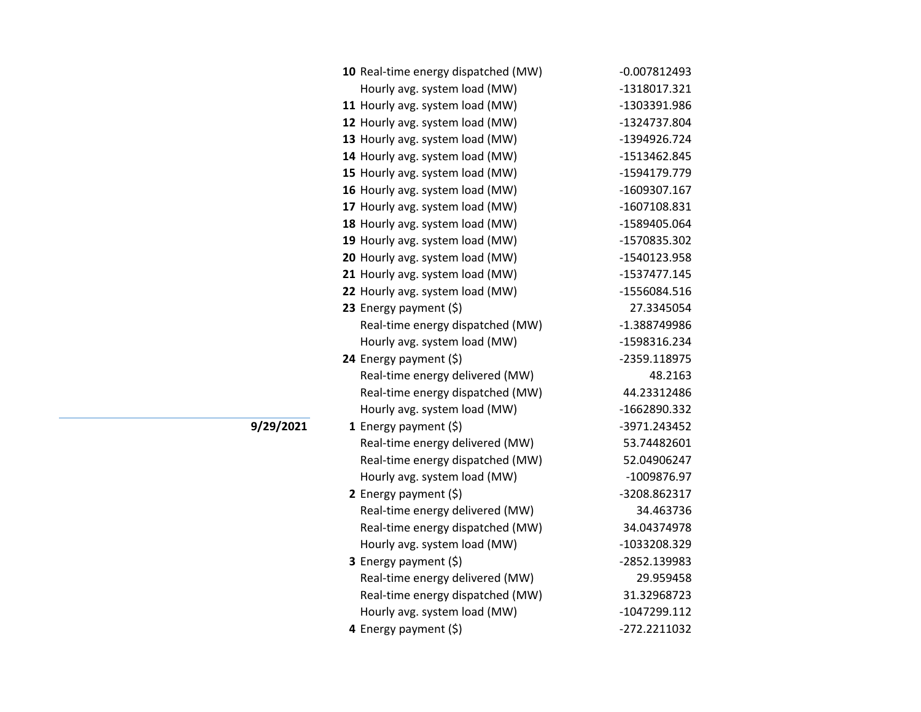| 10 Real-time energy dispatched (MW) | $-0.007812493$ |
|-------------------------------------|----------------|
| Hourly avg. system load (MW)        | -1318017.321   |
| 11 Hourly avg. system load (MW)     | -1303391.986   |
| 12 Hourly avg. system load (MW)     | -1324737.804   |
| 13 Hourly avg. system load (MW)     | -1394926.724   |
| 14 Hourly avg. system load (MW)     | -1513462.845   |
| 15 Hourly avg. system load (MW)     | -1594179.779   |
| 16 Hourly avg. system load (MW)     | -1609307.167   |
| 17 Hourly avg. system load (MW)     | -1607108.831   |
| 18 Hourly avg. system load (MW)     | -1589405.064   |
| 19 Hourly avg. system load (MW)     | -1570835.302   |
| 20 Hourly avg. system load (MW)     | -1540123.958   |
| 21 Hourly avg. system load (MW)     | -1537477.145   |
| 22 Hourly avg. system load (MW)     | -1556084.516   |
| 23 Energy payment (\$)              | 27.3345054     |
| Real-time energy dispatched (MW)    | -1.388749986   |
| Hourly avg. system load (MW)        | -1598316.234   |
| 24 Energy payment (\$)              | -2359.118975   |
| Real-time energy delivered (MW)     | 48.2163        |
| Real-time energy dispatched (MW)    | 44.23312486    |
| Hourly avg. system load (MW)        | -1662890.332   |
| 1 Energy payment (\$)               | -3971.243452   |
| Real-time energy delivered (MW)     | 53.74482601    |
| Real-time energy dispatched (MW)    | 52.04906247    |
| Hourly avg. system load (MW)        | -1009876.97    |
| 2 Energy payment (\$)               | -3208.862317   |
| Real-time energy delivered (MW)     | 34.463736      |
| Real-time energy dispatched (MW)    | 34.04374978    |
| Hourly avg. system load (MW)        | -1033208.329   |
| 3 Energy payment (\$)               | -2852.139983   |
| Real-time energy delivered (MW)     | 29.959458      |
|                                     |                |
| Real-time energy dispatched (MW)    | 31.32968723    |
| Hourly avg. system load (MW)        | -1047299.112   |

**9/29/2021**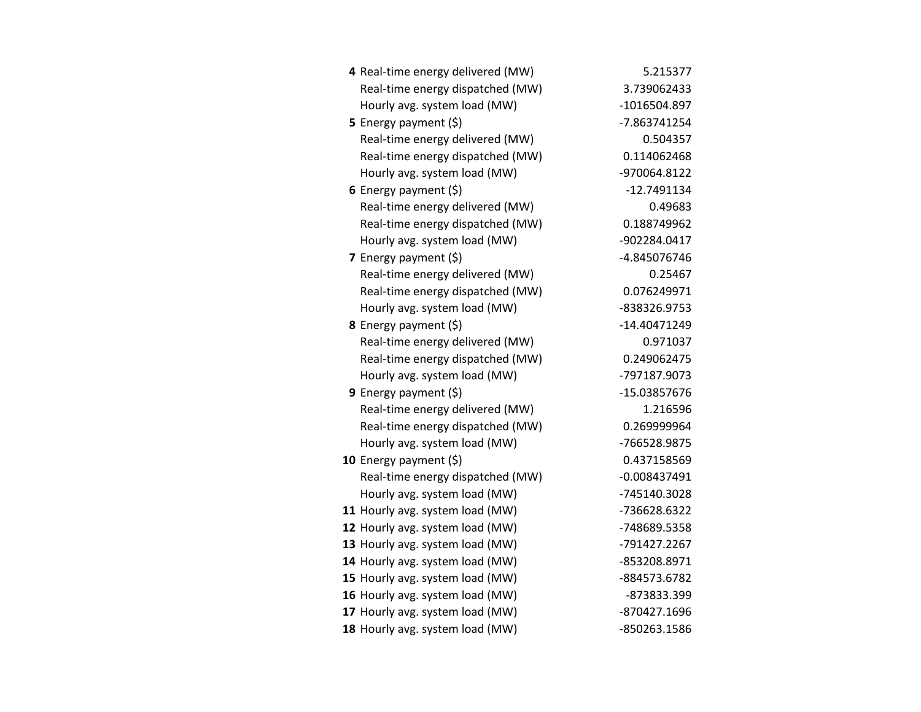| 4 Real-time energy delivered (MW) | 5.215377       |
|-----------------------------------|----------------|
| Real-time energy dispatched (MW)  | 3.739062433    |
| Hourly avg. system load (MW)      | -1016504.897   |
| 5 Energy payment $(5)$            | -7.863741254   |
| Real-time energy delivered (MW)   | 0.504357       |
| Real-time energy dispatched (MW)  | 0.114062468    |
| Hourly avg. system load (MW)      | -970064.8122   |
| 6 Energy payment $(5)$            | $-12.7491134$  |
| Real-time energy delivered (MW)   | 0.49683        |
| Real-time energy dispatched (MW)  | 0.188749962    |
| Hourly avg. system load (MW)      | -902284.0417   |
| 7 Energy payment (\$)             | -4.845076746   |
| Real-time energy delivered (MW)   | 0.25467        |
| Real-time energy dispatched (MW)  | 0.076249971    |
| Hourly avg. system load (MW)      | -838326.9753   |
| 8 Energy payment (\$)             | -14.40471249   |
| Real-time energy delivered (MW)   | 0.971037       |
| Real-time energy dispatched (MW)  | 0.249062475    |
| Hourly avg. system load (MW)      | -797187.9073   |
| <b>9</b> Energy payment $(\xi)$   | -15.03857676   |
| Real-time energy delivered (MW)   | 1.216596       |
| Real-time energy dispatched (MW)  | 0.269999964    |
| Hourly avg. system load (MW)      | -766528.9875   |
| 10 Energy payment $(5)$           | 0.437158569    |
| Real-time energy dispatched (MW)  | $-0.008437491$ |
| Hourly avg. system load (MW)      | -745140.3028   |
| 11 Hourly avg. system load (MW)   | -736628.6322   |
| 12 Hourly avg. system load (MW)   | -748689.5358   |
| 13 Hourly avg. system load (MW)   | -791427.2267   |
| 14 Hourly avg. system load (MW)   | -853208.8971   |
| 15 Hourly avg. system load (MW)   | -884573.6782   |
| 16 Hourly avg. system load (MW)   | -873833.399    |
| 17 Hourly avg. system load (MW)   | -870427.1696   |
| 18 Hourly avg. system load (MW)   | -850263.1586   |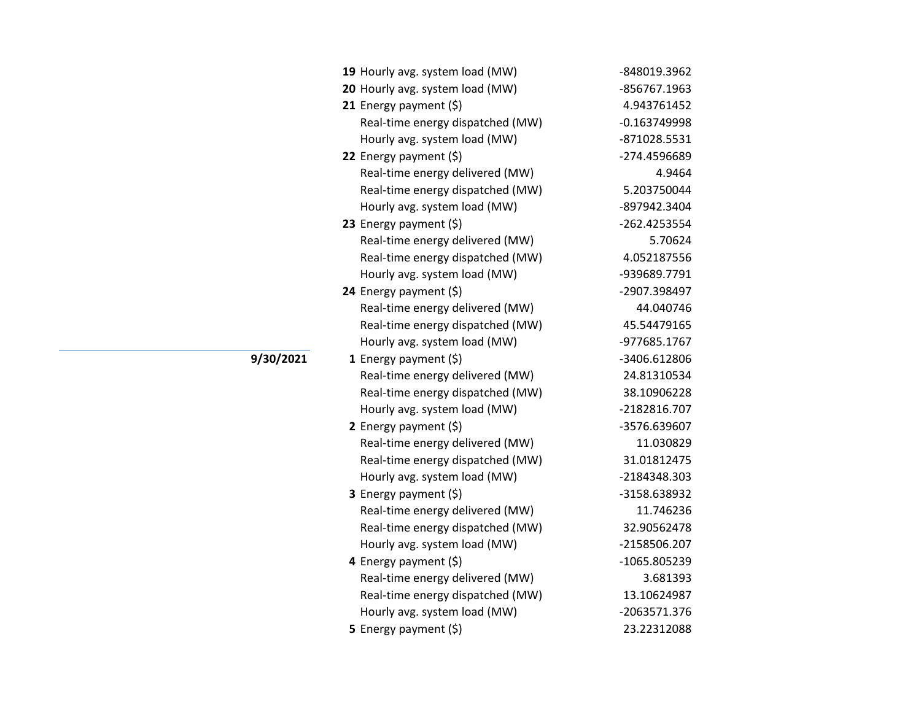| 19 Hourly avg. system load (MW)  | -848019.3962   |
|----------------------------------|----------------|
| 20 Hourly avg. system load (MW)  | -856767.1963   |
| 21 Energy payment (\$)           | 4.943761452    |
| Real-time energy dispatched (MW) | $-0.163749998$ |
| Hourly avg. system load (MW)     | -871028.5531   |
| 22 Energy payment $(\xi)$        | -274.4596689   |
| Real-time energy delivered (MW)  | 4.9464         |
| Real-time energy dispatched (MW) | 5.203750044    |
| Hourly avg. system load (MW)     | -897942.3404   |
| 23 Energy payment $(\xi)$        | -262.4253554   |
| Real-time energy delivered (MW)  | 5.70624        |
| Real-time energy dispatched (MW) | 4.052187556    |
| Hourly avg. system load (MW)     | -939689.7791   |
| 24 Energy payment $(\xi)$        | -2907.398497   |
| Real-time energy delivered (MW)  | 44.040746      |
| Real-time energy dispatched (MW) | 45.54479165    |
| Hourly avg. system load (MW)     | -977685.1767   |
| 1 Energy payment (\$)            | -3406.612806   |
| Real-time energy delivered (MW)  | 24.81310534    |
| Real-time energy dispatched (MW) | 38.10906228    |
| Hourly avg. system load (MW)     | -2182816.707   |
| 2 Energy payment $(5)$           | -3576.639607   |
| Real-time energy delivered (MW)  | 11.030829      |
| Real-time energy dispatched (MW) | 31.01812475    |
| Hourly avg. system load (MW)     | -2184348.303   |
| 3 Energy payment (\$)            | -3158.638932   |
| Real-time energy delivered (MW)  | 11.746236      |
| Real-time energy dispatched (MW) | 32.90562478    |
| Hourly avg. system load (MW)     | -2158506.207   |
| 4 Energy payment (\$)            | -1065.805239   |
| Real-time energy delivered (MW)  | 3.681393       |
| Real-time energy dispatched (MW) | 13.10624987    |
| Hourly avg. system load (MW)     | -2063571.376   |
| 5 Energy payment $(5)$           | 23.22312088    |

**9/30/2021**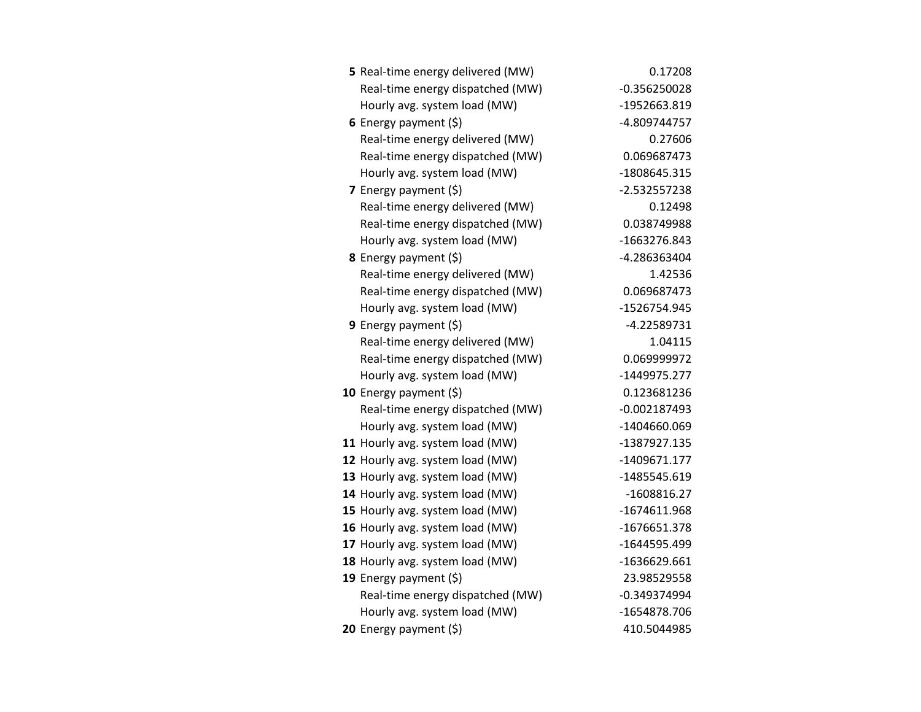| 5 Real-time energy delivered (MW) | 0.17208        |
|-----------------------------------|----------------|
| Real-time energy dispatched (MW)  | $-0.356250028$ |
| Hourly avg. system load (MW)      | -1952663.819   |
| 6 Energy payment $(5)$            | -4.809744757   |
| Real-time energy delivered (MW)   | 0.27606        |
| Real-time energy dispatched (MW)  | 0.069687473    |
| Hourly avg. system load (MW)      | -1808645.315   |
| 7 Energy payment $(5)$            | $-2.532557238$ |
| Real-time energy delivered (MW)   | 0.12498        |
| Real-time energy dispatched (MW)  | 0.038749988    |
| Hourly avg. system load (MW)      | -1663276.843   |
| 8 Energy payment (\$)             | -4.286363404   |
| Real-time energy delivered (MW)   | 1.42536        |
| Real-time energy dispatched (MW)  | 0.069687473    |
| Hourly avg. system load (MW)      | -1526754.945   |
| 9 Energy payment $(5)$            | $-4.22589731$  |
| Real-time energy delivered (MW)   | 1.04115        |
| Real-time energy dispatched (MW)  | 0.069999972    |
| Hourly avg. system load (MW)      | -1449975.277   |
| 10 Energy payment (\$)            | 0.123681236    |
| Real-time energy dispatched (MW)  | $-0.002187493$ |
| Hourly avg. system load (MW)      | -1404660.069   |
| 11 Hourly avg. system load (MW)   | -1387927.135   |
| 12 Hourly avg. system load (MW)   | -1409671.177   |
| 13 Hourly avg. system load (MW)   | -1485545.619   |
| 14 Hourly avg. system load (MW)   | $-1608816.27$  |
| 15 Hourly avg. system load (MW)   | -1674611.968   |
| 16 Hourly avg. system load (MW)   | -1676651.378   |
| 17 Hourly avg. system load (MW)   | -1644595.499   |
| 18 Hourly avg. system load (MW)   | -1636629.661   |
| 19 Energy payment (\$)            | 23.98529558    |
| Real-time energy dispatched (MW)  | $-0.349374994$ |
| Hourly avg. system load (MW)      | -1654878.706   |
| 20 Energy payment (\$)            | 410.5044985    |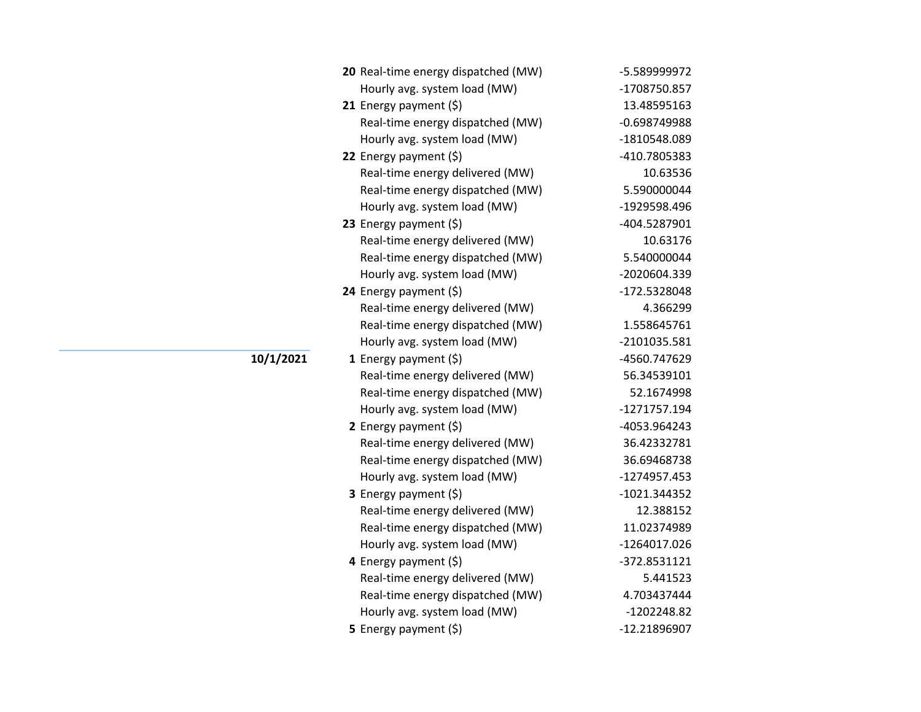| 20 Real-time energy dispatched (MW) | -5.589999972   |
|-------------------------------------|----------------|
| Hourly avg. system load (MW)        | -1708750.857   |
| 21 Energy payment $(\xi)$           | 13.48595163    |
| Real-time energy dispatched (MW)    | $-0.698749988$ |
| Hourly avg. system load (MW)        | -1810548.089   |
| 22 Energy payment (\$)              | -410.7805383   |
| Real-time energy delivered (MW)     | 10.63536       |
| Real-time energy dispatched (MW)    | 5.590000044    |
| Hourly avg. system load (MW)        | -1929598.496   |
| 23 Energy payment $(\xi)$           | -404.5287901   |
| Real-time energy delivered (MW)     | 10.63176       |
| Real-time energy dispatched (MW)    | 5.540000044    |
| Hourly avg. system load (MW)        | -2020604.339   |
| 24 Energy payment (\$)              | -172.5328048   |
| Real-time energy delivered (MW)     | 4.366299       |
| Real-time energy dispatched (MW)    | 1.558645761    |
| Hourly avg. system load (MW)        | -2101035.581   |
| 1 Energy payment $(\xi)$            | -4560.747629   |
| Real-time energy delivered (MW)     | 56.34539101    |
| Real-time energy dispatched (MW)    | 52.1674998     |
| Hourly avg. system load (MW)        | -1271757.194   |
| 2 Energy payment $(\xi)$            | -4053.964243   |
| Real-time energy delivered (MW)     | 36.42332781    |
| Real-time energy dispatched (MW)    | 36.69468738    |
| Hourly avg. system load (MW)        | -1274957.453   |
| 3 Energy payment (\$)               | -1021.344352   |
| Real-time energy delivered (MW)     | 12.388152      |
| Real-time energy dispatched (MW)    | 11.02374989    |
| Hourly avg. system load (MW)        | -1264017.026   |
| 4 Energy payment (\$)               | -372.8531121   |
| Real-time energy delivered (MW)     | 5.441523       |
| Real-time energy dispatched (MW)    | 4.703437444    |
| Hourly avg. system load (MW)        | -1202248.82    |
| 5 Energy payment $(5)$              | -12.21896907   |

**10/1/2021**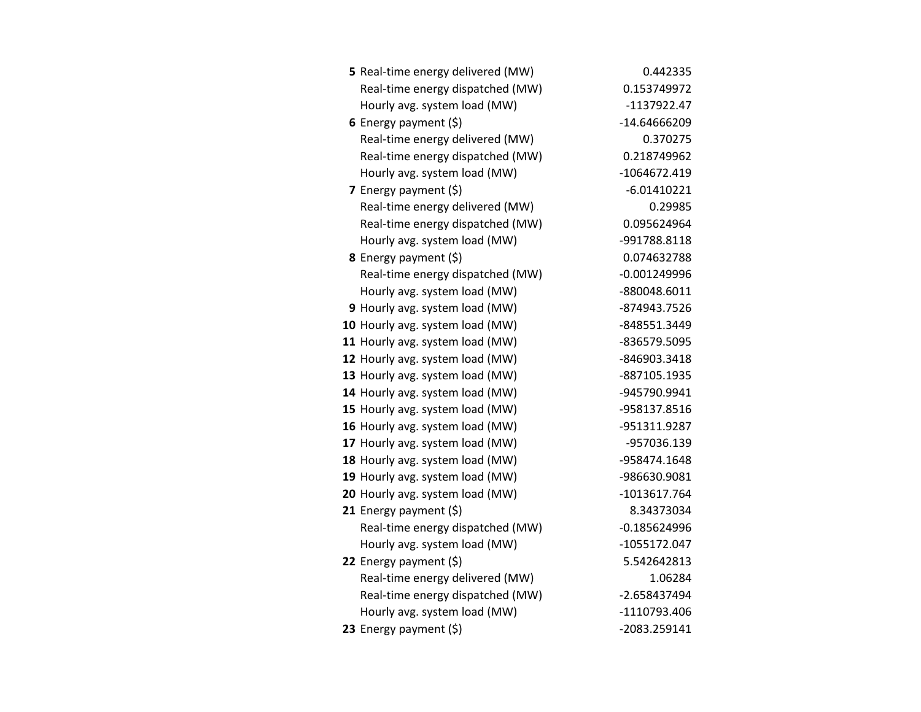| 5 Real-time energy delivered (MW) | 0.442335       |
|-----------------------------------|----------------|
| Real-time energy dispatched (MW)  | 0.153749972    |
| Hourly avg. system load (MW)      | -1137922.47    |
| 6 Energy payment $(\xi)$          | -14.64666209   |
| Real-time energy delivered (MW)   | 0.370275       |
| Real-time energy dispatched (MW)  | 0.218749962    |
| Hourly avg. system load (MW)      | -1064672.419   |
| 7 Energy payment $(\xi)$          | $-6.01410221$  |
| Real-time energy delivered (MW)   | 0.29985        |
| Real-time energy dispatched (MW)  | 0.095624964    |
| Hourly avg. system load (MW)      | -991788.8118   |
| 8 Energy payment (\$)             | 0.074632788    |
| Real-time energy dispatched (MW)  | $-0.001249996$ |
| Hourly avg. system load (MW)      | -880048.6011   |
| 9 Hourly avg. system load (MW)    | -874943.7526   |
| 10 Hourly avg. system load (MW)   | -848551.3449   |
| 11 Hourly avg. system load (MW)   | -836579.5095   |
| 12 Hourly avg. system load (MW)   | -846903.3418   |
| 13 Hourly avg. system load (MW)   | -887105.1935   |
| 14 Hourly avg. system load (MW)   | -945790.9941   |
| 15 Hourly avg. system load (MW)   | -958137.8516   |
| 16 Hourly avg. system load (MW)   | -951311.9287   |
| 17 Hourly avg. system load (MW)   | -957036.139    |
| 18 Hourly avg. system load (MW)   | -958474.1648   |
| 19 Hourly avg. system load (MW)   | -986630.9081   |
| 20 Hourly avg. system load (MW)   | -1013617.764   |
| 21 Energy payment (\$)            | 8.34373034     |
| Real-time energy dispatched (MW)  | $-0.185624996$ |
| Hourly avg. system load (MW)      | -1055172.047   |
| 22 Energy payment $(\xi)$         | 5.542642813    |
| Real-time energy delivered (MW)   | 1.06284        |
| Real-time energy dispatched (MW)  | -2.658437494   |
| Hourly avg. system load (MW)      | -1110793.406   |
| 23 Energy payment $(5)$           | -2083.259141   |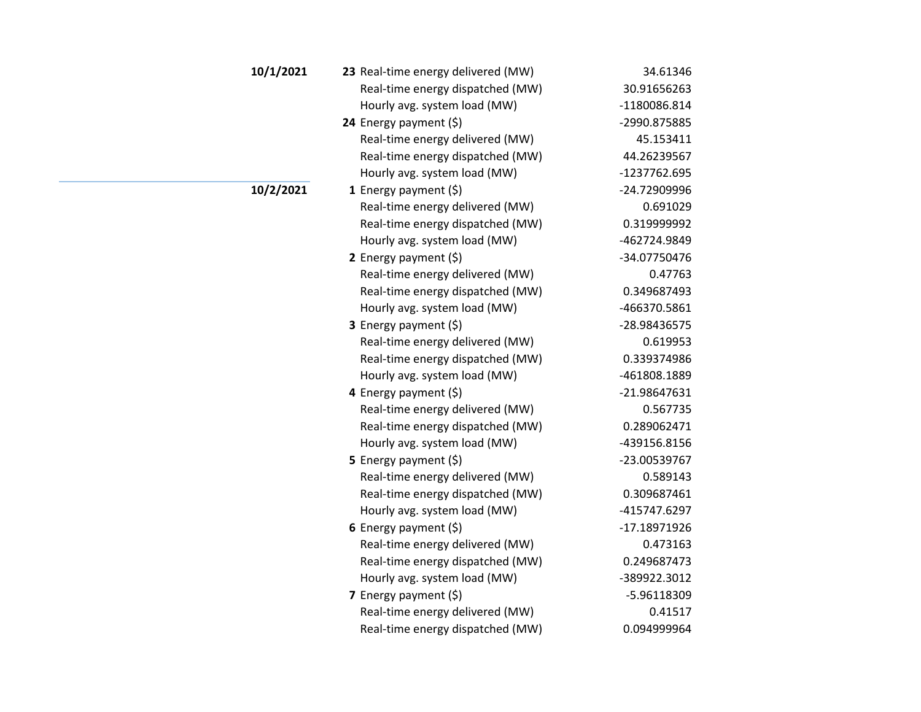| 10/1/2021 | 23 Real-time energy delivered (MW) | 34.61346     |
|-----------|------------------------------------|--------------|
|           | Real-time energy dispatched (MW)   | 30.91656263  |
|           | Hourly avg. system load (MW)       | -1180086.814 |
|           | 24 Energy payment $(\xi)$          | -2990.875885 |
|           | Real-time energy delivered (MW)    | 45.153411    |
|           | Real-time energy dispatched (MW)   | 44.26239567  |
|           | Hourly avg. system load (MW)       | -1237762.695 |
| 10/2/2021 | 1 Energy payment $(\xi)$           | -24.72909996 |
|           | Real-time energy delivered (MW)    | 0.691029     |
|           | Real-time energy dispatched (MW)   | 0.319999992  |
|           | Hourly avg. system load (MW)       | -462724.9849 |
|           | 2 Energy payment $(5)$             | -34.07750476 |
|           | Real-time energy delivered (MW)    | 0.47763      |
|           | Real-time energy dispatched (MW)   | 0.349687493  |
|           | Hourly avg. system load (MW)       | -466370.5861 |
|           | 3 Energy payment (\$)              | -28.98436575 |
|           | Real-time energy delivered (MW)    | 0.619953     |
|           | Real-time energy dispatched (MW)   | 0.339374986  |
|           | Hourly avg. system load (MW)       | -461808.1889 |
|           | 4 Energy payment (\$)              | -21.98647631 |
|           | Real-time energy delivered (MW)    | 0.567735     |
|           | Real-time energy dispatched (MW)   | 0.289062471  |
|           | Hourly avg. system load (MW)       | -439156.8156 |
|           | 5 Energy payment $(5)$             | -23.00539767 |
|           | Real-time energy delivered (MW)    | 0.589143     |
|           | Real-time energy dispatched (MW)   | 0.309687461  |
|           | Hourly avg. system load (MW)       | -415747.6297 |
|           | 6 Energy payment $(5)$             | -17.18971926 |
|           | Real-time energy delivered (MW)    | 0.473163     |
|           | Real-time energy dispatched (MW)   | 0.249687473  |
|           | Hourly avg. system load (MW)       | -389922.3012 |
|           | 7 Energy payment $(5)$             | -5.96118309  |
|           | Real-time energy delivered (MW)    | 0.41517      |
|           | Real-time energy dispatched (MW)   | 0.094999964  |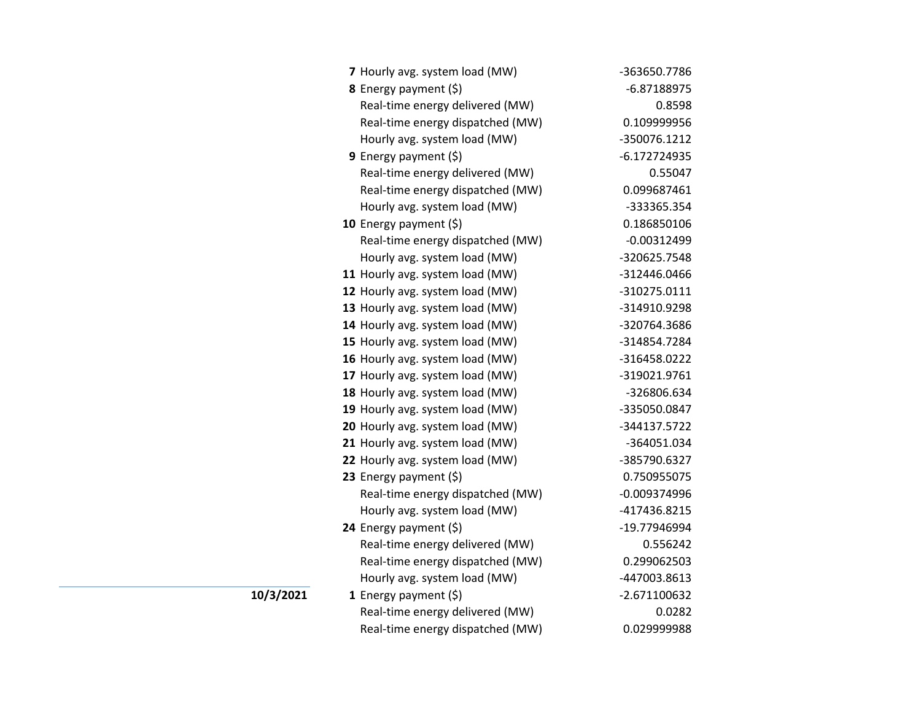| 7 Hourly avg. system load (MW)   | -363650.7786   |
|----------------------------------|----------------|
| 8 Energy payment (\$)            | -6.87188975    |
| Real-time energy delivered (MW)  | 0.8598         |
| Real-time energy dispatched (MW) | 0.109999956    |
| Hourly avg. system load (MW)     | -350076.1212   |
| <b>9</b> Energy payment $(\xi)$  | $-6.172724935$ |
| Real-time energy delivered (MW)  | 0.55047        |
| Real-time energy dispatched (MW) | 0.099687461    |
| Hourly avg. system load (MW)     | -333365.354    |
| 10 Energy payment $(\xi)$        | 0.186850106    |
| Real-time energy dispatched (MW) | $-0.00312499$  |
| Hourly avg. system load (MW)     | -320625.7548   |
| 11 Hourly avg. system load (MW)  | -312446.0466   |
| 12 Hourly avg. system load (MW)  | -310275.0111   |
| 13 Hourly avg. system load (MW)  | -314910.9298   |
| 14 Hourly avg. system load (MW)  | -320764.3686   |
| 15 Hourly avg. system load (MW)  | -314854.7284   |
| 16 Hourly avg. system load (MW)  | -316458.0222   |
| 17 Hourly avg. system load (MW)  | -319021.9761   |
| 18 Hourly avg. system load (MW)  | -326806.634    |
| 19 Hourly avg. system load (MW)  | -335050.0847   |
| 20 Hourly avg. system load (MW)  | -344137.5722   |
| 21 Hourly avg. system load (MW)  | -364051.034    |
| 22 Hourly avg. system load (MW)  | -385790.6327   |
| 23 Energy payment (\$)           | 0.750955075    |
| Real-time energy dispatched (MW) | $-0.009374996$ |
| Hourly avg. system load (MW)     | -417436.8215   |
| 24 Energy payment (\$)           | -19.77946994   |
| Real-time energy delivered (MW)  | 0.556242       |
| Real-time energy dispatched (MW) | 0.299062503    |
| Hourly avg. system load (MW)     | -447003.8613   |
| 1 Energy payment $(\xi)$         | -2.671100632   |
| Real-time energy delivered (MW)  | 0.0282         |
| Real-time energy dispatched (MW) | 0.029999988    |

**10/3/2021**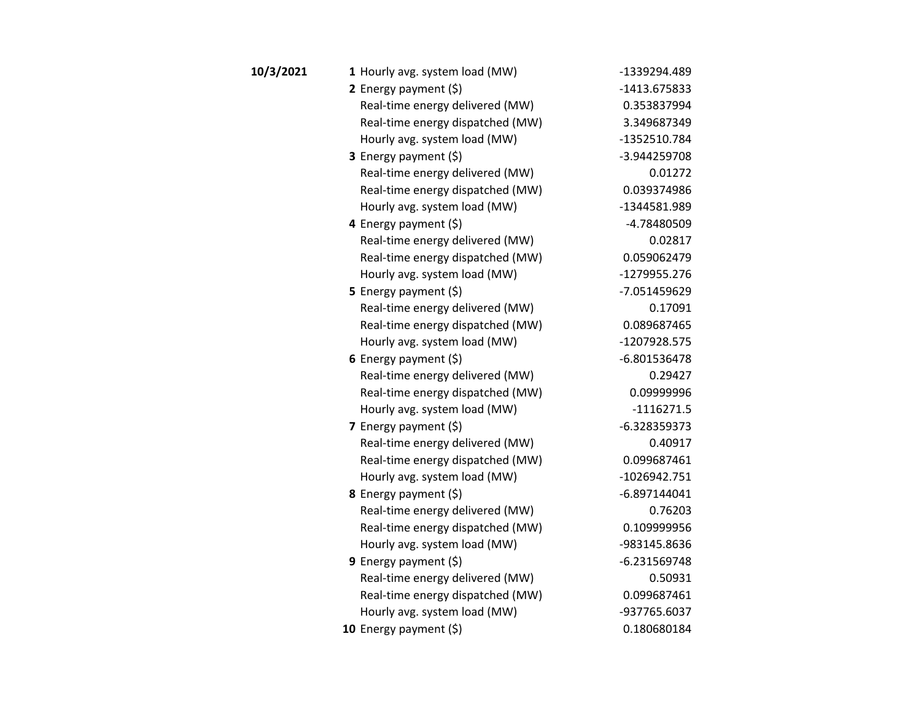| 10/3/2021 | 1 Hourly avg. system load (MW)   | -1339294.489   |
|-----------|----------------------------------|----------------|
|           | 2 Energy payment $(5)$           | -1413.675833   |
|           | Real-time energy delivered (MW)  | 0.353837994    |
|           | Real-time energy dispatched (MW) | 3.349687349    |
|           | Hourly avg. system load (MW)     | -1352510.784   |
|           | 3 Energy payment (\$)            | -3.944259708   |
|           | Real-time energy delivered (MW)  | 0.01272        |
|           | Real-time energy dispatched (MW) | 0.039374986    |
|           | Hourly avg. system load (MW)     | -1344581.989   |
|           | 4 Energy payment $(\xi)$         | -4.78480509    |
|           | Real-time energy delivered (MW)  | 0.02817        |
|           | Real-time energy dispatched (MW) | 0.059062479    |
|           | Hourly avg. system load (MW)     | -1279955.276   |
|           | <b>5</b> Energy payment $(\xi)$  | -7.051459629   |
|           | Real-time energy delivered (MW)  | 0.17091        |
|           | Real-time energy dispatched (MW) | 0.089687465    |
|           | Hourly avg. system load (MW)     | -1207928.575   |
|           | 6 Energy payment (\$)            | $-6.801536478$ |
|           | Real-time energy delivered (MW)  | 0.29427        |
|           | Real-time energy dispatched (MW) | 0.09999996     |
|           | Hourly avg. system load (MW)     | $-1116271.5$   |
|           | 7 Energy payment $(5)$           | $-6.328359373$ |
|           | Real-time energy delivered (MW)  | 0.40917        |
|           | Real-time energy dispatched (MW) | 0.099687461    |
|           | Hourly avg. system load (MW)     | $-1026942.751$ |
|           | 8 Energy payment (\$)            | $-6.897144041$ |
|           | Real-time energy delivered (MW)  | 0.76203        |
|           | Real-time energy dispatched (MW) | 0.109999956    |
|           | Hourly avg. system load (MW)     | -983145.8636   |
|           | 9 Energy payment $(\xi)$         | $-6.231569748$ |
|           | Real-time energy delivered (MW)  | 0.50931        |
|           | Real-time energy dispatched (MW) | 0.099687461    |
|           | Hourly avg. system load (MW)     | -937765.6037   |
|           | 10 Energy payment (\$)           | 0.180680184    |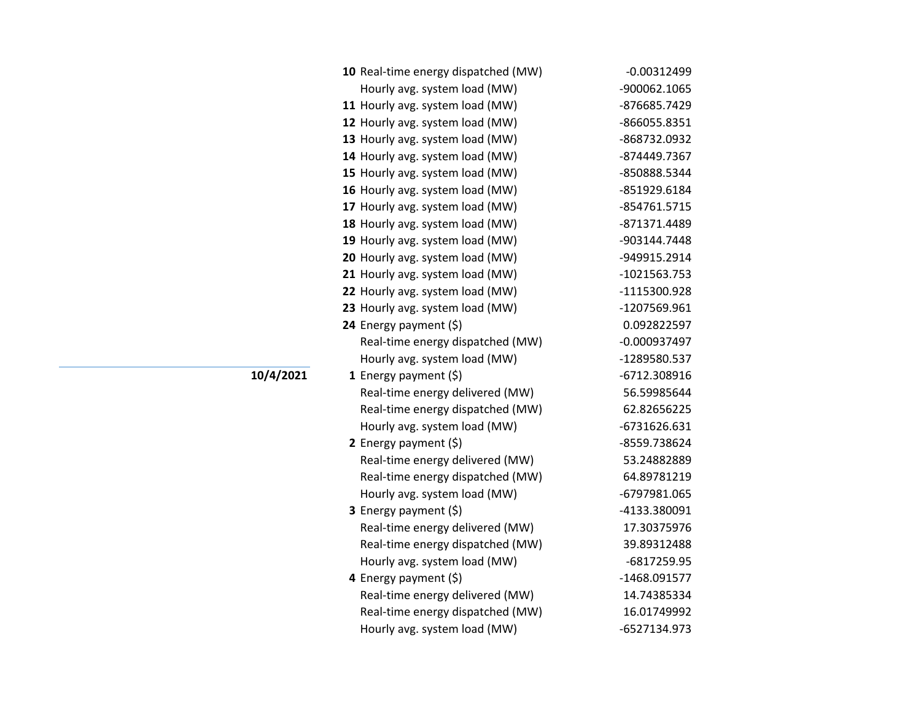| 10 Real-time energy dispatched (MW) | $-0.00312499$  |
|-------------------------------------|----------------|
| Hourly avg. system load (MW)        | -900062.1065   |
| 11 Hourly avg. system load (MW)     | -876685.7429   |
| 12 Hourly avg. system load (MW)     | -866055.8351   |
| 13 Hourly avg. system load (MW)     | -868732.0932   |
| 14 Hourly avg. system load (MW)     | -874449.7367   |
| 15 Hourly avg. system load (MW)     | -850888.5344   |
| 16 Hourly avg. system load (MW)     | -851929.6184   |
| 17 Hourly avg. system load (MW)     | -854761.5715   |
| 18 Hourly avg. system load (MW)     | -871371.4489   |
| 19 Hourly avg. system load (MW)     | -903144.7448   |
| 20 Hourly avg. system load (MW)     | -949915.2914   |
| 21 Hourly avg. system load (MW)     | $-1021563.753$ |
| 22 Hourly avg. system load (MW)     | -1115300.928   |
| 23 Hourly avg. system load (MW)     | -1207569.961   |
| 24 Energy payment $(\xi)$           | 0.092822597    |
| Real-time energy dispatched (MW)    | $-0.000937497$ |
| Hourly avg. system load (MW)        | -1289580.537   |
| <b>1</b> Energy payment $(\xi)$     | -6712.308916   |
| Real-time energy delivered (MW)     | 56.59985644    |
| Real-time energy dispatched (MW)    | 62.82656225    |
| Hourly avg. system load (MW)        | -6731626.631   |
| 2 Energy payment $(\xi)$            | -8559.738624   |
| Real-time energy delivered (MW)     | 53.24882889    |
| Real-time energy dispatched (MW)    | 64.89781219    |
| Hourly avg. system load (MW)        | -6797981.065   |
| 3 Energy payment (\$)               | -4133.380091   |
| Real-time energy delivered (MW)     | 17.30375976    |
| Real-time energy dispatched (MW)    | 39.89312488    |
| Hourly avg. system load (MW)        | -6817259.95    |
| 4 Energy payment (\$)               | -1468.091577   |
| Real-time energy delivered (MW)     | 14.74385334    |
| Real-time energy dispatched (MW)    | 16.01749992    |
| Hourly avg. system load (MW)        | -6527134.973   |

**10/4/2021**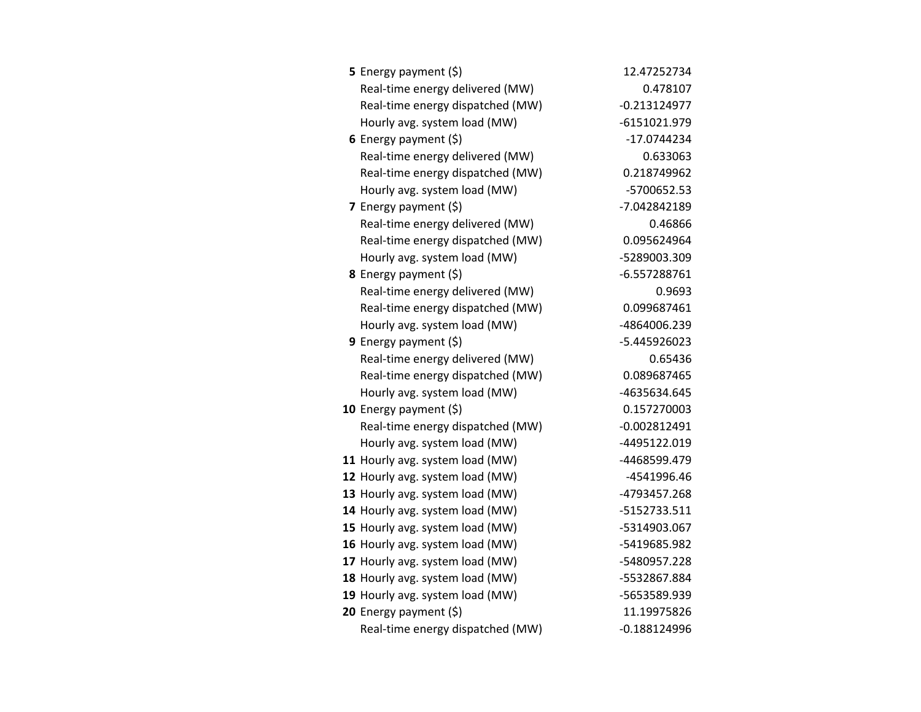| <b>5</b> Energy payment $(\xi)$  | 12.47252734    |
|----------------------------------|----------------|
| Real-time energy delivered (MW)  | 0.478107       |
| Real-time energy dispatched (MW) | $-0.213124977$ |
| Hourly avg. system load (MW)     | -6151021.979   |
| 6 Energy payment $(5)$           | $-17.0744234$  |
| Real-time energy delivered (MW)  | 0.633063       |
| Real-time energy dispatched (MW) | 0.218749962    |
| Hourly avg. system load (MW)     | -5700652.53    |
| <b>7</b> Energy payment $(\xi)$  | -7.042842189   |
| Real-time energy delivered (MW)  | 0.46866        |
| Real-time energy dispatched (MW) | 0.095624964    |
| Hourly avg. system load (MW)     | -5289003.309   |
| <b>8</b> Energy payment $(\xi)$  | $-6.557288761$ |
| Real-time energy delivered (MW)  | 0.9693         |
| Real-time energy dispatched (MW) | 0.099687461    |
| Hourly avg. system load (MW)     | -4864006.239   |
| 9 Energy payment (\$)            | -5.445926023   |
| Real-time energy delivered (MW)  | 0.65436        |
| Real-time energy dispatched (MW) | 0.089687465    |
| Hourly avg. system load (MW)     | -4635634.645   |
| 10 Energy payment $(5)$          | 0.157270003    |
| Real-time energy dispatched (MW) | $-0.002812491$ |
| Hourly avg. system load (MW)     | -4495122.019   |
| 11 Hourly avg. system load (MW)  | -4468599.479   |
| 12 Hourly avg. system load (MW)  | -4541996.46    |
| 13 Hourly avg. system load (MW)  | -4793457.268   |
| 14 Hourly avg. system load (MW)  | -5152733.511   |
| 15 Hourly avg. system load (MW)  | -5314903.067   |
| 16 Hourly avg. system load (MW)  | -5419685.982   |
| 17 Hourly avg. system load (MW)  | -5480957.228   |
| 18 Hourly avg. system load (MW)  | -5532867.884   |
| 19 Hourly avg. system load (MW)  | -5653589.939   |
| 20 Energy payment (\$)           | 11.19975826    |
| Real-time energy dispatched (MW) | $-0.188124996$ |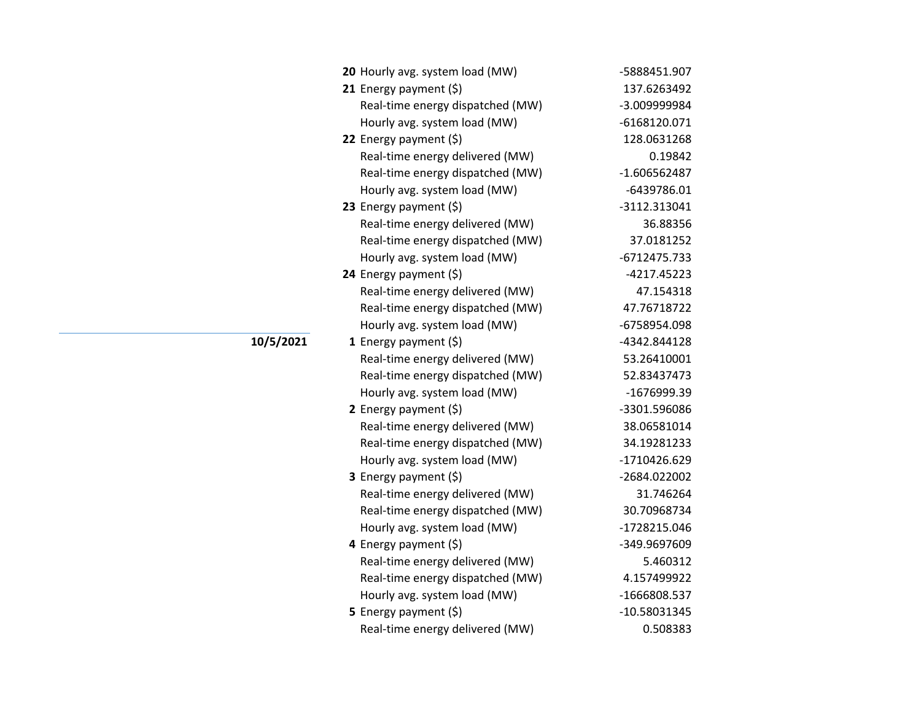| 20 Hourly avg. system load (MW)  | -5888451.907   |
|----------------------------------|----------------|
| 21 Energy payment $(\xi)$        | 137.6263492    |
| Real-time energy dispatched (MW) | -3.009999984   |
| Hourly avg. system load (MW)     | $-6168120.071$ |
| 22 Energy payment $(\xi)$        | 128.0631268    |
| Real-time energy delivered (MW)  | 0.19842        |
| Real-time energy dispatched (MW) | $-1.606562487$ |
| Hourly avg. system load (MW)     | -6439786.01    |
| 23 Energy payment $(5)$          | -3112.313041   |
| Real-time energy delivered (MW)  | 36.88356       |
| Real-time energy dispatched (MW) | 37.0181252     |
| Hourly avg. system load (MW)     | -6712475.733   |
| 24 Energy payment (\$)           | $-4217.45223$  |
| Real-time energy delivered (MW)  | 47.154318      |
| Real-time energy dispatched (MW) | 47.76718722    |
| Hourly avg. system load (MW)     | -6758954.098   |
| 1 Energy payment $(\xi)$         | -4342.844128   |
| Real-time energy delivered (MW)  | 53.26410001    |
| Real-time energy dispatched (MW) | 52.83437473    |
| Hourly avg. system load (MW)     | -1676999.39    |
| 2 Energy payment (\$)            | -3301.596086   |
| Real-time energy delivered (MW)  | 38.06581014    |
| Real-time energy dispatched (MW) | 34.19281233    |
| Hourly avg. system load (MW)     | -1710426.629   |
| 3 Energy payment (\$)            | -2684.022002   |
| Real-time energy delivered (MW)  | 31.746264      |
| Real-time energy dispatched (MW) | 30.70968734    |
| Hourly avg. system load (MW)     | -1728215.046   |
| 4 Energy payment (\$)            | -349.9697609   |
| Real-time energy delivered (MW)  | 5.460312       |
| Real-time energy dispatched (MW) | 4.157499922    |
| Hourly avg. system load (MW)     | -1666808.537   |
| 5 Energy payment $(\xi)$         | -10.58031345   |
| Real-time energy delivered (MW)  | 0.508383       |

**10/5/2021**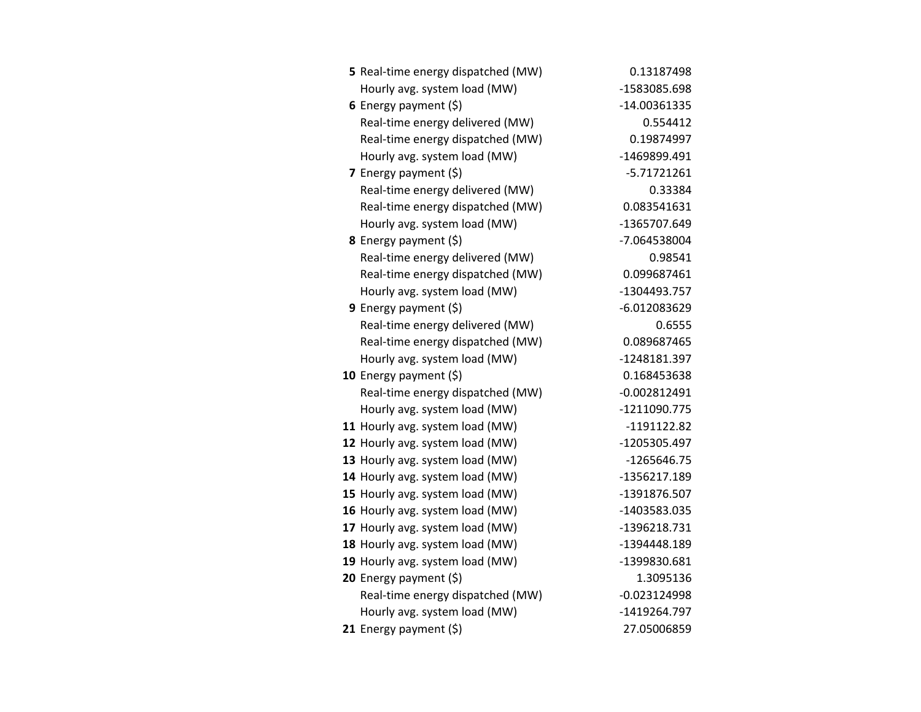| 5 Real-time energy dispatched (MW) | 0.13187498     |
|------------------------------------|----------------|
| Hourly avg. system load (MW)       | -1583085.698   |
| 6 Energy payment $(5)$             | -14.00361335   |
| Real-time energy delivered (MW)    | 0.554412       |
| Real-time energy dispatched (MW)   | 0.19874997     |
| Hourly avg. system load (MW)       | -1469899.491   |
| 7 Energy payment $(5)$             | $-5.71721261$  |
| Real-time energy delivered (MW)    | 0.33384        |
| Real-time energy dispatched (MW)   | 0.083541631    |
| Hourly avg. system load (MW)       | -1365707.649   |
| 8 Energy payment (\$)              | -7.064538004   |
| Real-time energy delivered (MW)    | 0.98541        |
| Real-time energy dispatched (MW)   | 0.099687461    |
| Hourly avg. system load (MW)       | -1304493.757   |
| <b>9</b> Energy payment $(\xi)$    | -6.012083629   |
| Real-time energy delivered (MW)    | 0.6555         |
| Real-time energy dispatched (MW)   | 0.089687465    |
| Hourly avg. system load (MW)       | -1248181.397   |
| 10 Energy payment $(\xi)$          | 0.168453638    |
| Real-time energy dispatched (MW)   | $-0.002812491$ |
| Hourly avg. system load (MW)       | -1211090.775   |
| 11 Hourly avg. system load (MW)    | -1191122.82    |
| 12 Hourly avg. system load (MW)    | -1205305.497   |
| 13 Hourly avg. system load (MW)    | -1265646.75    |
| 14 Hourly avg. system load (MW)    | -1356217.189   |
| 15 Hourly avg. system load (MW)    | -1391876.507   |
| 16 Hourly avg. system load (MW)    | -1403583.035   |
| 17 Hourly avg. system load (MW)    | -1396218.731   |
| 18 Hourly avg. system load (MW)    | -1394448.189   |
| 19 Hourly avg. system load (MW)    | -1399830.681   |
| 20 Energy payment (\$)             | 1.3095136      |
| Real-time energy dispatched (MW)   | $-0.023124998$ |
| Hourly avg. system load (MW)       | -1419264.797   |
| 21 Energy payment $(\xi)$          | 27.05006859    |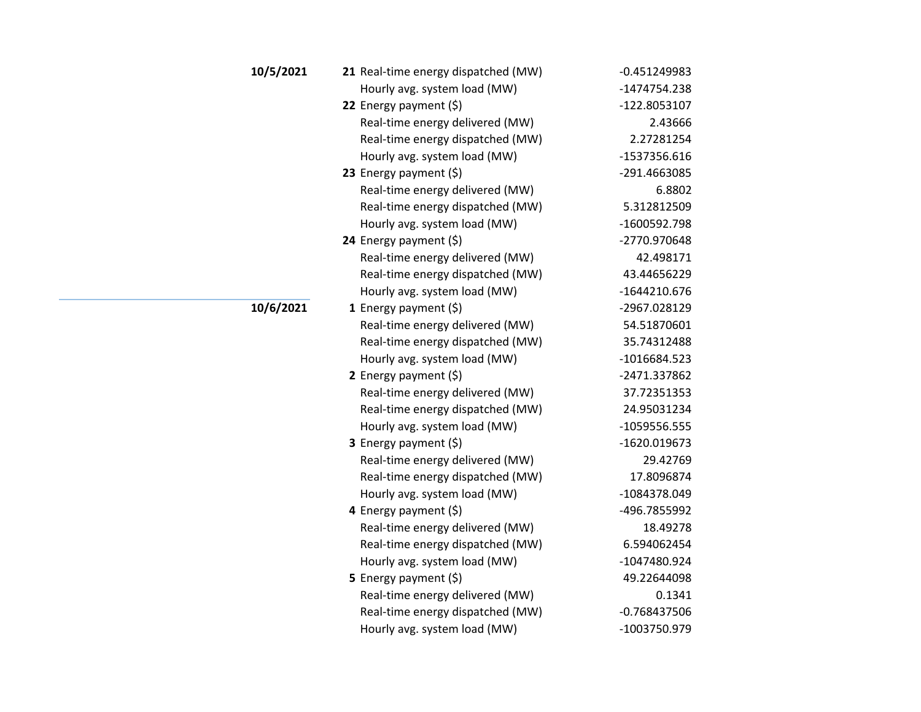| 10/5/2021 | 21 Real-time energy dispatched (MW) | $-0.451249983$ |
|-----------|-------------------------------------|----------------|
|           | Hourly avg. system load (MW)        | -1474754.238   |
|           | 22 Energy payment (\$)              | -122.8053107   |
|           | Real-time energy delivered (MW)     | 2.43666        |
|           | Real-time energy dispatched (MW)    | 2.27281254     |
|           | Hourly avg. system load (MW)        | -1537356.616   |
|           | 23 Energy payment $(5)$             | -291.4663085   |
|           | Real-time energy delivered (MW)     | 6.8802         |
|           | Real-time energy dispatched (MW)    | 5.312812509    |
|           | Hourly avg. system load (MW)        | -1600592.798   |
|           | 24 Energy payment (\$)              | -2770.970648   |
|           | Real-time energy delivered (MW)     | 42.498171      |
|           | Real-time energy dispatched (MW)    | 43.44656229    |
|           | Hourly avg. system load (MW)        | $-1644210.676$ |
| 10/6/2021 | 1 Energy payment $(\xi)$            | -2967.028129   |
|           | Real-time energy delivered (MW)     | 54.51870601    |
|           | Real-time energy dispatched (MW)    | 35.74312488    |
|           | Hourly avg. system load (MW)        | $-1016684.523$ |
|           | 2 Energy payment (\$)               | -2471.337862   |
|           | Real-time energy delivered (MW)     | 37.72351353    |
|           | Real-time energy dispatched (MW)    | 24.95031234    |
|           | Hourly avg. system load (MW)        | $-1059556.555$ |
|           | <b>3</b> Energy payment $(\xi)$     | -1620.019673   |
|           | Real-time energy delivered (MW)     | 29.42769       |
|           | Real-time energy dispatched (MW)    | 17.8096874     |
|           | Hourly avg. system load (MW)        | -1084378.049   |
|           | 4 Energy payment (\$)               | -496.7855992   |
|           | Real-time energy delivered (MW)     | 18.49278       |
|           | Real-time energy dispatched (MW)    | 6.594062454    |
|           | Hourly avg. system load (MW)        | -1047480.924   |
|           | 5 Energy payment $(5)$              | 49.22644098    |
|           | Real-time energy delivered (MW)     | 0.1341         |
|           | Real-time energy dispatched (MW)    | $-0.768437506$ |
|           | Hourly avg. system load (MW)        | -1003750.979   |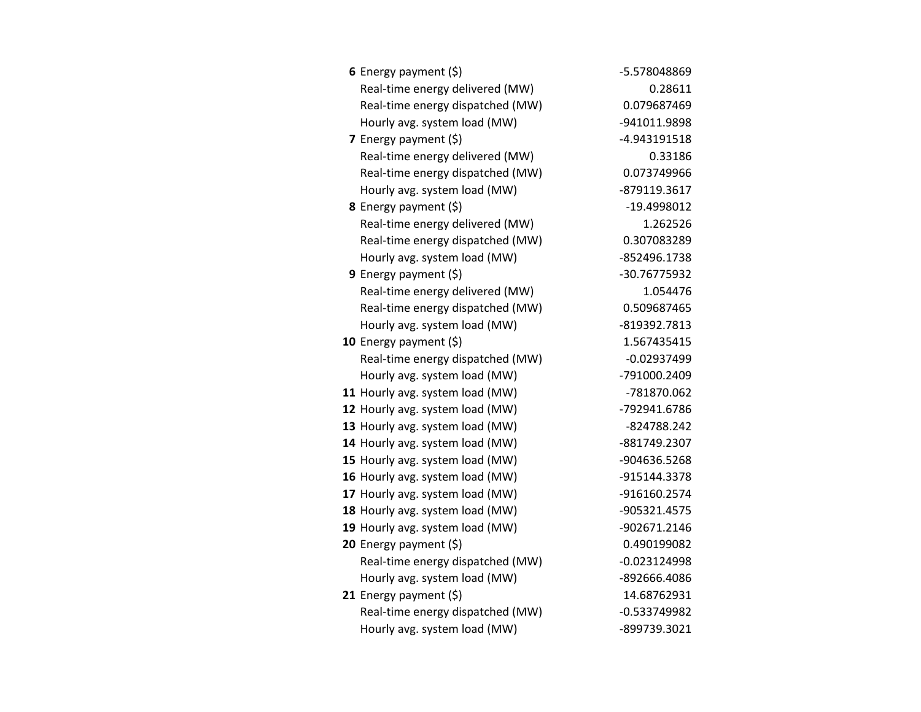| 6 Energy payment $(\xi)$         | -5.578048869  |
|----------------------------------|---------------|
| Real-time energy delivered (MW)  | 0.28611       |
| Real-time energy dispatched (MW) | 0.079687469   |
| Hourly avg. system load (MW)     | -941011.9898  |
| 7 Energy payment $(5)$           | -4.943191518  |
| Real-time energy delivered (MW)  | 0.33186       |
| Real-time energy dispatched (MW) | 0.073749966   |
| Hourly avg. system load (MW)     | -879119.3617  |
| 8 Energy payment (\$)            | -19.4998012   |
| Real-time energy delivered (MW)  | 1.262526      |
| Real-time energy dispatched (MW) | 0.307083289   |
| Hourly avg. system load (MW)     | -852496.1738  |
| 9 Energy payment (\$)            | -30.76775932  |
| Real-time energy delivered (MW)  | 1.054476      |
| Real-time energy dispatched (MW) | 0.509687465   |
| Hourly avg. system load (MW)     | -819392.7813  |
| 10 Energy payment (\$)           | 1.567435415   |
| Real-time energy dispatched (MW) | $-0.02937499$ |
| Hourly avg. system load (MW)     | -791000.2409  |
| 11 Hourly avg. system load (MW)  | -781870.062   |
| 12 Hourly avg. system load (MW)  | -792941.6786  |
| 13 Hourly avg. system load (MW)  | -824788.242   |
| 14 Hourly avg. system load (MW)  | -881749.2307  |
| 15 Hourly avg. system load (MW)  | -904636.5268  |
| 16 Hourly avg. system load (MW)  | -915144.3378  |
| 17 Hourly avg. system load (MW)  | -916160.2574  |
| 18 Hourly avg. system load (MW)  | -905321.4575  |
| 19 Hourly avg. system load (MW)  | -902671.2146  |
| 20 Energy payment (\$)           | 0.490199082   |
| Real-time energy dispatched (MW) | -0.023124998  |
| Hourly avg. system load (MW)     | -892666.4086  |
| 21 Energy payment (\$)           | 14.68762931   |
| Real-time energy dispatched (MW) | -0.533749982  |
| Hourly avg. system load (MW)     | -899739.3021  |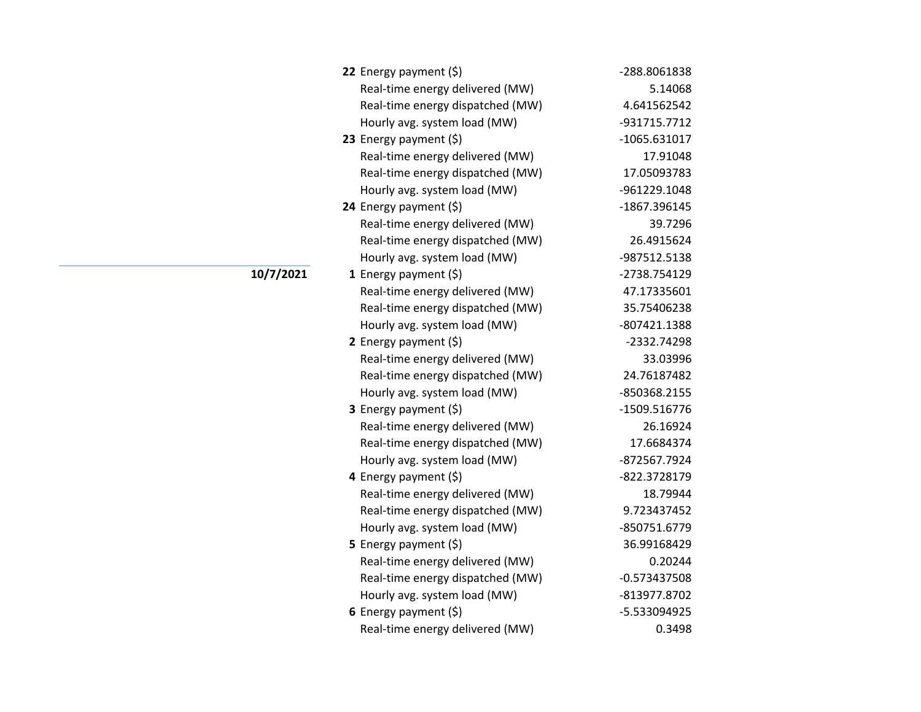| 22 Energy payment $(5)$          | -288.8061838   |
|----------------------------------|----------------|
| Real-time energy delivered (MW)  | 5.14068        |
| Real-time energy dispatched (MW) | 4.641562542    |
| Hourly avg. system load (MW)     | -931715.7712   |
| 23 Energy payment $(\xi)$        | $-1065.631017$ |
| Real-time energy delivered (MW)  | 17.91048       |
| Real-time energy dispatched (MW) | 17.05093783    |
| Hourly avg. system load (MW)     | -961229.1048   |
| 24 Energy payment $(\xi)$        | -1867.396145   |
| Real-time energy delivered (MW)  | 39.7296        |
| Real-time energy dispatched (MW) | 26.4915624     |
| Hourly avg. system load (MW)     | -987512.5138   |
| 1 Energy payment $(\xi)$         | -2738.754129   |
| Real-time energy delivered (MW)  | 47.17335601    |
| Real-time energy dispatched (MW) | 35.75406238    |
| Hourly avg. system load (MW)     | -807421.1388   |
| 2 Energy payment $(\xi)$         | -2332.74298    |
| Real-time energy delivered (MW)  | 33.03996       |
| Real-time energy dispatched (MW) | 24.76187482    |
| Hourly avg. system load (MW)     | -850368.2155   |
| <b>3</b> Energy payment $(\xi)$  | -1509.516776   |
| Real-time energy delivered (MW)  | 26.16924       |
| Real-time energy dispatched (MW) | 17.6684374     |
| Hourly avg. system load (MW)     | -872567.7924   |
| 4 Energy payment (\$)            | -822.3728179   |
| Real-time energy delivered (MW)  | 18.79944       |
| Real-time energy dispatched (MW) | 9.723437452    |
| Hourly avg. system load (MW)     | -850751.6779   |
| <b>5</b> Energy payment $(\xi)$  | 36.99168429    |
| Real-time energy delivered (MW)  | 0.20244        |
| Real-time energy dispatched (MW) | $-0.573437508$ |
| Hourly avg. system load (MW)     | -813977.8702   |
| 6 Energy payment $(\xi)$         | -5.533094925   |
| Real-time energy delivered (MW)  | 0.3498         |

**10/7/2021**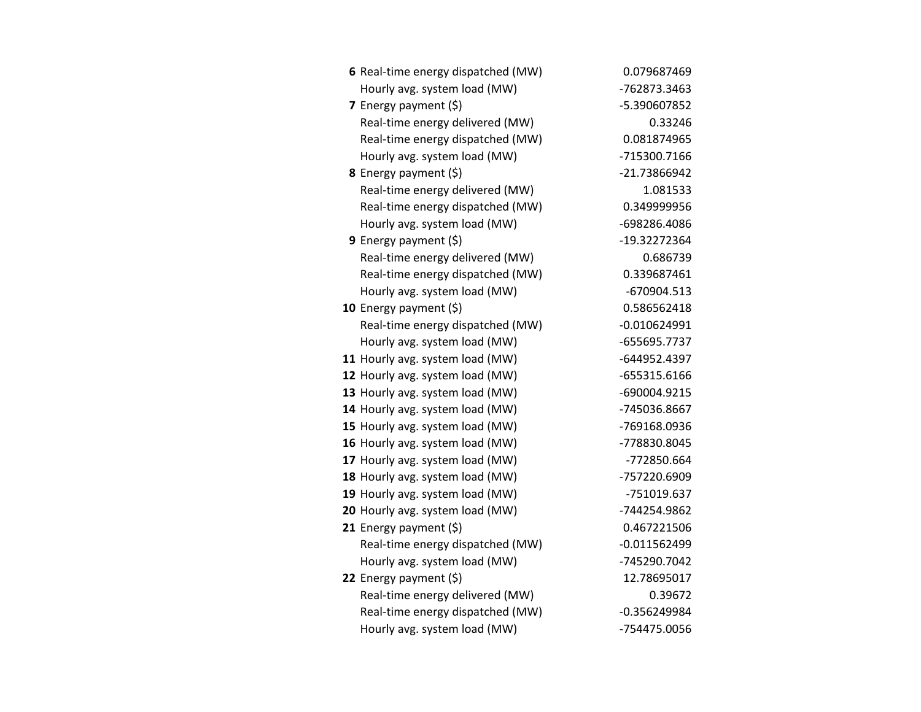| 6 Real-time energy dispatched (MW) | 0.079687469    |
|------------------------------------|----------------|
| Hourly avg. system load (MW)       | -762873.3463   |
| 7 Energy payment (\$)              | -5.390607852   |
| Real-time energy delivered (MW)    | 0.33246        |
| Real-time energy dispatched (MW)   | 0.081874965    |
| Hourly avg. system load (MW)       | -715300.7166   |
| <b>8</b> Energy payment $(\xi)$    | -21.73866942   |
| Real-time energy delivered (MW)    | 1.081533       |
| Real-time energy dispatched (MW)   | 0.349999956    |
| Hourly avg. system load (MW)       | -698286.4086   |
| 9 Energy payment $(\xi)$           | -19.32272364   |
| Real-time energy delivered (MW)    | 0.686739       |
| Real-time energy dispatched (MW)   | 0.339687461    |
| Hourly avg. system load (MW)       | -670904.513    |
| 10 Energy payment $(5)$            | 0.586562418    |
| Real-time energy dispatched (MW)   | $-0.010624991$ |
| Hourly avg. system load (MW)       | -655695.7737   |
| 11 Hourly avg. system load (MW)    | -644952.4397   |
| 12 Hourly avg. system load (MW)    | -655315.6166   |
| 13 Hourly avg. system load (MW)    | -690004.9215   |
| 14 Hourly avg. system load (MW)    | -745036.8667   |
| 15 Hourly avg. system load (MW)    | -769168.0936   |
| 16 Hourly avg. system load (MW)    | -778830.8045   |
| 17 Hourly avg. system load (MW)    | -772850.664    |
| 18 Hourly avg. system load (MW)    | -757220.6909   |
| 19 Hourly avg. system load (MW)    | -751019.637    |
| 20 Hourly avg. system load (MW)    | -744254.9862   |
| 21 Energy payment $(\xi)$          | 0.467221506    |
| Real-time energy dispatched (MW)   | $-0.011562499$ |
| Hourly avg. system load (MW)       | -745290.7042   |
| 22 Energy payment (\$)             | 12.78695017    |
| Real-time energy delivered (MW)    | 0.39672        |
| Real-time energy dispatched (MW)   | $-0.356249984$ |
| Hourly avg. system load (MW)       | -754475.0056   |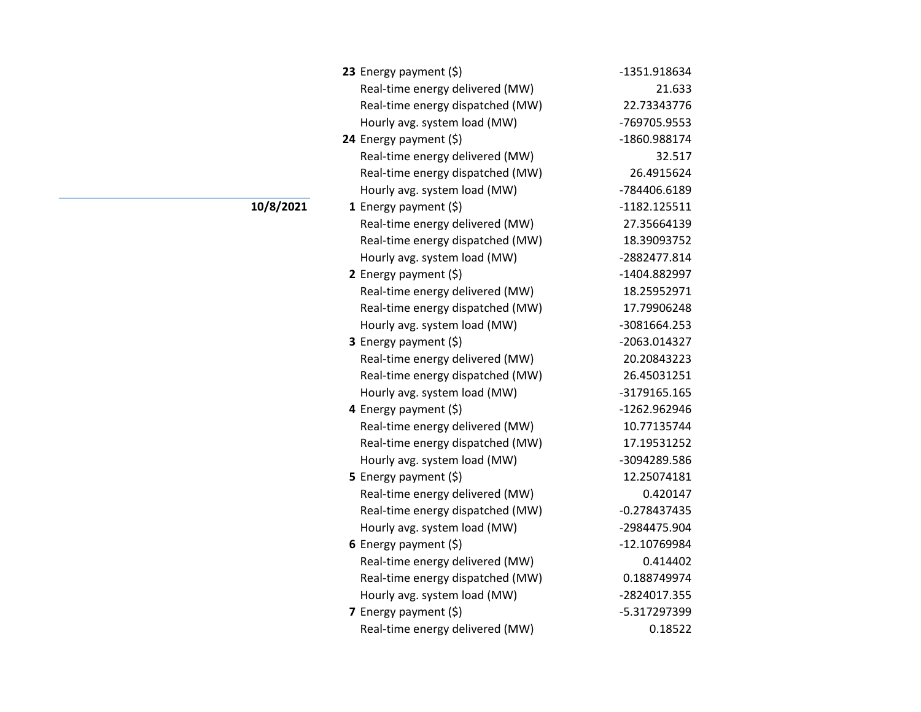| 23 Energy payment $(5)$          | -1351.918634   |
|----------------------------------|----------------|
| Real-time energy delivered (MW)  | 21.633         |
| Real-time energy dispatched (MW) | 22.73343776    |
| Hourly avg. system load (MW)     | -769705.9553   |
| 24 Energy payment $(\xi)$        | -1860.988174   |
| Real-time energy delivered (MW)  | 32.517         |
| Real-time energy dispatched (MW) | 26.4915624     |
| Hourly avg. system load (MW)     | -784406.6189   |
| 1 Energy payment $(\xi)$         | $-1182.125511$ |
| Real-time energy delivered (MW)  | 27.35664139    |
| Real-time energy dispatched (MW) | 18.39093752    |
| Hourly avg. system load (MW)     | -2882477.814   |
| 2 Energy payment $(\xi)$         | -1404.882997   |
| Real-time energy delivered (MW)  | 18.25952971    |
| Real-time energy dispatched (MW) | 17.79906248    |
| Hourly avg. system load (MW)     | -3081664.253   |
| <b>3</b> Energy payment $(\xi)$  | -2063.014327   |
| Real-time energy delivered (MW)  | 20.20843223    |
| Real-time energy dispatched (MW) | 26.45031251    |
| Hourly avg. system load (MW)     | -3179165.165   |
| 4 Energy payment (\$)            | -1262.962946   |
| Real-time energy delivered (MW)  | 10.77135744    |
| Real-time energy dispatched (MW) | 17.19531252    |
| Hourly avg. system load (MW)     | -3094289.586   |
| 5 Energy payment (\$)            | 12.25074181    |
| Real-time energy delivered (MW)  | 0.420147       |
| Real-time energy dispatched (MW) | $-0.278437435$ |
| Hourly avg. system load (MW)     | -2984475.904   |
| 6 Energy payment $(5)$           | -12.10769984   |
| Real-time energy delivered (MW)  | 0.414402       |
| Real-time energy dispatched (MW) | 0.188749974    |
| Hourly avg. system load (MW)     | -2824017.355   |
| 7 Energy payment (\$)            | -5.317297399   |
| Real-time energy delivered (MW)  | 0.18522        |

**10/8/2021**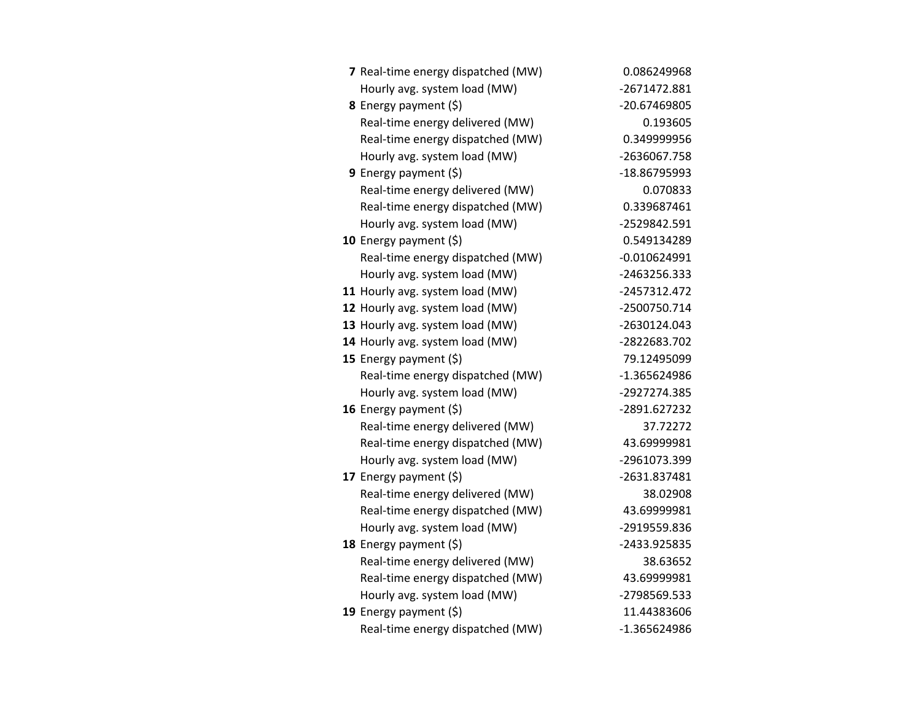| 7 Real-time energy dispatched (MW) | 0.086249968    |
|------------------------------------|----------------|
| Hourly avg. system load (MW)       | -2671472.881   |
| 8 Energy payment (\$)              | -20.67469805   |
| Real-time energy delivered (MW)    | 0.193605       |
| Real-time energy dispatched (MW)   | 0.349999956    |
| Hourly avg. system load (MW)       | -2636067.758   |
| <b>9</b> Energy payment $(\xi)$    | -18.86795993   |
| Real-time energy delivered (MW)    | 0.070833       |
| Real-time energy dispatched (MW)   | 0.339687461    |
| Hourly avg. system load (MW)       | -2529842.591   |
| 10 Energy payment $(5)$            | 0.549134289    |
| Real-time energy dispatched (MW)   | $-0.010624991$ |
| Hourly avg. system load (MW)       | -2463256.333   |
| 11 Hourly avg. system load (MW)    | -2457312.472   |
| 12 Hourly avg. system load (MW)    | -2500750.714   |
| 13 Hourly avg. system load (MW)    | -2630124.043   |
| 14 Hourly avg. system load (MW)    | -2822683.702   |
| 15 Energy payment $(\xi)$          | 79.12495099    |
| Real-time energy dispatched (MW)   | -1.365624986   |
| Hourly avg. system load (MW)       | -2927274.385   |
| 16 Energy payment (\$)             | -2891.627232   |
| Real-time energy delivered (MW)    | 37.72272       |
| Real-time energy dispatched (MW)   | 43.69999981    |
| Hourly avg. system load (MW)       | -2961073.399   |
| 17 Energy payment (\$)             | -2631.837481   |
| Real-time energy delivered (MW)    | 38.02908       |
| Real-time energy dispatched (MW)   | 43.69999981    |
| Hourly avg. system load (MW)       | -2919559.836   |
| 18 Energy payment $(\xi)$          | -2433.925835   |
| Real-time energy delivered (MW)    | 38.63652       |
| Real-time energy dispatched (MW)   | 43.69999981    |
| Hourly avg. system load (MW)       | -2798569.533   |
| 19 Energy payment $(\xi)$          | 11.44383606    |
| Real-time energy dispatched (MW)   | -1.365624986   |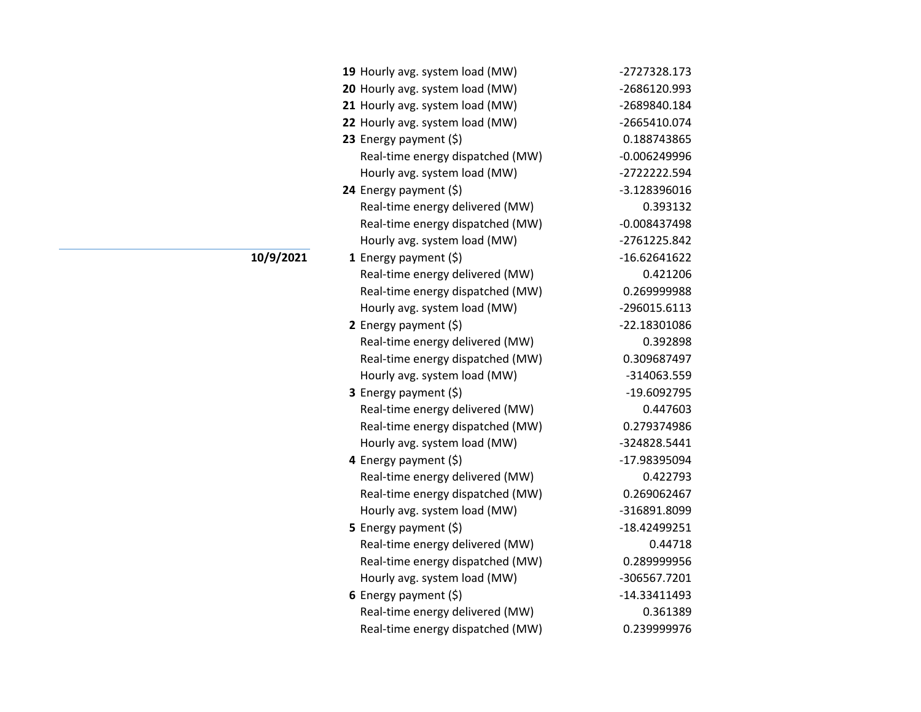| 19 Hourly avg. system load (MW)  | -2727328.173   |
|----------------------------------|----------------|
| 20 Hourly avg. system load (MW)  | -2686120.993   |
| 21 Hourly avg. system load (MW)  | -2689840.184   |
| 22 Hourly avg. system load (MW)  | -2665410.074   |
| 23 Energy payment (\$)           | 0.188743865    |
| Real-time energy dispatched (MW) | $-0.006249996$ |
| Hourly avg. system load (MW)     | -2722222.594   |
| 24 Energy payment (\$)           | -3.128396016   |
| Real-time energy delivered (MW)  | 0.393132       |
| Real-time energy dispatched (MW) | $-0.008437498$ |
| Hourly avg. system load (MW)     | -2761225.842   |
| 1 Energy payment $(5)$           | $-16.62641622$ |
| Real-time energy delivered (MW)  | 0.421206       |
| Real-time energy dispatched (MW) | 0.269999988    |
| Hourly avg. system load (MW)     | -296015.6113   |
| 2 Energy payment $(5)$           | -22.18301086   |
| Real-time energy delivered (MW)  | 0.392898       |
| Real-time energy dispatched (MW) | 0.309687497    |
| Hourly avg. system load (MW)     | -314063.559    |
| 3 Energy payment (\$)            | -19.6092795    |
| Real-time energy delivered (MW)  | 0.447603       |
| Real-time energy dispatched (MW) | 0.279374986    |
| Hourly avg. system load (MW)     | -324828.5441   |
| 4 Energy payment (\$)            | -17.98395094   |
| Real-time energy delivered (MW)  | 0.422793       |
| Real-time energy dispatched (MW) | 0.269062467    |
| Hourly avg. system load (MW)     | -316891.8099   |
| 5 Energy payment $(\xi)$         | -18.42499251   |
| Real-time energy delivered (MW)  | 0.44718        |
| Real-time energy dispatched (MW) | 0.289999956    |
| Hourly avg. system load (MW)     | -306567.7201   |
| 6 Energy payment $(5)$           | -14.33411493   |
| Real-time energy delivered (MW)  | 0.361389       |
| Real-time energy dispatched (MW) | 0.239999976    |

**10/9/2021**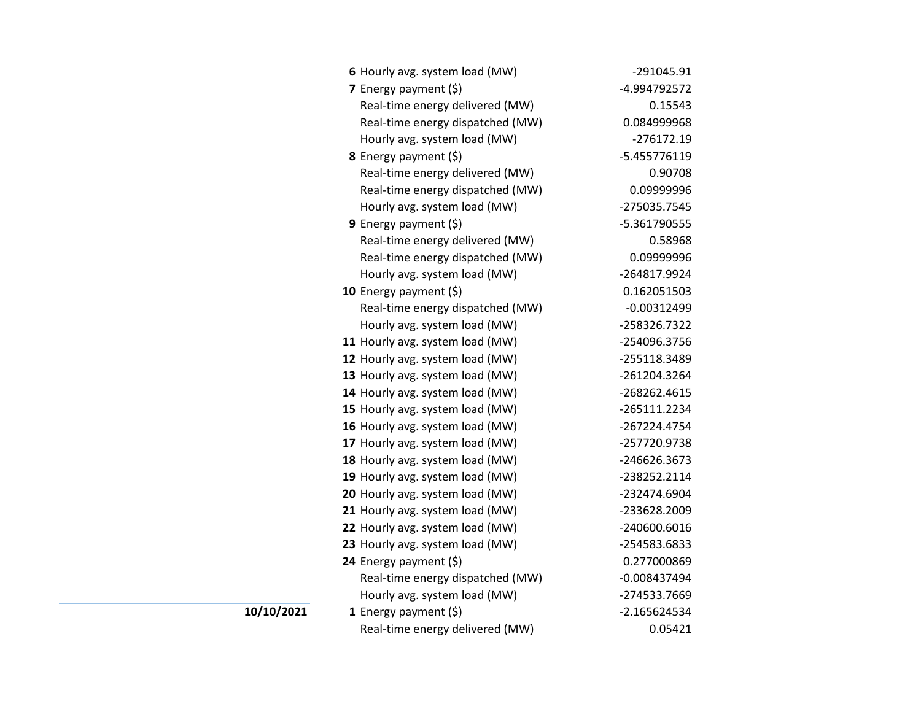|    | 6 Hourly avg. system load (MW)   | -291045.91     |
|----|----------------------------------|----------------|
|    | 7 Energy payment $(\xi)$         | -4.994792572   |
|    | Real-time energy delivered (MW)  | 0.15543        |
|    | Real-time energy dispatched (MW) | 0.084999968    |
|    | Hourly avg. system load (MW)     | $-276172.19$   |
|    | 8 Energy payment (\$)            | -5.455776119   |
|    | Real-time energy delivered (MW)  | 0.90708        |
|    | Real-time energy dispatched (MW) | 0.09999996     |
|    | Hourly avg. system load (MW)     | -275035.7545   |
|    | 9 Energy payment $(5)$           | -5.361790555   |
|    | Real-time energy delivered (MW)  | 0.58968        |
|    | Real-time energy dispatched (MW) | 0.09999996     |
|    | Hourly avg. system load (MW)     | -264817.9924   |
|    | 10 Energy payment $(5)$          | 0.162051503    |
|    | Real-time energy dispatched (MW) | $-0.00312499$  |
|    | Hourly avg. system load (MW)     | -258326.7322   |
|    | 11 Hourly avg. system load (MW)  | -254096.3756   |
|    | 12 Hourly avg. system load (MW)  | -255118.3489   |
|    | 13 Hourly avg. system load (MW)  | -261204.3264   |
|    | 14 Hourly avg. system load (MW)  | -268262.4615   |
|    | 15 Hourly avg. system load (MW)  | -265111.2234   |
|    | 16 Hourly avg. system load (MW)  | -267224.4754   |
|    | 17 Hourly avg. system load (MW)  | -257720.9738   |
|    | 18 Hourly avg. system load (MW)  | -246626.3673   |
|    | 19 Hourly avg. system load (MW)  | -238252.2114   |
|    | 20 Hourly avg. system load (MW)  | -232474.6904   |
|    | 21 Hourly avg. system load (MW)  | -233628.2009   |
|    | 22 Hourly avg. system load (MW)  | -240600.6016   |
|    | 23 Hourly avg. system load (MW)  | -254583.6833   |
|    | 24 Energy payment (\$)           | 0.277000869    |
|    | Real-time energy dispatched (MW) | $-0.008437494$ |
|    | Hourly avg. system load (MW)     | -274533.7669   |
| 21 | 1 Energy payment $(\xi)$         | $-2.165624534$ |
|    | Real-time energy delivered (MW)  | 0.05421        |

**10/10/202**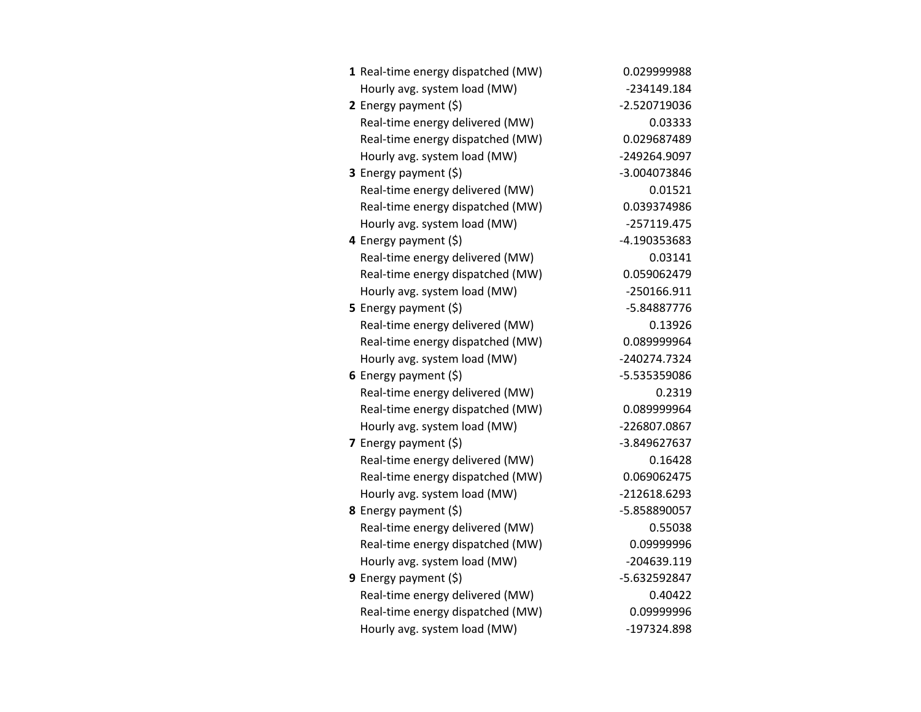| 1 Real-time energy dispatched (MW) | 0.029999988   |
|------------------------------------|---------------|
| Hourly avg. system load (MW)       | -234149.184   |
| 2 Energy payment (\$)              | -2.520719036  |
| Real-time energy delivered (MW)    | 0.03333       |
| Real-time energy dispatched (MW)   | 0.029687489   |
| Hourly avg. system load (MW)       | -249264.9097  |
| 3 Energy payment (\$)              | -3.004073846  |
| Real-time energy delivered (MW)    | 0.01521       |
| Real-time energy dispatched (MW)   | 0.039374986   |
| Hourly avg. system load (MW)       | $-257119.475$ |
| 4 Energy payment (\$)              | -4.190353683  |
| Real-time energy delivered (MW)    | 0.03141       |
| Real-time energy dispatched (MW)   | 0.059062479   |
| Hourly avg. system load (MW)       | $-250166.911$ |
| 5 Energy payment (\$)              | -5.84887776   |
| Real-time energy delivered (MW)    | 0.13926       |
| Real-time energy dispatched (MW)   | 0.089999964   |
| Hourly avg. system load (MW)       | -240274.7324  |
| 6 Energy payment (\$)              | -5.535359086  |
| Real-time energy delivered (MW)    | 0.2319        |
| Real-time energy dispatched (MW)   | 0.089999964   |
| Hourly avg. system load (MW)       | -226807.0867  |
| 7 Energy payment (\$)              | -3.849627637  |
| Real-time energy delivered (MW)    | 0.16428       |
| Real-time energy dispatched (MW)   | 0.069062475   |
| Hourly avg. system load (MW)       | -212618.6293  |
| 8 Energy payment (\$)              | -5.858890057  |
| Real-time energy delivered (MW)    | 0.55038       |
| Real-time energy dispatched (MW)   | 0.09999996    |
| Hourly avg. system load (MW)       | -204639.119   |
| 9 Energy payment (\$)              | -5.632592847  |
| Real-time energy delivered (MW)    | 0.40422       |
| Real-time energy dispatched (MW)   | 0.09999996    |
| Hourly avg. system load (MW)       | -197324.898   |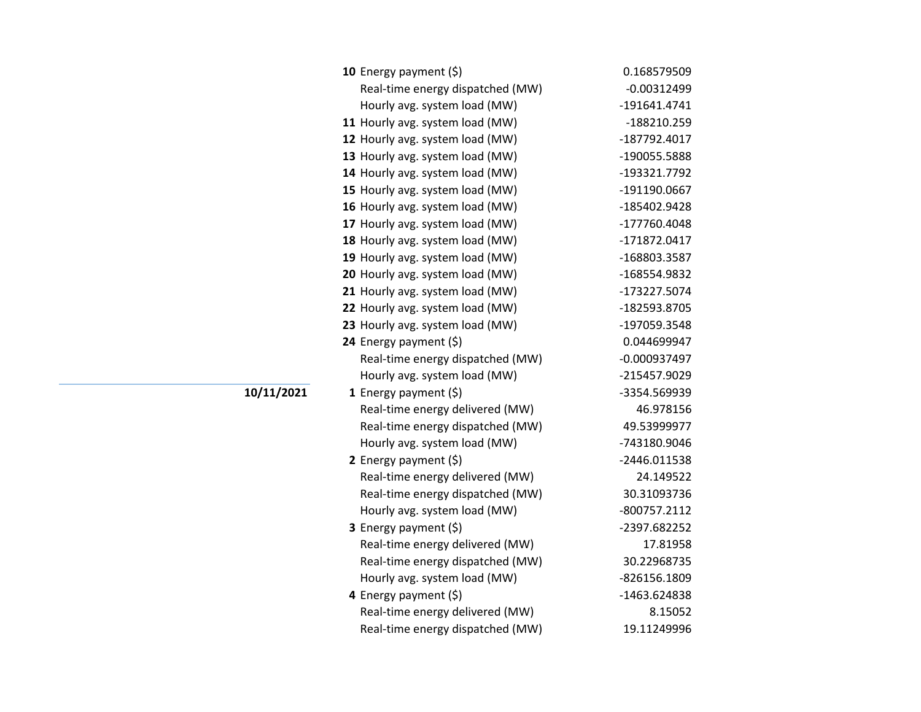| 10 Energy payment (\$)           | 0.168579509    |
|----------------------------------|----------------|
| Real-time energy dispatched (MW) | $-0.00312499$  |
| Hourly avg. system load (MW)     | -191641.4741   |
| 11 Hourly avg. system load (MW)  | -188210.259    |
| 12 Hourly avg. system load (MW)  | -187792.4017   |
| 13 Hourly avg. system load (MW)  | -190055.5888   |
| 14 Hourly avg. system load (MW)  | -193321.7792   |
| 15 Hourly avg. system load (MW)  | -191190.0667   |
| 16 Hourly avg. system load (MW)  | -185402.9428   |
| 17 Hourly avg. system load (MW)  | -177760.4048   |
| 18 Hourly avg. system load (MW)  | -171872.0417   |
| 19 Hourly avg. system load (MW)  | -168803.3587   |
| 20 Hourly avg. system load (MW)  | -168554.9832   |
| 21 Hourly avg. system load (MW)  | -173227.5074   |
| 22 Hourly avg. system load (MW)  | -182593.8705   |
| 23 Hourly avg. system load (MW)  | -197059.3548   |
| 24 Energy payment (\$)           | 0.044699947    |
| Real-time energy dispatched (MW) | $-0.000937497$ |
| Hourly avg. system load (MW)     | -215457.9029   |
| 1 Energy payment $(\xi)$         | -3354.569939   |
| Real-time energy delivered (MW)  | 46.978156      |
| Real-time energy dispatched (MW) | 49.53999977    |
| Hourly avg. system load (MW)     | -743180.9046   |
| 2 Energy payment $(5)$           | -2446.011538   |
| Real-time energy delivered (MW)  | 24.149522      |
| Real-time energy dispatched (MW) | 30.31093736    |
| Hourly avg. system load (MW)     | -800757.2112   |
| 3 Energy payment (\$)            | -2397.682252   |
| Real-time energy delivered (MW)  | 17.81958       |
| Real-time energy dispatched (MW) | 30.22968735    |
| Hourly avg. system load (MW)     | -826156.1809   |
| 4 Energy payment (\$)            | -1463.624838   |
| Real-time energy delivered (MW)  | 8.15052        |
| Real-time energy dispatched (MW) | 19.11249996    |

**10/11/2021**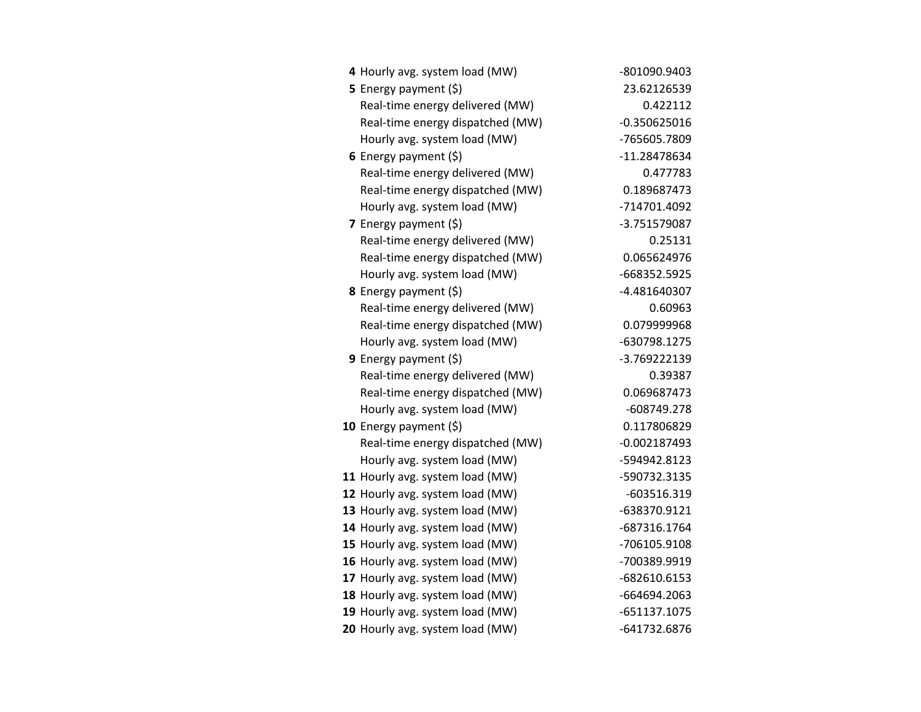| 4 Hourly avg. system load (MW)   | -801090.9403   |
|----------------------------------|----------------|
| 5 Energy payment (\$)            | 23.62126539    |
| Real-time energy delivered (MW)  | 0.422112       |
| Real-time energy dispatched (MW) | $-0.350625016$ |
| Hourly avg. system load (MW)     | -765605.7809   |
| 6 Energy payment $(\xi)$         | -11.28478634   |
| Real-time energy delivered (MW)  | 0.477783       |
| Real-time energy dispatched (MW) | 0.189687473    |
| Hourly avg. system load (MW)     | -714701.4092   |
| <b>7</b> Energy payment $(\xi)$  | -3.751579087   |
| Real-time energy delivered (MW)  | 0.25131        |
| Real-time energy dispatched (MW) | 0.065624976    |
| Hourly avg. system load (MW)     | -668352.5925   |
| 8 Energy payment (\$)            | -4.481640307   |
| Real-time energy delivered (MW)  | 0.60963        |
| Real-time energy dispatched (MW) | 0.079999968    |
| Hourly avg. system load (MW)     | -630798.1275   |
| 9 Energy payment $(\xi)$         | -3.769222139   |
| Real-time energy delivered (MW)  | 0.39387        |
| Real-time energy dispatched (MW) | 0.069687473    |
| Hourly avg. system load (MW)     | -608749.278    |
| 10 Energy payment (\$)           | 0.117806829    |
| Real-time energy dispatched (MW) | $-0.002187493$ |
| Hourly avg. system load (MW)     | -594942.8123   |
| 11 Hourly avg. system load (MW)  | -590732.3135   |
| 12 Hourly avg. system load (MW)  | $-603516.319$  |
| 13 Hourly avg. system load (MW)  | -638370.9121   |
| 14 Hourly avg. system load (MW)  | -687316.1764   |
| 15 Hourly avg. system load (MW)  | -706105.9108   |
| 16 Hourly avg. system load (MW)  | -700389.9919   |
| 17 Hourly avg. system load (MW)  | -682610.6153   |
| 18 Hourly avg. system load (MW)  | -664694.2063   |
| 19 Hourly avg. system load (MW)  | $-651137.1075$ |
| 20 Hourly avg. system load (MW)  | -641732.6876   |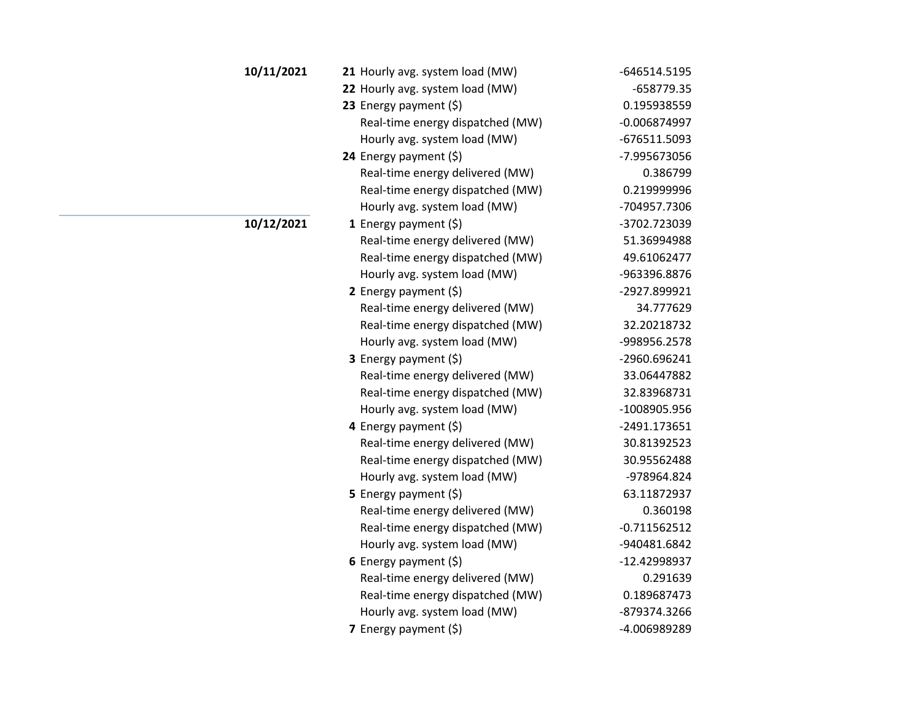| 10/11/2021 | 21 Hourly avg. system load (MW)  | -646514.5195   |
|------------|----------------------------------|----------------|
|            | 22 Hourly avg. system load (MW)  | $-658779.35$   |
|            | 23 Energy payment $(\xi)$        | 0.195938559    |
|            | Real-time energy dispatched (MW) | $-0.006874997$ |
|            | Hourly avg. system load (MW)     | -676511.5093   |
|            | 24 Energy payment (\$)           | -7.995673056   |
|            | Real-time energy delivered (MW)  | 0.386799       |
|            | Real-time energy dispatched (MW) | 0.219999996    |
|            | Hourly avg. system load (MW)     | -704957.7306   |
| 10/12/2021 | 1 Energy payment $(\xi)$         | -3702.723039   |
|            | Real-time energy delivered (MW)  | 51.36994988    |
|            | Real-time energy dispatched (MW) | 49.61062477    |
|            | Hourly avg. system load (MW)     | -963396.8876   |
|            | 2 Energy payment $(\xi)$         | -2927.899921   |
|            | Real-time energy delivered (MW)  | 34.777629      |
|            | Real-time energy dispatched (MW) | 32.20218732    |
|            | Hourly avg. system load (MW)     | -998956.2578   |
|            | 3 Energy payment (\$)            | -2960.696241   |
|            | Real-time energy delivered (MW)  | 33.06447882    |
|            | Real-time energy dispatched (MW) | 32.83968731    |
|            | Hourly avg. system load (MW)     | -1008905.956   |
|            | 4 Energy payment $(5)$           | -2491.173651   |
|            | Real-time energy delivered (MW)  | 30.81392523    |
|            | Real-time energy dispatched (MW) | 30.95562488    |
|            | Hourly avg. system load (MW)     | -978964.824    |
|            | 5 Energy payment $(\xi)$         | 63.11872937    |
|            | Real-time energy delivered (MW)  | 0.360198       |
|            | Real-time energy dispatched (MW) | $-0.711562512$ |
|            | Hourly avg. system load (MW)     | -940481.6842   |
|            | 6 Energy payment $(\xi)$         | -12.42998937   |
|            | Real-time energy delivered (MW)  | 0.291639       |
|            | Real-time energy dispatched (MW) | 0.189687473    |
|            | Hourly avg. system load (MW)     | -879374.3266   |
|            | 7 Energy payment (\$)            | -4.006989289   |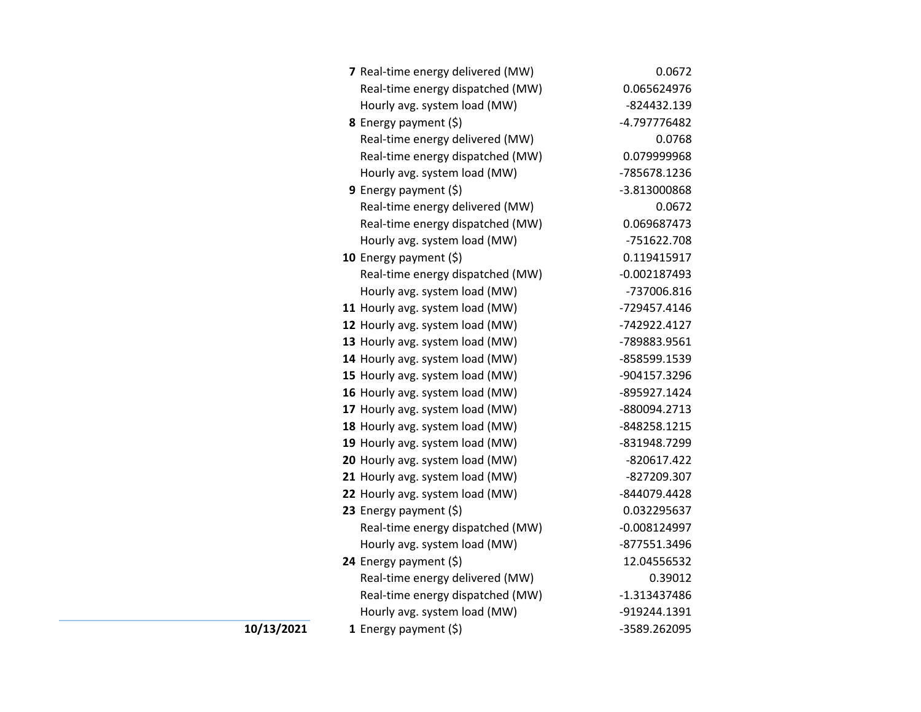|            | 7 Real-time energy delivered (MW) | 0.0672         |
|------------|-----------------------------------|----------------|
|            | Real-time energy dispatched (MW)  | 0.065624976    |
|            | Hourly avg. system load (MW)      | -824432.139    |
|            | <b>8</b> Energy payment $(\xi)$   | -4.797776482   |
|            | Real-time energy delivered (MW)   | 0.0768         |
|            | Real-time energy dispatched (MW)  | 0.079999968    |
|            | Hourly avg. system load (MW)      | -785678.1236   |
|            | <b>9</b> Energy payment $(\xi)$   | -3.813000868   |
|            | Real-time energy delivered (MW)   | 0.0672         |
|            | Real-time energy dispatched (MW)  | 0.069687473    |
|            | Hourly avg. system load (MW)      | -751622.708    |
|            | 10 Energy payment $(5)$           | 0.119415917    |
|            | Real-time energy dispatched (MW)  | $-0.002187493$ |
|            | Hourly avg. system load (MW)      | -737006.816    |
|            | 11 Hourly avg. system load (MW)   | -729457.4146   |
|            | 12 Hourly avg. system load (MW)   | -742922.4127   |
|            | 13 Hourly avg. system load (MW)   | -789883.9561   |
|            | 14 Hourly avg. system load (MW)   | -858599.1539   |
|            | 15 Hourly avg. system load (MW)   | -904157.3296   |
|            | 16 Hourly avg. system load (MW)   | -895927.1424   |
|            | 17 Hourly avg. system load (MW)   | -880094.2713   |
|            | 18 Hourly avg. system load (MW)   | -848258.1215   |
|            | 19 Hourly avg. system load (MW)   | -831948.7299   |
|            | 20 Hourly avg. system load (MW)   | $-820617.422$  |
|            | 21 Hourly avg. system load (MW)   | -827209.307    |
|            | 22 Hourly avg. system load (MW)   | -844079.4428   |
|            | 23 Energy payment (\$)            | 0.032295637    |
|            | Real-time energy dispatched (MW)  | $-0.008124997$ |
|            | Hourly avg. system load (MW)      | -877551.3496   |
|            | 24 Energy payment (\$)            | 12.04556532    |
|            | Real-time energy delivered (MW)   | 0.39012        |
|            | Real-time energy dispatched (MW)  | $-1.313437486$ |
|            | Hourly avg. system load (MW)      | -919244.1391   |
| 10/13/2021 | 1 Energy payment $(\xi)$          | -3589.262095   |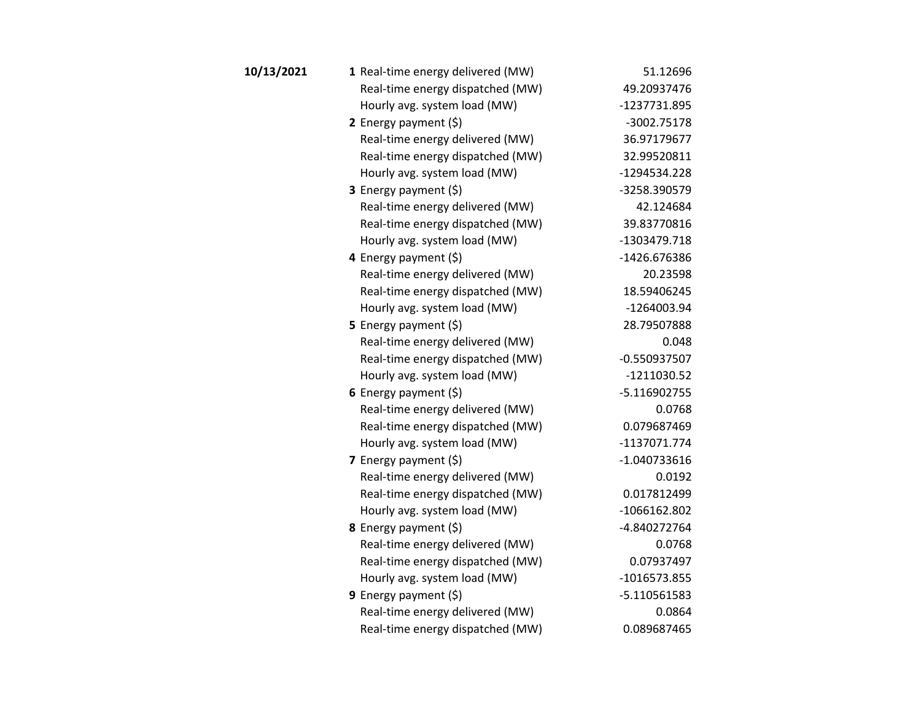| 10/13/2021 | 1 Real-time energy delivered (MW) | 51.12696       |
|------------|-----------------------------------|----------------|
|            | Real-time energy dispatched (MW)  | 49.20937476    |
|            | Hourly avg. system load (MW)      | -1237731.895   |
|            | 2 Energy payment $(5)$            | -3002.75178    |
|            | Real-time energy delivered (MW)   | 36.97179677    |
|            | Real-time energy dispatched (MW)  | 32.99520811    |
|            | Hourly avg. system load (MW)      | -1294534.228   |
|            | <b>3</b> Energy payment $(\xi)$   | -3258.390579   |
|            | Real-time energy delivered (MW)   | 42.124684      |
|            | Real-time energy dispatched (MW)  | 39.83770816    |
|            | Hourly avg. system load (MW)      | -1303479.718   |
|            | 4 Energy payment (\$)             | -1426.676386   |
|            | Real-time energy delivered (MW)   | 20.23598       |
|            | Real-time energy dispatched (MW)  | 18.59406245    |
|            | Hourly avg. system load (MW)      | -1264003.94    |
|            | 5 Energy payment $(5)$            | 28.79507888    |
|            | Real-time energy delivered (MW)   | 0.048          |
|            | Real-time energy dispatched (MW)  | $-0.550937507$ |
|            | Hourly avg. system load (MW)      | $-1211030.52$  |
|            | 6 Energy payment $(\xi)$          | $-5.116902755$ |
|            | Real-time energy delivered (MW)   | 0.0768         |
|            | Real-time energy dispatched (MW)  | 0.079687469    |
|            | Hourly avg. system load (MW)      | -1137071.774   |
|            | 7 Energy payment $(5)$            | $-1.040733616$ |
|            | Real-time energy delivered (MW)   | 0.0192         |
|            | Real-time energy dispatched (MW)  | 0.017812499    |
|            | Hourly avg. system load (MW)      | $-1066162.802$ |
|            | 8 Energy payment (\$)             | -4.840272764   |
|            | Real-time energy delivered (MW)   | 0.0768         |
|            | Real-time energy dispatched (MW)  | 0.07937497     |
|            | Hourly avg. system load (MW)      | $-1016573.855$ |
|            | 9 Energy payment $(5)$            | $-5.110561583$ |
|            | Real-time energy delivered (MW)   | 0.0864         |
|            | Real-time energy dispatched (MW)  | 0.089687465    |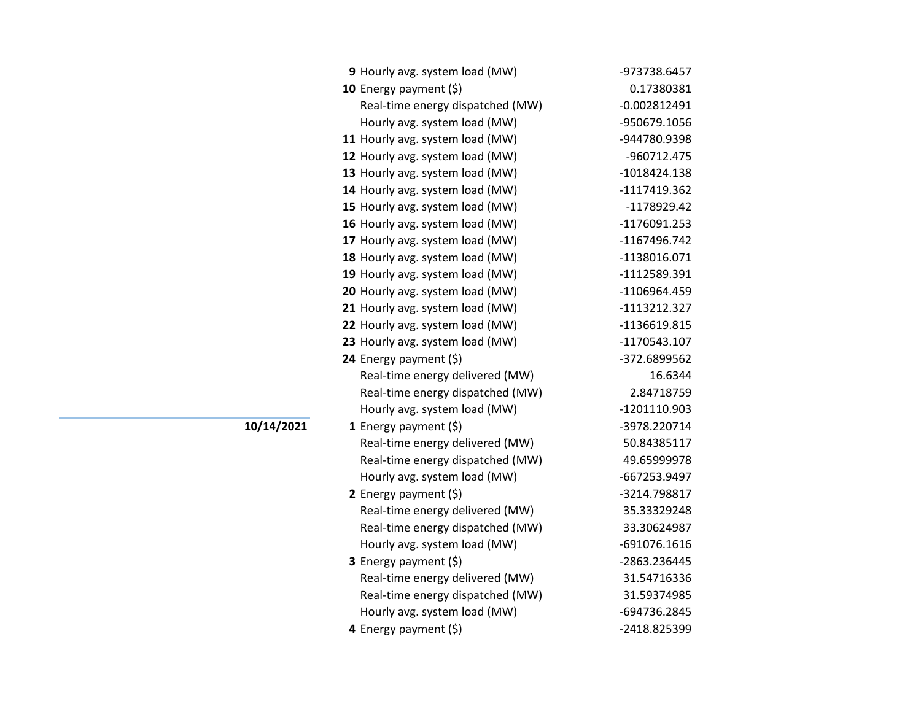| 9 Hourly avg. system load (MW)   | -973738.6457   |
|----------------------------------|----------------|
| 10 Energy payment $(5)$          | 0.17380381     |
| Real-time energy dispatched (MW) | $-0.002812491$ |
| Hourly avg. system load (MW)     | -950679.1056   |
| 11 Hourly avg. system load (MW)  | -944780.9398   |
| 12 Hourly avg. system load (MW)  | -960712.475    |
| 13 Hourly avg. system load (MW)  | -1018424.138   |
| 14 Hourly avg. system load (MW)  | -1117419.362   |
| 15 Hourly avg. system load (MW)  | -1178929.42    |
| 16 Hourly avg. system load (MW)  | -1176091.253   |
| 17 Hourly avg. system load (MW)  | -1167496.742   |
| 18 Hourly avg. system load (MW)  | -1138016.071   |
| 19 Hourly avg. system load (MW)  | -1112589.391   |
| 20 Hourly avg. system load (MW)  | -1106964.459   |
| 21 Hourly avg. system load (MW)  | -1113212.327   |
| 22 Hourly avg. system load (MW)  | -1136619.815   |
| 23 Hourly avg. system load (MW)  | -1170543.107   |
| 24 Energy payment (\$)           | -372.6899562   |
|                                  |                |
| Real-time energy delivered (MW)  | 16.6344        |
| Real-time energy dispatched (MW) | 2.84718759     |
| Hourly avg. system load (MW)     | -1201110.903   |
| 1 Energy payment (\$)            | -3978.220714   |
| Real-time energy delivered (MW)  | 50.84385117    |
| Real-time energy dispatched (MW) | 49.65999978    |
| Hourly avg. system load (MW)     | -667253.9497   |
| 2 Energy payment $(\xi)$         | -3214.798817   |
| Real-time energy delivered (MW)  | 35.33329248    |
| Real-time energy dispatched (MW) | 33.30624987    |
| Hourly avg. system load (MW)     | -691076.1616   |
| <b>3</b> Energy payment $(\xi)$  | -2863.236445   |
| Real-time energy delivered (MW)  | 31.54716336    |
| Real-time energy dispatched (MW) | 31.59374985    |
| Hourly avg. system load (MW)     | -694736.2845   |

**10/14/2021**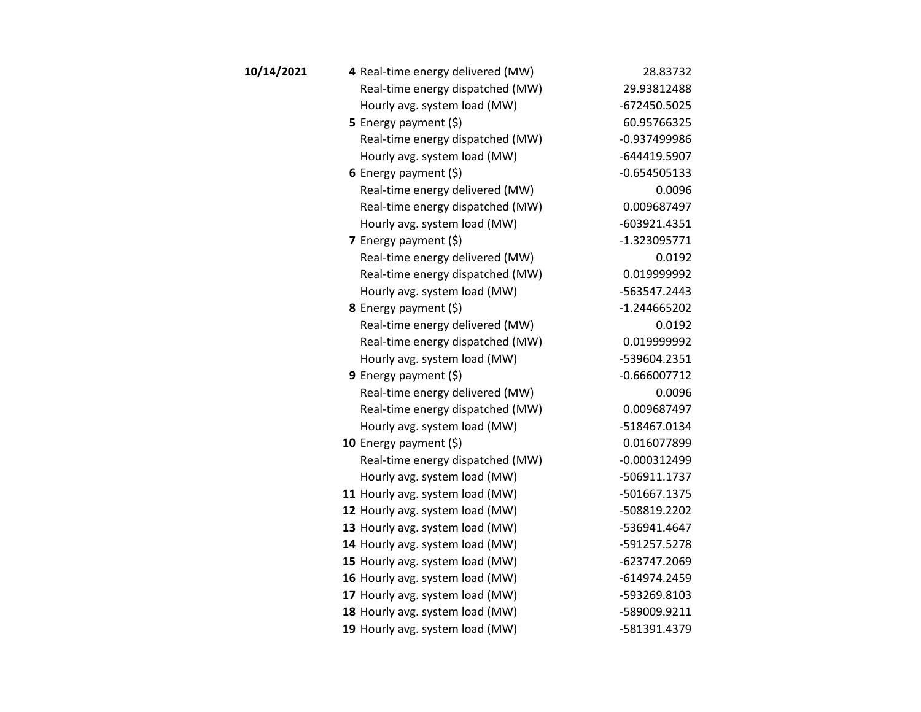| 10/14/2021 | 4 Real-time energy delivered (MW) | 28.83732       |
|------------|-----------------------------------|----------------|
|            | Real-time energy dispatched (MW)  | 29.93812488    |
|            | Hourly avg. system load (MW)      | -672450.5025   |
|            | 5 Energy payment $(5)$            | 60.95766325    |
|            | Real-time energy dispatched (MW)  | -0.937499986   |
|            | Hourly avg. system load (MW)      | -644419.5907   |
|            | 6 Energy payment $(\xi)$          | $-0.654505133$ |
|            | Real-time energy delivered (MW)   | 0.0096         |
|            | Real-time energy dispatched (MW)  | 0.009687497    |
|            | Hourly avg. system load (MW)      | $-603921.4351$ |
|            | 7 Energy payment $(\xi)$          | $-1.323095771$ |
|            | Real-time energy delivered (MW)   | 0.0192         |
|            | Real-time energy dispatched (MW)  | 0.019999992    |
|            | Hourly avg. system load (MW)      | -563547.2443   |
|            | 8 Energy payment (\$)             | $-1.244665202$ |
|            | Real-time energy delivered (MW)   | 0.0192         |
|            | Real-time energy dispatched (MW)  | 0.019999992    |
|            | Hourly avg. system load (MW)      | -539604.2351   |
|            | <b>9</b> Energy payment $(\xi)$   | $-0.666007712$ |
|            | Real-time energy delivered (MW)   | 0.0096         |
|            | Real-time energy dispatched (MW)  | 0.009687497    |
|            | Hourly avg. system load (MW)      | -518467.0134   |
|            | 10 Energy payment $(\xi)$         | 0.016077899    |
|            | Real-time energy dispatched (MW)  | $-0.000312499$ |
|            | Hourly avg. system load (MW)      | -506911.1737   |
|            | 11 Hourly avg. system load (MW)   | -501667.1375   |
|            | 12 Hourly avg. system load (MW)   | -508819.2202   |
|            | 13 Hourly avg. system load (MW)   | -536941.4647   |
|            | 14 Hourly avg. system load (MW)   | -591257.5278   |
|            | 15 Hourly avg. system load (MW)   | -623747.2069   |
|            | 16 Hourly avg. system load (MW)   | -614974.2459   |
|            | 17 Hourly avg. system load (MW)   | -593269.8103   |
|            | 18 Hourly avg. system load (MW)   | -589009.9211   |
|            | 19 Hourly avg. system load (MW)   | -581391.4379   |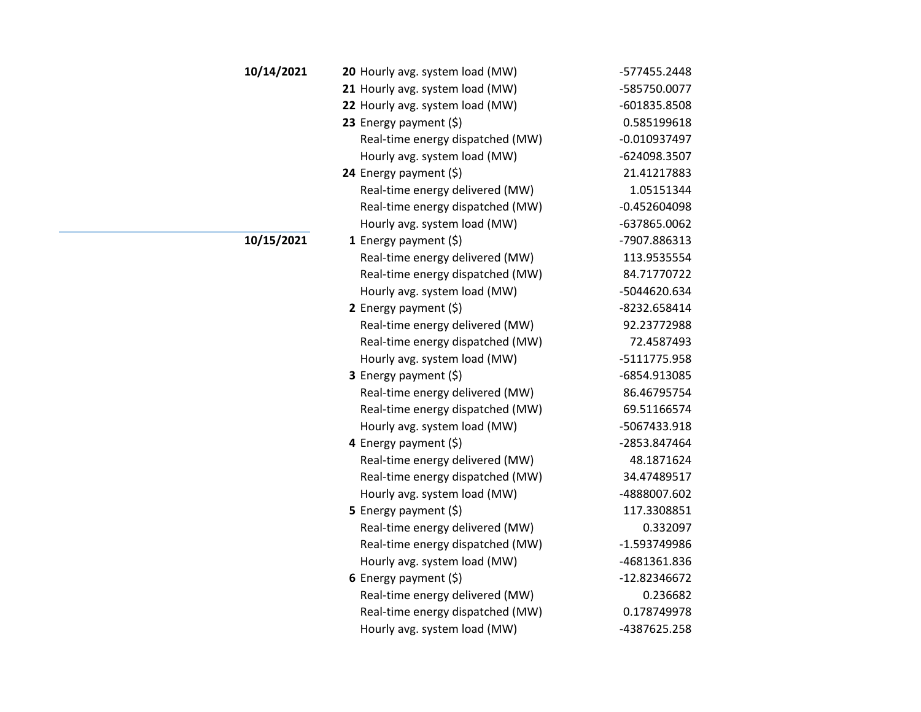| 10/14/2021 | 20 Hourly avg. system load (MW)  | -577455.2448   |
|------------|----------------------------------|----------------|
|            | 21 Hourly avg. system load (MW)  | -585750.0077   |
|            | 22 Hourly avg. system load (MW)  | -601835.8508   |
|            | 23 Energy payment (\$)           | 0.585199618    |
|            | Real-time energy dispatched (MW) | $-0.010937497$ |
|            | Hourly avg. system load (MW)     | -624098.3507   |
|            | 24 Energy payment (\$)           | 21.41217883    |
|            | Real-time energy delivered (MW)  | 1.05151344     |
|            | Real-time energy dispatched (MW) | $-0.452604098$ |
|            | Hourly avg. system load (MW)     | -637865.0062   |
| 10/15/2021 | 1 Energy payment $(\xi)$         | -7907.886313   |
|            | Real-time energy delivered (MW)  | 113.9535554    |
|            | Real-time energy dispatched (MW) | 84.71770722    |
|            | Hourly avg. system load (MW)     | -5044620.634   |
|            | 2 Energy payment $(5)$           | -8232.658414   |
|            | Real-time energy delivered (MW)  | 92.23772988    |
|            | Real-time energy dispatched (MW) | 72.4587493     |
|            | Hourly avg. system load (MW)     | -5111775.958   |
|            | 3 Energy payment (\$)            | -6854.913085   |
|            | Real-time energy delivered (MW)  | 86.46795754    |
|            | Real-time energy dispatched (MW) | 69.51166574    |
|            | Hourly avg. system load (MW)     | -5067433.918   |
|            | 4 Energy payment $(\xi)$         | -2853.847464   |
|            | Real-time energy delivered (MW)  | 48.1871624     |
|            | Real-time energy dispatched (MW) | 34.47489517    |
|            | Hourly avg. system load (MW)     | -4888007.602   |
|            | 5 Energy payment $(5)$           | 117.3308851    |
|            | Real-time energy delivered (MW)  | 0.332097       |
|            | Real-time energy dispatched (MW) | -1.593749986   |
|            | Hourly avg. system load (MW)     | -4681361.836   |
|            | 6 Energy payment $(\xi)$         | -12.82346672   |
|            | Real-time energy delivered (MW)  | 0.236682       |
|            | Real-time energy dispatched (MW) | 0.178749978    |
|            | Hourly avg. system load (MW)     | -4387625.258   |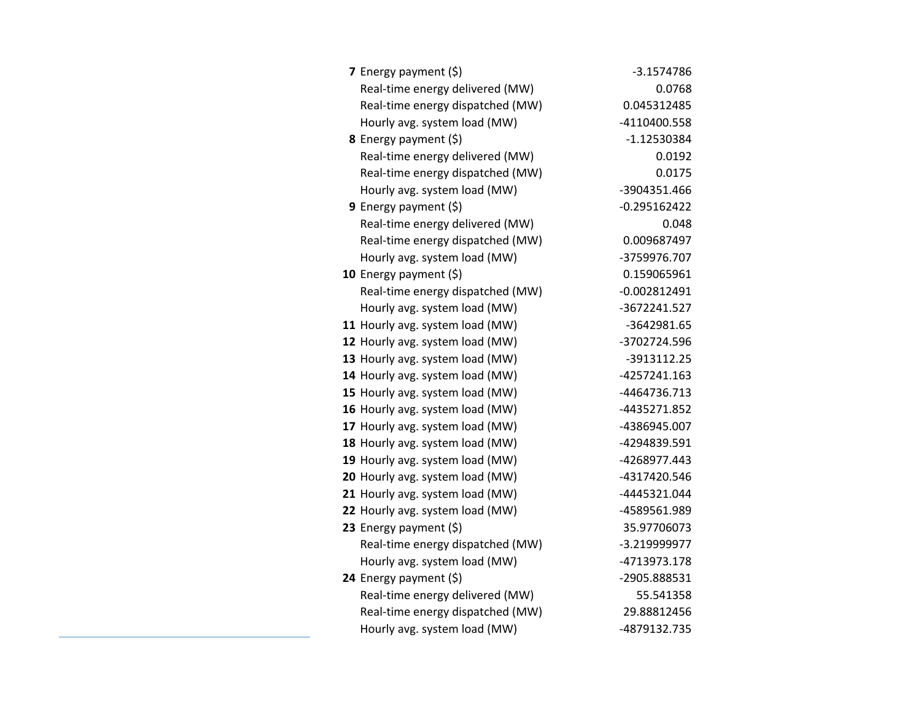| 7 Energy payment $(\xi)$         | $-3.1574786$   |
|----------------------------------|----------------|
| Real-time energy delivered (MW)  | 0.0768         |
| Real-time energy dispatched (MW) | 0.045312485    |
| Hourly avg. system load (MW)     | -4110400.558   |
| <b>8</b> Energy payment $(\xi)$  | $-1.12530384$  |
| Real-time energy delivered (MW)  | 0.0192         |
| Real-time energy dispatched (MW) | 0.0175         |
| Hourly avg. system load (MW)     | -3904351.466   |
| <b>9</b> Energy payment $(\xi)$  | $-0.295162422$ |
| Real-time energy delivered (MW)  | 0.048          |
| Real-time energy dispatched (MW) | 0.009687497    |
| Hourly avg. system load (MW)     | -3759976.707   |
| 10 Energy payment $(\xi)$        | 0.159065961    |
| Real-time energy dispatched (MW) | $-0.002812491$ |
| Hourly avg. system load (MW)     | -3672241.527   |
| 11 Hourly avg. system load (MW)  | -3642981.65    |
| 12 Hourly avg. system load (MW)  | -3702724.596   |
| 13 Hourly avg. system load (MW)  | -3913112.25    |
| 14 Hourly avg. system load (MW)  | -4257241.163   |
| 15 Hourly avg. system load (MW)  | -4464736.713   |
| 16 Hourly avg. system load (MW)  | -4435271.852   |
| 17 Hourly avg. system load (MW)  | -4386945.007   |
| 18 Hourly avg. system load (MW)  | -4294839.591   |
| 19 Hourly avg. system load (MW)  | -4268977.443   |
| 20 Hourly avg. system load (MW)  | -4317420.546   |
| 21 Hourly avg. system load (MW)  | -4445321.044   |
| 22 Hourly avg. system load (MW)  | -4589561.989   |
| 23 Energy payment $(\xi)$        | 35.97706073    |
| Real-time energy dispatched (MW) | -3.219999977   |
| Hourly avg. system load (MW)     | -4713973.178   |
| 24 Energy payment (\$)           | -2905.888531   |
| Real-time energy delivered (MW)  | 55.541358      |
| Real-time energy dispatched (MW) | 29.88812456    |
| Hourly avg. system load (MW)     | -4879132.735   |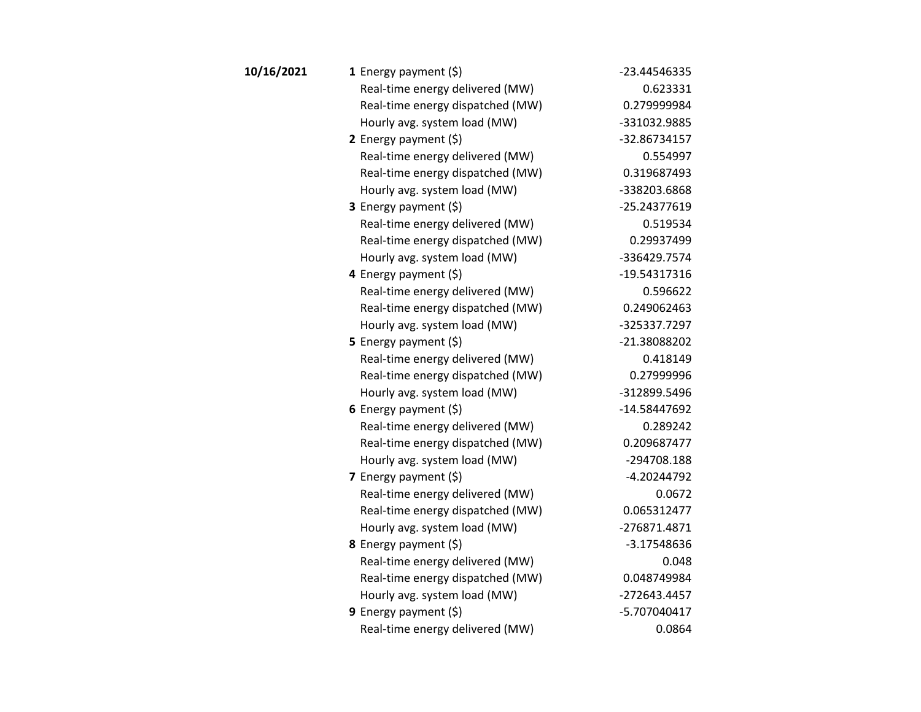| 1 Energy payment $(\xi)$         | -23.44546335  |
|----------------------------------|---------------|
| Real-time energy delivered (MW)  | 0.623331      |
| Real-time energy dispatched (MW) | 0.279999984   |
| Hourly avg. system load (MW)     | -331032.9885  |
| 2 Energy payment $(\xi)$         | -32.86734157  |
| Real-time energy delivered (MW)  | 0.554997      |
| Real-time energy dispatched (MW) | 0.319687493   |
| Hourly avg. system load (MW)     | -338203.6868  |
| <b>3</b> Energy payment $(\xi)$  | -25.24377619  |
| Real-time energy delivered (MW)  | 0.519534      |
| Real-time energy dispatched (MW) | 0.29937499    |
| Hourly avg. system load (MW)     | -336429.7574  |
| 4 Energy payment $(\xi)$         | -19.54317316  |
| Real-time energy delivered (MW)  | 0.596622      |
| Real-time energy dispatched (MW) | 0.249062463   |
| Hourly avg. system load (MW)     | -325337.7297  |
| 5 Energy payment $(5)$           | -21.38088202  |
| Real-time energy delivered (MW)  | 0.418149      |
| Real-time energy dispatched (MW) | 0.27999996    |
| Hourly avg. system load (MW)     | -312899.5496  |
| 6 Energy payment $(5)$           | -14.58447692  |
| Real-time energy delivered (MW)  | 0.289242      |
| Real-time energy dispatched (MW) | 0.209687477   |
| Hourly avg. system load (MW)     | -294708.188   |
| 7 Energy payment $(5)$           | $-4.20244792$ |
| Real-time energy delivered (MW)  | 0.0672        |
| Real-time energy dispatched (MW) | 0.065312477   |
| Hourly avg. system load (MW)     | -276871.4871  |
| 8 Energy payment (\$)            | $-3.17548636$ |
| Real-time energy delivered (MW)  | 0.048         |
| Real-time energy dispatched (MW) | 0.048749984   |
| Hourly avg. system load (MW)     | -272643.4457  |
| 9 Energy payment $(5)$           | -5.707040417  |
| Real-time energy delivered (MW)  | 0.0864        |
|                                  |               |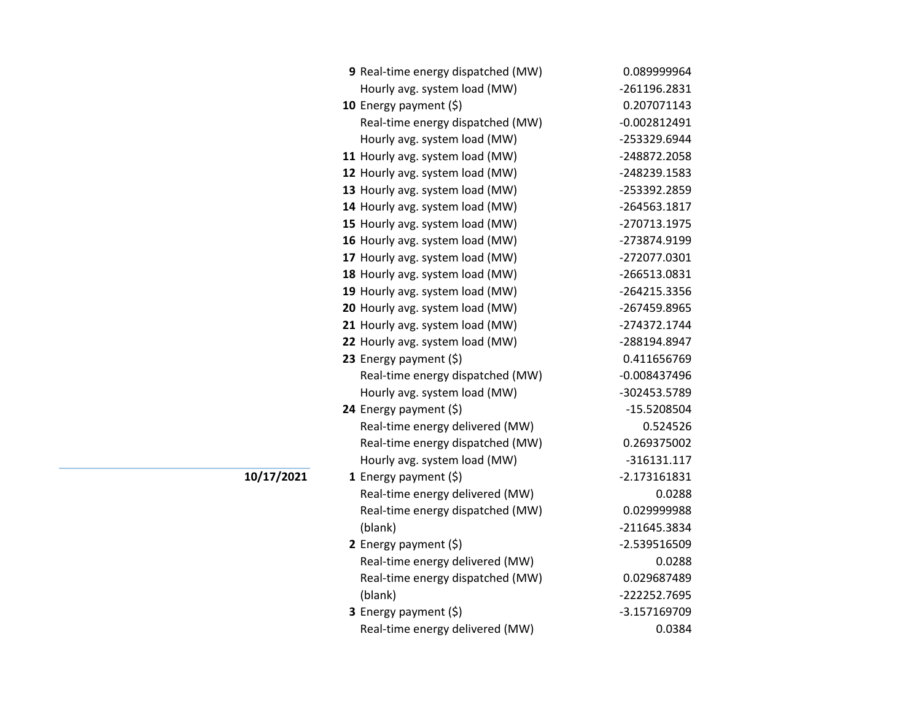| 9 Real-time energy dispatched (MW) | 0.089999964    |
|------------------------------------|----------------|
| Hourly avg. system load (MW)       | -261196.2831   |
| 10 Energy payment (\$)             | 0.207071143    |
| Real-time energy dispatched (MW)   | $-0.002812491$ |
| Hourly avg. system load (MW)       | -253329.6944   |
| 11 Hourly avg. system load (MW)    | -248872.2058   |
| 12 Hourly avg. system load (MW)    | -248239.1583   |
| 13 Hourly avg. system load (MW)    | -253392.2859   |
| 14 Hourly avg. system load (MW)    | -264563.1817   |
| 15 Hourly avg. system load (MW)    | -270713.1975   |
| 16 Hourly avg. system load (MW)    | -273874.9199   |
| 17 Hourly avg. system load (MW)    | -272077.0301   |
| 18 Hourly avg. system load (MW)    | -266513.0831   |
| 19 Hourly avg. system load (MW)    | -264215.3356   |
| 20 Hourly avg. system load (MW)    | -267459.8965   |
| 21 Hourly avg. system load (MW)    | -274372.1744   |
| 22 Hourly avg. system load (MW)    | -288194.8947   |
| 23 Energy payment $(\xi)$          | 0.411656769    |
| Real-time energy dispatched (MW)   | $-0.008437496$ |
| Hourly avg. system load (MW)       | -302453.5789   |
| 24 Energy payment (\$)             | -15.5208504    |
| Real-time energy delivered (MW)    | 0.524526       |
| Real-time energy dispatched (MW)   | 0.269375002    |
| Hourly avg. system load (MW)       | $-316131.117$  |
| 1 Energy payment $(\xi)$           | $-2.173161831$ |
| Real-time energy delivered (MW)    | 0.0288         |
| Real-time energy dispatched (MW)   | 0.029999988    |
| (blank)                            | -211645.3834   |
| 2 Energy payment $(\xi)$           | -2.539516509   |
| Real-time energy delivered (MW)    | 0.0288         |
| Real-time energy dispatched (MW)   | 0.029687489    |
| (blank)                            | -222252.7695   |
| 3 Energy payment (\$)              | -3.157169709   |
| Real-time energy delivered (MW)    | 0.0384         |

**10/17/2021**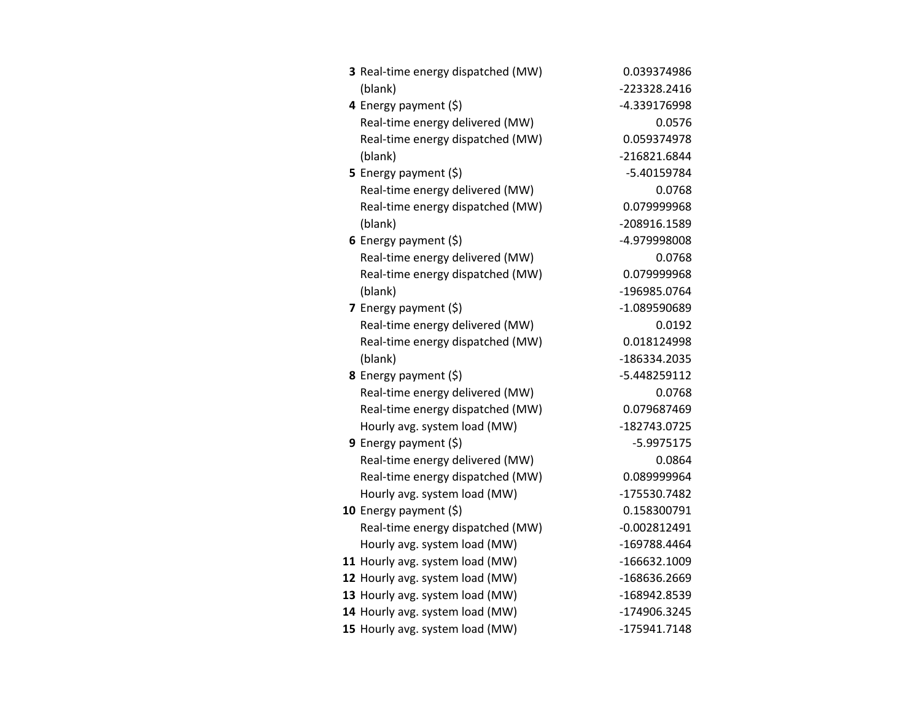| 3 Real-time energy dispatched (MW) | 0.039374986    |
|------------------------------------|----------------|
| (blank)                            | -223328.2416   |
| 4 Energy payment (\$)              | -4.339176998   |
| Real-time energy delivered (MW)    | 0.0576         |
| Real-time energy dispatched (MW)   | 0.059374978    |
| (blank)                            | -216821.6844   |
| 5 Energy payment $(5)$             | -5.40159784    |
| Real-time energy delivered (MW)    | 0.0768         |
| Real-time energy dispatched (MW)   | 0.079999968    |
| (blank)                            | -208916.1589   |
| 6 Energy payment (\$)              | -4.979998008   |
| Real-time energy delivered (MW)    | 0.0768         |
| Real-time energy dispatched (MW)   | 0.079999968    |
| (blank)                            | -196985.0764   |
| 7 Energy payment $(\xi)$           | -1.089590689   |
| Real-time energy delivered (MW)    | 0.0192         |
| Real-time energy dispatched (MW)   | 0.018124998    |
| (blank)                            | -186334.2035   |
| 8 Energy payment (\$)              | -5.448259112   |
| Real-time energy delivered (MW)    | 0.0768         |
| Real-time energy dispatched (MW)   | 0.079687469    |
| Hourly avg. system load (MW)       | -182743.0725   |
| 9 Energy payment $(\xi)$           | $-5.9975175$   |
| Real-time energy delivered (MW)    | 0.0864         |
| Real-time energy dispatched (MW)   | 0.089999964    |
| Hourly avg. system load (MW)       | -175530.7482   |
| 10 Energy payment $(5)$            | 0.158300791    |
| Real-time energy dispatched (MW)   | $-0.002812491$ |
| Hourly avg. system load (MW)       | -169788.4464   |
| 11 Hourly avg. system load (MW)    | -166632.1009   |
| 12 Hourly avg. system load (MW)    | -168636.2669   |
| 13 Hourly avg. system load (MW)    | -168942.8539   |
| 14 Hourly avg. system load (MW)    | -174906.3245   |
| 15 Hourly avg. system load (MW)    | -175941.7148   |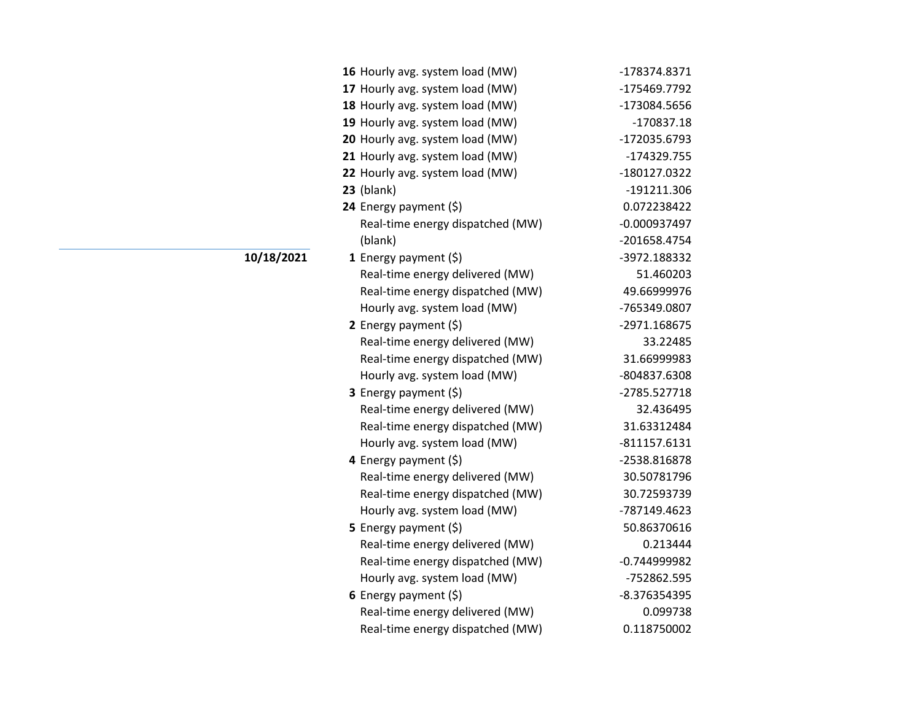| 16 Hourly avg. system load (MW)  | -178374.8371   |
|----------------------------------|----------------|
| 17 Hourly avg. system load (MW)  | -175469.7792   |
| 18 Hourly avg. system load (MW)  | -173084.5656   |
| 19 Hourly avg. system load (MW)  | $-170837.18$   |
| 20 Hourly avg. system load (MW)  | -172035.6793   |
| 21 Hourly avg. system load (MW)  | -174329.755    |
| 22 Hourly avg. system load (MW)  | -180127.0322   |
| 23 (blank)                       | -191211.306    |
| 24 Energy payment (\$)           | 0.072238422    |
| Real-time energy dispatched (MW) | $-0.000937497$ |
| (blank)                          | -201658.4754   |
| <b>1</b> Energy payment $(\xi)$  | -3972.188332   |
| Real-time energy delivered (MW)  | 51.460203      |
| Real-time energy dispatched (MW) | 49.66999976    |
| Hourly avg. system load (MW)     | -765349.0807   |
| 2 Energy payment $(5)$           | -2971.168675   |
| Real-time energy delivered (MW)  | 33.22485       |
| Real-time energy dispatched (MW) | 31.66999983    |
| Hourly avg. system load (MW)     | -804837.6308   |
| 3 Energy payment (\$)            | -2785.527718   |
| Real-time energy delivered (MW)  | 32.436495      |
| Real-time energy dispatched (MW) | 31.63312484    |
| Hourly avg. system load (MW)     | $-811157.6131$ |
| 4 Energy payment (\$)            | -2538.816878   |
| Real-time energy delivered (MW)  | 30.50781796    |
| Real-time energy dispatched (MW) | 30.72593739    |
| Hourly avg. system load (MW)     | -787149.4623   |
| <b>5</b> Energy payment $(\xi)$  | 50.86370616    |
| Real-time energy delivered (MW)  | 0.213444       |
| Real-time energy dispatched (MW) | $-0.744999982$ |
| Hourly avg. system load (MW)     | -752862.595    |
| 6 Energy payment $(\xi)$         | -8.376354395   |
| Real-time energy delivered (MW)  | 0.099738       |
| Real-time energy dispatched (MW) | 0.118750002    |

**10/18/2021**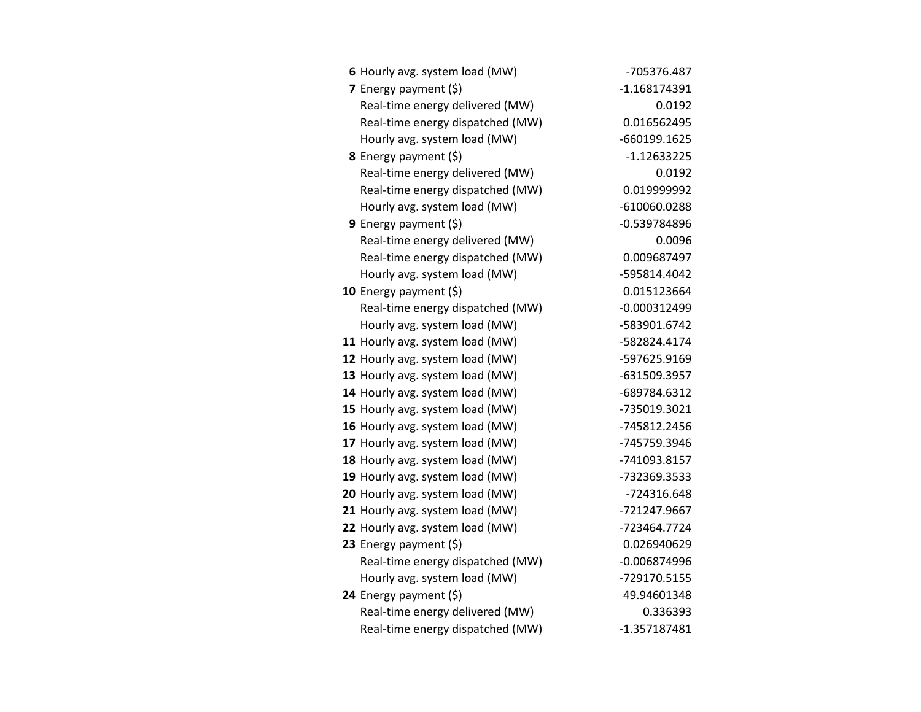| 6 Hourly avg. system load (MW)   | -705376.487    |
|----------------------------------|----------------|
| 7 Energy payment $(5)$           | $-1.168174391$ |
| Real-time energy delivered (MW)  | 0.0192         |
| Real-time energy dispatched (MW) | 0.016562495    |
| Hourly avg. system load (MW)     | -660199.1625   |
| 8 Energy payment (\$)            | $-1.12633225$  |
| Real-time energy delivered (MW)  | 0.0192         |
| Real-time energy dispatched (MW) | 0.019999992    |
| Hourly avg. system load (MW)     | -610060.0288   |
| 9 Energy payment (\$)            | $-0.539784896$ |
| Real-time energy delivered (MW)  | 0.0096         |
| Real-time energy dispatched (MW) | 0.009687497    |
| Hourly avg. system load (MW)     | -595814.4042   |
| 10 Energy payment $(\xi)$        | 0.015123664    |
| Real-time energy dispatched (MW) | $-0.000312499$ |
| Hourly avg. system load (MW)     | -583901.6742   |
| 11 Hourly avg. system load (MW)  | -582824.4174   |
| 12 Hourly avg. system load (MW)  | -597625.9169   |
| 13 Hourly avg. system load (MW)  | -631509.3957   |
| 14 Hourly avg. system load (MW)  | -689784.6312   |
| 15 Hourly avg. system load (MW)  | -735019.3021   |
| 16 Hourly avg. system load (MW)  | -745812.2456   |
| 17 Hourly avg. system load (MW)  | -745759.3946   |
| 18 Hourly avg. system load (MW)  | -741093.8157   |
| 19 Hourly avg. system load (MW)  | -732369.3533   |
| 20 Hourly avg. system load (MW)  | -724316.648    |
| 21 Hourly avg. system load (MW)  | -721247.9667   |
| 22 Hourly avg. system load (MW)  | -723464.7724   |
| 23 Energy payment $(\xi)$        | 0.026940629    |
| Real-time energy dispatched (MW) | $-0.006874996$ |
| Hourly avg. system load (MW)     | -729170.5155   |
| 24 Energy payment (\$)           | 49.94601348    |
| Real-time energy delivered (MW)  | 0.336393       |
| Real-time energy dispatched (MW) | $-1.357187481$ |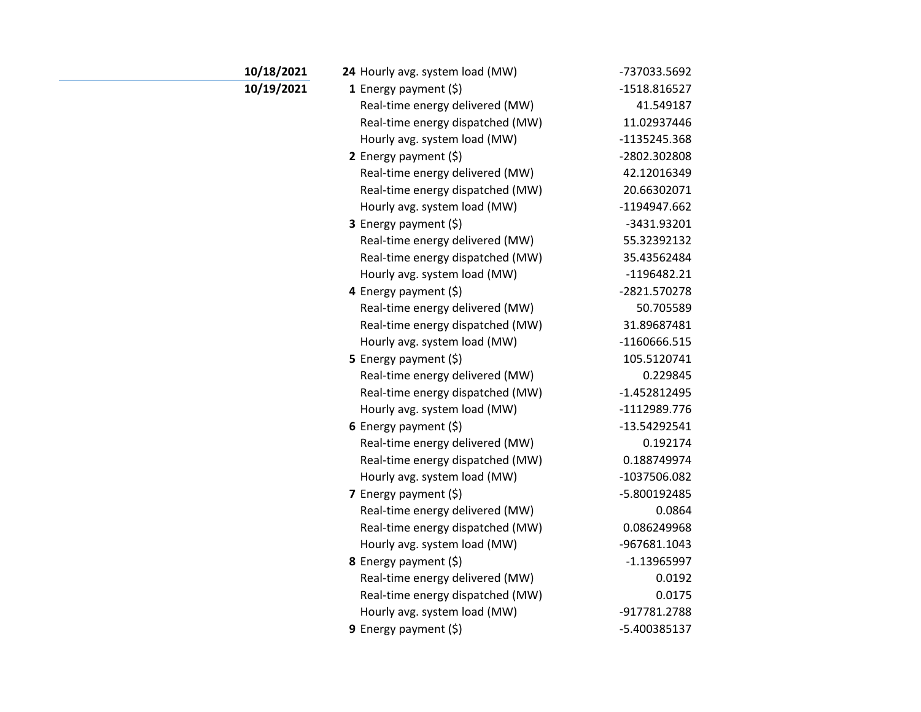| 10/18/2021 | 24 Hourly avg. system load (MW)  | -737033.5692   |
|------------|----------------------------------|----------------|
| 10/19/2021 | 1 Energy payment $(\xi)$         | $-1518.816527$ |
|            | Real-time energy delivered (MW)  | 41.549187      |
|            | Real-time energy dispatched (MW) | 11.02937446    |
|            | Hourly avg. system load (MW)     | -1135245.368   |
|            | 2 Energy payment $(\xi)$         | -2802.302808   |
|            | Real-time energy delivered (MW)  | 42.12016349    |
|            | Real-time energy dispatched (MW) | 20.66302071    |
|            | Hourly avg. system load (MW)     | -1194947.662   |
|            | 3 Energy payment (\$)            | -3431.93201    |
|            | Real-time energy delivered (MW)  | 55.32392132    |
|            | Real-time energy dispatched (MW) | 35.43562484    |
|            | Hourly avg. system load (MW)     | $-1196482.21$  |
|            | 4 Energy payment (\$)            | -2821.570278   |
|            | Real-time energy delivered (MW)  | 50.705589      |
|            | Real-time energy dispatched (MW) | 31.89687481    |
|            | Hourly avg. system load (MW)     | -1160666.515   |
|            | 5 Energy payment $(5)$           | 105.5120741    |
|            | Real-time energy delivered (MW)  | 0.229845       |
|            | Real-time energy dispatched (MW) | $-1.452812495$ |
|            | Hourly avg. system load (MW)     | -1112989.776   |
|            | 6 Energy payment $(5)$           | $-13.54292541$ |
|            | Real-time energy delivered (MW)  | 0.192174       |
|            | Real-time energy dispatched (MW) | 0.188749974    |
|            | Hourly avg. system load (MW)     | -1037506.082   |
|            | 7 Energy payment $(5)$           | -5.800192485   |
|            | Real-time energy delivered (MW)  | 0.0864         |
|            | Real-time energy dispatched (MW) | 0.086249968    |
|            | Hourly avg. system load (MW)     | -967681.1043   |
|            | 8 Energy payment (\$)            | $-1.13965997$  |
|            | Real-time energy delivered (MW)  | 0.0192         |
|            | Real-time energy dispatched (MW) | 0.0175         |
|            | Hourly avg. system load (MW)     | -917781.2788   |
|            | 9 Energy payment (\$)            | -5.400385137   |

a.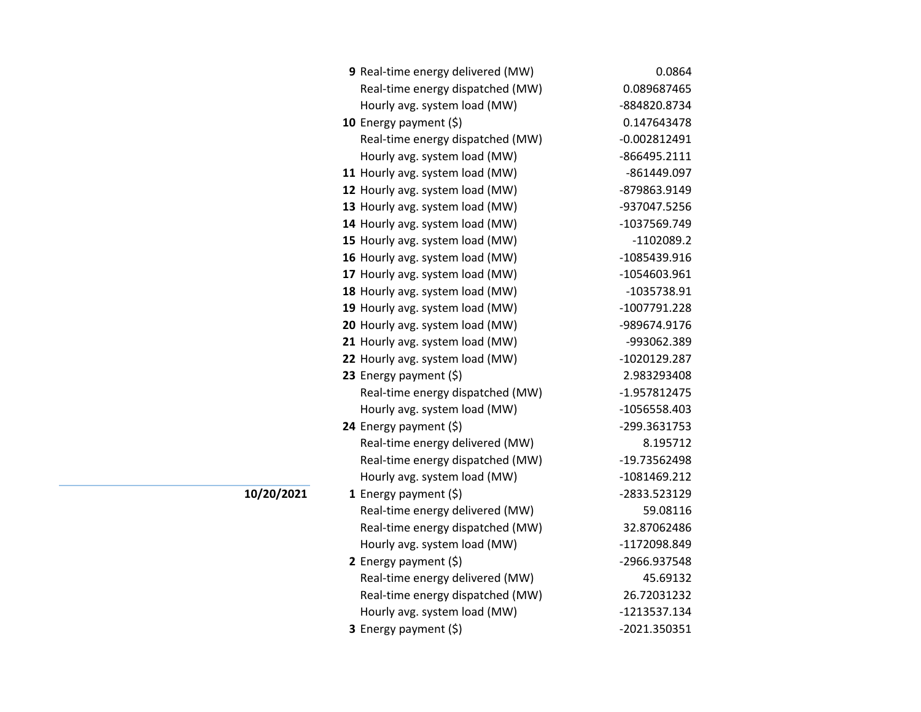| 9 Real-time energy delivered (MW) | 0.0864         |
|-----------------------------------|----------------|
| Real-time energy dispatched (MW)  | 0.089687465    |
| Hourly avg. system load (MW)      | -884820.8734   |
| 10 Energy payment $(5)$           | 0.147643478    |
| Real-time energy dispatched (MW)  | $-0.002812491$ |
| Hourly avg. system load (MW)      | -866495.2111   |
| 11 Hourly avg. system load (MW)   | -861449.097    |
| 12 Hourly avg. system load (MW)   | -879863.9149   |
| 13 Hourly avg. system load (MW)   | -937047.5256   |
| 14 Hourly avg. system load (MW)   | -1037569.749   |
| 15 Hourly avg. system load (MW)   | $-1102089.2$   |
| 16 Hourly avg. system load (MW)   | -1085439.916   |
| 17 Hourly avg. system load (MW)   | -1054603.961   |
| 18 Hourly avg. system load (MW)   | -1035738.91    |
| 19 Hourly avg. system load (MW)   | -1007791.228   |
| 20 Hourly avg. system load (MW)   | -989674.9176   |
| 21 Hourly avg. system load (MW)   | -993062.389    |
| 22 Hourly avg. system load (MW)   | -1020129.287   |
| 23 Energy payment $(\xi)$         | 2.983293408    |
| Real-time energy dispatched (MW)  | -1.957812475   |
| Hourly avg. system load (MW)      | -1056558.403   |
| 24 Energy payment (\$)            | -299.3631753   |
| Real-time energy delivered (MW)   | 8.195712       |
| Real-time energy dispatched (MW)  | -19.73562498   |
| Hourly avg. system load (MW)      | -1081469.212   |
| <b>1</b> Energy payment $(\xi)$   | -2833.523129   |
| Real-time energy delivered (MW)   | 59.08116       |
| Real-time energy dispatched (MW)  | 32.87062486    |
| Hourly avg. system load (MW)      | -1172098.849   |
| 2 Energy payment $(\xi)$          | -2966.937548   |
| Real-time energy delivered (MW)   | 45.69132       |
| Real-time energy dispatched (MW)  | 26.72031232    |
| Hourly avg. system load (MW)      | -1213537.134   |
| <b>3</b> Energy payment $(\xi)$   | -2021.350351   |

**10/20/2021**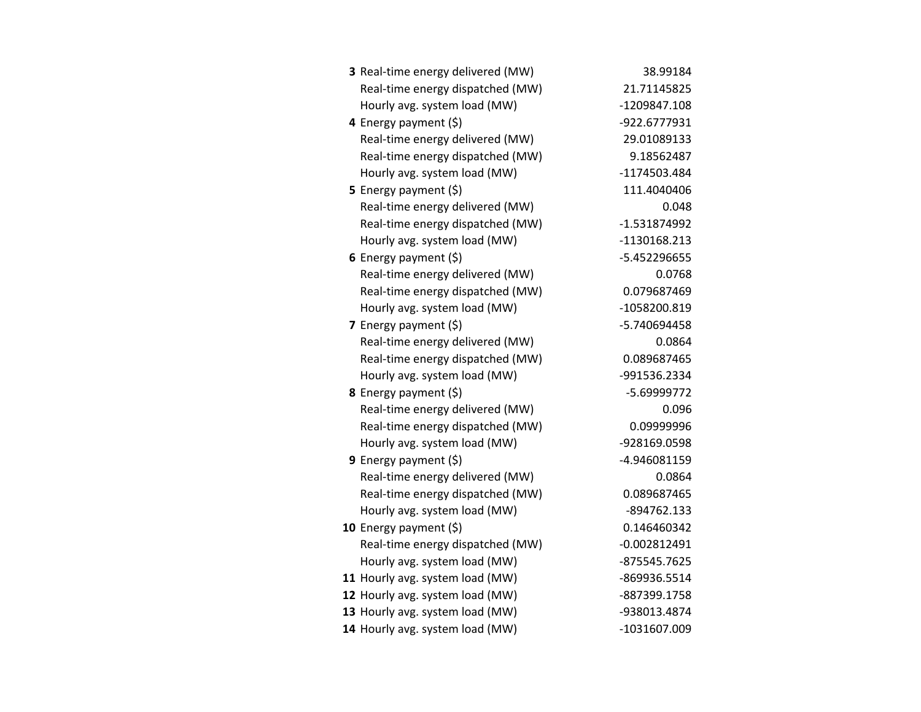| 3 Real-time energy delivered (MW) | 38.99184       |
|-----------------------------------|----------------|
| Real-time energy dispatched (MW)  | 21.71145825    |
| Hourly avg. system load (MW)      | -1209847.108   |
| 4 Energy payment (\$)             | -922.6777931   |
| Real-time energy delivered (MW)   | 29.01089133    |
| Real-time energy dispatched (MW)  | 9.18562487     |
| Hourly avg. system load (MW)      | -1174503.484   |
| <b>5</b> Energy payment $(\xi)$   | 111.4040406    |
| Real-time energy delivered (MW)   | 0.048          |
| Real-time energy dispatched (MW)  | $-1.531874992$ |
| Hourly avg. system load (MW)      | -1130168.213   |
| 6 Energy payment $(5)$            | -5.452296655   |
| Real-time energy delivered (MW)   | 0.0768         |
| Real-time energy dispatched (MW)  | 0.079687469    |
| Hourly avg. system load (MW)      | -1058200.819   |
| 7 Energy payment $(5)$            | -5.740694458   |
| Real-time energy delivered (MW)   | 0.0864         |
| Real-time energy dispatched (MW)  | 0.089687465    |
| Hourly avg. system load (MW)      | -991536.2334   |
| 8 Energy payment (\$)             | -5.69999772    |
| Real-time energy delivered (MW)   | 0.096          |
| Real-time energy dispatched (MW)  | 0.09999996     |
| Hourly avg. system load (MW)      | -928169.0598   |
| <b>9</b> Energy payment $(\xi)$   | -4.946081159   |
| Real-time energy delivered (MW)   | 0.0864         |
| Real-time energy dispatched (MW)  | 0.089687465    |
| Hourly avg. system load (MW)      | -894762.133    |
| 10 Energy payment (\$)            | 0.146460342    |
| Real-time energy dispatched (MW)  | $-0.002812491$ |
| Hourly avg. system load (MW)      | -875545.7625   |
| 11 Hourly avg. system load (MW)   | -869936.5514   |
| 12 Hourly avg. system load (MW)   | -887399.1758   |
| 13 Hourly avg. system load (MW)   | -938013.4874   |
| 14 Hourly avg. system load (MW)   | -1031607.009   |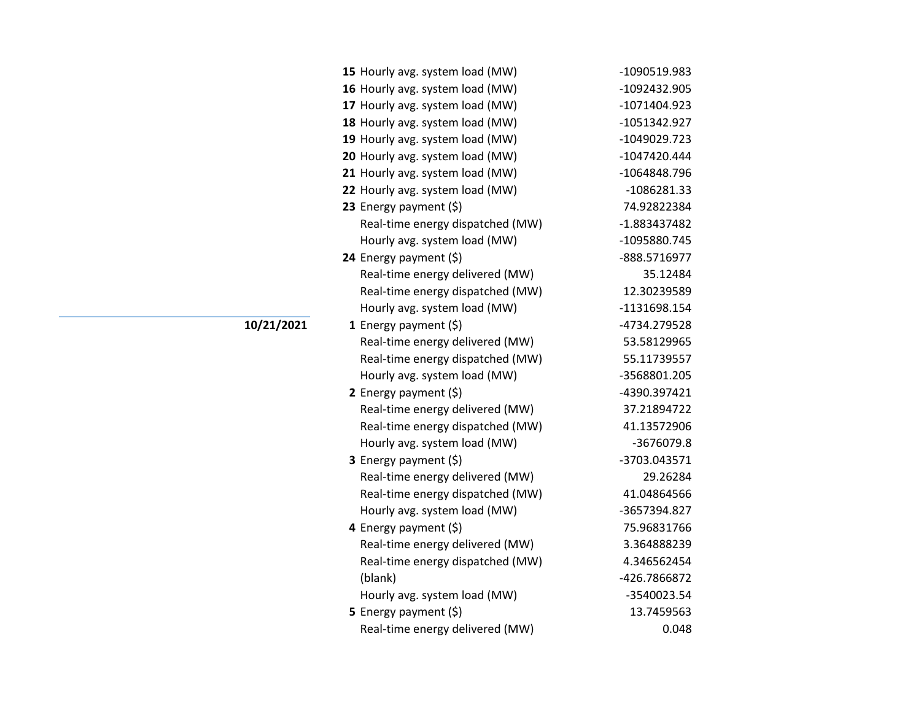| 15 Hourly avg. system load (MW)  | -1090519.983   |
|----------------------------------|----------------|
| 16 Hourly avg. system load (MW)  | -1092432.905   |
| 17 Hourly avg. system load (MW)  | -1071404.923   |
| 18 Hourly avg. system load (MW)  | -1051342.927   |
| 19 Hourly avg. system load (MW)  | -1049029.723   |
| 20 Hourly avg. system load (MW)  | $-1047420.444$ |
| 21 Hourly avg. system load (MW)  | -1064848.796   |
| 22 Hourly avg. system load (MW)  | -1086281.33    |
| 23 Energy payment $(5)$          | 74.92822384    |
| Real-time energy dispatched (MW) | -1.883437482   |
| Hourly avg. system load (MW)     | -1095880.745   |
| 24 Energy payment (\$)           | -888.5716977   |
| Real-time energy delivered (MW)  | 35.12484       |
| Real-time energy dispatched (MW) | 12.30239589    |
| Hourly avg. system load (MW)     | -1131698.154   |
| 1 Energy payment $(\xi)$         | -4734.279528   |
| Real-time energy delivered (MW)  | 53.58129965    |
| Real-time energy dispatched (MW) | 55.11739557    |
| Hourly avg. system load (MW)     | -3568801.205   |
| 2 Energy payment (\$)            | -4390.397421   |
| Real-time energy delivered (MW)  | 37.21894722    |
| Real-time energy dispatched (MW) | 41.13572906    |
| Hourly avg. system load (MW)     | -3676079.8     |
| 3 Energy payment (\$)            | -3703.043571   |
| Real-time energy delivered (MW)  | 29.26284       |
| Real-time energy dispatched (MW) | 41.04864566    |
| Hourly avg. system load (MW)     | -3657394.827   |
| 4 Energy payment $(\xi)$         | 75.96831766    |
| Real-time energy delivered (MW)  | 3.364888239    |
| Real-time energy dispatched (MW) | 4.346562454    |
| (blank)                          | -426.7866872   |
| Hourly avg. system load (MW)     | -3540023.54    |
| 5 Energy payment $(\xi)$         | 13.7459563     |
| Real-time energy delivered (MW)  | 0.048          |

**10/21/2021**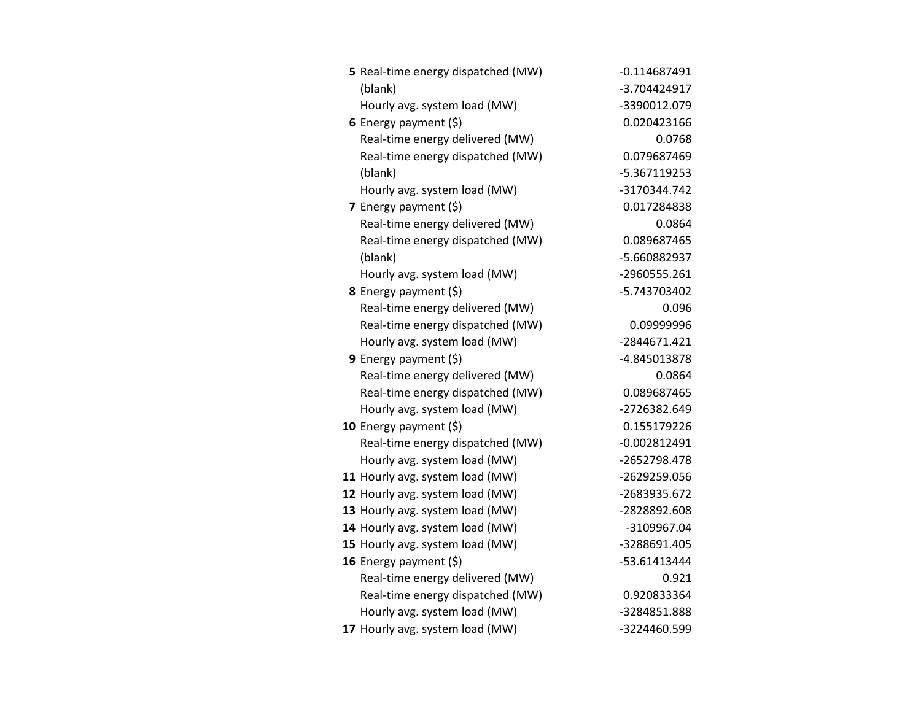| 5 Real-time energy dispatched (MW) | $-0.114687491$ |
|------------------------------------|----------------|
| (blank)                            | -3.704424917   |
| Hourly avg. system load (MW)       | -3390012.079   |
| 6 Energy payment $(5)$             | 0.020423166    |
| Real-time energy delivered (MW)    | 0.0768         |
| Real-time energy dispatched (MW)   | 0.079687469    |
| (blank)                            | -5.367119253   |
| Hourly avg. system load (MW)       | -3170344.742   |
| 7 Energy payment $(\xi)$           | 0.017284838    |
| Real-time energy delivered (MW)    | 0.0864         |
| Real-time energy dispatched (MW)   | 0.089687465    |
| (blank)                            | -5.660882937   |
| Hourly avg. system load (MW)       | -2960555.261   |
| 8 Energy payment (\$)              | -5.743703402   |
| Real-time energy delivered (MW)    | 0.096          |
| Real-time energy dispatched (MW)   | 0.09999996     |
| Hourly avg. system load (MW)       | -2844671.421   |
| <b>9</b> Energy payment $(\xi)$    | -4.845013878   |
| Real-time energy delivered (MW)    | 0.0864         |
| Real-time energy dispatched (MW)   | 0.089687465    |
| Hourly avg. system load (MW)       | -2726382.649   |
| 10 Energy payment $(5)$            | 0.155179226    |
| Real-time energy dispatched (MW)   | $-0.002812491$ |
| Hourly avg. system load (MW)       | -2652798.478   |
| 11 Hourly avg. system load (MW)    | -2629259.056   |
| 12 Hourly avg. system load (MW)    | -2683935.672   |
| 13 Hourly avg. system load (MW)    | -2828892.608   |
| 14 Hourly avg. system load (MW)    | -3109967.04    |
| 15 Hourly avg. system load (MW)    | -3288691.405   |
| 16 Energy payment $(\xi)$          | -53.61413444   |
| Real-time energy delivered (MW)    | 0.921          |
| Real-time energy dispatched (MW)   | 0.920833364    |
| Hourly avg. system load (MW)       | -3284851.888   |
| 17 Hourly avg. system load (MW)    | -3224460.599   |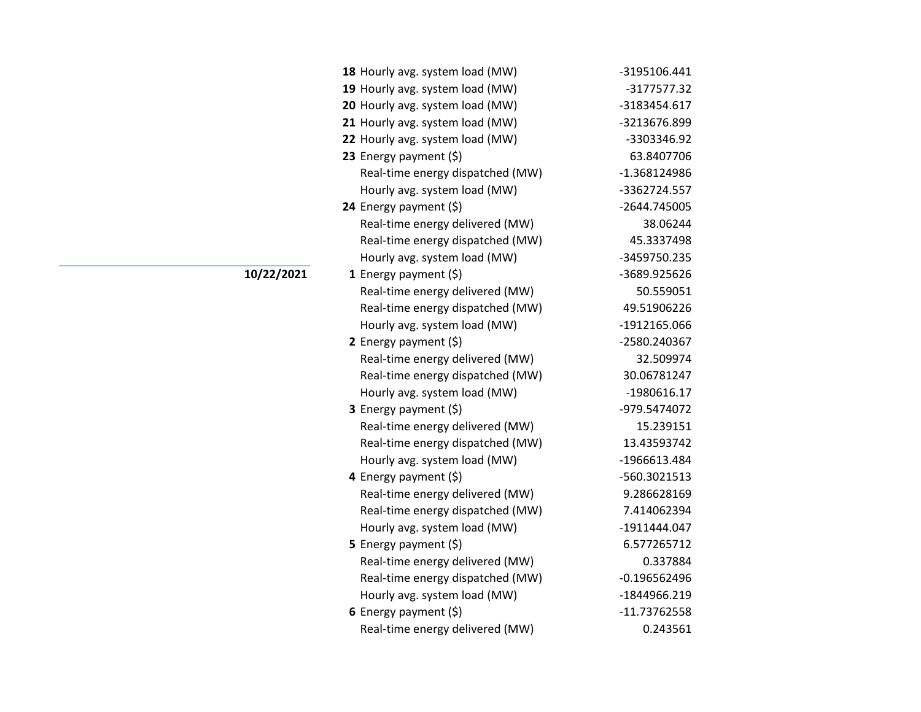| 18 Hourly avg. system load (MW)  | -3195106.441   |
|----------------------------------|----------------|
| 19 Hourly avg. system load (MW)  | -3177577.32    |
| 20 Hourly avg. system load (MW)  | -3183454.617   |
| 21 Hourly avg. system load (MW)  | -3213676.899   |
| 22 Hourly avg. system load (MW)  | -3303346.92    |
| 23 Energy payment $(\xi)$        | 63.8407706     |
| Real-time energy dispatched (MW) | -1.368124986   |
| Hourly avg. system load (MW)     | -3362724.557   |
| 24 Energy payment (\$)           | -2644.745005   |
| Real-time energy delivered (MW)  | 38.06244       |
| Real-time energy dispatched (MW) | 45.3337498     |
| Hourly avg. system load (MW)     | -3459750.235   |
| <b>1</b> Energy payment $(\xi)$  | -3689.925626   |
| Real-time energy delivered (MW)  | 50.559051      |
| Real-time energy dispatched (MW) | 49.51906226    |
| Hourly avg. system load (MW)     | -1912165.066   |
| 2 Energy payment $(\xi)$         | -2580.240367   |
| Real-time energy delivered (MW)  | 32.509974      |
| Real-time energy dispatched (MW) | 30.06781247    |
| Hourly avg. system load (MW)     | -1980616.17    |
| 3 Energy payment (\$)            | -979.5474072   |
| Real-time energy delivered (MW)  | 15.239151      |
| Real-time energy dispatched (MW) | 13.43593742    |
| Hourly avg. system load (MW)     | -1966613.484   |
| 4 Energy payment (\$)            | -560.3021513   |
| Real-time energy delivered (MW)  | 9.286628169    |
| Real-time energy dispatched (MW) | 7.414062394    |
| Hourly avg. system load (MW)     | -1911444.047   |
| 5 Energy payment $(\xi)$         | 6.577265712    |
| Real-time energy delivered (MW)  | 0.337884       |
| Real-time energy dispatched (MW) | $-0.196562496$ |
| Hourly avg. system load (MW)     | -1844966.219   |
| 6 Energy payment $(\xi)$         | $-11.73762558$ |
| Real-time energy delivered (MW)  | 0.243561       |

**10/22/2021**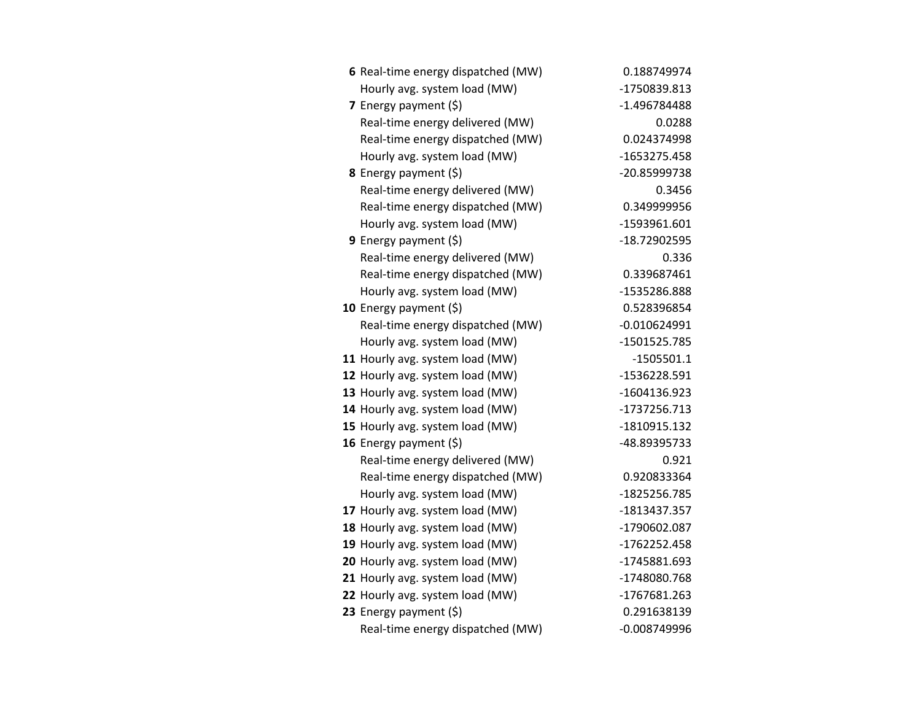| 6 Real-time energy dispatched (MW) | 0.188749974    |
|------------------------------------|----------------|
| Hourly avg. system load (MW)       | -1750839.813   |
| 7 Energy payment (\$)              | -1.496784488   |
| Real-time energy delivered (MW)    | 0.0288         |
| Real-time energy dispatched (MW)   | 0.024374998    |
| Hourly avg. system load (MW)       | -1653275.458   |
| 8 Energy payment (\$)              | -20.85999738   |
| Real-time energy delivered (MW)    | 0.3456         |
| Real-time energy dispatched (MW)   | 0.349999956    |
| Hourly avg. system load (MW)       | -1593961.601   |
| 9 Energy payment (\$)              | -18.72902595   |
| Real-time energy delivered (MW)    | 0.336          |
| Real-time energy dispatched (MW)   | 0.339687461    |
| Hourly avg. system load (MW)       | -1535286.888   |
| 10 Energy payment $(5)$            | 0.528396854    |
| Real-time energy dispatched (MW)   | $-0.010624991$ |
| Hourly avg. system load (MW)       | -1501525.785   |
| 11 Hourly avg. system load (MW)    | $-1505501.1$   |
| 12 Hourly avg. system load (MW)    | -1536228.591   |
| 13 Hourly avg. system load (MW)    | -1604136.923   |
| 14 Hourly avg. system load (MW)    | -1737256.713   |
| 15 Hourly avg. system load (MW)    | -1810915.132   |
| 16 Energy payment $(\xi)$          | -48.89395733   |
| Real-time energy delivered (MW)    | 0.921          |
| Real-time energy dispatched (MW)   | 0.920833364    |
| Hourly avg. system load (MW)       | -1825256.785   |
| 17 Hourly avg. system load (MW)    | -1813437.357   |
| 18 Hourly avg. system load (MW)    | -1790602.087   |
| 19 Hourly avg. system load (MW)    | -1762252.458   |
| 20 Hourly avg. system load (MW)    | -1745881.693   |
| 21 Hourly avg. system load (MW)    | -1748080.768   |
| 22 Hourly avg. system load (MW)    | -1767681.263   |
| 23 Energy payment (\$)             | 0.291638139    |
| Real-time energy dispatched (MW)   | $-0.008749996$ |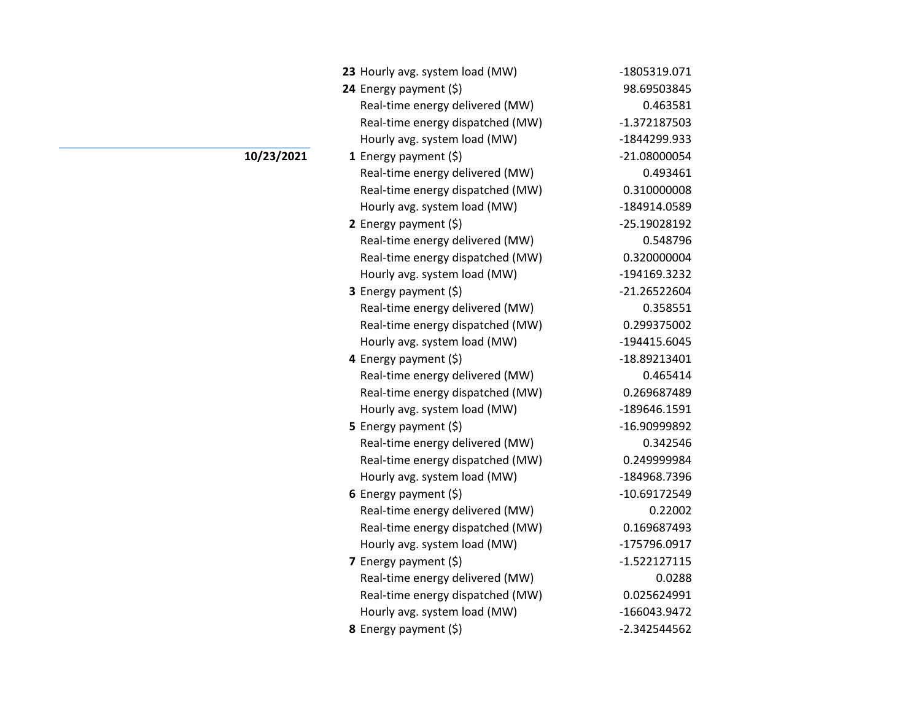| 23 Hourly avg. system load (MW)  | -1805319.071   |
|----------------------------------|----------------|
| 24 Energy payment (\$)           | 98.69503845    |
| Real-time energy delivered (MW)  | 0.463581       |
| Real-time energy dispatched (MW) | -1.372187503   |
| Hourly avg. system load (MW)     | -1844299.933   |
| 1 Energy payment $(\xi)$         | -21.08000054   |
| Real-time energy delivered (MW)  | 0.493461       |
| Real-time energy dispatched (MW) | 0.310000008    |
| Hourly avg. system load (MW)     | -184914.0589   |
| 2 Energy payment $(\xi)$         | -25.19028192   |
| Real-time energy delivered (MW)  | 0.548796       |
| Real-time energy dispatched (MW) | 0.320000004    |
| Hourly avg. system load (MW)     | -194169.3232   |
| 3 Energy payment (\$)            | -21.26522604   |
| Real-time energy delivered (MW)  | 0.358551       |
| Real-time energy dispatched (MW) | 0.299375002    |
| Hourly avg. system load (MW)     | -194415.6045   |
| 4 Energy payment (\$)            | -18.89213401   |
| Real-time energy delivered (MW)  | 0.465414       |
| Real-time energy dispatched (MW) | 0.269687489    |
| Hourly avg. system load (MW)     | -189646.1591   |
| <b>5</b> Energy payment $(\xi)$  | -16.90999892   |
| Real-time energy delivered (MW)  | 0.342546       |
| Real-time energy dispatched (MW) | 0.249999984    |
| Hourly avg. system load (MW)     | -184968.7396   |
| 6 Energy payment $(5)$           | -10.69172549   |
| Real-time energy delivered (MW)  | 0.22002        |
| Real-time energy dispatched (MW) | 0.169687493    |
| Hourly avg. system load (MW)     | -175796.0917   |
| 7 Energy payment $(5)$           | $-1.522127115$ |
| Real-time energy delivered (MW)  | 0.0288         |
| Real-time energy dispatched (MW) | 0.025624991    |
| Hourly avg. system load (MW)     | -166043.9472   |
| 8 Energy payment (\$)            | -2.342544562   |

**10/23/2021**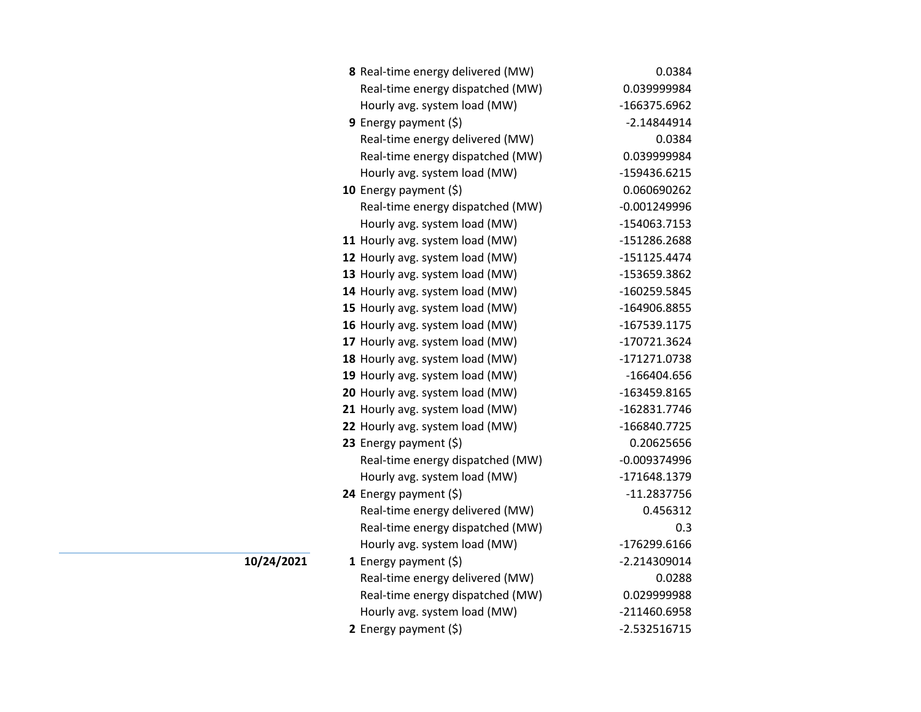| 8 Real-time energy delivered (MW) | 0.0384         |
|-----------------------------------|----------------|
| Real-time energy dispatched (MW)  | 0.039999984    |
| Hourly avg. system load (MW)      | -166375.6962   |
| <b>9</b> Energy payment $(\xi)$   | $-2.14844914$  |
| Real-time energy delivered (MW)   | 0.0384         |
| Real-time energy dispatched (MW)  | 0.039999984    |
| Hourly avg. system load (MW)      | -159436.6215   |
| 10 Energy payment (\$)            | 0.060690262    |
| Real-time energy dispatched (MW)  | $-0.001249996$ |
| Hourly avg. system load (MW)      | -154063.7153   |
| 11 Hourly avg. system load (MW)   | -151286.2688   |
| 12 Hourly avg. system load (MW)   | $-151125.4474$ |
| 13 Hourly avg. system load (MW)   | -153659.3862   |
| 14 Hourly avg. system load (MW)   | -160259.5845   |
| 15 Hourly avg. system load (MW)   | -164906.8855   |
| 16 Hourly avg. system load (MW)   | -167539.1175   |
| 17 Hourly avg. system load (MW)   | -170721.3624   |
| 18 Hourly avg. system load (MW)   | -171271.0738   |
| 19 Hourly avg. system load (MW)   | -166404.656    |
| 20 Hourly avg. system load (MW)   | -163459.8165   |
| 21 Hourly avg. system load (MW)   | -162831.7746   |
| 22 Hourly avg. system load (MW)   | -166840.7725   |
| 23 Energy payment $(\xi)$         | 0.20625656     |
| Real-time energy dispatched (MW)  | $-0.009374996$ |
| Hourly avg. system load (MW)      | -171648.1379   |
| 24 Energy payment (\$)            | $-11.2837756$  |
| Real-time energy delivered (MW)   | 0.456312       |
| Real-time energy dispatched (MW)  | 0.3            |
| Hourly avg. system load (MW)      | -176299.6166   |
| 1 Energy payment $(\xi)$          | -2.214309014   |
| Real-time energy delivered (MW)   | 0.0288         |
| Real-time energy dispatched (MW)  | 0.029999988    |
| Hourly avg. system load (MW)      | -211460.6958   |
| 2 Energy payment $(5)$            | $-2.532516715$ |

**10/24/2021**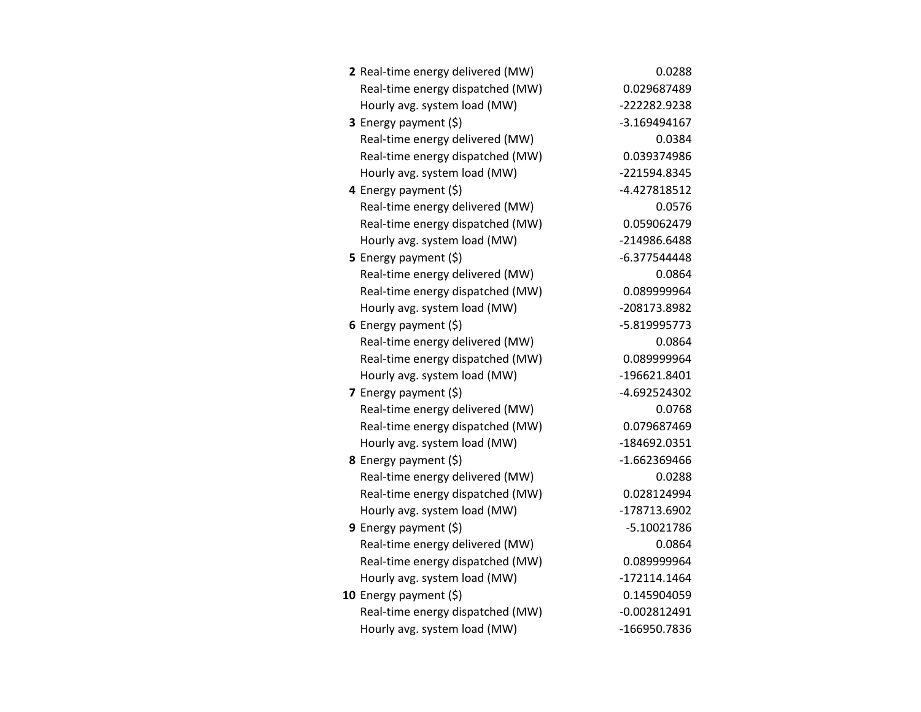| 2 Real-time energy delivered (MW) | 0.0288         |
|-----------------------------------|----------------|
| Real-time energy dispatched (MW)  | 0.029687489    |
| Hourly avg. system load (MW)      | -222282.9238   |
| 3 Energy payment (\$)             | -3.169494167   |
| Real-time energy delivered (MW)   | 0.0384         |
| Real-time energy dispatched (MW)  | 0.039374986    |
| Hourly avg. system load (MW)      | -221594.8345   |
| 4 Energy payment $(\xi)$          | -4.427818512   |
| Real-time energy delivered (MW)   | 0.0576         |
| Real-time energy dispatched (MW)  | 0.059062479    |
| Hourly avg. system load (MW)      | -214986.6488   |
| 5 Energy payment (\$)             | -6.377544448   |
| Real-time energy delivered (MW)   | 0.0864         |
| Real-time energy dispatched (MW)  | 0.089999964    |
| Hourly avg. system load (MW)      | -208173.8982   |
| 6 Energy payment $(\xi)$          | -5.819995773   |
| Real-time energy delivered (MW)   | 0.0864         |
| Real-time energy dispatched (MW)  | 0.089999964    |
| Hourly avg. system load (MW)      | -196621.8401   |
| 7 Energy payment $(5)$            | -4.692524302   |
| Real-time energy delivered (MW)   | 0.0768         |
| Real-time energy dispatched (MW)  | 0.079687469    |
| Hourly avg. system load (MW)      | -184692.0351   |
| 8 Energy payment (\$)             | $-1.662369466$ |
| Real-time energy delivered (MW)   | 0.0288         |
| Real-time energy dispatched (MW)  | 0.028124994    |
| Hourly avg. system load (MW)      | -178713.6902   |
| 9 Energy payment $(\xi)$          | $-5.10021786$  |
| Real-time energy delivered (MW)   | 0.0864         |
| Real-time energy dispatched (MW)  | 0.089999964    |
| Hourly avg. system load (MW)      | $-172114.1464$ |
| 10 Energy payment $(\xi)$         | 0.145904059    |
| Real-time energy dispatched (MW)  | $-0.002812491$ |
| Hourly avg. system load (MW)      | -166950.7836   |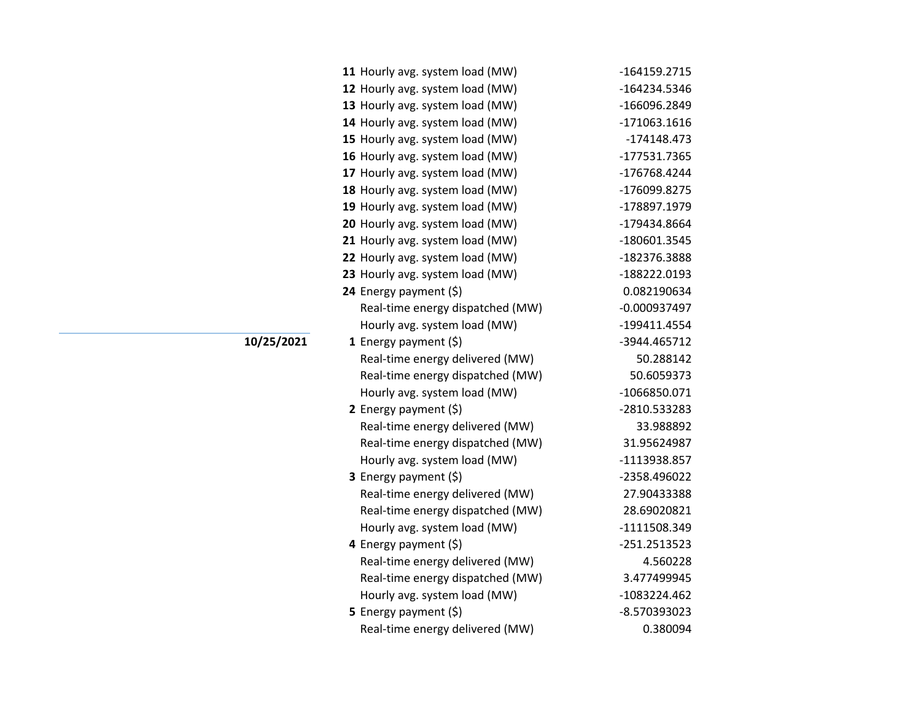| 11 Hourly avg. system load (MW)  | -164159.2715   |
|----------------------------------|----------------|
| 12 Hourly avg. system load (MW)  | -164234.5346   |
| 13 Hourly avg. system load (MW)  | -166096.2849   |
| 14 Hourly avg. system load (MW)  | $-171063.1616$ |
| 15 Hourly avg. system load (MW)  | -174148.473    |
| 16 Hourly avg. system load (MW)  | -177531.7365   |
| 17 Hourly avg. system load (MW)  | -176768.4244   |
| 18 Hourly avg. system load (MW)  | -176099.8275   |
| 19 Hourly avg. system load (MW)  | -178897.1979   |
| 20 Hourly avg. system load (MW)  | -179434.8664   |
| 21 Hourly avg. system load (MW)  | -180601.3545   |
| 22 Hourly avg. system load (MW)  | -182376.3888   |
| 23 Hourly avg. system load (MW)  | -188222.0193   |
| 24 Energy payment (\$)           | 0.082190634    |
| Real-time energy dispatched (MW) | $-0.000937497$ |
| Hourly avg. system load (MW)     | -199411.4554   |
| 1 Energy payment $(\xi)$         | -3944.465712   |
| Real-time energy delivered (MW)  | 50.288142      |
| Real-time energy dispatched (MW) | 50.6059373     |
| Hourly avg. system load (MW)     | -1066850.071   |
| 2 Energy payment $(5)$           | -2810.533283   |
| Real-time energy delivered (MW)  | 33.988892      |
| Real-time energy dispatched (MW) | 31.95624987    |
| Hourly avg. system load (MW)     | -1113938.857   |
| 3 Energy payment (\$)            | -2358.496022   |
| Real-time energy delivered (MW)  | 27.90433388    |
| Real-time energy dispatched (MW) | 28.69020821    |
| Hourly avg. system load (MW)     | -1111508.349   |
| 4 Energy payment $(\xi)$         | $-251.2513523$ |
| Real-time energy delivered (MW)  | 4.560228       |
| Real-time energy dispatched (MW) | 3.477499945    |
| Hourly avg. system load (MW)     | -1083224.462   |
| <b>5</b> Energy payment $(\xi)$  | -8.570393023   |
| Real-time energy delivered (MW)  | 0.380094       |

**10/25/2021**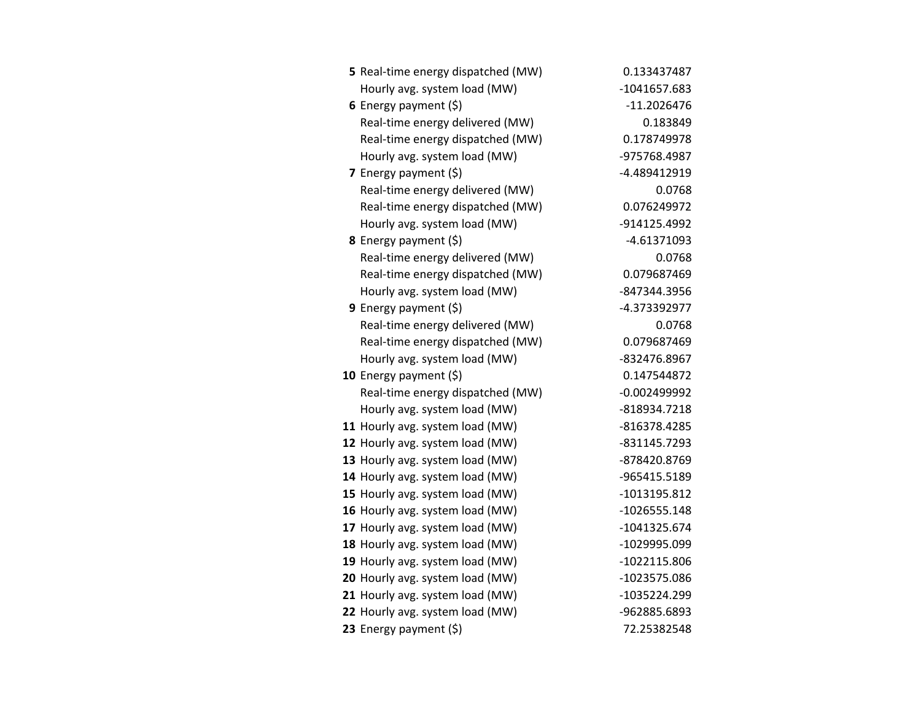| 5 Real-time energy dispatched (MW) | 0.133437487    |
|------------------------------------|----------------|
| Hourly avg. system load (MW)       | -1041657.683   |
| 6 Energy payment $(5)$             | $-11.2026476$  |
| Real-time energy delivered (MW)    | 0.183849       |
| Real-time energy dispatched (MW)   | 0.178749978    |
| Hourly avg. system load (MW)       | -975768.4987   |
| 7 Energy payment $(5)$             | -4.489412919   |
| Real-time energy delivered (MW)    | 0.0768         |
| Real-time energy dispatched (MW)   | 0.076249972    |
| Hourly avg. system load (MW)       | -914125.4992   |
| 8 Energy payment (\$)              | $-4.61371093$  |
| Real-time energy delivered (MW)    | 0.0768         |
| Real-time energy dispatched (MW)   | 0.079687469    |
| Hourly avg. system load (MW)       | -847344.3956   |
| 9 Energy payment $(\xi)$           | -4.373392977   |
| Real-time energy delivered (MW)    | 0.0768         |
| Real-time energy dispatched (MW)   | 0.079687469    |
| Hourly avg. system load (MW)       | -832476.8967   |
| 10 Energy payment $(\xi)$          | 0.147544872    |
| Real-time energy dispatched (MW)   | $-0.002499992$ |
| Hourly avg. system load (MW)       | -818934.7218   |
| 11 Hourly avg. system load (MW)    | -816378.4285   |
| 12 Hourly avg. system load (MW)    | -831145.7293   |
| 13 Hourly avg. system load (MW)    | -878420.8769   |
| 14 Hourly avg. system load (MW)    | -965415.5189   |
| 15 Hourly avg. system load (MW)    | -1013195.812   |
| 16 Hourly avg. system load (MW)    | $-1026555.148$ |
| 17 Hourly avg. system load (MW)    | $-1041325.674$ |
| 18 Hourly avg. system load (MW)    | -1029995.099   |
| 19 Hourly avg. system load (MW)    | -1022115.806   |
| 20 Hourly avg. system load (MW)    | -1023575.086   |
| 21 Hourly avg. system load (MW)    | -1035224.299   |
| 22 Hourly avg. system load (MW)    | -962885.6893   |
| 23 Energy payment (\$)             | 72.25382548    |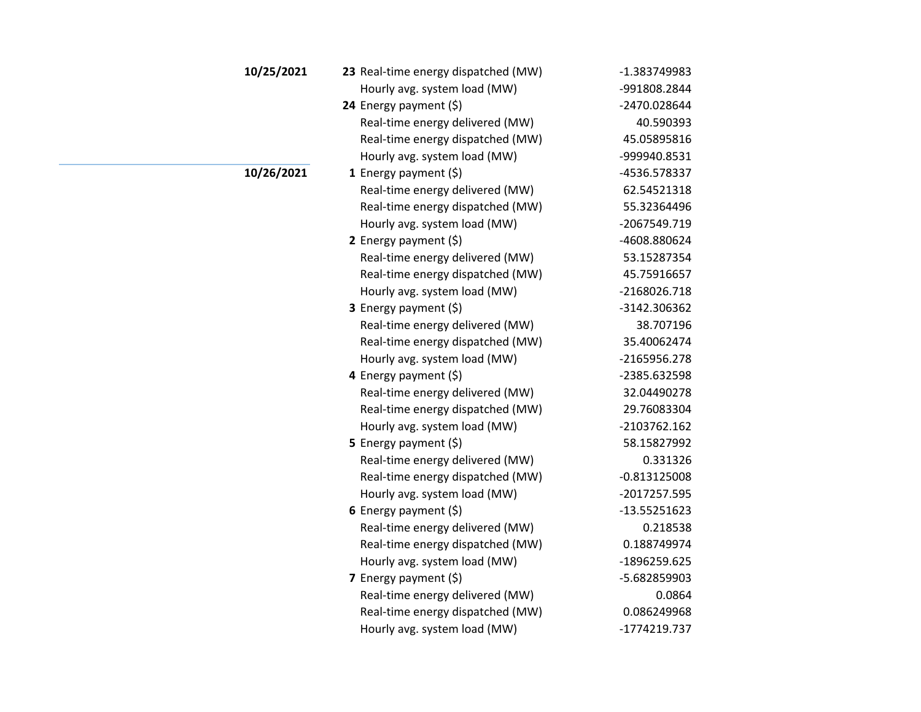| 10/25/2021 | 23 Real-time energy dispatched (MW) | -1.383749983   |
|------------|-------------------------------------|----------------|
|            | Hourly avg. system load (MW)        | -991808.2844   |
|            | 24 Energy payment (\$)              | -2470.028644   |
|            | Real-time energy delivered (MW)     | 40.590393      |
|            | Real-time energy dispatched (MW)    | 45.05895816    |
|            | Hourly avg. system load (MW)        | -999940.8531   |
| 10/26/2021 | 1 Energy payment $(\xi)$            | -4536.578337   |
|            | Real-time energy delivered (MW)     | 62.54521318    |
|            | Real-time energy dispatched (MW)    | 55.32364496    |
|            | Hourly avg. system load (MW)        | -2067549.719   |
|            | 2 Energy payment $(5)$              | -4608.880624   |
|            | Real-time energy delivered (MW)     | 53.15287354    |
|            | Real-time energy dispatched (MW)    | 45.75916657    |
|            | Hourly avg. system load (MW)        | -2168026.718   |
|            | 3 Energy payment (\$)               | -3142.306362   |
|            | Real-time energy delivered (MW)     | 38.707196      |
|            | Real-time energy dispatched (MW)    | 35.40062474    |
|            | Hourly avg. system load (MW)        | -2165956.278   |
|            | 4 Energy payment (\$)               | -2385.632598   |
|            | Real-time energy delivered (MW)     | 32.04490278    |
|            | Real-time energy dispatched (MW)    | 29.76083304    |
|            | Hourly avg. system load (MW)        | -2103762.162   |
|            | 5 Energy payment (\$)               | 58.15827992    |
|            | Real-time energy delivered (MW)     | 0.331326       |
|            | Real-time energy dispatched (MW)    | $-0.813125008$ |
|            | Hourly avg. system load (MW)        | -2017257.595   |
|            | 6 Energy payment $(\xi)$            | -13.55251623   |
|            | Real-time energy delivered (MW)     | 0.218538       |
|            | Real-time energy dispatched (MW)    | 0.188749974    |
|            | Hourly avg. system load (MW)        | -1896259.625   |
|            | 7 Energy payment (\$)               | -5.682859903   |
|            | Real-time energy delivered (MW)     | 0.0864         |
|            | Real-time energy dispatched (MW)    | 0.086249968    |
|            | Hourly avg. system load (MW)        | -1774219.737   |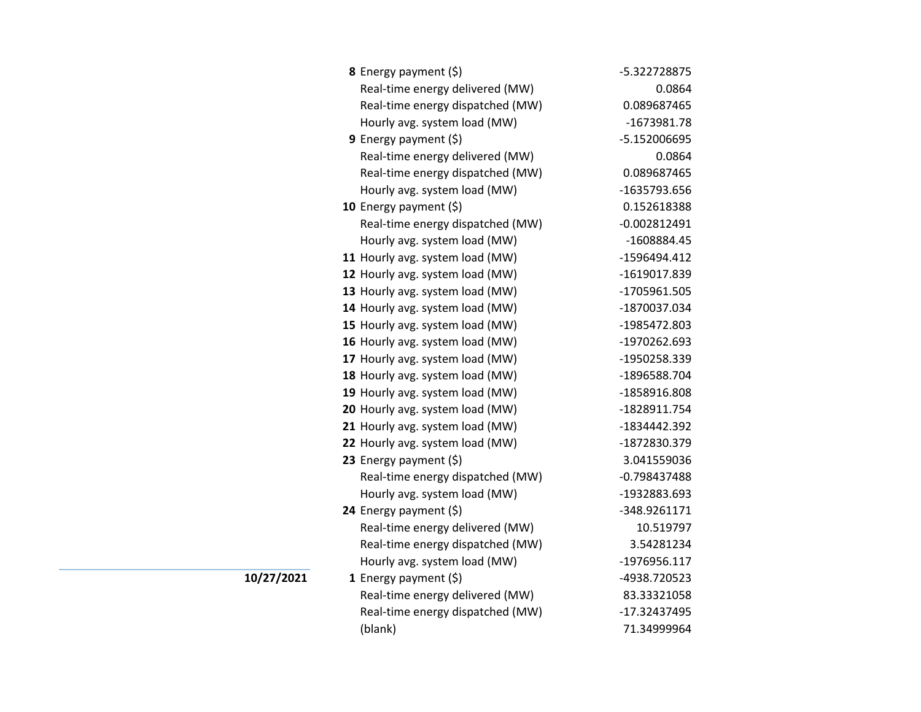| <b>8</b> Energy payment $(\xi)$  | -5.322728875   |
|----------------------------------|----------------|
| Real-time energy delivered (MW)  | 0.0864         |
| Real-time energy dispatched (MW) | 0.089687465    |
| Hourly avg. system load (MW)     | -1673981.78    |
| 9 Energy payment $(\xi)$         | -5.152006695   |
| Real-time energy delivered (MW)  | 0.0864         |
| Real-time energy dispatched (MW) | 0.089687465    |
| Hourly avg. system load (MW)     | -1635793.656   |
| 10 Energy payment $(5)$          | 0.152618388    |
| Real-time energy dispatched (MW) | $-0.002812491$ |
| Hourly avg. system load (MW)     | -1608884.45    |
| 11 Hourly avg. system load (MW)  | -1596494.412   |
| 12 Hourly avg. system load (MW)  | -1619017.839   |
| 13 Hourly avg. system load (MW)  | -1705961.505   |
| 14 Hourly avg. system load (MW)  | -1870037.034   |
| 15 Hourly avg. system load (MW)  | -1985472.803   |
| 16 Hourly avg. system load (MW)  | -1970262.693   |
| 17 Hourly avg. system load (MW)  | -1950258.339   |
| 18 Hourly avg. system load (MW)  | -1896588.704   |
| 19 Hourly avg. system load (MW)  | -1858916.808   |
| 20 Hourly avg. system load (MW)  | -1828911.754   |
| 21 Hourly avg. system load (MW)  | -1834442.392   |
| 22 Hourly avg. system load (MW)  | -1872830.379   |
| 23 Energy payment $(\xi)$        | 3.041559036    |
| Real-time energy dispatched (MW) | $-0.798437488$ |
| Hourly avg. system load (MW)     | -1932883.693   |
| 24 Energy payment (\$)           | -348.9261171   |
| Real-time energy delivered (MW)  | 10.519797      |
| Real-time energy dispatched (MW) | 3.54281234     |
| Hourly avg. system load (MW)     | -1976956.117   |
| 1 Energy payment $(\xi)$         | -4938.720523   |
| Real-time energy delivered (MW)  | 83.33321058    |
| Real-time energy dispatched (MW) | -17.32437495   |
| (blank)                          | 71.34999964    |

**10/27/2021**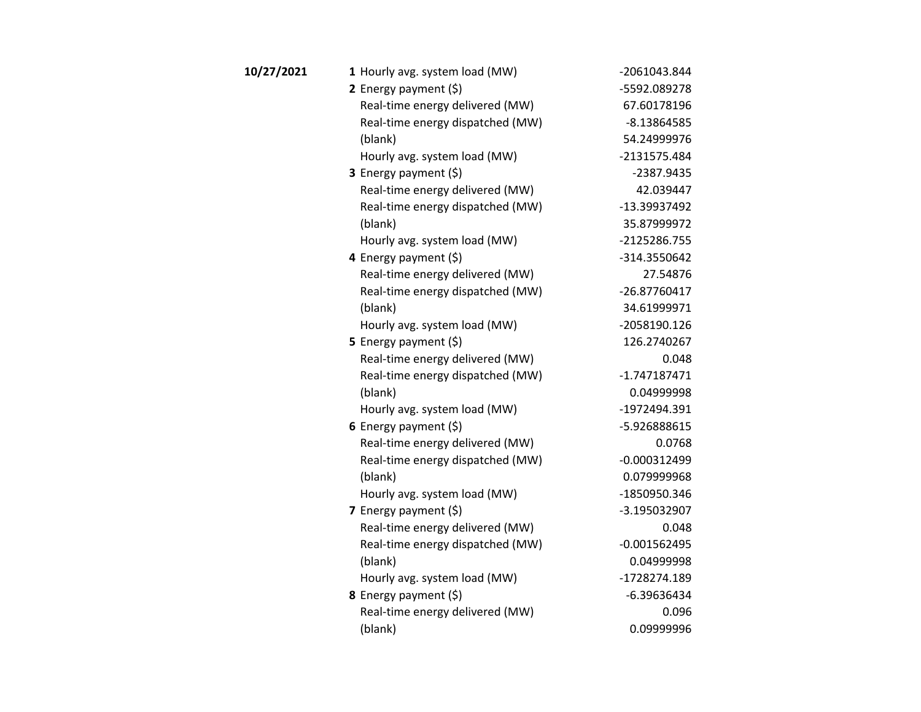| 10/27/2021 | 1 Hourly avg. system load (MW)   | -2061043.844   |
|------------|----------------------------------|----------------|
|            | 2 Energy payment $(\xi)$         | -5592.089278   |
|            | Real-time energy delivered (MW)  | 67.60178196    |
|            | Real-time energy dispatched (MW) | $-8.13864585$  |
|            | (blank)                          | 54.24999976    |
|            | Hourly avg. system load (MW)     | -2131575.484   |
|            | 3 Energy payment (\$)            | -2387.9435     |
|            | Real-time energy delivered (MW)  | 42.039447      |
|            | Real-time energy dispatched (MW) | -13.39937492   |
|            | (blank)                          | 35.87999972    |
|            | Hourly avg. system load (MW)     | -2125286.755   |
|            | 4 Energy payment (\$)            | -314.3550642   |
|            | Real-time energy delivered (MW)  | 27.54876       |
|            | Real-time energy dispatched (MW) | -26.87760417   |
|            | (blank)                          | 34.61999971    |
|            | Hourly avg. system load (MW)     | -2058190.126   |
|            | 5 Energy payment $(5)$           | 126.2740267    |
|            | Real-time energy delivered (MW)  | 0.048          |
|            | Real-time energy dispatched (MW) | $-1.747187471$ |
|            | (blank)                          | 0.04999998     |
|            | Hourly avg. system load (MW)     | -1972494.391   |
|            | 6 Energy payment $(5)$           | -5.926888615   |
|            | Real-time energy delivered (MW)  | 0.0768         |
|            | Real-time energy dispatched (MW) | $-0.000312499$ |
|            | (blank)                          | 0.079999968    |
|            | Hourly avg. system load (MW)     | -1850950.346   |
|            | 7 Energy payment (\$)            | -3.195032907   |
|            | Real-time energy delivered (MW)  | 0.048          |
|            | Real-time energy dispatched (MW) | $-0.001562495$ |
|            | (blank)                          | 0.04999998     |
|            | Hourly avg. system load (MW)     | -1728274.189   |
|            | 8 Energy payment (\$)            | $-6.39636434$  |
|            | Real-time energy delivered (MW)  | 0.096          |
|            | (blank)                          | 0.09999996     |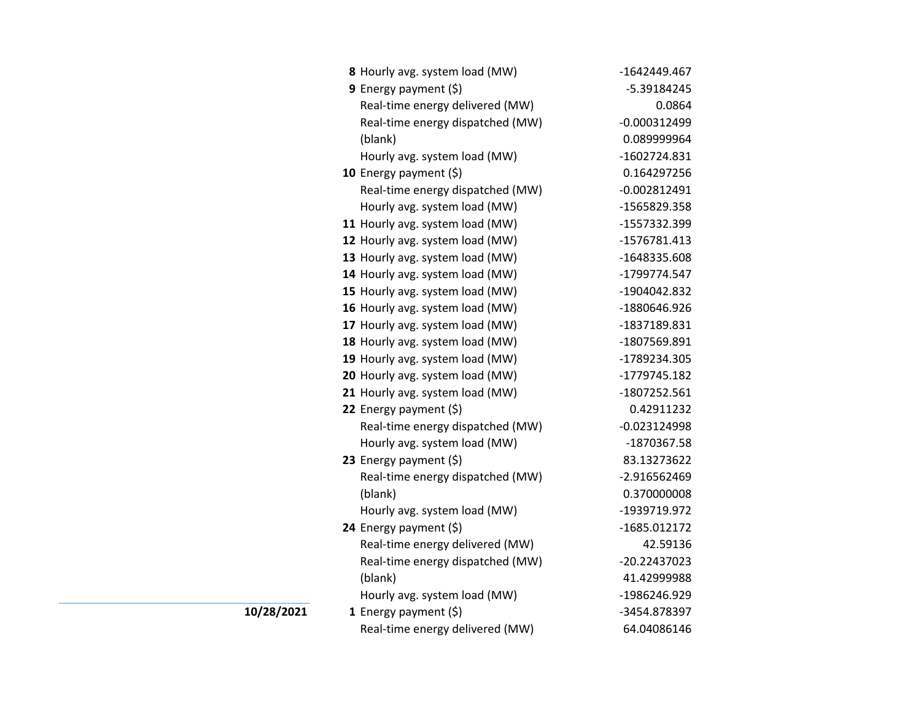|    | 8 Hourly avg. system load (MW)   | -1642449.467   |
|----|----------------------------------|----------------|
|    | 9 Energy payment $(\xi)$         | -5.39184245    |
|    | Real-time energy delivered (MW)  | 0.0864         |
|    | Real-time energy dispatched (MW) | $-0.000312499$ |
|    | (blank)                          | 0.089999964    |
|    | Hourly avg. system load (MW)     | $-1602724.831$ |
|    | 10 Energy payment $(5)$          | 0.164297256    |
|    | Real-time energy dispatched (MW) | $-0.002812491$ |
|    | Hourly avg. system load (MW)     | -1565829.358   |
|    | 11 Hourly avg. system load (MW)  | -1557332.399   |
|    | 12 Hourly avg. system load (MW)  | -1576781.413   |
|    | 13 Hourly avg. system load (MW)  | -1648335.608   |
|    | 14 Hourly avg. system load (MW)  | -1799774.547   |
|    | 15 Hourly avg. system load (MW)  | -1904042.832   |
|    | 16 Hourly avg. system load (MW)  | -1880646.926   |
|    | 17 Hourly avg. system load (MW)  | -1837189.831   |
|    | 18 Hourly avg. system load (MW)  | -1807569.891   |
|    | 19 Hourly avg. system load (MW)  | -1789234.305   |
|    | 20 Hourly avg. system load (MW)  | -1779745.182   |
|    | 21 Hourly avg. system load (MW)  | -1807252.561   |
|    | 22 Energy payment (\$)           | 0.42911232     |
|    | Real-time energy dispatched (MW) | $-0.023124998$ |
|    | Hourly avg. system load (MW)     | -1870367.58    |
|    | 23 Energy payment $(5)$          | 83.13273622    |
|    | Real-time energy dispatched (MW) | -2.916562469   |
|    | (blank)                          | 0.370000008    |
|    | Hourly avg. system load (MW)     | -1939719.972   |
|    | 24 Energy payment (\$)           | -1685.012172   |
|    | Real-time energy delivered (MW)  | 42.59136       |
|    | Real-time energy dispatched (MW) | -20.22437023   |
|    | (blank)                          | 41.42999988    |
|    | Hourly avg. system load (MW)     | -1986246.929   |
| 21 | 1 Energy payment $(5)$           | -3454.878397   |
|    | Real-time energy delivered (MW)  | 64.04086146    |

**10/28/20**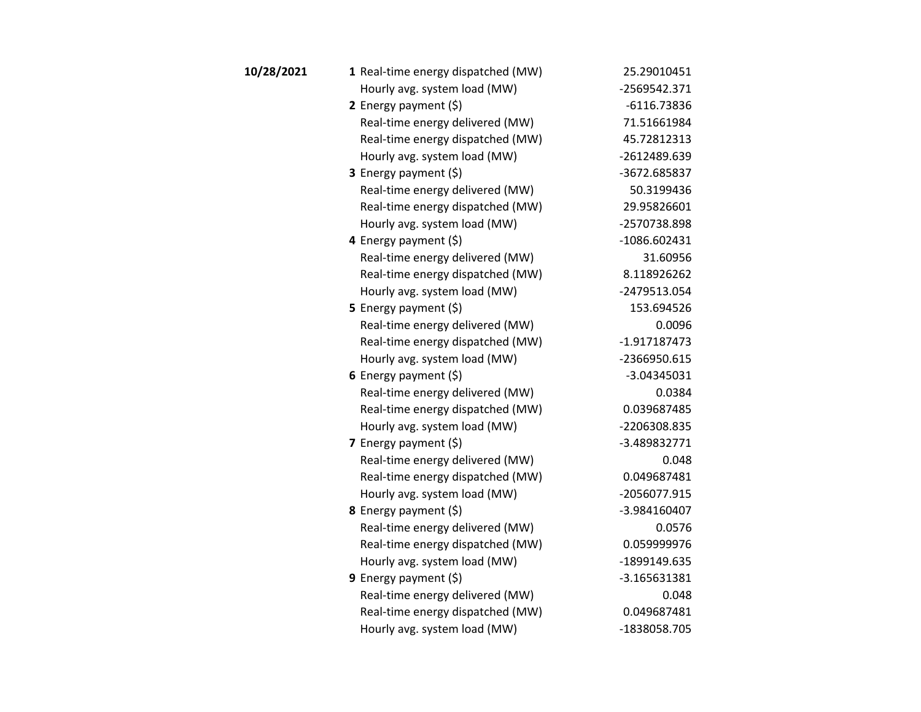| 10/28/2021 | 1 Real-time energy dispatched (MW) | 25.29010451    |
|------------|------------------------------------|----------------|
|            | Hourly avg. system load (MW)       | -2569542.371   |
|            | 2 Energy payment $(5)$             | $-6116.73836$  |
|            | Real-time energy delivered (MW)    | 71.51661984    |
|            | Real-time energy dispatched (MW)   | 45.72812313    |
|            | Hourly avg. system load (MW)       | -2612489.639   |
|            | 3 Energy payment (\$)              | -3672.685837   |
|            | Real-time energy delivered (MW)    | 50.3199436     |
|            | Real-time energy dispatched (MW)   | 29.95826601    |
|            | Hourly avg. system load (MW)       | -2570738.898   |
|            | 4 Energy payment (\$)              | -1086.602431   |
|            | Real-time energy delivered (MW)    | 31.60956       |
|            | Real-time energy dispatched (MW)   | 8.118926262    |
|            | Hourly avg. system load (MW)       | -2479513.054   |
|            | 5 Energy payment $(5)$             | 153.694526     |
|            | Real-time energy delivered (MW)    | 0.0096         |
|            | Real-time energy dispatched (MW)   | $-1.917187473$ |
|            | Hourly avg. system load (MW)       | -2366950.615   |
|            | 6 Energy payment $(\xi)$           | $-3.04345031$  |
|            | Real-time energy delivered (MW)    | 0.0384         |
|            | Real-time energy dispatched (MW)   | 0.039687485    |
|            | Hourly avg. system load (MW)       | -2206308.835   |
|            | <b>7</b> Energy payment $(\xi)$    | $-3.489832771$ |
|            | Real-time energy delivered (MW)    | 0.048          |
|            | Real-time energy dispatched (MW)   | 0.049687481    |
|            | Hourly avg. system load (MW)       | -2056077.915   |
|            | 8 Energy payment (\$)              | -3.984160407   |
|            | Real-time energy delivered (MW)    | 0.0576         |
|            | Real-time energy dispatched (MW)   | 0.059999976    |
|            | Hourly avg. system load (MW)       | -1899149.635   |
|            | 9 Energy payment $(\xi)$           | -3.165631381   |
|            | Real-time energy delivered (MW)    | 0.048          |
|            | Real-time energy dispatched (MW)   | 0.049687481    |
|            | Hourly avg. system load (MW)       | -1838058.705   |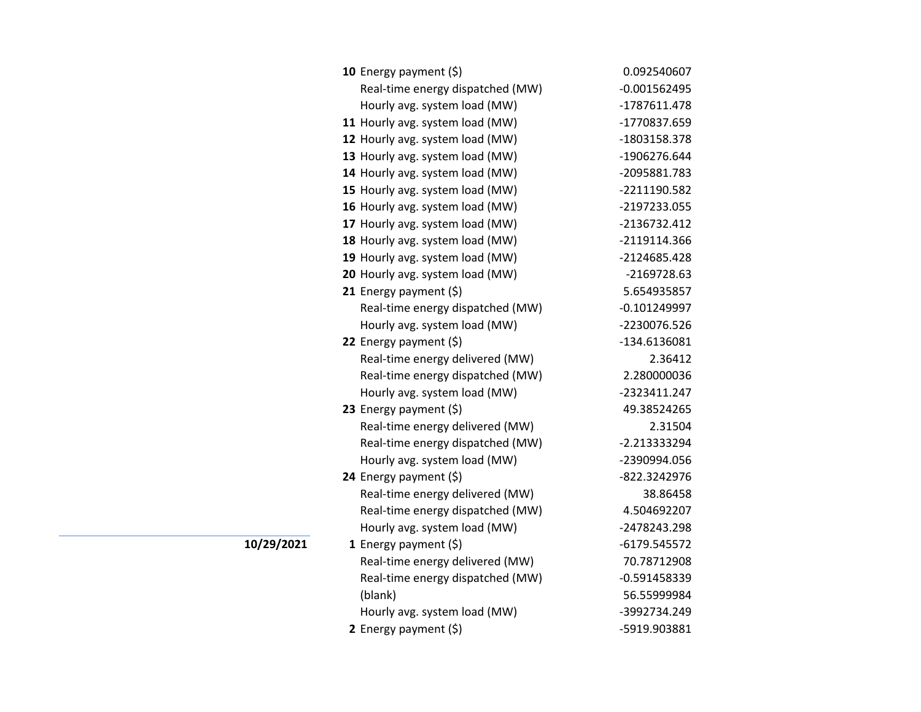| <b>10</b> Energy payment $(\xi)$ | 0.092540607    |
|----------------------------------|----------------|
| Real-time energy dispatched (MW) | $-0.001562495$ |
| Hourly avg. system load (MW)     | -1787611.478   |
| 11 Hourly avg. system load (MW)  | -1770837.659   |
| 12 Hourly avg. system load (MW)  | -1803158.378   |
| 13 Hourly avg. system load (MW)  | -1906276.644   |
| 14 Hourly avg. system load (MW)  | -2095881.783   |
| 15 Hourly avg. system load (MW)  | -2211190.582   |
| 16 Hourly avg. system load (MW)  | -2197233.055   |
| 17 Hourly avg. system load (MW)  | -2136732.412   |
| 18 Hourly avg. system load (MW)  | -2119114.366   |
| 19 Hourly avg. system load (MW)  | -2124685.428   |
| 20 Hourly avg. system load (MW)  | $-2169728.63$  |
| 21 Energy payment (\$)           | 5.654935857    |
| Real-time energy dispatched (MW) | $-0.101249997$ |
| Hourly avg. system load (MW)     | -2230076.526   |
| 22 Energy payment $(\xi)$        | -134.6136081   |
| Real-time energy delivered (MW)  | 2.36412        |
| Real-time energy dispatched (MW) | 2.280000036    |
| Hourly avg. system load (MW)     | -2323411.247   |
| 23 Energy payment (\$)           | 49.38524265    |
| Real-time energy delivered (MW)  | 2.31504        |
| Real-time energy dispatched (MW) | -2.213333294   |
| Hourly avg. system load (MW)     | -2390994.056   |
| 24 Energy payment (\$)           | -822.3242976   |
| Real-time energy delivered (MW)  | 38.86458       |
| Real-time energy dispatched (MW) | 4.504692207    |
| Hourly avg. system load (MW)     | -2478243.298   |
| 1 Energy payment $(\xi)$         | -6179.545572   |
| Real-time energy delivered (MW)  | 70.78712908    |
| Real-time energy dispatched (MW) | $-0.591458339$ |
| (blank)                          | 56.55999984    |
| Hourly avg. system load (MW)     | -3992734.249   |
| 2 Energy payment (\$)            | -5919.903881   |

**10/29/2021**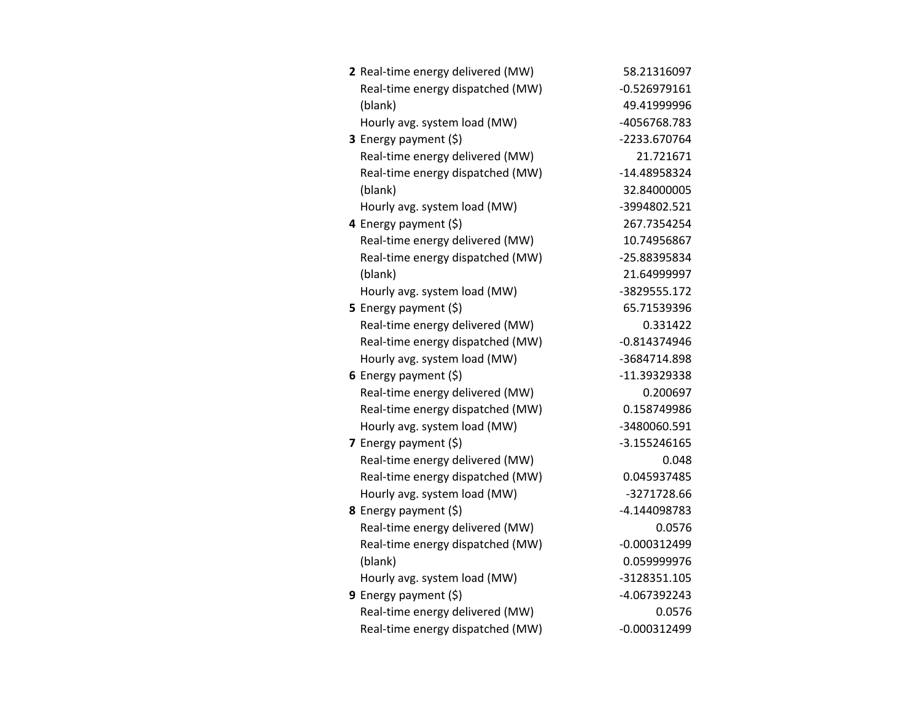| 2 Real-time energy delivered (MW) | 58.21316097    |
|-----------------------------------|----------------|
| Real-time energy dispatched (MW)  | $-0.526979161$ |
| (blank)                           | 49.41999996    |
| Hourly avg. system load (MW)      | -4056768.783   |
| 3 Energy payment (\$)             | -2233.670764   |
| Real-time energy delivered (MW)   | 21.721671      |
| Real-time energy dispatched (MW)  | -14.48958324   |
| (blank)                           | 32.84000005    |
| Hourly avg. system load (MW)      | -3994802.521   |
| 4 Energy payment (\$)             | 267.7354254    |
| Real-time energy delivered (MW)   | 10.74956867    |
| Real-time energy dispatched (MW)  | -25.88395834   |
| (blank)                           | 21.64999997    |
| Hourly avg. system load (MW)      | -3829555.172   |
| 5 Energy payment (\$)             | 65.71539396    |
| Real-time energy delivered (MW)   | 0.331422       |
| Real-time energy dispatched (MW)  | $-0.814374946$ |
| Hourly avg. system load (MW)      | -3684714.898   |
| 6 Energy payment (\$)             | -11.39329338   |
| Real-time energy delivered (MW)   | 0.200697       |
| Real-time energy dispatched (MW)  | 0.158749986    |
| Hourly avg. system load (MW)      | -3480060.591   |
| 7 Energy payment (\$)             | -3.155246165   |
| Real-time energy delivered (MW)   | 0.048          |
| Real-time energy dispatched (MW)  | 0.045937485    |
| Hourly avg. system load (MW)      | -3271728.66    |
| 8 Energy payment (\$)             | -4.144098783   |
| Real-time energy delivered (MW)   | 0.0576         |
| Real-time energy dispatched (MW)  | $-0.000312499$ |
| (blank)                           | 0.059999976    |
| Hourly avg. system load (MW)      | -3128351.105   |
| 9 Energy payment (\$)             | -4.067392243   |
| Real-time energy delivered (MW)   | 0.0576         |
| Real-time energy dispatched (MW)  | $-0.000312499$ |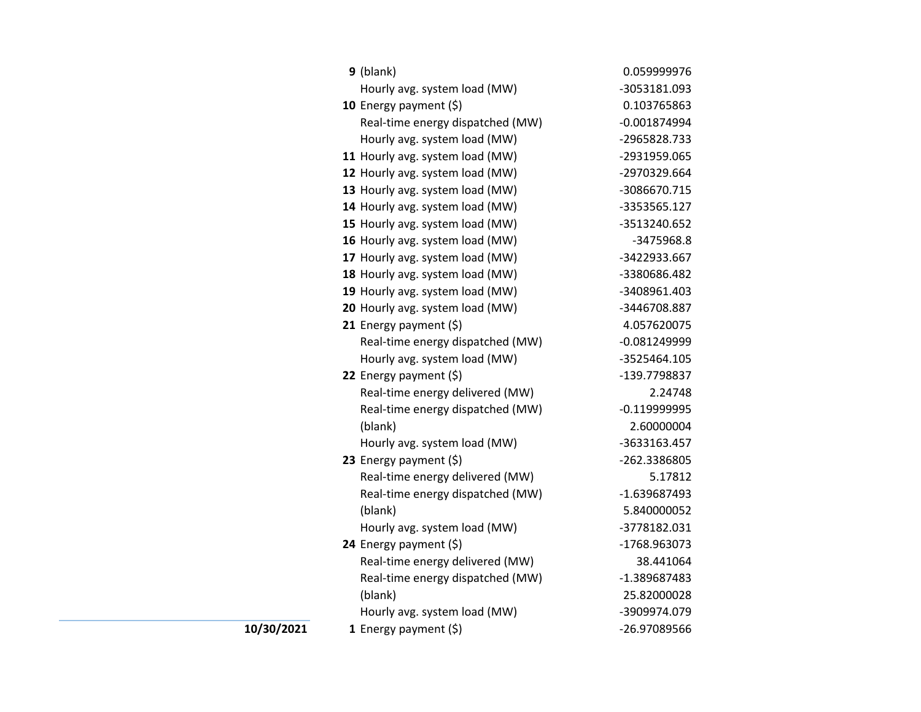| $9$ (blank)                      | 0.059999976    |
|----------------------------------|----------------|
| Hourly avg. system load (MW)     | -3053181.093   |
| 10 Energy payment $(\xi)$        | 0.103765863    |
| Real-time energy dispatched (MW) | $-0.001874994$ |
| Hourly avg. system load (MW)     | -2965828.733   |
| 11 Hourly avg. system load (MW)  | -2931959.065   |
| 12 Hourly avg. system load (MW)  | -2970329.664   |
| 13 Hourly avg. system load (MW)  | -3086670.715   |
| 14 Hourly avg. system load (MW)  | -3353565.127   |
| 15 Hourly avg. system load (MW)  | -3513240.652   |
| 16 Hourly avg. system load (MW)  | -3475968.8     |
| 17 Hourly avg. system load (MW)  | -3422933.667   |
| 18 Hourly avg. system load (MW)  | -3380686.482   |
| 19 Hourly avg. system load (MW)  | -3408961.403   |
| 20 Hourly avg. system load (MW)  | -3446708.887   |
| 21 Energy payment $(\xi)$        | 4.057620075    |
| Real-time energy dispatched (MW) | $-0.081249999$ |
| Hourly avg. system load (MW)     | -3525464.105   |
| 22 Energy payment $(\xi)$        | -139.7798837   |
| Real-time energy delivered (MW)  | 2.24748        |
| Real-time energy dispatched (MW) | $-0.119999995$ |
| (blank)                          | 2.60000004     |
| Hourly avg. system load (MW)     | -3633163.457   |
| 23 Energy payment (\$)           | -262.3386805   |
| Real-time energy delivered (MW)  | 5.17812        |
| Real-time energy dispatched (MW) | $-1.639687493$ |
| (blank)                          | 5.840000052    |
| Hourly avg. system load (MW)     | -3778182.031   |
| 24 Energy payment (\$)           | -1768.963073   |
| Real-time energy delivered (MW)  | 38.441064      |
| Real-time energy dispatched (MW) | -1.389687483   |
| (blank)                          | 25.82000028    |
| Hourly avg. system load (MW)     | -3909974.079   |
| 1 Energy payment $(s)$           | -26.97089566   |

**10/30/2021**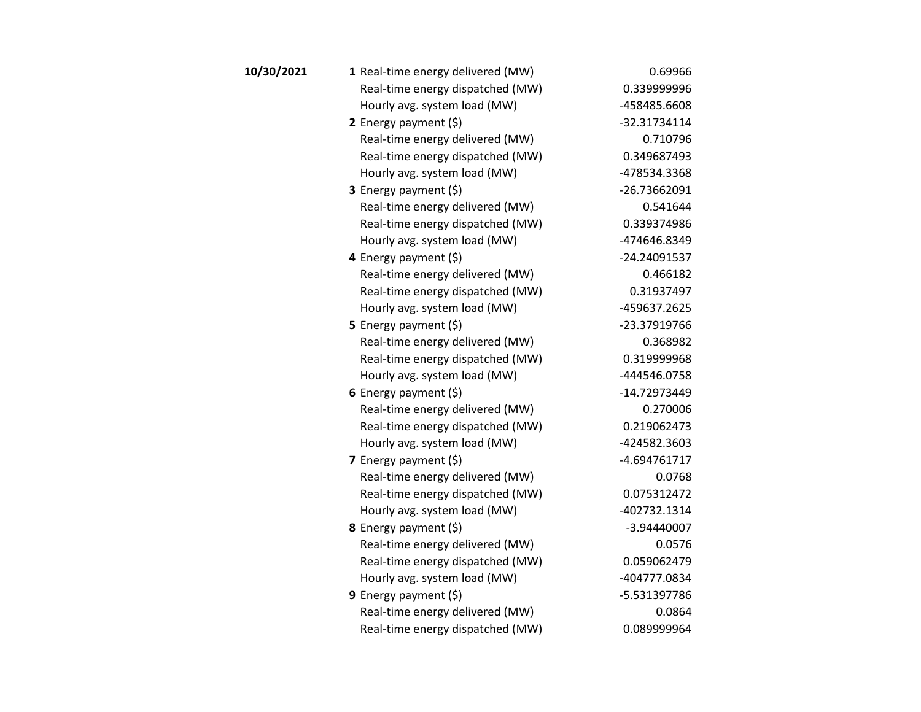| 10/30/2021 | 1 Real-time energy delivered (MW) | 0.69966      |
|------------|-----------------------------------|--------------|
|            | Real-time energy dispatched (MW)  | 0.339999996  |
|            | Hourly avg. system load (MW)      | -458485.6608 |
|            | 2 Energy payment $(5)$            | -32.31734114 |
|            | Real-time energy delivered (MW)   | 0.710796     |
|            | Real-time energy dispatched (MW)  | 0.349687493  |
|            | Hourly avg. system load (MW)      | -478534.3368 |
|            | <b>3</b> Energy payment $(\xi)$   | -26.73662091 |
|            | Real-time energy delivered (MW)   | 0.541644     |
|            | Real-time energy dispatched (MW)  | 0.339374986  |
|            | Hourly avg. system load (MW)      | -474646.8349 |
|            | 4 Energy payment (\$)             | -24.24091537 |
|            | Real-time energy delivered (MW)   | 0.466182     |
|            | Real-time energy dispatched (MW)  | 0.31937497   |
|            | Hourly avg. system load (MW)      | -459637.2625 |
|            | 5 Energy payment $(5)$            | -23.37919766 |
|            | Real-time energy delivered (MW)   | 0.368982     |
|            | Real-time energy dispatched (MW)  | 0.319999968  |
|            | Hourly avg. system load (MW)      | -444546.0758 |
|            | 6 Energy payment $(5)$            | -14.72973449 |
|            | Real-time energy delivered (MW)   | 0.270006     |
|            | Real-time energy dispatched (MW)  | 0.219062473  |
|            | Hourly avg. system load (MW)      | -424582.3603 |
|            | 7 Energy payment $(\xi)$          | -4.694761717 |
|            | Real-time energy delivered (MW)   | 0.0768       |
|            | Real-time energy dispatched (MW)  | 0.075312472  |
|            | Hourly avg. system load (MW)      | -402732.1314 |
|            | <b>8</b> Energy payment $(\xi)$   | -3.94440007  |
|            | Real-time energy delivered (MW)   | 0.0576       |
|            | Real-time energy dispatched (MW)  | 0.059062479  |
|            | Hourly avg. system load (MW)      | -404777.0834 |
|            | 9 Energy payment $(\xi)$          | -5.531397786 |
|            | Real-time energy delivered (MW)   | 0.0864       |
|            | Real-time energy dispatched (MW)  | 0.089999964  |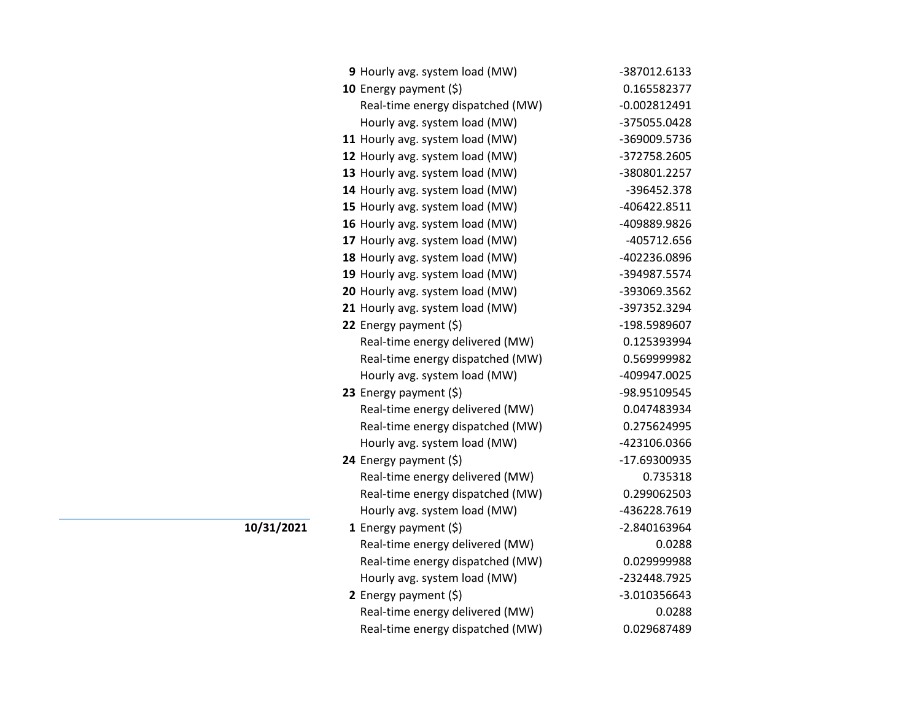| 9 Hourly avg. system load (MW)   | -387012.6133   |
|----------------------------------|----------------|
| 10 Energy payment (\$)           | 0.165582377    |
| Real-time energy dispatched (MW) | $-0.002812491$ |
| Hourly avg. system load (MW)     | -375055.0428   |
| 11 Hourly avg. system load (MW)  | -369009.5736   |
| 12 Hourly avg. system load (MW)  | -372758.2605   |
| 13 Hourly avg. system load (MW)  | -380801.2257   |
| 14 Hourly avg. system load (MW)  | -396452.378    |
| 15 Hourly avg. system load (MW)  | -406422.8511   |
| 16 Hourly avg. system load (MW)  | -409889.9826   |
| 17 Hourly avg. system load (MW)  | -405712.656    |
| 18 Hourly avg. system load (MW)  | -402236.0896   |
| 19 Hourly avg. system load (MW)  | -394987.5574   |
| 20 Hourly avg. system load (MW)  | -393069.3562   |
| 21 Hourly avg. system load (MW)  | -397352.3294   |
| 22 Energy payment (\$)           | -198.5989607   |
| Real-time energy delivered (MW)  | 0.125393994    |
| Real-time energy dispatched (MW) | 0.569999982    |
| Hourly avg. system load (MW)     | -409947.0025   |
| 23 Energy payment (\$)           | -98.95109545   |
| Real-time energy delivered (MW)  | 0.047483934    |
| Real-time energy dispatched (MW) | 0.275624995    |
| Hourly avg. system load (MW)     | -423106.0366   |
| 24 Energy payment (\$)           | -17.69300935   |
| Real-time energy delivered (MW)  | 0.735318       |
| Real-time energy dispatched (MW) | 0.299062503    |
| Hourly avg. system load (MW)     | -436228.7619   |
| 1 Energy payment $(\xi)$         | -2.840163964   |
| Real-time energy delivered (MW)  | 0.0288         |
| Real-time energy dispatched (MW) | 0.029999988    |
| Hourly avg. system load (MW)     | -232448.7925   |
| 2 Energy payment $(\xi)$         | -3.010356643   |
| Real-time energy delivered (MW)  | 0.0288         |
| Real-time energy dispatched (MW) | 0.029687489    |

**10/31/2021**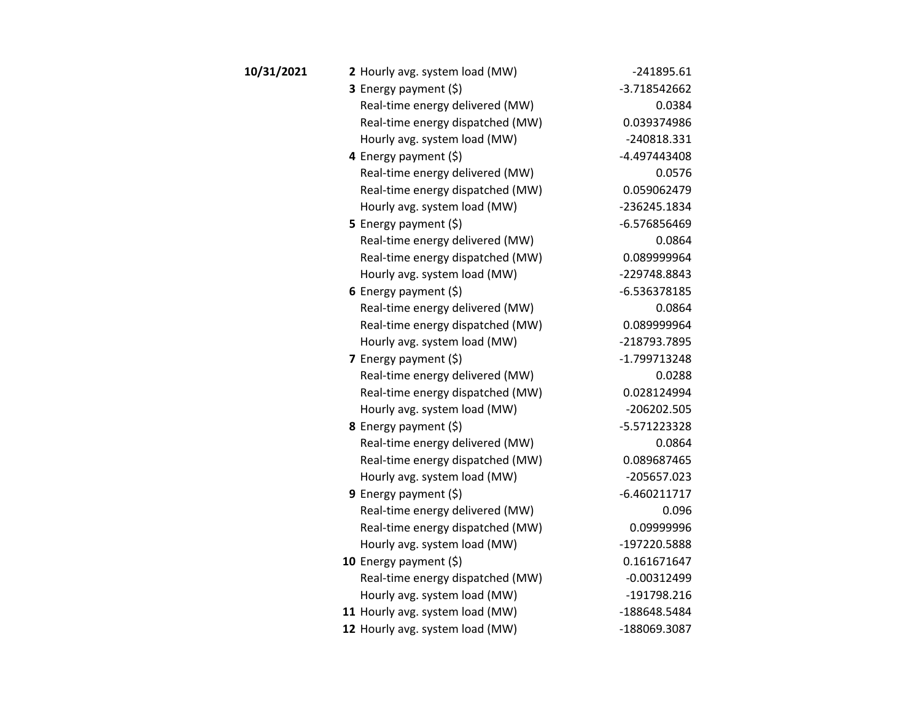| 10/31/2021 | 2 Hourly avg. system load (MW)   | $-241895.61$   |
|------------|----------------------------------|----------------|
|            | <b>3</b> Energy payment $(\xi)$  | -3.718542662   |
|            | Real-time energy delivered (MW)  | 0.0384         |
|            | Real-time energy dispatched (MW) | 0.039374986    |
|            | Hourly avg. system load (MW)     | -240818.331    |
|            | 4 Energy payment (\$)            | -4.497443408   |
|            | Real-time energy delivered (MW)  | 0.0576         |
|            | Real-time energy dispatched (MW) | 0.059062479    |
|            | Hourly avg. system load (MW)     | -236245.1834   |
|            | 5 Energy payment $(5)$           | -6.576856469   |
|            | Real-time energy delivered (MW)  | 0.0864         |
|            | Real-time energy dispatched (MW) | 0.089999964    |
|            | Hourly avg. system load (MW)     | -229748.8843   |
|            | 6 Energy payment $(5)$           | $-6.536378185$ |
|            | Real-time energy delivered (MW)  | 0.0864         |
|            | Real-time energy dispatched (MW) | 0.089999964    |
|            | Hourly avg. system load (MW)     | -218793.7895   |
|            | 7 Energy payment $(5)$           | -1.799713248   |
|            | Real-time energy delivered (MW)  | 0.0288         |
|            | Real-time energy dispatched (MW) | 0.028124994    |
|            | Hourly avg. system load (MW)     | -206202.505    |
|            | 8 Energy payment (\$)            | -5.571223328   |
|            | Real-time energy delivered (MW)  | 0.0864         |
|            | Real-time energy dispatched (MW) | 0.089687465    |
|            | Hourly avg. system load (MW)     | -205657.023    |
|            | 9 Energy payment $(\xi)$         | $-6.460211717$ |
|            | Real-time energy delivered (MW)  | 0.096          |
|            | Real-time energy dispatched (MW) | 0.09999996     |
|            | Hourly avg. system load (MW)     | -197220.5888   |
|            | 10 Energy payment $(5)$          | 0.161671647    |
|            | Real-time energy dispatched (MW) | $-0.00312499$  |
|            | Hourly avg. system load (MW)     | -191798.216    |
|            | 11 Hourly avg. system load (MW)  | -188648.5484   |
|            | 12 Hourly avg. system load (MW)  | -188069.3087   |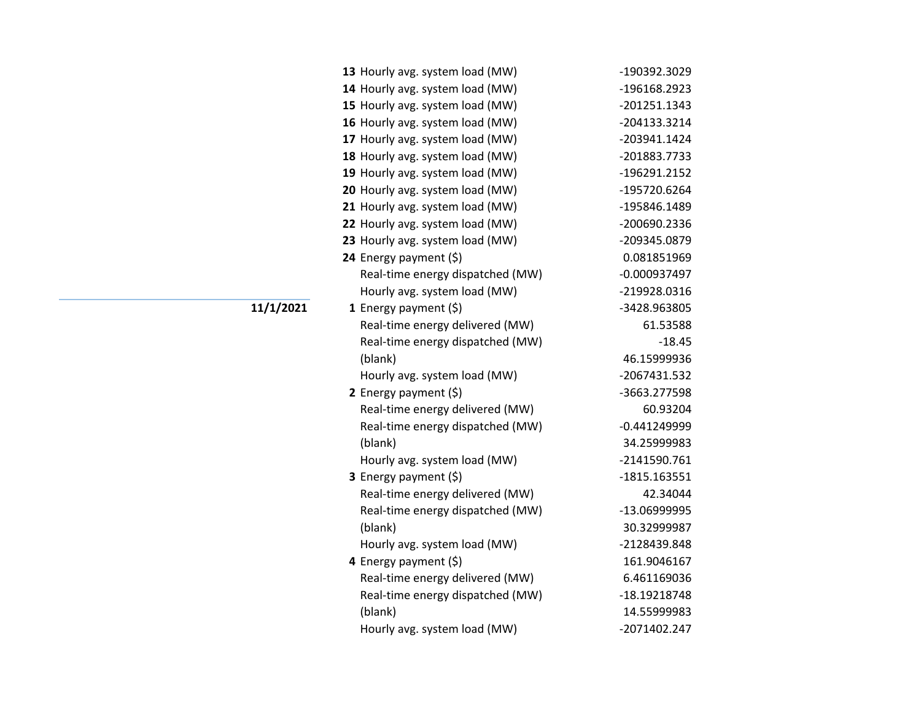| 13 Hourly avg. system load (MW)  | -190392.3029   |
|----------------------------------|----------------|
| 14 Hourly avg. system load (MW)  | -196168.2923   |
| 15 Hourly avg. system load (MW)  | $-201251.1343$ |
| 16 Hourly avg. system load (MW)  | -204133.3214   |
| 17 Hourly avg. system load (MW)  | -203941.1424   |
| 18 Hourly avg. system load (MW)  | -201883.7733   |
| 19 Hourly avg. system load (MW)  | -196291.2152   |
| 20 Hourly avg. system load (MW)  | -195720.6264   |
| 21 Hourly avg. system load (MW)  | -195846.1489   |
| 22 Hourly avg. system load (MW)  | -200690.2336   |
| 23 Hourly avg. system load (MW)  | -209345.0879   |
| 24 Energy payment (\$)           | 0.081851969    |
| Real-time energy dispatched (MW) | $-0.000937497$ |
| Hourly avg. system load (MW)     | -219928.0316   |
| 1 Energy payment $(\xi)$         | -3428.963805   |
| Real-time energy delivered (MW)  | 61.53588       |
| Real-time energy dispatched (MW) | $-18.45$       |
| (blank)                          | 46.15999936    |
| Hourly avg. system load (MW)     | -2067431.532   |
| 2 Energy payment (\$)            | -3663.277598   |
| Real-time energy delivered (MW)  | 60.93204       |
| Real-time energy dispatched (MW) | $-0.441249999$ |
| (blank)                          | 34.25999983    |
| Hourly avg. system load (MW)     | -2141590.761   |
| 3 Energy payment (\$)            | $-1815.163551$ |
| Real-time energy delivered (MW)  | 42.34044       |
| Real-time energy dispatched (MW) | -13.06999995   |
| (blank)                          | 30.32999987    |
| Hourly avg. system load (MW)     | -2128439.848   |
| 4 Energy payment (\$)            | 161.9046167    |
| Real-time energy delivered (MW)  | 6.461169036    |
| Real-time energy dispatched (MW) | -18.19218748   |
| (blank)                          | 14.55999983    |
| Hourly avg. system load (MW)     | -2071402.247   |

**11/1/2021**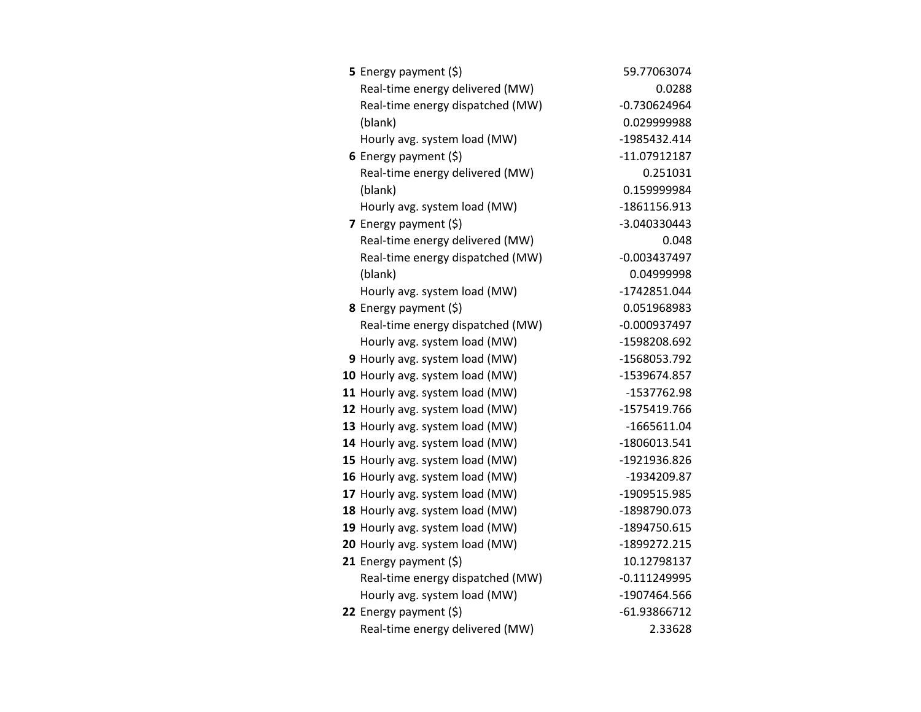| <b>5</b> Energy payment $(\xi)$  | 59.77063074    |
|----------------------------------|----------------|
| Real-time energy delivered (MW)  | 0.0288         |
| Real-time energy dispatched (MW) | $-0.730624964$ |
| (blank)                          | 0.029999988    |
| Hourly avg. system load (MW)     | -1985432.414   |
| 6 Energy payment $(\xi)$         | -11.07912187   |
| Real-time energy delivered (MW)  | 0.251031       |
| (blank)                          | 0.159999984    |
| Hourly avg. system load (MW)     | -1861156.913   |
| 7 Energy payment $(5)$           | -3.040330443   |
| Real-time energy delivered (MW)  | 0.048          |
| Real-time energy dispatched (MW) | $-0.003437497$ |
| (blank)                          | 0.04999998     |
| Hourly avg. system load (MW)     | -1742851.044   |
| 8 Energy payment (\$)            | 0.051968983    |
| Real-time energy dispatched (MW) | $-0.000937497$ |
| Hourly avg. system load (MW)     | -1598208.692   |
| 9 Hourly avg. system load (MW)   | -1568053.792   |
| 10 Hourly avg. system load (MW)  | -1539674.857   |
| 11 Hourly avg. system load (MW)  | -1537762.98    |
| 12 Hourly avg. system load (MW)  | -1575419.766   |
| 13 Hourly avg. system load (MW)  | $-1665611.04$  |
| 14 Hourly avg. system load (MW)  | -1806013.541   |
| 15 Hourly avg. system load (MW)  | -1921936.826   |
| 16 Hourly avg. system load (MW)  | -1934209.87    |
| 17 Hourly avg. system load (MW)  | -1909515.985   |
| 18 Hourly avg. system load (MW)  | -1898790.073   |
| 19 Hourly avg. system load (MW)  | -1894750.615   |
| 20 Hourly avg. system load (MW)  | -1899272.215   |
| 21 Energy payment $(\xi)$        | 10.12798137    |
| Real-time energy dispatched (MW) | $-0.111249995$ |
| Hourly avg. system load (MW)     | -1907464.566   |
| 22 Energy payment (\$)           | -61.93866712   |
| Real-time energy delivered (MW)  | 2.33628        |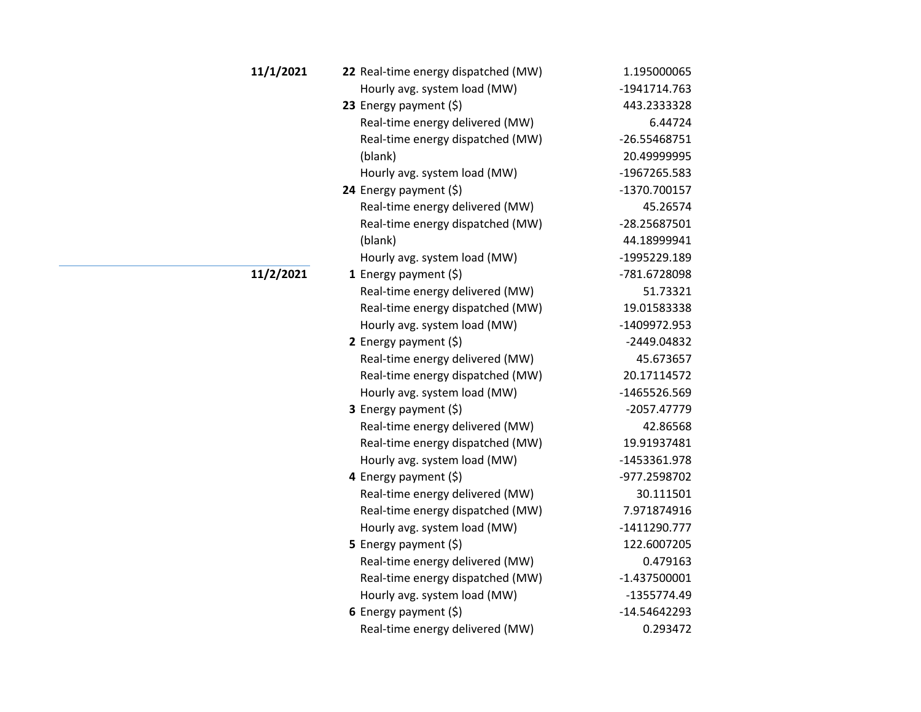| 11/1/2021 | 22 Real-time energy dispatched (MW) | 1.195000065    |
|-----------|-------------------------------------|----------------|
|           | Hourly avg. system load (MW)        | -1941714.763   |
|           | 23 Energy payment (\$)              | 443.2333328    |
|           | Real-time energy delivered (MW)     | 6.44724        |
|           | Real-time energy dispatched (MW)    | -26.55468751   |
|           | (blank)                             | 20.49999995    |
|           | Hourly avg. system load (MW)        | -1967265.583   |
|           | 24 Energy payment (\$)              | -1370.700157   |
|           | Real-time energy delivered (MW)     | 45.26574       |
|           | Real-time energy dispatched (MW)    | -28.25687501   |
|           | (blank)                             | 44.18999941    |
|           | Hourly avg. system load (MW)        | -1995229.189   |
| 11/2/2021 | 1 Energy payment $(\xi)$            | -781.6728098   |
|           | Real-time energy delivered (MW)     | 51.73321       |
|           | Real-time energy dispatched (MW)    | 19.01583338    |
|           | Hourly avg. system load (MW)        | -1409972.953   |
|           | 2 Energy payment $(5)$              | -2449.04832    |
|           | Real-time energy delivered (MW)     | 45.673657      |
|           | Real-time energy dispatched (MW)    | 20.17114572    |
|           | Hourly avg. system load (MW)        | -1465526.569   |
|           | 3 Energy payment (\$)               | -2057.47779    |
|           | Real-time energy delivered (MW)     | 42.86568       |
|           | Real-time energy dispatched (MW)    | 19.91937481    |
|           | Hourly avg. system load (MW)        | -1453361.978   |
|           | 4 Energy payment (\$)               | -977.2598702   |
|           | Real-time energy delivered (MW)     | 30.111501      |
|           | Real-time energy dispatched (MW)    | 7.971874916    |
|           | Hourly avg. system load (MW)        | $-1411290.777$ |
|           | 5 Energy payment $(5)$              | 122.6007205    |
|           | Real-time energy delivered (MW)     | 0.479163       |
|           | Real-time energy dispatched (MW)    | $-1.437500001$ |
|           | Hourly avg. system load (MW)        | -1355774.49    |
|           | 6 Energy payment $(5)$              | $-14.54642293$ |
|           | Real-time energy delivered (MW)     | 0.293472       |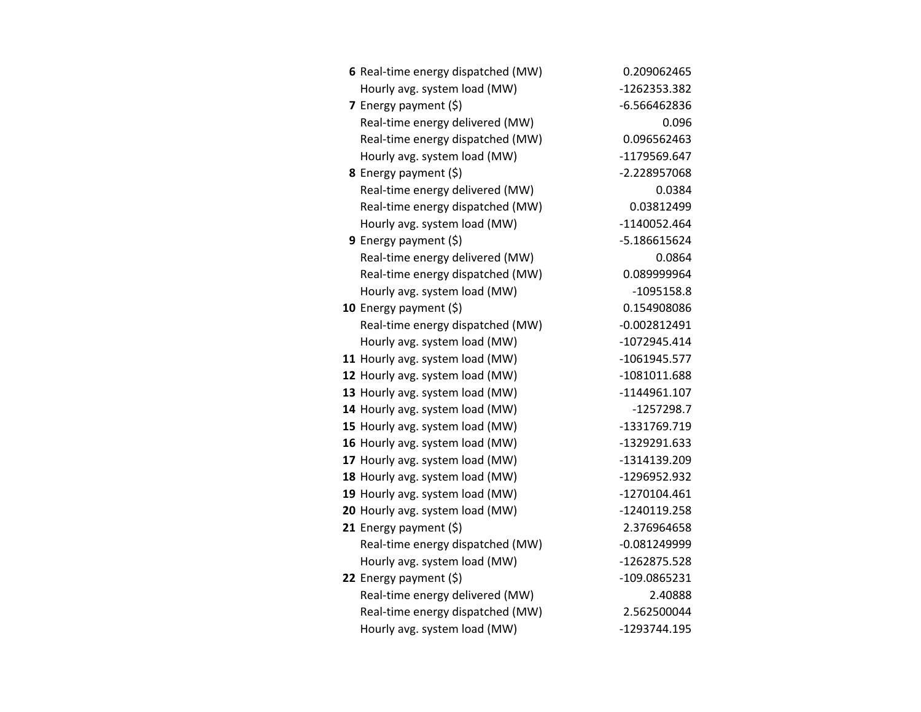| 6 Real-time energy dispatched (MW) | 0.209062465    |
|------------------------------------|----------------|
| Hourly avg. system load (MW)       | -1262353.382   |
| 7 Energy payment (\$)              | $-6.566462836$ |
| Real-time energy delivered (MW)    | 0.096          |
| Real-time energy dispatched (MW)   | 0.096562463    |
| Hourly avg. system load (MW)       | -1179569.647   |
| 8 Energy payment (\$)              | -2.228957068   |
| Real-time energy delivered (MW)    | 0.0384         |
| Real-time energy dispatched (MW)   | 0.03812499     |
| Hourly avg. system load (MW)       | -1140052.464   |
| 9 Energy payment (\$)              | -5.186615624   |
| Real-time energy delivered (MW)    | 0.0864         |
| Real-time energy dispatched (MW)   | 0.089999964    |
| Hourly avg. system load (MW)       | $-1095158.8$   |
| 10 Energy payment $(\xi)$          | 0.154908086    |
| Real-time energy dispatched (MW)   | $-0.002812491$ |
| Hourly avg. system load (MW)       | $-1072945.414$ |
| 11 Hourly avg. system load (MW)    | -1061945.577   |
| 12 Hourly avg. system load (MW)    | -1081011.688   |
| 13 Hourly avg. system load (MW)    | -1144961.107   |
| 14 Hourly avg. system load (MW)    | $-1257298.7$   |
| 15 Hourly avg. system load (MW)    | -1331769.719   |
| 16 Hourly avg. system load (MW)    | -1329291.633   |
| 17 Hourly avg. system load (MW)    | -1314139.209   |
| 18 Hourly avg. system load (MW)    | -1296952.932   |
| 19 Hourly avg. system load (MW)    | -1270104.461   |
| 20 Hourly avg. system load (MW)    | -1240119.258   |
| 21 Energy payment $(\xi)$          | 2.376964658    |
| Real-time energy dispatched (MW)   | $-0.081249999$ |
| Hourly avg. system load (MW)       | -1262875.528   |
| 22 Energy payment (\$)             | -109.0865231   |
| Real-time energy delivered (MW)    | 2.40888        |
| Real-time energy dispatched (MW)   | 2.562500044    |
| Hourly avg. system load (MW)       | -1293744.195   |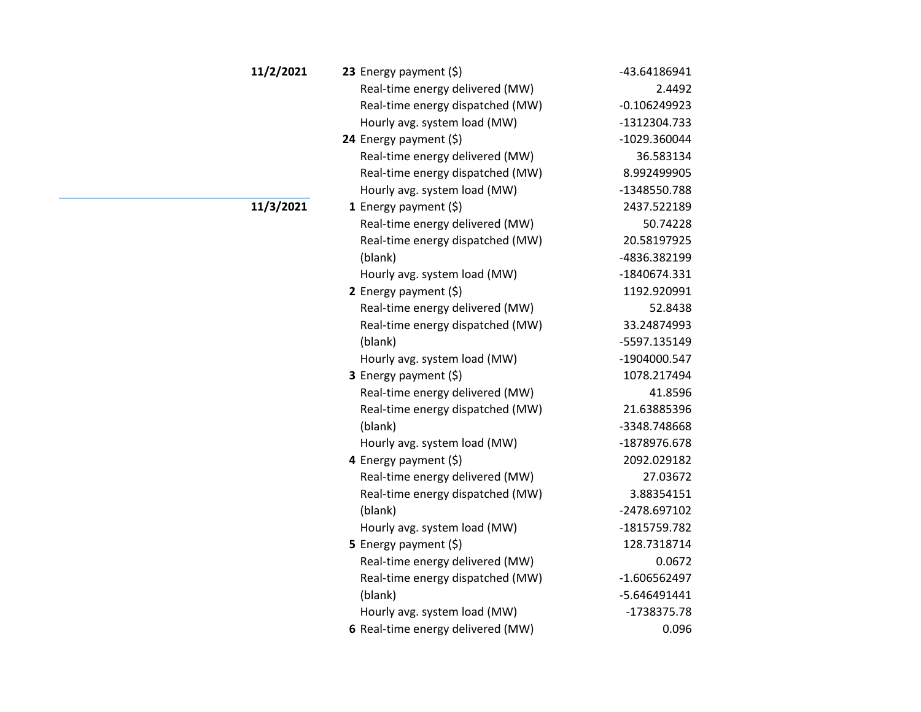| 11/2/2021 | 23 Energy payment $(\xi)$         | -43.64186941   |
|-----------|-----------------------------------|----------------|
|           | Real-time energy delivered (MW)   | 2.4492         |
|           | Real-time energy dispatched (MW)  | $-0.106249923$ |
|           | Hourly avg. system load (MW)      | -1312304.733   |
|           | 24 Energy payment (\$)            | -1029.360044   |
|           | Real-time energy delivered (MW)   | 36.583134      |
|           | Real-time energy dispatched (MW)  | 8.992499905    |
|           | Hourly avg. system load (MW)      | -1348550.788   |
| 11/3/2021 | 1 Energy payment $(\$)$           | 2437.522189    |
|           | Real-time energy delivered (MW)   | 50.74228       |
|           | Real-time energy dispatched (MW)  | 20.58197925    |
|           | (blank)                           | -4836.382199   |
|           | Hourly avg. system load (MW)      | -1840674.331   |
|           | 2 Energy payment $(5)$            | 1192.920991    |
|           | Real-time energy delivered (MW)   | 52.8438        |
|           | Real-time energy dispatched (MW)  | 33.24874993    |
|           | (blank)                           | -5597.135149   |
|           | Hourly avg. system load (MW)      | -1904000.547   |
|           | 3 Energy payment (\$)             | 1078.217494    |
|           | Real-time energy delivered (MW)   | 41.8596        |
|           | Real-time energy dispatched (MW)  | 21.63885396    |
|           | (blank)                           | -3348.748668   |
|           | Hourly avg. system load (MW)      | -1878976.678   |
|           | 4 Energy payment (\$)             | 2092.029182    |
|           | Real-time energy delivered (MW)   | 27.03672       |
|           | Real-time energy dispatched (MW)  | 3.88354151     |
|           | (blank)                           | -2478.697102   |
|           | Hourly avg. system load (MW)      | -1815759.782   |
|           | 5 Energy payment (\$)             | 128.7318714    |
|           | Real-time energy delivered (MW)   | 0.0672         |
|           | Real-time energy dispatched (MW)  | $-1.606562497$ |
|           | (blank)                           | $-5.646491441$ |
|           | Hourly avg. system load (MW)      | -1738375.78    |
|           | 6 Real-time energy delivered (MW) | 0.096          |
|           |                                   |                |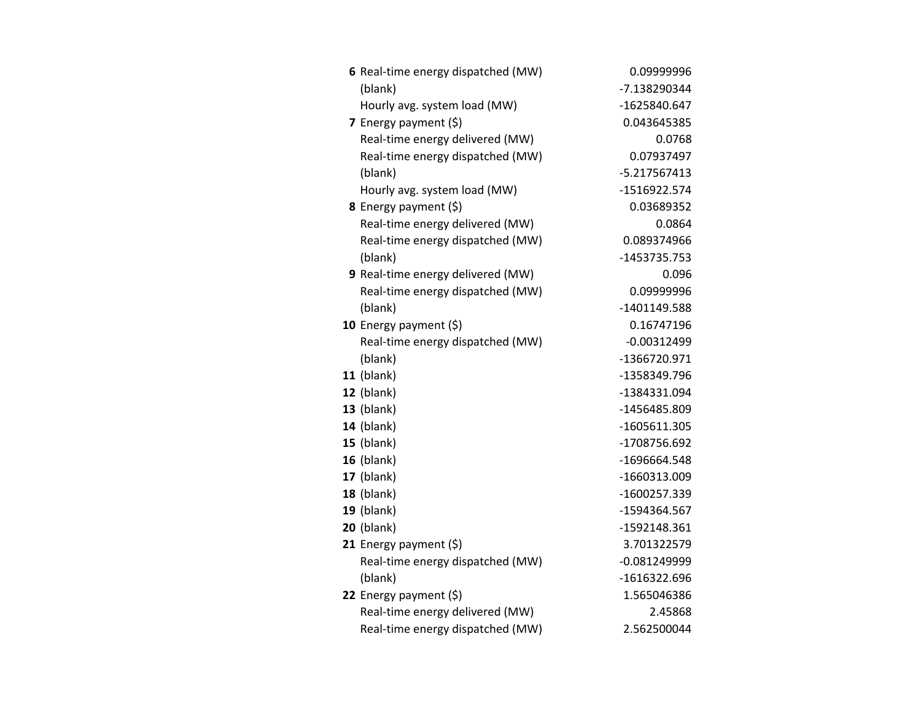| 6 Real-time energy dispatched (MW) | 0.09999996     |
|------------------------------------|----------------|
| (blank)                            | -7.138290344   |
| Hourly avg. system load (MW)       | -1625840.647   |
| 7 Energy payment (\$)              | 0.043645385    |
| Real-time energy delivered (MW)    | 0.0768         |
| Real-time energy dispatched (MW)   | 0.07937497     |
| (blank)                            | -5.217567413   |
| Hourly avg. system load (MW)       | -1516922.574   |
| 8 Energy payment (\$)              | 0.03689352     |
| Real-time energy delivered (MW)    | 0.0864         |
| Real-time energy dispatched (MW)   | 0.089374966    |
| (blank)                            | -1453735.753   |
| 9 Real-time energy delivered (MW)  | 0.096          |
| Real-time energy dispatched (MW)   | 0.09999996     |
| (blank)                            | -1401149.588   |
| 10 Energy payment $(\xi)$          | 0.16747196     |
| Real-time energy dispatched (MW)   | $-0.00312499$  |
| (blank)                            | -1366720.971   |
| $11$ (blank)                       | -1358349.796   |
| 12 (blank)                         | -1384331.094   |
| $13$ (blank)                       | -1456485.809   |
| <b>14</b> (blank)                  | -1605611.305   |
| $15$ (blank)                       | -1708756.692   |
| $16$ (blank)                       | -1696664.548   |
| 17 (blank)                         | -1660313.009   |
| <b>18 (blank)</b>                  | -1600257.339   |
| $19$ (blank)                       | -1594364.567   |
| <b>20</b> (blank)                  | -1592148.361   |
| 21 Energy payment (\$)             | 3.701322579    |
| Real-time energy dispatched (MW)   | $-0.081249999$ |
| (blank)                            | -1616322.696   |
| 22 Energy payment $(\xi)$          | 1.565046386    |
| Real-time energy delivered (MW)    | 2.45868        |
| Real-time energy dispatched (MW)   | 2.562500044    |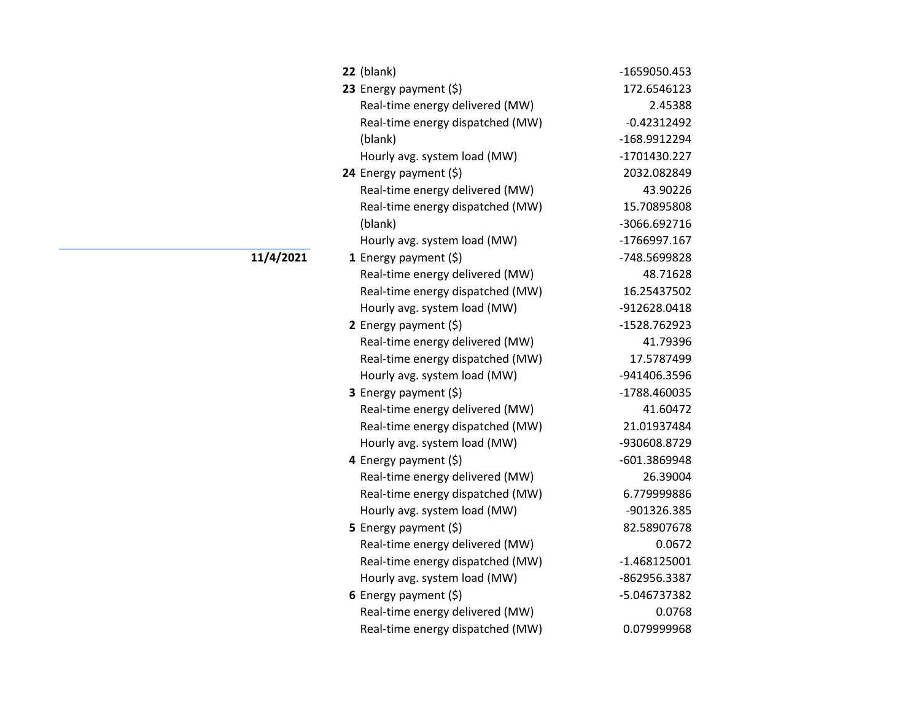| $22$ (blank)                     | -1659050.453   |
|----------------------------------|----------------|
| 23 Energy payment (\$)           | 172.6546123    |
| Real-time energy delivered (MW)  | 2.45388        |
| Real-time energy dispatched (MW) | $-0.42312492$  |
| (blank)                          | -168.9912294   |
| Hourly avg. system load (MW)     | -1701430.227   |
| 24 Energy payment (\$)           | 2032.082849    |
| Real-time energy delivered (MW)  | 43.90226       |
| Real-time energy dispatched (MW) | 15.70895808    |
| (blank)                          | -3066.692716   |
| Hourly avg. system load (MW)     | -1766997.167   |
| 1 Energy payment $(\xi)$         | -748.5699828   |
| Real-time energy delivered (MW)  | 48.71628       |
| Real-time energy dispatched (MW) | 16.25437502    |
| Hourly avg. system load (MW)     | -912628.0418   |
| 2 Energy payment (\$)            | -1528.762923   |
| Real-time energy delivered (MW)  | 41.79396       |
| Real-time energy dispatched (MW) | 17.5787499     |
| Hourly avg. system load (MW)     | -941406.3596   |
| 3 Energy payment (\$)            | -1788.460035   |
| Real-time energy delivered (MW)  | 41.60472       |
| Real-time energy dispatched (MW) | 21.01937484    |
| Hourly avg. system load (MW)     | -930608.8729   |
| 4 Energy payment (\$)            | -601.3869948   |
| Real-time energy delivered (MW)  | 26.39004       |
| Real-time energy dispatched (MW) | 6.779999886    |
| Hourly avg. system load (MW)     | -901326.385    |
| 5 Energy payment (\$)            | 82.58907678    |
| Real-time energy delivered (MW)  | 0.0672         |
| Real-time energy dispatched (MW) | $-1.468125001$ |
| Hourly avg. system load (MW)     | -862956.3387   |
| 6 Energy payment $(\xi)$         | -5.046737382   |
| Real-time energy delivered (MW)  | 0.0768         |
| Real-time energy dispatched (MW) | 0.079999968    |

**11/4/2021**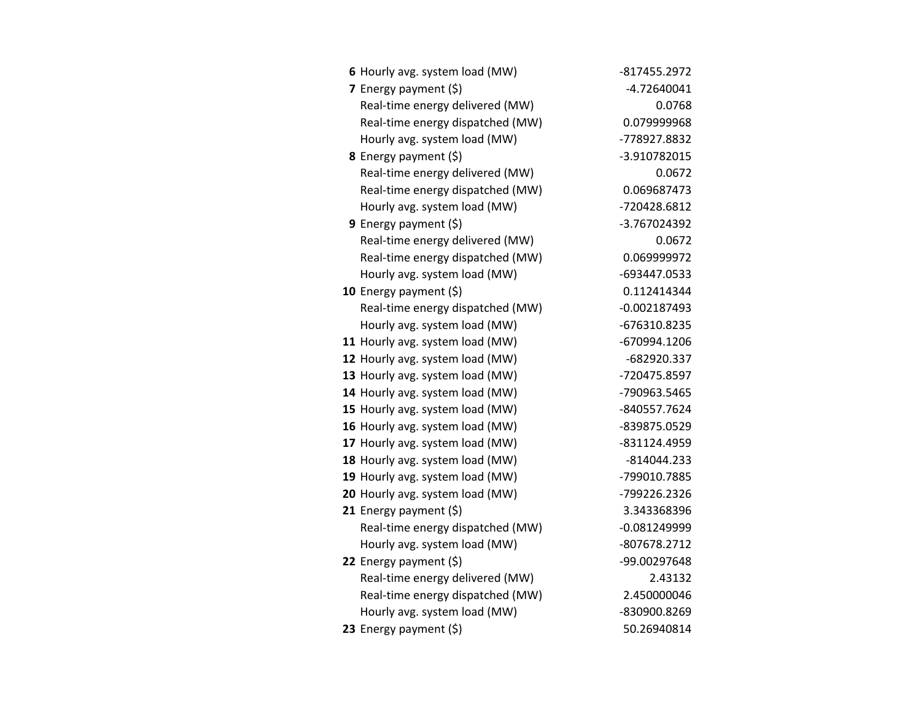| 6 Hourly avg. system load (MW)   | -817455.2972   |
|----------------------------------|----------------|
| 7 Energy payment $(\xi)$         | $-4.72640041$  |
| Real-time energy delivered (MW)  | 0.0768         |
| Real-time energy dispatched (MW) | 0.079999968    |
| Hourly avg. system load (MW)     | -778927.8832   |
| 8 Energy payment (\$)            | -3.910782015   |
| Real-time energy delivered (MW)  | 0.0672         |
| Real-time energy dispatched (MW) | 0.069687473    |
| Hourly avg. system load (MW)     | -720428.6812   |
| 9 Energy payment $(5)$           | -3.767024392   |
| Real-time energy delivered (MW)  | 0.0672         |
| Real-time energy dispatched (MW) | 0.069999972    |
| Hourly avg. system load (MW)     | -693447.0533   |
| 10 Energy payment $(\xi)$        | 0.112414344    |
| Real-time energy dispatched (MW) | $-0.002187493$ |
| Hourly avg. system load (MW)     | -676310.8235   |
| 11 Hourly avg. system load (MW)  | -670994.1206   |
| 12 Hourly avg. system load (MW)  | -682920.337    |
| 13 Hourly avg. system load (MW)  | -720475.8597   |
| 14 Hourly avg. system load (MW)  | -790963.5465   |
| 15 Hourly avg. system load (MW)  | -840557.7624   |
| 16 Hourly avg. system load (MW)  | -839875.0529   |
| 17 Hourly avg. system load (MW)  | -831124.4959   |
| 18 Hourly avg. system load (MW)  | $-814044.233$  |
| 19 Hourly avg. system load (MW)  | -799010.7885   |
| 20 Hourly avg. system load (MW)  | -799226.2326   |
| 21 Energy payment $(\xi)$        | 3.343368396    |
| Real-time energy dispatched (MW) | $-0.081249999$ |
| Hourly avg. system load (MW)     | -807678.2712   |
| 22 Energy payment (\$)           | -99.00297648   |
| Real-time energy delivered (MW)  | 2.43132        |
| Real-time energy dispatched (MW) | 2.450000046    |
| Hourly avg. system load (MW)     | -830900.8269   |
| 23 Energy payment (\$)           | 50.26940814    |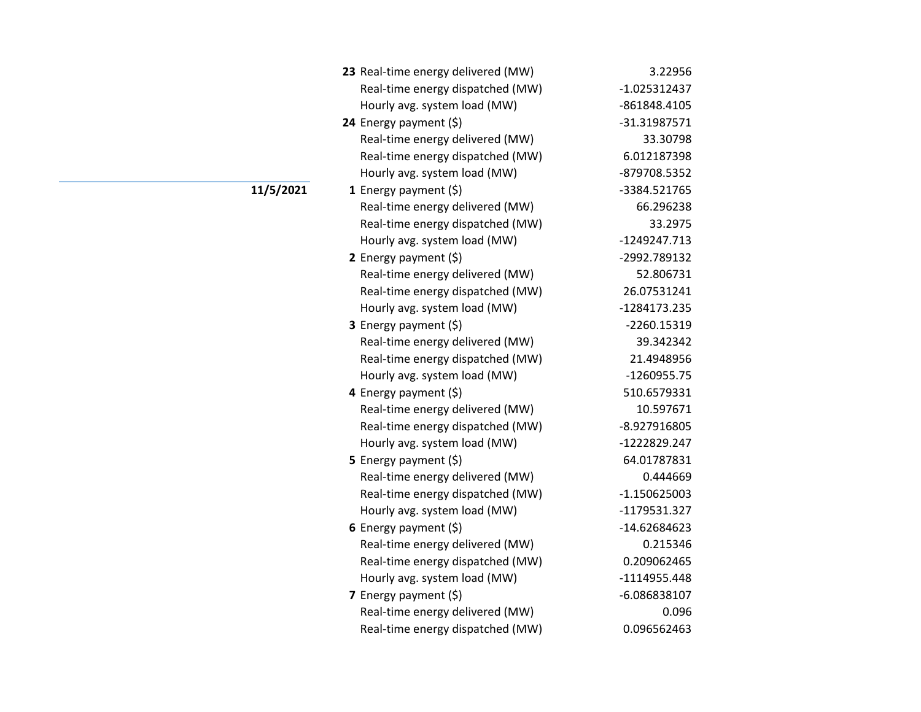| 23 Real-time energy delivered (MW) | 3.22956        |
|------------------------------------|----------------|
| Real-time energy dispatched (MW)   | $-1.025312437$ |
| Hourly avg. system load (MW)       | -861848.4105   |
| 24 Energy payment (\$)             | $-31.31987571$ |
| Real-time energy delivered (MW)    | 33.30798       |
| Real-time energy dispatched (MW)   | 6.012187398    |
| Hourly avg. system load (MW)       | -879708.5352   |
| 1 Energy payment $(\xi)$           | -3384.521765   |
| Real-time energy delivered (MW)    | 66.296238      |
| Real-time energy dispatched (MW)   | 33.2975        |
| Hourly avg. system load (MW)       | -1249247.713   |
| 2 Energy payment (\$)              | -2992.789132   |
| Real-time energy delivered (MW)    | 52.806731      |
| Real-time energy dispatched (MW)   | 26.07531241    |
| Hourly avg. system load (MW)       | -1284173.235   |
| 3 Energy payment (\$)              | -2260.15319    |
| Real-time energy delivered (MW)    | 39.342342      |
| Real-time energy dispatched (MW)   | 21.4948956     |
| Hourly avg. system load (MW)       | $-1260955.75$  |
| 4 Energy payment $(\xi)$           | 510.6579331    |
| Real-time energy delivered (MW)    | 10.597671      |
| Real-time energy dispatched (MW)   | -8.927916805   |
| Hourly avg. system load (MW)       | -1222829.247   |
| <b>5</b> Energy payment $(\xi)$    | 64.01787831    |
| Real-time energy delivered (MW)    | 0.444669       |
| Real-time energy dispatched (MW)   | $-1.150625003$ |
| Hourly avg. system load (MW)       | -1179531.327   |
| 6 Energy payment $(5)$             | -14.62684623   |
| Real-time energy delivered (MW)    | 0.215346       |
| Real-time energy dispatched (MW)   | 0.209062465    |
| Hourly avg. system load (MW)       | -1114955.448   |
| 7 Energy payment (\$)              | -6.086838107   |
| Real-time energy delivered (MW)    | 0.096          |
| Real-time energy dispatched (MW)   | 0.096562463    |

**11/5/2021**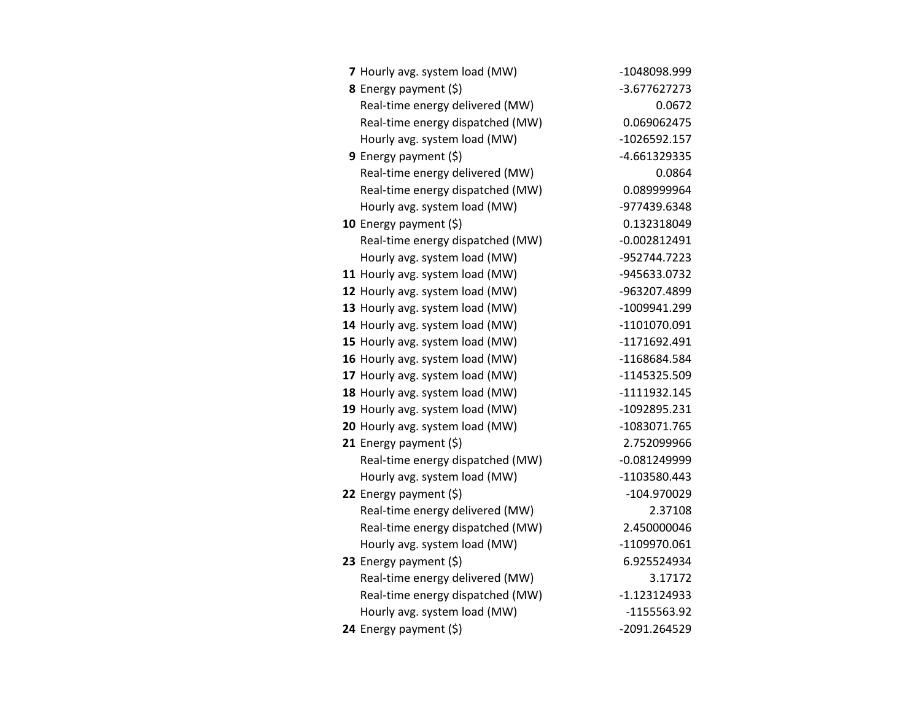| 7 Hourly avg. system load (MW)   | -1048098.999   |
|----------------------------------|----------------|
| 8 Energy payment (\$)            | -3.677627273   |
| Real-time energy delivered (MW)  | 0.0672         |
| Real-time energy dispatched (MW) | 0.069062475    |
| Hourly avg. system load (MW)     | $-1026592.157$ |
| 9 Energy payment $(\xi)$         | -4.661329335   |
| Real-time energy delivered (MW)  | 0.0864         |
| Real-time energy dispatched (MW) | 0.089999964    |
| Hourly avg. system load (MW)     | -977439.6348   |
| 10 Energy payment (\$)           | 0.132318049    |
| Real-time energy dispatched (MW) | $-0.002812491$ |
| Hourly avg. system load (MW)     | -952744.7223   |
| 11 Hourly avg. system load (MW)  | -945633.0732   |
| 12 Hourly avg. system load (MW)  | -963207.4899   |
| 13 Hourly avg. system load (MW)  | -1009941.299   |
| 14 Hourly avg. system load (MW)  | -1101070.091   |
| 15 Hourly avg. system load (MW)  | -1171692.491   |
| 16 Hourly avg. system load (MW)  | -1168684.584   |
| 17 Hourly avg. system load (MW)  | -1145325.509   |
| 18 Hourly avg. system load (MW)  | -1111932.145   |
| 19 Hourly avg. system load (MW)  | -1092895.231   |
| 20 Hourly avg. system load (MW)  | -1083071.765   |
| 21 Energy payment $(\xi)$        | 2.752099966    |
| Real-time energy dispatched (MW) | $-0.081249999$ |
| Hourly avg. system load (MW)     | -1103580.443   |
| 22 Energy payment (\$)           | -104.970029    |
| Real-time energy delivered (MW)  | 2.37108        |
| Real-time energy dispatched (MW) | 2.450000046    |
| Hourly avg. system load (MW)     | -1109970.061   |
| 23 Energy payment $(\xi)$        | 6.925524934    |
| Real-time energy delivered (MW)  | 3.17172        |
| Real-time energy dispatched (MW) | -1.123124933   |
| Hourly avg. system load (MW)     | $-1155563.92$  |
| 24 Energy payment (\$)           | -2091.264529   |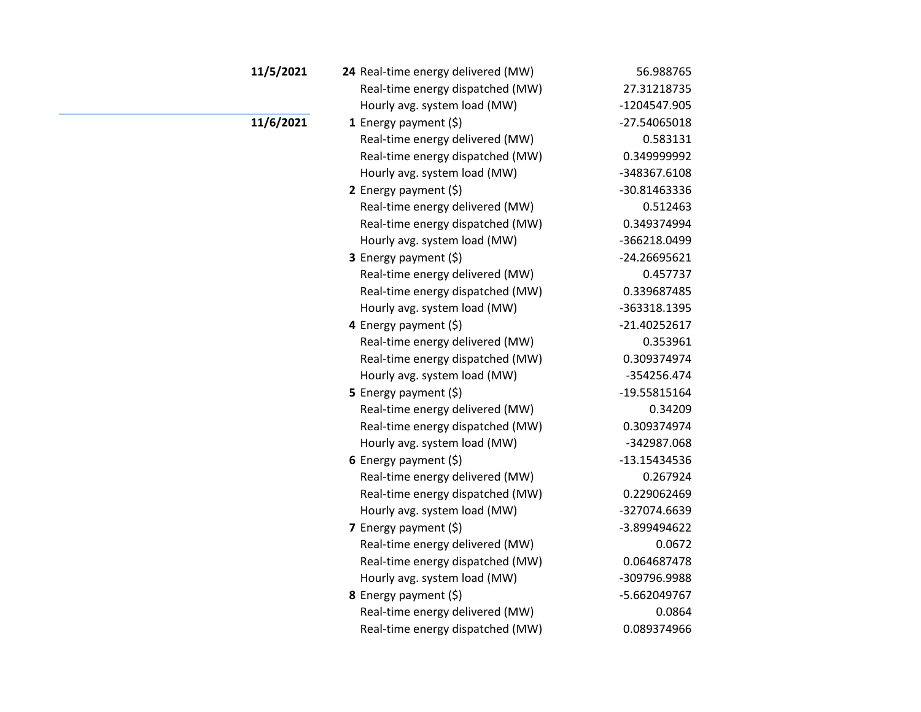| 11/5/2021 | 24 Real-time energy delivered (MW) | 56.988765      |
|-----------|------------------------------------|----------------|
|           | Real-time energy dispatched (MW)   | 27.31218735    |
|           | Hourly avg. system load (MW)       | -1204547.905   |
| 11/6/2021 | 1 Energy payment $(5)$             | -27.54065018   |
|           | Real-time energy delivered (MW)    | 0.583131       |
|           | Real-time energy dispatched (MW)   | 0.349999992    |
|           | Hourly avg. system load (MW)       | -348367.6108   |
|           | 2 Energy payment $(\xi)$           | -30.81463336   |
|           | Real-time energy delivered (MW)    | 0.512463       |
|           | Real-time energy dispatched (MW)   | 0.349374994    |
|           | Hourly avg. system load (MW)       | -366218.0499   |
|           | 3 Energy payment (\$)              | -24.26695621   |
|           | Real-time energy delivered (MW)    | 0.457737       |
|           | Real-time energy dispatched (MW)   | 0.339687485    |
|           | Hourly avg. system load (MW)       | -363318.1395   |
|           | 4 Energy payment (\$)              | $-21.40252617$ |
|           | Real-time energy delivered (MW)    | 0.353961       |
|           | Real-time energy dispatched (MW)   | 0.309374974    |
|           | Hourly avg. system load (MW)       | -354256.474    |
|           | 5 Energy payment $(5)$             | -19.55815164   |
|           | Real-time energy delivered (MW)    | 0.34209        |
|           | Real-time energy dispatched (MW)   | 0.309374974    |
|           | Hourly avg. system load (MW)       | -342987.068    |
|           | 6 Energy payment $(5)$             | -13.15434536   |
|           | Real-time energy delivered (MW)    | 0.267924       |
|           | Real-time energy dispatched (MW)   | 0.229062469    |
|           | Hourly avg. system load (MW)       | -327074.6639   |
|           | 7 Energy payment $(\xi)$           | -3.899494622   |
|           | Real-time energy delivered (MW)    | 0.0672         |
|           | Real-time energy dispatched (MW)   | 0.064687478    |
|           | Hourly avg. system load (MW)       | -309796.9988   |
|           | 8 Energy payment (\$)              | -5.662049767   |
|           | Real-time energy delivered (MW)    | 0.0864         |
|           | Real-time energy dispatched (MW)   | 0.089374966    |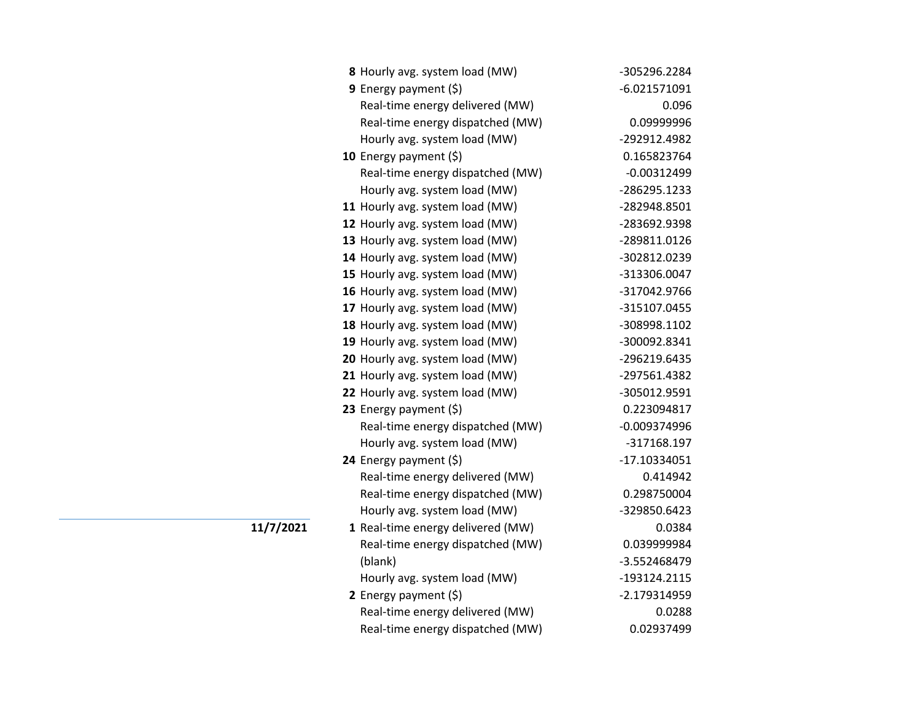| 8 Hourly avg. system load (MW)    | -305296.2284   |
|-----------------------------------|----------------|
| 9 Energy payment $(\xi)$          | $-6.021571091$ |
| Real-time energy delivered (MW)   | 0.096          |
| Real-time energy dispatched (MW)  | 0.09999996     |
| Hourly avg. system load (MW)      | -292912.4982   |
| 10 Energy payment (\$)            | 0.165823764    |
| Real-time energy dispatched (MW)  | $-0.00312499$  |
| Hourly avg. system load (MW)      | -286295.1233   |
| 11 Hourly avg. system load (MW)   | -282948.8501   |
| 12 Hourly avg. system load (MW)   | -283692.9398   |
| 13 Hourly avg. system load (MW)   | -289811.0126   |
| 14 Hourly avg. system load (MW)   | -302812.0239   |
| 15 Hourly avg. system load (MW)   | -313306.0047   |
| 16 Hourly avg. system load (MW)   | -317042.9766   |
| 17 Hourly avg. system load (MW)   | -315107.0455   |
| 18 Hourly avg. system load (MW)   | -308998.1102   |
| 19 Hourly avg. system load (MW)   | -300092.8341   |
| 20 Hourly avg. system load (MW)   | -296219.6435   |
| 21 Hourly avg. system load (MW)   | -297561.4382   |
| 22 Hourly avg. system load (MW)   | -305012.9591   |
| 23 Energy payment (\$)            | 0.223094817    |
| Real-time energy dispatched (MW)  | $-0.009374996$ |
| Hourly avg. system load (MW)      | -317168.197    |
| 24 Energy payment (\$)            | $-17.10334051$ |
| Real-time energy delivered (MW)   | 0.414942       |
| Real-time energy dispatched (MW)  | 0.298750004    |
| Hourly avg. system load (MW)      | -329850.6423   |
| 1 Real-time energy delivered (MW) | 0.0384         |
| Real-time energy dispatched (MW)  | 0.039999984    |
| (blank)                           | -3.552468479   |
| Hourly avg. system load (MW)      | -193124.2115   |
| 2 Energy payment (\$)             | $-2.179314959$ |
| Real-time energy delivered (MW)   | 0.0288         |
| Real-time energy dispatched (MW)  | 0.02937499     |

**11/7/2021**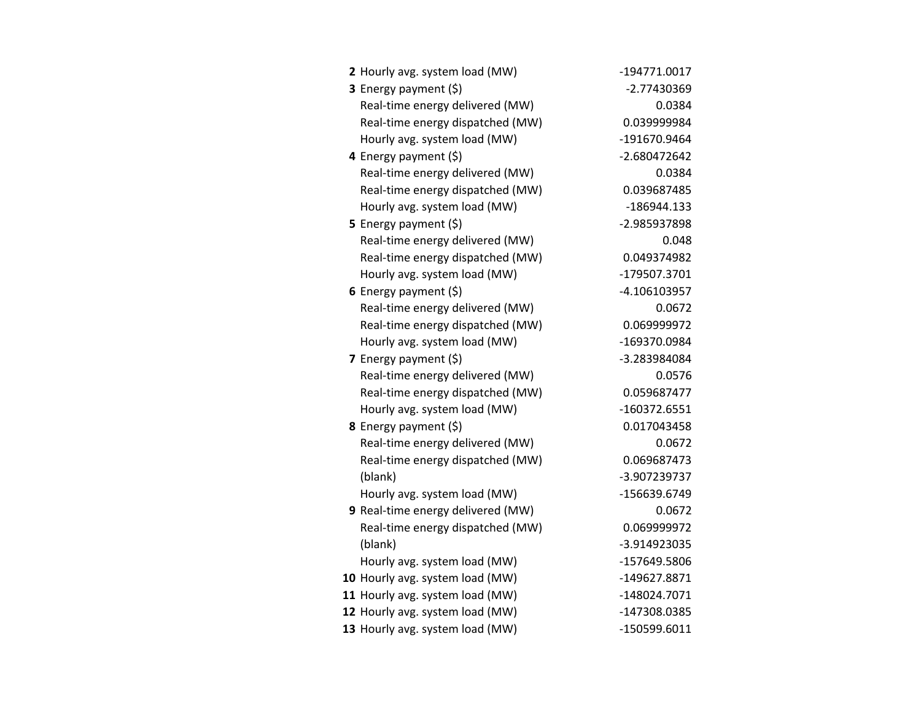| 2 Hourly avg. system load (MW)    | -194771.0017   |
|-----------------------------------|----------------|
| <b>3</b> Energy payment $(\xi)$   | -2.77430369    |
| Real-time energy delivered (MW)   | 0.0384         |
| Real-time energy dispatched (MW)  | 0.039999984    |
| Hourly avg. system load (MW)      | -191670.9464   |
| 4 Energy payment (\$)             | $-2.680472642$ |
| Real-time energy delivered (MW)   | 0.0384         |
| Real-time energy dispatched (MW)  | 0.039687485    |
| Hourly avg. system load (MW)      | -186944.133    |
| <b>5</b> Energy payment $(\xi)$   | -2.985937898   |
| Real-time energy delivered (MW)   | 0.048          |
| Real-time energy dispatched (MW)  | 0.049374982    |
| Hourly avg. system load (MW)      | -179507.3701   |
| 6 Energy payment $(\xi)$          | -4.106103957   |
| Real-time energy delivered (MW)   | 0.0672         |
| Real-time energy dispatched (MW)  | 0.069999972    |
| Hourly avg. system load (MW)      | -169370.0984   |
| 7 Energy payment $(\xi)$          | -3.283984084   |
| Real-time energy delivered (MW)   | 0.0576         |
| Real-time energy dispatched (MW)  | 0.059687477    |
| Hourly avg. system load (MW)      | -160372.6551   |
| <b>8</b> Energy payment $(\xi)$   | 0.017043458    |
| Real-time energy delivered (MW)   | 0.0672         |
| Real-time energy dispatched (MW)  | 0.069687473    |
| (blank)                           | -3.907239737   |
| Hourly avg. system load (MW)      | -156639.6749   |
| 9 Real-time energy delivered (MW) | 0.0672         |
| Real-time energy dispatched (MW)  | 0.069999972    |
| (blank)                           | -3.914923035   |
| Hourly avg. system load (MW)      | -157649.5806   |
| 10 Hourly avg. system load (MW)   | -149627.8871   |
| 11 Hourly avg. system load (MW)   | -148024.7071   |
| 12 Hourly avg. system load (MW)   | -147308.0385   |
| 13 Hourly avg. system load (MW)   | -150599.6011   |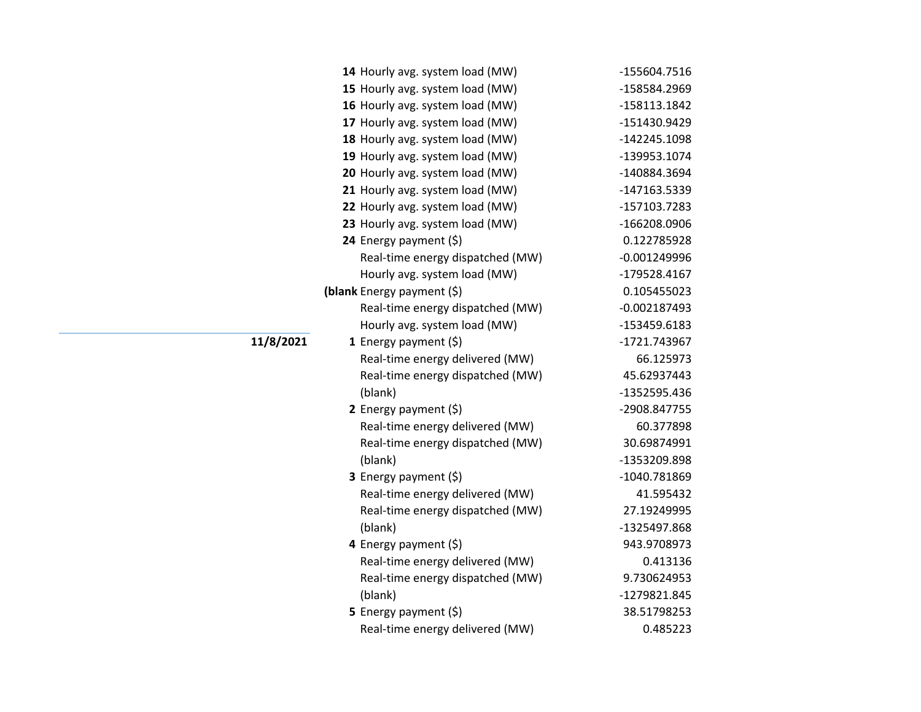|           | 14 Hourly avg. system load (MW)  | -155604.7516   |
|-----------|----------------------------------|----------------|
|           | 15 Hourly avg. system load (MW)  | -158584.2969   |
|           | 16 Hourly avg. system load (MW)  | -158113.1842   |
|           | 17 Hourly avg. system load (MW)  | -151430.9429   |
|           | 18 Hourly avg. system load (MW)  | -142245.1098   |
|           | 19 Hourly avg. system load (MW)  | -139953.1074   |
|           | 20 Hourly avg. system load (MW)  | -140884.3694   |
|           | 21 Hourly avg. system load (MW)  | -147163.5339   |
|           | 22 Hourly avg. system load (MW)  | -157103.7283   |
|           | 23 Hourly avg. system load (MW)  | -166208.0906   |
|           | 24 Energy payment (\$)           | 0.122785928    |
|           | Real-time energy dispatched (MW) | $-0.001249996$ |
|           | Hourly avg. system load (MW)     | -179528.4167   |
|           | (blank Energy payment (\$)       | 0.105455023    |
|           | Real-time energy dispatched (MW) | $-0.002187493$ |
|           | Hourly avg. system load (MW)     | -153459.6183   |
| 11/8/2021 | 1 Energy payment $(\xi)$         | -1721.743967   |
|           | Real-time energy delivered (MW)  | 66.125973      |
|           | Real-time energy dispatched (MW) | 45.62937443    |
|           | (blank)                          | -1352595.436   |
|           | 2 Energy payment $(5)$           | -2908.847755   |
|           | Real-time energy delivered (MW)  | 60.377898      |
|           | Real-time energy dispatched (MW) | 30.69874991    |
|           | (blank)                          | -1353209.898   |
|           | <b>3</b> Energy payment $(\xi)$  | -1040.781869   |
|           | Real-time energy delivered (MW)  | 41.595432      |
|           | Real-time energy dispatched (MW) | 27.19249995    |
|           | (blank)                          | -1325497.868   |
|           | 4 Energy payment (\$)            | 943.9708973    |
|           | Real-time energy delivered (MW)  | 0.413136       |
|           | Real-time energy dispatched (MW) | 9.730624953    |
|           | (blank)                          | -1279821.845   |
|           | 5 Energy payment (\$)            | 38.51798253    |
|           | Real-time energy delivered (MW)  | 0.485223       |
|           |                                  |                |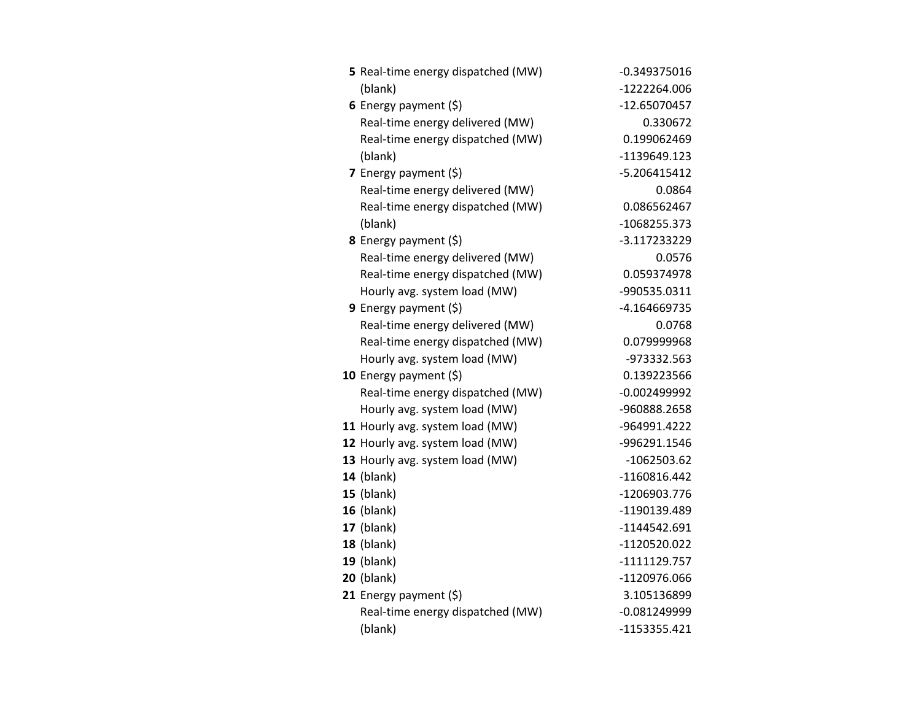| 5 Real-time energy dispatched (MW) | $-0.349375016$ |
|------------------------------------|----------------|
| (blank)                            | -1222264.006   |
| 6 Energy payment $(5)$             | -12.65070457   |
| Real-time energy delivered (MW)    | 0.330672       |
| Real-time energy dispatched (MW)   | 0.199062469    |
| (blank)                            | -1139649.123   |
| 7 Energy payment $(\xi)$           | $-5.206415412$ |
| Real-time energy delivered (MW)    | 0.0864         |
| Real-time energy dispatched (MW)   | 0.086562467    |
| (blank)                            | -1068255.373   |
| 8 Energy payment (\$)              | -3.117233229   |
| Real-time energy delivered (MW)    | 0.0576         |
| Real-time energy dispatched (MW)   | 0.059374978    |
| Hourly avg. system load (MW)       | -990535.0311   |
| <b>9</b> Energy payment $(\xi)$    | -4.164669735   |
| Real-time energy delivered (MW)    | 0.0768         |
| Real-time energy dispatched (MW)   | 0.079999968    |
| Hourly avg. system load (MW)       | -973332.563    |
| 10 Energy payment $(5)$            | 0.139223566    |
| Real-time energy dispatched (MW)   | -0.002499992   |
| Hourly avg. system load (MW)       | -960888.2658   |
| 11 Hourly avg. system load (MW)    | -964991.4222   |
| 12 Hourly avg. system load (MW)    | -996291.1546   |
| 13 Hourly avg. system load (MW)    | $-1062503.62$  |
| <b>14</b> (blank)                  | $-1160816.442$ |
| $15$ (blank)                       | -1206903.776   |
| 16 (blank)                         | -1190139.489   |
| 17 (blank)                         | $-1144542.691$ |
| $18$ (blank)                       | -1120520.022   |
| $19$ (blank)                       | $-1111129.757$ |
| <b>20</b> (blank)                  | -1120976.066   |
| 21 Energy payment $(\xi)$          | 3.105136899    |
| Real-time energy dispatched (MW)   | $-0.081249999$ |
| (blank)                            | -1153355.421   |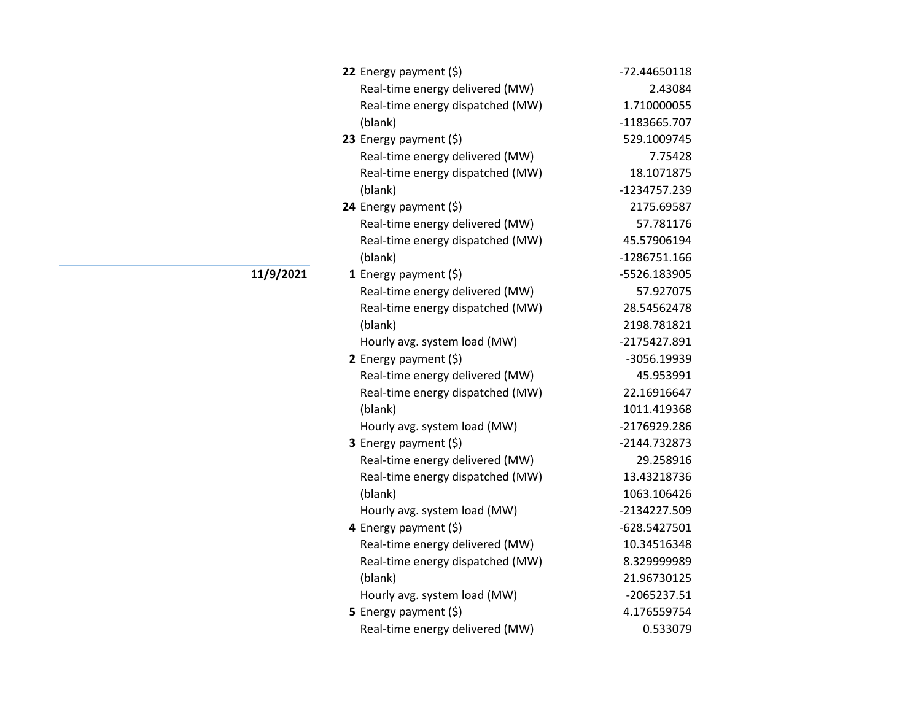| 22 Energy payment $(\xi)$        | -72.44650118  |
|----------------------------------|---------------|
| Real-time energy delivered (MW)  | 2.43084       |
| Real-time energy dispatched (MW) | 1.710000055   |
| (blank)                          | -1183665.707  |
| 23 Energy payment $(\xi)$        | 529.1009745   |
| Real-time energy delivered (MW)  | 7.75428       |
| Real-time energy dispatched (MW) | 18.1071875    |
| (blank)                          | -1234757.239  |
| 24 Energy payment (\$)           | 2175.69587    |
| Real-time energy delivered (MW)  | 57.781176     |
| Real-time energy dispatched (MW) | 45.57906194   |
| (blank)                          | -1286751.166  |
| 1 Energy payment $(\xi)$         | -5526.183905  |
| Real-time energy delivered (MW)  | 57.927075     |
| Real-time energy dispatched (MW) | 28.54562478   |
| (blank)                          | 2198.781821   |
| Hourly avg. system load (MW)     | -2175427.891  |
| 2 Energy payment $(5)$           | -3056.19939   |
| Real-time energy delivered (MW)  | 45.953991     |
| Real-time energy dispatched (MW) | 22.16916647   |
| (blank)                          | 1011.419368   |
| Hourly avg. system load (MW)     | -2176929.286  |
| 3 Energy payment (\$)            | -2144.732873  |
| Real-time energy delivered (MW)  | 29.258916     |
| Real-time energy dispatched (MW) | 13.43218736   |
| (blank)                          | 1063.106426   |
| Hourly avg. system load (MW)     | -2134227.509  |
| 4 Energy payment (\$)            | -628.5427501  |
| Real-time energy delivered (MW)  | 10.34516348   |
| Real-time energy dispatched (MW) | 8.329999989   |
| (blank)                          | 21.96730125   |
| Hourly avg. system load (MW)     | $-2065237.51$ |
| 5 Energy payment $(\xi)$         | 4.176559754   |
| Real-time energy delivered (MW)  | 0.533079      |

**11/9/2021**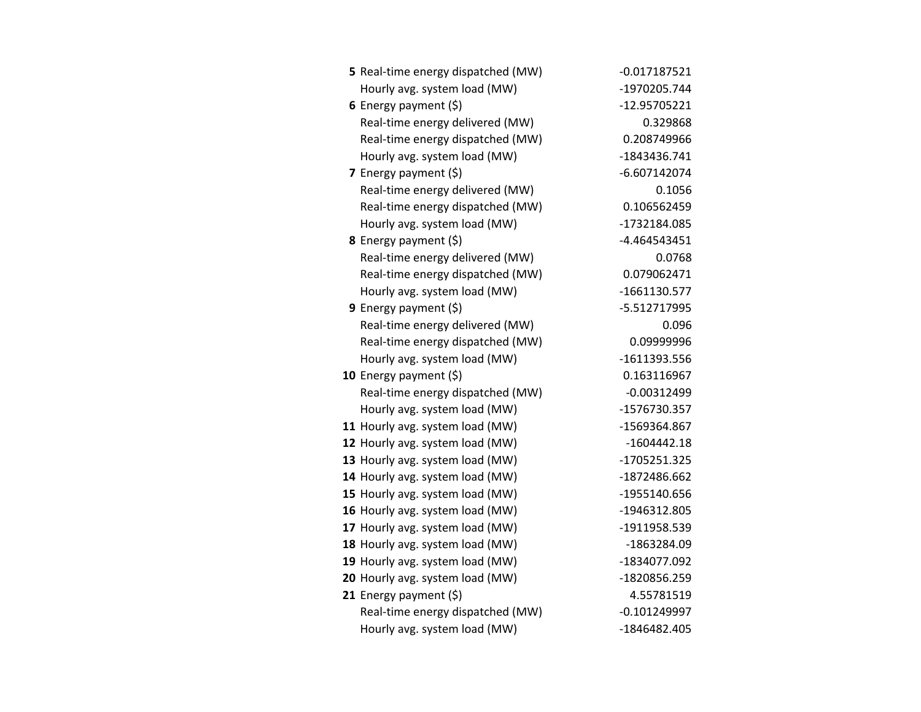| 5 Real-time energy dispatched (MW) | $-0.017187521$ |
|------------------------------------|----------------|
| Hourly avg. system load (MW)       | -1970205.744   |
| 6 Energy payment (\$)              | -12.95705221   |
| Real-time energy delivered (MW)    | 0.329868       |
| Real-time energy dispatched (MW)   | 0.208749966    |
| Hourly avg. system load (MW)       | -1843436.741   |
| 7 Energy payment $(5)$             | $-6.607142074$ |
| Real-time energy delivered (MW)    | 0.1056         |
| Real-time energy dispatched (MW)   | 0.106562459    |
| Hourly avg. system load (MW)       | -1732184.085   |
| 8 Energy payment (\$)              | -4.464543451   |
| Real-time energy delivered (MW)    | 0.0768         |
| Real-time energy dispatched (MW)   | 0.079062471    |
| Hourly avg. system load (MW)       | $-1661130.577$ |
| 9 Energy payment $(5)$             | -5.512717995   |
| Real-time energy delivered (MW)    | 0.096          |
| Real-time energy dispatched (MW)   | 0.09999996     |
| Hourly avg. system load (MW)       | -1611393.556   |
| 10 Energy payment $(\xi)$          | 0.163116967    |
| Real-time energy dispatched (MW)   | $-0.00312499$  |
| Hourly avg. system load (MW)       | -1576730.357   |
| 11 Hourly avg. system load (MW)    | -1569364.867   |
| 12 Hourly avg. system load (MW)    | $-1604442.18$  |
| 13 Hourly avg. system load (MW)    | -1705251.325   |
| 14 Hourly avg. system load (MW)    | -1872486.662   |
| 15 Hourly avg. system load (MW)    | -1955140.656   |
| 16 Hourly avg. system load (MW)    | -1946312.805   |
| 17 Hourly avg. system load (MW)    | -1911958.539   |
| 18 Hourly avg. system load (MW)    | -1863284.09    |
| 19 Hourly avg. system load (MW)    | -1834077.092   |
| 20 Hourly avg. system load (MW)    | -1820856.259   |
| 21 Energy payment (\$)             | 4.55781519     |
| Real-time energy dispatched (MW)   | $-0.101249997$ |
| Hourly avg. system load (MW)       | -1846482.405   |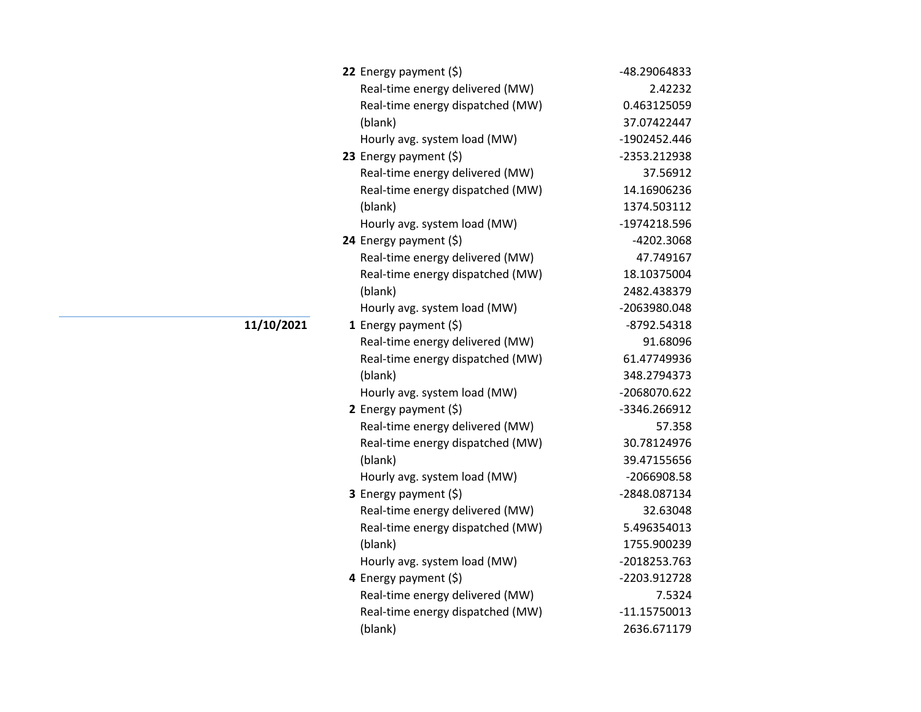| 22 Energy payment $(\xi)$        | -48.29064833   |
|----------------------------------|----------------|
| Real-time energy delivered (MW)  | 2.42232        |
| Real-time energy dispatched (MW) | 0.463125059    |
| (blank)                          | 37.07422447    |
| Hourly avg. system load (MW)     | -1902452.446   |
| 23 Energy payment (\$)           | -2353.212938   |
| Real-time energy delivered (MW)  | 37.56912       |
| Real-time energy dispatched (MW) | 14.16906236    |
| (blank)                          | 1374.503112    |
| Hourly avg. system load (MW)     | -1974218.596   |
| 24 Energy payment (\$)           | -4202.3068     |
| Real-time energy delivered (MW)  | 47.749167      |
| Real-time energy dispatched (MW) | 18.10375004    |
| (blank)                          | 2482.438379    |
| Hourly avg. system load (MW)     | -2063980.048   |
| 1 Energy payment $(5)$           | $-8792.54318$  |
| Real-time energy delivered (MW)  | 91.68096       |
| Real-time energy dispatched (MW) | 61.47749936    |
| (blank)                          | 348.2794373    |
| Hourly avg. system load (MW)     | -2068070.622   |
| 2 Energy payment $(\xi)$         | -3346.266912   |
| Real-time energy delivered (MW)  | 57.358         |
| Real-time energy dispatched (MW) | 30.78124976    |
| (blank)                          | 39.47155656    |
| Hourly avg. system load (MW)     | -2066908.58    |
| 3 Energy payment (\$)            | -2848.087134   |
| Real-time energy delivered (MW)  | 32.63048       |
| Real-time energy dispatched (MW) | 5.496354013    |
| (blank)                          | 1755.900239    |
| Hourly avg. system load (MW)     | -2018253.763   |
| 4 Energy payment (\$)            | -2203.912728   |
| Real-time energy delivered (MW)  | 7.5324         |
| Real-time energy dispatched (MW) | $-11.15750013$ |
| (blank)                          | 2636.671179    |

## **11/10/2021**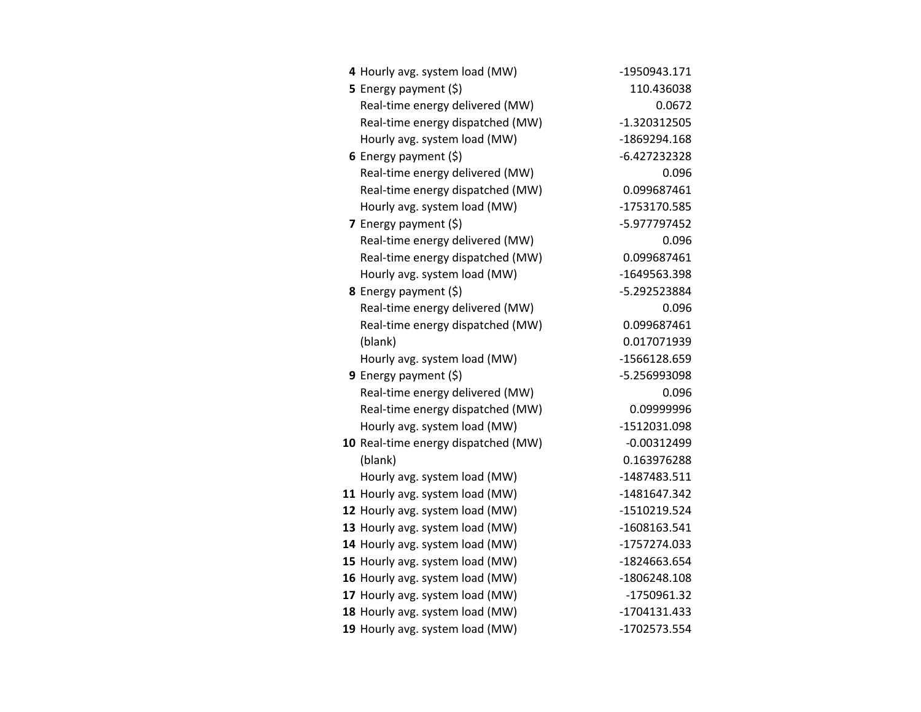| 4 Hourly avg. system load (MW)      | -1950943.171   |
|-------------------------------------|----------------|
| 5 Energy payment (\$)               | 110.436038     |
| Real-time energy delivered (MW)     | 0.0672         |
| Real-time energy dispatched (MW)    | $-1.320312505$ |
| Hourly avg. system load (MW)        | -1869294.168   |
| 6 Energy payment $(5)$              | $-6.427232328$ |
| Real-time energy delivered (MW)     | 0.096          |
| Real-time energy dispatched (MW)    | 0.099687461    |
| Hourly avg. system load (MW)        | -1753170.585   |
| 7 Energy payment (\$)               | -5.977797452   |
| Real-time energy delivered (MW)     | 0.096          |
| Real-time energy dispatched (MW)    | 0.099687461    |
| Hourly avg. system load (MW)        | -1649563.398   |
| 8 Energy payment (\$)               | -5.292523884   |
| Real-time energy delivered (MW)     | 0.096          |
| Real-time energy dispatched (MW)    | 0.099687461    |
| (blank)                             | 0.017071939    |
| Hourly avg. system load (MW)        | -1566128.659   |
| 9 Energy payment (\$)               | -5.256993098   |
| Real-time energy delivered (MW)     | 0.096          |
| Real-time energy dispatched (MW)    | 0.09999996     |
| Hourly avg. system load (MW)        | -1512031.098   |
| 10 Real-time energy dispatched (MW) | $-0.00312499$  |
| (blank)                             | 0.163976288    |
| Hourly avg. system load (MW)        | -1487483.511   |
| 11 Hourly avg. system load (MW)     | -1481647.342   |
| 12 Hourly avg. system load (MW)     | -1510219.524   |
| 13 Hourly avg. system load (MW)     | -1608163.541   |
| 14 Hourly avg. system load (MW)     | -1757274.033   |
| 15 Hourly avg. system load (MW)     | -1824663.654   |
| 16 Hourly avg. system load (MW)     | -1806248.108   |
| 17 Hourly avg. system load (MW)     | -1750961.32    |
| 18 Hourly avg. system load (MW)     | -1704131.433   |
| 19 Hourly avg. system load (MW)     | -1702573.554   |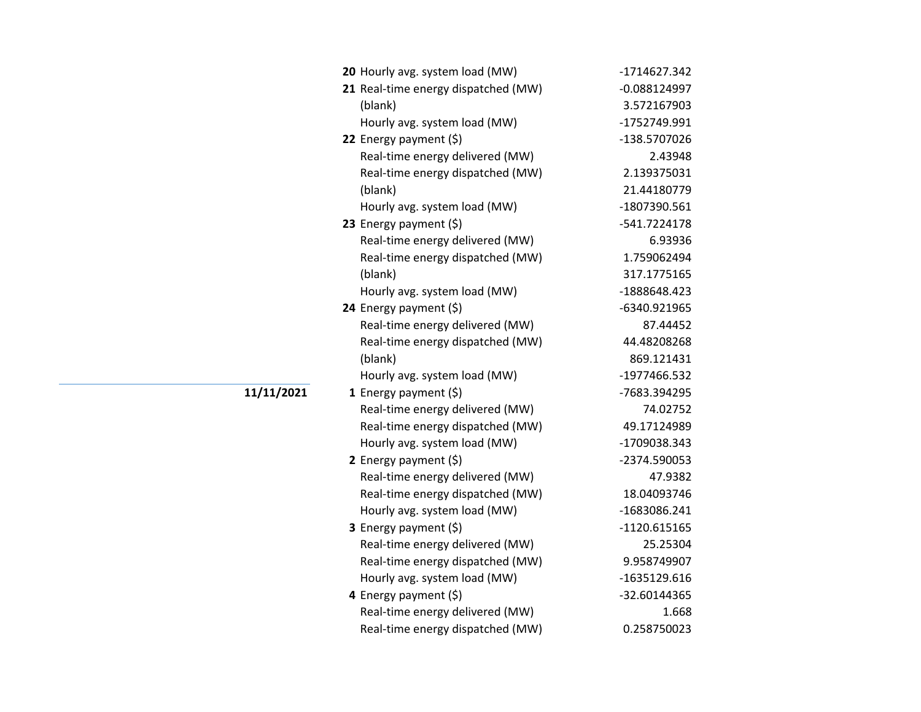| 20 Hourly avg. system load (MW)     | -1714627.342   |
|-------------------------------------|----------------|
| 21 Real-time energy dispatched (MW) | $-0.088124997$ |
| (blank)                             | 3.572167903    |
| Hourly avg. system load (MW)        | -1752749.991   |
| 22 Energy payment (\$)              | -138.5707026   |
| Real-time energy delivered (MW)     | 2.43948        |
| Real-time energy dispatched (MW)    | 2.139375031    |
| (blank)                             | 21.44180779    |
| Hourly avg. system load (MW)        | -1807390.561   |
| 23 Energy payment (\$)              | -541.7224178   |
| Real-time energy delivered (MW)     | 6.93936        |
| Real-time energy dispatched (MW)    | 1.759062494    |
| (blank)                             | 317.1775165    |
| Hourly avg. system load (MW)        | -1888648.423   |
| 24 Energy payment (\$)              | -6340.921965   |
| Real-time energy delivered (MW)     | 87.44452       |
| Real-time energy dispatched (MW)    | 44.48208268    |
| (blank)                             | 869.121431     |
| Hourly avg. system load (MW)        | -1977466.532   |
| 1 Energy payment $(\xi)$            | -7683.394295   |
| Real-time energy delivered (MW)     | 74.02752       |
| Real-time energy dispatched (MW)    | 49.17124989    |
| Hourly avg. system load (MW)        | -1709038.343   |
| 2 Energy payment (\$)               | -2374.590053   |
| Real-time energy delivered (MW)     | 47.9382        |
| Real-time energy dispatched (MW)    | 18.04093746    |
| Hourly avg. system load (MW)        | -1683086.241   |
| 3 Energy payment (\$)               | $-1120.615165$ |
| Real-time energy delivered (MW)     | 25.25304       |
| Real-time energy dispatched (MW)    | 9.958749907    |
| Hourly avg. system load (MW)        | -1635129.616   |
| 4 Energy payment (\$)               | -32.60144365   |
| Real-time energy delivered (MW)     | 1.668          |
| Real-time energy dispatched (MW)    | 0.258750023    |

**11/11/2021**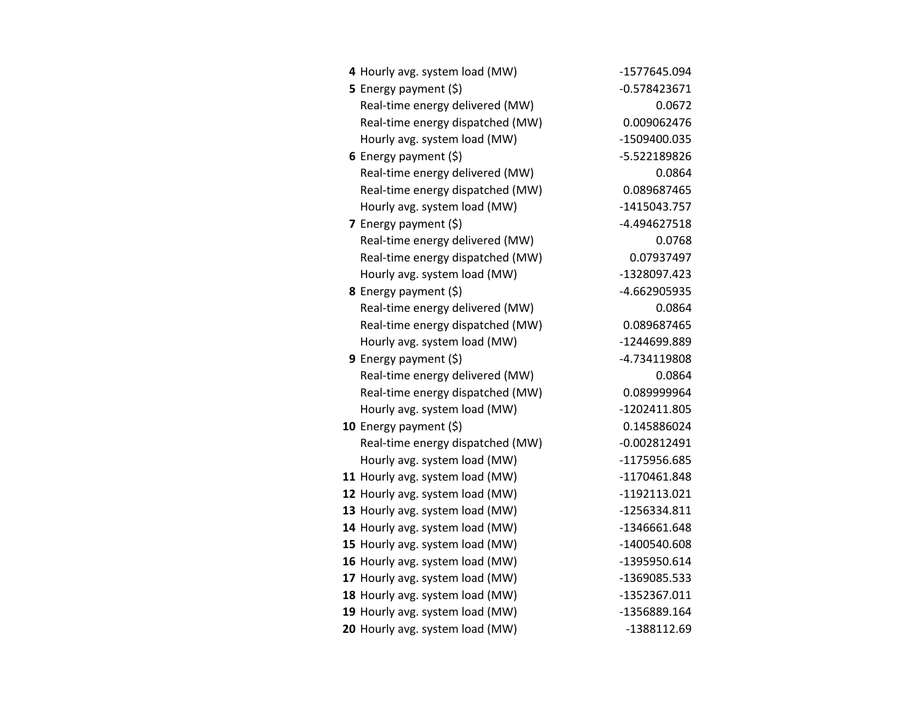| 4 Hourly avg. system load (MW)   | -1577645.094   |
|----------------------------------|----------------|
| <b>5</b> Energy payment $(\xi)$  | $-0.578423671$ |
| Real-time energy delivered (MW)  | 0.0672         |
| Real-time energy dispatched (MW) | 0.009062476    |
| Hourly avg. system load (MW)     | -1509400.035   |
| 6 Energy payment $(5)$           | -5.522189826   |
| Real-time energy delivered (MW)  | 0.0864         |
| Real-time energy dispatched (MW) | 0.089687465    |
| Hourly avg. system load (MW)     | -1415043.757   |
| 7 Energy payment (\$)            | -4.494627518   |
| Real-time energy delivered (MW)  | 0.0768         |
| Real-time energy dispatched (MW) | 0.07937497     |
| Hourly avg. system load (MW)     | -1328097.423   |
| 8 Energy payment (\$)            | -4.662905935   |
| Real-time energy delivered (MW)  | 0.0864         |
| Real-time energy dispatched (MW) | 0.089687465    |
| Hourly avg. system load (MW)     | -1244699.889   |
| <b>9</b> Energy payment $(\xi)$  | -4.734119808   |
| Real-time energy delivered (MW)  | 0.0864         |
| Real-time energy dispatched (MW) | 0.089999964    |
| Hourly avg. system load (MW)     | -1202411.805   |
| 10 Energy payment $(\xi)$        | 0.145886024    |
| Real-time energy dispatched (MW) | $-0.002812491$ |
| Hourly avg. system load (MW)     | -1175956.685   |
| 11 Hourly avg. system load (MW)  | -1170461.848   |
| 12 Hourly avg. system load (MW)  | -1192113.021   |
| 13 Hourly avg. system load (MW)  | -1256334.811   |
| 14 Hourly avg. system load (MW)  | -1346661.648   |
| 15 Hourly avg. system load (MW)  | -1400540.608   |
| 16 Hourly avg. system load (MW)  | -1395950.614   |
| 17 Hourly avg. system load (MW)  | -1369085.533   |
| 18 Hourly avg. system load (MW)  | -1352367.011   |
| 19 Hourly avg. system load (MW)  | -1356889.164   |
| 20 Hourly avg. system load (MW)  | -1388112.69    |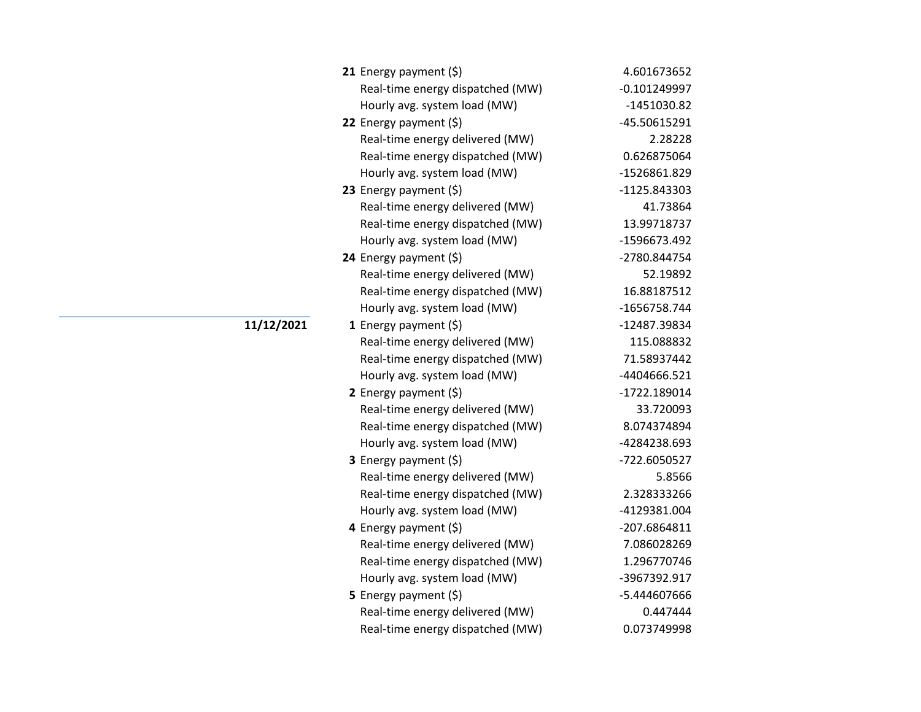| 21 Energy payment $(\xi)$        | 4.601673652  |
|----------------------------------|--------------|
| Real-time energy dispatched (MW) | -0.101249997 |
| Hourly avg. system load (MW)     | -1451030.82  |
| 22 Energy payment (\$)           | -45.50615291 |
| Real-time energy delivered (MW)  | 2.28228      |
| Real-time energy dispatched (MW) | 0.626875064  |
| Hourly avg. system load (MW)     | -1526861.829 |
| 23 Energy payment $(\xi)$        | -1125.843303 |
| Real-time energy delivered (MW)  | 41.73864     |
| Real-time energy dispatched (MW) | 13.99718737  |
| Hourly avg. system load (MW)     | -1596673.492 |
| 24 Energy payment (\$)           | -2780.844754 |
| Real-time energy delivered (MW)  | 52.19892     |
| Real-time energy dispatched (MW) | 16.88187512  |
| Hourly avg. system load (MW)     | -1656758.744 |
| <b>1</b> Energy payment $(5)$    | -12487.39834 |
| Real-time energy delivered (MW)  | 115.088832   |
| Real-time energy dispatched (MW) | 71.58937442  |
| Hourly avg. system load (MW)     | -4404666.521 |
| 2 Energy payment $(\xi)$         | -1722.189014 |
| Real-time energy delivered (MW)  | 33.720093    |
| Real-time energy dispatched (MW) | 8.074374894  |
| Hourly avg. system load (MW)     | -4284238.693 |
| <b>3</b> Energy payment $(\xi)$  | -722.6050527 |
| Real-time energy delivered (MW)  | 5.8566       |
| Real-time energy dispatched (MW) | 2.328333266  |
| Hourly avg. system load (MW)     | -4129381.004 |
| 4 Energy payment (\$)            | -207.6864811 |
| Real-time energy delivered (MW)  | 7.086028269  |
| Real-time energy dispatched (MW) | 1.296770746  |
| Hourly avg. system load (MW)     | -3967392.917 |
| 5 Energy payment (\$)            | -5.444607666 |
| Real-time energy delivered (MW)  | 0.447444     |
| Real-time energy dispatched (MW) | 0.073749998  |

## **11/12/2021**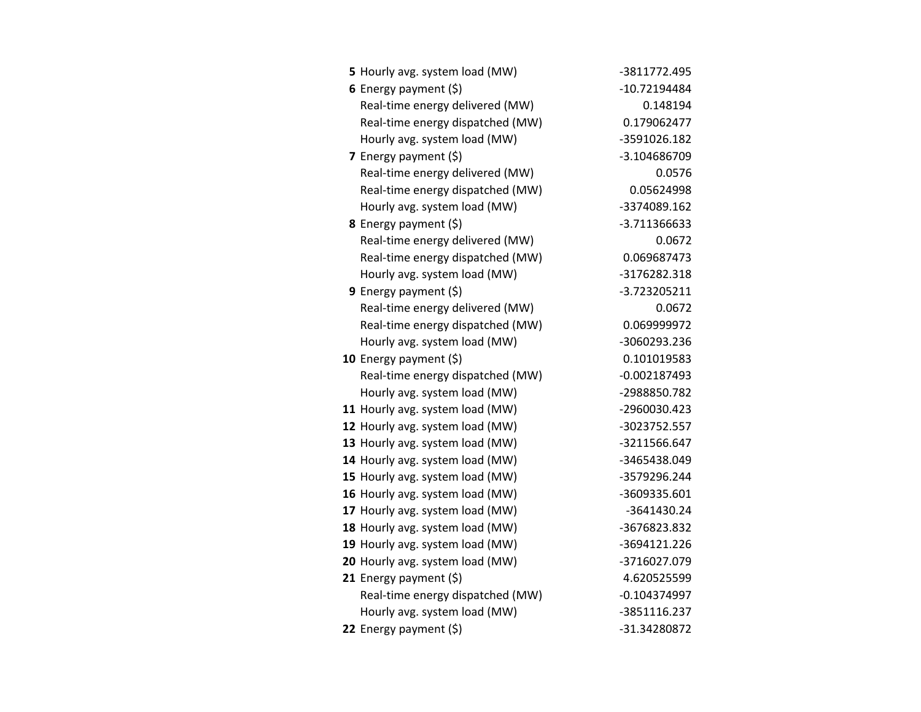| 5 Hourly avg. system load (MW)   | -3811772.495   |
|----------------------------------|----------------|
| 6 Energy payment $(5)$           | -10.72194484   |
| Real-time energy delivered (MW)  | 0.148194       |
| Real-time energy dispatched (MW) | 0.179062477    |
| Hourly avg. system load (MW)     | -3591026.182   |
| 7 Energy payment (\$)            | -3.104686709   |
| Real-time energy delivered (MW)  | 0.0576         |
| Real-time energy dispatched (MW) | 0.05624998     |
| Hourly avg. system load (MW)     | -3374089.162   |
| <b>8</b> Energy payment $(\xi)$  | -3.711366633   |
| Real-time energy delivered (MW)  | 0.0672         |
| Real-time energy dispatched (MW) | 0.069687473    |
| Hourly avg. system load (MW)     | -3176282.318   |
| <b>9</b> Energy payment $(\xi)$  | -3.723205211   |
| Real-time energy delivered (MW)  | 0.0672         |
| Real-time energy dispatched (MW) | 0.069999972    |
| Hourly avg. system load (MW)     | -3060293.236   |
| 10 Energy payment $(5)$          | 0.101019583    |
| Real-time energy dispatched (MW) | $-0.002187493$ |
| Hourly avg. system load (MW)     | -2988850.782   |
| 11 Hourly avg. system load (MW)  | -2960030.423   |
| 12 Hourly avg. system load (MW)  | -3023752.557   |
| 13 Hourly avg. system load (MW)  | -3211566.647   |
| 14 Hourly avg. system load (MW)  | -3465438.049   |
| 15 Hourly avg. system load (MW)  | -3579296.244   |
| 16 Hourly avg. system load (MW)  | -3609335.601   |
| 17 Hourly avg. system load (MW)  | -3641430.24    |
| 18 Hourly avg. system load (MW)  | -3676823.832   |
| 19 Hourly avg. system load (MW)  | -3694121.226   |
| 20 Hourly avg. system load (MW)  | -3716027.079   |
| 21 Energy payment (\$)           | 4.620525599    |
| Real-time energy dispatched (MW) | $-0.104374997$ |
| Hourly avg. system load (MW)     | -3851116.237   |
| 22 Energy payment (\$)           | -31.34280872   |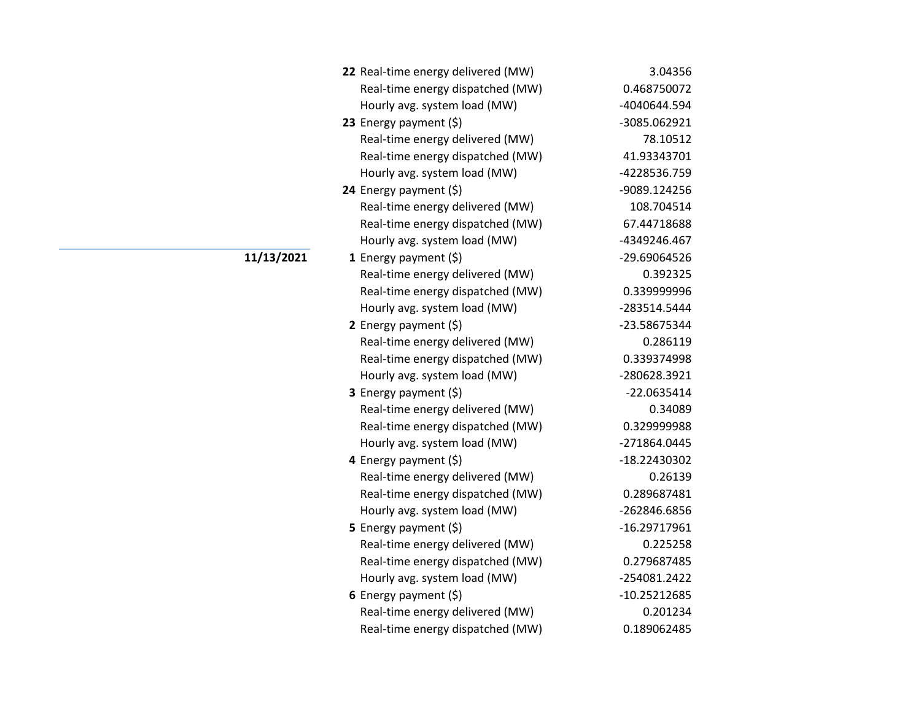| 22 Real-time energy delivered (MW) | 3.04356        |
|------------------------------------|----------------|
| Real-time energy dispatched (MW)   | 0.468750072    |
| Hourly avg. system load (MW)       | -4040644.594   |
| 23 Energy payment (\$)             | -3085.062921   |
| Real-time energy delivered (MW)    | 78.10512       |
| Real-time energy dispatched (MW)   | 41.93343701    |
| Hourly avg. system load (MW)       | -4228536.759   |
| 24 Energy payment (\$)             | -9089.124256   |
| Real-time energy delivered (MW)    | 108.704514     |
| Real-time energy dispatched (MW)   | 67.44718688    |
| Hourly avg. system load (MW)       | -4349246.467   |
| 1 Energy payment $(\xi)$           | -29.69064526   |
| Real-time energy delivered (MW)    | 0.392325       |
| Real-time energy dispatched (MW)   | 0.339999996    |
| Hourly avg. system load (MW)       | -283514.5444   |
| 2 Energy payment $(\xi)$           | -23.58675344   |
| Real-time energy delivered (MW)    | 0.286119       |
| Real-time energy dispatched (MW)   | 0.339374998    |
| Hourly avg. system load (MW)       | -280628.3921   |
| 3 Energy payment (\$)              | $-22.0635414$  |
| Real-time energy delivered (MW)    | 0.34089        |
| Real-time energy dispatched (MW)   | 0.329999988    |
| Hourly avg. system load (MW)       | -271864.0445   |
| 4 Energy payment (\$)              | -18.22430302   |
| Real-time energy delivered (MW)    | 0.26139        |
| Real-time energy dispatched (MW)   | 0.289687481    |
| Hourly avg. system load (MW)       | -262846.6856   |
| 5 Energy payment $(\xi)$           | $-16.29717961$ |
| Real-time energy delivered (MW)    | 0.225258       |
| Real-time energy dispatched (MW)   | 0.279687485    |
| Hourly avg. system load (MW)       | -254081.2422   |
| 6 Energy payment $(5)$             | $-10.25212685$ |
| Real-time energy delivered (MW)    | 0.201234       |
| Real-time energy dispatched (MW)   | 0.189062485    |

**11/13/2021**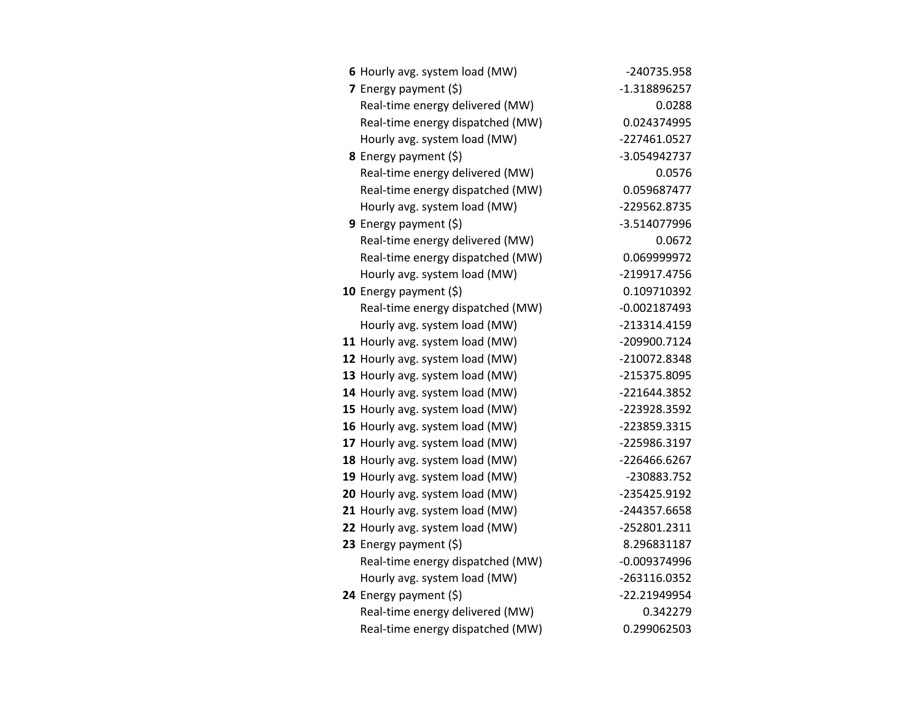| 6 Hourly avg. system load (MW)   | -240735.958    |
|----------------------------------|----------------|
| 7 Energy payment $(5)$           | -1.318896257   |
| Real-time energy delivered (MW)  | 0.0288         |
| Real-time energy dispatched (MW) | 0.024374995    |
| Hourly avg. system load (MW)     | -227461.0527   |
| 8 Energy payment (\$)            | -3.054942737   |
| Real-time energy delivered (MW)  | 0.0576         |
| Real-time energy dispatched (MW) | 0.059687477    |
| Hourly avg. system load (MW)     | -229562.8735   |
| 9 Energy payment $(\xi)$         | -3.514077996   |
| Real-time energy delivered (MW)  | 0.0672         |
| Real-time energy dispatched (MW) | 0.069999972    |
| Hourly avg. system load (MW)     | -219917.4756   |
| 10 Energy payment $(\xi)$        | 0.109710392    |
| Real-time energy dispatched (MW) | $-0.002187493$ |
| Hourly avg. system load (MW)     | -213314.4159   |
| 11 Hourly avg. system load (MW)  | -209900.7124   |
| 12 Hourly avg. system load (MW)  | -210072.8348   |
| 13 Hourly avg. system load (MW)  | -215375.8095   |
| 14 Hourly avg. system load (MW)  | -221644.3852   |
| 15 Hourly avg. system load (MW)  | -223928.3592   |
| 16 Hourly avg. system load (MW)  | -223859.3315   |
| 17 Hourly avg. system load (MW)  | -225986.3197   |
| 18 Hourly avg. system load (MW)  | -226466.6267   |
| 19 Hourly avg. system load (MW)  | -230883.752    |
| 20 Hourly avg. system load (MW)  | -235425.9192   |
| 21 Hourly avg. system load (MW)  | -244357.6658   |
| 22 Hourly avg. system load (MW)  | -252801.2311   |
| 23 Energy payment $(5)$          | 8.296831187    |
| Real-time energy dispatched (MW) | $-0.009374996$ |
| Hourly avg. system load (MW)     | -263116.0352   |
| 24 Energy payment (\$)           | -22.21949954   |
| Real-time energy delivered (MW)  | 0.342279       |
| Real-time energy dispatched (MW) | 0.299062503    |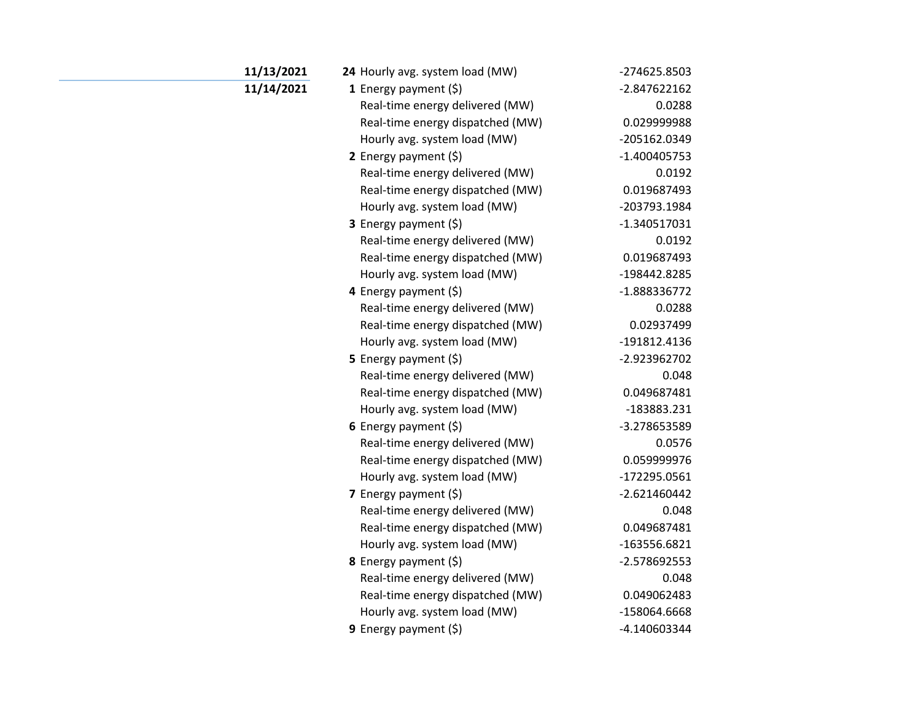| 11/13/2021 | 24 Hourly avg. system load (MW)  | -274625.8503   |
|------------|----------------------------------|----------------|
| 11/14/2021 | 1 Energy payment $(\xi)$         | -2.847622162   |
|            | Real-time energy delivered (MW)  | 0.0288         |
|            | Real-time energy dispatched (MW) | 0.029999988    |
|            | Hourly avg. system load (MW)     | -205162.0349   |
|            | 2 Energy payment $(\xi)$         | $-1.400405753$ |
|            | Real-time energy delivered (MW)  | 0.0192         |
|            | Real-time energy dispatched (MW) | 0.019687493    |
|            | Hourly avg. system load (MW)     | -203793.1984   |
|            | 3 Energy payment (\$)            | $-1.340517031$ |
|            | Real-time energy delivered (MW)  | 0.0192         |
|            | Real-time energy dispatched (MW) | 0.019687493    |
|            | Hourly avg. system load (MW)     | -198442.8285   |
|            | 4 Energy payment (\$)            | -1.888336772   |
|            | Real-time energy delivered (MW)  | 0.0288         |
|            | Real-time energy dispatched (MW) | 0.02937499     |
|            | Hourly avg. system load (MW)     | -191812.4136   |
|            | 5 Energy payment $(\xi)$         | -2.923962702   |
|            | Real-time energy delivered (MW)  | 0.048          |
|            | Real-time energy dispatched (MW) | 0.049687481    |
|            | Hourly avg. system load (MW)     | -183883.231    |
|            | 6 Energy payment $(5)$           | -3.278653589   |
|            | Real-time energy delivered (MW)  | 0.0576         |
|            | Real-time energy dispatched (MW) | 0.059999976    |
|            | Hourly avg. system load (MW)     | -172295.0561   |
|            | 7 Energy payment $(\xi)$         | $-2.621460442$ |
|            | Real-time energy delivered (MW)  | 0.048          |
|            | Real-time energy dispatched (MW) | 0.049687481    |
|            | Hourly avg. system load (MW)     | $-163556.6821$ |
|            | 8 Energy payment (\$)            | -2.578692553   |
|            | Real-time energy delivered (MW)  | 0.048          |
|            | Real-time energy dispatched (MW) | 0.049062483    |
|            | Hourly avg. system load (MW)     | -158064.6668   |
|            | 9 Energy payment $(\xi)$         | -4.140603344   |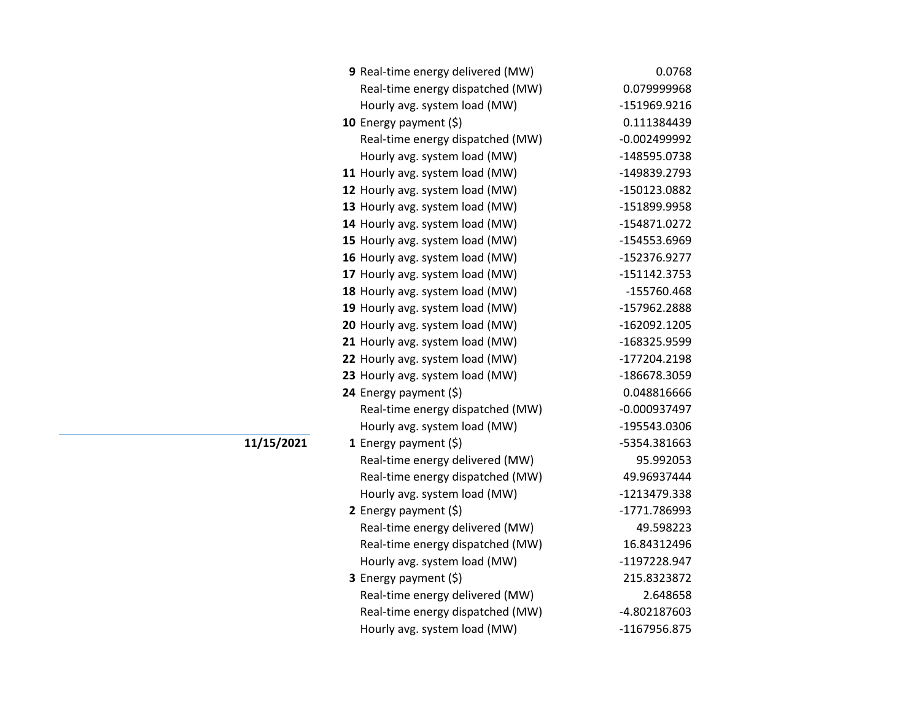| 9 Real-time energy delivered (MW) | 0.0768         |
|-----------------------------------|----------------|
| Real-time energy dispatched (MW)  | 0.079999968    |
| Hourly avg. system load (MW)      | -151969.9216   |
| 10 Energy payment (\$)            | 0.111384439    |
| Real-time energy dispatched (MW)  | $-0.002499992$ |
| Hourly avg. system load (MW)      | -148595.0738   |
| 11 Hourly avg. system load (MW)   | -149839.2793   |
| 12 Hourly avg. system load (MW)   | -150123.0882   |
| 13 Hourly avg. system load (MW)   | -151899.9958   |
| 14 Hourly avg. system load (MW)   | -154871.0272   |
| 15 Hourly avg. system load (MW)   | -154553.6969   |
| 16 Hourly avg. system load (MW)   | -152376.9277   |
| 17 Hourly avg. system load (MW)   | -151142.3753   |
| 18 Hourly avg. system load (MW)   | -155760.468    |
| 19 Hourly avg. system load (MW)   | -157962.2888   |
| 20 Hourly avg. system load (MW)   | -162092.1205   |
| 21 Hourly avg. system load (MW)   | -168325.9599   |
| 22 Hourly avg. system load (MW)   | -177204.2198   |
| 23 Hourly avg. system load (MW)   | -186678.3059   |
| 24 Energy payment (\$)            | 0.048816666    |
| Real-time energy dispatched (MW)  | $-0.000937497$ |
| Hourly avg. system load (MW)      | -195543.0306   |
| 1 Energy payment $(\xi)$          | -5354.381663   |
| Real-time energy delivered (MW)   | 95.992053      |
| Real-time energy dispatched (MW)  | 49.96937444    |
| Hourly avg. system load (MW)      | -1213479.338   |
| 2 Energy payment $(\xi)$          | -1771.786993   |
| Real-time energy delivered (MW)   | 49.598223      |
| Real-time energy dispatched (MW)  | 16.84312496    |
| Hourly avg. system load (MW)      | -1197228.947   |
| 3 Energy payment (\$)             | 215.8323872    |
| Real-time energy delivered (MW)   | 2.648658       |
| Real-time energy dispatched (MW)  | -4.802187603   |
| Hourly avg. system load (MW)      | -1167956.875   |

## **11/15/2021**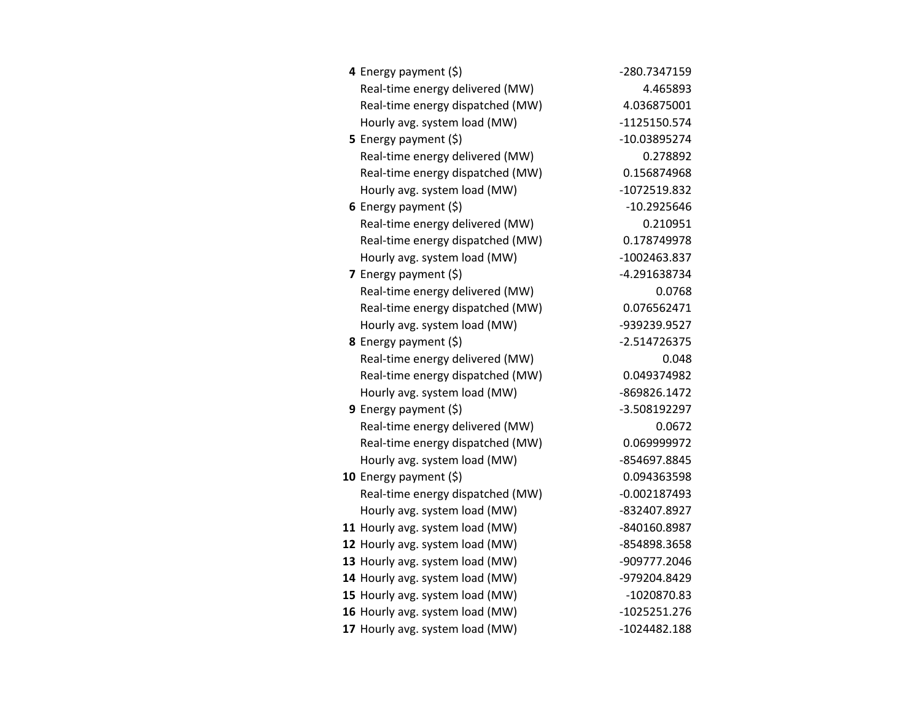| 4 Energy payment (\$)            | -280.7347159   |
|----------------------------------|----------------|
| Real-time energy delivered (MW)  | 4.465893       |
| Real-time energy dispatched (MW) | 4.036875001    |
| Hourly avg. system load (MW)     | -1125150.574   |
| 5 Energy payment $(\xi)$         | -10.03895274   |
| Real-time energy delivered (MW)  | 0.278892       |
| Real-time energy dispatched (MW) | 0.156874968    |
| Hourly avg. system load (MW)     | -1072519.832   |
| 6 Energy payment $(\xi)$         | $-10.2925646$  |
| Real-time energy delivered (MW)  | 0.210951       |
| Real-time energy dispatched (MW) | 0.178749978    |
| Hourly avg. system load (MW)     | -1002463.837   |
| <b>7</b> Energy payment $(\xi)$  | -4.291638734   |
| Real-time energy delivered (MW)  | 0.0768         |
| Real-time energy dispatched (MW) | 0.076562471    |
| Hourly avg. system load (MW)     | -939239.9527   |
| 8 Energy payment (\$)            | $-2.514726375$ |
| Real-time energy delivered (MW)  | 0.048          |
| Real-time energy dispatched (MW) | 0.049374982    |
| Hourly avg. system load (MW)     | -869826.1472   |
| 9 Energy payment (\$)            | -3.508192297   |
| Real-time energy delivered (MW)  | 0.0672         |
| Real-time energy dispatched (MW) | 0.069999972    |
| Hourly avg. system load (MW)     | -854697.8845   |
| 10 Energy payment $(\xi)$        | 0.094363598    |
| Real-time energy dispatched (MW) | $-0.002187493$ |
| Hourly avg. system load (MW)     | -832407.8927   |
| 11 Hourly avg. system load (MW)  | -840160.8987   |
| 12 Hourly avg. system load (MW)  | -854898.3658   |
| 13 Hourly avg. system load (MW)  | -909777.2046   |
| 14 Hourly avg. system load (MW)  | -979204.8429   |
| 15 Hourly avg. system load (MW)  | -1020870.83    |
| 16 Hourly avg. system load (MW)  | $-1025251.276$ |
| 17 Hourly avg. system load (MW)  | $-1024482.188$ |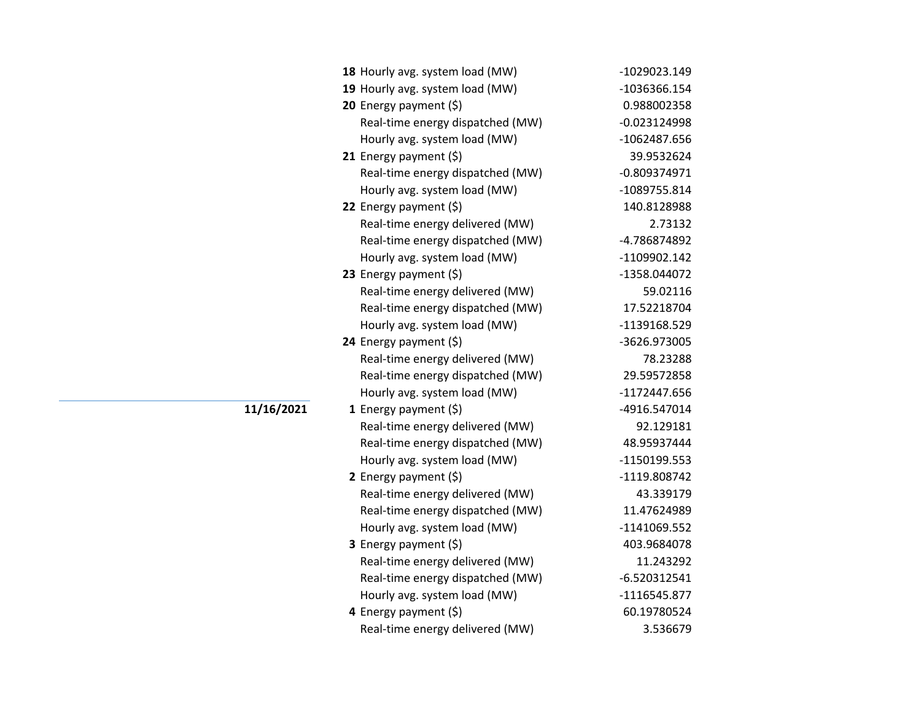|            | 18 Hourly avg. system load (MW)  | -1029023.149   |
|------------|----------------------------------|----------------|
|            | 19 Hourly avg. system load (MW)  | -1036366.154   |
|            | 20 Energy payment (\$)           | 0.988002358    |
|            | Real-time energy dispatched (MW) | $-0.023124998$ |
|            | Hourly avg. system load (MW)     | -1062487.656   |
|            | <b>21</b> Energy payment $(\xi)$ | 39.9532624     |
|            | Real-time energy dispatched (MW) | $-0.809374971$ |
|            | Hourly avg. system load (MW)     | -1089755.814   |
|            | 22 Energy payment (\$)           | 140.8128988    |
|            | Real-time energy delivered (MW)  | 2.73132        |
|            | Real-time energy dispatched (MW) | -4.786874892   |
|            | Hourly avg. system load (MW)     | -1109902.142   |
|            | 23 Energy payment (\$)           | -1358.044072   |
|            | Real-time energy delivered (MW)  | 59.02116       |
|            | Real-time energy dispatched (MW) | 17.52218704    |
|            | Hourly avg. system load (MW)     | -1139168.529   |
|            | 24 Energy payment (\$)           | -3626.973005   |
|            | Real-time energy delivered (MW)  | 78.23288       |
|            | Real-time energy dispatched (MW) | 29.59572858    |
|            | Hourly avg. system load (MW)     | -1172447.656   |
| 11/16/2021 | 1 Energy payment $(\xi)$         | -4916.547014   |
|            | Real-time energy delivered (MW)  | 92.129181      |
|            | Real-time energy dispatched (MW) | 48.95937444    |
|            | Hourly avg. system load (MW)     | -1150199.553   |
|            | 2 Energy payment $(\xi)$         | -1119.808742   |
|            | Real-time energy delivered (MW)  | 43.339179      |
|            | Real-time energy dispatched (MW) | 11.47624989    |
|            | Hourly avg. system load (MW)     | -1141069.552   |
|            | <b>3</b> Energy payment $(\xi)$  | 403.9684078    |
|            | Real-time energy delivered (MW)  | 11.243292      |
|            | Real-time energy dispatched (MW) | $-6.520312541$ |
|            | Hourly avg. system load (MW)     | $-1116545.877$ |
|            | 4 Energy payment (\$)            | 60.19780524    |
|            | Real-time energy delivered (MW)  | 3.536679       |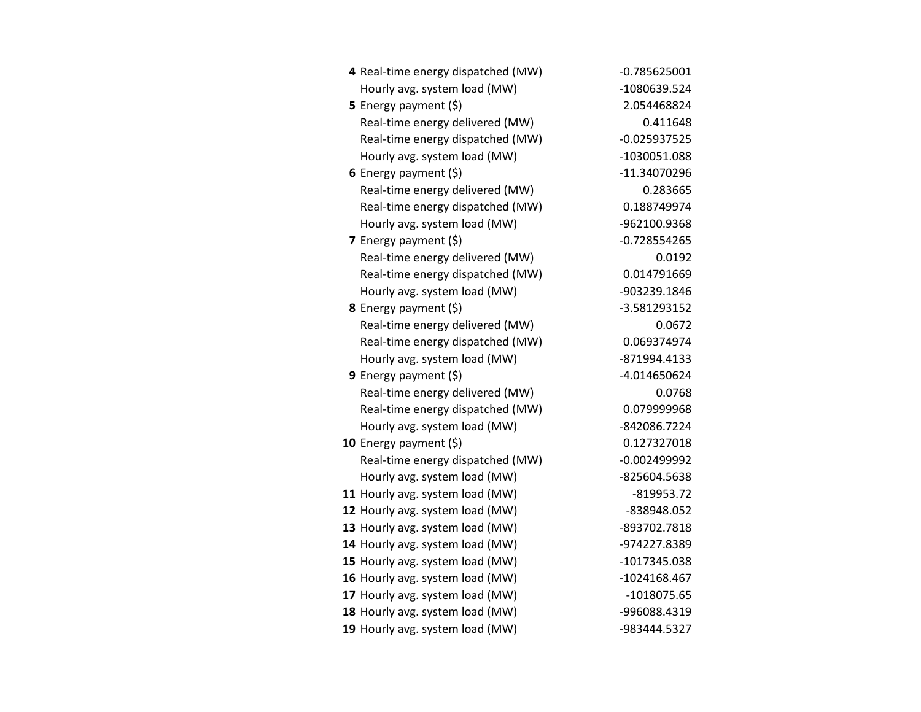| 4 Real-time energy dispatched (MW) | $-0.785625001$ |
|------------------------------------|----------------|
| Hourly avg. system load (MW)       | -1080639.524   |
| 5 Energy payment $(5)$             | 2.054468824    |
| Real-time energy delivered (MW)    | 0.411648       |
| Real-time energy dispatched (MW)   | $-0.025937525$ |
| Hourly avg. system load (MW)       | -1030051.088   |
| 6 Energy payment $(5)$             | -11.34070296   |
| Real-time energy delivered (MW)    | 0.283665       |
| Real-time energy dispatched (MW)   | 0.188749974    |
| Hourly avg. system load (MW)       | -962100.9368   |
| 7 Energy payment (\$)              | $-0.728554265$ |
| Real-time energy delivered (MW)    | 0.0192         |
| Real-time energy dispatched (MW)   | 0.014791669    |
| Hourly avg. system load (MW)       | -903239.1846   |
| 8 Energy payment (\$)              | -3.581293152   |
| Real-time energy delivered (MW)    | 0.0672         |
| Real-time energy dispatched (MW)   | 0.069374974    |
| Hourly avg. system load (MW)       | -871994.4133   |
| <b>9</b> Energy payment $(\xi)$    | -4.014650624   |
| Real-time energy delivered (MW)    | 0.0768         |
| Real-time energy dispatched (MW)   | 0.079999968    |
| Hourly avg. system load (MW)       | -842086.7224   |
| 10 Energy payment $(\xi)$          | 0.127327018    |
| Real-time energy dispatched (MW)   | $-0.002499992$ |
| Hourly avg. system load (MW)       | -825604.5638   |
| 11 Hourly avg. system load (MW)    | $-819953.72$   |
| 12 Hourly avg. system load (MW)    | -838948.052    |
| 13 Hourly avg. system load (MW)    | -893702.7818   |
| 14 Hourly avg. system load (MW)    | -974227.8389   |
| 15 Hourly avg. system load (MW)    | -1017345.038   |
| 16 Hourly avg. system load (MW)    | $-1024168.467$ |
| 17 Hourly avg. system load (MW)    | $-1018075.65$  |
| 18 Hourly avg. system load (MW)    | -996088.4319   |
| 19 Hourly avg. system load (MW)    | -983444.5327   |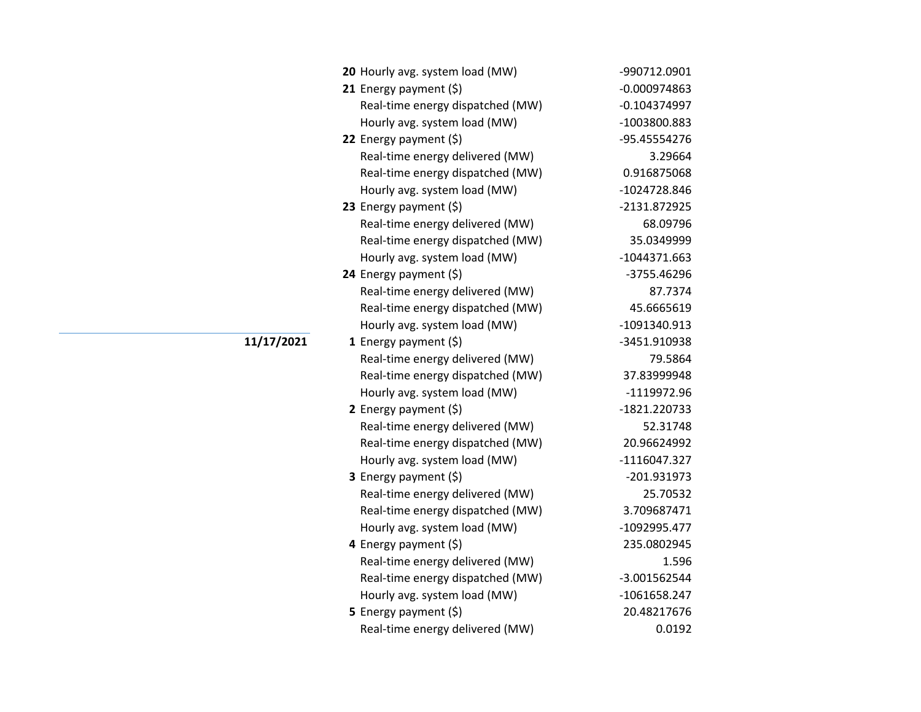## **11/17/2021**

| 20 Hourly avg. system load (MW)  | -990712.0901   |
|----------------------------------|----------------|
| 21 Energy payment $(\xi)$        | $-0.000974863$ |
| Real-time energy dispatched (MW) | $-0.104374997$ |
| Hourly avg. system load (MW)     | -1003800.883   |
| 22 Energy payment (\$)           | -95.45554276   |
| Real-time energy delivered (MW)  | 3.29664        |
| Real-time energy dispatched (MW) | 0.916875068    |
| Hourly avg. system load (MW)     | -1024728.846   |
| 23 Energy payment $(\xi)$        | -2131.872925   |
| Real-time energy delivered (MW)  | 68.09796       |
| Real-time energy dispatched (MW) | 35.0349999     |
| Hourly avg. system load (MW)     | $-1044371.663$ |
| 24 Energy payment $(\xi)$        | -3755.46296    |
| Real-time energy delivered (MW)  | 87.7374        |
| Real-time energy dispatched (MW) | 45.6665619     |
| Hourly avg. system load (MW)     | -1091340.913   |
| 1 Energy payment $(\xi)$         | -3451.910938   |
| Real-time energy delivered (MW)  | 79.5864        |
| Real-time energy dispatched (MW) | 37.83999948    |
| Hourly avg. system load (MW)     | -1119972.96    |
| 2 Energy payment $(\xi)$         | -1821.220733   |
| Real-time energy delivered (MW)  | 52.31748       |
| Real-time energy dispatched (MW) | 20.96624992    |
| Hourly avg. system load (MW)     | $-1116047.327$ |
| 3 Energy payment (\$)            | -201.931973    |
| Real-time energy delivered (MW)  | 25.70532       |
| Real-time energy dispatched (MW) | 3.709687471    |
| Hourly avg. system load (MW)     | -1092995.477   |
| 4 Energy payment (\$)            | 235.0802945    |
| Real-time energy delivered (MW)  | 1.596          |
| Real-time energy dispatched (MW) | -3.001562544   |
| Hourly avg. system load (MW)     | $-1061658.247$ |
| 5 Energy payment $(\xi)$         | 20.48217676    |
| Real-time energy delivered (MW)  | 0.0192         |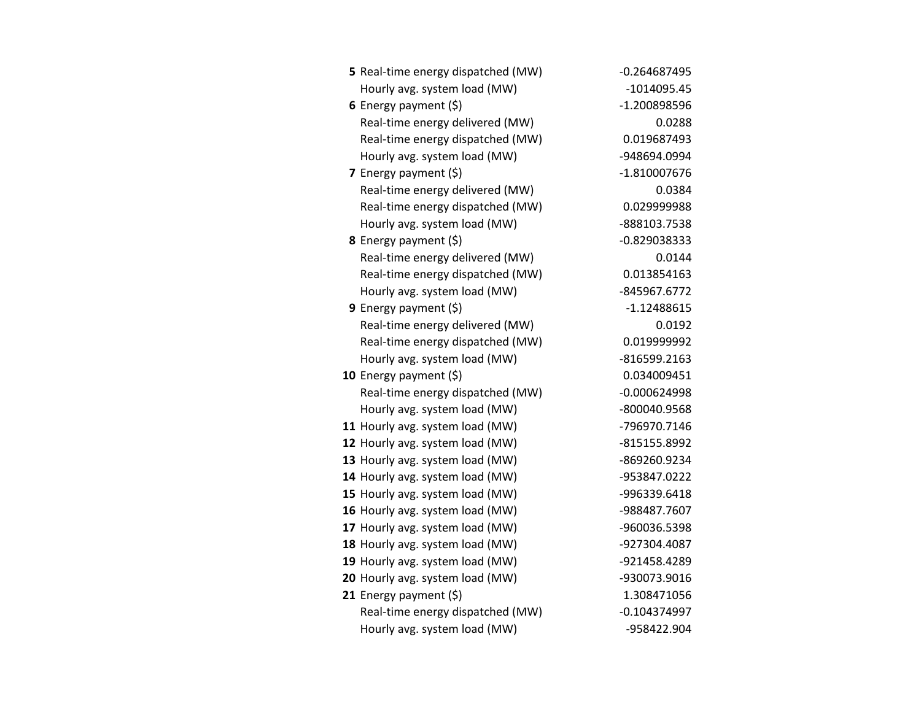| 5 Real-time energy dispatched (MW) | $-0.264687495$ |
|------------------------------------|----------------|
| Hourly avg. system load (MW)       | -1014095.45    |
| 6 Energy payment $(\xi)$           | -1.200898596   |
| Real-time energy delivered (MW)    | 0.0288         |
| Real-time energy dispatched (MW)   | 0.019687493    |
| Hourly avg. system load (MW)       | -948694.0994   |
| 7 Energy payment $(\xi)$           | $-1.810007676$ |
| Real-time energy delivered (MW)    | 0.0384         |
| Real-time energy dispatched (MW)   | 0.029999988    |
| Hourly avg. system load (MW)       | -888103.7538   |
| 8 Energy payment (\$)              | -0.829038333   |
| Real-time energy delivered (MW)    | 0.0144         |
| Real-time energy dispatched (MW)   | 0.013854163    |
| Hourly avg. system load (MW)       | -845967.6772   |
| 9 Energy payment $(\xi)$           | $-1.12488615$  |
| Real-time energy delivered (MW)    | 0.0192         |
| Real-time energy dispatched (MW)   | 0.019999992    |
| Hourly avg. system load (MW)       | -816599.2163   |
| 10 Energy payment $(\xi)$          | 0.034009451    |
| Real-time energy dispatched (MW)   | $-0.000624998$ |
| Hourly avg. system load (MW)       | -800040.9568   |
| 11 Hourly avg. system load (MW)    | -796970.7146   |
| 12 Hourly avg. system load (MW)    | -815155.8992   |
| 13 Hourly avg. system load (MW)    | -869260.9234   |
| 14 Hourly avg. system load (MW)    | -953847.0222   |
| 15 Hourly avg. system load (MW)    | -996339.6418   |
| 16 Hourly avg. system load (MW)    | -988487.7607   |
| 17 Hourly avg. system load (MW)    | -960036.5398   |
| 18 Hourly avg. system load (MW)    | -927304.4087   |
| 19 Hourly avg. system load (MW)    | -921458.4289   |
| 20 Hourly avg. system load (MW)    | -930073.9016   |
| 21 Energy payment $(\xi)$          | 1.308471056    |
| Real-time energy dispatched (MW)   | $-0.104374997$ |
| Hourly avg. system load (MW)       | -958422.904    |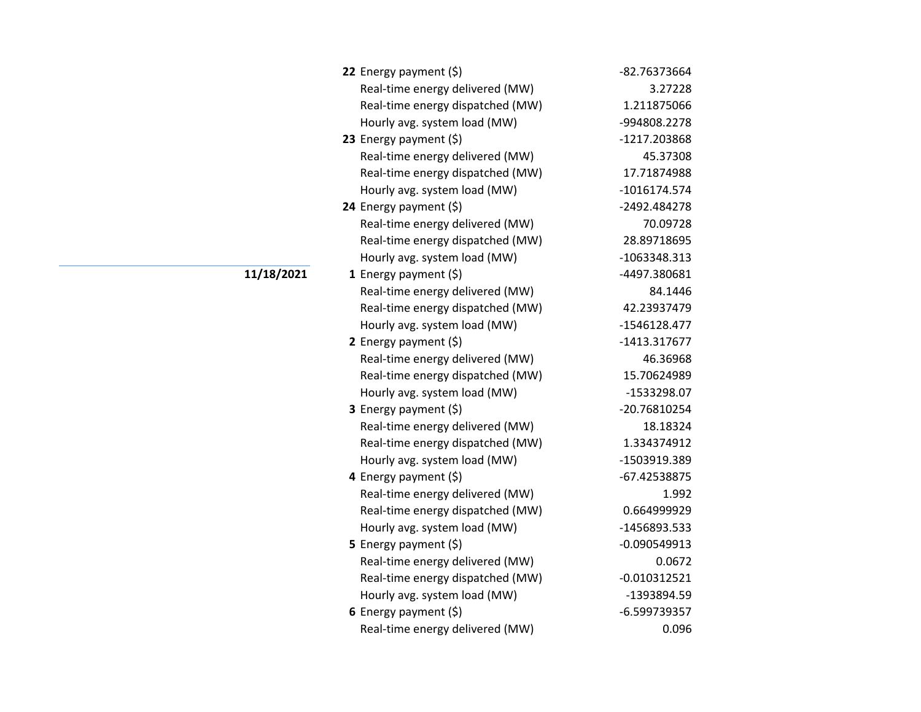| 22 Energy payment $(\xi)$        | -82.76373664   |
|----------------------------------|----------------|
| Real-time energy delivered (MW)  | 3.27228        |
| Real-time energy dispatched (MW) | 1.211875066    |
| Hourly avg. system load (MW)     | -994808.2278   |
| 23 Energy payment $(\xi)$        | -1217.203868   |
| Real-time energy delivered (MW)  | 45.37308       |
| Real-time energy dispatched (MW) | 17.71874988    |
| Hourly avg. system load (MW)     | -1016174.574   |
| 24 Energy payment (\$)           | -2492.484278   |
| Real-time energy delivered (MW)  | 70.09728       |
| Real-time energy dispatched (MW) | 28.89718695    |
| Hourly avg. system load (MW)     | -1063348.313   |
| 1 Energy payment $(\$)$          | -4497.380681   |
| Real-time energy delivered (MW)  | 84.1446        |
| Real-time energy dispatched (MW) | 42.23937479    |
| Hourly avg. system load (MW)     | -1546128.477   |
| 2 Energy payment $(\xi)$         | -1413.317677   |
| Real-time energy delivered (MW)  | 46.36968       |
| Real-time energy dispatched (MW) | 15.70624989    |
| Hourly avg. system load (MW)     | -1533298.07    |
| <b>3</b> Energy payment $(\xi)$  | -20.76810254   |
| Real-time energy delivered (MW)  | 18.18324       |
| Real-time energy dispatched (MW) | 1.334374912    |
| Hourly avg. system load (MW)     | -1503919.389   |
| 4 Energy payment (\$)            | -67.42538875   |
| Real-time energy delivered (MW)  | 1.992          |
| Real-time energy dispatched (MW) | 0.664999929    |
| Hourly avg. system load (MW)     | -1456893.533   |
| <b>5</b> Energy payment $(\xi)$  | $-0.090549913$ |
| Real-time energy delivered (MW)  | 0.0672         |
| Real-time energy dispatched (MW) | $-0.010312521$ |
| Hourly avg. system load (MW)     | -1393894.59    |
| 6 Energy payment $(\xi)$         | -6.599739357   |
| Real-time energy delivered (MW)  | 0.096          |

**11/18/2021**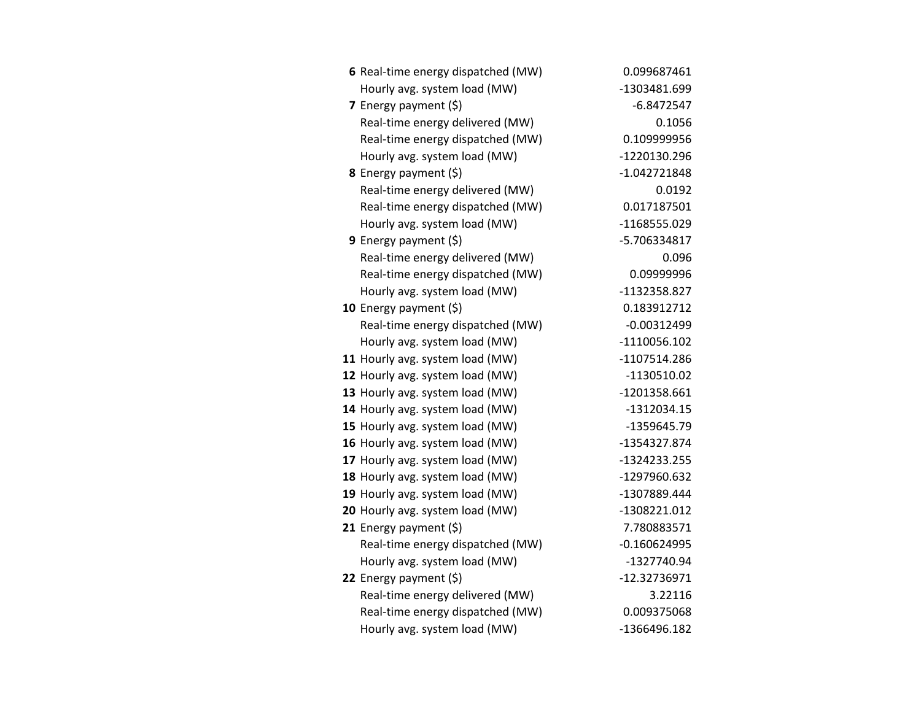| 6 Real-time energy dispatched (MW) | 0.099687461    |
|------------------------------------|----------------|
| Hourly avg. system load (MW)       | -1303481.699   |
| 7 Energy payment $(5)$             | -6.8472547     |
| Real-time energy delivered (MW)    | 0.1056         |
| Real-time energy dispatched (MW)   | 0.109999956    |
| Hourly avg. system load (MW)       | -1220130.296   |
| 8 Energy payment (\$)              | $-1.042721848$ |
| Real-time energy delivered (MW)    | 0.0192         |
| Real-time energy dispatched (MW)   | 0.017187501    |
| Hourly avg. system load (MW)       | -1168555.029   |
| 9 Energy payment $(\xi)$           | -5.706334817   |
| Real-time energy delivered (MW)    | 0.096          |
| Real-time energy dispatched (MW)   | 0.09999996     |
| Hourly avg. system load (MW)       | -1132358.827   |
| 10 Energy payment (\$)             | 0.183912712    |
| Real-time energy dispatched (MW)   | $-0.00312499$  |
| Hourly avg. system load (MW)       | $-1110056.102$ |
| 11 Hourly avg. system load (MW)    | -1107514.286   |
| 12 Hourly avg. system load (MW)    | $-1130510.02$  |
| 13 Hourly avg. system load (MW)    | -1201358.661   |
| 14 Hourly avg. system load (MW)    | $-1312034.15$  |
| 15 Hourly avg. system load (MW)    | -1359645.79    |
| 16 Hourly avg. system load (MW)    | -1354327.874   |
| 17 Hourly avg. system load (MW)    | -1324233.255   |
| 18 Hourly avg. system load (MW)    | -1297960.632   |
| 19 Hourly avg. system load (MW)    | -1307889.444   |
| 20 Hourly avg. system load (MW)    | -1308221.012   |
| 21 Energy payment $(\xi)$          | 7.780883571    |
| Real-time energy dispatched (MW)   | $-0.160624995$ |
| Hourly avg. system load (MW)       | -1327740.94    |
| 22 Energy payment $(\xi)$          | -12.32736971   |
| Real-time energy delivered (MW)    | 3.22116        |
| Real-time energy dispatched (MW)   | 0.009375068    |
| Hourly avg. system load (MW)       | -1366496.182   |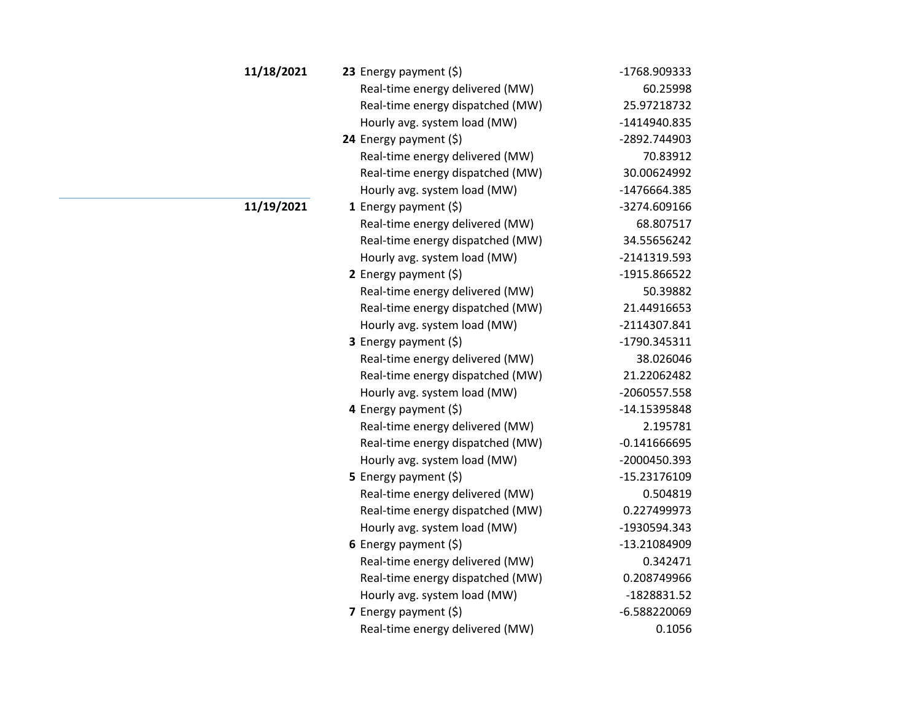| 11/18/2021 | 23 Energy payment $(\xi)$        | -1768.909333   |
|------------|----------------------------------|----------------|
|            | Real-time energy delivered (MW)  | 60.25998       |
|            | Real-time energy dispatched (MW) | 25.97218732    |
|            | Hourly avg. system load (MW)     | -1414940.835   |
|            | 24 Energy payment $(\xi)$        | -2892.744903   |
|            | Real-time energy delivered (MW)  | 70.83912       |
|            | Real-time energy dispatched (MW) | 30.00624992    |
|            | Hourly avg. system load (MW)     | -1476664.385   |
| 11/19/2021 | 1 Energy payment $(\xi)$         | -3274.609166   |
|            | Real-time energy delivered (MW)  | 68.807517      |
|            | Real-time energy dispatched (MW) | 34.55656242    |
|            | Hourly avg. system load (MW)     | -2141319.593   |
|            | 2 Energy payment $(5)$           | -1915.866522   |
|            | Real-time energy delivered (MW)  | 50.39882       |
|            | Real-time energy dispatched (MW) | 21.44916653    |
|            | Hourly avg. system load (MW)     | -2114307.841   |
|            | 3 Energy payment (\$)            | -1790.345311   |
|            | Real-time energy delivered (MW)  | 38.026046      |
|            | Real-time energy dispatched (MW) | 21.22062482    |
|            | Hourly avg. system load (MW)     | -2060557.558   |
|            | 4 Energy payment (\$)            | -14.15395848   |
|            | Real-time energy delivered (MW)  | 2.195781       |
|            | Real-time energy dispatched (MW) | $-0.141666695$ |
|            | Hourly avg. system load (MW)     | -2000450.393   |
|            | <b>5</b> Energy payment $(\xi)$  | -15.23176109   |
|            | Real-time energy delivered (MW)  | 0.504819       |
|            | Real-time energy dispatched (MW) | 0.227499973    |
|            | Hourly avg. system load (MW)     | -1930594.343   |
|            | 6 Energy payment $(5)$           | -13.21084909   |
|            | Real-time energy delivered (MW)  | 0.342471       |
|            | Real-time energy dispatched (MW) | 0.208749966    |
|            | Hourly avg. system load (MW)     | -1828831.52    |
|            | 7 Energy payment (\$)            | $-6.588220069$ |
|            | Real-time energy delivered (MW)  | 0.1056         |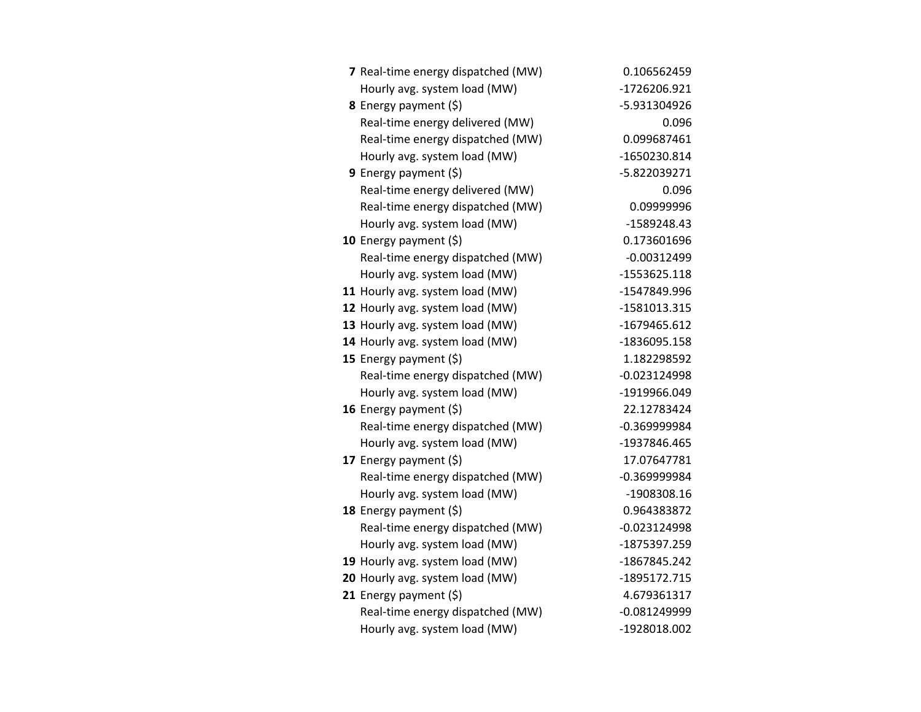| 7 Real-time energy dispatched (MW) | 0.106562459    |
|------------------------------------|----------------|
| Hourly avg. system load (MW)       | -1726206.921   |
| 8 Energy payment (\$)              | -5.931304926   |
| Real-time energy delivered (MW)    | 0.096          |
| Real-time energy dispatched (MW)   | 0.099687461    |
| Hourly avg. system load (MW)       | -1650230.814   |
| <b>9</b> Energy payment $(\xi)$    | -5.822039271   |
| Real-time energy delivered (MW)    | 0.096          |
| Real-time energy dispatched (MW)   | 0.09999996     |
| Hourly avg. system load (MW)       | -1589248.43    |
| 10 Energy payment $(\xi)$          | 0.173601696    |
| Real-time energy dispatched (MW)   | $-0.00312499$  |
| Hourly avg. system load (MW)       | -1553625.118   |
| 11 Hourly avg. system load (MW)    | -1547849.996   |
| 12 Hourly avg. system load (MW)    | -1581013.315   |
| 13 Hourly avg. system load (MW)    | -1679465.612   |
| 14 Hourly avg. system load (MW)    | -1836095.158   |
| 15 Energy payment $(\xi)$          | 1.182298592    |
| Real-time energy dispatched (MW)   | $-0.023124998$ |
| Hourly avg. system load (MW)       | -1919966.049   |
| 16 Energy payment (\$)             | 22.12783424    |
| Real-time energy dispatched (MW)   | $-0.369999984$ |
| Hourly avg. system load (MW)       | -1937846.465   |
| 17 Energy payment (\$)             | 17.07647781    |
| Real-time energy dispatched (MW)   | $-0.369999984$ |
| Hourly avg. system load (MW)       | -1908308.16    |
| 18 Energy payment $(\xi)$          | 0.964383872    |
| Real-time energy dispatched (MW)   | $-0.023124998$ |
| Hourly avg. system load (MW)       | -1875397.259   |
| 19 Hourly avg. system load (MW)    | -1867845.242   |
| 20 Hourly avg. system load (MW)    | -1895172.715   |
| 21 Energy payment $(\xi)$          | 4.679361317    |
| Real-time energy dispatched (MW)   | $-0.081249999$ |
| Hourly avg. system load (MW)       | -1928018.002   |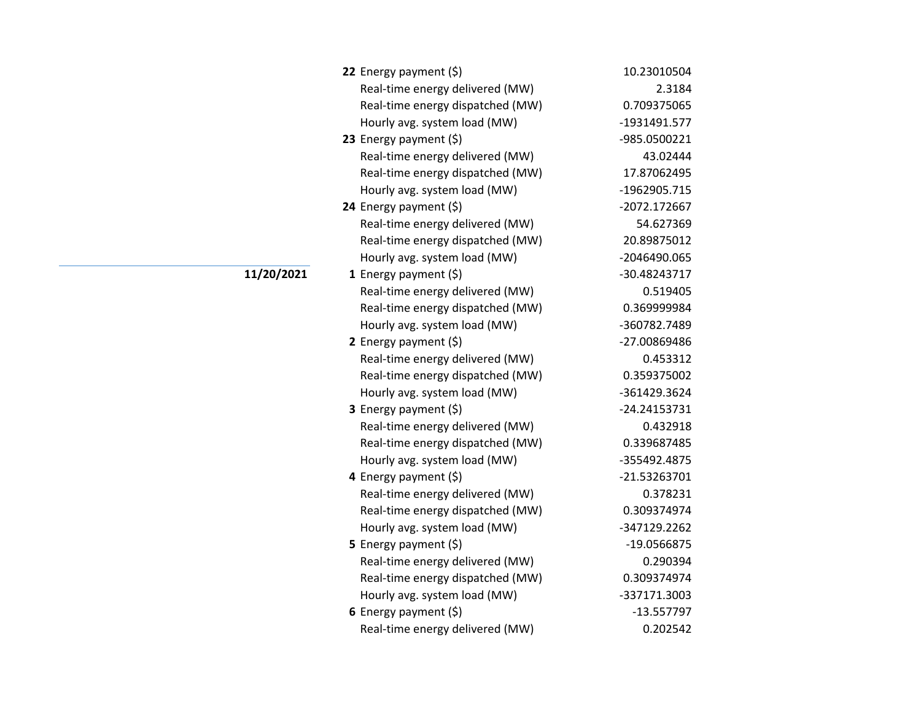| 22 Energy payment $(\xi)$        | 10.23010504    |
|----------------------------------|----------------|
| Real-time energy delivered (MW)  | 2.3184         |
| Real-time energy dispatched (MW) | 0.709375065    |
| Hourly avg. system load (MW)     | -1931491.577   |
| 23 Energy payment $(\xi)$        | -985.0500221   |
| Real-time energy delivered (MW)  | 43.02444       |
| Real-time energy dispatched (MW) | 17.87062495    |
| Hourly avg. system load (MW)     | -1962905.715   |
| 24 Energy payment (\$)           | -2072.172667   |
| Real-time energy delivered (MW)  | 54.627369      |
| Real-time energy dispatched (MW) | 20.89875012    |
| Hourly avg. system load (MW)     | -2046490.065   |
| 1 Energy payment $(\xi)$         | -30.48243717   |
| Real-time energy delivered (MW)  | 0.519405       |
| Real-time energy dispatched (MW) | 0.369999984    |
| Hourly avg. system load (MW)     | -360782.7489   |
| 2 Energy payment $(\xi)$         | -27.00869486   |
| Real-time energy delivered (MW)  | 0.453312       |
| Real-time energy dispatched (MW) | 0.359375002    |
| Hourly avg. system load (MW)     | -361429.3624   |
| 3 Energy payment (\$)            | $-24.24153731$ |
| Real-time energy delivered (MW)  | 0.432918       |
| Real-time energy dispatched (MW) | 0.339687485    |
| Hourly avg. system load (MW)     | -355492.4875   |
| 4 Energy payment (\$)            | $-21.53263701$ |
| Real-time energy delivered (MW)  | 0.378231       |
| Real-time energy dispatched (MW) | 0.309374974    |
| Hourly avg. system load (MW)     | -347129.2262   |
| <b>5</b> Energy payment $(\xi)$  | -19.0566875    |
| Real-time energy delivered (MW)  | 0.290394       |
| Real-time energy dispatched (MW) | 0.309374974    |
| Hourly avg. system load (MW)     | -337171.3003   |
| 6 Energy payment (\$)            | $-13.557797$   |
| Real-time energy delivered (MW)  | 0.202542       |

**11/20/2021**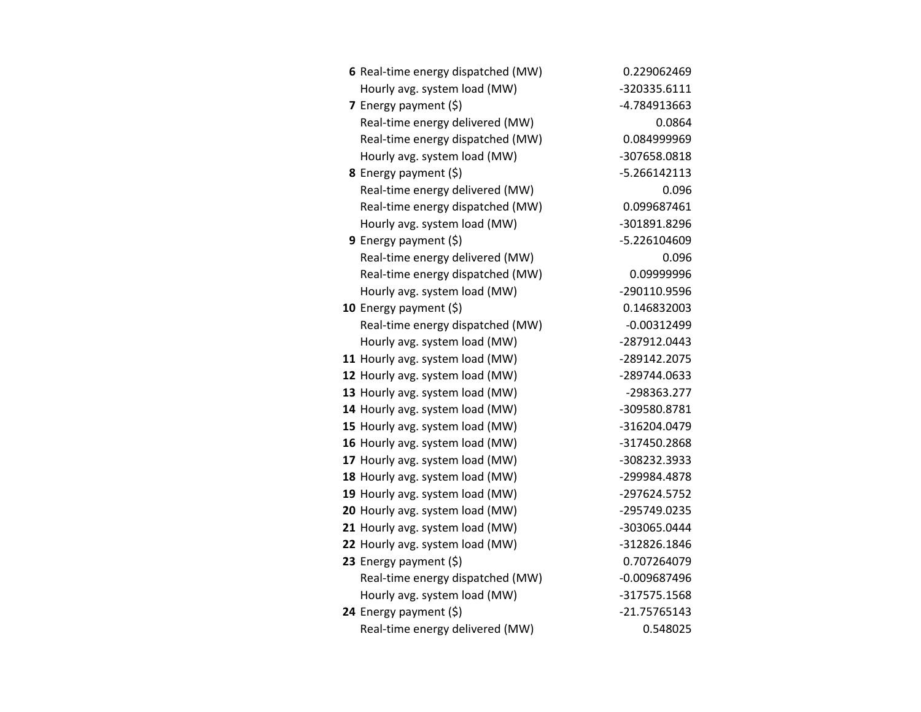| 6 Real-time energy dispatched (MW) | 0.229062469    |
|------------------------------------|----------------|
| Hourly avg. system load (MW)       | -320335.6111   |
| 7 Energy payment (\$)              | -4.784913663   |
| Real-time energy delivered (MW)    | 0.0864         |
| Real-time energy dispatched (MW)   | 0.084999969    |
| Hourly avg. system load (MW)       | -307658.0818   |
| <b>8</b> Energy payment $(\xi)$    | $-5.266142113$ |
| Real-time energy delivered (MW)    | 0.096          |
| Real-time energy dispatched (MW)   | 0.099687461    |
| Hourly avg. system load (MW)       | -301891.8296   |
| <b>9</b> Energy payment $(\xi)$    | -5.226104609   |
| Real-time energy delivered (MW)    | 0.096          |
| Real-time energy dispatched (MW)   | 0.09999996     |
| Hourly avg. system load (MW)       | -290110.9596   |
| 10 Energy payment $(\xi)$          | 0.146832003    |
| Real-time energy dispatched (MW)   | $-0.00312499$  |
| Hourly avg. system load (MW)       | -287912.0443   |
| 11 Hourly avg. system load (MW)    | -289142.2075   |
| 12 Hourly avg. system load (MW)    | -289744.0633   |
| 13 Hourly avg. system load (MW)    | -298363.277    |
| 14 Hourly avg. system load (MW)    | -309580.8781   |
| 15 Hourly avg. system load (MW)    | -316204.0479   |
| 16 Hourly avg. system load (MW)    | -317450.2868   |
| 17 Hourly avg. system load (MW)    | -308232.3933   |
| 18 Hourly avg. system load (MW)    | -299984.4878   |
| 19 Hourly avg. system load (MW)    | -297624.5752   |
| 20 Hourly avg. system load (MW)    | -295749.0235   |
| 21 Hourly avg. system load (MW)    | -303065.0444   |
| 22 Hourly avg. system load (MW)    | -312826.1846   |
| 23 Energy payment $(\xi)$          | 0.707264079    |
| Real-time energy dispatched (MW)   | $-0.009687496$ |
| Hourly avg. system load (MW)       | -317575.1568   |
| 24 Energy payment $(\xi)$          | $-21.75765143$ |
| Real-time energy delivered (MW)    | 0.548025       |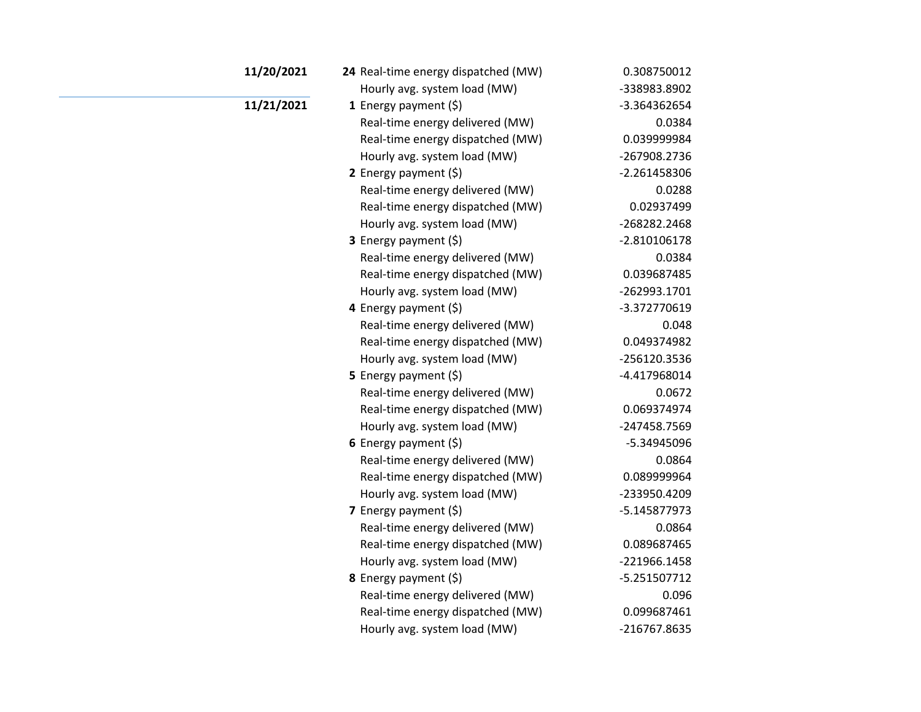| 11/20/2021 | 24 Real-time energy dispatched (MW) | 0.308750012    |
|------------|-------------------------------------|----------------|
|            | Hourly avg. system load (MW)        | -338983.8902   |
| 11/21/2021 | 1 Energy payment $(\xi)$            | -3.364362654   |
|            | Real-time energy delivered (MW)     | 0.0384         |
|            | Real-time energy dispatched (MW)    | 0.039999984    |
|            | Hourly avg. system load (MW)        | -267908.2736   |
|            | 2 Energy payment $(\xi)$            | -2.261458306   |
|            | Real-time energy delivered (MW)     | 0.0288         |
|            | Real-time energy dispatched (MW)    | 0.02937499     |
|            | Hourly avg. system load (MW)        | -268282.2468   |
|            | 3 Energy payment (\$)               | $-2.810106178$ |
|            | Real-time energy delivered (MW)     | 0.0384         |
|            | Real-time energy dispatched (MW)    | 0.039687485    |
|            | Hourly avg. system load (MW)        | -262993.1701   |
|            | 4 Energy payment (\$)               | -3.372770619   |
|            | Real-time energy delivered (MW)     | 0.048          |
|            | Real-time energy dispatched (MW)    | 0.049374982    |
|            | Hourly avg. system load (MW)        | -256120.3536   |
|            | 5 Energy payment $(\xi)$            | -4.417968014   |
|            | Real-time energy delivered (MW)     | 0.0672         |
|            | Real-time energy dispatched (MW)    | 0.069374974    |
|            | Hourly avg. system load (MW)        | -247458.7569   |
|            | 6 Energy payment $(5)$              | -5.34945096    |
|            | Real-time energy delivered (MW)     | 0.0864         |
|            | Real-time energy dispatched (MW)    | 0.089999964    |
|            | Hourly avg. system load (MW)        | -233950.4209   |
|            | 7 Energy payment $(5)$              | -5.145877973   |
|            | Real-time energy delivered (MW)     | 0.0864         |
|            | Real-time energy dispatched (MW)    | 0.089687465    |
|            | Hourly avg. system load (MW)        | -221966.1458   |
|            | 8 Energy payment (\$)               | $-5.251507712$ |
|            | Real-time energy delivered (MW)     | 0.096          |
|            | Real-time energy dispatched (MW)    | 0.099687461    |
|            | Hourly avg. system load (MW)        | -216767.8635   |
|            |                                     |                |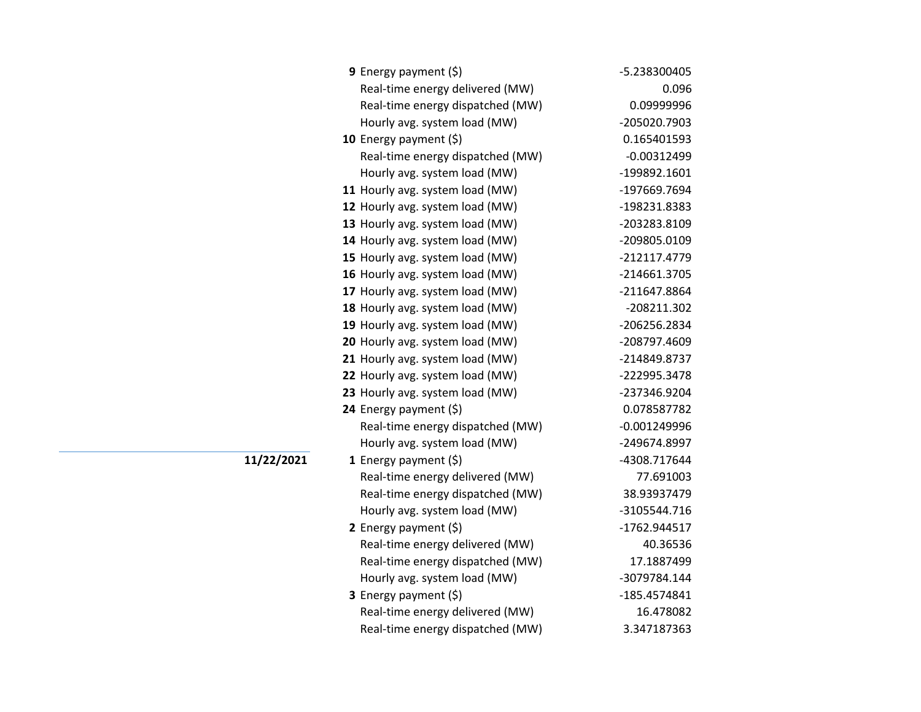| <b>9</b> Energy payment $(\xi)$  | -5.238300405   |
|----------------------------------|----------------|
| Real-time energy delivered (MW)  | 0.096          |
| Real-time energy dispatched (MW) | 0.09999996     |
| Hourly avg. system load (MW)     | -205020.7903   |
| 10 Energy payment (\$)           | 0.165401593    |
| Real-time energy dispatched (MW) | $-0.00312499$  |
| Hourly avg. system load (MW)     | -199892.1601   |
| 11 Hourly avg. system load (MW)  | -197669.7694   |
| 12 Hourly avg. system load (MW)  | -198231.8383   |
| 13 Hourly avg. system load (MW)  | -203283.8109   |
| 14 Hourly avg. system load (MW)  | -209805.0109   |
| 15 Hourly avg. system load (MW)  | -212117.4779   |
| 16 Hourly avg. system load (MW)  | -214661.3705   |
| 17 Hourly avg. system load (MW)  | -211647.8864   |
| 18 Hourly avg. system load (MW)  | -208211.302    |
| 19 Hourly avg. system load (MW)  | -206256.2834   |
| 20 Hourly avg. system load (MW)  | -208797.4609   |
| 21 Hourly avg. system load (MW)  | -214849.8737   |
| 22 Hourly avg. system load (MW)  | -222995.3478   |
| 23 Hourly avg. system load (MW)  | -237346.9204   |
| 24 Energy payment (\$)           | 0.078587782    |
| Real-time energy dispatched (MW) | $-0.001249996$ |
| Hourly avg. system load (MW)     | -249674.8997   |
| 1 Energy payment $(\xi)$         | -4308.717644   |
| Real-time energy delivered (MW)  | 77.691003      |
| Real-time energy dispatched (MW) | 38.93937479    |
| Hourly avg. system load (MW)     | -3105544.716   |
| 2 Energy payment $(\xi)$         | -1762.944517   |
| Real-time energy delivered (MW)  | 40.36536       |
| Real-time energy dispatched (MW) | 17.1887499     |
| Hourly avg. system load (MW)     | -3079784.144   |
| <b>3</b> Energy payment $(\xi)$  | -185.4574841   |
| Real-time energy delivered (MW)  | 16.478082      |
| Real-time energy dispatched (MW) | 3.347187363    |

**11/22/2021**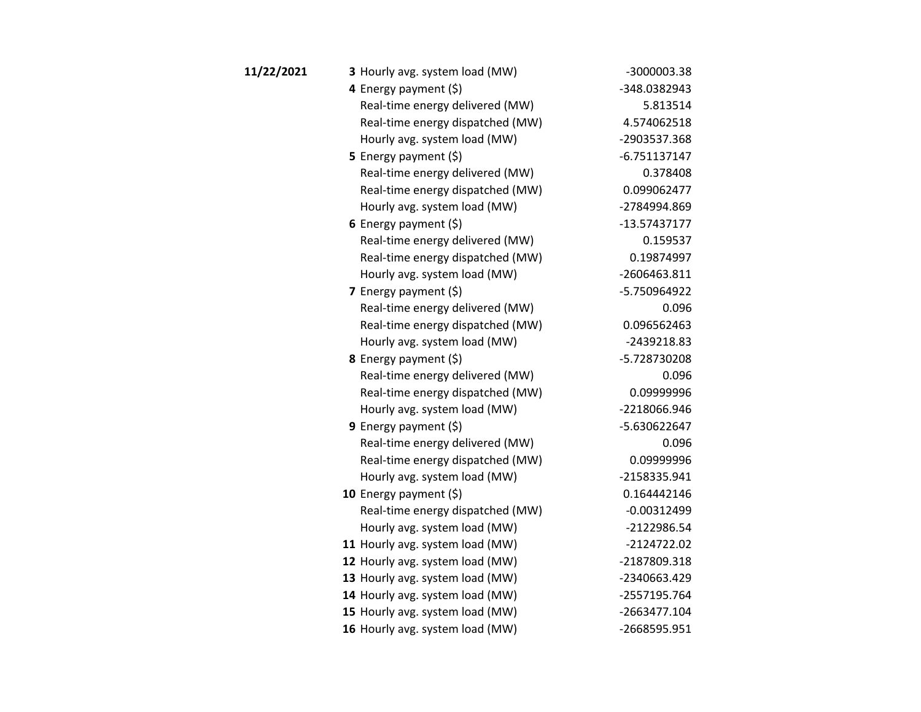| 11/22/2021 | 3 Hourly avg. system load (MW)   | -3000003.38    |
|------------|----------------------------------|----------------|
|            | 4 Energy payment (\$)            | -348.0382943   |
|            | Real-time energy delivered (MW)  | 5.813514       |
|            | Real-time energy dispatched (MW) | 4.574062518    |
|            | Hourly avg. system load (MW)     | -2903537.368   |
|            | 5 Energy payment $(\xi)$         | $-6.751137147$ |
|            | Real-time energy delivered (MW)  | 0.378408       |
|            | Real-time energy dispatched (MW) | 0.099062477    |
|            | Hourly avg. system load (MW)     | -2784994.869   |
|            | 6 Energy payment $(5)$           | $-13.57437177$ |
|            | Real-time energy delivered (MW)  | 0.159537       |
|            | Real-time energy dispatched (MW) | 0.19874997     |
|            | Hourly avg. system load (MW)     | -2606463.811   |
|            | 7 Energy payment $(5)$           | -5.750964922   |
|            | Real-time energy delivered (MW)  | 0.096          |
|            | Real-time energy dispatched (MW) | 0.096562463    |
|            | Hourly avg. system load (MW)     | -2439218.83    |
|            | <b>8</b> Energy payment $(\xi)$  | -5.728730208   |
|            | Real-time energy delivered (MW)  | 0.096          |
|            | Real-time energy dispatched (MW) | 0.09999996     |
|            | Hourly avg. system load (MW)     | -2218066.946   |
|            | 9 Energy payment $(5)$           | -5.630622647   |
|            | Real-time energy delivered (MW)  | 0.096          |
|            | Real-time energy dispatched (MW) | 0.09999996     |
|            | Hourly avg. system load (MW)     | -2158335.941   |
|            | 10 Energy payment $(5)$          | 0.164442146    |
|            | Real-time energy dispatched (MW) | $-0.00312499$  |
|            | Hourly avg. system load (MW)     | -2122986.54    |
|            | 11 Hourly avg. system load (MW)  | -2124722.02    |
|            | 12 Hourly avg. system load (MW)  | -2187809.318   |
|            | 13 Hourly avg. system load (MW)  | -2340663.429   |
|            | 14 Hourly avg. system load (MW)  | -2557195.764   |
|            | 15 Hourly avg. system load (MW)  | -2663477.104   |
|            | 16 Hourly avg. system load (MW)  | -2668595.951   |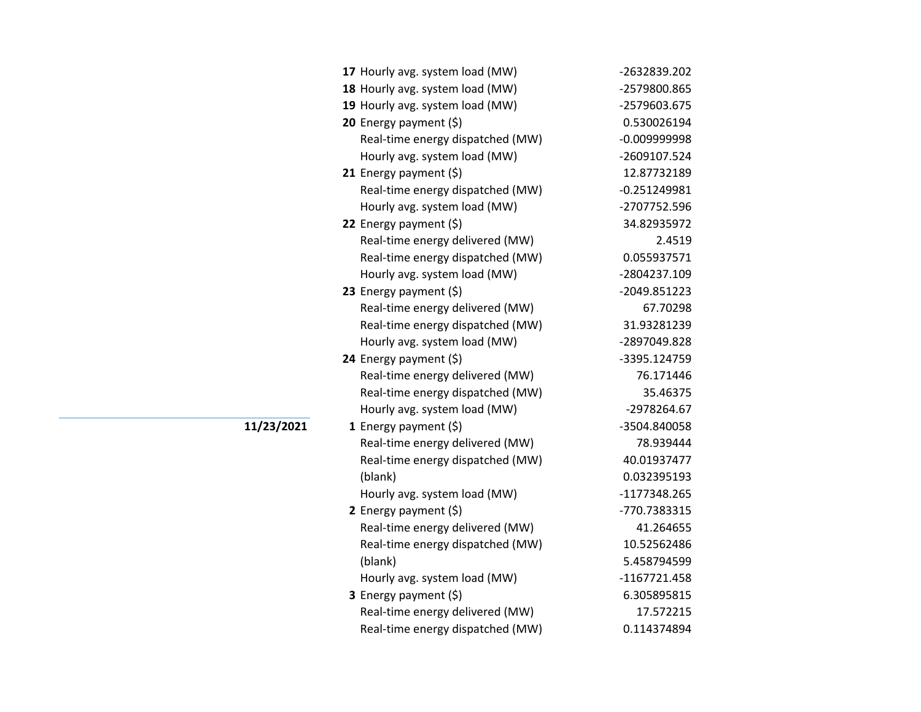| 17 Hourly avg. system load (MW)  | -2632839.202   |
|----------------------------------|----------------|
| 18 Hourly avg. system load (MW)  | -2579800.865   |
| 19 Hourly avg. system load (MW)  | -2579603.675   |
| 20 Energy payment (\$)           | 0.530026194    |
| Real-time energy dispatched (MW) | $-0.009999998$ |
| Hourly avg. system load (MW)     | -2609107.524   |
| 21 Energy payment (\$)           | 12.87732189    |
| Real-time energy dispatched (MW) | $-0.251249981$ |
| Hourly avg. system load (MW)     | -2707752.596   |
| 22 Energy payment (\$)           | 34.82935972    |
| Real-time energy delivered (MW)  | 2.4519         |
| Real-time energy dispatched (MW) | 0.055937571    |
| Hourly avg. system load (MW)     | -2804237.109   |
| 23 Energy payment (\$)           | -2049.851223   |
| Real-time energy delivered (MW)  | 67.70298       |
| Real-time energy dispatched (MW) | 31.93281239    |
| Hourly avg. system load (MW)     | -2897049.828   |
| 24 Energy payment (\$)           | -3395.124759   |
| Real-time energy delivered (MW)  | 76.171446      |
| Real-time energy dispatched (MW) | 35.46375       |
| Hourly avg. system load (MW)     | -2978264.67    |
| 1 Energy payment $(\xi)$         | -3504.840058   |
| Real-time energy delivered (MW)  | 78.939444      |
| Real-time energy dispatched (MW) | 40.01937477    |
| (blank)                          | 0.032395193    |
| Hourly avg. system load (MW)     | -1177348.265   |
| 2 Energy payment $(5)$           | -770.7383315   |
| Real-time energy delivered (MW)  | 41.264655      |
| Real-time energy dispatched (MW) | 10.52562486    |
| (blank)                          | 5.458794599    |
| Hourly avg. system load (MW)     | -1167721.458   |
| 3 Energy payment (\$)            | 6.305895815    |
| Real-time energy delivered (MW)  | 17.572215      |
| Real-time energy dispatched (MW) | 0.114374894    |

**11/23/2021**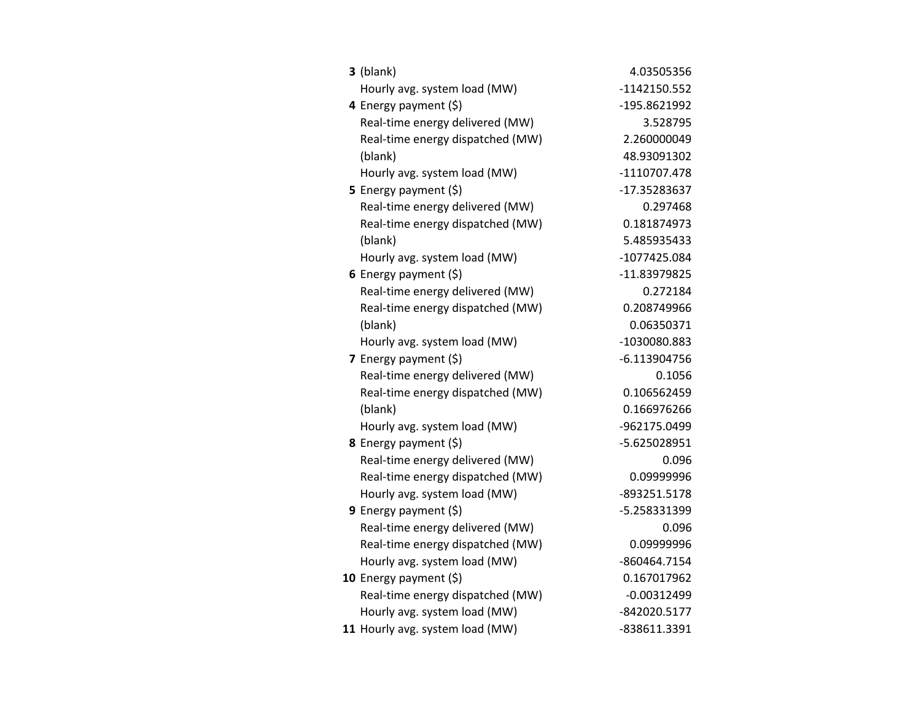| $3$ (blank)                      | 4.03505356     |
|----------------------------------|----------------|
| Hourly avg. system load (MW)     | -1142150.552   |
| 4 Energy payment (\$)            | -195.8621992   |
| Real-time energy delivered (MW)  | 3.528795       |
| Real-time energy dispatched (MW) | 2.260000049    |
| (blank)                          | 48.93091302    |
| Hourly avg. system load (MW)     | -1110707.478   |
| <b>5</b> Energy payment $(\xi)$  | -17.35283637   |
| Real-time energy delivered (MW)  | 0.297468       |
| Real-time energy dispatched (MW) | 0.181874973    |
| (blank)                          | 5.485935433    |
| Hourly avg. system load (MW)     | -1077425.084   |
| 6 Energy payment $(5)$           | -11.83979825   |
| Real-time energy delivered (MW)  | 0.272184       |
| Real-time energy dispatched (MW) | 0.208749966    |
| (blank)                          | 0.06350371     |
| Hourly avg. system load (MW)     | -1030080.883   |
| 7 Energy payment $(\xi)$         | $-6.113904756$ |
| Real-time energy delivered (MW)  | 0.1056         |
| Real-time energy dispatched (MW) | 0.106562459    |
| (blank)                          | 0.166976266    |
| Hourly avg. system load (MW)     | -962175.0499   |
| 8 Energy payment (\$)            | -5.625028951   |
| Real-time energy delivered (MW)  | 0.096          |
| Real-time energy dispatched (MW) | 0.09999996     |
| Hourly avg. system load (MW)     | -893251.5178   |
| <b>9</b> Energy payment $(\xi)$  | -5.258331399   |
| Real-time energy delivered (MW)  | 0.096          |
| Real-time energy dispatched (MW) | 0.09999996     |
| Hourly avg. system load (MW)     | -860464.7154   |
| 10 Energy payment $(\xi)$        | 0.167017962    |
| Real-time energy dispatched (MW) | $-0.00312499$  |
| Hourly avg. system load (MW)     | -842020.5177   |
| 11 Hourly avg. system load (MW)  | -838611.3391   |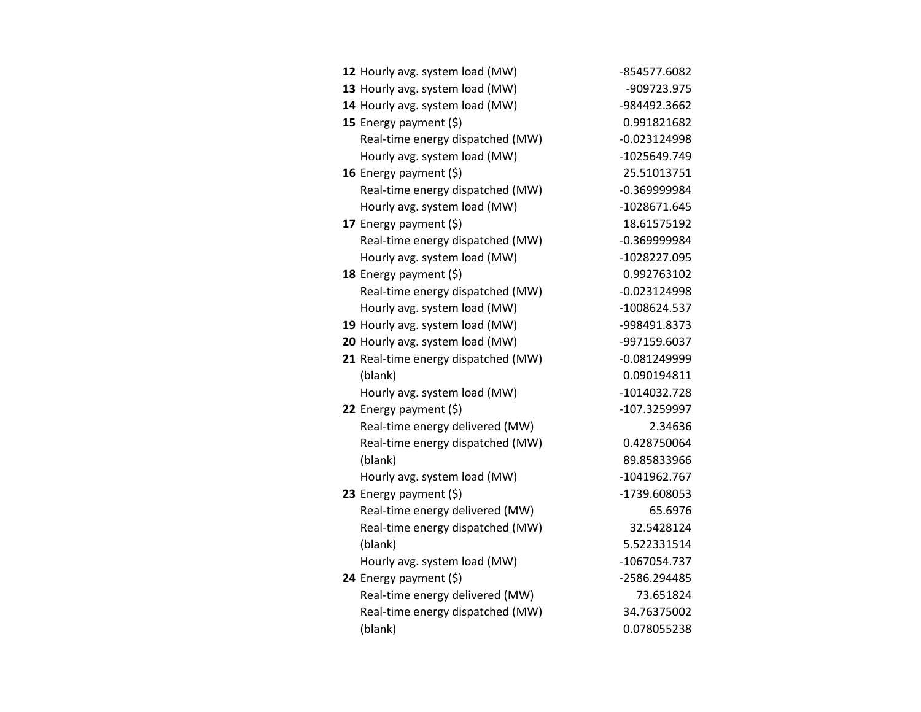| 12 Hourly avg. system load (MW)     | -854577.6082   |
|-------------------------------------|----------------|
| 13 Hourly avg. system load (MW)     | -909723.975    |
| 14 Hourly avg. system load (MW)     | -984492.3662   |
| 15 Energy payment (\$)              | 0.991821682    |
| Real-time energy dispatched (MW)    | $-0.023124998$ |
| Hourly avg. system load (MW)        | -1025649.749   |
| 16 Energy payment (\$)              | 25.51013751    |
| Real-time energy dispatched (MW)    | $-0.369999984$ |
| Hourly avg. system load (MW)        | -1028671.645   |
| 17 Energy payment (\$)              | 18.61575192    |
| Real-time energy dispatched (MW)    | $-0.369999984$ |
| Hourly avg. system load (MW)        | -1028227.095   |
| 18 Energy payment (\$)              | 0.992763102    |
| Real-time energy dispatched (MW)    | $-0.023124998$ |
| Hourly avg. system load (MW)        | -1008624.537   |
| 19 Hourly avg. system load (MW)     | -998491.8373   |
| 20 Hourly avg. system load (MW)     | -997159.6037   |
| 21 Real-time energy dispatched (MW) | $-0.081249999$ |
| (blank)                             | 0.090194811    |
| Hourly avg. system load (MW)        | -1014032.728   |
| 22 Energy payment (\$)              | -107.3259997   |
| Real-time energy delivered (MW)     | 2.34636        |
| Real-time energy dispatched (MW)    | 0.428750064    |
| (blank)                             | 89.85833966    |
| Hourly avg. system load (MW)        | $-1041962.767$ |
| 23 Energy payment (\$)              | -1739.608053   |
| Real-time energy delivered (MW)     | 65.6976        |
| Real-time energy dispatched (MW)    | 32.5428124     |
| (blank)                             | 5.522331514    |
| Hourly avg. system load (MW)        | -1067054.737   |
| 24 Energy payment (\$)              | -2586.294485   |
| Real-time energy delivered (MW)     | 73.651824      |
| Real-time energy dispatched (MW)    | 34.76375002    |
| (blank)                             | 0.078055238    |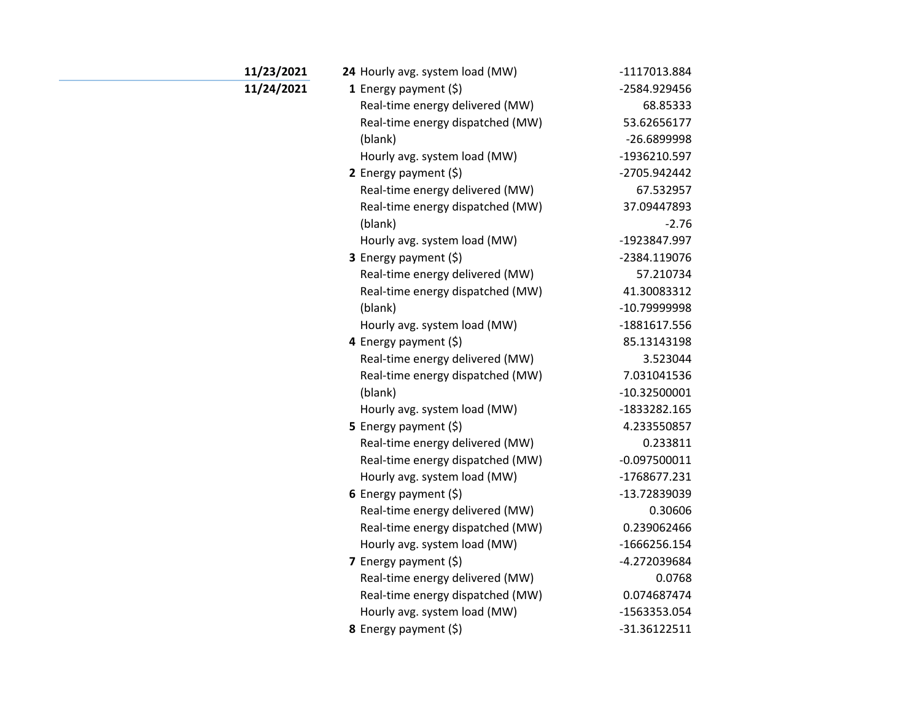| 11/23/2021 | 24 Hourly avg. system load (MW)  | -1117013.884   |
|------------|----------------------------------|----------------|
| 11/24/2021 | 1 Energy payment $(5)$           | -2584.929456   |
|            | Real-time energy delivered (MW)  | 68.85333       |
|            | Real-time energy dispatched (MW) | 53.62656177    |
|            | (blank)                          | -26.6899998    |
|            | Hourly avg. system load (MW)     | -1936210.597   |
|            | 2 Energy payment $(5)$           | -2705.942442   |
|            | Real-time energy delivered (MW)  | 67.532957      |
|            | Real-time energy dispatched (MW) | 37.09447893    |
|            | (blank)                          | $-2.76$        |
|            | Hourly avg. system load (MW)     | -1923847.997   |
|            | <b>3</b> Energy payment $(\xi)$  | -2384.119076   |
|            | Real-time energy delivered (MW)  | 57.210734      |
|            | Real-time energy dispatched (MW) | 41.30083312    |
|            | (blank)                          | -10.79999998   |
|            | Hourly avg. system load (MW)     | -1881617.556   |
|            | 4 Energy payment (\$)            | 85.13143198    |
|            | Real-time energy delivered (MW)  | 3.523044       |
|            | Real-time energy dispatched (MW) | 7.031041536    |
|            | (blank)                          | $-10.32500001$ |
|            | Hourly avg. system load (MW)     | -1833282.165   |
|            | 5 Energy payment $(5)$           | 4.233550857    |
|            | Real-time energy delivered (MW)  | 0.233811       |
|            | Real-time energy dispatched (MW) | $-0.097500011$ |
|            | Hourly avg. system load (MW)     | -1768677.231   |
|            | 6 Energy payment (\$)            | -13.72839039   |
|            | Real-time energy delivered (MW)  | 0.30606        |
|            | Real-time energy dispatched (MW) | 0.239062466    |
|            | Hourly avg. system load (MW)     | $-1666256.154$ |
|            | 7 Energy payment $(\xi)$         | -4.272039684   |
|            | Real-time energy delivered (MW)  | 0.0768         |
|            | Real-time energy dispatched (MW) | 0.074687474    |
|            | Hourly avg. system load (MW)     | -1563353.054   |
|            | 8 Energy payment (\$)            | $-31.36122511$ |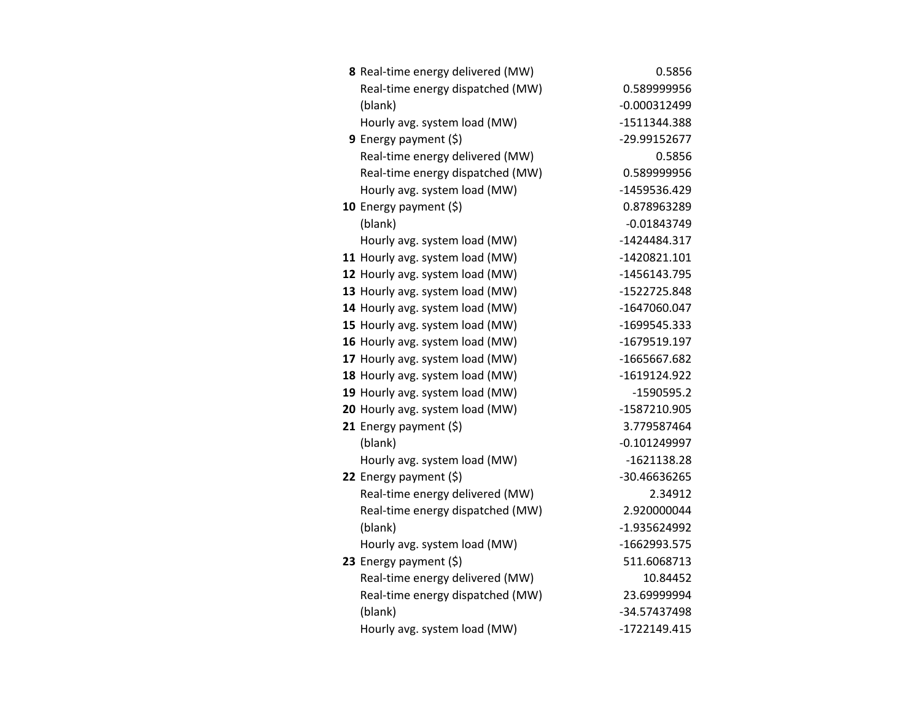| 8 Real-time energy delivered (MW) | 0.5856         |
|-----------------------------------|----------------|
| Real-time energy dispatched (MW)  | 0.589999956    |
| (blank)                           | $-0.000312499$ |
| Hourly avg. system load (MW)      | -1511344.388   |
| <b>9</b> Energy payment $(\xi)$   | -29.99152677   |
| Real-time energy delivered (MW)   | 0.5856         |
| Real-time energy dispatched (MW)  | 0.589999956    |
| Hourly avg. system load (MW)      | -1459536.429   |
| 10 Energy payment $(5)$           | 0.878963289    |
| (blank)                           | $-0.01843749$  |
| Hourly avg. system load (MW)      | -1424484.317   |
| 11 Hourly avg. system load (MW)   | $-1420821.101$ |
| 12 Hourly avg. system load (MW)   | -1456143.795   |
| 13 Hourly avg. system load (MW)   | -1522725.848   |
| 14 Hourly avg. system load (MW)   | -1647060.047   |
| 15 Hourly avg. system load (MW)   | -1699545.333   |
| 16 Hourly avg. system load (MW)   | -1679519.197   |
| 17 Hourly avg. system load (MW)   | -1665667.682   |
| 18 Hourly avg. system load (MW)   | -1619124.922   |
| 19 Hourly avg. system load (MW)   | -1590595.2     |
| 20 Hourly avg. system load (MW)   | -1587210.905   |
| 21 Energy payment $(\xi)$         | 3.779587464    |
| (blank)                           | $-0.101249997$ |
| Hourly avg. system load (MW)      | $-1621138.28$  |
| 22 Energy payment (\$)            | -30.46636265   |
| Real-time energy delivered (MW)   | 2.34912        |
| Real-time energy dispatched (MW)  | 2.920000044    |
| (blank)                           | -1.935624992   |
| Hourly avg. system load (MW)      | -1662993.575   |
| 23 Energy payment $(\xi)$         | 511.6068713    |
| Real-time energy delivered (MW)   | 10.84452       |
| Real-time energy dispatched (MW)  | 23.69999994    |
| (blank)                           | -34.57437498   |
| Hourly avg. system load (MW)      | -1722149.415   |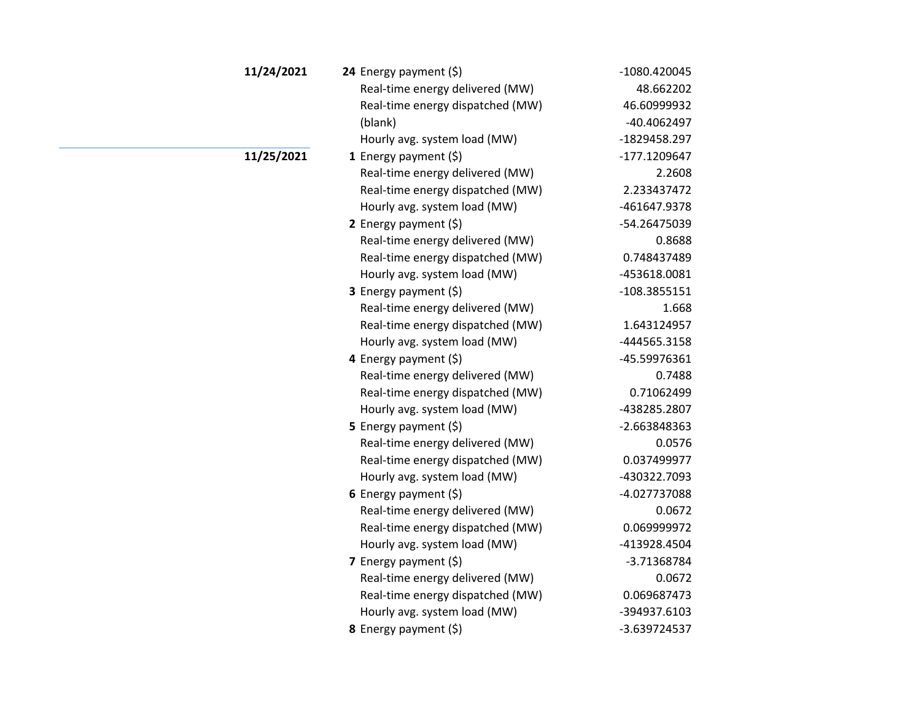| 11/24/2021 | 24 Energy payment (\$)           | -1080.420045 |
|------------|----------------------------------|--------------|
|            | Real-time energy delivered (MW)  | 48.662202    |
|            | Real-time energy dispatched (MW) | 46.60999932  |
|            | (blank)                          | -40.4062497  |
|            | Hourly avg. system load (MW)     | -1829458.297 |
| 11/25/2021 | 1 Energy payment $(\xi)$         | -177.1209647 |
|            | Real-time energy delivered (MW)  | 2.2608       |
|            | Real-time energy dispatched (MW) | 2.233437472  |
|            | Hourly avg. system load (MW)     | -461647.9378 |
|            | 2 Energy payment $(\xi)$         | -54.26475039 |
|            | Real-time energy delivered (MW)  | 0.8688       |
|            | Real-time energy dispatched (MW) | 0.748437489  |
|            | Hourly avg. system load (MW)     | -453618.0081 |
|            | <b>3</b> Energy payment $(5)$    | -108.3855151 |
|            | Real-time energy delivered (MW)  | 1.668        |
|            | Real-time energy dispatched (MW) | 1.643124957  |
|            | Hourly avg. system load (MW)     | -444565.3158 |
|            | 4 Energy payment (\$)            | -45.59976361 |
|            | Real-time energy delivered (MW)  | 0.7488       |
|            | Real-time energy dispatched (MW) | 0.71062499   |
|            | Hourly avg. system load (MW)     | -438285.2807 |
|            | 5 Energy payment $(5)$           | -2.663848363 |
|            | Real-time energy delivered (MW)  | 0.0576       |
|            | Real-time energy dispatched (MW) | 0.037499977  |
|            | Hourly avg. system load (MW)     | -430322.7093 |
|            | 6 Energy payment (\$)            | -4.027737088 |
|            | Real-time energy delivered (MW)  | 0.0672       |
|            | Real-time energy dispatched (MW) | 0.069999972  |
|            | Hourly avg. system load (MW)     | -413928.4504 |
|            | 7 Energy payment $(\xi)$         | -3.71368784  |
|            | Real-time energy delivered (MW)  | 0.0672       |
|            | Real-time energy dispatched (MW) | 0.069687473  |
|            | Hourly avg. system load (MW)     | -394937.6103 |
|            | 8 Energy payment (\$)            | -3.639724537 |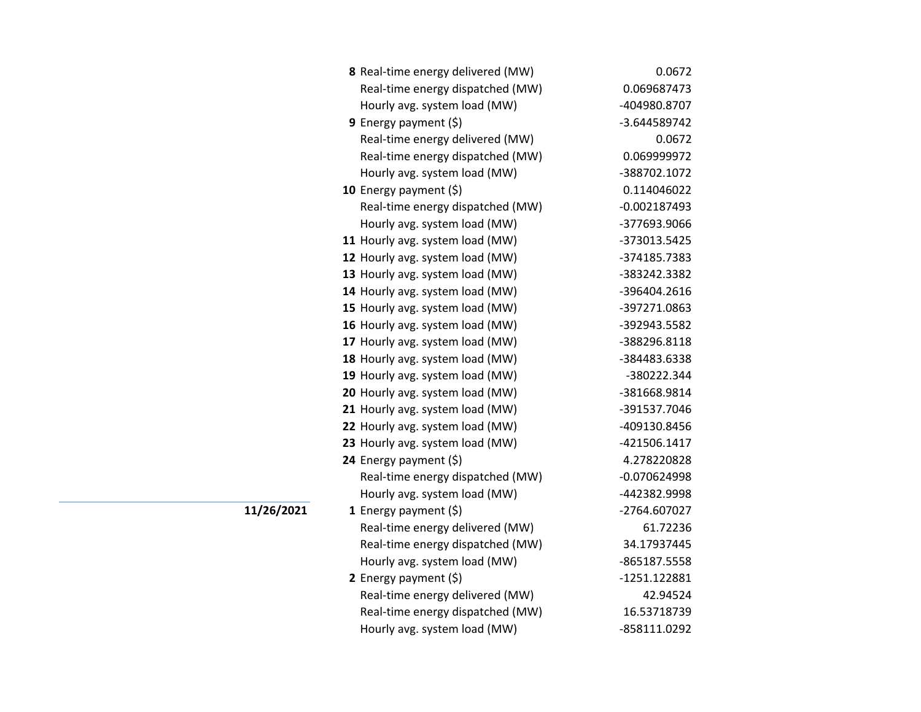| 8 Real-time energy delivered (MW) | 0.0672         |
|-----------------------------------|----------------|
| Real-time energy dispatched (MW)  | 0.069687473    |
| Hourly avg. system load (MW)      | -404980.8707   |
| 9 Energy payment (\$)             | -3.644589742   |
| Real-time energy delivered (MW)   | 0.0672         |
| Real-time energy dispatched (MW)  | 0.069999972    |
| Hourly avg. system load (MW)      | -388702.1072   |
| 10 Energy payment (\$)            | 0.114046022    |
| Real-time energy dispatched (MW)  | $-0.002187493$ |
| Hourly avg. system load (MW)      | -377693.9066   |
| 11 Hourly avg. system load (MW)   | -373013.5425   |
| 12 Hourly avg. system load (MW)   | -374185.7383   |
| 13 Hourly avg. system load (MW)   | -383242.3382   |
| 14 Hourly avg. system load (MW)   | -396404.2616   |
| 15 Hourly avg. system load (MW)   | -397271.0863   |
| 16 Hourly avg. system load (MW)   | -392943.5582   |
| 17 Hourly avg. system load (MW)   | -388296.8118   |
| 18 Hourly avg. system load (MW)   | -384483.6338   |
| 19 Hourly avg. system load (MW)   | -380222.344    |
| 20 Hourly avg. system load (MW)   | -381668.9814   |
| 21 Hourly avg. system load (MW)   | -391537.7046   |
| 22 Hourly avg. system load (MW)   | -409130.8456   |
| 23 Hourly avg. system load (MW)   | -421506.1417   |
| 24 Energy payment (\$)            | 4.278220828    |
| Real-time energy dispatched (MW)  | $-0.070624998$ |
| Hourly avg. system load (MW)      | -442382.9998   |
| 1 Energy payment $(\xi)$          | -2764.607027   |
| Real-time energy delivered (MW)   | 61.72236       |
| Real-time energy dispatched (MW)  | 34.17937445    |
| Hourly avg. system load (MW)      | -865187.5558   |
| 2 Energy payment $(\xi)$          | -1251.122881   |
| Real-time energy delivered (MW)   | 42.94524       |
| Real-time energy dispatched (MW)  | 16.53718739    |
| Hourly avg. system load (MW)      | -858111.0292   |

**11/26/2021**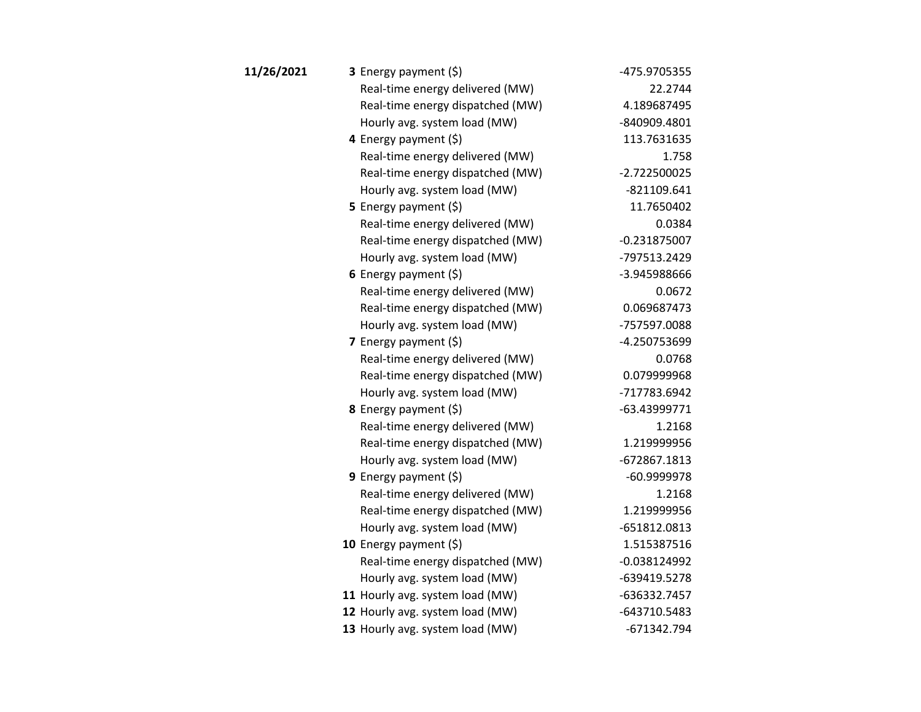| 11/26/2021 | 3 Energy payment (\$)            | -475.9705355   |
|------------|----------------------------------|----------------|
|            | Real-time energy delivered (MW)  | 22.2744        |
|            | Real-time energy dispatched (MW) | 4.189687495    |
|            | Hourly avg. system load (MW)     | -840909.4801   |
|            | 4 Energy payment (\$)            | 113.7631635    |
|            | Real-time energy delivered (MW)  | 1.758          |
|            | Real-time energy dispatched (MW) | $-2.722500025$ |
|            | Hourly avg. system load (MW)     | $-821109.641$  |
|            | <b>5</b> Energy payment $(\xi)$  | 11.7650402     |
|            | Real-time energy delivered (MW)  | 0.0384         |
|            | Real-time energy dispatched (MW) | $-0.231875007$ |
|            | Hourly avg. system load (MW)     | -797513.2429   |
|            | 6 Energy payment $(5)$           | -3.945988666   |
|            | Real-time energy delivered (MW)  | 0.0672         |
|            | Real-time energy dispatched (MW) | 0.069687473    |
|            | Hourly avg. system load (MW)     | -757597.0088   |
|            | 7 Energy payment $(\xi)$         | -4.250753699   |
|            | Real-time energy delivered (MW)  | 0.0768         |
|            | Real-time energy dispatched (MW) | 0.079999968    |
|            | Hourly avg. system load (MW)     | -717783.6942   |
|            | 8 Energy payment (\$)            | $-63.43999771$ |
|            | Real-time energy delivered (MW)  | 1.2168         |
|            | Real-time energy dispatched (MW) | 1.219999956    |
|            | Hourly avg. system load (MW)     | -672867.1813   |
|            | 9 Energy payment $(5)$           | -60.9999978    |
|            | Real-time energy delivered (MW)  | 1.2168         |
|            | Real-time energy dispatched (MW) | 1.219999956    |
|            | Hourly avg. system load (MW)     | -651812.0813   |
|            | 10 Energy payment $(5)$          | 1.515387516    |
|            | Real-time energy dispatched (MW) | $-0.038124992$ |
|            | Hourly avg. system load (MW)     | -639419.5278   |
|            | 11 Hourly avg. system load (MW)  | -636332.7457   |
|            | 12 Hourly avg. system load (MW)  | -643710.5483   |
|            | 13 Hourly avg. system load (MW)  | -671342.794    |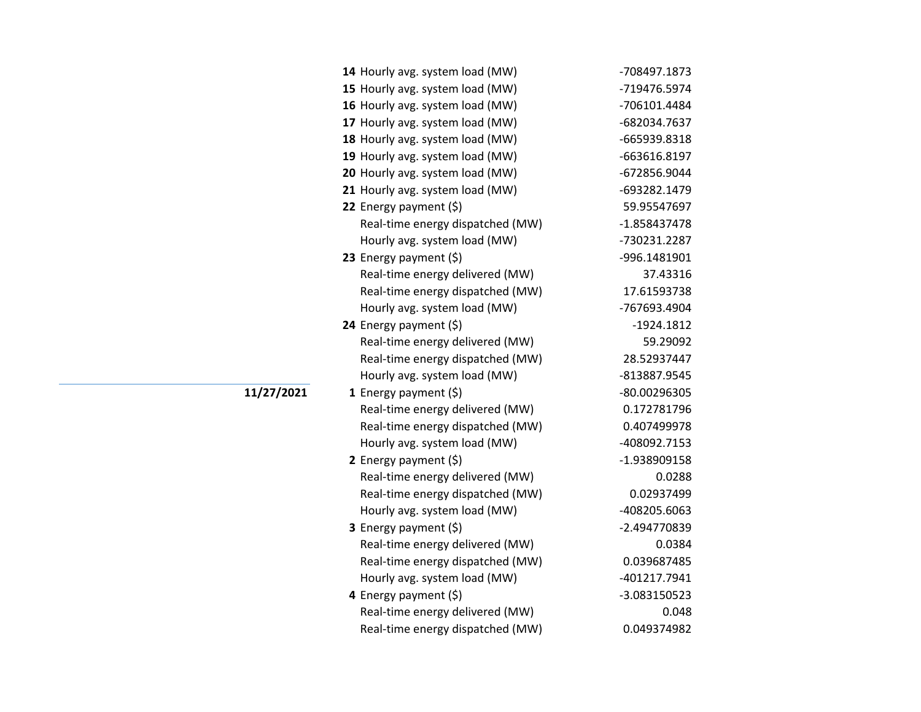| 14 Hourly avg. system load (MW)  | -708497.1873 |
|----------------------------------|--------------|
| 15 Hourly avg. system load (MW)  | -719476.5974 |
| 16 Hourly avg. system load (MW)  | -706101.4484 |
| 17 Hourly avg. system load (MW)  | -682034.7637 |
| 18 Hourly avg. system load (MW)  | -665939.8318 |
| 19 Hourly avg. system load (MW)  | -663616.8197 |
| 20 Hourly avg. system load (MW)  | -672856.9044 |
| 21 Hourly avg. system load (MW)  | -693282.1479 |
| 22 Energy payment (\$)           | 59.95547697  |
| Real-time energy dispatched (MW) | -1.858437478 |
| Hourly avg. system load (MW)     | -730231.2287 |
| 23 Energy payment (\$)           | -996.1481901 |
| Real-time energy delivered (MW)  | 37.43316     |
| Real-time energy dispatched (MW) | 17.61593738  |
| Hourly avg. system load (MW)     | -767693.4904 |
| 24 Energy payment (\$)           | $-1924.1812$ |
| Real-time energy delivered (MW)  | 59.29092     |
| Real-time energy dispatched (MW) | 28.52937447  |
| Hourly avg. system load (MW)     | -813887.9545 |
| 1 Energy payment $(\xi)$         | -80.00296305 |
| Real-time energy delivered (MW)  | 0.172781796  |
| Real-time energy dispatched (MW) | 0.407499978  |
| Hourly avg. system load (MW)     | -408092.7153 |
| 2 Energy payment $(\xi)$         | -1.938909158 |
| Real-time energy delivered (MW)  | 0.0288       |
| Real-time energy dispatched (MW) | 0.02937499   |
| Hourly avg. system load (MW)     | -408205.6063 |
| 3 Energy payment (\$)            | -2.494770839 |
| Real-time energy delivered (MW)  | 0.0384       |
| Real-time energy dispatched (MW) | 0.039687485  |
| Hourly avg. system load (MW)     | -401217.7941 |
| 4 Energy payment (\$)            | -3.083150523 |
| Real-time energy delivered (MW)  | 0.048        |
| Real-time energy dispatched (MW) | 0.049374982  |

**11/27/2021**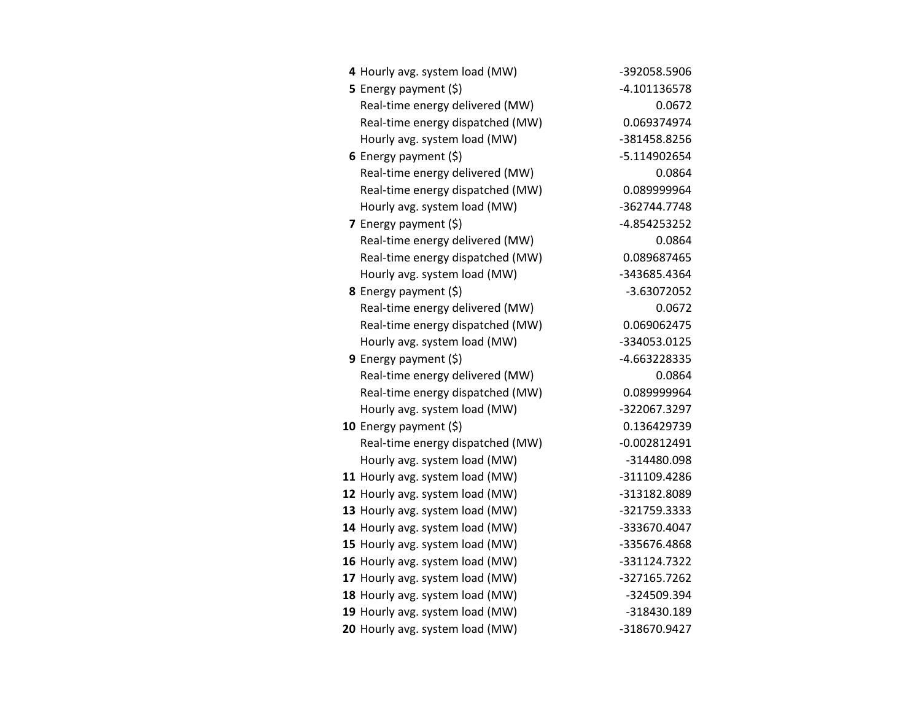| 4 Hourly avg. system load (MW)   | -392058.5906   |
|----------------------------------|----------------|
| 5 Energy payment (\$)            | -4.101136578   |
| Real-time energy delivered (MW)  | 0.0672         |
| Real-time energy dispatched (MW) | 0.069374974    |
| Hourly avg. system load (MW)     | -381458.8256   |
| 6 Energy payment $(\xi)$         | -5.114902654   |
| Real-time energy delivered (MW)  | 0.0864         |
| Real-time energy dispatched (MW) | 0.089999964    |
| Hourly avg. system load (MW)     | -362744.7748   |
| 7 Energy payment $(\xi)$         | -4.854253252   |
| Real-time energy delivered (MW)  | 0.0864         |
| Real-time energy dispatched (MW) | 0.089687465    |
| Hourly avg. system load (MW)     | -343685.4364   |
| 8 Energy payment (\$)            | -3.63072052    |
| Real-time energy delivered (MW)  | 0.0672         |
| Real-time energy dispatched (MW) | 0.069062475    |
| Hourly avg. system load (MW)     | -334053.0125   |
| 9 Energy payment $(5)$           | -4.663228335   |
| Real-time energy delivered (MW)  | 0.0864         |
| Real-time energy dispatched (MW) | 0.089999964    |
| Hourly avg. system load (MW)     | -322067.3297   |
| 10 Energy payment $(\xi)$        | 0.136429739    |
| Real-time energy dispatched (MW) | $-0.002812491$ |
| Hourly avg. system load (MW)     | -314480.098    |
| 11 Hourly avg. system load (MW)  | -311109.4286   |
| 12 Hourly avg. system load (MW)  | -313182.8089   |
| 13 Hourly avg. system load (MW)  | -321759.3333   |
| 14 Hourly avg. system load (MW)  | -333670.4047   |
| 15 Hourly avg. system load (MW)  | -335676.4868   |
| 16 Hourly avg. system load (MW)  | -331124.7322   |
| 17 Hourly avg. system load (MW)  | -327165.7262   |
| 18 Hourly avg. system load (MW)  | -324509.394    |
| 19 Hourly avg. system load (MW)  | -318430.189    |
| 20 Hourly avg. system load (MW)  | -318670.9427   |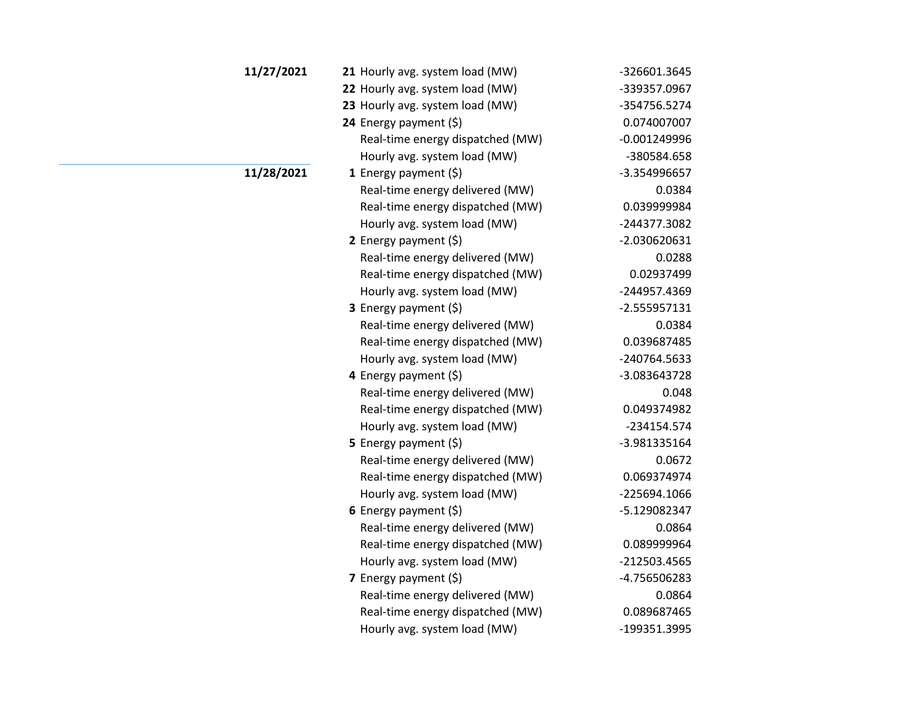| 11/27/2021 | 21 Hourly avg. system load (MW)  | -326601.3645   |
|------------|----------------------------------|----------------|
|            | 22 Hourly avg. system load (MW)  | -339357.0967   |
|            | 23 Hourly avg. system load (MW)  | -354756.5274   |
|            | 24 Energy payment (\$)           | 0.074007007    |
|            | Real-time energy dispatched (MW) | $-0.001249996$ |
|            | Hourly avg. system load (MW)     | -380584.658    |
| 11/28/2021 | 1 Energy payment $(\xi)$         | -3.354996657   |
|            | Real-time energy delivered (MW)  | 0.0384         |
|            | Real-time energy dispatched (MW) | 0.039999984    |
|            | Hourly avg. system load (MW)     | -244377.3082   |
|            | 2 Energy payment $(5)$           | -2.030620631   |
|            | Real-time energy delivered (MW)  | 0.0288         |
|            | Real-time energy dispatched (MW) | 0.02937499     |
|            | Hourly avg. system load (MW)     | -244957.4369   |
|            | 3 Energy payment (\$)            | $-2.555957131$ |
|            | Real-time energy delivered (MW)  | 0.0384         |
|            | Real-time energy dispatched (MW) | 0.039687485    |
|            | Hourly avg. system load (MW)     | -240764.5633   |
|            | 4 Energy payment (\$)            | -3.083643728   |
|            | Real-time energy delivered (MW)  | 0.048          |
|            | Real-time energy dispatched (MW) | 0.049374982    |
|            | Hourly avg. system load (MW)     | $-234154.574$  |
|            | <b>5</b> Energy payment $(\xi)$  | -3.981335164   |
|            | Real-time energy delivered (MW)  | 0.0672         |
|            | Real-time energy dispatched (MW) | 0.069374974    |
|            | Hourly avg. system load (MW)     | -225694.1066   |
|            | 6 Energy payment $(5)$           | -5.129082347   |
|            | Real-time energy delivered (MW)  | 0.0864         |
|            | Real-time energy dispatched (MW) | 0.089999964    |
|            | Hourly avg. system load (MW)     | -212503.4565   |
|            | 7 Energy payment $(5)$           | -4.756506283   |
|            | Real-time energy delivered (MW)  | 0.0864         |
|            | Real-time energy dispatched (MW) | 0.089687465    |
|            | Hourly avg. system load (MW)     | -199351.3995   |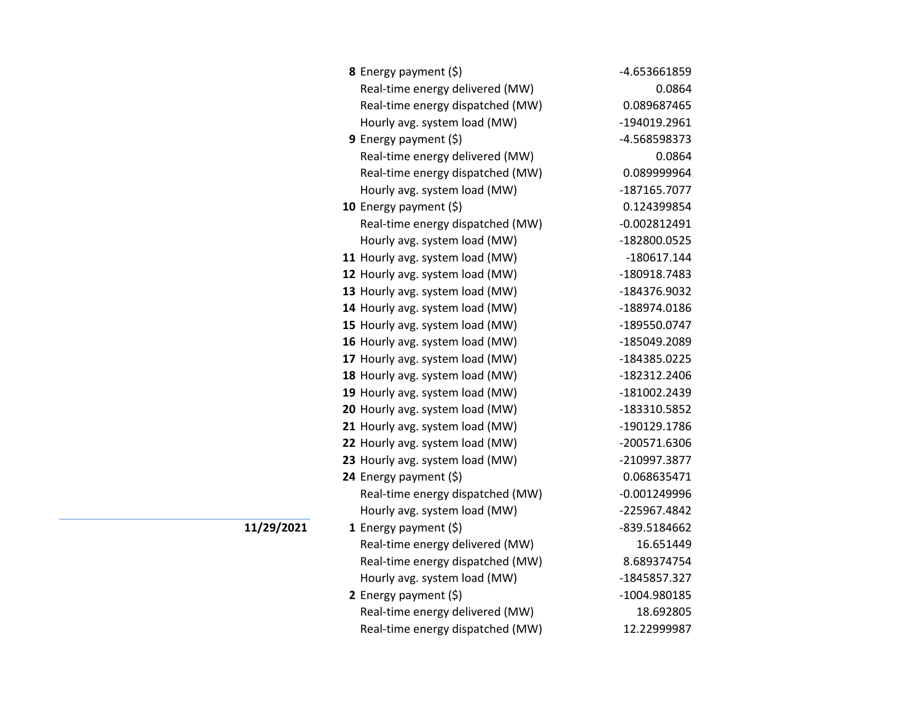| 8 Energy payment (\$)            | -4.653661859   |
|----------------------------------|----------------|
| Real-time energy delivered (MW)  | 0.0864         |
| Real-time energy dispatched (MW) | 0.089687465    |
| Hourly avg. system load (MW)     | -194019.2961   |
| <b>9</b> Energy payment $(\xi)$  | -4.568598373   |
| Real-time energy delivered (MW)  | 0.0864         |
| Real-time energy dispatched (MW) | 0.089999964    |
| Hourly avg. system load (MW)     | -187165.7077   |
| 10 Energy payment (\$)           | 0.124399854    |
| Real-time energy dispatched (MW) | $-0.002812491$ |
| Hourly avg. system load (MW)     | -182800.0525   |
| 11 Hourly avg. system load (MW)  | $-180617.144$  |
| 12 Hourly avg. system load (MW)  | -180918.7483   |
| 13 Hourly avg. system load (MW)  | -184376.9032   |
| 14 Hourly avg. system load (MW)  | -188974.0186   |
| 15 Hourly avg. system load (MW)  | -189550.0747   |
| 16 Hourly avg. system load (MW)  | -185049.2089   |
| 17 Hourly avg. system load (MW)  | -184385.0225   |
| 18 Hourly avg. system load (MW)  | -182312.2406   |
| 19 Hourly avg. system load (MW)  | -181002.2439   |
| 20 Hourly avg. system load (MW)  | -183310.5852   |
| 21 Hourly avg. system load (MW)  | -190129.1786   |
| 22 Hourly avg. system load (MW)  | -200571.6306   |
| 23 Hourly avg. system load (MW)  | -210997.3877   |
| 24 Energy payment (\$)           | 0.068635471    |
| Real-time energy dispatched (MW) | $-0.001249996$ |
| Hourly avg. system load (MW)     | -225967.4842   |
| 1 Energy payment $(\xi)$         | -839.5184662   |
| Real-time energy delivered (MW)  | 16.651449      |
| Real-time energy dispatched (MW) | 8.689374754    |
| Hourly avg. system load (MW)     | -1845857.327   |
| 2 Energy payment $(\xi)$         | -1004.980185   |
| Real-time energy delivered (MW)  | 18.692805      |
| Real-time energy dispatched (MW) | 12.22999987    |

**11/29/2021**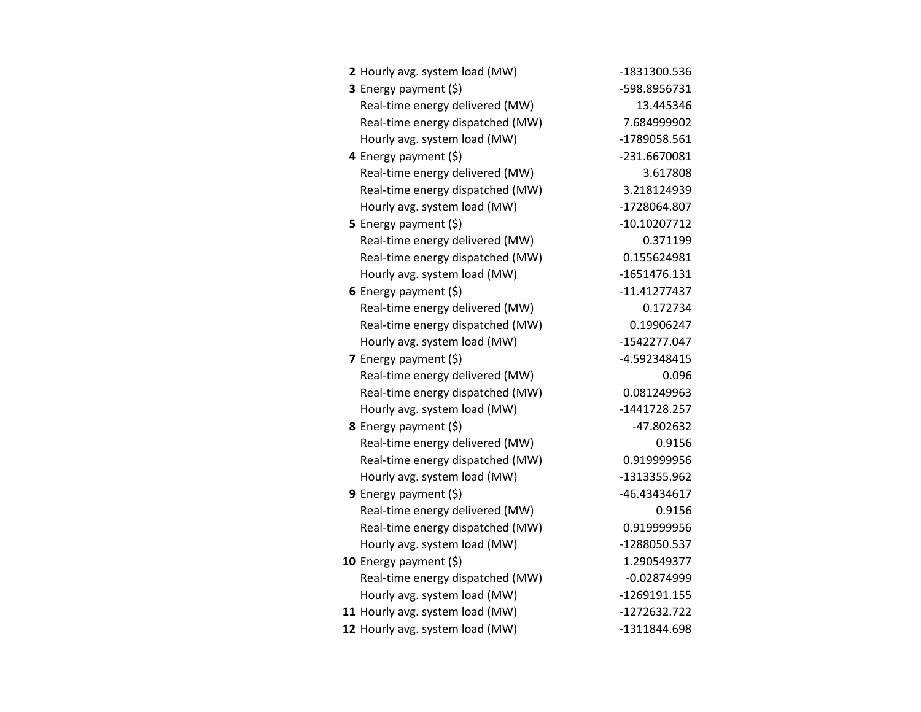| 2 Hourly avg. system load (MW)   | -1831300.536   |
|----------------------------------|----------------|
| 3 Energy payment (\$)            | -598.8956731   |
| Real-time energy delivered (MW)  | 13.445346      |
| Real-time energy dispatched (MW) | 7.684999902    |
| Hourly avg. system load (MW)     | -1789058.561   |
| 4 Energy payment (\$)            | -231.6670081   |
| Real-time energy delivered (MW)  | 3.617808       |
| Real-time energy dispatched (MW) | 3.218124939    |
| Hourly avg. system load (MW)     | -1728064.807   |
| 5 Energy payment $(5)$           | $-10.10207712$ |
| Real-time energy delivered (MW)  | 0.371199       |
| Real-time energy dispatched (MW) | 0.155624981    |
| Hourly avg. system load (MW)     | $-1651476.131$ |
| 6 Energy payment $(\xi)$         | -11.41277437   |
| Real-time energy delivered (MW)  | 0.172734       |
| Real-time energy dispatched (MW) | 0.19906247     |
| Hourly avg. system load (MW)     | -1542277.047   |
| 7 Energy payment $(\xi)$         | -4.592348415   |
| Real-time energy delivered (MW)  | 0.096          |
| Real-time energy dispatched (MW) | 0.081249963    |
| Hourly avg. system load (MW)     | -1441728.257   |
| 8 Energy payment (\$)            | -47.802632     |
| Real-time energy delivered (MW)  | 0.9156         |
| Real-time energy dispatched (MW) | 0.919999956    |
| Hourly avg. system load (MW)     | -1313355.962   |
| 9 Energy payment (\$)            | -46.43434617   |
| Real-time energy delivered (MW)  | 0.9156         |
| Real-time energy dispatched (MW) | 0.919999956    |
| Hourly avg. system load (MW)     | -1288050.537   |
| 10 Energy payment $(\xi)$        | 1.290549377    |
| Real-time energy dispatched (MW) | $-0.02874999$  |
| Hourly avg. system load (MW)     | -1269191.155   |
| 11 Hourly avg. system load (MW)  | -1272632.722   |
| 12 Hourly avg. system load (MW)  | -1311844.698   |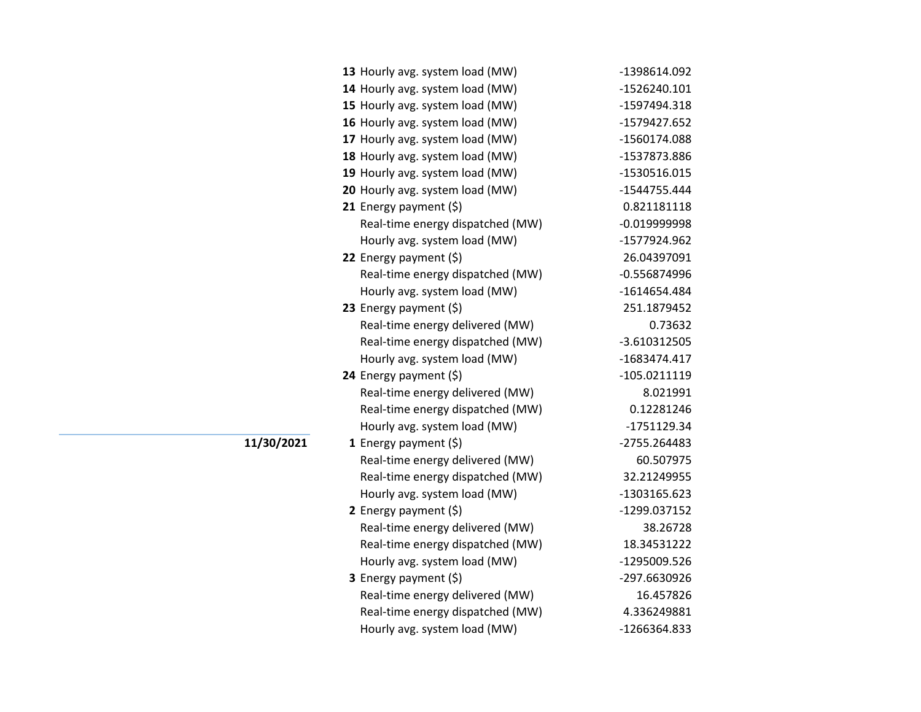| 13 Hourly avg. system load (MW)  | -1398614.092   |
|----------------------------------|----------------|
| 14 Hourly avg. system load (MW)  | $-1526240.101$ |
| 15 Hourly avg. system load (MW)  | -1597494.318   |
| 16 Hourly avg. system load (MW)  | -1579427.652   |
| 17 Hourly avg. system load (MW)  | -1560174.088   |
| 18 Hourly avg. system load (MW)  | -1537873.886   |
| 19 Hourly avg. system load (MW)  | -1530516.015   |
| 20 Hourly avg. system load (MW)  | -1544755.444   |
| 21 Energy payment (\$)           | 0.821181118    |
| Real-time energy dispatched (MW) | $-0.019999998$ |
| Hourly avg. system load (MW)     | -1577924.962   |
| 22 Energy payment $(\xi)$        | 26.04397091    |
| Real-time energy dispatched (MW) | $-0.556874996$ |
| Hourly avg. system load (MW)     | -1614654.484   |
| 23 Energy payment $(\xi)$        | 251.1879452    |
| Real-time energy delivered (MW)  | 0.73632        |
| Real-time energy dispatched (MW) | $-3.610312505$ |
| Hourly avg. system load (MW)     | -1683474.417   |
| 24 Energy payment (\$)           | -105.0211119   |
| Real-time energy delivered (MW)  | 8.021991       |
| Real-time energy dispatched (MW) | 0.12281246     |
| Hourly avg. system load (MW)     | -1751129.34    |
| 1 Energy payment $(\xi)$         | -2755.264483   |
| Real-time energy delivered (MW)  | 60.507975      |
| Real-time energy dispatched (MW) | 32.21249955    |
| Hourly avg. system load (MW)     | -1303165.623   |
| 2 Energy payment $(\xi)$         | -1299.037152   |
| Real-time energy delivered (MW)  | 38.26728       |
| Real-time energy dispatched (MW) | 18.34531222    |
| Hourly avg. system load (MW)     | -1295009.526   |
| 3 Energy payment (\$)            | -297.6630926   |
| Real-time energy delivered (MW)  | 16.457826      |
| Real-time energy dispatched (MW) | 4.336249881    |
| Hourly avg. system load (MW)     | -1266364.833   |
|                                  |                |

**11/30/2021**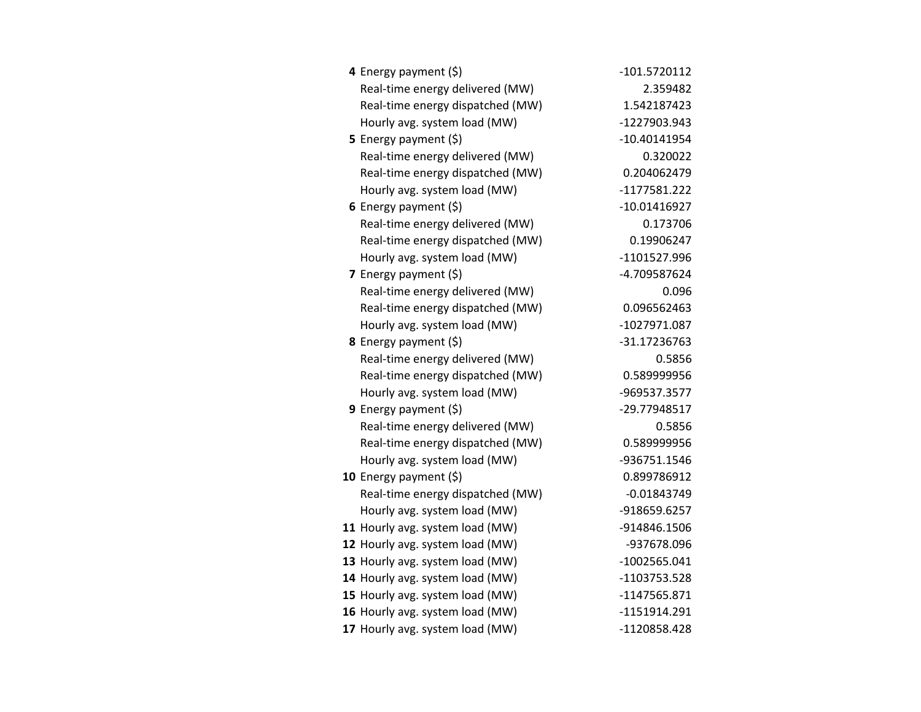| 4 Energy payment (\$)            | -101.5720112   |
|----------------------------------|----------------|
| Real-time energy delivered (MW)  | 2.359482       |
| Real-time energy dispatched (MW) | 1.542187423    |
| Hourly avg. system load (MW)     | -1227903.943   |
| 5 Energy payment $(\xi)$         | -10.40141954   |
| Real-time energy delivered (MW)  | 0.320022       |
| Real-time energy dispatched (MW) | 0.204062479    |
| Hourly avg. system load (MW)     | -1177581.222   |
| 6 Energy payment $(5)$           | $-10.01416927$ |
| Real-time energy delivered (MW)  | 0.173706       |
| Real-time energy dispatched (MW) | 0.19906247     |
| Hourly avg. system load (MW)     | -1101527.996   |
| 7 Energy payment $(\xi)$         | -4.709587624   |
| Real-time energy delivered (MW)  | 0.096          |
| Real-time energy dispatched (MW) | 0.096562463    |
| Hourly avg. system load (MW)     | -1027971.087   |
| 8 Energy payment (\$)            | -31.17236763   |
| Real-time energy delivered (MW)  | 0.5856         |
| Real-time energy dispatched (MW) | 0.589999956    |
| Hourly avg. system load (MW)     | -969537.3577   |
| 9 Energy payment (\$)            | -29.77948517   |
| Real-time energy delivered (MW)  | 0.5856         |
| Real-time energy dispatched (MW) | 0.589999956    |
| Hourly avg. system load (MW)     | -936751.1546   |
| 10 Energy payment (\$)           | 0.899786912    |
| Real-time energy dispatched (MW) | $-0.01843749$  |
| Hourly avg. system load (MW)     | -918659.6257   |
| 11 Hourly avg. system load (MW)  | -914846.1506   |
| 12 Hourly avg. system load (MW)  | -937678.096    |
| 13 Hourly avg. system load (MW)  | $-1002565.041$ |
| 14 Hourly avg. system load (MW)  | -1103753.528   |
| 15 Hourly avg. system load (MW)  | -1147565.871   |
| 16 Hourly avg. system load (MW)  | -1151914.291   |
| 17 Hourly avg. system load (MW)  | -1120858.428   |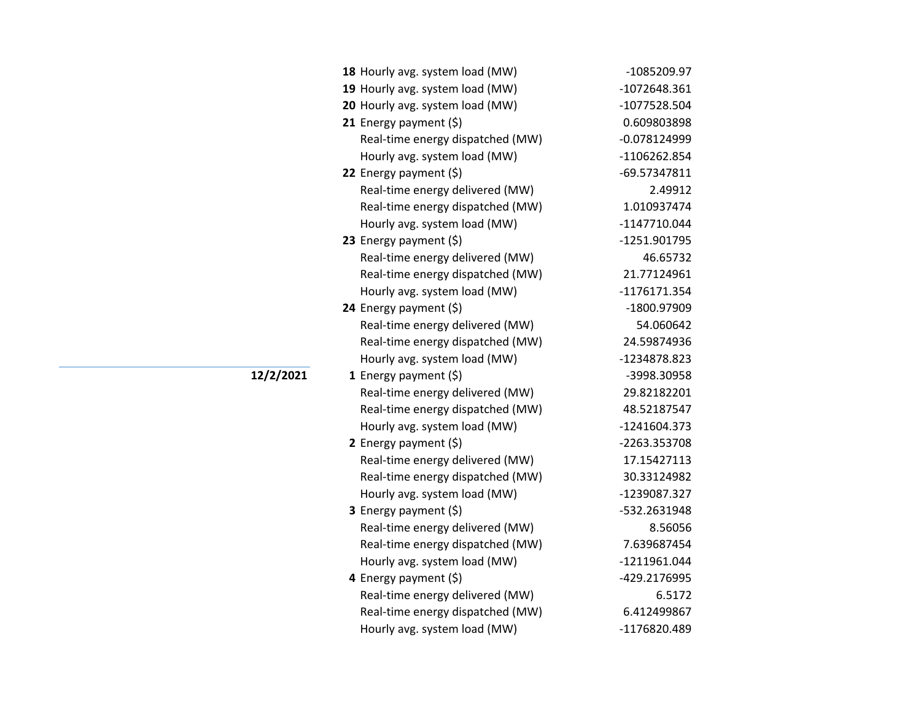| 18 Hourly avg. system load (MW)  | -1085209.97    |
|----------------------------------|----------------|
| 19 Hourly avg. system load (MW)  | $-1072648.361$ |
| 20 Hourly avg. system load (MW)  | -1077528.504   |
| 21 Energy payment $(\xi)$        | 0.609803898    |
| Real-time energy dispatched (MW) | $-0.078124999$ |
| Hourly avg. system load (MW)     | -1106262.854   |
| 22 Energy payment $(\xi)$        | -69.57347811   |
| Real-time energy delivered (MW)  | 2.49912        |
| Real-time energy dispatched (MW) | 1.010937474    |
| Hourly avg. system load (MW)     | $-1147710.044$ |
| 23 Energy payment (\$)           | -1251.901795   |
| Real-time energy delivered (MW)  | 46.65732       |
| Real-time energy dispatched (MW) | 21.77124961    |
| Hourly avg. system load (MW)     | -1176171.354   |
| 24 Energy payment (\$)           | -1800.97909    |
| Real-time energy delivered (MW)  | 54.060642      |
| Real-time energy dispatched (MW) | 24.59874936    |
| Hourly avg. system load (MW)     | -1234878.823   |
| 1 Energy payment $(5)$           | -3998.30958    |
| Real-time energy delivered (MW)  | 29.82182201    |
| Real-time energy dispatched (MW) | 48.52187547    |
| Hourly avg. system load (MW)     | -1241604.373   |
| 2 Energy payment $(\xi)$         | -2263.353708   |
| Real-time energy delivered (MW)  | 17.15427113    |
| Real-time energy dispatched (MW) | 30.33124982    |
| Hourly avg. system load (MW)     | -1239087.327   |
| 3 Energy payment (\$)            | -532.2631948   |
| Real-time energy delivered (MW)  | 8.56056        |
| Real-time energy dispatched (MW) | 7.639687454    |
| Hourly avg. system load (MW)     | -1211961.044   |
| 4 Energy payment (\$)            | -429.2176995   |
| Real-time energy delivered (MW)  | 6.5172         |
| Real-time energy dispatched (MW) | 6.412499867    |
| Hourly avg. system load (MW)     | -1176820.489   |

**12/2/2021**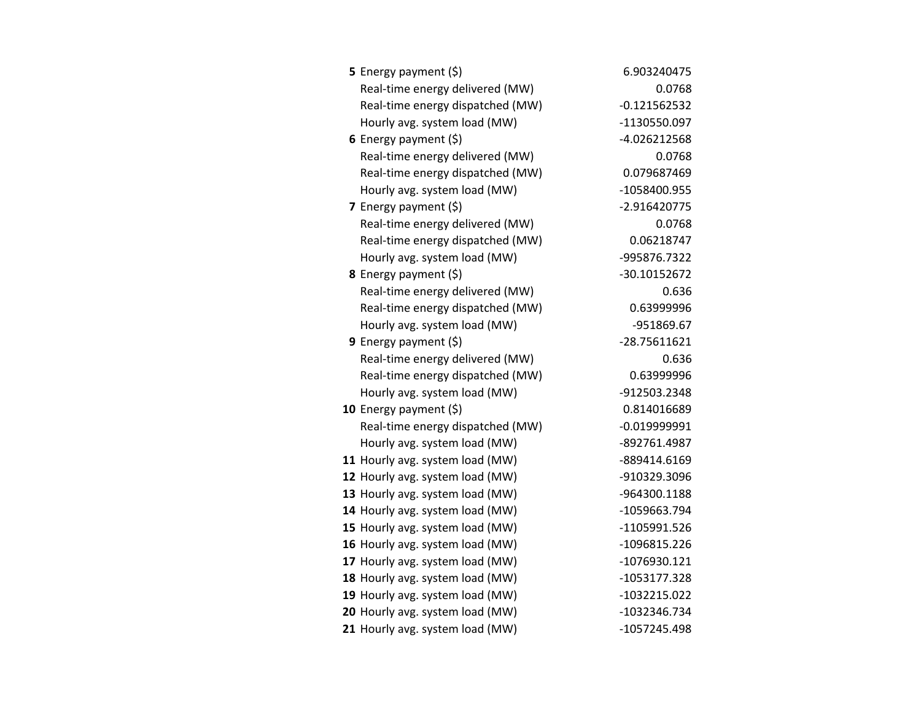| 5 Energy payment $(\xi)$         | 6.903240475    |
|----------------------------------|----------------|
| Real-time energy delivered (MW)  | 0.0768         |
| Real-time energy dispatched (MW) | $-0.121562532$ |
| Hourly avg. system load (MW)     | -1130550.097   |
| 6 Energy payment $(5)$           | -4.026212568   |
| Real-time energy delivered (MW)  | 0.0768         |
| Real-time energy dispatched (MW) | 0.079687469    |
| Hourly avg. system load (MW)     | -1058400.955   |
| <b>7</b> Energy payment $(\xi)$  | -2.916420775   |
| Real-time energy delivered (MW)  | 0.0768         |
| Real-time energy dispatched (MW) | 0.06218747     |
| Hourly avg. system load (MW)     | -995876.7322   |
| 8 Energy payment (\$)            | -30.10152672   |
| Real-time energy delivered (MW)  | 0.636          |
| Real-time energy dispatched (MW) | 0.63999996     |
| Hourly avg. system load (MW)     | -951869.67     |
| 9 Energy payment $(5)$           | -28.75611621   |
| Real-time energy delivered (MW)  | 0.636          |
| Real-time energy dispatched (MW) | 0.63999996     |
| Hourly avg. system load (MW)     | -912503.2348   |
| 10 Energy payment (\$)           | 0.814016689    |
| Real-time energy dispatched (MW) | $-0.019999991$ |
| Hourly avg. system load (MW)     | -892761.4987   |
| 11 Hourly avg. system load (MW)  | -889414.6169   |
| 12 Hourly avg. system load (MW)  | -910329.3096   |
| 13 Hourly avg. system load (MW)  | -964300.1188   |
| 14 Hourly avg. system load (MW)  | -1059663.794   |
| 15 Hourly avg. system load (MW)  | -1105991.526   |
| 16 Hourly avg. system load (MW)  | -1096815.226   |
| 17 Hourly avg. system load (MW)  | -1076930.121   |
| 18 Hourly avg. system load (MW)  | -1053177.328   |
| 19 Hourly avg. system load (MW)  | -1032215.022   |
| 20 Hourly avg. system load (MW)  | -1032346.734   |
| 21 Hourly avg. system load (MW)  | -1057245.498   |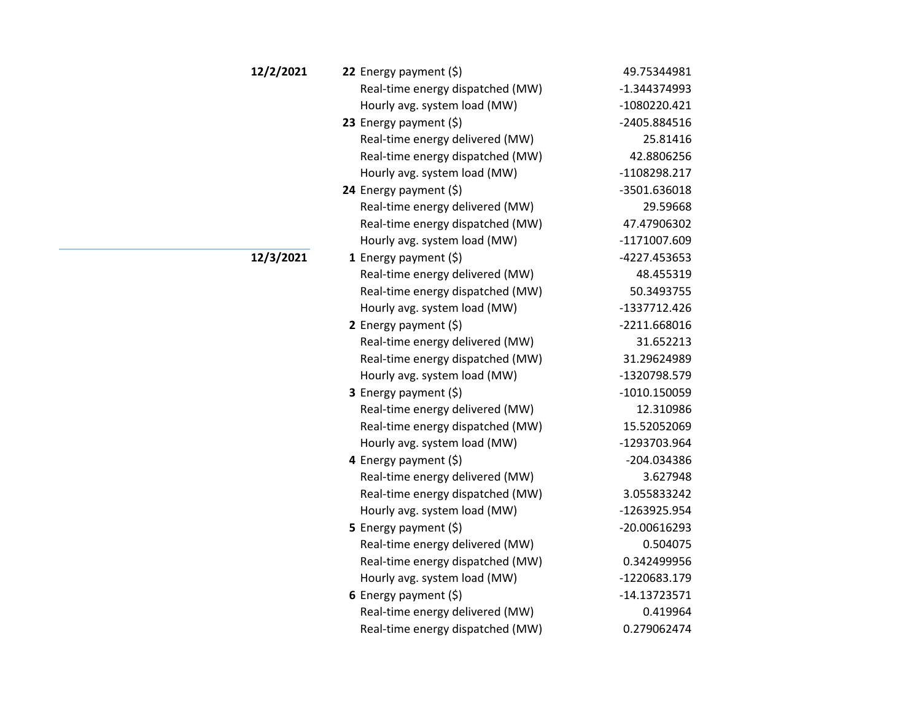| 12/2/2021 | 22 Energy payment $(\xi)$        | 49.75344981    |
|-----------|----------------------------------|----------------|
|           | Real-time energy dispatched (MW) | $-1.344374993$ |
|           | Hourly avg. system load (MW)     | -1080220.421   |
|           | 23 Energy payment $(5)$          | -2405.884516   |
|           | Real-time energy delivered (MW)  | 25.81416       |
|           | Real-time energy dispatched (MW) | 42.8806256     |
|           | Hourly avg. system load (MW)     | -1108298.217   |
|           | 24 Energy payment (\$)           | -3501.636018   |
|           | Real-time energy delivered (MW)  | 29.59668       |
|           | Real-time energy dispatched (MW) | 47.47906302    |
|           | Hourly avg. system load (MW)     | -1171007.609   |
| 12/3/2021 | 1 Energy payment $(\xi)$         | -4227.453653   |
|           | Real-time energy delivered (MW)  | 48.455319      |
|           | Real-time energy dispatched (MW) | 50.3493755     |
|           | Hourly avg. system load (MW)     | -1337712.426   |
|           | 2 Energy payment $(\xi)$         | -2211.668016   |
|           | Real-time energy delivered (MW)  | 31.652213      |
|           | Real-time energy dispatched (MW) | 31.29624989    |
|           | Hourly avg. system load (MW)     | -1320798.579   |
|           | 3 Energy payment (\$)            | $-1010.150059$ |
|           | Real-time energy delivered (MW)  | 12.310986      |
|           | Real-time energy dispatched (MW) | 15.52052069    |
|           | Hourly avg. system load (MW)     | -1293703.964   |
|           | 4 Energy payment (\$)            | -204.034386    |
|           | Real-time energy delivered (MW)  | 3.627948       |
|           | Real-time energy dispatched (MW) | 3.055833242    |
|           | Hourly avg. system load (MW)     | -1263925.954   |
|           | 5 Energy payment $(5)$           | -20.00616293   |
|           | Real-time energy delivered (MW)  | 0.504075       |
|           | Real-time energy dispatched (MW) | 0.342499956    |
|           | Hourly avg. system load (MW)     | -1220683.179   |
|           | 6 Energy payment (\$)            | $-14.13723571$ |
|           | Real-time energy delivered (MW)  | 0.419964       |
|           | Real-time energy dispatched (MW) | 0.279062474    |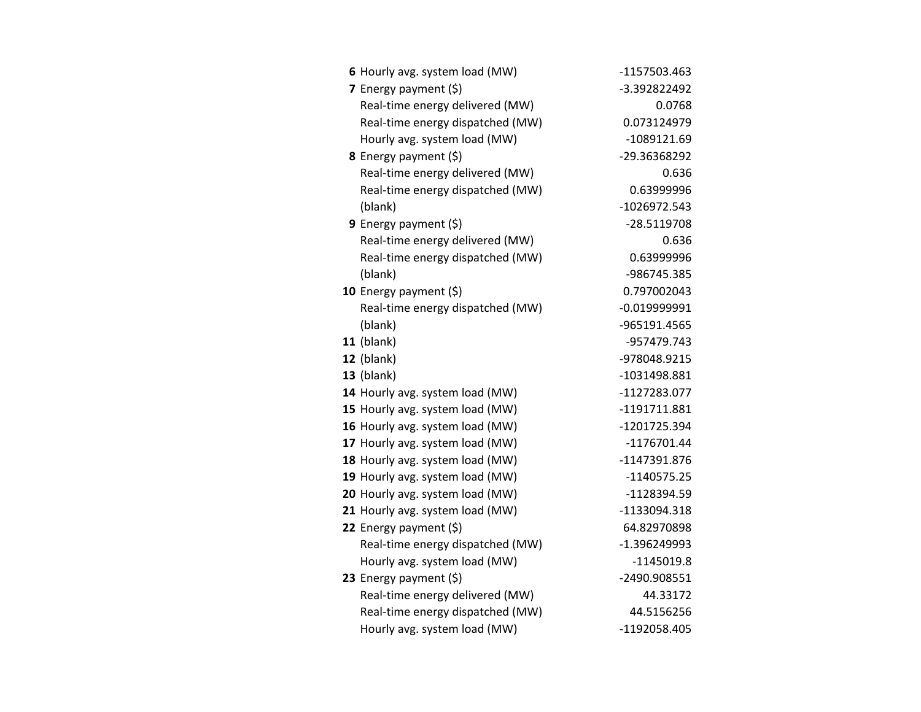| 6 Hourly avg. system load (MW)   | -1157503.463   |
|----------------------------------|----------------|
| 7 Energy payment (\$)            | -3.392822492   |
| Real-time energy delivered (MW)  | 0.0768         |
| Real-time energy dispatched (MW) | 0.073124979    |
| Hourly avg. system load (MW)     | -1089121.69    |
| 8 Energy payment (\$)            | -29.36368292   |
| Real-time energy delivered (MW)  | 0.636          |
| Real-time energy dispatched (MW) | 0.63999996     |
| (blank)                          | -1026972.543   |
| 9 Energy payment (\$)            | -28.5119708    |
| Real-time energy delivered (MW)  | 0.636          |
| Real-time energy dispatched (MW) | 0.63999996     |
| (blank)                          | -986745.385    |
| 10 Energy payment $(\xi)$        | 0.797002043    |
| Real-time energy dispatched (MW) | $-0.019999991$ |
| (blank)                          | -965191.4565   |
| $11$ (blank)                     | -957479.743    |
| 12 (blank)                       | -978048.9215   |
| $13$ (blank)                     | -1031498.881   |
| 14 Hourly avg. system load (MW)  | -1127283.077   |
| 15 Hourly avg. system load (MW)  | -1191711.881   |
| 16 Hourly avg. system load (MW)  | -1201725.394   |
| 17 Hourly avg. system load (MW)  | $-1176701.44$  |
| 18 Hourly avg. system load (MW)  | -1147391.876   |
| 19 Hourly avg. system load (MW)  | $-1140575.25$  |
| 20 Hourly avg. system load (MW)  | -1128394.59    |
| 21 Hourly avg. system load (MW)  | -1133094.318   |
| 22 Energy payment (\$)           | 64.82970898    |
| Real-time energy dispatched (MW) | -1.396249993   |
| Hourly avg. system load (MW)     | $-1145019.8$   |
| 23 Energy payment (\$)           | -2490.908551   |
| Real-time energy delivered (MW)  | 44.33172       |
| Real-time energy dispatched (MW) | 44.5156256     |
| Hourly avg. system load (MW)     | -1192058.405   |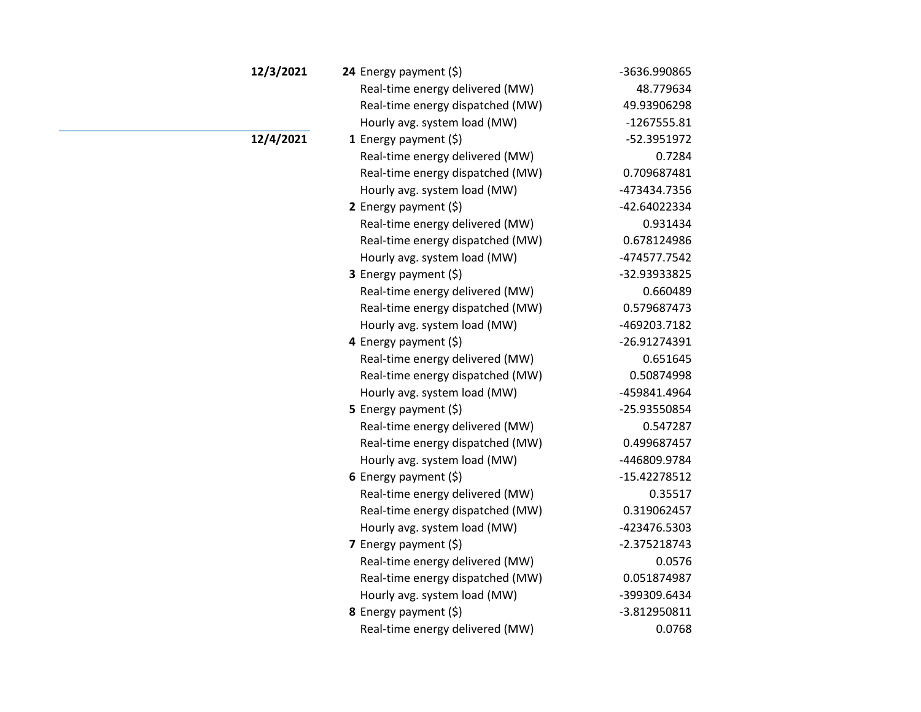| 12/3/2021 | 24 Energy payment $(\xi)$        | -3636.990865   |
|-----------|----------------------------------|----------------|
|           | Real-time energy delivered (MW)  | 48.779634      |
|           | Real-time energy dispatched (MW) | 49.93906298    |
|           | Hourly avg. system load (MW)     | $-1267555.81$  |
| 12/4/2021 | 1 Energy payment $(\xi)$         | -52.3951972    |
|           | Real-time energy delivered (MW)  | 0.7284         |
|           | Real-time energy dispatched (MW) | 0.709687481    |
|           | Hourly avg. system load (MW)     | -473434.7356   |
|           | 2 Energy payment $(\xi)$         | -42.64022334   |
|           | Real-time energy delivered (MW)  | 0.931434       |
|           | Real-time energy dispatched (MW) | 0.678124986    |
|           | Hourly avg. system load (MW)     | -474577.7542   |
|           | 3 Energy payment (\$)            | -32.93933825   |
|           | Real-time energy delivered (MW)  | 0.660489       |
|           | Real-time energy dispatched (MW) | 0.579687473    |
|           | Hourly avg. system load (MW)     | -469203.7182   |
|           | 4 Energy payment (\$)            | -26.91274391   |
|           | Real-time energy delivered (MW)  | 0.651645       |
|           | Real-time energy dispatched (MW) | 0.50874998     |
|           | Hourly avg. system load (MW)     | -459841.4964   |
|           | 5 Energy payment (\$)            | -25.93550854   |
|           | Real-time energy delivered (MW)  | 0.547287       |
|           | Real-time energy dispatched (MW) | 0.499687457    |
|           | Hourly avg. system load (MW)     | -446809.9784   |
|           | 6 Energy payment $(5)$           | -15.42278512   |
|           | Real-time energy delivered (MW)  | 0.35517        |
|           | Real-time energy dispatched (MW) | 0.319062457    |
|           | Hourly avg. system load (MW)     | -423476.5303   |
|           | 7 Energy payment $(5)$           | $-2.375218743$ |
|           | Real-time energy delivered (MW)  | 0.0576         |
|           | Real-time energy dispatched (MW) | 0.051874987    |
|           | Hourly avg. system load (MW)     | -399309.6434   |
|           | 8 Energy payment (\$)            | -3.812950811   |
|           | Real-time energy delivered (MW)  | 0.0768         |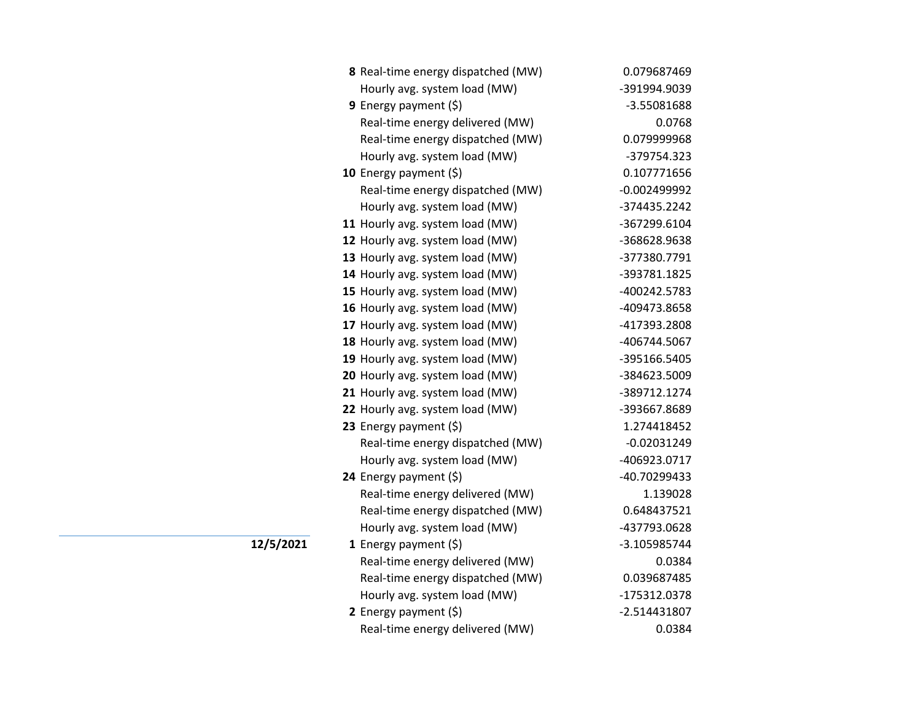| 8 Real-time energy dispatched (MW) | 0.079687469    |
|------------------------------------|----------------|
| Hourly avg. system load (MW)       | -391994.9039   |
| 9 Energy payment $(5)$             | -3.55081688    |
| Real-time energy delivered (MW)    | 0.0768         |
| Real-time energy dispatched (MW)   | 0.079999968    |
| Hourly avg. system load (MW)       | -379754.323    |
| 10 Energy payment $(\xi)$          | 0.107771656    |
| Real-time energy dispatched (MW)   | $-0.002499992$ |
| Hourly avg. system load (MW)       | -374435.2242   |
| 11 Hourly avg. system load (MW)    | -367299.6104   |
| 12 Hourly avg. system load (MW)    | -368628.9638   |
| 13 Hourly avg. system load (MW)    | -377380.7791   |
| 14 Hourly avg. system load (MW)    | -393781.1825   |
| 15 Hourly avg. system load (MW)    | -400242.5783   |
| 16 Hourly avg. system load (MW)    | -409473.8658   |
| 17 Hourly avg. system load (MW)    | -417393.2808   |
| 18 Hourly avg. system load (MW)    | -406744.5067   |
| 19 Hourly avg. system load (MW)    | -395166.5405   |
| 20 Hourly avg. system load (MW)    | -384623.5009   |
| 21 Hourly avg. system load (MW)    | -389712.1274   |
| 22 Hourly avg. system load (MW)    | -393667.8689   |
| 23 Energy payment $(\xi)$          | 1.274418452    |
| Real-time energy dispatched (MW)   | $-0.02031249$  |
| Hourly avg. system load (MW)       | -406923.0717   |
| 24 Energy payment (\$)             | -40.70299433   |
| Real-time energy delivered (MW)    | 1.139028       |
| Real-time energy dispatched (MW)   | 0.648437521    |
| Hourly avg. system load (MW)       | -437793.0628   |
| 1 Energy payment $(\xi)$           | -3.105985744   |
| Real-time energy delivered (MW)    | 0.0384         |
| Real-time energy dispatched (MW)   | 0.039687485    |
| Hourly avg. system load (MW)       | -175312.0378   |
| 2 Energy payment $(5)$             | $-2.514431807$ |
| Real-time energy delivered (MW)    | 0.0384         |

**12/5/2021**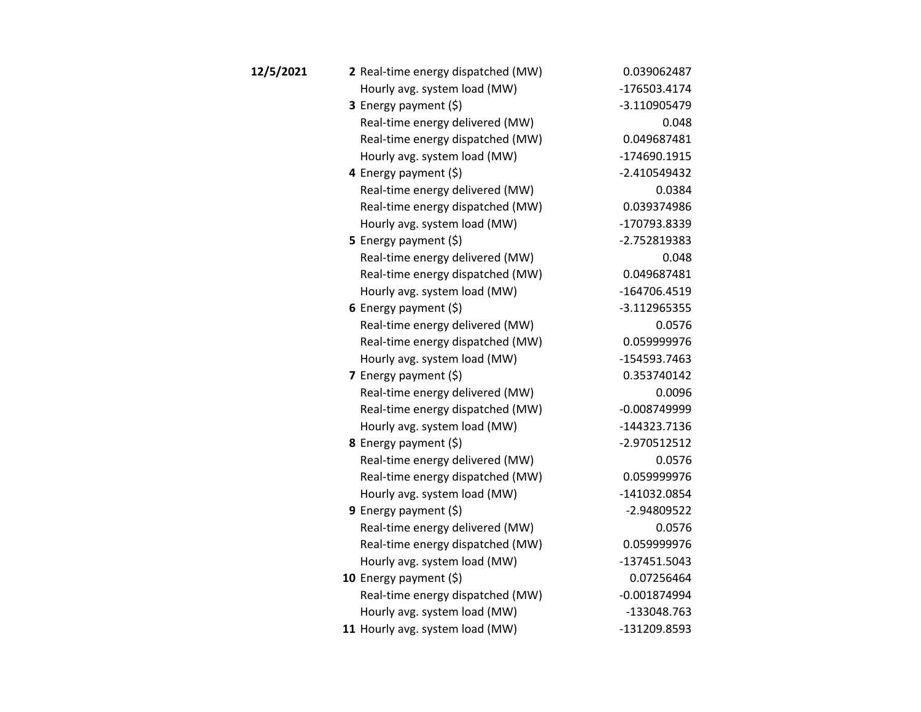| 12/5/2021 | 2 Real-time energy dispatched (MW) | 0.039062487    |
|-----------|------------------------------------|----------------|
|           | Hourly avg. system load (MW)       | -176503.4174   |
|           | 3 Energy payment (\$)              | $-3.110905479$ |
|           | Real-time energy delivered (MW)    | 0.048          |
|           | Real-time energy dispatched (MW)   | 0.049687481    |
|           | Hourly avg. system load (MW)       | -174690.1915   |
|           | 4 Energy payment (\$)              | $-2.410549432$ |
|           | Real-time energy delivered (MW)    | 0.0384         |
|           | Real-time energy dispatched (MW)   | 0.039374986    |
|           | Hourly avg. system load (MW)       | -170793.8339   |
|           | 5 Energy payment $(5)$             | -2.752819383   |
|           | Real-time energy delivered (MW)    | 0.048          |
|           | Real-time energy dispatched (MW)   | 0.049687481    |
|           | Hourly avg. system load (MW)       | -164706.4519   |
|           | 6 Energy payment $(\xi)$           | $-3.112965355$ |
|           | Real-time energy delivered (MW)    | 0.0576         |
|           | Real-time energy dispatched (MW)   | 0.059999976    |
|           | Hourly avg. system load (MW)       | -154593.7463   |
|           | 7 Energy payment $(5)$             | 0.353740142    |
|           | Real-time energy delivered (MW)    | 0.0096         |
|           | Real-time energy dispatched (MW)   | $-0.008749999$ |
|           | Hourly avg. system load (MW)       | -144323.7136   |
|           | <b>8</b> Energy payment $(\xi)$    | -2.970512512   |
|           | Real-time energy delivered (MW)    | 0.0576         |
|           | Real-time energy dispatched (MW)   | 0.059999976    |
|           | Hourly avg. system load (MW)       | -141032.0854   |
|           | 9 Energy payment $(5)$             | -2.94809522    |
|           | Real-time energy delivered (MW)    | 0.0576         |
|           | Real-time energy dispatched (MW)   | 0.059999976    |
|           | Hourly avg. system load (MW)       | -137451.5043   |
|           | 10 Energy payment $(5)$            | 0.07256464     |
|           | Real-time energy dispatched (MW)   | $-0.001874994$ |
|           | Hourly avg. system load (MW)       | -133048.763    |
|           | 11 Hourly avg. system load (MW)    | -131209.8593   |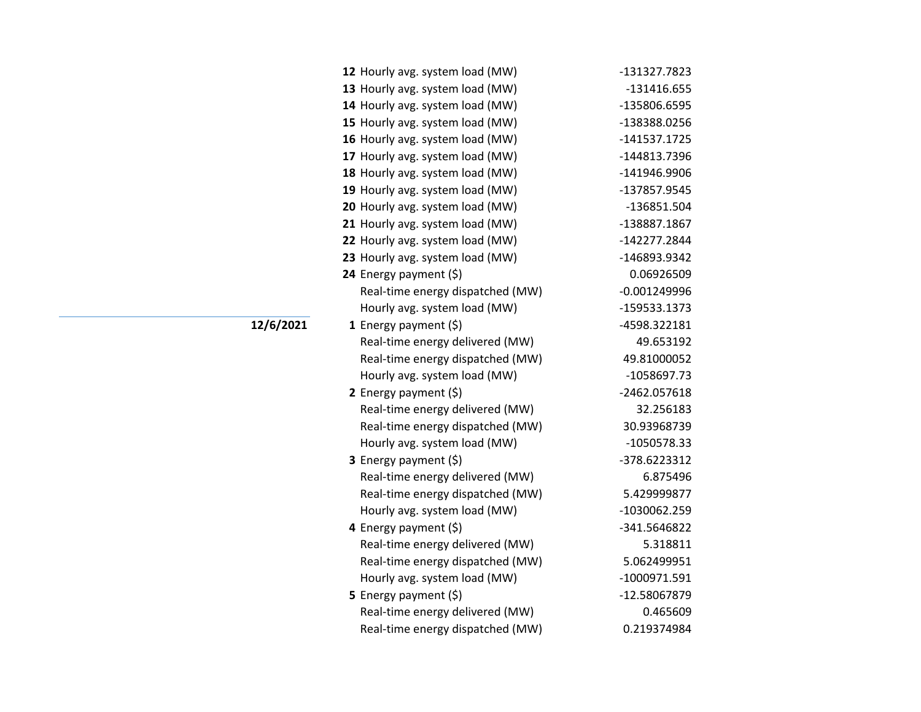| 12 Hourly avg. system load (MW)  | -131327.7823   |
|----------------------------------|----------------|
| 13 Hourly avg. system load (MW)  | -131416.655    |
| 14 Hourly avg. system load (MW)  | -135806.6595   |
| 15 Hourly avg. system load (MW)  | -138388.0256   |
| 16 Hourly avg. system load (MW)  | -141537.1725   |
| 17 Hourly avg. system load (MW)  | -144813.7396   |
| 18 Hourly avg. system load (MW)  | -141946.9906   |
| 19 Hourly avg. system load (MW)  | -137857.9545   |
| 20 Hourly avg. system load (MW)  | -136851.504    |
| 21 Hourly avg. system load (MW)  | -138887.1867   |
| 22 Hourly avg. system load (MW)  | -142277.2844   |
| 23 Hourly avg. system load (MW)  | -146893.9342   |
| 24 Energy payment (\$)           | 0.06926509     |
| Real-time energy dispatched (MW) | $-0.001249996$ |
| Hourly avg. system load (MW)     | -159533.1373   |
| 1 Energy payment $(\xi)$         | -4598.322181   |
| Real-time energy delivered (MW)  | 49.653192      |
| Real-time energy dispatched (MW) | 49.81000052    |
| Hourly avg. system load (MW)     | -1058697.73    |
| 2 Energy payment $(\xi)$         | -2462.057618   |
| Real-time energy delivered (MW)  | 32.256183      |
| Real-time energy dispatched (MW) | 30.93968739    |
| Hourly avg. system load (MW)     | -1050578.33    |
| <b>3</b> Energy payment $(\xi)$  | -378.6223312   |
| Real-time energy delivered (MW)  | 6.875496       |
| Real-time energy dispatched (MW) | 5.429999877    |
| Hourly avg. system load (MW)     | -1030062.259   |
| 4 Energy payment (\$)            | -341.5646822   |
| Real-time energy delivered (MW)  | 5.318811       |
| Real-time energy dispatched (MW) | 5.062499951    |
| Hourly avg. system load (MW)     | -1000971.591   |
| 5 Energy payment (\$)            | -12.58067879   |
| Real-time energy delivered (MW)  | 0.465609       |
| Real-time energy dispatched (MW) | 0.219374984    |

## **12/6/2021**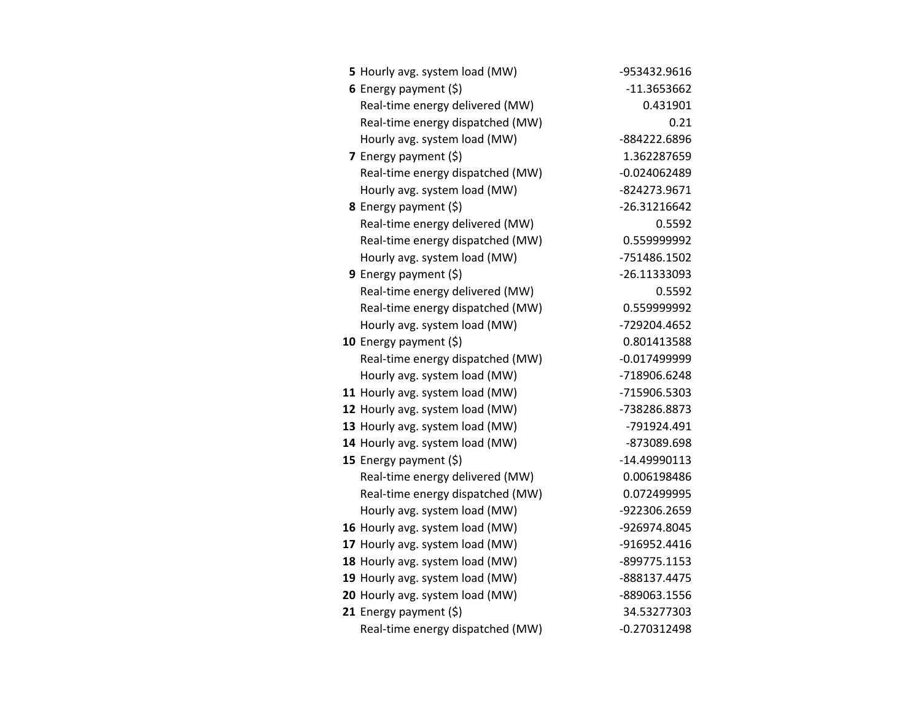| 5 Hourly avg. system load (MW)   | -953432.9616   |
|----------------------------------|----------------|
| 6 Energy payment $(5)$           | -11.3653662    |
| Real-time energy delivered (MW)  | 0.431901       |
| Real-time energy dispatched (MW) | 0.21           |
| Hourly avg. system load (MW)     | -884222.6896   |
| 7 Energy payment $(\xi)$         | 1.362287659    |
| Real-time energy dispatched (MW) | $-0.024062489$ |
| Hourly avg. system load (MW)     | -824273.9671   |
| <b>8</b> Energy payment $(\xi)$  | -26.31216642   |
| Real-time energy delivered (MW)  | 0.5592         |
| Real-time energy dispatched (MW) | 0.559999992    |
| Hourly avg. system load (MW)     | -751486.1502   |
| <b>9</b> Energy payment $(\xi)$  | -26.11333093   |
| Real-time energy delivered (MW)  | 0.5592         |
| Real-time energy dispatched (MW) | 0.559999992    |
| Hourly avg. system load (MW)     | -729204.4652   |
| 10 Energy payment $(\xi)$        | 0.801413588    |
| Real-time energy dispatched (MW) | $-0.017499999$ |
| Hourly avg. system load (MW)     | -718906.6248   |
| 11 Hourly avg. system load (MW)  | -715906.5303   |
| 12 Hourly avg. system load (MW)  | -738286.8873   |
| 13 Hourly avg. system load (MW)  | -791924.491    |
| 14 Hourly avg. system load (MW)  | -873089.698    |
| 15 Energy payment $(\xi)$        | -14.49990113   |
| Real-time energy delivered (MW)  | 0.006198486    |
| Real-time energy dispatched (MW) | 0.072499995    |
| Hourly avg. system load (MW)     | -922306.2659   |
| 16 Hourly avg. system load (MW)  | -926974.8045   |
| 17 Hourly avg. system load (MW)  | -916952.4416   |
| 18 Hourly avg. system load (MW)  | -899775.1153   |
| 19 Hourly avg. system load (MW)  | -888137.4475   |
| 20 Hourly avg. system load (MW)  | -889063.1556   |
| 21 Energy payment $(\xi)$        | 34.53277303    |
| Real-time energy dispatched (MW) | $-0.270312498$ |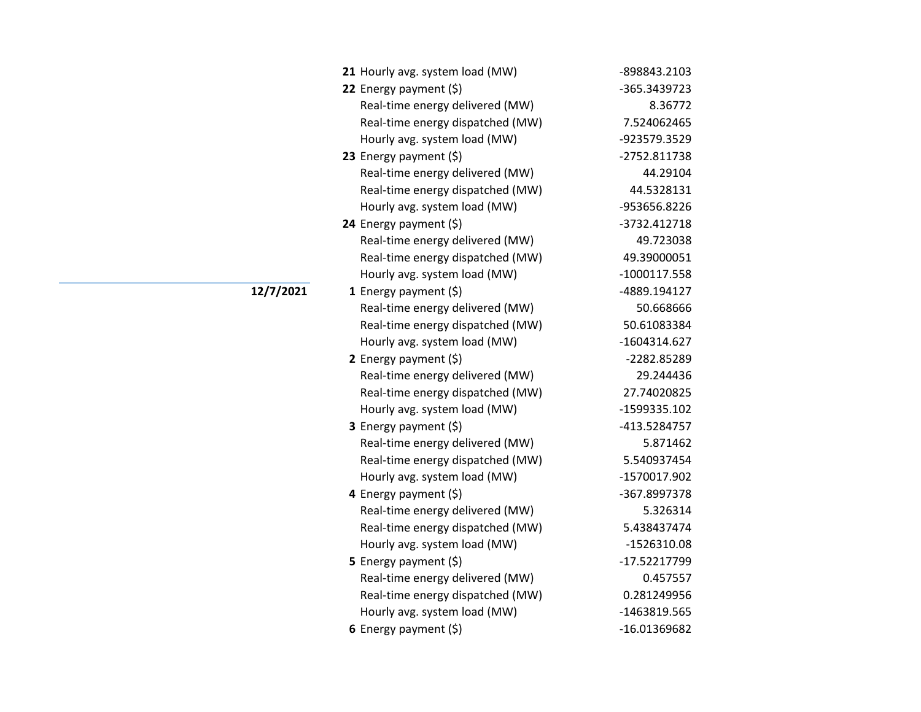| 21 Hourly avg. system load (MW)  | -898843.2103   |
|----------------------------------|----------------|
| 22 Energy payment $(\xi)$        | -365.3439723   |
| Real-time energy delivered (MW)  | 8.36772        |
| Real-time energy dispatched (MW) | 7.524062465    |
| Hourly avg. system load (MW)     | -923579.3529   |
| 23 Energy payment $(\xi)$        | -2752.811738   |
| Real-time energy delivered (MW)  | 44.29104       |
| Real-time energy dispatched (MW) | 44.5328131     |
| Hourly avg. system load (MW)     | -953656.8226   |
| 24 Energy payment (\$)           | -3732.412718   |
| Real-time energy delivered (MW)  | 49.723038      |
| Real-time energy dispatched (MW) | 49.39000051    |
| Hourly avg. system load (MW)     | $-1000117.558$ |
| 1 Energy payment $(\xi)$         | -4889.194127   |
| Real-time energy delivered (MW)  | 50.668666      |
| Real-time energy dispatched (MW) | 50.61083384    |
| Hourly avg. system load (MW)     | -1604314.627   |
| 2 Energy payment $(\xi)$         | -2282.85289    |
| Real-time energy delivered (MW)  | 29.244436      |
| Real-time energy dispatched (MW) | 27.74020825    |
| Hourly avg. system load (MW)     | -1599335.102   |
| 3 Energy payment (\$)            | -413.5284757   |
| Real-time energy delivered (MW)  | 5.871462       |
| Real-time energy dispatched (MW) | 5.540937454    |
| Hourly avg. system load (MW)     | -1570017.902   |
| 4 Energy payment (\$)            | -367.8997378   |
| Real-time energy delivered (MW)  | 5.326314       |
| Real-time energy dispatched (MW) | 5.438437474    |
| Hourly avg. system load (MW)     | -1526310.08    |
| <b>5</b> Energy payment $(\xi)$  | -17.52217799   |
| Real-time energy delivered (MW)  | 0.457557       |
| Real-time energy dispatched (MW) | 0.281249956    |
| Hourly avg. system load (MW)     | -1463819.565   |
| 6 Energy payment $(\xi)$         | -16.01369682   |

**12/7/2021**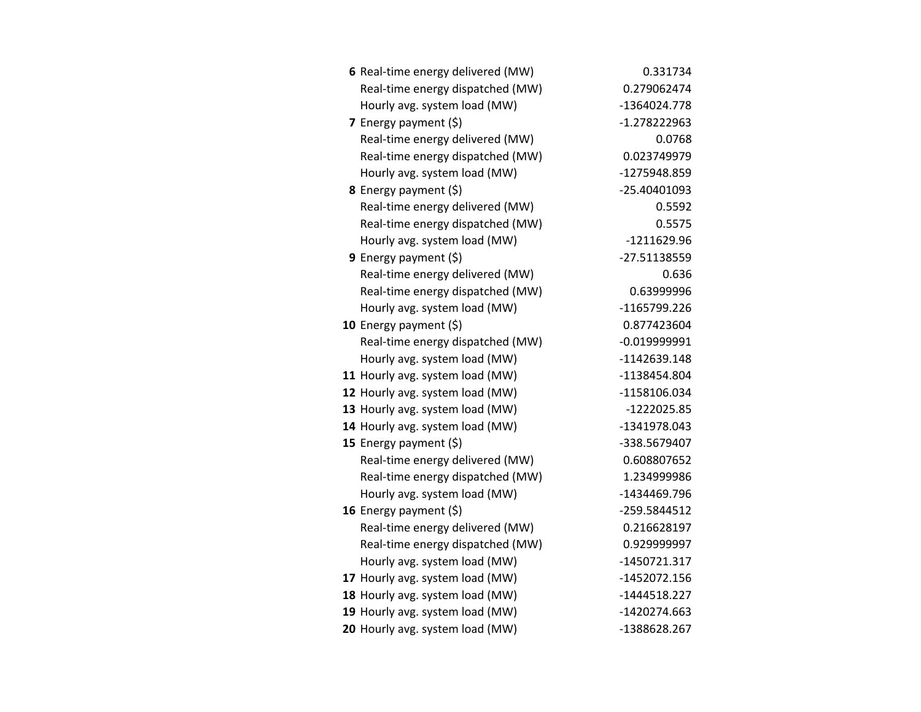| 6 Real-time energy delivered (MW) | 0.331734       |
|-----------------------------------|----------------|
| Real-time energy dispatched (MW)  | 0.279062474    |
| Hourly avg. system load (MW)      | -1364024.778   |
| 7 Energy payment $(\xi)$          | $-1.278222963$ |
| Real-time energy delivered (MW)   | 0.0768         |
| Real-time energy dispatched (MW)  | 0.023749979    |
| Hourly avg. system load (MW)      | -1275948.859   |
| 8 Energy payment (\$)             | -25.40401093   |
| Real-time energy delivered (MW)   | 0.5592         |
| Real-time energy dispatched (MW)  | 0.5575         |
| Hourly avg. system load (MW)      | -1211629.96    |
| 9 Energy payment (\$)             | -27.51138559   |
| Real-time energy delivered (MW)   | 0.636          |
| Real-time energy dispatched (MW)  | 0.63999996     |
| Hourly avg. system load (MW)      | -1165799.226   |
| 10 Energy payment $(5)$           | 0.877423604    |
| Real-time energy dispatched (MW)  | $-0.019999991$ |
| Hourly avg. system load (MW)      | -1142639.148   |
| 11 Hourly avg. system load (MW)   | -1138454.804   |
| 12 Hourly avg. system load (MW)   | -1158106.034   |
| 13 Hourly avg. system load (MW)   | -1222025.85    |
| 14 Hourly avg. system load (MW)   | -1341978.043   |
| 15 Energy payment $(\xi)$         | -338.5679407   |
| Real-time energy delivered (MW)   | 0.608807652    |
| Real-time energy dispatched (MW)  | 1.234999986    |
| Hourly avg. system load (MW)      | -1434469.796   |
| 16 Energy payment $(\xi)$         | -259.5844512   |
| Real-time energy delivered (MW)   | 0.216628197    |
| Real-time energy dispatched (MW)  | 0.929999997    |
| Hourly avg. system load (MW)      | -1450721.317   |
| 17 Hourly avg. system load (MW)   | -1452072.156   |
| 18 Hourly avg. system load (MW)   | $-1444518.227$ |
| 19 Hourly avg. system load (MW)   | -1420274.663   |
| 20 Hourly avg. system load (MW)   | -1388628.267   |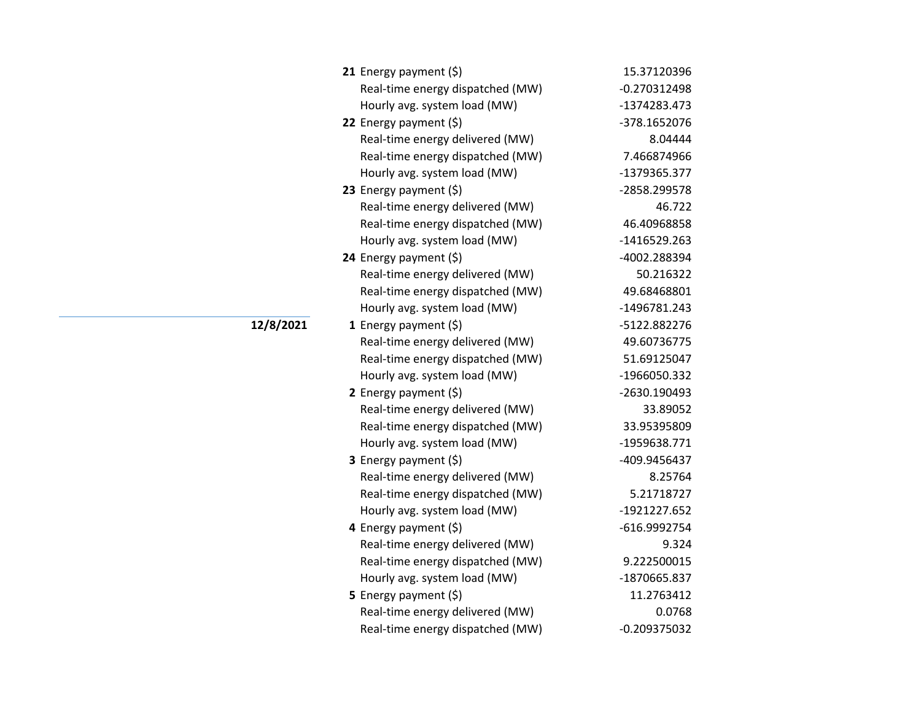| 21 Energy payment $(\xi)$        | 15.37120396    |
|----------------------------------|----------------|
| Real-time energy dispatched (MW) | $-0.270312498$ |
| Hourly avg. system load (MW)     | -1374283.473   |
| 22 Energy payment $(\xi)$        | -378.1652076   |
| Real-time energy delivered (MW)  | 8.04444        |
| Real-time energy dispatched (MW) | 7.466874966    |
| Hourly avg. system load (MW)     | -1379365.377   |
| 23 Energy payment $(\xi)$        | -2858.299578   |
| Real-time energy delivered (MW)  | 46.722         |
| Real-time energy dispatched (MW) | 46.40968858    |
| Hourly avg. system load (MW)     | -1416529.263   |
| 24 Energy payment (\$)           | -4002.288394   |
| Real-time energy delivered (MW)  | 50.216322      |
| Real-time energy dispatched (MW) | 49.68468801    |
| Hourly avg. system load (MW)     | -1496781.243   |
| 1 Energy payment $(5)$           | -5122.882276   |
| Real-time energy delivered (MW)  | 49.60736775    |
| Real-time energy dispatched (MW) | 51.69125047    |
| Hourly avg. system load (MW)     | -1966050.332   |
| 2 Energy payment $(\xi)$         | -2630.190493   |
| Real-time energy delivered (MW)  | 33.89052       |
| Real-time energy dispatched (MW) | 33.95395809    |
| Hourly avg. system load (MW)     | -1959638.771   |
| 3 Energy payment (\$)            | -409.9456437   |
| Real-time energy delivered (MW)  | 8.25764        |
| Real-time energy dispatched (MW) | 5.21718727     |
| Hourly avg. system load (MW)     | -1921227.652   |
| 4 Energy payment (\$)            | -616.9992754   |
| Real-time energy delivered (MW)  | 9.324          |
| Real-time energy dispatched (MW) | 9.222500015    |
| Hourly avg. system load (MW)     | -1870665.837   |
| 5 Energy payment (\$)            | 11.2763412     |
| Real-time energy delivered (MW)  | 0.0768         |
| Real-time energy dispatched (MW) | $-0.209375032$ |

## **12/8/2021**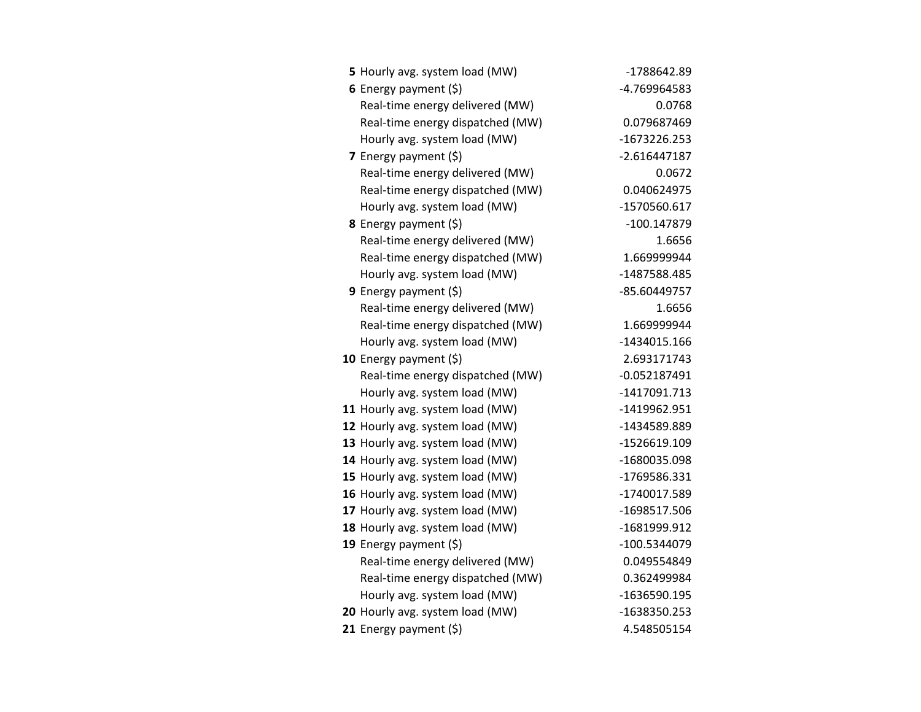| 5 Hourly avg. system load (MW)   | -1788642.89    |
|----------------------------------|----------------|
| 6 Energy payment $(5)$           | -4.769964583   |
| Real-time energy delivered (MW)  | 0.0768         |
| Real-time energy dispatched (MW) | 0.079687469    |
| Hourly avg. system load (MW)     | -1673226.253   |
| 7 Energy payment $(5)$           | $-2.616447187$ |
| Real-time energy delivered (MW)  | 0.0672         |
| Real-time energy dispatched (MW) | 0.040624975    |
| Hourly avg. system load (MW)     | -1570560.617   |
| <b>8</b> Energy payment $(\xi)$  | -100.147879    |
| Real-time energy delivered (MW)  | 1.6656         |
| Real-time energy dispatched (MW) | 1.669999944    |
| Hourly avg. system load (MW)     | -1487588.485   |
| 9 Energy payment (\$)            | -85.60449757   |
| Real-time energy delivered (MW)  | 1.6656         |
| Real-time energy dispatched (MW) | 1.669999944    |
| Hourly avg. system load (MW)     | $-1434015.166$ |
| 10 Energy payment (\$)           | 2.693171743    |
| Real-time energy dispatched (MW) | $-0.052187491$ |
| Hourly avg. system load (MW)     | -1417091.713   |
| 11 Hourly avg. system load (MW)  | -1419962.951   |
| 12 Hourly avg. system load (MW)  | -1434589.889   |
| 13 Hourly avg. system load (MW)  | -1526619.109   |
| 14 Hourly avg. system load (MW)  | -1680035.098   |
| 15 Hourly avg. system load (MW)  | -1769586.331   |
| 16 Hourly avg. system load (MW)  | -1740017.589   |
| 17 Hourly avg. system load (MW)  | -1698517.506   |
| 18 Hourly avg. system load (MW)  | -1681999.912   |
| 19 Energy payment $(\xi)$        | -100.5344079   |
| Real-time energy delivered (MW)  | 0.049554849    |
| Real-time energy dispatched (MW) | 0.362499984    |
| Hourly avg. system load (MW)     | -1636590.195   |
| 20 Hourly avg. system load (MW)  | -1638350.253   |
| 21 Energy payment $(\xi)$        | 4.548505154    |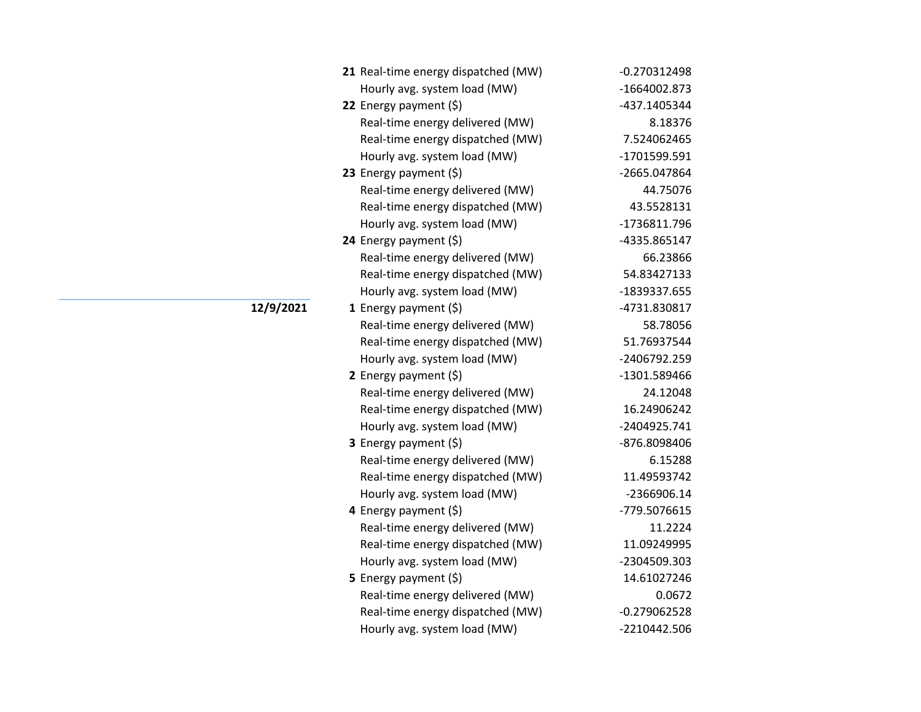| 21 Real-time energy dispatched (MW) | $-0.270312498$ |
|-------------------------------------|----------------|
| Hourly avg. system load (MW)        | -1664002.873   |
| 22 Energy payment (\$)              | -437.1405344   |
| Real-time energy delivered (MW)     | 8.18376        |
| Real-time energy dispatched (MW)    | 7.524062465    |
| Hourly avg. system load (MW)        | -1701599.591   |
| 23 Energy payment $(\xi)$           | -2665.047864   |
| Real-time energy delivered (MW)     | 44.75076       |
| Real-time energy dispatched (MW)    | 43.5528131     |
| Hourly avg. system load (MW)        | -1736811.796   |
| 24 Energy payment (\$)              | -4335.865147   |
| Real-time energy delivered (MW)     | 66.23866       |
| Real-time energy dispatched (MW)    | 54.83427133    |
| Hourly avg. system load (MW)        | -1839337.655   |
| 1 Energy payment $(\xi)$            | -4731.830817   |
| Real-time energy delivered (MW)     | 58.78056       |
| Real-time energy dispatched (MW)    | 51.76937544    |
| Hourly avg. system load (MW)        | -2406792.259   |
| 2 Energy payment $(\xi)$            | -1301.589466   |
| Real-time energy delivered (MW)     | 24.12048       |
| Real-time energy dispatched (MW)    | 16.24906242    |
| Hourly avg. system load (MW)        | -2404925.741   |
| <b>3</b> Energy payment $(\xi)$     | -876.8098406   |
| Real-time energy delivered (MW)     | 6.15288        |
| Real-time energy dispatched (MW)    | 11.49593742    |
| Hourly avg. system load (MW)        | -2366906.14    |
| 4 Energy payment (\$)               | -779.5076615   |
| Real-time energy delivered (MW)     | 11.2224        |
| Real-time energy dispatched (MW)    | 11.09249995    |
| Hourly avg. system load (MW)        | -2304509.303   |
| 5 Energy payment $(\xi)$            | 14.61027246    |
| Real-time energy delivered (MW)     | 0.0672         |
| Real-time energy dispatched (MW)    | $-0.279062528$ |
| Hourly avg. system load (MW)        | -2210442.506   |

**12/9/2021**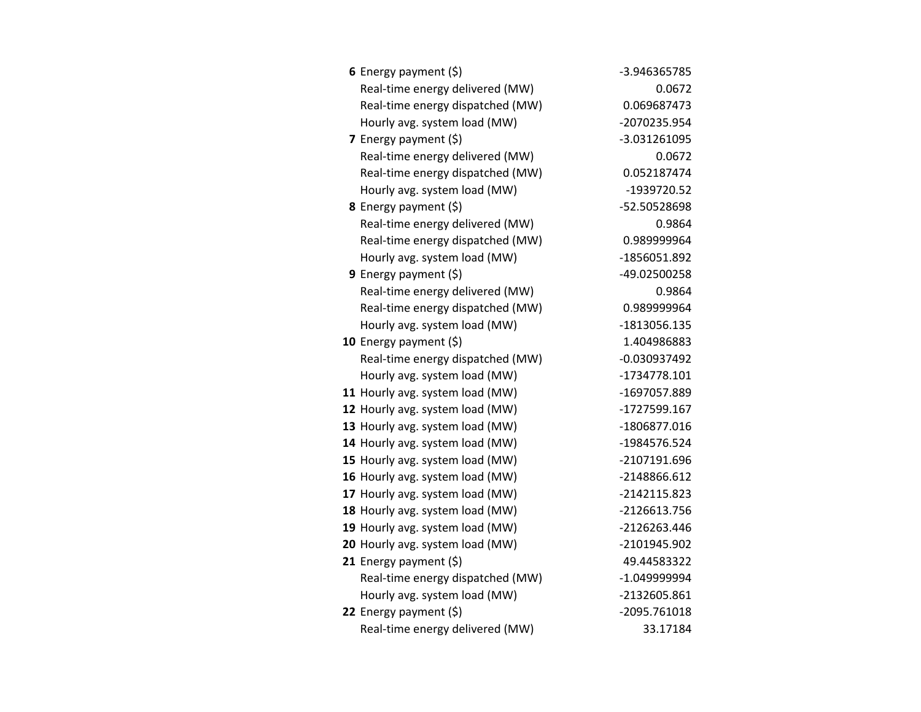| 6 Energy payment $(\xi)$         | -3.946365785   |
|----------------------------------|----------------|
| Real-time energy delivered (MW)  | 0.0672         |
| Real-time energy dispatched (MW) | 0.069687473    |
| Hourly avg. system load (MW)     | -2070235.954   |
| 7 Energy payment (\$)            | -3.031261095   |
| Real-time energy delivered (MW)  | 0.0672         |
| Real-time energy dispatched (MW) | 0.052187474    |
| Hourly avg. system load (MW)     | -1939720.52    |
| <b>8</b> Energy payment $(\xi)$  | -52.50528698   |
| Real-time energy delivered (MW)  | 0.9864         |
| Real-time energy dispatched (MW) | 0.989999964    |
| Hourly avg. system load (MW)     | -1856051.892   |
| 9 Energy payment $(\xi)$         | -49.02500258   |
| Real-time energy delivered (MW)  | 0.9864         |
| Real-time energy dispatched (MW) | 0.989999964    |
| Hourly avg. system load (MW)     | -1813056.135   |
| 10 Energy payment $(5)$          | 1.404986883    |
| Real-time energy dispatched (MW) | $-0.030937492$ |
| Hourly avg. system load (MW)     | -1734778.101   |
| 11 Hourly avg. system load (MW)  | -1697057.889   |
| 12 Hourly avg. system load (MW)  | -1727599.167   |
| 13 Hourly avg. system load (MW)  | -1806877.016   |
| 14 Hourly avg. system load (MW)  | -1984576.524   |
| 15 Hourly avg. system load (MW)  | -2107191.696   |
| 16 Hourly avg. system load (MW)  | -2148866.612   |
| 17 Hourly avg. system load (MW)  | -2142115.823   |
| 18 Hourly avg. system load (MW)  | -2126613.756   |
| 19 Hourly avg. system load (MW)  | -2126263.446   |
| 20 Hourly avg. system load (MW)  | -2101945.902   |
| 21 Energy payment $(\xi)$        | 49.44583322    |
| Real-time energy dispatched (MW) | -1.049999994   |
| Hourly avg. system load (MW)     | -2132605.861   |
| 22 Energy payment $(\xi)$        | -2095.761018   |
| Real-time energy delivered (MW)  | 33.17184       |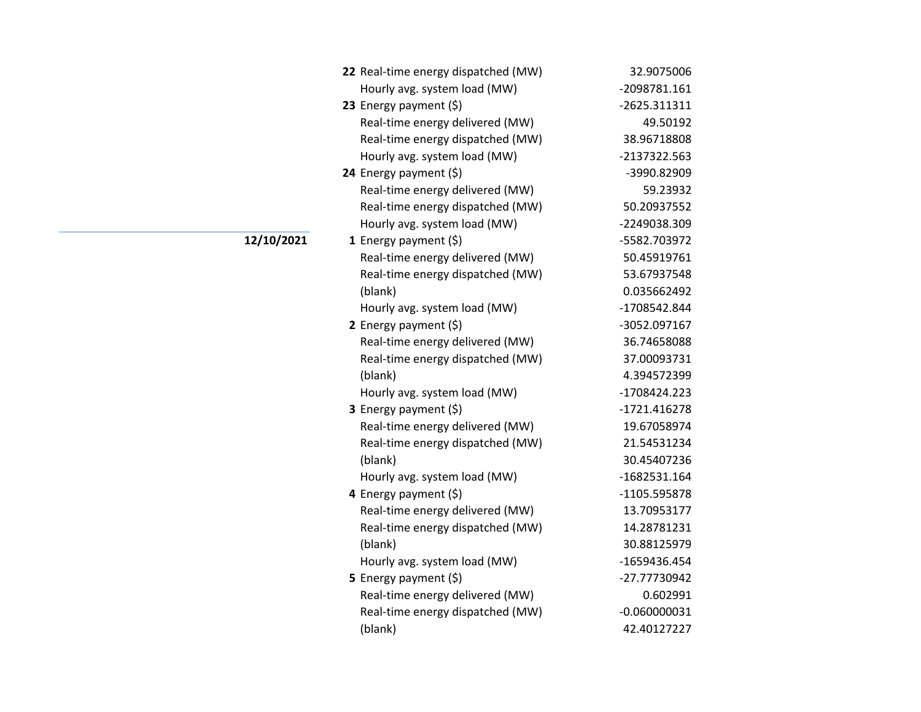| 22 Real-time energy dispatched (MW) | 32.9075006     |
|-------------------------------------|----------------|
| Hourly avg. system load (MW)        | -2098781.161   |
| 23 Energy payment (\$)              | -2625.311311   |
| Real-time energy delivered (MW)     | 49.50192       |
| Real-time energy dispatched (MW)    | 38.96718808    |
| Hourly avg. system load (MW)        | -2137322.563   |
| 24 Energy payment (\$)              | -3990.82909    |
| Real-time energy delivered (MW)     | 59.23932       |
| Real-time energy dispatched (MW)    | 50.20937552    |
| Hourly avg. system load (MW)        | -2249038.309   |
| 1 Energy payment $(5)$              | -5582.703972   |
| Real-time energy delivered (MW)     | 50.45919761    |
| Real-time energy dispatched (MW)    | 53.67937548    |
| (blank)                             | 0.035662492    |
| Hourly avg. system load (MW)        | -1708542.844   |
| 2 Energy payment $(\xi)$            | -3052.097167   |
| Real-time energy delivered (MW)     | 36.74658088    |
| Real-time energy dispatched (MW)    | 37.00093731    |
| (blank)                             | 4.394572399    |
| Hourly avg. system load (MW)        | -1708424.223   |
| 3 Energy payment (\$)               | -1721.416278   |
| Real-time energy delivered (MW)     | 19.67058974    |
| Real-time energy dispatched (MW)    | 21.54531234    |
| (blank)                             | 30.45407236    |
| Hourly avg. system load (MW)        | -1682531.164   |
| 4 Energy payment (\$)               | -1105.595878   |
| Real-time energy delivered (MW)     | 13.70953177    |
| Real-time energy dispatched (MW)    | 14.28781231    |
| (blank)                             | 30.88125979    |
| Hourly avg. system load (MW)        | -1659436.454   |
| 5 Energy payment (\$)               | -27.77730942   |
| Real-time energy delivered (MW)     | 0.602991       |
| Real-time energy dispatched (MW)    | $-0.060000031$ |
| (blank)                             | 42.40127227    |

**12/10/2021**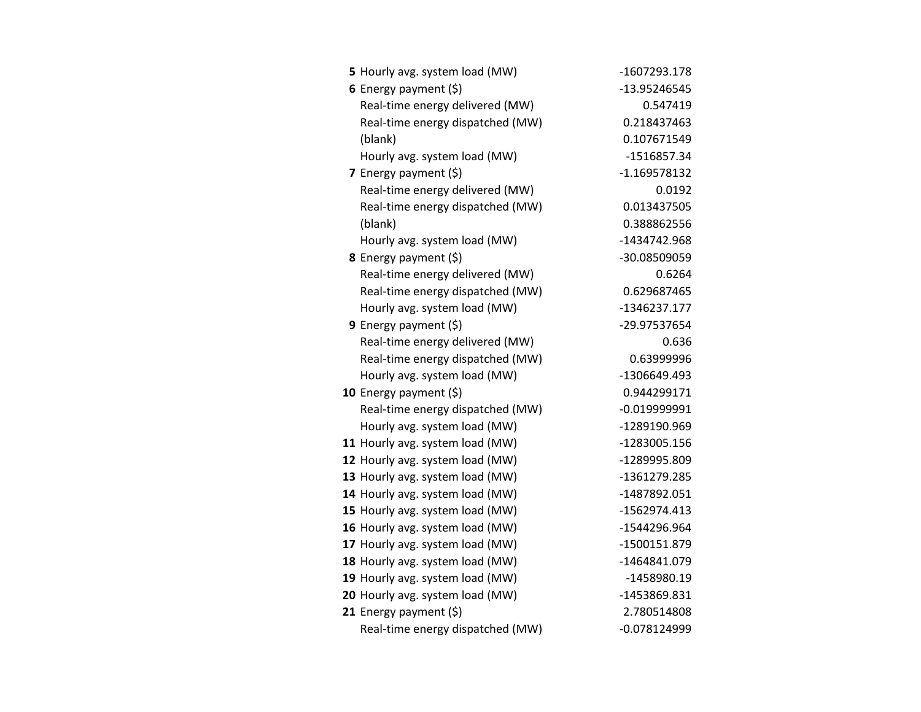| 5 Hourly avg. system load (MW)  |                                  | -1607293.178   |
|---------------------------------|----------------------------------|----------------|
| 6 Energy payment $(5)$          |                                  | -13.95246545   |
|                                 | Real-time energy delivered (MW)  | 0.547419       |
|                                 | Real-time energy dispatched (MW) | 0.218437463    |
| (blank)                         |                                  | 0.107671549    |
| Hourly avg. system load (MW)    |                                  | -1516857.34    |
| 7 Energy payment $(5)$          |                                  | $-1.169578132$ |
|                                 | Real-time energy delivered (MW)  | 0.0192         |
|                                 | Real-time energy dispatched (MW) | 0.013437505    |
| (blank)                         |                                  | 0.388862556    |
| Hourly avg. system load (MW)    |                                  | -1434742.968   |
| 8 Energy payment (\$)           |                                  | -30.08509059   |
|                                 | Real-time energy delivered (MW)  | 0.6264         |
|                                 | Real-time energy dispatched (MW) | 0.629687465    |
| Hourly avg. system load (MW)    |                                  | -1346237.177   |
| <b>9</b> Energy payment $(\xi)$ |                                  | -29.97537654   |
|                                 | Real-time energy delivered (MW)  | 0.636          |
|                                 | Real-time energy dispatched (MW) | 0.63999996     |
| Hourly avg. system load (MW)    |                                  | -1306649.493   |
| 10 Energy payment $(\xi)$       |                                  | 0.944299171    |
|                                 | Real-time energy dispatched (MW) | $-0.019999991$ |
| Hourly avg. system load (MW)    |                                  | -1289190.969   |
| 11 Hourly avg. system load (MW) |                                  | -1283005.156   |
| 12 Hourly avg. system load (MW) |                                  | -1289995.809   |
| 13 Hourly avg. system load (MW) |                                  | -1361279.285   |
| 14 Hourly avg. system load (MW) |                                  | -1487892.051   |
| 15 Hourly avg. system load (MW) |                                  | -1562974.413   |
| 16 Hourly avg. system load (MW) |                                  | -1544296.964   |
| 17 Hourly avg. system load (MW) |                                  | -1500151.879   |
| 18 Hourly avg. system load (MW) |                                  | -1464841.079   |
| 19 Hourly avg. system load (MW) |                                  | -1458980.19    |
| 20 Hourly avg. system load (MW) |                                  | -1453869.831   |
| 21 Energy payment $(\xi)$       |                                  | 2.780514808    |
|                                 | Real-time energy dispatched (MW) | $-0.078124999$ |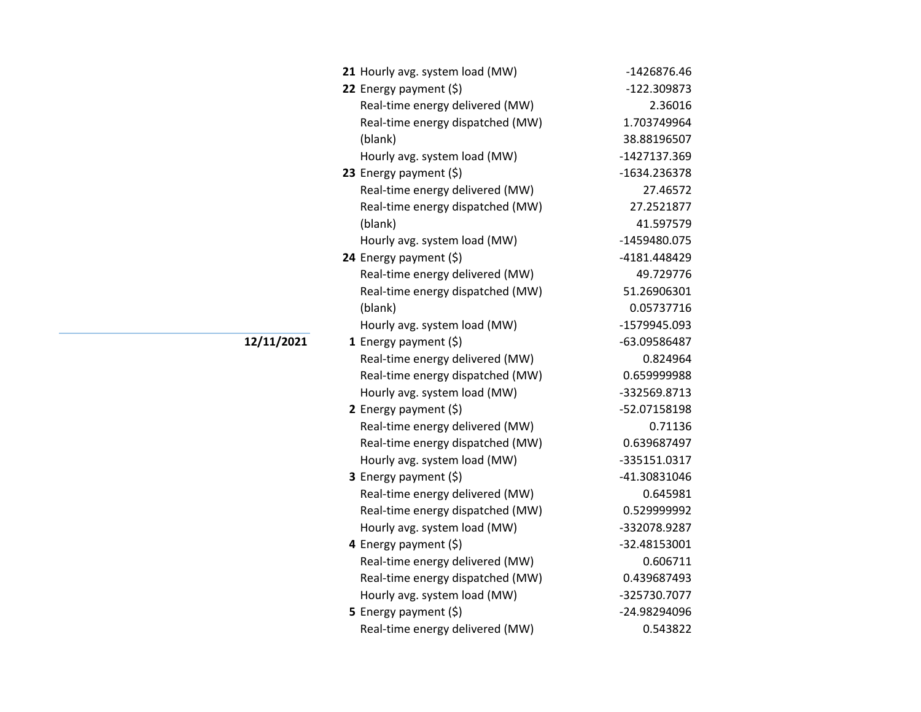| 21 Hourly avg. system load (MW)  | -1426876.46  |
|----------------------------------|--------------|
| 22 Energy payment (\$)           | -122.309873  |
| Real-time energy delivered (MW)  | 2.36016      |
| Real-time energy dispatched (MW) | 1.703749964  |
| (blank)                          | 38.88196507  |
| Hourly avg. system load (MW)     | -1427137.369 |
| 23 Energy payment (\$)           | -1634.236378 |
| Real-time energy delivered (MW)  | 27.46572     |
| Real-time energy dispatched (MW) | 27.2521877   |
| (blank)                          | 41.597579    |
| Hourly avg. system load (MW)     | -1459480.075 |
| 24 Energy payment (\$)           | -4181.448429 |
| Real-time energy delivered (MW)  | 49.729776    |
| Real-time energy dispatched (MW) | 51.26906301  |
| (blank)                          | 0.05737716   |
| Hourly avg. system load (MW)     | -1579945.093 |
| 1 Energy payment $(\xi)$         | -63.09586487 |
| Real-time energy delivered (MW)  | 0.824964     |
| Real-time energy dispatched (MW) | 0.659999988  |
| Hourly avg. system load (MW)     | -332569.8713 |
| 2 Energy payment $(5)$           | -52.07158198 |
| Real-time energy delivered (MW)  | 0.71136      |
| Real-time energy dispatched (MW) | 0.639687497  |
| Hourly avg. system load (MW)     | -335151.0317 |
| 3 Energy payment (\$)            | -41.30831046 |
| Real-time energy delivered (MW)  | 0.645981     |
| Real-time energy dispatched (MW) | 0.529999992  |
| Hourly avg. system load (MW)     | -332078.9287 |
| 4 Energy payment (\$)            | -32.48153001 |
| Real-time energy delivered (MW)  | 0.606711     |
| Real-time energy dispatched (MW) | 0.439687493  |
| Hourly avg. system load (MW)     | -325730.7077 |
| 5 Energy payment $(\xi)$         | -24.98294096 |
| Real-time energy delivered (MW)  | 0.543822     |

**12/11/2021**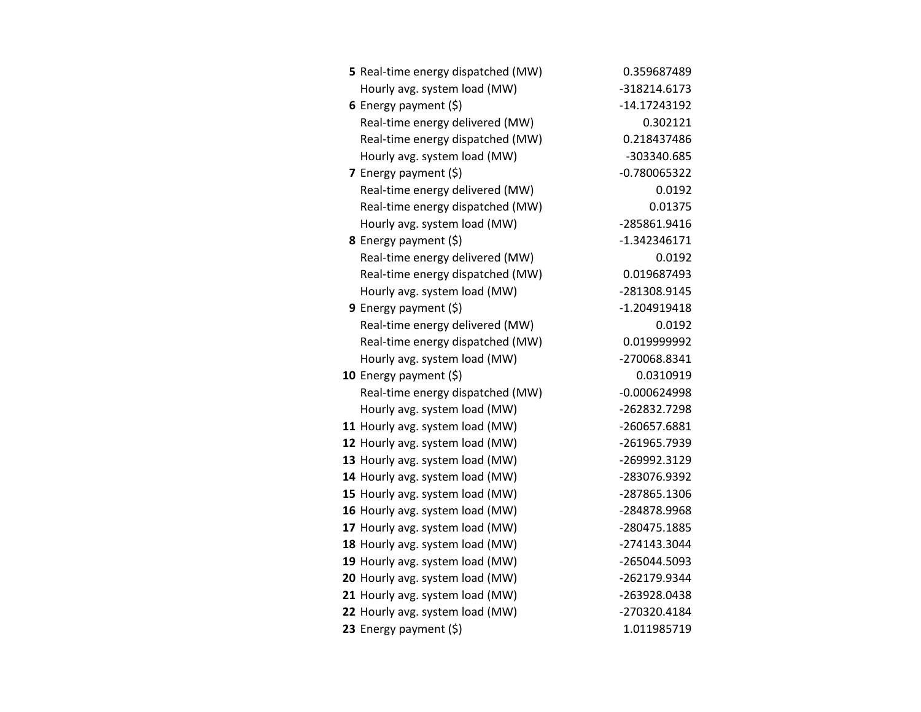| 5 Real-time energy dispatched (MW) | 0.359687489    |
|------------------------------------|----------------|
| Hourly avg. system load (MW)       | -318214.6173   |
| 6 Energy payment (\$)              | -14.17243192   |
| Real-time energy delivered (MW)    | 0.302121       |
| Real-time energy dispatched (MW)   | 0.218437486    |
| Hourly avg. system load (MW)       | -303340.685    |
| 7 Energy payment (\$)              | $-0.780065322$ |
| Real-time energy delivered (MW)    | 0.0192         |
| Real-time energy dispatched (MW)   | 0.01375        |
| Hourly avg. system load (MW)       | -285861.9416   |
| 8 Energy payment (\$)              | $-1.342346171$ |
| Real-time energy delivered (MW)    | 0.0192         |
| Real-time energy dispatched (MW)   | 0.019687493    |
| Hourly avg. system load (MW)       | -281308.9145   |
| 9 Energy payment $(\xi)$           | $-1.204919418$ |
| Real-time energy delivered (MW)    | 0.0192         |
| Real-time energy dispatched (MW)   | 0.019999992    |
| Hourly avg. system load (MW)       | -270068.8341   |
| 10 Energy payment $(5)$            | 0.0310919      |
| Real-time energy dispatched (MW)   | $-0.000624998$ |
| Hourly avg. system load (MW)       | -262832.7298   |
| 11 Hourly avg. system load (MW)    | -260657.6881   |
| 12 Hourly avg. system load (MW)    | -261965.7939   |
| 13 Hourly avg. system load (MW)    | -269992.3129   |
| 14 Hourly avg. system load (MW)    | -283076.9392   |
| 15 Hourly avg. system load (MW)    | -287865.1306   |
| 16 Hourly avg. system load (MW)    | -284878.9968   |
| 17 Hourly avg. system load (MW)    | -280475.1885   |
| 18 Hourly avg. system load (MW)    | -274143.3044   |
| 19 Hourly avg. system load (MW)    | -265044.5093   |
| 20 Hourly avg. system load (MW)    | -262179.9344   |
| 21 Hourly avg. system load (MW)    | -263928.0438   |
| 22 Hourly avg. system load (MW)    | -270320.4184   |
| 23 Energy payment (\$)             | 1.011985719    |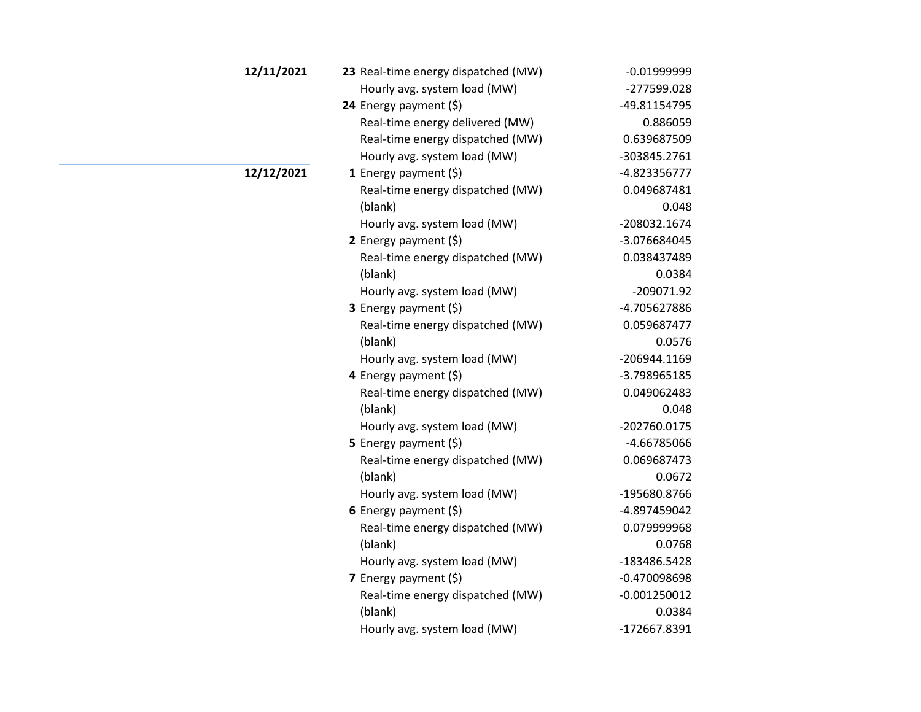| 12/11/2021 | 23 Real-time energy dispatched (MW) | $-0.019999999$ |
|------------|-------------------------------------|----------------|
|            | Hourly avg. system load (MW)        | -277599.028    |
|            | 24 Energy payment (\$)              | -49.81154795   |
|            | Real-time energy delivered (MW)     | 0.886059       |
|            | Real-time energy dispatched (MW)    | 0.639687509    |
|            | Hourly avg. system load (MW)        | -303845.2761   |
| 12/12/2021 | 1 Energy payment $(\xi)$            | -4.823356777   |
|            | Real-time energy dispatched (MW)    | 0.049687481    |
|            | (blank)                             | 0.048          |
|            | Hourly avg. system load (MW)        | -208032.1674   |
|            | 2 Energy payment $(5)$              | -3.076684045   |
|            | Real-time energy dispatched (MW)    | 0.038437489    |
|            | (blank)                             | 0.0384         |
|            | Hourly avg. system load (MW)        | $-209071.92$   |
|            | 3 Energy payment (\$)               | -4.705627886   |
|            | Real-time energy dispatched (MW)    | 0.059687477    |
|            | (blank)                             | 0.0576         |
|            | Hourly avg. system load (MW)        | -206944.1169   |
|            | 4 Energy payment (\$)               | -3.798965185   |
|            | Real-time energy dispatched (MW)    | 0.049062483    |
|            | (blank)                             | 0.048          |
|            | Hourly avg. system load (MW)        | -202760.0175   |
|            | 5 Energy payment (\$)               | -4.66785066    |
|            | Real-time energy dispatched (MW)    | 0.069687473    |
|            | (blank)                             | 0.0672         |
|            | Hourly avg. system load (MW)        | -195680.8766   |
|            | 6 Energy payment $(\$)$             | -4.897459042   |
|            | Real-time energy dispatched (MW)    | 0.079999968    |
|            | (blank)                             | 0.0768         |
|            | Hourly avg. system load (MW)        | -183486.5428   |
|            | 7 Energy payment $(\xi)$            | -0.470098698   |
|            | Real-time energy dispatched (MW)    | $-0.001250012$ |
|            | (blank)                             | 0.0384         |
|            | Hourly avg. system load (MW)        | -172667.8391   |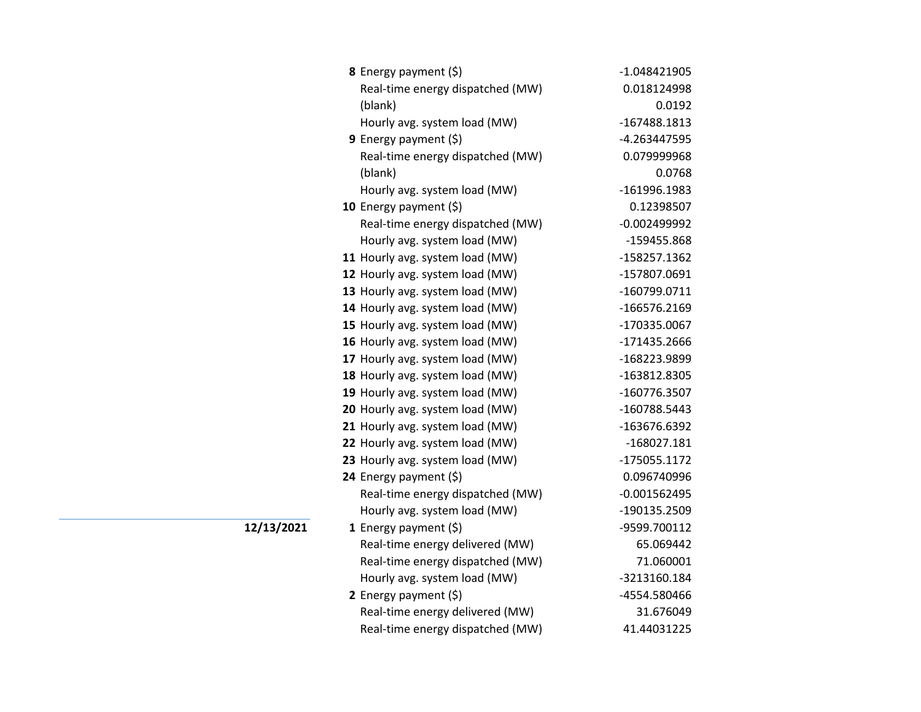| 8 Energy payment (\$)            | $-1.048421905$ |
|----------------------------------|----------------|
| Real-time energy dispatched (MW) | 0.018124998    |
| (blank)                          | 0.0192         |
| Hourly avg. system load (MW)     | -167488.1813   |
| 9 Energy payment (\$)            | -4.263447595   |
| Real-time energy dispatched (MW) | 0.079999968    |
| (blank)                          | 0.0768         |
| Hourly avg. system load (MW)     | -161996.1983   |
| 10 Energy payment (\$)           | 0.12398507     |
| Real-time energy dispatched (MW) | $-0.002499992$ |
| Hourly avg. system load (MW)     | -159455.868    |
| 11 Hourly avg. system load (MW)  | -158257.1362   |
| 12 Hourly avg. system load (MW)  | -157807.0691   |
| 13 Hourly avg. system load (MW)  | -160799.0711   |
| 14 Hourly avg. system load (MW)  | -166576.2169   |
| 15 Hourly avg. system load (MW)  | -170335.0067   |
| 16 Hourly avg. system load (MW)  | -171435.2666   |
| 17 Hourly avg. system load (MW)  | -168223.9899   |
| 18 Hourly avg. system load (MW)  | -163812.8305   |
| 19 Hourly avg. system load (MW)  | -160776.3507   |
| 20 Hourly avg. system load (MW)  | -160788.5443   |
| 21 Hourly avg. system load (MW)  | -163676.6392   |
| 22 Hourly avg. system load (MW)  | $-168027.181$  |
| 23 Hourly avg. system load (MW)  | -175055.1172   |
| 24 Energy payment (\$)           | 0.096740996    |
| Real-time energy dispatched (MW) | $-0.001562495$ |
| Hourly avg. system load (MW)     | -190135.2509   |
| 1 Energy payment $(\xi)$         | -9599.700112   |
| Real-time energy delivered (MW)  | 65.069442      |
| Real-time energy dispatched (MW) | 71.060001      |
| Hourly avg. system load (MW)     | -3213160.184   |
| 2 Energy payment $(\xi)$         | -4554.580466   |
| Real-time energy delivered (MW)  | 31.676049      |
| Real-time energy dispatched (MW) | 41.44031225    |

**12/13/2021**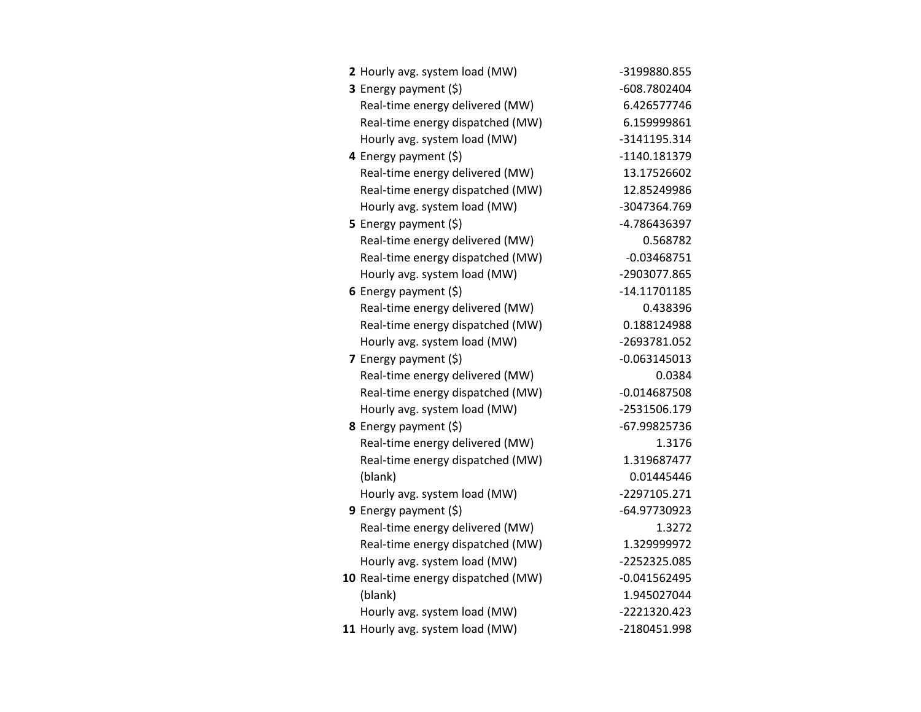| 2 Hourly avg. system load (MW)      | -3199880.855   |
|-------------------------------------|----------------|
| 3 Energy payment (\$)               | -608.7802404   |
| Real-time energy delivered (MW)     | 6.426577746    |
| Real-time energy dispatched (MW)    | 6.159999861    |
| Hourly avg. system load (MW)        | -3141195.314   |
| 4 Energy payment (\$)               | -1140.181379   |
| Real-time energy delivered (MW)     | 13.17526602    |
| Real-time energy dispatched (MW)    | 12.85249986    |
| Hourly avg. system load (MW)        | -3047364.769   |
| 5 Energy payment $(\xi)$            | -4.786436397   |
| Real-time energy delivered (MW)     | 0.568782       |
| Real-time energy dispatched (MW)    | $-0.03468751$  |
| Hourly avg. system load (MW)        | -2903077.865   |
| 6 Energy payment $(\xi)$            | $-14.11701185$ |
| Real-time energy delivered (MW)     | 0.438396       |
| Real-time energy dispatched (MW)    | 0.188124988    |
| Hourly avg. system load (MW)        | -2693781.052   |
| <b>7</b> Energy payment $(\xi)$     | $-0.063145013$ |
| Real-time energy delivered (MW)     | 0.0384         |
| Real-time energy dispatched (MW)    | $-0.014687508$ |
| Hourly avg. system load (MW)        | -2531506.179   |
| 8 Energy payment (\$)               | -67.99825736   |
| Real-time energy delivered (MW)     | 1.3176         |
| Real-time energy dispatched (MW)    | 1.319687477    |
| (blank)                             | 0.01445446     |
| Hourly avg. system load (MW)        | -2297105.271   |
| 9 Energy payment (\$)               | -64.97730923   |
| Real-time energy delivered (MW)     | 1.3272         |
| Real-time energy dispatched (MW)    | 1.329999972    |
| Hourly avg. system load (MW)        | -2252325.085   |
| 10 Real-time energy dispatched (MW) | $-0.041562495$ |
| (blank)                             | 1.945027044    |
| Hourly avg. system load (MW)        | -2221320.423   |
| 11 Hourly avg. system load (MW)     | -2180451.998   |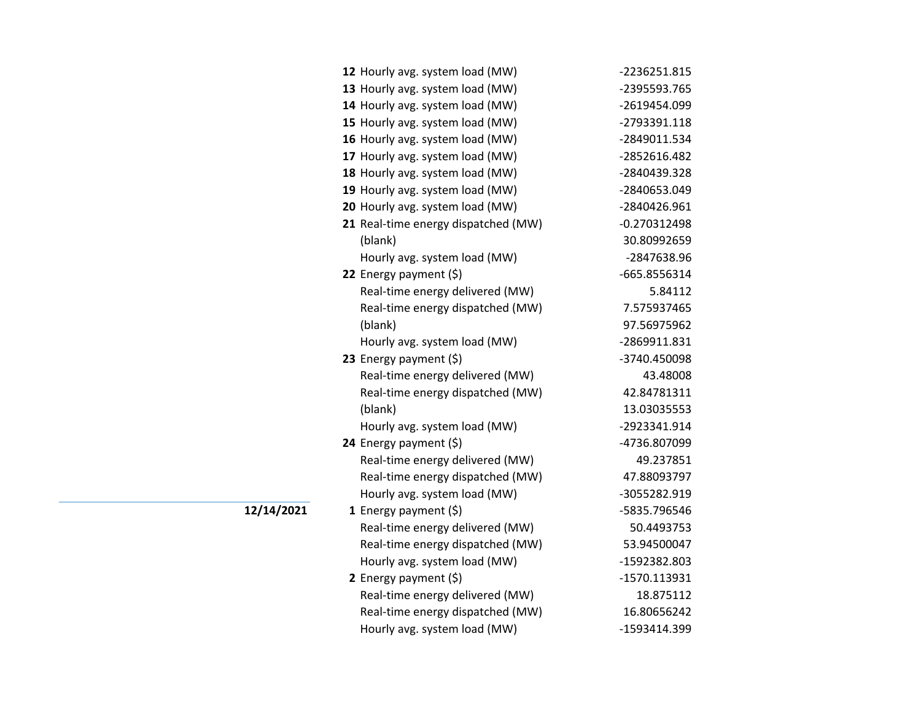| 12 Hourly avg. system load (MW)                                  | -2236251.815                |
|------------------------------------------------------------------|-----------------------------|
| 13 Hourly avg. system load (MW)                                  | -2395593.765                |
| 14 Hourly avg. system load (MW)                                  | -2619454.099                |
| 15 Hourly avg. system load (MW)                                  | -2793391.118                |
| 16 Hourly avg. system load (MW)                                  | -2849011.534                |
| 17 Hourly avg. system load (MW)                                  | -2852616.482                |
| 18 Hourly avg. system load (MW)                                  | -2840439.328                |
| 19 Hourly avg. system load (MW)                                  | -2840653.049                |
| 20 Hourly avg. system load (MW)                                  | -2840426.961                |
| 21 Real-time energy dispatched (MW)                              | $-0.270312498$              |
| (blank)                                                          | 30.80992659                 |
| Hourly avg. system load (MW)                                     | -2847638.96                 |
| 22 Energy payment (\$)                                           | -665.8556314                |
| Real-time energy delivered (MW)                                  | 5.84112                     |
| Real-time energy dispatched (MW)                                 | 7.575937465                 |
| (blank)                                                          | 97.56975962                 |
| Hourly avg. system load (MW)                                     | -2869911.831                |
| 23 Energy payment (\$)                                           | -3740.450098                |
| Real-time energy delivered (MW)                                  | 43.48008                    |
| Real-time energy dispatched (MW)                                 | 42.84781311                 |
| (blank)                                                          | 13.03035553                 |
| Hourly avg. system load (MW)                                     | -2923341.914                |
| 24 Energy payment (\$)                                           | -4736.807099                |
| Real-time energy delivered (MW)                                  | 49.237851                   |
|                                                                  |                             |
| Real-time energy dispatched (MW)                                 | 47.88093797                 |
| Hourly avg. system load (MW)                                     | -3055282.919                |
| 1 Energy payment $(\$)$                                          | -5835.796546                |
| Real-time energy delivered (MW)                                  | 50.4493753                  |
| Real-time energy dispatched (MW)                                 | 53.94500047                 |
| Hourly avg. system load (MW)                                     | -1592382.803                |
| 2 Energy payment $(\xi)$                                         | -1570.113931                |
| Real-time energy delivered (MW)                                  | 18.875112                   |
| Real-time energy dispatched (MW)<br>Hourly avg. system load (MW) | 16.80656242<br>-1593414.399 |

**12/14/2021**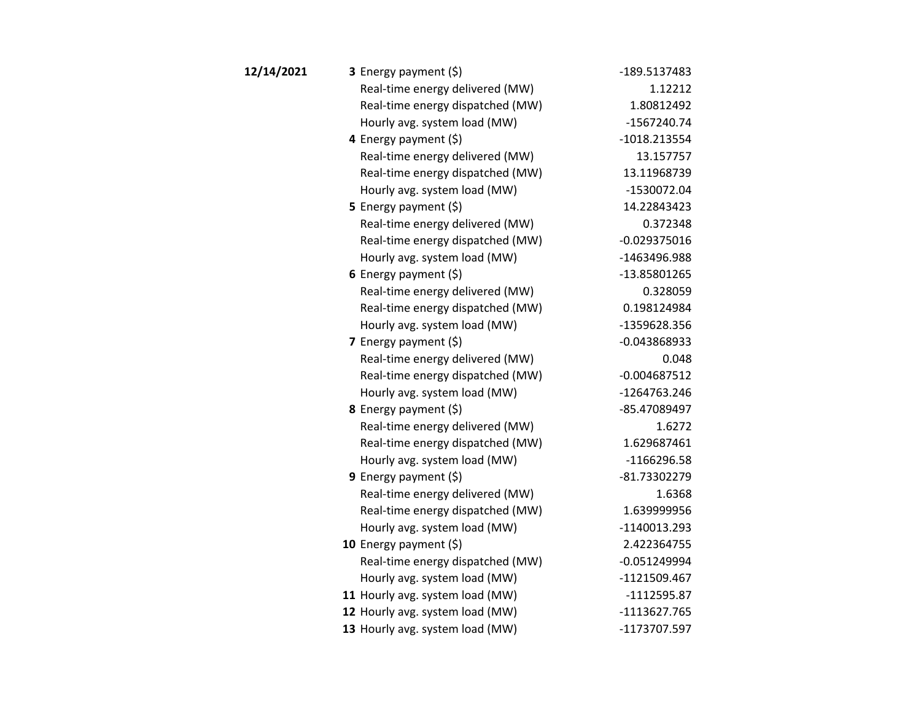| 12/14/2021 | 3 Energy payment (\$)            | -189.5137483   |
|------------|----------------------------------|----------------|
|            | Real-time energy delivered (MW)  | 1.12212        |
|            | Real-time energy dispatched (MW) | 1.80812492     |
|            | Hourly avg. system load (MW)     | $-1567240.74$  |
|            | 4 Energy payment (\$)            | $-1018.213554$ |
|            | Real-time energy delivered (MW)  | 13.157757      |
|            | Real-time energy dispatched (MW) | 13.11968739    |
|            | Hourly avg. system load (MW)     | $-1530072.04$  |
|            | <b>5</b> Energy payment $(\xi)$  | 14.22843423    |
|            | Real-time energy delivered (MW)  | 0.372348       |
|            | Real-time energy dispatched (MW) | $-0.029375016$ |
|            | Hourly avg. system load (MW)     | -1463496.988   |
|            | 6 Energy payment $(5)$           | -13.85801265   |
|            | Real-time energy delivered (MW)  | 0.328059       |
|            | Real-time energy dispatched (MW) | 0.198124984    |
|            | Hourly avg. system load (MW)     | -1359628.356   |
|            | 7 Energy payment $(\xi)$         | $-0.043868933$ |
|            | Real-time energy delivered (MW)  | 0.048          |
|            | Real-time energy dispatched (MW) | $-0.004687512$ |
|            | Hourly avg. system load (MW)     | -1264763.246   |
|            | 8 Energy payment (\$)            | -85.47089497   |
|            | Real-time energy delivered (MW)  | 1.6272         |
|            | Real-time energy dispatched (MW) | 1.629687461    |
|            | Hourly avg. system load (MW)     | $-1166296.58$  |
|            | 9 Energy payment $(\xi)$         | -81.73302279   |
|            | Real-time energy delivered (MW)  | 1.6368         |
|            | Real-time energy dispatched (MW) | 1.639999956    |
|            | Hourly avg. system load (MW)     | -1140013.293   |
|            | 10 Energy payment $(5)$          | 2.422364755    |
|            | Real-time energy dispatched (MW) | $-0.051249994$ |
|            | Hourly avg. system load (MW)     | $-1121509.467$ |
|            | 11 Hourly avg. system load (MW)  | $-1112595.87$  |
|            | 12 Hourly avg. system load (MW)  | $-1113627.765$ |
|            | 13 Hourly avg. system load (MW)  | -1173707.597   |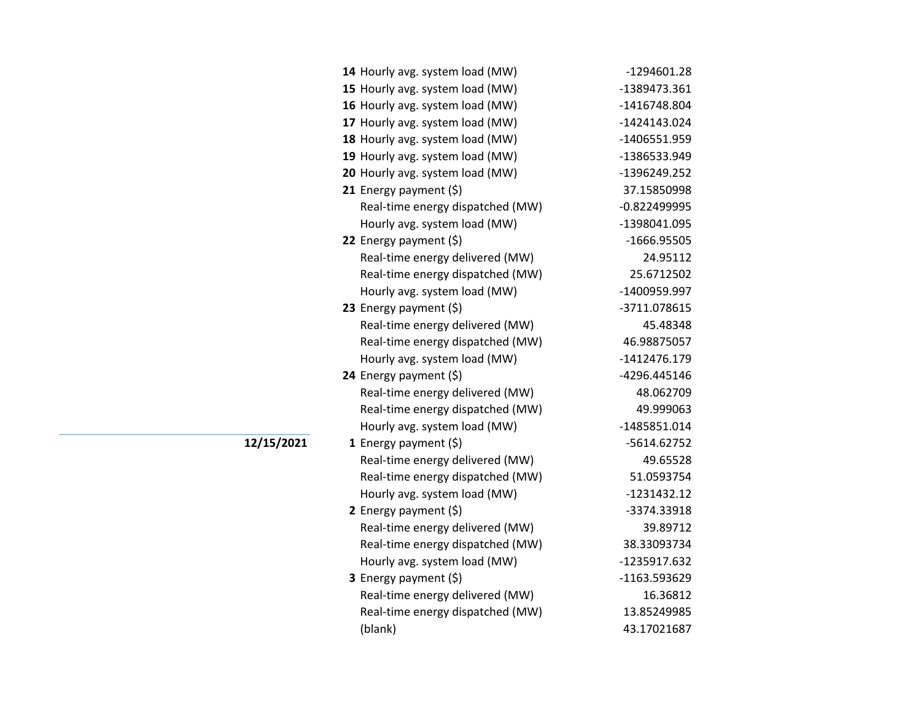| 14 Hourly avg. system load (MW)  | -1294601.28    |
|----------------------------------|----------------|
| 15 Hourly avg. system load (MW)  | -1389473.361   |
| 16 Hourly avg. system load (MW)  | -1416748.804   |
| 17 Hourly avg. system load (MW)  | $-1424143.024$ |
| 18 Hourly avg. system load (MW)  | -1406551.959   |
| 19 Hourly avg. system load (MW)  | -1386533.949   |
| 20 Hourly avg. system load (MW)  | -1396249.252   |
| 21 Energy payment $(\xi)$        | 37.15850998    |
| Real-time energy dispatched (MW) | $-0.822499995$ |
| Hourly avg. system load (MW)     | -1398041.095   |
| 22 Energy payment $(\xi)$        | -1666.95505    |
| Real-time energy delivered (MW)  | 24.95112       |
| Real-time energy dispatched (MW) | 25.6712502     |
| Hourly avg. system load (MW)     | -1400959.997   |
| 23 Energy payment $(\xi)$        | -3711.078615   |
| Real-time energy delivered (MW)  | 45.48348       |
| Real-time energy dispatched (MW) | 46.98875057    |
| Hourly avg. system load (MW)     | -1412476.179   |
| 24 Energy payment (\$)           | -4296.445146   |
| Real-time energy delivered (MW)  | 48.062709      |
| Real-time energy dispatched (MW) | 49.999063      |
| Hourly avg. system load (MW)     | -1485851.014   |
| 1 Energy payment (\$)            | -5614.62752    |
| Real-time energy delivered (MW)  | 49.65528       |
| Real-time energy dispatched (MW) | 51.0593754     |
| Hourly avg. system load (MW)     | $-1231432.12$  |
| 2 Energy payment $(5)$           | -3374.33918    |
| Real-time energy delivered (MW)  | 39.89712       |
| Real-time energy dispatched (MW) | 38.33093734    |
| Hourly avg. system load (MW)     | -1235917.632   |
| <b>3</b> Energy payment $(\xi)$  | -1163.593629   |
| Real-time energy delivered (MW)  | 16.36812       |
| Real-time energy dispatched (MW) | 13.85249985    |
| (blank)                          | 43.17021687    |
|                                  |                |

**12/15/2021**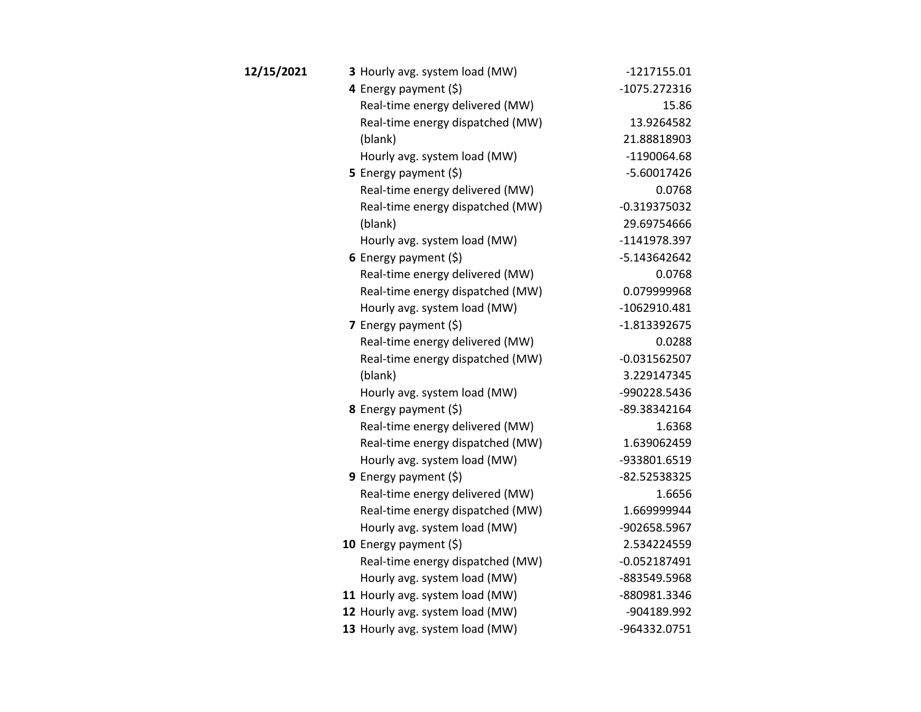| 12/15/2021 | 3 Hourly avg. system load (MW)   | $-1217155.01$  |
|------------|----------------------------------|----------------|
|            | 4 Energy payment (\$)            | -1075.272316   |
|            | Real-time energy delivered (MW)  | 15.86          |
|            | Real-time energy dispatched (MW) | 13.9264582     |
|            | (blank)                          | 21.88818903    |
|            | Hourly avg. system load (MW)     | -1190064.68    |
|            | 5 Energy payment $(\xi)$         | $-5.60017426$  |
|            | Real-time energy delivered (MW)  | 0.0768         |
|            | Real-time energy dispatched (MW) | $-0.319375032$ |
|            | (blank)                          | 29.69754666    |
|            | Hourly avg. system load (MW)     | -1141978.397   |
|            | 6 Energy payment (\$)            | -5.143642642   |
|            | Real-time energy delivered (MW)  | 0.0768         |
|            | Real-time energy dispatched (MW) | 0.079999968    |
|            | Hourly avg. system load (MW)     | $-1062910.481$ |
|            | 7 Energy payment $(5)$           | $-1.813392675$ |
|            | Real-time energy delivered (MW)  | 0.0288         |
|            | Real-time energy dispatched (MW) | $-0.031562507$ |
|            | (blank)                          | 3.229147345    |
|            | Hourly avg. system load (MW)     | -990228.5436   |
|            | 8 Energy payment (\$)            | -89.38342164   |
|            | Real-time energy delivered (MW)  | 1.6368         |
|            | Real-time energy dispatched (MW) | 1.639062459    |
|            | Hourly avg. system load (MW)     | -933801.6519   |
|            | 9 Energy payment $(5)$           | -82.52538325   |
|            | Real-time energy delivered (MW)  | 1.6656         |
|            | Real-time energy dispatched (MW) | 1.669999944    |
|            | Hourly avg. system load (MW)     | -902658.5967   |
|            | 10 Energy payment $(\xi)$        | 2.534224559    |
|            | Real-time energy dispatched (MW) | $-0.052187491$ |
|            | Hourly avg. system load (MW)     | -883549.5968   |
|            | 11 Hourly avg. system load (MW)  | -880981.3346   |
|            | 12 Hourly avg. system load (MW)  | -904189.992    |
|            | 13 Hourly avg. system load (MW)  | -964332.0751   |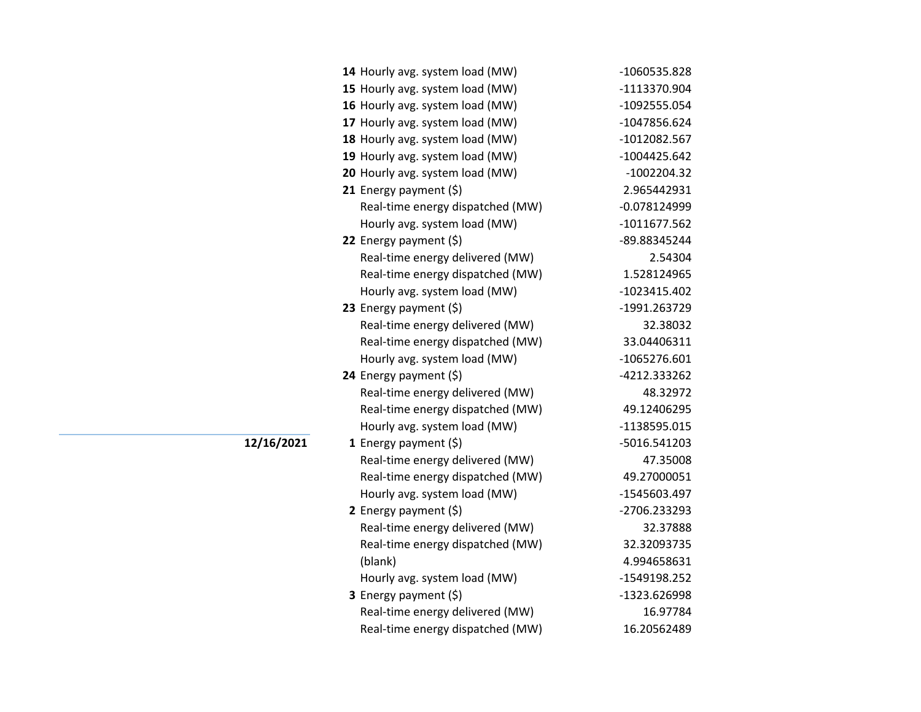| 14 Hourly avg. system load (MW)  | -1060535.828   |
|----------------------------------|----------------|
| 15 Hourly avg. system load (MW)  | -1113370.904   |
| 16 Hourly avg. system load (MW)  | -1092555.054   |
| 17 Hourly avg. system load (MW)  | -1047856.624   |
| 18 Hourly avg. system load (MW)  | -1012082.567   |
| 19 Hourly avg. system load (MW)  | $-1004425.642$ |
| 20 Hourly avg. system load (MW)  | $-1002204.32$  |
| 21 Energy payment (\$)           | 2.965442931    |
| Real-time energy dispatched (MW) | $-0.078124999$ |
| Hourly avg. system load (MW)     | -1011677.562   |
| 22 Energy payment (\$)           | -89.88345244   |
| Real-time energy delivered (MW)  | 2.54304        |
| Real-time energy dispatched (MW) | 1.528124965    |
| Hourly avg. system load (MW)     | -1023415.402   |
| 23 Energy payment (\$)           | -1991.263729   |
| Real-time energy delivered (MW)  | 32.38032       |
| Real-time energy dispatched (MW) | 33.04406311    |
| Hourly avg. system load (MW)     | -1065276.601   |
| 24 Energy payment (\$)           | -4212.333262   |
| Real-time energy delivered (MW)  | 48.32972       |
| Real-time energy dispatched (MW) | 49.12406295    |
| Hourly avg. system load (MW)     | -1138595.015   |
| 1 Energy payment $(\$)$          | -5016.541203   |
| Real-time energy delivered (MW)  | 47.35008       |
| Real-time energy dispatched (MW) | 49.27000051    |
| Hourly avg. system load (MW)     | -1545603.497   |
| 2 Energy payment $(\xi)$         | -2706.233293   |
| Real-time energy delivered (MW)  | 32.37888       |
| Real-time energy dispatched (MW) | 32.32093735    |
| (blank)                          | 4.994658631    |
| Hourly avg. system load (MW)     | -1549198.252   |
| 3 Energy payment (\$)            | -1323.626998   |
| Real-time energy delivered (MW)  | 16.97784       |
| Real-time energy dispatched (MW) | 16.20562489    |

**12/16/2021**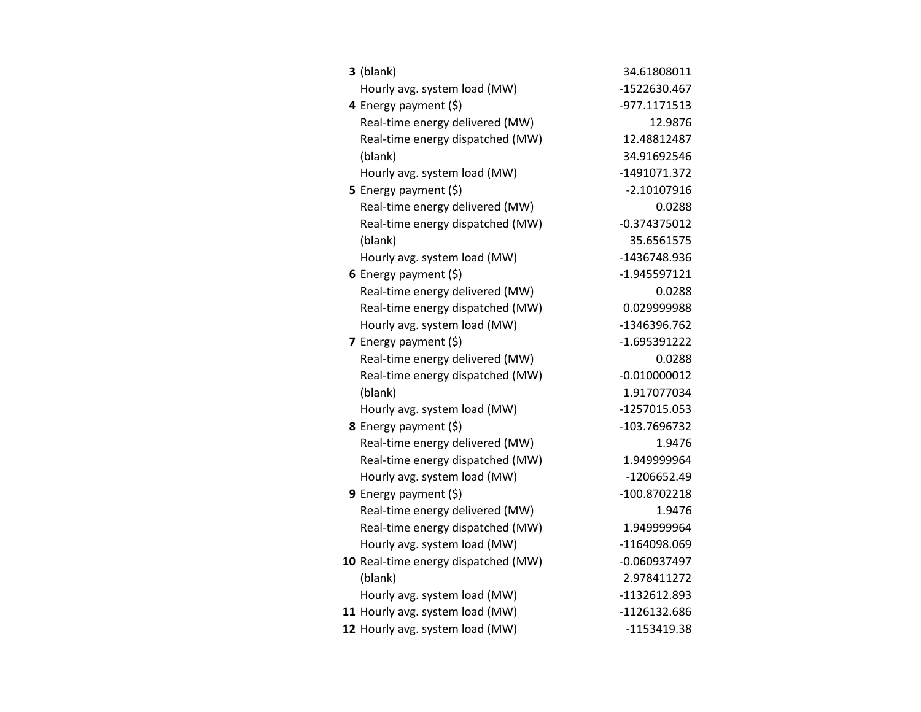| $3$ (blank)                         | 34.61808011    |
|-------------------------------------|----------------|
| Hourly avg. system load (MW)        | -1522630.467   |
| 4 Energy payment (\$)               | -977.1171513   |
| Real-time energy delivered (MW)     | 12.9876        |
| Real-time energy dispatched (MW)    | 12.48812487    |
| (blank)                             | 34.91692546    |
| Hourly avg. system load (MW)        | -1491071.372   |
| 5 Energy payment $(\xi)$            | $-2.10107916$  |
| Real-time energy delivered (MW)     | 0.0288         |
| Real-time energy dispatched (MW)    | $-0.374375012$ |
| (blank)                             | 35.6561575     |
| Hourly avg. system load (MW)        | -1436748.936   |
| 6 Energy payment $(5)$              | $-1.945597121$ |
| Real-time energy delivered (MW)     | 0.0288         |
| Real-time energy dispatched (MW)    | 0.029999988    |
| Hourly avg. system load (MW)        | -1346396.762   |
| 7 Energy payment $(\xi)$            | $-1.695391222$ |
| Real-time energy delivered (MW)     | 0.0288         |
| Real-time energy dispatched (MW)    | $-0.010000012$ |
| (blank)                             | 1.917077034    |
| Hourly avg. system load (MW)        | -1257015.053   |
| <b>8</b> Energy payment $(\xi)$     | -103.7696732   |
| Real-time energy delivered (MW)     | 1.9476         |
| Real-time energy dispatched (MW)    | 1.949999964    |
| Hourly avg. system load (MW)        | -1206652.49    |
| 9 Energy payment $(5)$              | -100.8702218   |
| Real-time energy delivered (MW)     | 1.9476         |
| Real-time energy dispatched (MW)    | 1.949999964    |
| Hourly avg. system load (MW)        | -1164098.069   |
| 10 Real-time energy dispatched (MW) | $-0.060937497$ |
| (blank)                             | 2.978411272    |
| Hourly avg. system load (MW)        | -1132612.893   |
| 11 Hourly avg. system load (MW)     | -1126132.686   |
| 12 Hourly avg. system load (MW)     | -1153419.38    |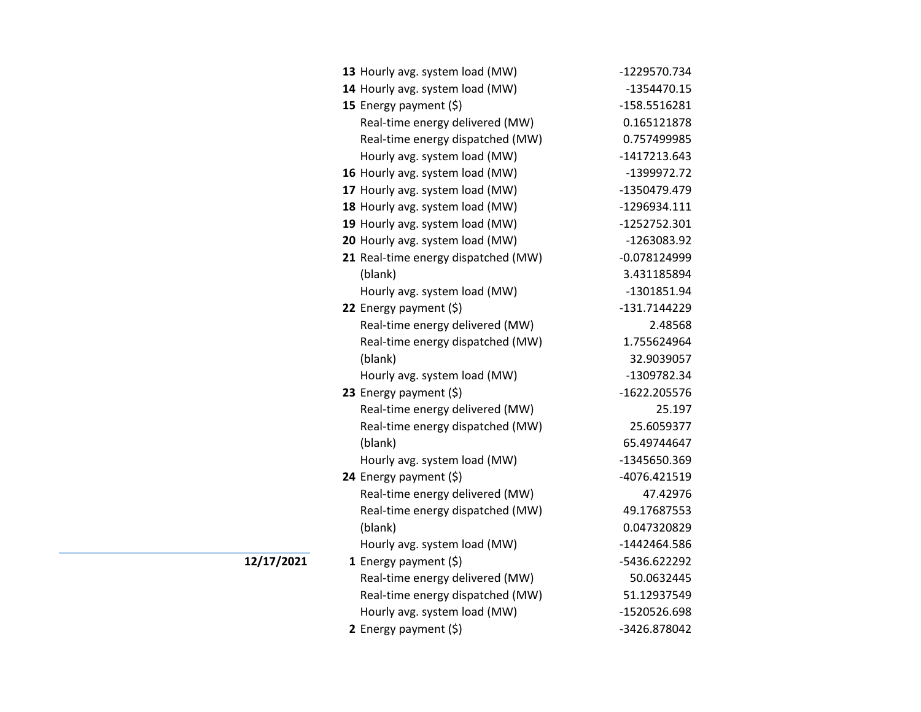| 13 Hourly avg. system load (MW)     | -1229570.734   |
|-------------------------------------|----------------|
| 14 Hourly avg. system load (MW)     | -1354470.15    |
| 15 Energy payment (\$)              | -158.5516281   |
| Real-time energy delivered (MW)     | 0.165121878    |
| Real-time energy dispatched (MW)    | 0.757499985    |
| Hourly avg. system load (MW)        | $-1417213.643$ |
| 16 Hourly avg. system load (MW)     | -1399972.72    |
| 17 Hourly avg. system load (MW)     | -1350479.479   |
| 18 Hourly avg. system load (MW)     | -1296934.111   |
| 19 Hourly avg. system load (MW)     | $-1252752.301$ |
| 20 Hourly avg. system load (MW)     | -1263083.92    |
| 21 Real-time energy dispatched (MW) | $-0.078124999$ |
| (blank)                             | 3.431185894    |
| Hourly avg. system load (MW)        | -1301851.94    |
| 22 Energy payment (\$)              | -131.7144229   |
| Real-time energy delivered (MW)     | 2.48568        |
| Real-time energy dispatched (MW)    | 1.755624964    |
| (blank)                             | 32.9039057     |
| Hourly avg. system load (MW)        | -1309782.34    |
| 23 Energy payment (\$)              | -1622.205576   |
| Real-time energy delivered (MW)     | 25.197         |
| Real-time energy dispatched (MW)    | 25.6059377     |
| (blank)                             | 65.49744647    |
| Hourly avg. system load (MW)        | -1345650.369   |
| 24 Energy payment (\$)              | -4076.421519   |
| Real-time energy delivered (MW)     | 47.42976       |
| Real-time energy dispatched (MW)    | 49.17687553    |
| (blank)                             | 0.047320829    |
| Hourly avg. system load (MW)        | -1442464.586   |
| 1 Energy payment $(\xi)$            | -5436.622292   |
| Real-time energy delivered (MW)     | 50.0632445     |
| Real-time energy dispatched (MW)    | 51.12937549    |
| Hourly avg. system load (MW)        | -1520526.698   |
| 2 Energy payment (\$)               | -3426.878042   |

**12/17/2021**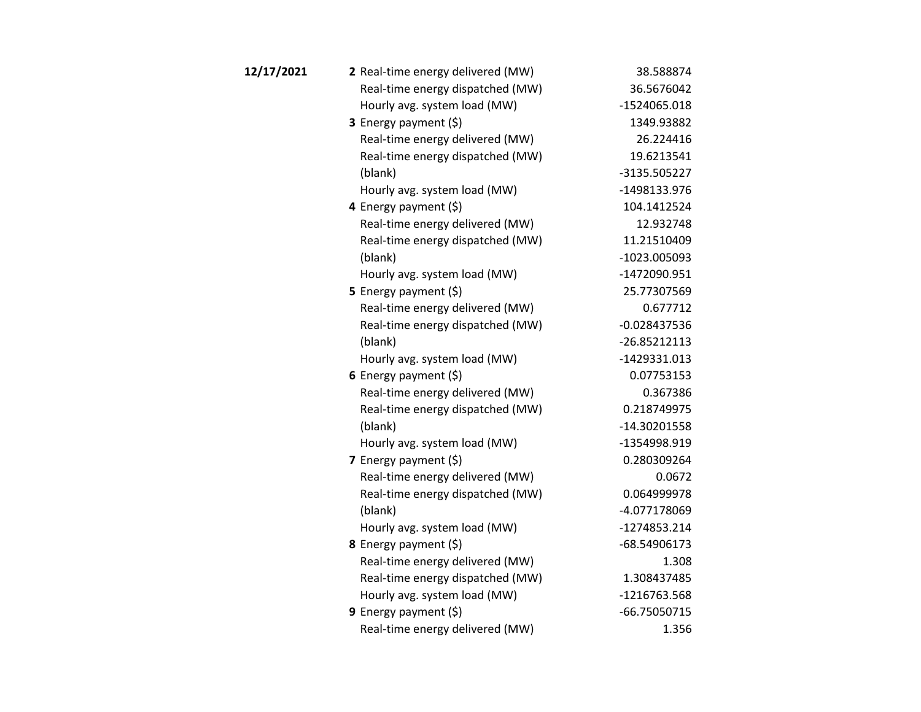| 12/17/2021 | 2 Real-time energy delivered (MW) | 38.588874      |
|------------|-----------------------------------|----------------|
|            | Real-time energy dispatched (MW)  | 36.5676042     |
|            | Hourly avg. system load (MW)      | -1524065.018   |
|            | 3 Energy payment (\$)             | 1349.93882     |
|            | Real-time energy delivered (MW)   | 26.224416      |
|            | Real-time energy dispatched (MW)  | 19.6213541     |
|            | (blank)                           | -3135.505227   |
|            | Hourly avg. system load (MW)      | -1498133.976   |
|            | 4 Energy payment (\$)             | 104.1412524    |
|            | Real-time energy delivered (MW)   | 12.932748      |
|            | Real-time energy dispatched (MW)  | 11.21510409    |
|            | (blank)                           | -1023.005093   |
|            | Hourly avg. system load (MW)      | -1472090.951   |
|            | 5 Energy payment $(5)$            | 25.77307569    |
|            | Real-time energy delivered (MW)   | 0.677712       |
|            | Real-time energy dispatched (MW)  | $-0.028437536$ |
|            | (blank)                           | $-26.85212113$ |
|            | Hourly avg. system load (MW)      | $-1429331.013$ |
|            | 6 Energy payment $(5)$            | 0.07753153     |
|            | Real-time energy delivered (MW)   | 0.367386       |
|            | Real-time energy dispatched (MW)  | 0.218749975    |
|            | (blank)                           | -14.30201558   |
|            | Hourly avg. system load (MW)      | -1354998.919   |
|            | 7 Energy payment $(5)$            | 0.280309264    |
|            | Real-time energy delivered (MW)   | 0.0672         |
|            | Real-time energy dispatched (MW)  | 0.064999978    |
|            | (blank)                           | -4.077178069   |
|            | Hourly avg. system load (MW)      | -1274853.214   |
|            | 8 Energy payment (\$)             | -68.54906173   |
|            | Real-time energy delivered (MW)   | 1.308          |
|            | Real-time energy dispatched (MW)  | 1.308437485    |
|            | Hourly avg. system load (MW)      | -1216763.568   |
|            | 9 Energy payment $(5)$            | -66.75050715   |
|            | Real-time energy delivered (MW)   | 1.356          |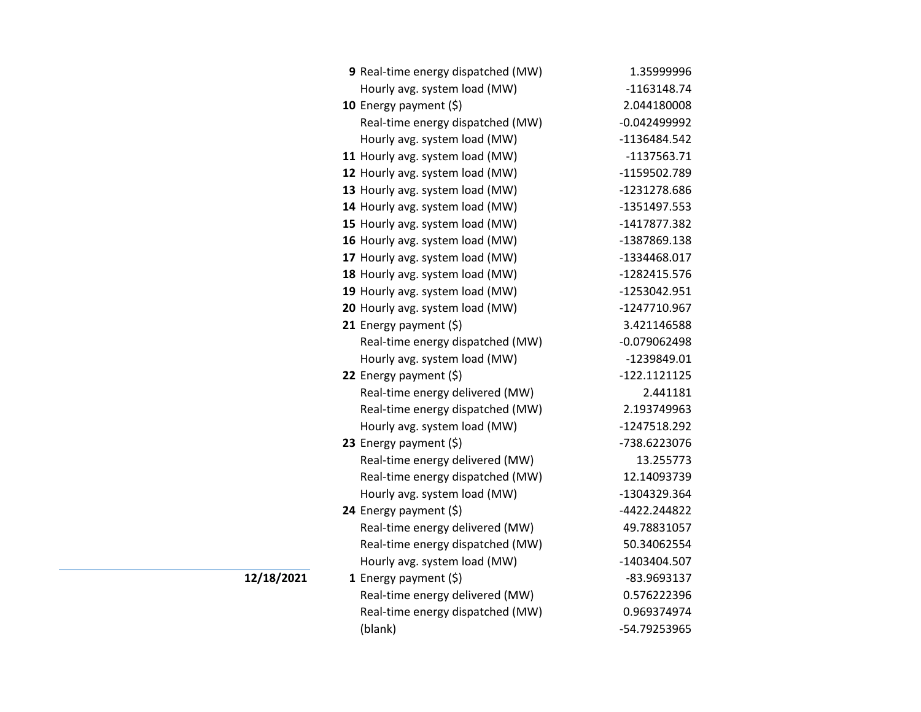| 9 Real-time energy dispatched (MW) | 1.35999996     |
|------------------------------------|----------------|
| Hourly avg. system load (MW)       | $-1163148.74$  |
| 10 Energy payment $(5)$            | 2.044180008    |
| Real-time energy dispatched (MW)   | $-0.042499992$ |
| Hourly avg. system load (MW)       | -1136484.542   |
| 11 Hourly avg. system load (MW)    | -1137563.71    |
| 12 Hourly avg. system load (MW)    | -1159502.789   |
| 13 Hourly avg. system load (MW)    | -1231278.686   |
| 14 Hourly avg. system load (MW)    | -1351497.553   |
| 15 Hourly avg. system load (MW)    | -1417877.382   |
| 16 Hourly avg. system load (MW)    | -1387869.138   |
| 17 Hourly avg. system load (MW)    | -1334468.017   |
| 18 Hourly avg. system load (MW)    | -1282415.576   |
| 19 Hourly avg. system load (MW)    | -1253042.951   |
| 20 Hourly avg. system load (MW)    | -1247710.967   |
| 21 Energy payment $(\xi)$          | 3.421146588    |
| Real-time energy dispatched (MW)   | $-0.079062498$ |
| Hourly avg. system load (MW)       | -1239849.01    |
| 22 Energy payment $(\xi)$          | $-122.1121125$ |
| Real-time energy delivered (MW)    | 2.441181       |
| Real-time energy dispatched (MW)   | 2.193749963    |
| Hourly avg. system load (MW)       | -1247518.292   |
| 23 Energy payment (\$)             | -738.6223076   |
| Real-time energy delivered (MW)    | 13.255773      |
| Real-time energy dispatched (MW)   | 12.14093739    |
| Hourly avg. system load (MW)       | -1304329.364   |
| 24 Energy payment (\$)             | -4422.244822   |
| Real-time energy delivered (MW)    | 49.78831057    |
| Real-time energy dispatched (MW)   | 50.34062554    |
| Hourly avg. system load (MW)       | -1403404.507   |
| 1 Energy payment $(\$)$            | -83.9693137    |
| Real-time energy delivered (MW)    | 0.576222396    |
| Real-time energy dispatched (MW)   | 0.969374974    |
| (blank)                            | -54.79253965   |

**12/18/2021**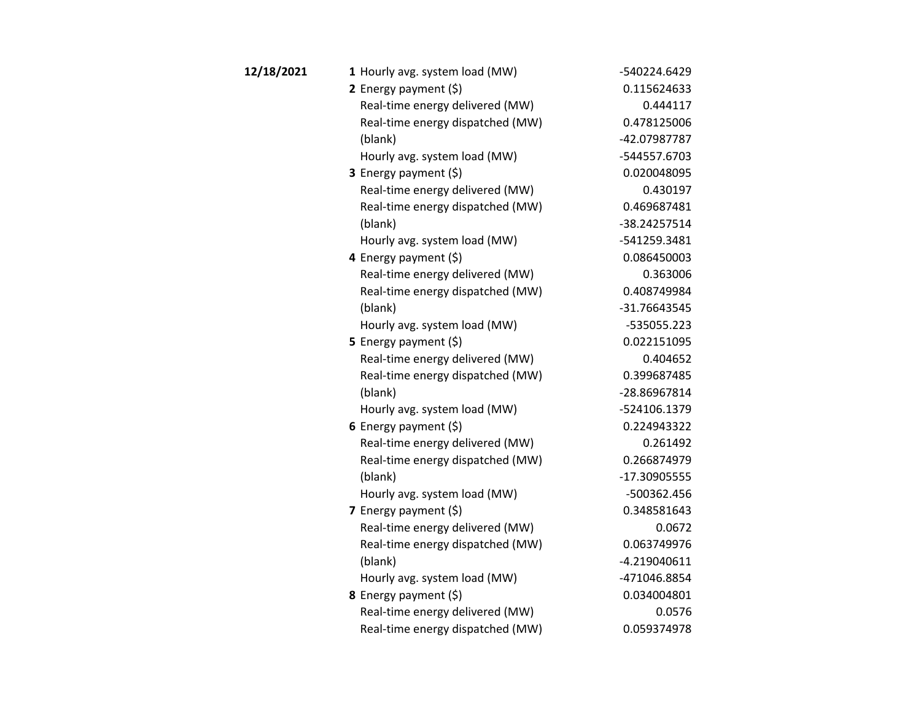| 12/18/2021 | 1 Hourly avg. system load (MW)   | -540224.6429   |
|------------|----------------------------------|----------------|
|            | 2 Energy payment $(5)$           | 0.115624633    |
|            | Real-time energy delivered (MW)  | 0.444117       |
|            | Real-time energy dispatched (MW) | 0.478125006    |
|            | (blank)                          | -42.07987787   |
|            | Hourly avg. system load (MW)     | -544557.6703   |
|            | 3 Energy payment (\$)            | 0.020048095    |
|            | Real-time energy delivered (MW)  | 0.430197       |
|            | Real-time energy dispatched (MW) | 0.469687481    |
|            | (blank)                          | -38.24257514   |
|            | Hourly avg. system load (MW)     | -541259.3481   |
|            | 4 Energy payment (\$)            | 0.086450003    |
|            | Real-time energy delivered (MW)  | 0.363006       |
|            | Real-time energy dispatched (MW) | 0.408749984    |
|            | (blank)                          | -31.76643545   |
|            | Hourly avg. system load (MW)     | -535055.223    |
|            | 5 Energy payment (\$)            | 0.022151095    |
|            | Real-time energy delivered (MW)  | 0.404652       |
|            | Real-time energy dispatched (MW) | 0.399687485    |
|            | (blank)                          | -28.86967814   |
|            | Hourly avg. system load (MW)     | -524106.1379   |
|            | 6 Energy payment $(5)$           | 0.224943322    |
|            | Real-time energy delivered (MW)  | 0.261492       |
|            | Real-time energy dispatched (MW) | 0.266874979    |
|            | (blank)                          | -17.30905555   |
|            | Hourly avg. system load (MW)     | -500362.456    |
|            | 7 Energy payment $(5)$           | 0.348581643    |
|            | Real-time energy delivered (MW)  | 0.0672         |
|            | Real-time energy dispatched (MW) | 0.063749976    |
|            | (blank)                          | $-4.219040611$ |
|            | Hourly avg. system load (MW)     | -471046.8854   |
|            | 8 Energy payment (\$)            | 0.034004801    |
|            | Real-time energy delivered (MW)  | 0.0576         |
|            | Real-time energy dispatched (MW) | 0.059374978    |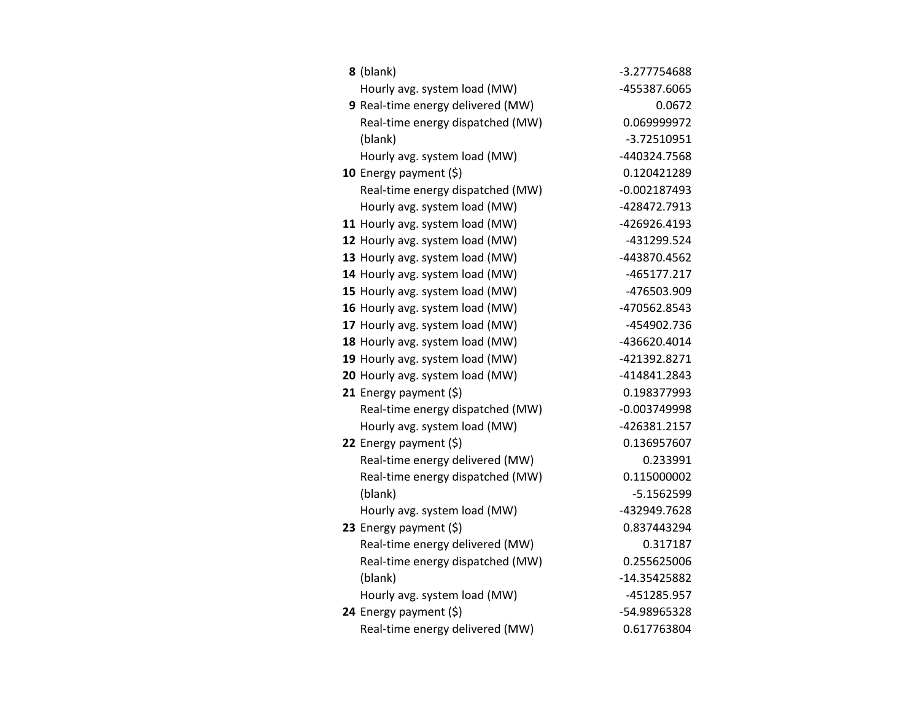| 8 (blank)                         | -3.277754688   |
|-----------------------------------|----------------|
| Hourly avg. system load (MW)      | -455387.6065   |
| 9 Real-time energy delivered (MW) | 0.0672         |
| Real-time energy dispatched (MW)  | 0.069999972    |
| (blank)                           | $-3.72510951$  |
| Hourly avg. system load (MW)      | -440324.7568   |
| 10 Energy payment $(5)$           | 0.120421289    |
| Real-time energy dispatched (MW)  | $-0.002187493$ |
| Hourly avg. system load (MW)      | -428472.7913   |
| 11 Hourly avg. system load (MW)   | -426926.4193   |
| 12 Hourly avg. system load (MW)   | -431299.524    |
| 13 Hourly avg. system load (MW)   | -443870.4562   |
| 14 Hourly avg. system load (MW)   | -465177.217    |
| 15 Hourly avg. system load (MW)   | -476503.909    |
| 16 Hourly avg. system load (MW)   | -470562.8543   |
| 17 Hourly avg. system load (MW)   | -454902.736    |
| 18 Hourly avg. system load (MW)   | -436620.4014   |
| 19 Hourly avg. system load (MW)   | -421392.8271   |
| 20 Hourly avg. system load (MW)   | -414841.2843   |
| 21 Energy payment $(\xi)$         | 0.198377993    |
| Real-time energy dispatched (MW)  | $-0.003749998$ |
| Hourly avg. system load (MW)      | -426381.2157   |
| 22 Energy payment (\$)            | 0.136957607    |
| Real-time energy delivered (MW)   | 0.233991       |
| Real-time energy dispatched (MW)  | 0.115000002    |
| (blank)                           | $-5.1562599$   |
| Hourly avg. system load (MW)      | -432949.7628   |
| 23 Energy payment (\$)            | 0.837443294    |
| Real-time energy delivered (MW)   | 0.317187       |
| Real-time energy dispatched (MW)  | 0.255625006    |
| (blank)                           | -14.35425882   |
| Hourly avg. system load (MW)      | -451285.957    |
| 24 Energy payment (\$)            | -54.98965328   |
| Real-time energy delivered (MW)   | 0.617763804    |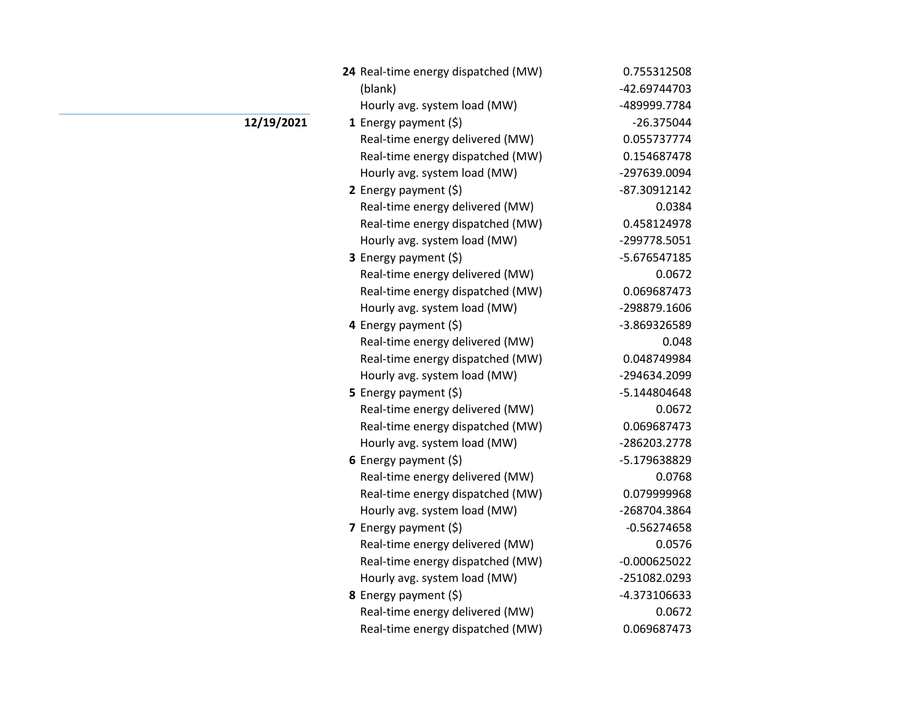| 24 Real-time energy dispatched (MW) | 0.755312508    |
|-------------------------------------|----------------|
| (blank)                             | -42.69744703   |
| Hourly avg. system load (MW)        | -489999.7784   |
| 1 Energy payment $(\xi)$            | $-26.375044$   |
| Real-time energy delivered (MW)     | 0.055737774    |
| Real-time energy dispatched (MW)    | 0.154687478    |
| Hourly avg. system load (MW)        | -297639.0094   |
| 2 Energy payment $(\xi)$            | -87.30912142   |
| Real-time energy delivered (MW)     | 0.0384         |
| Real-time energy dispatched (MW)    | 0.458124978    |
| Hourly avg. system load (MW)        | -299778.5051   |
| 3 Energy payment (\$)               | -5.676547185   |
| Real-time energy delivered (MW)     | 0.0672         |
| Real-time energy dispatched (MW)    | 0.069687473    |
| Hourly avg. system load (MW)        | -298879.1606   |
| 4 Energy payment (\$)               | -3.869326589   |
| Real-time energy delivered (MW)     | 0.048          |
| Real-time energy dispatched (MW)    | 0.048749984    |
| Hourly avg. system load (MW)        | -294634.2099   |
| 5 Energy payment $(5)$              | -5.144804648   |
| Real-time energy delivered (MW)     | 0.0672         |
| Real-time energy dispatched (MW)    | 0.069687473    |
| Hourly avg. system load (MW)        | -286203.2778   |
| 6 Energy payment $(\xi)$            | -5.179638829   |
| Real-time energy delivered (MW)     | 0.0768         |
| Real-time energy dispatched (MW)    | 0.079999968    |
| Hourly avg. system load (MW)        | -268704.3864   |
| 7 Energy payment (\$)               | $-0.56274658$  |
| Real-time energy delivered (MW)     | 0.0576         |
| Real-time energy dispatched (MW)    | $-0.000625022$ |
| Hourly avg. system load (MW)        | -251082.0293   |
| <b>8</b> Energy payment $(\xi)$     | -4.373106633   |
| Real-time energy delivered (MW)     | 0.0672         |
| Real-time energy dispatched (MW)    | 0.069687473    |

## **12/19/2021**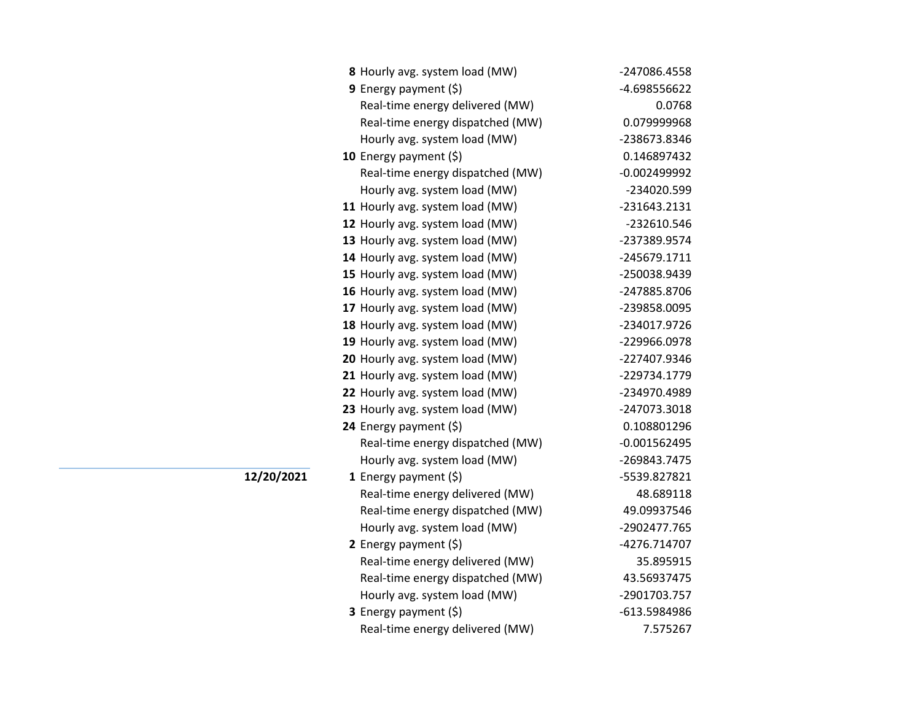| 8 Hourly avg. system load (MW)   | -247086.4558   |
|----------------------------------|----------------|
| 9 Energy payment $(5)$           | -4.698556622   |
| Real-time energy delivered (MW)  | 0.0768         |
| Real-time energy dispatched (MW) | 0.079999968    |
| Hourly avg. system load (MW)     | -238673.8346   |
| 10 Energy payment $(\xi)$        | 0.146897432    |
| Real-time energy dispatched (MW) | $-0.002499992$ |
| Hourly avg. system load (MW)     | -234020.599    |
| 11 Hourly avg. system load (MW)  | -231643.2131   |
| 12 Hourly avg. system load (MW)  | -232610.546    |
| 13 Hourly avg. system load (MW)  | -237389.9574   |
| 14 Hourly avg. system load (MW)  | -245679.1711   |
| 15 Hourly avg. system load (MW)  | -250038.9439   |
| 16 Hourly avg. system load (MW)  | -247885.8706   |
| 17 Hourly avg. system load (MW)  | -239858.0095   |
| 18 Hourly avg. system load (MW)  | -234017.9726   |
| 19 Hourly avg. system load (MW)  | -229966.0978   |
| 20 Hourly avg. system load (MW)  | -227407.9346   |
| 21 Hourly avg. system load (MW)  | -229734.1779   |
| 22 Hourly avg. system load (MW)  | -234970.4989   |
| 23 Hourly avg. system load (MW)  | -247073.3018   |
| 24 Energy payment (\$)           | 0.108801296    |
| Real-time energy dispatched (MW) | $-0.001562495$ |
| Hourly avg. system load (MW)     | -269843.7475   |
| 1 Energy payment $(\xi)$         | -5539.827821   |
| Real-time energy delivered (MW)  | 48.689118      |
| Real-time energy dispatched (MW) | 49.09937546    |
| Hourly avg. system load (MW)     | -2902477.765   |
| 2 Energy payment $(\xi)$         | -4276.714707   |
| Real-time energy delivered (MW)  | 35.895915      |
| Real-time energy dispatched (MW) | 43.56937475    |
| Hourly avg. system load (MW)     | -2901703.757   |
| <b>3</b> Energy payment $(\xi)$  | -613.5984986   |
| Real-time energy delivered (MW)  | 7.575267       |

**12/20/2021**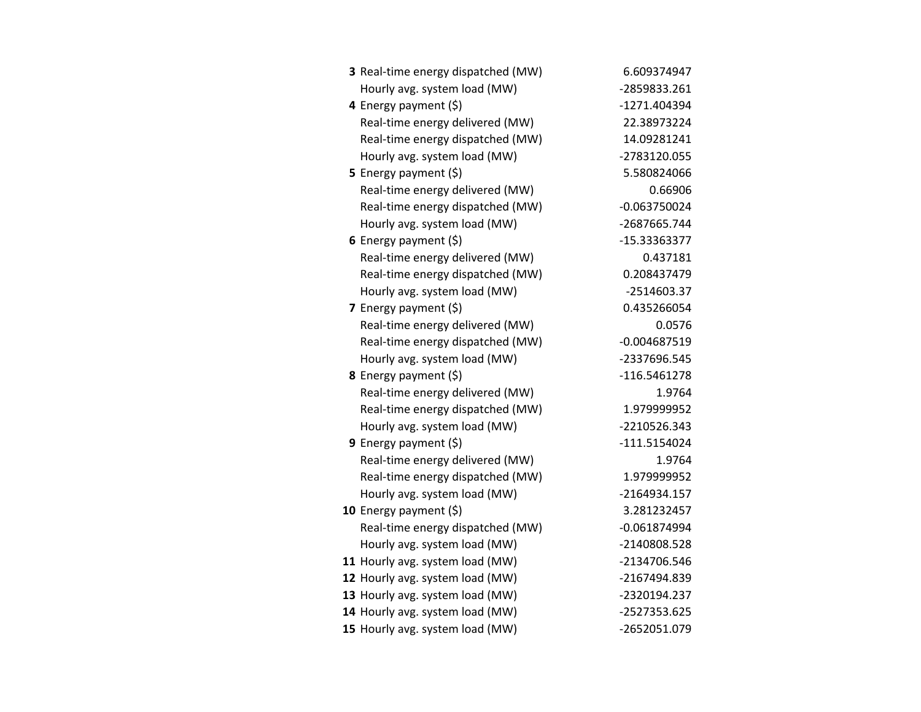| 3 Real-time energy dispatched (MW) | 6.609374947    |
|------------------------------------|----------------|
| Hourly avg. system load (MW)       | -2859833.261   |
| 4 Energy payment (\$)              | -1271.404394   |
| Real-time energy delivered (MW)    | 22.38973224    |
| Real-time energy dispatched (MW)   | 14.09281241    |
| Hourly avg. system load (MW)       | -2783120.055   |
| 5 Energy payment $(5)$             | 5.580824066    |
| Real-time energy delivered (MW)    | 0.66906        |
| Real-time energy dispatched (MW)   | $-0.063750024$ |
| Hourly avg. system load (MW)       | -2687665.744   |
| 6 Energy payment $(5)$             | -15.33363377   |
| Real-time energy delivered (MW)    | 0.437181       |
| Real-time energy dispatched (MW)   | 0.208437479    |
| Hourly avg. system load (MW)       | $-2514603.37$  |
| 7 Energy payment (\$)              | 0.435266054    |
| Real-time energy delivered (MW)    | 0.0576         |
| Real-time energy dispatched (MW)   | $-0.004687519$ |
| Hourly avg. system load (MW)       | -2337696.545   |
| 8 Energy payment (\$)              | -116.5461278   |
| Real-time energy delivered (MW)    | 1.9764         |
| Real-time energy dispatched (MW)   | 1.979999952    |
| Hourly avg. system load (MW)       | -2210526.343   |
| 9 Energy payment $(\xi)$           | $-111.5154024$ |
| Real-time energy delivered (MW)    | 1.9764         |
| Real-time energy dispatched (MW)   | 1.979999952    |
| Hourly avg. system load (MW)       | -2164934.157   |
| 10 Energy payment $(\xi)$          | 3.281232457    |
| Real-time energy dispatched (MW)   | $-0.061874994$ |
| Hourly avg. system load (MW)       | -2140808.528   |
| 11 Hourly avg. system load (MW)    | -2134706.546   |
| 12 Hourly avg. system load (MW)    | -2167494.839   |
| 13 Hourly avg. system load (MW)    | -2320194.237   |
| 14 Hourly avg. system load (MW)    | -2527353.625   |
| 15 Hourly avg. system load (MW)    | -2652051.079   |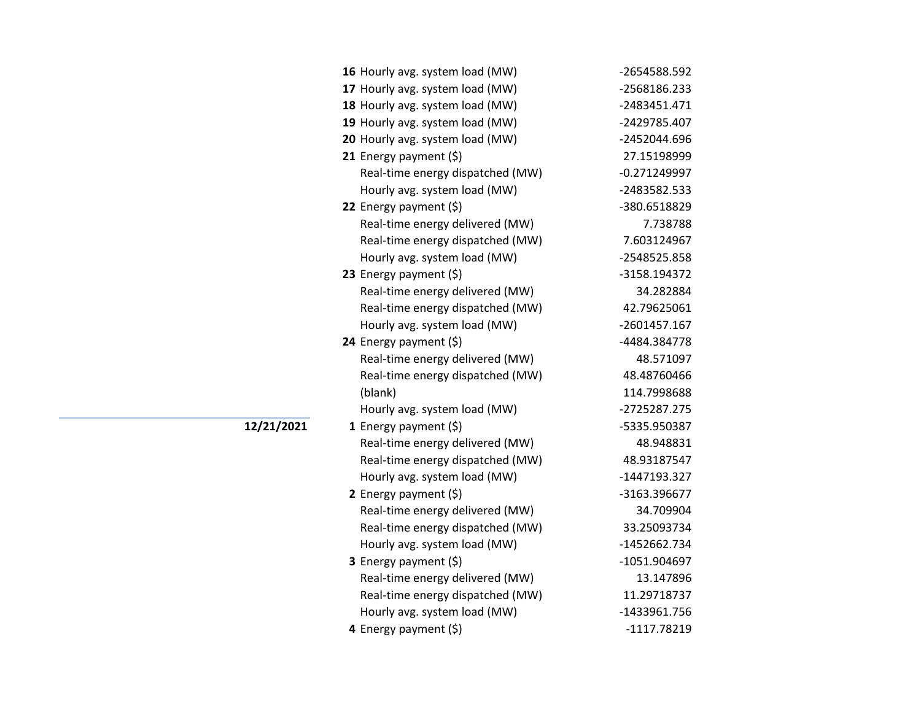| 16 Hourly avg. system load (MW)  | -2654588.592   |
|----------------------------------|----------------|
| 17 Hourly avg. system load (MW)  | -2568186.233   |
| 18 Hourly avg. system load (MW)  | -2483451.471   |
| 19 Hourly avg. system load (MW)  | -2429785.407   |
| 20 Hourly avg. system load (MW)  | -2452044.696   |
| 21 Energy payment $(\xi)$        | 27.15198999    |
| Real-time energy dispatched (MW) | $-0.271249997$ |
| Hourly avg. system load (MW)     | -2483582.533   |
| 22 Energy payment $(\xi)$        | -380.6518829   |
| Real-time energy delivered (MW)  | 7.738788       |
| Real-time energy dispatched (MW) | 7.603124967    |
| Hourly avg. system load (MW)     | -2548525.858   |
| 23 Energy payment $(\xi)$        | -3158.194372   |
| Real-time energy delivered (MW)  | 34.282884      |
| Real-time energy dispatched (MW) | 42.79625061    |
| Hourly avg. system load (MW)     | -2601457.167   |
| 24 Energy payment (\$)           | -4484.384778   |
| Real-time energy delivered (MW)  | 48.571097      |
| Real-time energy dispatched (MW) | 48.48760466    |
| (blank)                          | 114.7998688    |
| Hourly avg. system load (MW)     | -2725287.275   |
| 1 Energy payment $(\xi)$         | -5335.950387   |
| Real-time energy delivered (MW)  | 48.948831      |
| Real-time energy dispatched (MW) | 48.93187547    |
| Hourly avg. system load (MW)     | -1447193.327   |
| 2 Energy payment (\$)            | -3163.396677   |
| Real-time energy delivered (MW)  | 34.709904      |
| Real-time energy dispatched (MW) | 33.25093734    |
| Hourly avg. system load (MW)     | -1452662.734   |
| <b>3</b> Energy payment $(\xi)$  | -1051.904697   |
| Real-time energy delivered (MW)  | 13.147896      |
| Real-time energy dispatched (MW) | 11.29718737    |
| Hourly avg. system load (MW)     | -1433961.756   |
| 4 Energy payment $(\xi)$         | $-1117.78219$  |

**12/21/2021**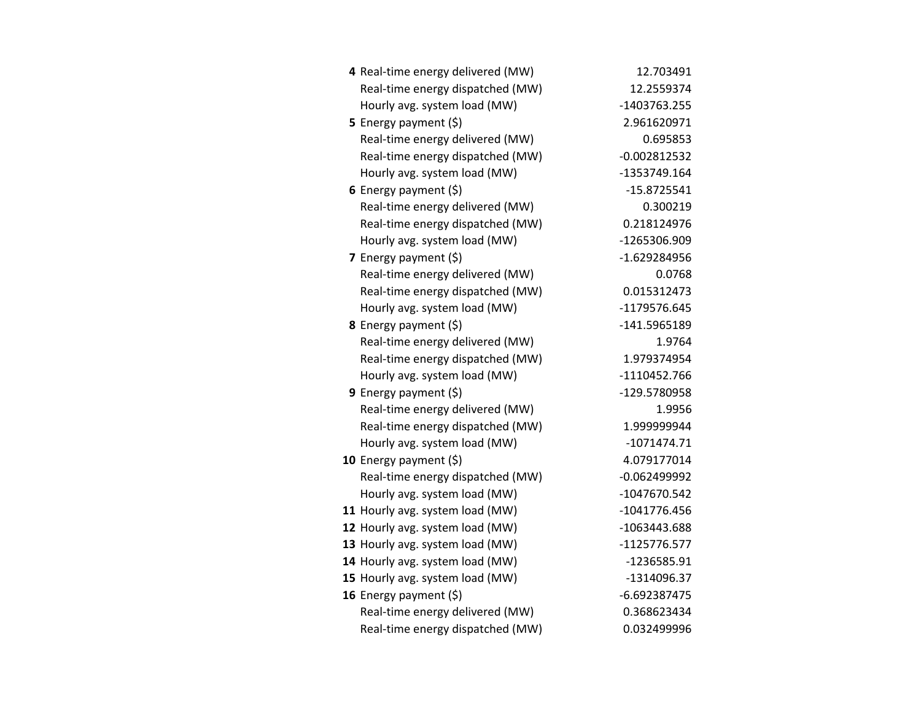| 4 Real-time energy delivered (MW) | 12.703491      |
|-----------------------------------|----------------|
| Real-time energy dispatched (MW)  | 12.2559374     |
| Hourly avg. system load (MW)      | -1403763.255   |
| 5 Energy payment $(\xi)$          | 2.961620971    |
| Real-time energy delivered (MW)   | 0.695853       |
| Real-time energy dispatched (MW)  | $-0.002812532$ |
| Hourly avg. system load (MW)      | -1353749.164   |
| 6 Energy payment $(\xi)$          | $-15.8725541$  |
| Real-time energy delivered (MW)   | 0.300219       |
| Real-time energy dispatched (MW)  | 0.218124976    |
| Hourly avg. system load (MW)      | -1265306.909   |
| 7 Energy payment (\$)             | $-1.629284956$ |
| Real-time energy delivered (MW)   | 0.0768         |
| Real-time energy dispatched (MW)  | 0.015312473    |
| Hourly avg. system load (MW)      | -1179576.645   |
| 8 Energy payment (\$)             | -141.5965189   |
| Real-time energy delivered (MW)   | 1.9764         |
| Real-time energy dispatched (MW)  | 1.979374954    |
| Hourly avg. system load (MW)      | -1110452.766   |
| 9 Energy payment $(\xi)$          | -129.5780958   |
| Real-time energy delivered (MW)   | 1.9956         |
| Real-time energy dispatched (MW)  | 1.999999944    |
| Hourly avg. system load (MW)      | $-1071474.71$  |
| 10 Energy payment $(5)$           | 4.079177014    |
| Real-time energy dispatched (MW)  | $-0.062499992$ |
| Hourly avg. system load (MW)      | -1047670.542   |
| 11 Hourly avg. system load (MW)   | $-1041776.456$ |
| 12 Hourly avg. system load (MW)   | -1063443.688   |
| 13 Hourly avg. system load (MW)   | $-1125776.577$ |
| 14 Hourly avg. system load (MW)   | -1236585.91    |
| 15 Hourly avg. system load (MW)   | $-1314096.37$  |
| 16 Energy payment (\$)            | $-6.692387475$ |
| Real-time energy delivered (MW)   | 0.368623434    |
| Real-time energy dispatched (MW)  | 0.032499996    |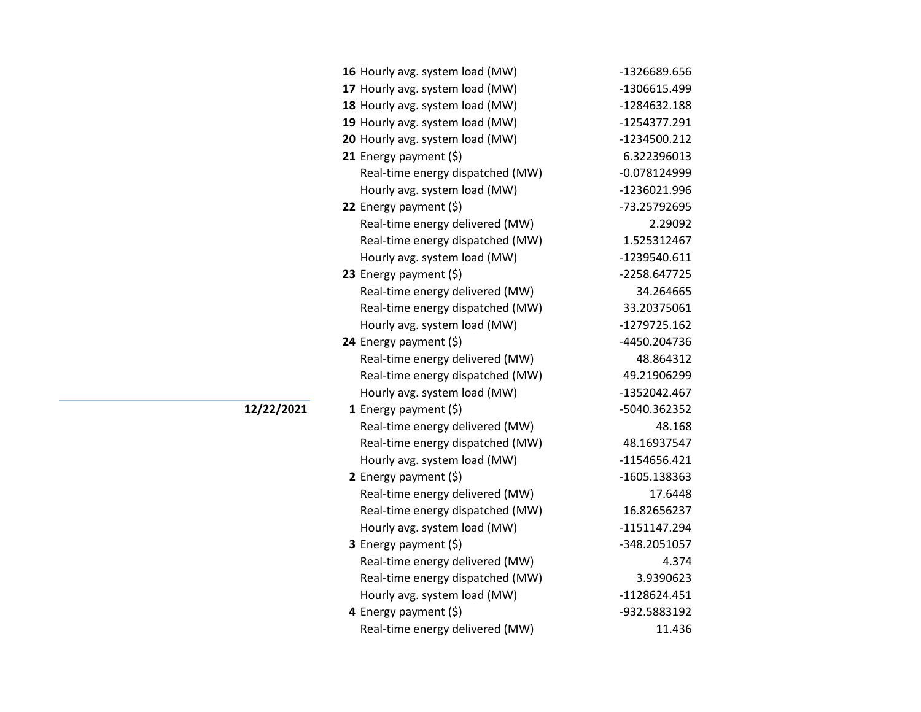|            | 16 Hourly avg. system load (MW)  | -1326689.656   |
|------------|----------------------------------|----------------|
|            | 17 Hourly avg. system load (MW)  | -1306615.499   |
|            | 18 Hourly avg. system load (MW)  | -1284632.188   |
|            | 19 Hourly avg. system load (MW)  | -1254377.291   |
|            | 20 Hourly avg. system load (MW)  | -1234500.212   |
|            | 21 Energy payment $(\xi)$        | 6.322396013    |
|            | Real-time energy dispatched (MW) | $-0.078124999$ |
|            | Hourly avg. system load (MW)     | -1236021.996   |
|            | 22 Energy payment $(\xi)$        | -73.25792695   |
|            | Real-time energy delivered (MW)  | 2.29092        |
|            | Real-time energy dispatched (MW) | 1.525312467    |
|            | Hourly avg. system load (MW)     | -1239540.611   |
|            | 23 Energy payment (\$)           | -2258.647725   |
|            | Real-time energy delivered (MW)  | 34.264665      |
|            | Real-time energy dispatched (MW) | 33.20375061    |
|            | Hourly avg. system load (MW)     | -1279725.162   |
|            | 24 Energy payment (\$)           | -4450.204736   |
|            | Real-time energy delivered (MW)  | 48.864312      |
|            | Real-time energy dispatched (MW) | 49.21906299    |
|            | Hourly avg. system load (MW)     | -1352042.467   |
| 12/22/2021 | 1 Energy payment $(5)$           | -5040.362352   |
|            | Real-time energy delivered (MW)  | 48.168         |
|            | Real-time energy dispatched (MW) | 48.16937547    |
|            | Hourly avg. system load (MW)     | $-1154656.421$ |
|            | 2 Energy payment $(5)$           | -1605.138363   |
|            | Real-time energy delivered (MW)  | 17.6448        |
|            | Real-time energy dispatched (MW) | 16.82656237    |
|            | Hourly avg. system load (MW)     | -1151147.294   |
|            | <b>3</b> Energy payment $(\xi)$  | -348.2051057   |
|            | Real-time energy delivered (MW)  | 4.374          |
|            | Real-time energy dispatched (MW) | 3.9390623      |
|            | Hourly avg. system load (MW)     | $-1128624.451$ |
|            | 4 Energy payment (\$)            | -932.5883192   |
|            | Real-time energy delivered (MW)  | 11.436         |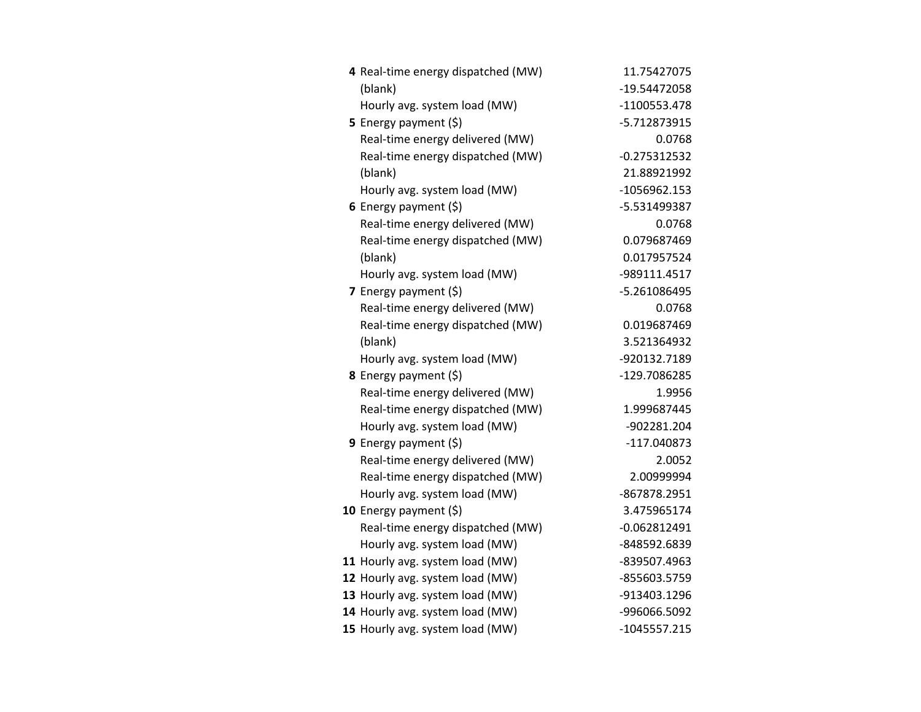| 4 Real-time energy dispatched (MW) | 11.75427075    |
|------------------------------------|----------------|
| (blank)                            | -19.54472058   |
| Hourly avg. system load (MW)       | -1100553.478   |
| <b>5</b> Energy payment $(\xi)$    | -5.712873915   |
| Real-time energy delivered (MW)    | 0.0768         |
| Real-time energy dispatched (MW)   | $-0.275312532$ |
| (blank)                            | 21.88921992    |
| Hourly avg. system load (MW)       | -1056962.153   |
| 6 Energy payment $(5)$             | -5.531499387   |
| Real-time energy delivered (MW)    | 0.0768         |
| Real-time energy dispatched (MW)   | 0.079687469    |
| (blank)                            | 0.017957524    |
| Hourly avg. system load (MW)       | -989111.4517   |
| 7 Energy payment (\$)              | -5.261086495   |
| Real-time energy delivered (MW)    | 0.0768         |
| Real-time energy dispatched (MW)   | 0.019687469    |
| (blank)                            | 3.521364932    |
| Hourly avg. system load (MW)       | -920132.7189   |
| 8 Energy payment (\$)              | -129.7086285   |
| Real-time energy delivered (MW)    | 1.9956         |
| Real-time energy dispatched (MW)   | 1.999687445    |
| Hourly avg. system load (MW)       | -902281.204    |
| <b>9</b> Energy payment $(\xi)$    | -117.040873    |
| Real-time energy delivered (MW)    | 2.0052         |
| Real-time energy dispatched (MW)   | 2.00999994     |
| Hourly avg. system load (MW)       | -867878.2951   |
| 10 Energy payment $(\xi)$          | 3.475965174    |
| Real-time energy dispatched (MW)   | $-0.062812491$ |
| Hourly avg. system load (MW)       | -848592.6839   |
| 11 Hourly avg. system load (MW)    | -839507.4963   |
| 12 Hourly avg. system load (MW)    | -855603.5759   |
| 13 Hourly avg. system load (MW)    | -913403.1296   |
| 14 Hourly avg. system load (MW)    | -996066.5092   |
| 15 Hourly avg. system load (MW)    | $-1045557.215$ |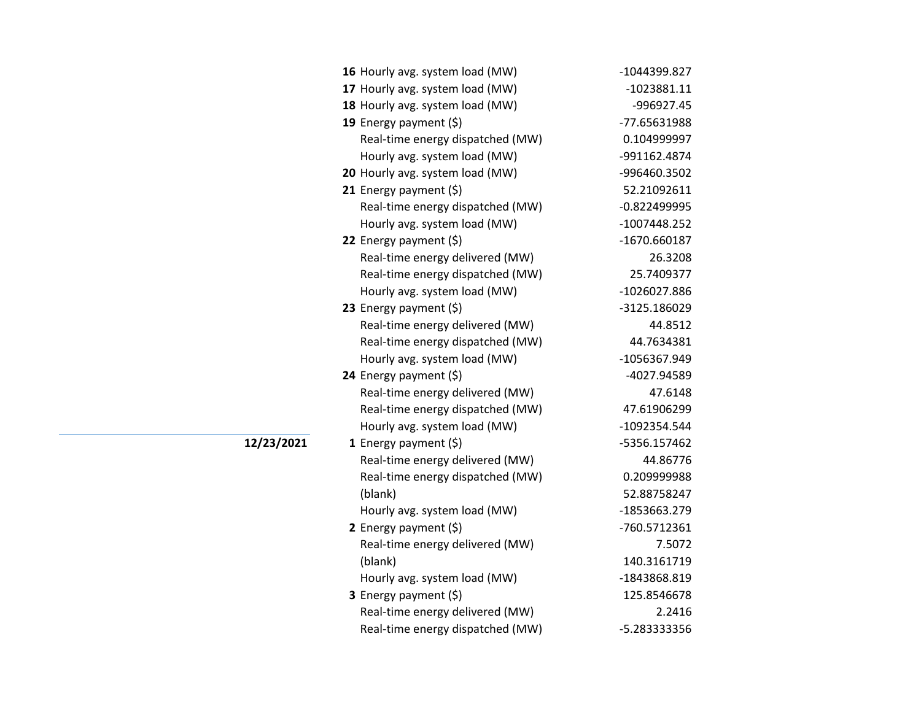| 16 Hourly avg. system load (MW)  | -1044399.827   |
|----------------------------------|----------------|
| 17 Hourly avg. system load (MW)  | $-1023881.11$  |
| 18 Hourly avg. system load (MW)  | -996927.45     |
| 19 Energy payment (\$)           | -77.65631988   |
| Real-time energy dispatched (MW) | 0.104999997    |
| Hourly avg. system load (MW)     | -991162.4874   |
| 20 Hourly avg. system load (MW)  | -996460.3502   |
| 21 Energy payment (\$)           | 52.21092611    |
| Real-time energy dispatched (MW) | $-0.822499995$ |
| Hourly avg. system load (MW)     | $-1007448.252$ |
| 22 Energy payment (\$)           | $-1670.660187$ |
| Real-time energy delivered (MW)  | 26.3208        |
| Real-time energy dispatched (MW) | 25.7409377     |
| Hourly avg. system load (MW)     | -1026027.886   |
| 23 Energy payment (\$)           | -3125.186029   |
| Real-time energy delivered (MW)  | 44.8512        |
| Real-time energy dispatched (MW) | 44.7634381     |
| Hourly avg. system load (MW)     | -1056367.949   |
| 24 Energy payment (\$)           | -4027.94589    |
| Real-time energy delivered (MW)  | 47.6148        |
| Real-time energy dispatched (MW) | 47.61906299    |
| Hourly avg. system load (MW)     | -1092354.544   |
| 1 Energy payment $(\xi)$         | -5356.157462   |
| Real-time energy delivered (MW)  | 44.86776       |
| Real-time energy dispatched (MW) | 0.209999988    |
| (blank)                          | 52.88758247    |
| Hourly avg. system load (MW)     | -1853663.279   |
| 2 Energy payment $(\xi)$         | -760.5712361   |
| Real-time energy delivered (MW)  | 7.5072         |
| (blank)                          | 140.3161719    |
| Hourly avg. system load (MW)     | -1843868.819   |
| 3 Energy payment (\$)            | 125.8546678    |
| Real-time energy delivered (MW)  | 2.2416         |
| Real-time energy dispatched (MW) | -5.283333356   |

**12/23/2021**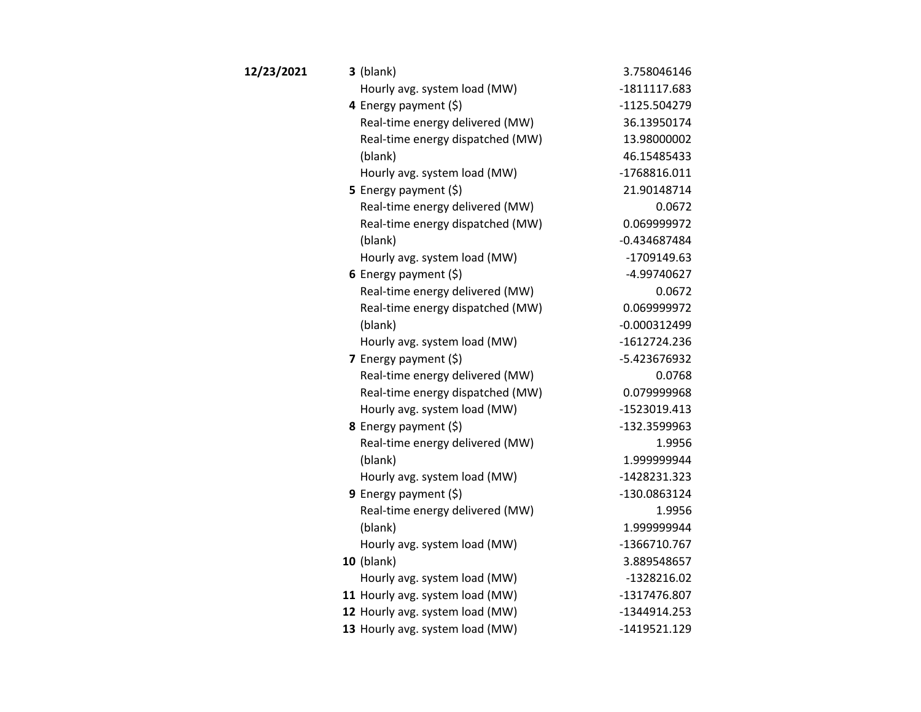| 12/23/2021 | $3$ (blank)                      | 3.758046146    |
|------------|----------------------------------|----------------|
|            | Hourly avg. system load (MW)     | -1811117.683   |
|            | 4 Energy payment (\$)            | -1125.504279   |
|            | Real-time energy delivered (MW)  | 36.13950174    |
|            | Real-time energy dispatched (MW) | 13.98000002    |
|            | (blank)                          | 46.15485433    |
|            | Hourly avg. system load (MW)     | -1768816.011   |
|            | 5 Energy payment (\$)            | 21.90148714    |
|            | Real-time energy delivered (MW)  | 0.0672         |
|            | Real-time energy dispatched (MW) | 0.069999972    |
|            | (blank)                          | $-0.434687484$ |
|            | Hourly avg. system load (MW)     | -1709149.63    |
|            | 6 Energy payment $(\xi)$         | -4.99740627    |
|            | Real-time energy delivered (MW)  | 0.0672         |
|            | Real-time energy dispatched (MW) | 0.069999972    |
|            | (blank)                          | $-0.000312499$ |
|            | Hourly avg. system load (MW)     | -1612724.236   |
|            | 7 Energy payment (\$)            | -5.423676932   |
|            | Real-time energy delivered (MW)  | 0.0768         |
|            | Real-time energy dispatched (MW) | 0.079999968    |
|            | Hourly avg. system load (MW)     | -1523019.413   |
|            | 8 Energy payment (\$)            | -132.3599963   |
|            | Real-time energy delivered (MW)  | 1.9956         |
|            | (blank)                          | 1.999999944    |
|            | Hourly avg. system load (MW)     | -1428231.323   |
|            | 9 Energy payment $(\xi)$         | -130.0863124   |
|            | Real-time energy delivered (MW)  | 1.9956         |
|            | (blank)                          | 1.999999944    |
|            | Hourly avg. system load (MW)     | -1366710.767   |
|            | <b>10 (blank)</b>                | 3.889548657    |
|            | Hourly avg. system load (MW)     | -1328216.02    |
|            | 11 Hourly avg. system load (MW)  | -1317476.807   |
|            | 12 Hourly avg. system load (MW)  | -1344914.253   |
|            | 13 Hourly avg. system load (MW)  | -1419521.129   |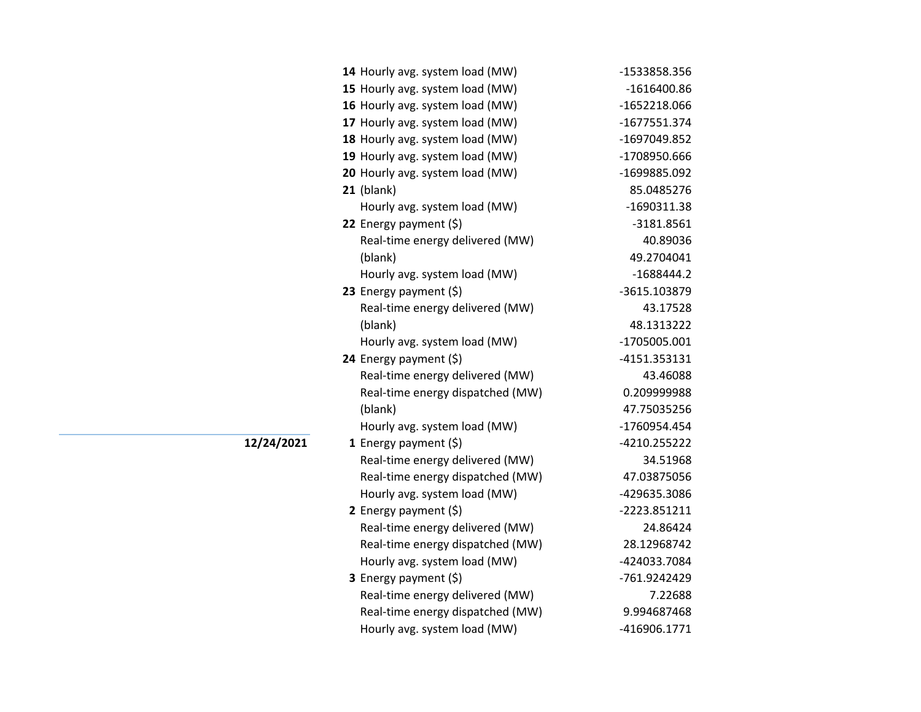| 14 Hourly avg. system load (MW)  | -1533858.356  |
|----------------------------------|---------------|
| 15 Hourly avg. system load (MW)  | $-1616400.86$ |
| 16 Hourly avg. system load (MW)  | -1652218.066  |
| 17 Hourly avg. system load (MW)  | -1677551.374  |
| 18 Hourly avg. system load (MW)  | -1697049.852  |
| 19 Hourly avg. system load (MW)  | -1708950.666  |
| 20 Hourly avg. system load (MW)  | -1699885.092  |
| $21$ (blank)                     | 85.0485276    |
| Hourly avg. system load (MW)     | $-1690311.38$ |
| 22 Energy payment (\$)           | $-3181.8561$  |
| Real-time energy delivered (MW)  | 40.89036      |
| (blank)                          | 49.2704041    |
| Hourly avg. system load (MW)     | $-1688444.2$  |
| 23 Energy payment (\$)           | -3615.103879  |
| Real-time energy delivered (MW)  | 43.17528      |
| (blank)                          | 48.1313222    |
| Hourly avg. system load (MW)     | -1705005.001  |
| 24 Energy payment $(\xi)$        | -4151.353131  |
| Real-time energy delivered (MW)  | 43.46088      |
| Real-time energy dispatched (MW) | 0.209999988   |
| (blank)                          | 47.75035256   |
| Hourly avg. system load (MW)     | -1760954.454  |
| 1 Energy payment $(\xi)$         | -4210.255222  |
| Real-time energy delivered (MW)  | 34.51968      |
| Real-time energy dispatched (MW) | 47.03875056   |
| Hourly avg. system load (MW)     | -429635.3086  |
| 2 Energy payment $(\xi)$         | -2223.851211  |
| Real-time energy delivered (MW)  | 24.86424      |
| Real-time energy dispatched (MW) | 28.12968742   |
| Hourly avg. system load (MW)     | -424033.7084  |
| 3 Energy payment (\$)            | -761.9242429  |
| Real-time energy delivered (MW)  | 7.22688       |
| Real-time energy dispatched (MW) | 9.994687468   |
| Hourly avg. system load (MW)     | -416906.1771  |
|                                  |               |

**12/24/2021**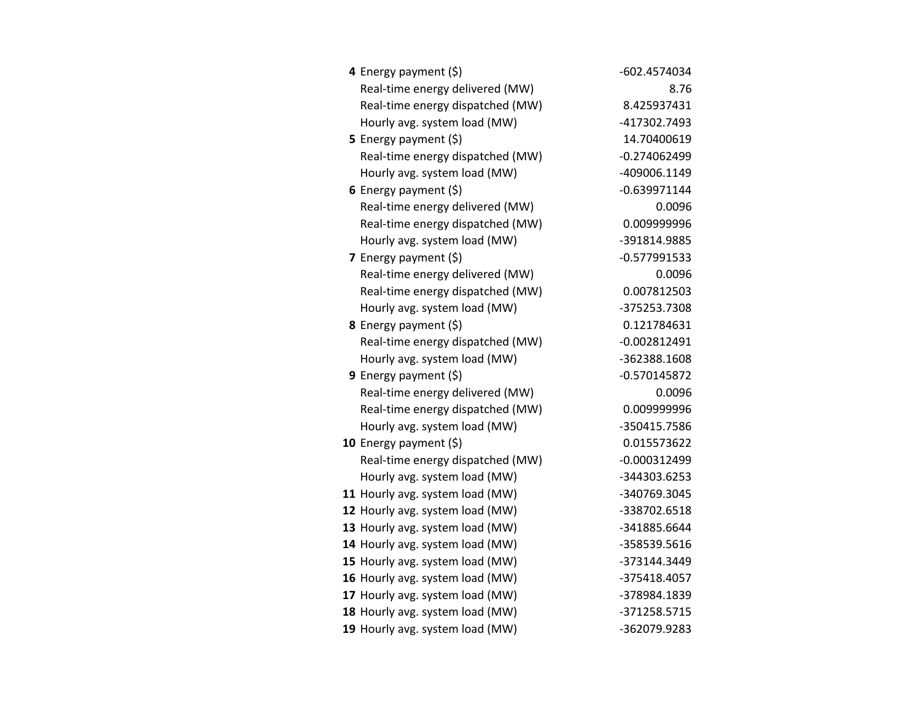| 4 Energy payment (\$)            | -602.4574034   |
|----------------------------------|----------------|
| Real-time energy delivered (MW)  | 8.76           |
| Real-time energy dispatched (MW) | 8.425937431    |
| Hourly avg. system load (MW)     | -417302.7493   |
| <b>5</b> Energy payment $(\xi)$  | 14.70400619    |
| Real-time energy dispatched (MW) | $-0.274062499$ |
| Hourly avg. system load (MW)     | -409006.1149   |
| 6 Energy payment $(\xi)$         | $-0.639971144$ |
| Real-time energy delivered (MW)  | 0.0096         |
| Real-time energy dispatched (MW) | 0.009999996    |
| Hourly avg. system load (MW)     | -391814.9885   |
| 7 Energy payment (\$)            | $-0.577991533$ |
| Real-time energy delivered (MW)  | 0.0096         |
| Real-time energy dispatched (MW) | 0.007812503    |
| Hourly avg. system load (MW)     | -375253.7308   |
| 8 Energy payment (\$)            | 0.121784631    |
| Real-time energy dispatched (MW) | $-0.002812491$ |
| Hourly avg. system load (MW)     | -362388.1608   |
| <b>9</b> Energy payment $(\xi)$  | -0.570145872   |
| Real-time energy delivered (MW)  | 0.0096         |
| Real-time energy dispatched (MW) | 0.009999996    |
| Hourly avg. system load (MW)     | -350415.7586   |
| 10 Energy payment $(\xi)$        | 0.015573622    |
| Real-time energy dispatched (MW) | $-0.000312499$ |
| Hourly avg. system load (MW)     | -344303.6253   |
| 11 Hourly avg. system load (MW)  | -340769.3045   |
| 12 Hourly avg. system load (MW)  | -338702.6518   |
| 13 Hourly avg. system load (MW)  | -341885.6644   |
| 14 Hourly avg. system load (MW)  | -358539.5616   |
| 15 Hourly avg. system load (MW)  | -373144.3449   |
| 16 Hourly avg. system load (MW)  | -375418.4057   |
| 17 Hourly avg. system load (MW)  | -378984.1839   |
| 18 Hourly avg. system load (MW)  | -371258.5715   |
| 19 Hourly avg. system load (MW)  | -362079.9283   |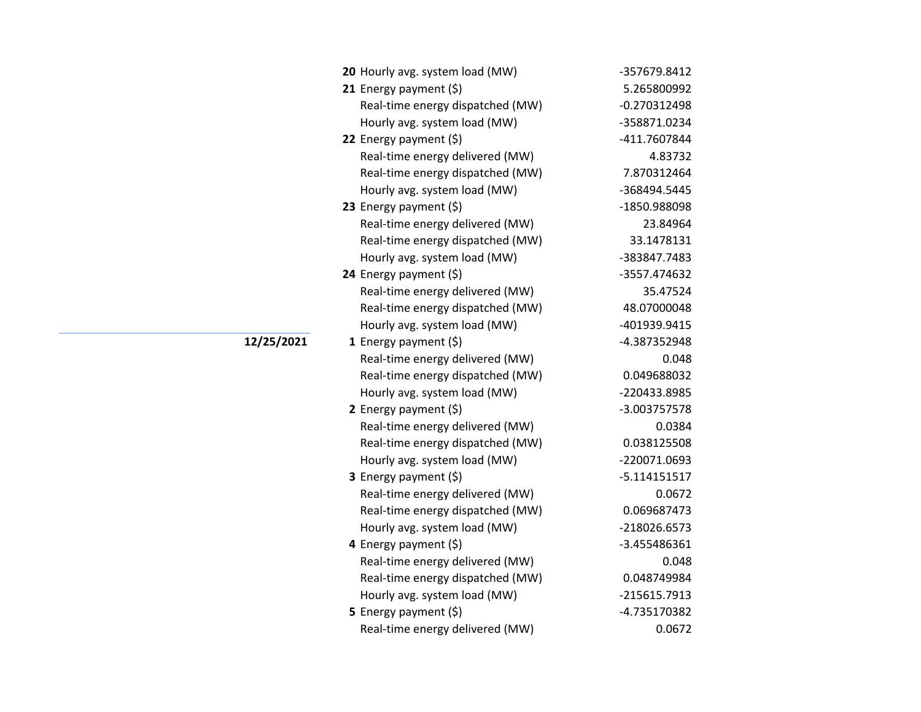| 20 Hourly avg. system load (MW)  | -357679.8412   |
|----------------------------------|----------------|
| 21 Energy payment $(\xi)$        | 5.265800992    |
| Real-time energy dispatched (MW) | -0.270312498   |
| Hourly avg. system load (MW)     | -358871.0234   |
| 22 Energy payment $(\xi)$        | -411.7607844   |
| Real-time energy delivered (MW)  | 4.83732        |
| Real-time energy dispatched (MW) | 7.870312464    |
| Hourly avg. system load (MW)     | -368494.5445   |
| 23 Energy payment $(\xi)$        | -1850.988098   |
| Real-time energy delivered (MW)  | 23.84964       |
| Real-time energy dispatched (MW) | 33.1478131     |
| Hourly avg. system load (MW)     | -383847.7483   |
| 24 Energy payment (\$)           | -3557.474632   |
| Real-time energy delivered (MW)  | 35.47524       |
| Real-time energy dispatched (MW) | 48.07000048    |
| Hourly avg. system load (MW)     | -401939.9415   |
| 1 Energy payment $(\xi)$         | -4.387352948   |
| Real-time energy delivered (MW)  | 0.048          |
| Real-time energy dispatched (MW) | 0.049688032    |
| Hourly avg. system load (MW)     | -220433.8985   |
| 2 Energy payment $(\xi)$         | -3.003757578   |
| Real-time energy delivered (MW)  | 0.0384         |
| Real-time energy dispatched (MW) | 0.038125508    |
| Hourly avg. system load (MW)     | -220071.0693   |
| 3 Energy payment (\$)            | $-5.114151517$ |
| Real-time energy delivered (MW)  | 0.0672         |
| Real-time energy dispatched (MW) | 0.069687473    |
| Hourly avg. system load (MW)     | -218026.6573   |
| 4 Energy payment (\$)            | -3.455486361   |
| Real-time energy delivered (MW)  | 0.048          |
| Real-time energy dispatched (MW) | 0.048749984    |
| Hourly avg. system load (MW)     | -215615.7913   |
| <b>5</b> Energy payment $(\xi)$  | -4.735170382   |
| Real-time energy delivered (MW)  | 0.0672         |

## **12/25/2021**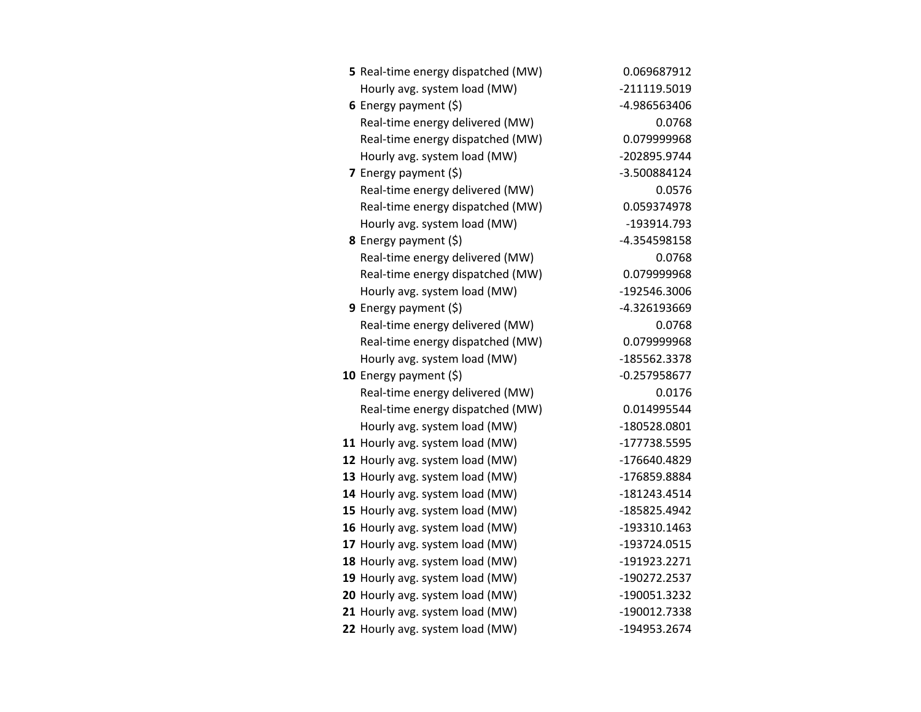| 5 Real-time energy dispatched (MW) | 0.069687912    |
|------------------------------------|----------------|
| Hourly avg. system load (MW)       | -211119.5019   |
| 6 Energy payment $(5)$             | -4.986563406   |
| Real-time energy delivered (MW)    | 0.0768         |
| Real-time energy dispatched (MW)   | 0.079999968    |
| Hourly avg. system load (MW)       | -202895.9744   |
| 7 Energy payment (\$)              | -3.500884124   |
| Real-time energy delivered (MW)    | 0.0576         |
| Real-time energy dispatched (MW)   | 0.059374978    |
| Hourly avg. system load (MW)       | -193914.793    |
| 8 Energy payment (\$)              | -4.354598158   |
| Real-time energy delivered (MW)    | 0.0768         |
| Real-time energy dispatched (MW)   | 0.079999968    |
| Hourly avg. system load (MW)       | -192546.3006   |
| 9 Energy payment $(\xi)$           | -4.326193669   |
| Real-time energy delivered (MW)    | 0.0768         |
| Real-time energy dispatched (MW)   | 0.079999968    |
| Hourly avg. system load (MW)       | -185562.3378   |
| 10 Energy payment $(\xi)$          | $-0.257958677$ |
| Real-time energy delivered (MW)    | 0.0176         |
| Real-time energy dispatched (MW)   | 0.014995544    |
| Hourly avg. system load (MW)       | -180528.0801   |
| 11 Hourly avg. system load (MW)    | -177738.5595   |
| 12 Hourly avg. system load (MW)    | -176640.4829   |
| 13 Hourly avg. system load (MW)    | -176859.8884   |
| 14 Hourly avg. system load (MW)    | -181243.4514   |
| 15 Hourly avg. system load (MW)    | -185825.4942   |
| 16 Hourly avg. system load (MW)    | -193310.1463   |
| 17 Hourly avg. system load (MW)    | -193724.0515   |
| 18 Hourly avg. system load (MW)    | -191923.2271   |
| 19 Hourly avg. system load (MW)    | -190272.2537   |
| 20 Hourly avg. system load (MW)    | -190051.3232   |
| 21 Hourly avg. system load (MW)    | -190012.7338   |
| 22 Hourly avg. system load (MW)    | -194953.2674   |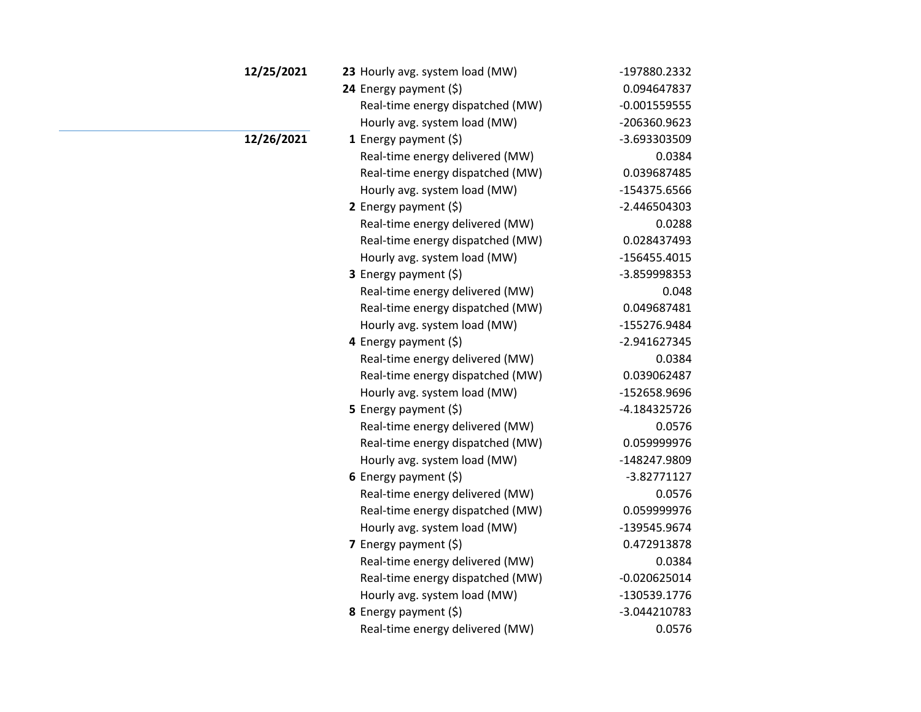| 12/25/2021 | 23 Hourly avg. system load (MW)  | -197880.2332   |
|------------|----------------------------------|----------------|
|            | 24 Energy payment (\$)           | 0.094647837    |
|            | Real-time energy dispatched (MW) | $-0.001559555$ |
|            | Hourly avg. system load (MW)     | -206360.9623   |
| 12/26/2021 | 1 Energy payment $(\xi)$         | -3.693303509   |
|            | Real-time energy delivered (MW)  | 0.0384         |
|            | Real-time energy dispatched (MW) | 0.039687485    |
|            | Hourly avg. system load (MW)     | -154375.6566   |
|            | 2 Energy payment $(5)$           | $-2.446504303$ |
|            | Real-time energy delivered (MW)  | 0.0288         |
|            | Real-time energy dispatched (MW) | 0.028437493    |
|            | Hourly avg. system load (MW)     | $-156455.4015$ |
|            | <b>3</b> Energy payment $(\xi)$  | -3.859998353   |
|            | Real-time energy delivered (MW)  | 0.048          |
|            | Real-time energy dispatched (MW) | 0.049687481    |
|            | Hourly avg. system load (MW)     | -155276.9484   |
|            | 4 Energy payment (\$)            | -2.941627345   |
|            | Real-time energy delivered (MW)  | 0.0384         |
|            | Real-time energy dispatched (MW) | 0.039062487    |
|            | Hourly avg. system load (MW)     | -152658.9696   |
|            | 5 Energy payment $(5)$           | -4.184325726   |
|            | Real-time energy delivered (MW)  | 0.0576         |
|            | Real-time energy dispatched (MW) | 0.059999976    |
|            | Hourly avg. system load (MW)     | -148247.9809   |
|            | 6 Energy payment $(\xi)$         | -3.82771127    |
|            | Real-time energy delivered (MW)  | 0.0576         |
|            | Real-time energy dispatched (MW) | 0.059999976    |
|            | Hourly avg. system load (MW)     | -139545.9674   |
|            | 7 Energy payment $(5)$           | 0.472913878    |
|            | Real-time energy delivered (MW)  | 0.0384         |
|            | Real-time energy dispatched (MW) | $-0.020625014$ |
|            | Hourly avg. system load (MW)     | -130539.1776   |
|            | 8 Energy payment (\$)            | -3.044210783   |
|            | Real-time energy delivered (MW)  | 0.0576         |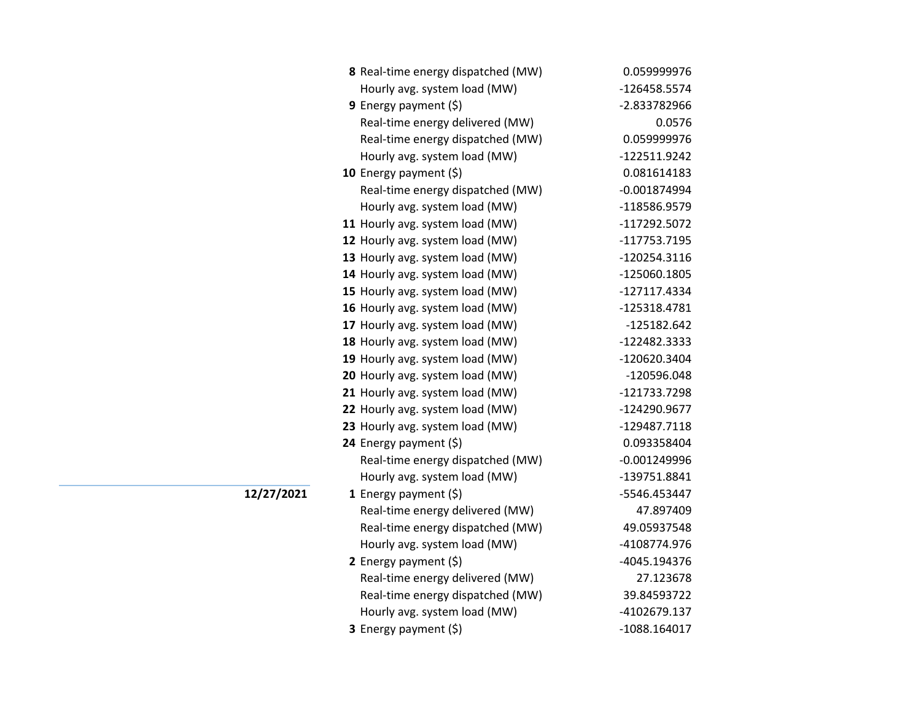| 8 Real-time energy dispatched (MW) | 0.059999976    |
|------------------------------------|----------------|
| Hourly avg. system load (MW)       | -126458.5574   |
| 9 Energy payment $(5)$             | -2.833782966   |
| Real-time energy delivered (MW)    | 0.0576         |
| Real-time energy dispatched (MW)   | 0.059999976    |
| Hourly avg. system load (MW)       | -122511.9242   |
| 10 Energy payment (\$)             | 0.081614183    |
| Real-time energy dispatched (MW)   | $-0.001874994$ |
| Hourly avg. system load (MW)       | -118586.9579   |
| 11 Hourly avg. system load (MW)    | -117292.5072   |
| 12 Hourly avg. system load (MW)    | -117753.7195   |
| 13 Hourly avg. system load (MW)    | -120254.3116   |
| 14 Hourly avg. system load (MW)    | -125060.1805   |
| 15 Hourly avg. system load (MW)    | -127117.4334   |
| 16 Hourly avg. system load (MW)    | -125318.4781   |
| 17 Hourly avg. system load (MW)    | -125182.642    |
| 18 Hourly avg. system load (MW)    | -122482.3333   |
| 19 Hourly avg. system load (MW)    | -120620.3404   |
| 20 Hourly avg. system load (MW)    | -120596.048    |
| 21 Hourly avg. system load (MW)    | -121733.7298   |
| 22 Hourly avg. system load (MW)    | -124290.9677   |
| 23 Hourly avg. system load (MW)    | -129487.7118   |
| 24 Energy payment (\$)             | 0.093358404    |
| Real-time energy dispatched (MW)   | $-0.001249996$ |
| Hourly avg. system load (MW)       | -139751.8841   |
| 1 Energy payment $(\xi)$           | -5546.453447   |
| Real-time energy delivered (MW)    | 47.897409      |
| Real-time energy dispatched (MW)   | 49.05937548    |
| Hourly avg. system load (MW)       | -4108774.976   |
| 2 Energy payment (\$)              | -4045.194376   |
| Real-time energy delivered (MW)    | 27.123678      |
| Real-time energy dispatched (MW)   | 39.84593722    |
| Hourly avg. system load (MW)       | -4102679.137   |
| 3 Energy payment (\$)              | -1088.164017   |

**12/27/2021**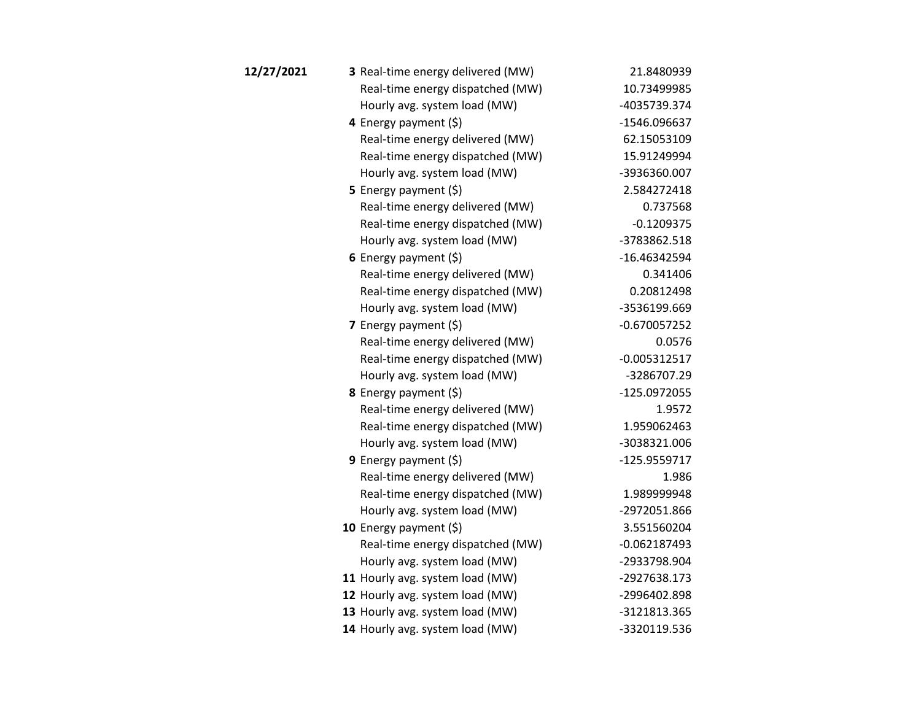| 12/27/2021 | 3 Real-time energy delivered (MW) | 21.8480939     |
|------------|-----------------------------------|----------------|
|            | Real-time energy dispatched (MW)  | 10.73499985    |
|            | Hourly avg. system load (MW)      | -4035739.374   |
|            | 4 Energy payment $(\xi)$          | -1546.096637   |
|            | Real-time energy delivered (MW)   | 62.15053109    |
|            | Real-time energy dispatched (MW)  | 15.91249994    |
|            | Hourly avg. system load (MW)      | -3936360.007   |
|            | 5 Energy payment $(\xi)$          | 2.584272418    |
|            | Real-time energy delivered (MW)   | 0.737568       |
|            | Real-time energy dispatched (MW)  | $-0.1209375$   |
|            | Hourly avg. system load (MW)      | -3783862.518   |
|            | 6 Energy payment $(5)$            | -16.46342594   |
|            | Real-time energy delivered (MW)   | 0.341406       |
|            | Real-time energy dispatched (MW)  | 0.20812498     |
|            | Hourly avg. system load (MW)      | -3536199.669   |
|            | 7 Energy payment $(5)$            | $-0.670057252$ |
|            | Real-time energy delivered (MW)   | 0.0576         |
|            | Real-time energy dispatched (MW)  | $-0.005312517$ |
|            | Hourly avg. system load (MW)      | -3286707.29    |
|            | 8 Energy payment (\$)             | -125.0972055   |
|            | Real-time energy delivered (MW)   | 1.9572         |
|            | Real-time energy dispatched (MW)  | 1.959062463    |
|            | Hourly avg. system load (MW)      | -3038321.006   |
|            | <b>9</b> Energy payment $(\xi)$   | -125.9559717   |
|            | Real-time energy delivered (MW)   | 1.986          |
|            | Real-time energy dispatched (MW)  | 1.989999948    |
|            | Hourly avg. system load (MW)      | -2972051.866   |
|            | 10 Energy payment (\$)            | 3.551560204    |
|            | Real-time energy dispatched (MW)  | $-0.062187493$ |
|            | Hourly avg. system load (MW)      | -2933798.904   |
|            | 11 Hourly avg. system load (MW)   | -2927638.173   |
|            | 12 Hourly avg. system load (MW)   | -2996402.898   |
|            | 13 Hourly avg. system load (MW)   | -3121813.365   |
|            | 14 Hourly avg. system load (MW)   | -3320119.536   |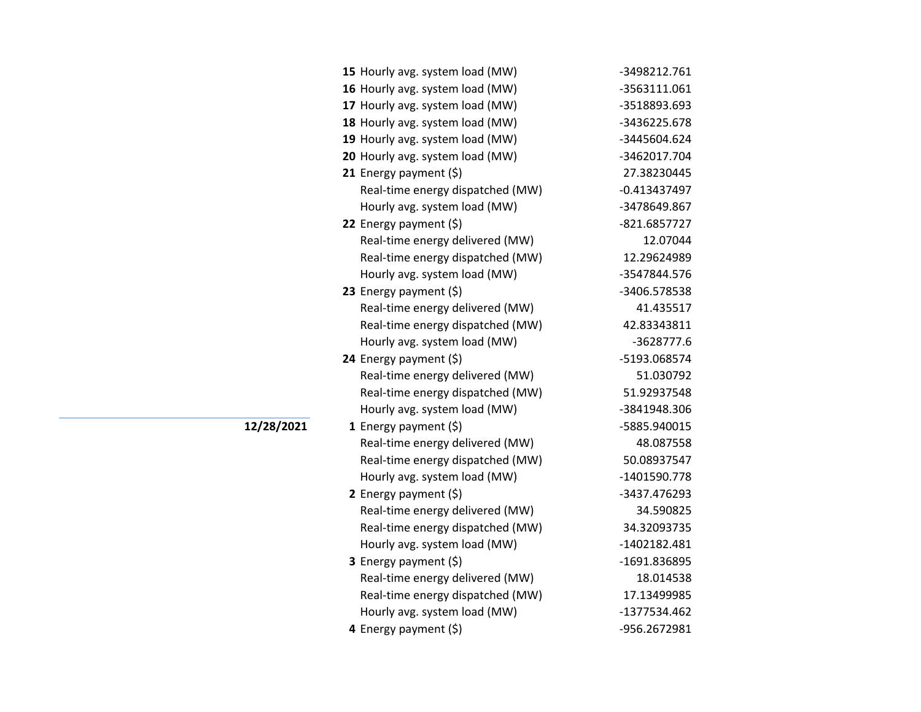| 15 Hourly avg. system load (MW)  | -3498212.761   |
|----------------------------------|----------------|
| 16 Hourly avg. system load (MW)  | -3563111.061   |
| 17 Hourly avg. system load (MW)  | -3518893.693   |
| 18 Hourly avg. system load (MW)  | -3436225.678   |
| 19 Hourly avg. system load (MW)  | -3445604.624   |
| 20 Hourly avg. system load (MW)  | -3462017.704   |
| 21 Energy payment (\$)           | 27.38230445    |
| Real-time energy dispatched (MW) | $-0.413437497$ |
| Hourly avg. system load (MW)     | -3478649.867   |
| 22 Energy payment (\$)           | -821.6857727   |
| Real-time energy delivered (MW)  | 12.07044       |
| Real-time energy dispatched (MW) | 12.29624989    |
| Hourly avg. system load (MW)     | -3547844.576   |
| 23 Energy payment $(\xi)$        | -3406.578538   |
| Real-time energy delivered (MW)  | 41.435517      |
| Real-time energy dispatched (MW) | 42.83343811    |
| Hourly avg. system load (MW)     | $-3628777.6$   |
| 24 Energy payment (\$)           | -5193.068574   |
| Real-time energy delivered (MW)  | 51.030792      |
| Real-time energy dispatched (MW) | 51.92937548    |
| Hourly avg. system load (MW)     | -3841948.306   |
| 1 Energy payment $(\xi)$         | -5885.940015   |
| Real-time energy delivered (MW)  | 48.087558      |
| Real-time energy dispatched (MW) | 50.08937547    |
| Hourly avg. system load (MW)     | -1401590.778   |
| 2 Energy payment (\$)            | -3437.476293   |
| Real-time energy delivered (MW)  | 34.590825      |
| Real-time energy dispatched (MW) | 34.32093735    |
| Hourly avg. system load (MW)     | $-1402182.481$ |
| <b>3</b> Energy payment $(\xi)$  | -1691.836895   |
| Real-time energy delivered (MW)  | 18.014538      |
| Real-time energy dispatched (MW) | 17.13499985    |
| Hourly avg. system load (MW)     | -1377534.462   |
| 4 Energy payment (\$)            | -956.2672981   |

**12/28/2021**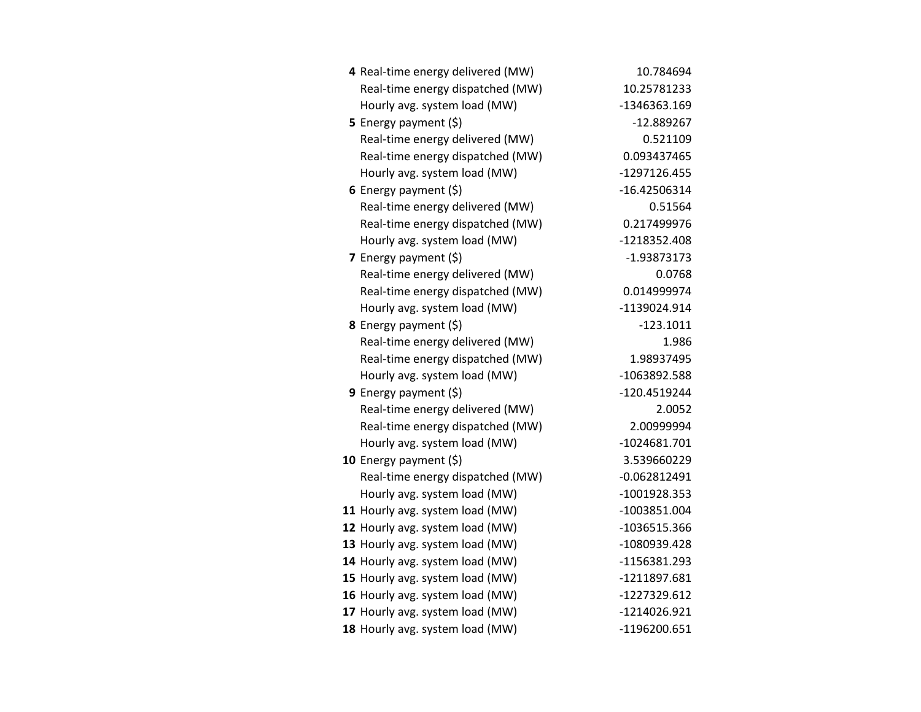| 4 Real-time energy delivered (MW) | 10.784694      |
|-----------------------------------|----------------|
| Real-time energy dispatched (MW)  | 10.25781233    |
| Hourly avg. system load (MW)      | -1346363.169   |
| <b>5</b> Energy payment $(\xi)$   | $-12.889267$   |
| Real-time energy delivered (MW)   | 0.521109       |
| Real-time energy dispatched (MW)  | 0.093437465    |
| Hourly avg. system load (MW)      | -1297126.455   |
| 6 Energy payment $(\xi)$          | -16.42506314   |
| Real-time energy delivered (MW)   | 0.51564        |
| Real-time energy dispatched (MW)  | 0.217499976    |
| Hourly avg. system load (MW)      | -1218352.408   |
| 7 Energy payment (\$)             | -1.93873173    |
| Real-time energy delivered (MW)   | 0.0768         |
| Real-time energy dispatched (MW)  | 0.014999974    |
| Hourly avg. system load (MW)      | -1139024.914   |
| 8 Energy payment (\$)             | $-123.1011$    |
| Real-time energy delivered (MW)   | 1.986          |
| Real-time energy dispatched (MW)  | 1.98937495     |
| Hourly avg. system load (MW)      | -1063892.588   |
| 9 Energy payment $(\xi)$          | -120.4519244   |
| Real-time energy delivered (MW)   | 2.0052         |
| Real-time energy dispatched (MW)  | 2.00999994     |
| Hourly avg. system load (MW)      | $-1024681.701$ |
| 10 Energy payment $(5)$           | 3.539660229    |
| Real-time energy dispatched (MW)  | $-0.062812491$ |
| Hourly avg. system load (MW)      | -1001928.353   |
| 11 Hourly avg. system load (MW)   | -1003851.004   |
| 12 Hourly avg. system load (MW)   | -1036515.366   |
| 13 Hourly avg. system load (MW)   | -1080939.428   |
| 14 Hourly avg. system load (MW)   | -1156381.293   |
| 15 Hourly avg. system load (MW)   | -1211897.681   |
| 16 Hourly avg. system load (MW)   | -1227329.612   |
| 17 Hourly avg. system load (MW)   | -1214026.921   |
| 18 Hourly avg. system load (MW)   | -1196200.651   |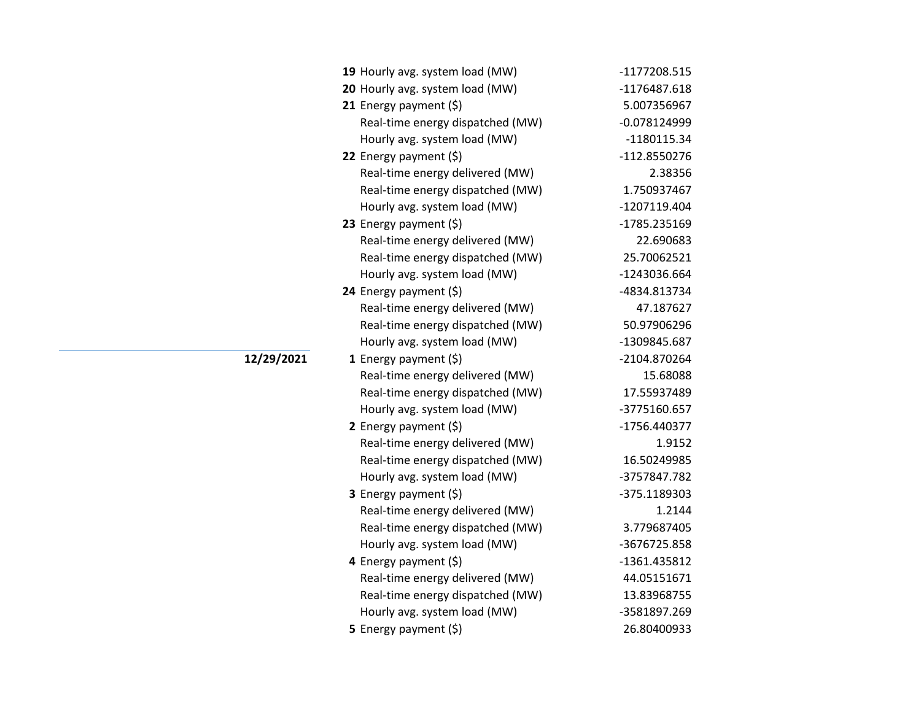|            | 19 Hourly avg. system load (MW)  | -1177208.515   |
|------------|----------------------------------|----------------|
|            | 20 Hourly avg. system load (MW)  | $-1176487.618$ |
|            | 21 Energy payment $(\xi)$        | 5.007356967    |
|            | Real-time energy dispatched (MW) | $-0.078124999$ |
|            | Hourly avg. system load (MW)     | $-1180115.34$  |
|            | 22 Energy payment $(\xi)$        | -112.8550276   |
|            | Real-time energy delivered (MW)  | 2.38356        |
|            | Real-time energy dispatched (MW) | 1.750937467    |
|            | Hourly avg. system load (MW)     | -1207119.404   |
|            | 23 Energy payment $(\xi)$        | -1785.235169   |
|            | Real-time energy delivered (MW)  | 22.690683      |
|            | Real-time energy dispatched (MW) | 25.70062521    |
|            | Hourly avg. system load (MW)     | -1243036.664   |
|            | 24 Energy payment $(\xi)$        | -4834.813734   |
|            | Real-time energy delivered (MW)  | 47.187627      |
|            | Real-time energy dispatched (MW) | 50.97906296    |
|            | Hourly avg. system load (MW)     | -1309845.687   |
| 12/29/2021 | 1 Energy payment $(\xi)$         | -2104.870264   |
|            | Real-time energy delivered (MW)  | 15.68088       |
|            | Real-time energy dispatched (MW) | 17.55937489    |
|            | Hourly avg. system load (MW)     | -3775160.657   |
|            | 2 Energy payment $(5)$           | -1756.440377   |
|            | Real-time energy delivered (MW)  | 1.9152         |
|            | Real-time energy dispatched (MW) | 16.50249985    |
|            | Hourly avg. system load (MW)     | -3757847.782   |
|            | 3 Energy payment (\$)            | -375.1189303   |
|            | Real-time energy delivered (MW)  | 1.2144         |
|            | Real-time energy dispatched (MW) | 3.779687405    |
|            | Hourly avg. system load (MW)     | -3676725.858   |
|            | 4 Energy payment (\$)            | -1361.435812   |
|            | Real-time energy delivered (MW)  | 44.05151671    |
|            | Real-time energy dispatched (MW) | 13.83968755    |
|            | Hourly avg. system load (MW)     | -3581897.269   |
|            | 5 Energy payment $(5)$           | 26.80400933    |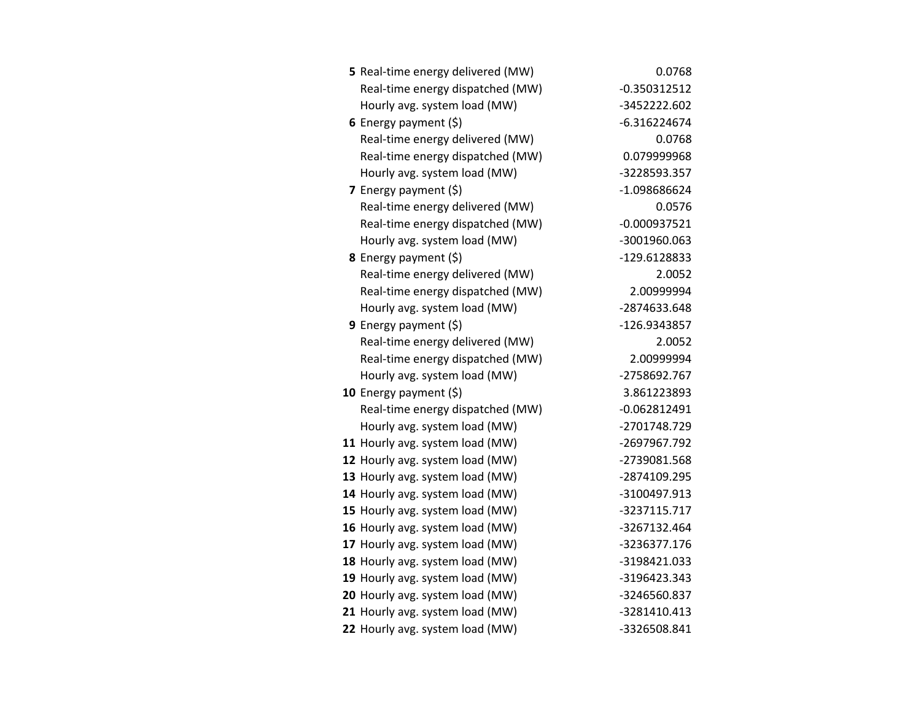| 5 Real-time energy delivered (MW) | 0.0768         |
|-----------------------------------|----------------|
| Real-time energy dispatched (MW)  | $-0.350312512$ |
| Hourly avg. system load (MW)      | -3452222.602   |
| 6 Energy payment $(5)$            | $-6.316224674$ |
| Real-time energy delivered (MW)   | 0.0768         |
| Real-time energy dispatched (MW)  | 0.079999968    |
| Hourly avg. system load (MW)      | -3228593.357   |
| 7 Energy payment $(5)$            | -1.098686624   |
| Real-time energy delivered (MW)   | 0.0576         |
| Real-time energy dispatched (MW)  | $-0.000937521$ |
| Hourly avg. system load (MW)      | -3001960.063   |
| 8 Energy payment (\$)             | -129.6128833   |
| Real-time energy delivered (MW)   | 2.0052         |
| Real-time energy dispatched (MW)  | 2.00999994     |
| Hourly avg. system load (MW)      | -2874633.648   |
| 9 Energy payment $(\xi)$          | -126.9343857   |
| Real-time energy delivered (MW)   | 2.0052         |
| Real-time energy dispatched (MW)  | 2.00999994     |
| Hourly avg. system load (MW)      | -2758692.767   |
| 10 Energy payment (\$)            | 3.861223893    |
| Real-time energy dispatched (MW)  | $-0.062812491$ |
| Hourly avg. system load (MW)      | -2701748.729   |
| 11 Hourly avg. system load (MW)   | -2697967.792   |
| 12 Hourly avg. system load (MW)   | -2739081.568   |
| 13 Hourly avg. system load (MW)   | -2874109.295   |
| 14 Hourly avg. system load (MW)   | -3100497.913   |
| 15 Hourly avg. system load (MW)   | -3237115.717   |
| 16 Hourly avg. system load (MW)   | -3267132.464   |
| 17 Hourly avg. system load (MW)   | -3236377.176   |
| 18 Hourly avg. system load (MW)   | -3198421.033   |
| 19 Hourly avg. system load (MW)   | -3196423.343   |
| 20 Hourly avg. system load (MW)   | -3246560.837   |
| 21 Hourly avg. system load (MW)   | -3281410.413   |
| 22 Hourly avg. system load (MW)   | -3326508.841   |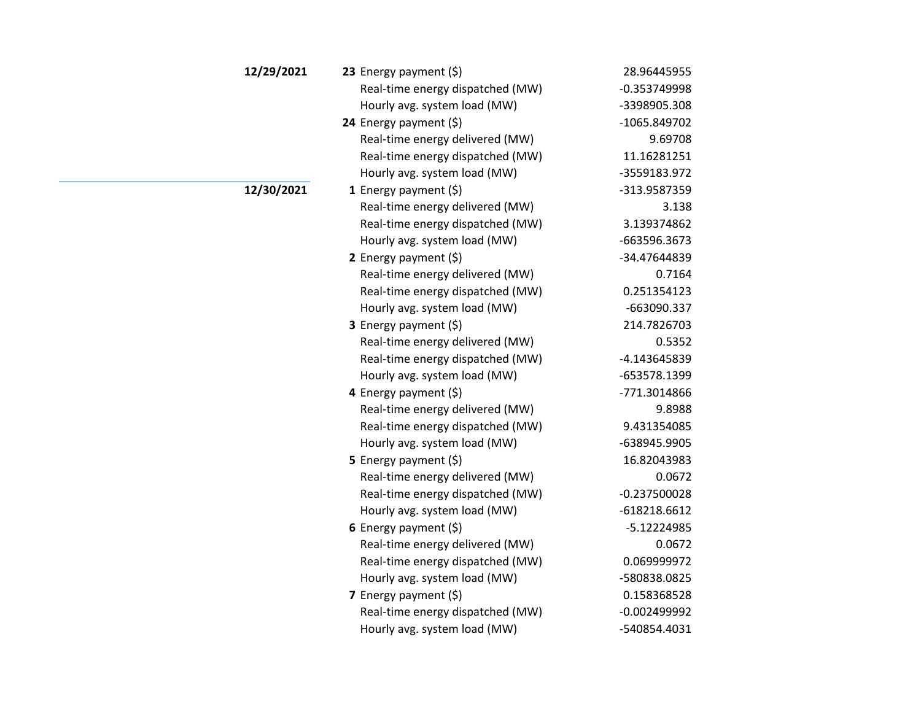| 12/29/2021 | 23 Energy payment $(\xi)$        | 28.96445955    |
|------------|----------------------------------|----------------|
|            | Real-time energy dispatched (MW) | $-0.353749998$ |
|            | Hourly avg. system load (MW)     | -3398905.308   |
|            | 24 Energy payment (\$)           | -1065.849702   |
|            | Real-time energy delivered (MW)  | 9.69708        |
|            | Real-time energy dispatched (MW) | 11.16281251    |
|            | Hourly avg. system load (MW)     | -3559183.972   |
| 12/30/2021 | <b>1</b> Energy payment $(\xi)$  | -313.9587359   |
|            | Real-time energy delivered (MW)  | 3.138          |
|            | Real-time energy dispatched (MW) | 3.139374862    |
|            | Hourly avg. system load (MW)     | -663596.3673   |
|            | 2 Energy payment $(5)$           | -34.47644839   |
|            | Real-time energy delivered (MW)  | 0.7164         |
|            | Real-time energy dispatched (MW) | 0.251354123    |
|            | Hourly avg. system load (MW)     | -663090.337    |
|            | 3 Energy payment (\$)            | 214.7826703    |
|            | Real-time energy delivered (MW)  | 0.5352         |
|            | Real-time energy dispatched (MW) | -4.143645839   |
|            | Hourly avg. system load (MW)     | -653578.1399   |
|            | 4 Energy payment (\$)            | -771.3014866   |
|            | Real-time energy delivered (MW)  | 9.8988         |
|            | Real-time energy dispatched (MW) | 9.431354085    |
|            | Hourly avg. system load (MW)     | -638945.9905   |
|            | 5 Energy payment $(\xi)$         | 16.82043983    |
|            | Real-time energy delivered (MW)  | 0.0672         |
|            | Real-time energy dispatched (MW) | $-0.237500028$ |
|            | Hourly avg. system load (MW)     | $-618218.6612$ |
|            | 6 Energy payment $(\xi)$         | -5.12224985    |
|            | Real-time energy delivered (MW)  | 0.0672         |
|            | Real-time energy dispatched (MW) | 0.069999972    |
|            | Hourly avg. system load (MW)     | -580838.0825   |
|            | 7 Energy payment $(5)$           | 0.158368528    |
|            | Real-time energy dispatched (MW) | $-0.002499992$ |
|            | Hourly avg. system load (MW)     | -540854.4031   |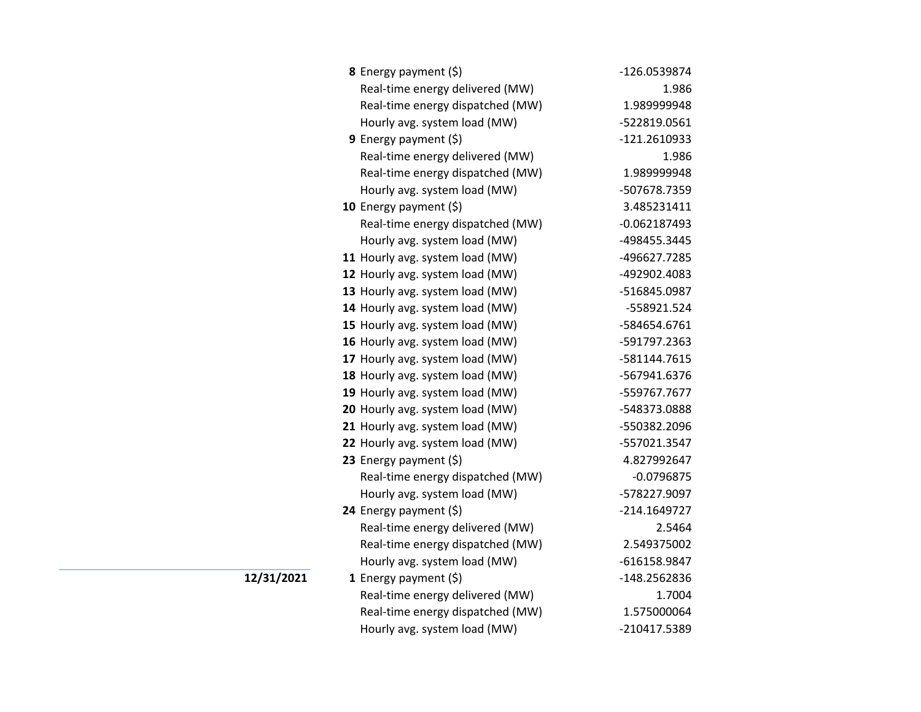| <b>8</b> Energy payment $(\xi)$  | -126.0539874   |
|----------------------------------|----------------|
| Real-time energy delivered (MW)  | 1.986          |
| Real-time energy dispatched (MW) | 1.989999948    |
| Hourly avg. system load (MW)     | -522819.0561   |
| 9 Energy payment $(\xi)$         | -121.2610933   |
| Real-time energy delivered (MW)  | 1.986          |
| Real-time energy dispatched (MW) | 1.989999948    |
| Hourly avg. system load (MW)     | -507678.7359   |
| 10 Energy payment $(5)$          | 3.485231411    |
| Real-time energy dispatched (MW) | $-0.062187493$ |
| Hourly avg. system load (MW)     | -498455.3445   |
| 11 Hourly avg. system load (MW)  | -496627.7285   |
| 12 Hourly avg. system load (MW)  | -492902.4083   |
| 13 Hourly avg. system load (MW)  | -516845.0987   |
| 14 Hourly avg. system load (MW)  | -558921.524    |
| 15 Hourly avg. system load (MW)  | -584654.6761   |
| 16 Hourly avg. system load (MW)  | -591797.2363   |
| 17 Hourly avg. system load (MW)  | -581144.7615   |
| 18 Hourly avg. system load (MW)  | -567941.6376   |
| 19 Hourly avg. system load (MW)  | -559767.7677   |
| 20 Hourly avg. system load (MW)  | -548373.0888   |
| 21 Hourly avg. system load (MW)  | -550382.2096   |
| 22 Hourly avg. system load (MW)  | -557021.3547   |
| 23 Energy payment $(\xi)$        | 4.827992647    |
| Real-time energy dispatched (MW) | $-0.0796875$   |
| Hourly avg. system load (MW)     | -578227.9097   |
| 24 Energy payment (\$)           | -214.1649727   |
| Real-time energy delivered (MW)  | 2.5464         |
| Real-time energy dispatched (MW) | 2.549375002    |
| Hourly avg. system load (MW)     | -616158.9847   |
| 1 Energy payment $(\xi)$         | -148.2562836   |
| Real-time energy delivered (MW)  | 1.7004         |
| Real-time energy dispatched (MW) | 1.575000064    |
| Hourly avg. system load (MW)     | -210417.5389   |

**12/31/2021**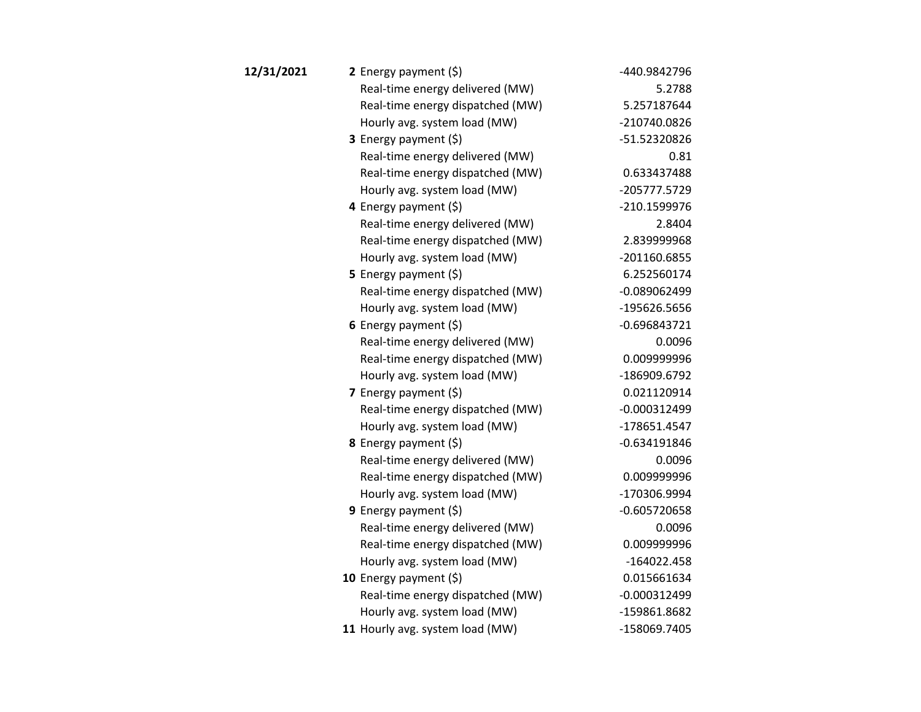| 12/31/2021 | 2 Energy payment $(\xi)$         | -440.9842796   |
|------------|----------------------------------|----------------|
|            | Real-time energy delivered (MW)  | 5.2788         |
|            | Real-time energy dispatched (MW) | 5.257187644    |
|            | Hourly avg. system load (MW)     | -210740.0826   |
|            | <b>3</b> Energy payment $(\xi)$  | -51.52320826   |
|            | Real-time energy delivered (MW)  | 0.81           |
|            | Real-time energy dispatched (MW) | 0.633437488    |
|            | Hourly avg. system load (MW)     | -205777.5729   |
|            | 4 Energy payment (\$)            | -210.1599976   |
|            | Real-time energy delivered (MW)  | 2.8404         |
|            | Real-time energy dispatched (MW) | 2.839999968    |
|            | Hourly avg. system load (MW)     | -201160.6855   |
|            | <b>5</b> Energy payment $(\xi)$  | 6.252560174    |
|            | Real-time energy dispatched (MW) | $-0.089062499$ |
|            | Hourly avg. system load (MW)     | -195626.5656   |
|            | 6 Energy payment $(5)$           | $-0.696843721$ |
|            | Real-time energy delivered (MW)  | 0.0096         |
|            | Real-time energy dispatched (MW) | 0.009999996    |
|            | Hourly avg. system load (MW)     | -186909.6792   |
|            | 7 Energy payment $(5)$           | 0.021120914    |
|            | Real-time energy dispatched (MW) | $-0.000312499$ |
|            | Hourly avg. system load (MW)     | -178651.4547   |
|            | 8 Energy payment (\$)            | $-0.634191846$ |
|            | Real-time energy delivered (MW)  | 0.0096         |
|            | Real-time energy dispatched (MW) | 0.009999996    |
|            | Hourly avg. system load (MW)     | -170306.9994   |
|            | <b>9</b> Energy payment $(\xi)$  | $-0.605720658$ |
|            | Real-time energy delivered (MW)  | 0.0096         |
|            | Real-time energy dispatched (MW) | 0.009999996    |
|            | Hourly avg. system load (MW)     | $-164022.458$  |
|            | 10 Energy payment $(5)$          | 0.015661634    |
|            | Real-time energy dispatched (MW) | $-0.000312499$ |
|            | Hourly avg. system load (MW)     | -159861.8682   |
|            | 11 Hourly avg. system load (MW)  | -158069.7405   |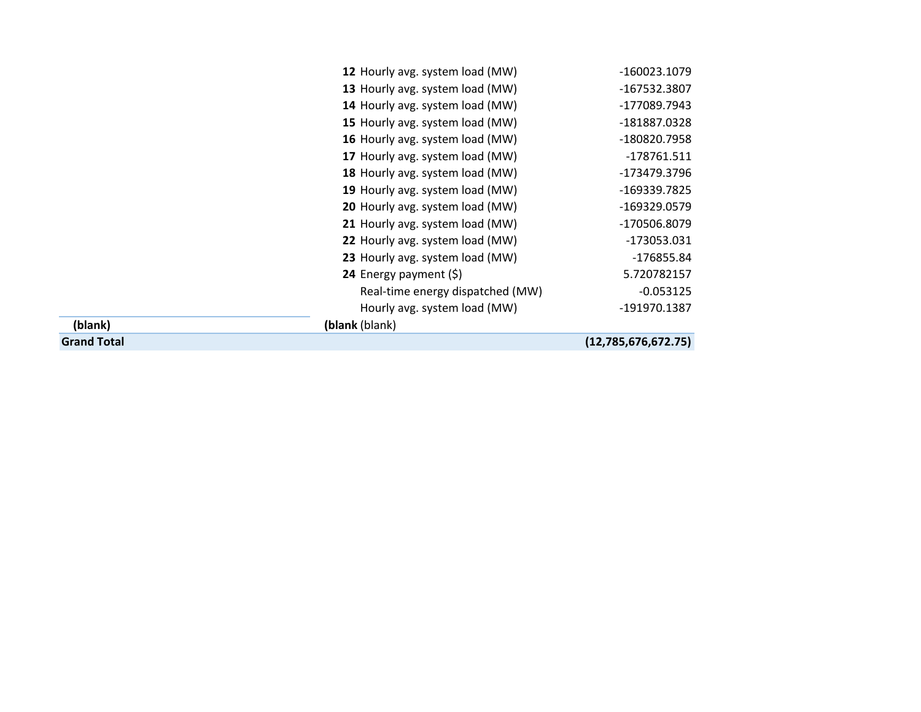|                    | 12 Hourly avg. system load (MW)  | -160023.1079        |
|--------------------|----------------------------------|---------------------|
|                    | 13 Hourly avg. system load (MW)  | -167532.3807        |
|                    | 14 Hourly avg. system load (MW)  | -177089.7943        |
|                    | 15 Hourly avg. system load (MW)  | -181887.0328        |
|                    | 16 Hourly avg. system load (MW)  | -180820.7958        |
|                    | 17 Hourly avg. system load (MW)  | -178761.511         |
|                    | 18 Hourly avg. system load (MW)  | -173479.3796        |
|                    | 19 Hourly avg. system load (MW)  | -169339.7825        |
|                    | 20 Hourly avg. system load (MW)  | -169329.0579        |
|                    | 21 Hourly avg. system load (MW)  | -170506.8079        |
|                    | 22 Hourly avg. system load (MW)  | -173053.031         |
|                    | 23 Hourly avg. system load (MW)  | -176855.84          |
|                    | <b>24</b> Energy payment $(\xi)$ | 5.720782157         |
|                    | Real-time energy dispatched (MW) | $-0.053125$         |
|                    | Hourly avg. system load (MW)     | -191970.1387        |
| (blank)            | (blank (blank)                   |                     |
| <b>Grand Total</b> |                                  | (12,785,676,672.75) |